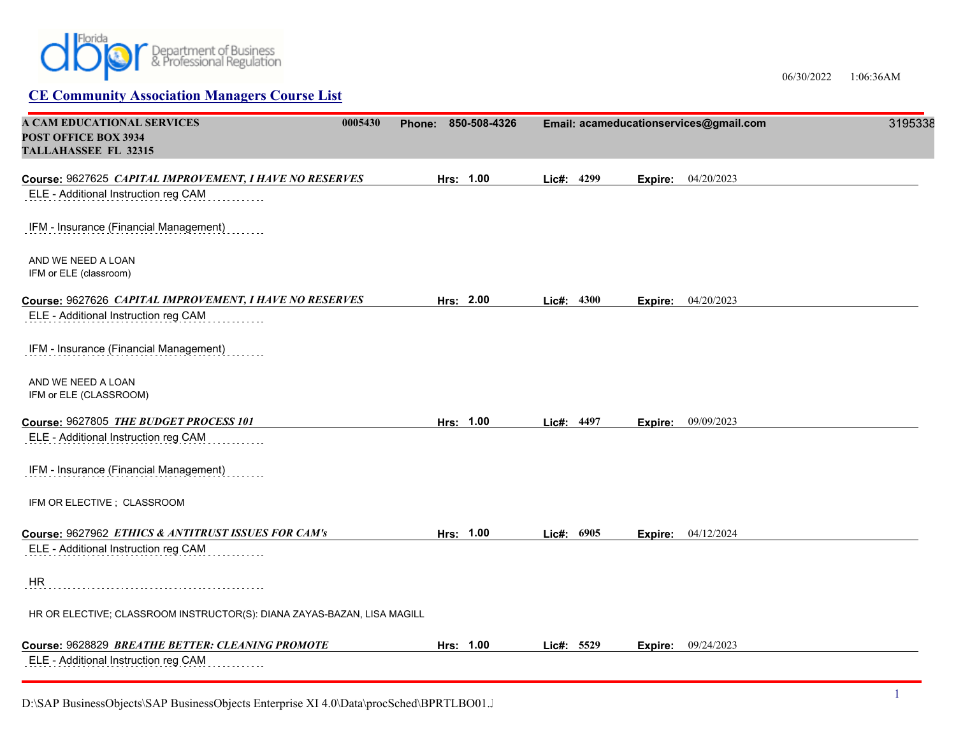

06/30/2022 1:06:36AM

| A CAM EDUCATIONAL SERVICES<br>0005430<br>POST OFFICE BOX 3934<br><b>TALLAHASSEE FL 32315</b> | Phone: 850-508-4326 |            | Email: acameducationservices@gmail.com | 3195338 |
|----------------------------------------------------------------------------------------------|---------------------|------------|----------------------------------------|---------|
| Course: 9627625 CAPITAL IMPROVEMENT, I HAVE NO RESERVES                                      | Hrs: 1.00           | Lic#: 4299 | 04/20/2023<br>Expire:                  |         |
| ELE - Additional Instruction reg CAM                                                         |                     |            |                                        |         |
| IFM - Insurance (Financial Management)                                                       |                     |            |                                        |         |
| AND WE NEED A LOAN<br>IFM or ELE (classroom)                                                 |                     |            |                                        |         |
| Course: 9627626 CAPITAL IMPROVEMENT, I HAVE NO RESERVES                                      | Hrs: 2.00           | Lic#: 4300 | 04/20/2023<br>Expire:                  |         |
| ELE - Additional Instruction reg CAM                                                         |                     |            |                                        |         |
| IFM - Insurance (Financial Management)                                                       |                     |            |                                        |         |
| AND WE NEED A LOAN<br>IFM or ELE (CLASSROOM)                                                 |                     |            |                                        |         |
| Course: 9627805 THE BUDGET PROCESS 101                                                       | Hrs: 1.00           | Lic#: 4497 | 09/09/2023<br>Expire:                  |         |
| ELE - Additional Instruction reg CAM                                                         |                     |            |                                        |         |
| IFM - Insurance (Financial Management)                                                       |                     |            |                                        |         |
| IFM OR ELECTIVE; CLASSROOM                                                                   |                     |            |                                        |         |
| Course: 9627962 ETHICS & ANTITRUST ISSUES FOR CAM's                                          | Hrs: 1.00           | Lic#: 6905 | 04/12/2024<br>Expire:                  |         |
| ELE - Additional Instruction reg CAM                                                         |                     |            |                                        |         |
| <b>HR</b>                                                                                    |                     |            |                                        |         |
| HR OR ELECTIVE; CLASSROOM INSTRUCTOR(S): DIANA ZAYAS-BAZAN, LISA MAGILL                      |                     |            |                                        |         |
| Course: 9628829 BREATHE BETTER: CLEANING PROMOTE<br>ELE - Additional Instruction reg CAM     | Hrs: 1.00           | Lic#: 5529 | 09/24/2023<br>Expire:                  |         |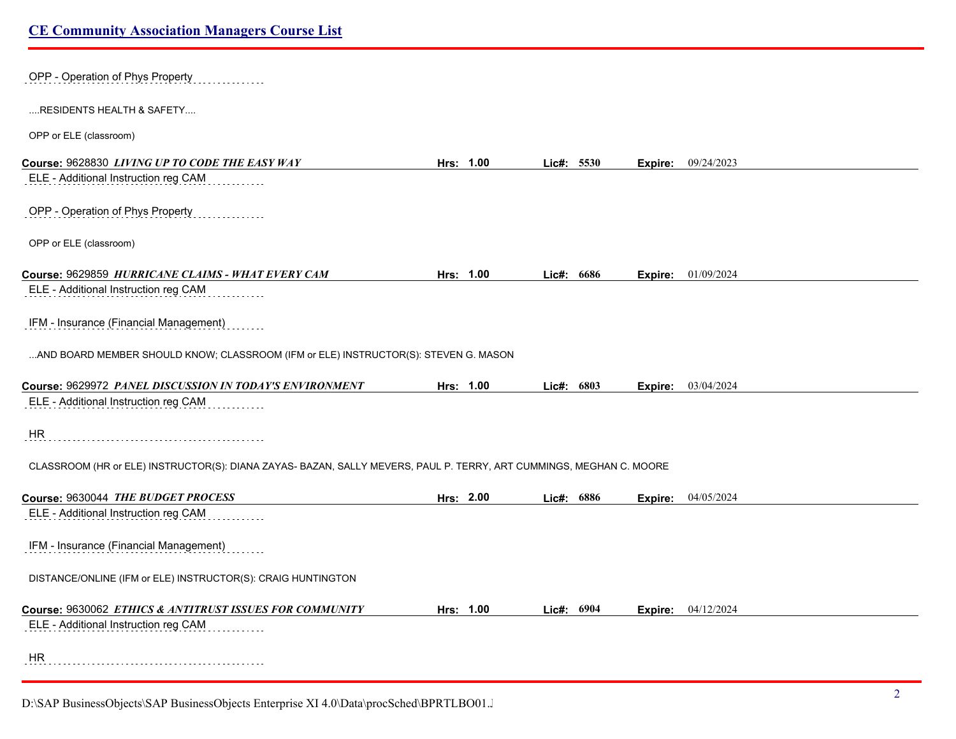| OPP - Operation of Phys Property                                                                                    |           |            |         |                           |
|---------------------------------------------------------------------------------------------------------------------|-----------|------------|---------|---------------------------|
| RESIDENTS HEALTH & SAFETY                                                                                           |           |            |         |                           |
| OPP or ELE (classroom)                                                                                              |           |            |         |                           |
| Course: 9628830 LIVING UP TO CODE THE EASY WAY                                                                      | Hrs: 1.00 | Lic#: 5530 | Expire: | 09/24/2023                |
| ELE - Additional Instruction reg CAM                                                                                |           |            |         |                           |
| OPP - Operation of Phys Property                                                                                    |           |            |         |                           |
| OPP or ELE (classroom)                                                                                              |           |            |         |                           |
| Course: 9629859 HURRICANE CLAIMS - WHAT EVERY CAM                                                                   | Hrs: 1.00 | Lic#: 6686 |         | <b>Expire:</b> 01/09/2024 |
| ELE - Additional Instruction reg CAM                                                                                |           |            |         |                           |
| IFM - Insurance (Financial Management)                                                                              |           |            |         |                           |
| AND BOARD MEMBER SHOULD KNOW; CLASSROOM (IFM or ELE) INSTRUCTOR(S): STEVEN G. MASON                                 |           |            |         |                           |
| Course: 9629972 PANEL DISCUSSION IN TODAY'S ENVIRONMENT                                                             | Hrs: 1.00 | Lic#: 6803 | Expire: | 03/04/2024                |
| ELE - Additional Instruction reg CAM                                                                                |           |            |         |                           |
| HR                                                                                                                  |           |            |         |                           |
| CLASSROOM (HR or ELE) INSTRUCTOR(S): DIANA ZAYAS- BAZAN, SALLY MEVERS, PAUL P. TERRY, ART CUMMINGS, MEGHAN C. MOORE |           |            |         |                           |
| Course: 9630044 THE BUDGET PROCESS                                                                                  | Hrs: 2.00 | Lic#: 6886 | Expire: | 04/05/2024                |
| ELE - Additional Instruction reg CAM                                                                                |           |            |         |                           |
| IFM - Insurance (Financial Management)                                                                              |           |            |         |                           |
| DISTANCE/ONLINE (IFM or ELE) INSTRUCTOR(S): CRAIG HUNTINGTON                                                        |           |            |         |                           |
| Course: 9630062 ETHICS & ANTITRUST ISSUES FOR COMMUNITY                                                             | Hrs: 1.00 | Lic#: 6904 | Expire: | 04/12/2024                |
| ELE - Additional Instruction reg CAM                                                                                |           |            |         |                           |
| HR.                                                                                                                 |           |            |         |                           |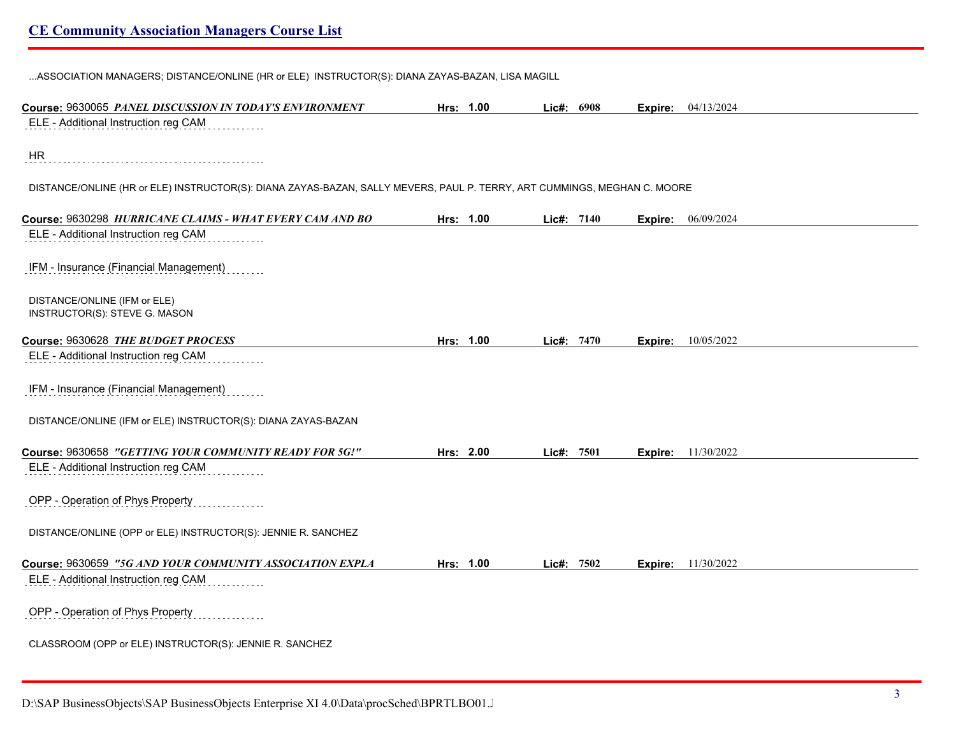...ASSOCIATION MANAGERS; DISTANCE/ONLINE (HR or ELE) INSTRUCTOR(S): DIANA ZAYAS-BAZAN, LISA MAGILL

| Course: 9630065 PANEL DISCUSSION IN TODAY'S ENVIRONMENT                                                                  | Hrs: 1.00 | Lic#: 6908 |         | Expire: 04/13/2024 |
|--------------------------------------------------------------------------------------------------------------------------|-----------|------------|---------|--------------------|
| ELE - Additional Instruction reg CAM                                                                                     |           |            |         |                    |
| <b>HR</b>                                                                                                                |           |            |         |                    |
| DISTANCE/ONLINE (HR or ELE) INSTRUCTOR(S): DIANA ZAYAS-BAZAN, SALLY MEVERS, PAUL P. TERRY, ART CUMMINGS, MEGHAN C. MOORE |           |            |         |                    |
| Course: 9630298 HURRICANE CLAIMS - WHAT EVERY CAM AND BO                                                                 | Hrs: 1.00 | Lic#: 7140 | Expire: | 06/09/2024         |
| ELE - Additional Instruction reg CAM                                                                                     |           |            |         |                    |
| IFM - Insurance (Financial Management)                                                                                   |           |            |         |                    |
| DISTANCE/ONLINE (IFM or ELE)<br>INSTRUCTOR(S): STEVE G. MASON                                                            |           |            |         |                    |
| Course: 9630628 THE BUDGET PROCESS                                                                                       | Hrs: 1.00 | Lic#: 7470 | Expire: | 10/05/2022         |
| ELE - Additional Instruction reg CAM                                                                                     |           |            |         |                    |
| IFM - Insurance (Financial Management)                                                                                   |           |            |         |                    |
| DISTANCE/ONLINE (IFM or ELE) INSTRUCTOR(S): DIANA ZAYAS-BAZAN                                                            |           |            |         |                    |
| Course: 9630658 "GETTING YOUR COMMUNITY READY FOR 5G!"                                                                   | Hrs: 2.00 | Lic#: 7501 | Expire: | 11/30/2022         |
| ELE - Additional Instruction reg CAM                                                                                     |           |            |         |                    |
| OPP - Operation of Phys Property                                                                                         |           |            |         |                    |
| DISTANCE/ONLINE (OPP or ELE) INSTRUCTOR(S): JENNIE R. SANCHEZ                                                            |           |            |         |                    |
| Course: 9630659 "5G AND YOUR COMMUNITY ASSOCIATION EXPLA                                                                 | Hrs: 1.00 | Lic#: 7502 | Expire: | 11/30/2022         |
| ELE - Additional Instruction reg CAM                                                                                     |           |            |         |                    |
| OPP - Operation of Phys Property                                                                                         |           |            |         |                    |
| CLASSROOM (OPP or ELE) INSTRUCTOR(S): JENNIE R. SANCHEZ                                                                  |           |            |         |                    |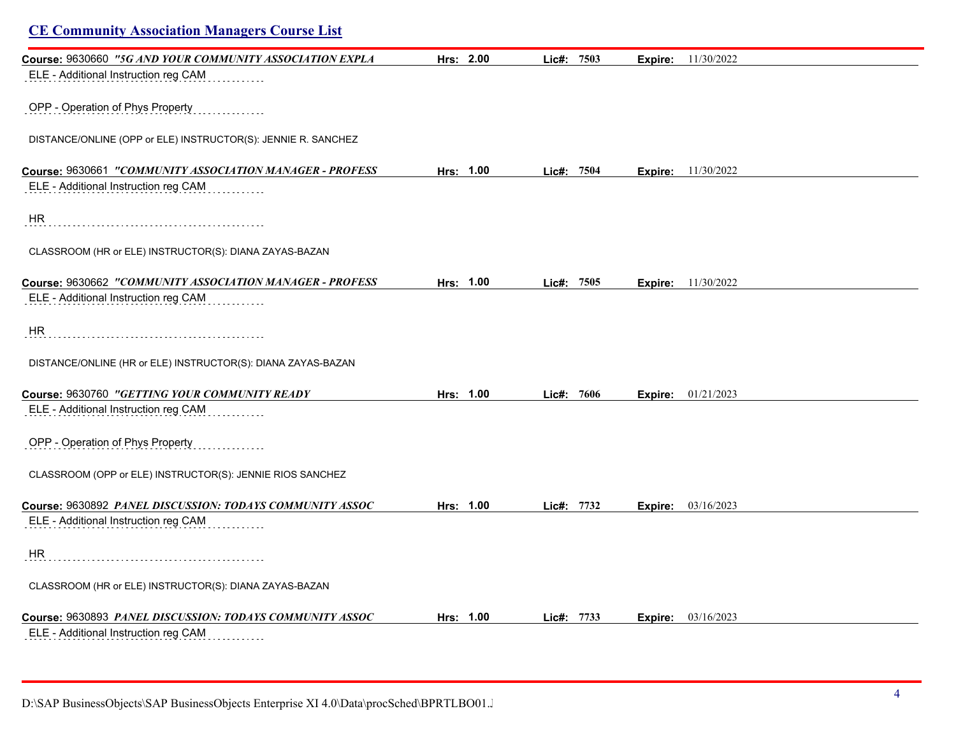| <b>CE Community Association Managers Course List</b>          |           |            |         |                             |
|---------------------------------------------------------------|-----------|------------|---------|-----------------------------|
| Course: 9630660 "5G AND YOUR COMMUNITY ASSOCIATION EXPLA      | Hrs: 2.00 | Lic#: 7503 | Expire: | 11/30/2022                  |
| ELE - Additional Instruction reg CAM                          |           |            |         |                             |
| OPP - Operation of Phys Property                              |           |            |         |                             |
| DISTANCE/ONLINE (OPP or ELE) INSTRUCTOR(S): JENNIE R. SANCHEZ |           |            |         |                             |
| Course: 9630661 "COMMUNITY ASSOCIATION MANAGER - PROFESS      | Hrs: 1.00 | Lie#: 7504 |         | <b>Expire:</b> $11/30/2022$ |
| ELE - Additional Instruction reg CAM                          |           |            |         |                             |
| <b>HR</b>                                                     |           |            |         |                             |
| CLASSROOM (HR or ELE) INSTRUCTOR(S): DIANA ZAYAS-BAZAN        |           |            |         |                             |
| Course: 9630662 "COMMUNITY ASSOCIATION MANAGER - PROFESS      | Hrs: 1.00 | Lic#: 7505 |         | <b>Expire:</b> 11/30/2022   |
| ELE - Additional Instruction reg CAM                          |           |            |         |                             |
| <b>HR</b>                                                     |           |            |         |                             |
| DISTANCE/ONLINE (HR or ELE) INSTRUCTOR(S): DIANA ZAYAS-BAZAN  |           |            |         |                             |
| Course: 9630760 "GETTING YOUR COMMUNITY READY                 | Hrs: 1.00 | Lic#: 7606 |         | <b>Expire:</b> 01/21/2023   |
| ELE - Additional Instruction reg CAM                          |           |            |         |                             |
| OPP - Operation of Phys Property                              |           |            |         |                             |
| CLASSROOM (OPP or ELE) INSTRUCTOR(S): JENNIE RIOS SANCHEZ     |           |            |         |                             |
| Course: 9630892 PANEL DISCUSSION: TODAYS COMMUNITY ASSOC      | Hrs: 1.00 | Lic#: 7732 |         | <b>Expire:</b> 03/16/2023   |
| ELE - Additional Instruction reg CAM                          |           |            |         |                             |
| <b>HR</b>                                                     |           |            |         |                             |
| CLASSROOM (HR or ELE) INSTRUCTOR(S): DIANA ZAYAS-BAZAN        |           |            |         |                             |
| Course: 9630893 PANEL DISCUSSION: TODAYS COMMUNITY ASSOC      | Hrs: 1.00 | Lie#: 7733 |         | Expire: 03/16/2023          |
| ELE - Additional Instruction reg CAM                          |           |            |         |                             |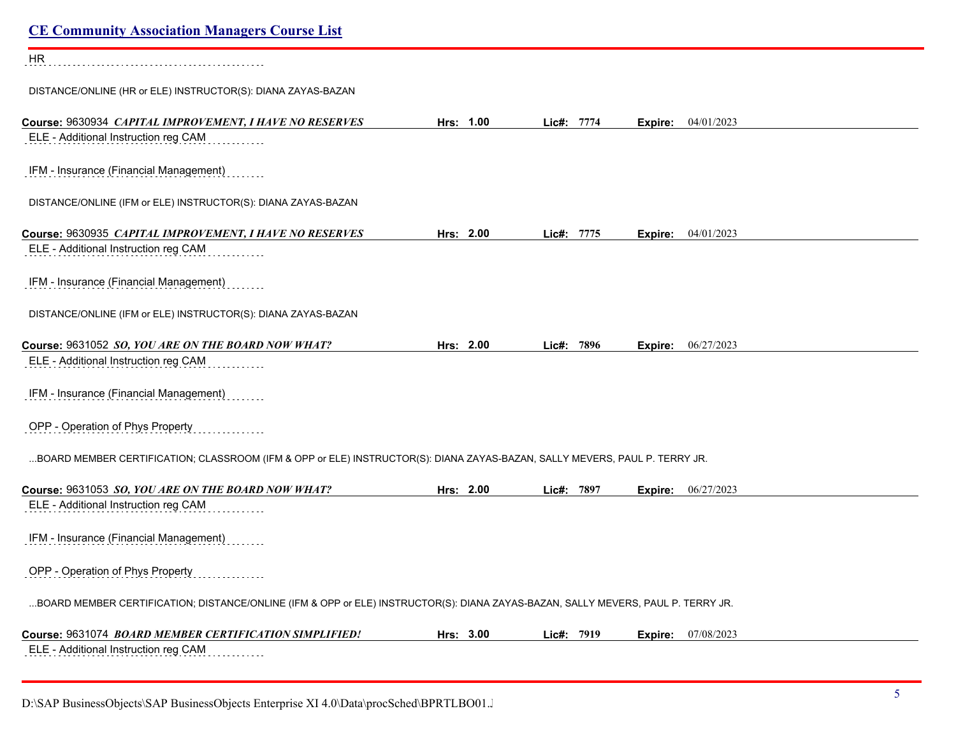| <b>CE Community Association Managers Course List</b>                                                                             |           |            |                           |  |
|----------------------------------------------------------------------------------------------------------------------------------|-----------|------------|---------------------------|--|
| <b>HR</b>                                                                                                                        |           |            |                           |  |
| DISTANCE/ONLINE (HR or ELE) INSTRUCTOR(S): DIANA ZAYAS-BAZAN                                                                     |           |            |                           |  |
| Course: 9630934 CAPITAL IMPROVEMENT, I HAVE NO RESERVES<br>ELE - Additional Instruction reg CAM                                  | Hrs: 1.00 | Lic#: 7774 | 04/01/2023<br>Expire:     |  |
| IFM - Insurance (Financial Management)                                                                                           |           |            |                           |  |
| DISTANCE/ONLINE (IFM or ELE) INSTRUCTOR(S): DIANA ZAYAS-BAZAN                                                                    |           |            |                           |  |
| Course: 9630935 CAPITAL IMPROVEMENT, I HAVE NO RESERVES<br>ELE - Additional Instruction reg CAM                                  | Hrs: 2.00 | Lic#: 7775 | 04/01/2023<br>Expire:     |  |
| IFM - Insurance (Financial Management)                                                                                           |           |            |                           |  |
| DISTANCE/ONLINE (IFM or ELE) INSTRUCTOR(S): DIANA ZAYAS-BAZAN                                                                    |           |            |                           |  |
| Course: 9631052 SO, YOU ARE ON THE BOARD NOW WHAT?                                                                               | Hrs: 2.00 | Lic#: 7896 | 06/27/2023<br>Expire:     |  |
| ELE - Additional Instruction reg CAM                                                                                             |           |            |                           |  |
| IFM - Insurance (Financial Management)                                                                                           |           |            |                           |  |
| OPP - Operation of Phys Property                                                                                                 |           |            |                           |  |
| BOARD MEMBER CERTIFICATION; CLASSROOM (IFM & OPP or ELE) INSTRUCTOR(S): DIANA ZAYAS-BAZAN, SALLY MEVERS, PAUL P. TERRY JR.       |           |            |                           |  |
| Course: 9631053 SO, YOU ARE ON THE BOARD NOW WHAT?                                                                               | Hrs: 2.00 | Lic#: 7897 | 06/27/2023<br>Expire:     |  |
| ELE - Additional Instruction reg CAM                                                                                             |           |            |                           |  |
| IFM - Insurance (Financial Management)                                                                                           |           |            |                           |  |
| OPP - Operation of Phys Property                                                                                                 |           |            |                           |  |
| BOARD MEMBER CERTIFICATION; DISTANCE/ONLINE (IFM & OPP or ELE) INSTRUCTOR(S): DIANA ZAYAS-BAZAN, SALLY MEVERS, PAUL P. TERRY JR. |           |            |                           |  |
| Course: 9631074 BOARD MEMBER CERTIFICATION SIMPLIFIED!                                                                           | Hrs: 3.00 | Lic#: 7919 | <b>Expire:</b> 07/08/2023 |  |
| ELE - Additional Instruction reg CAM                                                                                             |           |            |                           |  |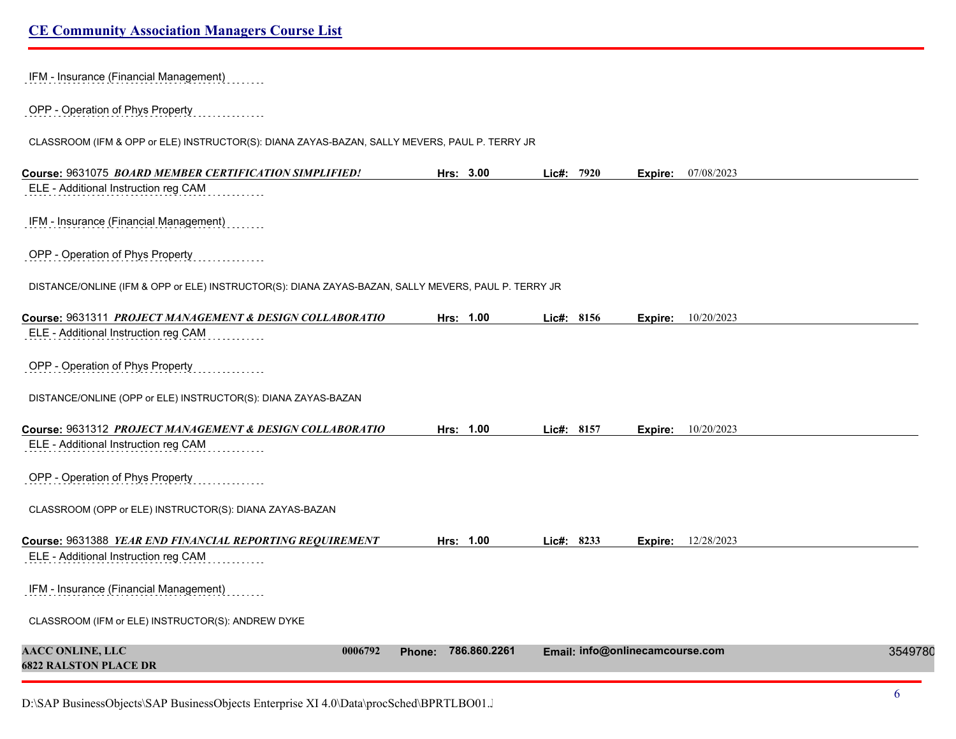| IFM - Insurance (Financial Management)                                                              |                        |            |                                 |         |
|-----------------------------------------------------------------------------------------------------|------------------------|------------|---------------------------------|---------|
| OPP - Operation of Phys Property                                                                    |                        |            |                                 |         |
| CLASSROOM (IFM & OPP or ELE) INSTRUCTOR(S): DIANA ZAYAS-BAZAN, SALLY MEVERS, PAUL P. TERRY JR       |                        |            |                                 |         |
| Course: 9631075 BOARD MEMBER CERTIFICATION SIMPLIFIED!                                              | Hrs: 3.00              | Lie#: 7920 | 07/08/2023<br>Expire:           |         |
| ELE - Additional Instruction reg CAM                                                                |                        |            |                                 |         |
| IFM - Insurance (Financial Management)                                                              |                        |            |                                 |         |
| OPP - Operation of Phys Property                                                                    |                        |            |                                 |         |
| DISTANCE/ONLINE (IFM & OPP or ELE) INSTRUCTOR(S): DIANA ZAYAS-BAZAN, SALLY MEVERS, PAUL P. TERRY JR |                        |            |                                 |         |
| Course: 9631311 PROJECT MANAGEMENT & DESIGN COLLABORATIO                                            | Hrs: 1.00              | Lic#: 8156 | Expire: 10/20/2023              |         |
| ELE - Additional Instruction reg CAM                                                                |                        |            |                                 |         |
| OPP - Operation of Phys Property                                                                    |                        |            |                                 |         |
| DISTANCE/ONLINE (OPP or ELE) INSTRUCTOR(S): DIANA ZAYAS-BAZAN                                       |                        |            |                                 |         |
| Course: 9631312 PROJECT MANAGEMENT & DESIGN COLLABORATIO                                            | Hrs: 1.00              | Lic#: 8157 | 10/20/2023<br>Expire:           |         |
| ELE - Additional Instruction reg CAM                                                                |                        |            |                                 |         |
| OPP - Operation of Phys Property                                                                    |                        |            |                                 |         |
| CLASSROOM (OPP or ELE) INSTRUCTOR(S): DIANA ZAYAS-BAZAN                                             |                        |            |                                 |         |
| Course: 9631388 YEAR END FINANCIAL REPORTING REQUIREMENT                                            | Hrs: 1.00              | Lic#: 8233 | 12/28/2023<br>Expire:           |         |
| ELE - Additional Instruction reg CAM                                                                |                        |            |                                 |         |
| IFM - Insurance (Financial Management)                                                              |                        |            |                                 |         |
| CLASSROOM (IFM or ELE) INSTRUCTOR(S): ANDREW DYKE                                                   |                        |            |                                 |         |
| <b>AACC ONLINE, LLC</b><br>0006792<br><b>6822 RALSTON PLACE DR</b>                                  | 786.860.2261<br>Phone: |            | Email: info@onlinecamcourse.com | 3549780 |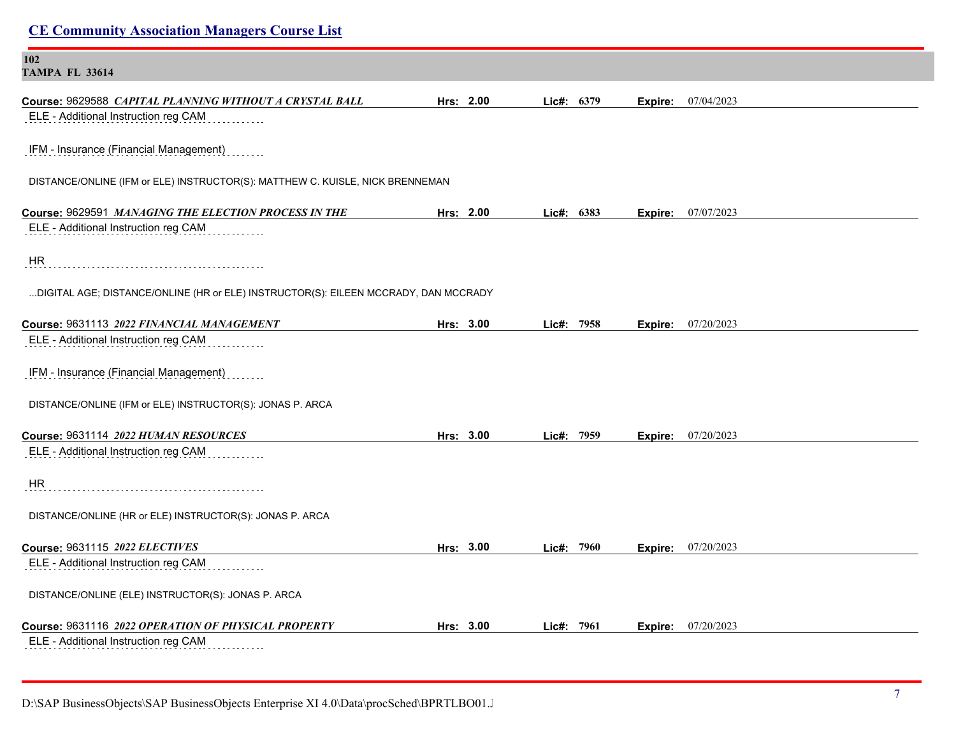| <b>CE Community Association Managers Course List</b>                                                                         |           |            |         |                             |
|------------------------------------------------------------------------------------------------------------------------------|-----------|------------|---------|-----------------------------|
| 102<br><b>TAMPA FL 33614</b>                                                                                                 |           |            |         |                             |
| Course: 9629588 CAPITAL PLANNING WITHOUT A CRYSTAL BALL<br>ELE - Additional Instruction reg CAM                              | Hrs: 2.00 | Lic#: 6379 |         | <b>Expire:</b> 07/04/2023   |
| IFM - Insurance (Financial Management)                                                                                       |           |            |         |                             |
| DISTANCE/ONLINE (IFM or ELE) INSTRUCTOR(S): MATTHEW C. KUISLE, NICK BRENNEMAN                                                |           |            |         |                             |
| Course: 9629591 MANAGING THE ELECTION PROCESS IN THE<br>ELE - Additional Instruction reg CAM                                 | Hrs: 2.00 | Lic#: 6383 |         | <b>Expire:</b> $07/07/2023$ |
| HR                                                                                                                           |           |            |         |                             |
| DIGITAL AGE; DISTANCE/ONLINE (HR or ELE) INSTRUCTOR(S): EILEEN MCCRADY, DAN MCCRADY                                          |           |            |         |                             |
| Course: 9631113 2022 FINANCIAL MANAGEMENT<br>ELE - Additional Instruction reg CAM                                            | Hrs: 3.00 | Lic#: 7958 |         | <b>Expire:</b> 07/20/2023   |
| IFM - Insurance (Financial Management)                                                                                       |           |            |         |                             |
| DISTANCE/ONLINE (IFM or ELE) INSTRUCTOR(S): JONAS P. ARCA                                                                    |           |            |         |                             |
| Course: 9631114 2022 HUMAN RESOURCES<br>ELE - Additional Instruction reg CAM                                                 | Hrs: 3.00 | Lic#: 7959 | Expire: | 07/20/2023                  |
| ${\sf HR}$                                                                                                                   |           |            |         |                             |
| DISTANCE/ONLINE (HR or ELE) INSTRUCTOR(S): JONAS P. ARCA                                                                     |           |            |         |                             |
| Course: 9631115 2022 ELECTIVES<br>ELE - Additional Instruction reg CAM<br>DISTANCE/ONLINE (ELE) INSTRUCTOR(S): JONAS P. ARCA | Hrs: 3.00 | Lic#: 7960 | Expire: | 07/20/2023                  |
| Course: 9631116 2022 OPERATION OF PHYSICAL PROPERTY<br>ELE - Additional Instruction reg CAM                                  | Hrs: 3.00 | Lic#: 7961 |         | <b>Expire:</b> 07/20/2023   |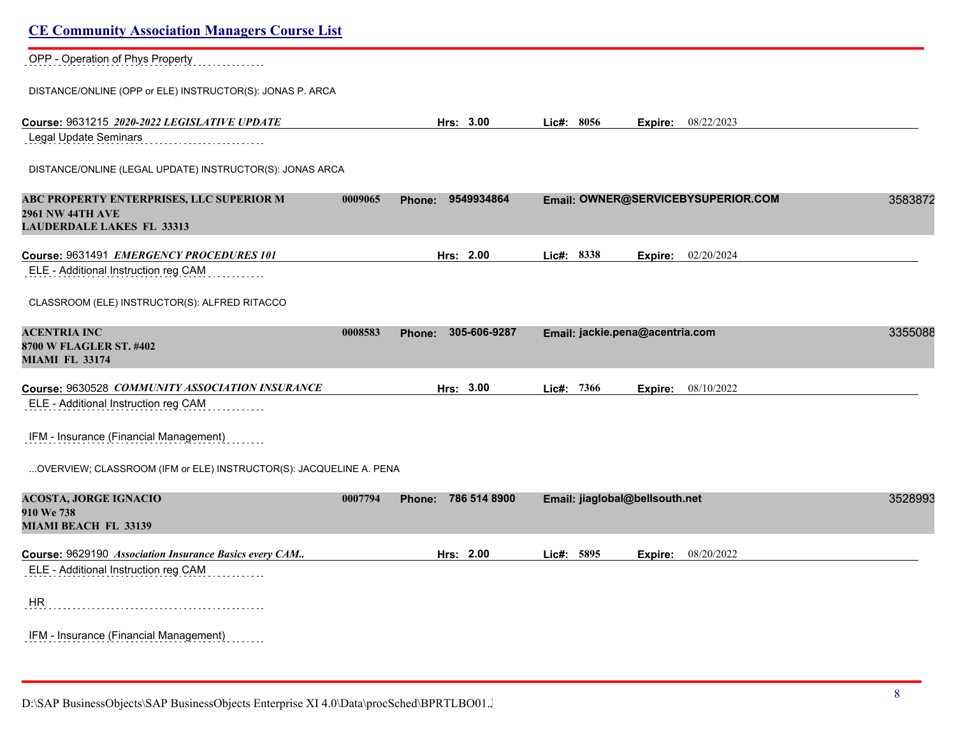| <b>CE Community Association Managers Course List</b>                                                    |         |                        |                                |                                    |         |
|---------------------------------------------------------------------------------------------------------|---------|------------------------|--------------------------------|------------------------------------|---------|
| OPP - Operation of Phys Property                                                                        |         |                        |                                |                                    |         |
| DISTANCE/ONLINE (OPP or ELE) INSTRUCTOR(S): JONAS P. ARCA                                               |         |                        |                                |                                    |         |
| Course: 9631215 2020-2022 LEGISLATIVE UPDATE                                                            |         | Hrs: 3.00              | Lic#: 8056                     | Expire: 08/22/2023                 |         |
| Legal Update Seminars                                                                                   |         |                        |                                |                                    |         |
| DISTANCE/ONLINE (LEGAL UPDATE) INSTRUCTOR(S): JONAS ARCA                                                |         |                        |                                |                                    |         |
| ABC PROPERTY ENTERPRISES, LLC SUPERIOR M<br><b>2961 NW 44TH AVE</b><br><b>LAUDERDALE LAKES FL 33313</b> | 0009065 | 9549934864<br>Phone:   |                                | Email: OWNER@SERVICEBYSUPERIOR.COM | 3583872 |
| Course: 9631491 EMERGENCY PROCEDURES 101                                                                |         | Hrs: 2.00              | Lic#: 8338                     | <b>Expire:</b> 02/20/2024          |         |
| ELE - Additional Instruction reg CAM                                                                    |         |                        |                                |                                    |         |
| CLASSROOM (ELE) INSTRUCTOR(S): ALFRED RITACCO                                                           |         |                        |                                |                                    |         |
| <b>ACENTRIA INC</b><br>8700 W FLAGLER ST. #402<br><b>MIAMI FL 33174</b>                                 | 0008583 | 305-606-9287<br>Phone: |                                | Email: jackie.pena@acentria.com    | 3355088 |
| Course: 9630528 COMMUNITY ASSOCIATION INSURANCE                                                         |         | Hrs: 3.00              | Lie#: 7366                     | <b>Expire:</b> 08/10/2022          |         |
| ELE - Additional Instruction reg CAM                                                                    |         |                        |                                |                                    |         |
| IFM - Insurance (Financial Management)                                                                  |         |                        |                                |                                    |         |
| OVERVIEW; CLASSROOM (IFM or ELE) INSTRUCTOR(S): JACQUELINE A. PENA                                      |         |                        |                                |                                    |         |
| <b>ACOSTA, JORGE IGNACIO</b><br>910 We 738<br>MIAMI BEACH FL 33139                                      | 0007794 | 786 514 8900<br>Phone: | Email: jiaglobal@bellsouth.net |                                    | 3528993 |
| Course: 9629190 Association Insurance Basics every CAM                                                  |         | Hrs: 2.00              | Lic#: 5895                     | <b>Expire:</b> 08/20/2022          |         |
| ELE - Additional Instruction reg CAM                                                                    |         |                        |                                |                                    |         |
| HR.                                                                                                     |         |                        |                                |                                    |         |
| IFM - Insurance (Financial Management)                                                                  |         |                        |                                |                                    |         |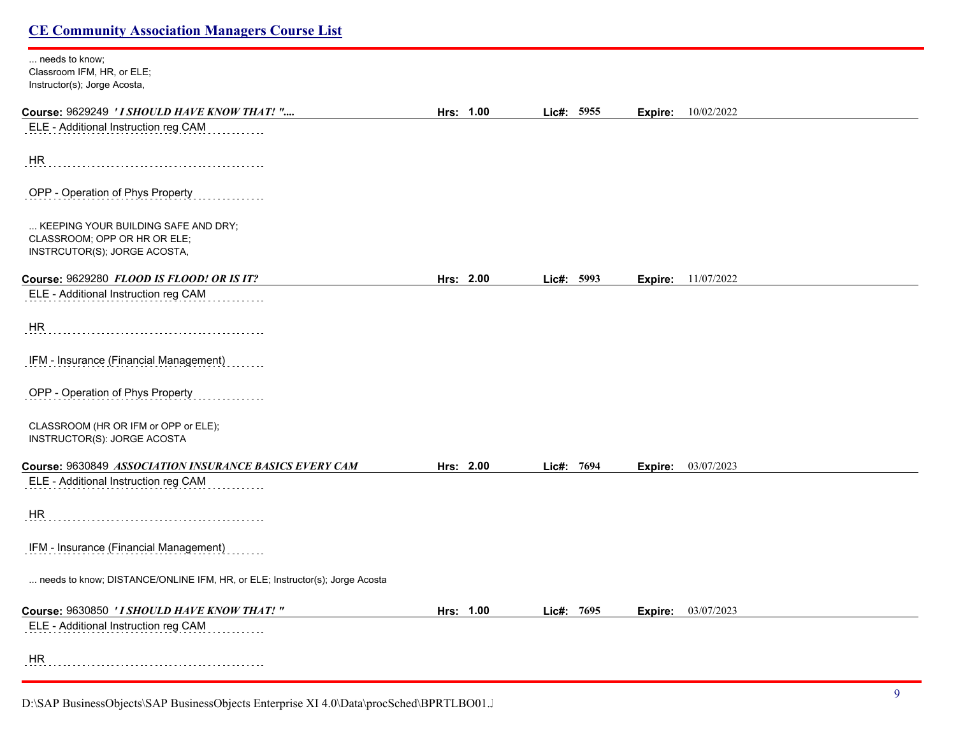| needs to know;                                                              |           |              |         |                           |
|-----------------------------------------------------------------------------|-----------|--------------|---------|---------------------------|
| Classroom IFM, HR, or ELE;                                                  |           |              |         |                           |
| Instructor(s); Jorge Acosta,                                                |           |              |         |                           |
| Course: 9629249 'I SHOULD HAVE KNOW THAT! "                                 | Hrs: 1.00 | Lic#: 5955   | Expire: | 10/02/2022                |
| ELE - Additional Instruction reg CAM                                        |           |              |         |                           |
|                                                                             |           |              |         |                           |
| HR                                                                          |           |              |         |                           |
| OPP - Operation of Phys Property                                            |           |              |         |                           |
|                                                                             |           |              |         |                           |
| KEEPING YOUR BUILDING SAFE AND DRY;                                         |           |              |         |                           |
| CLASSROOM; OPP OR HR OR ELE;                                                |           |              |         |                           |
| INSTRCUTOR(S); JORGE ACOSTA,                                                |           |              |         |                           |
| Course: 9629280 FLOOD IS FLOOD! OR IS IT?                                   | Hrs: 2.00 | Lic#: 5993   |         | <b>Expire:</b> 11/07/2022 |
| ELE - Additional Instruction reg CAM                                        |           |              |         |                           |
| HR                                                                          |           |              |         |                           |
|                                                                             |           |              |         |                           |
| IFM - Insurance (Financial Management)                                      |           |              |         |                           |
| OPP - Operation of Phys Property                                            |           |              |         |                           |
| CLASSROOM (HR OR IFM or OPP or ELE);                                        |           |              |         |                           |
| INSTRUCTOR(S): JORGE ACOSTA                                                 |           |              |         |                           |
| Course: 9630849 ASSOCIATION INSURANCE BASICS EVERY CAM                      | Hrs: 2.00 | Lic#: 7694   | Expire: | 03/07/2023                |
| ELE - Additional Instruction reg CAM                                        |           |              |         |                           |
| HR                                                                          |           |              |         |                           |
| IFM - Insurance (Financial Management)                                      |           |              |         |                           |
|                                                                             |           |              |         |                           |
| needs to know; DISTANCE/ONLINE IFM, HR, or ELE; Instructor(s); Jorge Acosta |           |              |         |                           |
| Course: 9630850 'I SHOULD HAVE KNOW THAT!"                                  | Hrs: 1.00 | Lic#: $7695$ |         | <b>Expire:</b> 03/07/2023 |
| ELE - Additional Instruction reg CAM                                        |           |              |         |                           |
|                                                                             |           |              |         |                           |
| HR                                                                          |           |              |         |                           |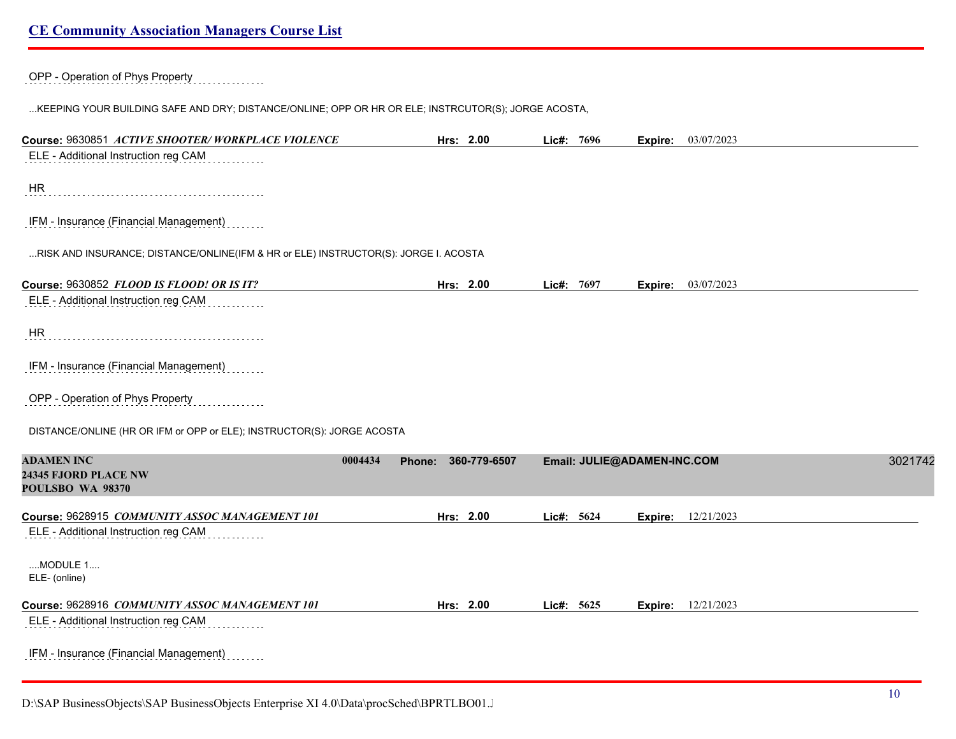OPP - Operation of Phys Property

...KEEPING YOUR BUILDING SAFE AND DRY; DISTANCE/ONLINE; OPP OR HR OR ELE; INSTRCUTOR(S); JORGE ACOSTA,

| Course: 9630851 ACTIVE SHOOTER/WORKPLACE VIOLENCE                                   |                          | Hrs: 2.00    | Lic#: 7696                  |         | Expire: 03/07/2023 |         |
|-------------------------------------------------------------------------------------|--------------------------|--------------|-----------------------------|---------|--------------------|---------|
| ELE - Additional Instruction reg CAM                                                |                          |              |                             |         |                    |         |
| <b>HR</b>                                                                           |                          |              |                             |         |                    |         |
| IFM - Insurance (Financial Management)                                              |                          |              |                             |         |                    |         |
| RISK AND INSURANCE; DISTANCE/ONLINE(IFM & HR or ELE) INSTRUCTOR(S): JORGE I. ACOSTA |                          |              |                             |         |                    |         |
| Course: 9630852 FLOOD IS FLOOD! OR IS IT?                                           |                          | Hrs: 2.00    | Lic#: 7697                  |         | Expire: 03/07/2023 |         |
| ELE - Additional Instruction reg CAM                                                |                          |              |                             |         |                    |         |
| <b>HR</b>                                                                           |                          |              |                             |         |                    |         |
| IFM - Insurance (Financial Management)                                              |                          |              |                             |         |                    |         |
| OPP - Operation of Phys Property                                                    |                          |              |                             |         |                    |         |
| DISTANCE/ONLINE (HR OR IFM or OPP or ELE); INSTRUCTOR(S): JORGE ACOSTA              |                          |              |                             |         |                    |         |
| <b>ADAMEN INC</b><br>24345 FJORD PLACE NW<br>POULSBO WA 98370                       | 0004434<br><b>Phone:</b> | 360-779-6507 | Email: JULIE@ADAMEN-INC.COM |         |                    | 3021742 |
| Course: 9628915 COMMUNITY ASSOC MANAGEMENT 101                                      |                          | Hrs: 2.00    | Lic#: 5624                  | Expire: | 12/21/2023         |         |
| ELE - Additional Instruction reg CAM                                                |                          |              |                             |         |                    |         |
| MODULE 1<br>ELE- (online)                                                           |                          |              |                             |         |                    |         |
| Course: 9628916 COMMUNITY ASSOC MANAGEMENT 101                                      |                          | Hrs: 2.00    | Lic#: 5625                  | Expire: | 12/21/2023         |         |
| ELE - Additional Instruction reg CAM                                                |                          |              |                             |         |                    |         |
| IFM - Insurance (Financial Management)                                              |                          |              |                             |         |                    |         |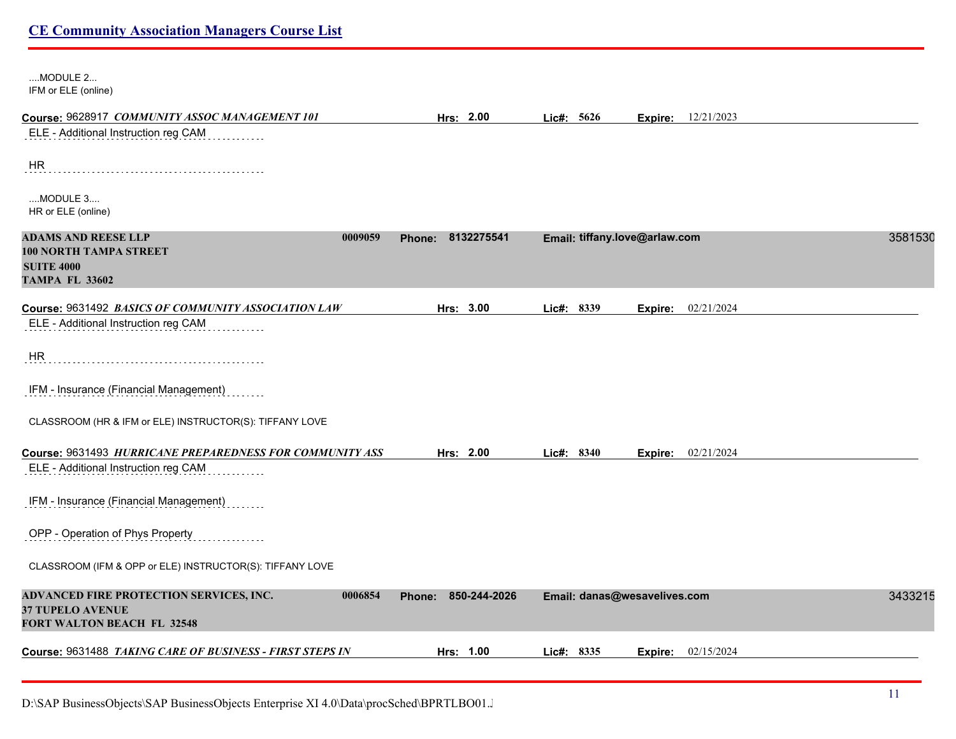| MODULE 2<br>IFM or ELE (online)                                                                                    |                        |                               |                           |            |  |
|--------------------------------------------------------------------------------------------------------------------|------------------------|-------------------------------|---------------------------|------------|--|
| Course: 9628917 COMMUNITY ASSOC MANAGEMENT 101                                                                     | Hrs: 2.00              | Lic#: 5626                    | Expire:                   | 12/21/2023 |  |
| ELE - Additional Instruction reg CAM                                                                               |                        |                               |                           |            |  |
| HR                                                                                                                 |                        |                               |                           |            |  |
| MODULE 3<br>HR or ELE (online)                                                                                     |                        |                               |                           |            |  |
| <b>ADAMS AND REESE LLP</b><br>0009059<br><b>100 NORTH TAMPA STREET</b>                                             | Phone: 8132275541      | Email: tiffany.love@arlaw.com |                           | 3581530    |  |
| <b>SUITE 4000</b><br><b>TAMPA FL 33602</b>                                                                         |                        |                               |                           |            |  |
| Course: 9631492 BASICS OF COMMUNITY ASSOCIATION LAW                                                                | Hrs: 3.00              | Lic#: 8339                    | <b>Expire:</b> 02/21/2024 |            |  |
| ELE - Additional Instruction reg CAM                                                                               |                        |                               |                           |            |  |
| HR                                                                                                                 |                        |                               |                           |            |  |
| IFM - Insurance (Financial Management)                                                                             |                        |                               |                           |            |  |
| CLASSROOM (HR & IFM or ELE) INSTRUCTOR(S): TIFFANY LOVE                                                            |                        |                               |                           |            |  |
| Course: 9631493 HURRICANE PREPAREDNESS FOR COMMUNITY ASS                                                           | Hrs: 2.00              | Lic#: 8340                    | <b>Expire:</b> 02/21/2024 |            |  |
| ELE - Additional Instruction reg CAM                                                                               |                        |                               |                           |            |  |
| IFM - Insurance (Financial Management)                                                                             |                        |                               |                           |            |  |
| OPP - Operation of Phys Property                                                                                   |                        |                               |                           |            |  |
| CLASSROOM (IFM & OPP or ELE) INSTRUCTOR(S): TIFFANY LOVE                                                           |                        |                               |                           |            |  |
| ADVANCED FIRE PROTECTION SERVICES, INC.<br>0006854<br><b>37 TUPELO AVENUE</b><br><b>FORT WALTON BEACH FL 32548</b> | 850-244-2026<br>Phone: | Email: danas@wesavelives.com  |                           | 3433215    |  |
| Course: 9631488 TAKING CARE OF BUSINESS - FIRST STEPS IN                                                           | Hrs: 1.00              | Lic#: 8335                    | Expire:                   | 02/15/2024 |  |
|                                                                                                                    |                        |                               |                           |            |  |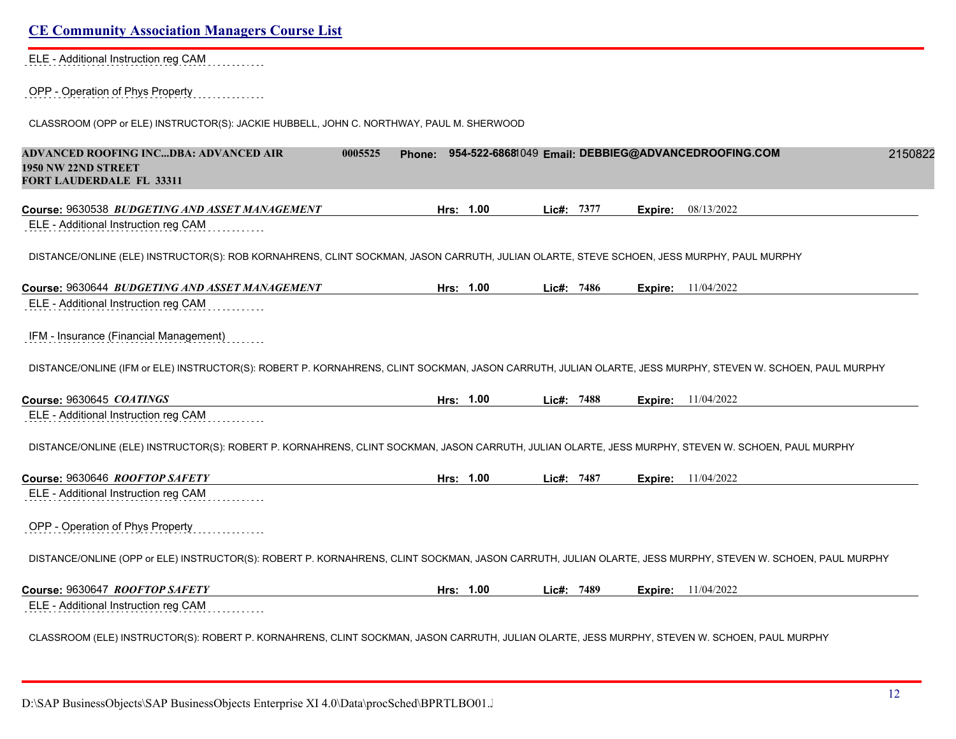| ELE - Additional Instruction reg CAM                                                                                                                                                                                                                                                                                                                                                                                                                                                                    |                                                            |            |         |                             |
|---------------------------------------------------------------------------------------------------------------------------------------------------------------------------------------------------------------------------------------------------------------------------------------------------------------------------------------------------------------------------------------------------------------------------------------------------------------------------------------------------------|------------------------------------------------------------|------------|---------|-----------------------------|
| OPP - Operation of Phys Property                                                                                                                                                                                                                                                                                                                                                                                                                                                                        |                                                            |            |         |                             |
| CLASSROOM (OPP or ELE) INSTRUCTOR(S): JACKIE HUBBELL, JOHN C. NORTHWAY, PAUL M. SHERWOOD                                                                                                                                                                                                                                                                                                                                                                                                                |                                                            |            |         |                             |
| ADVANCED ROOFING INCDBA: ADVANCED AIR<br>0005525<br>1950 NW 22ND STREET<br><b>FORT LAUDERDALE FL 33311</b>                                                                                                                                                                                                                                                                                                                                                                                              | Phone: 954-522-68681049 Email: DEBBIEG@ADVANCEDROOFING.COM |            |         | 2150822                     |
| Course: 9630538 BUDGETING AND ASSET MANAGEMENT                                                                                                                                                                                                                                                                                                                                                                                                                                                          | Hrs: 1.00                                                  | Lic#: 7377 | Expire: | 08/13/2022                  |
| ELE - Additional Instruction reg CAM                                                                                                                                                                                                                                                                                                                                                                                                                                                                    |                                                            |            |         |                             |
| DISTANCE/ONLINE (ELE) INSTRUCTOR(S): ROB KORNAHRENS, CLINT SOCKMAN, JASON CARRUTH, JULIAN OLARTE, STEVE SCHOEN, JESS MURPHY, PAUL MURPHY                                                                                                                                                                                                                                                                                                                                                                |                                                            |            |         |                             |
| Course: 9630644 <i>BUDGETING AND ASSET MANAGEMENT</i>                                                                                                                                                                                                                                                                                                                                                                                                                                                   | Hrs: 1.00                                                  | Lic#: 7486 |         | <b>Expire:</b> 11/04/2022   |
| ELE - Additional Instruction reg CAM                                                                                                                                                                                                                                                                                                                                                                                                                                                                    |                                                            |            |         |                             |
|                                                                                                                                                                                                                                                                                                                                                                                                                                                                                                         |                                                            |            |         |                             |
|                                                                                                                                                                                                                                                                                                                                                                                                                                                                                                         |                                                            |            |         |                             |
|                                                                                                                                                                                                                                                                                                                                                                                                                                                                                                         |                                                            |            |         |                             |
|                                                                                                                                                                                                                                                                                                                                                                                                                                                                                                         | Hrs: 1.00                                                  | Lic#: 7488 |         | <b>Expire:</b> 11/04/2022   |
|                                                                                                                                                                                                                                                                                                                                                                                                                                                                                                         |                                                            |            |         |                             |
|                                                                                                                                                                                                                                                                                                                                                                                                                                                                                                         |                                                            |            |         |                             |
|                                                                                                                                                                                                                                                                                                                                                                                                                                                                                                         | Hrs: 1.00                                                  | Lic#: 7487 |         |                             |
| IFM - Insurance (Financial Management)<br>DISTANCE/ONLINE (IFM or ELE) INSTRUCTOR(S): ROBERT P. KORNAHRENS, CLINT SOCKMAN, JASON CARRUTH, JULIAN OLARTE, JESS MURPHY, STEVEN W. SCHOEN, PAUL MURPHY<br>Course: 9630645 COATINGS<br>ELE - Additional Instruction reg CAM<br>DISTANCE/ONLINE (ELE) INSTRUCTOR(S): ROBERT P. KORNAHRENS, CLINT SOCKMAN, JASON CARRUTH, JULIAN OLARTE, JESS MURPHY, STEVEN W. SCHOEN, PAUL MURPHY<br>Course: 9630646 ROOFTOP SAFETY<br>ELE - Additional Instruction reg CAM |                                                            |            |         | <b>Expire:</b> 11/04/2022   |
|                                                                                                                                                                                                                                                                                                                                                                                                                                                                                                         |                                                            |            |         |                             |
| OPP - Operation of Phys Property<br>DISTANCE/ONLINE (OPP or ELE) INSTRUCTOR(S): ROBERT P. KORNAHRENS, CLINT SOCKMAN, JASON CARRUTH, JULIAN OLARTE, JESS MURPHY, STEVEN W. SCHOEN, PAUL MURPHY                                                                                                                                                                                                                                                                                                           |                                                            |            |         |                             |
| Course: 9630647 ROOFTOP SAFETY                                                                                                                                                                                                                                                                                                                                                                                                                                                                          | Hrs: 1.00                                                  | Lic#: 7489 |         | <b>Expire:</b> $11/04/2022$ |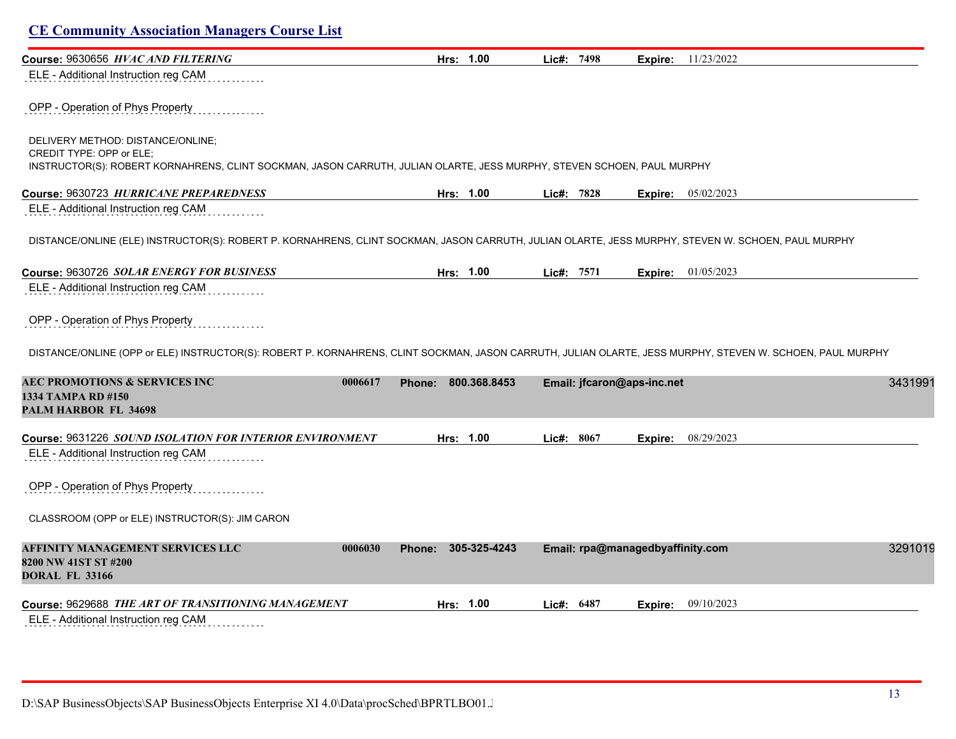| Course: 9630656 HVAC AND FILTERING                                                                                                                                                      | Hrs: 1.00              | Lic#: 7498 |                                  | Expire: 11/23/2022          |         |
|-----------------------------------------------------------------------------------------------------------------------------------------------------------------------------------------|------------------------|------------|----------------------------------|-----------------------------|---------|
| ELE - Additional Instruction reg CAM                                                                                                                                                    |                        |            |                                  |                             |         |
| OPP - Operation of Phys Property                                                                                                                                                        |                        |            |                                  |                             |         |
| DELIVERY METHOD: DISTANCE/ONLINE;<br>CREDIT TYPE: OPP or ELE;<br>INSTRUCTOR(S): ROBERT KORNAHRENS, CLINT SOCKMAN, JASON CARRUTH, JULIAN OLARTE, JESS MURPHY, STEVEN SCHOEN, PAUL MURPHY |                        |            |                                  |                             |         |
| Course: 9630723 HURRICANE PREPAREDNESS                                                                                                                                                  | Hrs: 1.00              | Lic#: 7828 |                                  | <b>Expire:</b> 05/02/2023   |         |
| ELE - Additional Instruction reg CAM                                                                                                                                                    |                        |            |                                  |                             |         |
| DISTANCE/ONLINE (ELE) INSTRUCTOR(S): ROBERT P. KORNAHRENS, CLINT SOCKMAN, JASON CARRUTH, JULIAN OLARTE, JESS MURPHY, STEVEN W. SCHOEN, PAUL MURPHY                                      |                        |            |                                  |                             |         |
| Course: 9630726 SOLAR ENERGY FOR BUSINESS                                                                                                                                               | Hrs: 1.00              | Lic#: 7571 |                                  | <b>Expire:</b> $01/05/2023$ |         |
| ELE - Additional Instruction reg CAM                                                                                                                                                    |                        |            |                                  |                             |         |
|                                                                                                                                                                                         |                        |            |                                  |                             |         |
| OPP - Operation of Phys Property                                                                                                                                                        |                        |            |                                  |                             |         |
| DISTANCE/ONLINE (OPP or ELE) INSTRUCTOR(S): ROBERT P. KORNAHRENS, CLINT SOCKMAN, JASON CARRUTH, JULIAN OLARTE, JESS MURPHY, STEVEN W. SCHOEN, PAUL MURPHY                               |                        |            |                                  |                             |         |
| <b>AEC PROMOTIONS &amp; SERVICES INC</b><br>0006617<br>1334 TAMPA RD #150<br><b>PALM HARBOR FL 34698</b>                                                                                | 800.368.8453<br>Phone: |            | Email: jfcaron@aps-inc.net       |                             | 3431991 |
|                                                                                                                                                                                         |                        |            |                                  |                             |         |
| Course: 9631226 SOUND ISOLATION FOR INTERIOR ENVIRONMENT<br>ELE - Additional Instruction reg CAM                                                                                        | Hrs: 1.00              | Lic#: 8067 | Expire:                          | 08/29/2023                  |         |
| OPP - Operation of Phys Property                                                                                                                                                        |                        |            |                                  |                             |         |
| CLASSROOM (OPP or ELE) INSTRUCTOR(S): JIM CARON                                                                                                                                         |                        |            |                                  |                             |         |
| AFFINITY MANAGEMENT SERVICES LLC<br>0006030<br>8200 NW 41ST ST #200<br><b>DORAL FL 33166</b>                                                                                            | 305-325-4243<br>Phone: |            | Email: rpa@managedbyaffinity.com |                             | 3291019 |
| Course: 9629688 THE ART OF TRANSITIONING MANAGEMENT                                                                                                                                     | Hrs: 1.00              | Lic#: 6487 | Expire:                          | 09/10/2023                  |         |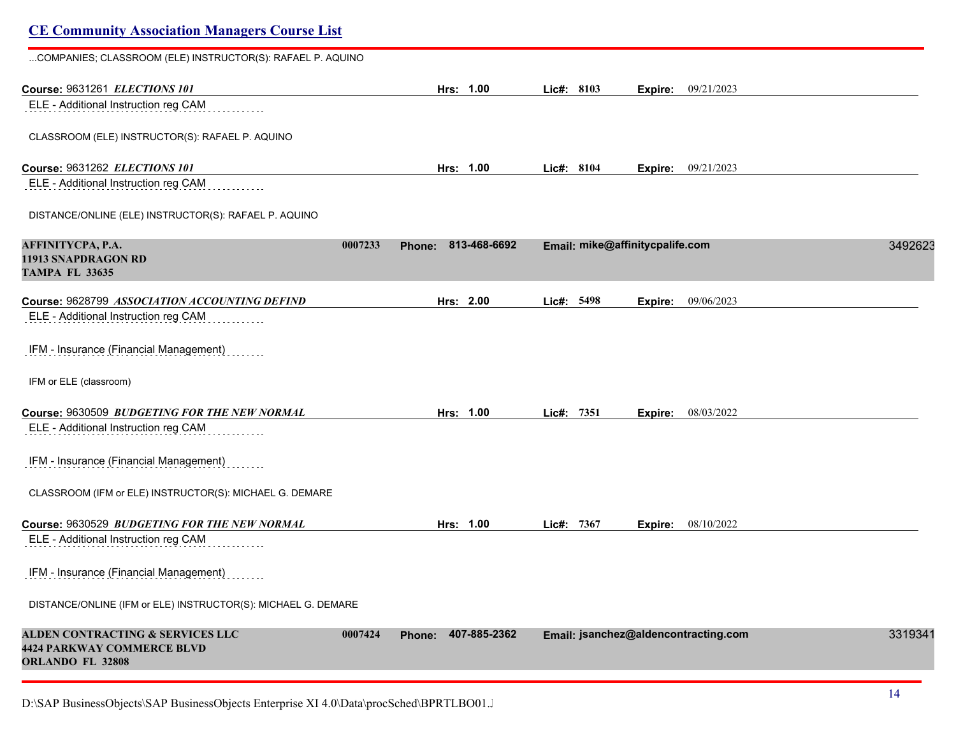# **CE Community Association Managers Course List** ...COMPANIES; CLASSROOM (ELE) INSTRUCTOR(S): RAFAEL P. AQUINO **Course:** 9631261 *ELECTIONS 101* **Hrs: 1.00 Lic#: 8103 Expire:** 09/21/2023 ELE - Additional Instruction reg CAM CLASSROOM (ELE) INSTRUCTOR(S): RAFAEL P. AQUINO **Course:** 9631262 *ELECTIONS 101* **Hrs: 1.00 Lic#: 8104 Expire:** 09/21/2023 ELE - Additional Instruction reg CAM DISTANCE/ONLINE (ELE) INSTRUCTOR(S): RAFAEL P. AQUINO **AFFINITYCPA, P.A. 0007233 Phone: 813-468-6692 Email: mike@affinitycpalife.com** 34926237 **11913 SNAPDRAGON RD TAMPA FL 33635 Course:** 9628799 *ASSOCIATION ACCOUNTING DEFIND* **Hrs: 2.00 Lic#: 5498 Expire:** 09/06/2023 ELE - Additional Instruction reg CAM IFM - Insurance (Financial Management) IFM or ELE (classroom) **Course:** 9630509 *BUDGETING FOR THE NEW NORMAL* **Hrs: 1.00 Lic#: 7351 Expire:** 08/03/2022 ELE - Additional Instruction reg CAM IFM - Insurance (Financial Management) CLASSROOM (IFM or ELE) INSTRUCTOR(S): MICHAEL G. DEMARE **Course:** 9630529 *BUDGETING FOR THE NEW NORMAL* **Hrs: 1.00 Lic#: 7367 Expire:** 08/10/2022 ELE - Additional Instruction reg CAM IFM - Insurance (Financial Management) DISTANCE/ONLINE (IFM or ELE) INSTRUCTOR(S): MICHAEL G. DEMARE **ALDEN CONTRACTING & SERVICES LLC 0007424 Phone: 407-885-2362 Email: jsanchez@aldencontracting.com** 33193418 **4424 PARKWAY COMMERCE BLVD ORLANDO FL 32808**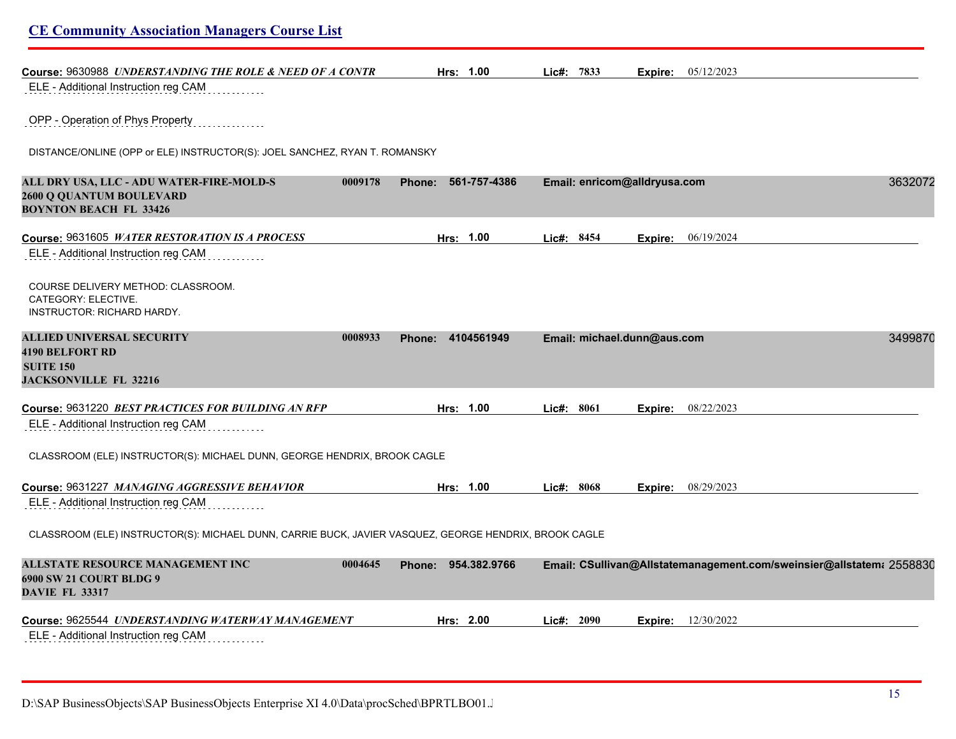| <b>CE Community Association Managers Course List</b>                                                             |                               |                                                                      |         |
|------------------------------------------------------------------------------------------------------------------|-------------------------------|----------------------------------------------------------------------|---------|
| Course: 9630988 UNDERSTANDING THE ROLE & NEED OF A CONTR                                                         | Hrs: 1.00                     | Lic#: 7833<br><b>Expire:</b> $05/12/2023$                            |         |
| ELE - Additional Instruction reg CAM                                                                             |                               |                                                                      |         |
| OPP - Operation of Phys Property                                                                                 |                               |                                                                      |         |
| DISTANCE/ONLINE (OPP or ELE) INSTRUCTOR(S): JOEL SANCHEZ, RYAN T. ROMANSKY                                       |                               |                                                                      |         |
| ALL DRY USA, LLC - ADU WATER-FIRE-MOLD-S<br>0009178<br>2600 Q QUANTUM BOULEVARD<br><b>BOYNTON BEACH FL 33426</b> | 561-757-4386<br><b>Phone:</b> | Email: enricom@alldryusa.com                                         | 3632072 |
| Course: 9631605 WATER RESTORATION IS A PROCESS                                                                   | Hrs: 1.00                     | Lic#: 8454<br>06/19/2024<br>Expire:                                  |         |
| ELE - Additional Instruction reg CAM                                                                             |                               |                                                                      |         |
| COURSE DELIVERY METHOD: CLASSROOM.<br>CATEGORY: ELECTIVE.<br><b>INSTRUCTOR: RICHARD HARDY.</b>                   |                               |                                                                      |         |
| ALLIED UNIVERSAL SECURITY<br>0008933                                                                             | Phone: 4104561949             | Email: michael.dunn@aus.com                                          | 3499870 |
| <b>4190 BELFORT RD</b><br><b>SUITE 150</b>                                                                       |                               |                                                                      |         |
| <b>JACKSONVILLE FL 32216</b>                                                                                     |                               |                                                                      |         |
| Course: 9631220 BEST PRACTICES FOR BUILDING AN RFP                                                               | Hrs: 1.00                     | Lic#: 8061<br>08/22/2023<br>Expire:                                  |         |
| ELE - Additional Instruction reg CAM                                                                             |                               |                                                                      |         |
| CLASSROOM (ELE) INSTRUCTOR(S): MICHAEL DUNN, GEORGE HENDRIX, BROOK CAGLE                                         |                               |                                                                      |         |
| Course: 9631227 MANAGING AGGRESSIVE BEHAVIOR                                                                     | Hrs: 1.00                     | Lie#: 8068<br><b>Expire:</b> $08/29/2023$                            |         |
| ELE - Additional Instruction reg CAM                                                                             |                               |                                                                      |         |
| CLASSROOM (ELE) INSTRUCTOR(S): MICHAEL DUNN, CARRIE BUCK, JAVIER VASQUEZ, GEORGE HENDRIX, BROOK CAGLE            |                               |                                                                      |         |
| ALLSTATE RESOURCE MANAGEMENT INC<br>0004645<br>6900 SW 21 COURT BLDG 9<br><b>DAVIE FL 33317</b>                  | Phone: 954.382.9766           | Email: CSullivan@Allstatemanagement.com/sweinsier@allstatem: 2558830 |         |
|                                                                                                                  | Hrs: 2.00                     | 12/30/2022<br>Lic#: 2090<br>Expire:                                  |         |
| ELE - Additional Instruction reg CAM                                                                             |                               |                                                                      |         |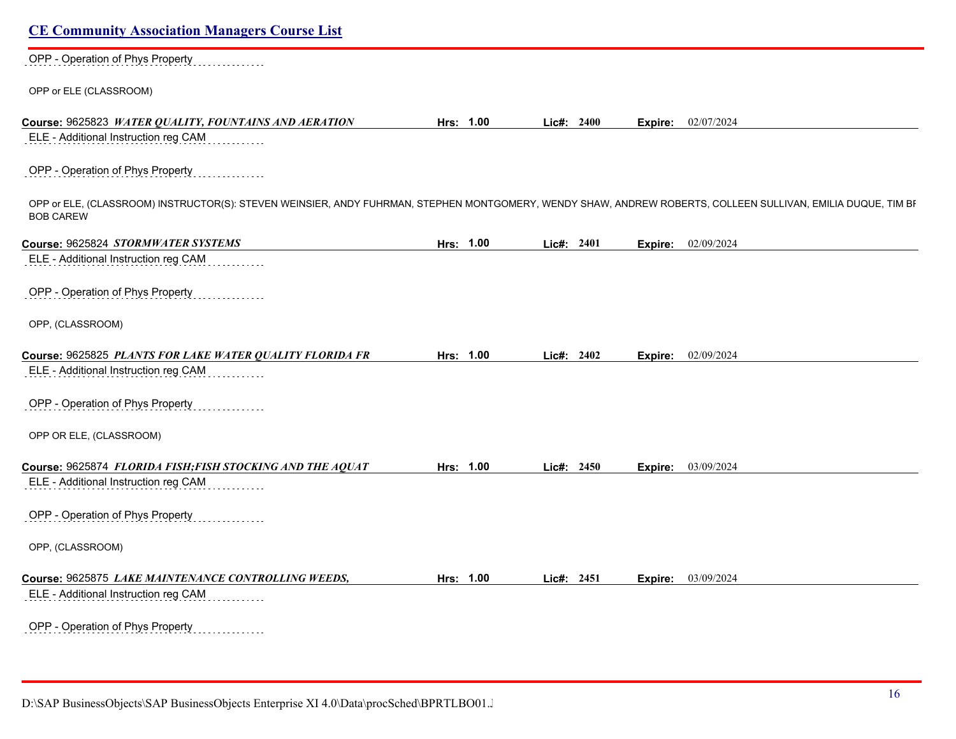| OPP - Operation of Phys Property                                                                                                                                                 |           |            |         |                           |
|----------------------------------------------------------------------------------------------------------------------------------------------------------------------------------|-----------|------------|---------|---------------------------|
| OPP or ELE (CLASSROOM)                                                                                                                                                           |           |            |         |                           |
| Course: 9625823 WATER QUALITY, FOUNTAINS AND AERATION                                                                                                                            | Hrs: 1.00 | Lic#: 2400 |         | <b>Expire:</b> 02/07/2024 |
| ELE - Additional Instruction reg CAM                                                                                                                                             |           |            |         |                           |
| OPP - Operation of Phys Property                                                                                                                                                 |           |            |         |                           |
| OPP or ELE, (CLASSROOM) INSTRUCTOR(S): STEVEN WEINSIER, ANDY FUHRMAN, STEPHEN MONTGOMERY, WENDY SHAW, ANDREW ROBERTS, COLLEEN SULLIVAN, EMILIA DUQUE, TIM BF<br><b>BOB CAREW</b> |           |            |         |                           |
| Course: 9625824 STORMWATER SYSTEMS                                                                                                                                               | Hrs: 1.00 | Lic#: 2401 | Expire: | 02/09/2024                |
| ELE - Additional Instruction reg CAM                                                                                                                                             |           |            |         |                           |
| OPP - Operation of Phys Property                                                                                                                                                 |           |            |         |                           |
| OPP, (CLASSROOM)                                                                                                                                                                 |           |            |         |                           |
| Course: 9625825 PLANTS FOR LAKE WATER QUALITY FLORIDA FR                                                                                                                         | Hrs: 1.00 | Lic#: 2402 | Expire: | 02/09/2024                |
| ELE - Additional Instruction reg CAM                                                                                                                                             |           |            |         |                           |
| OPP - Operation of Phys Property                                                                                                                                                 |           |            |         |                           |
| OPP OR ELE, (CLASSROOM)                                                                                                                                                          |           |            |         |                           |
| Course: 9625874 FLORIDA FISH;FISH STOCKING AND THE AQUAT                                                                                                                         | Hrs: 1.00 | Lic#: 2450 |         | <b>Expire:</b> 03/09/2024 |
| ELE - Additional Instruction reg CAM                                                                                                                                             |           |            |         |                           |
| OPP - Operation of Phys Property                                                                                                                                                 |           |            |         |                           |
| OPP, (CLASSROOM)                                                                                                                                                                 |           |            |         |                           |
| Course: 9625875 LAKE MAINTENANCE CONTROLLING WEEDS,                                                                                                                              | Hrs: 1.00 | Lic#: 2451 |         | <b>Expire:</b> 03/09/2024 |
| ELE - Additional Instruction reg CAM                                                                                                                                             |           |            |         |                           |
|                                                                                                                                                                                  |           |            |         |                           |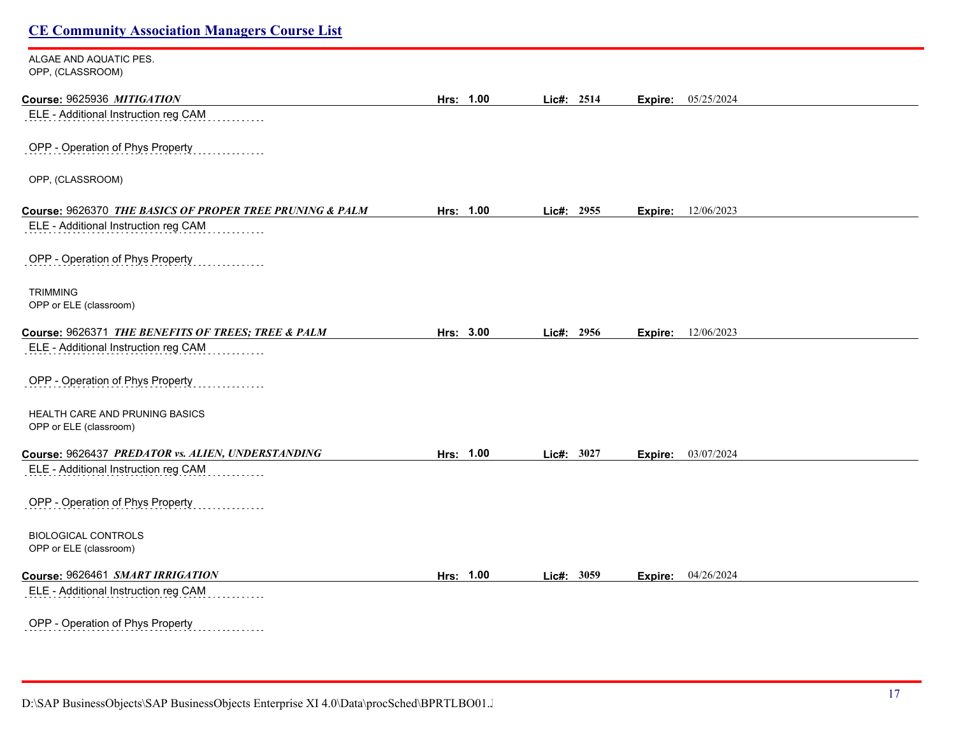| <b>CE Community Association Managers Course List</b>                                       |           |            |                       |  |
|--------------------------------------------------------------------------------------------|-----------|------------|-----------------------|--|
| ALGAE AND AQUATIC PES.<br>OPP, (CLASSROOM)                                                 |           |            |                       |  |
| Course: 9625936 MITIGATION                                                                 | Hrs: 1.00 | Lic#: 2514 | 05/25/2024<br>Expire: |  |
| ELE - Additional Instruction reg CAM                                                       |           |            |                       |  |
| OPP - Operation of Phys Property                                                           |           |            |                       |  |
| OPP, (CLASSROOM)                                                                           |           |            |                       |  |
| Course: 9626370 THE BASICS OF PROPER TREE PRUNING & PALM                                   | Hrs: 1.00 | Lic#: 2955 | 12/06/2023<br>Expire: |  |
| ELE - Additional Instruction reg CAM                                                       |           |            |                       |  |
| OPP - Operation of Phys Property                                                           |           |            |                       |  |
| <b>TRIMMING</b>                                                                            |           |            |                       |  |
| OPP or ELE (classroom)                                                                     |           |            |                       |  |
| Course: 9626371 THE BENEFITS OF TREES; TREE & PALM<br>ELE - Additional Instruction reg CAM | Hrs: 3.00 | Lic#: 2956 | 12/06/2023<br>Expire: |  |
|                                                                                            |           |            |                       |  |
| OPP - Operation of Phys Property                                                           |           |            |                       |  |
| HEALTH CARE AND PRUNING BASICS                                                             |           |            |                       |  |
| OPP or ELE (classroom)                                                                     |           |            |                       |  |
| Course: 9626437 PREDATOR vs. ALIEN, UNDERSTANDING                                          | Hrs: 1.00 | Lic#: 3027 | 03/07/2024<br>Expire: |  |
| ELE - Additional Instruction reg CAM                                                       |           |            |                       |  |

OPP - Operation of Phys Property . . . . . . . . . . .

BIOLOGICAL CONTROLS OPP or ELE (classroom)

#### **Course:** 9626461 *SMART IRRIGATION* **Hrs: 1.00 Lic#: 3059 Expire:** 04/26/2024

ELE - Additional Instruction reg CAM . . . . . . . .

OPP - Operation of Phys Property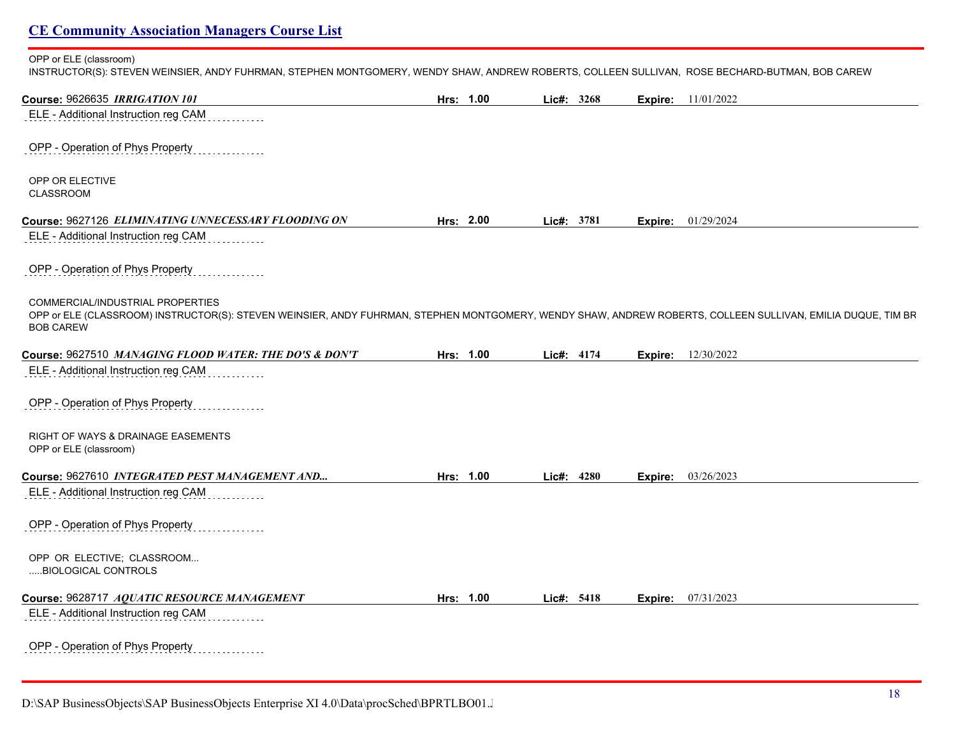OPP or ELE (classroom)

INSTRUCTOR(S): STEVEN WEINSIER, ANDY FUHRMAN, STEPHEN MONTGOMERY, WENDY SHAW, ANDREW ROBERTS, COLLEEN SULLIVAN, ROSE BECHARD-BUTMAN, BOB CAREW

| Course: 9626635 IRRIGATION 101                                                                                                                                                                                             | Hrs: 1.00 |            | Lic#: 3268 |         | <b>Expire:</b> 11/01/2022 |
|----------------------------------------------------------------------------------------------------------------------------------------------------------------------------------------------------------------------------|-----------|------------|------------|---------|---------------------------|
| ELE - Additional Instruction reg CAM                                                                                                                                                                                       |           |            |            |         |                           |
| OPP - Operation of Phys Property                                                                                                                                                                                           |           |            |            |         |                           |
| OPP OR ELECTIVE<br><b>CLASSROOM</b>                                                                                                                                                                                        |           |            |            |         |                           |
| Course: 9627126 ELIMINATING UNNECESSARY FLOODING ON                                                                                                                                                                        | Hrs: 2.00 | Lic#: 3781 |            | Expire: | 01/29/2024                |
| ELE - Additional Instruction reg CAM                                                                                                                                                                                       |           |            |            |         |                           |
| OPP - Operation of Phys Property                                                                                                                                                                                           |           |            |            |         |                           |
| <b>COMMERCIAL/INDUSTRIAL PROPERTIES</b><br>OPP or ELE (CLASSROOM) INSTRUCTOR(S): STEVEN WEINSIER, ANDY FUHRMAN, STEPHEN MONTGOMERY, WENDY SHAW, ANDREW ROBERTS, COLLEEN SULLIVAN, EMILIA DUQUE, TIM BR<br><b>BOB CAREW</b> |           |            |            |         |                           |
| Course: 9627510 MANAGING FLOOD WATER: THE DO'S & DON'T                                                                                                                                                                     | Hrs: 1.00 |            | Lic#: 4174 | Expire: | 12/30/2022                |
| ELE - Additional Instruction reg CAM                                                                                                                                                                                       |           |            |            |         |                           |
| OPP - Operation of Phys Property                                                                                                                                                                                           |           |            |            |         |                           |
| <b>RIGHT OF WAYS &amp; DRAINAGE EASEMENTS</b><br>OPP or ELE (classroom)                                                                                                                                                    |           |            |            |         |                           |
| Course: 9627610 INTEGRATED PEST MANAGEMENT AND                                                                                                                                                                             | Hrs: 1.00 |            | Lic#: 4280 | Expire: | 03/26/2023                |
| ELE - Additional Instruction reg CAM                                                                                                                                                                                       |           |            |            |         |                           |
| OPP - Operation of Phys Property                                                                                                                                                                                           |           |            |            |         |                           |
| OPP OR ELECTIVE; CLASSROOM<br>BIOLOGICAL CONTROLS                                                                                                                                                                          |           |            |            |         |                           |
| Course: 9628717 AQUATIC RESOURCE MANAGEMENT                                                                                                                                                                                | Hrs: 1.00 |            | Lic#: 5418 | Expire: | 07/31/2023                |
| ELE - Additional Instruction reg CAM                                                                                                                                                                                       |           |            |            |         |                           |
| OPP - Operation of Phys Property                                                                                                                                                                                           |           |            |            |         |                           |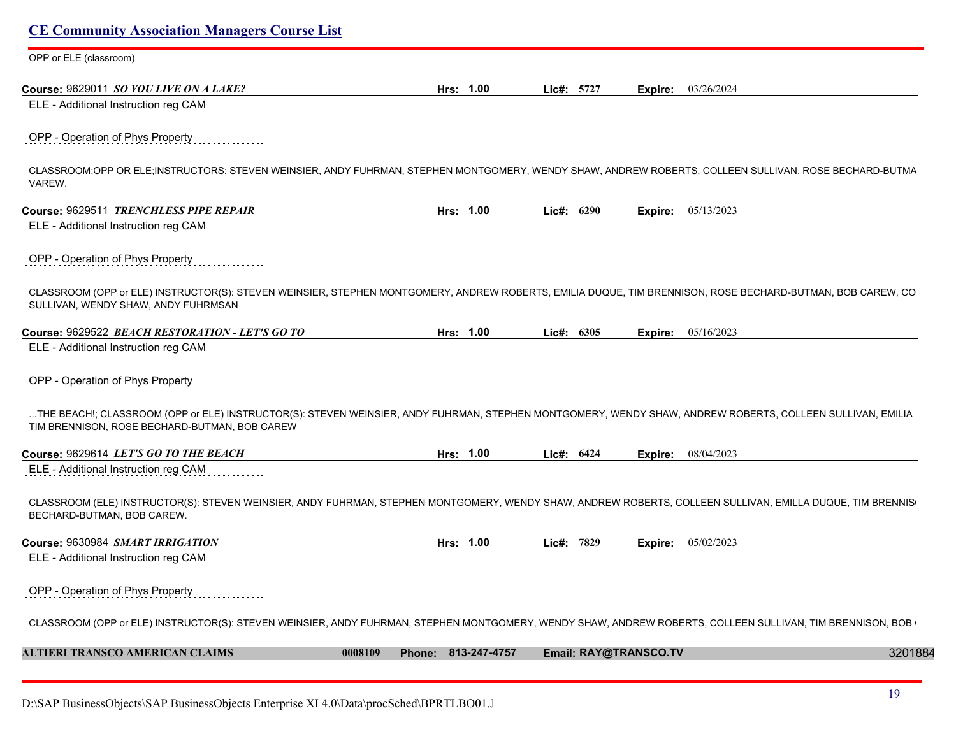| OPP or ELE (classroom)                                                                                                                                                                                     |           |            |                           |  |
|------------------------------------------------------------------------------------------------------------------------------------------------------------------------------------------------------------|-----------|------------|---------------------------|--|
|                                                                                                                                                                                                            |           |            |                           |  |
| Course: 9629011 SO YOU LIVE ON A LAKE?<br>ELE - Additional Instruction reg CAM                                                                                                                             | Hrs: 1.00 | Lic#: 5727 | 03/26/2024<br>Expire:     |  |
|                                                                                                                                                                                                            |           |            |                           |  |
| OPP - Operation of Phys Property                                                                                                                                                                           |           |            |                           |  |
| CLASSROOM;OPP OR ELE;INSTRUCTORS: STEVEN WEINSIER, ANDY FUHRMAN, STEPHEN MONTGOMERY, WENDY SHAW, ANDREW ROBERTS, COLLEEN SULLIVAN, ROSE BECHARD-BUTMA<br>VAREW.                                            |           |            |                           |  |
| Course: 9629511 TRENCHLESS PIPE REPAIR                                                                                                                                                                     | Hrs: 1.00 | Lic#: 6290 | <b>Expire:</b> 05/13/2023 |  |
| ELE - Additional Instruction reg CAM                                                                                                                                                                       |           |            |                           |  |
| OPP - Operation of Phys Property                                                                                                                                                                           |           |            |                           |  |
| CLASSROOM (OPP or ELE) INSTRUCTOR(S): STEVEN WEINSIER, STEPHEN MONTGOMERY, ANDREW ROBERTS, EMILIA DUQUE, TIM BRENNISON, ROSE BECHARD-BUTMAN, BOB CAREW, CO<br>SULLIVAN, WENDY SHAW, ANDY FUHRMSAN          |           |            |                           |  |
| Course: 9629522 BEACH RESTORATION - LET'S GO TO                                                                                                                                                            | Hrs: 1.00 | Lic#: 6305 | 05/16/2023<br>Expire:     |  |
| ELE - Additional Instruction reg CAM                                                                                                                                                                       |           |            |                           |  |
| OPP - Operation of Phys Property                                                                                                                                                                           |           |            |                           |  |
| THE BEACH!; CLASSROOM (OPP or ELE) INSTRUCTOR(S): STEVEN WEINSIER, ANDY FUHRMAN, STEPHEN MONTGOMERY, WENDY SHAW, ANDREW ROBERTS, COLLEEN SULLIVAN, EMILIA<br>TIM BRENNISON, ROSE BECHARD-BUTMAN, BOB CAREW |           |            |                           |  |
| Course: 9629614 LET'S GO TO THE BEACH                                                                                                                                                                      | Hrs: 1.00 | Lic#: 6424 | Expire: 08/04/2023        |  |
| ELE - Additional Instruction reg CAM                                                                                                                                                                       |           |            |                           |  |
| CLASSROOM (ELE) INSTRUCTOR(S): STEVEN WEINSIER, ANDY FUHRMAN, STEPHEN MONTGOMERY, WENDY SHAW, ANDREW ROBERTS, COLLEEN SULLIVAN, EMILLA DUQUE, TIM BRENNIS<br>BECHARD-BUTMAN, BOB CAREW.                    |           |            |                           |  |
| Course: 9630984 SMART IRRIGATION                                                                                                                                                                           | Hrs: 1.00 | Lic#: 7829 | <b>Expire:</b> 05/02/2023 |  |
|                                                                                                                                                                                                            |           |            |                           |  |
| ELE - Additional Instruction reg CAM                                                                                                                                                                       |           |            |                           |  |
| OPP - Operation of Phys Property                                                                                                                                                                           |           |            |                           |  |
| CLASSROOM (OPP or ELE) INSTRUCTOR(S): STEVEN WEINSIER, ANDY FUHRMAN, STEPHEN MONTGOMERY, WENDY SHAW, ANDREW ROBERTS, COLLEEN SULLIVAN, TIM BRENNISON, BOB                                                  |           |            |                           |  |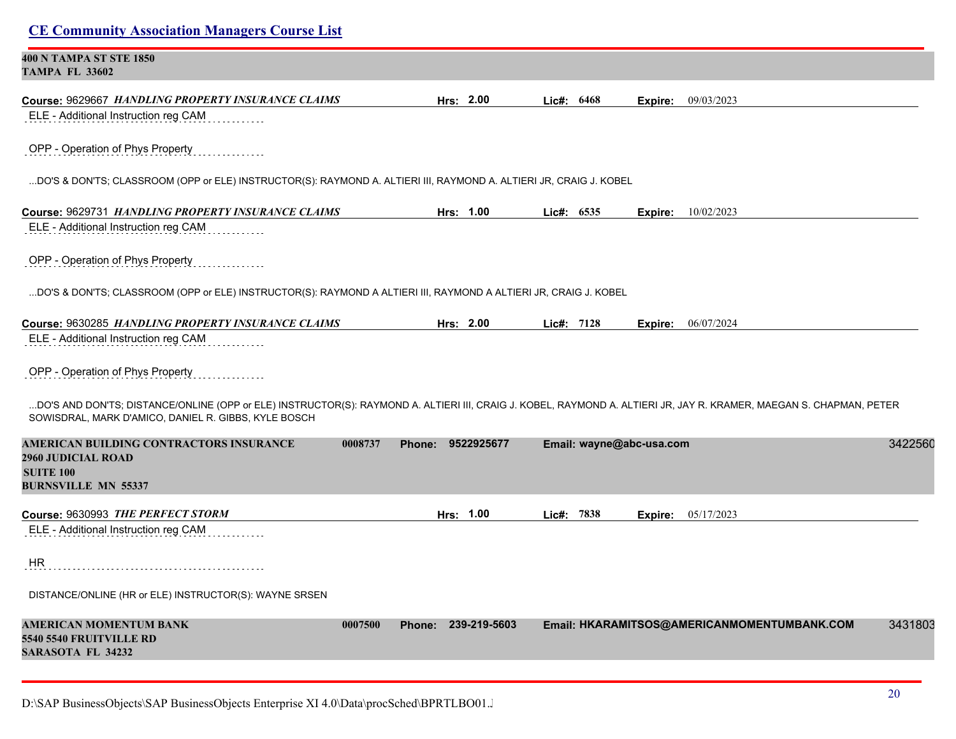| СЕ Соннципту твоеспитон втанается Сойтве Евг                                                                                                                                                                                |         |                     |       |              |                          |                                             |         |
|-----------------------------------------------------------------------------------------------------------------------------------------------------------------------------------------------------------------------------|---------|---------------------|-------|--------------|--------------------------|---------------------------------------------|---------|
| 400 N TAMPA ST STE 1850<br><b>TAMPA FL 33602</b>                                                                                                                                                                            |         |                     |       |              |                          |                                             |         |
| Course: 9629667 HANDLING PROPERTY INSURANCE CLAIMS                                                                                                                                                                          |         | Hrs: 2.00           |       | Lic#: 6468   | Expire:                  | 09/03/2023                                  |         |
| ELE - Additional Instruction reg CAM                                                                                                                                                                                        |         |                     |       |              |                          |                                             |         |
| OPP - Operation of Phys Property                                                                                                                                                                                            |         |                     |       |              |                          |                                             |         |
| DO'S & DON'TS; CLASSROOM (OPP or ELE) INSTRUCTOR(S): RAYMOND A. ALTIERI III, RAYMOND A. ALTIERI JR, CRAIG J. KOBEL                                                                                                          |         |                     |       |              |                          |                                             |         |
|                                                                                                                                                                                                                             |         | Hrs: 1.00           |       | Lie#: 6535   |                          | Expire: 10/02/2023                          |         |
| ELE - Additional Instruction reg CAM                                                                                                                                                                                        |         |                     |       |              |                          |                                             |         |
| OPP - Operation of Phys Property                                                                                                                                                                                            |         |                     |       |              |                          |                                             |         |
| DO'S & DON'TS; CLASSROOM (OPP or ELE) INSTRUCTOR(S): RAYMOND A ALTIERI III, RAYMOND A ALTIERI JR, CRAIG J. KOBEL                                                                                                            |         |                     |       |              |                          |                                             |         |
| Course: 9630285 HANDLING PROPERTY INSURANCE CLAIMS                                                                                                                                                                          |         | Hrs: 2.00           |       | Lic#: $7128$ |                          | <b>Expire:</b> 06/07/2024                   |         |
| ELE - Additional Instruction reg CAM                                                                                                                                                                                        |         |                     |       |              |                          |                                             |         |
| OPP - Operation of Phys Property                                                                                                                                                                                            |         |                     |       |              |                          |                                             |         |
| DO'S AND DON'TS; DISTANCE/ONLINE (OPP or ELE) INSTRUCTOR(S): RAYMOND A. ALTIERI III, CRAIG J. KOBEL, RAYMOND A. ALTIERI JR, JAY R. KRAMER, MAEGAN S. CHAPMAN, PETER<br>SOWISDRAL, MARK D'AMICO, DANIEL R. GIBBS, KYLE BOSCH |         |                     |       |              |                          |                                             |         |
| AMERICAN BUILDING CONTRACTORS INSURANCE                                                                                                                                                                                     | 0008737 | Phone: 9522925677   |       |              | Email: wayne@abc-usa.com |                                             | 3422560 |
| <b>2960 JUDICIAL ROAD</b><br><b>SUITE 100</b>                                                                                                                                                                               |         |                     |       |              |                          |                                             |         |
| <b>BURNSVILLE MN 55337</b>                                                                                                                                                                                                  |         |                     |       |              |                          |                                             |         |
| Course: 9630993 THE PERFECT STORM                                                                                                                                                                                           |         | Hrs: 1.00           | Lic#: | 7838         | Expire:                  | 05/17/2023                                  |         |
| ELE - Additional Instruction reg CAM                                                                                                                                                                                        |         |                     |       |              |                          |                                             |         |
| HR.                                                                                                                                                                                                                         |         |                     |       |              |                          |                                             |         |
| DISTANCE/ONLINE (HR or ELE) INSTRUCTOR(S): WAYNE SRSEN                                                                                                                                                                      |         |                     |       |              |                          |                                             |         |
| AMERICAN MOMENTUM BANK<br><b>5540 5540 FRUITVILLE RD</b>                                                                                                                                                                    | 0007500 | Phone: 239-219-5603 |       |              |                          | Email: HKARAMITSOS@AMERICANMOMENTUMBANK.COM | 3431803 |

**SARASOTA FL 34232**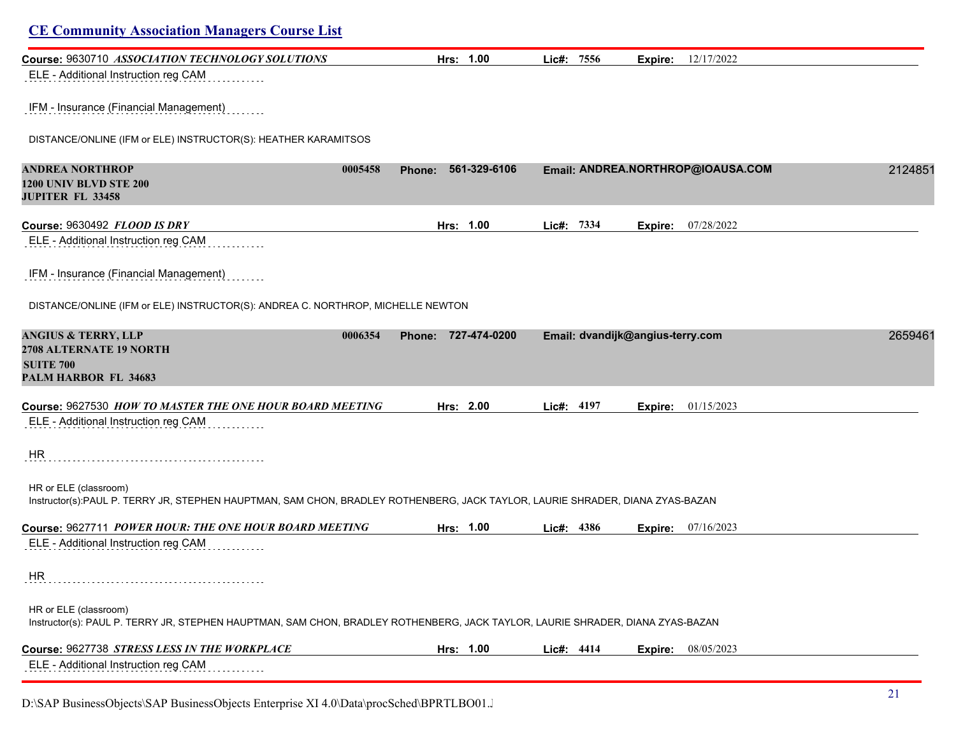| <b>CE Community Association Managers Course List</b>                                                                                                    |                          |                     |            |                                  |                                   |         |
|---------------------------------------------------------------------------------------------------------------------------------------------------------|--------------------------|---------------------|------------|----------------------------------|-----------------------------------|---------|
| Course: 9630710 ASSOCIATION TECHNOLOGY SOLUTIONS                                                                                                        |                          | Hrs: 1.00           | Lic#: 7556 | Expire:                          | 12/17/2022                        |         |
| ELE - Additional Instruction reg CAM                                                                                                                    |                          |                     |            |                                  |                                   |         |
| IFM - Insurance (Financial Management)                                                                                                                  |                          |                     |            |                                  |                                   |         |
| DISTANCE/ONLINE (IFM or ELE) INSTRUCTOR(S): HEATHER KARAMITSOS                                                                                          |                          |                     |            |                                  |                                   |         |
| <b>ANDREA NORTHROP</b><br><b>1200 UNIV BLVD STE 200</b><br><b>JUPITER FL 33458</b>                                                                      | 0005458<br><b>Phone:</b> | 561-329-6106        |            |                                  | Email: ANDREA.NORTHROP@IOAUSA.COM | 2124851 |
| Course: 9630492 FLOOD IS DRY                                                                                                                            |                          | Hrs: 1.00           | Lic#: 7334 | Expire:                          | 07/28/2022                        |         |
| ELE - Additional Instruction reg CAM                                                                                                                    |                          |                     |            |                                  |                                   |         |
| IFM - Insurance (Financial Management)                                                                                                                  |                          |                     |            |                                  |                                   |         |
| DISTANCE/ONLINE (IFM or ELE) INSTRUCTOR(S): ANDREA C. NORTHROP, MICHELLE NEWTON                                                                         |                          |                     |            |                                  |                                   |         |
| <b>ANGIUS &amp; TERRY, LLP</b><br>2708 ALTERNATE 19 NORTH<br><b>SUITE 700</b><br><b>PALM HARBOR FL 34683</b>                                            | 0006354                  | Phone: 727-474-0200 |            | Email: dvandijk@angius-terry.com |                                   | 2659461 |
| Course: 9627530 HOW TO MASTER THE ONE HOUR BOARD MEETING                                                                                                |                          | Hrs: 2.00           | Lic#: 4197 | Expire:                          | 01/15/2023                        |         |
| ELE - Additional Instruction reg CAM                                                                                                                    |                          |                     |            |                                  |                                   |         |
| HR.                                                                                                                                                     |                          |                     |            |                                  |                                   |         |
| HR or ELE (classroom)<br>Instructor(s):PAUL P. TERRY JR, STEPHEN HAUPTMAN, SAM CHON, BRADLEY ROTHENBERG, JACK TAYLOR, LAURIE SHRADER, DIANA ZYAS-BAZAN  |                          |                     |            |                                  |                                   |         |
| Course: 9627711 POWER HOUR: THE ONE HOUR BOARD MEETING                                                                                                  |                          | Hrs: 1.00           | Lie#: 4386 |                                  | Expire: 07/16/2023                |         |
| ELE - Additional Instruction reg CAM                                                                                                                    |                          |                     |            |                                  |                                   |         |
| HR                                                                                                                                                      |                          |                     |            |                                  |                                   |         |
| HR or ELE (classroom)<br>Instructor(s): PAUL P. TERRY JR, STEPHEN HAUPTMAN, SAM CHON, BRADLEY ROTHENBERG, JACK TAYLOR, LAURIE SHRADER, DIANA ZYAS-BAZAN |                          |                     |            |                                  |                                   |         |
| Course: 9627738 STRESS LESS IN THE WORKPLACE                                                                                                            |                          | Hrs: 1.00           | Lic#: 4414 | Expire:                          | 08/05/2023                        |         |
| ELE - Additional Instruction reg CAM                                                                                                                    |                          |                     |            |                                  |                                   |         |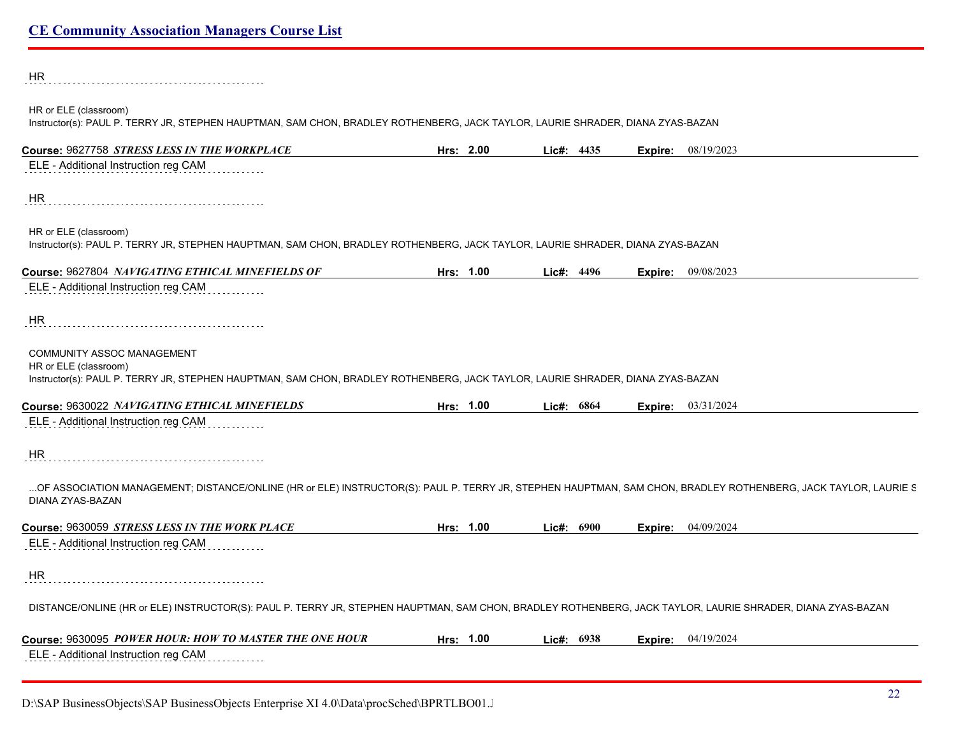| HR                                                                                                                                                                                                                                               |           |            |                             |
|--------------------------------------------------------------------------------------------------------------------------------------------------------------------------------------------------------------------------------------------------|-----------|------------|-----------------------------|
| HR or ELE (classroom)<br>Instructor(s): PAUL P. TERRY JR, STEPHEN HAUPTMAN, SAM CHON, BRADLEY ROTHENBERG, JACK TAYLOR, LAURIE SHRADER, DIANA ZYAS-BAZAN                                                                                          |           |            |                             |
| Course: 9627758 STRESS LESS IN THE WORKPLACE                                                                                                                                                                                                     | Hrs: 2.00 | Lic#: 4435 | <b>Expire:</b> $08/19/2023$ |
| ELE - Additional Instruction reg CAM                                                                                                                                                                                                             |           |            |                             |
| HR.                                                                                                                                                                                                                                              |           |            |                             |
| HR or ELE (classroom)<br>Instructor(s): PAUL P. TERRY JR, STEPHEN HAUPTMAN, SAM CHON, BRADLEY ROTHENBERG, JACK TAYLOR, LAURIE SHRADER, DIANA ZYAS-BAZAN                                                                                          |           |            |                             |
| Course: 9627804 NAVIGATING ETHICAL MINEFIELDS OF                                                                                                                                                                                                 | Hrs: 1.00 | Lie#: 4496 | <b>Expire:</b> 09/08/2023   |
| ELE - Additional Instruction reg CAM                                                                                                                                                                                                             |           |            |                             |
| HR.                                                                                                                                                                                                                                              |           |            |                             |
| COMMUNITY ASSOC MANAGEMENT                                                                                                                                                                                                                       |           |            |                             |
|                                                                                                                                                                                                                                                  |           |            |                             |
|                                                                                                                                                                                                                                                  |           |            |                             |
|                                                                                                                                                                                                                                                  | Hrs: 1.00 | Lic#: 6864 | Expire: 03/31/2024          |
| HR or ELE (classroom)<br>Instructor(s): PAUL P. TERRY JR, STEPHEN HAUPTMAN, SAM CHON, BRADLEY ROTHENBERG, JACK TAYLOR, LAURIE SHRADER, DIANA ZYAS-BAZAN<br>Course: 9630022 NAVIGATING ETHICAL MINEFIELDS<br>ELE - Additional Instruction reg CAM |           |            |                             |
| HR                                                                                                                                                                                                                                               |           |            |                             |
| OF ASSOCIATION MANAGEMENT; DISTANCE/ONLINE (HR or ELE) INSTRUCTOR(S): PAUL P. TERRY JR, STEPHEN HAUPTMAN, SAM CHON, BRADLEY ROTHENBERG, JACK TAYLOR, LAURIE S<br>DIANA ZYAS-BAZAN                                                                |           |            |                             |
|                                                                                                                                                                                                                                                  | Hrs: 1.00 | Lic#: 6900 | Expire: 04/09/2024          |
| Course: 9630059 STRESS LESS IN THE WORK PLACE<br>ELE - Additional Instruction reg CAM                                                                                                                                                            |           |            |                             |
| <b>HR</b>                                                                                                                                                                                                                                        |           |            |                             |
| DISTANCE/ONLINE (HR or ELE) INSTRUCTOR(S): PAUL P. TERRY JR, STEPHEN HAUPTMAN, SAM CHON, BRADLEY ROTHENBERG, JACK TAYLOR, LAURIE SHRADER, DIANA ZYAS-BAZAN                                                                                       |           |            |                             |
| <b>Course: 9630095 POWER HOUR: HOW TO MASTER THE ONE HOUR</b>                                                                                                                                                                                    | Hrs: 1.00 | Lic#: 6938 | <b>Expire:</b> $04/19/2024$ |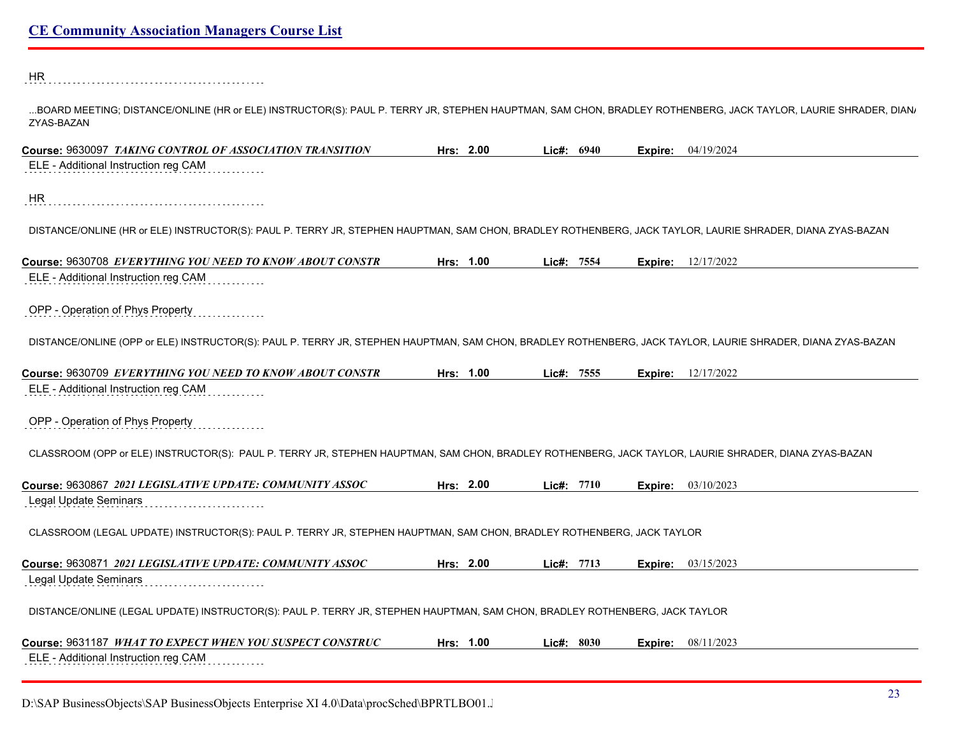HR 

...BOARD MEETING; DISTANCE/ONLINE (HR or ELE) INSTRUCTOR(S): PAUL P. TERRY JR, STEPHEN HAUPTMAN, SAM CHON, BRADLEY ROTHENBERG, JACK TAYLOR, LAURIE SHRADER, DIAN, ZYAS-BAZAN

| Course: 9630097 TAKING CONTROL OF ASSOCIATION TRANSITION                                                                                                    | Hrs: 2.00 | Lic#: 6940 | Expire: | 04/19/2024                |
|-------------------------------------------------------------------------------------------------------------------------------------------------------------|-----------|------------|---------|---------------------------|
| ELE - Additional Instruction reg CAM                                                                                                                        |           |            |         |                           |
| HR                                                                                                                                                          |           |            |         |                           |
| DISTANCE/ONLINE (HR or ELE) INSTRUCTOR(S): PAUL P. TERRY JR, STEPHEN HAUPTMAN, SAM CHON, BRADLEY ROTHENBERG, JACK TAYLOR, LAURIE SHRADER, DIANA ZYAS-BAZAN  |           |            |         |                           |
| Course: 9630708 EVERYTHING YOU NEED TO KNOW ABOUT CONSTR                                                                                                    | Hrs: 1.00 | Lic#: 7554 |         | <b>Expire:</b> 12/17/2022 |
| ELE - Additional Instruction reg CAM                                                                                                                        |           |            |         |                           |
| OPP - Operation of Phys Property                                                                                                                            |           |            |         |                           |
| DISTANCE/ONLINE (OPP or ELE) INSTRUCTOR(S): PAUL P. TERRY JR, STEPHEN HAUPTMAN, SAM CHON, BRADLEY ROTHENBERG, JACK TAYLOR, LAURIE SHRADER, DIANA ZYAS-BAZAN |           |            |         |                           |
| Course: 9630709 EVERYTHING YOU NEED TO KNOW ABOUT CONSTR                                                                                                    | Hrs: 1.00 | Lic#: 7555 | Expire: | 12/17/2022                |
| ELE - Additional Instruction reg CAM                                                                                                                        |           |            |         |                           |
| OPP - Operation of Phys Property                                                                                                                            |           |            |         |                           |
| CLASSROOM (OPP or ELE) INSTRUCTOR(S): PAUL P. TERRY JR, STEPHEN HAUPTMAN, SAM CHON, BRADLEY ROTHENBERG, JACK TAYLOR, LAURIE SHRADER, DIANA ZYAS-BAZAN       |           |            |         |                           |
| Course: 9630867 2021 LEGISLATIVE UPDATE: COMMUNITY ASSOC                                                                                                    | Hrs: 2.00 | Lie#: 7710 | Expire: | 03/10/2023                |
| <b>Legal Update Seminars</b>                                                                                                                                |           |            |         |                           |
| CLASSROOM (LEGAL UPDATE) INSTRUCTOR(S): PAUL P. TERRY JR, STEPHEN HAUPTMAN, SAM CHON, BRADLEY ROTHENBERG, JACK TAYLOR                                       |           |            |         |                           |
| Course: 9630871 2021 LEGISLATIVE UPDATE: COMMUNITY ASSOC                                                                                                    | Hrs: 2.00 | Lic#: 7713 | Expire: | 03/15/2023                |
| <b>Legal Update Seminars</b>                                                                                                                                |           |            |         |                           |
| DISTANCE/ONLINE (LEGAL UPDATE) INSTRUCTOR(S): PAUL P. TERRY JR, STEPHEN HAUPTMAN, SAM CHON, BRADLEY ROTHENBERG, JACK TAYLOR                                 |           |            |         |                           |
| Course: 9631187 WHAT TO EXPECT WHEN YOU SUSPECT CONSTRUC                                                                                                    | Hrs: 1.00 | Lie#: 8030 | Expire: | 08/11/2023                |
| ELE - Additional Instruction reg CAM                                                                                                                        |           |            |         |                           |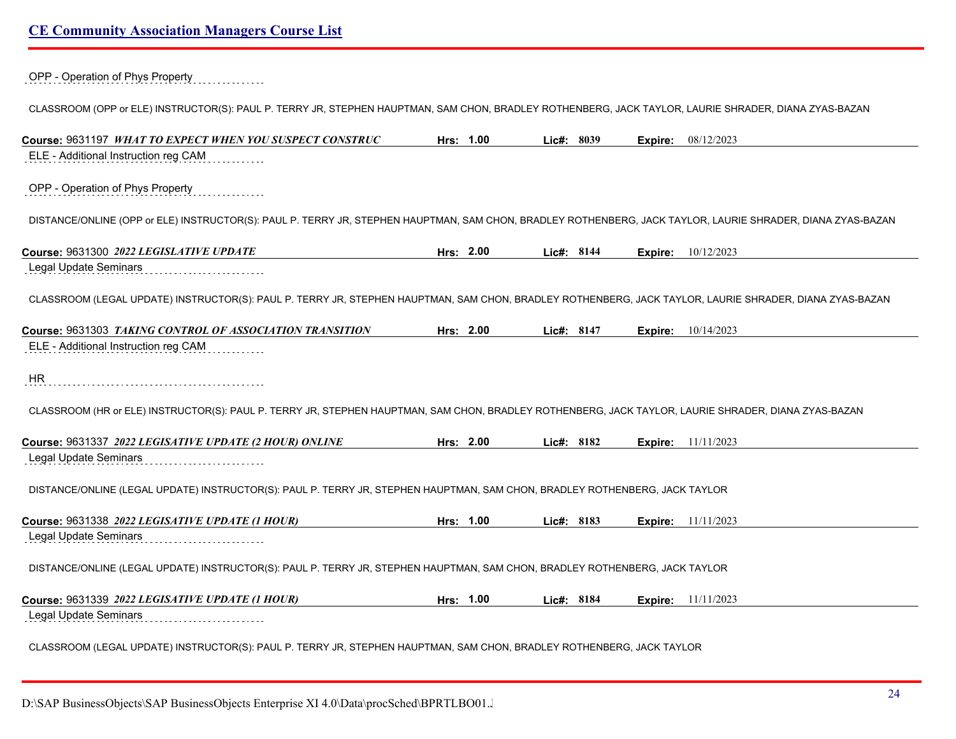OPP - Operation of Phys Property

CLASSROOM (OPP or ELE) INSTRUCTOR(S): PAUL P. TERRY JR, STEPHEN HAUPTMAN, SAM CHON, BRADLEY ROTHENBERG, JACK TAYLOR, LAURIE SHRADER, DIANA ZYAS-BAZAN

| Course: 9631197 WHAT TO EXPECT WHEN YOU SUSPECT CONSTRUC                                                                                                          | Hrs: 1.00 | Lic#: 8039 | 08/12/2023<br>Expire:     |  |
|-------------------------------------------------------------------------------------------------------------------------------------------------------------------|-----------|------------|---------------------------|--|
| ELE - Additional Instruction reg CAM                                                                                                                              |           |            |                           |  |
| OPP - Operation of Phys Property                                                                                                                                  |           |            |                           |  |
| DISTANCE/ONLINE (OPP or ELE) INSTRUCTOR(S): PAUL P. TERRY JR, STEPHEN HAUPTMAN, SAM CHON, BRADLEY ROTHENBERG, JACK TAYLOR, LAURIE SHRADER, DIANA ZYAS-BAZAN       |           |            |                           |  |
| Course: 9631300 2022 LEGISLATIVE UPDATE                                                                                                                           | Hrs: 2.00 | Lic#: 8144 | 10/12/2023<br>Expire:     |  |
| <b>Legal Update Seminars</b>                                                                                                                                      |           |            |                           |  |
| CLASSROOM (LEGAL UPDATE) INSTRUCTOR(S): PAUL P. TERRY JR, STEPHEN HAUPTMAN, SAM CHON, BRADLEY ROTHENBERG, JACK TAYLOR, LAURIE SHRADER, DIANA ZYAS-BAZAN           |           |            |                           |  |
| Course: 9631303 TAKING CONTROL OF ASSOCIATION TRANSITION                                                                                                          | Hrs: 2.00 | Lic#: 8147 | 10/14/2023<br>Expire:     |  |
| ELE - Additional Instruction reg CAM                                                                                                                              |           |            |                           |  |
| <b>HR</b><br>CLASSROOM (HR or ELE) INSTRUCTOR(S): PAUL P. TERRY JR, STEPHEN HAUPTMAN, SAM CHON, BRADLEY ROTHENBERG, JACK TAYLOR, LAURIE SHRADER, DIANA ZYAS-BAZAN |           |            |                           |  |
| Course: 9631337 2022 LEGISATIVE UPDATE (2 HOUR) ONLINE                                                                                                            | Hrs: 2.00 | Lic#: 8182 | <b>Expire:</b> 11/11/2023 |  |
| <b>Legal Update Seminars</b>                                                                                                                                      |           |            |                           |  |
| DISTANCE/ONLINE (LEGAL UPDATE) INSTRUCTOR(S): PAUL P. TERRY JR, STEPHEN HAUPTMAN, SAM CHON, BRADLEY ROTHENBERG, JACK TAYLOR                                       |           |            |                           |  |
| Course: 9631338 2022 LEGISATIVE UPDATE (1 HOUR)                                                                                                                   | Hrs: 1.00 | Lic#: 8183 | <b>Expire:</b> 11/11/2023 |  |
| Legal Update Seminars                                                                                                                                             |           |            |                           |  |
| DISTANCE/ONLINE (LEGAL UPDATE) INSTRUCTOR(S): PAUL P. TERRY JR, STEPHEN HAUPTMAN, SAM CHON, BRADLEY ROTHENBERG, JACK TAYLOR                                       |           |            |                           |  |
| Course: 9631339 2022 LEGISATIVE UPDATE (1 HOUR)                                                                                                                   | Hrs: 1.00 | Lic#: 8184 | <b>Expire:</b> 11/11/2023 |  |
| Legal Update Seminars                                                                                                                                             |           |            |                           |  |
| CLASSROOM (LEGAL UPDATE) INSTRUCTOR(S): PAUL P. TERRY JR, STEPHEN HAUPTMAN, SAM CHON, BRADLEY ROTHENBERG, JACK TAYLOR                                             |           |            |                           |  |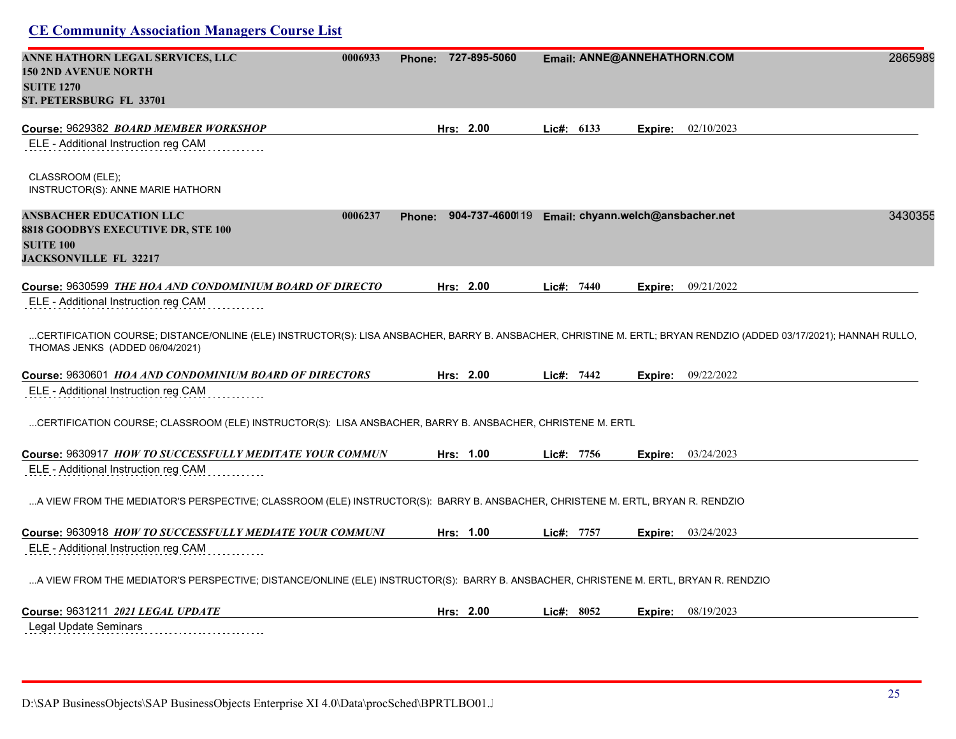| ANNE HATHORN LEGAL SERVICES, LLC<br><b>150 2ND AVENUE NORTH</b><br><b>SUITE 1270</b><br>ST. PETERSBURG FL 33701                                                                                                                                                                                       | 0006933 | <b>Phone:</b> | 727-895-5060                                      |            | Email: ANNE@ANNEHATHORN.COM |                    | 2865989 |
|-------------------------------------------------------------------------------------------------------------------------------------------------------------------------------------------------------------------------------------------------------------------------------------------------------|---------|---------------|---------------------------------------------------|------------|-----------------------------|--------------------|---------|
| Course: 9629382 BOARD MEMBER WORKSHOP                                                                                                                                                                                                                                                                 |         |               | Hrs: 2.00                                         | Lic#: 6133 | Expire:                     | 02/10/2023         |         |
| ELE - Additional Instruction reg CAM                                                                                                                                                                                                                                                                  |         |               |                                                   |            |                             |                    |         |
| CLASSROOM (ELE);<br>INSTRUCTOR(S): ANNE MARIE HATHORN                                                                                                                                                                                                                                                 |         |               |                                                   |            |                             |                    |         |
| <b>ANSBACHER EDUCATION LLC</b><br>8818 GOODBYS EXECUTIVE DR, STE 100<br><b>SUITE 100</b><br><b>JACKSONVILLE FL 32217</b>                                                                                                                                                                              | 0006237 | <b>Phone:</b> | 904-737-4600119 Email: chyann.welch@ansbacher.net |            |                             |                    | 3430355 |
| Course: 9630599 THE HOA AND CONDOMINIUM BOARD OF DIRECTO                                                                                                                                                                                                                                              |         |               | Hrs: 2.00                                         | Lic#: 7440 | Expire:                     | 09/21/2022         |         |
| ELE - Additional Instruction reg CAM                                                                                                                                                                                                                                                                  |         |               |                                                   |            |                             |                    |         |
| CERTIFICATION COURSE; DISTANCE/ONLINE (ELE) INSTRUCTOR(S): LISA ANSBACHER, BARRY B. ANSBACHER, CHRISTINE M. ERTL; BRYAN RENDZIO (ADDED 03/17/2021); HANNAH RULLO<br>THOMAS JENKS (ADDED 06/04/2021)<br>Course: 9630601 HOA AND CONDOMINIUM BOARD OF DIRECTORS<br>ELE - Additional Instruction reg CAM |         |               | Hrs: 2.00                                         | Lie#: 7442 |                             | Expire: 09/22/2022 |         |
| CERTIFICATION COURSE; CLASSROOM (ELE) INSTRUCTOR(S): LISA ANSBACHER, BARRY B. ANSBACHER, CHRISTENE M. ERTL                                                                                                                                                                                            |         |               |                                                   |            |                             |                    |         |
| Course: 9630917 HOW TO SUCCESSFULLY MEDITATE YOUR COMMUN<br>ELE - Additional Instruction reg CAM                                                                                                                                                                                                      |         |               | Hrs: 1.00                                         | Lie#: 7756 |                             | Expire: 03/24/2023 |         |
| A VIEW FROM THE MEDIATOR'S PERSPECTIVE; CLASSROOM (ELE) INSTRUCTOR(S): BARRY B. ANSBACHER, CHRISTENE M. ERTL, BRYAN R. RENDZIO                                                                                                                                                                        |         |               |                                                   |            |                             |                    |         |
| Course: 9630918 HOW TO SUCCESSFULLY MEDIATE YOUR COMMUNI                                                                                                                                                                                                                                              |         |               | Hrs: 1.00                                         | Lic#: 7757 |                             | Expire: 03/24/2023 |         |
| ELE - Additional Instruction reg CAM                                                                                                                                                                                                                                                                  |         |               |                                                   |            |                             |                    |         |
| A VIEW FROM THE MEDIATOR'S PERSPECTIVE; DISTANCE/ONLINE (ELE) INSTRUCTOR(S): BARRY B. ANSBACHER, CHRISTENE M. ERTL, BRYAN R. RENDZIO                                                                                                                                                                  |         |               |                                                   |            |                             |                    |         |
|                                                                                                                                                                                                                                                                                                       |         |               | Hrs: $2.00$                                       | Lie#: 8052 |                             | Expire: 08/19/2023 |         |
| Legal Update Seminars                                                                                                                                                                                                                                                                                 |         |               |                                                   |            |                             |                    |         |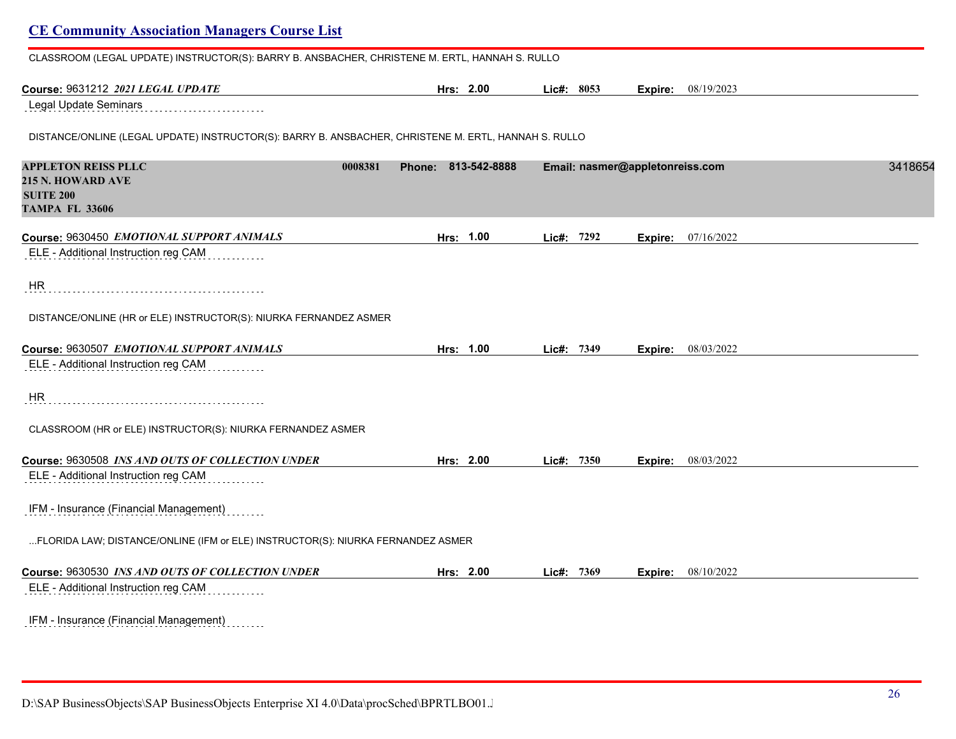| CLASSROOM (LEGAL UPDATE) INSTRUCTOR(S): BARRY B. ANSBACHER, CHRISTENE M. ERTL, HANNAH S. RULLO       |                     |            |                                 |         |
|------------------------------------------------------------------------------------------------------|---------------------|------------|---------------------------------|---------|
| Course: 9631212 2021 LEGAL UPDATE                                                                    | Hrs: 2.00           | Lic#: 8053 | <b>Expire:</b> 08/19/2023       |         |
| Legal Update Seminars                                                                                |                     |            |                                 |         |
| DISTANCE/ONLINE (LEGAL UPDATE) INSTRUCTOR(S): BARRY B. ANSBACHER, CHRISTENE M. ERTL, HANNAH S. RULLO |                     |            |                                 |         |
| <b>APPLETON REISS PLLC</b><br>0008381                                                                | Phone: 813-542-8888 |            | Email: nasmer@appletonreiss.com | 3418654 |
| <b>215 N. HOWARD AVE</b>                                                                             |                     |            |                                 |         |
| <b>SUITE 200</b><br><b>TAMPA FL 33606</b>                                                            |                     |            |                                 |         |
| Course: 9630450 EMOTIONAL SUPPORT ANIMALS                                                            | Hrs: 1.00           | Lic#: 7292 | 07/16/2022<br>Expire:           |         |
| ELE - Additional Instruction reg CAM                                                                 |                     |            |                                 |         |
| <b>HR</b>                                                                                            |                     |            |                                 |         |
| DISTANCE/ONLINE (HR or ELE) INSTRUCTOR(S): NIURKA FERNANDEZ ASMER                                    |                     |            |                                 |         |
| Course: 9630507 EMOTIONAL SUPPORT ANIMALS                                                            | Hrs: 1.00           | Lic#: 7349 | 08/03/2022<br>Expire:           |         |
| ELE - Additional Instruction reg CAM                                                                 |                     |            |                                 |         |
| <b>HR</b>                                                                                            |                     |            |                                 |         |
| CLASSROOM (HR or ELE) INSTRUCTOR(S): NIURKA FERNANDEZ ASMER                                          |                     |            |                                 |         |
| Course: 9630508 INS AND OUTS OF COLLECTION UNDER                                                     | Hrs: 2.00           | Lic#: 7350 | 08/03/2022<br>Expire:           |         |
| ELE - Additional Instruction reg CAM                                                                 |                     |            |                                 |         |
| IFM - Insurance (Financial Management)                                                               |                     |            |                                 |         |
| FLORIDA LAW; DISTANCE/ONLINE (IFM or ELE) INSTRUCTOR(S): NIURKA FERNANDEZ ASMER                      |                     |            |                                 |         |
| Course: 9630530 INS AND OUTS OF COLLECTION UNDER                                                     | Hrs: 2.00           | Lic#: 7369 | Expire: 08/10/2022              |         |
| ELE - Additional Instruction reg CAM                                                                 |                     |            |                                 |         |
| IFM - Insurance (Financial Management)                                                               |                     |            |                                 |         |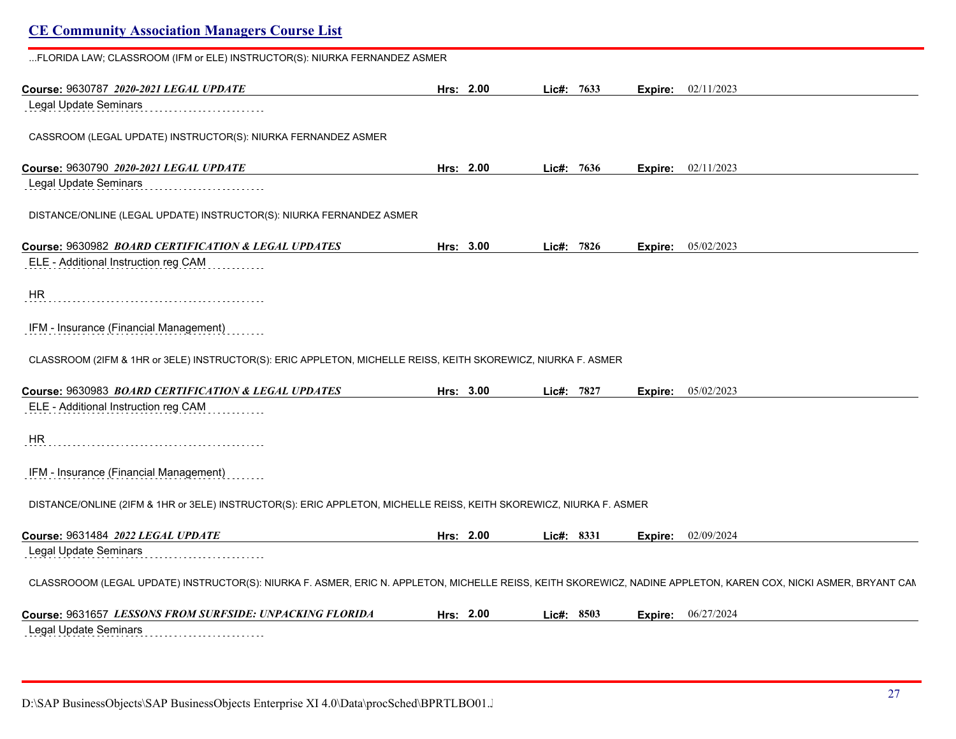| FLORIDA LAW; CLASSROOM (IFM or ELE) INSTRUCTOR(S): NIURKA FERNANDEZ ASMER                                                                                        |           |           |            |         |                           |
|------------------------------------------------------------------------------------------------------------------------------------------------------------------|-----------|-----------|------------|---------|---------------------------|
| Course: 9630787 2020-2021 LEGAL UPDATE                                                                                                                           |           | Hrs: 2.00 | Lie#: 7633 | Expire: | 02/11/2023                |
| Legal Update Seminars                                                                                                                                            |           |           |            |         |                           |
| CASSROOM (LEGAL UPDATE) INSTRUCTOR(S): NIURKA FERNANDEZ ASMER                                                                                                    |           |           |            |         |                           |
| Course: 9630790 2020-2021 LEGAL UPDATE                                                                                                                           |           | Hrs: 2.00 | Lic#: 7636 |         | <b>Expire:</b> 02/11/2023 |
| Legal Update Seminars                                                                                                                                            |           |           |            |         |                           |
| DISTANCE/ONLINE (LEGAL UPDATE) INSTRUCTOR(S): NIURKA FERNANDEZ ASMER                                                                                             |           |           |            |         |                           |
| Course: 9630982 BOARD CERTIFICATION & LEGAL UPDATES                                                                                                              | Hrs: 3.00 |           | Lic#: 7826 | Expire: | 05/02/2023                |
| ELE - Additional Instruction reg CAM                                                                                                                             |           |           |            |         |                           |
| <b>HR</b>                                                                                                                                                        |           |           |            |         |                           |
| IFM - Insurance (Financial Management)                                                                                                                           |           |           |            |         |                           |
| CLASSROOM (2IFM & 1HR or 3ELE) INSTRUCTOR(S): ERIC APPLETON, MICHELLE REISS, KEITH SKOREWICZ, NIURKA F. ASMER                                                    |           |           |            |         |                           |
| Course: 9630983 BOARD CERTIFICATION & LEGAL UPDATES                                                                                                              | Hrs: 3.00 |           | Lic#: 7827 | Expire: | 05/02/2023                |
| ELE - Additional Instruction reg CAM                                                                                                                             |           |           |            |         |                           |
| HR                                                                                                                                                               |           |           |            |         |                           |
| IFM - Insurance (Financial Management)                                                                                                                           |           |           |            |         |                           |
| DISTANCE/ONLINE (2IFM & 1HR or 3ELE) INSTRUCTOR(S): ERIC APPLETON, MICHELLE REISS, KEITH SKOREWICZ, NIURKA F. ASMER                                              |           |           |            |         |                           |
| Course: 9631484 2022 LEGAL UPDATE                                                                                                                                |           | Hrs: 2.00 | Lic#: 8331 | Expire: | 02/09/2024                |
| Legal Update Seminars                                                                                                                                            |           |           |            |         |                           |
| CLASSROOOM (LEGAL UPDATE) INSTRUCTOR(S): NIURKA F. ASMER, ERIC N. APPLETON, MICHELLE REISS, KEITH SKOREWICZ, NADINE APPLETON, KAREN COX, NICKI ASMER, BRYANT CAN |           |           |            |         |                           |
| Course: 9631657 LESSONS FROM SURFSIDE: UNPACKING FLORIDA                                                                                                         |           | Hrs: 2.00 | Lie#: 8503 | Expire: | 06/27/2024                |
| Legal Update Seminars                                                                                                                                            |           |           |            |         |                           |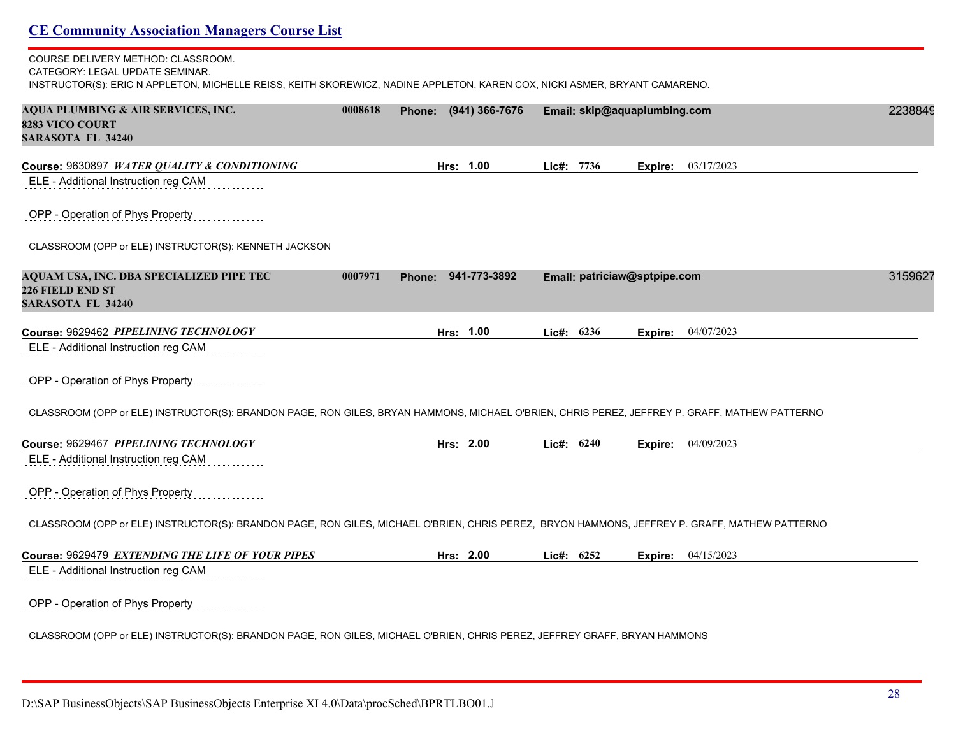# **CE Community Association Managers Course List** COURSE DELIVERY METHOD: CLASSROOM. CATEGORY: LEGAL UPDATE SEMINAR. INSTRUCTOR(S): ERIC N APPLETON, MICHELLE REISS, KEITH SKOREWICZ, NADINE APPLETON, KAREN COX, NICKI ASMER, BRYANT CAMARENO. **AQUA PLUMBING & AIR SERVICES, INC. 0008618 Phone: (941) 366-7676 Email: skip@aquaplumbing.com** 22388499 **8283 VICO COURT SARASOTA FL 34240 Course:** 9630897 *WATER QUALITY & CONDITIONING* **Hrs: 1.00 Lic#: 7736 Expire:** 03/17/2023 ELE - Additional Instruction reg CAM OPP - Operation of Phys Property CLASSROOM (OPP or ELE) INSTRUCTOR(S): KENNETH JACKSON **AQUAM USA, INC. DBA SPECIALIZED PIPE TEC 0007971 Phone: 941-773-3892 Email: patriciaw@sptpipe.com** 31596277 **226 FIELD END ST SARASOTA FL 34240 Course:** 9629462 *PIPELINING TECHNOLOGY* **Hrs: 1.00 Lic#: 6236 Expire:** 04/07/2023 ELE - Additional Instruction reg CAM OPP - Operation of Phys Property CLASSROOM (OPP or ELE) INSTRUCTOR(S): BRANDON PAGE, RON GILES, BRYAN HAMMONS, MICHAEL O'BRIEN, CHRIS PEREZ, JEFFREY P. GRAFF, MATHEW PATTERNO **Course:** 9629467 *PIPELINING TECHNOLOGY* **Hrs: 2.00 Lic#: 6240 Expire:** 04/09/2023 ELE - Additional Instruction reg CAM OPP - Operation of Phys Property CLASSROOM (OPP or ELE) INSTRUCTOR(S): BRANDON PAGE, RON GILES, MICHAEL O'BRIEN, CHRIS PEREZ, BRYON HAMMONS, JEFFREY P. GRAFF, MATHEW PATTERNO **Course:** 9629479 *EXTENDING THE LIFE OF YOUR PIPES* **Hrs: 2.00 Lic#: 6252 Expire:** 04/15/2023 ELE - Additional Instruction reg CAM OPP - Operation of Phys Property CLASSROOM (OPP or ELE) INSTRUCTOR(S): BRANDON PAGE, RON GILES, MICHAEL O'BRIEN, CHRIS PEREZ, JEFFREY GRAFF, BRYAN HAMMONS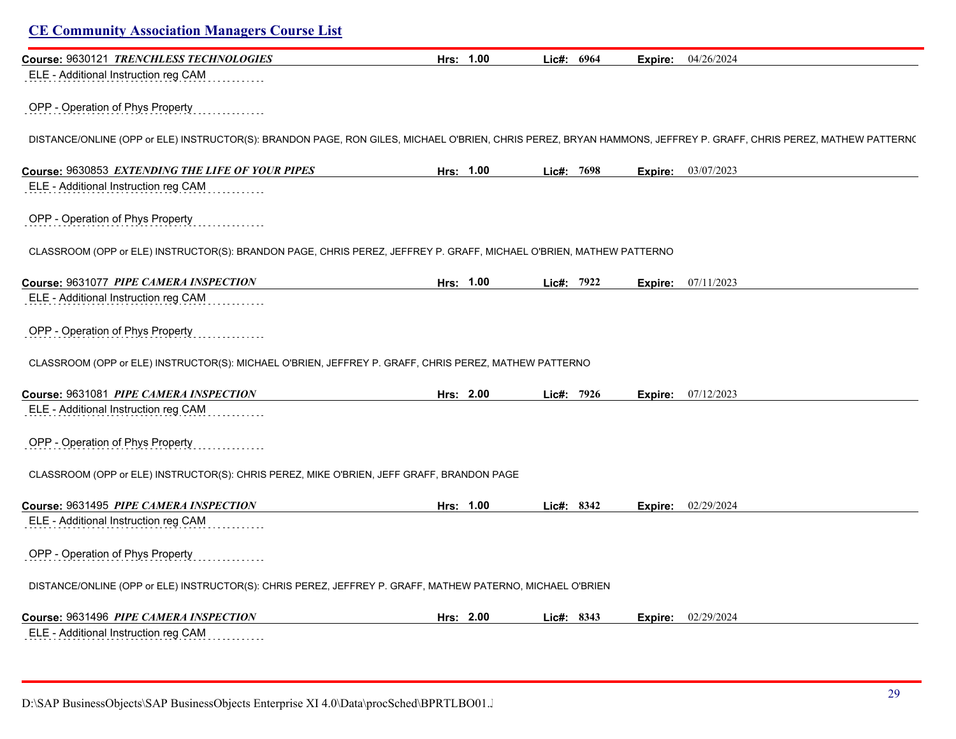| <b>CE Community Association Managers Course List</b>                                                                                                             |           |            |                           |  |
|------------------------------------------------------------------------------------------------------------------------------------------------------------------|-----------|------------|---------------------------|--|
| Course: 9630121 TRENCHLESS TECHNOLOGIES                                                                                                                          | Hrs: 1.00 | Lic#: 6964 | 04/26/2024<br>Expire:     |  |
| ELE - Additional Instruction reg CAM                                                                                                                             |           |            |                           |  |
| OPP - Operation of Phys Property                                                                                                                                 |           |            |                           |  |
| DISTANCE/ONLINE (OPP or ELE) INSTRUCTOR(S): BRANDON PAGE, RON GILES, MICHAEL O'BRIEN, CHRIS PEREZ, BRYAN HAMMONS, JEFFREY P. GRAFF, CHRIS PEREZ, MATHEW PATTERN( |           |            |                           |  |
| Course: 9630853 EXTENDING THE LIFE OF YOUR PIPES                                                                                                                 | Hrs: 1.00 | Lic#: 7698 | <b>Expire:</b> 03/07/2023 |  |
| ELE - Additional Instruction reg CAM                                                                                                                             |           |            |                           |  |
| OPP - Operation of Phys Property                                                                                                                                 |           |            |                           |  |
| CLASSROOM (OPP or ELE) INSTRUCTOR(S): BRANDON PAGE, CHRIS PEREZ, JEFFREY P. GRAFF, MICHAEL O'BRIEN, MATHEW PATTERNO                                              |           |            |                           |  |
| Course: 9631077 PIPE CAMERA INSPECTION                                                                                                                           | Hrs: 1.00 | Lic#: 7922 | 07/11/2023<br>Expire:     |  |
| ELE - Additional Instruction reg CAM                                                                                                                             |           |            |                           |  |
| OPP - Operation of Phys Property                                                                                                                                 |           |            |                           |  |
| CLASSROOM (OPP or ELE) INSTRUCTOR(S): MICHAEL O'BRIEN, JEFFREY P. GRAFF, CHRIS PEREZ, MATHEW PATTERNO                                                            |           |            |                           |  |
| Course: 9631081 PIPE CAMERA INSPECTION                                                                                                                           | Hrs: 2.00 | Lic#: 7926 | 07/12/2023<br>Expire:     |  |
| ELE - Additional Instruction reg CAM                                                                                                                             |           |            |                           |  |
| OPP - Operation of Phys Property                                                                                                                                 |           |            |                           |  |
| CLASSROOM (OPP or ELE) INSTRUCTOR(S): CHRIS PEREZ, MIKE O'BRIEN, JEFF GRAFF, BRANDON PAGE                                                                        |           |            |                           |  |
| Course: 9631495 PIPE CAMERA INSPECTION                                                                                                                           | Hrs: 1.00 | Lic#: 8342 | 02/29/2024<br>Expire:     |  |
| ELE - Additional Instruction reg CAM                                                                                                                             |           |            |                           |  |
| OPP - Operation of Phys Property                                                                                                                                 |           |            |                           |  |
| DISTANCE/ONLINE (OPP or ELE) INSTRUCTOR(S): CHRIS PEREZ, JEFFREY P. GRAFF, MATHEW PATERNO, MICHAEL O'BRIEN                                                       |           |            |                           |  |
| Course: 9631496 PIPE CAMERA INSPECTION                                                                                                                           | Hrs: 2.00 | Lic#: 8343 | 02/29/2024<br>Expire:     |  |
| ELE - Additional Instruction reg CAM                                                                                                                             |           |            |                           |  |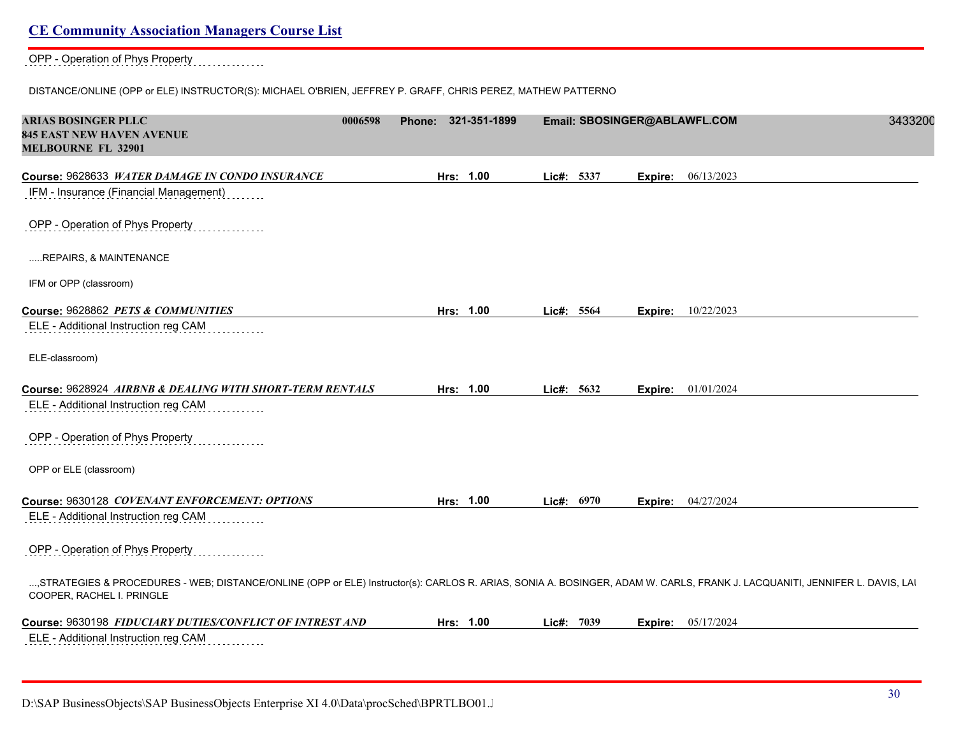#### OPP - Operation of Phys Property

#### DISTANCE/ONLINE (OPP or ELE) INSTRUCTOR(S): MICHAEL O'BRIEN, JEFFREY P. GRAFF, CHRIS PEREZ, MATHEW PATTERNO

| <b>ARIAS BOSINGER PLLC</b><br>0006598<br><b>845 EAST NEW HAVEN AVENUE</b><br><b>MELBOURNE FL 32901</b>                                                                                                   | Phone: 321-351-1899 |              |         | Email: SBOSINGER@ABLAWFL.COM<br>3433200 |
|----------------------------------------------------------------------------------------------------------------------------------------------------------------------------------------------------------|---------------------|--------------|---------|-----------------------------------------|
| Course: 9628633 WATER DAMAGE IN CONDO INSURANCE<br>IFM - Insurance (Financial Management)                                                                                                                | Hrs: 1.00           | Lic#: 5337   | Expire: | 06/13/2023                              |
| OPP - Operation of Phys Property                                                                                                                                                                         |                     |              |         |                                         |
| REPAIRS, & MAINTENANCE                                                                                                                                                                                   |                     |              |         |                                         |
| IFM or OPP (classroom)                                                                                                                                                                                   |                     |              |         |                                         |
| Course: 9628862 PETS & COMMUNITIES                                                                                                                                                                       | Hrs: 1.00           | Lic#: 5564   | Expire: | 10/22/2023                              |
| ELE - Additional Instruction reg CAM                                                                                                                                                                     |                     |              |         |                                         |
| ELE-classroom)                                                                                                                                                                                           |                     |              |         |                                         |
| Course: 9628924 AIRBNB & DEALING WITH SHORT-TERM RENTALS                                                                                                                                                 | Hrs: 1.00           | Lic#: 5632   | Expire: | 01/01/2024                              |
| ELE - Additional Instruction reg CAM                                                                                                                                                                     |                     |              |         |                                         |
| OPP - Operation of Phys Property                                                                                                                                                                         |                     |              |         |                                         |
| OPP or ELE (classroom)                                                                                                                                                                                   |                     |              |         |                                         |
| Course: 9630128 COVENANT ENFORCEMENT: OPTIONS                                                                                                                                                            | Hrs: 1.00           | Lic#: $6970$ | Expire: | 04/27/2024                              |
| ELE - Additional Instruction reg CAM                                                                                                                                                                     |                     |              |         |                                         |
| OPP - Operation of Phys Property                                                                                                                                                                         |                     |              |         |                                         |
| , STRATEGIES & PROCEDURES - WEB; DISTANCE/ONLINE (OPP or ELE) Instructor(s): CARLOS R. ARIAS, SONIA A. BOSINGER, ADAM W. CARLS, FRANK J. LACQUANITI, JENNIFER L. DAVIS, LAI<br>COOPER, RACHEL I. PRINGLE |                     |              |         |                                         |
| Course: 9630198 FIDUCIARY DUTIES/CONFLICT OF INTREST AND                                                                                                                                                 | Hrs: 1.00           | Lic#: 7039   | Expire: | 05/17/2024                              |
| ELE - Additional Instruction reg CAM                                                                                                                                                                     |                     |              |         |                                         |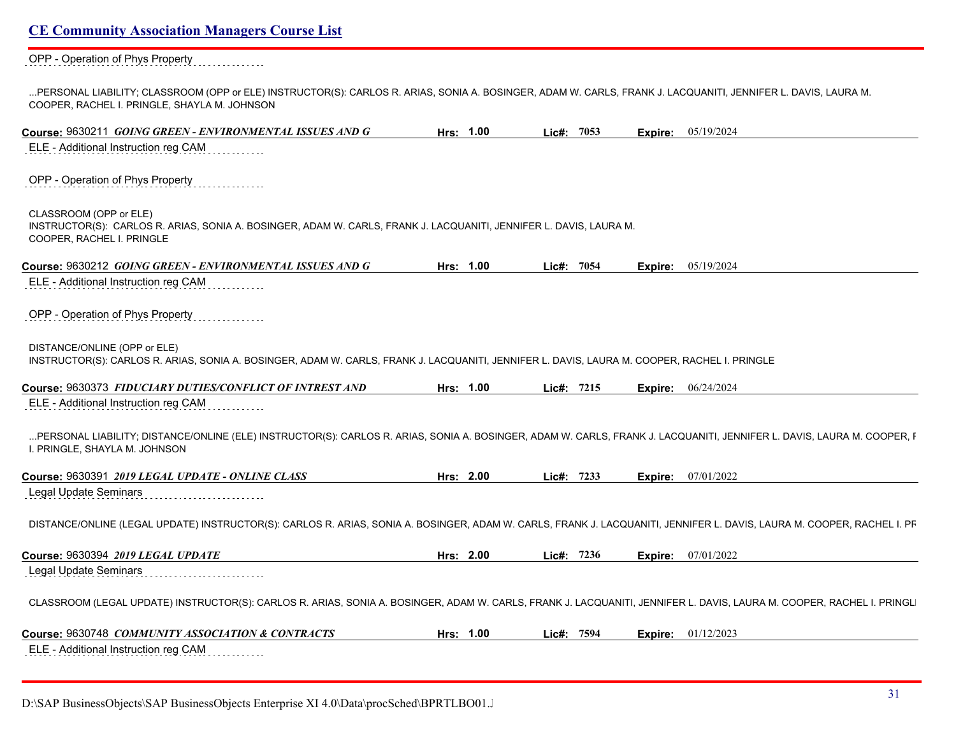OPP - Operation of Phys Property

...PERSONAL LIABILITY; CLASSROOM (OPP or ELE) INSTRUCTOR(S): CARLOS R. ARIAS, SONIA A. BOSINGER, ADAM W. CARLS, FRANK J. LACQUANITI, JENNIFER L. DAVIS, LAURA M. COOPER, RACHEL I. PRINGLE, SHAYLA M. JOHNSON

| Course: 9630211 GOING GREEN - ENVIRONMENTAL ISSUES AND G                                                                                                                                                | Hrs: 1.00 | Lic#: 7053 |         | <b>Expire:</b> $05/19/2024$ |
|---------------------------------------------------------------------------------------------------------------------------------------------------------------------------------------------------------|-----------|------------|---------|-----------------------------|
| ELE - Additional Instruction reg CAM                                                                                                                                                                    |           |            |         |                             |
| OPP - Operation of Phys Property                                                                                                                                                                        |           |            |         |                             |
| CLASSROOM (OPP or ELE)<br>INSTRUCTOR(S): CARLOS R. ARIAS, SONIA A. BOSINGER, ADAM W. CARLS, FRANK J. LACQUANITI, JENNIFER L. DAVIS, LAURA M.<br>COOPER, RACHEL I. PRINGLE                               |           |            |         |                             |
| Course: 9630212 GOING GREEN - ENVIRONMENTAL ISSUES AND G                                                                                                                                                | Hrs: 1.00 | Lic#: 7054 | Expire: | 05/19/2024                  |
| ELE - Additional Instruction reg CAM                                                                                                                                                                    |           |            |         |                             |
| OPP - Operation of Phys Property                                                                                                                                                                        |           |            |         |                             |
| DISTANCE/ONLINE (OPP or ELE)<br>INSTRUCTOR(S): CARLOS R. ARIAS, SONIA A. BOSINGER, ADAM W. CARLS, FRANK J. LACQUANITI, JENNIFER L. DAVIS, LAURA M. COOPER, RACHEL I. PRINGLE                            |           |            |         |                             |
| Course: 9630373 FIDUCIARY DUTIES/CONFLICT OF INTREST AND                                                                                                                                                | Hrs: 1.00 | Lic#: 7215 | Expire: | 06/24/2024                  |
| ELE - Additional Instruction reg CAM                                                                                                                                                                    |           |            |         |                             |
| PERSONAL LIABILITY; DISTANCE/ONLINE (ELE) INSTRUCTOR(S): CARLOS R. ARIAS, SONIA A. BOSINGER, ADAM W. CARLS, FRANK J. LACQUANITI, JENNIFER L. DAVIS, LAURA M. COOPER, I<br>I. PRINGLE, SHAYLA M. JOHNSON |           |            |         |                             |
| Course: 9630391 2019 LEGAL UPDATE - ONLINE CLASS                                                                                                                                                        | Hrs: 2.00 | Lic#: 7233 | Expire: | 07/01/2022                  |
| Legal Update Seminars                                                                                                                                                                                   |           |            |         |                             |
| DISTANCE/ONLINE (LEGAL UPDATE) INSTRUCTOR(S): CARLOS R. ARIAS, SONIA A. BOSINGER, ADAM W. CARLS, FRANK J. LACQUANITI, JENNIFER L. DAVIS, LAURA M. COOPER, RACHEL I. PF                                  |           |            |         |                             |
| Course: 9630394 2019 LEGAL UPDATE                                                                                                                                                                       | Hrs: 2.00 | Lie#: 7236 |         | Expire: 07/01/2022          |
| Legal Update Seminars                                                                                                                                                                                   |           |            |         |                             |
| CLASSROOM (LEGAL UPDATE) INSTRUCTOR(S): CARLOS R. ARIAS, SONIA A. BOSINGER, ADAM W. CARLS, FRANK J. LACQUANITI, JENNIFER L. DAVIS, LAURA M. COOPER, RACHEL I. PRINGL                                    |           |            |         |                             |
| Course: 9630748 COMMUNITY ASSOCIATION & CONTRACTS                                                                                                                                                       | Hrs: 1.00 | Lic#: 7594 | Expire: | 01/12/2023                  |
| ELE - Additional Instruction reg CAM                                                                                                                                                                    |           |            |         |                             |
|                                                                                                                                                                                                         |           |            |         |                             |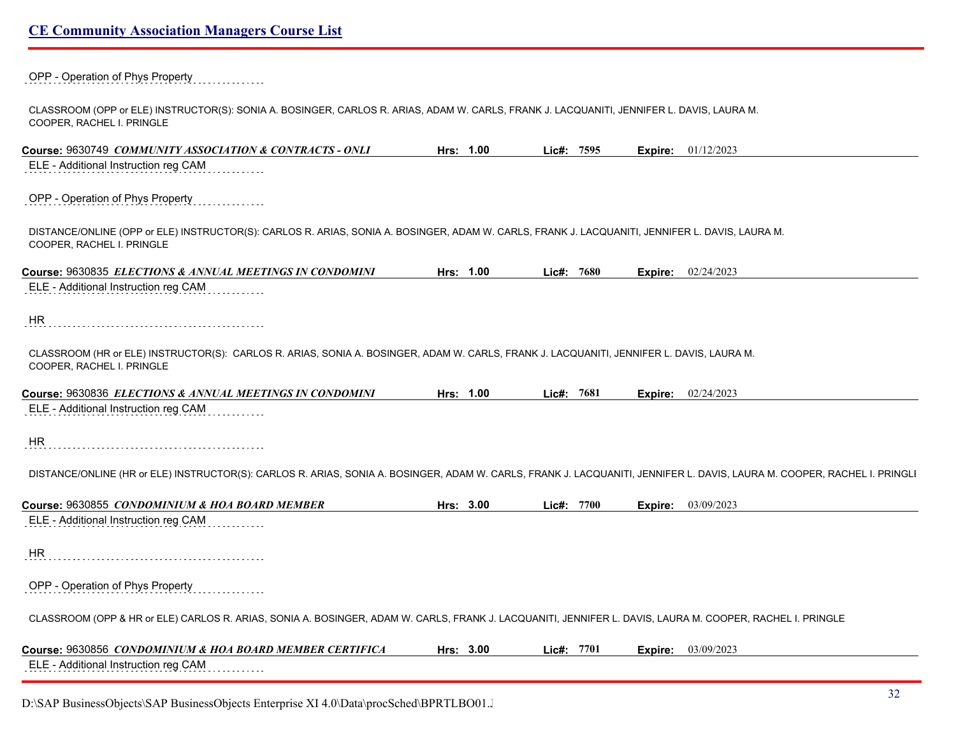OPP - Operation of Phys Property

CLASSROOM (OPP or ELE) INSTRUCTOR(S): SONIA A. BOSINGER, CARLOS R. ARIAS, ADAM W. CARLS, FRANK J. LACQUANITI, JENNIFER L. DAVIS, LAURA M. COOPER, RACHEL I. PRINGLE

| Course: 9630749 COMMUNITY ASSOCIATION & CONTRACTS - ONLI                                                                                                                     | Hrs: 1.00 | Lie#:        | 7595 |         | <b>Expire:</b> 01/12/2023   |
|------------------------------------------------------------------------------------------------------------------------------------------------------------------------------|-----------|--------------|------|---------|-----------------------------|
| ELE - Additional Instruction reg CAM                                                                                                                                         |           |              |      |         |                             |
| OPP - Operation of Phys Property                                                                                                                                             |           |              |      |         |                             |
| DISTANCE/ONLINE (OPP or ELE) INSTRUCTOR(S): CARLOS R. ARIAS, SONIA A. BOSINGER, ADAM W. CARLS, FRANK J. LACQUANITI, JENNIFER L. DAVIS, LAURA M.<br>COOPER, RACHEL I. PRINGLE |           |              |      |         |                             |
| Course: 9630835 ELECTIONS & ANNUAL MEETINGS IN CONDOMINI                                                                                                                     | Hrs: 1.00 | Lic#: 7680   |      |         | <b>Expire:</b> $02/24/2023$ |
| ELE - Additional Instruction reg CAM                                                                                                                                         |           |              |      |         |                             |
| <b>HR</b>                                                                                                                                                                    |           |              |      |         |                             |
| CLASSROOM (HR or ELE) INSTRUCTOR(S): CARLOS R. ARIAS, SONIA A. BOSINGER, ADAM W. CARLS, FRANK J. LACQUANITI, JENNIFER L. DAVIS, LAURA M.<br>COOPER, RACHEL I. PRINGLE        |           |              |      |         |                             |
| Course: 9630836 ELECTIONS & ANNUAL MEETINGS IN CONDOMINI                                                                                                                     | Hrs: 1.00 | Lic#: 7681   |      | Expire: | 02/24/2023                  |
| ELE - Additional Instruction reg CAM                                                                                                                                         |           |              |      |         |                             |
| HR                                                                                                                                                                           |           |              |      |         |                             |
| DISTANCE/ONLINE (HR or ELE) INSTRUCTOR(S): CARLOS R. ARIAS, SONIA A. BOSINGER, ADAM W. CARLS, FRANK J. LACQUANITI, JENNIFER L. DAVIS, LAURA M. COOPER, RACHEL I. PRINGLI     |           |              |      |         |                             |
| Course: 9630855 <i>CONDOMINIUM &amp; HOA BOARD MEMBER</i>                                                                                                                    | Hrs: 3.00 | Lic#: 7700   |      | Expire: | 03/09/2023                  |
| ELE - Additional Instruction reg CAM                                                                                                                                         |           |              |      |         |                             |
| <b>HR</b>                                                                                                                                                                    |           |              |      |         |                             |
| OPP - Operation of Phys Property                                                                                                                                             |           |              |      |         |                             |
| CLASSROOM (OPP & HR or ELE) CARLOS R. ARIAS, SONIA A. BOSINGER, ADAM W. CARLS, FRANK J. LACQUANITI, JENNIFER L. DAVIS, LAURA M. COOPER, RACHEL I. PRINGLE                    |           |              |      |         |                             |
| Course: 9630856 CONDOMINIUM & HOA BOARD MEMBER CERTIFICA                                                                                                                     | Hrs: 3.00 | Lic#: $7701$ |      | Expire: | 03/09/2023                  |
| ELE - Additional Instruction reg CAM                                                                                                                                         |           |              |      |         |                             |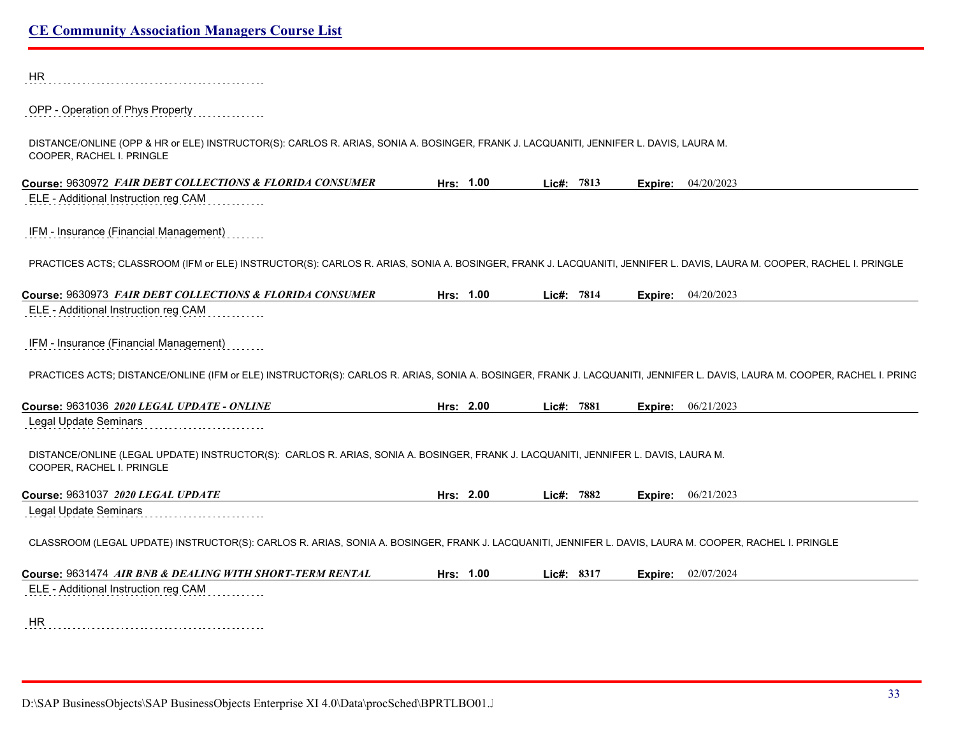| <b>HR</b>                                                                                                                                                                |           |            |         |                             |  |
|--------------------------------------------------------------------------------------------------------------------------------------------------------------------------|-----------|------------|---------|-----------------------------|--|
| OPP - Operation of Phys Property                                                                                                                                         |           |            |         |                             |  |
| DISTANCE/ONLINE (OPP & HR or ELE) INSTRUCTOR(S): CARLOS R. ARIAS, SONIA A. BOSINGER, FRANK J. LACQUANITI, JENNIFER L. DAVIS, LAURA M.<br>COOPER, RACHEL I. PRINGLE       |           |            |         |                             |  |
| Course: 9630972 FAIR DEBT COLLECTIONS & FLORIDA CONSUMER                                                                                                                 | Hrs: 1.00 | Lic#: 7813 |         | <b>Expire:</b> $04/20/2023$ |  |
| ELE - Additional Instruction reg CAM                                                                                                                                     |           |            |         |                             |  |
| IFM - Insurance (Financial Management)                                                                                                                                   |           |            |         |                             |  |
| PRACTICES ACTS; CLASSROOM (IFM or ELE) INSTRUCTOR(S): CARLOS R. ARIAS, SONIA A. BOSINGER, FRANK J. LACQUANITI, JENNIFER L. DAVIS, LAURA M. COOPER, RACHEL I. PRINGLE     |           |            |         |                             |  |
| Course: 9630973 FAIR DEBT COLLECTIONS & FLORIDA CONSUMER                                                                                                                 | Hrs: 1.00 | Lic#: 7814 | Expire: | 04/20/2023                  |  |
| ELE - Additional Instruction reg CAM                                                                                                                                     |           |            |         |                             |  |
| IFM - Insurance (Financial Management)                                                                                                                                   |           |            |         |                             |  |
| PRACTICES ACTS; DISTANCE/ONLINE (IFM or ELE) INSTRUCTOR(S): CARLOS R. ARIAS, SONIA A. BOSINGER, FRANK J. LACQUANITI, JENNIFER L. DAVIS, LAURA M. COOPER, RACHEL I. PRINC |           |            |         |                             |  |
| Course: 9631036 2020 LEGAL UPDATE - ONLINE                                                                                                                               | Hrs: 2.00 | Lic#: 7881 | Expire: | 06/21/2023                  |  |
| Legal Update Seminars                                                                                                                                                    |           |            |         |                             |  |
| DISTANCE/ONLINE (LEGAL UPDATE) INSTRUCTOR(S): CARLOS R. ARIAS, SONIA A. BOSINGER, FRANK J. LACQUANITI, JENNIFER L. DAVIS, LAURA M.<br>COOPER, RACHEL I. PRINGLE          |           |            |         |                             |  |
| Course: 9631037 2020 LEGAL UPDATE                                                                                                                                        | Hrs: 2.00 | Lic#: 7882 | Expire: | 06/21/2023                  |  |
| Legal Update Seminars                                                                                                                                                    |           |            |         |                             |  |
| CLASSROOM (LEGAL UPDATE) INSTRUCTOR(S): CARLOS R. ARIAS, SONIA A. BOSINGER, FRANK J. LACQUANITI, JENNIFER L. DAVIS, LAURA M. COOPER, RACHEL I. PRINGLE                   |           |            |         |                             |  |
| Course: 9631474 AIR BNB & DEALING WITH SHORT-TERM RENTAL                                                                                                                 | Hrs: 1.00 | Lic#: 8317 | Expire: | 02/07/2024                  |  |
| ELE - Additional Instruction reg CAM                                                                                                                                     |           |            |         |                             |  |
| HR.                                                                                                                                                                      |           |            |         |                             |  |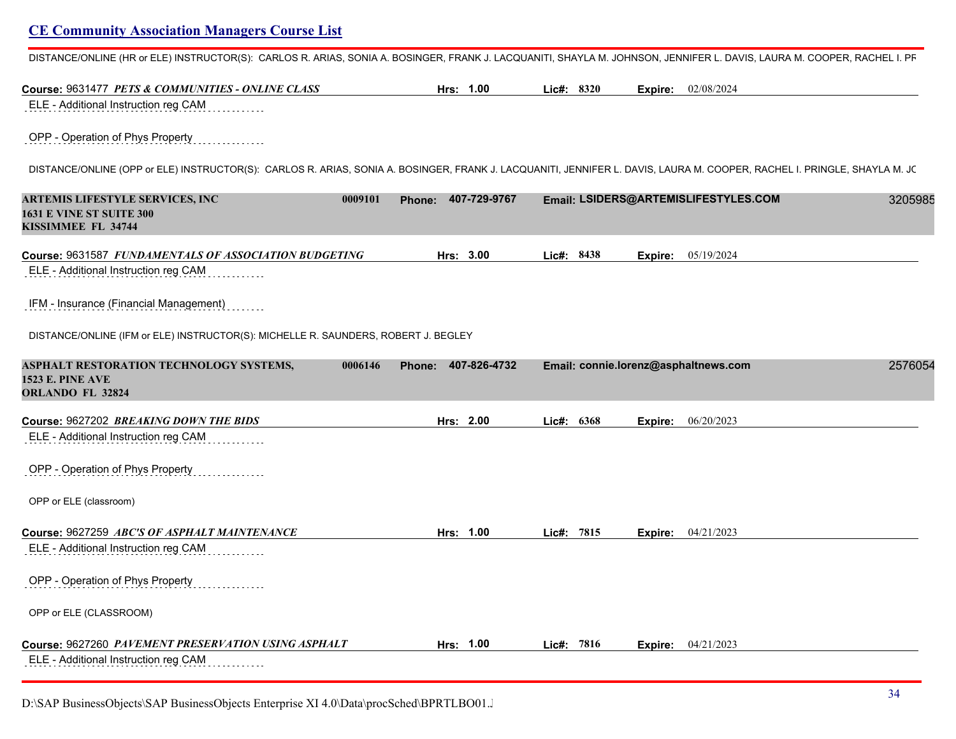DISTANCE/ONLINE (HR or ELE) INSTRUCTOR(S): CARLOS R. ARIAS, SONIA A. BOSINGER, FRANK J. LACQUANITI, SHAYLA M. JOHNSON, JENNIFER L. DAVIS, LAURA M. COOPER, RACHEL I. PF

| Course: 9631477 PETS & COMMUNITIES - ONLINE CLASS                                                                                                                        | Hrs: 1.00                     | Lic#: $8320$<br>02/08/2024<br>Expire: |         |
|--------------------------------------------------------------------------------------------------------------------------------------------------------------------------|-------------------------------|---------------------------------------|---------|
| ELE - Additional Instruction reg CAM                                                                                                                                     |                               |                                       |         |
| OPP - Operation of Phys Property                                                                                                                                         |                               |                                       |         |
| DISTANCE/ONLINE (OPP or ELE) INSTRUCTOR(S): CARLOS R. ARIAS, SONIA A. BOSINGER, FRANK J. LACQUANITI, JENNIFER L. DAVIS, LAURA M. COOPER, RACHEL I. PRINGLE, SHAYLA M. JC |                               |                                       |         |
| <b>ARTEMIS LIFESTYLE SERVICES, INC</b><br>0009101<br><b>1631 E VINE ST SUITE 300</b><br>KISSIMMEE FL 34744                                                               | Phone: 407-729-9767           | Email: LSIDERS@ARTEMISLIFESTYLES.COM  | 3205985 |
| Course: 9631587 FUNDAMENTALS OF ASSOCIATION BUDGETING                                                                                                                    | Hrs: 3.00                     | Lic#: 8438<br>05/19/2024<br>Expire:   |         |
| ELE - Additional Instruction reg CAM                                                                                                                                     |                               |                                       |         |
| IFM - Insurance (Financial Management)                                                                                                                                   |                               |                                       |         |
| DISTANCE/ONLINE (IFM or ELE) INSTRUCTOR(S): MICHELLE R. SAUNDERS, ROBERT J. BEGLEY                                                                                       |                               |                                       |         |
| ASPHALT RESTORATION TECHNOLOGY SYSTEMS,<br>0006146<br><b>1523 E. PINE AVE</b><br>ORLANDO FL 32824                                                                        | 407-826-4732<br><b>Phone:</b> | Email: connie.lorenz@asphaltnews.com  | 2576054 |
| Course: 9627202 BREAKING DOWN THE BIDS                                                                                                                                   | Hrs: 2.00                     | Lic#: 6368<br>06/20/2023<br>Expire:   |         |
| ELE - Additional Instruction reg CAM                                                                                                                                     |                               |                                       |         |
| OPP - Operation of Phys Property                                                                                                                                         |                               |                                       |         |
| OPP or ELE (classroom)                                                                                                                                                   |                               |                                       |         |
| Course: 9627259 ABC'S OF ASPHALT MAINTENANCE                                                                                                                             | Hrs: 1.00                     | Lic#: 7815<br>Expire: 04/21/2023      |         |
| ELE - Additional Instruction reg CAM                                                                                                                                     |                               |                                       |         |
| OPP - Operation of Phys Property                                                                                                                                         |                               |                                       |         |
| OPP or ELE (CLASSROOM)                                                                                                                                                   |                               |                                       |         |
|                                                                                                                                                                          |                               |                                       |         |

**Course:** 9627260 *PAVEMENT PRESERVATION USING ASPHALT* **Hrs: 1.00 Lic#: 7816 Expire:** 04/21/2023

ELE - Additional Instruction reg CAM . . . . . . .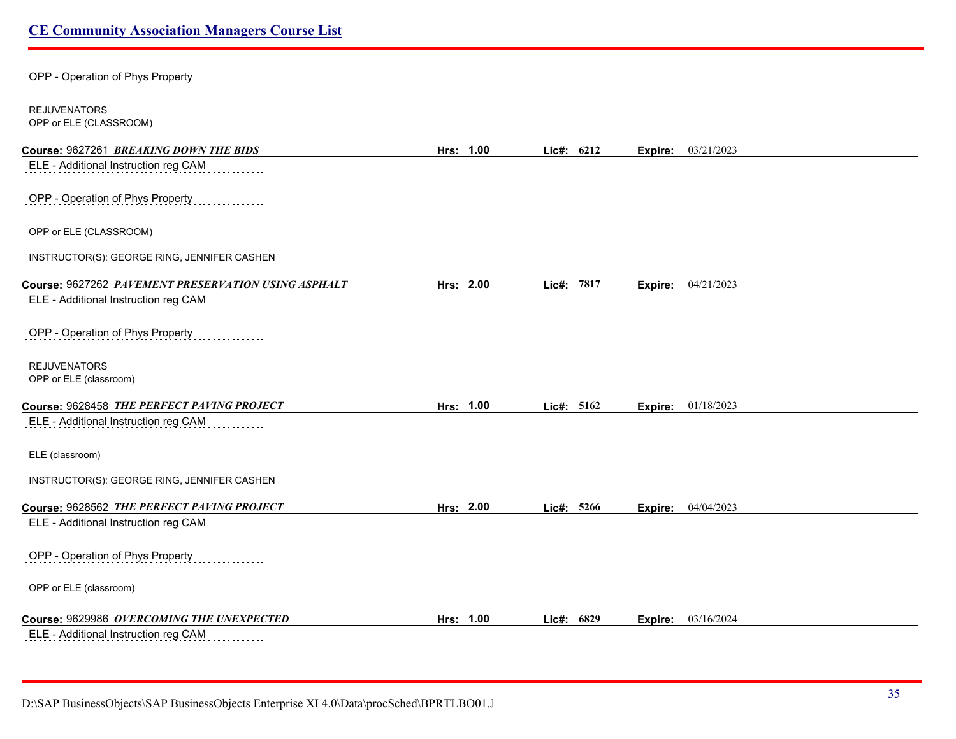| OPP - Operation of Phys Property                    |           |               |                           |  |
|-----------------------------------------------------|-----------|---------------|---------------------------|--|
| <b>REJUVENATORS</b><br>OPP or ELE (CLASSROOM)       |           |               |                           |  |
| Course: 9627261 BREAKING DOWN THE BIDS              | Hrs: 1.00 | Lic#: 6212    | <b>Expire:</b> 03/21/2023 |  |
| ELE - Additional Instruction reg CAM                |           |               |                           |  |
| OPP - Operation of Phys Property                    |           |               |                           |  |
| OPP or ELE (CLASSROOM)                              |           |               |                           |  |
| INSTRUCTOR(S): GEORGE RING, JENNIFER CASHEN         |           |               |                           |  |
| Course: 9627262 PAVEMENT PRESERVATION USING ASPHALT | Hrs: 2.00 | Lic#: 7817    | <b>Expire:</b> 04/21/2023 |  |
| ELE - Additional Instruction reg CAM                |           |               |                           |  |
| OPP - Operation of Phys Property                    |           |               |                           |  |
| <b>REJUVENATORS</b><br>OPP or ELE (classroom)       |           |               |                           |  |
|                                                     |           |               |                           |  |
| Course: 9628458 THE PERFECT PAVING PROJECT          | Hrs: 1.00 | Lic#: 5162    | 01/18/2023<br>Expire:     |  |
| ELE - Additional Instruction reg CAM                |           |               |                           |  |
| ELE (classroom)                                     |           |               |                           |  |
| INSTRUCTOR(S): GEORGE RING, JENNIFER CASHEN         |           |               |                           |  |
| Course: 9628562 THE PERFECT PAVING PROJECT          | Hrs: 2.00 | Lic#: 5266    | <b>Expire:</b> 04/04/2023 |  |
| ELE - Additional Instruction reg CAM                |           |               |                           |  |
| OPP - Operation of Phys Property                    |           |               |                           |  |
| OPP or ELE (classroom)                              |           |               |                           |  |
| Course: 9629986 OVERCOMING THE UNEXPECTED           | Hrs: 1.00 | 6829<br>Lic#: | 03/16/2024<br>Expire:     |  |
| ELE - Additional Instruction reg CAM                |           |               |                           |  |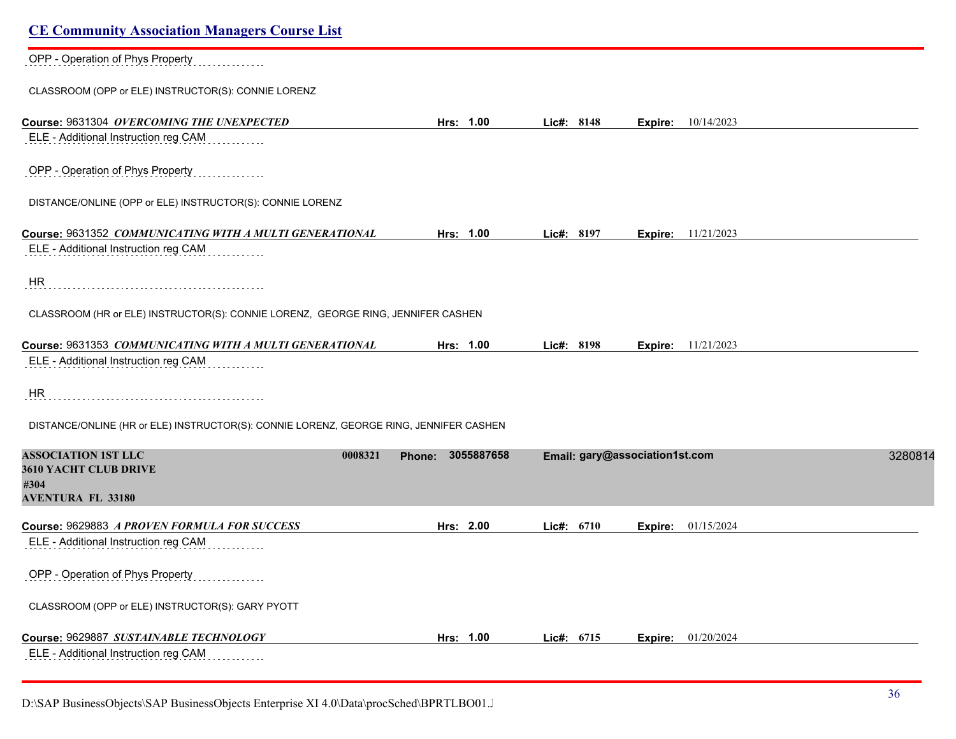| <b>CE Community Association Managers Course List</b>                                   |                                 |                                |                           |
|----------------------------------------------------------------------------------------|---------------------------------|--------------------------------|---------------------------|
| OPP - Operation of Phys Property                                                       |                                 |                                |                           |
| CLASSROOM (OPP or ELE) INSTRUCTOR(S): CONNIE LORENZ                                    |                                 |                                |                           |
| Course: 9631304 OVERCOMING THE UNEXPECTED                                              | Hrs: 1.00                       | Lic#: 8148                     | <b>Expire:</b> 10/14/2023 |
| ELE - Additional Instruction reg CAM                                                   |                                 |                                |                           |
| OPP - Operation of Phys Property                                                       |                                 |                                |                           |
| DISTANCE/ONLINE (OPP or ELE) INSTRUCTOR(S): CONNIE LORENZ                              |                                 |                                |                           |
| Course: 9631352 COMMUNICATING WITH A MULTI GENERATIONAL                                | Hrs: 1.00                       | Lic#: 8197<br>Expire:          | 11/21/2023                |
| ELE - Additional Instruction reg CAM                                                   |                                 |                                |                           |
| HR                                                                                     |                                 |                                |                           |
| CLASSROOM (HR or ELE) INSTRUCTOR(S): CONNIE LORENZ, GEORGE RING, JENNIFER CASHEN       |                                 |                                |                           |
| Course: 9631353 COMMUNICATING WITH A MULTI GENERATIONAL                                | Hrs: 1.00                       | Lic#: 8198<br>Expire:          | 11/21/2023                |
| ELE - Additional Instruction reg CAM                                                   |                                 |                                |                           |
| HR                                                                                     |                                 |                                |                           |
| DISTANCE/ONLINE (HR or ELE) INSTRUCTOR(S): CONNIE LORENZ, GEORGE RING, JENNIFER CASHEN |                                 |                                |                           |
| <b>ASSOCIATION 1ST LLC</b>                                                             | 0008321<br>3055887658<br>Phone: | Email: gary@association1st.com | 3280814                   |
| 3610 YACHT CLUB DRIVE<br>#304                                                          |                                 |                                |                           |
| <b>AVENTURA FL 33180</b>                                                               |                                 |                                |                           |
| Course: 9629883 A PROVEN FORMULA FOR SUCCESS                                           | Hrs: 2.00                       | Lic#: $6710$<br>Expire:        | 01/15/2024                |
| ELE - Additional Instruction reg CAM                                                   |                                 |                                |                           |
| OPP - Operation of Phys Property                                                       |                                 |                                |                           |
| CLASSROOM (OPP or ELE) INSTRUCTOR(S): GARY PYOTT                                       |                                 |                                |                           |
| Course: 9629887 SUSTAINABLE TECHNOLOGY                                                 | Hrs: 1.00                       | Lic#: 6715<br>Expire:          | 01/20/2024                |
| ELE - Additional Instruction reg CAM                                                   |                                 |                                |                           |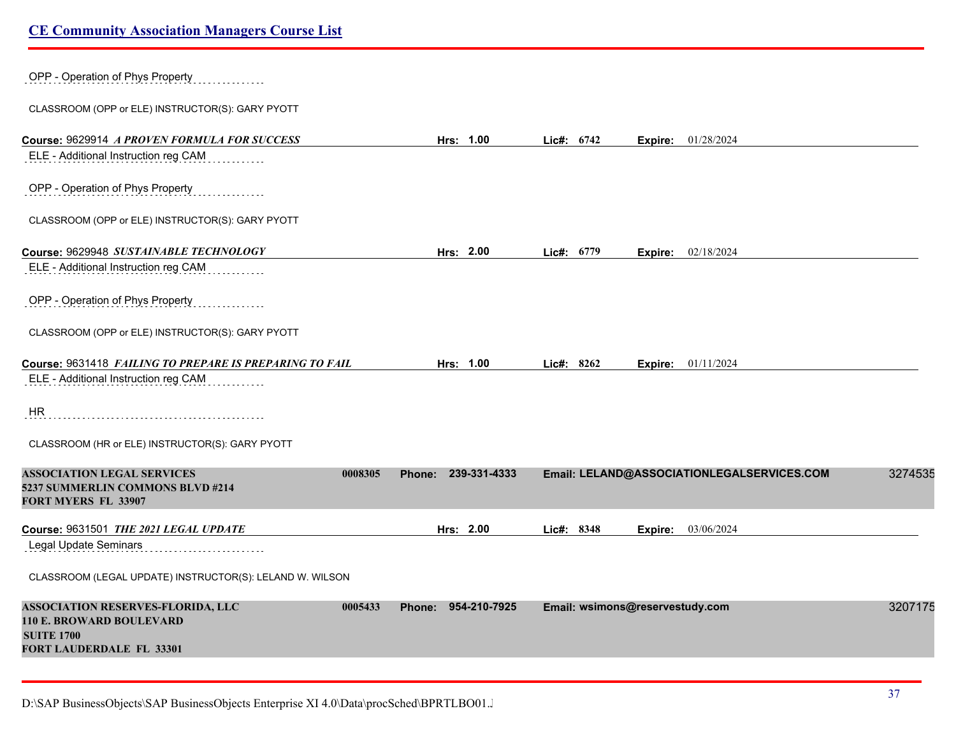| OPP - Operation of Phys Property                                                                    |                   |                     |            |                                 |         |                                            |         |
|-----------------------------------------------------------------------------------------------------|-------------------|---------------------|------------|---------------------------------|---------|--------------------------------------------|---------|
| CLASSROOM (OPP or ELE) INSTRUCTOR(S): GARY PYOTT                                                    |                   |                     |            |                                 |         |                                            |         |
| Course: 9629914 A PROVEN FORMULA FOR SUCCESS<br>ELE - Additional Instruction reg CAM                |                   | Hrs: 1.00           | Lic#: 6742 |                                 |         | <b>Expire:</b> 01/28/2024                  |         |
|                                                                                                     |                   |                     |            |                                 |         |                                            |         |
| OPP - Operation of Phys Property                                                                    |                   |                     |            |                                 |         |                                            |         |
| CLASSROOM (OPP or ELE) INSTRUCTOR(S): GARY PYOTT                                                    |                   |                     |            |                                 |         |                                            |         |
| Course: 9629948 SUSTAINABLE TECHNOLOGY                                                              |                   | Hrs: 2.00           | Lic#: 6779 |                                 |         | <b>Expire:</b> 02/18/2024                  |         |
| ELE - Additional Instruction reg CAM                                                                |                   |                     |            |                                 |         |                                            |         |
| OPP - Operation of Phys Property                                                                    |                   |                     |            |                                 |         |                                            |         |
| CLASSROOM (OPP or ELE) INSTRUCTOR(S): GARY PYOTT                                                    |                   |                     |            |                                 |         |                                            |         |
| Course: 9631418 FAILING TO PREPARE IS PREPARING TO FAIL                                             |                   | Hrs: 1.00           | Lic#: 8262 |                                 |         | Expire: 01/11/2024                         |         |
| ELE - Additional Instruction reg CAM                                                                |                   |                     |            |                                 |         |                                            |         |
| HR                                                                                                  |                   |                     |            |                                 |         |                                            |         |
| CLASSROOM (HR or ELE) INSTRUCTOR(S): GARY PYOTT                                                     |                   |                     |            |                                 |         |                                            |         |
| <b>ASSOCIATION LEGAL SERVICES</b><br>5237 SUMMERLIN COMMONS BLVD #214<br><b>FORT MYERS FL 33907</b> | 0008305<br>Phone: | 239-331-4333        |            |                                 |         | Email: LELAND@ASSOCIATIONLEGALSERVICES.COM | 3274535 |
| Course: 9631501 THE 2021 LEGAL UPDATE                                                               |                   | Hrs: 2.00           | Lic#: 8348 |                                 | Expire: | 03/06/2024                                 |         |
| <b>Legal Update Seminars</b>                                                                        |                   |                     |            |                                 |         |                                            |         |
| CLASSROOM (LEGAL UPDATE) INSTRUCTOR(S): LELAND W. WILSON                                            |                   |                     |            |                                 |         |                                            |         |
| <b>ASSOCIATION RESERVES-FLORIDA, LLC</b>                                                            | 0005433           | Phone: 954-210-7925 |            | Email: wsimons@reservestudy.com |         |                                            | 3207175 |
| <b>110 E. BROWARD BOULEVARD</b>                                                                     |                   |                     |            |                                 |         |                                            |         |
| <b>SUITE 1700</b><br><b>FORT LAUDERDALE FL 33301</b>                                                |                   |                     |            |                                 |         |                                            |         |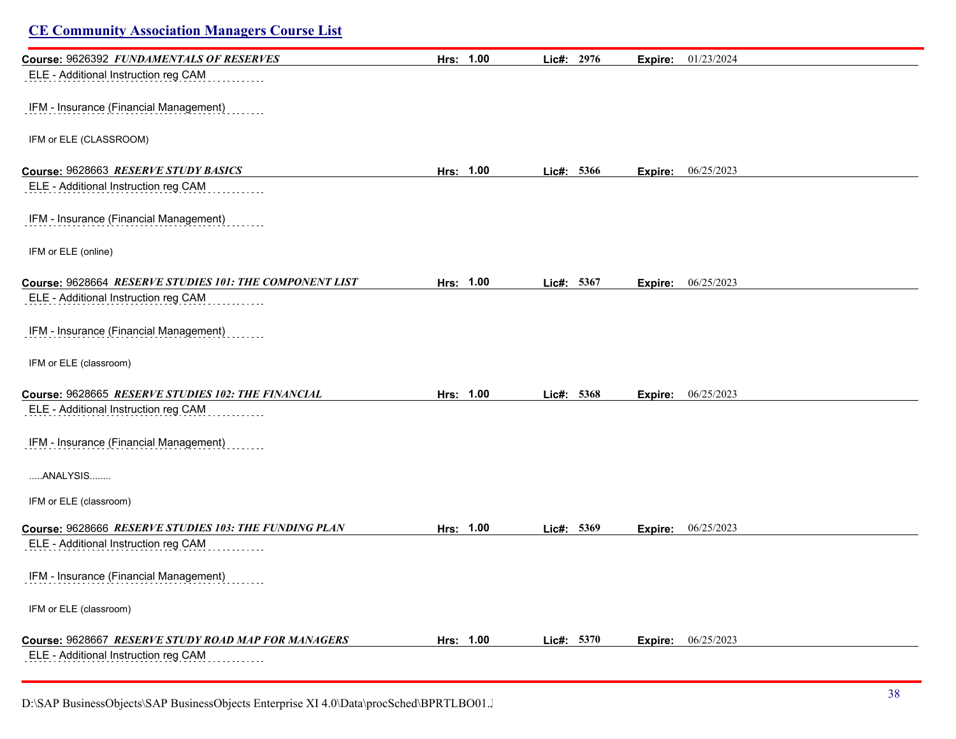| <b>CE Community Association Managers Course List</b>    |           |            |                       |  |
|---------------------------------------------------------|-----------|------------|-----------------------|--|
| Course: 9626392 FUNDAMENTALS OF RESERVES                | Hrs: 1.00 | Lic#: 2976 | 01/23/2024<br>Expire: |  |
| ELE - Additional Instruction reg CAM                    |           |            |                       |  |
| IFM - Insurance (Financial Management)                  |           |            |                       |  |
| IFM or ELE (CLASSROOM)                                  |           |            |                       |  |
| Course: 9628663 RESERVE STUDY BASICS                    | Hrs: 1.00 | Lic#: 5366 | 06/25/2023<br>Expire: |  |
| ELE - Additional Instruction reg CAM                    |           |            |                       |  |
| IFM - Insurance (Financial Management)                  |           |            |                       |  |
| IFM or ELE (online)                                     |           |            |                       |  |
| Course: 9628664 RESERVE STUDIES 101: THE COMPONENT LIST | Hrs: 1.00 | Lic#: 5367 | 06/25/2023<br>Expire: |  |
| ELE - Additional Instruction reg CAM                    |           |            |                       |  |
| IFM - Insurance (Financial Management)                  |           |            |                       |  |
| IFM or ELE (classroom)                                  |           |            |                       |  |
| Course: 9628665 RESERVE STUDIES 102: THE FINANCIAL      | Hrs: 1.00 | Lic#: 5368 | 06/25/2023<br>Expire: |  |
| ELE - Additional Instruction reg CAM                    |           |            |                       |  |
| IFM - Insurance (Financial Management)                  |           |            |                       |  |
| ANALYSIS                                                |           |            |                       |  |
| IFM or ELE (classroom)                                  |           |            |                       |  |
| Course: 9628666 RESERVE STUDIES 103: THE FUNDING PLAN   | Hrs: 1.00 | Lic#: 5369 | 06/25/2023<br>Expire: |  |
| ELE - Additional Instruction reg CAM                    |           |            |                       |  |
| IFM - Insurance (Financial Management)                  |           |            |                       |  |
| IFM or ELE (classroom)                                  |           |            |                       |  |
| Course: 9628667 RESERVE STUDY ROAD MAP FOR MANAGERS     | Hrs: 1.00 | Lic#: 5370 | 06/25/2023<br>Expire: |  |
| ELE - Additional Instruction reg CAM                    |           |            |                       |  |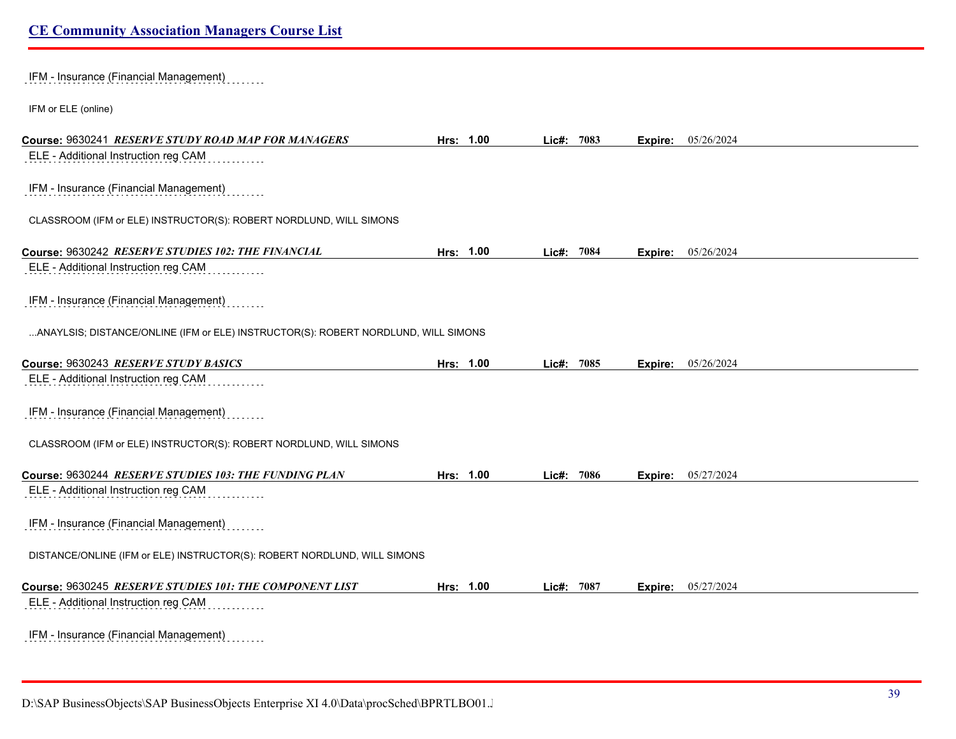IFM - Insurance (Financial Management)

IFM or ELE (online)

| Course: 9630241 RESERVE STUDY ROAD MAP FOR MANAGERS                                | Hrs: 1.00 | Lic#: 7083 |      | Expire: | 05/26/2024 |
|------------------------------------------------------------------------------------|-----------|------------|------|---------|------------|
| ELE - Additional Instruction reg CAM                                               |           |            |      |         |            |
| IFM - Insurance (Financial Management)                                             |           |            |      |         |            |
| CLASSROOM (IFM or ELE) INSTRUCTOR(S): ROBERT NORDLUND, WILL SIMONS                 |           |            |      |         |            |
| Course: 9630242 RESERVE STUDIES 102: THE FINANCIAL                                 | Hrs: 1.00 | Lic#: 7084 |      | Expire: | 05/26/2024 |
| ELE - Additional Instruction reg CAM                                               |           |            |      |         |            |
| IFM - Insurance (Financial Management)                                             |           |            |      |         |            |
| ANAYLSIS; DISTANCE/ONLINE (IFM or ELE) INSTRUCTOR(S): ROBERT NORDLUND, WILL SIMONS |           |            |      |         |            |
| Course: 9630243 RESERVE STUDY BASICS                                               | Hrs: 1.00 | Lic#:      | 7085 | Expire: | 05/26/2024 |
| ELE - Additional Instruction reg CAM                                               |           |            |      |         |            |
| IFM - Insurance (Financial Management)                                             |           |            |      |         |            |
| CLASSROOM (IFM or ELE) INSTRUCTOR(S): ROBERT NORDLUND, WILL SIMONS                 |           |            |      |         |            |
| Course: 9630244 RESERVE STUDIES 103: THE FUNDING PLAN                              | Hrs: 1.00 | Lic#: 7086 |      | Expire: | 05/27/2024 |
| ELE - Additional Instruction reg CAM                                               |           |            |      |         |            |
| IFM - Insurance (Financial Management)                                             |           |            |      |         |            |
| DISTANCE/ONLINE (IFM or ELE) INSTRUCTOR(S): ROBERT NORDLUND, WILL SIMONS           |           |            |      |         |            |
| Course: 9630245 RESERVE STUDIES 101: THE COMPONENT LIST                            | Hrs: 1.00 | Lic#: 7087 |      | Expire: | 05/27/2024 |
| ELE - Additional Instruction reg CAM                                               |           |            |      |         |            |
| IFM - Insurance (Financial Management)                                             |           |            |      |         |            |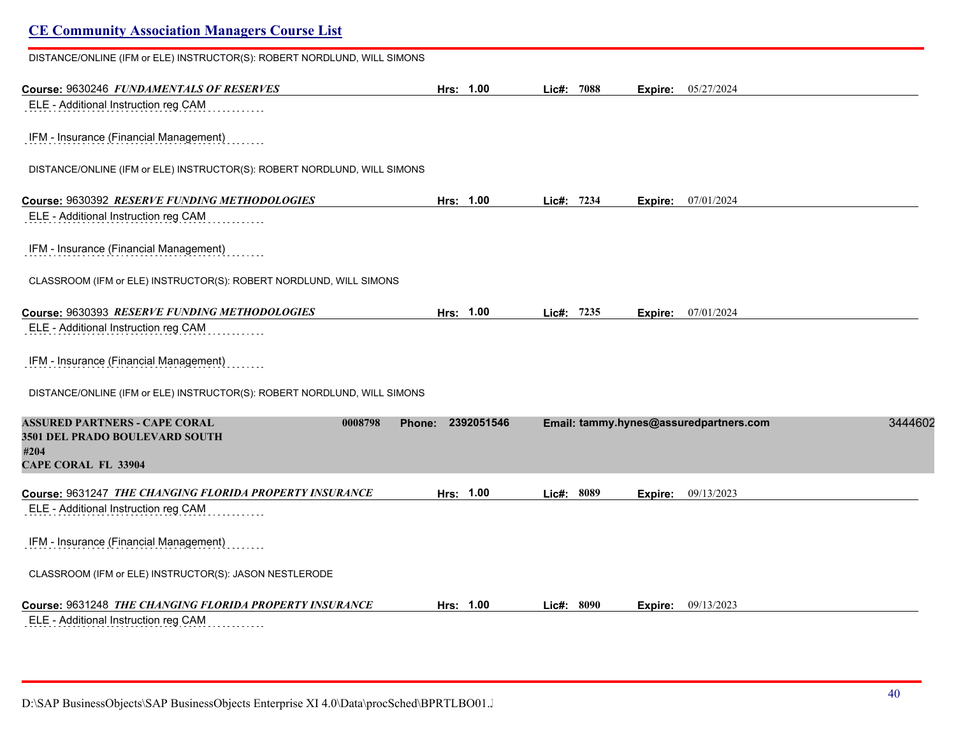# **CE Community Association Managers Course List** DISTANCE/ONLINE (IFM or ELE) INSTRUCTOR(S): ROBERT NORDLUND, WILL SIMONS **Course:** 9630246 *FUNDAMENTALS OF RESERVES* **Hrs: 1.00 Lic#: 7088 Expire:** 05/27/2024 ELE - Additional Instruction reg CAM IFM - Insurance (Financial Management) DISTANCE/ONLINE (IFM or ELE) INSTRUCTOR(S): ROBERT NORDLUND, WILL SIMONS **Course:** 9630392 *RESERVE FUNDING METHODOLOGIES* **Hrs: 1.00 Lic#: 7234 Expire:** 07/01/2024 ELE - Additional Instruction reg CAM IFM - Insurance (Financial Management) CLASSROOM (IFM or ELE) INSTRUCTOR(S): ROBERT NORDLUND, WILL SIMONS **Course:** 9630393 *RESERVE FUNDING METHODOLOGIES* **Hrs: 1.00 Lic#: 7235 Expire:** 07/01/2024 ELE - Additional Instruction reg CAM IFM - Insurance (Financial Management) DISTANCE/ONLINE (IFM or ELE) INSTRUCTOR(S): ROBERT NORDLUND, WILL SIMONS **ASSURED PARTNERS - CAPE CORAL 0008798 Phone: 2392051546 Email: tammy.hynes@assuredpartners.com** 34446021 **3501 DEL PRADO BOULEVARD SOUTH #204 CAPE CORAL FL 33904 Course:** 9631247 *THE CHANGING FLORIDA PROPERTY INSURANCE* **Hrs: 1.00 Lic#: 8089 Expire:** 09/13/2023 ELE - Additional Instruction reg CAM IFM - Insurance (Financial Management) CLASSROOM (IFM or ELE) INSTRUCTOR(S): JASON NESTLERODE **Course:** 9631248 *THE CHANGING FLORIDA PROPERTY INSURANCE* **Hrs: 1.00 Lic#: 8090 Expire:** 09/13/2023

ELE - Additional Instruction reg CAM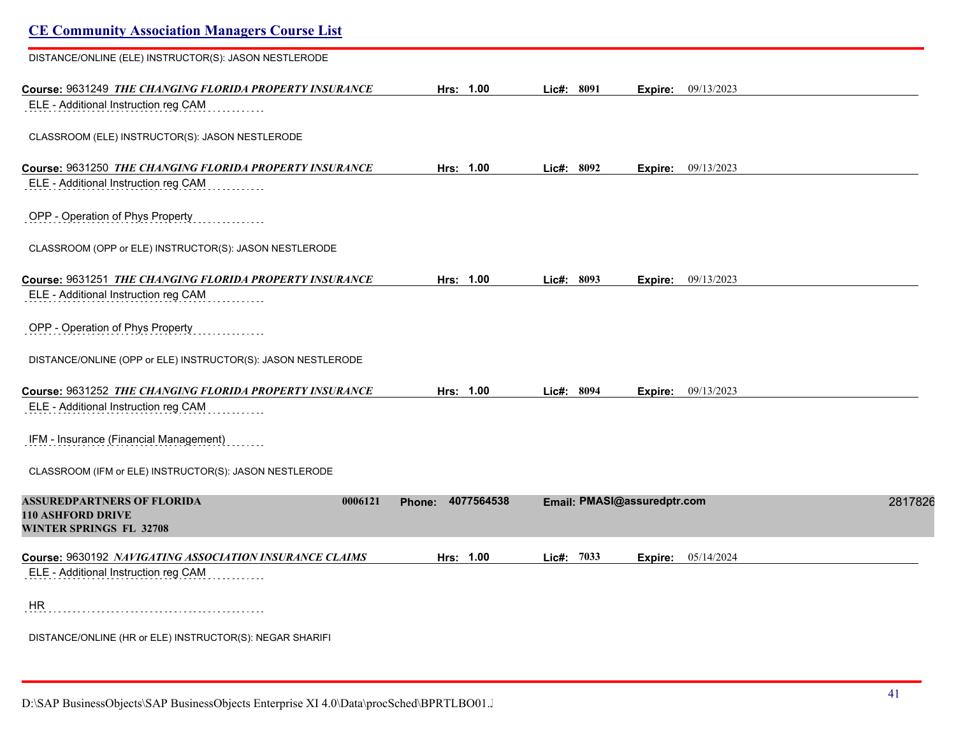| <b>CE Community Association Managers Course List</b>                                                   |                      |               |                             |         |
|--------------------------------------------------------------------------------------------------------|----------------------|---------------|-----------------------------|---------|
| DISTANCE/ONLINE (ELE) INSTRUCTOR(S): JASON NESTLERODE                                                  |                      |               |                             |         |
| Course: 9631249 THE CHANGING FLORIDA PROPERTY INSURANCE<br>ELE - Additional Instruction reg CAM        | Hrs: 1.00            | Lic#: 8091    | <b>Expire:</b> 09/13/2023   |         |
| CLASSROOM (ELE) INSTRUCTOR(S): JASON NESTLERODE                                                        |                      |               |                             |         |
| Course: 9631250 THE CHANGING FLORIDA PROPERTY INSURANCE<br>ELE - Additional Instruction reg CAM        | Hrs: 1.00            | Lic#: 8092    | Expire: 09/13/2023          |         |
| OPP - Operation of Phys Property                                                                       |                      |               |                             |         |
| CLASSROOM (OPP or ELE) INSTRUCTOR(S): JASON NESTLERODE                                                 |                      |               |                             |         |
| Course: 9631251 THE CHANGING FLORIDA PROPERTY INSURANCE<br>ELE - Additional Instruction reg CAM        | Hrs: 1.00            | Lic#: 8093    | <b>Expire:</b> 09/13/2023   |         |
| OPP - Operation of Phys Property                                                                       |                      |               |                             |         |
| DISTANCE/ONLINE (OPP or ELE) INSTRUCTOR(S): JASON NESTLERODE                                           |                      |               |                             |         |
| Course: 9631252 <i>THE CHANGING FLORIDA PROPERTY INSURANCE</i><br>ELE - Additional Instruction reg CAM | Hrs: 1.00            | Lie#: 8094    | <b>Expire:</b> 09/13/2023   |         |
| IFM - Insurance (Financial Management)                                                                 |                      |               |                             |         |
| CLASSROOM (IFM or ELE) INSTRUCTOR(S): JASON NESTLERODE                                                 |                      |               |                             |         |
| ASSUREDPARTNERS OF FLORIDA<br>0006121<br><b>110 ASHFORD DRIVE</b><br>WINTER SPRINGS FL 32708           | 4077564538<br>Phone: |               | Email: PMASI@assuredptr.com | 2817826 |
| Course: 9630192 NAVIGATING ASSOCIATION INSURANCE CLAIMS                                                | Hrs: 1.00            | $Lic\#: 7033$ | Expire: 05/14/2024          |         |
| ELE - Additional Instruction reg CAM                                                                   |                      |               |                             |         |
| HR                                                                                                     |                      |               |                             |         |
| DISTANCE/ONLINE (HR or ELE) INSTRUCTOR(S): NEGAR SHARIFI                                               |                      |               |                             |         |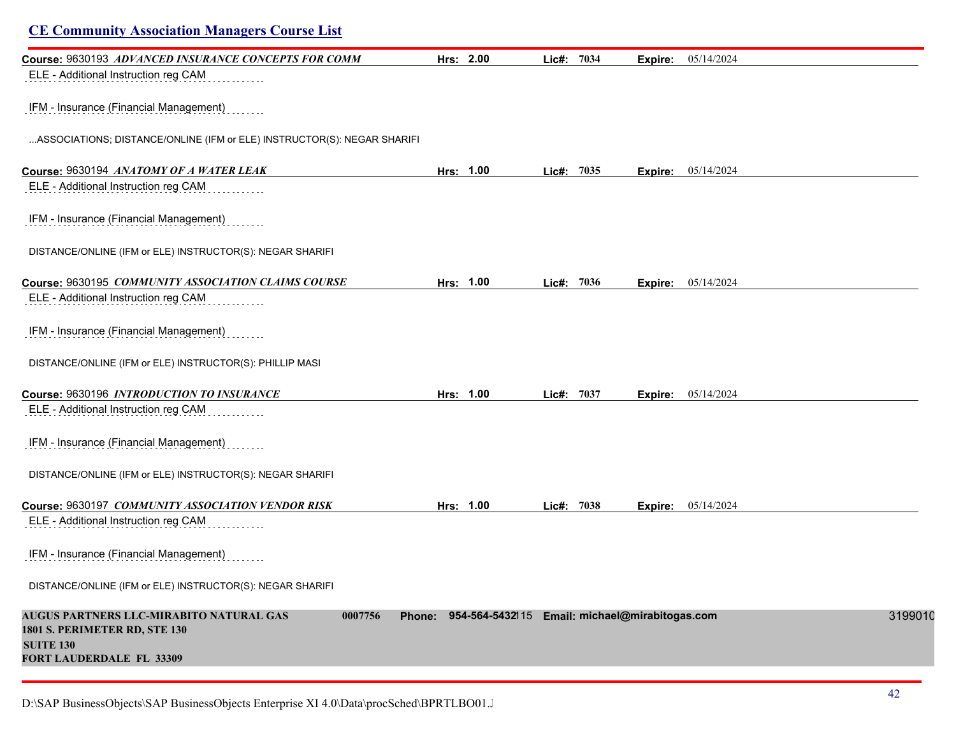| <b>CE Community Association Managers Course List</b>                                                                                |           |                                                       |            |         |            |
|-------------------------------------------------------------------------------------------------------------------------------------|-----------|-------------------------------------------------------|------------|---------|------------|
| Course: 9630193 ADVANCED INSURANCE CONCEPTS FOR COMM<br>ELE - Additional Instruction reg CAM                                        |           | Hrs: 2.00                                             | Lic#: 7034 | Expire: | 05/14/2024 |
| IFM - Insurance (Financial Management)                                                                                              |           |                                                       |            |         |            |
| ASSOCIATIONS; DISTANCE/ONLINE (IFM or ELE) INSTRUCTOR(S): NEGAR SHARIFI                                                             |           |                                                       |            |         |            |
| Course: 9630194 ANATOMY OF A WATER LEAK                                                                                             | Hrs: 1.00 |                                                       | Lic#: 7035 | Expire: | 05/14/2024 |
| ELE - Additional Instruction reg CAM                                                                                                |           |                                                       |            |         |            |
| IFM - Insurance (Financial Management)                                                                                              |           |                                                       |            |         |            |
| DISTANCE/ONLINE (IFM or ELE) INSTRUCTOR(S): NEGAR SHARIFI                                                                           |           |                                                       |            |         |            |
| Course: 9630195 COMMUNITY ASSOCIATION CLAIMS COURSE                                                                                 | Hrs: 1.00 |                                                       | Lic#: 7036 | Expire: | 05/14/2024 |
| ELE - Additional Instruction reg CAM                                                                                                |           |                                                       |            |         |            |
| IFM - Insurance (Financial Management)                                                                                              |           |                                                       |            |         |            |
| DISTANCE/ONLINE (IFM or ELE) INSTRUCTOR(S): PHILLIP MASI                                                                            |           |                                                       |            |         |            |
| Course: 9630196 INTRODUCTION TO INSURANCE                                                                                           | Hrs: 1.00 |                                                       | Lic#: 7037 | Expire: | 05/14/2024 |
| ELE - Additional Instruction reg CAM                                                                                                |           |                                                       |            |         |            |
| IFM - Insurance (Financial Management)                                                                                              |           |                                                       |            |         |            |
| DISTANCE/ONLINE (IFM or ELE) INSTRUCTOR(S): NEGAR SHARIFI                                                                           |           |                                                       |            |         |            |
| Course: 9630197 COMMUNITY ASSOCIATION VENDOR RISK                                                                                   | Hrs: 1.00 |                                                       | Lic#: 7038 | Expire: | 05/14/2024 |
| ELE - Additional Instruction reg CAM                                                                                                |           |                                                       |            |         |            |
| IFM - Insurance (Financial Management)                                                                                              |           |                                                       |            |         |            |
| DISTANCE/ONLINE (IFM or ELE) INSTRUCTOR(S): NEGAR SHARIFI                                                                           |           |                                                       |            |         |            |
| AUGUS PARTNERS LLC-MIRABITO NATURAL GAS<br>0007756<br>1801 S. PERIMETER RD, STE 130<br><b>SUITE 130</b><br>FORT LAUDERDALE FL 33309 |           | Phone: 954-564-5432115 Email: michael@mirabitogas.com |            |         | 3199010    |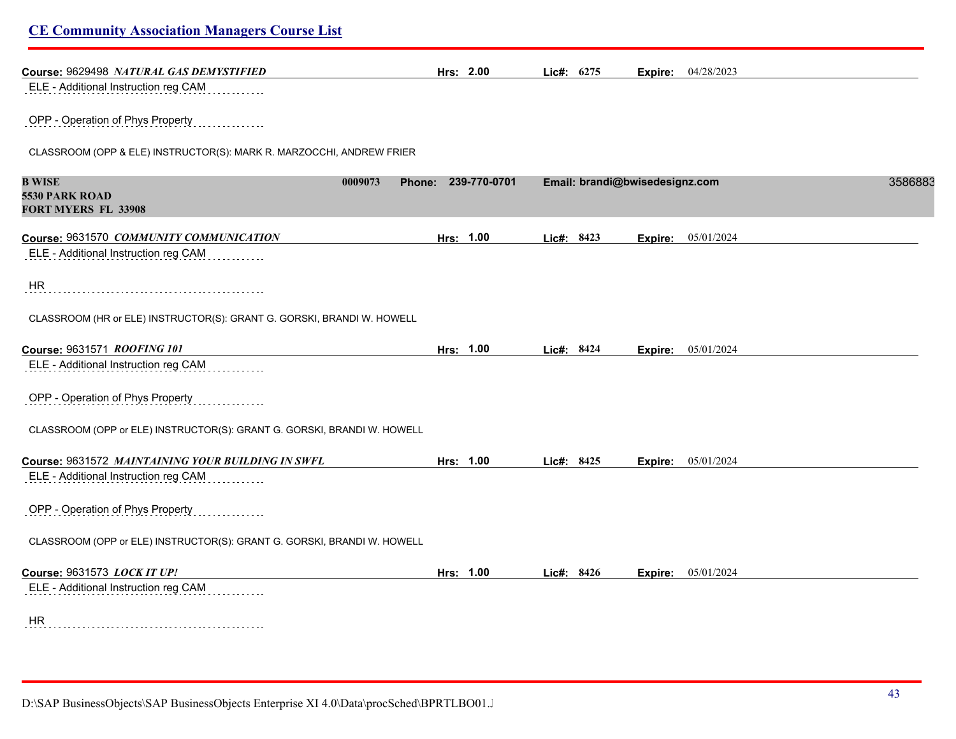| Course: 9629498 NATURAL GAS DEMYSTIFIED                                                                                  | Hrs: 2.00                      | Lic#: 6275 | <b>Expire:</b> 04/28/2023      |         |
|--------------------------------------------------------------------------------------------------------------------------|--------------------------------|------------|--------------------------------|---------|
| ELE - Additional Instruction reg CAM                                                                                     |                                |            |                                |         |
| OPP - Operation of Phys Property                                                                                         |                                |            |                                |         |
| CLASSROOM (OPP & ELE) INSTRUCTOR(S): MARK R. MARZOCCHI, ANDREW FRIER                                                     |                                |            |                                |         |
| <b>B WISE</b>                                                                                                            | 0009073<br>Phone: 239-770-0701 |            | Email: brandi@bwisedesignz.com | 3586883 |
| 5530 PARK ROAD<br>FORT MYERS FL 33908                                                                                    |                                |            |                                |         |
| Course: 9631570 COMMUNITY COMMUNICATION                                                                                  | Hrs: 1.00                      | Lic#: 8423 | <b>Expire:</b> 05/01/2024      |         |
| ELE - Additional Instruction reg CAM                                                                                     |                                |            |                                |         |
| HR                                                                                                                       |                                |            |                                |         |
|                                                                                                                          |                                |            |                                |         |
| CLASSROOM (HR or ELE) INSTRUCTOR(S): GRANT G. GORSKI, BRANDI W. HOWELL                                                   |                                |            |                                |         |
|                                                                                                                          | Hrs: 1.00                      | Lic#: 8424 | <b>Expire:</b> 05/01/2024      |         |
| Course: 9631571 ROOFING 101<br>ELE - Additional Instruction reg CAM                                                      |                                |            |                                |         |
| OPP - Operation of Phys Property                                                                                         |                                |            |                                |         |
| CLASSROOM (OPP or ELE) INSTRUCTOR(S): GRANT G. GORSKI, BRANDI W. HOWELL                                                  |                                |            |                                |         |
|                                                                                                                          | Hrs: 1.00                      | Lic#: 8425 | <b>Expire:</b> 05/01/2024      |         |
| ELE - Additional Instruction reg CAM                                                                                     |                                |            |                                |         |
| OPP - Operation of Phys Property                                                                                         |                                |            |                                |         |
| CLASSROOM (OPP or ELE) INSTRUCTOR(S): GRANT G. GORSKI, BRANDI W. HOWELL                                                  |                                |            |                                |         |
| Course: 9631572 MAINTAINING YOUR BUILDING IN SWFL<br>Course: 9631573 LOCK IT UP!<br>ELE - Additional Instruction reg CAM | Hrs: 1.00                      | Lic#: 8426 | Expire: 05/01/2024             |         |

D:\SAP BusinessObjects\SAP BusinessObjects Enterprise XI 4.0\Data\procSched\BPRTLBO01.J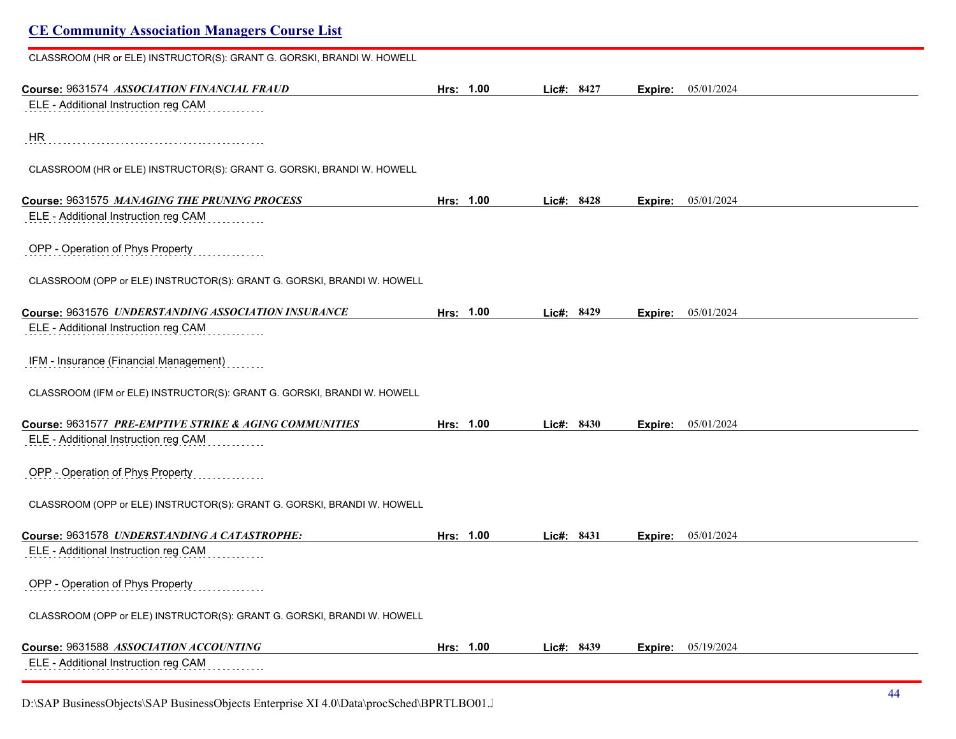# **CE Community Association Managers Course List** CLASSROOM (HR or ELE) INSTRUCTOR(S): GRANT G. GORSKI, BRANDI W. HOWELL **Course:** 9631574 *ASSOCIATION FINANCIAL FRAUD* **Hrs: 1.00 Lic#: 8427 Expire:** 05/01/2024 ELE - Additional Instruction reg CAM HR CLASSROOM (HR or ELE) INSTRUCTOR(S): GRANT G. GORSKI, BRANDI W. HOWELL **Course:** 9631575 *MANAGING THE PRUNING PROCESS* **Hrs: 1.00 Lic#: 8428 Expire:** 05/01/2024 ELE - Additional Instruction reg CAM OPP - Operation of Phys Property CLASSROOM (OPP or ELE) INSTRUCTOR(S): GRANT G. GORSKI, BRANDI W. HOWELL **Course:** 9631576 *UNDERSTANDING ASSOCIATION INSURANCE* **Hrs: 1.00 Lic#: 8429 Expire:** 05/01/2024 ELE - Additional Instruction reg CAM IFM - Insurance (Financial Management) CLASSROOM (IFM or ELE) INSTRUCTOR(S): GRANT G. GORSKI, BRANDI W. HOWELL **Course:** 9631577 *PRE-EMPTIVE STRIKE & AGING COMMUNITIES* **Hrs: 1.00 Lic#: 8430 Expire:** 05/01/2024 ELE - Additional Instruction reg CAM OPP - Operation of Phys Property CLASSROOM (OPP or ELE) INSTRUCTOR(S): GRANT G. GORSKI, BRANDI W. HOWELL **Course:** 9631578 *UNDERSTANDING A CATASTROPHE:* **Hrs: 1.00 Lic#: 8431 Expire:** 05/01/2024 ELE - Additional Instruction reg CAM OPP - Operation of Phys Property CLASSROOM (OPP or ELE) INSTRUCTOR(S): GRANT G. GORSKI, BRANDI W. HOWELL **Course:** 9631588 *ASSOCIATION ACCOUNTING* **Hrs: 1.00 Lic#: 8439 Expire:** 05/19/2024

ELE - Additional Instruction reg CAM

D:\SAP BusinessObjects\SAP BusinessObjects Enterprise XI 4.0\Data\procSched\BPRTLBO01.Jobserver2\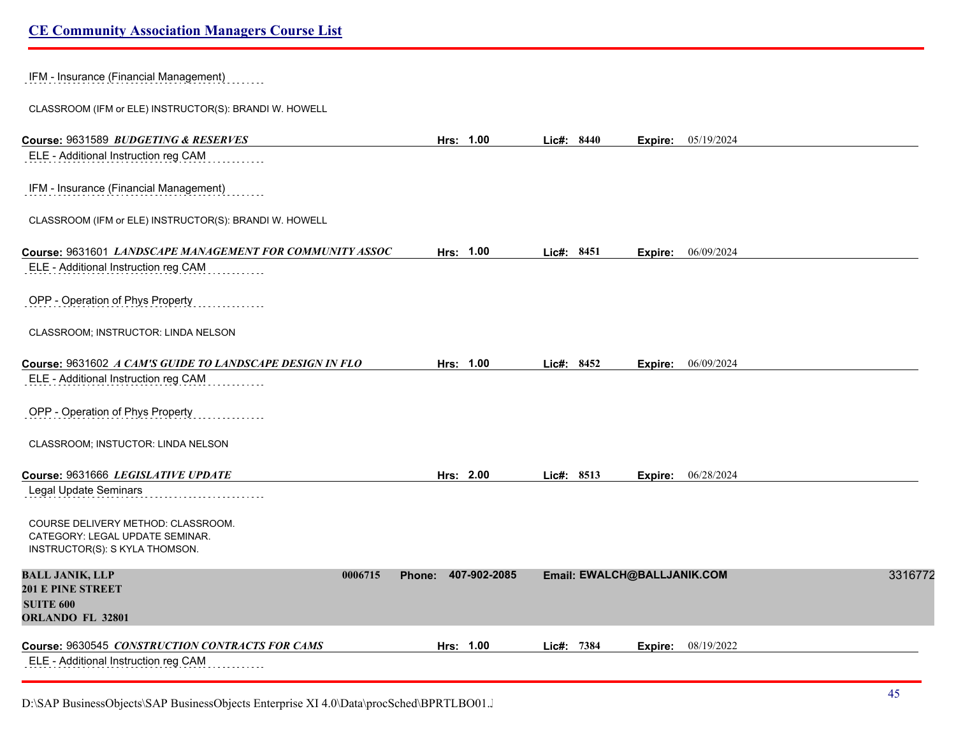IFM - Insurance (Financial Management)

CLASSROOM (IFM or ELE) INSTRUCTOR(S): BRANDI W. HOWELL

| Course: 9631589 BUDGETING & RESERVES                                                                    | Hrs: 1.00              | Lic#: 8440 |                             | <b>Expire:</b> 05/19/2024 |  |
|---------------------------------------------------------------------------------------------------------|------------------------|------------|-----------------------------|---------------------------|--|
| ELE - Additional Instruction reg CAM                                                                    |                        |            |                             |                           |  |
| IFM - Insurance (Financial Management)                                                                  |                        |            |                             |                           |  |
| CLASSROOM (IFM or ELE) INSTRUCTOR(S): BRANDI W. HOWELL                                                  |                        |            |                             |                           |  |
| Course: 9631601 LANDSCAPE MANAGEMENT FOR COMMUNITY ASSOC                                                | Hrs: 1.00              | Lic#: 8451 |                             | <b>Expire:</b> 06/09/2024 |  |
| ELE - Additional Instruction reg CAM                                                                    |                        |            |                             |                           |  |
| OPP - Operation of Phys Property                                                                        |                        |            |                             |                           |  |
| CLASSROOM; INSTRUCTOR: LINDA NELSON                                                                     |                        |            |                             |                           |  |
| Course: 9631602 A CAM'S GUIDE TO LANDSCAPE DESIGN IN FLO                                                | Hrs: 1.00              | Lic#: 8452 | Expire:                     | 06/09/2024                |  |
| ELE - Additional Instruction reg CAM                                                                    |                        |            |                             |                           |  |
| OPP - Operation of Phys Property                                                                        |                        |            |                             |                           |  |
| CLASSROOM; INSTUCTOR: LINDA NELSON                                                                      |                        |            |                             |                           |  |
| Course: 9631666 LEGISLATIVE UPDATE                                                                      | Hrs: 2.00              | Lic#: 8513 |                             | Expire: 06/28/2024        |  |
| Legal Update Seminars                                                                                   |                        |            |                             |                           |  |
| COURSE DELIVERY METHOD: CLASSROOM.<br>CATEGORY: LEGAL UPDATE SEMINAR.<br>INSTRUCTOR(S): S KYLA THOMSON. |                        |            |                             |                           |  |
| <b>BALL JANIK, LLP</b><br>0006715                                                                       | 407-902-2085<br>Phone: |            | Email: EWALCH@BALLJANIK.COM | 3316772                   |  |
| <b>201 E PINE STREET</b><br><b>SUITE 600</b>                                                            |                        |            |                             |                           |  |
| ORLANDO FL 32801                                                                                        |                        |            |                             |                           |  |
| Course: 9630545 CONSTRUCTION CONTRACTS FOR CAMS                                                         | Hrs: 1.00              | Lic#: 7384 | Expire:                     | 08/19/2022                |  |
| ELE - Additional Instruction reg CAM                                                                    |                        |            |                             |                           |  |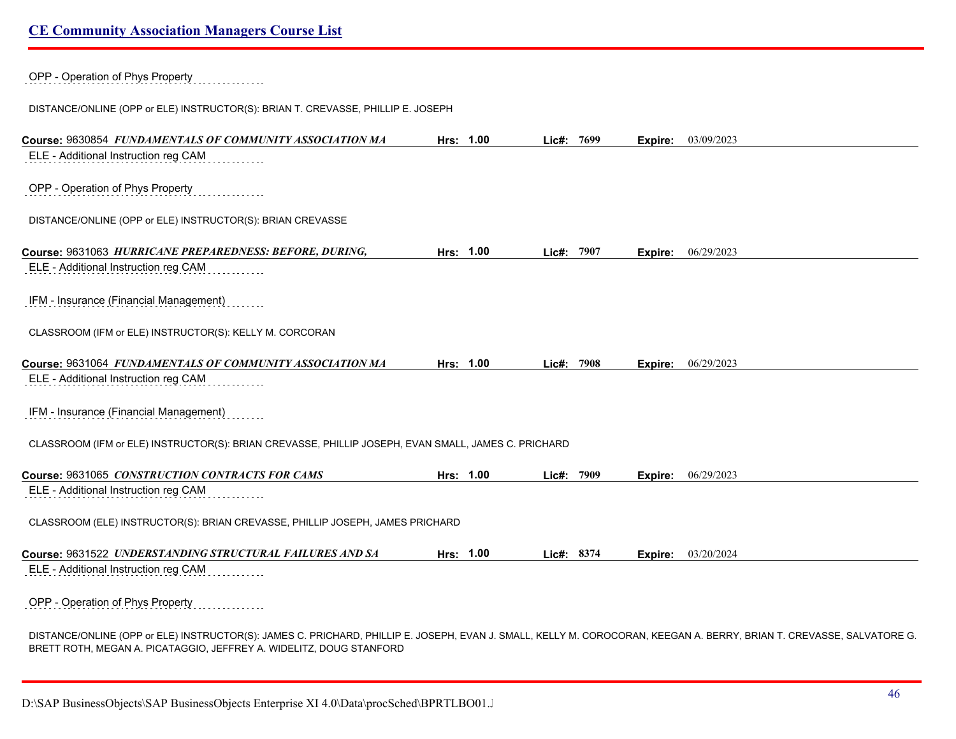OPP - Operation of Phys Property DISTANCE/ONLINE (OPP or ELE) INSTRUCTOR(S): BRIAN T. CREVASSE, PHILLIP E. JOSEPH **Course:** 9630854 *FUNDAMENTALS OF COMMUNITY ASSOCIATION MA* **Hrs: 1.00 Lic#: 7699 Expire:** 03/09/2023 ELE - Additional Instruction reg CAM OPP - Operation of Phys Property DISTANCE/ONLINE (OPP or ELE) INSTRUCTOR(S): BRIAN CREVASSE **Course:** 9631063 *HURRICANE PREPAREDNESS: BEFORE, DURING,* **Hrs: 1.00 Lic#: 7907 Expire:** 06/29/2023 ELE - Additional Instruction reg CAM IFM - Insurance (Financial Management) CLASSROOM (IFM or ELE) INSTRUCTOR(S): KELLY M. CORCORAN **Course:** 9631064 *FUNDAMENTALS OF COMMUNITY ASSOCIATION MA* **Hrs: 1.00 Lic#: 7908 Expire:** 06/29/2023 ELE - Additional Instruction reg CAM IFM - Insurance (Financial Management) CLASSROOM (IFM or ELE) INSTRUCTOR(S): BRIAN CREVASSE, PHILLIP JOSEPH, EVAN SMALL, JAMES C. PRICHARD **Course:** 9631065 *CONSTRUCTION CONTRACTS FOR CAMS* **Hrs: 1.00 Lic#: 7909 Expire:** 06/29/2023 ELE - Additional Instruction reg CAM CLASSROOM (ELE) INSTRUCTOR(S): BRIAN CREVASSE, PHILLIP JOSEPH, JAMES PRICHARD **Course:** 9631522 *UNDERSTANDING STRUCTURAL FAILURES AND SA* **Hrs: 1.00 Lic#: 8374 Expire:** 03/20/2024 ELE - Additional Instruction reg CAM OPP - Operation of Phys Property

DISTANCE/ONLINE (OPP or ELE) INSTRUCTOR(S): JAMES C. PRICHARD, PHILLIP E. JOSEPH, EVAN J. SMALL, KELLY M. COROCORAN, KEEGAN A. BERRY, BRIAN T. CREVASSE, SALVATORE G. BRETT ROTH, MEGAN A. PICATAGGIO, JEFFREY A. WIDELITZ, DOUG STANFORD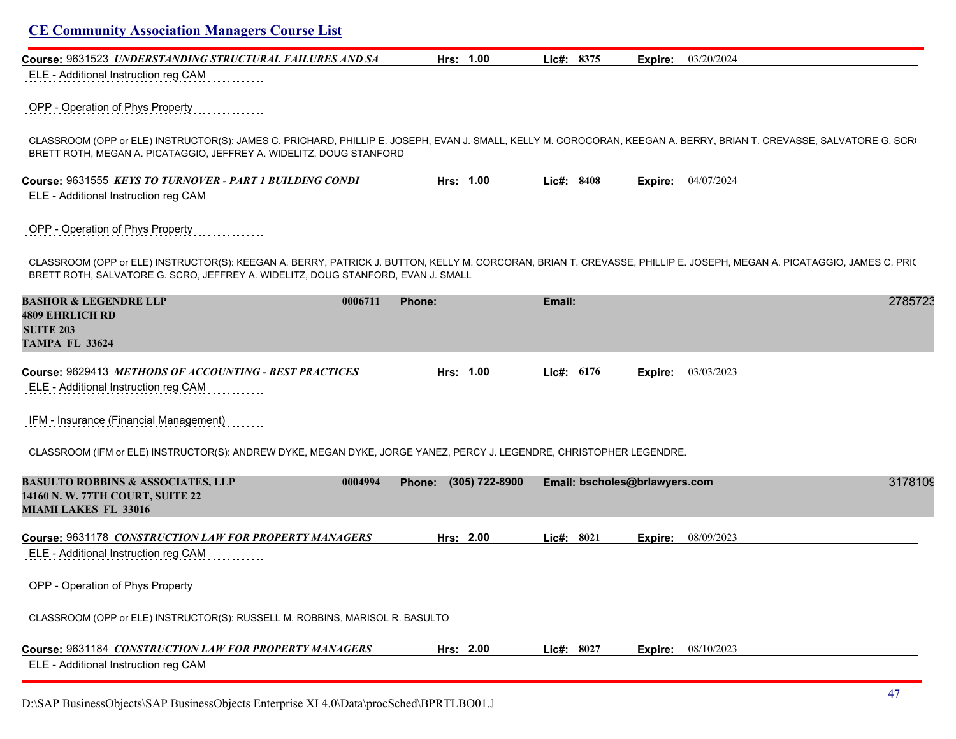| Course: 9631523 UNDERSTANDING STRUCTURAL FAILURES AND SA                                                                                                                                                                                                  | Hrs: 1.00             | Lic#: 8375   | Expire:                       | 03/20/2024                |         |
|-----------------------------------------------------------------------------------------------------------------------------------------------------------------------------------------------------------------------------------------------------------|-----------------------|--------------|-------------------------------|---------------------------|---------|
| ELE - Additional Instruction reg CAM                                                                                                                                                                                                                      |                       |              |                               |                           |         |
| OPP - Operation of Phys Property                                                                                                                                                                                                                          |                       |              |                               |                           |         |
| CLASSROOM (OPP or ELE) INSTRUCTOR(S): JAMES C. PRICHARD, PHILLIP E. JOSEPH, EVAN J. SMALL, KELLY M. COROCORAN, KEEGAN A. BERRY, BRIAN T. CREVASSE, SALVATORE G. SCR<br>BRETT ROTH, MEGAN A. PICATAGGIO, JEFFREY A. WIDELITZ, DOUG STANFORD                |                       |              |                               |                           |         |
| Course: 9631555 KEYS TO TURNOVER - PART 1 BUILDING CONDI                                                                                                                                                                                                  | Hrs: 1.00             | Lic#: 8408   |                               | <b>Expire:</b> 04/07/2024 |         |
| ELE - Additional Instruction reg CAM                                                                                                                                                                                                                      |                       |              |                               |                           |         |
| OPP - Operation of Phys Property                                                                                                                                                                                                                          |                       |              |                               |                           |         |
| CLASSROOM (OPP or ELE) INSTRUCTOR(S): KEEGAN A. BERRY, PATRICK J. BUTTON, KELLY M. CORCORAN, BRIAN T. CREVASSE, PHILLIP E. JOSEPH, MEGAN A. PICATAGGIO, JAMES C. PRI(<br>BRETT ROTH, SALVATORE G. SCRO, JEFFREY A. WIDELITZ, DOUG STANFORD, EVAN J. SMALL |                       |              |                               |                           |         |
| <b>BASHOR &amp; LEGENDRE LLP</b><br>0006711<br><b>4809 EHRLICH RD</b><br><b>SUITE 203</b><br><b>TAMPA FL 33624</b>                                                                                                                                        | Phone:                | Email:       |                               |                           | 2785723 |
| Course: 9629413 METHODS OF ACCOUNTING - BEST PRACTICES                                                                                                                                                                                                    | Hrs: 1.00             | Lic#: $6176$ | Expire:                       | 03/03/2023                |         |
| ELE - Additional Instruction reg CAM                                                                                                                                                                                                                      |                       |              |                               |                           |         |
| IFM - Insurance (Financial Management)                                                                                                                                                                                                                    |                       |              |                               |                           |         |
| CLASSROOM (IFM or ELE) INSTRUCTOR(S): ANDREW DYKE, MEGAN DYKE, JORGE YANEZ, PERCY J. LEGENDRE, CHRISTOPHER LEGENDRE.                                                                                                                                      |                       |              |                               |                           |         |
| <b>BASULTO ROBBINS &amp; ASSOCIATES, LLP</b><br>0004994<br>14160 N.W. 77TH COURT, SUITE 22<br><b>MIAMI LAKES FL 33016</b>                                                                                                                                 | Phone: (305) 722-8900 |              | Email: bscholes@brlawyers.com |                           | 3178109 |
| Course: 9631178 CONSTRUCTION LAW FOR PROPERTY MANAGERS                                                                                                                                                                                                    | Hrs: 2.00             | Lic#: $8021$ | Expire:                       | 08/09/2023                |         |
| ELE - Additional Instruction reg CAM<br>.                                                                                                                                                                                                                 |                       |              |                               |                           |         |
| OPP - Operation of Phys Property                                                                                                                                                                                                                          |                       |              |                               |                           |         |
| CLASSROOM (OPP or ELE) INSTRUCTOR(S): RUSSELL M. ROBBINS, MARISOL R. BASULTO                                                                                                                                                                              |                       |              |                               |                           |         |
|                                                                                                                                                                                                                                                           |                       |              |                               |                           |         |
| Course: 9631184 CONSTRUCTION LAW FOR PROPERTY MANAGERS                                                                                                                                                                                                    | Hrs: 2.00             | Lic#: 8027   | Expire:                       | 08/10/2023                |         |

D:\SAP BusinessObjects\SAP BusinessObjects Enterprise XI 4.0\Data\procSched\BPRTLBO01.J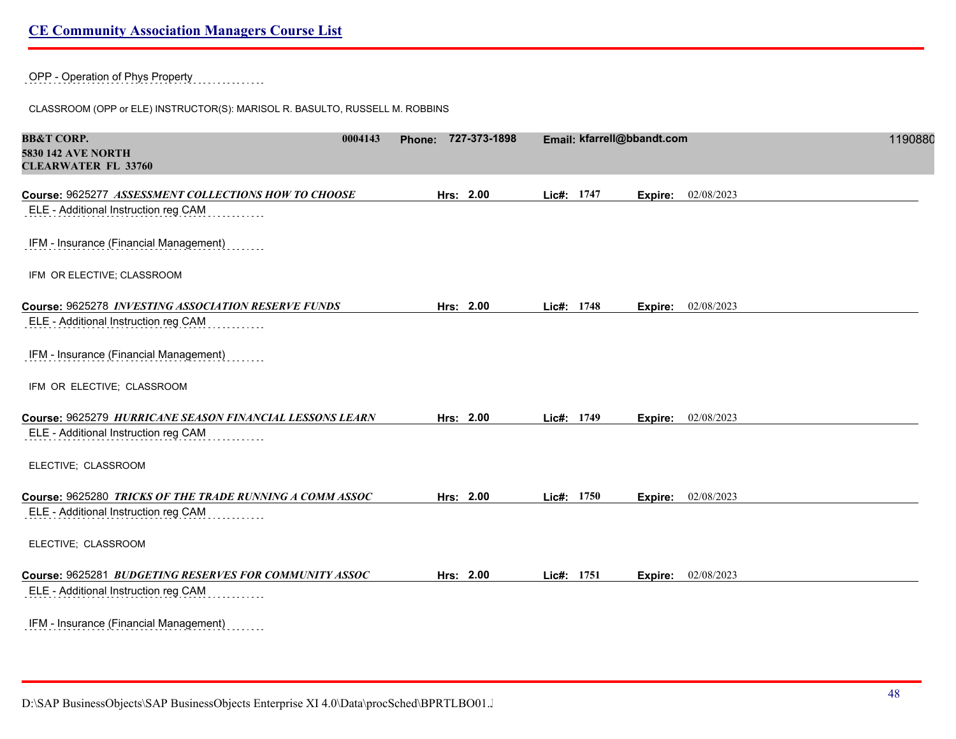OPP - Operation of Phys Property

CLASSROOM (OPP or ELE) INSTRUCTOR(S): MARISOL R. BASULTO, RUSSELL M. ROBBINS

| <b>BB&amp;T CORP.</b><br><b>5830 142 AVE NORTH</b><br><b>CLEARWATER FL 33760</b>             | 0004143 | Phone: 727-373-1898 |            | Email: kfarrell@bbandt.com |            | 1190880 |
|----------------------------------------------------------------------------------------------|---------|---------------------|------------|----------------------------|------------|---------|
| Course: 9625277 ASSESSMENT COLLECTIONS HOW TO CHOOSE<br>ELE - Additional Instruction reg CAM |         | Hrs: 2.00           | Lic#: 1747 | Expire:                    | 02/08/2023 |         |
| IFM - Insurance (Financial Management)                                                       |         |                     |            |                            |            |         |
| IFM OR ELECTIVE; CLASSROOM                                                                   |         |                     |            |                            |            |         |
| Course: 9625278 INVESTING ASSOCIATION RESERVE FUNDS                                          |         | Hrs: 2.00           | Lic#: 1748 | Expire:                    | 02/08/2023 |         |
| ELE - Additional Instruction reg CAM                                                         |         |                     |            |                            |            |         |
| IFM - Insurance (Financial Management)                                                       |         |                     |            |                            |            |         |
| IFM OR ELECTIVE; CLASSROOM                                                                   |         |                     |            |                            |            |         |
| Course: 9625279 HURRICANE SEASON FINANCIAL LESSONS LEARN                                     |         | Hrs: 2.00           | Lic#: 1749 | Expire:                    | 02/08/2023 |         |
| ELE - Additional Instruction reg CAM                                                         |         |                     |            |                            |            |         |
| ELECTIVE; CLASSROOM                                                                          |         |                     |            |                            |            |         |
| Course: 9625280 TRICKS OF THE TRADE RUNNING A COMM ASSOC                                     |         | Hrs: 2.00           | Lic#: 1750 | Expire:                    | 02/08/2023 |         |
| ELE - Additional Instruction reg CAM                                                         |         |                     |            |                            |            |         |
| ELECTIVE; CLASSROOM                                                                          |         |                     |            |                            |            |         |
| Course: 9625281 BUDGETING RESERVES FOR COMMUNITY ASSOC                                       |         | Hrs: 2.00           | Lic#: 1751 | Expire:                    | 02/08/2023 |         |
| ELE - Additional Instruction reg CAM                                                         |         |                     |            |                            |            |         |
| IFM - Insurance (Financial Management)<br>a sa sa sa                                         |         |                     |            |                            |            |         |

D:\SAP BusinessObjects\SAP BusinessObjects Enterprise XI 4.0\Data\procSched\BPRTLBO01.J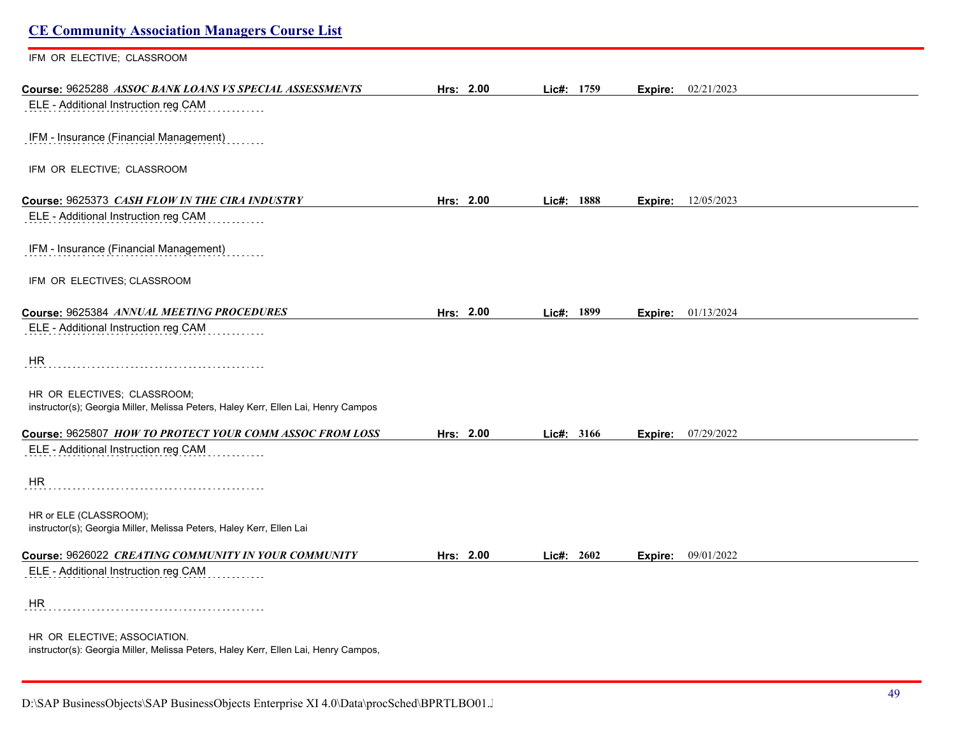| <b>CE Community Association Managers Course List</b>                                                                |           |            |                             |  |
|---------------------------------------------------------------------------------------------------------------------|-----------|------------|-----------------------------|--|
| IFM OR ELECTIVE; CLASSROOM                                                                                          |           |            |                             |  |
| Course: 9625288 ASSOC BANK LOANS VS SPECIAL ASSESSMENTS                                                             | Hrs: 2.00 | Lic#: 1759 | <b>Expire:</b> $02/21/2023$ |  |
| ELE - Additional Instruction reg CAM                                                                                |           |            |                             |  |
| IFM - Insurance (Financial Management)                                                                              |           |            |                             |  |
| IFM OR ELECTIVE; CLASSROOM                                                                                          |           |            |                             |  |
| Course: 9625373 CASH FLOW IN THE CIRA INDUSTRY                                                                      | Hrs: 2.00 | Lic#: 1888 | <b>Expire:</b> 12/05/2023   |  |
| ELE - Additional Instruction reg CAM                                                                                |           |            |                             |  |
| IFM - Insurance (Financial Management)                                                                              |           |            |                             |  |
| IFM OR ELECTIVES; CLASSROOM                                                                                         |           |            |                             |  |
| Course: 9625384 ANNUAL MEETING PROCEDURES                                                                           | Hrs: 2.00 | Lic#: 1899 | Expire: 01/13/2024          |  |
| ELE - Additional Instruction reg CAM                                                                                |           |            |                             |  |
| <b>HR</b>                                                                                                           |           |            |                             |  |
| HR OR ELECTIVES; CLASSROOM;<br>instructor(s); Georgia Miller, Melissa Peters, Haley Kerr, Ellen Lai, Henry Campos   |           |            |                             |  |
| Course: 9625807 HOW TO PROTECT YOUR COMM ASSOC FROM LOSS                                                            | Hrs: 2.00 | Lic#: 3166 | 07/29/2022<br>Expire:       |  |
| ELE - Additional Instruction reg CAM                                                                                |           |            |                             |  |
| HR                                                                                                                  |           |            |                             |  |
| HR or ELE (CLASSROOM);<br>instructor(s); Georgia Miller, Melissa Peters, Haley Kerr, Ellen Lai                      |           |            |                             |  |
| Course: 9626022 CREATING COMMUNITY IN YOUR COMMUNITY                                                                | Hrs: 2.00 | Lic#: 2602 | <b>Expire:</b> 09/01/2022   |  |
| ELE - Additional Instruction reg CAM                                                                                |           |            |                             |  |
| HR                                                                                                                  |           |            |                             |  |
| HR OR ELECTIVE; ASSOCIATION.<br>instructor(s): Georgia Miller, Melissa Peters, Haley Kerr, Ellen Lai, Henry Campos, |           |            |                             |  |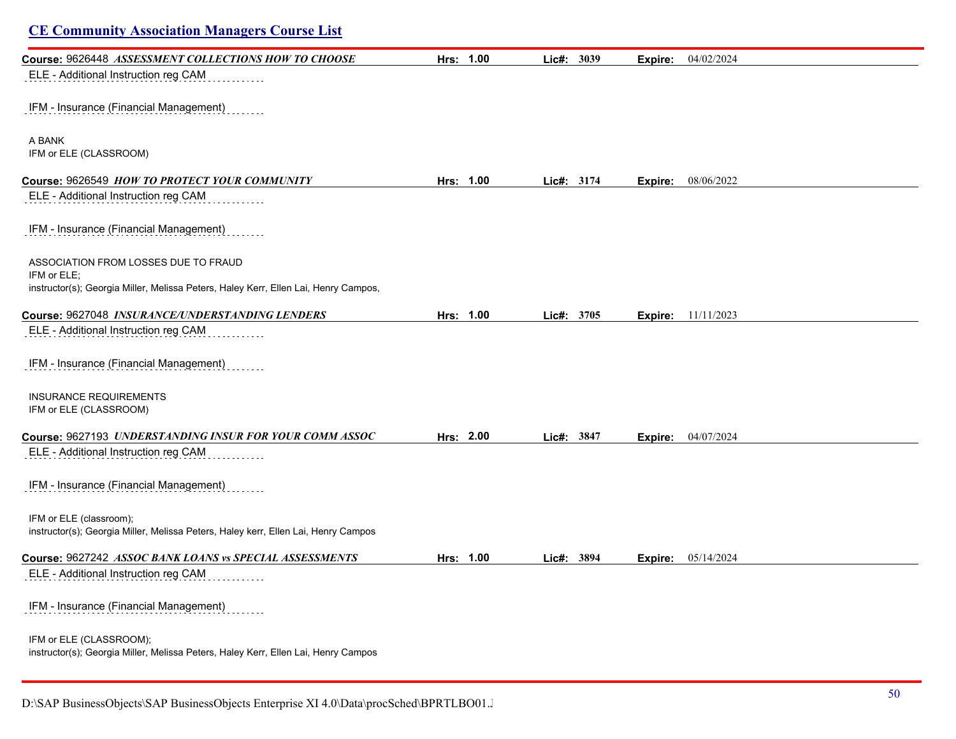| <b>CE Community Association Managers Course List</b>                                                          |           |            |                           |  |
|---------------------------------------------------------------------------------------------------------------|-----------|------------|---------------------------|--|
| Course: 9626448 ASSESSMENT COLLECTIONS HOW TO CHOOSE<br>ELE - Additional Instruction reg CAM                  | Hrs: 1.00 | Lic#: 3039 | 04/02/2024<br>Expire:     |  |
| IFM - Insurance (Financial Management)                                                                        |           |            |                           |  |
| A BANK<br>IFM or ELE (CLASSROOM)                                                                              |           |            |                           |  |
| Course: 9626549 HOW TO PROTECT YOUR COMMUNITY                                                                 | Hrs: 1.00 | Lic#: 3174 | 08/06/2022<br>Expire:     |  |
| ELE - Additional Instruction reg CAM                                                                          |           |            |                           |  |
| IFM - Insurance (Financial Management)                                                                        |           |            |                           |  |
| ASSOCIATION FROM LOSSES DUE TO FRAUD                                                                          |           |            |                           |  |
| IFM or ELE:<br>instructor(s); Georgia Miller, Melissa Peters, Haley Kerr, Ellen Lai, Henry Campos,            |           |            |                           |  |
| Course: 9627048 INSURANCE/UNDERSTANDING LENDERS                                                               | Hrs: 1.00 |            |                           |  |
| ELE - Additional Instruction reg CAM                                                                          |           | Lic#: 3705 | <b>Expire:</b> 11/11/2023 |  |
| IFM - Insurance (Financial Management)                                                                        |           |            |                           |  |
| <b>INSURANCE REQUIREMENTS</b><br>IFM or ELE (CLASSROOM)                                                       |           |            |                           |  |
| Course: 9627193 UNDERSTANDING INSUR FOR YOUR COMM ASSOC                                                       | Hrs: 2.00 | Lic#: 3847 | 04/07/2024<br>Expire:     |  |
| ELE - Additional Instruction reg CAM                                                                          |           |            |                           |  |
| IFM - Insurance (Financial Management)                                                                        |           |            |                           |  |
| IFM or ELE (classroom);<br>instructor(s); Georgia Miller, Melissa Peters, Haley kerr, Ellen Lai, Henry Campos |           |            |                           |  |
| Course: 9627242 ASSOC BANK LOANS vs SPECIAL ASSESSMENTS                                                       | Hrs: 1.00 | Lic#: 3894 | Expire: 05/14/2024        |  |
| ELE - Additional Instruction reg CAM                                                                          |           |            |                           |  |
| IFM - Insurance (Financial Management)                                                                        |           |            |                           |  |
| IFM or ELE (CLASSROOM);<br>instructor(s); Georgia Miller, Melissa Peters, Haley Kerr, Ellen Lai, Henry Campos |           |            |                           |  |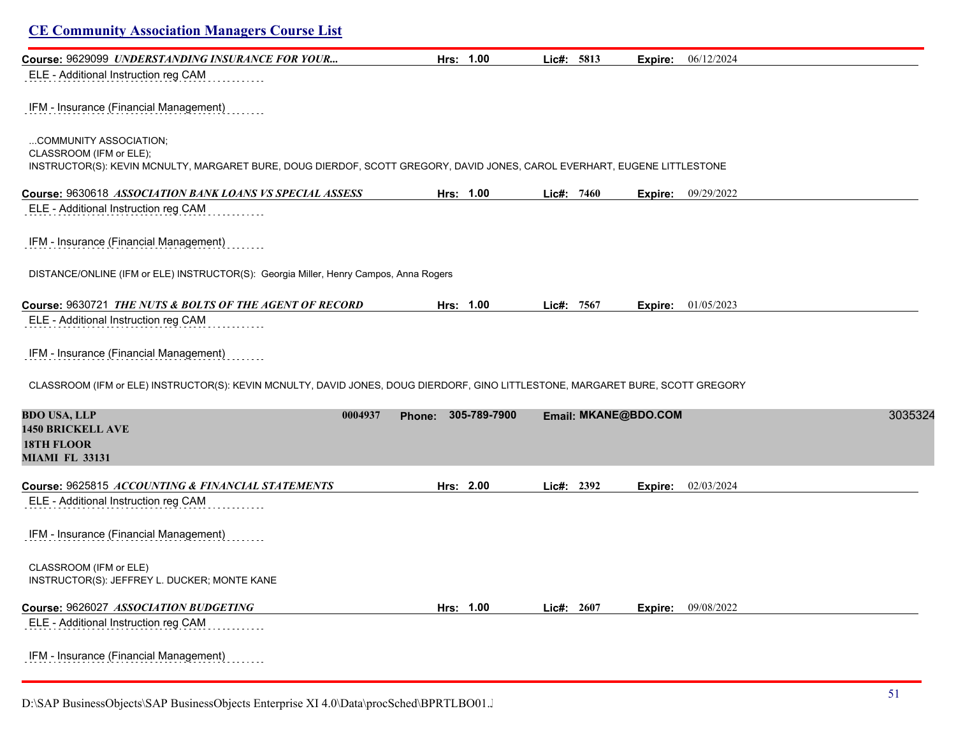| <b>CE Community Association Managers Course List</b>                                                                                                                           |           |              |            |                      |                             |         |
|--------------------------------------------------------------------------------------------------------------------------------------------------------------------------------|-----------|--------------|------------|----------------------|-----------------------------|---------|
| Course: 9629099 UNDERSTANDING INSURANCE FOR YOUR                                                                                                                               | Hrs: 1.00 |              | Lic#: 5813 | Expire:              | 06/12/2024                  |         |
| ELE - Additional Instruction reg CAM                                                                                                                                           |           |              |            |                      |                             |         |
| IFM - Insurance (Financial Management)                                                                                                                                         |           |              |            |                      |                             |         |
| COMMUNITY ASSOCIATION;<br>CLASSROOM (IFM or ELE);<br>INSTRUCTOR(S): KEVIN MCNULTY, MARGARET BURE, DOUG DIERDOF, SCOTT GREGORY, DAVID JONES, CAROL EVERHART, EUGENE LITTLESTONE |           |              |            |                      |                             |         |
| Course: 9630618 ASSOCIATION BANK LOANS VS SPECIAL ASSESS                                                                                                                       | Hrs: 1.00 |              | Lie#: 7460 |                      | <b>Expire:</b> $09/29/2022$ |         |
| ELE - Additional Instruction reg CAM                                                                                                                                           |           |              |            |                      |                             |         |
| IFM - Insurance (Financial Management)                                                                                                                                         |           |              |            |                      |                             |         |
| DISTANCE/ONLINE (IFM or ELE) INSTRUCTOR(S): Georgia Miller, Henry Campos, Anna Rogers                                                                                          |           |              |            |                      |                             |         |
| Course: 9630721 THE NUTS & BOLTS OF THE AGENT OF RECORD                                                                                                                        | Hrs: 1.00 |              | Lic#: 7567 | Expire:              | 01/05/2023                  |         |
| ELE - Additional Instruction reg CAM                                                                                                                                           |           |              |            |                      |                             |         |
| IFM - Insurance (Financial Management)                                                                                                                                         |           |              |            |                      |                             |         |
| CLASSROOM (IFM or ELE) INSTRUCTOR(S): KEVIN MCNULTY, DAVID JONES, DOUG DIERDORF, GINO LITTLESTONE, MARGARET BURE, SCOTT GREGORY                                                |           |              |            |                      |                             |         |
| <b>BDO USA, LLP</b><br>0004937<br><b>1450 BRICKELL AVE</b><br><b>18TH FLOOR</b><br><b>MIAMI FL 33131</b>                                                                       | Phone:    | 305-789-7900 |            | Email: MKANE@BDO.COM |                             | 3035324 |
| Course: 9625815 ACCOUNTING & FINANCIAL STATEMENTS                                                                                                                              | Hrs: 2.00 |              | Lic#: 2392 | Expire:              | 02/03/2024                  |         |
| ELE - Additional Instruction reg CAM                                                                                                                                           |           |              |            |                      |                             |         |
| IFM - Insurance (Financial Management)                                                                                                                                         |           |              |            |                      |                             |         |
| CLASSROOM (IFM or ELE)<br>INSTRUCTOR(S): JEFFREY L. DUCKER; MONTE KANE                                                                                                         |           |              |            |                      |                             |         |
| Course: 9626027 ASSOCIATION BUDGETING                                                                                                                                          | Hrs: 1.00 |              | Lic#: 2607 | Expire:              | 09/08/2022                  |         |
| ELE - Additional Instruction reg CAM                                                                                                                                           |           |              |            |                      |                             |         |
| IFM - Insurance (Financial Management)                                                                                                                                         |           |              |            |                      |                             |         |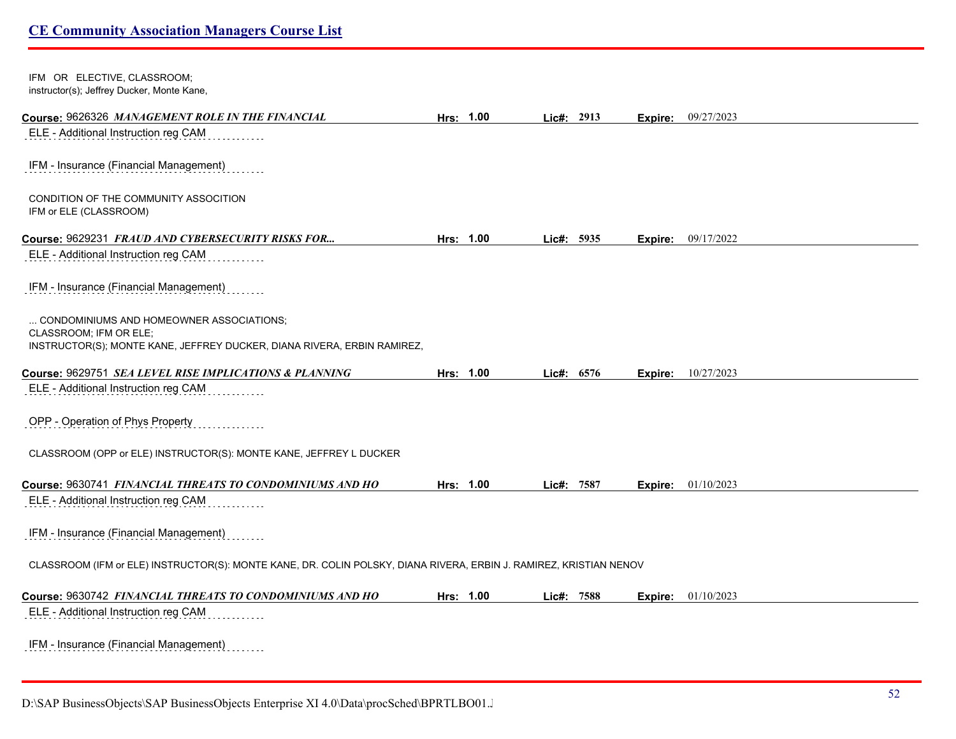| IFM OR ELECTIVE, CLASSROOM;<br>instructor(s); Jeffrey Ducker, Monte Kane,                                                                     |           |              |      |         |            |
|-----------------------------------------------------------------------------------------------------------------------------------------------|-----------|--------------|------|---------|------------|
| Course: 9626326 MANAGEMENT ROLE IN THE FINANCIAL                                                                                              | Hrs: 1.00 | Lic#: 2913   |      | Expire: | 09/27/2023 |
| ELE - Additional Instruction reg CAM                                                                                                          |           |              |      |         |            |
| IFM - Insurance (Financial Management)                                                                                                        |           |              |      |         |            |
| CONDITION OF THE COMMUNITY ASSOCITION<br>IFM or ELE (CLASSROOM)                                                                               |           |              |      |         |            |
| Course: 9629231 FRAUD AND CYBERSECURITY RISKS FOR                                                                                             | Hrs: 1.00 | Lic#: 5935   |      | Expire: | 09/17/2022 |
| ELE - Additional Instruction reg CAM                                                                                                          |           |              |      |         |            |
| IFM - Insurance (Financial Management)                                                                                                        |           |              |      |         |            |
| CONDOMINIUMS AND HOMEOWNER ASSOCIATIONS;<br>CLASSROOM: IFM OR ELE:<br>INSTRUCTOR(S); MONTE KANE, JEFFREY DUCKER, DIANA RIVERA, ERBIN RAMIREZ, |           |              |      |         |            |
| Course: 9629751 SEA LEVEL RISE IMPLICATIONS & PLANNING                                                                                        | Hrs: 1.00 | Lic#:        | 6576 | Expire: | 10/27/2023 |
| ELE - Additional Instruction reg CAM                                                                                                          |           |              |      |         |            |
| OPP - Operation of Phys Property                                                                                                              |           |              |      |         |            |
| CLASSROOM (OPP or ELE) INSTRUCTOR(S): MONTE KANE, JEFFREY L DUCKER                                                                            |           |              |      |         |            |
| Course: 9630741 FINANCIAL THREATS TO CONDOMINIUMS AND HO                                                                                      | Hrs: 1.00 | Lic#: 7587   |      | Expire: | 01/10/2023 |
| ELE - Additional Instruction reg CAM                                                                                                          |           |              |      |         |            |
| IFM - Insurance (Financial Management)                                                                                                        |           |              |      |         |            |
| CLASSROOM (IFM or ELE) INSTRUCTOR(S): MONTE KANE, DR. COLIN POLSKY, DIANA RIVERA, ERBIN J. RAMIREZ, KRISTIAN NENOV                            |           |              |      |         |            |
| Course: 9630742 FINANCIAL THREATS TO CONDOMINIUMS AND HO                                                                                      | Hrs: 1.00 | Lic#: $7588$ |      | Expire: | 01/10/2023 |
| ELE - Additional Instruction reg CAM                                                                                                          |           |              |      |         |            |
| IFM - Insurance (Financial Management)                                                                                                        |           |              |      |         |            |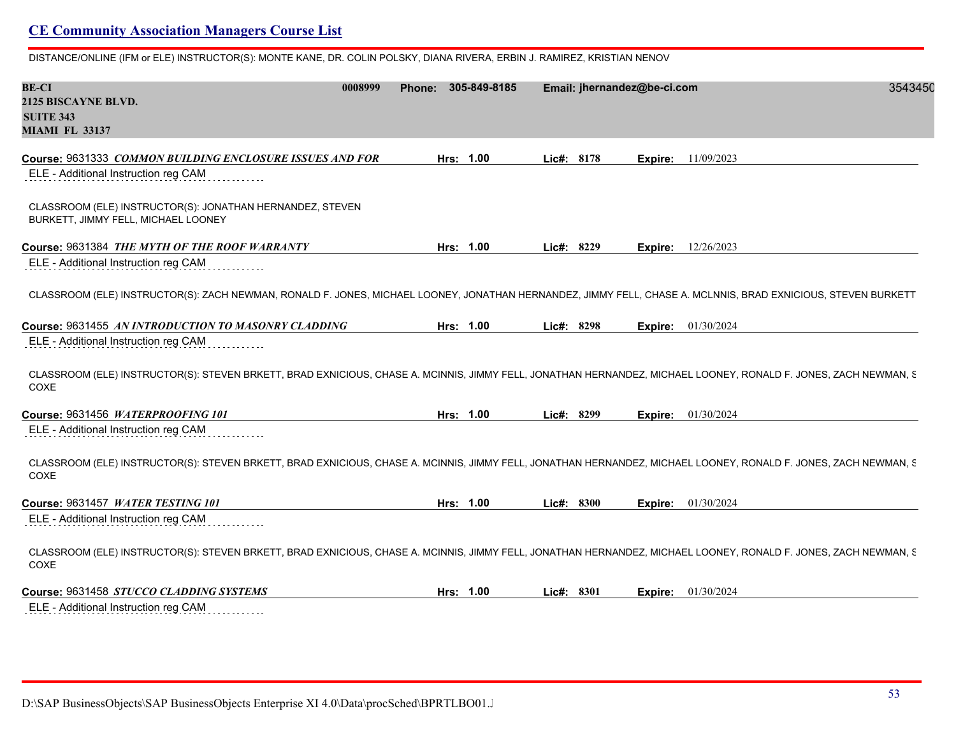DISTANCE/ONLINE (IFM or ELE) INSTRUCTOR(S): MONTE KANE, DR. COLIN POLSKY, DIANA RIVERA, ERBIN J. RAMIREZ, KRISTIAN NENOV

| <b>BE-CI</b><br>0008999<br>2125 BISCAYNE BLVD.<br><b>SUITE 343</b><br><b>MIAMI FL 33137</b>                                                                              | Phone: 305-849-8185 | Email: jhernandez@be-ci.com |                       | 3543450 |
|--------------------------------------------------------------------------------------------------------------------------------------------------------------------------|---------------------|-----------------------------|-----------------------|---------|
| Course: 9631333 COMMON BUILDING ENCLOSURE ISSUES AND FOR                                                                                                                 | Hrs: 1.00           | Lic#: 8178                  | 11/09/2023<br>Expire: |         |
| ELE - Additional Instruction reg CAM                                                                                                                                     |                     |                             |                       |         |
| CLASSROOM (ELE) INSTRUCTOR(S): JONATHAN HERNANDEZ, STEVEN<br>BURKETT, JIMMY FELL, MICHAEL LOONEY                                                                         |                     |                             |                       |         |
| Course: 9631384 THE MYTH OF THE ROOF WARRANTY                                                                                                                            | Hrs: 1.00           | Lic#: $8229$                | 12/26/2023<br>Expire: |         |
| ELE - Additional Instruction reg CAM                                                                                                                                     |                     |                             |                       |         |
| CLASSROOM (ELE) INSTRUCTOR(S): ZACH NEWMAN, RONALD F. JONES, MICHAEL LOONEY, JONATHAN HERNANDEZ, JIMMY FELL, CHASE A. MCLNNIS, BRAD EXNICIOUS, STEVEN BURKETT            |                     |                             |                       |         |
| Course: 9631455 AN INTRODUCTION TO MASONRY CLADDING                                                                                                                      | Hrs: 1.00           | Lic#: 8298                  | 01/30/2024<br>Expire: |         |
| ELE - Additional Instruction reg CAM                                                                                                                                     |                     |                             |                       |         |
| CLASSROOM (ELE) INSTRUCTOR(S): STEVEN BRKETT, BRAD EXNICIOUS, CHASE A. MCINNIS, JIMMY FELL, JONATHAN HERNANDEZ, MICHAEL LOONEY, RONALD F. JONES, ZACH NEWMAN, S.<br>COXE |                     |                             |                       |         |
| Course: 9631456 WATERPROOFING 101                                                                                                                                        | Hrs: 1.00           | Lic#: 8299                  | 01/30/2024<br>Expire: |         |
| ELE - Additional Instruction reg CAM                                                                                                                                     |                     |                             |                       |         |
| CLASSROOM (ELE) INSTRUCTOR(S): STEVEN BRKETT, BRAD EXNICIOUS, CHASE A. MCINNIS, JIMMY FELL, JONATHAN HERNANDEZ, MICHAEL LOONEY, RONALD F. JONES, ZACH NEWMAN, S.<br>COXE |                     |                             |                       |         |
| Course: 9631457 WATER TESTING 101                                                                                                                                        | Hrs: 1.00           | Lic#: 8300                  | 01/30/2024<br>Expire: |         |
| ELE - Additional Instruction reg CAM                                                                                                                                     |                     |                             |                       |         |
| CLASSROOM (ELE) INSTRUCTOR(S): STEVEN BRKETT, BRAD EXNICIOUS, CHASE A. MCINNIS, JIMMY FELL, JONATHAN HERNANDEZ, MICHAEL LOONEY, RONALD F. JONES, ZACH NEWMAN, S.<br>COXE |                     |                             |                       |         |
| Course: 9631458 STUCCO CLADDING SYSTEMS                                                                                                                                  | Hrs: 1.00           | Lic#: $8301$                | 01/30/2024<br>Expire: |         |
| ELE - Additional Instruction reg CAM                                                                                                                                     |                     |                             |                       |         |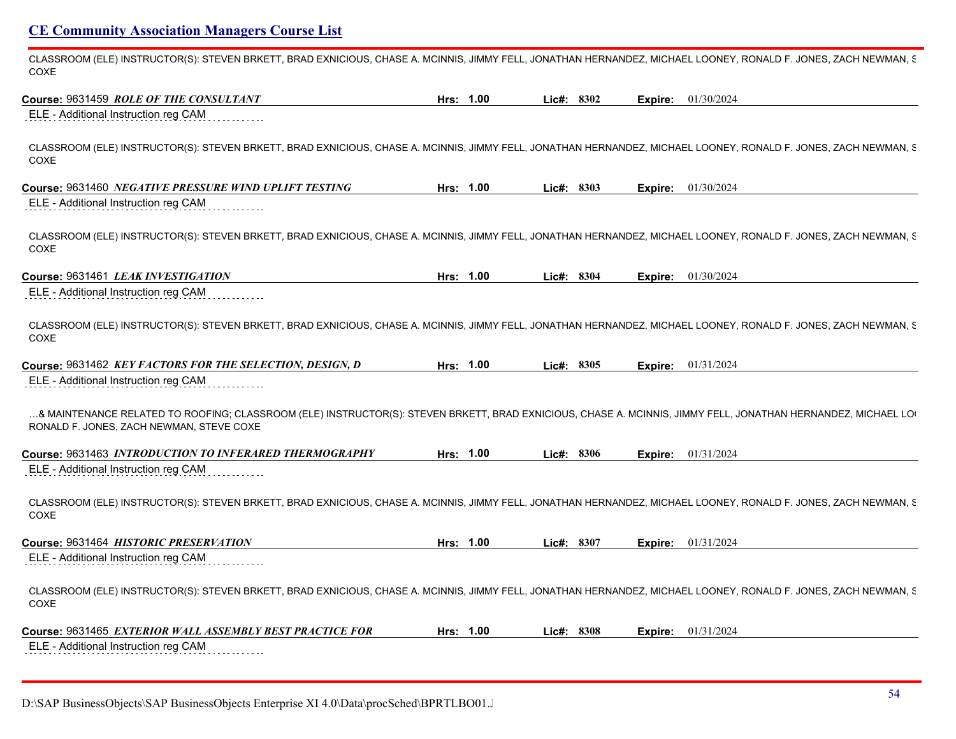CLASSROOM (ELE) INSTRUCTOR(S): STEVEN BRKETT, BRAD EXNICIOUS, CHASE A. MCINNIS, JIMMY FELL, JONATHAN HERNANDEZ, MICHAEL LOONEY, RONALD F. JONES, ZACH NEWMAN, S COXE

| Course: 9631459 ROLE OF THE CONSULTANT                                                                                                                                                                   | Hrs: 1.00 |           | $Lic\#: 8302$ |         | <b>Expire:</b> 01/30/2024 |
|----------------------------------------------------------------------------------------------------------------------------------------------------------------------------------------------------------|-----------|-----------|---------------|---------|---------------------------|
| ELE - Additional Instruction reg CAM                                                                                                                                                                     |           |           |               |         |                           |
| CLASSROOM (ELE) INSTRUCTOR(S): STEVEN BRKETT, BRAD EXNICIOUS, CHASE A. MCINNIS, JIMMY FELL, JONATHAN HERNANDEZ, MICHAEL LOONEY, RONALD F. JONES, ZACH NEWMAN, S<br>COXE                                  |           |           |               |         |                           |
| Course: 9631460 NEGATIVE PRESSURE WIND UPLIFT TESTING                                                                                                                                                    | Hrs: 1.00 |           | Lic#: $8303$  | Expire: | 01/30/2024                |
| ELE - Additional Instruction reg CAM                                                                                                                                                                     |           |           |               |         |                           |
| CLASSROOM (ELE) INSTRUCTOR(S): STEVEN BRKETT, BRAD EXNICIOUS, CHASE A. MCINNIS, JIMMY FELL, JONATHAN HERNANDEZ, MICHAEL LOONEY, RONALD F. JONES, ZACH NEWMAN, S<br>COXE                                  |           |           |               |         |                           |
| Course: 9631461 LEAK INVESTIGATION                                                                                                                                                                       | Hrs: 1.00 |           | Lic#: 8304    | Expire: | 01/30/2024                |
| ELE - Additional Instruction reg CAM                                                                                                                                                                     |           |           |               |         |                           |
| CLASSROOM (ELE) INSTRUCTOR(S): STEVEN BRKETT, BRAD EXNICIOUS, CHASE A. MCINNIS, JIMMY FELL, JONATHAN HERNANDEZ, MICHAEL LOONEY, RONALD F. JONES, ZACH NEWMAN, S<br>COXE                                  |           |           |               |         |                           |
| Course: 9631462 KEY FACTORS FOR THE SELECTION, DESIGN, D                                                                                                                                                 |           | Hrs: 1.00 | Lic#: 8305    | Expire: | 01/31/2024                |
| ELE - Additional Instruction reg CAM                                                                                                                                                                     |           |           |               |         |                           |
| & MAINTENANCE RELATED TO ROOFING; CLASSROOM (ELE) INSTRUCTOR(S): STEVEN BRKETT, BRAD EXNICIOUS, CHASE A. MCINNIS, JIMMY FELL, JONATHAN HERNANDEZ, MICHAEL LO<br>RONALD F. JONES, ZACH NEWMAN, STEVE COXE |           |           |               |         |                           |
| Course: 9631463 INTRODUCTION TO INFERARED THERMOGRAPHY                                                                                                                                                   |           | Hrs: 1.00 | Lie#: 8306    | Expire: | 01/31/2024                |
| ELE - Additional Instruction reg CAM                                                                                                                                                                     |           |           |               |         |                           |
| CLASSROOM (ELE) INSTRUCTOR(S): STEVEN BRKETT, BRAD EXNICIOUS, CHASE A. MCINNIS, JIMMY FELL, JONATHAN HERNANDEZ, MICHAEL LOONEY, RONALD F. JONES, ZACH NEWMAN, S<br>COXE                                  |           |           |               |         |                           |
| Course: 9631464 HISTORIC PRESERVATION                                                                                                                                                                    |           | Hrs: 1.00 | Lic#: 8307    |         | <b>Expire:</b> 01/31/2024 |
| ELE - Additional Instruction reg CAM                                                                                                                                                                     |           |           |               |         |                           |
| CLASSROOM (ELE) INSTRUCTOR(S): STEVEN BRKETT, BRAD EXNICIOUS, CHASE A. MCINNIS, JIMMY FELL, JONATHAN HERNANDEZ, MICHAEL LOONEY, RONALD F. JONES, ZACH NEWMAN, S<br>COXE                                  |           |           |               |         |                           |
| Course: 9631465 EXTERIOR WALL ASSEMBLY BEST PRACTICE FOR                                                                                                                                                 |           | Hrs: 1.00 | Lie#: 8308    | Expire: | 01/31/2024                |
| ELE - Additional Instruction reg CAM                                                                                                                                                                     |           |           |               |         |                           |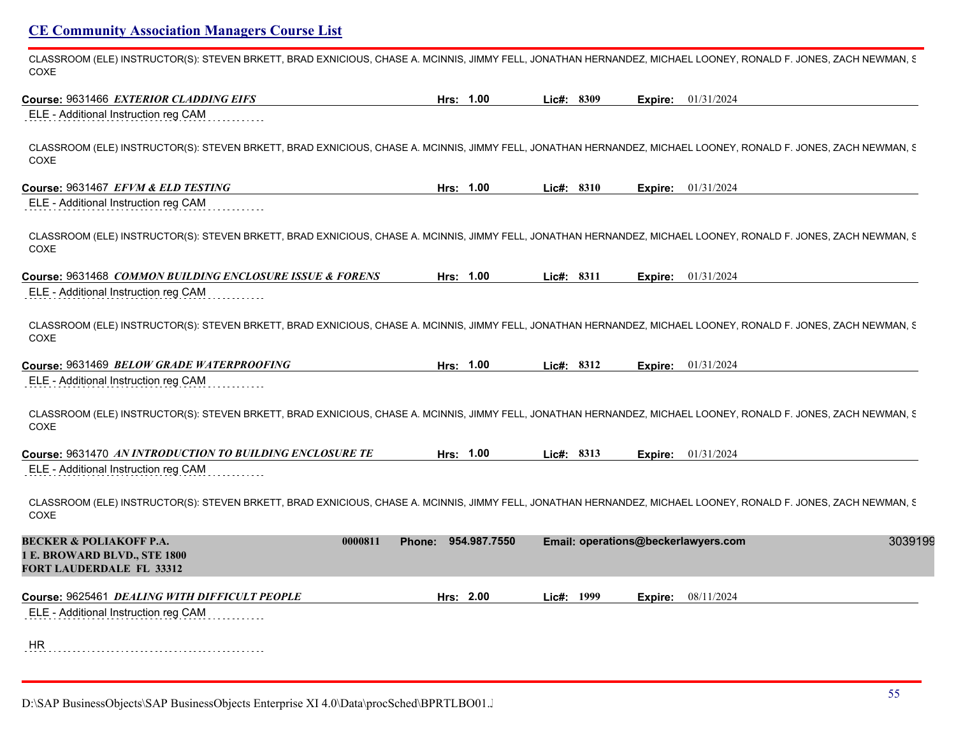CLASSROOM (ELE) INSTRUCTOR(S): STEVEN BRKETT, BRAD EXNICIOUS, CHASE A. MCINNIS, JIMMY FELL, JONATHAN HERNANDEZ, MICHAEL LOONEY, RONALD F. JONES, ZACH NEWMAN, S COXE

| Course: 9631466 EXTERIOR CLADDING EIFS                                                                                                                                   | Hrs: 1.00           | Lic#: 8309                          | Expire: | 01/31/2024                |
|--------------------------------------------------------------------------------------------------------------------------------------------------------------------------|---------------------|-------------------------------------|---------|---------------------------|
| ELE - Additional Instruction reg CAM                                                                                                                                     |                     |                                     |         |                           |
| CLASSROOM (ELE) INSTRUCTOR(S): STEVEN BRKETT, BRAD EXNICIOUS, CHASE A. MCINNIS, JIMMY FELL, JONATHAN HERNANDEZ, MICHAEL LOONEY, RONALD F. JONES, ZACH NEWMAN, S.<br>COXE |                     |                                     |         |                           |
| Course: 9631467 EFVM & ELD TESTING                                                                                                                                       | Hrs: 1.00           | Lic#: 8310                          |         | <b>Expire:</b> 01/31/2024 |
| ELE - Additional Instruction reg CAM                                                                                                                                     |                     |                                     |         |                           |
| CLASSROOM (ELE) INSTRUCTOR(S): STEVEN BRKETT, BRAD EXNICIOUS, CHASE A. MCINNIS, JIMMY FELL, JONATHAN HERNANDEZ, MICHAEL LOONEY, RONALD F. JONES, ZACH NEWMAN, S.<br>COXE |                     |                                     |         |                           |
| Course: 9631468 COMMON BUILDING ENCLOSURE ISSUE & FORENS                                                                                                                 | Hrs: 1.00           | Lic#: 8311                          |         | <b>Expire:</b> 01/31/2024 |
| ELE - Additional Instruction reg CAM                                                                                                                                     |                     |                                     |         |                           |
| CLASSROOM (ELE) INSTRUCTOR(S): STEVEN BRKETT, BRAD EXNICIOUS, CHASE A. MCINNIS, JIMMY FELL, JONATHAN HERNANDEZ, MICHAEL LOONEY, RONALD F. JONES, ZACH NEWMAN, S.<br>COXE |                     |                                     |         |                           |
| Course: 9631469 BELOW GRADE WATERPROOFING                                                                                                                                | Hrs: 1.00           | Lic#: 8312                          | Expire: | 01/31/2024                |
| ELE - Additional Instruction reg CAM                                                                                                                                     |                     |                                     |         |                           |
| CLASSROOM (ELE) INSTRUCTOR(S): STEVEN BRKETT, BRAD EXNICIOUS, CHASE A. MCINNIS, JIMMY FELL, JONATHAN HERNANDEZ, MICHAEL LOONEY, RONALD F. JONES, ZACH NEWMAN, S.<br>COXE |                     |                                     |         |                           |
| Course: 9631470 AN INTRODUCTION TO BUILDING ENCLOSURE TE                                                                                                                 | Hrs: 1.00           | Lic#: 8313                          | Expire: | 01/31/2024                |
| ELE - Additional Instruction reg CAM                                                                                                                                     |                     |                                     |         |                           |
| CLASSROOM (ELE) INSTRUCTOR(S): STEVEN BRKETT, BRAD EXNICIOUS, CHASE A. MCINNIS, JIMMY FELL, JONATHAN HERNANDEZ, MICHAEL LOONEY, RONALD F. JONES, ZACH NEWMAN, S.<br>COXE |                     |                                     |         |                           |
| <b>BECKER &amp; POLIAKOFF P.A.</b><br>0000811<br>1 E. BROWARD BLVD., STE 1800<br>FORT LAUDERDALE FL 33312                                                                | Phone: 954.987.7550 | Email: operations@beckerlawyers.com |         | 3039199                   |
| Course: 9625461 DEALING WITH DIFFICULT PEOPLE                                                                                                                            | Hrs: 2.00           | Lic#: 1999                          | Expire: | 08/11/2024                |
| ELE - Additional Instruction reg CAM                                                                                                                                     |                     |                                     |         |                           |
| <b>HR</b>                                                                                                                                                                |                     |                                     |         |                           |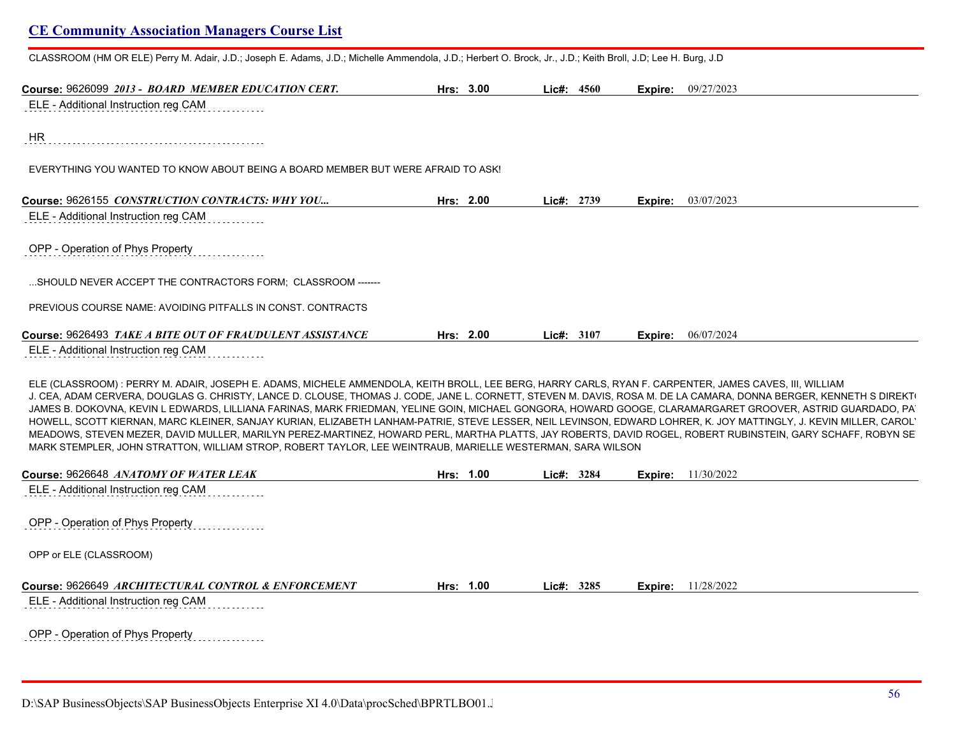CLASSROOM (HM OR ELE) Perry M. Adair, J.D.; Joseph E. Adams, J.D.; Michelle Ammendola, J.D.; Herbert O. Brock, Jr., J.D.; Keith Broll, J.D; Lee H. Burg, J.D

| Course: 9626099 2013 - BOARD MEMBER EDUCATION CERT.                                                                                                                                                                                                                                                                                                                                                                                                                                                                                                                                                                                                                                                                                                                                                                                                                                                                                         | Hrs: $3.00$ | Lic#: 4560   |         | <b>Expire:</b> 09/27/2023   |
|---------------------------------------------------------------------------------------------------------------------------------------------------------------------------------------------------------------------------------------------------------------------------------------------------------------------------------------------------------------------------------------------------------------------------------------------------------------------------------------------------------------------------------------------------------------------------------------------------------------------------------------------------------------------------------------------------------------------------------------------------------------------------------------------------------------------------------------------------------------------------------------------------------------------------------------------|-------------|--------------|---------|-----------------------------|
| ELE - Additional Instruction reg CAM                                                                                                                                                                                                                                                                                                                                                                                                                                                                                                                                                                                                                                                                                                                                                                                                                                                                                                        |             |              |         |                             |
| HR.                                                                                                                                                                                                                                                                                                                                                                                                                                                                                                                                                                                                                                                                                                                                                                                                                                                                                                                                         |             |              |         |                             |
| EVERYTHING YOU WANTED TO KNOW ABOUT BEING A BOARD MEMBER BUT WERE AFRAID TO ASK!                                                                                                                                                                                                                                                                                                                                                                                                                                                                                                                                                                                                                                                                                                                                                                                                                                                            |             |              |         |                             |
| Course: 9626155 CONSTRUCTION CONTRACTS: WHY YOU                                                                                                                                                                                                                                                                                                                                                                                                                                                                                                                                                                                                                                                                                                                                                                                                                                                                                             | Hrs: 2.00   | Lie#: 2739   |         | <b>Expire:</b> $03/07/2023$ |
| ELE - Additional Instruction reg CAM                                                                                                                                                                                                                                                                                                                                                                                                                                                                                                                                                                                                                                                                                                                                                                                                                                                                                                        |             |              |         |                             |
| OPP - Operation of Phys Property                                                                                                                                                                                                                                                                                                                                                                                                                                                                                                                                                                                                                                                                                                                                                                                                                                                                                                            |             |              |         |                             |
| SHOULD NEVER ACCEPT THE CONTRACTORS FORM: CLASSROOM -------                                                                                                                                                                                                                                                                                                                                                                                                                                                                                                                                                                                                                                                                                                                                                                                                                                                                                 |             |              |         |                             |
| PREVIOUS COURSE NAME: AVOIDING PITFALLS IN CONST. CONTRACTS                                                                                                                                                                                                                                                                                                                                                                                                                                                                                                                                                                                                                                                                                                                                                                                                                                                                                 |             |              |         |                             |
| Course: 9626493 TAKE A BITE OUT OF FRAUDULENT ASSISTANCE                                                                                                                                                                                                                                                                                                                                                                                                                                                                                                                                                                                                                                                                                                                                                                                                                                                                                    | Hrs: 2.00   | Lic#: $3107$ | Expire: | 06/07/2024                  |
| ELE - Additional Instruction reg CAM                                                                                                                                                                                                                                                                                                                                                                                                                                                                                                                                                                                                                                                                                                                                                                                                                                                                                                        |             |              |         |                             |
| ELE (CLASSROOM) : PERRY M. ADAIR, JOSEPH E. ADAMS, MICHELE AMMENDOLA, KEITH BROLL, LEE BERG, HARRY CARLS, RYAN F. CARPENTER, JAMES CAVES, III, WILLIAM<br>J. CEA, ADAM CERVERA, DOUGLAS G. CHRISTY, LANCE D. CLOUSE, THOMAS J. CODE, JANE L. CORNETT, STEVEN M. DAVIS, ROSA M. DE LA CAMARA, DONNA BERGER, KENNETH S DIREKT<br>JAMES B. DOKOVNA, KEVIN L EDWARDS, LILLIANA FARINAS, MARK FRIEDMAN, YELINE GOIN, MICHAEL GONGORA, HOWARD GOOGE, CLARAMARGARET GROOVER, ASTRID GUARDADO, PA<br>HOWELL, SCOTT KIERNAN, MARC KLEINER, SANJAY KURIAN, ELIZABETH LANHAM-PATRIE, STEVE LESSER, NEIL LEVINSON, EDWARD LOHRER, K. JOY MATTINGLY, J. KEVIN MILLER, CAROL<br>MEADOWS, STEVEN MEZER, DAVID MULLER, MARILYN PEREZ-MARTINEZ, HOWARD PERL, MARTHA PLATTS, JAY ROBERTS, DAVID ROGEL, ROBERT RUBINSTEIN, GARY SCHAFF, ROBYN SE<br>MARK STEMPLER, JOHN STRATTON, WILLIAM STROP, ROBERT TAYLOR, LEE WEINTRAUB, MARIELLE WESTERMAN, SARA WILSON |             |              |         |                             |
| Course: 9626648 ANATOMY OF WATER LEAK                                                                                                                                                                                                                                                                                                                                                                                                                                                                                                                                                                                                                                                                                                                                                                                                                                                                                                       | Hrs: 1.00   | Lic#: 3284   | Expire: | 11/30/2022                  |

ELE - Additional Instruction reg CAM

OPP - Operation of Phys Property

OPP or ELE (CLASSROOM)

| Course: 9626649 ARCHITECTURAL CONTROL & ENFORCEMENT | 1.00<br>Hrs: | 3285<br>∟ic#: | 11/28/2022<br>Expire: |  |
|-----------------------------------------------------|--------------|---------------|-----------------------|--|
|-----------------------------------------------------|--------------|---------------|-----------------------|--|

ELE - Additional Instruction reg CAM . . . . . . . .

OPP - Operation of Phys Property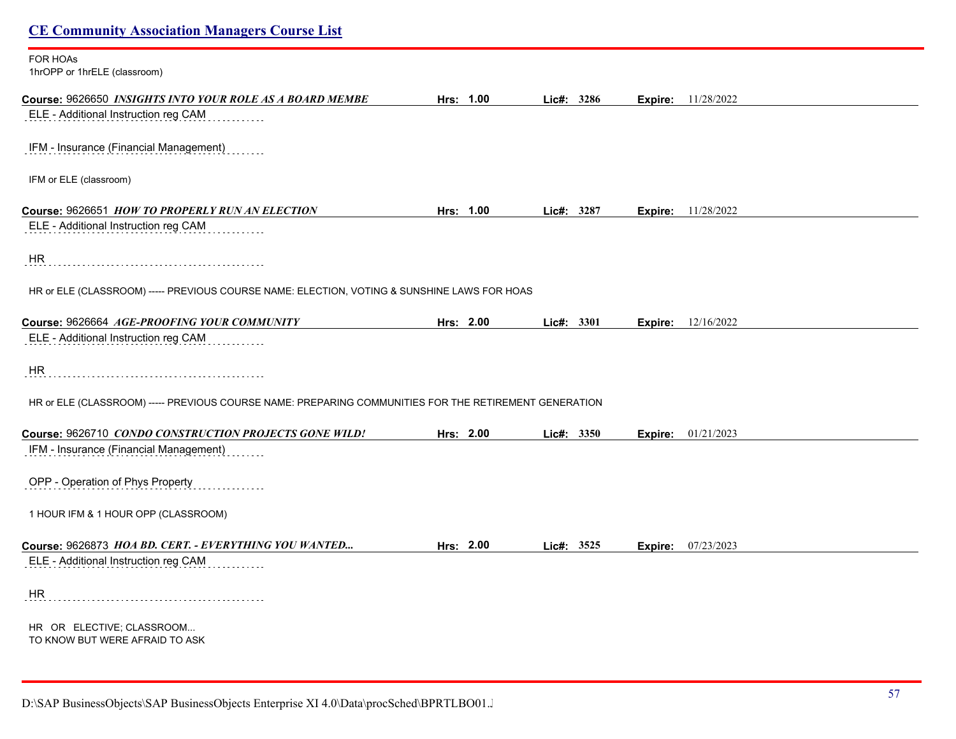| <b>CE Community Association Managers Course List</b>                                                  |           |              |                             |  |
|-------------------------------------------------------------------------------------------------------|-----------|--------------|-----------------------------|--|
| FOR HOAs<br>1hrOPP or 1hrELE (classroom)                                                              |           |              |                             |  |
| Course: 9626650 INSIGHTS INTO YOUR ROLE AS A BOARD MEMBE                                              | Hrs: 1.00 | Lic#: 3286   | <b>Expire:</b> 11/28/2022   |  |
| ELE - Additional Instruction reg CAM                                                                  |           |              |                             |  |
| IFM - Insurance (Financial Management)                                                                |           |              |                             |  |
| IFM or ELE (classroom)                                                                                |           |              |                             |  |
| Course: 9626651 HOW TO PROPERLY RUN AN ELECTION                                                       | Hrs: 1.00 | Lic#: 3287   | <b>Expire:</b> 11/28/2022   |  |
| ELE - Additional Instruction reg CAM                                                                  |           |              |                             |  |
| <b>HR</b>                                                                                             |           |              |                             |  |
| HR or ELE (CLASSROOM) ----- PREVIOUS COURSE NAME: ELECTION, VOTING & SUNSHINE LAWS FOR HOAS           |           |              |                             |  |
| Course: 9626664 AGE-PROOFING YOUR COMMUNITY                                                           | Hrs: 2.00 | Lic#: 3301   | <b>Expire:</b> $12/16/2022$ |  |
| ELE - Additional Instruction reg CAM                                                                  |           |              |                             |  |
| HR                                                                                                    |           |              |                             |  |
| HR or ELE (CLASSROOM) ----- PREVIOUS COURSE NAME: PREPARING COMMUNITIES FOR THE RETIREMENT GENERATION |           |              |                             |  |
| Course: 9626710 CONDO CONSTRUCTION PROJECTS GONE WILD!                                                | Hrs: 2.00 | Lic#: 3350   | 01/21/2023<br>Expire:       |  |
| IFM - Insurance (Financial Management)                                                                |           |              |                             |  |
| OPP - Operation of Phys Property                                                                      |           |              |                             |  |
| 1 HOUR IFM & 1 HOUR OPP (CLASSROOM)                                                                   |           |              |                             |  |
| Course: 9626873 HOA BD. CERT. - EVERYTHING YOU WANTED                                                 | Hrs: 2.00 | Lic#: $3525$ | <b>Expire:</b> 07/23/2023   |  |
| ELE - Additional Instruction reg CAM                                                                  |           |              |                             |  |
| HR                                                                                                    |           |              |                             |  |
| HR OR ELECTIVE; CLASSROOM<br>TO KNOW BUT WERE AFRAID TO ASK                                           |           |              |                             |  |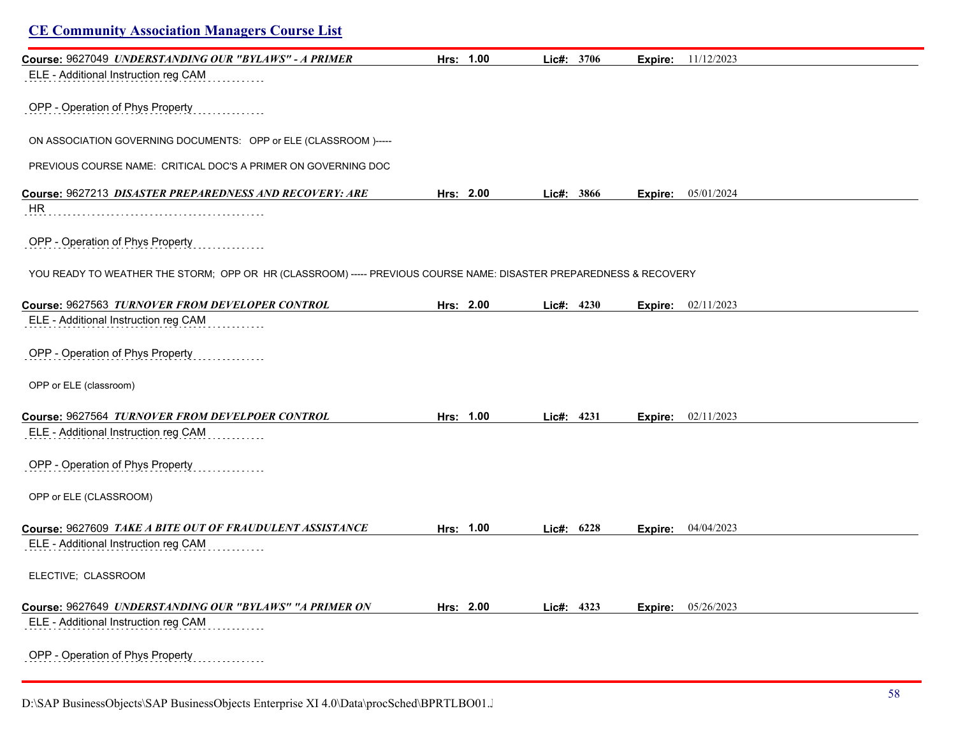## **CE Community Association Managers Course List Course:** 9627049 *UNDERSTANDING OUR "BYLAWS" - A PRIMER* **Hrs: 1.00 Lic#: 3706 Expire:** 11/12/2023 ELE - Additional Instruction reg CAM OPP - Operation of Phys Property ON ASSOCIATION GOVERNING DOCUMENTS: OPP or ELE (CLASSROOM )----- PREVIOUS COURSE NAME: CRITICAL DOC'S A PRIMER ON GOVERNING DOC **Course:** 9627213 *DISASTER PREPAREDNESS AND RECOVERY: ARE* **Hrs: 2.00 Lic#: 3866 Expire:** 05/01/2024 HR OPP - Operation of Phys Property YOU READY TO WEATHER THE STORM; OPP OR HR (CLASSROOM) ----- PREVIOUS COURSE NAME: DISASTER PREPAREDNESS & RECOVERY **Course:** 9627563 *TURNOVER FROM DEVELOPER CONTROL* **Hrs: 2.00 Lic#: 4230 Expire:** 02/11/2023 ELE - Additional Instruction reg CAM OPP - Operation of Phys Property OPP or ELE (classroom) **Course:** 9627564 *TURNOVER FROM DEVELPOER CONTROL* **Hrs: 1.00 Lic#: 4231 Expire:** 02/11/2023 ELE - Additional Instruction reg CAM OPP - Operation of Phys Property OPP or ELE (CLASSROOM) **Course:** 9627609 *TAKE A BITE OUT OF FRAUDULENT ASSISTANCE* **Hrs: 1.00 Lic#: 6228 Expire:** 04/04/2023 ELE - Additional Instruction reg CAM ELECTIVE; CLASSROOM **Course:** 9627649 *UNDERSTANDING OUR "BYLAWS" "A PRIMER ON* **Hrs: 2.00 Lic#: 4323 Expire:** 05/26/2023 ELE - Additional Instruction reg CAM OPP - Operation of Phys Property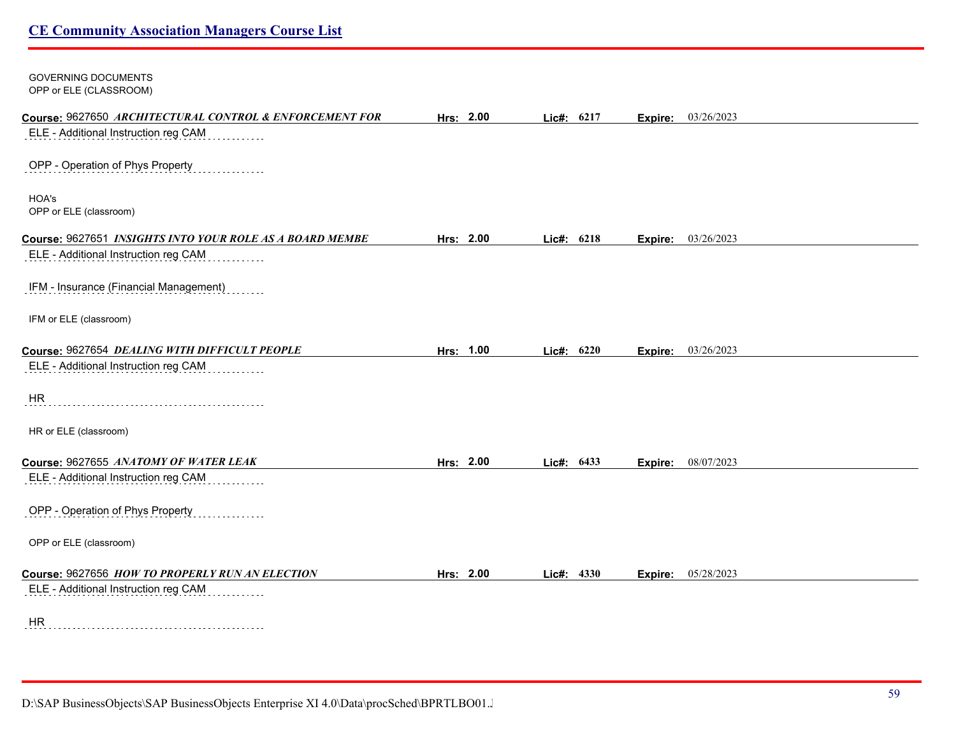| <b>GOVERNING DOCUMENTS</b><br>OPP or ELE (CLASSROOM)     |           |              |      |         |            |
|----------------------------------------------------------|-----------|--------------|------|---------|------------|
| Course: 9627650 ARCHITECTURAL CONTROL & ENFORCEMENT FOR  | Hrs: 2.00 | Lic#: 6217   |      | Expire: | 03/26/2023 |
| ELE - Additional Instruction reg CAM                     |           |              |      |         |            |
| OPP - Operation of Phys Property                         |           |              |      |         |            |
| HOA's<br>OPP or ELE (classroom)                          |           |              |      |         |            |
| Course: 9627651 INSIGHTS INTO YOUR ROLE AS A BOARD MEMBE | Hrs: 2.00 | Lic#: 6218   |      | Expire: | 03/26/2023 |
| ELE - Additional Instruction reg CAM                     |           |              |      |         |            |
| IFM - Insurance (Financial Management)                   |           |              |      |         |            |
| IFM or ELE (classroom)                                   |           |              |      |         |            |
| Course: 9627654 DEALING WITH DIFFICULT PEOPLE            | Hrs: 1.00 | Lic#: $6220$ |      | Expire: | 03/26/2023 |
| ELE - Additional Instruction reg CAM                     |           |              |      |         |            |
| <b>HR</b>                                                |           |              |      |         |            |
| HR or ELE (classroom)                                    |           |              |      |         |            |
| Course: 9627655 ANATOMY OF WATER LEAK                    | Hrs: 2.00 | Lie#:        | 6433 | Expire: | 08/07/2023 |
| ELE - Additional Instruction reg CAM                     |           |              |      |         |            |
| OPP - Operation of Phys Property                         |           |              |      |         |            |
| OPP or ELE (classroom)                                   |           |              |      |         |            |
| Course: 9627656 HOW TO PROPERLY RUN AN ELECTION          | Hrs: 2.00 | Lic#: 4330   |      | Expire: | 05/28/2023 |
| ELE - Additional Instruction reg CAM                     |           |              |      |         |            |
| <b>HR</b>                                                |           |              |      |         |            |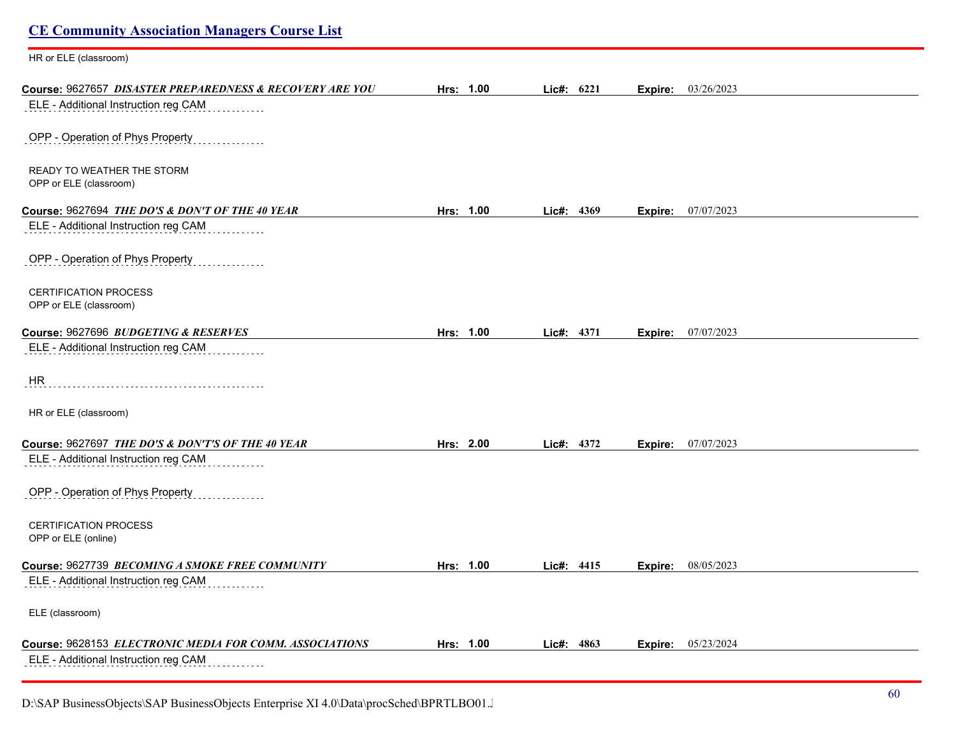| <b>CE Community Association Managers Course List</b>     |           |              |         |                           |
|----------------------------------------------------------|-----------|--------------|---------|---------------------------|
| HR or ELE (classroom)                                    |           |              |         |                           |
| Course: 9627657 DISASTER PREPAREDNESS & RECOVERY ARE YOU | Hrs: 1.00 | Lic#: 6221   |         | <b>Expire:</b> 03/26/2023 |
| ELE - Additional Instruction reg CAM                     |           |              |         |                           |
| OPP - Operation of Phys Property                         |           |              |         |                           |
| READY TO WEATHER THE STORM<br>OPP or ELE (classroom)     |           |              |         |                           |
| Course: 9627694 THE DO'S & DON'T OF THE 40 YEAR          | Hrs: 1.00 | Lic#: 4369   | Expire: | 07/07/2023                |
| ELE - Additional Instruction reg CAM                     |           |              |         |                           |
| OPP - Operation of Phys Property                         |           |              |         |                           |
| <b>CERTIFICATION PROCESS</b><br>OPP or ELE (classroom)   |           |              |         |                           |
| Course: 9627696 BUDGETING & RESERVES                     | Hrs: 1.00 | Lic#: 4371   | Expire: | 07/07/2023                |
| ELE - Additional Instruction reg CAM                     |           |              |         |                           |
| <b>HR</b>                                                |           |              |         |                           |
| HR or ELE (classroom)                                    |           |              |         |                           |
| Course: 9627697 THE DO'S & DON'T'S OF THE 40 YEAR        | Hrs: 2.00 | Lic#: 4372   | Expire: | 07/07/2023                |
| ELE - Additional Instruction reg CAM                     |           |              |         |                           |
| OPP - Operation of Phys Property                         |           |              |         |                           |
| <b>CERTIFICATION PROCESS</b><br>OPP or ELE (online)      |           |              |         |                           |
| Course: 9627739 BECOMING A SMOKE FREE COMMUNITY          | Hrs: 1.00 | Lic#: 4415   |         | <b>Expire:</b> 08/05/2023 |
| ELE - Additional Instruction reg CAM                     |           |              |         |                           |
| ELE (classroom)                                          |           |              |         |                           |
| Course: 9628153 ELECTRONIC MEDIA FOR COMM. ASSOCIATIONS  | Hrs: 1.00 | Lic#: $4863$ | Expire: | 05/23/2024                |
| ELE - Additional Instruction reg CAM                     |           |              |         |                           |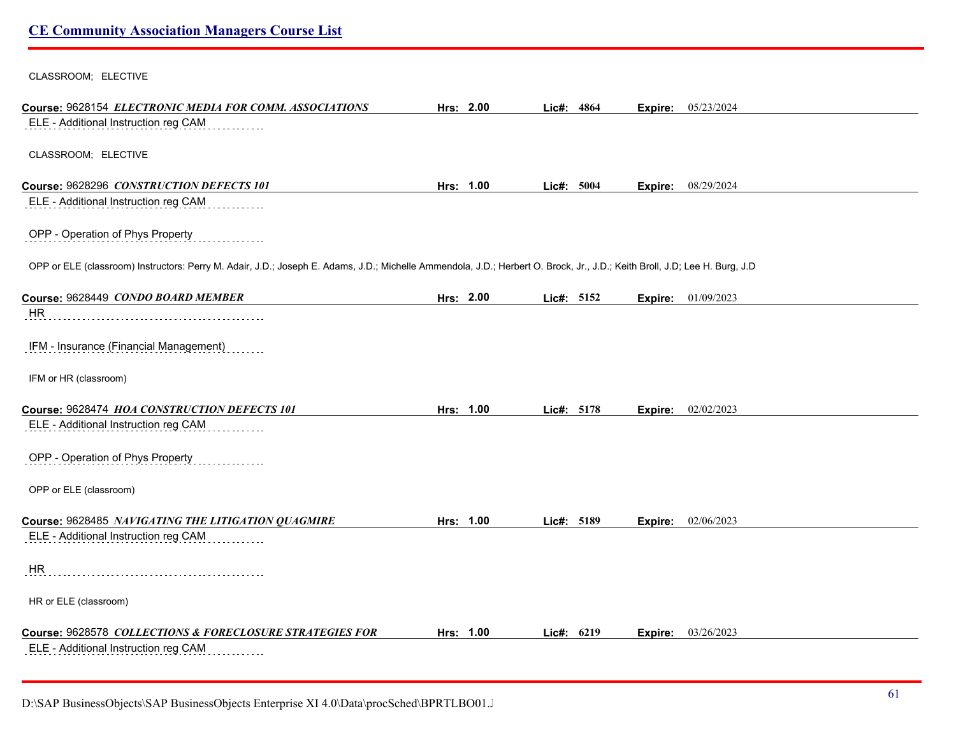CLASSROOM; ELECTIVE

| Course: 9628154 ELECTRONIC MEDIA FOR COMM. ASSOCIATIONS                                                                                                                    | Hrs: 2.00 | Lic#: 4864 | Expire: | 05/23/2024                |
|----------------------------------------------------------------------------------------------------------------------------------------------------------------------------|-----------|------------|---------|---------------------------|
| ELE - Additional Instruction reg CAM                                                                                                                                       |           |            |         |                           |
|                                                                                                                                                                            |           |            |         |                           |
| CLASSROOM; ELECTIVE                                                                                                                                                        |           |            |         |                           |
| Course: 9628296 CONSTRUCTION DEFECTS 101                                                                                                                                   | Hrs: 1.00 | Lic#: 5004 | Expire: | 08/29/2024                |
| ELE - Additional Instruction reg CAM                                                                                                                                       |           |            |         |                           |
|                                                                                                                                                                            |           |            |         |                           |
| OPP - Operation of Phys Property                                                                                                                                           |           |            |         |                           |
|                                                                                                                                                                            |           |            |         |                           |
| OPP or ELE (classroom) Instructors: Perry M. Adair, J.D.; Joseph E. Adams, J.D.; Michelle Ammendola, J.D.; Herbert O. Brock, Jr., J.D.; Keith Broll, J.D; Lee H. Burg, J.D |           |            |         |                           |
| Course: 9628449 CONDO BOARD MEMBER                                                                                                                                         | Hrs: 2.00 | Lic#: 5152 |         | <b>Expire:</b> 01/09/2023 |
| HR                                                                                                                                                                         |           |            |         |                           |
|                                                                                                                                                                            |           |            |         |                           |
| IFM - Insurance (Financial Management)                                                                                                                                     |           |            |         |                           |
|                                                                                                                                                                            |           |            |         |                           |
| IFM or HR (classroom)                                                                                                                                                      |           |            |         |                           |
| Course: 9628474 HOA CONSTRUCTION DEFECTS 101                                                                                                                               | Hrs: 1.00 | Lic#: 5178 | Expire: | 02/02/2023                |
| ELE - Additional Instruction reg CAM                                                                                                                                       |           |            |         |                           |
|                                                                                                                                                                            |           |            |         |                           |
| OPP - Operation of Phys Property                                                                                                                                           |           |            |         |                           |
|                                                                                                                                                                            |           |            |         |                           |
| OPP or ELE (classroom)                                                                                                                                                     |           |            |         |                           |
| Course: 9628485 NAVIGATING THE LITIGATION QUAGMIRE                                                                                                                         | Hrs: 1.00 | Lic#: 5189 |         | <b>Expire:</b> 02/06/2023 |
| ELE - Additional Instruction reg CAM                                                                                                                                       |           |            |         |                           |
|                                                                                                                                                                            |           |            |         |                           |
| <b>HR</b>                                                                                                                                                                  |           |            |         |                           |
|                                                                                                                                                                            |           |            |         |                           |
| HR or ELE (classroom)                                                                                                                                                      |           |            |         |                           |
| Course: 9628578 COLLECTIONS & FORECLOSURE STRATEGIES FOR                                                                                                                   | Hrs: 1.00 | Lic#: 6219 | Expire: | 03/26/2023                |
| ELE - Additional Instruction reg CAM                                                                                                                                       |           |            |         |                           |
|                                                                                                                                                                            |           |            |         |                           |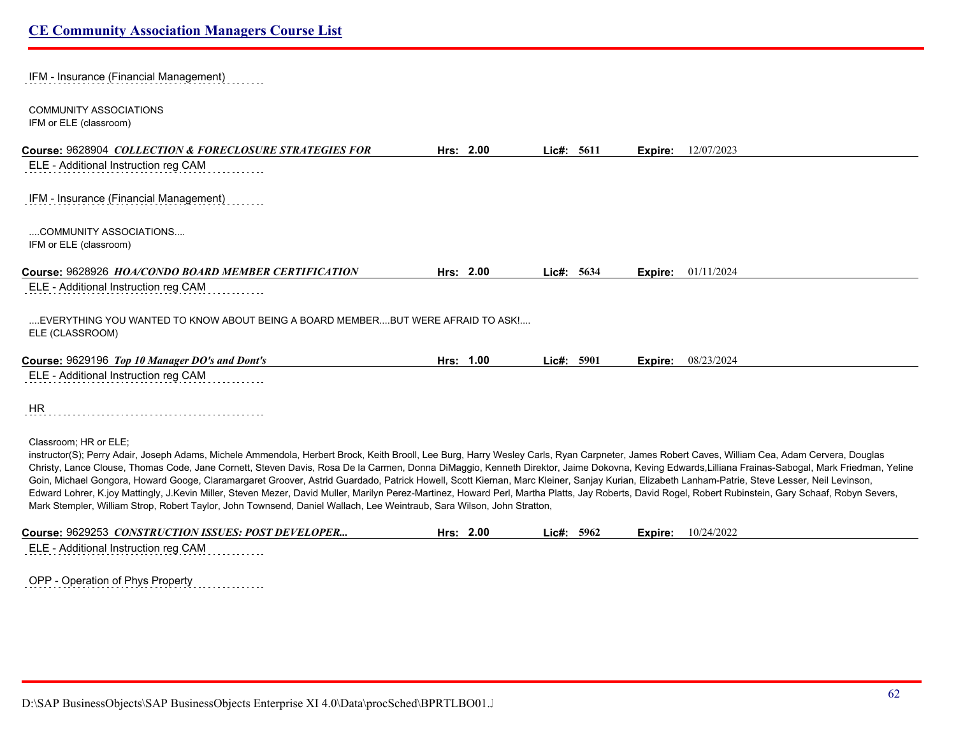| IFM - Insurance (Financial Management)                                                                                                                                                                                                                                                                                                                                                                                                                                                                                                                                                                               |           |            |         |            |
|----------------------------------------------------------------------------------------------------------------------------------------------------------------------------------------------------------------------------------------------------------------------------------------------------------------------------------------------------------------------------------------------------------------------------------------------------------------------------------------------------------------------------------------------------------------------------------------------------------------------|-----------|------------|---------|------------|
| <b>COMMUNITY ASSOCIATIONS</b><br>IFM or ELE (classroom)                                                                                                                                                                                                                                                                                                                                                                                                                                                                                                                                                              |           |            |         |            |
| Course: 9628904 COLLECTION & FORECLOSURE STRATEGIES FOR                                                                                                                                                                                                                                                                                                                                                                                                                                                                                                                                                              | Hrs: 2.00 | Lic#: 5611 | Expire: | 12/07/2023 |
| ELE - Additional Instruction reg CAM                                                                                                                                                                                                                                                                                                                                                                                                                                                                                                                                                                                 |           |            |         |            |
| IFM - Insurance (Financial Management)                                                                                                                                                                                                                                                                                                                                                                                                                                                                                                                                                                               |           |            |         |            |
| COMMUNITY ASSOCIATIONS<br>IFM or ELE (classroom)                                                                                                                                                                                                                                                                                                                                                                                                                                                                                                                                                                     |           |            |         |            |
|                                                                                                                                                                                                                                                                                                                                                                                                                                                                                                                                                                                                                      |           |            |         |            |
| Course: 9628926 HOA/CONDO BOARD MEMBER CERTIFICATION                                                                                                                                                                                                                                                                                                                                                                                                                                                                                                                                                                 | Hrs: 2.00 | Lic#: 5634 | Expire: | 01/11/2024 |
| ELE - Additional Instruction reg CAM                                                                                                                                                                                                                                                                                                                                                                                                                                                                                                                                                                                 |           |            |         |            |
| EVERYTHING YOU WANTED TO KNOW ABOUT BEING A BOARD MEMBERBUT WERE AFRAID TO ASK!<br>ELE (CLASSROOM)                                                                                                                                                                                                                                                                                                                                                                                                                                                                                                                   |           |            |         |            |
| Course: 9629196 Top 10 Manager DO's and Dont's                                                                                                                                                                                                                                                                                                                                                                                                                                                                                                                                                                       | Hrs: 1.00 | Lic#: 5901 | Expire: | 08/23/2024 |
| ELE - Additional Instruction reg CAM                                                                                                                                                                                                                                                                                                                                                                                                                                                                                                                                                                                 |           |            |         |            |
| HR                                                                                                                                                                                                                                                                                                                                                                                                                                                                                                                                                                                                                   |           |            |         |            |
| Classroom; HR or ELE;<br>instructor(S); Perry Adair, Joseph Adams, Michele Ammendola, Herbert Brock, Keith Brooll, Lee Burg, Harry Wesley Carls, Ryan Carpneter, James Robert Caves, William Cea, Adam Cervera, Douglas<br>Christy, Lance Clouse, Thomas Code, Jane Cornett, Steven Davis, Rosa De la Carmen, Donna DiMaggio, Kenneth Direktor, Jaime Dokovna, Keving Edwards, Lilliana Frainas-Sabogal, Mark Friedman, Yeline<br>Coin Michael Congora Howard Cooge Claramargaret Croover Astrid Cuardado Patrick Howell Scott Kiernan Marc Kleiner Sanjay Kurian Elizabeth Lanham Patrie Steve Lesser Neil Levinson |           |            |         |            |

Goin, Michael Gongora, Howard Googe, Claramargaret Groover, Astrid Guardado, Patrick Howell, Scott Kiernan, Marc Kleiner, Sanjay Kurian, Elizabeth Lanham-Patrie, Steve Lesser, Neil Levinson, Edward Lohrer, K.joy Mattingly, J.Kevin Miller, Steven Mezer, David Muller, Marilyn Perez-Martinez, Howard Perl, Martha Platts, Jay Roberts, David Rogel, Robert Rubinstein, Gary Schaaf, Robyn Severs, Mark Stempler, William Strop, Robert Taylor, John Townsend, Daniel Wallach, Lee Weintraub, Sara Wilson, John Stratton,

| Course: 9629253 CONSTRUCTION ISSUES: POST DEVELOPER | 2.00<br>Hrs: | 5962<br>$Lie#$ : | 10/24/2022<br>Expire: |
|-----------------------------------------------------|--------------|------------------|-----------------------|
|                                                     |              |                  |                       |

ELE - Additional Instruction reg CAM

OPP - Operation of Phys Property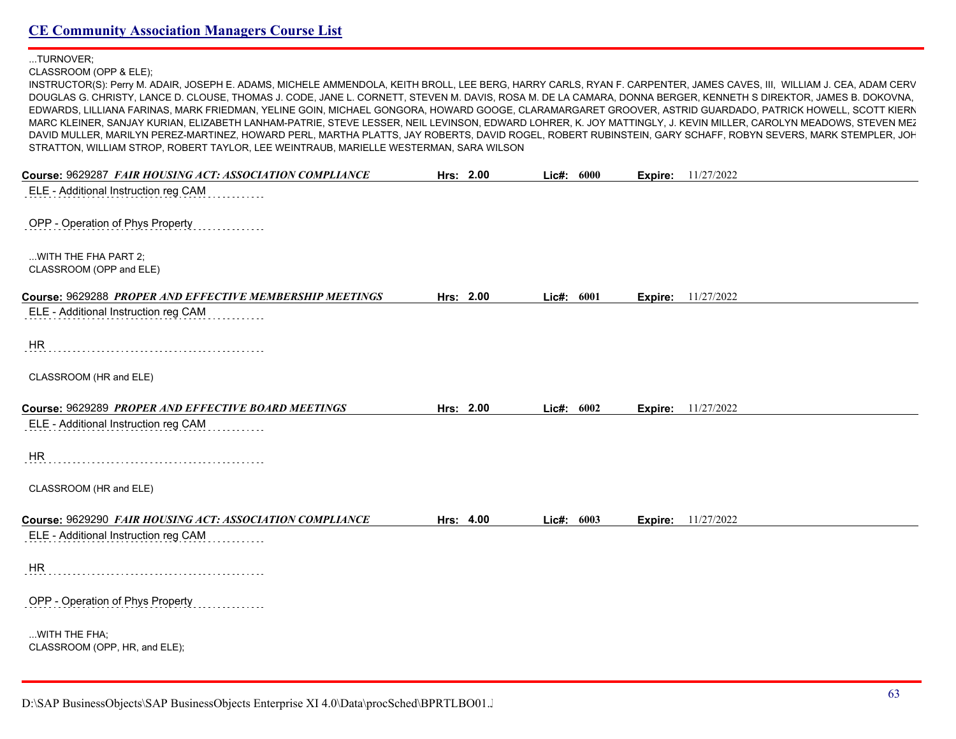...TURNOVER;

CLASSROOM (OPP & ELE);

INSTRUCTOR(S): Perry M. ADAIR, JOSEPH E. ADAMS, MICHELE AMMENDOLA, KEITH BROLL, LEE BERG, HARRY CARLS, RYAN F. CARPENTER, JAMES CAVES, III, WILLIAM J. CEA, ADAM CERV DOUGLAS G. CHRISTY, LANCE D. CLOUSE, THOMAS J. CODE, JANE L. CORNETT, STEVEN M. DAVIS, ROSA M. DE LA CAMARA, DONNA BERGER, KENNETH S DIREKTOR, JAMES B. DOKOVNA, EDWARDS, LILLIANA FARINAS, MARK FRIEDMAN, YELINE GOIN, MICHAEL GONGORA, HOWARD GOOGE, CLARAMARGARET GROOVER, ASTRID GUARDADO, PATRICK HOWELL, SCOTT KIERN MARC KLEINER, SANJAY KURIAN, ELIZABETH LANHAM-PATRIE, STEVE LESSER, NEIL LEVINSON, EDWARD LOHRER, K. JOY MATTINGLY, J. KEVIN MILLER, CAROLYN MEADOWS, STEVEN MEZ DAVID MULLER, MARILYN PEREZ-MARTINEZ, HOWARD PERL, MARTHA PLATTS, JAY ROBERTS, DAVID ROGEL, ROBERT RUBINSTEIN, GARY SCHAFF, ROBYN SEVERS, MARK STEMPLER, JOH STRATTON, WILLIAM STROP, ROBERT TAYLOR, LEE WEINTRAUB, MARIELLE WESTERMAN, SARA WILSON

| Course: 9629287 FAIR HOUSING ACT: ASSOCIATION COMPLIANCE | Hrs: 2.00 | Lic#: 6000 |         | <b>Expire:</b> 11/27/2022 |
|----------------------------------------------------------|-----------|------------|---------|---------------------------|
| ELE - Additional Instruction reg CAM                     |           |            |         |                           |
|                                                          |           |            |         |                           |
| OPP - Operation of Phys Property                         |           |            |         |                           |
| WITH THE FHA PART 2;                                     |           |            |         |                           |
| CLASSROOM (OPP and ELE)                                  |           |            |         |                           |
| Course: 9629288 PROPER AND EFFECTIVE MEMBERSHIP MEETINGS | Hrs: 2.00 | Lic#: 6001 |         | <b>Expire:</b> 11/27/2022 |
| ELE - Additional Instruction reg CAM                     |           |            |         |                           |
|                                                          |           |            |         |                           |
| HR                                                       |           |            |         |                           |
|                                                          |           |            |         |                           |
| CLASSROOM (HR and ELE)                                   |           |            |         |                           |
| Course: 9629289 PROPER AND EFFECTIVE BOARD MEETINGS      | Hrs: 2.00 | Lic#: 6002 | Expire: | 11/27/2022                |
| ELE - Additional Instruction reg CAM                     |           |            |         |                           |
|                                                          |           |            |         |                           |
| HR                                                       |           |            |         |                           |
| CLASSROOM (HR and ELE)                                   |           |            |         |                           |
|                                                          |           |            |         |                           |
| Course: 9629290 FAIR HOUSING ACT: ASSOCIATION COMPLIANCE | Hrs: 4.00 | Lic#: 6003 |         | <b>Expire:</b> 11/27/2022 |
| ELE - Additional Instruction reg CAM                     |           |            |         |                           |
| <b>HR</b>                                                |           |            |         |                           |
|                                                          |           |            |         |                           |
| OPP - Operation of Phys Property                         |           |            |         |                           |
|                                                          |           |            |         |                           |
| WITH THE FHA;<br>CLASSROOM (OPP, HR, and ELE);           |           |            |         |                           |
|                                                          |           |            |         |                           |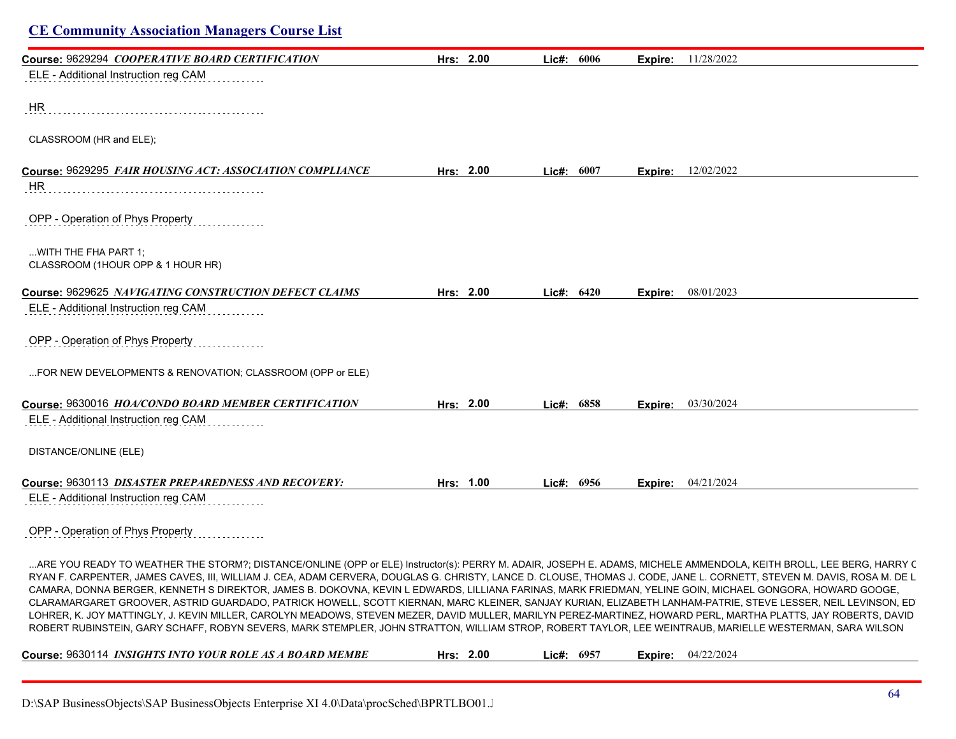| Course: 9629294 COOPERATIVE BOARD CERTIFICATION                                                                                                                                                                                                                                                                                                                                                                                                                                                                                                                                                                                                                                                                                                                                                                                                                                                                                                                                                          | Hrs: 2.00 | Lic#: 6006 |      |         | Expire: 11/28/2022        |
|----------------------------------------------------------------------------------------------------------------------------------------------------------------------------------------------------------------------------------------------------------------------------------------------------------------------------------------------------------------------------------------------------------------------------------------------------------------------------------------------------------------------------------------------------------------------------------------------------------------------------------------------------------------------------------------------------------------------------------------------------------------------------------------------------------------------------------------------------------------------------------------------------------------------------------------------------------------------------------------------------------|-----------|------------|------|---------|---------------------------|
| ELE - Additional Instruction reg CAM                                                                                                                                                                                                                                                                                                                                                                                                                                                                                                                                                                                                                                                                                                                                                                                                                                                                                                                                                                     |           |            |      |         |                           |
| HR                                                                                                                                                                                                                                                                                                                                                                                                                                                                                                                                                                                                                                                                                                                                                                                                                                                                                                                                                                                                       |           |            |      |         |                           |
| CLASSROOM (HR and ELE);                                                                                                                                                                                                                                                                                                                                                                                                                                                                                                                                                                                                                                                                                                                                                                                                                                                                                                                                                                                  |           |            |      |         |                           |
| Course: 9629295 FAIR HOUSING ACT: ASSOCIATION COMPLIANCE                                                                                                                                                                                                                                                                                                                                                                                                                                                                                                                                                                                                                                                                                                                                                                                                                                                                                                                                                 | Hrs: 2.00 | Lic#:      | 6007 | Expire: | 12/02/2022                |
| HR                                                                                                                                                                                                                                                                                                                                                                                                                                                                                                                                                                                                                                                                                                                                                                                                                                                                                                                                                                                                       |           |            |      |         |                           |
| OPP - Operation of Phys Property                                                                                                                                                                                                                                                                                                                                                                                                                                                                                                                                                                                                                                                                                                                                                                                                                                                                                                                                                                         |           |            |      |         |                           |
| WITH THE FHA PART 1;<br>CLASSROOM (1HOUR OPP & 1 HOUR HR)                                                                                                                                                                                                                                                                                                                                                                                                                                                                                                                                                                                                                                                                                                                                                                                                                                                                                                                                                |           |            |      |         |                           |
| Course: 9629625 NAVIGATING CONSTRUCTION DEFECT CLAIMS                                                                                                                                                                                                                                                                                                                                                                                                                                                                                                                                                                                                                                                                                                                                                                                                                                                                                                                                                    | Hrs: 2.00 | Lic#: 6420 |      | Expire: | 08/01/2023                |
| ELE - Additional Instruction reg CAM                                                                                                                                                                                                                                                                                                                                                                                                                                                                                                                                                                                                                                                                                                                                                                                                                                                                                                                                                                     |           |            |      |         |                           |
| OPP - Operation of Phys Property                                                                                                                                                                                                                                                                                                                                                                                                                                                                                                                                                                                                                                                                                                                                                                                                                                                                                                                                                                         |           |            |      |         |                           |
| FOR NEW DEVELOPMENTS & RENOVATION; CLASSROOM (OPP or ELE)                                                                                                                                                                                                                                                                                                                                                                                                                                                                                                                                                                                                                                                                                                                                                                                                                                                                                                                                                |           |            |      |         |                           |
| Course: 9630016 HOA/CONDO BOARD MEMBER CERTIFICATION                                                                                                                                                                                                                                                                                                                                                                                                                                                                                                                                                                                                                                                                                                                                                                                                                                                                                                                                                     | Hrs: 2.00 | Lic#: 6858 |      | Expire: | 03/30/2024                |
| ELE - Additional Instruction reg CAM                                                                                                                                                                                                                                                                                                                                                                                                                                                                                                                                                                                                                                                                                                                                                                                                                                                                                                                                                                     |           |            |      |         |                           |
| DISTANCE/ONLINE (ELE)                                                                                                                                                                                                                                                                                                                                                                                                                                                                                                                                                                                                                                                                                                                                                                                                                                                                                                                                                                                    |           |            |      |         |                           |
| Course: 9630113 DISASTER PREPAREDNESS AND RECOVERY:                                                                                                                                                                                                                                                                                                                                                                                                                                                                                                                                                                                                                                                                                                                                                                                                                                                                                                                                                      | Hrs: 1.00 | Lic#: 6956 |      |         | <b>Expire:</b> 04/21/2024 |
| ELE - Additional Instruction reg CAM                                                                                                                                                                                                                                                                                                                                                                                                                                                                                                                                                                                                                                                                                                                                                                                                                                                                                                                                                                     |           |            |      |         |                           |
| OPP - Operation of Phys Property                                                                                                                                                                                                                                                                                                                                                                                                                                                                                                                                                                                                                                                                                                                                                                                                                                                                                                                                                                         |           |            |      |         |                           |
| ARE YOU READY TO WEATHER THE STORM?; DISTANCE/ONLINE (OPP or ELE) Instructor(s): PERRY M. ADAIR, JOSEPH E. ADAMS, MICHELE AMMENDOLA, KEITH BROLL, LEE BERG, HARRY C<br>RYAN F. CARPENTER, JAMES CAVES, III, WILLIAM J. CEA, ADAM CERVERA, DOUGLAS G. CHRISTY, LANCE D. CLOUSE, THOMAS J. CODE, JANE L. CORNETT, STEVEN M. DAVIS, ROSA M. DE L<br>CAMARA, DONNA BERGER, KENNETH S DIREKTOR, JAMES B. DOKOVNA, KEVIN L EDWARDS, LILLIANA FARINAS, MARK FRIEDMAN, YELINE GOIN, MICHAEL GONGORA, HOWARD GOOGE,<br>CLARAMARGARET GROOVER, ASTRID GUARDADO, PATRICK HOWELL, SCOTT KIERNAN, MARC KLEINER, SANJAY KURIAN, ELIZABETH LANHAM-PATRIE, STEVE LESSER, NEIL LEVINSON, ED<br>LOHRER, K. JOY MATTINGLY, J. KEVIN MILLER, CAROLYN MEADOWS, STEVEN MEZER, DAVID MULLER, MARILYN PEREZ-MARTINEZ, HOWARD PERL, MARTHA PLATTS, JAY ROBERTS, DAVID<br>ROBERT RUBINSTEIN, GARY SCHAFF, ROBYN SEVERS, MARK STEMPLER, JOHN STRATTON, WILLIAM STROP, ROBERT TAYLOR, LEE WEINTRAUB, MARIELLE WESTERMAN, SARA WILSON |           |            |      |         |                           |
|                                                                                                                                                                                                                                                                                                                                                                                                                                                                                                                                                                                                                                                                                                                                                                                                                                                                                                                                                                                                          |           |            |      |         |                           |

D:\SAP BusinessObjects\SAP BusinessObjects Enterprise XI 4.0\Data\procSched\BPRTLBO01.Jobserver2\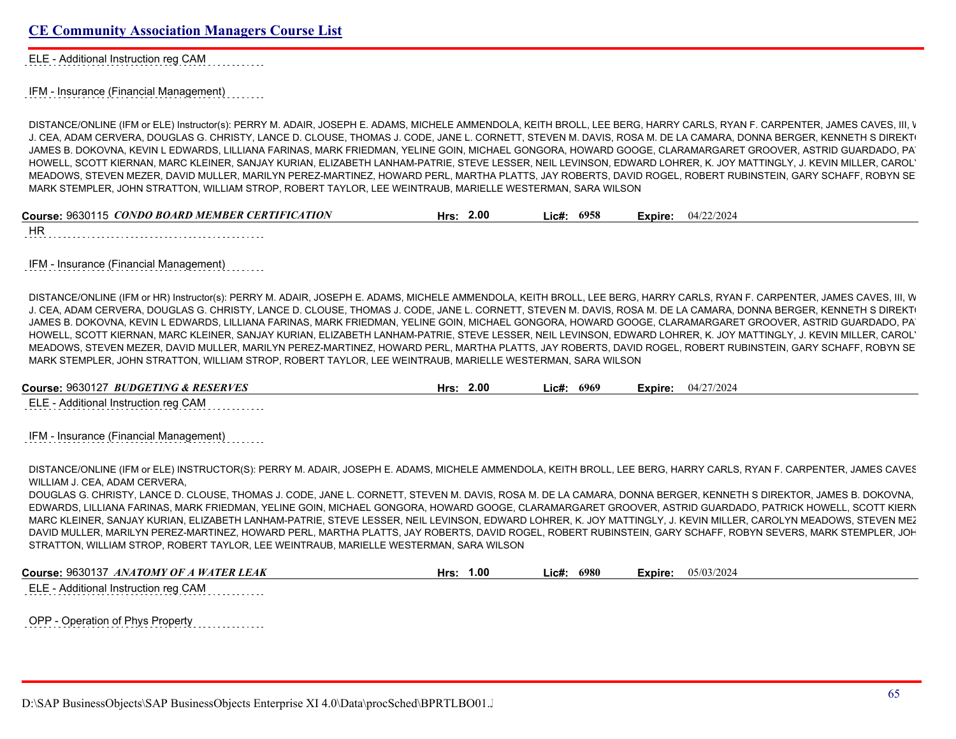ELE - Additional Instruction reg CAM

IFM - Insurance (Financial Management)

DISTANCE/ONLINE (IFM or ELE) Instructor(s): PERRY M. ADAIR, JOSEPH E. ADAMS, MICHELE AMMENDOLA, KEITH BROLL, LEE BERG, HARRY CARLS, RYAN F. CARPENTER, JAMES CAVES, III, V J. CEA, ADAM CERVERA, DOUGLAS G. CHRISTY, LANCE D. CLOUSE, THOMAS J. CODE, JANE L. CORNETT, STEVEN M. DAVIS, ROSA M. DE LA CAMARA, DONNA BERGER, KENNETH S DIREKT JAMES B. DOKOVNA, KEVIN L EDWARDS, LILLIANA FARINAS, MARK FRIEDMAN, YELINE GOIN, MICHAEL GONGORA, HOWARD GOOGE, CLARAMARGARET GROOVER, ASTRID GUARDADO, PA HOWELL, SCOTT KIERNAN, MARC KLEINER, SANJAY KURIAN, ELIZABETH LANHAM-PATRIE, STEVE LESSER, NEIL LEVINSON, EDWARD LOHRER, K. JOY MATTINGLY, J. KEVIN MILLER, CAROL' MEADOWS, STEVEN MEZER, DAVID MULLER, MARILYN PEREZ-MARTINEZ, HOWARD PERL, MARTHA PLATTS, JAY ROBERTS, DAVID ROGEL, ROBERT RUBINSTEIN, GARY SCHAFF, ROBYN SEVERS, MARK STEMPLER, JOHN STRATTON, WILLIAM STROP, ROBERT TAYLOR, LEE WEINTRAUB, MARIELLE WESTERMAN, SARA WILSON

| Course: 9630115 CONDO BOARD MEMBER CERTIFICATION | 2.00<br>Hrs: | 6958<br>∟ic# <sup>.</sup> | Expire: | 04/22/2024 |
|--------------------------------------------------|--------------|---------------------------|---------|------------|
| ШD                                               |              |                           |         |            |

HR

IFM - Insurance (Financial Management)

DISTANCE/ONLINE (IFM or HR) Instructor(s): PERRY M. ADAIR, JOSEPH E. ADAMS, MICHELE AMMENDOLA, KEITH BROLL, LEE BERG, HARRY CARLS, RYAN F. CARPENTER, JAMES CAVES, III, W J. CEA, ADAM CERVERA, DOUGLAS G. CHRISTY, LANCE D. CLOUSE, THOMAS J. CODE, JANE L. CORNETT, STEVEN M. DAVIS, ROSA M. DE LA CAMARA, DONNA BERGER, KENNETH S DIREKT JAMES B. DOKOVNA, KEVIN L EDWARDS, LILLIANA FARINAS, MARK FRIEDMAN, YELINE GOIN, MICHAEL GONGORA, HOWARD GOOGE, CLARAMARGARET GROOVER, ASTRID GUARDADO, PA HOWELL, SCOTT KIERNAN, MARC KLEINER, SANJAY KURIAN, ELIZABETH LANHAM-PATRIE, STEVE LESSER, NEIL LEVINSON, EDWARD LOHRER, K. JOY MATTINGLY, J. KEVIN MILLER, CAROL' MEADOWS, STEVEN MEZER, DAVID MULLER, MARILYN PEREZ-MARTINEZ, HOWARD PERL, MARTHA PLATTS, JAY ROBERTS, DAVID ROGEL, ROBERT RUBINSTEIN, GARY SCHAFF, ROBYN SEVERS, MARK STEMPLER, JOHN STRATTON, WILLIAM STROP, ROBERT TAYLOR, LEE WEINTRAUB, MARIELLE WESTERMAN, SARA WILSON

| Course: 9630127 BUDGETING & RESERVES | Hrs: | 2.00 | Lie#: | 6969 | Expire: | 04/27/2024 |
|--------------------------------------|------|------|-------|------|---------|------------|
| ELE - Additional Instruction reg CAM |      |      |       |      |         |            |

IFM - Insurance (Financial Management)

DISTANCE/ONLINE (IFM or ELE) INSTRUCTOR(S): PERRY M. ADAIR, JOSEPH E. ADAMS, MICHELE AMMENDOLA, KEITH BROLL, LEE BERG, HARRY CARLS, RYAN F. CARPENTER, JAMES CAVES WILLIAM J. CEA, ADAM CERVERA,

DOUGLAS G. CHRISTY, LANCE D. CLOUSE, THOMAS J. CODE, JANE L. CORNETT, STEVEN M. DAVIS, ROSA M. DE LA CAMARA, DONNA BERGER, KENNETH S DIREKTOR, JAMES B. DOKOVNA, EDWARDS, LILLIANA FARINAS, MARK FRIEDMAN, YELINE GOIN, MICHAEL GONGORA, HOWARD GOOGE, CLARAMARGARET GROOVER, ASTRID GUARDADO, PATRICK HOWELL, SCOTT KIERNAN, MARC KLEINER, SANJAY KURIAN, ELIZABETH LANHAM-PATRIE, STEVE LESSER, NEIL LEVINSON, EDWARD LOHRER, K. JOY MATTINGLY, J. KEVIN MILLER, CAROLYN MEADOWS, STEVEN MEZ DAVID MULLER, MARILYN PEREZ-MARTINEZ, HOWARD PERL, MARTHA PLATTS, JAY ROBERTS, DAVID ROGEL, ROBERT RUBINSTEIN, GARY SCHAFF, ROBYN SEVERS, MARK STEMPLER, JOHN STRATTON, WILLIAM STROP, ROBERT TAYLOR, LEE WEINTRAUB, MARIELLE WESTERMAN, SARA WILSON

**Course:** 9630137 *ANATOMY OF A WATER LEAK* **Hrs: 1.00 Lic#: 6980 Expire:** 05/03/2024

ELE - Additional Instruction reg CAM

OPP - Operation of Phys Property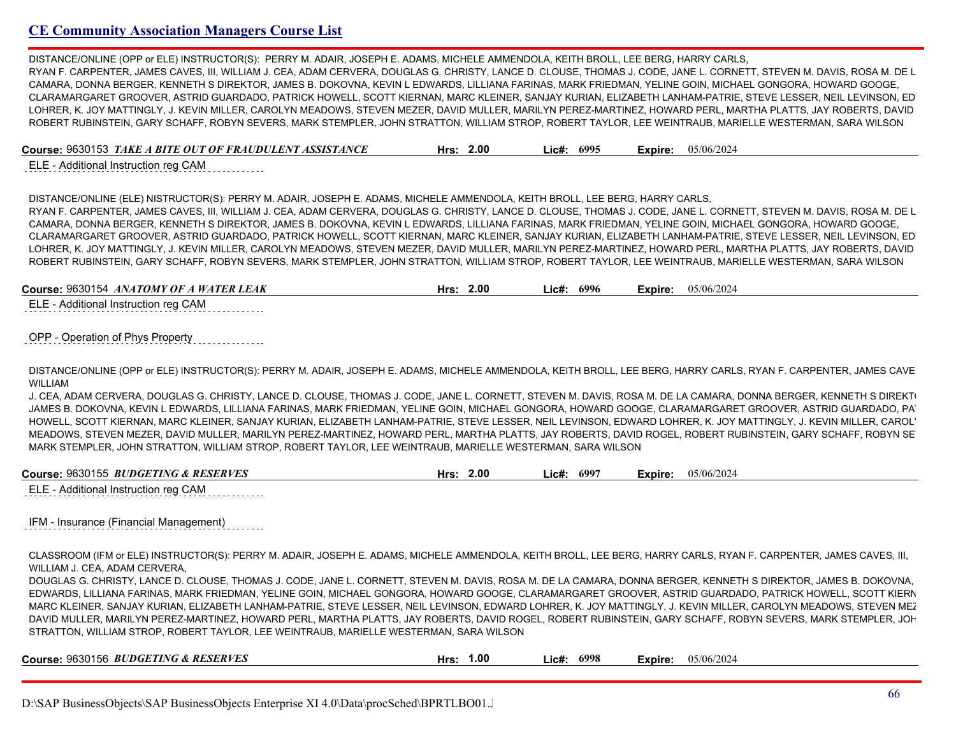DISTANCE/ONLINE (OPP or ELE) INSTRUCTOR(S): PERRY M. ADAIR, JOSEPH E. ADAMS, MICHELE AMMENDOLA, KEITH BROLL, LEE BERG, HARRY CARLS, RYAN F. CARPENTER, JAMES CAVES, III, WILLIAM J. CEA, ADAM CERVERA, DOUGLAS G. CHRISTY, LANCE D. CLOUSE, THOMAS J. CODE, JANE L. CORNETT, STEVEN M. DAVIS, ROSA M. DE L CAMARA, DONNA BERGER, KENNETH S DIREKTOR, JAMES B. DOKOVNA, KEVIN L EDWARDS, LILLIANA FARINAS, MARK FRIEDMAN, YELINE GOIN, MICHAEL GONGORA, HOWARD GOOGE, CLARAMARGARET GROOVER, ASTRID GUARDADO, PATRICK HOWELL, SCOTT KIERNAN, MARC KLEINER, SANJAY KURIAN, ELIZABETH LANHAM-PATRIE, STEVE LESSER, NEIL LEVINSON, ED LOHRER, K. JOY MATTINGLY, J. KEVIN MILLER, CAROLYN MEADOWS, STEVEN MEZER, DAVID MULLER, MARILYN PEREZ-MARTINEZ, HOWARD PERL, MARTHA PLATTS, JAY ROBERTS, DAVID ROBERT RUBINSTEIN, GARY SCHAFF, ROBYN SEVERS, MARK STEMPLER, JOHN STRATTON, WILLIAM STROP, ROBERT TAYLOR, LEE WEINTRAUB, MARIELLE WESTERMAN, SARA WILSON

**Course:** 9630153 *TAKE A BITE OUT OF FRAUDULENT ASSISTANCE* **Hrs: 2.00 Lic#: 6995 Expire:** 05/06/2024

ELE - Additional Instruction reg CAM

DISTANCE/ONLINE (ELE) NISTRUCTOR(S): PERRY M. ADAIR, JOSEPH E. ADAMS, MICHELE AMMENDOLA, KEITH BROLL, LEE BERG, HARRY CARLS, RYAN F. CARPENTER, JAMES CAVES, III, WILLIAM J. CEA, ADAM CERVERA, DOUGLAS G. CHRISTY, LANCE D. CLOUSE, THOMAS J. CODE, JANE L. CORNETT, STEVEN M. DAVIS, ROSA M. DE L CAMARA, DONNA BERGER, KENNETH S DIREKTOR, JAMES B. DOKOVNA, KEVIN L EDWARDS, LILLIANA FARINAS, MARK FRIEDMAN, YELINE GOIN, MICHAEL GONGORA, HOWARD GOOGE, CLARAMARGARET GROOVER, ASTRID GUARDADO, PATRICK HOWELL, SCOTT KIERNAN, MARC KLEINER, SANJAY KURIAN, ELIZABETH LANHAM-PATRIE, STEVE LESSER, NEIL LEVINSON, ED LOHRER, K. JOY MATTINGLY, J. KEVIN MILLER, CAROLYN MEADOWS, STEVEN MEZER, DAVID MULLER, MARILYN PEREZ-MARTINEZ, HOWARD PERL, MARTHA PLATTS, JAY ROBERTS, DAVID ROBERT RUBINSTEIN, GARY SCHAFF, ROBYN SEVERS, MARK STEMPLER, JOHN STRATTON, WILLIAM STROP, ROBERT TAYLOR, LEE WEINTRAUB, MARIELLE WESTERMAN, SARA WILSON

**Course:** 9630154 *ANATOMY OF A WATER LEAK* **Hrs: 2.00 Lic#: 6996 Expire:** 05/06/2024

ELE - Additional Instruction reg CAM

OPP - Operation of Phys Property

DISTANCE/ONLINE (OPP OF ELE) INSTRUCTOR(S): PERRY M. ADAIR, JOSEPH E. ADAMS, MICHELE AMMENDOLA, KEITH BROLL, LEE BERG, HARRY CARLS, RYAN F. CARPENTER, JAMES CAVE WILLIAM

J. CEA, ADAM CERVERA, DOUGLAS G. CHRISTY, LANCE D. CLOUSE, THOMAS J. CODE, JANE L. CORNETT, STEVEN M. DAVIS, ROSA M. DE LA CAMARA, DONNA BERGER, KENNETH S DIREKT JAMES B. DOKOVNA, KEVIN L EDWARDS, LILLIANA FARINAS, MARK FRIEDMAN, YELINE GOIN, MICHAEL GONGORA, HOWARD GOOGE, CLARAMARGARET GROOVER, ASTRID GUARDADO, PA HOWELL, SCOTT KIERNAN, MARC KLEINER, SANJAY KURIAN, ELIZABETH LANHAM-PATRIE, STEVE LESSER, NEIL LEVINSON, EDWARD LOHRER, K. JOY MATTINGLY, J. KEVIN MILLER, CAROLYN MEADOWS, STEVEN MEZER, DAVID MULLER, MARILYN PEREZ-MARTINEZ, HOWARD PERL, MARTHA PLATTS, JAY ROBERTS, DAVID ROGEL, ROBERT RUBINSTEIN, GARY SCHAFF, ROBYN SEVERS, MARK STEMPLER, JOHN STRATTON, WILLIAM STROP, ROBERT TAYLOR, LEE WEINTRAUB, MARIELLE WESTERMAN, SARA WILSON

| : 9630155 BUDGETING & RESERVES | 2.00 | <b>699</b> | 05/06/202 |
|--------------------------------|------|------------|-----------|
| Course:                        | Hrs  | _ic#:      | Expire:   |
|                                |      |            |           |

ELE - Additional Instruction reg CAM

IFM - Insurance (Financial Management)

CLASSROOM (IFM or ELE) INSTRUCTOR(S): PERRY M. ADAIR, JOSEPH E. ADAMS, MICHELE AMMENDOLA, KEITH BROLL, LEE BERG, HARRY CARLS, RYAN F. CARPENTER, JAMES CAVES, III, WILLIAM J. CEA, ADAM CERVERA,

DOUGLAS G. CHRISTY, LANCE D. CLOUSE, THOMAS J. CODE, JANE L. CORNETT, STEVEN M. DAVIS, ROSA M. DE LA CAMARA, DONNA BERGER, KENNETH S DIREKTOR, JAMES B. DOKOVNA, EDWARDS, LILLIANA FARINAS, MARK FRIEDMAN, YELINE GOIN, MICHAEL GONGORA, HOWARD GOOGE, CLARAMARGARET GROOVER, ASTRID GUARDADO, PATRICK HOWELL, SCOTT KIERNAN, MARC KLEINER, SANJAY KURIAN, ELIZABETH LANHAM-PATRIE, STEVE LESSER, NEIL LEVINSON, EDWARD LOHRER, K. JOY MATTINGLY, J. KEVIN MILLER, CAROLYN MEADOWS, STEVEN MEZ DAVID MULLER, MARILYN PEREZ-MARTINEZ, HOWARD PERL, MARTHA PLATTS, JAY ROBERTS, DAVID ROGEL, ROBERT RUBINSTEIN, GARY SCHAFF, ROBYN SEVERS, MARK STEMPLER, JOH STRATTON, WILLIAM STROP, ROBERT TAYLOR, LEE WEINTRAUB, MARIELLE WESTERMAN, SARA WILSON

| Course: 9630156 BUDGETING & RESERVES | .00،<br>Hrs: | 6998<br>∟ic# <sup>.</sup> | 05/06/2024<br>Expire: |  |
|--------------------------------------|--------------|---------------------------|-----------------------|--|
|                                      |              |                           |                       |  |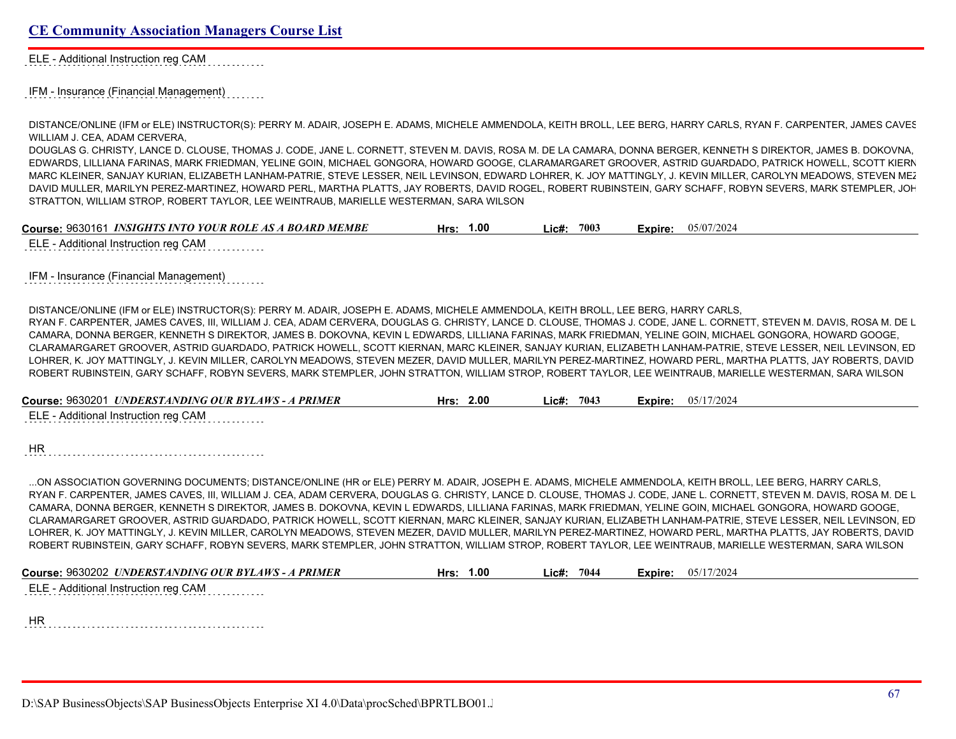ELE - Additional Instruction reg CAM

IFM - Insurance (Financial Management)

DISTANCE/ONLINE (IFM or ELE) INSTRUCTOR(S): PERRY M. ADAIR, JOSEPH E. ADAMS, MICHELE AMMENDOLA, KEITH BROLL, LEE BERG, HARRY CARLS, RYAN F. CARPENTER, JAMES CAVES WILLIAM J. CEA, ADAM CERVERA,

DOUGLAS G. CHRISTY, LANCE D. CLOUSE, THOMAS J. CODE, JANE L. CORNETT, STEVEN M. DAVIS, ROSA M. DE LA CAMARA, DONNA BERGER, KENNETH S DIREKTOR, JAMES B. DOKOVNA, EDWARDS, LILLIANA FARINAS, MARK FRIEDMAN, YELINE GOIN, MICHAEL GONGORA, HOWARD GOOGE, CLARAMARGARET GROOVER, ASTRID GUARDADO, PATRICK HOWELL, SCOTT KIERNAN, MARC KLEINER, SANJAY KURIAN, ELIZABETH LANHAM-PATRIE, STEVE LESSER, NEIL LEVINSON, EDWARD LOHRER, K. JOY MATTINGLY, J. KEVIN MILLER, CAROLYN MEADOWS, STEVEN MEZ DAVID MULLER, MARILYN PEREZ-MARTINEZ, HOWARD PERL, MARTHA PLATTS, JAY ROBERTS, DAVID ROGEL, ROBERT RUBINSTEIN, GARY SCHAFF, ROBYN SEVERS, MARK STEMPLER, JOH STRATTON, WILLIAM STROP, ROBERT TAYLOR, LEE WEINTRAUB, MARIELLE WESTERMAN, SARA WILSON

| Course: 9630161 INSIGHTS INTO YOUR ROLE AS A BOARD MEMBE | 1.00 | 7003  | 05/07/2024             |
|----------------------------------------------------------|------|-------|------------------------|
|                                                          | Hrs: | ∟ic#: | $\mathsf{^\Xi}$ xpire: |

ELE - Additional Instruction reg CAM

IFM - Insurance (Financial Management)

DISTANCE/ONLINE (IFM or ELE) INSTRUCTOR(S): PERRY M. ADAIR, JOSEPH E. ADAMS, MICHELE AMMENDOLA, KEITH BROLL, LEE BERG, HARRY CARLS, RYAN F. CARPENTER, JAMES CAVES, III, WILLIAM J. CEA, ADAM CERVERA, DOUGLAS G. CHRISTY, LANCE D. CLOUSE, THOMAS J. CODE, JANE L. CORNETT, STEVEN M. DAVIS, ROSA M. DE L CAMARA, DONNA BERGER, KENNETH S DIREKTOR, JAMES B. DOKOVNA, KEVIN L EDWARDS, LILLIANA FARINAS, MARK FRIEDMAN, YELINE GOIN, MICHAEL GONGORA, HOWARD GOOGE, CLARAMARGARET GROOVER, ASTRID GUARDADO, PATRICK HOWELL, SCOTT KIERNAN, MARC KLEINER, SANJAY KURIAN, ELIZABETH LANHAM-PATRIE, STEVE LESSER, NEIL LEVINSON, ED LOHRER, K. JOY MATTINGLY, J. KEVIN MILLER, CAROLYN MEADOWS, STEVEN MEZER, DAVID MULLER, MARILYN PEREZ-MARTINEZ, HOWARD PERL, MARTHA PLATTS, JAY ROBERTS, DAVID ROBERT RUBINSTEIN, GARY SCHAFF, ROBYN SEVERS, MARK STEMPLER, JOHN STRATTON, WILLIAM STROP, ROBERT TAYLOR, LEE WEINTRAUB, MARIELLE WESTERMAN, SARA WILSON

| Course: 9630201 UNDERSTANDING OUR BYLAWS - A PRIMER | 2.00<br>Hrs: | Lic#: 7043 | 05/17/2024<br>Expire: |
|-----------------------------------------------------|--------------|------------|-----------------------|
| ELE - Additional Instruction reg CAM                |              |            |                       |

HR

...ON ASSOCIATION GOVERNING DOCUMENTS; DISTANCE/ONLINE (HR or ELE) PERRY M. ADAIR, JOSEPH E. ADAMS, MICHELE AMMENDOLA, KEITH BROLL, LEE BERG, HARRY CARLS, RYAN F. CARPENTER, JAMES CAVES, III, WILLIAM J. CEA, ADAM CERVERA, DOUGLAS G. CHRISTY, LANCE D. CLOUSE, THOMAS J. CODE, JANE L. CORNETT, STEVEN M. DAVIS, ROSA M. DE L CAMARA, DONNA BERGER, KENNETH S DIREKTOR, JAMES B. DOKOVNA, KEVIN L EDWARDS, LILLIANA FARINAS, MARK FRIEDMAN, YELINE GOIN, MICHAEL GONGORA, HOWARD GOOGE, CLARAMARGARET GROOVER, ASTRID GUARDADO, PATRICK HOWELL, SCOTT KIERNAN, MARC KLEINER, SANJAY KURIAN, ELIZABETH LANHAM-PATRIE, STEVE LESSER, NEIL LEVINSON, ED LOHRER, K. JOY MATTINGLY, J. KEVIN MILLER, CAROLYN MEADOWS, STEVEN MEZER, DAVID MULLER, MARILYN PEREZ-MARTINEZ, HOWARD PERL, MARTHA PLATTS, JAY ROBERTS, DAVID ROBERT RUBINSTEIN, GARY SCHAFF, ROBYN SEVERS, MARK STEMPLER, JOHN STRATTON, WILLIAM STROP, ROBERT TAYLOR, LEE WEINTRAUB, MARIELLE WESTERMAN, SARA WILSON

| Course: 9630202 UNDERSTANDING OUR BYLAWS - A PRIMER | 1.00<br>Hrs: | 7044<br>Lic#: | 05/17/2024<br>Expire: |  |
|-----------------------------------------------------|--------------|---------------|-----------------------|--|
|                                                     |              |               |                       |  |

ELE - Additional Instruction reg CAM

HR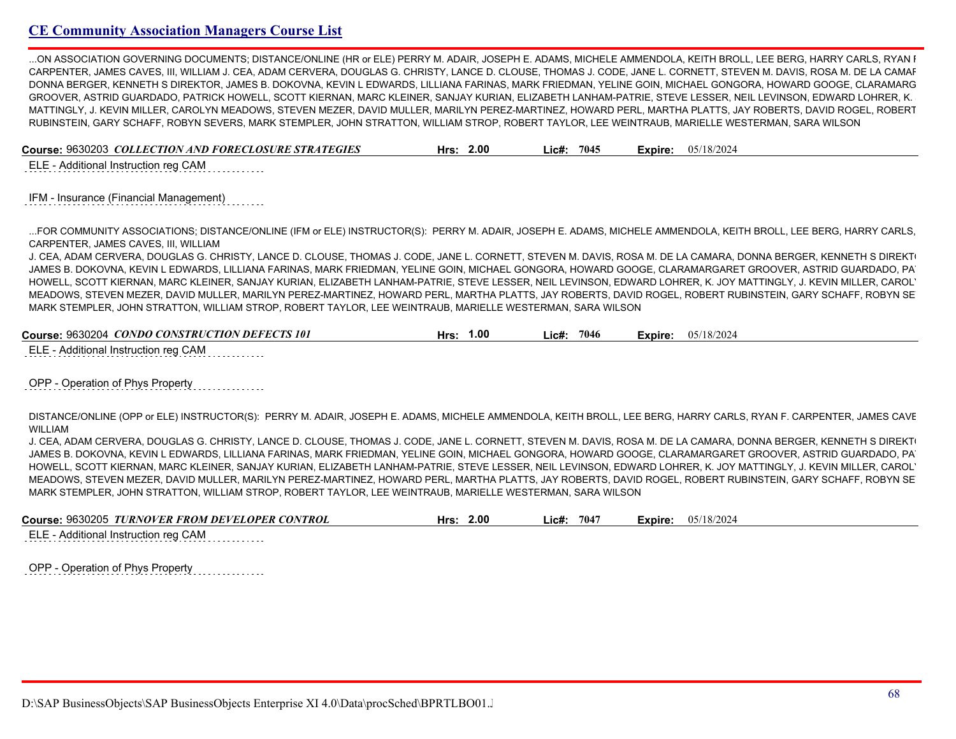...ON ASSOCIATION GOVERNING DOCUMENTS; DISTANCE/ONLINE (HR or ELE) PERRY M. ADAIR, JOSEPH E. ADAMS, MICHELE AMMENDOLA, KEITH BROLL, LEE BERG, HARRY CARLS, RYAN I CARPENTER, JAMES CAVES, III, WILLIAM J. CEA, ADAM CERVERA, DOUGLAS G. CHRISTY, LANCE D. CLOUSE, THOMAS J. CODE, JANE L. CORNETT, STEVEN M. DAVIS, ROSA M. DE LA CAMAF DONNA BERGER, KENNETH S DIREKTOR, JAMES B. DOKOVNA, KEVIN L EDWARDS, LILLIANA FARINAS, MARK FRIEDMAN, YELINE GOIN, MICHAEL GONGORA, HOWARD GOOGE, CLARAMARG GROOVER, ASTRID GUARDADO, PATRICK HOWELL, SCOTT KIERNAN, MARC KLEINER, SANJAY KURIAN, ELIZABETH LANHAM-PATRIE, STEVE LESSER, NEIL LEVINSON, EDWARD LOHRER, K. MATTINGLY, J. KEVIN MILLER, CAROLYN MEADOWS, STEVEN MEZER, DAVID MULLER, MARILYN PEREZ-MARTINEZ, HOWARD PERL, MARTHA PLATTS, JAY ROBERTS, DAVID ROGEL, ROBERT RUBINSTEIN, GARY SCHAFF, ROBYN SEVERS, MARK STEMPLER, JOHN STRATTON, WILLIAM STROP, ROBERT TAYLOR, LEE WEINTRAUB, MARIELLE WESTERMAN, SARA WILSON

| Course: 9630203 COLLECTION AND FORECLOSURE STRATEGIES | 2.00<br>Lic#:<br>Hrs: | 7045 |  |  | <b>Expire:</b> $05/18/2024$ |
|-------------------------------------------------------|-----------------------|------|--|--|-----------------------------|
|-------------------------------------------------------|-----------------------|------|--|--|-----------------------------|

ELE - Additional Instruction reg CAM

IFM - Insurance (Financial Management)

...FOR COMMUNITY ASSOCIATIONS; DISTANCE/ONLINE (IFM or ELE) INSTRUCTOR(S): PERRY M. ADAIR, JOSEPH E. ADAMS, MICHELE AMMENDOLA, KEITH BROLL, LEE BERG, HARRY CARLS, RYAN F. CARPENTER, JAMES CAVES, III, WILLIAM

J. CEA, ADAM CERVERA, DOUGLAS G. CHRISTY, LANCE D. CLOUSE, THOMAS J. CODE, JANE L. CORNETT, STEVEN M. DAVIS, ROSA M. DE LA CAMARA, DONNA BERGER, KENNETH S DIREKT JAMES B. DOKOVNA, KEVIN L EDWARDS, LILLIANA FARINAS, MARK FRIEDMAN, YELINE GOIN, MICHAEL GONGORA, HOWARD GOOGE, CLARAMARGARET GROOVER, ASTRID GUARDADO, PA HOWELL, SCOTT KIERNAN, MARC KLEINER, SANJAY KURIAN, ELIZABETH LANHAM-PATRIE, STEVE LESSER, NEIL LEVINSON, EDWARD LOHRER, K. JOY MATTINGLY, J. KEVIN MILLER, CAROLYN MEADOWS, STEVEN MEZER, DAVID MULLER, MARILYN PEREZ-MARTINEZ, HOWARD PERL, MARTHA PLATTS, JAY ROBERTS, DAVID ROGEL, ROBERT RUBINSTEIN, GARY SCHAFF, ROBYN SEVERS, MARK STEMPLER, JOHN STRATTON, WILLIAM STROP, ROBERT TAYLOR, LEE WEINTRAUB, MARIELLE WESTERMAN, SARA WILSON

| <b>Course: 9630204</b><br>CONDO CONSTRUCTION DEFECTS 101 | .00.<br>Hrs | 7046<br>.ic#: | 18/2024<br>0.5/<br>-xpire <sup>.</sup> |
|----------------------------------------------------------|-------------|---------------|----------------------------------------|
|                                                          |             |               |                                        |

ELE - Additional Instruction reg CAM

OPP - Operation of Phys Property

DISTANCE/ONLINE (OPP or ELE) INSTRUCTOR(S): PERRY M. ADAIR, JOSEPH E. ADAMS, MICHELE AMMENDOLA, KEITH BROLL, LEE BERG, HARRY CARLS, RYAN F. CARPENTER, JAMES CAVE WILLIAM

J. CEA, ADAM CERVERA, DOUGLAS G. CHRISTY, LANCE D. CLOUSE, THOMAS J. CODE, JANE L. CORNETT, STEVEN M. DAVIS, ROSA M. DE LA CAMARA, DONNA BERGER, KENNETH S DIREKT JAMES B. DOKOVNA, KEVIN L EDWARDS, LILLIANA FARINAS, MARK FRIEDMAN, YELINE GOIN, MICHAEL GONGORA, HOWARD GOOGE, CLARAMARGARET GROOVER, ASTRID GUARDADO, PA HOWELL, SCOTT KIERNAN, MARC KLEINER, SANJAY KURIAN, ELIZABETH LANHAM-PATRIE, STEVE LESSER, NEIL LEVINSON, EDWARD LOHRER, K. JOY MATTINGLY, J. KEVIN MILLER, CAROLYN MEADOWS, STEVEN MEZER, DAVID MULLER, MARILYN PEREZ-MARTINEZ, HOWARD PERL, MARTHA PLATTS, JAY ROBERTS, DAVID ROGEL, ROBERT RUBINSTEIN, GARY SCHAFF, ROBYN SEVERS, MARK STEMPLER, JOHN STRATTON, WILLIAM STROP, ROBERT TAYLOR, LEE WEINTRAUB, MARIELLE WESTERMAN, SARA WILSON

| Course: 9630205 TURNOVER FROM DEVELOPER CONTROL<br>05/18/2024<br>2.00<br>7047<br>∟ic#:<br>Hrs:<br>Expire: |  |
|-----------------------------------------------------------------------------------------------------------|--|
|-----------------------------------------------------------------------------------------------------------|--|

ELE - Additional Instruction reg CAM

OPP - Operation of Phys Property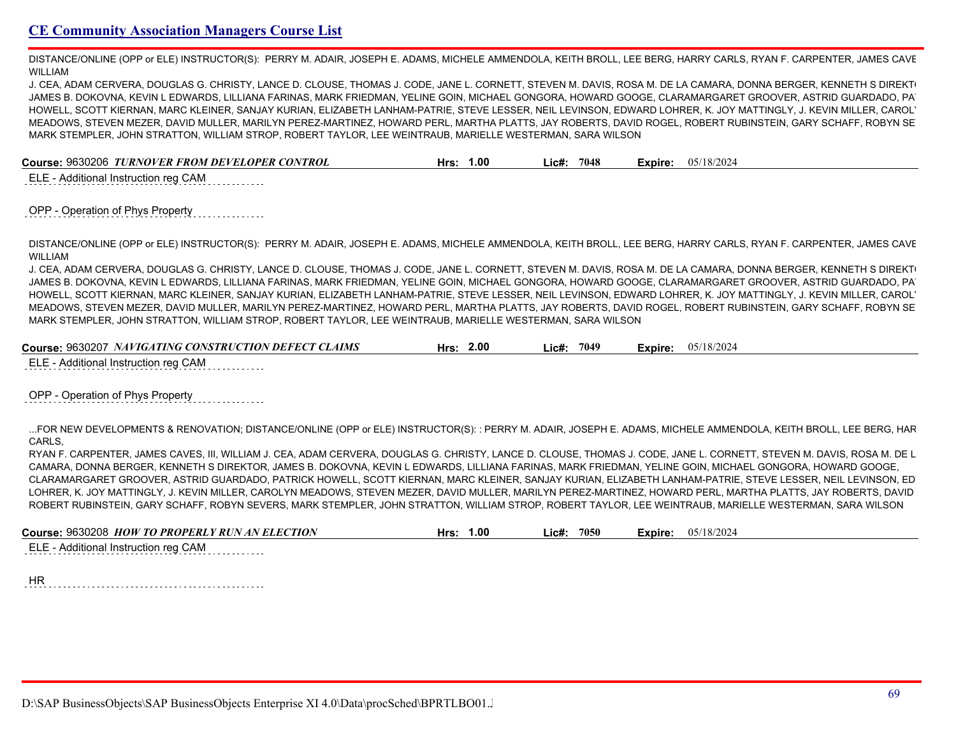DISTANCE/ONLINE (OPP or ELE) INSTRUCTOR(S): PERRY M. ADAIR, JOSEPH E. ADAMS, MICHELE AMMENDOLA, KEITH BROLL, LEE BERG, HARRY CARLS, RYAN F. CARPENTER, JAMES CAVE WILLIAM

J. CEA, ADAM CERVERA, DOUGLAS G. CHRISTY, LANCE D. CLOUSE, THOMAS J. CODE, JANE L. CORNETT, STEVEN M. DAVIS, ROSA M. DE LA CAMARA, DONNA BERGER, KENNETH S DIREKT JAMES B. DOKOVNA, KEVIN L EDWARDS, LILLIANA FARINAS, MARK FRIEDMAN, YELINE GOIN, MICHAEL GONGORA, HOWARD GOOGE, CLARAMARGARET GROOVER, ASTRID GUARDADO, PA HOWELL, SCOTT KIERNAN, MARC KLEINER, SANJAY KURIAN, ELIZABETH LANHAM-PATRIE, STEVE LESSER, NEIL LEVINSON, EDWARD LOHRER, K. JOY MATTINGLY, J. KEVIN MILLER, CAROL' MEADOWS, STEVEN MEZER, DAVID MULLER, MARILYN PEREZ-MARTINEZ, HOWARD PERL, MARTHA PLATTS, JAY ROBERTS, DAVID ROGEL, ROBERT RUBINSTEIN, GARY SCHAFF, ROBYN SEVERS, MARK STEMPLER, JOHN STRATTON, WILLIAM STROP, ROBERT TAYLOR, LEE WEINTRAUB, MARIELLE WESTERMAN, SARA WILSON

**Course:** 9630206 *TURNOVER FROM DEVELOPER CONTROL* **Hrs: 1.00 Lic#: 7048 Expire:** 05/18/2024

ELE - Additional Instruction reg CAM

#### OPP - Operation of Phys Property

DISTANCE/ONLINE (OPP or ELE) INSTRUCTOR(S): PERRY M. ADAIR, JOSEPH E. ADAMS, MICHELE AMMENDOLA, KEITH BROLL, LEE BERG, HARRY CARLS, RYAN F. CARPENTER, JAMES CAVE WILLIAM

J. CEA, ADAM CERVERA, DOUGLAS G. CHRISTY, LANCE D. CLOUSE, THOMAS J. CODE, JANE L. CORNETT, STEVEN M. DAVIS, ROSA M. DE LA CAMARA, DONNA BERGER, KENNETH S DIREKT JAMES B. DOKOVNA, KEVIN L EDWARDS, LILLIANA FARINAS, MARK FRIEDMAN, YELINE GOIN, MICHAEL GONGORA, HOWARD GOOGE, CLARAMARGARET GROOVER, ASTRID GUARDADO, PATRICK HOWELL, SCOTT KIERNAN, MARC KLEINER, SANJAY KURIAN, ELIZABETH LANHAM-PATRIE, STEVE LESSER, NEIL LEVINSON, EDWARD LOHRER, K. JOY MATTINGLY, J. KEVIN MILLER, CAROLYN MEADOWS, STEVEN MEZER, DAVID MULLER, MARILYN PEREZ-MARTINEZ, HOWARD PERL, MARTHA PLATTS, JAY ROBERTS, DAVID ROGEL, ROBERT RUBINSTEIN, GARY SCHAFF, ROBYN SEVERS, MARK STEMPLER, JOHN STRATTON, WILLIAM STROP, ROBERT TAYLOR, LEE WEINTRAUB, MARIELLE WESTERMAN, SARA WILSON

| 2.00 | 704°  | 05/18/2024 |
|------|-------|------------|
| Hrs: | _ic#: | Expire:    |

ELE - Additional Instruction reg CAM

#### OPP - Operation of Phys Property

...FOR NEW DEVELOPMENTS & RENOVATION; DISTANCE/ONLINE (OPP or ELE) INSTRUCTOR(S): : PERRY M. ADAIR, JOSEPH E. ADAMS, MICHELE AMMENDOLA, KEITH BROLL, LEE BERG, HARRY CARLS,

RYAN F. CARPENTER, JAMES CAVES, III, WILLIAM J. CEA, ADAM CERVERA, DOUGLAS G. CHRISTY, LANCE D. CLOUSE, THOMAS J. CODE, JANE L. CORNETT, STEVEN M. DAVIS, ROSA M. DE L CAMARA, DONNA BERGER, KENNETH S DIREKTOR, JAMES B. DOKOVNA, KEVIN L EDWARDS, LILLIANA FARINAS, MARK FRIEDMAN, YELINE GOIN, MICHAEL GONGORA, HOWARD GOOGE, CLARAMARGARET GROOVER, ASTRID GUARDADO, PATRICK HOWELL, SCOTT KIERNAN, MARC KLEINER, SANJAY KURIAN, ELIZABETH LANHAM-PATRIE, STEVE LESSER, NEIL LEVINSON, ED LOHRER, K. JOY MATTINGLY, J. KEVIN MILLER, CAROLYN MEADOWS, STEVEN MEZER, DAVID MULLER, MARILYN PEREZ-MARTINEZ, HOWARD PERL, MARTHA PLATTS, JAY ROBERTS, DAVID ROBERT RUBINSTEIN, GARY SCHAFF, ROBYN SEVERS, MARK STEMPLER, JOHN STRATTON, WILLIAM STROP, ROBERT TAYLOR, LEE WEINTRAUB, MARIELLE WESTERMAN, SARA WILSON

| Course: 9630208 HOW TO PROPERLY RUN AN ELECTION | 1.00 <sub>1</sub> | 7050  | 05/18/2024 |
|-------------------------------------------------|-------------------|-------|------------|
|                                                 | Hrs:              | _ic#: | Expire:    |

ELE - Additional Instruction reg CAM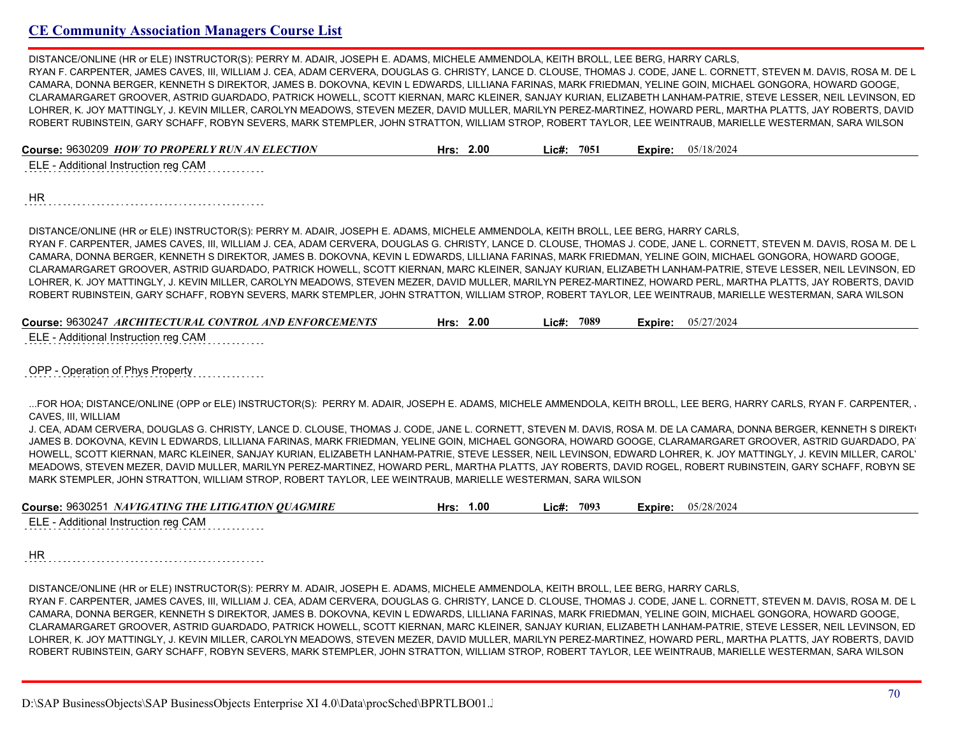DISTANCE/ONLINE (HR or ELE) INSTRUCTOR(S): PERRY M. ADAIR, JOSEPH E. ADAMS, MICHELE AMMENDOLA, KEITH BROLL, LEE BERG, HARRY CARLS, RYAN F. CARPENTER, JAMES CAVES, III, WILLIAM J. CEA, ADAM CERVERA, DOUGLAS G. CHRISTY, LANCE D. CLOUSE, THOMAS J. CODE, JANE L. CORNETT, STEVEN M. DAVIS, ROSA M. DE L CAMARA, DONNA BERGER, KENNETH S DIREKTOR, JAMES B. DOKOVNA, KEVIN L EDWARDS, LILLIANA FARINAS, MARK FRIEDMAN, YELINE GOIN, MICHAEL GONGORA, HOWARD GOOGE, CLARAMARGARET GROOVER, ASTRID GUARDADO, PATRICK HOWELL, SCOTT KIERNAN, MARC KLEINER, SANJAY KURIAN, ELIZABETH LANHAM-PATRIE, STEVE LESSER, NEIL LEVINSON, ED LOHRER, K. JOY MATTINGLY, J. KEVIN MILLER, CAROLYN MEADOWS, STEVEN MEZER, DAVID MULLER, MARILYN PEREZ-MARTINEZ, HOWARD PERL, MARTHA PLATTS, JAY ROBERTS, DAVID ROBERT RUBINSTEIN, GARY SCHAFF, ROBYN SEVERS, MARK STEMPLER, JOHN STRATTON, WILLIAM STROP, ROBERT TAYLOR, LEE WEINTRAUB, MARIELLE WESTERMAN, SARA WILSON

| Course: 9630209 HOW TO PROPERLY RUN AN ELECTION | Hrs: $2.00$ | Lic#: 7051 | Expire: | 05/18/2024 |
|-------------------------------------------------|-------------|------------|---------|------------|
| ELE - Additional Instruction reg CAM            |             |            |         |            |
|                                                 |             |            |         |            |

HR 

DISTANCE/ONLINE (HR or ELE) INSTRUCTOR(S): PERRY M. ADAIR, JOSEPH E. ADAMS, MICHELE AMMENDOLA, KEITH BROLL, LEE BERG, HARRY CARLS, RYAN F. CARPENTER, JAMES CAVES, III, WILLIAM J. CEA, ADAM CERVERA, DOUGLAS G. CHRISTY, LANCE D. CLOUSE, THOMAS J. CODE, JANE L. CORNETT, STEVEN M. DAVIS, ROSA M. DE L CAMARA, DONNA BERGER, KENNETH S DIREKTOR, JAMES B. DOKOVNA, KEVIN L EDWARDS, LILLIANA FARINAS, MARK FRIEDMAN, YELINE GOIN, MICHAEL GONGORA, HOWARD GOOGE, CLARAMARGARET GROOVER, ASTRID GUARDADO, PATRICK HOWELL, SCOTT KIERNAN, MARC KLEINER, SANJAY KURIAN, ELIZABETH LANHAM-PATRIE, STEVE LESSER, NEIL LEVINSON, ED LOHRER, K. JOY MATTINGLY, J. KEVIN MILLER, CAROLYN MEADOWS, STEVEN MEZER, DAVID MULLER, MARILYN PEREZ-MARTINEZ, HOWARD PERL, MARTHA PLATTS, JAY ROBERTS, DAVID ROBERT RUBINSTEIN, GARY SCHAFF, ROBYN SEVERS, MARK STEMPLER, JOHN STRATTON, WILLIAM STROP, ROBERT TAYLOR, LEE WEINTRAUB, MARIELLE WESTERMAN, SARA WILSON

| Course: 9630247 ARCHITECTURAL CONTROL AND ENFORCEMENTS | 2.00 | 7089  | 05/27/2024 |
|--------------------------------------------------------|------|-------|------------|
|                                                        | Hrs: | ∟ic#: | Expire:    |
| $\blacksquare$                                         |      |       |            |

ELE - Additional Instruction reg CAM

OPP - Operation of Phys Property

...FOR HOA; DISTANCE/ONLINE (OPP or ELE) INSTRUCTOR(S): PERRY M. ADAIR, JOSEPH E. ADAMS, MICHELE AMMENDOLA, KEITH BROLL, LEE BERG, HARRY CARLS, RYAN F. CARPENTER, CAVES, III, WILLIAM

J. CEA, ADAM CERVERA, DOUGLAS G. CHRISTY, LANCE D. CLOUSE, THOMAS J. CODE, JANE L. CORNETT, STEVEN M. DAVIS, ROSA M. DE LA CAMARA, DONNA BERGER, KENNETH S DIREKT JAMES B. DOKOVNA, KEVIN L EDWARDS, LILLIANA FARINAS, MARK FRIEDMAN, YELINE GOIN, MICHAEL GONGORA, HOWARD GOOGE, CLARAMARGARET GROOVER, ASTRID GUARDADO, PA HOWELL, SCOTT KIERNAN, MARC KLEINER, SANJAY KURIAN, ELIZABETH LANHAM-PATRIE, STEVE LESSER, NEIL LEVINSON, EDWARD LOHRER, K. JOY MATTINGLY, J. KEVIN MILLER, CAROL' MEADOWS, STEVEN MEZER, DAVID MULLER, MARILYN PEREZ-MARTINEZ, HOWARD PERL, MARTHA PLATTS, JAY ROBERTS, DAVID ROGEL, ROBERT RUBINSTEIN, GARY SCHAFF, ROBYN SEVERS, MARK STEMPLER, JOHN STRATTON, WILLIAM STROP, ROBERT TAYLOR, LEE WEINTRAUB, MARIELLE WESTERMAN, SARA WILSON

| Course: 9630251 NAVIGATING THE LITIGATION QUAGMIRE                                                                                                | 1.00<br>Hrs: | 7093<br>ic#: | Expire: | 05/28/2024 |
|---------------------------------------------------------------------------------------------------------------------------------------------------|--------------|--------------|---------|------------|
| $\Gamma$ $\Gamma$ $\Gamma$ $\Gamma$ $\Lambda$ and all the set of the set of the set of $\Gamma$ and $\Gamma$ $\Gamma$ $\Gamma$ $\Lambda$ $\Gamma$ |              |              |         |            |

ELE - Additional Instruction reg CAM

HR

DISTANCE/ONLINE (HR or ELE) INSTRUCTOR(S): PERRY M. ADAIR, JOSEPH E. ADAMS, MICHELE AMMENDOLA, KEITH BROLL, LEE BERG, HARRY CARLS,

RYAN F. CARPENTER, JAMES CAVES, III, WILLIAM J. CEA, ADAM CERVERA, DOUGLAS G. CHRISTY, LANCE D. CLOUSE, THOMAS J. CODE, JANE L. CORNETT, STEVEN M. DAVIS, ROSA M. DE L CAMARA, DONNA BERGER, KENNETH S DIREKTOR, JAMES B. DOKOVNA, KEVIN L EDWARDS, LILLIANA FARINAS, MARK FRIEDMAN, YELINE GOIN, MICHAEL GONGORA, HOWARD GOOGE, CLARAMARGARET GROOVER, ASTRID GUARDADO, PATRICK HOWELL, SCOTT KIERNAN, MARC KLEINER, SANJAY KURIAN, ELIZABETH LANHAM-PATRIE, STEVE LESSER, NEIL LEVINSON, ED LOHRER, K. JOY MATTINGLY, J. KEVIN MILLER, CAROLYN MEADOWS, STEVEN MEZER, DAVID MULLER, MARILYN PEREZ-MARTINEZ, HOWARD PERL, MARTHA PLATTS, JAY ROBERTS, DAVID ROBERT RUBINSTEIN, GARY SCHAFF, ROBYN SEVERS, MARK STEMPLER, JOHN STRATTON, WILLIAM STROP, ROBERT TAYLOR, LEE WEINTRAUB, MARIELLE WESTERMAN, SARA WILSON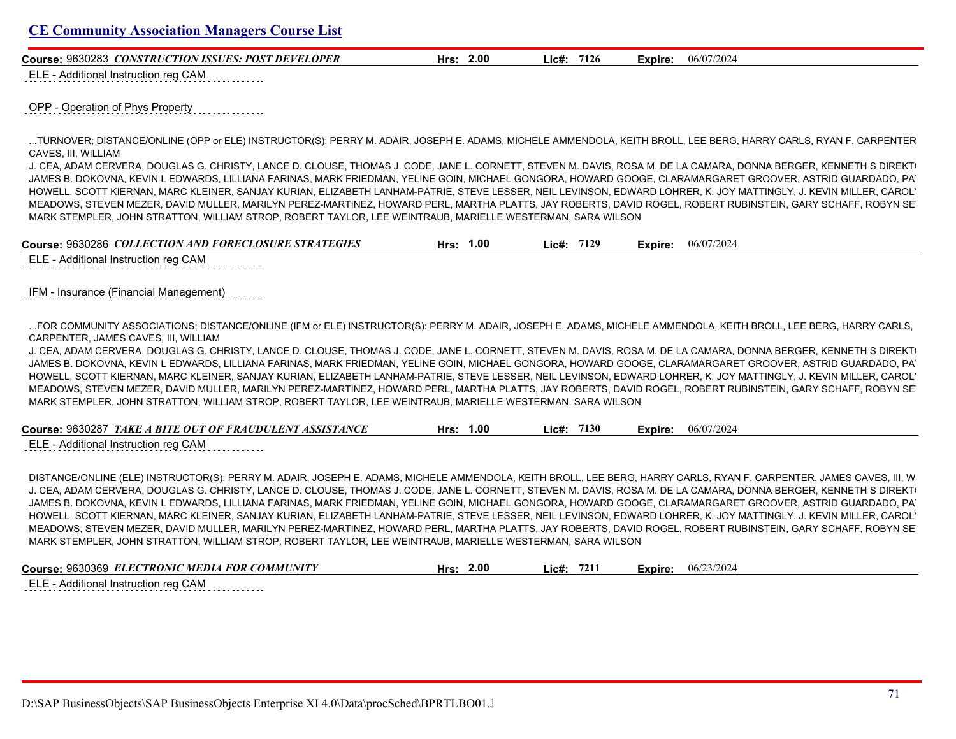**Course:** 9630283 *CONSTRUCTION ISSUES: POST DEVELOPER* **Hrs: 2.00 Lic#: 7126 Expire:** 06/07/2024

ELE - Additional Instruction reg CAM

OPP - Operation of Phys Property

...TURNOVER; DISTANCE/ONLINE (OPP or ELE) INSTRUCTOR(S): PERRY M. ADAIR, JOSEPH E. ADAMS, MICHELE AMMENDOLA, KEITH BROLL, LEE BERG, HARRY CARLS, RYAN F. CARPENTER, JAMES CAVES, III, WILLIAM

J. CEA, ADAM CERVERA, DOUGLAS G. CHRISTY, LANCE D. CLOUSE, THOMAS J. CODE, JANE L. CORNETT, STEVEN M. DAVIS, ROSA M. DE LA CAMARA, DONNA BERGER, KENNETH S DIREKT JAMES B. DOKOVNA, KEVIN L EDWARDS, LILLIANA FARINAS, MARK FRIEDMAN, YELINE GOIN, MICHAEL GONGORA, HOWARD GOOGE, CLARAMARGARET GROOVER, ASTRID GUARDADO, PA HOWELL, SCOTT KIERNAN, MARC KLEINER, SANJAY KURIAN, ELIZABETH LANHAM-PATRIE, STEVE LESSER, NEIL LEVINSON, EDWARD LOHRER, K. JOY MATTINGLY, J. KEVIN MILLER, CAROLYN MEADOWS, STEVEN MEZER, DAVID MULLER, MARILYN PEREZ-MARTINEZ, HOWARD PERL, MARTHA PLATTS, JAY ROBERTS, DAVID ROGEL, ROBERT RUBINSTEIN, GARY SCHAFF, ROBYN SEVERS, MARK STEMPLER, JOHN STRATTON, WILLIAM STROP, ROBERT TAYLOR, LEE WEINTRAUB, MARIELLE WESTERMAN, SARA WILSON

| Course: 9630286 COLLECTION AND FORECLOSURE STRATEGIES | 1.00<br>Hrs: | 7129<br>∟ic#: | 06/07/2024<br>Expire: |  |
|-------------------------------------------------------|--------------|---------------|-----------------------|--|
| $ELE$ Additional Instruction rog $CAM$                |              |               |                       |  |

ELE - Additional Instruction reg CAM

IFM - Insurance (Financial Management)

...FOR COMMUNITY ASSOCIATIONS; DISTANCE/ONLINE (IFM or ELE) INSTRUCTOR(S): PERRY M. ADAIR, JOSEPH E. ADAMS, MICHELE AMMENDOLA, KEITH BROLL, LEE BERG, HARRY CARLS, CARPENTER, JAMES CAVES, III, WILLIAM

J. CEA, ADAM CERVERA, DOUGLAS G. CHRISTY, LANCE D. CLOUSE, THOMAS J. CODE, JANE L. CORNETT, STEVEN M. DAVIS, ROSA M. DE LA CAMARA, DONNA BERGER, KENNETH S DIREKT JAMES B. DOKOVNA, KEVIN L EDWARDS, LILLIANA FARINAS, MARK FRIEDMAN, YELINE GOIN, MICHAEL GONGORA, HOWARD GOOGE, CLARAMARGARET GROOVER, ASTRID GUARDADO, PA HOWELL, SCOTT KIERNAN, MARC KLEINER, SANJAY KURIAN, ELIZABETH LANHAM-PATRIE, STEVE LESSER, NEIL LEVINSON, EDWARD LOHRER, K. JOY MATTINGLY, J. KEVIN MILLER, CAROLYN MEADOWS, STEVEN MEZER, DAVID MULLER, MARILYN PEREZ-MARTINEZ, HOWARD PERL, MARTHA PLATTS, JAY ROBERTS, DAVID ROGEL, ROBERT RUBINSTEIN, GARY SCHAFF, ROBYN SEVERS, MARK STEMPLER, JOHN STRATTON, WILLIAM STROP, ROBERT TAYLOR, LEE WEINTRAUB, MARIELLE WESTERMAN, SARA WILSON

| Course: 9630287 TAKE A BITE OUT OF FRAUDULENT ASSISTANCE                                                                                                | Hrs: 1.00 | Lie#: 7130 | <b>Expire:</b> $06/07/2024$ |
|---------------------------------------------------------------------------------------------------------------------------------------------------------|-----------|------------|-----------------------------|
| ELE - Additional Instruction reg CAM<br>the contract of the contract of the contract of the contract of the contract of the contract of the contract of |           |            |                             |

DISTANCE/ONLINE (ELE) INSTRUCTOR(S): PERRY M. ADAIR, JOSEPH E. ADAMS, MICHELE AMMENDOLA, KEITH BROLL, LEE BERG, HARRY CARLS, RYAN F. CARPENTER, JAMES CAVES, III, W J. CEA, ADAM CERVERA, DOUGLAS G. CHRISTY, LANCE D. CLOUSE, THOMAS J. CODE, JANE L. CORNETT, STEVEN M. DAVIS, ROSA M. DE LA CAMARA, DONNA BERGER, KENNETH S DIREKT JAMES B. DOKOVNA, KEVIN L EDWARDS, LILLIANA FARINAS, MARK FRIEDMAN, YELINE GOIN, MICHAEL GONGORA, HOWARD GOOGE, CLARAMARGARET GROOVER, ASTRID GUARDADO, PA HOWELL, SCOTT KIERNAN, MARC KLEINER, SANJAY KURIAN, ELIZABETH LANHAM-PATRIE, STEVE LESSER, NEIL LEVINSON, EDWARD LOHRER, K. JOY MATTINGLY, J. KEVIN MILLER, CAROL' MEADOWS, STEVEN MEZER, DAVID MULLER, MARILYN PEREZ-MARTINEZ, HOWARD PERL, MARTHA PLATTS, JAY ROBERTS, DAVID ROGEL, ROBERT RUBINSTEIN, GARY SCHAFF, ROBYN SEVERS, MARK STEMPLER, JOHN STRATTON, WILLIAM STROP, ROBERT TAYLOR, LEE WEINTRAUB, MARIELLE WESTERMAN, SARA WILSON

| Course: 9630369 ELECTRONIC MEDIA FOR COMMUNITY | Hrs: 2.00 | 7211<br>Lic#: | 06/23/2024<br>Expire: |  |
|------------------------------------------------|-----------|---------------|-----------------------|--|
| $\Box$ $\Box$ Additional Instruction rog CAM   |           |               |                       |  |

ELE - Additional Instruction reg CAM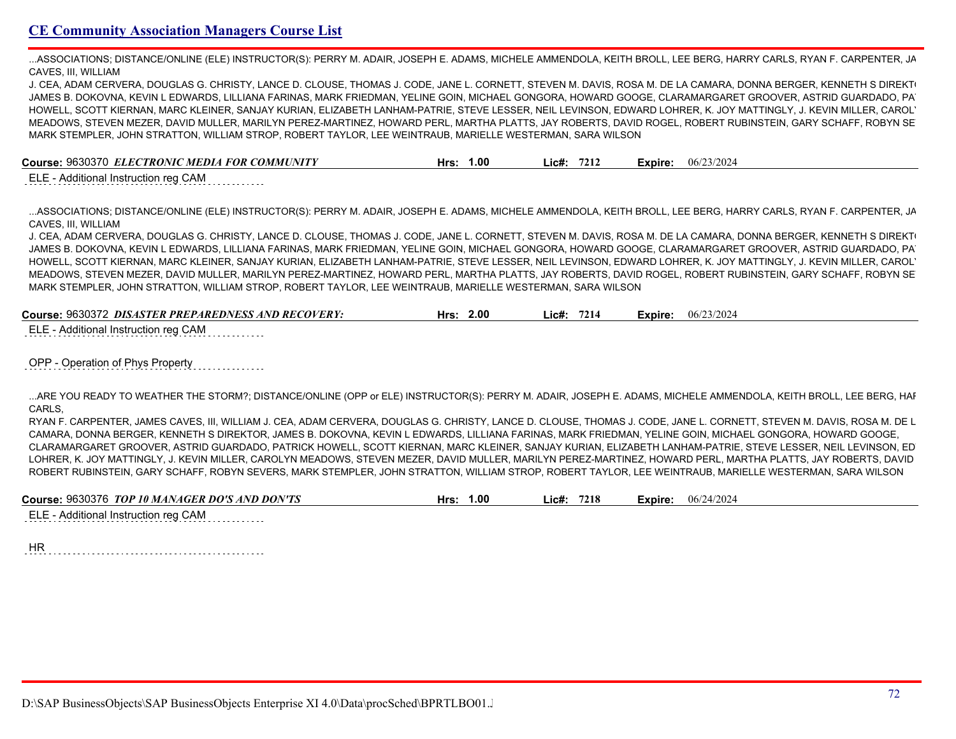...ASSOCIATIONS; DISTANCE/ONLINE (ELE) INSTRUCTOR(S): PERRY M. ADAIR, JOSEPH E. ADAMS, MICHELE AMMENDOLA, KEITH BROLL, LEE BERG, HARRY CARLS, RYAN F. CARPENTER, JA CAVES, III, WILLIAM

J. CEA, ADAM CERVERA, DOUGLAS G. CHRISTY, LANCE D. CLOUSE, THOMAS J. CODE, JANE L. CORNETT, STEVEN M. DAVIS, ROSA M. DE LA CAMARA, DONNA BERGER, KENNETH S DIREKT JAMES B. DOKOVNA, KEVIN L EDWARDS, LILLIANA FARINAS, MARK FRIEDMAN, YELINE GOIN, MICHAEL GONGORA, HOWARD GOOGE, CLARAMARGARET GROOVER, ASTRID GUARDADO, PA HOWELL, SCOTT KIERNAN, MARC KLEINER, SANJAY KURIAN, ELIZABETH LANHAM-PATRIE, STEVE LESSER, NEIL LEVINSON, EDWARD LOHRER, K. JOY MATTINGLY, J. KEVIN MILLER, CAROL' MEADOWS, STEVEN MEZER, DAVID MULLER, MARILYN PEREZ-MARTINEZ, HOWARD PERL, MARTHA PLATTS, JAY ROBERTS, DAVID ROGEL, ROBERT RUBINSTEIN, GARY SCHAFF, ROBYN SEVERS, MARK STEMPLER, JOHN STRATTON, WILLIAM STROP, ROBERT TAYLOR, LEE WEINTRAUB, MARIELLE WESTERMAN, SARA WILSON

**Course:** 9630370 *ELECTRONIC MEDIA FOR COMMUNITY* **Hrs: 1.00 Lic#: 7212 Expire:** 06/23/2024

ELE - Additional Instruction reg CAM

...ASSOCIATIONS; DISTANCE/ONLINE (ELE) INSTRUCTOR(S): PERRY M. ADAIR, JOSEPH E. ADAMS, MICHELE AMMENDOLA, KEITH BROLL, LEE BERG, HARRY CARLS, RYAN F. CARPENTER, JAMES CAVES, III, WILLIAM

J. CEA, ADAM CERVERA, DOUGLAS G. CHRISTY, LANCE D. CLOUSE, THOMAS J. CODE, JANE L. CORNETT, STEVEN M. DAVIS, ROSA M. DE LA CAMARA, DONNA BERGER, KENNETH S DIREKT JAMES B. DOKOVNA, KEVIN L EDWARDS, LILLIANA FARINAS, MARK FRIEDMAN, YELINE GOIN, MICHAEL GONGORA, HOWARD GOOGE, CLARAMARGARET GROOVER, ASTRID GUARDADO, PA HOWELL, SCOTT KIERNAN, MARC KLEINER, SANJAY KURIAN, ELIZABETH LANHAM-PATRIE, STEVE LESSER, NEIL LEVINSON, EDWARD LOHRER, K. JOY MATTINGLY, J. KEVIN MILLER, CAROL' MEADOWS, STEVEN MEZER, DAVID MULLER, MARILYN PEREZ-MARTINEZ, HOWARD PERL, MARTHA PLATTS, JAY ROBERTS, DAVID ROGEL, ROBERT RUBINSTEIN, GARY SCHAFF, ROBYN SEVERS, MARK STEMPLER, JOHN STRATTON, WILLIAM STROP, ROBERT TAYLOR, LEE WEINTRAUB, MARIELLE WESTERMAN, SARA WILSON

| Course: 9630372 <i>DISASTER PREPAREDNESS AND RECOVERY:</i> | 2.00<br>Hrs: | 7214<br>Lic#: | 06/23/2024<br>Expire: |  |
|------------------------------------------------------------|--------------|---------------|-----------------------|--|
|------------------------------------------------------------|--------------|---------------|-----------------------|--|

ELE - Additional Instruction reg CAM

OPP - Operation of Phys Property

...ARE YOU READY TO WEATHER THE STORM?; DISTANCE/ONLINE (OPP or ELE) INSTRUCTOR(S): PERRY M. ADAIR, JOSEPH E. ADAMS, MICHELE AMMENDOLA, KEITH BROLL, LEE BERG, HARRY CARLS,

RYAN F. CARPENTER, JAMES CAVES, III, WILLIAM J. CEA, ADAM CERVERA, DOUGLAS G. CHRISTY, LANCE D. CLOUSE, THOMAS J. CODE, JANE L. CORNETT, STEVEN M. DAVIS, ROSA M. DE L CAMARA, DONNA BERGER, KENNETH S DIREKTOR, JAMES B. DOKOVNA, KEVIN L EDWARDS, LILLIANA FARINAS, MARK FRIEDMAN, YELINE GOIN, MICHAEL GONGORA, HOWARD GOOGE, CLARAMARGARET GROOVER, ASTRID GUARDADO, PATRICK HOWELL, SCOTT KIERNAN, MARC KLEINER, SANJAY KURIAN, ELIZABETH LANHAM-PATRIE, STEVE LESSER, NEIL LEVINSON, ED LOHRER, K. JOY MATTINGLY, J. KEVIN MILLER, CAROLYN MEADOWS, STEVEN MEZER, DAVID MULLER, MARILYN PEREZ-MARTINEZ, HOWARD PERL, MARTHA PLATTS, JAY ROBERTS, DAVID ROBERT RUBINSTEIN, GARY SCHAFF, ROBYN SEVERS, MARK STEMPLER, JOHN STRATTON, WILLIAM STROP, ROBERT TAYLOR, LEE WEINTRAUB, MARIELLE WESTERMAN, SARA WILSON

| Course: 9630376 TOP 10 MANAGER DO'S AND DON'TS | .00. | 7218  | 06/24/2024    |
|------------------------------------------------|------|-------|---------------|
|                                                | Hrs: | \ic#. | <b>Expire</b> |
|                                                |      |       |               |

ELE - Additional Instruction reg CAM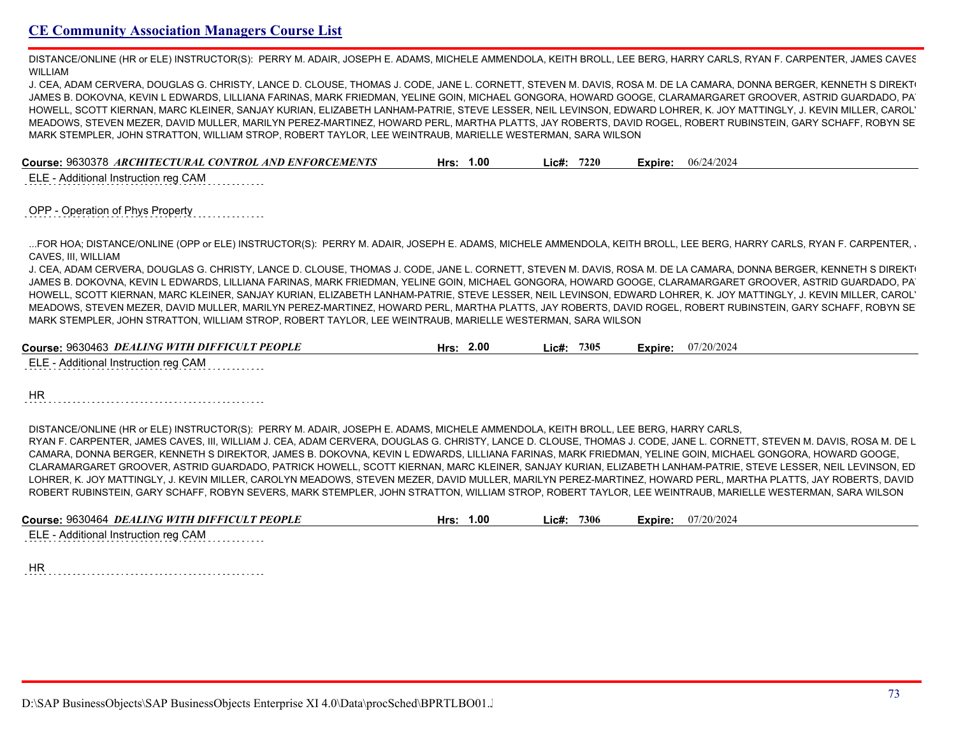DISTANCE/ONLINE (HR or ELE) INSTRUCTOR(S): PERRY M. ADAIR, JOSEPH E. ADAMS, MICHELE AMMENDOLA, KEITH BROLL, LEE BERG, HARRY CARLS, RYAN F. CARPENTER, JAMES CAVES WILLIAM

J. CEA, ADAM CERVERA, DOUGLAS G. CHRISTY, LANCE D. CLOUSE, THOMAS J. CODE, JANE L. CORNETT, STEVEN M. DAVIS, ROSA M. DE LA CAMARA, DONNA BERGER, KENNETH S DIREKT JAMES B. DOKOVNA, KEVIN L EDWARDS, LILLIANA FARINAS, MARK FRIEDMAN, YELINE GOIN, MICHAEL GONGORA, HOWARD GOOGE, CLARAMARGARET GROOVER, ASTRID GUARDADO, PA HOWELL, SCOTT KIERNAN, MARC KLEINER, SANJAY KURIAN, ELIZABETH LANHAM-PATRIE, STEVE LESSER, NEIL LEVINSON, EDWARD LOHRER, K. JOY MATTINGLY, J. KEVIN MILLER, CAROL' MEADOWS, STEVEN MEZER, DAVID MULLER, MARILYN PEREZ-MARTINEZ, HOWARD PERL, MARTHA PLATTS, JAY ROBERTS, DAVID ROGEL, ROBERT RUBINSTEIN, GARY SCHAFF, ROBYN SEVERS, MARK STEMPLER, JOHN STRATTON, WILLIAM STROP, ROBERT TAYLOR, LEE WEINTRAUB, MARIELLE WESTERMAN, SARA WILSON

| Course: 9630378 ARCHITECTURAL CONTROL AND ENFORCEMENTS | 1.00 | 7220   | 06/24/2024 |
|--------------------------------------------------------|------|--------|------------|
|                                                        | Hrs: | ' ic#: | Expire:    |

ELE - Additional Instruction reg CAM

### OPP - Operation of Phys Property

...FOR HOA; DISTANCE/ONLINE (OPP or ELE) INSTRUCTOR(S): PERRY M. ADAIR, JOSEPH E. ADAMS, MICHELE AMMENDOLA, KEITH BROLL, LEE BERG, HARRY CARLS, RYAN F. CARPENTER, JAMES CAVES, III, WILLIAM

J. CEA, ADAM CERVERA, DOUGLAS G. CHRISTY, LANCE D. CLOUSE, THOMAS J. CODE, JANE L. CORNETT, STEVEN M. DAVIS, ROSA M. DE LA CAMARA, DONNA BERGER, KENNETH S DIREKT JAMES B. DOKOVNA, KEVIN L EDWARDS, LILLIANA FARINAS, MARK FRIEDMAN, YELINE GOIN, MICHAEL GONGORA, HOWARD GOOGE, CLARAMARGARET GROOVER, ASTRID GUARDADO, PATRICK HOWELL, SCOTT KIERNAN, MARC KLEINER, SANJAY KURIAN, ELIZABETH LANHAM-PATRIE, STEVE LESSER, NEIL LEVINSON, EDWARD LOHRER, K. JOY MATTINGLY, J. KEVIN MILLER, CAROL' MEADOWS, STEVEN MEZER, DAVID MULLER, MARILYN PEREZ-MARTINEZ, HOWARD PERL, MARTHA PLATTS, JAY ROBERTS, DAVID ROGEL, ROBERT RUBINSTEIN, GARY SCHAFF, ROBYN SEVERS, MARK STEMPLER, JOHN STRATTON, WILLIAM STROP, ROBERT TAYLOR, LEE WEINTRAUB, MARIELLE WESTERMAN, SARA WILSON

| Course: 9630463 <i>DEALING WITH DIFFICULT PEOPLE</i> | 2.00<br>Hrs: | 7305<br>.ic#: | 07/20/2024<br>Expire: |  |
|------------------------------------------------------|--------------|---------------|-----------------------|--|
|                                                      |              |               |                       |  |

ELE - Additional Instruction reg CAM

HR

DISTANCE/ONLINE (HR or ELE) INSTRUCTOR(S): PERRY M. ADAIR, JOSEPH E. ADAMS, MICHELE AMMENDOLA, KEITH BROLL, LEE BERG, HARRY CARLS,

RYAN F. CARPENTER, JAMES CAVES, III, WILLIAM J. CEA, ADAM CERVERA, DOUGLAS G. CHRISTY, LANCE D. CLOUSE, THOMAS J. CODE, JANE L. CORNETT, STEVEN M. DAVIS, ROSA M. DE L CAMARA, DONNA BERGER, KENNETH S DIREKTOR, JAMES B. DOKOVNA, KEVIN L EDWARDS, LILLIANA FARINAS, MARK FRIEDMAN, YELINE GOIN, MICHAEL GONGORA, HOWARD GOOGE, CLARAMARGARET GROOVER, ASTRID GUARDADO, PATRICK HOWELL, SCOTT KIERNAN, MARC KLEINER, SANJAY KURIAN, ELIZABETH LANHAM-PATRIE, STEVE LESSER, NEIL LEVINSON, ED LOHRER, K. JOY MATTINGLY, J. KEVIN MILLER, CAROLYN MEADOWS, STEVEN MEZER, DAVID MULLER, MARILYN PEREZ-MARTINEZ, HOWARD PERL, MARTHA PLATTS, JAY ROBERTS, DAVID ROBERT RUBINSTEIN, GARY SCHAFF, ROBYN SEVERS, MARK STEMPLER, JOHN STRATTON, WILLIAM STROP, ROBERT TAYLOR, LEE WEINTRAUB, MARIELLE WESTERMAN, SARA WILSON

| Course: 9630464 DEALING WITH DIFFICULT PEOPLE | 00.1 | 7306 | 07/20/2024 |
|-----------------------------------------------|------|------|------------|
|                                               | Hrs. | ic#: | Expire:    |
|                                               |      |      |            |

ELE - Additional Instruction reg CAM

HR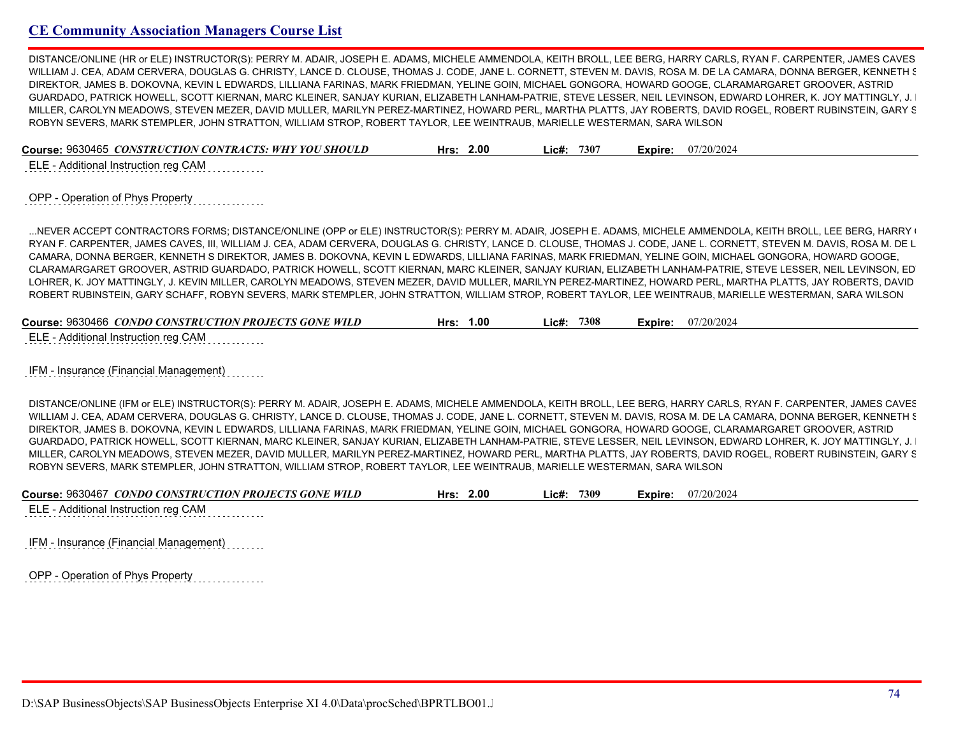DISTANCE/ONLINE (HR or ELE) INSTRUCTOR(S): PERRY M. ADAIR, JOSEPH E. ADAMS, MICHELE AMMENDOLA, KEITH BROLL, LEE BERG, HARRY CARLS, RYAN F. CARPENTER, JAMES CAVES WILLIAM J. CEA, ADAM CERVERA, DOUGLAS G. CHRISTY, LANCE D. CLOUSE, THOMAS J. CODE, JANE L. CORNETT, STEVEN M. DAVIS, ROSA M. DE LA CAMARA, DONNA BERGER, KENNETH S DIREKTOR, JAMES B. DOKOVNA, KEVIN L EDWARDS, LILLIANA FARINAS, MARK FRIEDMAN, YELINE GOIN, MICHAEL GONGORA, HOWARD GOOGE, CLARAMARGARET GROOVER, ASTRID GUARDADO, PATRICK HOWELL, SCOTT KIERNAN, MARC KLEINER, SANJAY KURIAN, ELIZABETH LANHAM-PATRIE, STEVE LESSER, NEIL LEVINSON, EDWARD LOHRER, K. JOY MATTINGLY, J. MILLER, CAROLYN MEADOWS, STEVEN MEZER, DAVID MULLER, MARILYN PEREZ-MARTINEZ, HOWARD PERL, MARTHA PLATTS, JAY ROBERTS, DAVID ROGEL, ROBERT RUBINSTEIN, GARY S ROBYN SEVERS, MARK STEMPLER, JOHN STRATTON, WILLIAM STROP, ROBERT TAYLOR, LEE WEINTRAUB, MARIELLE WESTERMAN, SARA WILSON

| Course: 9630465 <i>CONSTRUCTION CONTRACTS: WHY YOU SHOULD</i> | 2.00 | 7307   | 07/20/2024 |
|---------------------------------------------------------------|------|--------|------------|
|                                                               | Hrs: | ' ic#: | Expire:    |
|                                                               |      |        |            |

ELE - Additional Instruction reg CAM

OPP - Operation of Phys Property

...NEVER ACCEPT CONTRACTORS FORMS; DISTANCE/ONLINE (OPP or ELE) INSTRUCTOR(S): PERRY M. ADAIR, JOSEPH E. ADAMS, MICHELE AMMENDOLA, KEITH BROLL, LEE BERG, HARRY Q RYAN F. CARPENTER, JAMES CAVES, III, WILLIAM J. CEA, ADAM CERVERA, DOUGLAS G. CHRISTY, LANCE D. CLOUSE, THOMAS J. CODE, JANE L. CORNETT, STEVEN M. DAVIS, ROSA M. DE L CAMARA, DONNA BERGER, KENNETH S DIREKTOR, JAMES B. DOKOVNA, KEVIN L EDWARDS, LILLIANA FARINAS, MARK FRIEDMAN, YELINE GOIN, MICHAEL GONGORA, HOWARD GOOGE, CLARAMARGARET GROOVER, ASTRID GUARDADO, PATRICK HOWELL, SCOTT KIERNAN, MARC KLEINER, SANJAY KURIAN, ELIZABETH LANHAM-PATRIE, STEVE LESSER, NEIL LEVINSON, ED LOHRER, K. JOY MATTINGLY, J. KEVIN MILLER, CAROLYN MEADOWS, STEVEN MEZER, DAVID MULLER, MARILYN PEREZ-MARTINEZ, HOWARD PERL, MARTHA PLATTS, JAY ROBERTS, DAVID ROBERT RUBINSTEIN, GARY SCHAFF, ROBYN SEVERS, MARK STEMPLER, JOHN STRATTON, WILLIAM STROP, ROBERT TAYLOR, LEE WEINTRAUB, MARIELLE WESTERMAN, SARA WILSON

| Course: 9630466 CONDO CONSTRUCTION PROJECTS GONE WILD | Hrs: | 1.00 | _ic#: | 7308 | Expire: | 07/20/2024 |
|-------------------------------------------------------|------|------|-------|------|---------|------------|
|                                                       |      |      |       |      |         |            |

ELE - Additional Instruction reg CAM

IFM - Insurance (Financial Management)

DISTANCE/ONLINE (IFM or ELE) INSTRUCTOR(S): PERRY M. ADAIR, JOSEPH E. ADAMS, MICHELE AMMENDOLA, KEITH BROLL, LEE BERG, HARRY CARLS, RYAN F. CARPENTER, JAMES CAVES WILLIAM J. CEA, ADAM CERVERA, DOUGLAS G. CHRISTY, LANCE D. CLOUSE, THOMAS J. CODE, JANE L. CORNETT, STEVEN M. DAVIS, ROSA M. DE LA CAMARA, DONNA BERGER, KENNETH S DIREKTOR, JAMES B. DOKOVNA, KEVIN L EDWARDS, LILLIANA FARINAS, MARK FRIEDMAN, YELINE GOIN, MICHAEL GONGORA, HOWARD GOOGE, CLARAMARGARET GROOVER, ASTRID GUARDADO, PATRICK HOWELL, SCOTT KIERNAN, MARC KLEINER, SANJAY KURIAN, ELIZABETH LANHAM-PATRIE, STEVE LESSER, NEIL LEVINSON, EDWARD LOHRER, K. JOY MATTINGLY, J. MILLER, CAROLYN MEADOWS, STEVEN MEZER, DAVID MULLER, MARILYN PEREZ-MARTINEZ, HOWARD PERL, MARTHA PLATTS, JAY ROBERTS, DAVID ROGEL, ROBERT RUBINSTEIN, GARY S ROBYN SEVERS, MARK STEMPLER, JOHN STRATTON, WILLIAM STROP, ROBERT TAYLOR, LEE WEINTRAUB, MARIELLE WESTERMAN, SARA WILSON

| Course: 9630467 <i>CONDO CONSTRUCTION PROJECTS GONE WILD</i><br>2.00<br>Hrs: | 7309<br>Lic#: | 07/20/2024<br>Expire: |
|------------------------------------------------------------------------------|---------------|-----------------------|
|------------------------------------------------------------------------------|---------------|-----------------------|

ELE - Additional Instruction reg CAM

IFM - Insurance (Financial Management)

OPP - Operation of Phys Property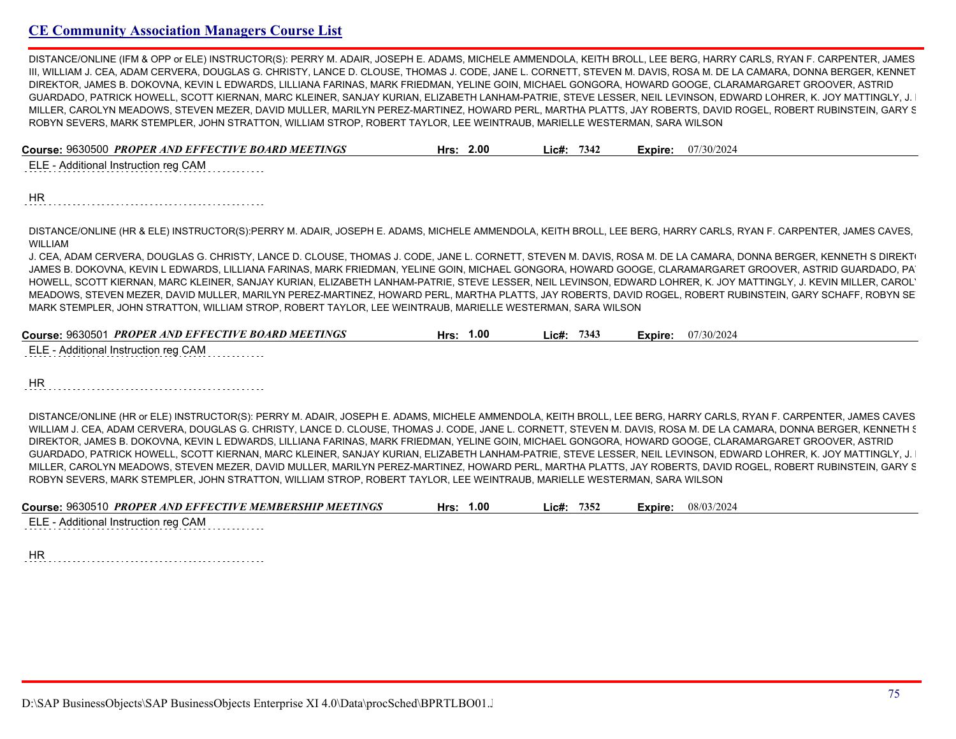DISTANCE/ONLINE (IFM & OPP or ELE) INSTRUCTOR(S): PERRY M. ADAIR, JOSEPH E. ADAMS, MICHELE AMMENDOLA, KEITH BROLL, LEE BERG, HARRY CARLS, RYAN F. CARPENTER, JAMES III, WILLIAM J. CEA, ADAM CERVERA, DOUGLAS G. CHRISTY, LANCE D. CLOUSE, THOMAS J. CODE, JANE L. CORNETT, STEVEN M. DAVIS, ROSA M. DE LA CAMARA, DONNA BERGER, KENNET DIREKTOR, JAMES B. DOKOVNA, KEVIN L EDWARDS, LILLIANA FARINAS, MARK FRIEDMAN, YELINE GOIN, MICHAEL GONGORA, HOWARD GOOGE, CLARAMARGARET GROOVER, ASTRID GUARDADO, PATRICK HOWELL, SCOTT KIERNAN, MARC KLEINER, SANJAY KURIAN, ELIZABETH LANHAM-PATRIE, STEVE LESSER, NEIL LEVINSON, EDWARD LOHRER, K. JOY MATTINGLY, J. MILLER, CAROLYN MEADOWS, STEVEN MEZER, DAVID MULLER, MARILYN PEREZ-MARTINEZ, HOWARD PERL, MARTHA PLATTS, JAY ROBERTS, DAVID ROGEL, ROBERT RUBINSTEIN, GARY S ROBYN SEVERS, MARK STEMPLER, JOHN STRATTON, WILLIAM STROP, ROBERT TAYLOR, LEE WEINTRAUB, MARIELLE WESTERMAN, SARA WILSON

| Course: 9630500 PROPER AND EFFECTIVE BOARD MEETINGS | Hrs: $2.00$ | $Lic\#: 7342$ | <b>Expire:</b> $07/30/2024$ |
|-----------------------------------------------------|-------------|---------------|-----------------------------|
| ELE - Additional Instruction reg CAM                |             |               |                             |
|                                                     |             |               |                             |
| $\overline{\phantom{a}}$                            |             |               |                             |

HR

DISTANCE/ONLINE (HR & ELE) INSTRUCTOR(S):PERRY M. ADAIR, JOSEPH E. ADAMS, MICHELE AMMENDOLA, KEITH BROLL, LEE BERG, HARRY CARLS, RYAN F. CARPENTER, JAMES CAVES, WILLIAM

J. CEA, ADAM CERVERA, DOUGLAS G. CHRISTY, LANCE D. CLOUSE, THOMAS J. CODE, JANE L. CORNETT, STEVEN M. DAVIS, ROSA M. DE LA CAMARA, DONNA BERGER, KENNETH S DIREKT JAMES B. DOKOVNA, KEVIN L EDWARDS, LILLIANA FARINAS, MARK FRIEDMAN, YELINE GOIN, MICHAEL GONGORA, HOWARD GOOGE, CLARAMARGARET GROOVER, ASTRID GUARDADO, PA HOWELL, SCOTT KIERNAN, MARC KLEINER, SANJAY KURIAN, ELIZABETH LANHAM-PATRIE, STEVE LESSER, NEIL LEVINSON, EDWARD LOHRER, K. JOY MATTINGLY, J. KEVIN MILLER, CAROLYN MEADOWS, STEVEN MEZER, DAVID MULLER, MARILYN PEREZ-MARTINEZ, HOWARD PERL, MARTHA PLATTS, JAY ROBERTS, DAVID ROGEL, ROBERT RUBINSTEIN, GARY SCHAFF, ROBYN SEVERS, MARK STEMPLER, JOHN STRATTON, WILLIAM STROP, ROBERT TAYLOR, LEE WEINTRAUB, MARIELLE WESTERMAN, SARA WILSON

| Course: 9630501 PROPER AND EFFECTIVE BOARD MEETINGS | 1.00 | 7343   | 07/30/2024 |
|-----------------------------------------------------|------|--------|------------|
|                                                     | Hrs: | '.ic#: | Expire:    |
| ELE - Additional Instruction reg CAM                |      |        |            |

HR 

DISTANCE/ONLINE (HR or ELE) INSTRUCTOR(S): PERRY M. ADAIR, JOSEPH E. ADAMS, MICHELE AMMENDOLA, KEITH BROLL, LEE BERG, HARRY CARLS, RYAN F. CARPENTER, JAMES CAVES WILLIAM J. CEA, ADAM CERVERA, DOUGLAS G. CHRISTY, LANCE D. CLOUSE, THOMAS J. CODE, JANE L. CORNETT, STEVEN M. DAVIS, ROSA M. DE LA CAMARA, DONNA BERGER, KENNETH S DIREKTOR, JAMES B. DOKOVNA, KEVIN L EDWARDS, LILLIANA FARINAS, MARK FRIEDMAN, YELINE GOIN, MICHAEL GONGORA, HOWARD GOOGE, CLARAMARGARET GROOVER, ASTRID GUARDADO, PATRICK HOWELL, SCOTT KIERNAN, MARC KLEINER, SANJAY KURIAN, ELIZABETH LANHAM-PATRIE, STEVE LESSER, NEIL LEVINSON, EDWARD LOHRER, K. JOY MATTINGLY, J. MILLER, CAROLYN MEADOWS, STEVEN MEZER, DAVID MULLER, MARILYN PEREZ-MARTINEZ, HOWARD PERL, MARTHA PLATTS, JAY ROBERTS, DAVID ROGEL, ROBERT RUBINSTEIN, GARY S ROBYN SEVERS, MARK STEMPLER, JOHN STRATTON, WILLIAM STROP, ROBERT TAYLOR, LEE WEINTRAUB, MARIELLE WESTERMAN, SARA WILSON

| Course: 9630510 PROPER AND EFFECTIVE MEMBERSHIP MEETINGS | Hrs: | 1.00 | Lic#: 7352 |  | <b>Expire:</b> $08/03/2024$ |
|----------------------------------------------------------|------|------|------------|--|-----------------------------|
| ELE - Additional Instruction reg CAM                     |      |      |            |  |                             |
| $\cdots$                                                 |      |      |            |  |                             |

HR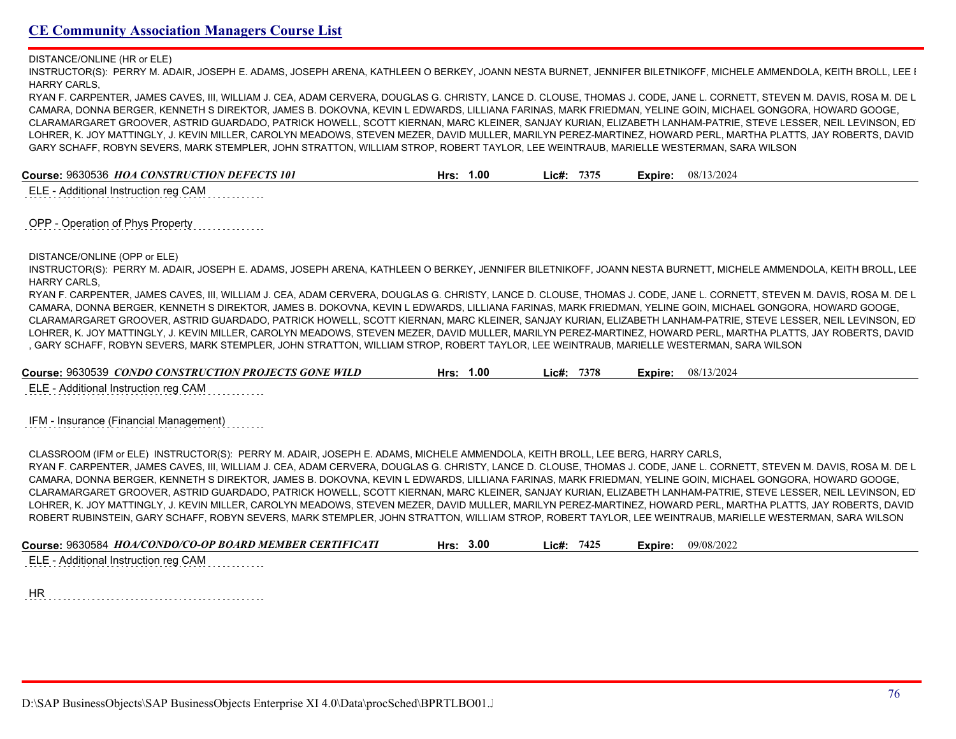DISTANCE/ONLINE (HR or ELE)

INSTRUCTOR(S): PERRY M. ADAIR, JOSEPH E. ADAMS, JOSEPH ARENA, KATHLEEN O BERKEY, JOANN NESTA BURNET, JENNIFER BILETNIKOFF, MICHELE AMMENDOLA, KEITH BROLL, LEE I HARRY CARLS,

RYAN F. CARPENTER, JAMES CAVES, III, WILLIAM J. CEA, ADAM CERVERA, DOUGLAS G. CHRISTY, LANCE D. CLOUSE, THOMAS J. CODE, JANE L. CORNETT, STEVEN M. DAVIS, ROSA M. DE L CAMARA, DONNA BERGER, KENNETH S DIREKTOR, JAMES B. DOKOVNA, KEVIN L EDWARDS, LILLIANA FARINAS, MARK FRIEDMAN, YELINE GOIN, MICHAEL GONGORA, HOWARD GOOGE, CLARAMARGARET GROOVER, ASTRID GUARDADO, PATRICK HOWELL, SCOTT KIERNAN, MARC KLEINER, SANJAY KURIAN, ELIZABETH LANHAM-PATRIE, STEVE LESSER, NEIL LEVINSON, ED LOHRER, K. JOY MATTINGLY, J. KEVIN MILLER, CAROLYN MEADOWS, STEVEN MEZER, DAVID MULLER, MARILYN PEREZ-MARTINEZ, HOWARD PERL, MARTHA PLATTS, JAY ROBERTS, DAVID GARY SCHAFF, ROBYN SEVERS, MARK STEMPLER, JOHN STRATTON, WILLIAM STROP, ROBERT TAYLOR, LEE WEINTRAUB, MARIELLE WESTERMAN, SARA WILSON

**Course:** 9630536 *HOA CONSTRUCTION DEFECTS 101* **Hrs: 1.00 Lic#: 7375 Expire:** 08/13/2024

ELE - Additional Instruction reg CAM

OPP - Operation of Phys Property

DISTANCE/ONLINE (OPP or ELE)

INSTRUCTOR(S): PERRY M. ADAIR, JOSEPH E. ADAMS, JOSEPH ARENA, KATHLEEN O BERKEY, JENNIFER BILETNIKOFF, JOANN NESTA BURNETT, MICHELE AMMENDOLA, KEITH BROLL, LEE HARRY CARLS,

RYAN F. CARPENTER, JAMES CAVES, III, WILLIAM J. CEA, ADAM CERVERA, DOUGLAS G. CHRISTY, LANCE D. CLOUSE, THOMAS J. CODE, JANE L. CORNETT, STEVEN M. DAVIS, ROSA M. DE L CAMARA, DONNA BERGER, KENNETH S DIREKTOR, JAMES B. DOKOVNA, KEVIN L EDWARDS, LILLIANA FARINAS, MARK FRIEDMAN, YELINE GOIN, MICHAEL GONGORA, HOWARD GOOGE, CLARAMARGARET GROOVER, ASTRID GUARDADO, PATRICK HOWELL, SCOTT KIERNAN, MARC KLEINER, SANJAY KURIAN, ELIZABETH LANHAM-PATRIE, STEVE LESSER, NEIL LEVINSON, ED LOHRER, K. JOY MATTINGLY, J. KEVIN MILLER, CAROLYN MEADOWS, STEVEN MEZER, DAVID MULLER, MARILYN PEREZ-MARTINEZ, HOWARD PERL, MARTHA PLATTS, JAY ROBERTS, DAVID , GARY SCHAFF, ROBYN SEVERS, MARK STEMPLER, JOHN STRATTON, WILLIAM STROP, ROBERT TAYLOR, LEE WEINTRAUB, MARIELLE WESTERMAN, SARA WILSON

| Course: 9630539 <i>CONDO CONSTRUCTION PROJECTS GONE WILD</i> | 00.، | 7378  | 08/13/2024 |
|--------------------------------------------------------------|------|-------|------------|
|                                                              | Hrs: | .ic#: | Expire:    |

ELE - Additional Instruction reg CAM

IFM - Insurance (Financial Management)

CLASSROOM (IFM or ELE) INSTRUCTOR(S): PERRY M. ADAIR, JOSEPH E. ADAMS, MICHELE AMMENDOLA, KEITH BROLL, LEE BERG, HARRY CARLS, RYAN F. CARPENTER, JAMES CAVES, III, WILLIAM J. CEA, ADAM CERVERA, DOUGLAS G. CHRISTY, LANCE D. CLOUSE, THOMAS J. CODE, JANE L. CORNETT, STEVEN M. DAVIS, ROSA M. DE L CAMARA, DONNA BERGER, KENNETH S DIREKTOR, JAMES B. DOKOVNA, KEVIN L EDWARDS, LILLIANA FARINAS, MARK FRIEDMAN, YELINE GOIN, MICHAEL GONGORA, HOWARD GOOGE, CLARAMARGARET GROOVER, ASTRID GUARDADO, PATRICK HOWELL, SCOTT KIERNAN, MARC KLEINER, SANJAY KURIAN, ELIZABETH LANHAM-PATRIE, STEVE LESSER, NEIL LEVINSON, ED LOHRER, K. JOY MATTINGLY, J. KEVIN MILLER, CAROLYN MEADOWS, STEVEN MEZER, DAVID MULLER, MARILYN PEREZ-MARTINEZ, HOWARD PERL, MARTHA PLATTS, JAY ROBERTS, DAVID ROBERT RUBINSTEIN, GARY SCHAFF, ROBYN SEVERS, MARK STEMPLER, JOHN STRATTON, WILLIAM STROP, ROBERT TAYLOR, LEE WEINTRAUB, MARIELLE WESTERMAN, SARA WILSON

| Course: 9630584 HOA/CONDO/CO-OP BOARD MEMBER CERTIFICATI | 3.00<br>Hrs: | 7425<br>∟ic#: | 09/08/2022<br>Expire: |  |
|----------------------------------------------------------|--------------|---------------|-----------------------|--|
|                                                          |              |               |                       |  |

ELE - Additional Instruction reg CAM

HR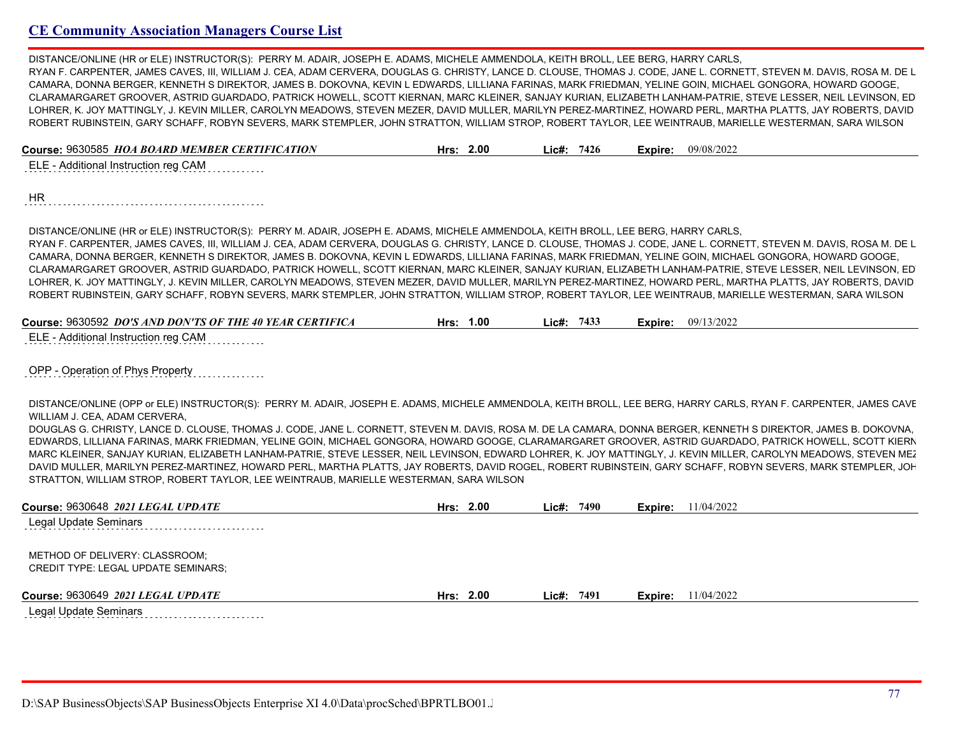DISTANCE/ONLINE (HR or ELE) INSTRUCTOR(S): PERRY M. ADAIR, JOSEPH E. ADAMS, MICHELE AMMENDOLA, KEITH BROLL, LEE BERG, HARRY CARLS, RYAN F. CARPENTER, JAMES CAVES, III, WILLIAM J. CEA, ADAM CERVERA, DOUGLAS G. CHRISTY, LANCE D. CLOUSE, THOMAS J. CODE, JANE L. CORNETT, STEVEN M. DAVIS, ROSA M. DE L CAMARA, DONNA BERGER, KENNETH S DIREKTOR, JAMES B. DOKOVNA, KEVIN L EDWARDS, LILLIANA FARINAS, MARK FRIEDMAN, YELINE GOIN, MICHAEL GONGORA, HOWARD GOOGE, CLARAMARGARET GROOVER, ASTRID GUARDADO, PATRICK HOWELL, SCOTT KIERNAN, MARC KLEINER, SANJAY KURIAN, ELIZABETH LANHAM-PATRIE, STEVE LESSER, NEIL LEVINSON, ED LOHRER, K. JOY MATTINGLY, J. KEVIN MILLER, CAROLYN MEADOWS, STEVEN MEZER, DAVID MULLER, MARILYN PEREZ-MARTINEZ, HOWARD PERL, MARTHA PLATTS, JAY ROBERTS, DAVID ROBERT RUBINSTEIN, GARY SCHAFF, ROBYN SEVERS, MARK STEMPLER, JOHN STRATTON, WILLIAM STROP, ROBERT TAYLOR, LEE WEINTRAUB, MARIELLE WESTERMAN, SARA WILSON

| Course: 9630585 HOA BOARD MEMBER CERTIFICATION | Hrs: $2.00$ | Lic#: 7426 | Expire: | 09/08/2022 |
|------------------------------------------------|-------------|------------|---------|------------|
| ELE - Additional Instruction reg CAM           |             |            |         |            |
|                                                |             |            |         |            |

HR 

DISTANCE/ONLINE (HR or ELE) INSTRUCTOR(S): PERRY M. ADAIR, JOSEPH E. ADAMS, MICHELE AMMENDOLA, KEITH BROLL, LEE BERG, HARRY CARLS, RYAN F. CARPENTER, JAMES CAVES, III, WILLIAM J. CEA, ADAM CERVERA, DOUGLAS G. CHRISTY, LANCE D. CLOUSE, THOMAS J. CODE, JANE L. CORNETT, STEVEN M. DAVIS, ROSA M. DE L CAMARA, DONNA BERGER, KENNETH S DIREKTOR, JAMES B. DOKOVNA, KEVIN L EDWARDS, LILLIANA FARINAS, MARK FRIEDMAN, YELINE GOIN, MICHAEL GONGORA, HOWARD GOOGE, CLARAMARGARET GROOVER, ASTRID GUARDADO, PATRICK HOWELL, SCOTT KIERNAN, MARC KLEINER, SANJAY KURIAN, ELIZABETH LANHAM-PATRIE, STEVE LESSER, NEIL LEVINSON, ED LOHRER, K. JOY MATTINGLY, J. KEVIN MILLER, CAROLYN MEADOWS, STEVEN MEZER, DAVID MULLER, MARILYN PEREZ-MARTINEZ, HOWARD PERL, MARTHA PLATTS, JAY ROBERTS, DAVID ROBERT RUBINSTEIN, GARY SCHAFF, ROBYN SEVERS, MARK STEMPLER, JOHN STRATTON, WILLIAM STROP, ROBERT TAYLOR, LEE WEINTRAUB, MARIELLE WESTERMAN, SARA WILSON

| Course: 9630592 <i>DO'S AND DON'TS OF THE 40 YEAR CERTIFICA</i> | 1.00<br>Hrs: | 7433<br>Lic#: | Expire: | 09/13/2022 |
|-----------------------------------------------------------------|--------------|---------------|---------|------------|
| $\Gamma$ $\Gamma$ Additional Instruction rog $\Gamma$ AM        |              |               |         |            |

ELE - Additional Instruction reg CAM

OPP - Operation of Phys Property

DISTANCE/ONLINE (OPP OF ELE) INSTRUCTOR(S): PERRY M. ADAIR, JOSEPH E. ADAMS, MICHELE AMMENDOLA, KEITH BROLL, LEE BERG, HARRY CARLS, RYAN F. CARPENTER, JAMES CAVE WILLIAM J. CEA, ADAM CERVERA,

DOUGLAS G. CHRISTY, LANCE D. CLOUSE, THOMAS J. CODE, JANE L. CORNETT, STEVEN M. DAVIS, ROSA M. DE LA CAMARA, DONNA BERGER, KENNETH S DIREKTOR, JAMES B. DOKOVNA, EDWARDS, LILLIANA FARINAS, MARK FRIEDMAN, YELINE GOIN, MICHAEL GONGORA, HOWARD GOOGE, CLARAMARGARET GROOVER, ASTRID GUARDADO, PATRICK HOWELL, SCOTT KIERNAN, MARC KLEINER, SANJAY KURIAN, ELIZABETH LANHAM-PATRIE, STEVE LESSER, NEIL LEVINSON, EDWARD LOHRER, K. JOY MATTINGLY, J. KEVIN MILLER, CAROLYN MEADOWS, STEVEN MEZ DAVID MULLER, MARILYN PEREZ-MARTINEZ, HOWARD PERL, MARTHA PLATTS, JAY ROBERTS, DAVID ROGEL, ROBERT RUBINSTEIN, GARY SCHAFF, ROBYN SEVERS, MARK STEMPLER, JOH STRATTON, WILLIAM STROP, ROBERT TAYLOR, LEE WEINTRAUB, MARIELLE WESTERMAN, SARA WILSON

| Course: 9630648 2021 LEGAL UPDATE                                            | Hrs: $2.00$ | 7490<br>Lic#: | <b>Expire:</b> 11/04/2022   |  |
|------------------------------------------------------------------------------|-------------|---------------|-----------------------------|--|
| Legal Update Seminars                                                        |             |               |                             |  |
| METHOD OF DELIVERY: CLASSROOM;<br><b>CREDIT TYPE: LEGAL UPDATE SEMINARS:</b> |             |               |                             |  |
| Course: 9630649 2021 LEGAL UPDATE                                            | Hrs: $2.00$ | Lic#: $7491$  | <b>Expire:</b> $11/04/2022$ |  |
| l anal Lindata Saminare.                                                     |             |               |                             |  |

 $L$ egal Update Seminars $\ldots \ldots \ldots \ldots \ldots$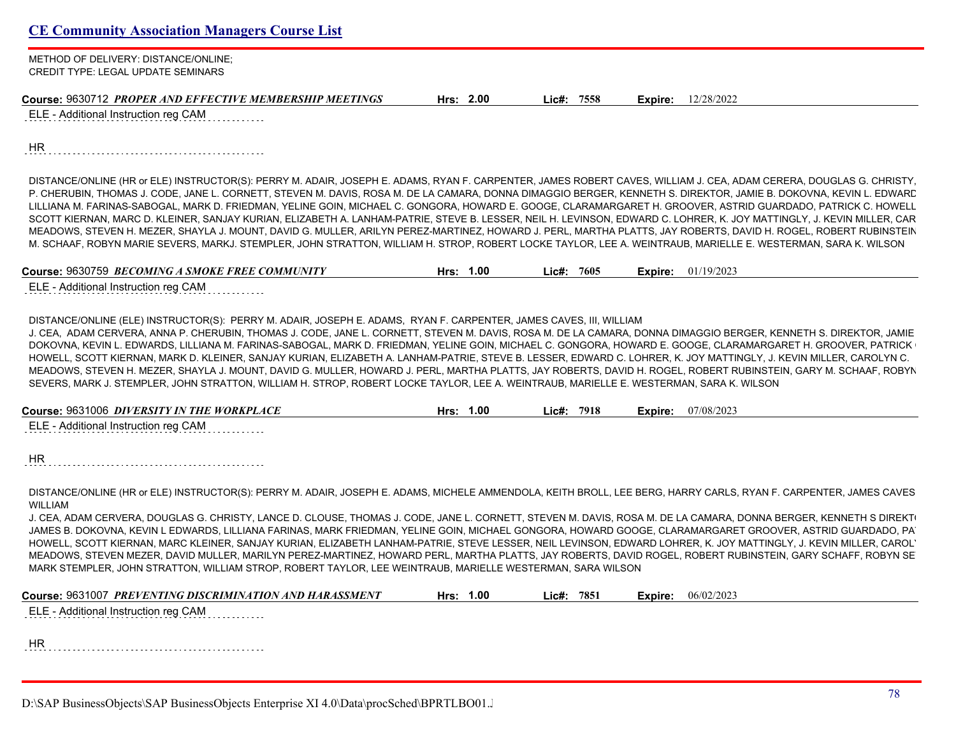| <b>CE Community Association Managers Course List</b> |  |
|------------------------------------------------------|--|
|------------------------------------------------------|--|

METHOD OF DELIVERY: DISTANCE/ONLINE; CREDIT TYPE: LEGAL UPDATE SEMINARS

| Course: 9630712 PROPER AND EFFECTIVE MEMBERSHIP MEETINGS | 2.00<br>Hrs: | 7558<br>∟ic#: | <b>Expire:</b> $12/28/2022$ |
|----------------------------------------------------------|--------------|---------------|-----------------------------|
|----------------------------------------------------------|--------------|---------------|-----------------------------|

ELE - Additional Instruction reg CAM

HR

DISTANCE/ONLINE (HR or ELE) INSTRUCTOR(S): PERRY M. ADAIR, JOSEPH E. ADAMS, RYAN F. CARPENTER, JAMES ROBERT CAVES, WILLIAM J. CEA, ADAM CERERA, DOUGLAS G. CHRISTY, P. CHERUBIN, THOMAS J. CODE, JANE L. CORNETT, STEVEN M. DAVIS, ROSA M. DE LA CAMARA, DONNA DIMAGGIO BERGER, KENNETH S. DIREKTOR, JAMIE B. DOKOVNA, KEVIN L. EDWARD LILLIANA M. FARINAS-SABOGAL, MARK D. FRIEDMAN, YELINE GOIN, MICHAEL C. GONGORA, HOWARD E. GOOGE, CLARAMARGARET H. GROOVER, ASTRID GUARDADO, PATRICK C. HOWELL, SCOTT KIERNAN, MARC D. KLEINER, SANJAY KURIAN, ELIZABETH A. LANHAM-PATRIE, STEVE B. LESSER, NEIL H. LEVINSON, EDWARD C. LOHRER, K. JOY MATTINGLY, J. KEVIN MILLER, CAR MEADOWS, STEVEN H. MEZER, SHAYLA J. MOUNT, DAVID G. MULLER, ARILYN PEREZ-MARTINEZ, HOWARD J. PERL, MARTHA PLATTS, JAY ROBERTS, DAVID H. ROGEL, ROBERT RUBINSTEIN, GARY M. SCHAAF, ROBYN MARIE SEVERS, MARKJ. STEMPLER, JOHN STRATTON, WILLIAM H. STROP, ROBERT LOCKE TAYLOR, LEE A. WEINTRAUB, MARIELLE E. WESTERMAN, SARA K. WILSON

**Course:** 9630759 *BECOMING A SMOKE FREE COMMUNITY* **Hrs: 1.00 Lic#: 7605 Expire:** 01/19/2023

ELE - Additional Instruction reg CAM

DISTANCE/ONLINE (ELE) INSTRUCTOR(S): PERRY M. ADAIR, JOSEPH E. ADAMS, RYAN F. CARPENTER, JAMES CAVES, III, WILLIAM

J. CEA, ADAM CERVERA, ANNA P. CHERUBIN, THOMAS J. CODE, JANE L. CORNETT, STEVEN M. DAVIS, ROSA M. DE LA CAMARA, DONNA DIMAGGIO BERGER, KENNETH S. DIREKTOR, JAMIE B. DOKOVNA, KEVIN L. EDWARDS, LILLIANA M. FARINAS-SABOGAL, MARK D. FRIEDMAN, YELINE GOIN, MICHAEL C. GONGORA, HOWARD E. GOOGE, CLARAMARGARET H. GROOVER, PATRICK HOWELL, SCOTT KIERNAN, MARK D. KLEINER, SANJAY KURIAN, ELIZABETH A. LANHAM-PATRIE, STEVE B. LESSER, EDWARD C. LOHRER, K. JOY MATTINGLY, J. KEVIN MILLER, CAROLYN C. MEADOWS, STEVEN H. MEZER, SHAYLA J. MOUNT, DAVID G. MULLER, HOWARD J. PERL, MARTHA PLATTS, JAY ROBERTS, DAVID H. ROGEL, ROBERT RUBINSTEIN, GARY M. SCHAAF, ROBYN SEVERS, MARK J. STEMPLER, JOHN STRATTON, WILLIAM H. STROP, ROBERT LOCKE TAYLOR, LEE A. WEINTRAUB, MARIELLE E. WESTERMAN, SARA K. WILSON

| <b>Course: 9631006</b>                   | 00.، | 7918  | 07/08/2023 |  |
|------------------------------------------|------|-------|------------|--|
| DIVERSITY IN THE WORKPLACE               | Hrs  | Lic#: | Expire:    |  |
| $=$ . Additional Inetruction req CAM $=$ |      |       |            |  |

ELE - Additional Instruction reg CAM

DISTANCE/ONLINE (HR or ELE) INSTRUCTOR(S): PERRY M. ADAIR, JOSEPH E. ADAMS, MICHELE AMMENDOLA, KEITH BROLL, LEE BERG, HARRY CARLS, RYAN F. CARPENTER, JAMES CAVES WILLIAM

J. CEA, ADAM CERVERA, DOUGLAS G. CHRISTY, LANCE D. CLOUSE, THOMAS J. CODE, JANE L. CORNETT, STEVEN M. DAVIS, ROSA M. DE LA CAMARA, DONNA BERGER, KENNETH S DIREKT JAMES B. DOKOVNA, KEVIN L EDWARDS, LILLIANA FARINAS, MARK FRIEDMAN, YELINE GOIN, MICHAEL GONGORA, HOWARD GOOGE, CLARAMARGARET GROOVER, ASTRID GUARDADO, PAT HOWELL, SCOTT KIERNAN, MARC KLEINER, SANJAY KURIAN, ELIZABETH LANHAM-PATRIE, STEVE LESSER, NEIL LEVINSON, EDWARD LOHRER, K. JOY MATTINGLY, J. KEVIN MILLER, CAROL' MEADOWS, STEVEN MEZER, DAVID MULLER, MARILYN PEREZ-MARTINEZ, HOWARD PERL, MARTHA PLATTS, JAY ROBERTS, DAVID ROGEL, ROBERT RUBINSTEIN, GARY SCHAFF. ROBYN SE MARK STEMPLER, JOHN STRATTON, WILLIAM STROP, ROBERT TAYLOR, LEE WEINTRAUB, MARIELLE WESTERMAN, SARA WILSON

| Course: 9631007 PREVENTING DISCRIMINATION AND HARASSMENT | 1.00<br>Hrs: | 7851<br>∟ic#: | 06/02/2023<br>Expire: |
|----------------------------------------------------------|--------------|---------------|-----------------------|
| ELE - Additional Instruction reg CAM                     |              |               |                       |
|                                                          |              |               |                       |
|                                                          |              |               |                       |
| <b>HR</b>                                                |              |               |                       |
|                                                          |              |               |                       |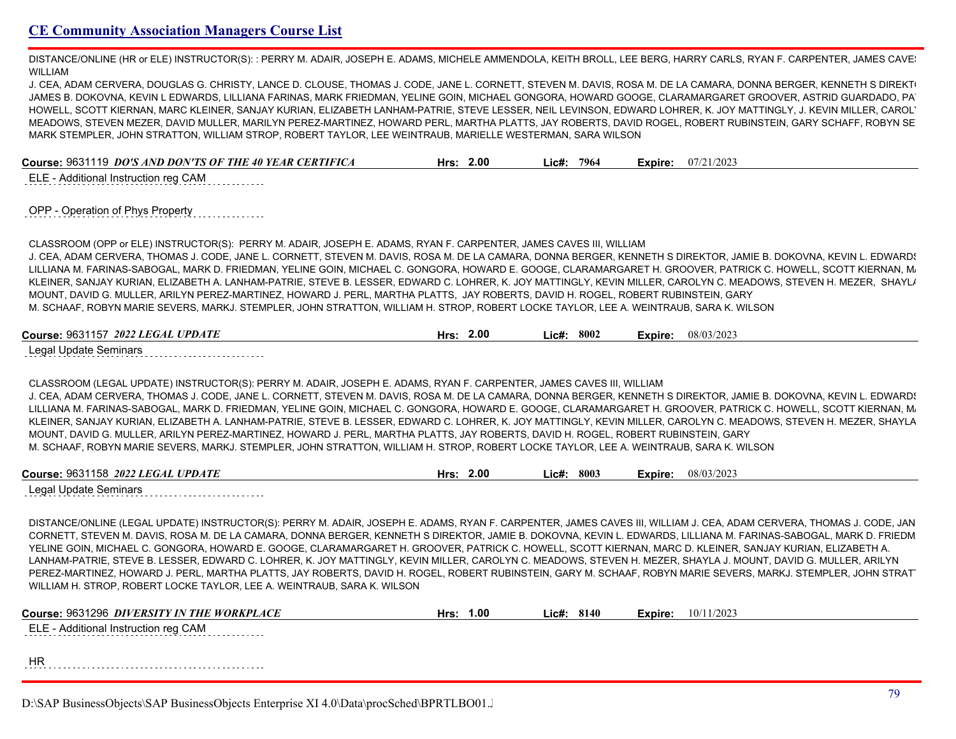DISTANCE/ONLINE (HR or ELE) INSTRUCTOR(S): : PERRY M. ADAIR, JOSEPH E. ADAMS, MICHELE AMMENDOLA, KEITH BROLL, LEE BERG, HARRY CARLS, RYAN F. CARPENTER, JAMES CAVE WILLIAM

J. CEA, ADAM CERVERA, DOUGLAS G. CHRISTY, LANCE D. CLOUSE, THOMAS J. CODE, JANE L. CORNETT, STEVEN M. DAVIS, ROSA M. DE LA CAMARA, DONNA BERGER, KENNETH S DIREKT JAMES B. DOKOVNA, KEVIN L EDWARDS, LILLIANA FARINAS, MARK FRIEDMAN, YELINE GOIN, MICHAEL GONGORA, HOWARD GOOGE, CLARAMARGARET GROOVER, ASTRID GUARDADO, PA HOWELL, SCOTT KIERNAN, MARC KLEINER, SANJAY KURIAN, ELIZABETH LANHAM-PATRIE, STEVE LESSER, NEIL LEVINSON, EDWARD LOHRER, K. JOY MATTINGLY, J. KEVIN MILLER, CAROL' MEADOWS, STEVEN MEZER, DAVID MULLER, MARILYN PEREZ-MARTINEZ, HOWARD PERL, MARTHA PLATTS, JAY ROBERTS, DAVID ROGEL, ROBERT RUBINSTEIN, GARY SCHAFF, ROBYN SEVERS, MARK STEMPLER, JOHN STRATTON, WILLIAM STROP, ROBERT TAYLOR, LEE WEINTRAUB, MARIELLE WESTERMAN, SARA WILSON

**Course:** 9631119 *DO'S AND DON'TS OF THE 40 YEAR CERTIFICA* **Hrs: 2.00 Lic#: 7964 Expire:** 07/21/2023

ELE - Additional Instruction reg CAM

| OPP - Operation of Phys Property |  |
|----------------------------------|--|
|                                  |  |

CLASSROOM (OPP or ELE) INSTRUCTOR(S): PERRY M. ADAIR, JOSEPH E. ADAMS, RYAN F. CARPENTER, JAMES CAVES III, WILLIAM J. CEA, ADAM CERVERA, THOMAS J. CODE, JANE L. CORNETT, STEVEN M. DAVIS, ROSA M. DE LA CAMARA, DONNA BERGER, KENNETH S DIREKTOR, JAMIE B. DOKOVNA, KEVIN L. EDWARDS, LILLIANA M. FARINAS-SABOGAL, MARK D. FRIEDMAN, YELINE GOIN, MICHAEL C. GONGORA, HOWARD E. GOOGE, CLARAMARGARET H. GROOVER, PATRICK C. HOWELL, SCOTT KIERNAN, M. KLEINER, SANJAY KURIAN, ELIZABETH A. LANHAM-PATRIE, STEVE B. LESSER, EDWARD C. LOHRER, K. JOY MATTINGLY, KEVIN MILLER, CAROLYN C. MEADOWS, STEVEN H. MEZER, SHAYLA MOUNT, DAVID G. MULLER, ARILYN PEREZ-MARTINEZ, HOWARD J. PERL, MARTHA PLATTS, JAY ROBERTS, DAVID H. ROGEL, ROBERT RUBINSTEIN, GARY M. SCHAAF, ROBYN MARIE SEVERS, MARKJ. STEMPLER, JOHN STRATTON, WILLIAM H. STROP, ROBERT LOCKE TAYLOR, LEE A. WEINTRAUB, SARA K. WILSON

| Course: 9631157 2022 LEGAL UPDATE | 2.00<br>Hrs. | 8002<br>_ic#: | Expire: | 08/03/2023 |
|-----------------------------------|--------------|---------------|---------|------------|
|                                   |              |               |         |            |

Legal Update Seminars

CLASSROOM (LEGAL UPDATE) INSTRUCTOR(S): PERRY M. ADAIR, JOSEPH E. ADAMS, RYAN F. CARPENTER, JAMES CAVES III, WILLIAM J. CEA, ADAM CERVERA, THOMAS J. CODE, JANE L. CORNETT, STEVEN M. DAVIS, ROSA M. DE LA CAMARA, DONNA BERGER, KENNETH S DIREKTOR, JAMIE B. DOKOVNA, KEVIN L. EDWARDS, LILLIANA M. FARINAS-SABOGAL, MARK D. FRIEDMAN, YELINE GOIN, MICHAEL C. GONGORA, HOWARD E. GOOGE, CLARAMARGARET H. GROOVER, PATRICK C. HOWELL, SCOTT KIERNAN, M. KLEINER, SANJAY KURIAN, ELIZABETH A. LANHAM-PATRIE, STEVE B. LESSER, EDWARD C. LOHRER, K. JOY MATTINGLY, KEVIN MILLER, CAROLYN C. MEADOWS, STEVEN H. MEZER, SHAYLA J. MOUNT, DAVID G. MULLER, ARILYN PEREZ-MARTINEZ, HOWARD J. PERL, MARTHA PLATTS, JAY ROBERTS, DAVID H. ROGEL, ROBERT RUBINSTEIN, GARY M. SCHAAF, ROBYN MARIE SEVERS, MARKJ. STEMPLER, JOHN STRATTON, WILLIAM H. STROP, ROBERT LOCKE TAYLOR, LEE A. WEINTRAUB, SARA K. WILSON

| Course: 9631158 2022 LEGAL UPDATE | 2.00 | 8003  | 08/03/2023 |
|-----------------------------------|------|-------|------------|
|                                   | Hrs: | Lic#: | Expire:    |
| Legal Undate Seminars             |      |       |            |

Legal Update Seminars

DISTANCE/ONLINE (LEGAL UPDATE) INSTRUCTOR(S): PERRY M. ADAIR, JOSEPH E. ADAMS, RYAN F. CARPENTER, JAMES CAVES III, WILLIAM J. CEA, ADAM CERVERA, THOMAS J. CODE, JAN CORNETT, STEVEN M. DAVIS, ROSA M. DE LA CAMARA, DONNA BERGER, KENNETH S DIREKTOR, JAMIE B. DOKOVNA, KEVIN L. EDWARDS, LILLIANA M. FARINAS-SABOGAL, MARK D. FRIEDM YELINE GOIN, MICHAEL C. GONGORA, HOWARD E. GOOGE, CLARAMARGARET H. GROOVER, PATRICK C. HOWELL, SCOTT KIERNAN, MARC D. KLEINER, SANJAY KURIAN, ELIZABETH A. LANHAM-PATRIE, STEVE B. LESSER, EDWARD C. LOHRER, K. JOY MATTINGLY, KEVIN MILLER, CAROLYN C. MEADOWS, STEVEN H. MEZER, SHAYLA J. MOUNT, DAVID G. MULLER, ARILYN PEREZ-MARTINEZ, HOWARD J. PERL, MARTHA PLATTS, JAY ROBERTS, DAVID H. ROGEL, ROBERT RUBINSTEIN, GARY M. SCHAAF, ROBYN MARIE SEVERS, MARKJ. STEMPLER, JOHN STRAT WILLIAM H. STROP, ROBERT LOCKE TAYLOR, LEE A. WEINTRAUB, SARA K. WILSON

| Course: 9631296 DIVERSITY IN THE WORKPLACE | Hrs: | 1.00 | Lic#: | 8140 | Expire: | 10/11/2023 |
|--------------------------------------------|------|------|-------|------|---------|------------|
| ELE - Additional Instruction reg CAM       |      |      |       |      |         |            |
|                                            |      |      |       |      |         |            |
| ΗR                                         |      |      |       |      |         |            |
|                                            |      |      |       |      |         |            |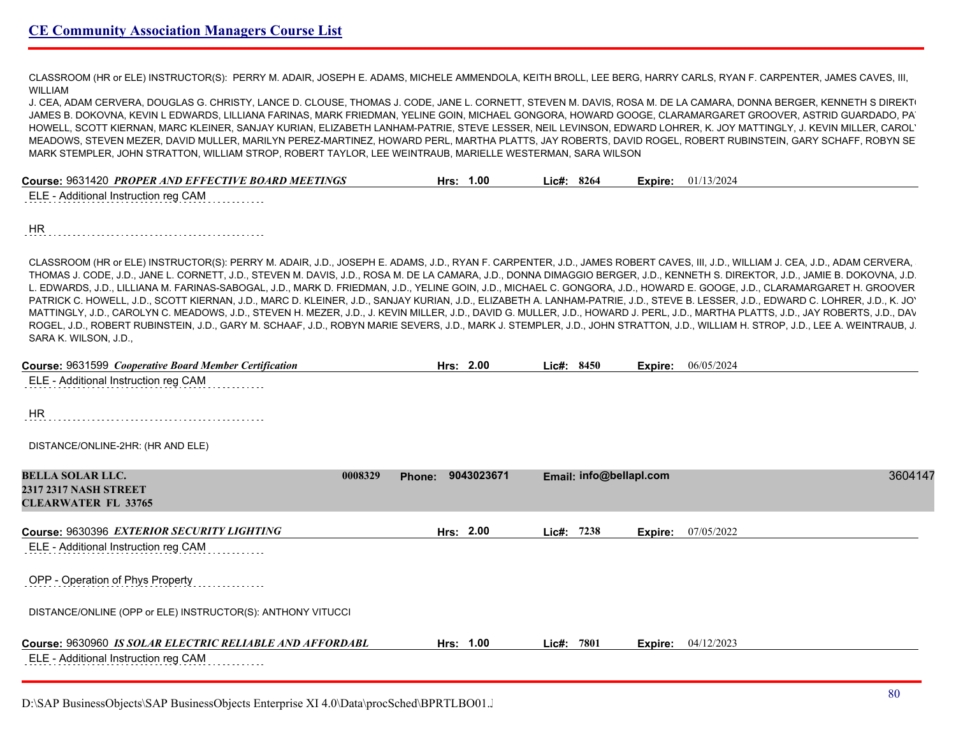CLASSROOM (HR or ELE) INSTRUCTOR(S): PERRY M. ADAIR, JOSEPH E. ADAMS, MICHELE AMMENDOLA, KEITH BROLL, LEE BERG, HARRY CARLS, RYAN F. CARPENTER, JAMES CAVES, III, WILLIAM

J. CEA, ADAM CERVERA, DOUGLAS G. CHRISTY, LANCE D. CLOUSE, THOMAS J. CODE, JANE L. CORNETT, STEVEN M. DAVIS, ROSA M. DE LA CAMARA, DONNA BERGER, KENNETH S DIREKT JAMES B. DOKOVNA, KEVIN L EDWARDS, LILLIANA FARINAS, MARK FRIEDMAN, YELINE GOIN, MICHAEL GONGORA, HOWARD GOOGE, CLARAMARGARET GROOVER, ASTRID GUARDADO, PA HOWELL, SCOTT KIERNAN, MARC KLEINER, SANJAY KURIAN, ELIZABETH LANHAM-PATRIE, STEVE LESSER, NEIL LEVINSON, EDWARD LOHRER, K. JOY MATTINGLY, J. KEVIN MILLER, CAROLYN MEADOWS, STEVEN MEZER, DAVID MULLER, MARILYN PEREZ-MARTINEZ, HOWARD PERL, MARTHA PLATTS, JAY ROBERTS, DAVID ROGEL, ROBERT RUBINSTEIN, GARY SCHAFF, ROBYN SEVERS, MARK STEMPLER, JOHN STRATTON, WILLIAM STROP, ROBERT TAYLOR, LEE WEINTRAUB, MARIELLE WESTERMAN, SARA WILSON

| Course: 9631420 PROPER AND EFFECTIVE BOARD MEETINGS | 1.00<br>Hrs: | $Lic\#: 8264$ | <b>Expire:</b> $01/13/2024$ |
|-----------------------------------------------------|--------------|---------------|-----------------------------|
|                                                     |              |               |                             |

ELE - Additional Instruction reg CAM

HR 

CLASSROOM (HR or ELE) INSTRUCTOR(S): PERRY M. ADAIR, J.D., JOSEPH E. ADAMS, J.D., RYAN F. CARPENTER, J.D., JAMES ROBERT CAVES, III, J.D., WILLIAM J. CEA, J.D., ADAM CERVERA, J.D., THOMAS J. CODE, J.D., JANE L. CORNETT, J.D., STEVEN M. DAVIS, J.D., ROSA M. DE LA CAMARA, J.D., DONNA DIMAGGIO BERGER, J.D., KENNETH S. DIREKTOR, J.D., JAMIE B. DOKOVNA, J.D., KEVIN L. EDWARDS, J.D., LILLIANA M. FARINAS-SABOGAL, J.D., MARK D. FRIEDMAN, J.D., YELINE GOIN, J.D., MICHAEL C. GONGORA, J.D., HOWARD E. GOOGE, J.D., CLARAMARGARET H. GROOVER, J.D., PATRICK C. HOWELL, J.D., SCOTT KIERNAN, J.D., MARC D. KLEINER, J.D., SANJAY KURIAN, J.D., ELIZABETH A. LANHAM-PATRIE, J.D., STEVE B. LESSER, J.D., EDWARD C. LOHRER, J.D., K. JOY MATTINGLY, J.D., CAROLYN C. MEADOWS, J.D., STEVEN H. MEZER, J.D., J. KEVIN MILLER, J.D., DAVID G. MULLER, J.D., HOWARD J. PERL, J.D., MARTHA PLATTS, J.D., JAY ROBERTS, J.D., DAVID H. ROGEL, J.D., ROBERT RUBINSTEIN, J.D., GARY M. SCHAAF, J.D., ROBYN MARIE SEVERS, J.D., MARK J. STEMPLER, J.D., JOHN STRATTON, J.D., WILLIAM H. STROP, J.D., LEE A. WEINTRAUB, J.D., SARA K. WILSON, J.D.,

| <b>Course: 9631599 Cooperative Board Member Certification</b>                                    | Hrs: 2.00            |            | Lic#: 8450              | Expire: | 06/05/2024 |
|--------------------------------------------------------------------------------------------------|----------------------|------------|-------------------------|---------|------------|
| ELE - Additional Instruction reg CAM                                                             |                      |            |                         |         |            |
| <b>HR</b>                                                                                        |                      |            |                         |         |            |
| DISTANCE/ONLINE-2HR: (HR AND ELE)                                                                |                      |            |                         |         |            |
| <b>BELLA SOLAR LLC.</b><br>0008329<br><b>2317 2317 NASH STREET</b><br><b>CLEARWATER FL 33765</b> | 9043023671<br>Phone: |            | Email: info@bellapl.com |         | 3604147    |
| Course: 9630396 EXTERIOR SECURITY LIGHTING                                                       | Hrs: 2.00            | Lic#:      | 7238                    | Expire: | 07/05/2022 |
| ELE - Additional Instruction reg CAM                                                             |                      |            |                         |         |            |
| OPP - Operation of Phys Property                                                                 |                      |            |                         |         |            |
| DISTANCE/ONLINE (OPP or ELE) INSTRUCTOR(S): ANTHONY VITUCCI                                      |                      |            |                         |         |            |
| Course: 9630960 IS SOLAR ELECTRIC RELIABLE AND AFFORDABL<br>ELE - Additional Instruction reg CAM | Hrs: 1.00            | Lic#: 7801 |                         | Expire: | 04/12/2023 |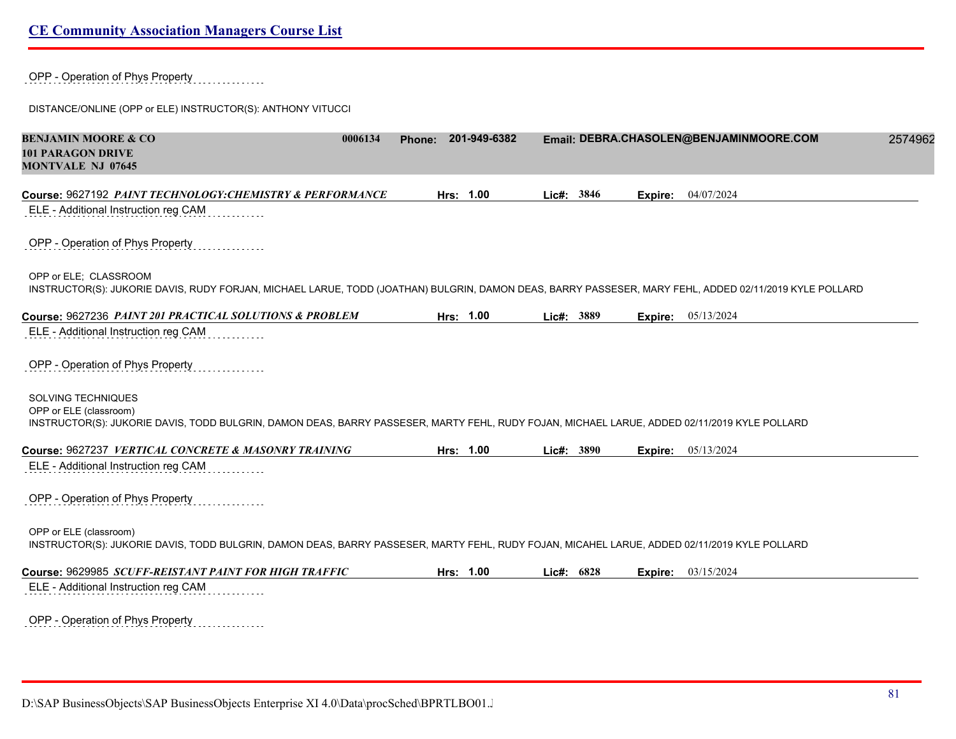OPP - Operation of Phys Property

DISTANCE/ONLINE (OPP or ELE) INSTRUCTOR(S): ANTHONY VITUCCI

| <b>BENJAMIN MOORE &amp; CO</b><br><b>101 PARAGON DRIVE</b><br><b>MONTVALE NJ 07645</b>                                                                                                       | 0006134 | Phone: 201-949-6382 |            |         | Email: DEBRA.CHASOLEN@BENJAMINMOORE.COM | 2574962 |
|----------------------------------------------------------------------------------------------------------------------------------------------------------------------------------------------|---------|---------------------|------------|---------|-----------------------------------------|---------|
| Course: 9627192 PAINT TECHNOLOGY: CHEMISTRY & PERFORMANCE<br>ELE - Additional Instruction reg CAM                                                                                            |         | Hrs: 1.00           | Lic#: 3846 | Expire: | 04/07/2024                              |         |
| OPP - Operation of Phys Property                                                                                                                                                             |         |                     |            |         |                                         |         |
| OPP or ELE: CLASSROOM<br>INSTRUCTOR(S): JUKORIE DAVIS, RUDY FORJAN, MICHAEL LARUE, TODD (JOATHAN) BULGRIN, DAMON DEAS, BARRY PASSESER, MARY FEHL, ADDED 02/11/2019 KYLE POLLARD              |         |                     |            |         |                                         |         |
| Course: 9627236 PAINT 201 PRACTICAL SOLUTIONS & PROBLEM                                                                                                                                      |         | Hrs: 1.00           | Lic#: 3889 |         | <b>Expire:</b> 05/13/2024               |         |
| ELE - Additional Instruction reg CAM                                                                                                                                                         |         |                     |            |         |                                         |         |
| OPP - Operation of Phys Property                                                                                                                                                             |         |                     |            |         |                                         |         |
| SOLVING TECHNIQUES<br>OPP or ELE (classroom)<br>INSTRUCTOR(S): JUKORIE DAVIS, TODD BULGRIN, DAMON DEAS, BARRY PASSESER, MARTY FEHL, RUDY FOJAN, MICHAEL LARUE, ADDED 02/11/2019 KYLE POLLARD |         |                     |            |         |                                         |         |
| Course: 9627237 VERTICAL CONCRETE & MASONRY TRAINING                                                                                                                                         |         | Hrs: 1.00           | Lic#: 3890 |         | <b>Expire:</b> 05/13/2024               |         |
| ELE - Additional Instruction reg CAM                                                                                                                                                         |         |                     |            |         |                                         |         |
| OPP - Operation of Phys Property                                                                                                                                                             |         |                     |            |         |                                         |         |
| OPP or ELE (classroom)<br>INSTRUCTOR(S): JUKORIE DAVIS, TODD BULGRIN, DAMON DEAS, BARRY PASSESER, MARTY FEHL, RUDY FOJAN, MICAHEL LARUE, ADDED 02/11/2019 KYLE POLLARD                       |         |                     |            |         |                                         |         |
| Course: 9629985 SCUFF-REISTANT PAINT FOR HIGH TRAFFIC                                                                                                                                        |         | Hrs: 1.00           | Lic#: 6828 |         | <b>Expire:</b> 03/15/2024               |         |
| ELE - Additional Instruction reg CAM                                                                                                                                                         |         |                     |            |         |                                         |         |
| OPP - Operation of Phys Property                                                                                                                                                             |         |                     |            |         |                                         |         |

D:\SAP BusinessObjects\SAP BusinessObjects Enterprise XI 4.0\Data\procSched\BPRTLBO01.J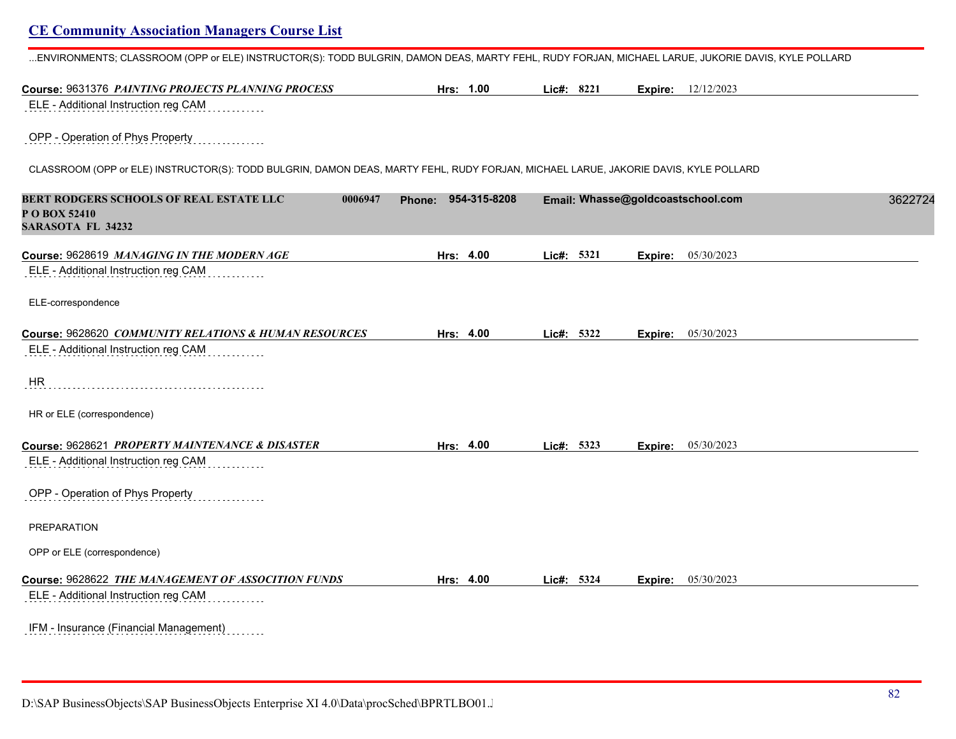...ENVIRONMENTS; CLASSROOM (OPP or ELE) INSTRUCTOR(S): TODD BULGRIN, DAMON DEAS, MARTY FEHL, RUDY FORJAN, MICHAEL LARUE, JUKORIE DAVIS, KYLE POLLARD

| Course: 9631376 PAINTING PROJECTS PLANNING PROCESS                                                                                  | Hrs: 1.00              | Lic#: 8221 | <b>Expire:</b> 12/12/2023         |         |
|-------------------------------------------------------------------------------------------------------------------------------------|------------------------|------------|-----------------------------------|---------|
| ELE - Additional Instruction reg CAM                                                                                                |                        |            |                                   |         |
| OPP - Operation of Phys Property                                                                                                    |                        |            |                                   |         |
| CLASSROOM (OPP or ELE) INSTRUCTOR(S): TODD BULGRIN, DAMON DEAS, MARTY FEHL, RUDY FORJAN, MICHAEL LARUE, JAKORIE DAVIS, KYLE POLLARD |                        |            |                                   |         |
| BERT RODGERS SCHOOLS OF REAL ESTATE LLC<br>0006947<br>P O BOX 52410<br><b>SARASOTA FL 34232</b>                                     | 954-315-8208<br>Phone: |            | Email: Whasse@goldcoastschool.com | 3622724 |
| Course: 9628619 MANAGING IN THE MODERN AGE                                                                                          | Hrs: 4.00              | Lic#: 5321 | 05/30/2023<br>Expire:             |         |
| ELE - Additional Instruction reg CAM                                                                                                |                        |            |                                   |         |
| ELE-correspondence                                                                                                                  |                        |            |                                   |         |
| Course: 9628620 COMMUNITY RELATIONS & HUMAN RESOURCES                                                                               | Hrs: 4.00              | Lic#: 5322 | 05/30/2023<br>Expire:             |         |
| ELE - Additional Instruction reg CAM                                                                                                |                        |            |                                   |         |
| <b>HR</b>                                                                                                                           |                        |            |                                   |         |
| HR or ELE (correspondence)                                                                                                          |                        |            |                                   |         |
| Course: 9628621 PROPERTY MAINTENANCE & DISASTER                                                                                     | Hrs: 4.00              | Lic#: 5323 | <b>Expire:</b> 05/30/2023         |         |
| ELE - Additional Instruction reg CAM                                                                                                |                        |            |                                   |         |
| OPP - Operation of Phys Property                                                                                                    |                        |            |                                   |         |
| PREPARATION                                                                                                                         |                        |            |                                   |         |
| OPP or ELE (correspondence)                                                                                                         |                        |            |                                   |         |
| Course: 9628622 THE MANAGEMENT OF ASSOCITION FUNDS<br>ELE - Additional Instruction reg CAM                                          | Hrs: 4.00              | Lic#: 5324 | <b>Expire:</b> 05/30/2023         |         |
|                                                                                                                                     |                        |            |                                   |         |
| IFM - Insurance (Financial Management)                                                                                              |                        |            |                                   |         |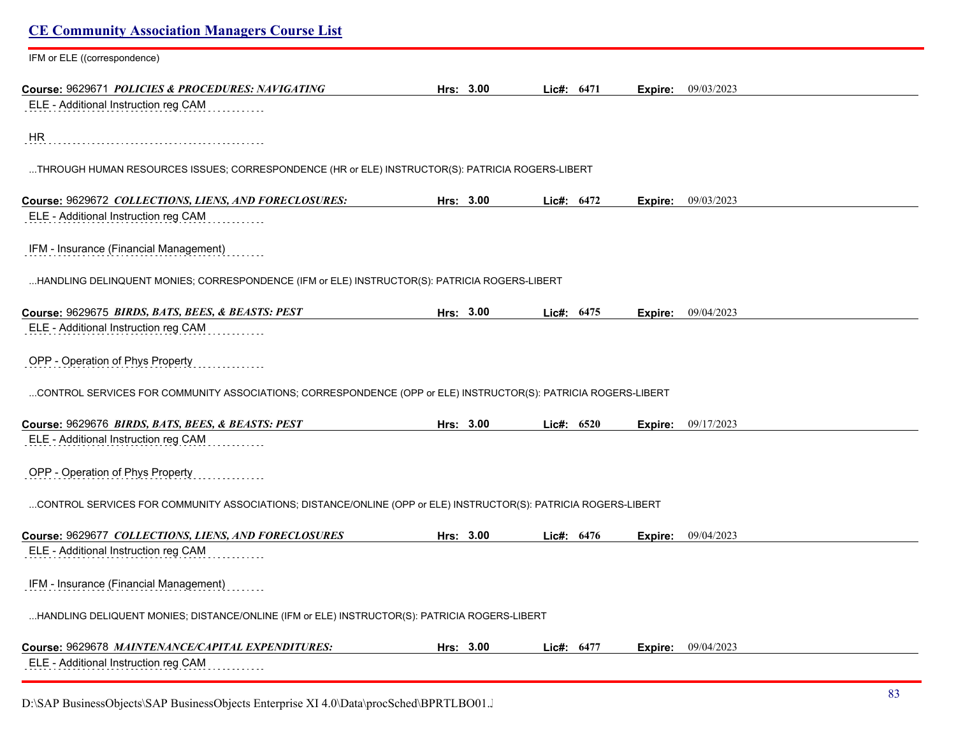| <b>CE Community Association Managers Course List</b>                                                            |           |              |      |         |            |  |
|-----------------------------------------------------------------------------------------------------------------|-----------|--------------|------|---------|------------|--|
| IFM or ELE ((correspondence)                                                                                    |           |              |      |         |            |  |
| Course: 9629671 POLICIES & PROCEDURES: NAVIGATING<br>ELE - Additional Instruction reg CAM                       | Hrs: 3.00 | Lic#: $6471$ |      | Expire: | 09/03/2023 |  |
| HR                                                                                                              |           |              |      |         |            |  |
| THROUGH HUMAN RESOURCES ISSUES; CORRESPONDENCE (HR or ELE) INSTRUCTOR(S): PATRICIA ROGERS-LIBERT                |           |              |      |         |            |  |
| Course: 9629672 COLLECTIONS, LIENS, AND FORECLOSURES:                                                           | Hrs: 3.00 | Lic#: 6472   |      | Expire: | 09/03/2023 |  |
| ELE - Additional Instruction reg CAM                                                                            |           |              |      |         |            |  |
| IFM - Insurance (Financial Management)                                                                          |           |              |      |         |            |  |
| HANDLING DELINQUENT MONIES; CORRESPONDENCE (IFM or ELE) INSTRUCTOR(S): PATRICIA ROGERS-LIBERT                   |           |              |      |         |            |  |
| Course: 9629675 BIRDS, BATS, BEES, & BEASTS: PEST                                                               | Hrs: 3.00 | Lic#: 6475   |      | Expire: | 09/04/2023 |  |
| ELE - Additional Instruction reg CAM                                                                            |           |              |      |         |            |  |
| OPP - Operation of Phys Property                                                                                |           |              |      |         |            |  |
| CONTROL SERVICES FOR COMMUNITY ASSOCIATIONS; CORRESPONDENCE (OPP or ELE) INSTRUCTOR(S): PATRICIA ROGERS-LIBERT  |           |              |      |         |            |  |
| Course: 9629676 BIRDS, BATS, BEES, & BEASTS: PEST                                                               | Hrs: 3.00 | Lic#: 6520   |      | Expire: | 09/17/2023 |  |
| ELE - Additional Instruction reg CAM                                                                            |           |              |      |         |            |  |
| OPP - Operation of Phys Property                                                                                |           |              |      |         |            |  |
| CONTROL SERVICES FOR COMMUNITY ASSOCIATIONS; DISTANCE/ONLINE (OPP or ELE) INSTRUCTOR(S): PATRICIA ROGERS-LIBERT |           |              |      |         |            |  |
| Course: 9629677 COLLECTIONS, LIENS, AND FORECLOSURES                                                            | Hrs: 3.00 | Lic#:        | 6476 | Expire: | 09/04/2023 |  |
| ELE - Additional Instruction reg CAM                                                                            |           |              |      |         |            |  |
| IFM - Insurance (Financial Management)                                                                          |           |              |      |         |            |  |
| HANDLING DELIQUENT MONIES; DISTANCE/ONLINE (IFM or ELE) INSTRUCTOR(S): PATRICIA ROGERS-LIBERT                   |           |              |      |         |            |  |
| Course: 9629678 MAINTENANCE/CAPITAL EXPENDITURES:                                                               | Hrs: 3.00 | Lic#: 6477   |      | Expire: | 09/04/2023 |  |
| ELE - Additional Instruction reg CAM                                                                            |           |              |      |         |            |  |

D:\SAP BusinessObjects\SAP BusinessObjects Enterprise XI 4.0\Data\procSched\BPRTLBO01.J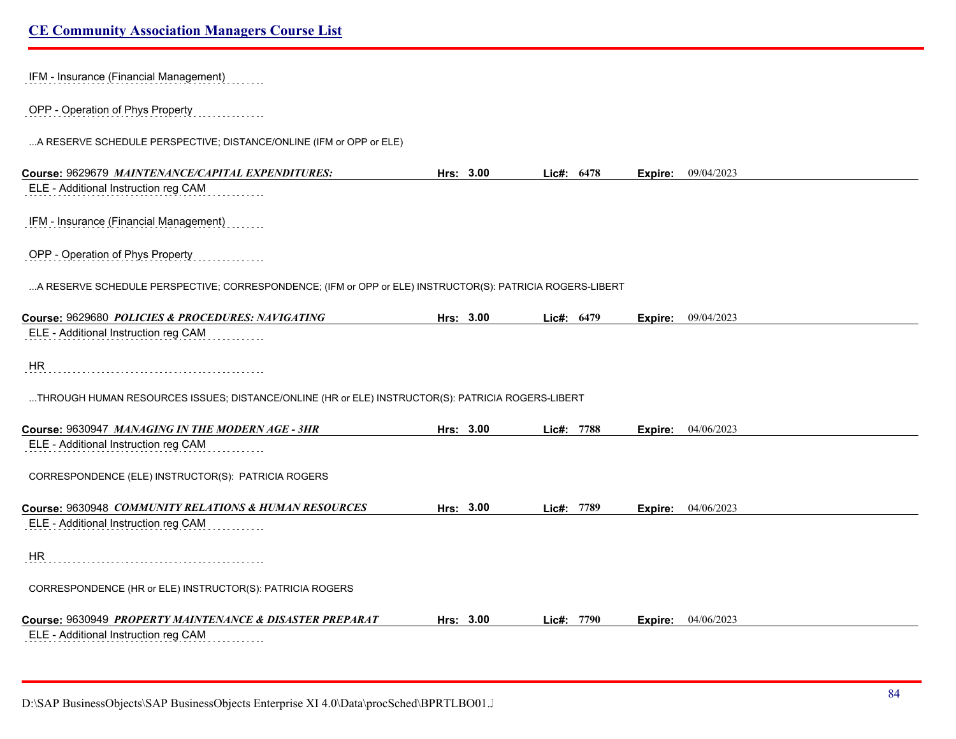| IFM - Insurance (Financial Management)                                                                    |           |              |      |         |                           |
|-----------------------------------------------------------------------------------------------------------|-----------|--------------|------|---------|---------------------------|
| OPP - Operation of Phys Property                                                                          |           |              |      |         |                           |
| A RESERVE SCHEDULE PERSPECTIVE; DISTANCE/ONLINE (IFM or OPP or ELE)                                       |           |              |      |         |                           |
| Course: 9629679 MAINTENANCE/CAPITAL EXPENDITURES:                                                         | Hrs: 3.00 | Lic#: 6478   |      | Expire: | 09/04/2023                |
| ELE - Additional Instruction reg CAM                                                                      |           |              |      |         |                           |
| IFM - Insurance (Financial Management)                                                                    |           |              |      |         |                           |
| OPP - Operation of Phys Property                                                                          |           |              |      |         |                           |
| A RESERVE SCHEDULE PERSPECTIVE; CORRESPONDENCE; (IFM or OPP or ELE) INSTRUCTOR(S): PATRICIA ROGERS-LIBERT |           |              |      |         |                           |
| Course: 9629680 POLICIES & PROCEDURES: NAVIGATING                                                         | Hrs: 3.00 | Lic#: $6479$ |      | Expire: | 09/04/2023                |
| ELE - Additional Instruction reg CAM                                                                      |           |              |      |         |                           |
| HR.                                                                                                       |           |              |      |         |                           |
| THROUGH HUMAN RESOURCES ISSUES; DISTANCE/ONLINE (HR or ELE) INSTRUCTOR(S): PATRICIA ROGERS-LIBERT         |           |              |      |         |                           |
| Course: 9630947 MANAGING IN THE MODERN AGE - 3HR                                                          | Hrs: 3.00 | Lie#: 7788   |      |         | <b>Expire:</b> 04/06/2023 |
| ELE - Additional Instruction reg CAM                                                                      |           |              |      |         |                           |
| CORRESPONDENCE (ELE) INSTRUCTOR(S): PATRICIA ROGERS                                                       |           |              |      |         |                           |
| Course: 9630948 COMMUNITY RELATIONS & HUMAN RESOURCES                                                     | Hrs: 3.00 | Lic#: 7789   |      |         | <b>Expire:</b> 04/06/2023 |
| ELE - Additional Instruction reg CAM                                                                      |           |              |      |         |                           |
| HR                                                                                                        |           |              |      |         |                           |
| CORRESPONDENCE (HR or ELE) INSTRUCTOR(S): PATRICIA ROGERS                                                 |           |              |      |         |                           |
| Course: 9630949 PROPERTY MAINTENANCE & DISASTER PREPARAT                                                  | Hrs: 3.00 | Lic#:        | 7790 | Expire: | 04/06/2023                |
| ELE - Additional Instruction reg CAM                                                                      |           |              |      |         |                           |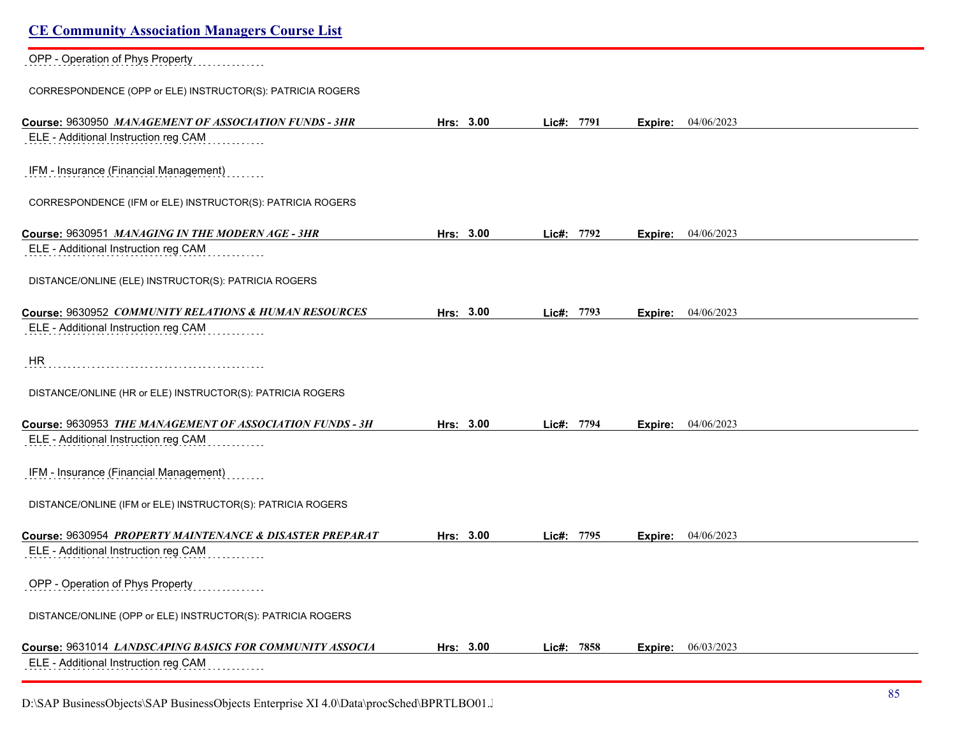| <b>CE Community Association Managers Course List</b>                                          |           |            |                       |  |
|-----------------------------------------------------------------------------------------------|-----------|------------|-----------------------|--|
| OPP - Operation of Phys Property                                                              |           |            |                       |  |
| CORRESPONDENCE (OPP or ELE) INSTRUCTOR(S): PATRICIA ROGERS                                    |           |            |                       |  |
| Course: 9630950 MANAGEMENT OF ASSOCIATION FUNDS - 3HR<br>ELE - Additional Instruction reg CAM | Hrs: 3.00 | Lic#: 7791 | 04/06/2023<br>Expire: |  |
| IFM - Insurance (Financial Management)                                                        |           |            |                       |  |
| CORRESPONDENCE (IFM or ELE) INSTRUCTOR(S): PATRICIA ROGERS                                    |           |            |                       |  |
| Course: 9630951 MANAGING IN THE MODERN AGE - 3HR                                              | Hrs: 3.00 | Lic#: 7792 | 04/06/2023<br>Expire: |  |
| ELE - Additional Instruction reg CAM                                                          |           |            |                       |  |
| DISTANCE/ONLINE (ELE) INSTRUCTOR(S): PATRICIA ROGERS                                          |           |            |                       |  |
| Course: 9630952 COMMUNITY RELATIONS & HUMAN RESOURCES                                         | Hrs: 3.00 | Lic#: 7793 | 04/06/2023<br>Expire: |  |
| ELE - Additional Instruction reg CAM                                                          |           |            |                       |  |
| <b>HR</b>                                                                                     |           |            |                       |  |
| DISTANCE/ONLINE (HR or ELE) INSTRUCTOR(S): PATRICIA ROGERS                                    |           |            |                       |  |
| Course: 9630953 THE MANAGEMENT OF ASSOCIATION FUNDS - 3H                                      | Hrs: 3.00 | Lic#: 7794 | 04/06/2023<br>Expire: |  |
| ELE - Additional Instruction reg CAM                                                          |           |            |                       |  |
| IFM - Insurance (Financial Management)                                                        |           |            |                       |  |
| DISTANCE/ONLINE (IFM or ELE) INSTRUCTOR(S): PATRICIA ROGERS                                   |           |            |                       |  |
| Course: 9630954 PROPERTY MAINTENANCE & DISASTER PREPARAT                                      | Hrs: 3.00 | Lic#: 7795 | 04/06/2023<br>Expire: |  |
| ELE - Additional Instruction reg CAM                                                          |           |            |                       |  |
| OPP - Operation of Phys Property                                                              |           |            |                       |  |
| DISTANCE/ONLINE (OPP or ELE) INSTRUCTOR(S): PATRICIA ROGERS                                   |           |            |                       |  |
| Course: 9631014 LANDSCAPING BASICS FOR COMMUNITY ASSOCIA                                      | Hrs: 3.00 | Lic#: 7858 | 06/03/2023<br>Expire: |  |
| ELE - Additional Instruction reg CAM                                                          |           |            |                       |  |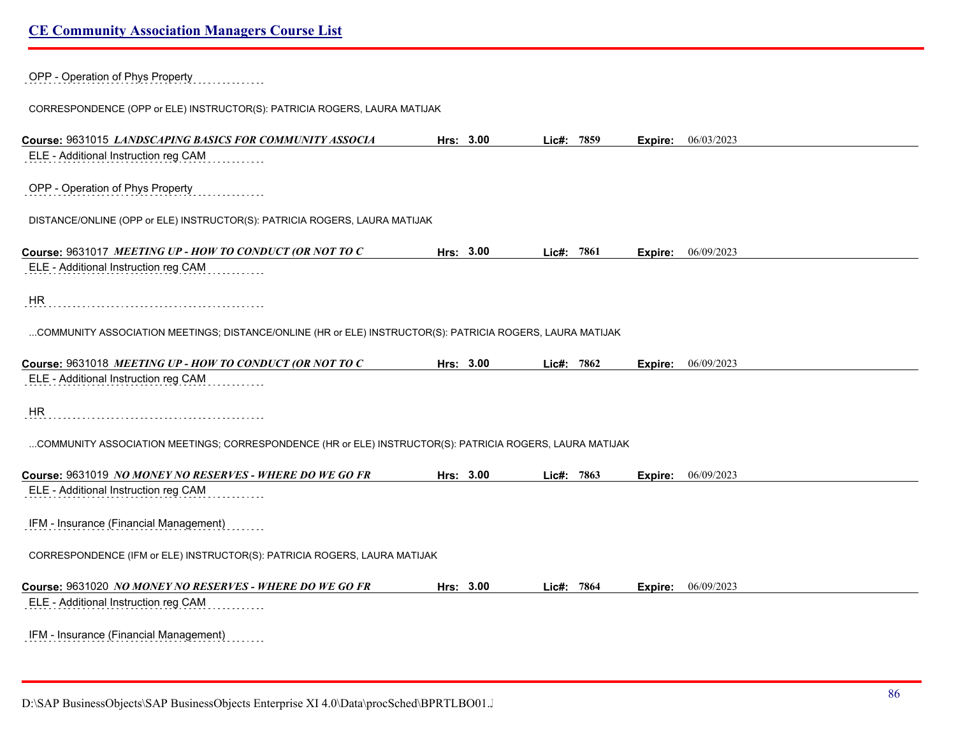| OPP - Operation of Phys Property                                                                          |           |            |      |                |                             |
|-----------------------------------------------------------------------------------------------------------|-----------|------------|------|----------------|-----------------------------|
| CORRESPONDENCE (OPP or ELE) INSTRUCTOR(S): PATRICIA ROGERS, LAURA MATIJAK                                 |           |            |      |                |                             |
| Course: 9631015 LANDSCAPING BASICS FOR COMMUNITY ASSOCIA                                                  | Hrs: 3.00 | Lie#: 7859 |      |                | <b>Expire:</b> $06/03/2023$ |
| ELE - Additional Instruction reg CAM                                                                      |           |            |      |                |                             |
| OPP - Operation of Phys Property                                                                          |           |            |      |                |                             |
| DISTANCE/ONLINE (OPP or ELE) INSTRUCTOR(S): PATRICIA ROGERS, LAURA MATIJAK                                |           |            |      |                |                             |
| Course: 9631017 MEETING UP - HOW TO CONDUCT (OR NOT TO C                                                  | Hrs: 3.00 | Lic#: 7861 |      |                | <b>Expire:</b> 06/09/2023   |
| ELE - Additional Instruction reg CAM                                                                      |           |            |      |                |                             |
| <b>HR</b>                                                                                                 |           |            |      |                |                             |
| COMMUNITY ASSOCIATION MEETINGS; DISTANCE/ONLINE (HR or ELE) INSTRUCTOR(S): PATRICIA ROGERS, LAURA MATIJAK |           |            |      |                |                             |
| Course: 9631018 MEETING UP - HOW TO CONDUCT (OR NOT TO C                                                  | Hrs: 3.00 | Lic#: 7862 |      | Expire:        | 06/09/2023                  |
| ELE - Additional Instruction reg CAM                                                                      |           |            |      |                |                             |
| HR                                                                                                        |           |            |      |                |                             |
| COMMUNITY ASSOCIATION MEETINGS; CORRESPONDENCE (HR or ELE) INSTRUCTOR(S): PATRICIA ROGERS, LAURA MATIJAK  |           |            |      |                |                             |
| Course: 9631019 NO MONEY NO RESERVES - WHERE DO WE GO FR                                                  | Hrs: 3.00 | Lic#:      | 7863 | Expire:        | 06/09/2023                  |
| ELE - Additional Instruction reg CAM                                                                      |           |            |      |                |                             |
| IFM - Insurance (Financial Management)                                                                    |           |            |      |                |                             |
| CORRESPONDENCE (IFM or ELE) INSTRUCTOR(S): PATRICIA ROGERS, LAURA MATIJAK                                 |           |            |      |                |                             |
| Course: 9631020 NO MONEY NO RESERVES - WHERE DO WE GO FR                                                  | Hrs: 3.00 | Lic#: 7864 |      | <b>Expire:</b> | 06/09/2023                  |
| ELE - Additional Instruction reg CAM                                                                      |           |            |      |                |                             |
| IFM - Insurance (Financial Management)                                                                    |           |            |      |                |                             |

D:\SAP BusinessObjects\SAP BusinessObjects Enterprise XI 4.0\Data\procSched\BPRTLBO01.J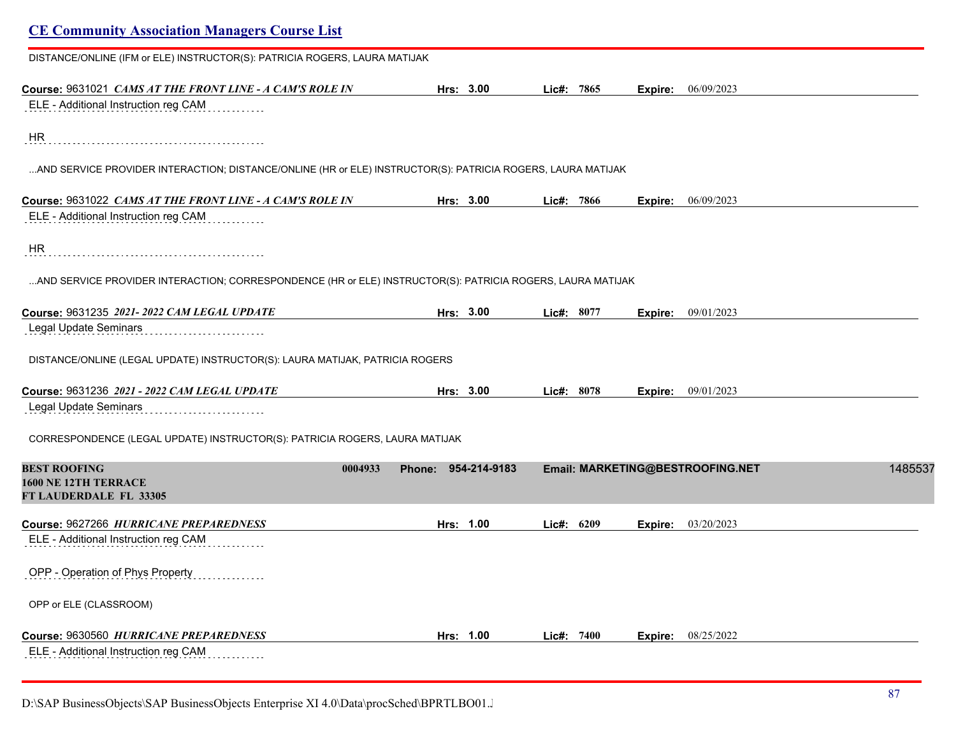| DISTANCE/ONLINE (IFM or ELE) INSTRUCTOR(S): PATRICIA ROGERS, LAURA MATIJAK                                  |                        |            |                                  |         |
|-------------------------------------------------------------------------------------------------------------|------------------------|------------|----------------------------------|---------|
| Course: 9631021 CAMS AT THE FRONT LINE - A CAM'S ROLE IN                                                    | Hrs: 3.00              | Lic#: 7865 | 06/09/2023<br>Expire:            |         |
| ELE - Additional Instruction reg CAM                                                                        |                        |            |                                  |         |
| HR.                                                                                                         |                        |            |                                  |         |
| AND SERVICE PROVIDER INTERACTION; DISTANCE/ONLINE (HR or ELE) INSTRUCTOR(S): PATRICIA ROGERS, LAURA MATIJAK |                        |            |                                  |         |
| Course: 9631022 CAMS AT THE FRONT LINE - A CAM'S ROLE IN                                                    | Hrs: 3.00              | Lie#: 7866 | Expire: 06/09/2023               |         |
| ELE - Additional Instruction reg CAM                                                                        |                        |            |                                  |         |
| <b>HR</b>                                                                                                   |                        |            |                                  |         |
| AND SERVICE PROVIDER INTERACTION; CORRESPONDENCE (HR or ELE) INSTRUCTOR(S): PATRICIA ROGERS, LAURA MATIJAK  |                        |            |                                  |         |
| Course: 9631235 2021-2022 CAM LEGAL UPDATE                                                                  | Hrs: 3.00              | Lic#: 8077 | 09/01/2023<br>Expire:            |         |
| Legal Update Seminars                                                                                       |                        |            |                                  |         |
| DISTANCE/ONLINE (LEGAL UPDATE) INSTRUCTOR(S): LAURA MATIJAK, PATRICIA ROGERS                                |                        |            |                                  |         |
| Course: 9631236 2021 - 2022 CAM LEGAL UPDATE                                                                | Hrs: 3.00              | Lic#: 8078 | 09/01/2023<br>Expire:            |         |
| Legal Update Seminars                                                                                       |                        |            |                                  |         |
| CORRESPONDENCE (LEGAL UPDATE) INSTRUCTOR(S): PATRICIA ROGERS, LAURA MATIJAK                                 |                        |            |                                  |         |
| <b>BEST ROOFING</b><br>0004933                                                                              | 954-214-9183<br>Phone: |            | Email: MARKETING@BESTROOFING.NET | 1485537 |
| <b>1600 NE 12TH TERRACE</b><br>FT LAUDERDALE FL 33305                                                       |                        |            |                                  |         |
| Course: 9627266 HURRICANE PREPAREDNESS                                                                      | Hrs: 1.00              | Lic#: 6209 | 03/20/2023<br>Expire:            |         |
| ELE - Additional Instruction reg CAM                                                                        |                        |            |                                  |         |
| OPP - Operation of Phys Property                                                                            |                        |            |                                  |         |
| OPP or ELE (CLASSROOM)                                                                                      |                        |            |                                  |         |
| Course: 9630560 HURRICANE PREPAREDNESS                                                                      | Hrs: 1.00              | Lic#: 7400 | 08/25/2022<br>Expire:            |         |
| ELE - Additional Instruction reg CAM                                                                        |                        |            |                                  |         |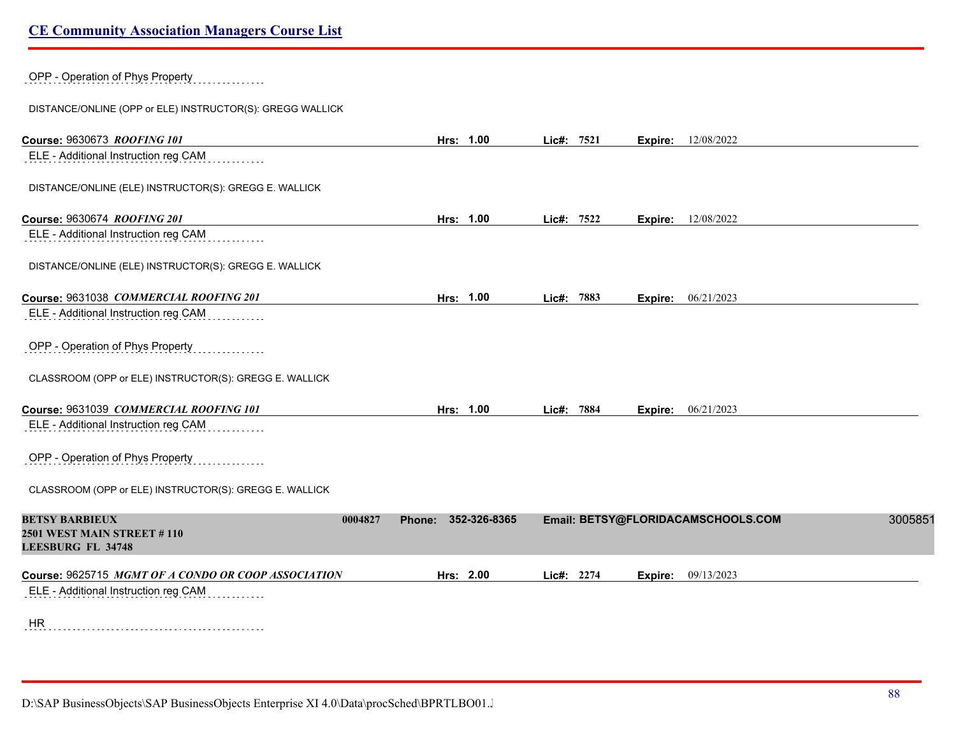OPP - Operation of Phys Property

DISTANCE/ONLINE (OPP or ELE) INSTRUCTOR(S): GREGG WALLICK

| Course: 9630673 ROOFING 101                                                                | Hrs: 1.00              | Lic#: 7521 | Expire: | 12/08/2022                         |         |
|--------------------------------------------------------------------------------------------|------------------------|------------|---------|------------------------------------|---------|
| ELE - Additional Instruction reg CAM                                                       |                        |            |         |                                    |         |
| DISTANCE/ONLINE (ELE) INSTRUCTOR(S): GREGG E. WALLICK                                      |                        |            |         |                                    |         |
| Course: 9630674 ROOFING 201                                                                | Hrs: 1.00              | Lic#: 7522 | Expire: | 12/08/2022                         |         |
| ELE - Additional Instruction reg CAM                                                       |                        |            |         |                                    |         |
| DISTANCE/ONLINE (ELE) INSTRUCTOR(S): GREGG E. WALLICK                                      |                        |            |         |                                    |         |
| Course: 9631038 COMMERCIAL ROOFING 201                                                     | Hrs: 1.00              | Lic#: 7883 |         | Expire: 06/21/2023                 |         |
| ELE - Additional Instruction reg CAM                                                       |                        |            |         |                                    |         |
| OPP - Operation of Phys Property                                                           |                        |            |         |                                    |         |
| CLASSROOM (OPP or ELE) INSTRUCTOR(S): GREGG E. WALLICK                                     |                        |            |         |                                    |         |
| Course: 9631039 COMMERCIAL ROOFING 101                                                     | Hrs: 1.00              | Lic#: 7884 |         | <b>Expire:</b> 06/21/2023          |         |
| ELE - Additional Instruction reg CAM                                                       |                        |            |         |                                    |         |
| OPP - Operation of Phys Property                                                           |                        |            |         |                                    |         |
| CLASSROOM (OPP or ELE) INSTRUCTOR(S): GREGG E. WALLICK                                     |                        |            |         |                                    |         |
| <b>BETSY BARBIEUX</b><br>0004827<br>2501 WEST MAIN STREET #110<br><b>LEESBURG FL 34748</b> | 352-326-8365<br>Phone: |            |         | Email: BETSY@FLORIDACAMSCHOOLS.COM | 3005851 |
| Course: 9625715 MGMT OF A CONDO OR COOP ASSOCIATION                                        | Hrs: 2.00              | Lic#: 2274 | Expire: | 09/13/2023                         |         |
| ELE - Additional Instruction reg CAM                                                       |                        |            |         |                                    |         |
| HR                                                                                         |                        |            |         |                                    |         |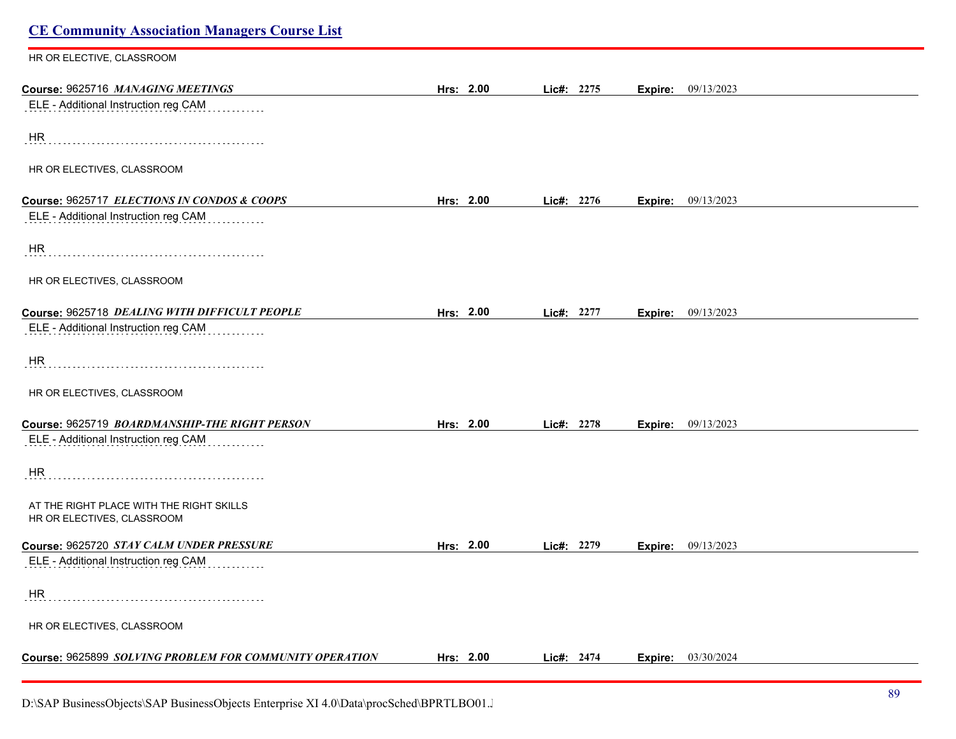| <b>CE Community Association Managers Course List</b>                   |           |            |                           |  |
|------------------------------------------------------------------------|-----------|------------|---------------------------|--|
| HR OR ELECTIVE, CLASSROOM                                              |           |            |                           |  |
| Course: 9625716 MANAGING MEETINGS                                      | Hrs: 2.00 | Lic#: 2275 | <b>Expire:</b> 09/13/2023 |  |
| ELE - Additional Instruction reg CAM                                   |           |            |                           |  |
| <b>HR</b>                                                              |           |            |                           |  |
| HR OR ELECTIVES, CLASSROOM                                             |           |            |                           |  |
| Course: 9625717 ELECTIONS IN CONDOS & COOPS                            | Hrs: 2.00 | Lic#: 2276 | <b>Expire:</b> 09/13/2023 |  |
| ELE - Additional Instruction reg CAM                                   |           |            |                           |  |
| HR                                                                     |           |            |                           |  |
| HR OR ELECTIVES, CLASSROOM                                             |           |            |                           |  |
| Course: 9625718 DEALING WITH DIFFICULT PEOPLE                          | Hrs: 2.00 | Lic#: 2277 | Expire: 09/13/2023        |  |
| ELE - Additional Instruction reg CAM                                   |           |            |                           |  |
| HR.                                                                    |           |            |                           |  |
| HR OR ELECTIVES, CLASSROOM                                             |           |            |                           |  |
| Course: 9625719 BOARDMANSHIP-THE RIGHT PERSON                          | Hrs: 2.00 | Lic#: 2278 | Expire: 09/13/2023        |  |
| ELE - Additional Instruction reg CAM                                   |           |            |                           |  |
| HR                                                                     |           |            |                           |  |
| AT THE RIGHT PLACE WITH THE RIGHT SKILLS<br>HR OR ELECTIVES, CLASSROOM |           |            |                           |  |
| Course: 9625720 STAY CALM UNDER PRESSURE                               | Hrs: 2.00 | Lic#: 2279 | 09/13/2023<br>Expire:     |  |
| ELE - Additional Instruction reg CAM                                   |           |            |                           |  |
| HR                                                                     |           |            |                           |  |
| HR OR ELECTIVES, CLASSROOM                                             |           |            |                           |  |
| Course: 9625899 SOLVING PROBLEM FOR COMMUNITY OPERATION                | Hrs: 2.00 | Lic#: 2474 | <b>Expire:</b> 03/30/2024 |  |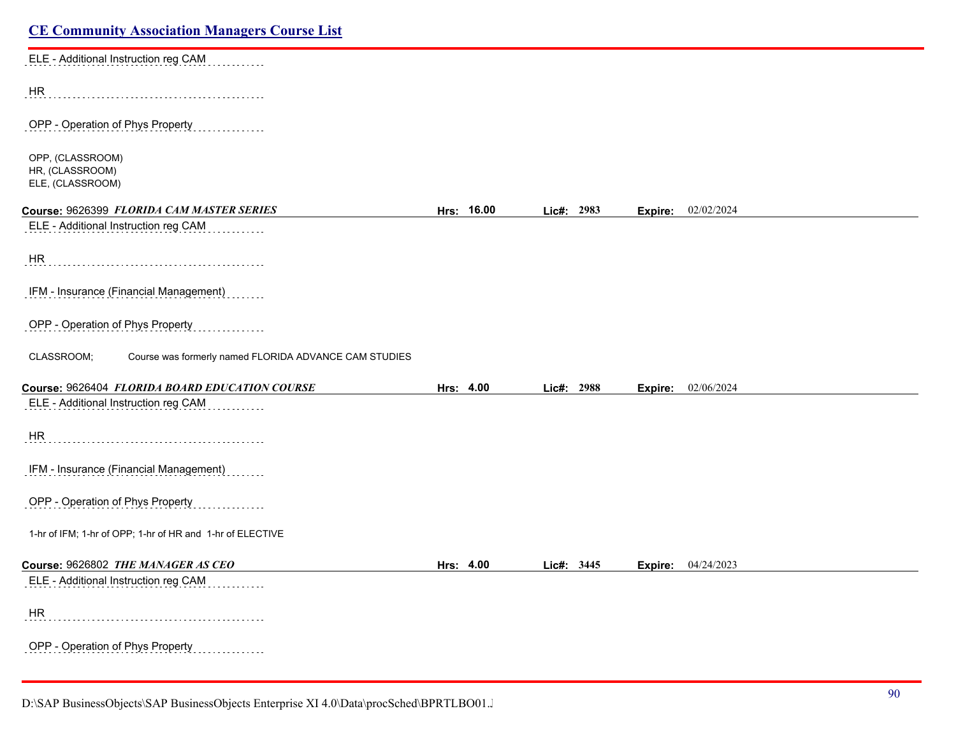| <b>CE Community Association Managers Course List</b>                |            |  |            |                           |
|---------------------------------------------------------------------|------------|--|------------|---------------------------|
| ELE - Additional Instruction reg CAM                                |            |  |            |                           |
| HR                                                                  |            |  |            |                           |
| OPP - Operation of Phys Property                                    |            |  |            |                           |
| OPP, (CLASSROOM)<br>HR, (CLASSROOM)<br>ELE, (CLASSROOM)             |            |  |            |                           |
| Course: 9626399 FLORIDA CAM MASTER SERIES                           | Hrs: 16.00 |  | Lic#: 2983 | Expire: 02/02/2024        |
| ELE - Additional Instruction reg CAM                                |            |  |            |                           |
| HR                                                                  |            |  |            |                           |
| IFM - Insurance (Financial Management)                              |            |  |            |                           |
| OPP - Operation of Phys Property                                    |            |  |            |                           |
| CLASSROOM;<br>Course was formerly named FLORIDA ADVANCE CAM STUDIES |            |  |            |                           |
| Course: 9626404 FLORIDA BOARD EDUCATION COURSE                      | Hrs: 4.00  |  | Lic#: 2988 | <b>Expire:</b> 02/06/2024 |
| ELE - Additional Instruction reg CAM                                |            |  |            |                           |
| <b>HR</b>                                                           |            |  |            |                           |
| IFM - Insurance (Financial Management)                              |            |  |            |                           |
| OPP - Operation of Phys Property                                    |            |  |            |                           |
| 1-hr of IFM; 1-hr of OPP; 1-hr of HR and 1-hr of ELECTIVE           |            |  |            |                           |
| Course: 9626802 THE MANAGER AS CEO                                  | Hrs: 4.00  |  | Lic#: 3445 | Expire: 04/24/2023        |
| ELE - Additional Instruction reg CAM                                |            |  |            |                           |
| HR                                                                  |            |  |            |                           |
| OPP - Operation of Phys Property                                    |            |  |            |                           |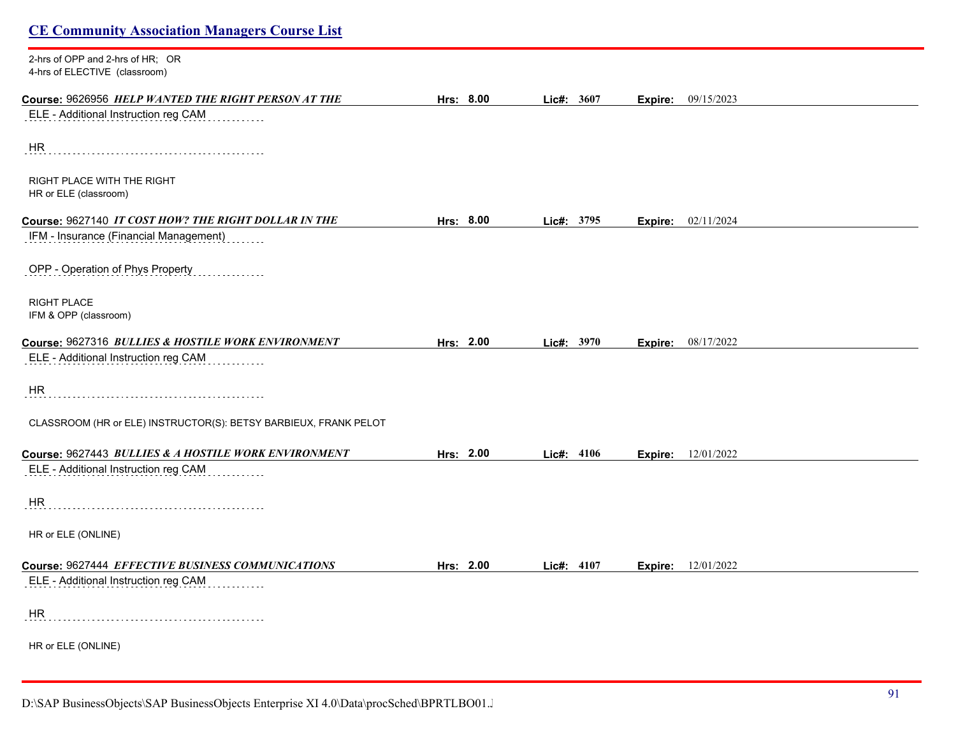2-hrs of OPP and 2-hrs of HR; OR 4-hrs of ELECTIVE (classroom)

| <b>THIS OF LLLUTTVL</b> (CROSIOUIII)                             |           |              |         |                           |  |
|------------------------------------------------------------------|-----------|--------------|---------|---------------------------|--|
| Course: 9626956 HELP WANTED THE RIGHT PERSON AT THE              | Hrs: 8.00 | Lic#: 3607   | Expire: | 09/15/2023                |  |
| ELE - Additional Instruction reg CAM                             |           |              |         |                           |  |
|                                                                  |           |              |         |                           |  |
| HR                                                               |           |              |         |                           |  |
|                                                                  |           |              |         |                           |  |
| RIGHT PLACE WITH THE RIGHT<br>HR or ELE (classroom)              |           |              |         |                           |  |
|                                                                  |           |              |         |                           |  |
| Course: 9627140 IT COST HOW? THE RIGHT DOLLAR IN THE             | Hrs: 8.00 | Lic#: 3795   | Expire: | 02/11/2024                |  |
| IFM - Insurance (Financial Management)                           |           |              |         |                           |  |
| OPP - Operation of Phys Property                                 |           |              |         |                           |  |
|                                                                  |           |              |         |                           |  |
| <b>RIGHT PLACE</b>                                               |           |              |         |                           |  |
| IFM & OPP (classroom)                                            |           |              |         |                           |  |
| Course: 9627316 BULLIES & HOSTILE WORK ENVIRONMENT               | Hrs: 2.00 | Lic#: $3970$ | Expire: | 08/17/2022                |  |
| ELE - Additional Instruction reg CAM                             |           |              |         |                           |  |
|                                                                  |           |              |         |                           |  |
| HR.                                                              |           |              |         |                           |  |
|                                                                  |           |              |         |                           |  |
| CLASSROOM (HR or ELE) INSTRUCTOR(S): BETSY BARBIEUX, FRANK PELOT |           |              |         |                           |  |
|                                                                  |           |              |         |                           |  |
| Course: 9627443 BULLIES & A HOSTILE WORK ENVIRONMENT             | Hrs: 2.00 | Lic#: $4106$ |         | <b>Expire:</b> 12/01/2022 |  |
| ELE - Additional Instruction reg CAM                             |           |              |         |                           |  |
| HR                                                               |           |              |         |                           |  |
|                                                                  |           |              |         |                           |  |
| HR or ELE (ONLINE)                                               |           |              |         |                           |  |
|                                                                  |           |              |         |                           |  |
| Course: 9627444 EFFECTIVE BUSINESS COMMUNICATIONS                | Hrs: 2.00 | Lic#: 4107   |         | <b>Expire:</b> 12/01/2022 |  |
| ELE - Additional Instruction reg CAM                             |           |              |         |                           |  |
| HR.                                                              |           |              |         |                           |  |
|                                                                  |           |              |         |                           |  |
| HR or ELE (ONLINE)                                               |           |              |         |                           |  |
|                                                                  |           |              |         |                           |  |
|                                                                  |           |              |         |                           |  |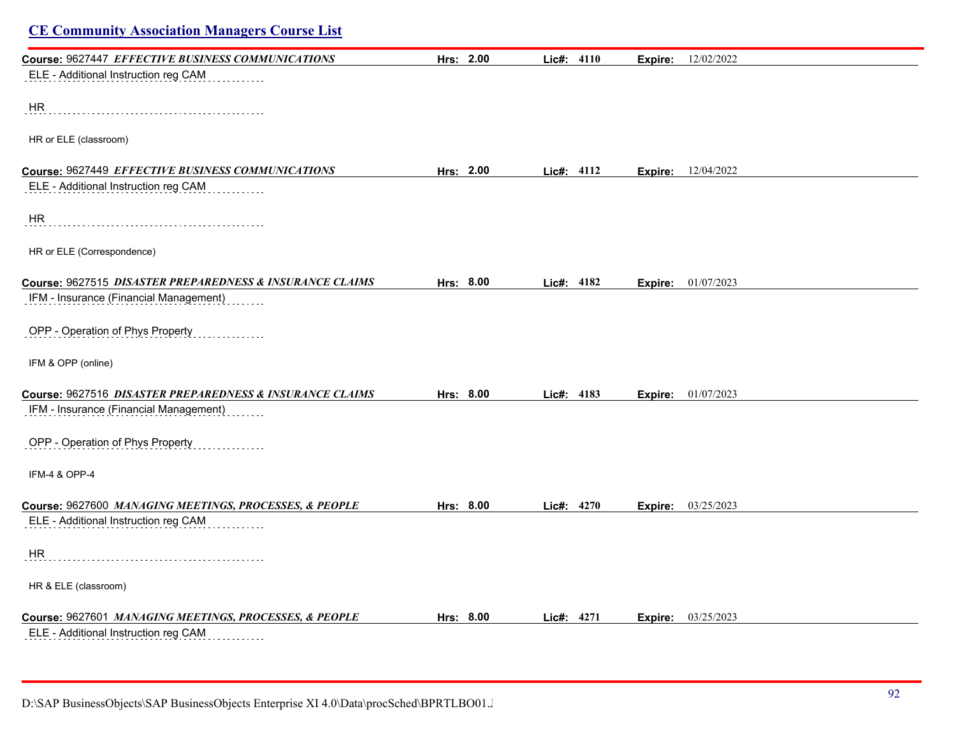| <b>CE Community Association Managers Course List</b>     |           |                     |                           |  |
|----------------------------------------------------------|-----------|---------------------|---------------------------|--|
| Course: 9627447 EFFECTIVE BUSINESS COMMUNICATIONS        | Hrs: 2.00 | <b>Lic#:</b> $4110$ | <b>Expire:</b> 12/02/2022 |  |
| ELE - Additional Instruction reg CAM                     |           |                     |                           |  |
| <b>HR</b>                                                |           |                     |                           |  |
| HR or ELE (classroom)                                    |           |                     |                           |  |
| Course: 9627449 EFFECTIVE BUSINESS COMMUNICATIONS        | Hrs: 2.00 | Lic#: 4112          | <b>Expire:</b> 12/04/2022 |  |
| ELE - Additional Instruction reg CAM                     |           |                     |                           |  |
| <b>HR</b>                                                |           |                     |                           |  |
| HR or ELE (Correspondence)                               |           |                     |                           |  |
| Course: 9627515 DISASTER PREPAREDNESS & INSURANCE CLAIMS | Hrs: 8.00 | Lic#: 4182          | <b>Expire:</b> 01/07/2023 |  |
| IFM - Insurance (Financial Management)                   |           |                     |                           |  |
| OPP - Operation of Phys Property                         |           |                     |                           |  |
| IFM & OPP (online)                                       |           |                     |                           |  |
| Course: 9627516 DISASTER PREPAREDNESS & INSURANCE CLAIMS | Hrs: 8.00 | Lic#: 4183          | Expire: 01/07/2023        |  |
| IFM - Insurance (Financial Management)                   |           |                     |                           |  |
| OPP - Operation of Phys Property                         |           |                     |                           |  |
| IFM-4 & OPP-4                                            |           |                     |                           |  |
| Course: 9627600 MANAGING MEETINGS, PROCESSES, & PEOPLE   | Hrs: 8.00 | Lic#: 4270          | <b>Expire:</b> 03/25/2023 |  |
| ELE - Additional Instruction reg CAM                     |           |                     |                           |  |
| HR                                                       |           |                     |                           |  |
| HR & ELE (classroom)                                     |           |                     |                           |  |
| Course: 9627601 MANAGING MEETINGS, PROCESSES, & PEOPLE   | Hrs: 8.00 | Lie#: 4271          | <b>Expire:</b> 03/25/2023 |  |
| ELE - Additional Instruction reg CAM                     |           |                     |                           |  |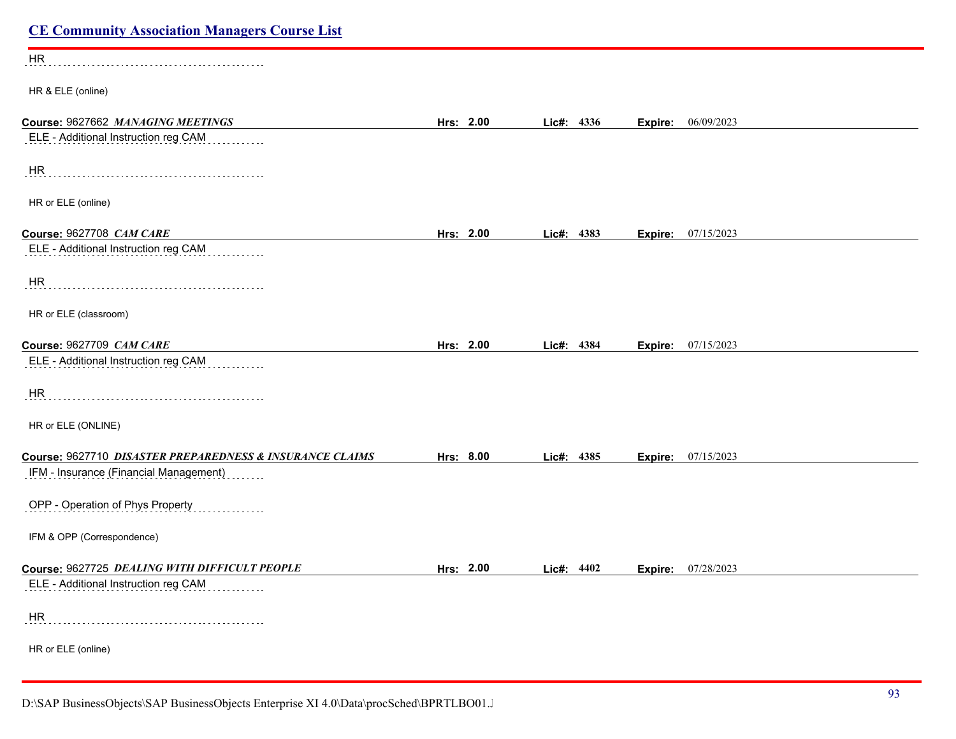| <b>CE Community Association Managers Course List</b>                      |                  |              |                       |  |
|---------------------------------------------------------------------------|------------------|--------------|-----------------------|--|
| HR                                                                        |                  |              |                       |  |
| HR & ELE (online)                                                         |                  |              |                       |  |
| Course: 9627662 MANAGING MEETINGS<br>ELE - Additional Instruction reg CAM | Hrs: 2.00        | Lic#: 4336   | 06/09/2023<br>Expire: |  |
| HR                                                                        |                  |              |                       |  |
| HR or ELE (online)                                                        |                  |              |                       |  |
| Course: 9627708 CAM CARE                                                  | Hrs: 2.00        | Lic#: 4383   | 07/15/2023<br>Expire: |  |
| ELE - Additional Instruction reg CAM                                      |                  |              |                       |  |
| HR                                                                        |                  |              |                       |  |
| HR or ELE (classroom)                                                     |                  |              |                       |  |
| Course: 9627709 CAM CARE                                                  | Hrs: 2.00        | Lic#: 4384   | 07/15/2023<br>Expire: |  |
| ELE - Additional Instruction reg CAM                                      |                  |              |                       |  |
| <b>HR</b>                                                                 |                  |              |                       |  |
| HR or ELE (ONLINE)                                                        |                  |              |                       |  |
| Course: 9627710 DISASTER PREPAREDNESS & INSURANCE CLAIMS                  | Hrs: 8.00        | Lic#: 4385   | 07/15/2023<br>Expire: |  |
| IFM - Insurance (Financial Management)                                    |                  |              |                       |  |
| OPP - Operation of Phys Property                                          |                  |              |                       |  |
| IFM & OPP (Correspondence)                                                |                  |              |                       |  |
| Course: 9627725 DEALING WITH DIFFICULT PEOPLE                             | <u>Hrs: 2.00</u> | Lic#: $4402$ | Expire:<br>07/28/2023 |  |
| ELE - Additional Instruction reg CAM                                      |                  |              |                       |  |
| HR                                                                        |                  |              |                       |  |
| HR or ELE (online)                                                        |                  |              |                       |  |
|                                                                           |                  |              |                       |  |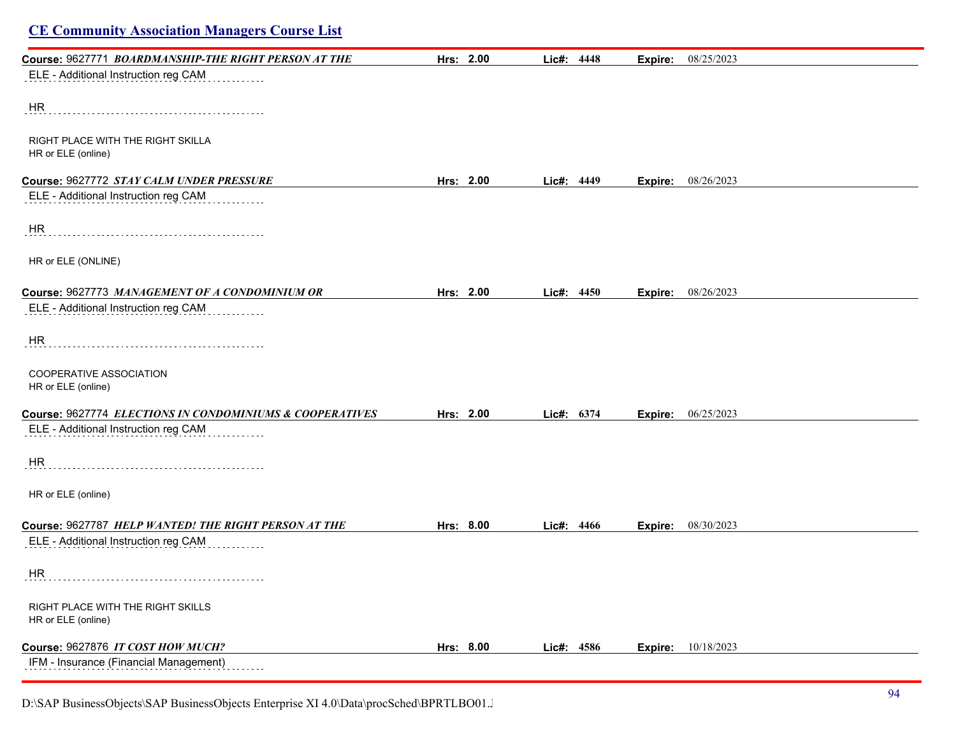## **CE Community Association Managers Course List Course:** 9627771 *BOARDMANSHIP-THE RIGHT PERSON AT THE* **Hrs: 2.00 Lic#: 4448 Expire:** 08/25/2023 ELE - Additional Instruction reg CAM HR RIGHT PLACE WITH THE RIGHT SKILLA HR or ELE (online) **Course:** 9627772 *STAY CALM UNDER PRESSURE* **Hrs: 2.00 Lic#: 4449 Expire:** 08/26/2023 ELE - Additional Instruction reg CAM . . . . . . . . . . . . HR HR or ELE (ONLINE) **Course:** 9627773 *MANAGEMENT OF A CONDOMINIUM OR* **Hrs: 2.00 Lic#: 4450 Expire:** 08/26/2023 ELE - Additional Instruction reg CAM HR COOPERATIVE ASSOCIATION HR or ELE (online) **Course:** 9627774 *ELECTIONS IN CONDOMINIUMS & COOPERATIVES* **Hrs: 2.00 Lic#: 6374 Expire:** 06/25/2023 ELE - Additional Instruction reg CAM HR HR or ELE (online) **Course:** 9627787 *HELP WANTED! THE RIGHT PERSON AT THE* **Hrs: 8.00 Lic#: 4466 Expire:** 08/30/2023 ELE - Additional Instruction reg CAM HR RIGHT PLACE WITH THE RIGHT SKILLS HR or ELE (online) **Course:** 9627876 *IT COST HOW MUCH?* **Hrs: 8.00 Lic#: 4586 Expire:** 10/18/2023 IFM - Insurance (Financial Management)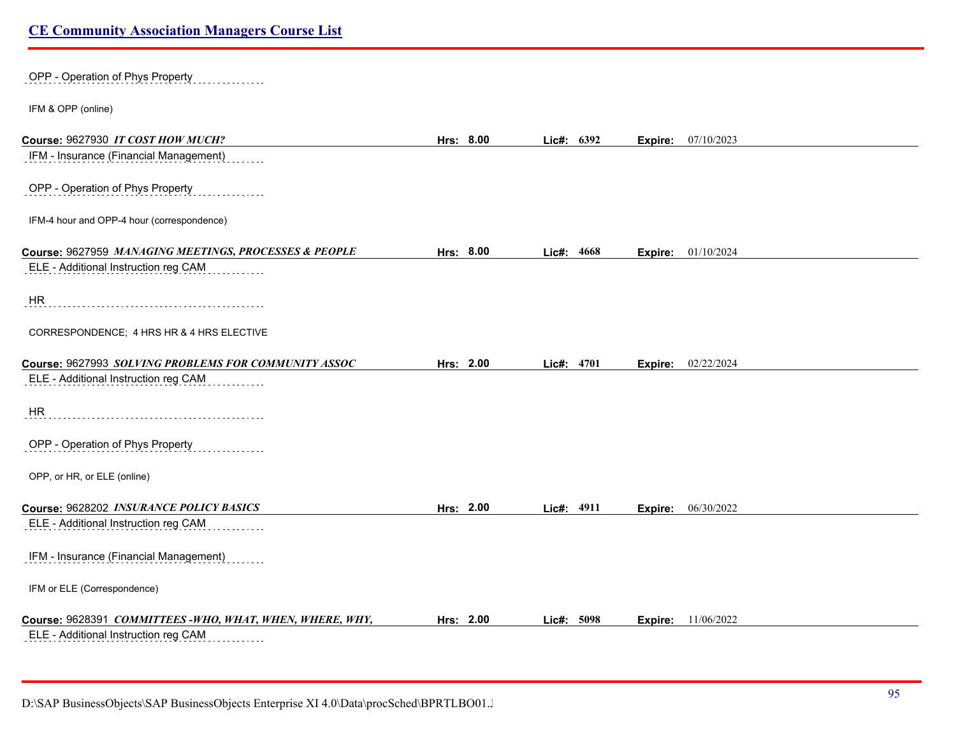# OPP - Operation of Phys Property IFM & OPP (online) **Course:** 9627930 *IT COST HOW MUCH?* **Hrs: 8.00 Lic#: 6392 Expire:** 07/10/2023 IFM - Insurance (Financial Management) OPP - Operation of Phys Property IFM-4 hour and OPP-4 hour (correspondence) **Course:** 9627959 *MANAGING MEETINGS, PROCESSES & PEOPLE* **Hrs: 8.00 Lic#: 4668 Expire:** 01/10/2024 ELE - Additional Instruction reg CAM **HR** CORRESPONDENCE; 4 HRS HR & 4 HRS ELECTIVE **Course:** 9627993 *SOLVING PROBLEMS FOR COMMUNITY ASSOC* **Hrs: 2.00 Lic#: 4701 Expire:** 02/22/2024 ELE - Additional Instruction reg CAM HR OPP - Operation of Phys Property OPP, or HR, or ELE (online) **Course:** 9628202 *INSURANCE POLICY BASICS* **Hrs: 2.00 Lic#: 4911 Expire:** 06/30/2022 ELE - Additional Instruction reg CAM . . . . . . . . IFM - Insurance (Financial Management) IFM or ELE (Correspondence) **Course:** 9628391 *COMMITTEES -WHO, WHAT, WHEN, WHERE, WHY,* **Hrs: 2.00 Lic#: 5098 Expire:** 11/06/2022

ELE - Additional Instruction reg CAM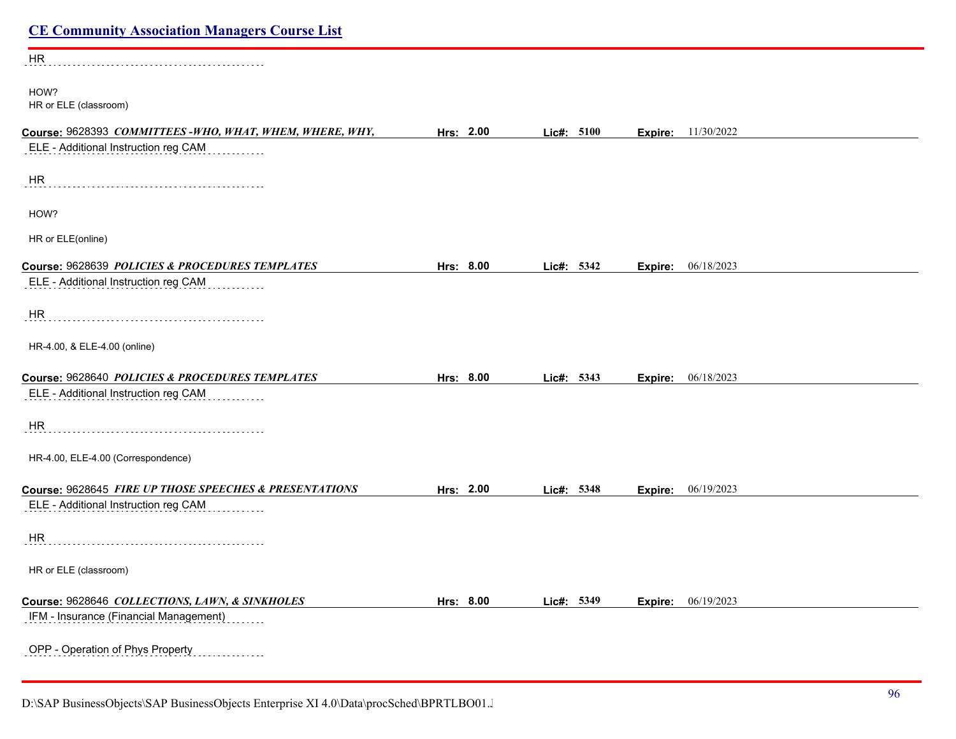| <b>CE Community Association Managers Course List</b>    |           |            |                       |  |
|---------------------------------------------------------|-----------|------------|-----------------------|--|
| HR                                                      |           |            |                       |  |
| HOW?<br>HR or ELE (classroom)                           |           |            |                       |  |
| Course: 9628393 COMMITTEES-WHO, WHAT, WHEM, WHERE, WHY, | Hrs: 2.00 | Lic#: 5100 | 11/30/2022<br>Expire: |  |
| ELE - Additional Instruction reg CAM                    |           |            |                       |  |
| HR                                                      |           |            |                       |  |
| HOW?                                                    |           |            |                       |  |
| HR or ELE(online)                                       |           |            |                       |  |
| Course: 9628639 POLICIES & PROCEDURES TEMPLATES         | Hrs: 8.00 | Lic#: 5342 | 06/18/2023<br>Expire: |  |
| ELE - Additional Instruction reg CAM                    |           |            |                       |  |
| HR                                                      |           |            |                       |  |
| HR-4.00, & ELE-4.00 (online)                            |           |            |                       |  |
| Course: 9628640 POLICIES & PROCEDURES TEMPLATES         | Hrs: 8.00 | Lic#: 5343 | 06/18/2023<br>Expire: |  |
| ELE - Additional Instruction reg CAM                    |           |            |                       |  |
| HR                                                      |           |            |                       |  |
| HR-4.00, ELE-4.00 (Correspondence)                      |           |            |                       |  |
| Course: 9628645 FIRE UP THOSE SPEECHES & PRESENTATIONS  | Hrs: 2.00 | Lic#: 5348 | 06/19/2023<br>Expire: |  |
| ELE - Additional Instruction reg CAM                    |           |            |                       |  |
| HR                                                      |           |            |                       |  |
| HR or ELE (classroom)                                   |           |            |                       |  |
| Course: 9628646 COLLECTIONS, LAWN, & SINKHOLES          | Hrs: 8.00 | Lic#: 5349 | 06/19/2023<br>Expire: |  |
| IFM - Insurance (Financial Management)                  |           |            |                       |  |
| OPP - Operation of Phys Property<br>.                   |           |            |                       |  |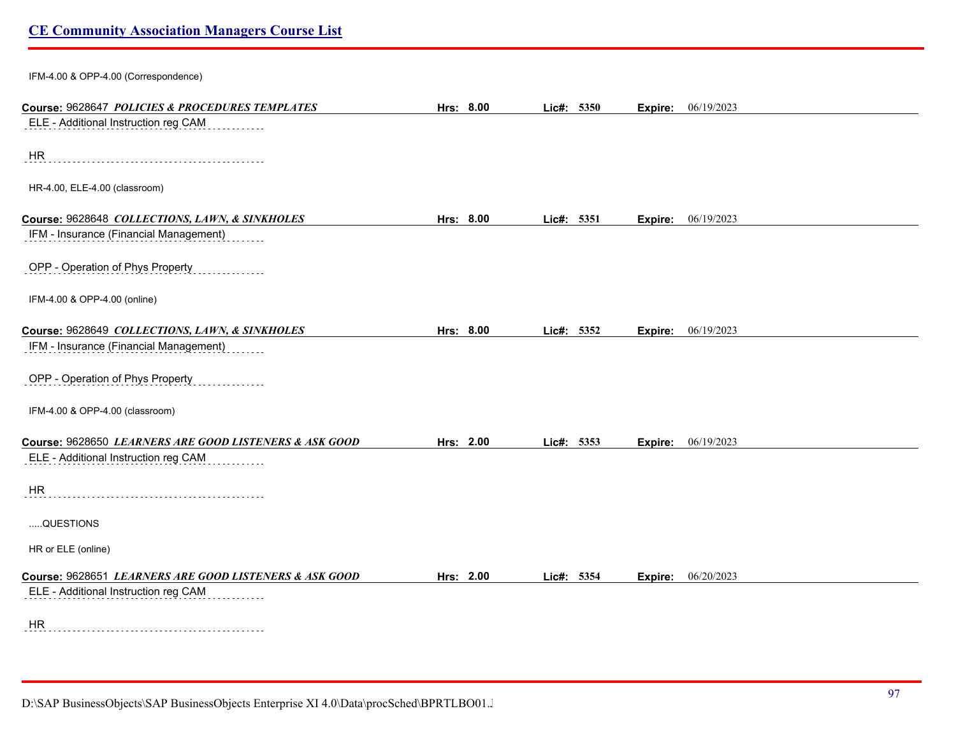IFM-4.00 & OPP-4.00 (Correspondence)

| Course: 9628647 POLICIES & PROCEDURES TEMPLATES        | Hrs: 8.00 | Lic#: 5350 | Expire: | 06/19/2023 |
|--------------------------------------------------------|-----------|------------|---------|------------|
| ELE - Additional Instruction reg CAM                   |           |            |         |            |
|                                                        |           |            |         |            |
| HR                                                     |           |            |         |            |
| HR-4.00, ELE-4.00 (classroom)                          |           |            |         |            |
|                                                        |           |            |         |            |
| Course: 9628648 COLLECTIONS, LAWN, & SINKHOLES         | Hrs: 8.00 | Lic#: 5351 | Expire: | 06/19/2023 |
| IFM - Insurance (Financial Management)                 |           |            |         |            |
|                                                        |           |            |         |            |
| OPP - Operation of Phys Property                       |           |            |         |            |
| IFM-4.00 & OPP-4.00 (online)                           |           |            |         |            |
|                                                        |           |            |         |            |
| Course: 9628649 COLLECTIONS, LAWN, & SINKHOLES         | Hrs: 8.00 | Lic#: 5352 | Expire: | 06/19/2023 |
| IFM - Insurance (Financial Management)                 |           |            |         |            |
|                                                        |           |            |         |            |
| OPP - Operation of Phys Property                       |           |            |         |            |
| IFM-4.00 & OPP-4.00 (classroom)                        |           |            |         |            |
|                                                        |           |            |         |            |
| Course: 9628650 LEARNERS ARE GOOD LISTENERS & ASK GOOD | Hrs: 2.00 | Lic#: 5353 | Expire: | 06/19/2023 |
| ELE - Additional Instruction reg CAM                   |           |            |         |            |
| <b>HR</b>                                              |           |            |         |            |
|                                                        |           |            |         |            |
| QUESTIONS                                              |           |            |         |            |
|                                                        |           |            |         |            |
| HR or ELE (online)                                     |           |            |         |            |
| Course: 9628651 LEARNERS ARE GOOD LISTENERS & ASK GOOD | Hrs: 2.00 | Lic#: 5354 | Expire: | 06/20/2023 |
| ELE - Additional Instruction reg CAM                   |           |            |         |            |
|                                                        |           |            |         |            |
| <b>HR</b>                                              |           |            |         |            |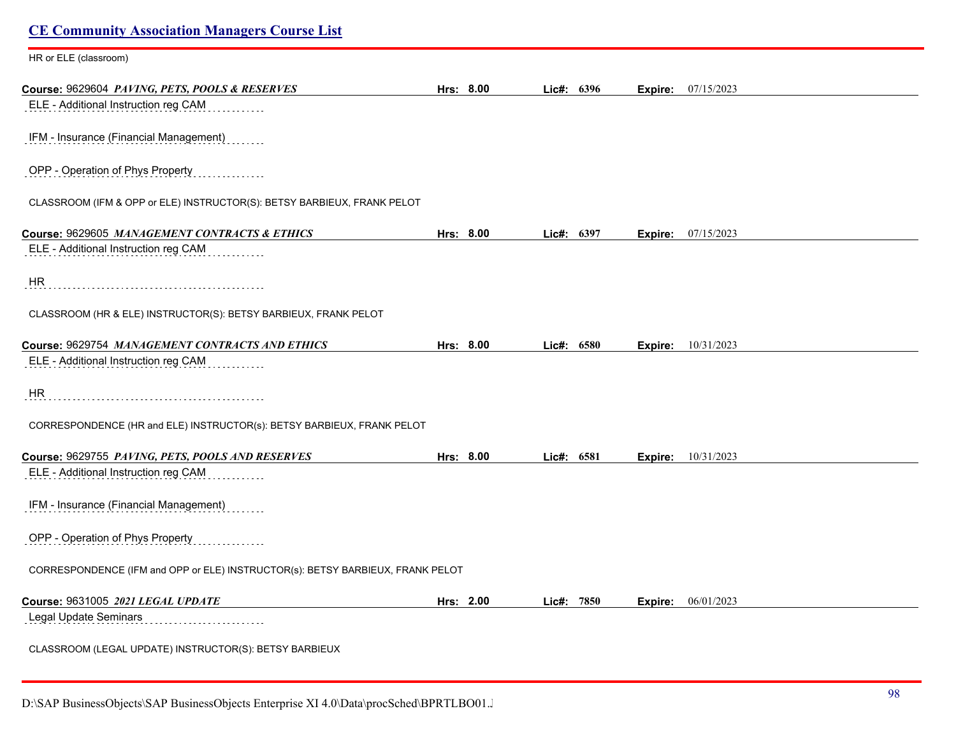| <b>CE Community Association Managers Course List</b>                           |           |            |            |         |                           |
|--------------------------------------------------------------------------------|-----------|------------|------------|---------|---------------------------|
| HR or ELE (classroom)                                                          |           |            |            |         |                           |
| Course: 9629604 PAVING, PETS, POOLS & RESERVES                                 | Hrs: 8.00 |            | Lic#: 6396 | Expire: | 07/15/2023                |
| ELE - Additional Instruction reg CAM                                           |           |            |            |         |                           |
| IFM - Insurance (Financial Management)                                         |           |            |            |         |                           |
| OPP - Operation of Phys Property                                               |           |            |            |         |                           |
| CLASSROOM (IFM & OPP or ELE) INSTRUCTOR(S): BETSY BARBIEUX, FRANK PELOT        |           |            |            |         |                           |
| Course: 9629605 MANAGEMENT CONTRACTS & ETHICS                                  | Hrs: 8.00 | Lic#: 6397 |            | Expire: | 07/15/2023                |
| ELE - Additional Instruction reg CAM                                           |           |            |            |         |                           |
| <b>HR</b>                                                                      |           |            |            |         |                           |
| CLASSROOM (HR & ELE) INSTRUCTOR(S): BETSY BARBIEUX, FRANK PELOT                |           |            |            |         |                           |
| Course: 9629754 MANAGEMENT CONTRACTS AND ETHICS                                | Hrs: 8.00 |            | Lic#: 6580 | Expire: | 10/31/2023                |
| ELE - Additional Instruction reg CAM                                           |           |            |            |         |                           |
| HR                                                                             |           |            |            |         |                           |
| CORRESPONDENCE (HR and ELE) INSTRUCTOR(s): BETSY BARBIEUX, FRANK PELOT         |           |            |            |         |                           |
| Course: 9629755 PAVING, PETS, POOLS AND RESERVES                               | Hrs: 8.00 | Lic#: 6581 |            |         | <b>Expire:</b> 10/31/2023 |
| ELE - Additional Instruction reg CAM                                           |           |            |            |         |                           |
| IFM - Insurance (Financial Management)                                         |           |            |            |         |                           |
| OPP - Operation of Phys Property                                               |           |            |            |         |                           |
| CORRESPONDENCE (IFM and OPP or ELE) INSTRUCTOR(s): BETSY BARBIEUX, FRANK PELOT |           |            |            |         |                           |
| Course: 9631005 2021 LEGAL UPDATE                                              | Hrs: 2.00 |            | Lic#: 7850 |         | Expire: 06/01/2023        |
| Legal Update Seminars                                                          |           |            |            |         |                           |
| CLASSROOM (LEGAL UPDATE) INSTRUCTOR(S): BETSY BARBIEUX                         |           |            |            |         |                           |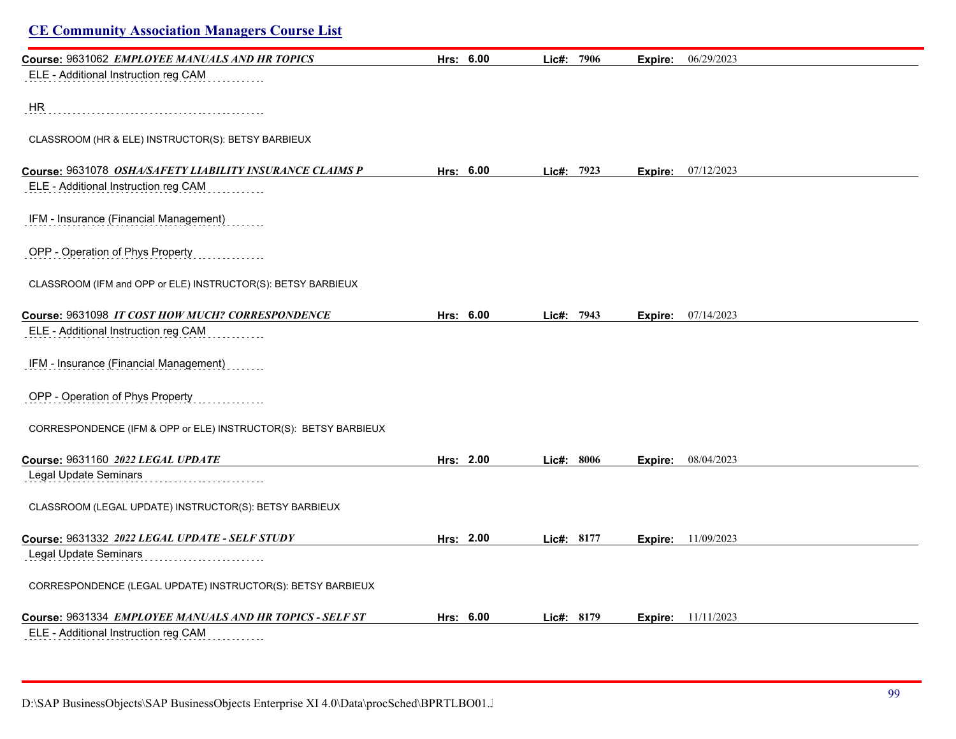| <b>CE Community Association Managers Course List</b>            |           |              |         |                           |
|-----------------------------------------------------------------|-----------|--------------|---------|---------------------------|
| Course: 9631062 EMPLOYEE MANUALS AND HR TOPICS                  | Hrs: 6.00 | Lic#: 7906   | Expire: | 06/29/2023                |
| ELE - Additional Instruction reg CAM                            |           |              |         |                           |
| HR                                                              |           |              |         |                           |
| CLASSROOM (HR & ELE) INSTRUCTOR(S): BETSY BARBIEUX              |           |              |         |                           |
| Course: 9631078 OSHA/SAFETY LIABILITY INSURANCE CLAIMS P        | Hrs: 6.00 | Lic#: $7923$ | Expire: | 07/12/2023                |
| ELE - Additional Instruction reg CAM                            |           |              |         |                           |
| IFM - Insurance (Financial Management)                          |           |              |         |                           |
| OPP - Operation of Phys Property                                |           |              |         |                           |
| CLASSROOM (IFM and OPP or ELE) INSTRUCTOR(S): BETSY BARBIEUX    |           |              |         |                           |
| Course: 9631098 IT COST HOW MUCH? CORRESPONDENCE                | Hrs: 6.00 | Lic#: 7943   | Expire: | 07/14/2023                |
| ELE - Additional Instruction reg CAM                            |           |              |         |                           |
| IFM - Insurance (Financial Management)                          |           |              |         |                           |
| OPP - Operation of Phys Property                                |           |              |         |                           |
| CORRESPONDENCE (IFM & OPP or ELE) INSTRUCTOR(S): BETSY BARBIEUX |           |              |         |                           |
| Course: 9631160 2022 LEGAL UPDATE                               | Hrs: 2.00 | Lic#: 8006   | Expire: | 08/04/2023                |
| <b>Legal Update Seminars</b>                                    |           |              |         |                           |
| CLASSROOM (LEGAL UPDATE) INSTRUCTOR(S): BETSY BARBIEUX          |           |              |         |                           |
| Course: 9631332 2022 LEGAL UPDATE - SELF STUDY                  | Hrs: 2.00 | Lic#: 8177   |         | <b>Expire:</b> 11/09/2023 |
| Legal Update Seminars                                           |           |              |         |                           |
| CORRESPONDENCE (LEGAL UPDATE) INSTRUCTOR(S): BETSY BARBIEUX     |           |              |         |                           |
| Course: 9631334 EMPLOYEE MANUALS AND HR TOPICS - SELF ST        | Hrs: 6.00 | Lic#: 8179   |         | <b>Expire:</b> 11/11/2023 |
| ELE - Additional Instruction reg CAM                            |           |              |         |                           |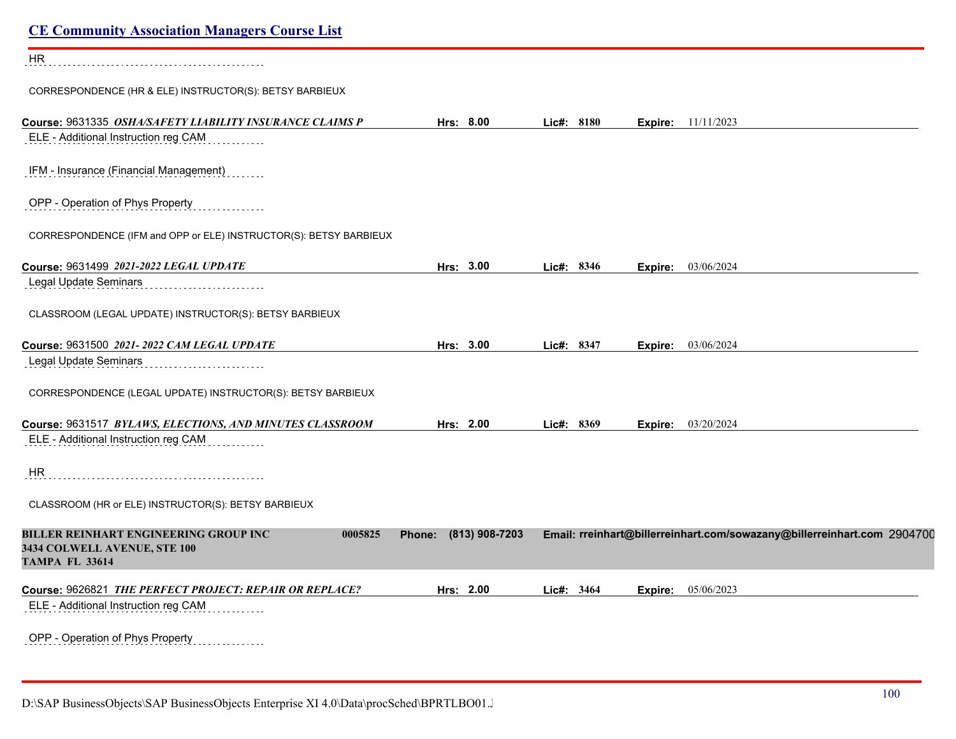| <b>CE Community Association Managers Course List</b>                                                             |                          |            |                                                                         |
|------------------------------------------------------------------------------------------------------------------|--------------------------|------------|-------------------------------------------------------------------------|
| HR                                                                                                               |                          |            |                                                                         |
| CORRESPONDENCE (HR & ELE) INSTRUCTOR(S): BETSY BARBIEUX                                                          |                          |            |                                                                         |
| Course: 9631335 OSHA/SAFETY LIABILITY INSURANCE CLAIMS P                                                         | Hrs: 8.00                | Lic#: 8180 | <b>Expire:</b> $11/11/2023$                                             |
| ELE - Additional Instruction reg CAM                                                                             |                          |            |                                                                         |
| IFM - Insurance (Financial Management)                                                                           |                          |            |                                                                         |
| OPP - Operation of Phys Property                                                                                 |                          |            |                                                                         |
| CORRESPONDENCE (IFM and OPP or ELE) INSTRUCTOR(S): BETSY BARBIEUX                                                |                          |            |                                                                         |
| Course: 9631499 2021-2022 LEGAL UPDATE                                                                           | Hrs: 3.00                | Lic#: 8346 | 03/06/2024<br>Expire:                                                   |
| Legal Update Seminars                                                                                            |                          |            |                                                                         |
| CLASSROOM (LEGAL UPDATE) INSTRUCTOR(S): BETSY BARBIEUX                                                           |                          |            |                                                                         |
| Course: 9631500 2021-2022 CAM LEGAL UPDATE                                                                       | Hrs: 3.00                | Lic#: 8347 | 03/06/2024<br>Expire:                                                   |
| Legal Update Seminars                                                                                            |                          |            |                                                                         |
| CORRESPONDENCE (LEGAL UPDATE) INSTRUCTOR(S): BETSY BARBIEUX                                                      |                          |            |                                                                         |
| Course: 9631517 BYLAWS, ELECTIONS, AND MINUTES CLASSROOM                                                         | Hrs: 2.00                | Lic#: 8369 | 03/20/2024<br>Expire:                                                   |
| ELE - Additional Instruction reg CAM                                                                             |                          |            |                                                                         |
| HR                                                                                                               |                          |            |                                                                         |
| CLASSROOM (HR or ELE) INSTRUCTOR(S): BETSY BARBIEUX                                                              |                          |            |                                                                         |
| <b>BILLER REINHART ENGINEERING GROUP INC</b><br>0005825<br>3434 COLWELL AVENUE, STE 100<br><b>TAMPA FL 33614</b> | (813) 908-7203<br>Phone: |            | Email: rreinhart@billerreinhart.com/sowazany@billerreinhart.com 2904700 |
| Course: 9626821 THE PERFECT PROJECT: REPAIR OR REPLACE?                                                          | Hrs: 2.00                | Lic#: 3464 | 05/06/2023<br>Expire:                                                   |
| ELE - Additional Instruction reg CAM                                                                             |                          |            |                                                                         |
| OPP - Operation of Phys Property<br>.                                                                            |                          |            |                                                                         |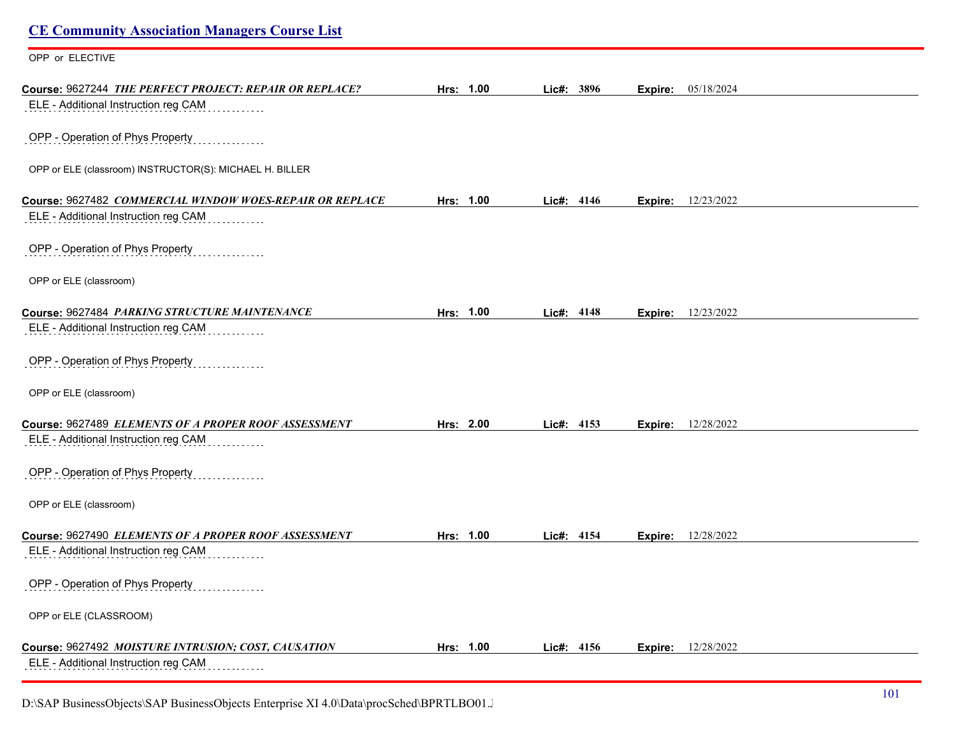# **CE Community Association Managers Course List** OPP or ELECTIVE **Course:** 9627244 *THE PERFECT PROJECT: REPAIR OR REPLACE?* **Hrs: 1.00 Lic#: 3896 Expire:** 05/18/2024 ELE - Additional Instruction reg CAM OPP - Operation of Phys Property OPP or ELE (classroom) INSTRUCTOR(S): MICHAEL H. BILLER **Course:** 9627482 *COMMERCIAL WINDOW WOES-REPAIR OR REPLACE* **Hrs: 1.00 Lic#: 4146 Expire:** 12/23/2022 ELE - Additional Instruction reg CAM OPP - Operation of Phys Property OPP or ELE (classroom) **Course:** 9627484 *PARKING STRUCTURE MAINTENANCE* **Hrs: 1.00 Lic#: 4148 Expire:** 12/23/2022 ELE - Additional Instruction reg CAM OPP - Operation of Phys Property OPP or ELE (classroom) **Course:** 9627489 *ELEMENTS OF A PROPER ROOF ASSESSMENT* **Hrs: 2.00 Lic#: 4153 Expire:** 12/28/2022 ELE - Additional Instruction reg CAM OPP - Operation of Phys Property OPP or ELE (classroom) **Course:** 9627490 *ELEMENTS OF A PROPER ROOF ASSESSMENT* **Hrs: 1.00 Lic#: 4154 Expire:** 12/28/2022 ELE - Additional Instruction reg CAM OPP - Operation of Phys Property OPP or ELE (CLASSROOM) **Course:** 9627492 *MOISTURE INTRUSION; COST, CAUSATION* **Hrs: 1.00 Lic#: 4156 Expire:** 12/28/2022 ELE - Additional Instruction reg CAM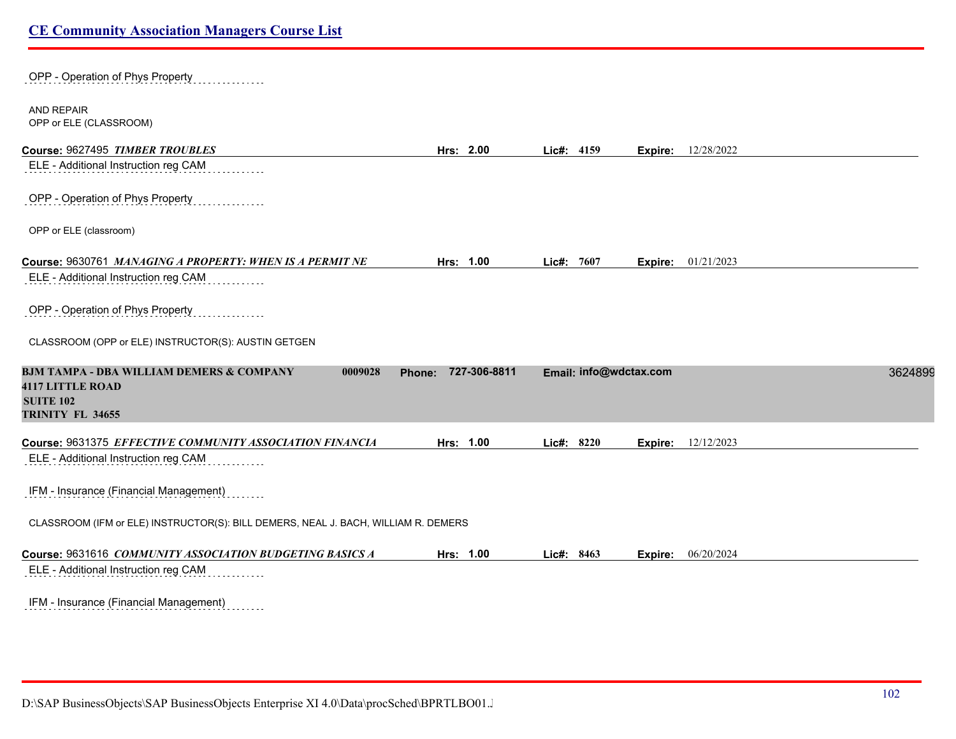| OPP - Operation of Phys Property                                                                                                  |                     |            |                        |         |            |         |
|-----------------------------------------------------------------------------------------------------------------------------------|---------------------|------------|------------------------|---------|------------|---------|
| <b>AND REPAIR</b><br>OPP or ELE (CLASSROOM)                                                                                       |                     |            |                        |         |            |         |
| Course: 9627495 TIMBER TROUBLES                                                                                                   | Hrs: 2.00           | Lic#: 4159 |                        | Expire: | 12/28/2022 |         |
| ELE - Additional Instruction reg CAM                                                                                              |                     |            |                        |         |            |         |
| OPP - Operation of Phys Property                                                                                                  |                     |            |                        |         |            |         |
| OPP or ELE (classroom)                                                                                                            |                     |            |                        |         |            |         |
| Course: 9630761 MANAGING A PROPERTY: WHEN IS A PERMIT NE<br>ELE - Additional Instruction reg CAM                                  | Hrs: 1.00           | Lic#: 7607 |                        | Expire: | 01/21/2023 |         |
| OPP - Operation of Phys Property                                                                                                  |                     |            |                        |         |            |         |
| CLASSROOM (OPP or ELE) INSTRUCTOR(S): AUSTIN GETGEN                                                                               |                     |            |                        |         |            |         |
| <b>BJM TAMPA - DBA WILLIAM DEMERS &amp; COMPANY</b><br>0009028<br><b>4117 LITTLE ROAD</b><br><b>SUITE 102</b><br>TRINITY FL 34655 | Phone: 727-306-8811 |            | Email: info@wdctax.com |         |            | 3624899 |
| Course: 9631375 EFFECTIVE COMMUNITY ASSOCIATION FINANCIA                                                                          | Hrs: 1.00           | Lic#: 8220 |                        | Expire: | 12/12/2023 |         |
| ELE - Additional Instruction reg CAM                                                                                              |                     |            |                        |         |            |         |
| IFM - Insurance (Financial Management)                                                                                            |                     |            |                        |         |            |         |
| CLASSROOM (IFM or ELE) INSTRUCTOR(S): BILL DEMERS, NEAL J. BACH, WILLIAM R. DEMERS                                                |                     |            |                        |         |            |         |
| Course: 9631616 COMMUNITY ASSOCIATION BUDGETING BASICS A                                                                          | Hrs: 1.00           | Lic#: 8463 |                        | Expire: | 06/20/2024 |         |
| ELE - Additional Instruction reg CAM                                                                                              |                     |            |                        |         |            |         |
| IFM - Insurance (Financial Management)                                                                                            |                     |            |                        |         |            |         |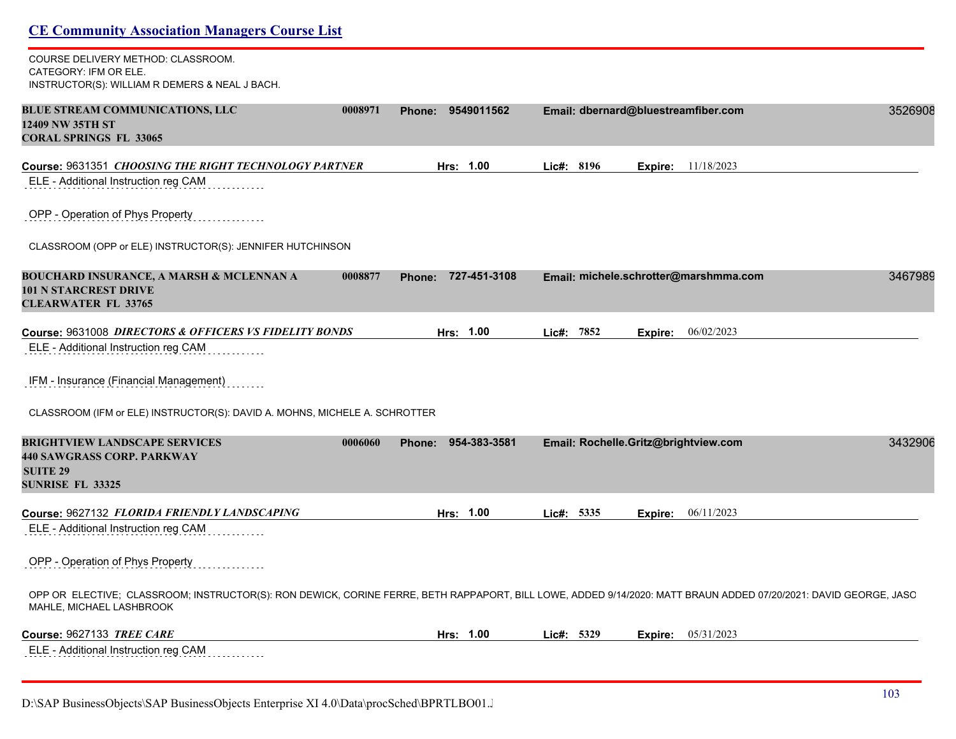| COURSE DELIVERY METHOD: CLASSROOM.<br>CATEGORY: IFM OR ELE.<br>INSTRUCTOR(S): WILLIAM R DEMERS & NEAL J BACH.                                                                                |                              |                         |         |                                       |         |
|----------------------------------------------------------------------------------------------------------------------------------------------------------------------------------------------|------------------------------|-------------------------|---------|---------------------------------------|---------|
| <b>BLUE STREAM COMMUNICATIONS, LLC</b><br>12409 NW 35TH ST<br><b>CORAL SPRINGS FL 33065</b>                                                                                                  | Phone: 9549011562<br>0008971 |                         |         | Email: dbernard@bluestreamfiber.com   | 3526908 |
| Course: 9631351 CHOOSING THE RIGHT TECHNOLOGY PARTNER                                                                                                                                        |                              | Hrs: 1.00<br>Lic#: 8196 | Expire: | 11/18/2023                            |         |
| ELE - Additional Instruction reg CAM                                                                                                                                                         |                              |                         |         |                                       |         |
| OPP - Operation of Phys Property                                                                                                                                                             |                              |                         |         |                                       |         |
| CLASSROOM (OPP or ELE) INSTRUCTOR(S): JENNIFER HUTCHINSON                                                                                                                                    |                              |                         |         |                                       |         |
| <b>BOUCHARD INSURANCE, A MARSH &amp; MCLENNAN A</b><br><b>101 N STARCREST DRIVE</b><br><b>CLEARWATER FL 33765</b>                                                                            | 0008877<br><b>Phone:</b>     | 727-451-3108            |         | Email: michele.schrotter@marshmma.com | 3467989 |
| Course: 9631008 DIRECTORS & OFFICERS VS FIDELITY BONDS                                                                                                                                       |                              | Hrs: 1.00<br>Lic#: 7852 | Expire: | 06/02/2023                            |         |
| ELE - Additional Instruction reg CAM                                                                                                                                                         |                              |                         |         |                                       |         |
| IFM - Insurance (Financial Management)                                                                                                                                                       |                              |                         |         |                                       |         |
| CLASSROOM (IFM or ELE) INSTRUCTOR(S): DAVID A. MOHNS, MICHELE A. SCHROTTER                                                                                                                   |                              |                         |         |                                       |         |
| <b>BRIGHTVIEW LANDSCAPE SERVICES</b><br><b>440 SAWGRASS CORP. PARKWAY</b>                                                                                                                    | 0006060<br><b>Phone:</b>     | 954-383-3581            |         | Email: Rochelle.Gritz@brightview.com  | 3432906 |
| <b>SUITE 29</b><br><b>SUNRISE FL 33325</b>                                                                                                                                                   |                              |                         |         |                                       |         |
| Course: 9627132 FLORIDA FRIENDLY LANDSCAPING                                                                                                                                                 |                              | Hrs: 1.00<br>Lic#: 5335 |         | Expire: 06/11/2023                    |         |
| ELE - Additional Instruction reg CAM                                                                                                                                                         |                              |                         |         |                                       |         |
| OPP - Operation of Phys Property                                                                                                                                                             |                              |                         |         |                                       |         |
| OPP OR ELECTIVE; CLASSROOM; INSTRUCTOR(S): RON DEWICK, CORINE FERRE, BETH RAPPAPORT, BILL LOWE, ADDED 9/14/2020: MATT BRAUN ADDED 07/20/2021: DAVID GEORGE, JASC<br>MAHLE, MICHAEL LASHBROOK |                              |                         |         |                                       |         |
| Course: 9627133 TREE CARE                                                                                                                                                                    |                              | Hrs: 1.00<br>Lic#: 5329 |         | <b>Expire:</b> 05/31/2023             |         |
| ELE - Additional Instruction reg CAM                                                                                                                                                         |                              |                         |         |                                       |         |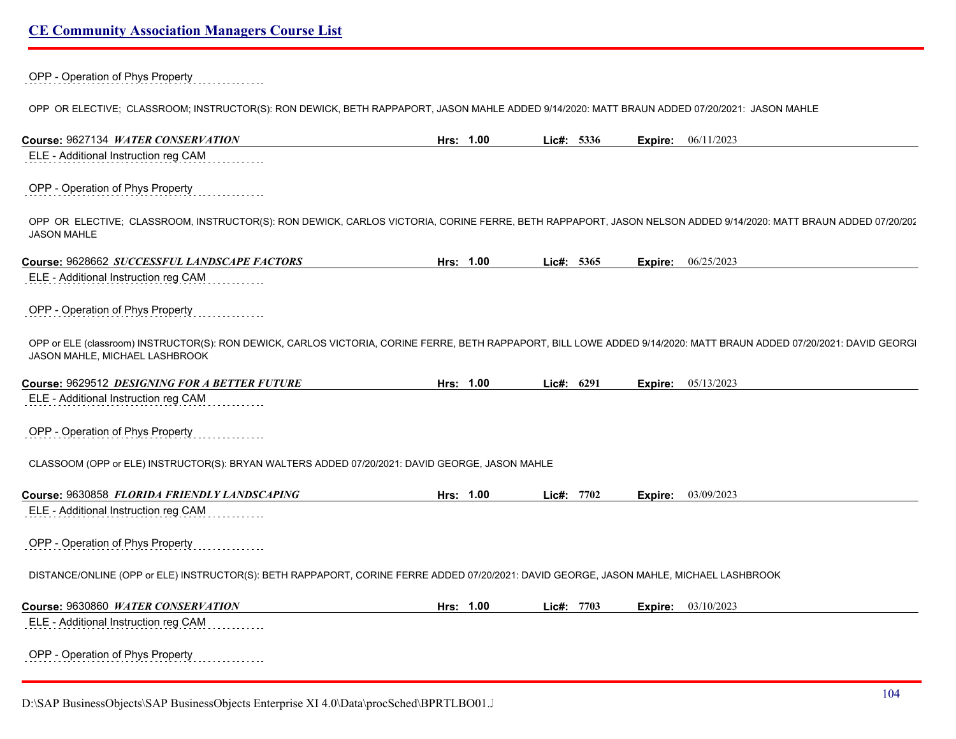OPP - Operation of Phys Property

OPP OR ELECTIVE; CLASSROOM; INSTRUCTOR(S): RON DEWICK, BETH RAPPAPORT, JASON MAHLE ADDED 9/14/2020: MATT BRAUN ADDED 07/20/2021: JASON MAHLE

| Course: 9627134 WATER CONSERVATION                                                                                                                                                                     | Hrs: 1.00 | Lic#: 5336 | Expire: | 06/11/2023 |
|--------------------------------------------------------------------------------------------------------------------------------------------------------------------------------------------------------|-----------|------------|---------|------------|
| ELE - Additional Instruction reg CAM                                                                                                                                                                   |           |            |         |            |
| OPP - Operation of Phys Property                                                                                                                                                                       |           |            |         |            |
| OPP OR ELECTIVE; CLASSROOM, INSTRUCTOR(S): RON DEWICK, CARLOS VICTORIA, CORINE FERRE, BETH RAPPAPORT, JASON NELSON ADDED 9/14/2020: MATT BRAUN ADDED 07/20/202<br><b>JASON MAHLE</b>                   |           |            |         |            |
| Course: 9628662 SUCCESSFUL LANDSCAPE FACTORS                                                                                                                                                           | Hrs: 1.00 | Lic#: 5365 | Expire: | 06/25/2023 |
| ELE - Additional Instruction reg CAM                                                                                                                                                                   |           |            |         |            |
| OPP - Operation of Phys Property                                                                                                                                                                       |           |            |         |            |
| OPP or ELE (classroom) INSTRUCTOR(S): RON DEWICK, CARLOS VICTORIA, CORINE FERRE, BETH RAPPAPORT, BILL LOWE ADDED 9/14/2020: MATT BRAUN ADDED 07/20/2021: DAVID GEORG<br>JASON MAHLE, MICHAEL LASHBROOK |           |            |         |            |
| Course: 9629512 DESIGNING FOR A BETTER FUTURE                                                                                                                                                          | Hrs: 1.00 | Lic#: 6291 | Expire: | 05/13/2023 |
| ELE - Additional Instruction reg CAM                                                                                                                                                                   |           |            |         |            |
| OPP - Operation of Phys Property                                                                                                                                                                       |           |            |         |            |
| CLASSOOM (OPP or ELE) INSTRUCTOR(S): BRYAN WALTERS ADDED 07/20/2021: DAVID GEORGE, JASON MAHLE                                                                                                         |           |            |         |            |
| Course: 9630858 FLORIDA FRIENDLY LANDSCAPING                                                                                                                                                           | Hrs: 1.00 | Lic#: 7702 | Expire: | 03/09/2023 |
| ELE - Additional Instruction reg CAM                                                                                                                                                                   |           |            |         |            |
| OPP - Operation of Phys Property                                                                                                                                                                       |           |            |         |            |
| DISTANCE/ONLINE (OPP or ELE) INSTRUCTOR(S): BETH RAPPAPORT, CORINE FERRE ADDED 07/20/2021: DAVID GEORGE, JASON MAHLE, MICHAEL LASHBROOK                                                                |           |            |         |            |
| Course: 9630860 WATER CONSERVATION                                                                                                                                                                     | Hrs: 1.00 | Lic#: 7703 | Expire: | 03/10/2023 |
| ELE - Additional Instruction reg CAM                                                                                                                                                                   |           |            |         |            |
| OPP - Operation of Phys Property<br>.                                                                                                                                                                  |           |            |         |            |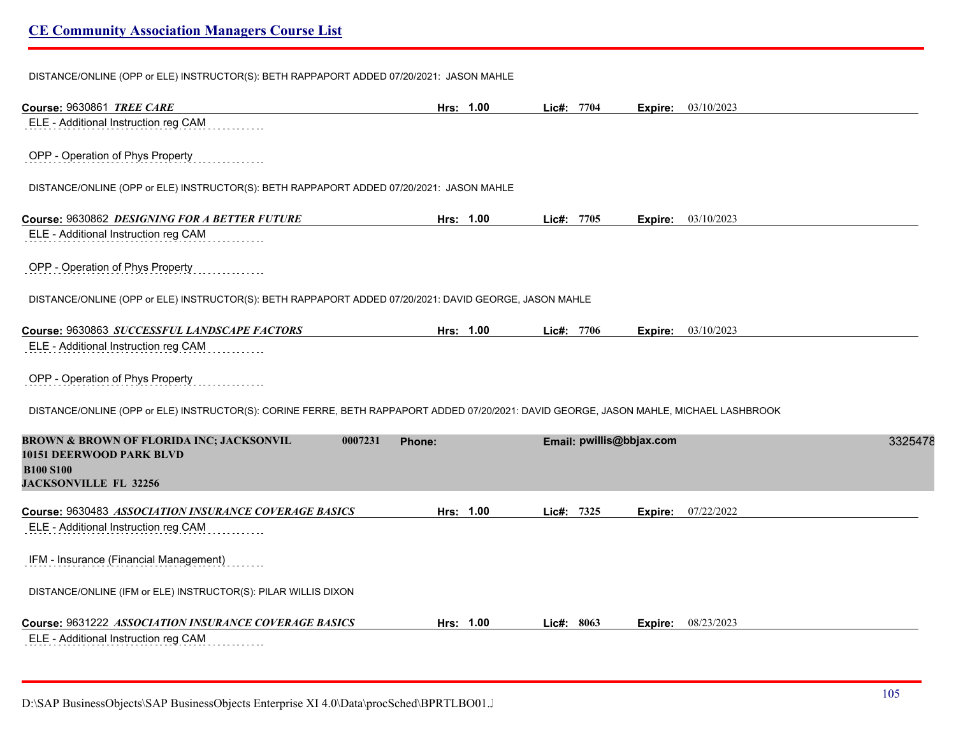DISTANCE/ONLINE (OPP or ELE) INSTRUCTOR(S): BETH RAPPAPORT ADDED 07/20/2021: JASON MAHLE

| Course: 9630861 TREE CARE                                                                                                               | Hrs: 1.00 | Lic#: 7704   |      |                          | Expire: 03/10/2023          |
|-----------------------------------------------------------------------------------------------------------------------------------------|-----------|--------------|------|--------------------------|-----------------------------|
| ELE - Additional Instruction reg CAM                                                                                                    |           |              |      |                          |                             |
| OPP - Operation of Phys Property                                                                                                        |           |              |      |                          |                             |
| DISTANCE/ONLINE (OPP or ELE) INSTRUCTOR(S): BETH RAPPAPORT ADDED 07/20/2021: JASON MAHLE                                                |           |              |      |                          |                             |
| Course: 9630862 DESIGNING FOR A BETTER FUTURE                                                                                           | Hrs: 1.00 | Lic#: $7705$ |      |                          | Expire: 03/10/2023          |
| ELE - Additional Instruction reg CAM                                                                                                    |           |              |      |                          |                             |
| OPP - Operation of Phys Property                                                                                                        |           |              |      |                          |                             |
| DISTANCE/ONLINE (OPP or ELE) INSTRUCTOR(S): BETH RAPPAPORT ADDED 07/20/2021: DAVID GEORGE, JASON MAHLE                                  |           |              |      |                          |                             |
| Course: 9630863 SUCCESSFUL LANDSCAPE FACTORS                                                                                            | Hrs: 1.00 | Lic#: 7706   |      |                          | <b>Expire:</b> $03/10/2023$ |
| ELE - Additional Instruction reg CAM                                                                                                    |           |              |      |                          |                             |
| OPP - Operation of Phys Property                                                                                                        |           |              |      |                          |                             |
| DISTANCE/ONLINE (OPP or ELE) INSTRUCTOR(S): CORINE FERRE, BETH RAPPAPORT ADDED 07/20/2021: DAVID GEORGE, JASON MAHLE, MICHAEL LASHBROOK |           |              |      |                          |                             |
| <b>BROWN &amp; BROWN OF FLORIDA INC; JACKSONVIL</b><br>0007231                                                                          | Phone:    |              |      | Email: pwillis@bbjax.com | 3325478                     |
| <b>10151 DEERWOOD PARK BLVD</b><br><b>B100 S100</b>                                                                                     |           |              |      |                          |                             |
| <b>JACKSONVILLE FL 32256</b>                                                                                                            |           |              |      |                          |                             |
| Course: 9630483 ASSOCIATION INSURANCE COVERAGE BASICS                                                                                   | Hrs: 1.00 | Lic#:        | 7325 | Expire:                  | 07/22/2022                  |
| ELE - Additional Instruction reg CAM                                                                                                    |           |              |      |                          |                             |
| IFM - Insurance (Financial Management)                                                                                                  |           |              |      |                          |                             |
| DISTANCE/ONLINE (IFM or ELE) INSTRUCTOR(S): PILAR WILLIS DIXON                                                                          |           |              |      |                          |                             |
| Course: 9631222 ASSOCIATION INSURANCE COVERAGE BASICS                                                                                   | Hrs: 1.00 | Lic#: 8063   |      | Expire:                  | 08/23/2023                  |
| ELE - Additional Instruction reg CAM                                                                                                    |           |              |      |                          |                             |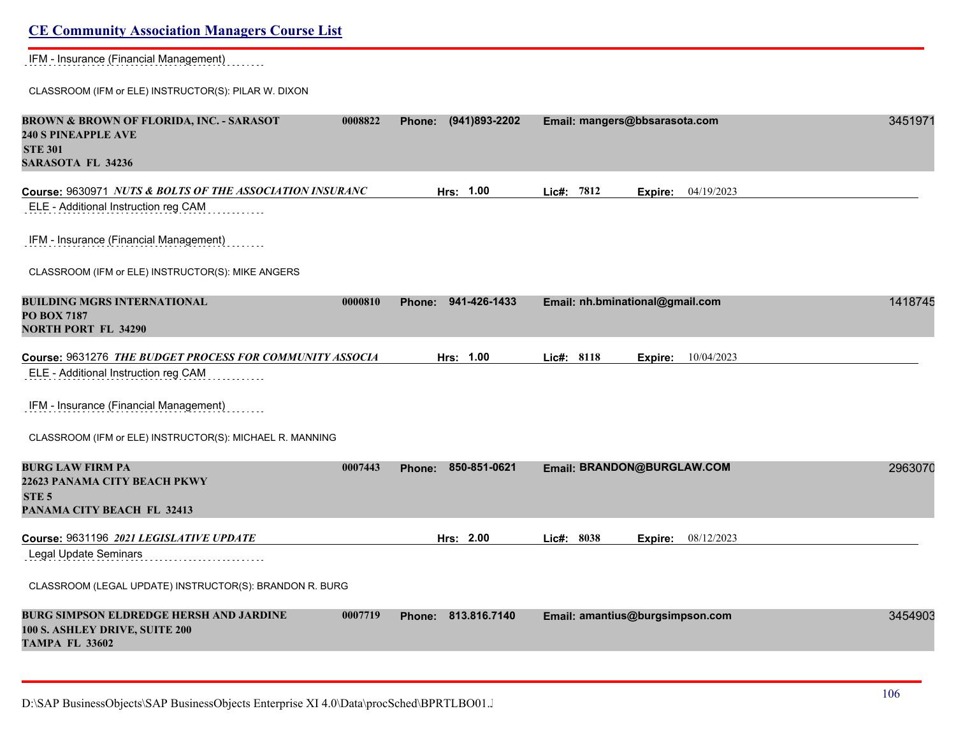## **CE Community Association Managers Course List** IFM - Insurance (Financial Management) CLASSROOM (IFM or ELE) INSTRUCTOR(S): PILAR W. DIXON **BROWN & BROWN OF FLORIDA, INC. - SARASOT 0008822 Phone: (941)893-2202 Email: mangers@bbsarasota.com** 34519710 **240 S PINEAPPLE AVE STE 301 SARASOTA FL 34236 Course:** 9630971 *NUTS & BOLTS OF THE ASSOCIATION INSURANC* **Hrs: 1.00 Lic#: 7812 Expire:** 04/19/2023 ELE - Additional Instruction reg CAM IFM - Insurance (Financial Management) CLASSROOM (IFM or ELE) INSTRUCTOR(S): MIKE ANGERS **BUILDING MGRS INTERNATIONAL 0000810 Phone: 941-426-1433 Email: nh.bminational@gmail.com** 14187458 **PO BOX 7187 NORTH PORT FL 34290 Course:** 9631276 *THE BUDGET PROCESS FOR COMMUNITY ASSOCIA* **Hrs: 1.00 Lic#: 8118 Expire:** 10/04/2023 ELE - Additional Instruction reg CAM IFM - Insurance (Financial Management) CLASSROOM (IFM or ELE) INSTRUCTOR(S): MICHAEL R. MANNING **BURG LAW FIRM PA 0007443 Phone: 850-851-0621 Email: BRANDON@BURGLAW.COM** 29630708 **22623 PANAMA CITY BEACH PKWY STE 5 PANAMA CITY BEACH FL 32413 Course:** 9631196 *2021 LEGISLATIVE UPDATE* **Hrs: 2.00 Lic#: 8038 Expire:** 08/12/2023 Legal Update Seminars CLASSROOM (LEGAL UPDATE) INSTRUCTOR(S): BRANDON R. BURG **BURG SIMPSON ELDREDGE HERSH AND JARDINE 0007719 Phone: 813.816.7140 Email: amantius@burgsimpson.com** 34549031 **100 S. ASHLEY DRIVE, SUITE 200 TAMPA FL 33602**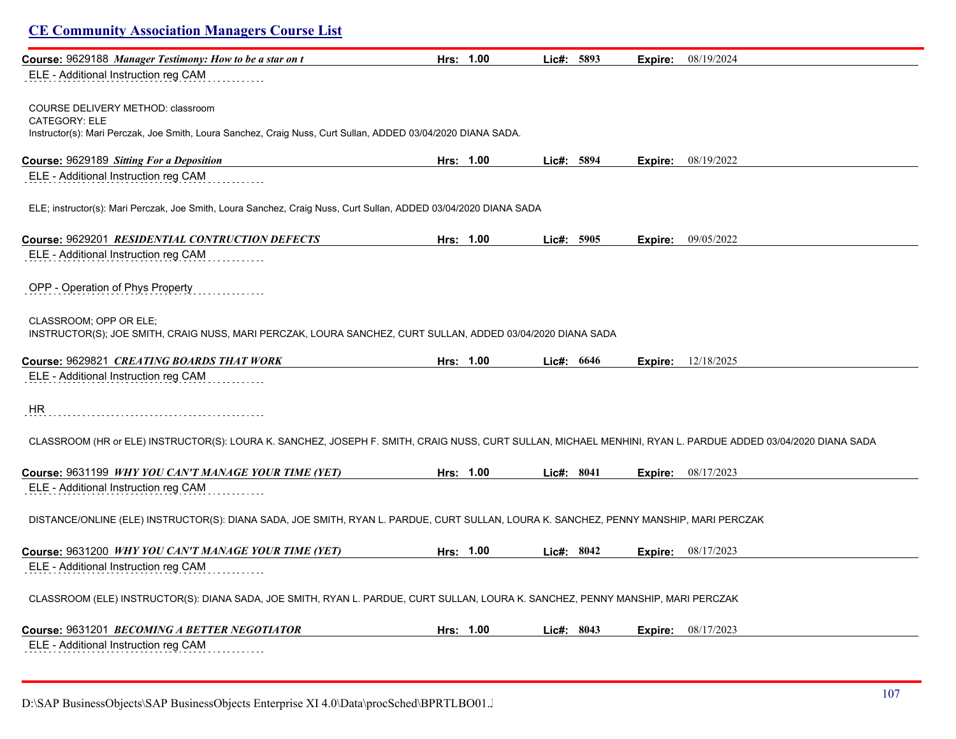| Course: 9629188 Manager Testimony: How to be a star on t                                                                                                     | Hrs: 1.00 | Lic#: 5893   | Expire: | 08/19/2024                  |
|--------------------------------------------------------------------------------------------------------------------------------------------------------------|-----------|--------------|---------|-----------------------------|
| ELE - Additional Instruction reg CAM                                                                                                                         |           |              |         |                             |
|                                                                                                                                                              |           |              |         |                             |
| COURSE DELIVERY METHOD: classroom                                                                                                                            |           |              |         |                             |
| CATEGORY: ELE                                                                                                                                                |           |              |         |                             |
| Instructor(s): Mari Perczak, Joe Smith, Loura Sanchez, Craig Nuss, Curt Sullan, ADDED 03/04/2020 DIANA SADA.                                                 |           |              |         |                             |
| Course: 9629189 Sitting For a Deposition                                                                                                                     | Hrs: 1.00 | Lic#: 5894   |         | <b>Expire:</b> $08/19/2022$ |
| ELE - Additional Instruction reg CAM                                                                                                                         |           |              |         |                             |
|                                                                                                                                                              |           |              |         |                             |
| ELE; instructor(s): Mari Perczak, Joe Smith, Loura Sanchez, Craig Nuss, Curt Sullan, ADDED 03/04/2020 DIANA SADA                                             |           |              |         |                             |
|                                                                                                                                                              |           |              |         |                             |
| Course: 9629201 RESIDENTIAL CONTRUCTION DEFECTS                                                                                                              | Hrs: 1.00 | Lie#: 5905   |         | Expire: 09/05/2022          |
| ELE - Additional Instruction reg CAM                                                                                                                         |           |              |         |                             |
|                                                                                                                                                              |           |              |         |                             |
| OPP - Operation of Phys Property                                                                                                                             |           |              |         |                             |
| CLASSROOM; OPP OR ELE;                                                                                                                                       |           |              |         |                             |
| INSTRUCTOR(S); JOE SMITH, CRAIG NUSS, MARI PERCZAK, LOURA SANCHEZ, CURT SULLAN, ADDED 03/04/2020 DIANA SADA                                                  |           |              |         |                             |
|                                                                                                                                                              |           |              |         |                             |
| Course: 9629821 CREATING BOARDS THAT WORK                                                                                                                    | Hrs: 1.00 | Lic#: $6646$ | Expire: | 12/18/2025                  |
| ELE - Additional Instruction reg CAM                                                                                                                         |           |              |         |                             |
|                                                                                                                                                              |           |              |         |                             |
| <b>HR</b>                                                                                                                                                    |           |              |         |                             |
| CLASSROOM (HR or ELE) INSTRUCTOR(S): LOURA K. SANCHEZ, JOSEPH F. SMITH, CRAIG NUSS, CURT SULLAN, MICHAEL MENHINI, RYAN L. PARDUE ADDED 03/04/2020 DIANA SADA |           |              |         |                             |
|                                                                                                                                                              |           |              |         |                             |
| Course: 9631199 WHY YOU CAN'T MANAGE YOUR TIME (YET)                                                                                                         | Hrs: 1.00 | Lic#: $8041$ |         | <b>Expire:</b> $08/17/2023$ |
| ELE - Additional Instruction reg CAM                                                                                                                         |           |              |         |                             |
|                                                                                                                                                              |           |              |         |                             |
| DISTANCE/ONLINE (ELE) INSTRUCTOR(S): DIANA SADA, JOE SMITH, RYAN L. PARDUE, CURT SULLAN, LOURA K. SANCHEZ, PENNY MANSHIP, MARI PERCZAK                       |           |              |         |                             |
|                                                                                                                                                              |           |              |         |                             |
| Course: 9631200 WHY YOU CAN'T MANAGE YOUR TIME (YET)                                                                                                         | Hrs: 1.00 | Lic#: $8042$ |         | Expire: 08/17/2023          |
| ELE - Additional Instruction reg CAM                                                                                                                         |           |              |         |                             |
|                                                                                                                                                              |           |              |         |                             |
| CLASSROOM (ELE) INSTRUCTOR(S): DIANA SADA, JOE SMITH, RYAN L. PARDUE, CURT SULLAN, LOURA K. SANCHEZ, PENNY MANSHIP, MARI PERCZAK                             |           |              |         |                             |
| Course: 9631201 <i>BECOMING A BETTER NEGOTIATOR</i>                                                                                                          | Hrs: 1.00 | Lic#: $8043$ |         | Expire: 08/17/2023          |
| ELE - Additional Instruction reg CAM                                                                                                                         |           |              |         |                             |
|                                                                                                                                                              |           |              |         |                             |

D:\SAP BusinessObjects\SAP BusinessObjects Enterprise XI 4.0\Data\procSched\BPRTLBO01.J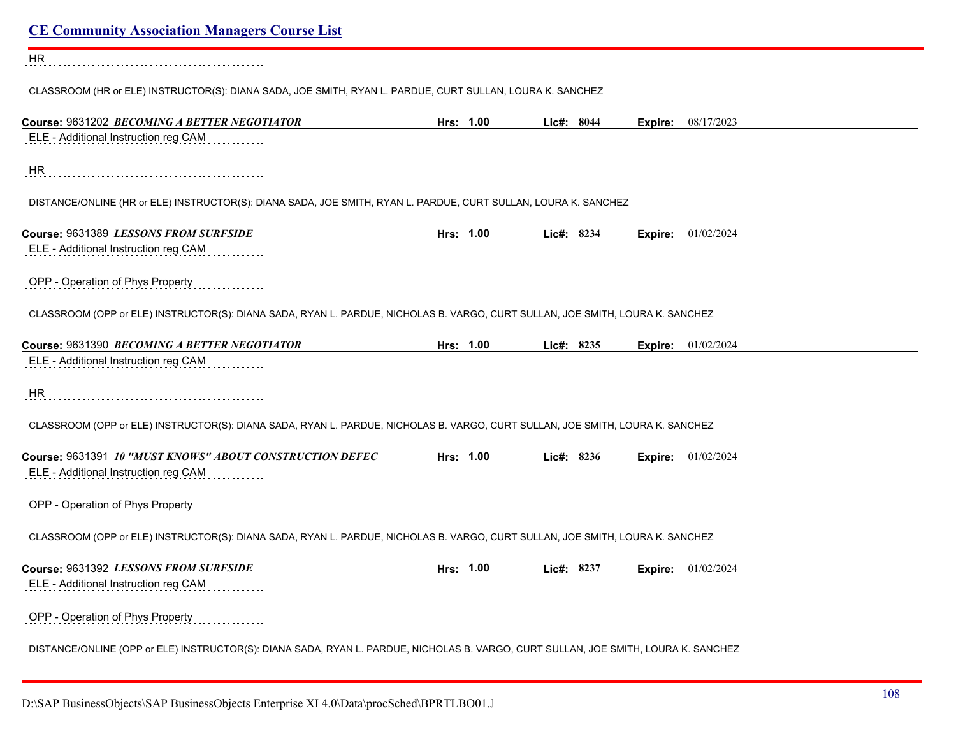| <b>CE Community Association Managers Course List</b>                                                                                |           |           |            |  |         |                             |
|-------------------------------------------------------------------------------------------------------------------------------------|-----------|-----------|------------|--|---------|-----------------------------|
| <b>HR</b>                                                                                                                           |           |           |            |  |         |                             |
| CLASSROOM (HR or ELE) INSTRUCTOR(S): DIANA SADA, JOE SMITH, RYAN L. PARDUE, CURT SULLAN, LOURA K. SANCHEZ                           |           |           |            |  |         |                             |
| Course: 9631202 BECOMING A BETTER NEGOTIATOR                                                                                        |           | Hrs: 1.00 | Lic#: 8044 |  |         | <b>Expire:</b> 08/17/2023   |
| ELE - Additional Instruction reg CAM                                                                                                |           |           |            |  |         |                             |
| HR                                                                                                                                  |           |           |            |  |         |                             |
| DISTANCE/ONLINE (HR or ELE) INSTRUCTOR(S): DIANA SADA, JOE SMITH, RYAN L. PARDUE, CURT SULLAN, LOURA K. SANCHEZ                     |           |           |            |  |         |                             |
| Course: 9631389 LESSONS FROM SURFSIDE                                                                                               |           | Hrs: 1.00 | Lic#: 8234 |  |         | <b>Expire:</b> 01/02/2024   |
| ELE - Additional Instruction reg CAM                                                                                                |           |           |            |  |         |                             |
| OPP - Operation of Phys Property                                                                                                    |           |           |            |  |         |                             |
| CLASSROOM (OPP or ELE) INSTRUCTOR(S): DIANA SADA, RYAN L. PARDUE, NICHOLAS B. VARGO, CURT SULLAN, JOE SMITH, LOURA K. SANCHEZ       |           |           |            |  |         |                             |
| Course: 9631390 BECOMING A BETTER NEGOTIATOR                                                                                        | Hrs: 1.00 |           | Lic#: 8235 |  |         | <b>Expire:</b> 01/02/2024   |
| ELE - Additional Instruction reg CAM                                                                                                |           |           |            |  |         |                             |
| <b>HR</b>                                                                                                                           |           |           |            |  |         |                             |
| CLASSROOM (OPP or ELE) INSTRUCTOR(S): DIANA SADA, RYAN L. PARDUE, NICHOLAS B. VARGO, CURT SULLAN, JOE SMITH, LOURA K. SANCHEZ       |           |           |            |  |         |                             |
| Course: 9631391 10 "MUST KNOWS" ABOUT CONSTRUCTION DEFEC                                                                            |           | Hrs: 1.00 | Lic#: 8236 |  |         | <b>Expire:</b> $01/02/2024$ |
| ELE - Additional Instruction reg CAM                                                                                                |           |           |            |  |         |                             |
| OPP - Operation of Phys Property                                                                                                    |           |           |            |  |         |                             |
| CLASSROOM (OPP or ELE) INSTRUCTOR(S): DIANA SADA, RYAN L. PARDUE, NICHOLAS B. VARGO, CURT SULLAN, JOE SMITH, LOURA K. SANCHEZ       |           |           |            |  |         |                             |
| Course: 9631392 LESSONS FROM SURFSIDE                                                                                               | Hrs: 1.00 |           | Lic#: 8237 |  | Expire: | 01/02/2024                  |
| ELE - Additional Instruction reg CAM                                                                                                |           |           |            |  |         |                             |
| OPP - Operation of Phys Property                                                                                                    |           |           |            |  |         |                             |
| DISTANCE/ONLINE (OPP or ELE) INSTRUCTOR(S): DIANA SADA, RYAN L. PARDUE, NICHOLAS B. VARGO, CURT SULLAN, JOE SMITH, LOURA K. SANCHEZ |           |           |            |  |         |                             |
|                                                                                                                                     |           |           |            |  |         |                             |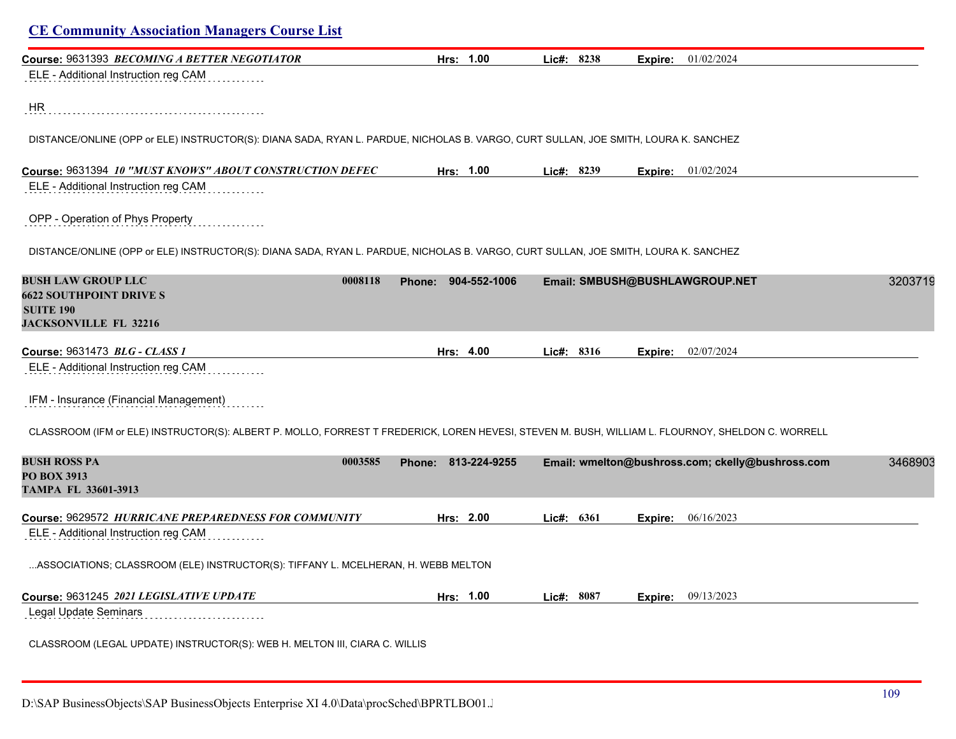| Course: 9631393 BECOMING A BETTER NEGOTIATOR                                                                                                      | Hrs: 1.00           | Lic#: 8238 | Expire: | 01/02/2024                                       |         |
|---------------------------------------------------------------------------------------------------------------------------------------------------|---------------------|------------|---------|--------------------------------------------------|---------|
| ELE - Additional Instruction reg CAM                                                                                                              |                     |            |         |                                                  |         |
| HR                                                                                                                                                |                     |            |         |                                                  |         |
| DISTANCE/ONLINE (OPP or ELE) INSTRUCTOR(S): DIANA SADA, RYAN L. PARDUE, NICHOLAS B. VARGO, CURT SULLAN, JOE SMITH, LOURA K. SANCHEZ               |                     |            |         |                                                  |         |
| Course: 9631394 10 "MUST KNOWS" ABOUT CONSTRUCTION DEFEC<br>ELE - Additional Instruction reg CAM                                                  | Hrs: 1.00           | Lic#: 8239 |         | <b>Expire:</b> 01/02/2024                        |         |
| OPP - Operation of Phys Property                                                                                                                  |                     |            |         |                                                  |         |
| DISTANCE/ONLINE (OPP or ELE) INSTRUCTOR(S): DIANA SADA, RYAN L. PARDUE, NICHOLAS B. VARGO, CURT SULLAN, JOE SMITH, LOURA K. SANCHEZ               |                     |            |         |                                                  |         |
| <b>BUSH LAW GROUP LLC</b><br>0008118<br><b>6622 SOUTHPOINT DRIVE S</b><br><b>SUITE 190</b><br><b>JACKSONVILLE FL 32216</b>                        | Phone: 904-552-1006 |            |         | Email: SMBUSH@BUSHLAWGROUP.NET                   | 3203719 |
| Course: 9631473 BLG - CLASS 1                                                                                                                     | Hrs: 4.00           | Lic#: 8316 | Expire: | 02/07/2024                                       |         |
| ELE - Additional Instruction reg CAM                                                                                                              |                     |            |         |                                                  |         |
| IFM - Insurance (Financial Management)                                                                                                            |                     |            |         |                                                  |         |
| CLASSROOM (IFM or ELE) INSTRUCTOR(S): ALBERT P. MOLLO, FORREST T FREDERICK, LOREN HEVESI, STEVEN M. BUSH, WILLIAM L. FLOURNOY, SHELDON C. WORRELL |                     |            |         |                                                  |         |
| <b>BUSH ROSS PA</b><br>0003585<br><b>PO BOX 3913</b><br><b>TAMPA FL 33601-3913</b>                                                                | Phone: 813-224-9255 |            |         | Email: wmelton@bushross.com; ckelly@bushross.com | 3468903 |
| Course: 9629572 HURRICANE PREPAREDNESS FOR COMMUNITY                                                                                              | Hrs: 2.00           | Lic#: 6361 | Expire: | 06/16/2023                                       |         |
| ELE - Additional Instruction reg CAM                                                                                                              |                     |            |         |                                                  |         |
| ASSOCIATIONS; CLASSROOM (ELE) INSTRUCTOR(S): TIFFANY L. MCELHERAN, H. WEBB MELTON                                                                 |                     |            |         |                                                  |         |
| Course: 9631245 2021 LEGISLATIVE UPDATE                                                                                                           | Hrs: 1.00           | Lic#: 8087 | Expire: | 09/13/2023                                       |         |
| Legal Update Seminars                                                                                                                             |                     |            |         |                                                  |         |
| CLASSROOM (LEGAL UPDATE) INSTRUCTOR(S): WEB H. MELTON III, CIARA C. WILLIS                                                                        |                     |            |         |                                                  |         |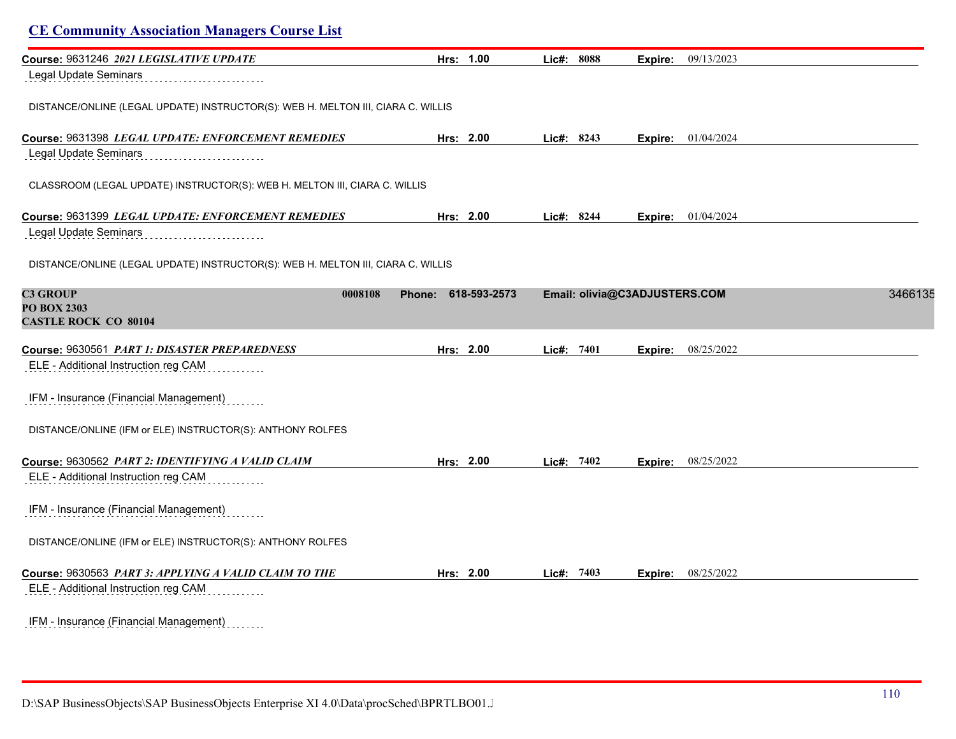| <b>CE Community Association Managers Course List</b>                             |                               |               |                               |                           |         |
|----------------------------------------------------------------------------------|-------------------------------|---------------|-------------------------------|---------------------------|---------|
| Course: 9631246 2021 LEGISLATIVE UPDATE                                          | Hrs: 1.00                     | Lic#: 8088    | Expire:                       | 09/13/2023                |         |
| Legal Update Seminars                                                            |                               |               |                               |                           |         |
| DISTANCE/ONLINE (LEGAL UPDATE) INSTRUCTOR(S): WEB H. MELTON III, CIARA C. WILLIS |                               |               |                               |                           |         |
| Course: 9631398 LEGAL UPDATE: ENFORCEMENT REMEDIES<br>Legal Update Seminars      | Hrs: 2.00                     | Lic#: 8243    |                               | <b>Expire:</b> 01/04/2024 |         |
| CLASSROOM (LEGAL UPDATE) INSTRUCTOR(S): WEB H. MELTON III, CIARA C. WILLIS       |                               |               |                               |                           |         |
| Course: 9631399 LEGAL UPDATE: ENFORCEMENT REMEDIES                               | Hrs: 2.00                     | $Lic\#: 8244$ | Expire:                       | 01/04/2024                |         |
| Legal Update Seminars                                                            |                               |               |                               |                           |         |
| DISTANCE/ONLINE (LEGAL UPDATE) INSTRUCTOR(S): WEB H. MELTON III, CIARA C. WILLIS |                               |               |                               |                           |         |
| <b>C3 GROUP</b><br>0008108<br><b>PO BOX 2303</b><br><b>CASTLE ROCK CO 80104</b>  | 618-593-2573<br><b>Phone:</b> |               | Email: olivia@C3ADJUSTERS.COM |                           | 3466135 |
| Course: 9630561 PART 1: DISASTER PREPAREDNESS                                    | Hrs: 2.00                     | Lic#: 7401    | Expire:                       | 08/25/2022                |         |
| ELE - Additional Instruction reg CAM                                             |                               |               |                               |                           |         |
| IFM - Insurance (Financial Management)                                           |                               |               |                               |                           |         |
| DISTANCE/ONLINE (IFM or ELE) INSTRUCTOR(S): ANTHONY ROLFES                       |                               |               |                               |                           |         |
| Course: 9630562 PART 2: IDENTIFYING A VALID CLAIM                                | Hrs: 2.00                     | Lic#: 7402    | Expire:                       | 08/25/2022                |         |
| ELE - Additional Instruction reg CAM                                             |                               |               |                               |                           |         |
| IFM - Insurance (Financial Management)                                           |                               |               |                               |                           |         |
| DISTANCE/ONLINE (IFM or ELE) INSTRUCTOR(S): ANTHONY ROLFES                       |                               |               |                               |                           |         |
| Course: 9630563 PART 3: APPLYING A VALID CLAIM TO THE                            | Hrs: 2.00                     | Lic#: $7403$  | Expire:                       | 08/25/2022                |         |
| ELE - Additional Instruction reg CAM                                             |                               |               |                               |                           |         |
| IFM - Insurance (Financial Management)                                           |                               |               |                               |                           |         |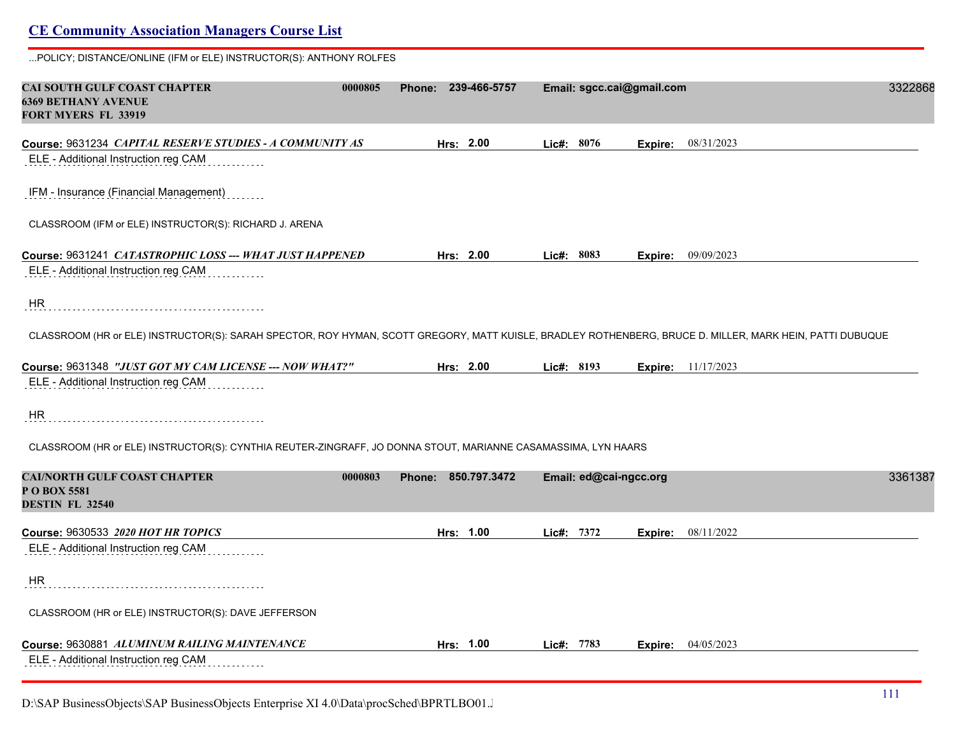### **CE Community Association Managers Course List** ...POLICY; DISTANCE/ONLINE (IFM or ELE) INSTRUCTOR(S): ANTHONY ROLFES **CAI SOUTH GULF COAST CHAPTER 0000805 Phone: 239-466-5757 Email: sgcc.cai@gmail.com** 33228687 **6369 BETHANY AVENUE FORT MYERS FL 33919 Course:** 9631234 *CAPITAL RESERVE STUDIES - A COMMUNITY AS* **Hrs: 2.00 Lic#: 8076 Expire:** 08/31/2023 ELE - Additional Instruction reg CAM IFM - Insurance (Financial Management) CLASSROOM (IFM or ELE) INSTRUCTOR(S): RICHARD J. ARENA **Course:** 9631241 *CATASTROPHIC LOSS --- WHAT JUST HAPPENED* **Hrs: 2.00 Lic#: 8083 Expire:** 09/09/2023 ELE - Additional Instruction reg CAM HR CLASSROOM (HR or ELE) INSTRUCTOR(S): SARAH SPECTOR, ROY HYMAN, SCOTT GREGORY, MATT KUISLE, BRADLEY ROTHENBERG, BRUCE D. MILLER, MARK HEIN, PATTI DUBUQUE **Course:** 9631348 *"JUST GOT MY CAM LICENSE --- NOW WHAT?"* **Hrs: 2.00 Lic#: 8193 Expire:** 11/17/2023 ELE - Additional Instruction reg CAM HR CLASSROOM (HR or ELE) INSTRUCTOR(S): CYNTHIA REUTER-ZINGRAFF, JO DONNA STOUT, MARIANNE CASAMASSIMA, LYN HAARS **CAI/NORTH GULF COAST CHAPTER 0000803 Phone: 850.797.3472 Email: ed@cai-ngcc.org** 33613879 **P O BOX 5581 DESTIN FL 32540 Course:** 9630533 *2020 HOT HR TOPICS* **Hrs: 1.00 Lic#: 7372 Expire:** 08/11/2022 ELE - Additional Instruction reg CAM HR CLASSROOM (HR or ELE) INSTRUCTOR(S): DAVE JEFFERSON **Course:** 9630881 *ALUMINUM RAILING MAINTENANCE* **Hrs: 1.00 Lic#: 7783 Expire:** 04/05/2023 ELE - Additional Instruction reg CAM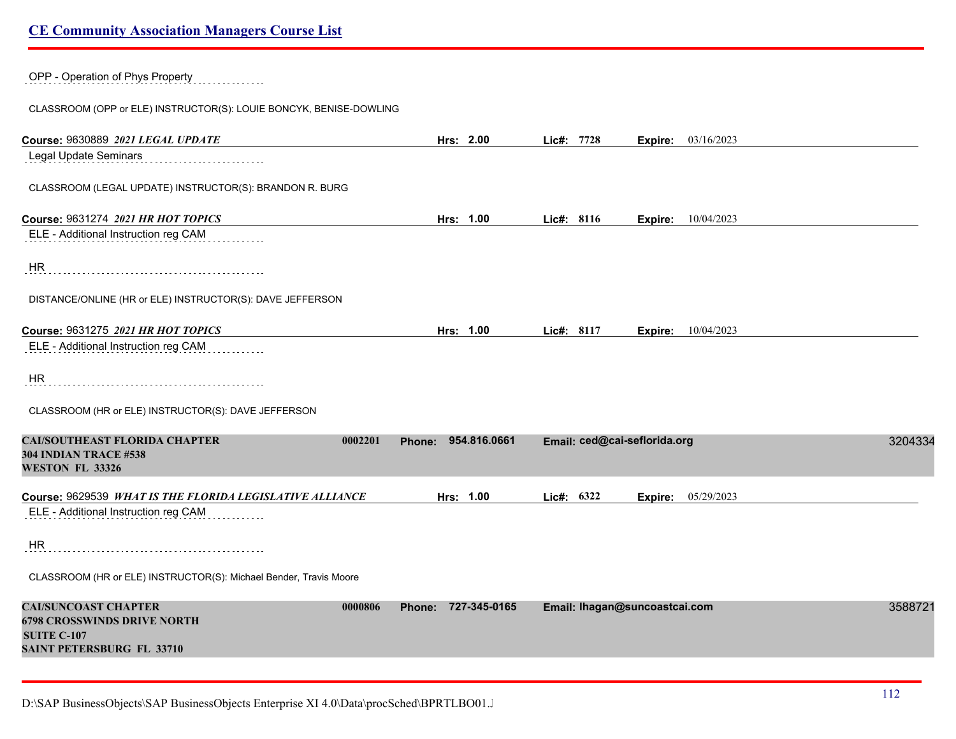#### OPP - Operation of Phys Property

CLASSROOM (OPP or ELE) INSTRUCTOR(S): LOUIE BONCYK, BENISE-DOWLING

| Course: 9630889 2021 LEGAL UPDATE                                                                         | Hrs: 2.00              | Lic#: 7728                   | <b>Expire:</b> 03/16/2023     |         |
|-----------------------------------------------------------------------------------------------------------|------------------------|------------------------------|-------------------------------|---------|
| Legal Update Seminars                                                                                     |                        |                              |                               |         |
| CLASSROOM (LEGAL UPDATE) INSTRUCTOR(S): BRANDON R. BURG                                                   |                        |                              |                               |         |
| Course: 9631274 2021 HR HOT TOPICS                                                                        | Hrs: 1.00              | Lic#: 8116                   | 10/04/2023<br>Expire:         |         |
| ELE - Additional Instruction reg CAM                                                                      |                        |                              |                               |         |
| <b>HR</b>                                                                                                 |                        |                              |                               |         |
| DISTANCE/ONLINE (HR or ELE) INSTRUCTOR(S): DAVE JEFFERSON                                                 |                        |                              |                               |         |
|                                                                                                           |                        |                              |                               |         |
| Course: 9631275 2021 HR HOT TOPICS                                                                        | Hrs: 1.00              | Lic#: 8117                   | 10/04/2023<br>Expire:         |         |
| ELE - Additional Instruction reg CAM                                                                      |                        |                              |                               |         |
| HR.                                                                                                       |                        |                              |                               |         |
| CLASSROOM (HR or ELE) INSTRUCTOR(S): DAVE JEFFERSON                                                       |                        |                              |                               |         |
| <b>CAI/SOUTHEAST FLORIDA CHAPTER</b><br>0002201<br><b>304 INDIAN TRACE #538</b><br><b>WESTON FL 33326</b> | 954.816.0661<br>Phone: | Email: ced@cai-seflorida.org |                               | 3204334 |
| Course: 9629539 WHAT IS THE FLORIDA LEGISLATIVE ALLIANCE                                                  | Hrs: 1.00              | Lic#: 6322                   | 05/29/2023<br>Expire:         |         |
| ELE - Additional Instruction reg CAM                                                                      |                        |                              |                               |         |
|                                                                                                           |                        |                              |                               |         |
| <b>HR</b>                                                                                                 |                        |                              |                               |         |
| CLASSROOM (HR or ELE) INSTRUCTOR(S): Michael Bender, Travis Moore                                         |                        |                              |                               |         |
| <b>CAI/SUNCOAST CHAPTER</b><br>0000806                                                                    | Phone: 727-345-0165    |                              | Email: Ihagan@suncoastcai.com | 3588721 |
| <b>6798 CROSSWINDS DRIVE NORTH</b>                                                                        |                        |                              |                               |         |
| <b>SUITE C-107</b>                                                                                        |                        |                              |                               |         |
| <b>SAINT PETERSBURG FL 33710</b>                                                                          |                        |                              |                               |         |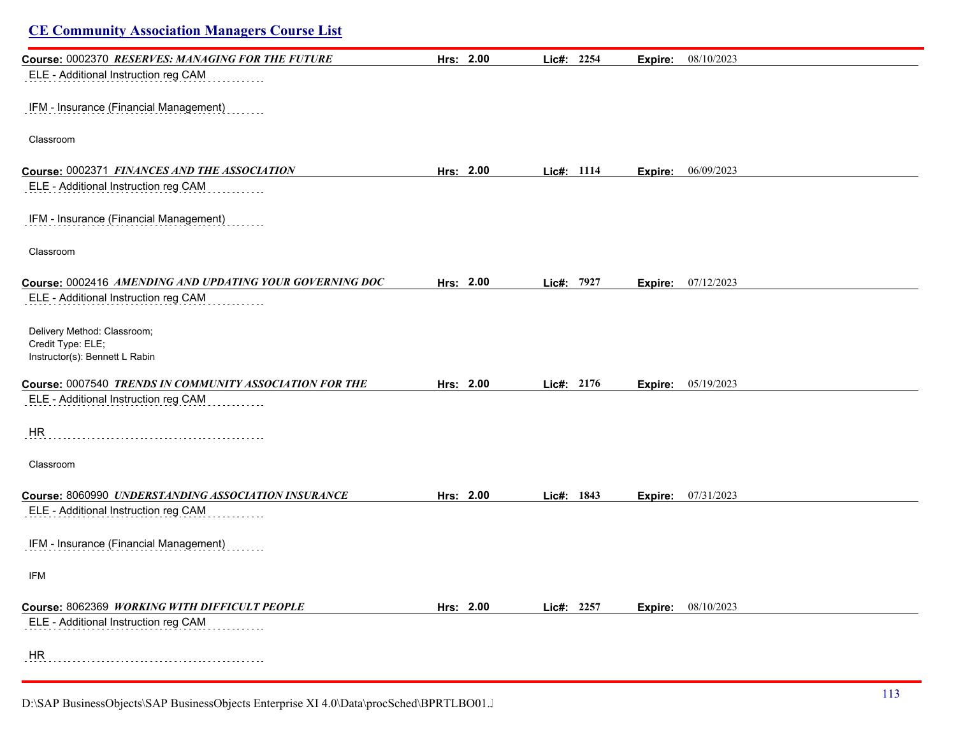| <b>CE Community Association Managers Course List</b>                               |           |            |         |            |
|------------------------------------------------------------------------------------|-----------|------------|---------|------------|
| Course: 0002370 RESERVES: MANAGING FOR THE FUTURE                                  | Hrs: 2.00 | Lic#: 2254 | Expire: | 08/10/2023 |
| ELE - Additional Instruction reg CAM                                               |           |            |         |            |
| IFM - Insurance (Financial Management)                                             |           |            |         |            |
| Classroom                                                                          |           |            |         |            |
| Course: 0002371 FINANCES AND THE ASSOCIATION                                       | Hrs: 2.00 | Lic#: 1114 | Expire: | 06/09/2023 |
| ELE - Additional Instruction reg CAM                                               |           |            |         |            |
| IFM - Insurance (Financial Management)                                             |           |            |         |            |
| Classroom                                                                          |           |            |         |            |
| Course: 0002416 AMENDING AND UPDATING YOUR GOVERNING DOC                           | Hrs: 2.00 | Lic#: 7927 | Expire: | 07/12/2023 |
| ELE - Additional Instruction reg CAM                                               |           |            |         |            |
| Delivery Method: Classroom;<br>Credit Type: ELE;<br>Instructor(s): Bennett L Rabin |           |            |         |            |
| Course: 0007540 TRENDS IN COMMUNITY ASSOCIATION FOR THE                            | Hrs: 2.00 | Lic#: 2176 | Expire: | 05/19/2023 |
| ELE - Additional Instruction reg CAM                                               |           |            |         |            |
| HR                                                                                 |           |            |         |            |
| Classroom                                                                          |           |            |         |            |
| Course: 8060990 UNDERSTANDING ASSOCIATION INSURANCE                                | Hrs: 2.00 | Lic#: 1843 | Expire: | 07/31/2023 |
| ELE - Additional Instruction reg CAM                                               |           |            |         |            |
| IFM - Insurance (Financial Management)                                             |           |            |         |            |
| IFM                                                                                |           |            |         |            |
| Course: 8062369 WORKING WITH DIFFICULT PEOPLE                                      | Hrs: 2.00 | Lic#: 2257 | Expire: | 08/10/2023 |
| ELE - Additional Instruction reg CAM                                               |           |            |         |            |
| HR                                                                                 |           |            |         |            |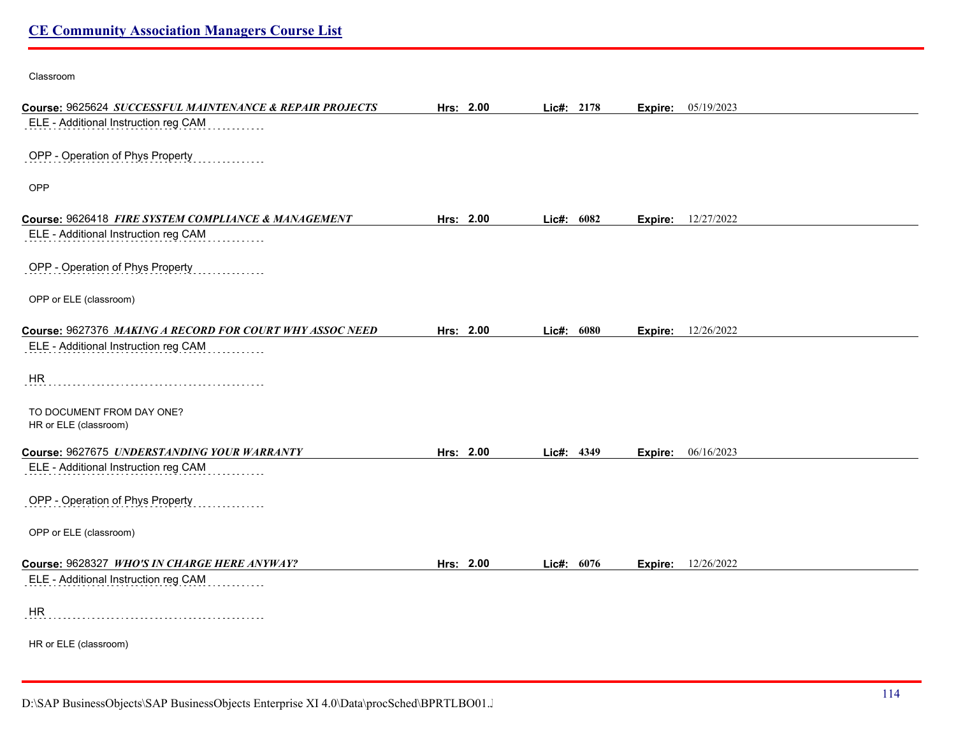#### Classroom

| Course: 9625624 SUCCESSFUL MAINTENANCE & REPAIR PROJECTS | Hrs: 2.00 | Lic#: 2178 | <b>Expire:</b> 05/19/2023    |  |
|----------------------------------------------------------|-----------|------------|------------------------------|--|
| ELE - Additional Instruction reg CAM                     |           |            |                              |  |
|                                                          |           |            |                              |  |
| OPP - Operation of Phys Property                         |           |            |                              |  |
| OPP                                                      |           |            |                              |  |
|                                                          |           |            |                              |  |
| Course: 9626418 FIRE SYSTEM COMPLIANCE & MANAGEMENT      | Hrs: 2.00 | Lic#: 6082 | <b>Expire:</b> 12/27/2022    |  |
| ELE - Additional Instruction reg CAM                     |           |            |                              |  |
|                                                          |           |            |                              |  |
| OPP - Operation of Phys Property                         |           |            |                              |  |
|                                                          |           |            |                              |  |
| OPP or ELE (classroom)                                   |           |            |                              |  |
| Course: 9627376 MAKING A RECORD FOR COURT WHY ASSOC NEED | Hrs: 2.00 | Lic#: 6080 | <b>Expire:</b> 12/26/2022    |  |
| ELE - Additional Instruction reg CAM                     |           |            |                              |  |
|                                                          |           |            |                              |  |
| HR                                                       |           |            |                              |  |
|                                                          |           |            |                              |  |
| TO DOCUMENT FROM DAY ONE?                                |           |            |                              |  |
| HR or ELE (classroom)                                    |           |            |                              |  |
| Course: 9627675 UNDERSTANDING YOUR WARRANTY              | Hrs: 2.00 | Lic#: 4349 | 06/16/2023<br><b>Expire:</b> |  |
| ELE - Additional Instruction reg CAM                     |           |            |                              |  |
|                                                          |           |            |                              |  |
| OPP - Operation of Phys Property                         |           |            |                              |  |
|                                                          |           |            |                              |  |
| OPP or ELE (classroom)                                   |           |            |                              |  |
| Course: 9628327 WHO'S IN CHARGE HERE ANYWAY?             | Hrs: 2.00 | Lic#: 6076 | <b>Expire:</b> 12/26/2022    |  |
| ELE - Additional Instruction reg CAM                     |           |            |                              |  |
|                                                          |           |            |                              |  |
| <b>HR</b>                                                |           |            |                              |  |
|                                                          |           |            |                              |  |
| HR or ELE (classroom)                                    |           |            |                              |  |
|                                                          |           |            |                              |  |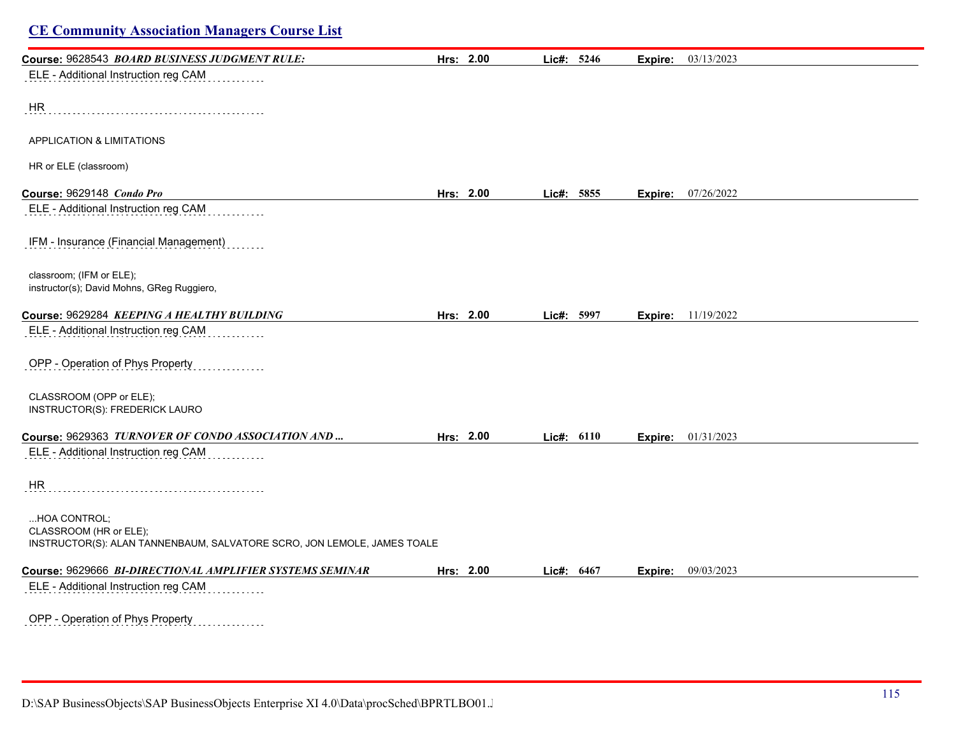| Course: 9628543 BOARD BUSINESS JUDGMENT RULE:                                                                     | Hrs: 2.00 | Lic#: 5246 | Expire: | 03/13/2023 |  |
|-------------------------------------------------------------------------------------------------------------------|-----------|------------|---------|------------|--|
| ELE - Additional Instruction reg CAM                                                                              |           |            |         |            |  |
| HR                                                                                                                |           |            |         |            |  |
| <b>APPLICATION &amp; LIMITATIONS</b>                                                                              |           |            |         |            |  |
| HR or ELE (classroom)                                                                                             |           |            |         |            |  |
| Course: 9629148 Condo Pro                                                                                         | Hrs: 2.00 | Lic#: 5855 | Expire: | 07/26/2022 |  |
| ELE - Additional Instruction reg CAM                                                                              |           |            |         |            |  |
| IFM - Insurance (Financial Management)                                                                            |           |            |         |            |  |
| classroom; (IFM or ELE);<br>instructor(s); David Mohns, GReg Ruggiero,                                            |           |            |         |            |  |
| Course: 9629284 KEEPING A HEALTHY BUILDING                                                                        | Hrs: 2.00 | Lic#: 5997 | Expire: | 11/19/2022 |  |
| ELE - Additional Instruction reg CAM                                                                              |           |            |         |            |  |
| OPP - Operation of Phys Property                                                                                  |           |            |         |            |  |
| CLASSROOM (OPP or ELE);<br>INSTRUCTOR(S): FREDERICK LAURO                                                         |           |            |         |            |  |
| Course: 9629363 TURNOVER OF CONDO ASSOCIATION AND                                                                 | Hrs: 2.00 | Lic#: 6110 | Expire: | 01/31/2023 |  |
| ELE - Additional Instruction reg CAM                                                                              |           |            |         |            |  |
| HR                                                                                                                |           |            |         |            |  |
| HOA CONTROL;<br>CLASSROOM (HR or ELE);<br>INSTRUCTOR(S): ALAN TANNENBAUM, SALVATORE SCRO, JON LEMOLE, JAMES TOALE |           |            |         |            |  |
|                                                                                                                   |           |            |         |            |  |
| Course: 9629666 BI-DIRECTIONAL AMPLIFIER SYSTEMS SEMINAR                                                          | Hrs: 2.00 | Lic#: 6467 | Expire: | 09/03/2023 |  |
| ELE - Additional Instruction reg CAM                                                                              |           |            |         |            |  |
| OPP - Operation of Phys Property<br>.                                                                             |           |            |         |            |  |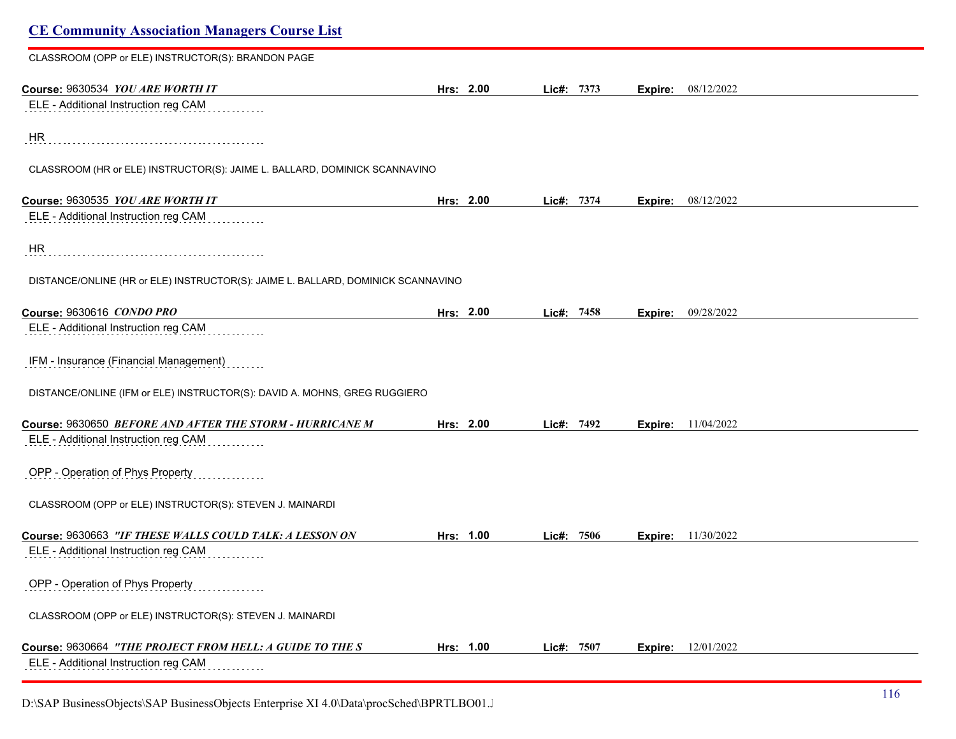| <b>CE Community Association Managers Course List</b>                             |           |            |                |            |  |
|----------------------------------------------------------------------------------|-----------|------------|----------------|------------|--|
| CLASSROOM (OPP or ELE) INSTRUCTOR(S): BRANDON PAGE                               |           |            |                |            |  |
| Course: 9630534 YOU ARE WORTH IT                                                 | Hrs: 2.00 | Lic#: 7373 | <b>Expire:</b> | 08/12/2022 |  |
| ELE - Additional Instruction reg CAM                                             |           |            |                |            |  |
| HR                                                                               |           |            |                |            |  |
| CLASSROOM (HR or ELE) INSTRUCTOR(S): JAIME L. BALLARD, DOMINICK SCANNAVINO       |           |            |                |            |  |
| Course: 9630535 YOU ARE WORTH IT                                                 | Hrs: 2.00 | Lic#: 7374 | Expire:        | 08/12/2022 |  |
| ELE - Additional Instruction reg CAM                                             |           |            |                |            |  |
| HR                                                                               |           |            |                |            |  |
| DISTANCE/ONLINE (HR or ELE) INSTRUCTOR(S): JAIME L. BALLARD, DOMINICK SCANNAVINO |           |            |                |            |  |
| Course: 9630616 CONDO PRO                                                        | Hrs: 2.00 | Lic#: 7458 | Expire:        | 09/28/2022 |  |
| ELE - Additional Instruction reg CAM                                             |           |            |                |            |  |
| IFM - Insurance (Financial Management)                                           |           |            |                |            |  |
| DISTANCE/ONLINE (IFM or ELE) INSTRUCTOR(S): DAVID A. MOHNS, GREG RUGGIERO        |           |            |                |            |  |
| Course: 9630650 BEFORE AND AFTER THE STORM - HURRICANE M                         | Hrs: 2.00 | Lic#: 7492 | Expire:        | 11/04/2022 |  |
| ELE - Additional Instruction reg CAM                                             |           |            |                |            |  |
| OPP - Operation of Phys Property                                                 |           |            |                |            |  |
| CLASSROOM (OPP or ELE) INSTRUCTOR(S): STEVEN J. MAINARDI                         |           |            |                |            |  |
| Course: 9630663 "IF THESE WALLS COULD TALK: A LESSON ON                          | Hrs: 1.00 | Lic#: 7506 | Expire:        | 11/30/2022 |  |
| ELE - Additional Instruction reg CAM                                             |           |            |                |            |  |
| OPP - Operation of Phys Property                                                 |           |            |                |            |  |
| CLASSROOM (OPP or ELE) INSTRUCTOR(S): STEVEN J. MAINARDI                         |           |            |                |            |  |
| Course: 9630664 "THE PROJECT FROM HELL: A GUIDE TO THE S                         | Hrs: 1.00 | Lic#: 7507 | <b>Expire:</b> | 12/01/2022 |  |
| ELE - Additional Instruction reg CAM                                             |           |            |                |            |  |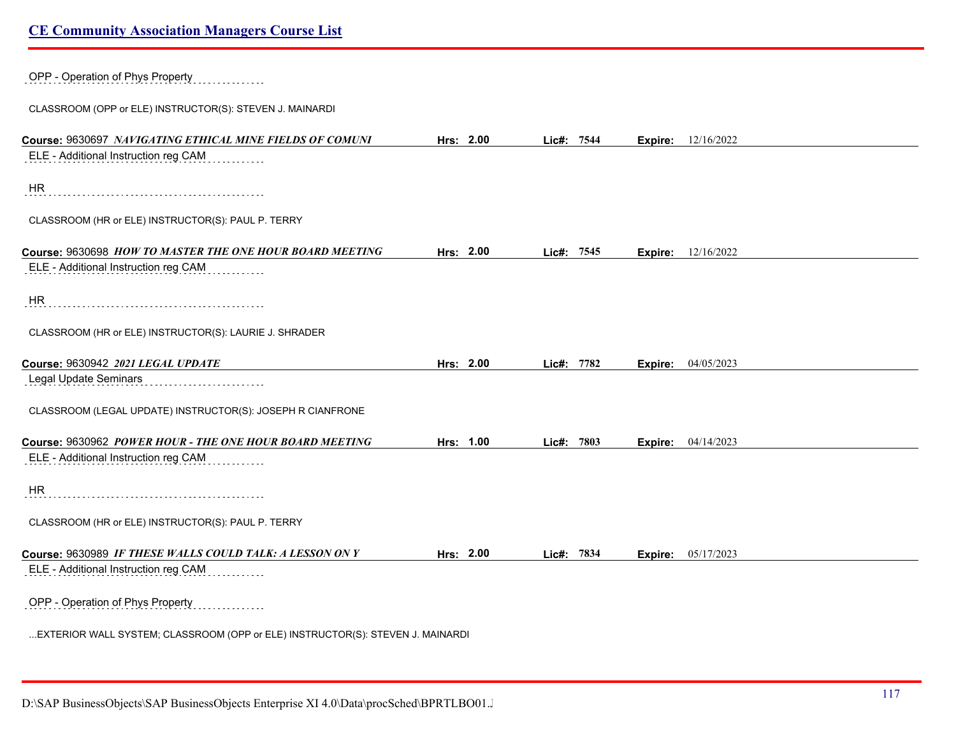| OPP - Operation of Phys Property                                               |           |            |                           |            |
|--------------------------------------------------------------------------------|-----------|------------|---------------------------|------------|
| CLASSROOM (OPP or ELE) INSTRUCTOR(S): STEVEN J. MAINARDI                       |           |            |                           |            |
| Course: 9630697 NAVIGATING ETHICAL MINE FIELDS OF COMUNI                       | Hrs: 2.00 | Lic#: 7544 | <b>Expire:</b> 12/16/2022 |            |
| ELE - Additional Instruction reg CAM                                           |           |            |                           |            |
| <b>HR</b>                                                                      |           |            |                           |            |
| CLASSROOM (HR or ELE) INSTRUCTOR(S): PAUL P. TERRY                             |           |            |                           |            |
| Course: 9630698 HOW TO MASTER THE ONE HOUR BOARD MEETING                       | Hrs: 2.00 | Lic#: 7545 | Expire:                   | 12/16/2022 |
| ELE - Additional Instruction reg CAM                                           |           |            |                           |            |
| <b>HR</b>                                                                      |           |            |                           |            |
| CLASSROOM (HR or ELE) INSTRUCTOR(S): LAURIE J. SHRADER                         |           |            |                           |            |
| Course: 9630942 2021 LEGAL UPDATE                                              | Hrs: 2.00 | Lic#: 7782 | Expire:                   | 04/05/2023 |
| Legal Update Seminars                                                          |           |            |                           |            |
| CLASSROOM (LEGAL UPDATE) INSTRUCTOR(S): JOSEPH R CIANFRONE                     |           |            |                           |            |
| Course: 9630962 POWER HOUR - THE ONE HOUR BOARD MEETING                        | Hrs: 1.00 | Lic#: 7803 | Expire:                   | 04/14/2023 |
| ELE - Additional Instruction reg CAM                                           |           |            |                           |            |
| HR                                                                             |           |            |                           |            |
| CLASSROOM (HR or ELE) INSTRUCTOR(S): PAUL P. TERRY                             |           |            |                           |            |
| Course: 9630989 IF THESE WALLS COULD TALK: A LESSON ON Y                       | Hrs: 2.00 | Lic#: 7834 | <b>Expire:</b> 05/17/2023 |            |
| ELE - Additional Instruction reg CAM                                           |           |            |                           |            |
| OPP - Operation of Phys Property                                               |           |            |                           |            |
| EXTERIOR WALL SYSTEM; CLASSROOM (OPP or ELE) INSTRUCTOR(S): STEVEN J. MAINARDI |           |            |                           |            |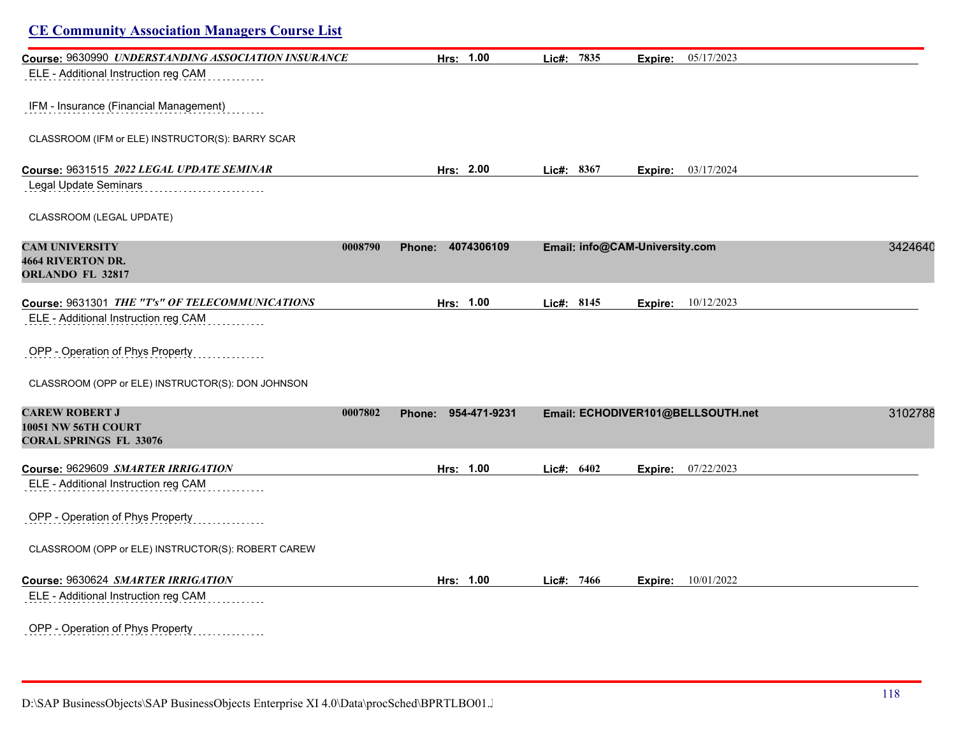| <b>CE Community Association Managers Course List</b>                          |         |                        |            |                                |                                   |         |
|-------------------------------------------------------------------------------|---------|------------------------|------------|--------------------------------|-----------------------------------|---------|
| Course: 9630990 UNDERSTANDING ASSOCIATION INSURANCE                           |         | Hrs: 1.00              | Lic#: 7835 | Expire:                        | 05/17/2023                        |         |
| ELE - Additional Instruction reg CAM                                          |         |                        |            |                                |                                   |         |
| IFM - Insurance (Financial Management)                                        |         |                        |            |                                |                                   |         |
| CLASSROOM (IFM or ELE) INSTRUCTOR(S): BARRY SCAR                              |         |                        |            |                                |                                   |         |
| Course: 9631515 2022 LEGAL UPDATE SEMINAR                                     |         | Hrs: 2.00              | Lic#: 8367 |                                | <b>Expire:</b> 03/17/2024         |         |
| <b>Legal Update Seminars</b>                                                  |         |                        |            |                                |                                   |         |
| CLASSROOM (LEGAL UPDATE)                                                      |         |                        |            |                                |                                   |         |
| <b>CAM UNIVERSITY</b><br><b>4664 RIVERTON DR.</b><br>ORLANDO FL 32817         | 0008790 | 4074306109<br>Phone:   |            | Email: info@CAM-University.com |                                   | 3424640 |
| Course: 9631301 THE "T's" OF TELECOMMUNICATIONS                               |         | Hrs: 1.00              | Lic#: 8145 |                                | <b>Expire:</b> 10/12/2023         |         |
| ELE - Additional Instruction reg CAM                                          |         |                        |            |                                |                                   |         |
| OPP - Operation of Phys Property                                              |         |                        |            |                                |                                   |         |
| CLASSROOM (OPP or ELE) INSTRUCTOR(S): DON JOHNSON                             |         |                        |            |                                |                                   |         |
| <b>CAREW ROBERT J</b><br>10051 NW 56TH COURT<br><b>CORAL SPRINGS FL 33076</b> | 0007802 | 954-471-9231<br>Phone: |            |                                | Email: ECHODIVER101@BELLSOUTH.net | 3102788 |
| Course: 9629609 SMARTER IRRIGATION                                            |         | Hrs: 1.00              | Lic#: 6402 | Expire:                        | 07/22/2023                        |         |
| ELE - Additional Instruction reg CAM                                          |         |                        |            |                                |                                   |         |
| OPP - Operation of Phys Property                                              |         |                        |            |                                |                                   |         |
| CLASSROOM (OPP or ELE) INSTRUCTOR(S): ROBERT CAREW                            |         |                        |            |                                |                                   |         |
| Course: 9630624 SMARTER IRRIGATION                                            |         | Hrs: 1.00              | Lic#: 7466 |                                | <b>Expire:</b> 10/01/2022         |         |
| ELE - Additional Instruction reg CAM                                          |         |                        |            |                                |                                   |         |
| OPP - Operation of Phys Property<br>.                                         |         |                        |            |                                |                                   |         |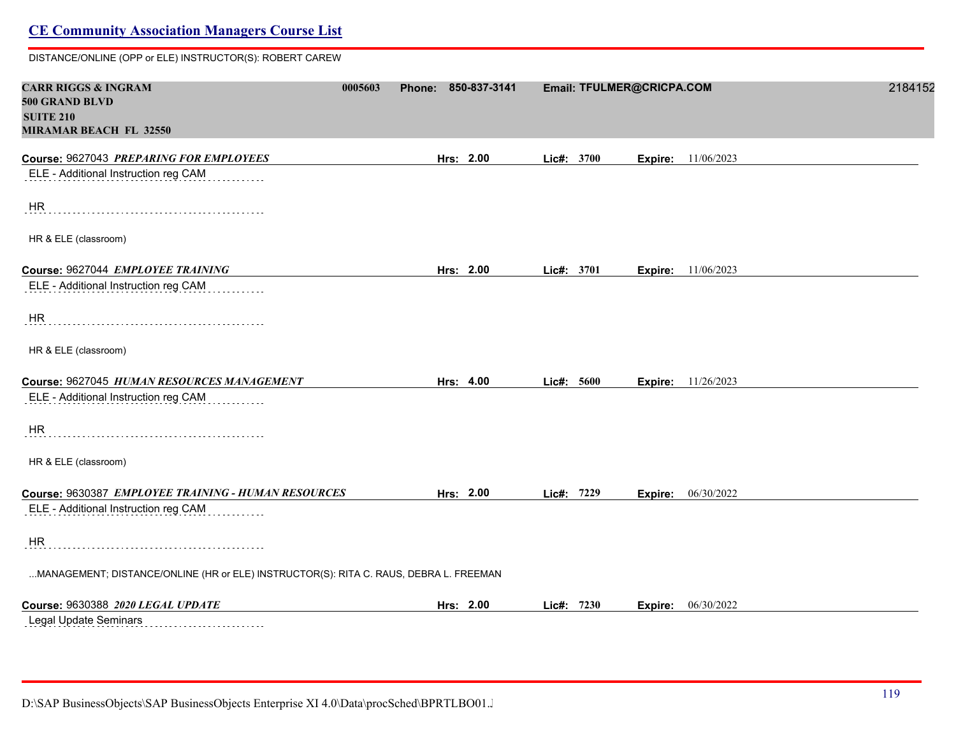DISTANCE/ONLINE (OPP or ELE) INSTRUCTOR(S): ROBERT CAREW

| <b>CARR RIGGS &amp; INGRAM</b><br><b>500 GRAND BLVD</b><br><b>SUITE 210</b><br><b>MIRAMAR BEACH FL 32550</b> | 0005603 | Phone: 850-837-3141 |            |            | Email: TFULMER@CRICPA.COM |                           | 2184152 |
|--------------------------------------------------------------------------------------------------------------|---------|---------------------|------------|------------|---------------------------|---------------------------|---------|
| Course: 9627043 PREPARING FOR EMPLOYEES                                                                      |         | Hrs: 2.00           |            | Lic#: 3700 | Expire:                   | 11/06/2023                |         |
| ELE - Additional Instruction reg CAM                                                                         |         |                     |            |            |                           |                           |         |
| HR                                                                                                           |         |                     |            |            |                           |                           |         |
| HR & ELE (classroom)                                                                                         |         |                     |            |            |                           |                           |         |
| Course: 9627044 EMPLOYEE TRAINING                                                                            |         | Hrs: 2.00           | Lic#: 3701 |            |                           | <b>Expire:</b> 11/06/2023 |         |
| ELE - Additional Instruction reg CAM                                                                         |         |                     |            |            |                           |                           |         |
| <b>HR</b>                                                                                                    |         |                     |            |            |                           |                           |         |
| HR & ELE (classroom)                                                                                         |         |                     |            |            |                           |                           |         |
| Course: 9627045 HUMAN RESOURCES MANAGEMENT                                                                   |         | Hrs: 4.00           |            | Lic#: 5600 |                           | <b>Expire:</b> 11/26/2023 |         |
| ELE - Additional Instruction reg CAM                                                                         |         |                     |            |            |                           |                           |         |
| HR                                                                                                           |         |                     |            |            |                           |                           |         |
| HR & ELE (classroom)                                                                                         |         |                     |            |            |                           |                           |         |
| Course: 9630387 EMPLOYEE TRAINING - HUMAN RESOURCES                                                          |         | Hrs: 2.00           |            | Lic#: 7229 | Expire:                   | 06/30/2022                |         |
| ELE - Additional Instruction reg CAM                                                                         |         |                     |            |            |                           |                           |         |
| HR                                                                                                           |         |                     |            |            |                           |                           |         |
| MANAGEMENT; DISTANCE/ONLINE (HR or ELE) INSTRUCTOR(S): RITA C. RAUS, DEBRA L. FREEMAN                        |         |                     |            |            |                           |                           |         |
| Course: 9630388 2020 LEGAL UPDATE                                                                            |         | Hrs: 2.00           | Lic#: 7230 |            |                           | <b>Expire:</b> 06/30/2022 |         |
| Legal Update Seminars                                                                                        |         |                     |            |            |                           |                           |         |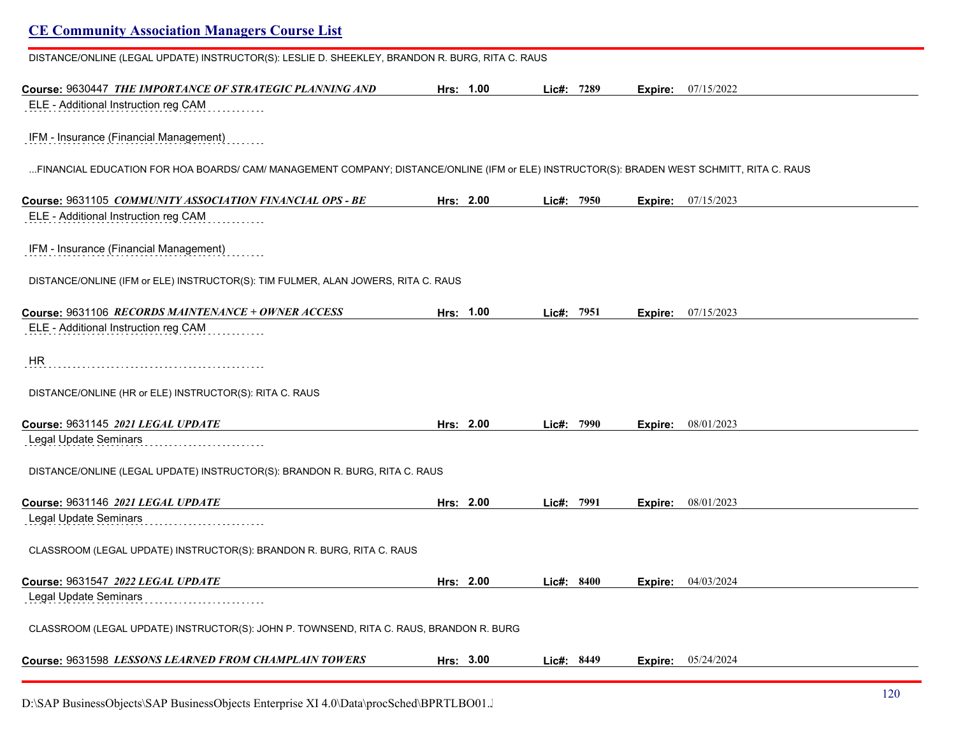# **CE Community Association Managers Course List** DISTANCE/ONLINE (LEGAL UPDATE) INSTRUCTOR(S): LESLIE D. SHEEKLEY, BRANDON R. BURG, RITA C. RAUS **Course:** 9630447 *THE IMPORTANCE OF STRATEGIC PLANNING AND* **Hrs: 1.00 Lic#: 7289 Expire:** 07/15/2022 ELE - Additional Instruction reg CAM IFM - Insurance (Financial Management) ...FINANCIAL EDUCATION FOR HOA BOARDS/ CAM/ MANAGEMENT COMPANY; DISTANCE/ONLINE (IFM or ELE) INSTRUCTOR(S): BRADEN WEST SCHMITT, RITA C. RAUS **Course:** 9631105 *COMMUNITY ASSOCIATION FINANCIAL OPS - BE* **Hrs: 2.00 Lic#: 7950 Expire:** 07/15/2023 ELE - Additional Instruction reg CAM IFM - Insurance (Financial Management) DISTANCE/ONLINE (IFM or ELE) INSTRUCTOR(S): TIM FULMER, ALAN JOWERS, RITA C. RAUS **Course:** 9631106 *RECORDS MAINTENANCE + OWNER ACCESS* **Hrs: 1.00 Lic#: 7951 Expire:** 07/15/2023 ELE - Additional Instruction reg CAM HR DISTANCE/ONLINE (HR or ELE) INSTRUCTOR(S): RITA C. RAUS **Course:** 9631145 *2021 LEGAL UPDATE* **Hrs: 2.00 Lic#: 7990 Expire:** 08/01/2023 Legal Update Seminars<br>
and the continuum of the Update Seminary Seminary Seminary Seminary Seminary Seminary Seminary Seminary Seminary Seminary Seminary Seminary Seminary Seminary Seminary Seminary Seminary Seminary Semin DISTANCE/ONLINE (LEGAL UPDATE) INSTRUCTOR(S): BRANDON R. BURG, RITA C. RAUS **Course:** 9631146 *2021 LEGAL UPDATE* **Hrs: 2.00 Lic#: 7991 Expire:** 08/01/2023 Legal Update Seminars<br>
and the continuum of the Update Seminary Seminary Seminary Seminary Seminary Seminary Seminary Seminary Seminary Seminary Seminary Seminary Seminary Seminary Seminary Seminary Seminary Seminary Semin CLASSROOM (LEGAL UPDATE) INSTRUCTOR(S): BRANDON R. BURG, RITA C. RAUS **Course:** 9631547 *2022 LEGAL UPDATE* **Hrs: 2.00 Lic#: 8400 Expire:** 04/03/2024 Legal Update Seminars CLASSROOM (LEGAL UPDATE) INSTRUCTOR(S): JOHN P. TOWNSEND, RITA C. RAUS, BRANDON R. BURG **Course:** 9631598 *LESSONS LEARNED FROM CHAMPLAIN TOWERS* **Hrs: 3.00 Lic#: 8449 Expire:** 05/24/2024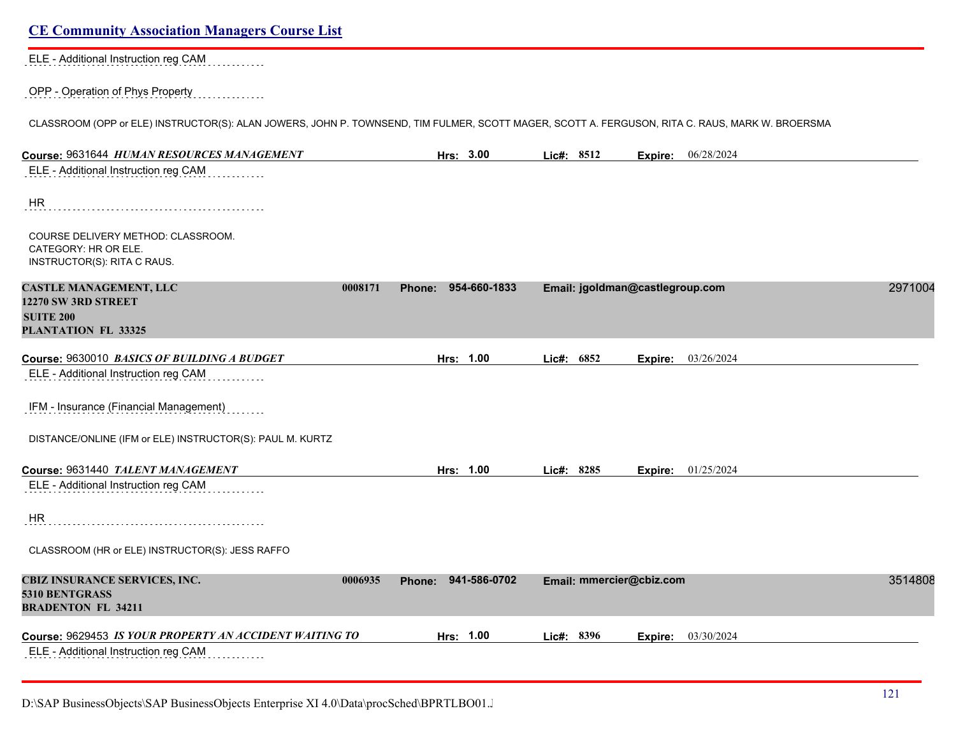| <b>CE Community Association Managers Course List</b>                                                                                            |         |                        |            |      |                                 |            |         |
|-------------------------------------------------------------------------------------------------------------------------------------------------|---------|------------------------|------------|------|---------------------------------|------------|---------|
| ELE - Additional Instruction reg CAM                                                                                                            |         |                        |            |      |                                 |            |         |
| OPP - Operation of Phys Property                                                                                                                |         |                        |            |      |                                 |            |         |
| CLASSROOM (OPP or ELE) INSTRUCTOR(S): ALAN JOWERS, JOHN P. TOWNSEND, TIM FULMER, SCOTT MAGER, SCOTT A. FERGUSON, RITA C. RAUS, MARK W. BROERSMA |         |                        |            |      |                                 |            |         |
| Course: 9631644 HUMAN RESOURCES MANAGEMENT                                                                                                      |         | Hrs: 3.00              | Lic#: 8512 |      | Expire:                         | 06/28/2024 |         |
| ELE - Additional Instruction reg CAM                                                                                                            |         |                        |            |      |                                 |            |         |
| <b>HR</b>                                                                                                                                       |         |                        |            |      |                                 |            |         |
| COURSE DELIVERY METHOD: CLASSROOM.<br>CATEGORY: HR OR ELE.<br>INSTRUCTOR(S): RITA C RAUS.                                                       |         |                        |            |      |                                 |            |         |
| <b>CASTLE MANAGEMENT, LLC</b>                                                                                                                   | 0008171 | 954-660-1833<br>Phone: |            |      | Email: jgoldman@castlegroup.com |            | 2971004 |
| 12270 SW 3RD STREET<br><b>SUITE 200</b><br>PLANTATION FL 33325                                                                                  |         |                        |            |      |                                 |            |         |
| Course: 9630010 BASICS OF BUILDING A BUDGET                                                                                                     |         | Hrs: 1.00              | Lic#:      | 6852 | Expire:                         | 03/26/2024 |         |
| ELE - Additional Instruction reg CAM                                                                                                            |         |                        |            |      |                                 |            |         |
| IFM - Insurance (Financial Management)                                                                                                          |         |                        |            |      |                                 |            |         |
| DISTANCE/ONLINE (IFM or ELE) INSTRUCTOR(S): PAUL M. KURTZ                                                                                       |         |                        |            |      |                                 |            |         |
| Course: 9631440 TALENT MANAGEMENT                                                                                                               |         | Hrs: 1.00              | Lic#: 8285 |      | Expire:                         | 01/25/2024 |         |
| ELE - Additional Instruction reg CAM                                                                                                            |         |                        |            |      |                                 |            |         |
| <b>HR</b>                                                                                                                                       |         |                        |            |      |                                 |            |         |
| CLASSROOM (HR or ELE) INSTRUCTOR(S): JESS RAFFO                                                                                                 |         |                        |            |      |                                 |            |         |
| CBIZ INSURANCE SERVICES, INC.<br>5310 BENTGRASS<br><b>BRADENTON FL 34211</b>                                                                    | 0006935 | Phone: 941-586-0702    |            |      | Email: mmercier@cbiz.com        |            | 3514808 |
| Course: 9629453 IS YOUR PROPERTY AN ACCIDENT WAITING TO                                                                                         |         | Hrs: 1.00              | Lic#: 8396 |      | Expire:                         | 03/30/2024 |         |
| ELE - Additional Instruction reg CAM                                                                                                            |         |                        |            |      |                                 |            |         |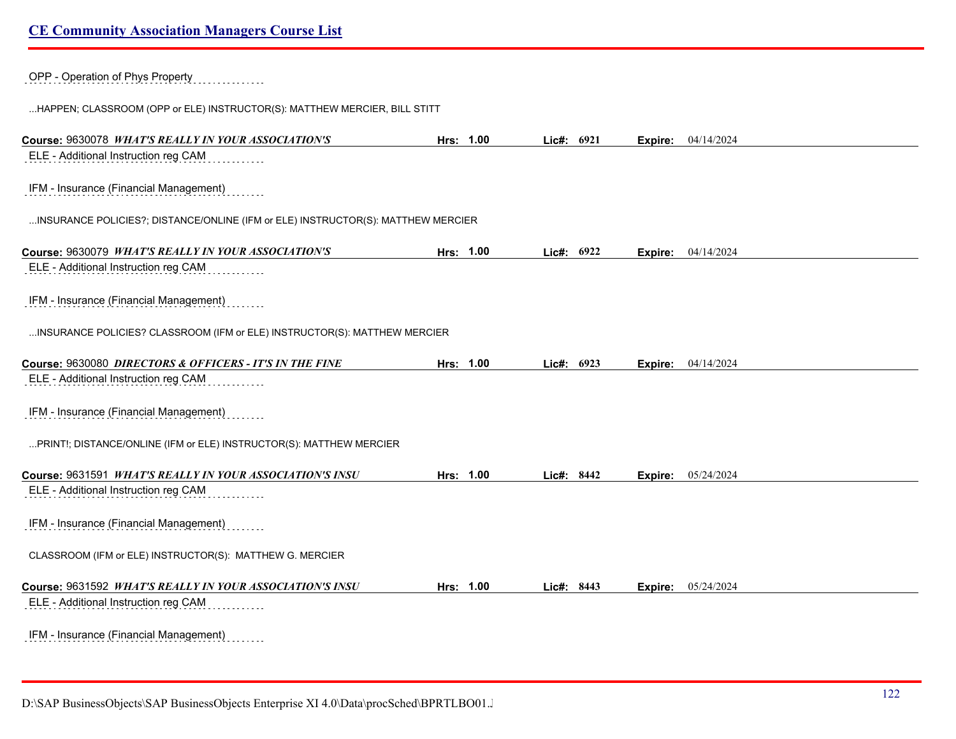OPP - Operation of Phys Property

...HAPPEN; CLASSROOM (OPP or ELE) INSTRUCTOR(S): MATTHEW MERCIER, BILL STITT

| Course: 9630078 WHAT'S REALLY IN YOUR ASSOCIATION'S                              | Hrs: 1.00 | Lic#: 6921 |      |         | <b>Expire:</b> 04/14/2024   |
|----------------------------------------------------------------------------------|-----------|------------|------|---------|-----------------------------|
| ELE - Additional Instruction reg CAM                                             |           |            |      |         |                             |
| IFM - Insurance (Financial Management)                                           |           |            |      |         |                             |
|                                                                                  |           |            |      |         |                             |
| INSURANCE POLICIES?; DISTANCE/ONLINE (IFM or ELE) INSTRUCTOR(S): MATTHEW MERCIER |           |            |      |         |                             |
| Course: 9630079 WHAT'S REALLY IN YOUR ASSOCIATION'S                              | Hrs: 1.00 | Lic#: 6922 |      |         | <b>Expire:</b> $04/14/2024$ |
| ELE - Additional Instruction reg CAM                                             |           |            |      |         |                             |
| IFM - Insurance (Financial Management)                                           |           |            |      |         |                             |
| INSURANCE POLICIES? CLASSROOM (IFM or ELE) INSTRUCTOR(S): MATTHEW MERCIER        |           |            |      |         |                             |
| Course: 9630080 DIRECTORS & OFFICERS - IT'S IN THE FINE                          | Hrs: 1.00 |            | 6923 |         | 04/14/2024                  |
| ELE - Additional Instruction reg CAM                                             |           | Lic#:      |      | Expire: |                             |
|                                                                                  |           |            |      |         |                             |
| IFM - Insurance (Financial Management)                                           |           |            |      |         |                             |
| PRINT!; DISTANCE/ONLINE (IFM or ELE) INSTRUCTOR(S): MATTHEW MERCIER              |           |            |      |         |                             |
| Course: 9631591 WHAT'S REALLY IN YOUR ASSOCIATION'S INSU                         | Hrs: 1.00 | Lic#: 8442 |      | Expire: | 05/24/2024                  |
| ELE - Additional Instruction reg CAM                                             |           |            |      |         |                             |
| IFM - Insurance (Financial Management)                                           |           |            |      |         |                             |
| CLASSROOM (IFM or ELE) INSTRUCTOR(S): MATTHEW G. MERCIER                         |           |            |      |         |                             |
|                                                                                  |           |            |      |         |                             |
| Course: 9631592 WHAT'S REALLY IN YOUR ASSOCIATION'S INSU                         | Hrs: 1.00 | Lic#: 8443 |      | Expire: | 05/24/2024                  |
| ELE - Additional Instruction reg CAM                                             |           |            |      |         |                             |
| IFM - Insurance (Financial Management)                                           |           |            |      |         |                             |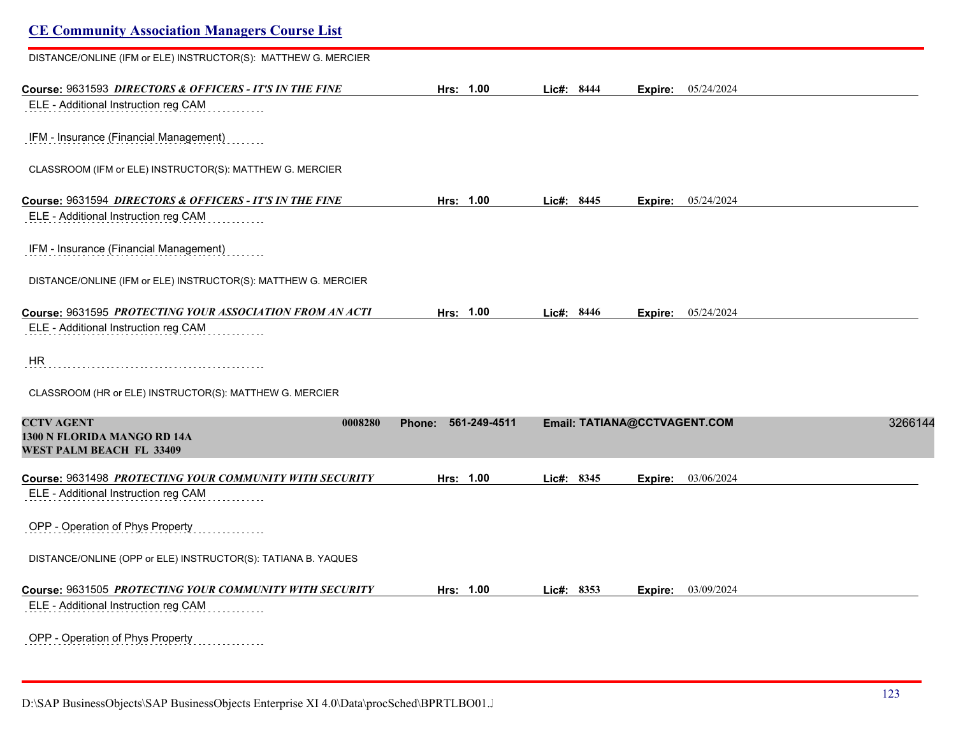| <b>CE Community Association Managers Course List</b>                                            |                        |            |                              |         |
|-------------------------------------------------------------------------------------------------|------------------------|------------|------------------------------|---------|
| DISTANCE/ONLINE (IFM or ELE) INSTRUCTOR(S): MATTHEW G. MERCIER                                  |                        |            |                              |         |
| Course: 9631593 DIRECTORS & OFFICERS - IT'S IN THE FINE<br>ELE - Additional Instruction reg CAM | Hrs: 1.00              | Lic#: 8444 | Expire: 05/24/2024           |         |
| IFM - Insurance (Financial Management)                                                          |                        |            |                              |         |
| CLASSROOM (IFM or ELE) INSTRUCTOR(S): MATTHEW G. MERCIER                                        |                        |            |                              |         |
| Course: 9631594 DIRECTORS & OFFICERS - IT'S IN THE FINE                                         | Hrs: 1.00              | Lic#: 8445 | Expire: 05/24/2024           |         |
| ELE - Additional Instruction reg CAM                                                            |                        |            |                              |         |
| IFM - Insurance (Financial Management)                                                          |                        |            |                              |         |
| DISTANCE/ONLINE (IFM or ELE) INSTRUCTOR(S): MATTHEW G. MERCIER                                  |                        |            |                              |         |
| Course: 9631595 PROTECTING YOUR ASSOCIATION FROM AN ACTI                                        | Hrs: 1.00              | Lic#: 8446 | 05/24/2024<br>Expire:        |         |
| ELE - Additional Instruction reg CAM                                                            |                        |            |                              |         |
| HR                                                                                              |                        |            |                              |         |
| CLASSROOM (HR or ELE) INSTRUCTOR(S): MATTHEW G. MERCIER                                         |                        |            |                              |         |
| <b>CCTV AGENT</b><br>0008280<br>1300 N FLORIDA MANGO RD 14A<br>WEST PALM BEACH FL 33409         | 561-249-4511<br>Phone: |            | Email: TATIANA@CCTVAGENT.COM | 3266144 |
| Course: 9631498 PROTECTING YOUR COMMUNITY WITH SECURITY                                         | Hrs: 1.00              | Lic#: 8345 | 03/06/2024<br>Expire:        |         |
| ELE - Additional Instruction reg CAM                                                            |                        |            |                              |         |
| OPP - Operation of Phys Property                                                                |                        |            |                              |         |
| DISTANCE/ONLINE (OPP or ELE) INSTRUCTOR(S): TATIANA B. YAQUES                                   |                        |            |                              |         |
| Course: 9631505 PROTECTING YOUR COMMUNITY WITH SECURITY                                         | Hrs: 1.00              | Lic#: 8353 | 03/09/2024<br>Expire:        |         |
| ELE - Additional Instruction reg CAM                                                            |                        |            |                              |         |
| OPP - Operation of Phys Property<br>.                                                           |                        |            |                              |         |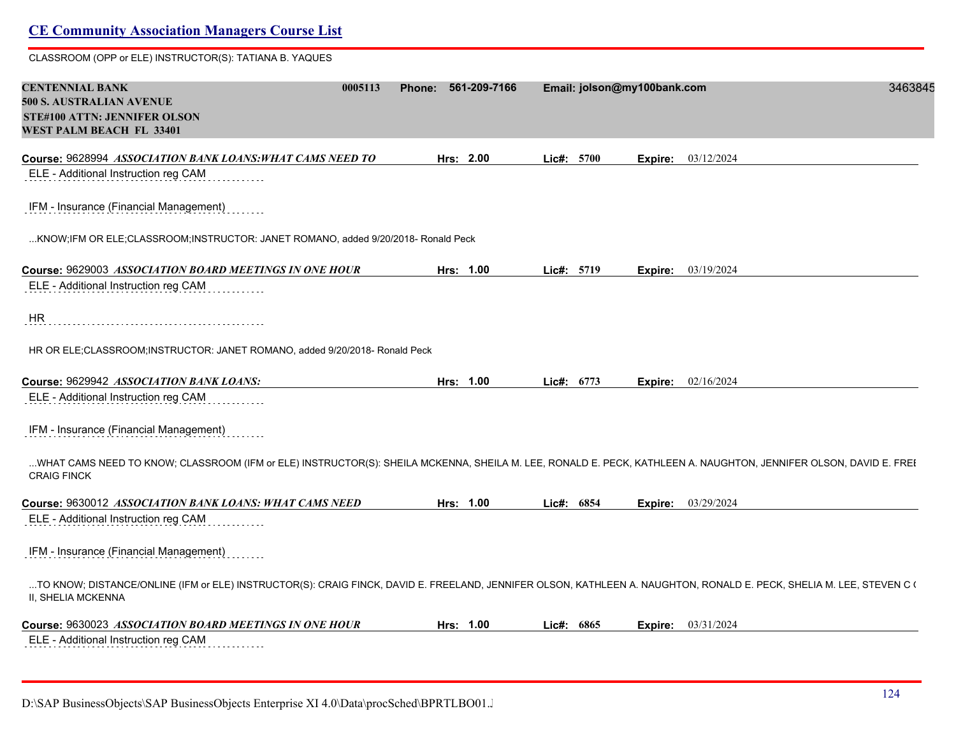## **CE Community Association Managers Course List** CLASSROOM (OPP or ELE) INSTRUCTOR(S): TATIANA B. YAQUES **CENTENNIAL BANK 0005113 Phone: 561-209-7166 Email: jolson@my100bank.com** 34638451 **500 S. AUSTRALIAN AVENUE STE#100 ATTN: JENNIFER OLSON WEST PALM BEACH FL 33401 Course:** 9628994 *ASSOCIATION BANK LOANS:WHAT CAMS NEED TO* **Hrs: 2.00 Lic#: 5700 Expire:** 03/12/2024 ELE - Additional Instruction reg CAM IFM - Insurance (Financial Management) ...KNOW;IFM OR ELE;CLASSROOM;INSTRUCTOR: JANET ROMANO, added 9/20/2018- Ronald Peck **Course:** 9629003 *ASSOCIATION BOARD MEETINGS IN ONE HOUR* **Hrs: 1.00 Lic#: 5719 Expire:** 03/19/2024 ELE - Additional Instruction reg CAM HR HR OR ELE;CLASSROOM;INSTRUCTOR: JANET ROMANO, added 9/20/2018- Ronald Peck **Course:** 9629942 *ASSOCIATION BANK LOANS:* **Hrs: 1.00 Lic#: 6773 Expire:** 02/16/2024 ELE - Additional Instruction reg CAM IFM - Insurance (Financial Management) ...WHAT CAMS NEED TO KNOW; CLASSROOM (IFM or ELE) INSTRUCTOR(S): SHEILA MCKENNA, SHEILA M. LEE, RONALD E. PECK, KATHLEEN A. NAUGHTON, JENNIFER OLSON, DAVID E. FREI CRAIG FINCK **Course:** 9630012 *ASSOCIATION BANK LOANS: WHAT CAMS NEED* **Hrs: 1.00 Lic#: 6854 Expire:** 03/29/2024 ELE - Additional Instruction reg CAM IFM - Insurance (Financial Management) ...TO KNOW; DISTANCE/ONLINE (IFM or ELE) INSTRUCTOR(S): CRAIG FINCK, DAVID E. FREELAND, JENNIFER OLSON, KATHLEEN A. NAUGHTON, RONALD E. PECK, SHELIA M. LEE, STEVEN C ( II, SHELIA MCKENNA **Course:** 9630023 *ASSOCIATION BOARD MEETINGS IN ONE HOUR* **Hrs: 1.00 Lic#: 6865 Expire:** 03/31/2024 ELE - Additional Instruction reg CAM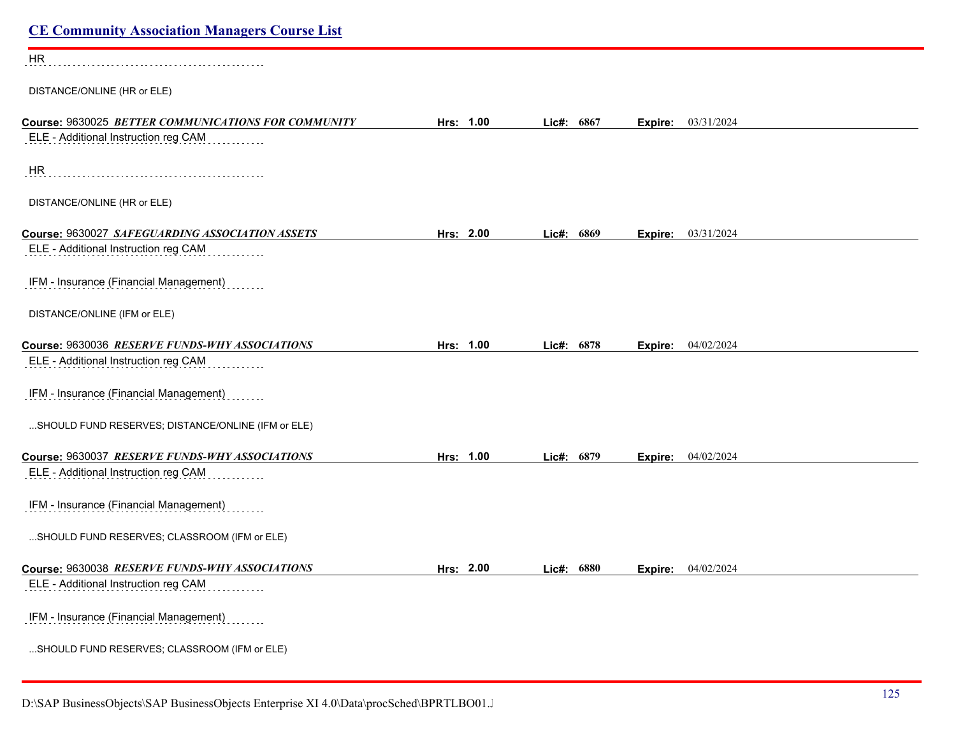| <b>CE Community Association Managers Course List</b>                                        |           |               |                           |  |
|---------------------------------------------------------------------------------------------|-----------|---------------|---------------------------|--|
| <b>HR</b>                                                                                   |           |               |                           |  |
| DISTANCE/ONLINE (HR or ELE)                                                                 |           |               |                           |  |
| Course: 9630025 BETTER COMMUNICATIONS FOR COMMUNITY<br>ELE - Additional Instruction reg CAM | Hrs: 1.00 | Lic#: 6867    | <b>Expire:</b> 03/31/2024 |  |
| HR                                                                                          |           |               |                           |  |
| DISTANCE/ONLINE (HR or ELE)                                                                 |           |               |                           |  |
| Course: 9630027 SAFEGUARDING ASSOCIATION ASSETS<br>ELE - Additional Instruction reg CAM     | Hrs: 2.00 | 6869<br>Lic#: | 03/31/2024<br>Expire:     |  |
| IFM - Insurance (Financial Management)                                                      |           |               |                           |  |
| DISTANCE/ONLINE (IFM or ELE)                                                                |           |               |                           |  |
| Course: 9630036 RESERVE FUNDS-WHY ASSOCIATIONS                                              | Hrs: 1.00 | Lic#: 6878    | 04/02/2024<br>Expire:     |  |
| ELE - Additional Instruction reg CAM                                                        |           |               |                           |  |
| IFM - Insurance (Financial Management)                                                      |           |               |                           |  |
| SHOULD FUND RESERVES; DISTANCE/ONLINE (IFM or ELE)                                          |           |               |                           |  |
| Course: 9630037 RESERVE FUNDS-WHY ASSOCIATIONS                                              | Hrs: 1.00 | Lic#: 6879    | Expire: 04/02/2024        |  |
| ELE - Additional Instruction reg CAM                                                        |           |               |                           |  |
| IFM - Insurance (Financial Management)                                                      |           |               |                           |  |
| SHOULD FUND RESERVES; CLASSROOM (IFM or ELE)                                                |           |               |                           |  |
| Course: 9630038 RESERVE FUNDS-WHY ASSOCIATIONS<br>ELE - Additional Instruction reg CAM      | Hrs: 2.00 | Lic#: 6880    | Expire: 04/02/2024        |  |
| IFM - Insurance (Financial Management)                                                      |           |               |                           |  |
| SHOULD FUND RESERVES; CLASSROOM (IFM or ELE)                                                |           |               |                           |  |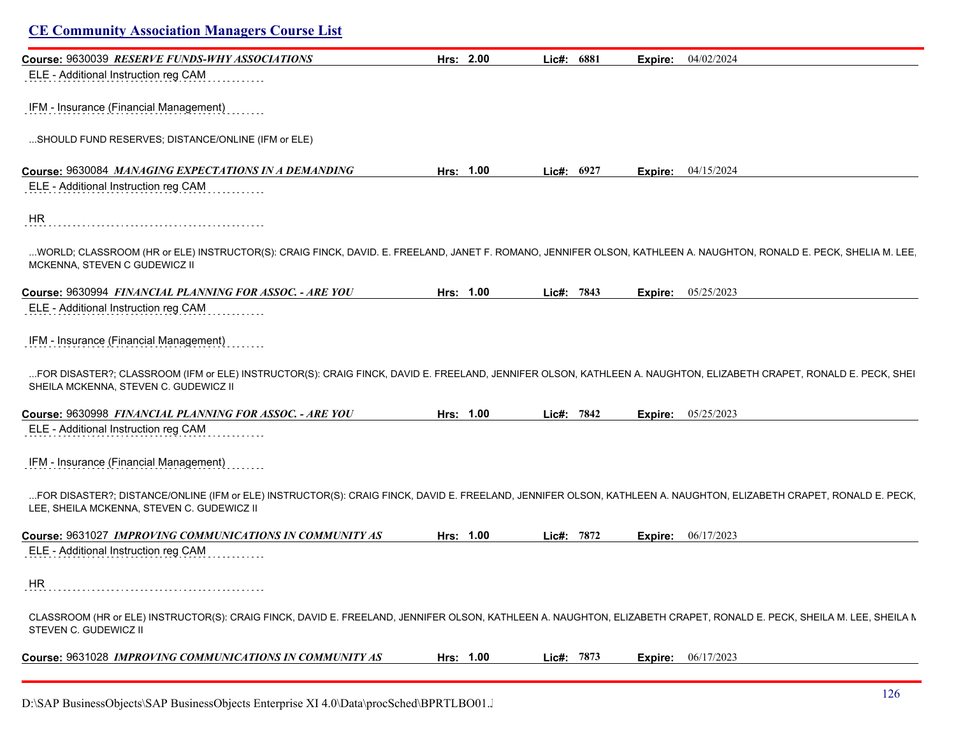| Course: 9630039 RESERVE FUNDS-WHY ASSOCIATIONS                                                                                                                                                                   | Hrs: 2.00 | Lic#: 6881 | Expire: | 04/02/2024                |
|------------------------------------------------------------------------------------------------------------------------------------------------------------------------------------------------------------------|-----------|------------|---------|---------------------------|
| ELE - Additional Instruction reg CAM                                                                                                                                                                             |           |            |         |                           |
| IFM - Insurance (Financial Management)                                                                                                                                                                           |           |            |         |                           |
| SHOULD FUND RESERVES; DISTANCE/ONLINE (IFM or ELE)                                                                                                                                                               |           |            |         |                           |
| Course: 9630084 MANAGING EXPECTATIONS IN A DEMANDING                                                                                                                                                             | Hrs: 1.00 | Lic#: 6927 | Expire: | 04/15/2024                |
| ELE - Additional Instruction reg CAM                                                                                                                                                                             |           |            |         |                           |
| HR                                                                                                                                                                                                               |           |            |         |                           |
| WORLD; CLASSROOM (HR or ELE) INSTRUCTOR(S): CRAIG FINCK, DAVID. E. FREELAND, JANET F. ROMANO, JENNIFER OLSON, KATHLEEN A. NAUGHTON, RONALD E. PECK, SHELIA M. LEE<br>MCKENNA, STEVEN C GUDEWICZ II               |           |            |         |                           |
| Course: 9630994 FINANCIAL PLANNING FOR ASSOC. - ARE YOU                                                                                                                                                          | Hrs: 1.00 | Lic#: 7843 |         | <b>Expire:</b> 05/25/2023 |
| ELE - Additional Instruction reg CAM                                                                                                                                                                             |           |            |         |                           |
|                                                                                                                                                                                                                  |           |            |         |                           |
| IFM - Insurance (Financial Management)                                                                                                                                                                           |           |            |         |                           |
| FOR DISASTER?; CLASSROOM (IFM or ELE) INSTRUCTOR(S): CRAIG FINCK, DAVID E. FREELAND, JENNIFER OLSON, KATHLEEN A. NAUGHTON, ELIZABETH CRAPET, RONALD E. PECK, SHEI<br>SHEILA MCKENNA, STEVEN C. GUDEWICZ II       |           |            |         |                           |
| Course: 9630998 FINANCIAL PLANNING FOR ASSOC. - ARE YOU                                                                                                                                                          | Hrs: 1.00 | Lic#: 7842 | Expire: | 05/25/2023                |
| ELE - Additional Instruction reg CAM                                                                                                                                                                             |           |            |         |                           |
| IFM - Insurance (Financial Management)                                                                                                                                                                           |           |            |         |                           |
|                                                                                                                                                                                                                  |           |            |         |                           |
| FOR DISASTER?; DISTANCE/ONLINE (IFM or ELE) INSTRUCTOR(S): CRAIG FINCK, DAVID E. FREELAND, JENNIFER OLSON, KATHLEEN A. NAUGHTON, ELIZABETH CRAPET, RONALD E. PECK,<br>LEE, SHEILA MCKENNA, STEVEN C. GUDEWICZ II |           |            |         |                           |
| Course: 9631027 IMPROVING COMMUNICATIONS IN COMMUNITY AS                                                                                                                                                         | Hrs: 1.00 | Lic#: 7872 | Expire: | 06/17/2023                |
| ELE - Additional Instruction reg CAM                                                                                                                                                                             |           |            |         |                           |
| HR                                                                                                                                                                                                               |           |            |         |                           |
| CLASSROOM (HR or ELE) INSTRUCTOR(S): CRAIG FINCK, DAVID E. FREELAND, JENNIFER OLSON, KATHLEEN A. NAUGHTON, ELIZABETH CRAPET, RONALD E. PECK, SHEILA M. LEE, SHEILA M.<br>STEVEN C. GUDEWICZ II                   |           |            |         |                           |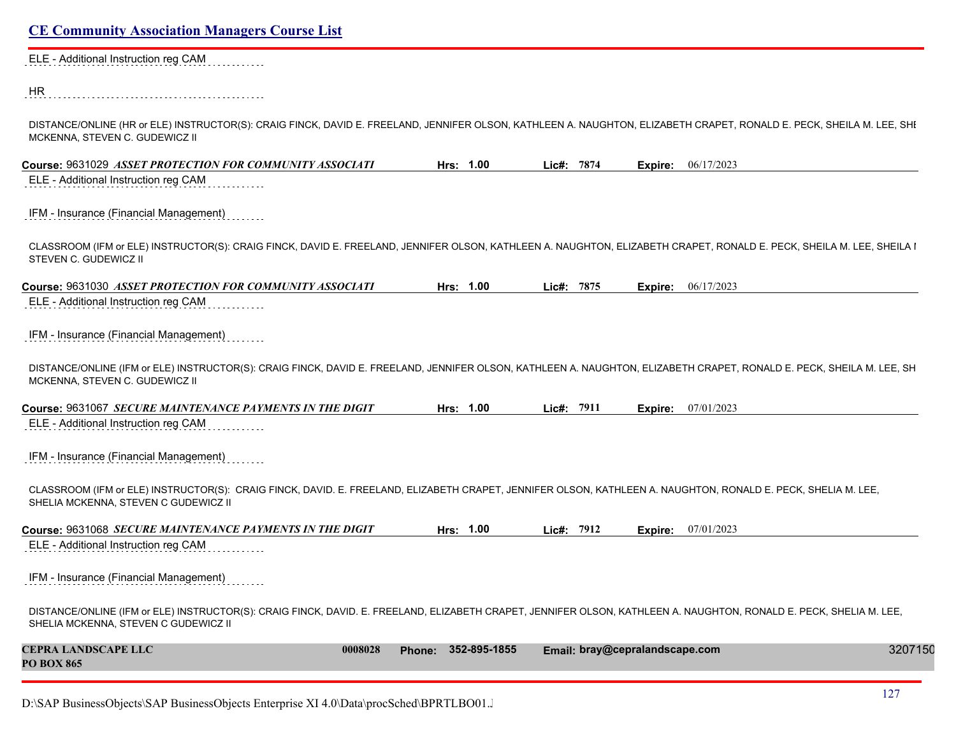ELE - Additional Instruction reg CAM . . . . . . . . .

HR 

DISTANCE/ONLINE (HR or ELE) INSTRUCTOR(S): CRAIG FINCK, DAVID E. FREELAND, JENNIFER OLSON, KATHLEEN A. NAUGHTON, ELIZABETH CRAPET, RONALD E. PECK, SHEILA M. LEE, SHI MCKENNA, STEVEN C. GUDEWICZ II

| Course: 9631029 ASSET PROTECTION FOR COMMUNITY ASSOCIATI                                                                                                                                                    | Hrs: 1.00              | Lic#: 7874 | 06/17/2023<br>Expire:          |         |
|-------------------------------------------------------------------------------------------------------------------------------------------------------------------------------------------------------------|------------------------|------------|--------------------------------|---------|
| ELE - Additional Instruction reg CAM                                                                                                                                                                        |                        |            |                                |         |
| IFM - Insurance (Financial Management)                                                                                                                                                                      |                        |            |                                |         |
| CLASSROOM (IFM or ELE) INSTRUCTOR(S): CRAIG FINCK, DAVID E. FREELAND, JENNIFER OLSON, KATHLEEN A. NAUGHTON, ELIZABETH CRAPET, RONALD E. PECK, SHEILA M. LEE, SHEILA I<br>STEVEN C. GUDEWICZ II              |                        |            |                                |         |
| Course: 9631030 ASSET PROTECTION FOR COMMUNITY ASSOCIATI                                                                                                                                                    | Hrs: 1.00              | Lic#: 7875 | 06/17/2023<br>Expire:          |         |
| ELE - Additional Instruction reg CAM                                                                                                                                                                        |                        |            |                                |         |
| IFM - Insurance (Financial Management)                                                                                                                                                                      |                        |            |                                |         |
| DISTANCE/ONLINE (IFM or ELE) INSTRUCTOR(S): CRAIG FINCK, DAVID E. FREELAND, JENNIFER OLSON, KATHLEEN A. NAUGHTON, ELIZABETH CRAPET, RONALD E. PECK, SHEILA M. LEE, SH<br>MCKENNA, STEVEN C. GUDEWICZ II     |                        |            |                                |         |
| Course: 9631067 SECURE MAINTENANCE PAYMENTS IN THE DIGIT                                                                                                                                                    | Hrs: 1.00              | Lic#: 7911 | 07/01/2023<br>Expire:          |         |
| ELE - Additional Instruction reg CAM                                                                                                                                                                        |                        |            |                                |         |
| IFM - Insurance (Financial Management)                                                                                                                                                                      |                        |            |                                |         |
| CLASSROOM (IFM or ELE) INSTRUCTOR(S): CRAIG FINCK, DAVID. E. FREELAND, ELIZABETH CRAPET, JENNIFER OLSON, KATHLEEN A. NAUGHTON, RONALD E. PECK, SHELIA M. LEE,<br>SHELIA MCKENNA, STEVEN C GUDEWICZ II       |                        |            |                                |         |
| Course: 9631068 SECURE MAINTENANCE PAYMENTS IN THE DIGIT                                                                                                                                                    | Hrs: 1.00              | Lic#: 7912 | 07/01/2023<br>Expire:          |         |
| ELE - Additional Instruction reg CAM                                                                                                                                                                        |                        |            |                                |         |
| IFM - Insurance (Financial Management)                                                                                                                                                                      |                        |            |                                |         |
| DISTANCE/ONLINE (IFM or ELE) INSTRUCTOR(S): CRAIG FINCK, DAVID. E. FREELAND, ELIZABETH CRAPET, JENNIFER OLSON, KATHLEEN A. NAUGHTON, RONALD E. PECK, SHELIA M. LEE,<br>SHELIA MCKENNA, STEVEN C GUDEWICZ II |                        |            |                                |         |
| <b>CEPRA LANDSCAPE LLC</b><br>0008028<br><b>PO BOX 865</b>                                                                                                                                                  | 352-895-1855<br>Phone: |            | Email: bray@cepralandscape.com | 3207150 |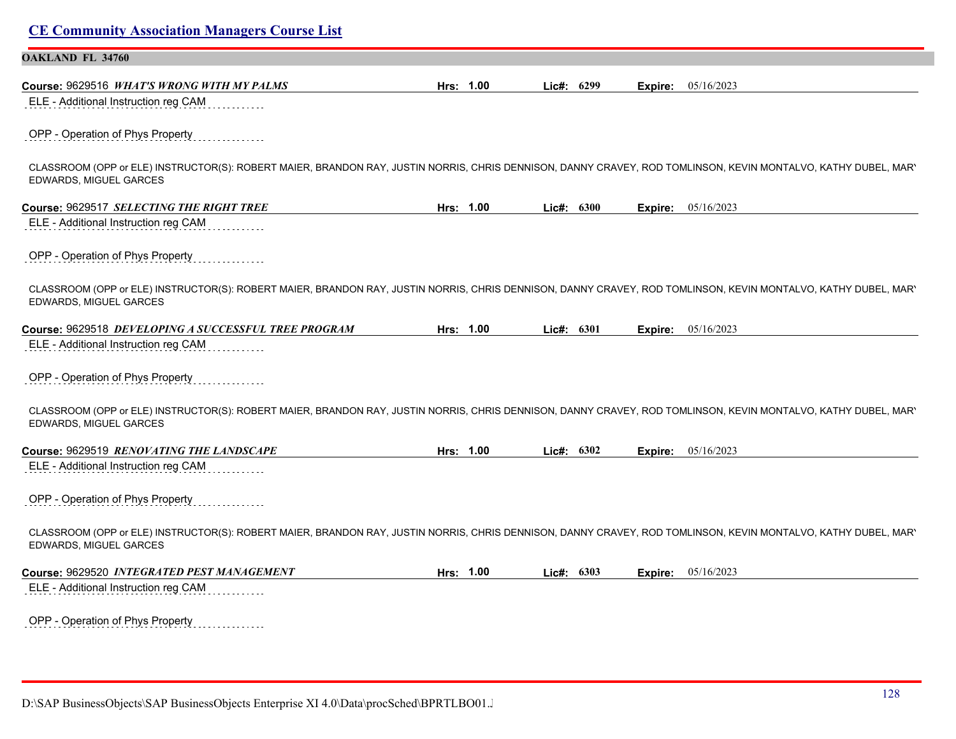| <b>CE Community Association Managers Course List</b>                                                                                                                                     |           |              |         |            |
|------------------------------------------------------------------------------------------------------------------------------------------------------------------------------------------|-----------|--------------|---------|------------|
| <b>OAKLAND FL 34760</b>                                                                                                                                                                  |           |              |         |            |
| Course: 9629516 WHAT'S WRONG WITH MY PALMS                                                                                                                                               | Hrs: 1.00 | Lic#: 6299   | Expire: | 05/16/2023 |
| ELE - Additional Instruction reg CAM                                                                                                                                                     |           |              |         |            |
| OPP - Operation of Phys Property                                                                                                                                                         |           |              |         |            |
| CLASSROOM (OPP or ELE) INSTRUCTOR(S): ROBERT MAIER, BRANDON RAY, JUSTIN NORRIS, CHRIS DENNISON, DANNY CRAVEY, ROD TOMLINSON, KEVIN MONTALVO, KATHY DUBEL, MAR'<br>EDWARDS, MIGUEL GARCES |           |              |         |            |
| Course: 9629517 SELECTING THE RIGHT TREE                                                                                                                                                 | Hrs: 1.00 | Lic#: 6300   | Expire: | 05/16/2023 |
| ELE - Additional Instruction reg CAM                                                                                                                                                     |           |              |         |            |
| OPP - Operation of Phys Property                                                                                                                                                         |           |              |         |            |
| CLASSROOM (OPP or ELE) INSTRUCTOR(S): ROBERT MAIER, BRANDON RAY, JUSTIN NORRIS, CHRIS DENNISON, DANNY CRAVEY, ROD TOMLINSON, KEVIN MONTALVO, KATHY DUBEL, MAR'<br>EDWARDS, MIGUEL GARCES |           |              |         |            |
| Course: 9629518 DEVELOPING A SUCCESSFUL TREE PROGRAM                                                                                                                                     | Hrs: 1.00 | Lic#: 6301   | Expire: | 05/16/2023 |
| ELE - Additional Instruction reg CAM                                                                                                                                                     |           |              |         |            |
| OPP - Operation of Phys Property                                                                                                                                                         |           |              |         |            |
| CLASSROOM (OPP or ELE) INSTRUCTOR(S): ROBERT MAIER, BRANDON RAY, JUSTIN NORRIS, CHRIS DENNISON, DANNY CRAVEY, ROD TOMLINSON, KEVIN MONTALVO, KATHY DUBEL, MAR'<br>EDWARDS, MIGUEL GARCES |           |              |         |            |
| Course: 9629519 RENOVATING THE LANDSCAPE                                                                                                                                                 | Hrs: 1.00 | Lic#: $6302$ | Expire: | 05/16/2023 |
| ELE - Additional Instruction reg CAM                                                                                                                                                     |           |              |         |            |
| OPP - Operation of Phys Property                                                                                                                                                         |           |              |         |            |
| CLASSROOM (OPP or ELE) INSTRUCTOR(S): ROBERT MAIER, BRANDON RAY, JUSTIN NORRIS, CHRIS DENNISON, DANNY CRAVEY, ROD TOMLINSON, KEVIN MONTALVO, KATHY DUBEL, MAR'<br>EDWARDS, MIGUEL GARCES |           |              |         |            |
| Course: 9629520 INTEGRATED PEST MANAGEMENT                                                                                                                                               | Hrs: 1.00 | Lic#: 6303   | Expire: | 05/16/2023 |
| ELE - Additional Instruction reg CAM                                                                                                                                                     |           |              |         |            |
| OPP - Operation of Phys Property                                                                                                                                                         |           |              |         |            |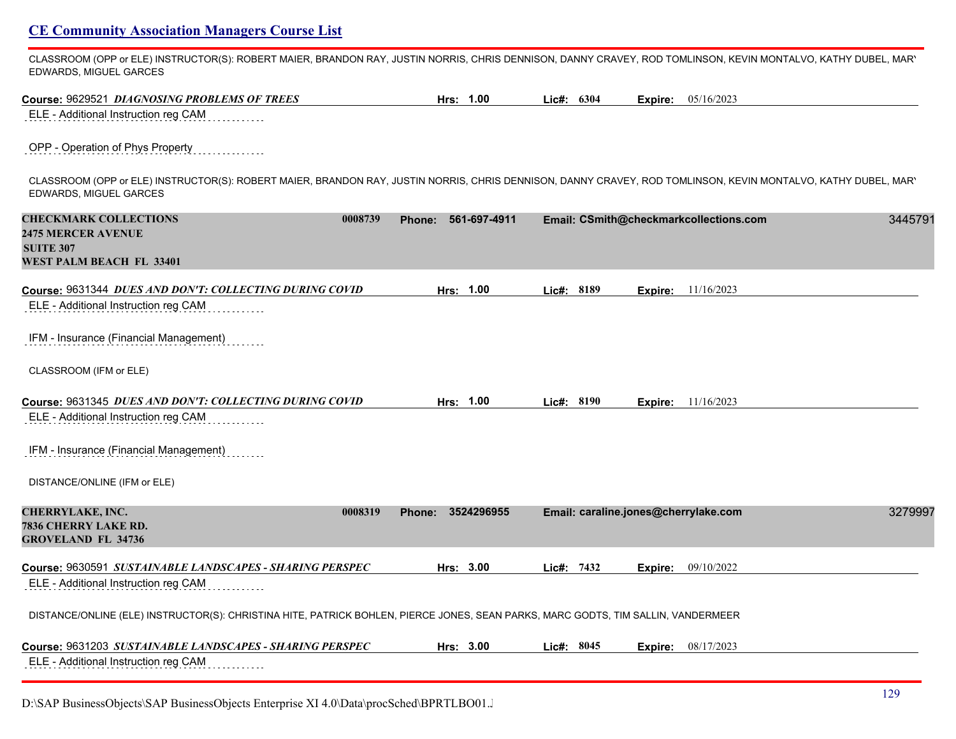CLASSROOM (OPP or ELE) INSTRUCTOR(S): ROBERT MAIER, BRANDON RAY, JUSTIN NORRIS, CHRIS DENNISON, DANNY CRAVEY, ROD TOMLINSON, KEVIN MONTALVO, KATHY DUBEL, MARY EDWARDS, MIGUEL GARCES

| Course: 9629521 DIAGNOSING PROBLEMS OF TREES                                                                                                                                             | Hrs: 1.00              | Lic#: 6304 |                                      | <b>Expire:</b> 05/16/2023                         |
|------------------------------------------------------------------------------------------------------------------------------------------------------------------------------------------|------------------------|------------|--------------------------------------|---------------------------------------------------|
| ELE - Additional Instruction reg CAM                                                                                                                                                     |                        |            |                                      |                                                   |
| OPP - Operation of Phys Property                                                                                                                                                         |                        |            |                                      |                                                   |
| CLASSROOM (OPP or ELE) INSTRUCTOR(S): ROBERT MAIER, BRANDON RAY, JUSTIN NORRIS, CHRIS DENNISON, DANNY CRAVEY, ROD TOMLINSON, KEVIN MONTALVO, KATHY DUBEL, MAR'<br>EDWARDS, MIGUEL GARCES |                        |            |                                      |                                                   |
| <b>CHECKMARK COLLECTIONS</b><br>0008739<br><b>2475 MERCER AVENUE</b><br><b>SUITE 307</b><br>WEST PALM BEACH FL 33401                                                                     | 561-697-4911<br>Phone: |            |                                      | Email: CSmith@checkmarkcollections.com<br>3445791 |
| Course: 9631344 DUES AND DON'T: COLLECTING DURING COVID                                                                                                                                  | Hrs: 1.00              | Lic#: 8189 |                                      | <b>Expire:</b> 11/16/2023                         |
| ELE - Additional Instruction reg CAM                                                                                                                                                     |                        |            |                                      |                                                   |
| IFM - Insurance (Financial Management)                                                                                                                                                   |                        |            |                                      |                                                   |
| CLASSROOM (IFM or ELE)                                                                                                                                                                   |                        |            |                                      |                                                   |
| Course: 9631345 DUES AND DON'T: COLLECTING DURING COVID                                                                                                                                  | Hrs: 1.00              | Lic#: 8190 |                                      | <b>Expire:</b> 11/16/2023                         |
| ELE - Additional Instruction reg CAM                                                                                                                                                     |                        |            |                                      |                                                   |
| IFM - Insurance (Financial Management)                                                                                                                                                   |                        |            |                                      |                                                   |
| DISTANCE/ONLINE (IFM or ELE)                                                                                                                                                             |                        |            |                                      |                                                   |
| <b>CHERRYLAKE, INC.</b><br>0008319<br>7836 CHERRY LAKE RD.<br><b>GROVELAND FL 34736</b>                                                                                                  | Phone: 3524296955      |            | Email: caraline.jones@cherrylake.com | 3279997                                           |
| Course: 9630591 SUSTAINABLE LANDSCAPES - SHARING PERSPEC                                                                                                                                 | Hrs: 3.00              | Lic#: 7432 |                                      | <b>Expire:</b> 09/10/2022                         |
| ELE - Additional Instruction reg CAM                                                                                                                                                     |                        |            |                                      |                                                   |
| DISTANCE/ONLINE (ELE) INSTRUCTOR(S): CHRISTINA HITE, PATRICK BOHLEN, PIERCE JONES, SEAN PARKS, MARC GODTS, TIM SALLIN, VANDERMEER                                                        |                        |            |                                      |                                                   |
| Course: 9631203 SUSTAINABLE LANDSCAPES - SHARING PERSPEC                                                                                                                                 | Hrs: 3.00              | Lic#: 8045 |                                      | Expire: 08/17/2023                                |
| ELE - Additional Instruction reg CAM                                                                                                                                                     |                        |            |                                      |                                                   |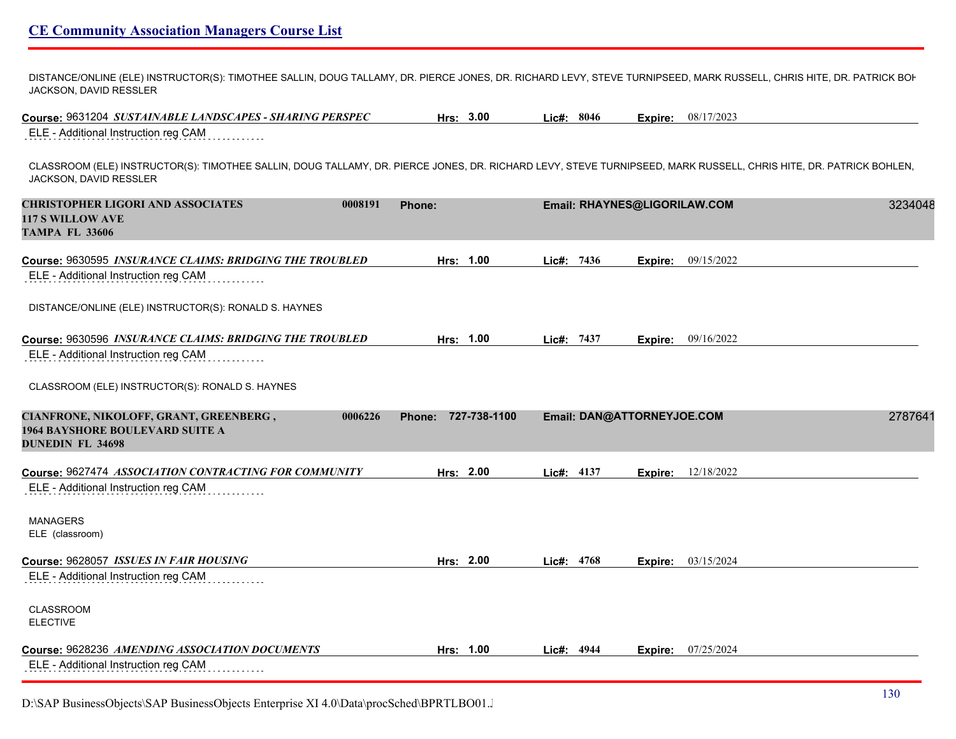DISTANCE/ONLINE (ELE) INSTRUCTOR(S): TIMOTHEE SALLIN, DOUG TALLAMY, DR. PIERCE JONES, DR. RICHARD LEVY, STEVE TURNIPSEED, MARK RUSSELL, CHRIS HITE, DR. PATRICK BOI-JACKSON, DAVID RESSLER

**Course:** 9631204 *SUSTAINABLE LANDSCAPES - SHARING PERSPEC* **Hrs: 3.00 Lic#: 8046 Expire:** 08/17/2023

ELE - Additional Instruction reg CAM . . . . . . . . .

CLASSROOM (ELE) INSTRUCTOR(S): TIMOTHEE SALLIN, DOUG TALLAMY, DR. PIERCE JONES, DR. RICHARD LEVY, STEVE TURNIPSEED, MARK RUSSELL, CHRIS HITE, DR. PATRICK BOHLEN, TIM JACKSON, DAVID RESSLER

| <b>CHRISTOPHER LIGORI AND ASSOCIATES</b><br><b>117 S WILLOW AVE</b><br><b>TAMPA FL 33606</b>                | 0008191 | Phone:                 |              | Email: RHAYNES@LIGORILAW.COM |            | 3234048 |  |
|-------------------------------------------------------------------------------------------------------------|---------|------------------------|--------------|------------------------------|------------|---------|--|
| Course: 9630595 INSURANCE CLAIMS: BRIDGING THE TROUBLED                                                     |         | Hrs: 1.00              | Lic#: 7436   | Expire:                      | 09/15/2022 |         |  |
| ELE - Additional Instruction reg CAM                                                                        |         |                        |              |                              |            |         |  |
| DISTANCE/ONLINE (ELE) INSTRUCTOR(S): RONALD S. HAYNES                                                       |         |                        |              |                              |            |         |  |
| Course: 9630596 INSURANCE CLAIMS: BRIDGING THE TROUBLED                                                     |         | Hrs: 1.00              | Lic#: 7437   | Expire:                      | 09/16/2022 |         |  |
| ELE - Additional Instruction reg CAM                                                                        |         |                        |              |                              |            |         |  |
| CLASSROOM (ELE) INSTRUCTOR(S): RONALD S. HAYNES                                                             |         |                        |              |                              |            |         |  |
| CIANFRONE, NIKOLOFF, GRANT, GREENBERG,<br><b>1964 BAYSHORE BOULEVARD SUITE A</b><br><b>DUNEDIN FL 34698</b> | 0006226 | 727-738-1100<br>Phone: |              | Email: DAN@ATTORNEYJOE.COM   |            | 2787641 |  |
| Course: 9627474 ASSOCIATION CONTRACTING FOR COMMUNITY                                                       |         | Hrs: 2.00              | Lic#: 4137   | Expire:                      | 12/18/2022 |         |  |
| ELE - Additional Instruction reg CAM                                                                        |         |                        |              |                              |            |         |  |
| <b>MANAGERS</b>                                                                                             |         |                        |              |                              |            |         |  |
| ELE (classroom)                                                                                             |         |                        |              |                              |            |         |  |
| Course: 9628057 ISSUES IN FAIR HOUSING                                                                      |         | Hrs: 2.00              | Lic#: 4768   | Expire:                      | 03/15/2024 |         |  |
| ELE - Additional Instruction reg CAM                                                                        |         |                        |              |                              |            |         |  |
| <b>CLASSROOM</b>                                                                                            |         |                        |              |                              |            |         |  |
| <b>ELECTIVE</b>                                                                                             |         |                        |              |                              |            |         |  |
| Course: 9628236 AMENDING ASSOCIATION DOCUMENTS                                                              |         | Hrs: 1.00              | Lic#: $4944$ | Expire:                      | 07/25/2024 |         |  |
| ELE - Additional Instruction reg CAM                                                                        |         |                        |              |                              |            |         |  |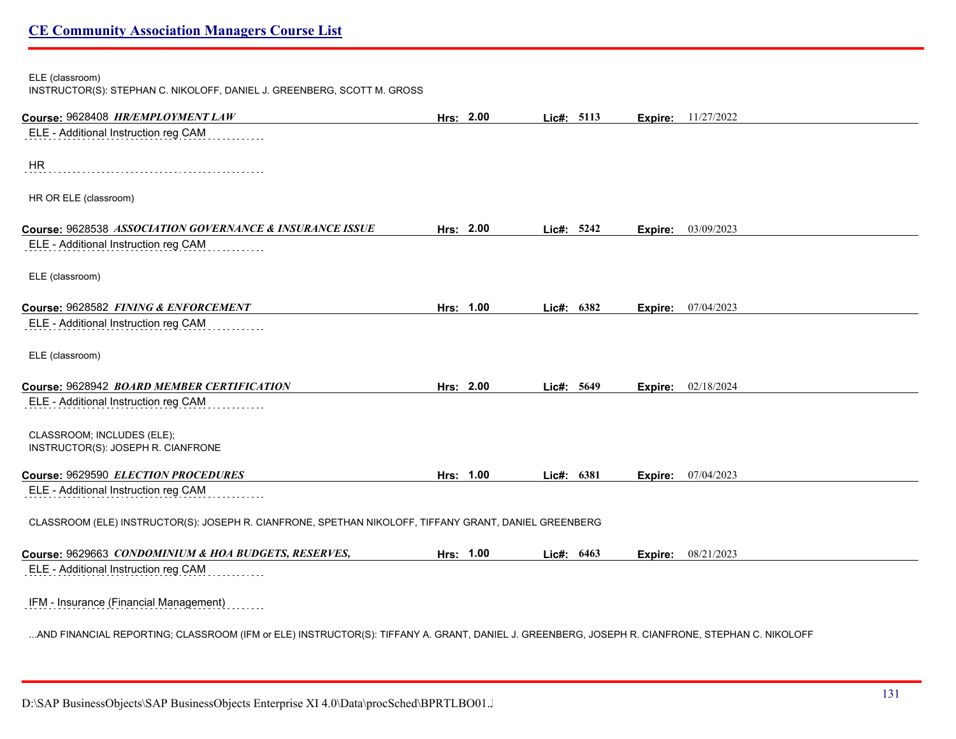#### ELE (classroom)

INSTRUCTOR(S): STEPHAN C. NIKOLOFF, DANIEL J. GREENBERG, SCOTT M. GROSS

| Course: 9628408 HR/EMPLOYMENT LAW                                                                                                              | Hrs: 2.00 | Lic#: 5113 |      |         | <b>Expire:</b> 11/27/2022 |
|------------------------------------------------------------------------------------------------------------------------------------------------|-----------|------------|------|---------|---------------------------|
| ELE - Additional Instruction reg CAM                                                                                                           |           |            |      |         |                           |
|                                                                                                                                                |           |            |      |         |                           |
| <b>HR</b>                                                                                                                                      |           |            |      |         |                           |
| HR OR ELE (classroom)                                                                                                                          |           |            |      |         |                           |
| Course: 9628538 ASSOCIATION GOVERNANCE & INSURANCE ISSUE                                                                                       | Hrs: 2.00 | Lic#: 5242 |      |         | 03/09/2023                |
| ELE - Additional Instruction reg CAM                                                                                                           |           |            |      | Expire: |                           |
|                                                                                                                                                |           |            |      |         |                           |
| ELE (classroom)                                                                                                                                |           |            |      |         |                           |
|                                                                                                                                                |           |            |      |         |                           |
| Course: 9628582 FINING & ENFORCEMENT<br>ELE - Additional Instruction reg CAM                                                                   | Hrs: 1.00 | Lie#:      | 6382 | Expire: | 07/04/2023                |
|                                                                                                                                                |           |            |      |         |                           |
| ELE (classroom)                                                                                                                                |           |            |      |         |                           |
|                                                                                                                                                |           |            |      |         |                           |
| Course: 9628942 BOARD MEMBER CERTIFICATION                                                                                                     | Hrs: 2.00 | Lic#: 5649 |      | Expire: | 02/18/2024                |
| ELE - Additional Instruction reg CAM                                                                                                           |           |            |      |         |                           |
| CLASSROOM; INCLUDES (ELE);                                                                                                                     |           |            |      |         |                           |
| INSTRUCTOR(S): JOSEPH R. CIANFRONE                                                                                                             |           |            |      |         |                           |
| Course: 9629590 ELECTION PROCEDURES                                                                                                            | Hrs: 1.00 | Lic#: 6381 |      |         | 07/04/2023                |
| ELE - Additional Instruction reg CAM                                                                                                           |           |            |      | Expire: |                           |
|                                                                                                                                                |           |            |      |         |                           |
| CLASSROOM (ELE) INSTRUCTOR(S): JOSEPH R. CIANFRONE, SPETHAN NIKOLOFF, TIFFANY GRANT, DANIEL GREENBERG                                          |           |            |      |         |                           |
|                                                                                                                                                |           |            |      |         |                           |
| Course: 9629663 CONDOMINIUM & HOA BUDGETS, RESERVES,                                                                                           | Hrs: 1.00 | Lic#: 6463 |      | Expire: | 08/21/2023                |
| ELE - Additional Instruction reg CAM                                                                                                           |           |            |      |         |                           |
| IFM - Insurance (Financial Management)                                                                                                         |           |            |      |         |                           |
|                                                                                                                                                |           |            |      |         |                           |
| AND FINANCIAL REPORTING; CLASSROOM (IFM or ELE) INSTRUCTOR(S): TIFFANY A. GRANT, DANIEL J. GREENBERG, JOSEPH R. CIANFRONE, STEPHAN C. NIKOLOFF |           |            |      |         |                           |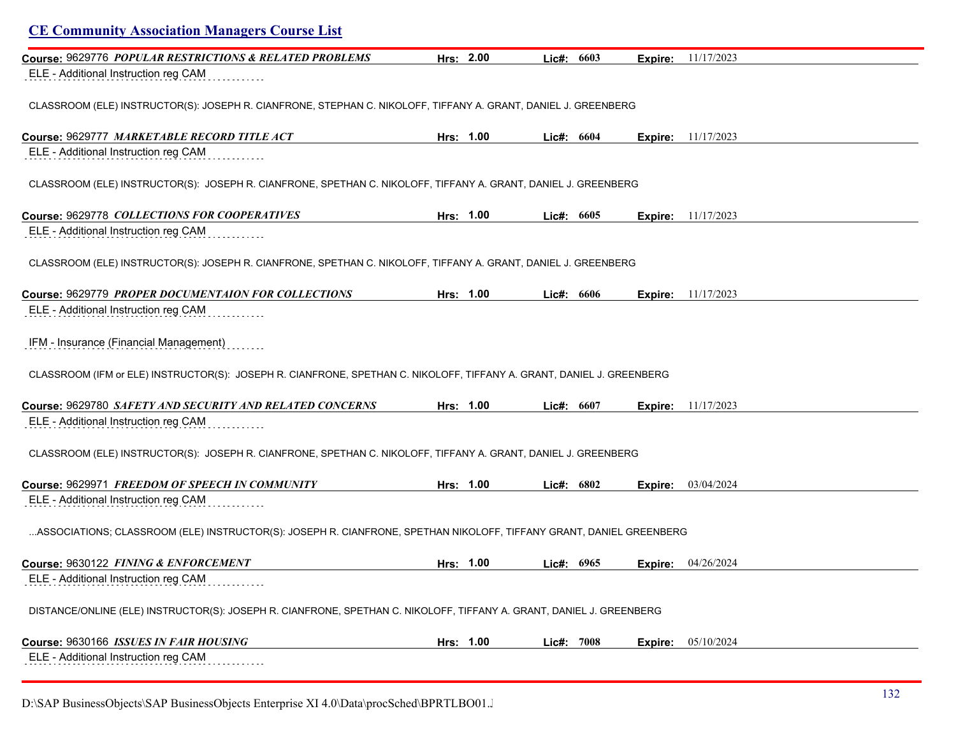| <b>CE Community Association Managers Course List</b>                                                                  |           |              |         |                             |  |
|-----------------------------------------------------------------------------------------------------------------------|-----------|--------------|---------|-----------------------------|--|
| Course: 9629776 POPULAR RESTRICTIONS & RELATED PROBLEMS                                                               | Hrs: 2.00 | Lic#: 6603   |         | <b>Expire:</b> 11/17/2023   |  |
| ELE - Additional Instruction reg CAM                                                                                  |           |              |         |                             |  |
| CLASSROOM (ELE) INSTRUCTOR(S): JOSEPH R. CIANFRONE, STEPHAN C. NIKOLOFF, TIFFANY A. GRANT, DANIEL J. GREENBERG        |           |              |         |                             |  |
| Course: 9629777 MARKETABLE RECORD TITLE ACT                                                                           | Hrs: 1.00 | Lic#: 6604   |         | <b>Expire:</b> $11/17/2023$ |  |
| ELE - Additional Instruction reg CAM                                                                                  |           |              |         |                             |  |
| CLASSROOM (ELE) INSTRUCTOR(S): JOSEPH R. CIANFRONE, SPETHAN C. NIKOLOFF, TIFFANY A. GRANT, DANIEL J. GREENBERG        |           |              |         |                             |  |
| Course: 9629778 COLLECTIONS FOR COOPERATIVES                                                                          | Hrs: 1.00 | Lic#: $6605$ |         | <b>Expire:</b> $11/17/2023$ |  |
| ELE - Additional Instruction reg CAM                                                                                  |           |              |         |                             |  |
| CLASSROOM (ELE) INSTRUCTOR(S): JOSEPH R. CIANFRONE, SPETHAN C. NIKOLOFF, TIFFANY A. GRANT, DANIEL J. GREENBERG        |           |              |         |                             |  |
| Course: 9629779 PROPER DOCUMENTAION FOR COLLECTIONS                                                                   | Hrs: 1.00 | Lic#: 6606   |         | <b>Expire:</b> 11/17/2023   |  |
| ELE - Additional Instruction reg CAM                                                                                  |           |              |         |                             |  |
| IFM - Insurance (Financial Management)                                                                                |           |              |         |                             |  |
| CLASSROOM (IFM or ELE) INSTRUCTOR(S): JOSEPH R. CIANFRONE, SPETHAN C. NIKOLOFF, TIFFANY A. GRANT, DANIEL J. GREENBERG |           |              |         |                             |  |
| Course: 9629780 SAFETY AND SECURITY AND RELATED CONCERNS                                                              | Hrs: 1.00 | Lic#: 6607   |         | <b>Expire:</b> 11/17/2023   |  |
| ELE - Additional Instruction reg CAM                                                                                  |           |              |         |                             |  |
| CLASSROOM (ELE) INSTRUCTOR(S): JOSEPH R. CIANFRONE, SPETHAN C. NIKOLOFF, TIFFANY A. GRANT, DANIEL J. GREENBERG        |           |              |         |                             |  |
| Course: 9629971 FREEDOM OF SPEECH IN COMMUNITY                                                                        | Hrs: 1.00 | Lic#: 6802   | Expire: | 03/04/2024                  |  |
| ELE - Additional Instruction reg CAM                                                                                  |           |              |         |                             |  |
| ASSOCIATIONS; CLASSROOM (ELE) INSTRUCTOR(S): JOSEPH R. CIANFRONE, SPETHAN NIKOLOFF, TIFFANY GRANT, DANIEL GREENBERG   |           |              |         |                             |  |
| Course: 9630122 FINING & ENFORCEMENT                                                                                  | Hrs: 1.00 | Lic#: 6965   |         | Expire: 04/26/2024          |  |
| ELE - Additional Instruction reg CAM                                                                                  |           |              |         |                             |  |
| DISTANCE/ONLINE (ELE) INSTRUCTOR(S): JOSEPH R. CIANFRONE, SPETHAN C. NIKOLOFF, TIFFANY A. GRANT, DANIEL J. GREENBERG  |           |              |         |                             |  |
| Course: 9630166 ISSUES IN FAIR HOUSING                                                                                | Hrs: 1.00 | Lic#: 7008   | Expire: | 05/10/2024                  |  |
| ELE - Additional Instruction reg CAM                                                                                  |           |              |         |                             |  |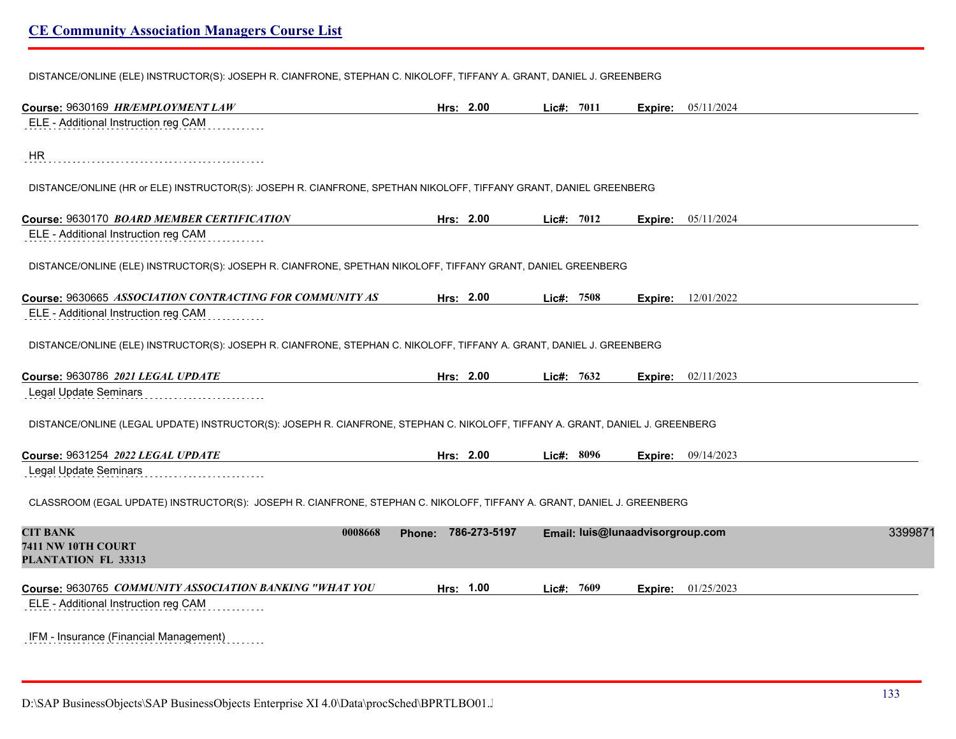DISTANCE/ONLINE (ELE) INSTRUCTOR(S): JOSEPH R. CIANFRONE, STEPHAN C. NIKOLOFF, TIFFANY A. GRANT, DANIEL J. GREENBERG

| Course: 9630169 HR/EMPLOYMENT LAW                                                                                             | Hrs: 2.00           | Lic#: 7011 | <b>Expire:</b> 05/11/2024        |         |
|-------------------------------------------------------------------------------------------------------------------------------|---------------------|------------|----------------------------------|---------|
| ELE - Additional Instruction reg CAM                                                                                          |                     |            |                                  |         |
| <b>HR</b>                                                                                                                     |                     |            |                                  |         |
| DISTANCE/ONLINE (HR or ELE) INSTRUCTOR(S): JOSEPH R. CIANFRONE, SPETHAN NIKOLOFF, TIFFANY GRANT, DANIEL GREENBERG             |                     |            |                                  |         |
| Course: 9630170 BOARD MEMBER CERTIFICATION                                                                                    | Hrs: 2.00           | Lic#: 7012 | Expire: 05/11/2024               |         |
| ELE - Additional Instruction reg CAM                                                                                          |                     |            |                                  |         |
| DISTANCE/ONLINE (ELE) INSTRUCTOR(S): JOSEPH R. CIANFRONE, SPETHAN NIKOLOFF, TIFFANY GRANT, DANIEL GREENBERG                   |                     |            |                                  |         |
| Course: 9630665 ASSOCIATION CONTRACTING FOR COMMUNITY AS                                                                      | Hrs: 2.00           | Lic#: 7508 | 12/01/2022<br>Expire:            |         |
| ELE - Additional Instruction reg CAM                                                                                          |                     |            |                                  |         |
| DISTANCE/ONLINE (ELE) INSTRUCTOR(S): JOSEPH R. CIANFRONE, STEPHAN C. NIKOLOFF, TIFFANY A. GRANT, DANIEL J. GREENBERG          |                     |            |                                  |         |
| Course: 9630786 2021 LEGAL UPDATE                                                                                             | Hrs: 2.00           | Lic#: 7632 | 02/11/2023<br>Expire:            |         |
| Legal Update Seminars                                                                                                         |                     |            |                                  |         |
| DISTANCE/ONLINE (LEGAL UPDATE) INSTRUCTOR(S): JOSEPH R. CIANFRONE, STEPHAN C. NIKOLOFF, TIFFANY A. GRANT, DANIEL J. GREENBERG |                     |            |                                  |         |
| Course: 9631254 2022 LEGAL UPDATE                                                                                             | Hrs: 2.00           | Lic#: 8096 | 09/14/2023<br>Expire:            |         |
| Legal Update Seminars                                                                                                         |                     |            |                                  |         |
| CLASSROOM (EGAL UPDATE) INSTRUCTOR(S): JOSEPH R. CIANFRONE, STEPHAN C. NIKOLOFF, TIFFANY A. GRANT, DANIEL J. GREENBERG        |                     |            |                                  |         |
| <b>CIT BANK</b><br>0008668<br>7411 NW 10TH COURT<br>PLANTATION FL 33313                                                       | Phone: 786-273-5197 |            | Email: luis@lunaadvisorgroup.com | 3399871 |
| Course: 9630765 COMMUNITY ASSOCIATION BANKING "WHAT YOU<br>ELE - Additional Instruction reg CAM                               | Hrs: 1.00           | Lic#: 7609 | 01/25/2023<br>Expire:            |         |
| IFM - Insurance (Financial Management)<br>.                                                                                   |                     |            |                                  |         |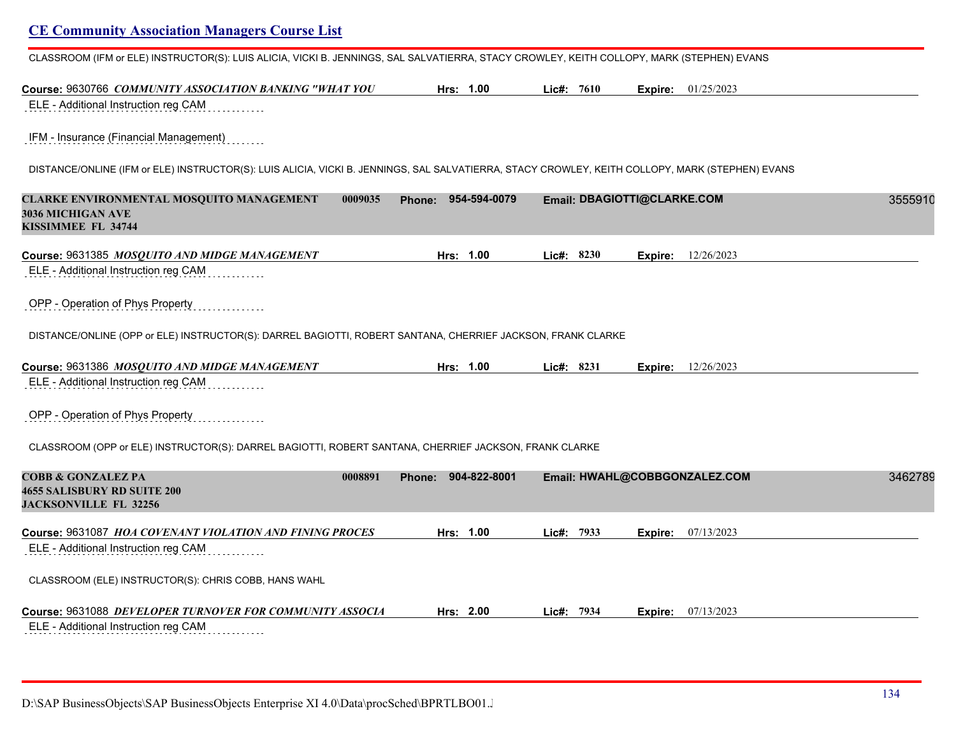CLASSROOM (IFM or ELE) INSTRUCTOR(S): LUIS ALICIA, VICKI B. JENNINGS, SAL SALVATIERRA, STACY CROWLEY, KEITH COLLOPY, MARK (STEPHEN) EVANS

| Course: 9630766 COMMUNITY ASSOCIATION BANKING "WHAT YOU                                                                                         | Hrs: 1.00                     | Lic#: 7610 | Expire: 01/25/2023            |         |
|-------------------------------------------------------------------------------------------------------------------------------------------------|-------------------------------|------------|-------------------------------|---------|
| ELE - Additional Instruction reg CAM                                                                                                            |                               |            |                               |         |
| IFM - Insurance (Financial Management)                                                                                                          |                               |            |                               |         |
| DISTANCE/ONLINE (IFM or ELE) INSTRUCTOR(S): LUIS ALICIA, VICKI B. JENNINGS, SAL SALVATIERRA, STACY CROWLEY, KEITH COLLOPY, MARK (STEPHEN) EVANS |                               |            |                               |         |
| CLARKE ENVIRONMENTAL MOSQUITO MANAGEMENT<br>0009035<br>3036 MICHIGAN AVE<br>KISSIMMEE FL 34744                                                  | 954-594-0079<br><b>Phone:</b> |            | Email: DBAGIOTTI@CLARKE.COM   | 3555910 |
| Course: 9631385 MOSQUITO AND MIDGE MANAGEMENT                                                                                                   | Hrs: 1.00                     | Lic#: 8230 | 12/26/2023<br>Expire:         |         |
| ELE - Additional Instruction reg CAM                                                                                                            |                               |            |                               |         |
| OPP - Operation of Phys Property                                                                                                                |                               |            |                               |         |
| DISTANCE/ONLINE (OPP or ELE) INSTRUCTOR(S): DARREL BAGIOTTI, ROBERT SANTANA, CHERRIEF JACKSON, FRANK CLARKE                                     |                               |            |                               |         |
| Course: 9631386 MOSQUITO AND MIDGE MANAGEMENT                                                                                                   | Hrs: 1.00                     | Lic#: 8231 | 12/26/2023<br>Expire:         |         |
| ELE - Additional Instruction reg CAM                                                                                                            |                               |            |                               |         |
| OPP - Operation of Phys Property                                                                                                                |                               |            |                               |         |
| CLASSROOM (OPP or ELE) INSTRUCTOR(S): DARREL BAGIOTTI, ROBERT SANTANA, CHERRIEF JACKSON, FRANK CLARKE                                           |                               |            |                               |         |
| <b>COBB &amp; GONZALEZ PA</b><br>0008891<br><b>4655 SALISBURY RD SUITE 200</b><br><b>JACKSONVILLE FL 32256</b>                                  | Phone: 904-822-8001           |            | Email: HWAHL@COBBGONZALEZ.COM | 3462789 |
| Course: 9631087 HOA COVENANT VIOLATION AND FINING PROCES                                                                                        | Hrs: 1.00                     | Lic#: 7933 | 07/13/2023<br>Expire:         |         |
| ELE - Additional Instruction reg CAM                                                                                                            |                               |            |                               |         |
| CLASSROOM (ELE) INSTRUCTOR(S): CHRIS COBB, HANS WAHL                                                                                            |                               |            |                               |         |
| Course: 9631088 DEVELOPER TURNOVER FOR COMMUNITY ASSOCIA                                                                                        | Hrs: 2.00                     | Lic#: 7934 | 07/13/2023<br>Expire:         |         |
| ELE - Additional Instruction reg CAM                                                                                                            |                               |            |                               |         |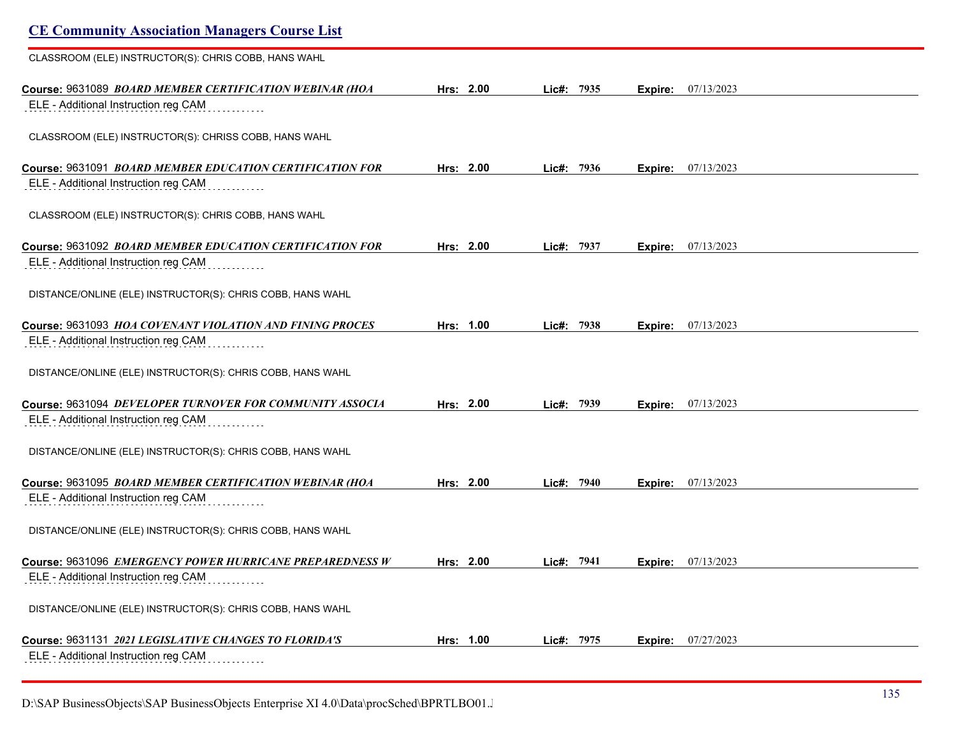| <b>CE Community Association Managers Course List</b>       |           |               |                       |  |
|------------------------------------------------------------|-----------|---------------|-----------------------|--|
| CLASSROOM (ELE) INSTRUCTOR(S): CHRIS COBB, HANS WAHL       |           |               |                       |  |
| Course: 9631089 BOARD MEMBER CERTIFICATION WEBINAR (HOA    | Hrs: 2.00 | 7935<br>Lic#: | 07/13/2023<br>Expire: |  |
| ELE - Additional Instruction reg CAM                       |           |               |                       |  |
| CLASSROOM (ELE) INSTRUCTOR(S): CHRISS COBB, HANS WAHL      |           |               |                       |  |
| Course: 9631091 BOARD MEMBER EDUCATION CERTIFICATION FOR   | Hrs: 2.00 | Lic#: 7936    | 07/13/2023<br>Expire: |  |
| ELE - Additional Instruction reg CAM                       |           |               |                       |  |
| CLASSROOM (ELE) INSTRUCTOR(S): CHRIS COBB, HANS WAHL       |           |               |                       |  |
| Course: 9631092 BOARD MEMBER EDUCATION CERTIFICATION FOR   | Hrs: 2.00 | 7937<br>Lic#: | 07/13/2023<br>Expire: |  |
| ELE - Additional Instruction reg CAM                       |           |               |                       |  |
| DISTANCE/ONLINE (ELE) INSTRUCTOR(S): CHRIS COBB, HANS WAHL |           |               |                       |  |
| Course: 9631093 HOA COVENANT VIOLATION AND FINING PROCES   | Hrs: 1.00 | Lic#: 7938    | 07/13/2023<br>Expire: |  |
| ELE - Additional Instruction reg CAM                       |           |               |                       |  |
| DISTANCE/ONLINE (ELE) INSTRUCTOR(S): CHRIS COBB, HANS WAHL |           |               |                       |  |
| Course: 9631094 DEVELOPER TURNOVER FOR COMMUNITY ASSOCIA   | Hrs: 2.00 | 7939<br>Lic#: | 07/13/2023<br>Expire: |  |
| ELE - Additional Instruction reg CAM                       |           |               |                       |  |
| DISTANCE/ONLINE (ELE) INSTRUCTOR(S): CHRIS COBB, HANS WAHL |           |               |                       |  |
| Course: 9631095 BOARD MEMBER CERTIFICATION WEBINAR (HOA    | Hrs: 2.00 | Lic#: 7940    | 07/13/2023<br>Expire: |  |
| ELE - Additional Instruction reg CAM                       |           |               |                       |  |
| DISTANCE/ONLINE (ELE) INSTRUCTOR(S): CHRIS COBB, HANS WAHL |           |               |                       |  |
|                                                            | Hrs: 2.00 | 7941<br>Lic#: | 07/13/2023<br>Expire: |  |
| ELE - Additional Instruction reg CAM                       |           |               |                       |  |
| DISTANCE/ONLINE (ELE) INSTRUCTOR(S): CHRIS COBB, HANS WAHL |           |               |                       |  |
| Course: 9631131 2021 LEGISLATIVE CHANGES TO FLORIDA'S      | Hrs: 1.00 | Lic#: 7975    | 07/27/2023<br>Expire: |  |
| ELE - Additional Instruction reg CAM                       |           |               |                       |  |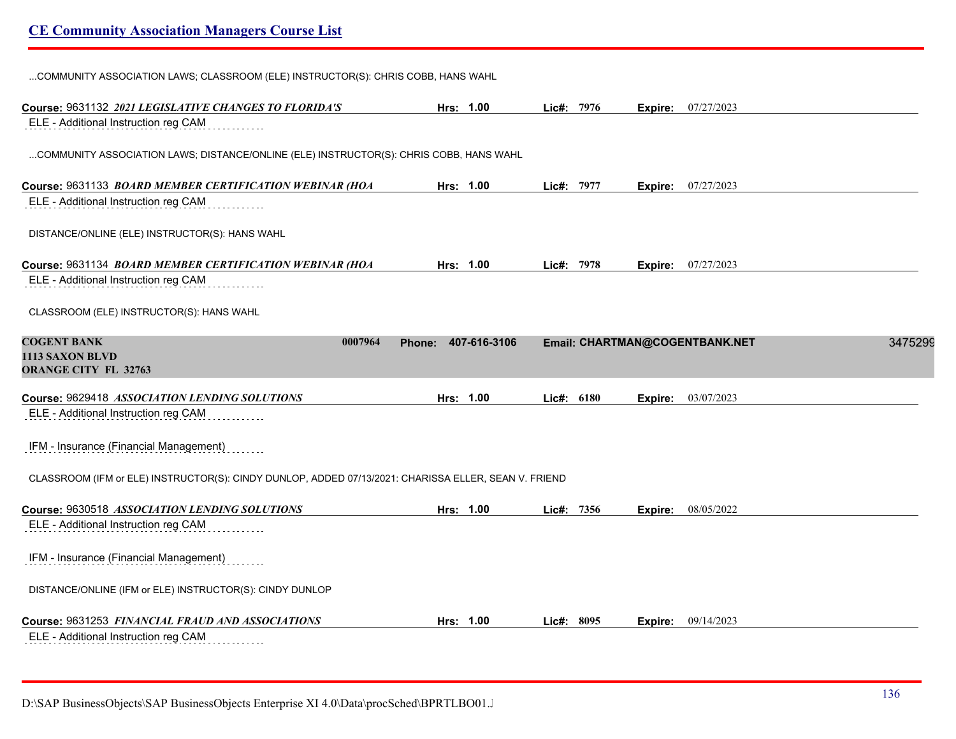| COMMUNITY ASSOCIATION LAWS; CLASSROOM (ELE) INSTRUCTOR(S): CHRIS COBB, HANS WAHL                     |               |              |            |         |                                |         |
|------------------------------------------------------------------------------------------------------|---------------|--------------|------------|---------|--------------------------------|---------|
| Course: 9631132 2021 LEGISLATIVE CHANGES TO FLORIDA'S                                                |               | Hrs: 1.00    | Lic#: 7976 |         | Expire: 07/27/2023             |         |
| ELE - Additional Instruction reg CAM                                                                 |               |              |            |         |                                |         |
| COMMUNITY ASSOCIATION LAWS; DISTANCE/ONLINE (ELE) INSTRUCTOR(S): CHRIS COBB, HANS WAHL               |               |              |            |         |                                |         |
| Course: 9631133 BOARD MEMBER CERTIFICATION WEBINAR (HOA                                              |               | Hrs: 1.00    | Lic#: 7977 |         | Expire: 07/27/2023             |         |
| ELE - Additional Instruction reg CAM                                                                 |               |              |            |         |                                |         |
| DISTANCE/ONLINE (ELE) INSTRUCTOR(S): HANS WAHL                                                       |               |              |            |         |                                |         |
| Course: 9631134 BOARD MEMBER CERTIFICATION WEBINAR (HOA                                              |               | Hrs: 1.00    | Lic#: 7978 |         | Expire: 07/27/2023             |         |
| ELE - Additional Instruction reg CAM                                                                 |               |              |            |         |                                |         |
| CLASSROOM (ELE) INSTRUCTOR(S): HANS WAHL                                                             |               |              |            |         |                                |         |
| <b>COGENT BANK</b><br>0007964<br>1113 SAXON BLVD<br><b>ORANGE CITY FL 32763</b>                      | <b>Phone:</b> | 407-616-3106 |            |         | Email: CHARTMAN@COGENTBANK.NET | 3475299 |
| Course: 9629418 ASSOCIATION LENDING SOLUTIONS                                                        |               | Hrs: 1.00    | Lic#: 6180 | Expire: | 03/07/2023                     |         |
| ELE - Additional Instruction reg CAM                                                                 |               |              |            |         |                                |         |
| IFM - Insurance (Financial Management)                                                               |               |              |            |         |                                |         |
| CLASSROOM (IFM or ELE) INSTRUCTOR(S): CINDY DUNLOP, ADDED 07/13/2021: CHARISSA ELLER, SEAN V. FRIEND |               |              |            |         |                                |         |
| Course: 9630518 ASSOCIATION LENDING SOLUTIONS                                                        |               | Hrs: 1.00    | Lic#: 7356 | Expire: | 08/05/2022                     |         |
| ELE - Additional Instruction reg CAM                                                                 |               |              |            |         |                                |         |
| IFM - Insurance (Financial Management)                                                               |               |              |            |         |                                |         |
| DISTANCE/ONLINE (IFM or ELE) INSTRUCTOR(S): CINDY DUNLOP                                             |               |              |            |         |                                |         |
| Course: 9631253 FINANCIAL FRAUD AND ASSOCIATIONS                                                     |               | Hrs: 1.00    | Lic#: 8095 |         | <b>Expire:</b> 09/14/2023      |         |
| ELE - Additional Instruction reg CAM                                                                 |               |              |            |         |                                |         |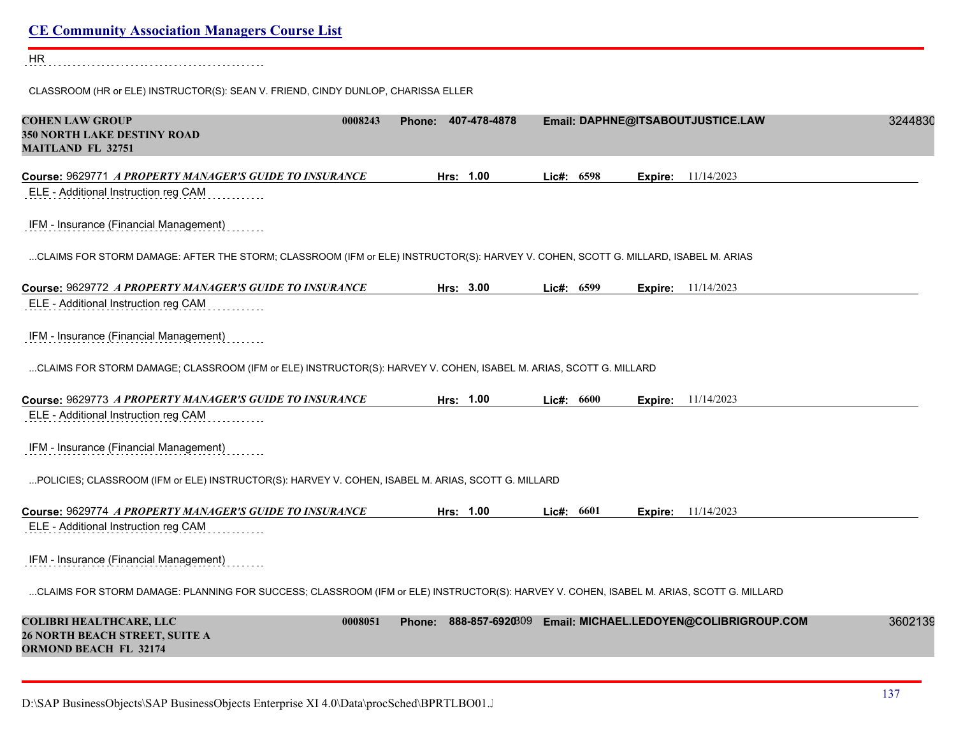| <b>CE Community Association Managers Course List</b>                                                                                    |                           |              |                                         |         |
|-----------------------------------------------------------------------------------------------------------------------------------------|---------------------------|--------------|-----------------------------------------|---------|
| <b>HR</b>                                                                                                                               |                           |              |                                         |         |
| CLASSROOM (HR or ELE) INSTRUCTOR(S): SEAN V. FRIEND, CINDY DUNLOP, CHARISSA ELLER                                                       |                           |              |                                         |         |
| <b>COHEN LAW GROUP</b><br>0008243<br><b>350 NORTH LAKE DESTINY ROAD</b><br><b>MAITLAND FL 32751</b>                                     | Phone: 407-478-4878       |              | Email: DAPHNE@ITSABOUTJUSTICE.LAW       | 3244830 |
| Course: 9629771 A PROPERTY MANAGER'S GUIDE TO INSURANCE<br>ELE - Additional Instruction reg CAM                                         | Hrs: 1.00                 | Lic#: 6598   | 11/14/2023<br>Expire:                   |         |
| IFM - Insurance (Financial Management)                                                                                                  |                           |              |                                         |         |
| CLAIMS FOR STORM DAMAGE: AFTER THE STORM; CLASSROOM (IFM or ELE) INSTRUCTOR(S): HARVEY V. COHEN, SCOTT G. MILLARD, ISABEL M. ARIAS      |                           |              |                                         |         |
| Course: 9629772 A PROPERTY MANAGER'S GUIDE TO INSURANCE                                                                                 | Hrs: 3.00                 | Lic#: 6599   | <b>Expire:</b> 11/14/2023               |         |
| ELE - Additional Instruction reg CAM                                                                                                    |                           |              |                                         |         |
| IFM - Insurance (Financial Management)                                                                                                  |                           |              |                                         |         |
| CLAIMS FOR STORM DAMAGE; CLASSROOM (IFM or ELE) INSTRUCTOR(S): HARVEY V. COHEN, ISABEL M. ARIAS, SCOTT G. MILLARD                       |                           |              |                                         |         |
| Course: 9629773 A PROPERTY MANAGER'S GUIDE TO INSURANCE<br>ELE - Additional Instruction reg CAM                                         | Hrs: 1.00                 | Lic#: 6600   | 11/14/2023<br>Expire:                   |         |
| IFM - Insurance (Financial Management)                                                                                                  |                           |              |                                         |         |
| POLICIES; CLASSROOM (IFM or ELE) INSTRUCTOR(S): HARVEY V. COHEN, ISABEL M. ARIAS, SCOTT G. MILLARD                                      |                           |              |                                         |         |
| Course: 9629774 A PROPERTY MANAGER'S GUIDE TO INSURANCE                                                                                 | Hrs: 1.00                 | Lic#: $6601$ | <b>Expire:</b> 11/14/2023               |         |
| ELE - Additional Instruction reg CAM                                                                                                    |                           |              |                                         |         |
| IFM - Insurance (Financial Management)                                                                                                  |                           |              |                                         |         |
| CLAIMS FOR STORM DAMAGE: PLANNING FOR SUCCESS; CLASSROOM (IFM or ELE) INSTRUCTOR(S): HARVEY V. COHEN, ISABEL M. ARIAS, SCOTT G. MILLARD |                           |              |                                         |         |
| <b>COLIBRI HEALTHCARE, LLC</b><br>0008051<br><b>26 NORTH BEACH STREET, SUITE A</b><br><b>ORMOND BEACH FL 32174</b>                      | 888-857-6920309<br>Phone: |              | Email: MICHAEL.LEDOYEN@COLIBRIGROUP.COM | 3602139 |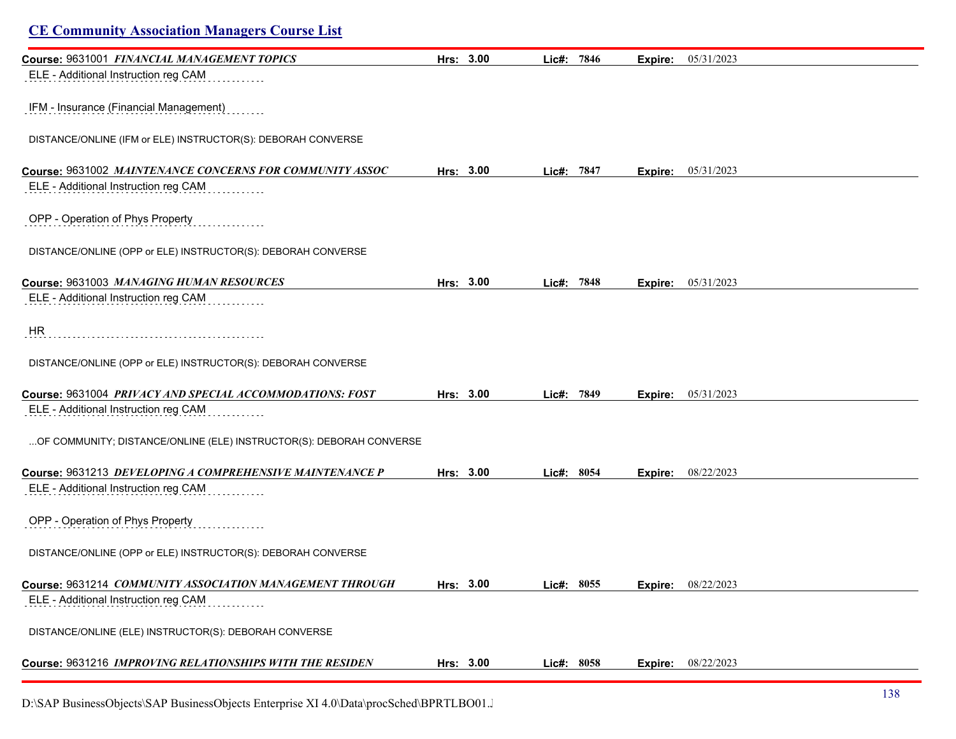| <b>CE Community Association Managers Course List</b>                |           |       |            |         |            |  |
|---------------------------------------------------------------------|-----------|-------|------------|---------|------------|--|
| Course: 9631001 FINANCIAL MANAGEMENT TOPICS                         | Hrs: 3.00 | Lic#: | 7846       | Expire: | 05/31/2023 |  |
| ELE - Additional Instruction reg CAM                                |           |       |            |         |            |  |
| IFM - Insurance (Financial Management)                              |           |       |            |         |            |  |
| DISTANCE/ONLINE (IFM or ELE) INSTRUCTOR(S): DEBORAH CONVERSE        |           |       |            |         |            |  |
| Course: 9631002 MAINTENANCE CONCERNS FOR COMMUNITY ASSOC            | Hrs: 3.00 |       | Lic#: 7847 | Expire: | 05/31/2023 |  |
| ELE - Additional Instruction reg CAM                                |           |       |            |         |            |  |
| OPP - Operation of Phys Property                                    |           |       |            |         |            |  |
| DISTANCE/ONLINE (OPP or ELE) INSTRUCTOR(S): DEBORAH CONVERSE        |           |       |            |         |            |  |
| Course: 9631003 MANAGING HUMAN RESOURCES                            | Hrs: 3.00 |       | Lic#: 7848 | Expire: | 05/31/2023 |  |
| ELE - Additional Instruction reg CAM                                |           |       |            |         |            |  |
| HR                                                                  |           |       |            |         |            |  |
| DISTANCE/ONLINE (OPP or ELE) INSTRUCTOR(S): DEBORAH CONVERSE        |           |       |            |         |            |  |
| Course: 9631004 PRIVACY AND SPECIAL ACCOMMODATIONS: FOST            | Hrs: 3.00 | Lic#: | 7849       | Expire: | 05/31/2023 |  |
| ELE - Additional Instruction reg CAM                                |           |       |            |         |            |  |
| OF COMMUNITY; DISTANCE/ONLINE (ELE) INSTRUCTOR(S): DEBORAH CONVERSE |           |       |            |         |            |  |
| Course: 9631213 DEVELOPING A COMPREHENSIVE MAINTENANCE P            | Hrs: 3.00 |       | Lic#: 8054 | Expire: | 08/22/2023 |  |
| ELE - Additional Instruction reg CAM                                |           |       |            |         |            |  |
| OPP - Operation of Phys Property                                    |           |       |            |         |            |  |
| DISTANCE/ONLINE (OPP or ELE) INSTRUCTOR(S): DEBORAH CONVERSE        |           |       |            |         |            |  |
| Course: 9631214 COMMUNITY ASSOCIATION MANAGEMENT THROUGH            | Hrs: 3.00 |       | Lic#: 8055 | Expire: | 08/22/2023 |  |
| ELE - Additional Instruction reg CAM                                |           |       |            |         |            |  |
| DISTANCE/ONLINE (ELE) INSTRUCTOR(S): DEBORAH CONVERSE               |           |       |            |         |            |  |
| Course: 9631216 IMPROVING RELATIONSHIPS WITH THE RESIDEN            | Hrs: 3.00 |       | Lic#: 8058 | Expire: | 08/22/2023 |  |
|                                                                     |           |       |            |         |            |  |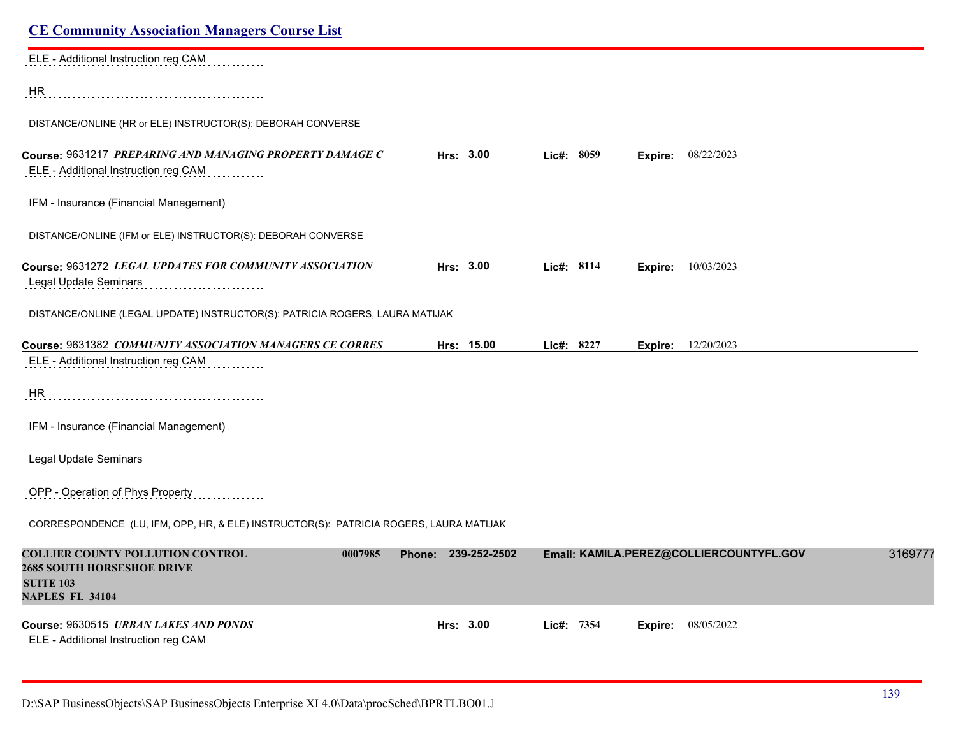| <b>CE Community Association Managers Course List</b>                                                        |                     |            |                                         |         |
|-------------------------------------------------------------------------------------------------------------|---------------------|------------|-----------------------------------------|---------|
| ELE - Additional Instruction reg CAM                                                                        |                     |            |                                         |         |
| HR                                                                                                          |                     |            |                                         |         |
| DISTANCE/ONLINE (HR or ELE) INSTRUCTOR(S): DEBORAH CONVERSE                                                 |                     |            |                                         |         |
| Course: 9631217 PREPARING AND MANAGING PROPERTY DAMAGE C                                                    | Hrs: 3.00           | Lic#: 8059 | <b>Expire:</b> 08/22/2023               |         |
| ELE - Additional Instruction reg CAM                                                                        |                     |            |                                         |         |
| IFM - Insurance (Financial Management)                                                                      |                     |            |                                         |         |
| DISTANCE/ONLINE (IFM or ELE) INSTRUCTOR(S): DEBORAH CONVERSE                                                |                     |            |                                         |         |
| Course: 9631272 LEGAL UPDATES FOR COMMUNITY ASSOCIATION                                                     | Hrs: 3.00           | Lic#: 8114 | 10/03/2023<br>Expire:                   |         |
| Legal Update Seminars                                                                                       |                     |            |                                         |         |
| DISTANCE/ONLINE (LEGAL UPDATE) INSTRUCTOR(S): PATRICIA ROGERS, LAURA MATIJAK                                |                     |            |                                         |         |
| Course: 9631382 COMMUNITY ASSOCIATION MANAGERS CE CORRES                                                    | Hrs: 15.00          | Lic#: 8227 | 12/20/2023<br>Expire:                   |         |
| ELE - Additional Instruction reg CAM                                                                        |                     |            |                                         |         |
| HR.                                                                                                         |                     |            |                                         |         |
| IFM - Insurance (Financial Management)                                                                      |                     |            |                                         |         |
| Legal Update Seminars                                                                                       |                     |            |                                         |         |
| OPP - Operation of Phys Property                                                                            |                     |            |                                         |         |
| CORRESPONDENCE (LU, IFM, OPP, HR, & ELE) INSTRUCTOR(S): PATRICIA ROGERS, LAURA MATIJAK                      |                     |            |                                         |         |
| <b>COLLIER COUNTY POLLUTION CONTROL</b><br>0007985<br><b>2685 SOUTH HORSESHOE DRIVE</b><br><b>SUITE 103</b> | Phone: 239-252-2502 |            | Email: KAMILA.PEREZ@COLLIERCOUNTYFL.GOV | 3169777 |
| <b>NAPLES FL 34104</b>                                                                                      |                     |            |                                         |         |
| Course: 9630515 URBAN LAKES AND PONDS                                                                       | Hrs: 3.00           | Lic#: 7354 | 08/05/2022<br>Expire:                   |         |
| ELE - Additional Instruction reg CAM                                                                        |                     |            |                                         |         |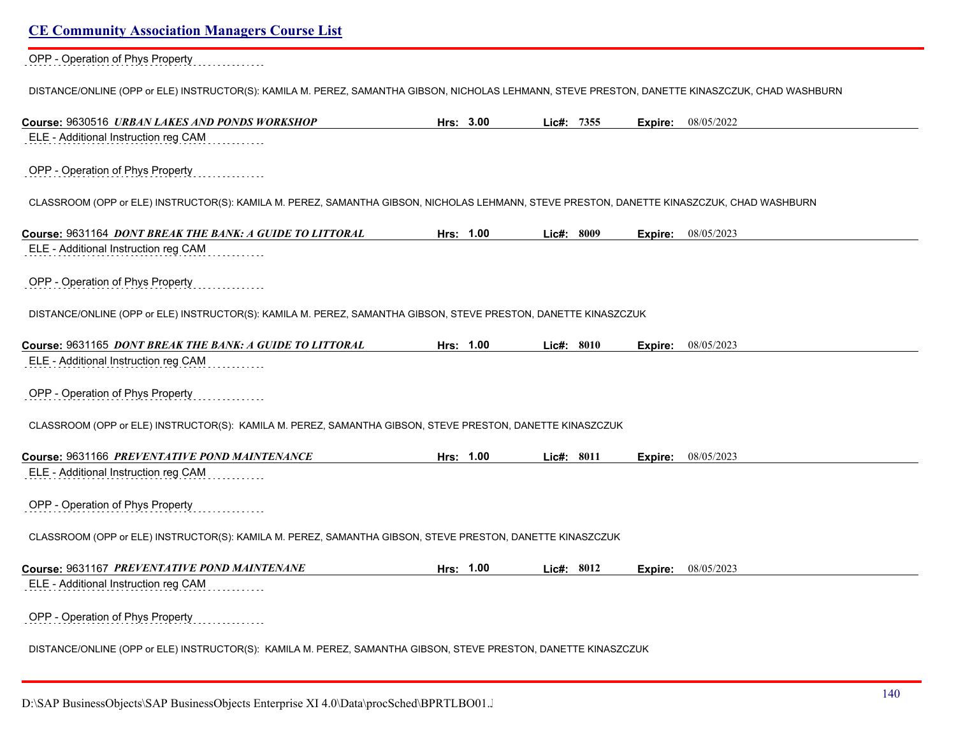#### OPP - Operation of Phys Property

DISTANCE/ONLINE (OPP or ELE) INSTRUCTOR(S): KAMILA M. PEREZ, SAMANTHA GIBSON, NICHOLAS LEHMANN, STEVE PRESTON, DANETTE KINASZCZUK, CHAD WASHBURN

| Course: 9630516 URBAN LAKES AND PONDS WORKSHOP                                                                                             | Hrs: 3.00 | Lic#: 7355   | Expire: | 08/05/2022 |
|--------------------------------------------------------------------------------------------------------------------------------------------|-----------|--------------|---------|------------|
| ELE - Additional Instruction reg CAM                                                                                                       |           |              |         |            |
| OPP - Operation of Phys Property                                                                                                           |           |              |         |            |
| CLASSROOM (OPP or ELE) INSTRUCTOR(S): KAMILA M. PEREZ, SAMANTHA GIBSON, NICHOLAS LEHMANN, STEVE PRESTON, DANETTE KINASZCZUK, CHAD WASHBURN |           |              |         |            |
| Course: 9631164 DONT BREAK THE BANK: A GUIDE TO LITTORAL                                                                                   | Hrs: 1.00 | Lic#: 8009   | Expire: | 08/05/2023 |
| ELE - Additional Instruction reg CAM                                                                                                       |           |              |         |            |
| OPP - Operation of Phys Property                                                                                                           |           |              |         |            |
| DISTANCE/ONLINE (OPP or ELE) INSTRUCTOR(S): KAMILA M. PEREZ, SAMANTHA GIBSON, STEVE PRESTON, DANETTE KINASZCZUK                            |           |              |         |            |
| Course: 9631165 DONT BREAK THE BANK: A GUIDE TO LITTORAL                                                                                   | Hrs: 1.00 | Lic#: 8010   | Expire: | 08/05/2023 |
| ELE - Additional Instruction reg CAM                                                                                                       |           |              |         |            |
| OPP - Operation of Phys Property                                                                                                           |           |              |         |            |
| CLASSROOM (OPP or ELE) INSTRUCTOR(S): KAMILA M. PEREZ, SAMANTHA GIBSON, STEVE PRESTON, DANETTE KINASZCZUK                                  |           |              |         |            |
| Course: 9631166 PREVENTATIVE POND MAINTENANCE                                                                                              | Hrs: 1.00 | Lic#: $8011$ | Expire: | 08/05/2023 |
| ELE - Additional Instruction reg CAM                                                                                                       |           |              |         |            |
| OPP - Operation of Phys Property                                                                                                           |           |              |         |            |
| CLASSROOM (OPP or ELE) INSTRUCTOR(S): KAMILA M. PEREZ, SAMANTHA GIBSON, STEVE PRESTON, DANETTE KINASZCZUK                                  |           |              |         |            |
| Course: 9631167 PREVENTATIVE POND MAINTENANE                                                                                               | Hrs: 1.00 | Lic#: 8012   | Expire: | 08/05/2023 |
| ELE - Additional Instruction reg CAM                                                                                                       |           |              |         |            |
| OPP - Operation of Phys Property                                                                                                           |           |              |         |            |
| DISTANCE/ONLINE (OPP or ELE) INSTRUCTOR(S): KAMILA M. PEREZ, SAMANTHA GIBSON, STEVE PRESTON, DANETTE KINASZCZUK                            |           |              |         |            |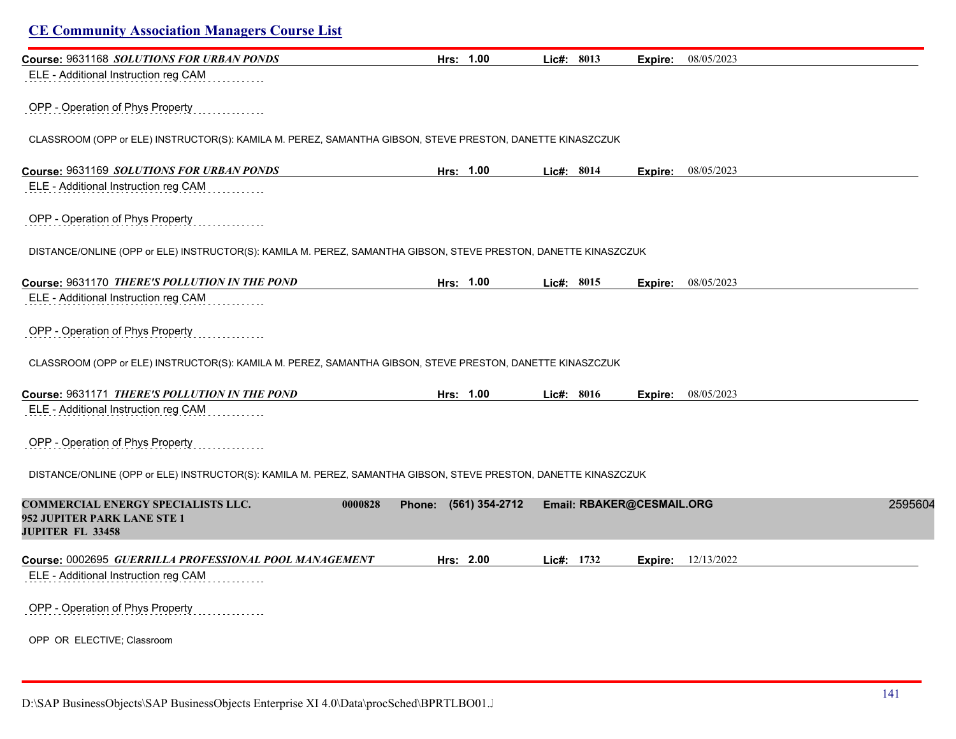# **CE Community Association Managers Course List Course:** 9631168 *SOLUTIONS FOR URBAN PONDS* **Hrs: 1.00 Lic#: 8013 Expire:** 08/05/2023 ELE - Additional Instruction reg CAM OPP - Operation of Phys Property CLASSROOM (OPP or ELE) INSTRUCTOR(S): KAMILA M. PEREZ, SAMANTHA GIBSON, STEVE PRESTON, DANETTE KINASZCZUK **Course:** 9631169 *SOLUTIONS FOR URBAN PONDS* **Hrs: 1.00 Lic#: 8014 Expire:** 08/05/2023 ELE - Additional Instruction reg CAM OPP - Operation of Phys Property DISTANCE/ONLINE (OPP or ELE) INSTRUCTOR(S): KAMILA M. PEREZ, SAMANTHA GIBSON, STEVE PRESTON, DANETTE KINASZCZUK **Course:** 9631170 *THERE'S POLLUTION IN THE POND* **Hrs: 1.00 Lic#: 8015 Expire:** 08/05/2023 ELE - Additional Instruction reg CAM OPP - Operation of Phys Property CLASSROOM (OPP or ELE) INSTRUCTOR(S): KAMILA M. PEREZ, SAMANTHA GIBSON, STEVE PRESTON, DANETTE KINASZCZUK **Course:** 9631171 *THERE'S POLLUTION IN THE POND* **Hrs: 1.00 Lic#: 8016 Expire:** 08/05/2023 ELE - Additional Instruction reg CAM OPP - Operation of Phys Property DISTANCE/ONLINE (OPP or ELE) INSTRUCTOR(S): KAMILA M. PEREZ, SAMANTHA GIBSON, STEVE PRESTON, DANETTE KINASZCZUK **COMMERCIAL ENERGY SPECIALISTS LLC. 0000828 Phone: (561) 354-2712 Email: RBAKER@CESMAIL.ORG** 25956043 **952 JUPITER PARK LANE STE 1 JUPITER FL 33458 Course:** 0002695 *GUERRILLA PROFESSIONAL POOL MANAGEMENT* **Hrs: 2.00 Lic#: 1732 Expire:** 12/13/2022 ELE - Additional Instruction reg CAM OPP - Operation of Phys Property OPP OR ELECTIVE; Classroom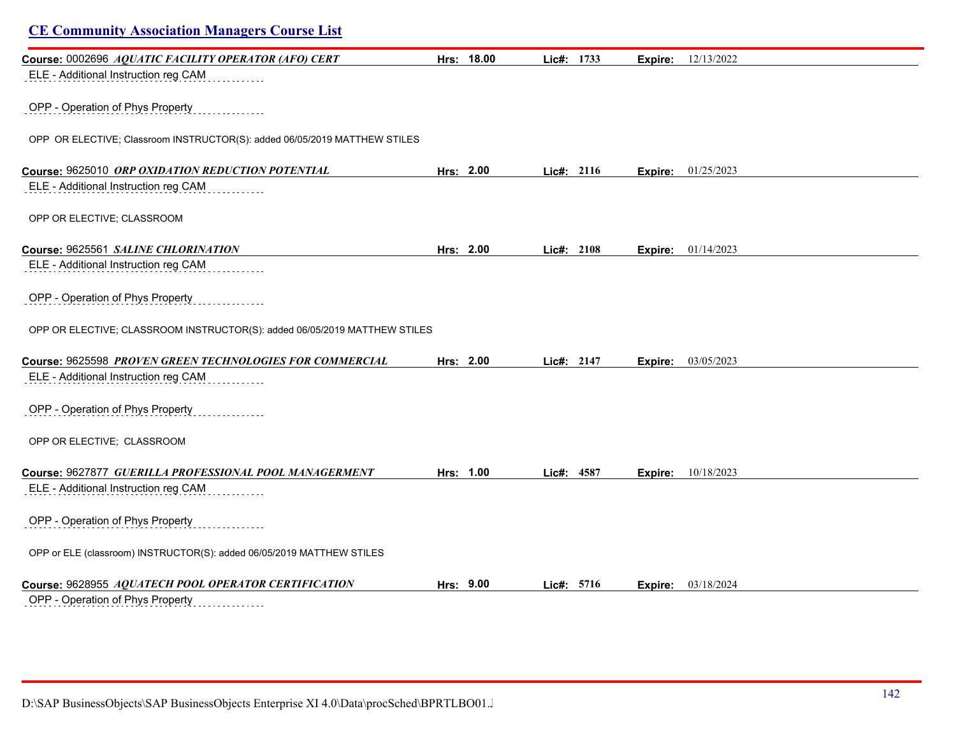| <b>CE Community Association Managers Course List</b>                      |            |            |         |                             |  |
|---------------------------------------------------------------------------|------------|------------|---------|-----------------------------|--|
| Course: 0002696 AQUATIC FACILITY OPERATOR (AFO) CERT                      | Hrs: 18.00 | Lic#: 1733 | Expire: | 12/13/2022                  |  |
| ELE - Additional Instruction reg CAM                                      |            |            |         |                             |  |
| OPP - Operation of Phys Property                                          |            |            |         |                             |  |
| OPP OR ELECTIVE; Classroom INSTRUCTOR(S): added 06/05/2019 MATTHEW STILES |            |            |         |                             |  |
| Course: 9625010 ORP OXIDATION REDUCTION POTENTIAL                         | Hrs: 2.00  | Lic#: 2116 |         | <b>Expire:</b> $01/25/2023$ |  |
| ELE - Additional Instruction reg CAM                                      |            |            |         |                             |  |
| OPP OR ELECTIVE; CLASSROOM                                                |            |            |         |                             |  |
| Course: 9625561 SALINE CHLORINATION                                       | Hrs: 2.00  | Lic#: 2108 | Expire: | 01/14/2023                  |  |
| ELE - Additional Instruction reg CAM                                      |            |            |         |                             |  |
| OPP - Operation of Phys Property                                          |            |            |         |                             |  |
| OPP OR ELECTIVE; CLASSROOM INSTRUCTOR(S): added 06/05/2019 MATTHEW STILES |            |            |         |                             |  |
| Course: 9625598 PROVEN GREEN TECHNOLOGIES FOR COMMERCIAL                  | Hrs: 2.00  | Lic#: 2147 | Expire: | 03/05/2023                  |  |
| ELE - Additional Instruction reg CAM                                      |            |            |         |                             |  |
| OPP - Operation of Phys Property                                          |            |            |         |                             |  |
| OPP OR ELECTIVE; CLASSROOM                                                |            |            |         |                             |  |
| Course: 9627877 GUERILLA PROFESSIONAL POOL MANAGERMENT                    | Hrs: 1.00  | Lic#: 4587 | Expire: | 10/18/2023                  |  |
| ELE - Additional Instruction reg CAM                                      |            |            |         |                             |  |
| OPP - Operation of Phys Property                                          |            |            |         |                             |  |
| OPP or ELE (classroom) INSTRUCTOR(S): added 06/05/2019 MATTHEW STILES     |            |            |         |                             |  |
| Course: 9628955 AQUATECH POOL OPERATOR CERTIFICATION                      | Hrs: 9.00  | Lic#: 5716 | Expire: | 03/18/2024                  |  |
| OPP - Operation of Phys Property<br>.                                     |            |            |         |                             |  |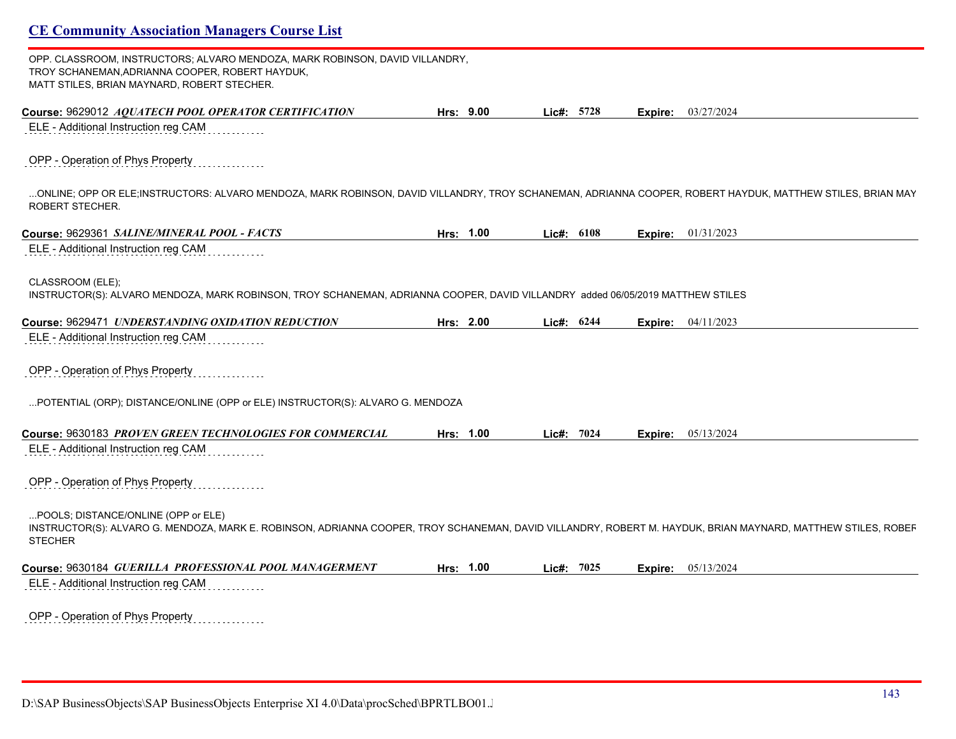OPP. CLASSROOM, INSTRUCTORS; ALVARO MENDOZA, MARK ROBINSON, DAVID VILLANDRY, TROY SCHANEMAN,ADRIANNA COOPER, ROBERT HAYDUK, MATT STILES, BRIAN MAYNARD, ROBERT STECHER.

| Course: 9629012 AQUATECH POOL OPERATOR CERTIFICATION                                                                                                                                                                  | Hrs: 9.00 | Lic#: 5728   | Expire: | 03/27/2024 |
|-----------------------------------------------------------------------------------------------------------------------------------------------------------------------------------------------------------------------|-----------|--------------|---------|------------|
| ELE - Additional Instruction reg CAM                                                                                                                                                                                  |           |              |         |            |
| OPP - Operation of Phys Property                                                                                                                                                                                      |           |              |         |            |
| ONLINE; OPP OR ELE;INSTRUCTORS: ALVARO MENDOZA, MARK ROBINSON, DAVID VILLANDRY, TROY SCHANEMAN, ADRIANNA COOPER, ROBERT HAYDUK, MATTHEW STILES, BRIAN MAY<br>ROBERT STECHER.                                          |           |              |         |            |
| Course: 9629361 SALINE/MINERAL POOL - FACTS                                                                                                                                                                           | Hrs: 1.00 | Lic#: 6108   | Expire: | 01/31/2023 |
| ELE - Additional Instruction reg CAM                                                                                                                                                                                  |           |              |         |            |
| CLASSROOM (ELE);<br>INSTRUCTOR(S): ALVARO MENDOZA, MARK ROBINSON, TROY SCHANEMAN, ADRIANNA COOPER, DAVID VILLANDRY added 06/05/2019 MATTHEW STILES                                                                    |           |              |         |            |
| Course: 9629471 UNDERSTANDING OXIDATION REDUCTION                                                                                                                                                                     | Hrs: 2.00 | Lic#: 6244   | Expire: | 04/11/2023 |
| ELE - Additional Instruction reg CAM                                                                                                                                                                                  |           |              |         |            |
| OPP - Operation of Phys Property                                                                                                                                                                                      |           |              |         |            |
| POTENTIAL (ORP); DISTANCE/ONLINE (OPP or ELE) INSTRUCTOR(S): ALVARO G. MENDOZA                                                                                                                                        |           |              |         |            |
| Course: 9630183 PROVEN GREEN TECHNOLOGIES FOR COMMERCIAL                                                                                                                                                              | Hrs: 1.00 | Lic#: $7024$ | Expire: | 05/13/2024 |
| ELE - Additional Instruction reg CAM                                                                                                                                                                                  |           |              |         |            |
| OPP - Operation of Phys Property                                                                                                                                                                                      |           |              |         |            |
| POOLS; DISTANCE/ONLINE (OPP or ELE)<br>INSTRUCTOR(S): ALVARO G. MENDOZA, MARK E. ROBINSON, ADRIANNA COOPER, TROY SCHANEMAN, DAVID VILLANDRY, ROBERT M. HAYDUK, BRIAN MAYNARD, MATTHEW STILES, ROBEF<br><b>STECHER</b> |           |              |         |            |
|                                                                                                                                                                                                                       |           |              |         |            |
| Course: 9630184 GUERILLA PROFESSIONAL POOL MANAGERMENT                                                                                                                                                                | Hrs: 1.00 | Lic#: 7025   | Expire: | 05/13/2024 |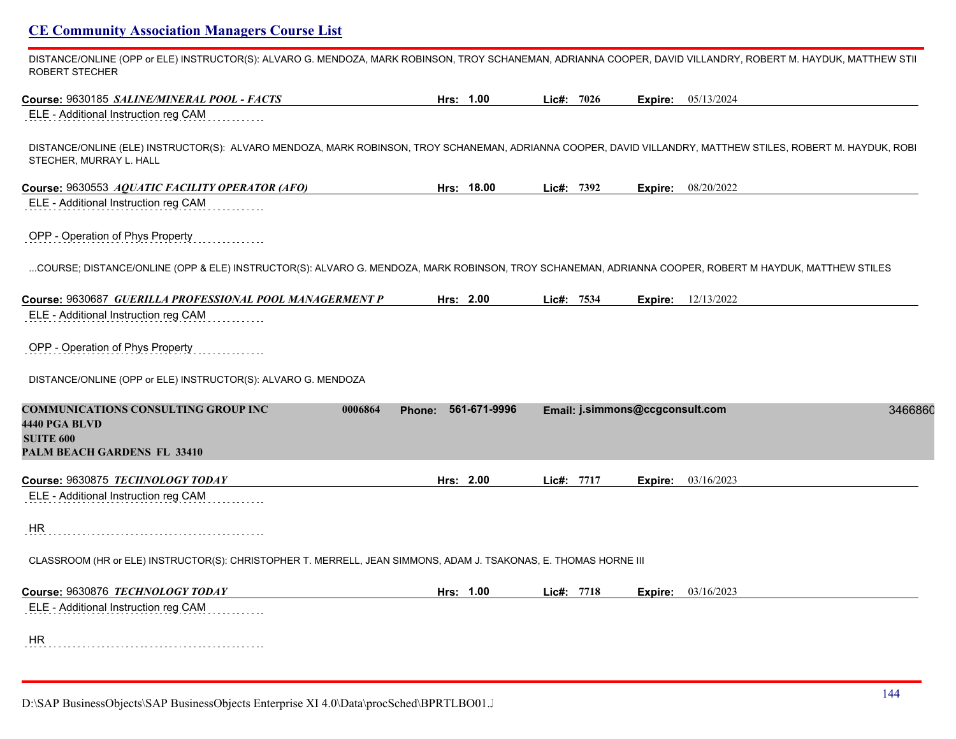DISTANCE/ONLINE (OPP or ELE) INSTRUCTOR(S): ALVARO G. MENDOZA, MARK ROBINSON, TROY SCHANEMAN, ADRIANNA COOPER, DAVID VILLANDRY, ROBERT M. HAYDUK, MATTHEW STIL ROBERT STECHER

| Course: 9630185 SALINE/MINERAL POOL - FACTS                                                                                                                                             | Hrs: 1.00  |              | Lic#: 7026 | Expire:                         | 05/13/2024                |
|-----------------------------------------------------------------------------------------------------------------------------------------------------------------------------------------|------------|--------------|------------|---------------------------------|---------------------------|
| ELE - Additional Instruction reg CAM                                                                                                                                                    |            |              |            |                                 |                           |
| DISTANCE/ONLINE (ELE) INSTRUCTOR(S): ALVARO MENDOZA, MARK ROBINSON, TROY SCHANEMAN, ADRIANNA COOPER, DAVID VILLANDRY, MATTHEW STILES, ROBERT M. HAYDUK, ROBI<br>STECHER, MURRAY L. HALL |            |              |            |                                 |                           |
| Course: 9630553 AQUATIC FACILITY OPERATOR (AFO)                                                                                                                                         | Hrs: 18.00 |              | Lic#: 7392 |                                 | <b>Expire:</b> 08/20/2022 |
| ELE - Additional Instruction reg CAM                                                                                                                                                    |            |              |            |                                 |                           |
| OPP - Operation of Phys Property                                                                                                                                                        |            |              |            |                                 |                           |
| COURSE; DISTANCE/ONLINE (OPP & ELE) INSTRUCTOR(S): ALVARO G. MENDOZA, MARK ROBINSON, TROY SCHANEMAN, ADRIANNA COOPER, ROBERT M HAYDUK, MATTHEW STILES                                   |            |              |            |                                 |                           |
| Course: 9630687 GUERILLA PROFESSIONAL POOL MANAGERMENT P                                                                                                                                | Hrs: 2.00  |              | Lic#: 7534 | Expire:                         | 12/13/2022                |
| ELE - Additional Instruction reg CAM                                                                                                                                                    |            |              |            |                                 |                           |
| OPP - Operation of Phys Property                                                                                                                                                        |            |              |            |                                 |                           |
| DISTANCE/ONLINE (OPP or ELE) INSTRUCTOR(S): ALVARO G. MENDOZA                                                                                                                           |            |              |            |                                 |                           |
| <b>COMMUNICATIONS CONSULTING GROUP INC</b><br>0006864<br>4440 PGA BLVD                                                                                                                  | Phone:     | 561-671-9996 |            | Email: j.simmons@ccgconsult.com | 3466860                   |
| <b>SUITE 600</b><br><b>PALM BEACH GARDENS FL 33410</b>                                                                                                                                  |            |              |            |                                 |                           |
|                                                                                                                                                                                         | Hrs: 2.00  |              |            |                                 |                           |
| Course: 9630875 TECHNOLOGY TODAY<br>ELE - Additional Instruction reg CAM                                                                                                                |            |              | Lic#: 7717 | Expire:                         | 03/16/2023                |
| HR                                                                                                                                                                                      |            |              |            |                                 |                           |
|                                                                                                                                                                                         |            |              |            |                                 |                           |
|                                                                                                                                                                                         |            |              |            |                                 |                           |
| CLASSROOM (HR or ELE) INSTRUCTOR(S): CHRISTOPHER T. MERRELL, JEAN SIMMONS, ADAM J. TSAKONAS, E. THOMAS HORNE III                                                                        |            |              |            |                                 |                           |
| Course: 9630876 TECHNOLOGY TODAY                                                                                                                                                        | Hrs: 1.00  |              | Lic#: 7718 | Expire:                         | 03/16/2023                |
| ELE - Additional Instruction reg CAM                                                                                                                                                    |            |              |            |                                 |                           |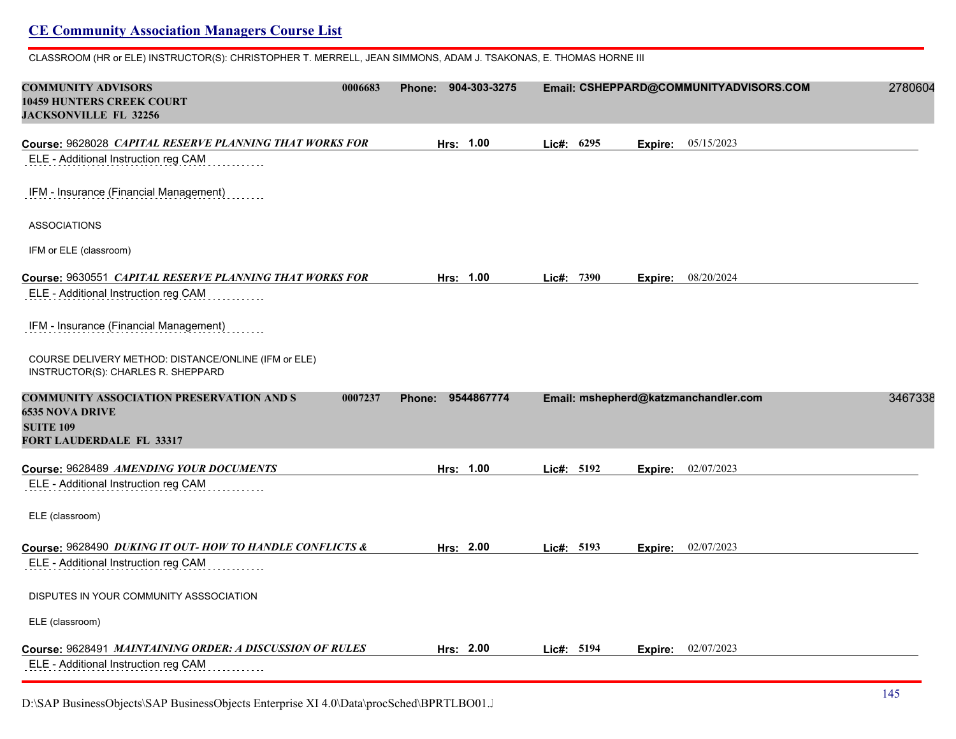CLASSROOM (HR or ELE) INSTRUCTOR(S): CHRISTOPHER T. MERRELL, JEAN SIMMONS, ADAM J. TSAKONAS, E. THOMAS HORNE III

| <b>COMMUNITY ADVISORS</b><br>10459 HUNTERS CREEK COURT<br><b>JACKSONVILLE FL 32256</b>     | 0006683<br><b>Phone:</b> | 904-303-3275 |            |         | Email: CSHEPPARD@COMMUNITYADVISORS.COM | 2780604 |
|--------------------------------------------------------------------------------------------|--------------------------|--------------|------------|---------|----------------------------------------|---------|
| Course: 9628028 CAPITAL RESERVE PLANNING THAT WORKS FOR                                    |                          | Hrs: 1.00    | Lic#: 6295 | Expire: | 05/15/2023                             |         |
| ELE - Additional Instruction reg CAM                                                       |                          |              |            |         |                                        |         |
| IFM - Insurance (Financial Management)                                                     |                          |              |            |         |                                        |         |
| <b>ASSOCIATIONS</b>                                                                        |                          |              |            |         |                                        |         |
| IFM or ELE (classroom)                                                                     |                          |              |            |         |                                        |         |
| Course: 9630551 CAPITAL RESERVE PLANNING THAT WORKS FOR                                    |                          | Hrs: 1.00    | Lic#: 7390 | Expire: | 08/20/2024                             |         |
| ELE - Additional Instruction reg CAM                                                       |                          |              |            |         |                                        |         |
| IFM - Insurance (Financial Management)                                                     |                          |              |            |         |                                        |         |
| COURSE DELIVERY METHOD: DISTANCE/ONLINE (IFM or ELE)<br>INSTRUCTOR(S): CHARLES R. SHEPPARD |                          |              |            |         |                                        |         |
|                                                                                            |                          | 9544867774   |            |         | Email: mshepherd@katzmanchandler.com   | 3467338 |
| <b>COMMUNITY ASSOCIATION PRESERVATION AND S</b>                                            | 0007237<br>Phone:        |              |            |         |                                        |         |
| <b>6535 NOVA DRIVE</b>                                                                     |                          |              |            |         |                                        |         |
| <b>SUITE 109</b><br>FORT LAUDERDALE FL 33317                                               |                          |              |            |         |                                        |         |
| Course: 9628489 AMENDING YOUR DOCUMENTS                                                    |                          | Hrs: 1.00    | Lic#: 5192 |         |                                        |         |
| ELE - Additional Instruction reg CAM                                                       |                          |              |            |         | <b>Expire:</b> 02/07/2023              |         |
| ELE (classroom)                                                                            |                          |              |            |         |                                        |         |
| Course: 9628490 DUKING IT OUT- HOW TO HANDLE CONFLICTS &                                   |                          | Hrs: 2.00    | Lic#: 5193 | Expire: | 02/07/2023                             |         |
| ELE - Additional Instruction reg CAM                                                       |                          |              |            |         |                                        |         |
| DISPUTES IN YOUR COMMUNITY ASSSOCIATION                                                    |                          |              |            |         |                                        |         |
| ELE (classroom)                                                                            |                          |              |            |         |                                        |         |
| Course: 9628491 MAINTAINING ORDER: A DISCUSSION OF RULES                                   |                          | Hrs: 2.00    | Lie#: 5194 |         | Expire: 02/07/2023                     |         |

D:\SAP BusinessObjects\SAP BusinessObjects Enterprise XI 4.0\Data\procSched\BPRTLBO01.J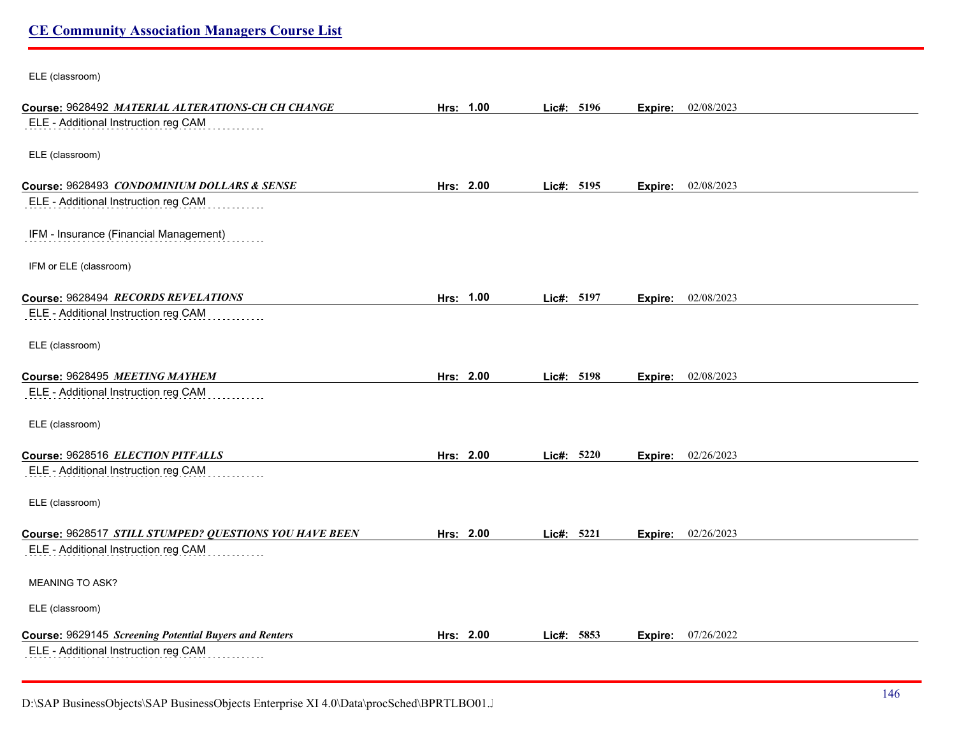ELE (classroom)

| Course: 9628492 MATERIAL ALTERATIONS-CH CH CHANGE      | Hrs: 1.00 | Lic#: 5196 |      | Expire: | 02/08/2023         |  |
|--------------------------------------------------------|-----------|------------|------|---------|--------------------|--|
| ELE - Additional Instruction reg CAM                   |           |            |      |         |                    |  |
| ELE (classroom)                                        |           |            |      |         |                    |  |
| Course: 9628493 CONDOMINIUM DOLLARS & SENSE            | Hrs: 2.00 | Lic#: 5195 |      |         | Expire: 02/08/2023 |  |
| ELE - Additional Instruction reg CAM                   |           |            |      |         |                    |  |
| IFM - Insurance (Financial Management)                 |           |            |      |         |                    |  |
| IFM or ELE (classroom)                                 |           |            |      |         |                    |  |
| Course: 9628494 RECORDS REVELATIONS                    | Hrs: 1.00 | Lic#: 5197 |      | Expire: | 02/08/2023         |  |
| ELE - Additional Instruction reg CAM                   |           |            |      |         |                    |  |
| ELE (classroom)                                        |           |            |      |         |                    |  |
| Course: 9628495 MEETING MAYHEM                         | Hrs: 2.00 | Lic#: 5198 |      | Expire: | 02/08/2023         |  |
| ELE - Additional Instruction reg CAM                   |           |            |      |         |                    |  |
| ELE (classroom)                                        |           |            |      |         |                    |  |
| Course: 9628516 ELECTION PITFALLS                      | Hrs: 2.00 | Lic#: 5220 |      | Expire: | 02/26/2023         |  |
| ELE - Additional Instruction reg CAM                   |           |            |      |         |                    |  |
| ELE (classroom)                                        |           |            |      |         |                    |  |
| Course: 9628517 STILL STUMPED? QUESTIONS YOU HAVE BEEN | Hrs: 2.00 | Lic#: 5221 |      |         | Expire: 02/26/2023 |  |
| ELE - Additional Instruction reg CAM                   |           |            |      |         |                    |  |
| MEANING TO ASK?                                        |           |            |      |         |                    |  |
| ELE (classroom)                                        |           |            |      |         |                    |  |
| Course: 9629145 Screening Potential Buyers and Renters | Hrs: 2.00 | Lic#:      | 5853 | Expire: | 07/26/2022         |  |
| ELE - Additional Instruction reg CAM                   |           |            |      |         |                    |  |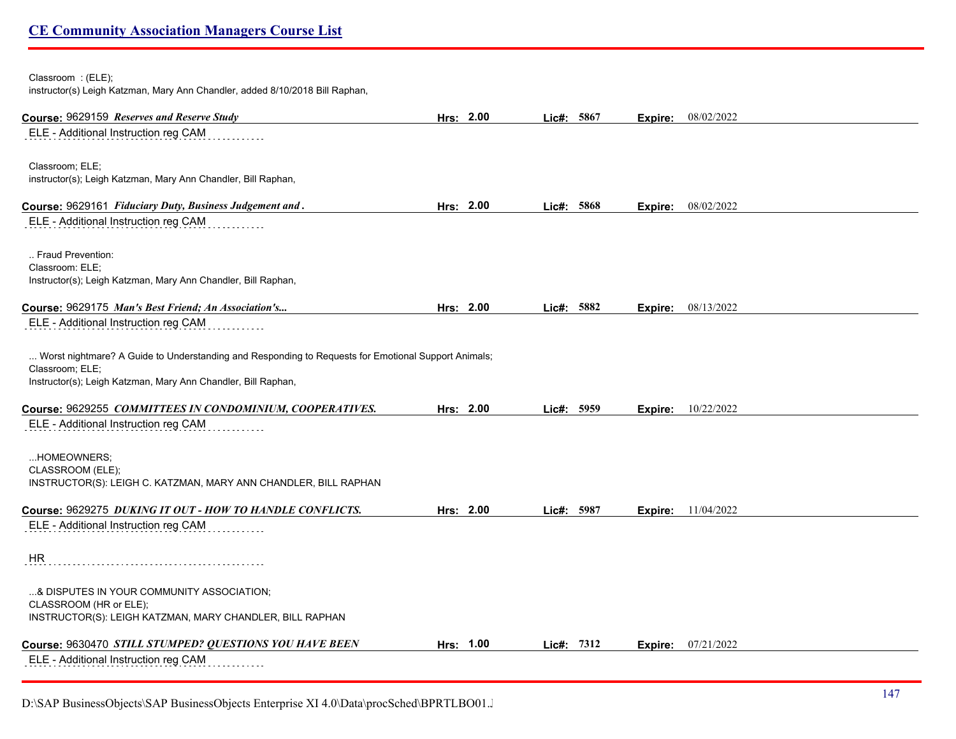#### Classroom : (ELE);

instructor(s) Leigh Katzman, Mary Ann Chandler, added 8/10/2018 Bill Raphan,

| Course: 9629159 Reserves and Reserve Study                                                                             | Hrs: 2.00 | Lic#: 5867 | Expire: | 08/02/2022                |
|------------------------------------------------------------------------------------------------------------------------|-----------|------------|---------|---------------------------|
| ELE - Additional Instruction reg CAM                                                                                   |           |            |         |                           |
|                                                                                                                        |           |            |         |                           |
| Classroom; ELE;                                                                                                        |           |            |         |                           |
| instructor(s); Leigh Katzman, Mary Ann Chandler, Bill Raphan,                                                          |           |            |         |                           |
| Course: 9629161 Fiduciary Duty, Business Judgement and.                                                                | Hrs: 2.00 | Lic#: 5868 | Expire: | 08/02/2022                |
| ELE - Additional Instruction reg CAM                                                                                   |           |            |         |                           |
| Fraud Prevention:                                                                                                      |           |            |         |                           |
| Classroom: ELE;                                                                                                        |           |            |         |                           |
| Instructor(s); Leigh Katzman, Mary Ann Chandler, Bill Raphan,                                                          |           |            |         |                           |
| Course: 9629175 Man's Best Friend; An Association's                                                                    | Hrs: 2.00 | Lic#: 5882 | Expire: | 08/13/2022                |
| ELE - Additional Instruction reg CAM                                                                                   |           |            |         |                           |
|                                                                                                                        |           |            |         |                           |
| Worst nightmare? A Guide to Understanding and Responding to Requests for Emotional Support Animals;<br>Classroom; ELE; |           |            |         |                           |
| Instructor(s); Leigh Katzman, Mary Ann Chandler, Bill Raphan,                                                          |           |            |         |                           |
|                                                                                                                        |           |            |         |                           |
| Course: 9629255 COMMITTEES IN CONDOMINIUM, COOPERATIVES.                                                               | Hrs: 2.00 | Lic#: 5959 |         | <b>Expire:</b> 10/22/2022 |
| ELE - Additional Instruction reg CAM                                                                                   |           |            |         |                           |
| HOMEOWNERS;                                                                                                            |           |            |         |                           |
| CLASSROOM (ELE);                                                                                                       |           |            |         |                           |
| INSTRUCTOR(S): LEIGH C. KATZMAN, MARY ANN CHANDLER, BILL RAPHAN                                                        |           |            |         |                           |
| Course: 9629275 DUKING IT OUT - HOW TO HANDLE CONFLICTS.                                                               | Hrs: 2.00 | Lic#: 5987 | Expire: | 11/04/2022                |
| ELE - Additional Instruction reg CAM                                                                                   |           |            |         |                           |
|                                                                                                                        |           |            |         |                           |
| <b>HR</b>                                                                                                              |           |            |         |                           |
| & DISPUTES IN YOUR COMMUNITY ASSOCIATION;                                                                              |           |            |         |                           |
| CLASSROOM (HR or ELE);                                                                                                 |           |            |         |                           |
| INSTRUCTOR(S): LEIGH KATZMAN, MARY CHANDLER, BILL RAPHAN                                                               |           |            |         |                           |
| Course: 9630470 STILL STUMPED? QUESTIONS YOU HAVE BEEN                                                                 | Hrs: 1.00 | Lic#: 7312 | Expire: | 07/21/2022                |
| ELE - Additional Instruction reg CAM                                                                                   |           |            |         |                           |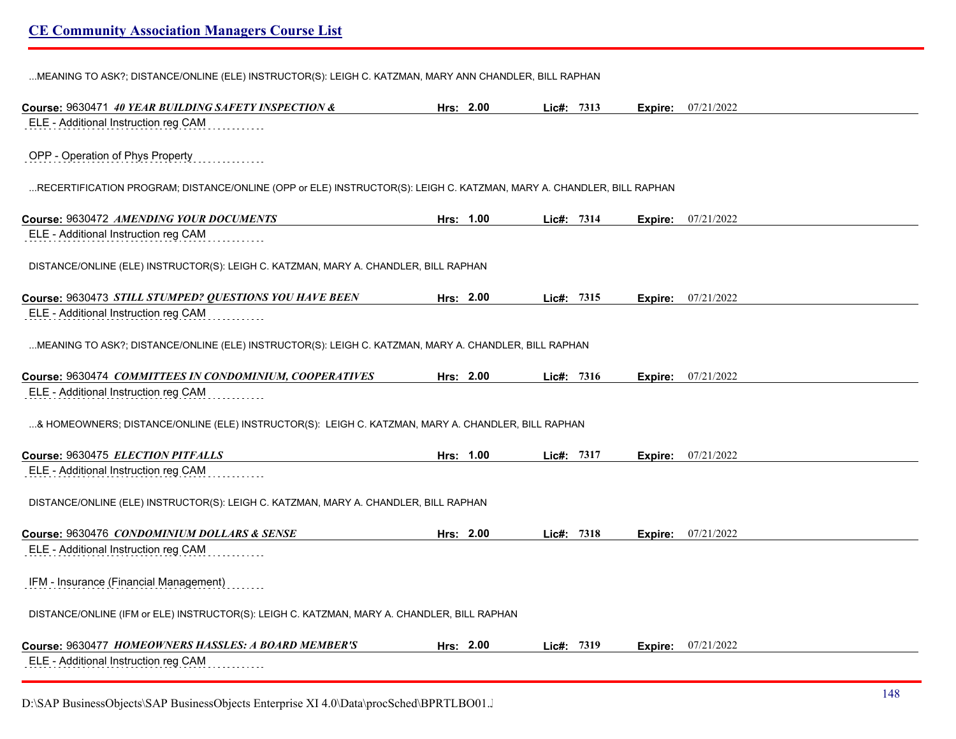...MEANING TO ASK?; DISTANCE/ONLINE (ELE) INSTRUCTOR(S): LEIGH C. KATZMAN, MARY ANN CHANDLER, BILL RAPHAN

| Course: 9630471 40 YEAR BUILDING SAFETY INSPECTION &                                                                 | Hrs: 2.00 | Lic#: 7313 |         | <b>Expire:</b> 07/21/2022 |
|----------------------------------------------------------------------------------------------------------------------|-----------|------------|---------|---------------------------|
| ELE - Additional Instruction reg CAM                                                                                 |           |            |         |                           |
|                                                                                                                      |           |            |         |                           |
| OPP - Operation of Phys Property                                                                                     |           |            |         |                           |
| RECERTIFICATION PROGRAM; DISTANCE/ONLINE (OPP or ELE) INSTRUCTOR(S): LEIGH C. KATZMAN, MARY A. CHANDLER, BILL RAPHAN |           |            |         |                           |
|                                                                                                                      |           |            |         |                           |
| Course: 9630472 AMENDING YOUR DOCUMENTS                                                                              | Hrs: 1.00 | Lic#: 7314 |         | <b>Expire:</b> 07/21/2022 |
| ELE - Additional Instruction reg CAM                                                                                 |           |            |         |                           |
|                                                                                                                      |           |            |         |                           |
| DISTANCE/ONLINE (ELE) INSTRUCTOR(S): LEIGH C. KATZMAN, MARY A. CHANDLER, BILL RAPHAN                                 |           |            |         |                           |
| Course: 9630473 STILL STUMPED? QUESTIONS YOU HAVE BEEN                                                               | Hrs: 2.00 | Lic#: 7315 |         | <b>Expire:</b> 07/21/2022 |
| ELE - Additional Instruction reg CAM                                                                                 |           |            |         |                           |
|                                                                                                                      |           |            |         |                           |
| MEANING TO ASK?; DISTANCE/ONLINE (ELE) INSTRUCTOR(S): LEIGH C. KATZMAN, MARY A. CHANDLER, BILL RAPHAN                |           |            |         |                           |
| Course: 9630474 COMMITTEES IN CONDOMINIUM, COOPERATIVES                                                              | Hrs: 2.00 | Lic#: 7316 | Expire: | 07/21/2022                |
| ELE - Additional Instruction reg CAM                                                                                 |           |            |         |                           |
|                                                                                                                      |           |            |         |                           |
| & HOMEOWNERS; DISTANCE/ONLINE (ELE) INSTRUCTOR(S): LEIGH C. KATZMAN, MARY A. CHANDLER, BILL RAPHAN                   |           |            |         |                           |
|                                                                                                                      |           |            |         |                           |
| Course: 9630475 ELECTION PITFALLS                                                                                    | Hrs: 1.00 | Lic#: 7317 |         | <b>Expire:</b> 07/21/2022 |
| ELE - Additional Instruction reg CAM                                                                                 |           |            |         |                           |
| DISTANCE/ONLINE (ELE) INSTRUCTOR(S): LEIGH C. KATZMAN, MARY A. CHANDLER, BILL RAPHAN                                 |           |            |         |                           |
|                                                                                                                      |           |            |         |                           |
| Course: 9630476 CONDOMINIUM DOLLARS & SENSE                                                                          | Hrs: 2.00 | Lic#: 7318 |         | <b>Expire:</b> 07/21/2022 |
| ELE - Additional Instruction reg CAM                                                                                 |           |            |         |                           |
|                                                                                                                      |           |            |         |                           |
| IFM - Insurance (Financial Management)                                                                               |           |            |         |                           |
| DISTANCE/ONLINE (IFM or ELE) INSTRUCTOR(S): LEIGH C. KATZMAN, MARY A. CHANDLER, BILL RAPHAN                          |           |            |         |                           |
|                                                                                                                      |           |            |         |                           |
| Course: 9630477 HOMEOWNERS HASSLES: A BOARD MEMBER'S                                                                 | Hrs: 2.00 | Lic#: 7319 |         | <b>Expire:</b> 07/21/2022 |
| ELE - Additional Instruction reg CAM                                                                                 |           |            |         |                           |

D:\SAP BusinessObjects\SAP BusinessObjects Enterprise XI 4.0\Data\procSched\BPRTLBO01.J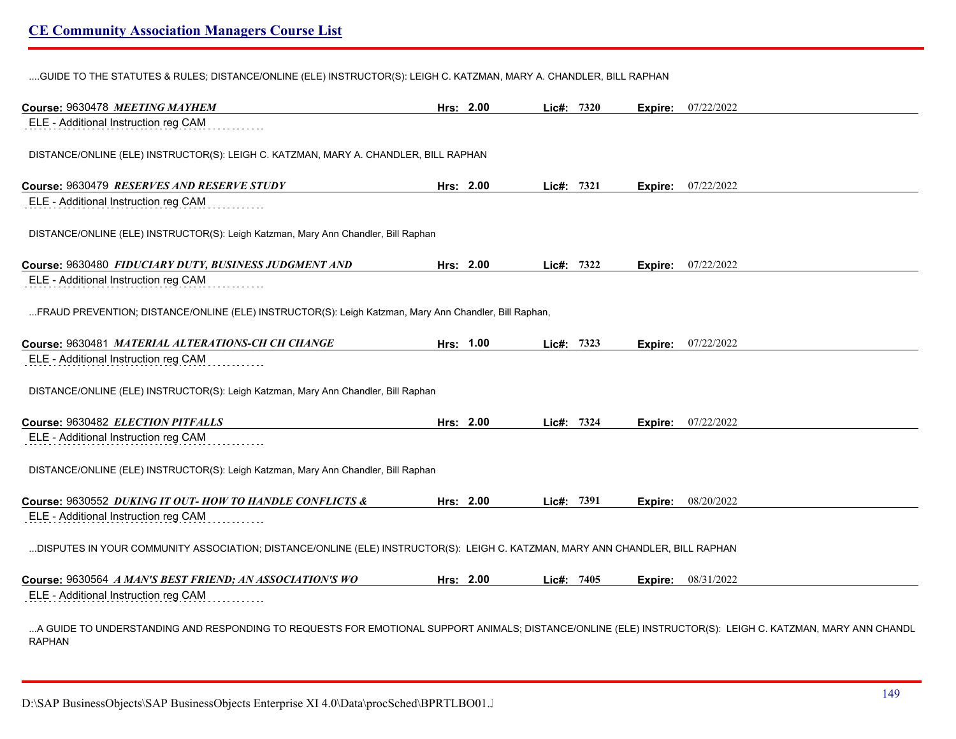....GUIDE TO THE STATUTES & RULES; DISTANCE/ONLINE (ELE) INSTRUCTOR(S): LEIGH C. KATZMAN, MARY A. CHANDLER, BILL RAPHAN

| Course: 9630478 MEETING MAYHEM                                                                                                                                             | Hrs: 2.00 | Lie#: 7320 |         | <b>Expire:</b> 07/22/2022 |  |
|----------------------------------------------------------------------------------------------------------------------------------------------------------------------------|-----------|------------|---------|---------------------------|--|
| ELE - Additional Instruction reg CAM                                                                                                                                       |           |            |         |                           |  |
| DISTANCE/ONLINE (ELE) INSTRUCTOR(S): LEIGH C. KATZMAN, MARY A. CHANDLER, BILL RAPHAN                                                                                       |           |            |         |                           |  |
| Course: 9630479 RESERVES AND RESERVE STUDY                                                                                                                                 | Hrs: 2.00 | Lic#: 7321 | Expire: | 07/22/2022                |  |
| ELE - Additional Instruction reg CAM                                                                                                                                       |           |            |         |                           |  |
| DISTANCE/ONLINE (ELE) INSTRUCTOR(S): Leigh Katzman, Mary Ann Chandler, Bill Raphan                                                                                         |           |            |         |                           |  |
| Course: 9630480 FIDUCIARY DUTY, BUSINESS JUDGMENT AND                                                                                                                      | Hrs: 2.00 | Lic#: 7322 |         | <b>Expire:</b> 07/22/2022 |  |
| ELE - Additional Instruction reg CAM                                                                                                                                       |           |            |         |                           |  |
| FRAUD PREVENTION; DISTANCE/ONLINE (ELE) INSTRUCTOR(S): Leigh Katzman, Mary Ann Chandler, Bill Raphan,                                                                      |           |            |         |                           |  |
| Course: 9630481 MATERIAL ALTERATIONS-CH CH CHANGE                                                                                                                          | Hrs: 1.00 | Lic#: 7323 |         | <b>Expire:</b> 07/22/2022 |  |
| ELE - Additional Instruction reg CAM                                                                                                                                       |           |            |         |                           |  |
| DISTANCE/ONLINE (ELE) INSTRUCTOR(S): Leigh Katzman, Mary Ann Chandler, Bill Raphan                                                                                         |           |            |         |                           |  |
| Course: 9630482 ELECTION PITFALLS                                                                                                                                          | Hrs: 2.00 | Lic#: 7324 | Expire: | 07/22/2022                |  |
| ELE - Additional Instruction reg CAM                                                                                                                                       |           |            |         |                           |  |
| DISTANCE/ONLINE (ELE) INSTRUCTOR(S): Leigh Katzman, Mary Ann Chandler, Bill Raphan                                                                                         |           |            |         |                           |  |
| Course: 9630552 DUKING IT OUT- HOW TO HANDLE CONFLICTS &                                                                                                                   | Hrs: 2.00 | Lic#: 7391 |         | <b>Expire:</b> 08/20/2022 |  |
| ELE - Additional Instruction reg CAM                                                                                                                                       |           |            |         |                           |  |
| DISPUTES IN YOUR COMMUNITY ASSOCIATION; DISTANCE/ONLINE (ELE) INSTRUCTOR(S): LEIGH C. KATZMAN, MARY ANN CHANDLER, BILL RAPHAN                                              |           |            |         |                           |  |
| Course: 9630564 A MAN'S BEST FRIEND; AN ASSOCIATION'S WO                                                                                                                   | Hrs: 2.00 | Lic#: 7405 |         | <b>Expire:</b> 08/31/2022 |  |
| ELE - Additional Instruction reg CAM                                                                                                                                       |           |            |         |                           |  |
| A GUIDE TO UNDERSTANDING AND RESPONDING TO REQUESTS FOR EMOTIONAL SUPPORT ANIMALS; DISTANCE/ONLINE (ELE) INSTRUCTOR(S): LEIGH C. KATZMAN, MARY ANN CHANDL<br><b>RAPHAN</b> |           |            |         |                           |  |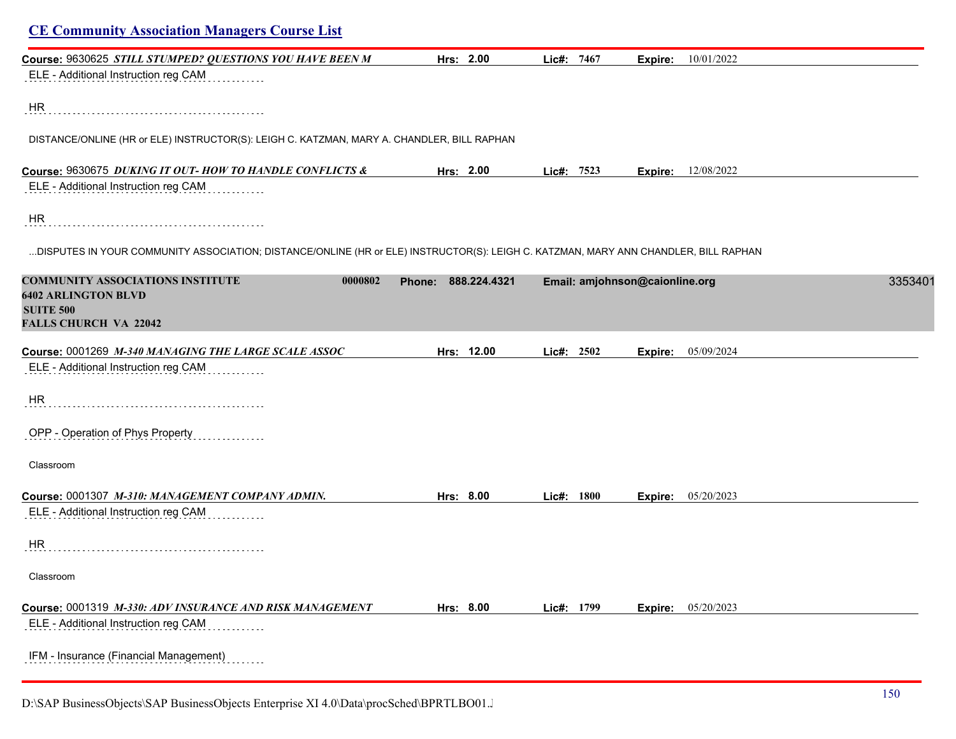| Course: 9630625 STILL STUMPED? QUESTIONS YOU HAVE BEEN M                                                                             | Hrs: 2.00           | Lic#: 7467 | 10/01/2022<br>Expire:          |         |
|--------------------------------------------------------------------------------------------------------------------------------------|---------------------|------------|--------------------------------|---------|
| ELE - Additional Instruction reg CAM                                                                                                 |                     |            |                                |         |
| HR.                                                                                                                                  |                     |            |                                |         |
| DISTANCE/ONLINE (HR or ELE) INSTRUCTOR(S): LEIGH C. KATZMAN, MARY A. CHANDLER, BILL RAPHAN                                           |                     |            |                                |         |
| Course: 9630675 DUKING IT OUT- HOW TO HANDLE CONFLICTS &                                                                             | Hrs: 2.00           | Lic#: 7523 | <b>Expire:</b> 12/08/2022      |         |
| ELE - Additional Instruction reg CAM                                                                                                 |                     |            |                                |         |
| HR                                                                                                                                   |                     |            |                                |         |
| DISPUTES IN YOUR COMMUNITY ASSOCIATION; DISTANCE/ONLINE (HR or ELE) INSTRUCTOR(S): LEIGH C. KATZMAN, MARY ANN CHANDLER, BILL RAPHAN  |                     |            |                                |         |
| <b>COMMUNITY ASSOCIATIONS INSTITUTE</b><br>0000802<br><b>6402 ARLINGTON BLVD</b><br><b>SUITE 500</b><br><b>FALLS CHURCH VA 22042</b> | Phone: 888.224.4321 |            | Email: amjohnson@caionline.org | 3353401 |
|                                                                                                                                      |                     |            |                                |         |
| Course: 0001269 M-340 MANAGING THE LARGE SCALE ASSOC<br>ELE - Additional Instruction reg CAM                                         | Hrs: 12.00          | Lic#: 2502 | Expire: 05/09/2024             |         |
| HR                                                                                                                                   |                     |            |                                |         |
| OPP - Operation of Phys Property                                                                                                     |                     |            |                                |         |
| Classroom                                                                                                                            |                     |            |                                |         |
| Course: 0001307 M-310: MANAGEMENT COMPANY ADMIN.                                                                                     | Hrs: 8.00           | Lic#: 1800 | <b>Expire:</b> 05/20/2023      |         |
| ELE - Additional Instruction reg CAM                                                                                                 |                     |            |                                |         |
| HR                                                                                                                                   |                     |            |                                |         |
| Classroom                                                                                                                            |                     |            |                                |         |
| Course: 0001319 M-330: ADV INSURANCE AND RISK MANAGEMENT<br>ELE - Additional Instruction reg CAM                                     | Hrs: 8.00           | Lic#: 1799 | 05/20/2023<br>Expire:          |         |
| IFM - Insurance (Financial Management)                                                                                               |                     |            |                                |         |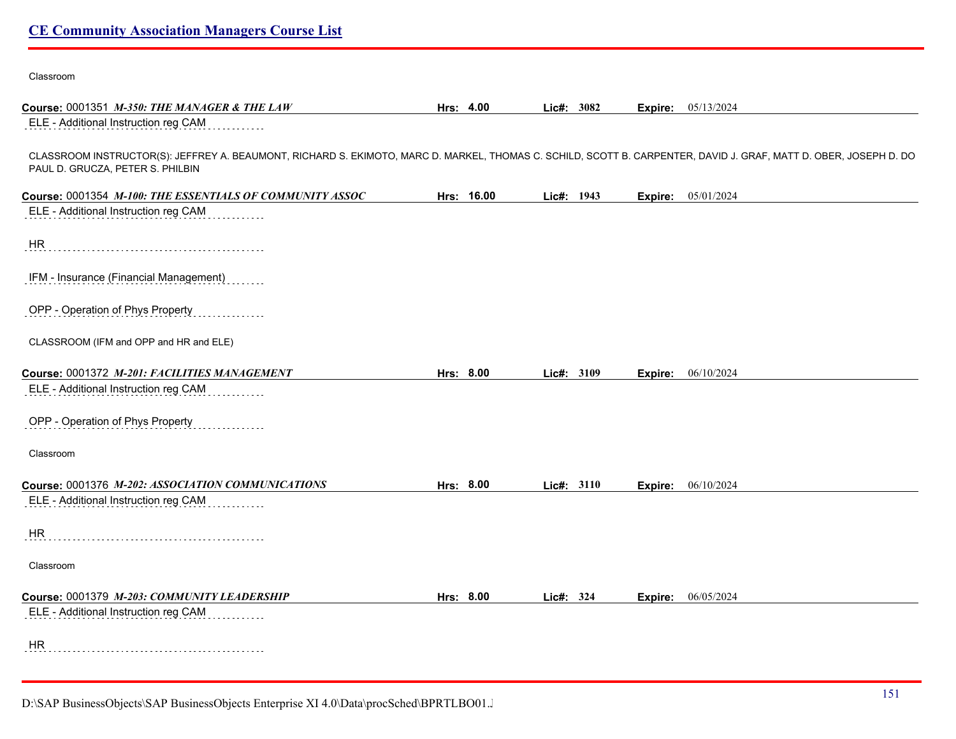| Course: 0001351 M-350: THE MANAGER & THE LAW                                                                                                                                                          | Hrs: 4.00  |  | Lic#: 3082 |         | <b>Expire:</b> 05/13/2024 |
|-------------------------------------------------------------------------------------------------------------------------------------------------------------------------------------------------------|------------|--|------------|---------|---------------------------|
| ELE - Additional Instruction reg CAM                                                                                                                                                                  |            |  |            |         |                           |
| CLASSROOM INSTRUCTOR(S): JEFFREY A. BEAUMONT, RICHARD S. EKIMOTO, MARC D. MARKEL, THOMAS C. SCHILD, SCOTT B. CARPENTER, DAVID J. GRAF, MATT D. OBER, JOSEPH D. DO<br>PAUL D. GRUCZA, PETER S. PHILBIN |            |  |            |         |                           |
| Course: 0001354 M-100: THE ESSENTIALS OF COMMUNITY ASSOC                                                                                                                                              | Hrs: 16.00 |  | Lic#: 1943 |         | <b>Expire:</b> 05/01/2024 |
| ELE - Additional Instruction reg CAM                                                                                                                                                                  |            |  |            |         |                           |
| HR                                                                                                                                                                                                    |            |  |            |         |                           |
| IFM - Insurance (Financial Management)                                                                                                                                                                |            |  |            |         |                           |
| OPP - Operation of Phys Property                                                                                                                                                                      |            |  |            |         |                           |
| CLASSROOM (IFM and OPP and HR and ELE)                                                                                                                                                                |            |  |            |         |                           |
| Course: 0001372 M-201: FACILITIES MANAGEMENT                                                                                                                                                          | Hrs: 8.00  |  | Lic#: 3109 | Expire: | 06/10/2024                |
| ELE - Additional Instruction reg CAM                                                                                                                                                                  |            |  |            |         |                           |
| OPP - Operation of Phys Property                                                                                                                                                                      |            |  |            |         |                           |
| Classroom                                                                                                                                                                                             |            |  |            |         |                           |
| Course: 0001376 M-202: ASSOCIATION COMMUNICATIONS                                                                                                                                                     | Hrs: 8.00  |  | Lic#: 3110 | Expire: | 06/10/2024                |
| ELE - Additional Instruction reg CAM                                                                                                                                                                  |            |  |            |         |                           |
| <b>HR</b>                                                                                                                                                                                             |            |  |            |         |                           |
| Classroom                                                                                                                                                                                             |            |  |            |         |                           |
| Course: 0001379 M-203: COMMUNITY LEADERSHIP                                                                                                                                                           | Hrs: 8.00  |  | Lic#: 324  | Expire: | 06/05/2024                |
| ELE - Additional Instruction reg CAM                                                                                                                                                                  |            |  |            |         |                           |
| HR                                                                                                                                                                                                    |            |  |            |         |                           |

Classroom

D:\SAP BusinessObjects\SAP BusinessObjects Enterprise XI 4.0\Data\procSched\BPRTLBO01.Jobserver2\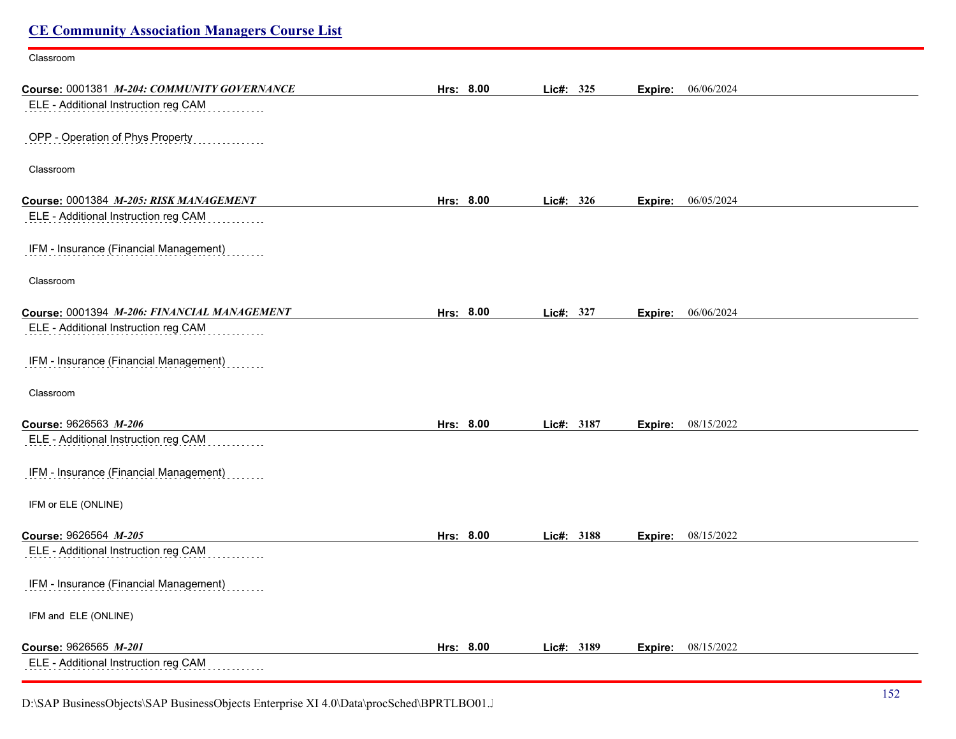| <b>CE Community Association Managers Course List</b> |           |            |                       |  |
|------------------------------------------------------|-----------|------------|-----------------------|--|
| Classroom                                            |           |            |                       |  |
| Course: 0001381 M-204: COMMUNITY GOVERNANCE          | Hrs: 8.00 | Lic#: 325  | 06/06/2024<br>Expire: |  |
| ELE - Additional Instruction reg CAM                 |           |            |                       |  |
| OPP - Operation of Phys Property                     |           |            |                       |  |
| Classroom                                            |           |            |                       |  |
| Course: 0001384 M-205: RISK MANAGEMENT               | Hrs: 8.00 | Lic#: 326  | 06/05/2024<br>Expire: |  |
| ELE - Additional Instruction reg CAM                 |           |            |                       |  |
| IFM - Insurance (Financial Management)               |           |            |                       |  |
| Classroom                                            |           |            |                       |  |
| Course: 0001394 M-206: FINANCIAL MANAGEMENT          | Hrs: 8.00 | Lic#: 327  | 06/06/2024<br>Expire: |  |
| ELE - Additional Instruction reg CAM                 |           |            |                       |  |
| IFM - Insurance (Financial Management)               |           |            |                       |  |
| Classroom                                            |           |            |                       |  |
| Course: 9626563 M-206                                | Hrs: 8.00 | Lic#: 3187 | 08/15/2022<br>Expire: |  |
| ELE - Additional Instruction reg CAM                 |           |            |                       |  |
| IFM - Insurance (Financial Management)               |           |            |                       |  |
| IFM or ELE (ONLINE)                                  |           |            |                       |  |
| Course: 9626564 M-205                                | Hrs: 8.00 | Lic#: 3188 | 08/15/2022<br>Expire: |  |
| ELE - Additional Instruction reg CAM                 |           |            |                       |  |
| IFM - Insurance (Financial Management)               |           |            |                       |  |
| IFM and ELE (ONLINE)                                 |           |            |                       |  |
| Course: 9626565 M-201                                | Hrs: 8.00 | Lic#: 3189 | 08/15/2022<br>Expire: |  |
| ELE - Additional Instruction reg CAM                 |           |            |                       |  |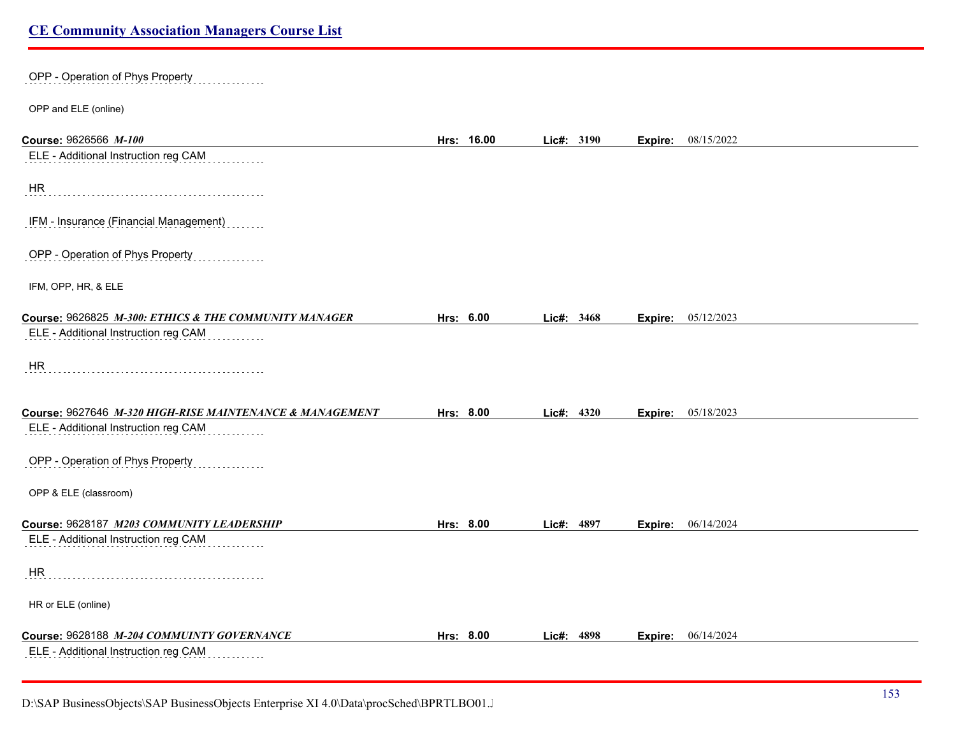## OPP - Operation of Phys Property

OPP and ELE (online)

| Course: 9626566 M-100                                    | Hrs: 16.00 | Lic#: 3190 |      |         | <b>Expire:</b> 08/15/2022 |
|----------------------------------------------------------|------------|------------|------|---------|---------------------------|
| ELE - Additional Instruction reg CAM                     |            |            |      |         |                           |
| HR                                                       |            |            |      |         |                           |
| IFM - Insurance (Financial Management)                   |            |            |      |         |                           |
| OPP - Operation of Phys Property                         |            |            |      |         |                           |
| IFM, OPP, HR, & ELE                                      |            |            |      |         |                           |
| Course: 9626825 M-300: ETHICS & THE COMMUNITY MANAGER    | Hrs: 6.00  | Lic#: 3468 |      | Expire: | 05/12/2023                |
| ELE - Additional Instruction reg CAM                     |            |            |      |         |                           |
| HR.                                                      |            |            |      |         |                           |
| Course: 9627646 M-320 HIGH-RISE MAINTENANCE & MANAGEMENT | Hrs: 8.00  | Lic#: 4320 |      | Expire: | 05/18/2023                |
| ELE - Additional Instruction reg CAM                     |            |            |      |         |                           |
| OPP - Operation of Phys Property                         |            |            |      |         |                           |
| OPP & ELE (classroom)                                    |            |            |      |         |                           |
| Course: 9628187 M203 COMMUNITY LEADERSHIP                | Hrs: 8.00  | Lic#:      | 4897 | Expire: | 06/14/2024                |
| ELE - Additional Instruction reg CAM                     |            |            |      |         |                           |
| HR                                                       |            |            |      |         |                           |
| HR or ELE (online)                                       |            |            |      |         |                           |
| Course: 9628188 M-204 COMMUINTY GOVERNANCE               | Hrs: 8.00  | Lic#:      | 4898 | Expire: | 06/14/2024                |
| ELE - Additional Instruction reg CAM                     |            |            |      |         |                           |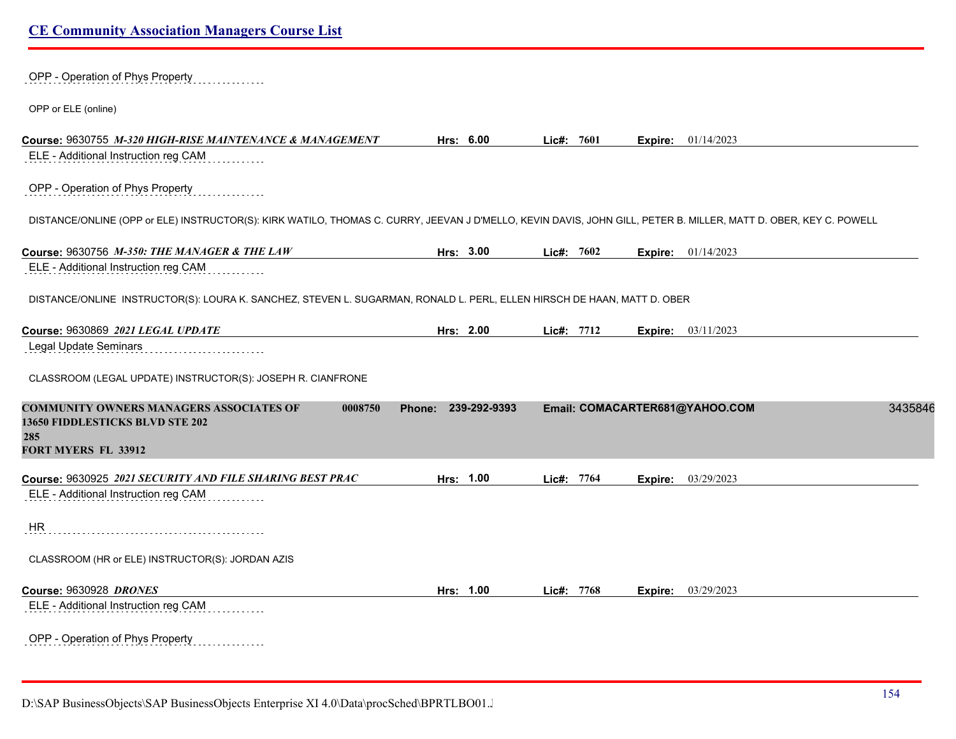OPP - Operation of Phys Property

OPP or ELE (online)

| Course: 9630755 M-320 HIGH-RISE MAINTENANCE & MANAGEMENT                                                                                                         |                     | Hrs: 6.00 | Lic#: 7601   |         | <b>Expire:</b> $01/14/2023$    |         |
|------------------------------------------------------------------------------------------------------------------------------------------------------------------|---------------------|-----------|--------------|---------|--------------------------------|---------|
| ELE - Additional Instruction reg CAM                                                                                                                             |                     |           |              |         |                                |         |
| OPP - Operation of Phys Property                                                                                                                                 |                     |           |              |         |                                |         |
| DISTANCE/ONLINE (OPP or ELE) INSTRUCTOR(S): KIRK WATILO, THOMAS C. CURRY, JEEVAN J D'MELLO, KEVIN DAVIS, JOHN GILL, PETER B. MILLER, MATT D. OBER, KEY C. POWELL |                     |           |              |         |                                |         |
| Course: 9630756 M-350: THE MANAGER & THE LAW                                                                                                                     |                     | Hrs: 3.00 | Lic#: $7602$ | Expire: | 01/14/2023                     |         |
| ELE - Additional Instruction reg CAM                                                                                                                             |                     |           |              |         |                                |         |
| DISTANCE/ONLINE INSTRUCTOR(S): LOURA K. SANCHEZ, STEVEN L. SUGARMAN, RONALD L. PERL, ELLEN HIRSCH DE HAAN, MATT D. OBER                                          |                     |           |              |         |                                |         |
|                                                                                                                                                                  |                     | Hrs: 2.00 | Lic#: $7712$ | Expire: | 03/11/2023                     |         |
| Legal Update Seminars                                                                                                                                            |                     |           |              |         |                                |         |
| CLASSROOM (LEGAL UPDATE) INSTRUCTOR(S): JOSEPH R. CIANFRONE                                                                                                      |                     |           |              |         |                                |         |
| <b>COMMUNITY OWNERS MANAGERS ASSOCIATES OF</b><br>0008750<br><b>13650 FIDDLESTICKS BLVD STE 202</b><br>285<br><b>FORT MYERS FL 33912</b>                         | Phone: 239-292-9393 |           |              |         | Email: COMACARTER681@YAHOO.COM | 3435846 |
|                                                                                                                                                                  |                     | Hrs: 1.00 | Lic#: 7764   | Expire: | 03/29/2023                     |         |
| ELE - Additional Instruction reg CAM                                                                                                                             |                     |           |              |         |                                |         |
| <b>HR</b>                                                                                                                                                        |                     |           |              |         |                                |         |
| CLASSROOM (HR or ELE) INSTRUCTOR(S): JORDAN AZIS                                                                                                                 |                     |           |              |         |                                |         |
| Course: 9630928 DRONES                                                                                                                                           |                     | Hrs: 1.00 | Lic#: 7768   | Expire: | 03/29/2023                     |         |
| ELE - Additional Instruction reg CAM                                                                                                                             |                     |           |              |         |                                |         |
| ODD, Oursetter of Dhine Director                                                                                                                                 |                     |           |              |         |                                |         |

OPP - Operation of Phys Property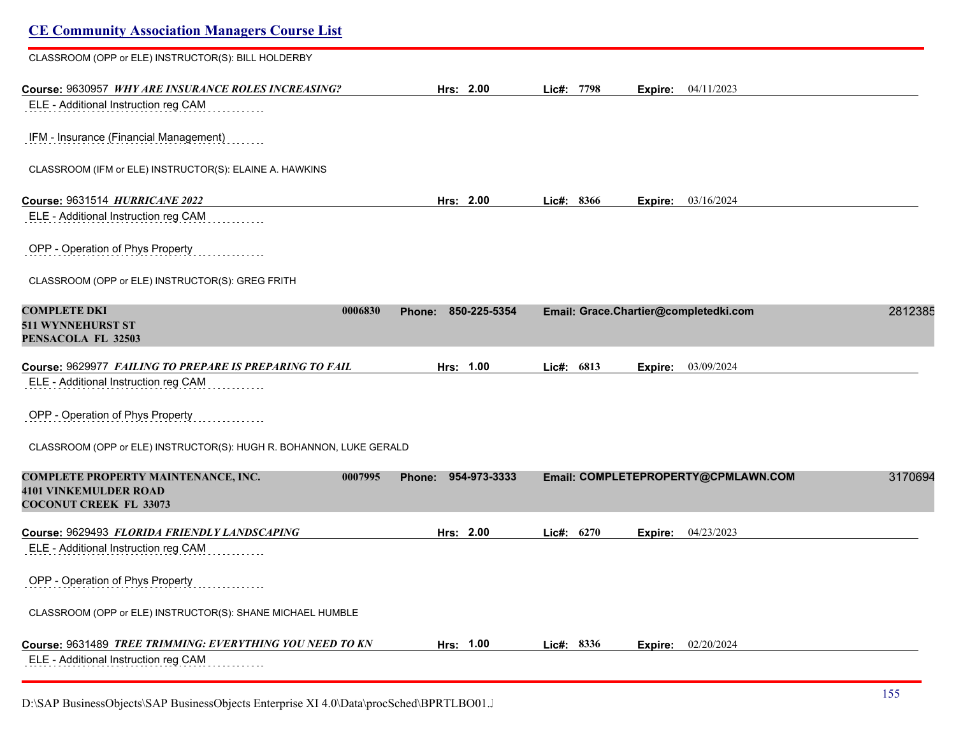| <b>CE Community Association Managers Course List</b>                                        |                               |              |                                       |         |
|---------------------------------------------------------------------------------------------|-------------------------------|--------------|---------------------------------------|---------|
| CLASSROOM (OPP or ELE) INSTRUCTOR(S): BILL HOLDERBY                                         |                               |              |                                       |         |
| Course: 9630957 WHY ARE INSURANCE ROLES INCREASING?<br>ELE - Additional Instruction reg CAM | Hrs: 2.00                     | Lic#: 7798   | 04/11/2023<br>Expire:                 |         |
|                                                                                             |                               |              |                                       |         |
| IFM - Insurance (Financial Management)                                                      |                               |              |                                       |         |
| CLASSROOM (IFM or ELE) INSTRUCTOR(S): ELAINE A. HAWKINS                                     |                               |              |                                       |         |
| Course: 9631514 HURRICANE 2022                                                              | Hrs: 2.00                     | Lic#: 8366   | 03/16/2024<br>Expire:                 |         |
| ELE - Additional Instruction reg CAM                                                        |                               |              |                                       |         |
| OPP - Operation of Phys Property                                                            |                               |              |                                       |         |
| CLASSROOM (OPP or ELE) INSTRUCTOR(S): GREG FRITH                                            |                               |              |                                       |         |
| <b>COMPLETE DKI</b><br>0006830<br>511 WYNNEHURST ST<br>PENSACOLA FL 32503                   | Phone: 850-225-5354           |              | Email: Grace.Chartier@completedki.com | 2812385 |
| Course: 9629977 FAILING TO PREPARE IS PREPARING TO FAIL                                     | Hrs: 1.00                     | Lic#: 6813   | 03/09/2024<br>Expire:                 |         |
| ELE - Additional Instruction reg CAM                                                        |                               |              |                                       |         |
| OPP - Operation of Phys Property                                                            |                               |              |                                       |         |
| CLASSROOM (OPP or ELE) INSTRUCTOR(S): HUGH R. BOHANNON, LUKE GERALD                         |                               |              |                                       |         |
| COMPLETE PROPERTY MAINTENANCE, INC.<br>0007995<br><b>4101 VINKEMULDER ROAD</b>              | 954-973-3333<br><b>Phone:</b> |              | Email: COMPLETEPROPERTY@CPMLAWN.COM   | 3170694 |
| <b>COCONUT CREEK FL 33073</b>                                                               |                               |              |                                       |         |
| Course: 9629493 FLORIDA FRIENDLY LANDSCAPING                                                | Hrs: 2.00                     | Lic#: $6270$ | 04/23/2023<br>Expire:                 |         |
| ELE - Additional Instruction reg CAM                                                        |                               |              |                                       |         |
| OPP - Operation of Phys Property                                                            |                               |              |                                       |         |
| CLASSROOM (OPP or ELE) INSTRUCTOR(S): SHANE MICHAEL HUMBLE                                  |                               |              |                                       |         |
| Course: 9631489 TREE TRIMMING: EVERYTHING YOU NEED TO KN                                    | Hrs: 1.00                     | Lic#: 8336   | 02/20/2024<br>Expire:                 |         |
| ELE - Additional Instruction reg CAM                                                        |                               |              |                                       |         |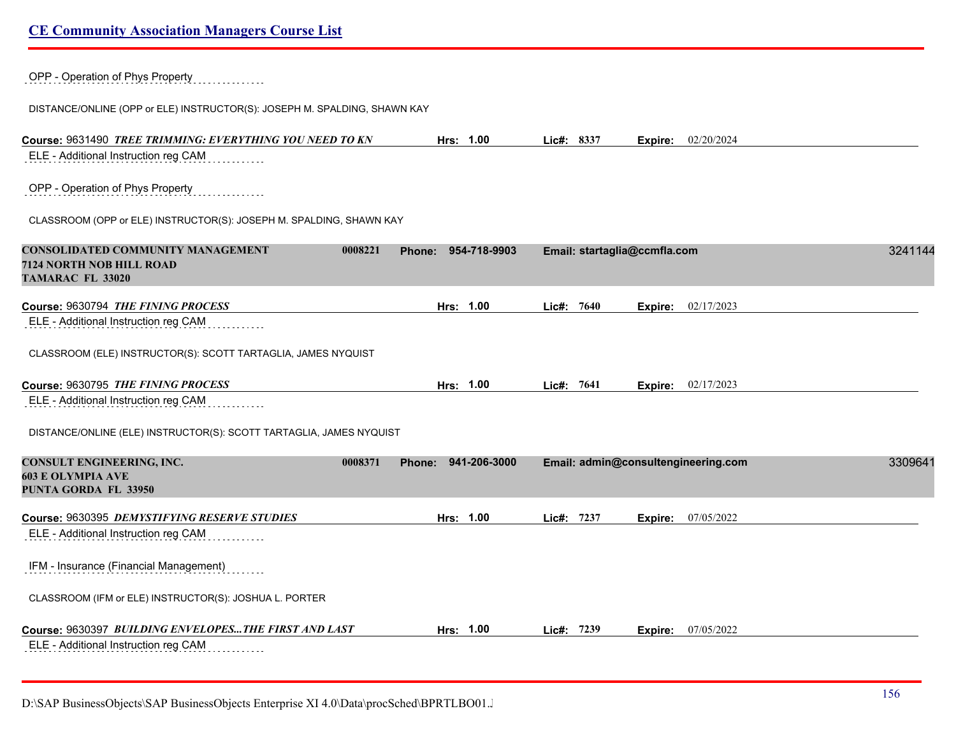| OPP - Operation of Phys Property                                          |                        |                              |                                     |         |
|---------------------------------------------------------------------------|------------------------|------------------------------|-------------------------------------|---------|
| DISTANCE/ONLINE (OPP or ELE) INSTRUCTOR(S): JOSEPH M. SPALDING, SHAWN KAY |                        |                              |                                     |         |
| Course: 9631490 TREE TRIMMING: EVERYTHING YOU NEED TO KN                  | Hrs: 1.00              | Lic#: 8337                   | <b>Expire:</b> 02/20/2024           |         |
| ELE - Additional Instruction reg CAM                                      |                        |                              |                                     |         |
| OPP - Operation of Phys Property                                          |                        |                              |                                     |         |
| CLASSROOM (OPP or ELE) INSTRUCTOR(S): JOSEPH M. SPALDING, SHAWN KAY       |                        |                              |                                     |         |
| CONSOLIDATED COMMUNITY MANAGEMENT<br>0008221                              | 954-718-9903<br>Phone: | Email: startaglia@ccmfla.com |                                     | 3241144 |
| <b>7124 NORTH NOB HILL ROAD</b><br>TAMARAC FL 33020                       |                        |                              |                                     |         |
| Course: 9630794 THE FINING PROCESS                                        | Hrs: 1.00              | Lic#: 7640                   | 02/17/2023<br>Expire:               |         |
| ELE - Additional Instruction reg CAM                                      |                        |                              |                                     |         |
| CLASSROOM (ELE) INSTRUCTOR(S): SCOTT TARTAGLIA, JAMES NYQUIST             |                        |                              |                                     |         |
| Course: 9630795 THE FINING PROCESS                                        | Hrs: 1.00              | Lic#: 7641                   | 02/17/2023<br>Expire:               |         |
| ELE - Additional Instruction reg CAM                                      |                        |                              |                                     |         |
| DISTANCE/ONLINE (ELE) INSTRUCTOR(S): SCOTT TARTAGLIA, JAMES NYQUIST       |                        |                              |                                     |         |
| CONSULT ENGINEERING, INC.<br>0008371                                      | Phone: 941-206-3000    |                              | Email: admin@consultengineering.com | 3309641 |
| <b>603 E OLYMPIA AVE</b><br>PUNTA GORDA FL 33950                          |                        |                              |                                     |         |
| Course: 9630395 DEMYSTIFYING RESERVE STUDIES                              | Hrs: 1.00              | Lic#: 7237                   | 07/05/2022<br>Expire:               |         |
| ELE - Additional Instruction reg CAM                                      |                        |                              |                                     |         |
| IFM - Insurance (Financial Management)                                    |                        |                              |                                     |         |
| CLASSROOM (IFM or ELE) INSTRUCTOR(S): JOSHUA L. PORTER                    |                        |                              |                                     |         |
|                                                                           | Hrs: 1.00              | Lic#: 7239                   | 07/05/2022<br>Expire:               |         |
| ELE - Additional Instruction reg CAM                                      |                        |                              |                                     |         |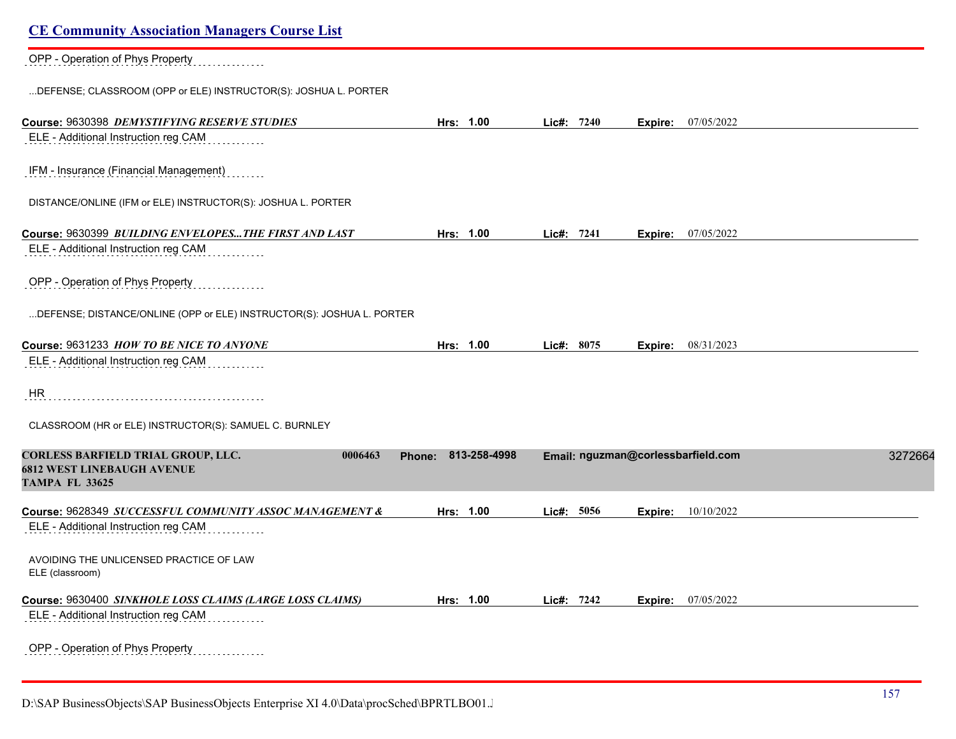| <b>CE Community Association Managers Course List</b>                                                        |                        |            |                                    |         |
|-------------------------------------------------------------------------------------------------------------|------------------------|------------|------------------------------------|---------|
| OPP - Operation of Phys Property                                                                            |                        |            |                                    |         |
| DEFENSE; CLASSROOM (OPP or ELE) INSTRUCTOR(S): JOSHUA L. PORTER                                             |                        |            |                                    |         |
| Course: 9630398 DEMYSTIFYING RESERVE STUDIES                                                                | Hrs: 1.00              | Lie#: 7240 | <b>Expire:</b> 07/05/2022          |         |
| ELE - Additional Instruction reg CAM                                                                        |                        |            |                                    |         |
| IFM - Insurance (Financial Management)                                                                      |                        |            |                                    |         |
| DISTANCE/ONLINE (IFM or ELE) INSTRUCTOR(S): JOSHUA L. PORTER                                                |                        |            |                                    |         |
| Course: 9630399 BUILDING ENVELOPESTHE FIRST AND LAST                                                        | Hrs: 1.00              | Lic#: 7241 | 07/05/2022<br>Expire:              |         |
| ELE - Additional Instruction reg CAM                                                                        |                        |            |                                    |         |
| OPP - Operation of Phys Property                                                                            |                        |            |                                    |         |
| DEFENSE; DISTANCE/ONLINE (OPP or ELE) INSTRUCTOR(S): JOSHUA L. PORTER                                       |                        |            |                                    |         |
| Course: 9631233 HOW TO BE NICE TO ANYONE                                                                    | Hrs: 1.00              | Lic#: 8075 | 08/31/2023<br>Expire:              |         |
| ELE - Additional Instruction reg CAM                                                                        |                        |            |                                    |         |
| HR.                                                                                                         |                        |            |                                    |         |
| CLASSROOM (HR or ELE) INSTRUCTOR(S): SAMUEL C. BURNLEY                                                      |                        |            |                                    |         |
| CORLESS BARFIELD TRIAL GROUP, LLC.<br>0006463<br><b>6812 WEST LINEBAUGH AVENUE</b><br><b>TAMPA FL 33625</b> | 813-258-4998<br>Phone: |            | Email: nguzman@corlessbarfield.com | 3272664 |
| Course: 9628349 SUCCESSFUL COMMUNITY ASSOC MANAGEMENT &                                                     | Hrs: 1.00              | Lic#: 5056 | 10/10/2022<br>Expire:              |         |
| ELE - Additional Instruction reg CAM                                                                        |                        |            |                                    |         |
| AVOIDING THE UNLICENSED PRACTICE OF LAW<br>ELE (classroom)                                                  |                        |            |                                    |         |
| Course: 9630400 SINKHOLE LOSS CLAIMS (LARGE LOSS CLAIMS)                                                    | Hrs: 1.00              | Lic#: 7242 | 07/05/2022<br>Expire:              |         |
| ELE - Additional Instruction reg CAM                                                                        |                        |            |                                    |         |
| OPP - Operation of Phys Property                                                                            |                        |            |                                    |         |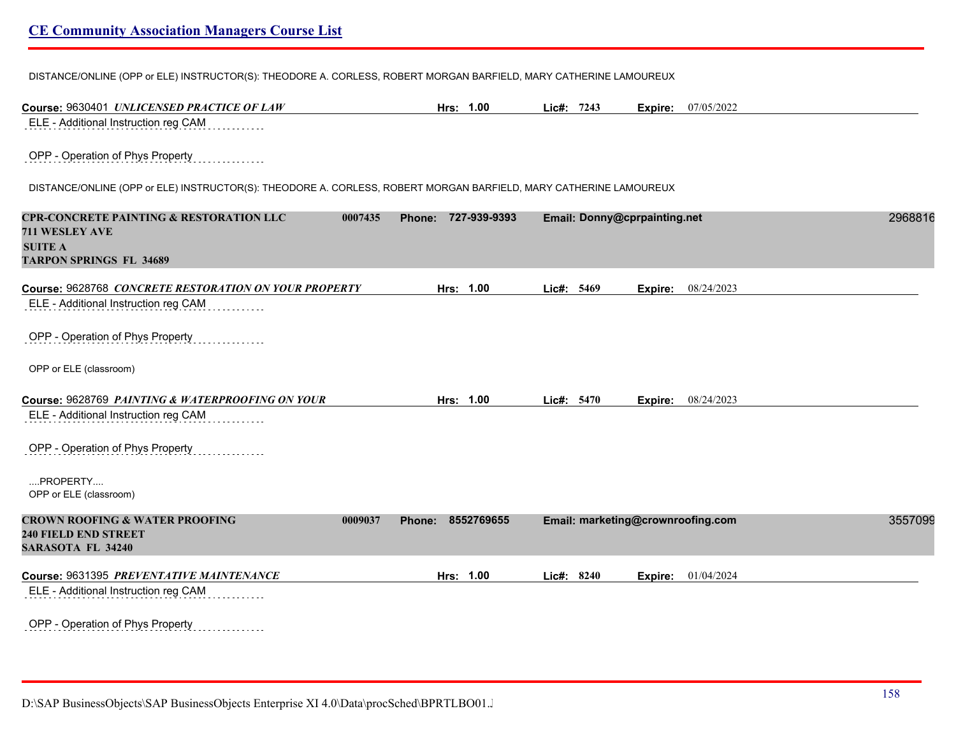DISTANCE/ONLINE (OPP or ELE) INSTRUCTOR(S): THEODORE A. CORLESS, ROBERT MORGAN BARFIELD, MARY CATHERINE LAMOUREUX

| Course: 9630401 UNLICENSED PRACTICE OF LAW                                                                        | Hrs: 1.00              | Lic#: 7243                   | 07/05/2022<br>Expire:             |         |
|-------------------------------------------------------------------------------------------------------------------|------------------------|------------------------------|-----------------------------------|---------|
| ELE - Additional Instruction reg CAM                                                                              |                        |                              |                                   |         |
| OPP - Operation of Phys Property                                                                                  |                        |                              |                                   |         |
| DISTANCE/ONLINE (OPP or ELE) INSTRUCTOR(S): THEODORE A. CORLESS, ROBERT MORGAN BARFIELD, MARY CATHERINE LAMOUREUX |                        |                              |                                   |         |
| <b>CPR-CONCRETE PAINTING &amp; RESTORATION LLC</b><br>0007435<br>711 WESLEY AVE                                   | 727-939-9393<br>Phone: | Email: Donny@cprpainting.net |                                   | 2968816 |
| <b>SUITE A</b><br><b>TARPON SPRINGS FL 34689</b>                                                                  |                        |                              |                                   |         |
| Course: 9628768 CONCRETE RESTORATION ON YOUR PROPERTY                                                             | Hrs: 1.00              | Lic#: 5469                   | 08/24/2023<br>Expire:             |         |
| ELE - Additional Instruction reg CAM                                                                              |                        |                              |                                   |         |
| OPP - Operation of Phys Property                                                                                  |                        |                              |                                   |         |
| OPP or ELE (classroom)                                                                                            |                        |                              |                                   |         |
| Course: 9628769 PAINTING & WATERPROOFING ON YOUR                                                                  | Hrs: 1.00              | Lic#: 5470                   | 08/24/2023<br>Expire:             |         |
| ELE - Additional Instruction reg CAM                                                                              |                        |                              |                                   |         |
| OPP - Operation of Phys Property                                                                                  |                        |                              |                                   |         |
| PROPERTY<br>OPP or ELE (classroom)                                                                                |                        |                              |                                   |         |
| <b>CROWN ROOFING &amp; WATER PROOFING</b><br>0009037                                                              | 8552769655<br>Phone:   |                              | Email: marketing@crownroofing.com | 3557099 |
| <b>240 FIELD END STREET</b><br><b>SARASOTA FL 34240</b>                                                           |                        |                              |                                   |         |
| Course: 9631395 PREVENTATIVE MAINTENANCE                                                                          | Hrs: 1.00              | Lic#: 8240                   | 01/04/2024<br>Expire:             |         |
| ELE - Additional Instruction reg CAM                                                                              |                        |                              |                                   |         |
| OPP - Operation of Phys Property<br>.                                                                             |                        |                              |                                   |         |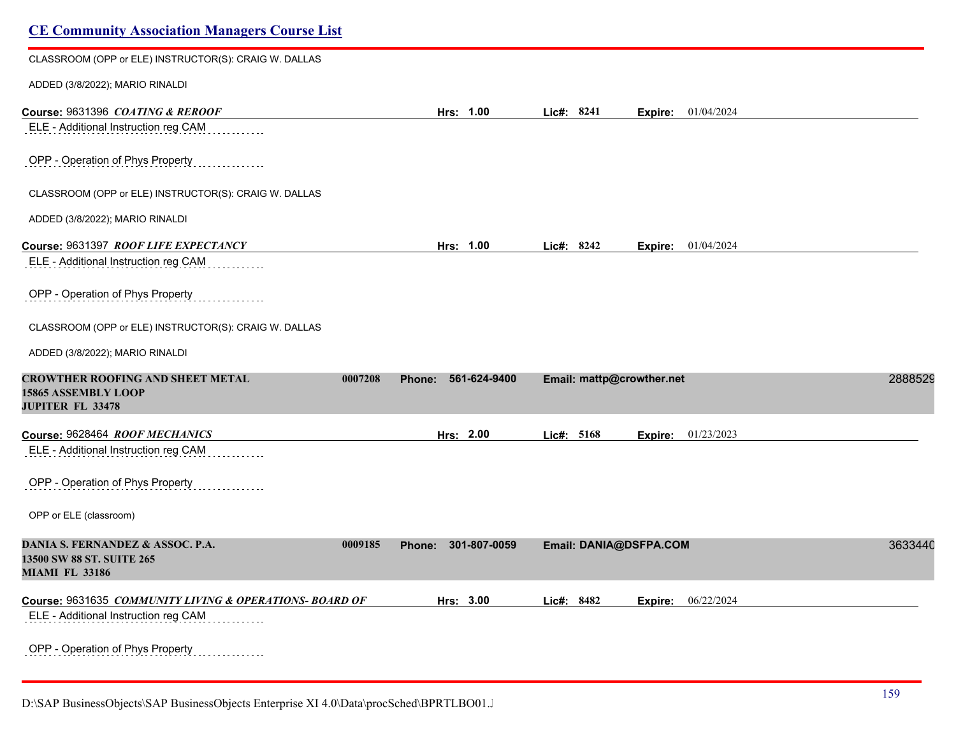| <b>CE Community Association Managers Course List</b>                                             |         |                               |                           |                       |         |
|--------------------------------------------------------------------------------------------------|---------|-------------------------------|---------------------------|-----------------------|---------|
| CLASSROOM (OPP or ELE) INSTRUCTOR(S): CRAIG W. DALLAS                                            |         |                               |                           |                       |         |
| ADDED (3/8/2022); MARIO RINALDI                                                                  |         |                               |                           |                       |         |
| Course: 9631396 COATING & REROOF<br>ELE - Additional Instruction reg CAM                         |         | Hrs: 1.00                     | Lic#: 8241                | 01/04/2024<br>Expire: |         |
| OPP - Operation of Phys Property                                                                 |         |                               |                           |                       |         |
| CLASSROOM (OPP or ELE) INSTRUCTOR(S): CRAIG W. DALLAS                                            |         |                               |                           |                       |         |
| ADDED (3/8/2022); MARIO RINALDI                                                                  |         |                               |                           |                       |         |
| Course: 9631397 ROOF LIFE EXPECTANCY<br>ELE - Additional Instruction reg CAM                     |         | Hrs: 1.00                     | Lic#: 8242                | 01/04/2024<br>Expire: |         |
| OPP - Operation of Phys Property                                                                 |         |                               |                           |                       |         |
| CLASSROOM (OPP or ELE) INSTRUCTOR(S): CRAIG W. DALLAS                                            |         |                               |                           |                       |         |
| ADDED (3/8/2022); MARIO RINALDI                                                                  |         |                               |                           |                       |         |
| <b>CROWTHER ROOFING AND SHEET METAL</b><br><b>15865 ASSEMBLY LOOP</b><br><b>JUPITER FL 33478</b> | 0007208 | 561-624-9400<br><b>Phone:</b> | Email: mattp@crowther.net |                       | 2888529 |
| Course: 9628464 ROOF MECHANICS                                                                   |         | Hrs: 2.00                     | Lic#: 5168                | Expire: 01/23/2023    |         |
| ELE - Additional Instruction reg CAM                                                             |         |                               |                           |                       |         |
| OPP - Operation of Phys Property                                                                 |         |                               |                           |                       |         |
| OPP or ELE (classroom)                                                                           |         |                               |                           |                       |         |
| DANIA S. FERNANDEZ & ASSOC. P.A.<br>13500 SW 88 ST. SUITE 265<br><b>MIAMI FL 33186</b>           | 0009185 | 301-807-0059<br>Phone:        | Email: DANIA@DSFPA.COM    |                       | 3633440 |
| Course: 9631635 COMMUNITY LIVING & OPERATIONS- BOARD OF                                          |         | Hrs: 3.00                     | Lic#: 8482                | 06/22/2024<br>Expire: |         |
| ELE - Additional Instruction reg CAM                                                             |         |                               |                           |                       |         |
| OPP - Operation of Phys Property                                                                 |         |                               |                           |                       |         |

D:\SAP BusinessObjects\SAP BusinessObjects Enterprise XI 4.0\Data\procSched\BPRTLBO01.Jobserver2\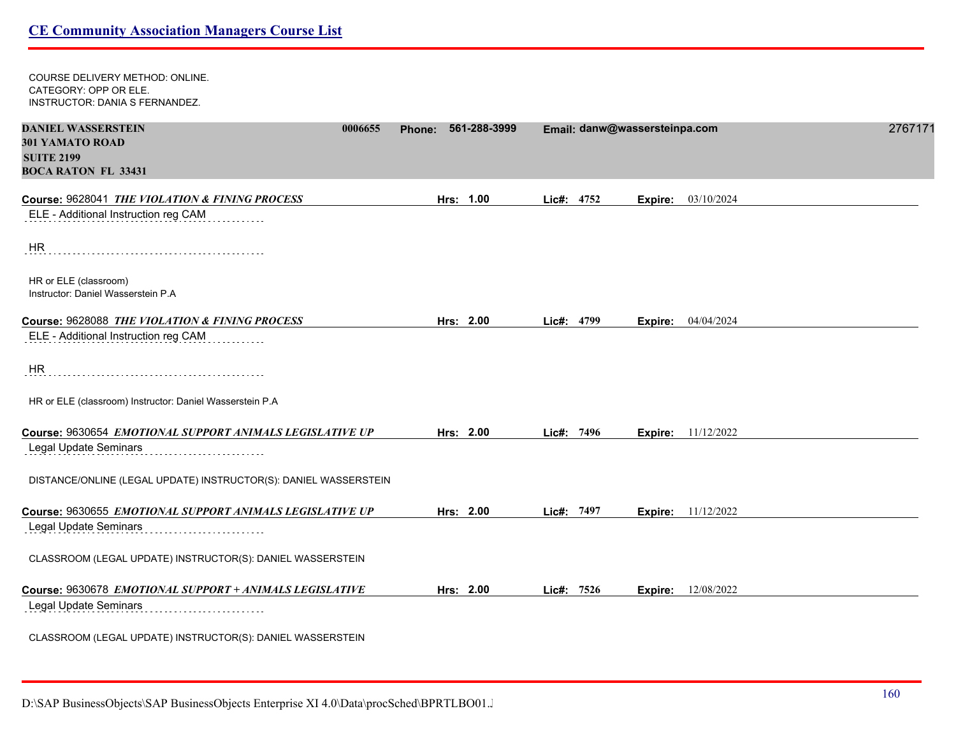COURSE DELIVERY METHOD: ONLINE. CATEGORY: OPP OR ELE. INSTRUCTOR: DANIA S FERNANDEZ. **DANIEL WASSERSTEIN 0006655 Phone: 561-288-3999 Email: danw@wassersteinpa.com** 27671719 **301 YAMATO ROAD SUITE 2199 BOCA RATON FL 33431 Course:** 9628041 *THE VIOLATION & FINING PROCESS* **Hrs: 1.00 Lic#: 4752 Expire:** 03/10/2024 ELE - Additional Instruction reg CAM HR HR or ELE (classroom) Instructor: Daniel Wasserstein P.A **Course:** 9628088 *THE VIOLATION & FINING PROCESS* **Hrs: 2.00 Lic#: 4799 Expire:** 04/04/2024 ELE - Additional Instruction reg CAM HR HR or ELE (classroom) Instructor: Daniel Wasserstein P.A **Course:** 9630654 *EMOTIONAL SUPPORT ANIMALS LEGISLATIVE UP* **Hrs: 2.00 Lic#: 7496 Expire:** 11/12/2022 Legal Update Seminars DISTANCE/ONLINE (LEGAL UPDATE) INSTRUCTOR(S): DANIEL WASSERSTEIN **Course:** 9630655 *EMOTIONAL SUPPORT ANIMALS LEGISLATIVE UP* **Hrs: 2.00 Lic#: 7497 Expire:** 11/12/2022 Legal Update Seminars CLASSROOM (LEGAL UPDATE) INSTRUCTOR(S): DANIEL WASSERSTEIN **Course:** 9630678 *EMOTIONAL SUPPORT + ANIMALS LEGISLATIVE* **Hrs: 2.00 Lic#: 7526 Expire:** 12/08/2022 Legal Update Seminars CLASSROOM (LEGAL UPDATE) INSTRUCTOR(S): DANIEL WASSERSTEIN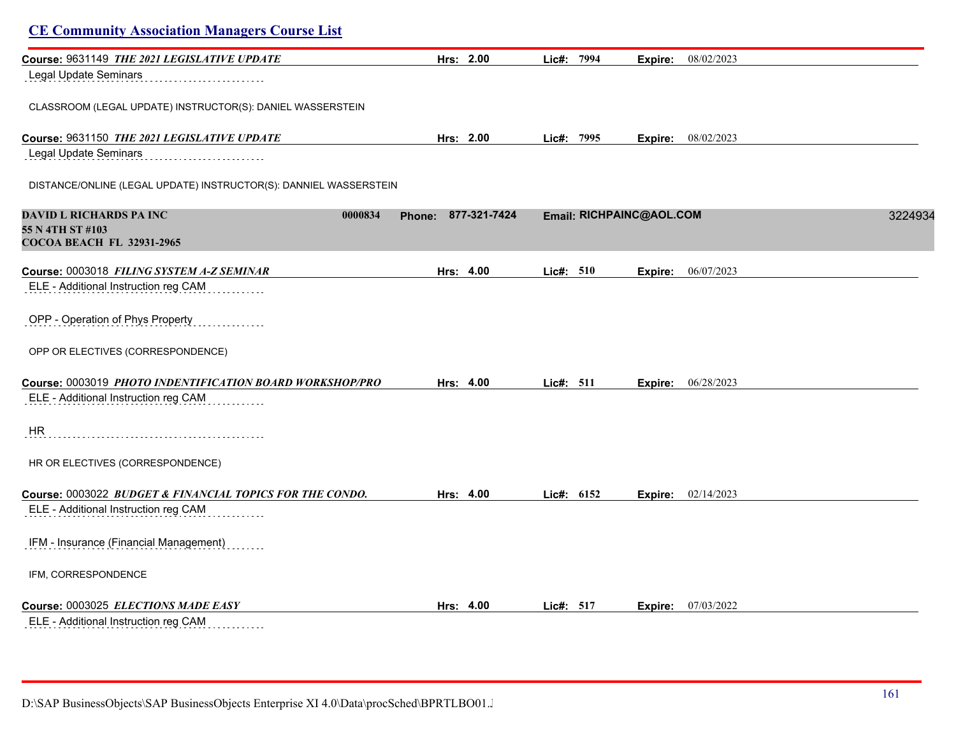| <b>CE Community Association Managers Course List</b>              |                               |                          |                       |         |
|-------------------------------------------------------------------|-------------------------------|--------------------------|-----------------------|---------|
| Course: 9631149 THE 2021 LEGISLATIVE UPDATE                       | Hrs: 2.00                     | Lic#: 7994               | 08/02/2023<br>Expire: |         |
| Legal Update Seminars                                             |                               |                          |                       |         |
| CLASSROOM (LEGAL UPDATE) INSTRUCTOR(S): DANIEL WASSERSTEIN        |                               |                          |                       |         |
| Course: 9631150 THE 2021 LEGISLATIVE UPDATE                       | Hrs: 2.00                     | Lic#: 7995               | 08/02/2023<br>Expire: |         |
| Legal Update Seminars                                             |                               |                          |                       |         |
| DISTANCE/ONLINE (LEGAL UPDATE) INSTRUCTOR(S): DANNIEL WASSERSTEIN |                               |                          |                       |         |
| DAVID L RICHARDS PA INC<br>0000834                                | 877-321-7424<br><b>Phone:</b> | Email: RICHPAINC@AOL.COM |                       | 3224934 |
| 55 N 4TH ST #103<br><b>COCOA BEACH FL 32931-2965</b>              |                               |                          |                       |         |
| Course: 0003018 FILING SYSTEM A-Z SEMINAR                         | Hrs: 4.00                     | Lic#: 510                | 06/07/2023<br>Expire: |         |
| ELE - Additional Instruction reg CAM                              |                               |                          |                       |         |
| OPP - Operation of Phys Property                                  |                               |                          |                       |         |
| OPP OR ELECTIVES (CORRESPONDENCE)                                 |                               |                          |                       |         |
| Course: 0003019 PHOTO INDENTIFICATION BOARD WORKSHOP/PRO          | Hrs: 4.00                     | Lic#: $511$              | 06/28/2023<br>Expire: |         |
| ELE - Additional Instruction reg CAM                              |                               |                          |                       |         |
| <b>HR</b>                                                         |                               |                          |                       |         |
| HR OR ELECTIVES (CORRESPONDENCE)                                  |                               |                          |                       |         |
| Course: 0003022 BUDGET & FINANCIAL TOPICS FOR THE CONDO.          | Hrs: 4.00                     | Lic#: 6152               | 02/14/2023<br>Expire: |         |
| ELE - Additional Instruction reg CAM                              |                               |                          |                       |         |
| IFM - Insurance (Financial Management)                            |                               |                          |                       |         |
| IFM, CORRESPONDENCE                                               |                               |                          |                       |         |
| Course: 0003025 ELECTIONS MADE EASY                               | Hrs: 4.00                     | Lic#: 517                | 07/03/2022<br>Expire: |         |
| ELE - Additional Instruction reg CAM                              |                               |                          |                       |         |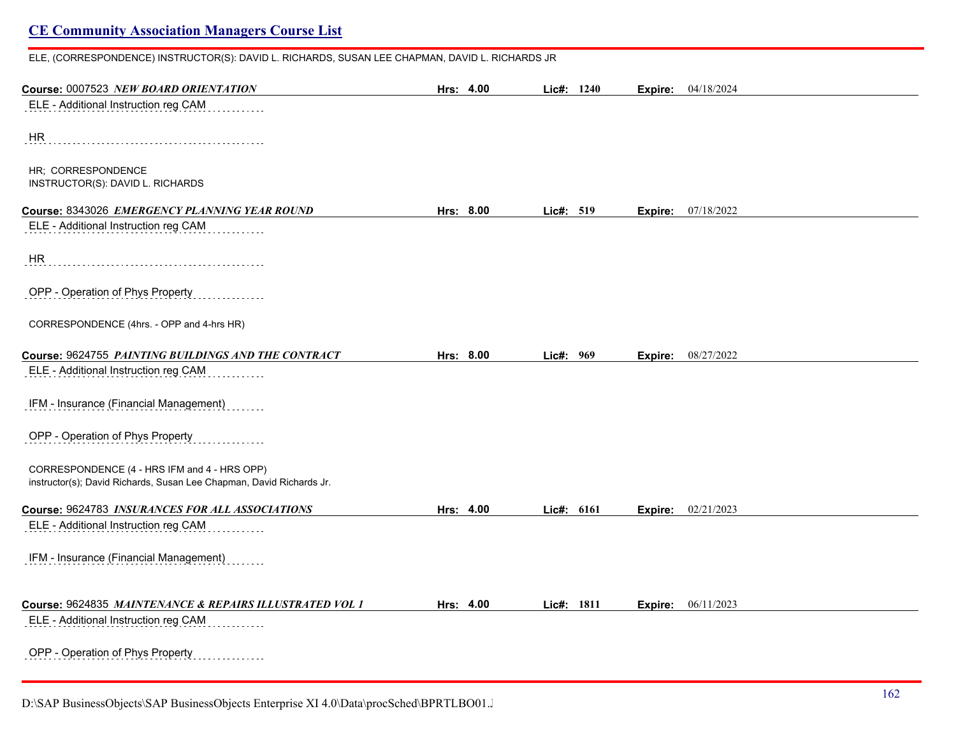## ELE, (CORRESPONDENCE) INSTRUCTOR(S): DAVID L. RICHARDS, SUSAN LEE CHAPMAN, DAVID L. RICHARDS JR **Course:** 0007523 *NEW BOARD ORIENTATION* **Hrs: 4.00 Lic#: 1240 Expire:** 04/18/2024 ELE - Additional Instruction reg CAM HR HR; CORRESPONDENCE INSTRUCTOR(S): DAVID L. RICHARDS **Course:** 8343026 *EMERGENCY PLANNING YEAR ROUND* **Hrs: 8.00 Lic#: 519 Expire:** 07/18/2022 ELE - Additional Instruction reg CAM . . . . . . . . . HR OPP - Operation of Phys Property CORRESPONDENCE (4hrs. - OPP and 4-hrs HR) **Course:** 9624755 *PAINTING BUILDINGS AND THE CONTRACT* **Hrs: 8.00 Lic#: 969 Expire:** 08/27/2022 ELE - Additional Instruction reg CAM IFM - Insurance (Financial Management) OPP - Operation of Phys Property CORRESPONDENCE (4 - HRS IFM and 4 - HRS OPP) instructor(s); David Richards, Susan Lee Chapman, David Richards Jr. **Course:** 9624783 *INSURANCES FOR ALL ASSOCIATIONS* **Hrs: 4.00 Lic#: 6161 Expire:** 02/21/2023 ELE - Additional Instruction reg CAM IFM - Insurance (Financial Management) **Course:** 9624835 *MAINTENANCE & REPAIRS ILLUSTRATED VOL 1* **Hrs: 4.00 Lic#: 1811 Expire:** 06/11/2023 ELE - Additional Instruction reg CAM OPP - Operation of Phys Property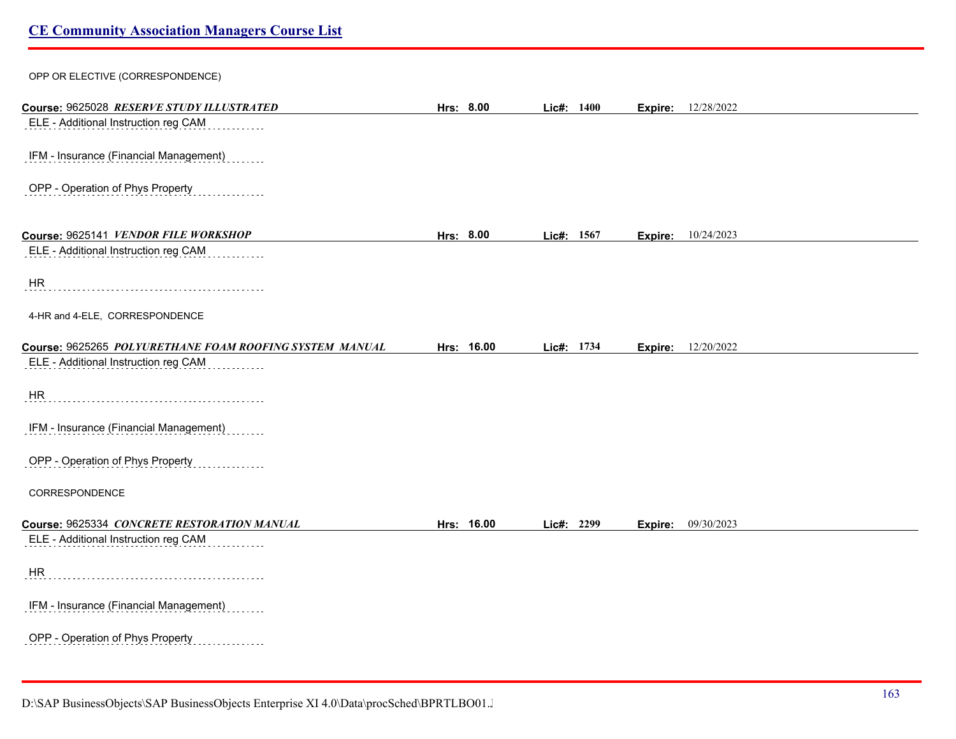# OPP OR ELECTIVE (CORRESPONDENCE) **Course:** 9625028 *RESERVE STUDY ILLUSTRATED* **Hrs: 8.00 Lic#: 1400 Expire:** 12/28/2022 ELE - Additional Instruction reg CAM IFM - Insurance (Financial Management) OPP - Operation of Phys Property **Course:** 9625141 *VENDOR FILE WORKSHOP* **Hrs: 8.00 Lic#: 1567 Expire:** 10/24/2023 ELE - Additional Instruction reg CAM . . . . . . . . . . . . . HR 4-HR and 4-ELE, CORRESPONDENCE **Course:** 9625265 *POLYURETHANE FOAM ROOFING SYSTEM MANUAL* **Hrs: 16.00 Lic#: 1734 Expire:** 12/20/2022 ELE - Additional Instruction reg CAM HR IFM - Insurance (Financial Management) OPP - Operation of Phys Property CORRESPONDENCE **Course:** 9625334 *CONCRETE RESTORATION MANUAL* **Hrs: 16.00 Lic#: 2299 Expire:** 09/30/2023 ELE - Additional Instruction reg CAM HR IFM - Insurance (Financial Management) OPP - Operation of Phys Property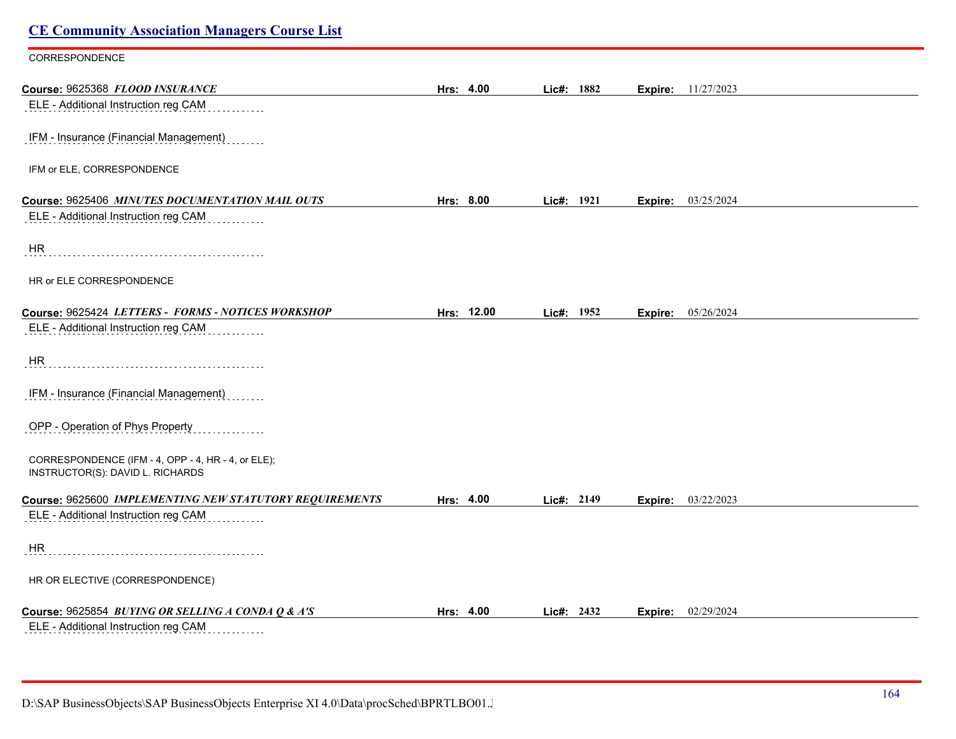| <b>CE Community Association Managers Course List</b>                                      |            |            |                           |  |
|-------------------------------------------------------------------------------------------|------------|------------|---------------------------|--|
| CORRESPONDENCE                                                                            |            |            |                           |  |
| Course: 9625368 FLOOD INSURANCE                                                           | Hrs: 4.00  | Lic#: 1882 | <b>Expire:</b> 11/27/2023 |  |
| ELE - Additional Instruction reg CAM                                                      |            |            |                           |  |
| IFM - Insurance (Financial Management)                                                    |            |            |                           |  |
| IFM or ELE, CORRESPONDENCE                                                                |            |            |                           |  |
| Course: 9625406 MINUTES DOCUMENTATION MAIL OUTS                                           | Hrs: 8.00  | Lic#: 1921 | <b>Expire:</b> 03/25/2024 |  |
| ELE - Additional Instruction reg CAM                                                      |            |            |                           |  |
| <b>HR</b>                                                                                 |            |            |                           |  |
| HR or ELE CORRESPONDENCE                                                                  |            |            |                           |  |
| Course: 9625424 LETTERS - FORMS - NOTICES WORKSHOP                                        | Hrs: 12.00 | Lic#: 1952 | Expire: 05/26/2024        |  |
| ELE - Additional Instruction reg CAM                                                      |            |            |                           |  |
| HR                                                                                        |            |            |                           |  |
| IFM - Insurance (Financial Management)<br>.<br>.                                          |            |            |                           |  |
| OPP - Operation of Phys Property                                                          |            |            |                           |  |
| CORRESPONDENCE (IFM - 4, OPP - 4, HR - 4, or ELE);<br>INSTRUCTOR(S): DAVID L. RICHARDS    |            |            |                           |  |
| Course: 9625600 IMPLEMENTING NEW STATUTORY REQUIREMENTS                                   | Hrs: 4.00  | Lic#: 2149 | Expire: 03/22/2023        |  |
| ELE - Additional Instruction reg CAM                                                      |            |            |                           |  |
| HR                                                                                        |            |            |                           |  |
| HR OR ELECTIVE (CORRESPONDENCE)                                                           |            |            |                           |  |
| Course: 9625854 BUYING OR SELLING A CONDA Q & A'S<br>ELE - Additional Instruction reg CAM | Hrs: 4.00  | Lie#: 2432 | 02/29/2024<br>Expire:     |  |

D:\SAP BusinessObjects\SAP BusinessObjects Enterprise XI 4.0\Data\procSched\BPRTLBO01.J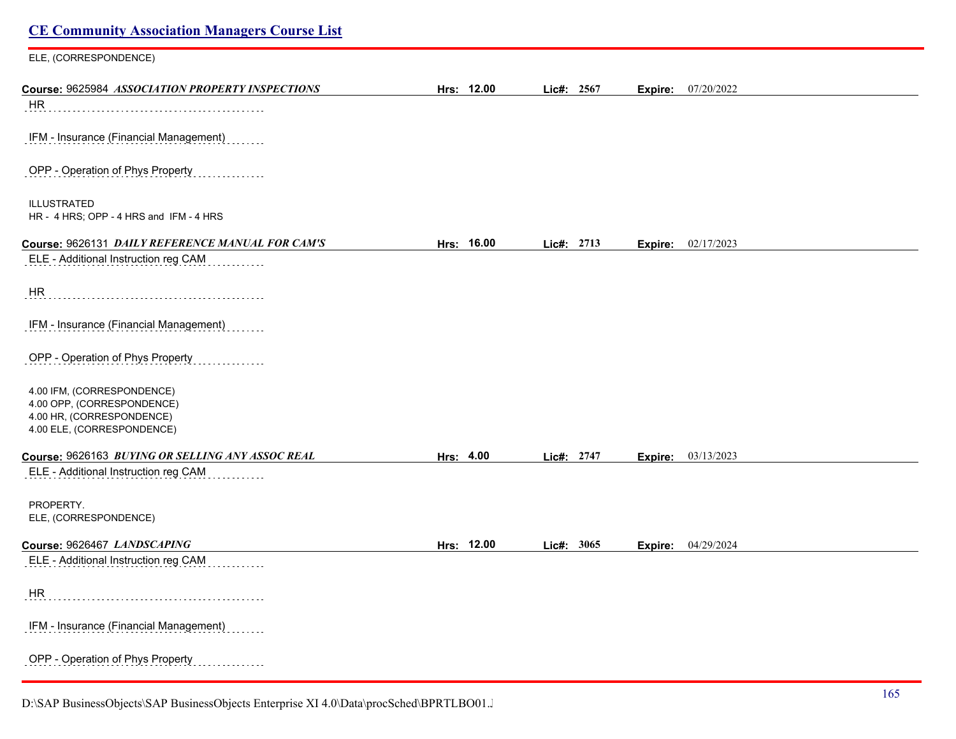| <b>CE Community Association Managers Course List</b>                                                                |            |            |                           |  |
|---------------------------------------------------------------------------------------------------------------------|------------|------------|---------------------------|--|
| ELE, (CORRESPONDENCE)                                                                                               |            |            |                           |  |
| Course: 9625984 ASSOCIATION PROPERTY INSPECTIONS                                                                    | Hrs: 12.00 | Lic#: 2567 | <b>Expire:</b> 07/20/2022 |  |
| HR                                                                                                                  |            |            |                           |  |
| IFM - Insurance (Financial Management)                                                                              |            |            |                           |  |
| OPP - Operation of Phys Property                                                                                    |            |            |                           |  |
| <b>ILLUSTRATED</b><br>HR - 4 HRS; OPP - 4 HRS and IFM - 4 HRS                                                       |            |            |                           |  |
| Course: 9626131 DAILY REFERENCE MANUAL FOR CAM'S                                                                    | Hrs: 16.00 | Lic#: 2713 | Expire: 02/17/2023        |  |
| ELE - Additional Instruction reg CAM                                                                                |            |            |                           |  |
| HR                                                                                                                  |            |            |                           |  |
| IFM - Insurance (Financial Management)                                                                              |            |            |                           |  |
| OPP - Operation of Phys Property                                                                                    |            |            |                           |  |
| 4.00 IFM, (CORRESPONDENCE)<br>4.00 OPP, (CORRESPONDENCE)<br>4.00 HR, (CORRESPONDENCE)<br>4.00 ELE, (CORRESPONDENCE) |            |            |                           |  |
| Course: 9626163 BUYING OR SELLING ANY ASSOC REAL                                                                    | Hrs: 4.00  | Lic#: 2747 | <b>Expire:</b> 03/13/2023 |  |
| ELE - Additional Instruction reg CAM                                                                                |            |            |                           |  |
| PROPERTY.<br>ELE, (CORRESPONDENCE)                                                                                  |            |            |                           |  |
| Course: 9626467 LANDSCAPING                                                                                         | Hrs: 12.00 | Lic#: 3065 | Expire: 04/29/2024        |  |
| ELE - Additional Instruction reg CAM                                                                                |            |            |                           |  |
| HR                                                                                                                  |            |            |                           |  |
| IFM - Insurance (Financial Management)                                                                              |            |            |                           |  |
| OPP - Operation of Phys Property                                                                                    |            |            |                           |  |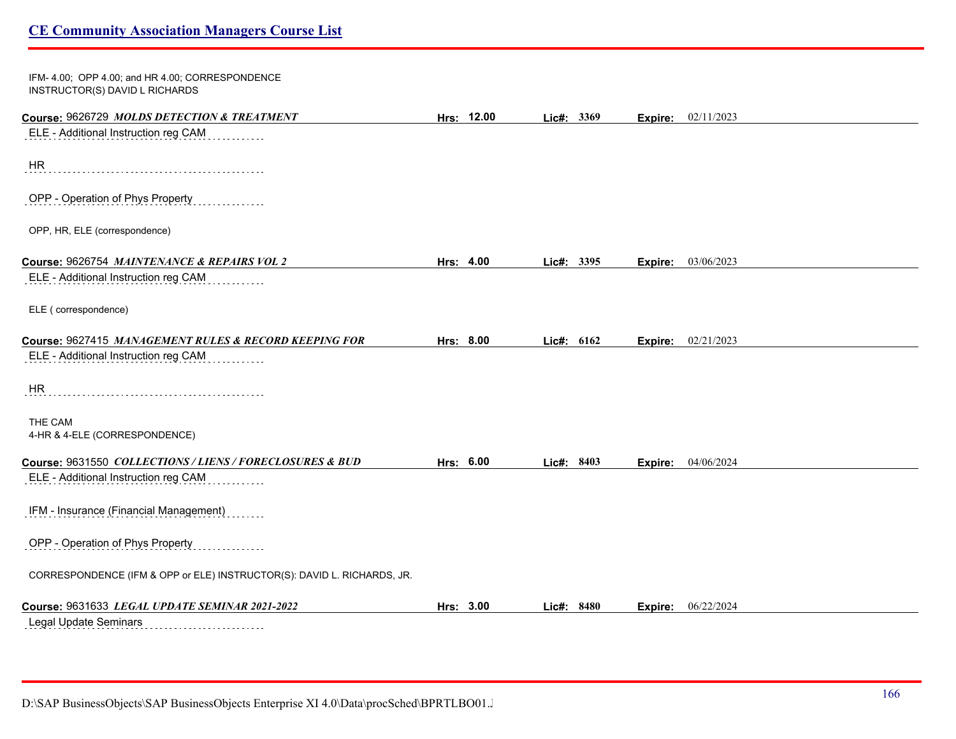| IFM-4.00; OPP 4.00; and HR 4.00; CORRESPONDENCE<br>INSTRUCTOR(S) DAVID L RICHARDS |            |              |         |            |  |
|-----------------------------------------------------------------------------------|------------|--------------|---------|------------|--|
| Course: 9626729 MOLDS DETECTION & TREATMENT                                       | Hrs: 12.00 | Lic#: $3369$ | Expire: | 02/11/2023 |  |
| ELE - Additional Instruction reg CAM                                              |            |              |         |            |  |
| HR                                                                                |            |              |         |            |  |
| OPP - Operation of Phys Property                                                  |            |              |         |            |  |
| OPP, HR, ELE (correspondence)                                                     |            |              |         |            |  |
| Course: 9626754 MAINTENANCE & REPAIRS VOL 2                                       | Hrs: 4.00  | Lic#: 3395   | Expire: | 03/06/2023 |  |
| ELE - Additional Instruction reg CAM                                              |            |              |         |            |  |
| ELE (correspondence)                                                              |            |              |         |            |  |
| Course: 9627415 MANAGEMENT RULES & RECORD KEEPING FOR                             | Hrs: 8.00  | Lic#: 6162   | Expire: | 02/21/2023 |  |
| ELE - Additional Instruction reg CAM                                              |            |              |         |            |  |
| <b>HR</b>                                                                         |            |              |         |            |  |
| THE CAM<br>4-HR & 4-ELE (CORRESPONDENCE)                                          |            |              |         |            |  |
| Course: 9631550 COLLECTIONS/LIENS/FORECLOSURES & BUD                              | Hrs: 6.00  | Lic#: 8403   | Expire: | 04/06/2024 |  |
| ELE - Additional Instruction reg CAM                                              |            |              |         |            |  |
| IFM - Insurance (Financial Management)                                            |            |              |         |            |  |
| OPP - Operation of Phys Property                                                  |            |              |         |            |  |
| CORRESPONDENCE (IFM & OPP or ELE) INSTRUCTOR(S): DAVID L. RICHARDS, JR.           |            |              |         |            |  |
| Course: 9631633 LEGAL UPDATE SEMINAR 2021-2022                                    | Hrs: 3.00  | Lic#: 8480   | Expire: | 06/22/2024 |  |
| Legal Update Seminars                                                             |            |              |         |            |  |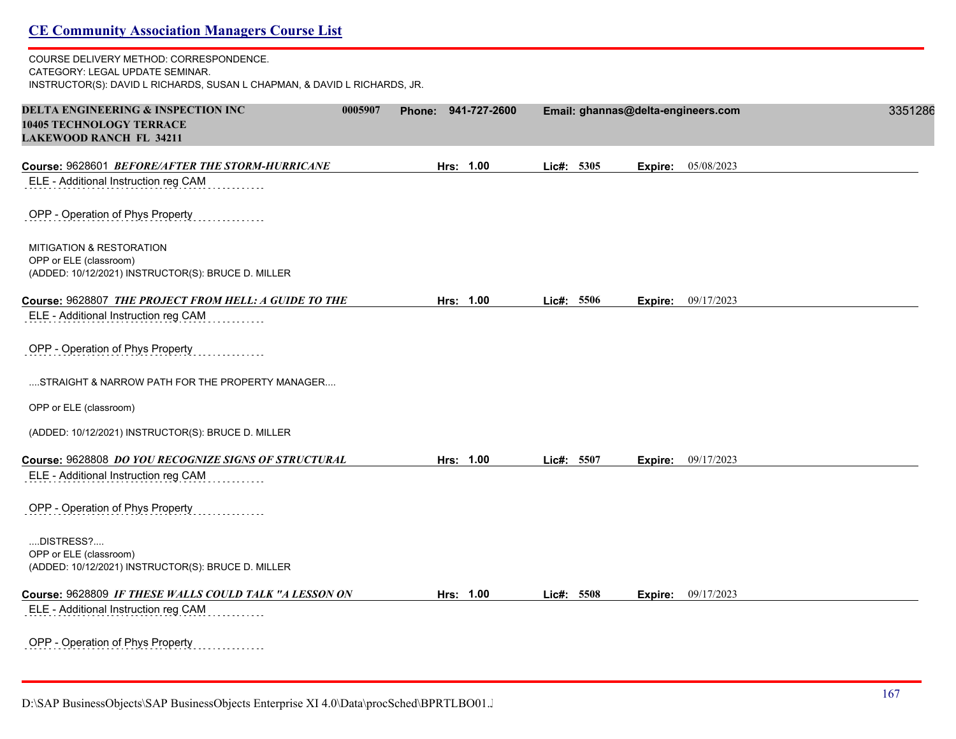| <b>CE Community Association Managers Course List</b>                                                                                                    |        |              |            |         |                                    |         |
|---------------------------------------------------------------------------------------------------------------------------------------------------------|--------|--------------|------------|---------|------------------------------------|---------|
| COURSE DELIVERY METHOD: CORRESPONDENCE.<br>CATEGORY: LEGAL UPDATE SEMINAR.<br>INSTRUCTOR(S): DAVID L RICHARDS, SUSAN L CHAPMAN, & DAVID L RICHARDS, JR. |        |              |            |         |                                    |         |
| <b>DELTA ENGINEERING &amp; INSPECTION INC</b><br>0005907<br><b>10405 TECHNOLOGY TERRACE</b><br><b>LAKEWOOD RANCH FL 34211</b>                           | Phone: | 941-727-2600 |            |         | Email: ghannas@delta-engineers.com | 3351286 |
| Course: 9628601 BEFORE/AFTER THE STORM-HURRICANE                                                                                                        |        | Hrs: 1.00    | Lic#: 5305 | Expire: | 05/08/2023                         |         |
| ELE - Additional Instruction reg CAM                                                                                                                    |        |              |            |         |                                    |         |
| OPP - Operation of Phys Property                                                                                                                        |        |              |            |         |                                    |         |
| MITIGATION & RESTORATION<br>OPP or ELE (classroom)<br>(ADDED: 10/12/2021) INSTRUCTOR(S): BRUCE D. MILLER                                                |        |              |            |         |                                    |         |
| Course: 9628807 THE PROJECT FROM HELL: A GUIDE TO THE                                                                                                   |        | Hrs: 1.00    | Lic#: 5506 | Expire: | 09/17/2023                         |         |
| ELE - Additional Instruction reg CAM                                                                                                                    |        |              |            |         |                                    |         |
| OPP - Operation of Phys Property                                                                                                                        |        |              |            |         |                                    |         |
| STRAIGHT & NARROW PATH FOR THE PROPERTY MANAGER                                                                                                         |        |              |            |         |                                    |         |
| OPP or ELE (classroom)                                                                                                                                  |        |              |            |         |                                    |         |
| (ADDED: 10/12/2021) INSTRUCTOR(S): BRUCE D. MILLER                                                                                                      |        |              |            |         |                                    |         |
| Course: 9628808 DO YOU RECOGNIZE SIGNS OF STRUCTURAL                                                                                                    |        | Hrs: 1.00    | Lic#: 5507 |         | <b>Expire:</b> 09/17/2023          |         |
| ELE - Additional Instruction reg CAM                                                                                                                    |        |              |            |         |                                    |         |
| OPP - Operation of Phys Property                                                                                                                        |        |              |            |         |                                    |         |
| DISTRESS?<br>OPP or ELE (classroom)<br>(ADDED: 10/12/2021) INSTRUCTOR(S): BRUCE D. MILLER                                                               |        |              |            |         |                                    |         |
| Course: 9628809 IF THESE WALLS COULD TALK "A LESSON ON                                                                                                  |        | Hrs: 1.00    | Lic#: 5508 | Expire: | 09/17/2023                         |         |
| ELE - Additional Instruction reg CAM                                                                                                                    |        |              |            |         |                                    |         |
| OPP - Operation of Phys Property                                                                                                                        |        |              |            |         |                                    |         |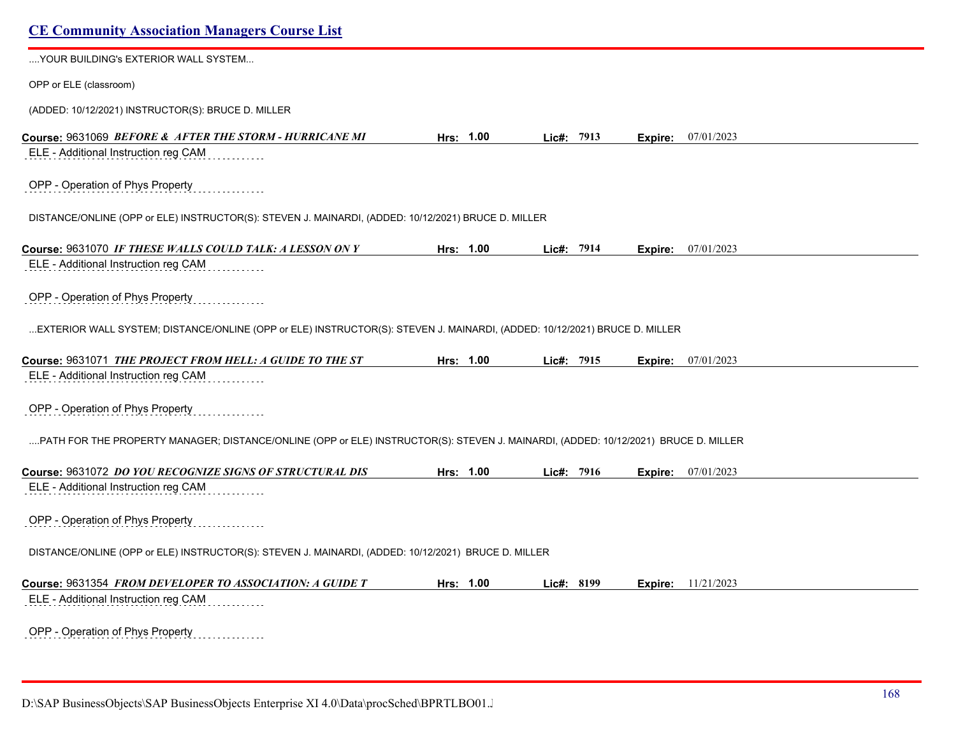| YOUR BUILDING's EXTERIOR WALL SYSTEM                                                                                               |           |            |  |                           |  |
|------------------------------------------------------------------------------------------------------------------------------------|-----------|------------|--|---------------------------|--|
| OPP or ELE (classroom)                                                                                                             |           |            |  |                           |  |
| (ADDED: 10/12/2021) INSTRUCTOR(S): BRUCE D. MILLER                                                                                 |           |            |  |                           |  |
| Course: 9631069 BEFORE & AFTER THE STORM - HURRICANE MI                                                                            | Hrs: 1.00 | Lic#: 7913 |  | Expire: 07/01/2023        |  |
| ELE - Additional Instruction reg CAM                                                                                               |           |            |  |                           |  |
| OPP - Operation of Phys Property                                                                                                   |           |            |  |                           |  |
| DISTANCE/ONLINE (OPP or ELE) INSTRUCTOR(S): STEVEN J. MAINARDI, (ADDED: 10/12/2021) BRUCE D. MILLER                                |           |            |  |                           |  |
| Course: 9631070 IF THESE WALLS COULD TALK: A LESSON ON Y                                                                           | Hrs: 1.00 | Lic#: 7914 |  | <b>Expire:</b> 07/01/2023 |  |
| ELE - Additional Instruction reg CAM                                                                                               |           |            |  |                           |  |
| OPP - Operation of Phys Property                                                                                                   |           |            |  |                           |  |
| EXTERIOR WALL SYSTEM; DISTANCE/ONLINE (OPP or ELE) INSTRUCTOR(S): STEVEN J. MAINARDI, (ADDED: 10/12/2021) BRUCE D. MILLER          |           |            |  |                           |  |
| Course: 9631071 THE PROJECT FROM HELL: A GUIDE TO THE ST                                                                           | Hrs: 1.00 | Lic#: 7915 |  | Expire: 07/01/2023        |  |
| ELE - Additional Instruction reg CAM                                                                                               |           |            |  |                           |  |
| OPP - Operation of Phys Property                                                                                                   |           |            |  |                           |  |
| PATH FOR THE PROPERTY MANAGER; DISTANCE/ONLINE (OPP or ELE) INSTRUCTOR(S): STEVEN J. MAINARDI, (ADDED: 10/12/2021) BRUCE D. MILLER |           |            |  |                           |  |
| Course: 9631072 DO YOU RECOGNIZE SIGNS OF STRUCTURAL DIS                                                                           | Hrs: 1.00 | Lic#: 7916 |  | Expire: 07/01/2023        |  |
| ELE - Additional Instruction reg CAM                                                                                               |           |            |  |                           |  |
| OPP - Operation of Phys Property                                                                                                   |           |            |  |                           |  |
| DISTANCE/ONLINE (OPP or ELE) INSTRUCTOR(S): STEVEN J. MAINARDI, (ADDED: 10/12/2021) BRUCE D. MILLER                                |           |            |  |                           |  |
| Course: 9631354 FROM DEVELOPER TO ASSOCIATION: A GUIDE T                                                                           | Hrs: 1.00 | Lic#: 8199 |  | <b>Expire:</b> 11/21/2023 |  |
| ELE - Additional Instruction reg CAM                                                                                               |           |            |  |                           |  |
| OPP - Operation of Phys Property<br>.                                                                                              |           |            |  |                           |  |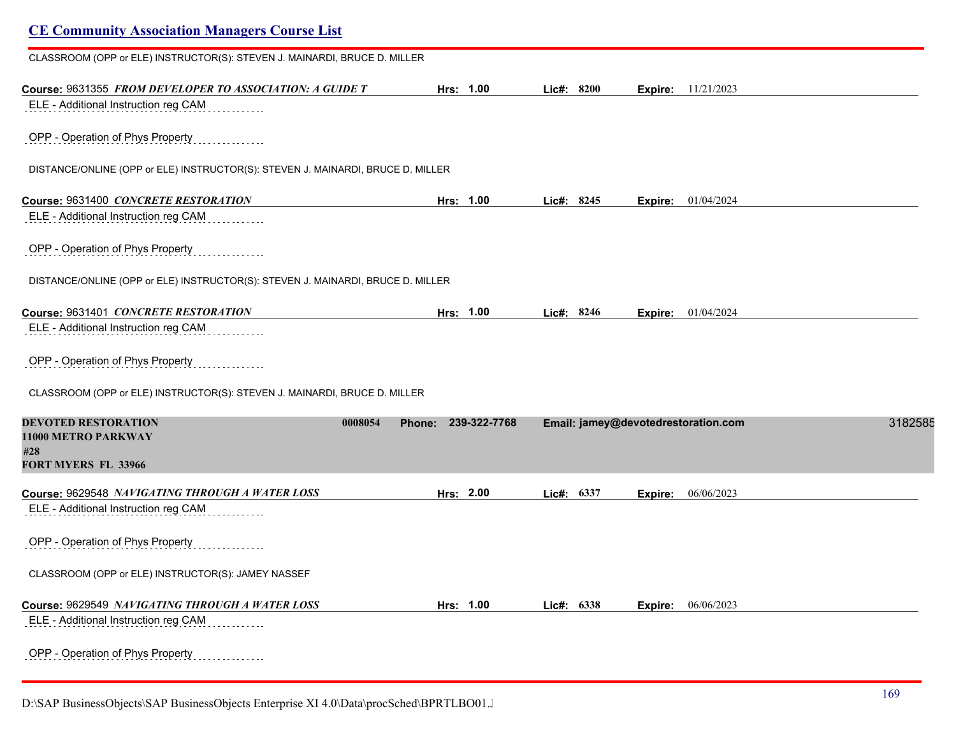| <b>CE Community Association Managers Course List</b>                                             |                     |              |                                     |         |
|--------------------------------------------------------------------------------------------------|---------------------|--------------|-------------------------------------|---------|
| CLASSROOM (OPP or ELE) INSTRUCTOR(S): STEVEN J. MAINARDI, BRUCE D. MILLER                        |                     |              |                                     |         |
| Course: 9631355 FROM DEVELOPER TO ASSOCIATION: A GUIDE T<br>ELE - Additional Instruction reg CAM | Hrs: 1.00           | Lic#: 8200   | <b>Expire:</b> 11/21/2023           |         |
| OPP - Operation of Phys Property                                                                 |                     |              |                                     |         |
| DISTANCE/ONLINE (OPP or ELE) INSTRUCTOR(S): STEVEN J. MAINARDI, BRUCE D. MILLER                  |                     |              |                                     |         |
| Course: 9631400 CONCRETE RESTORATION<br>ELE - Additional Instruction reg CAM                     | Hrs: 1.00           | Lic#: 8245   | <b>Expire:</b> 01/04/2024           |         |
| OPP - Operation of Phys Property                                                                 |                     |              |                                     |         |
| DISTANCE/ONLINE (OPP or ELE) INSTRUCTOR(S): STEVEN J. MAINARDI, BRUCE D. MILLER                  |                     |              |                                     |         |
| Course: 9631401 CONCRETE RESTORATION                                                             | Hrs: 1.00           | Lic#: 8246   | Expire: 01/04/2024                  |         |
| ELE - Additional Instruction reg CAM                                                             |                     |              |                                     |         |
| OPP - Operation of Phys Property                                                                 |                     |              |                                     |         |
| CLASSROOM (OPP or ELE) INSTRUCTOR(S): STEVEN J. MAINARDI, BRUCE D. MILLER                        |                     |              |                                     |         |
| <b>DEVOTED RESTORATION</b><br>0008054<br>11000 METRO PARKWAY<br>#28                              | Phone: 239-322-7768 |              | Email: jamey@devotedrestoration.com | 3182585 |
| FORT MYERS FL 33966                                                                              |                     |              |                                     |         |
| Course: 9629548 NAVIGATING THROUGH A WATER LOSS<br>ELE - Additional Instruction reg CAM          | Hrs: 2.00           | Lic#: 6337   | 06/06/2023<br>Expire:               |         |
| OPP - Operation of Phys Property                                                                 |                     |              |                                     |         |
| CLASSROOM (OPP or ELE) INSTRUCTOR(S): JAMEY NASSEF                                               |                     |              |                                     |         |
| Course: 9629549 NAVIGATING THROUGH A WATER LOSS<br>ELE - Additional Instruction reg CAM          | Hrs: 1.00           | Lic#: $6338$ | 06/06/2023<br>Expire:               |         |
| OPP - Operation of Phys Property                                                                 |                     |              |                                     |         |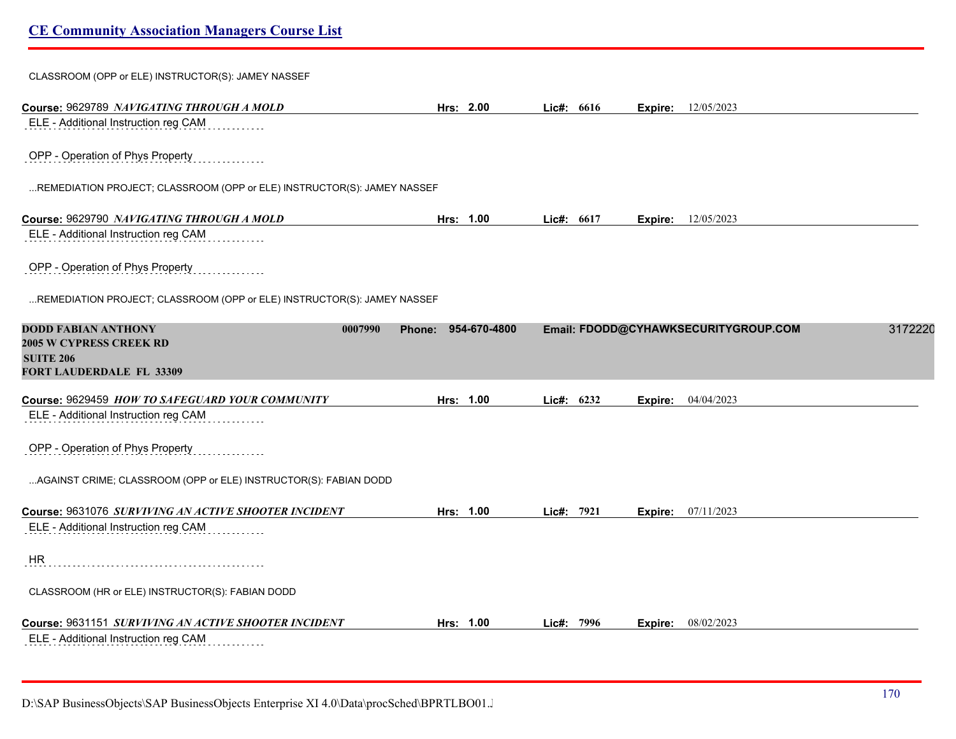# **CE Community Association Managers Course List** CLASSROOM (OPP or ELE) INSTRUCTOR(S): JAMEY NASSEF **Course:** 9629789 *NAVIGATING THROUGH A MOLD* **Hrs: 2.00 Lic#: 6616 Expire:** 12/05/2023 ELE - Additional Instruction reg CAM OPP - Operation of Phys Property ...REMEDIATION PROJECT; CLASSROOM (OPP or ELE) INSTRUCTOR(S): JAMEY NASSEF **Course:** 9629790 *NAVIGATING THROUGH A MOLD* **Hrs: 1.00 Lic#: 6617 Expire:** 12/05/2023 ELE - Additional Instruction reg CAM OPP - Operation of Phys Property ...REMEDIATION PROJECT; CLASSROOM (OPP or ELE) INSTRUCTOR(S): JAMEY NASSEF **DODD FABIAN ANTHONY 0007990 Phone: 954-670-4800 Email: FDODD@CYHAWKSECURITYGROUP.COM** 31722200 **2005 W CYPRESS CREEK RD SUITE 206 FORT LAUDERDALE FL 33309 Course:** 9629459 *HOW TO SAFEGUARD YOUR COMMUNITY* **Hrs: 1.00 Lic#: 6232 Expire:** 04/04/2023 ELE - Additional Instruction reg CAM OPP - Operation of Phys Property ...AGAINST CRIME; CLASSROOM (OPP or ELE) INSTRUCTOR(S): FABIAN DODD **Course:** 9631076 *SURVIVING AN ACTIVE SHOOTER INCIDENT* **Hrs: 1.00 Lic#: 7921 Expire:** 07/11/2023 ELE - Additional Instruction reg CAM HR CLASSROOM (HR or ELE) INSTRUCTOR(S): FABIAN DODD **Course:** 9631151 *SURVIVING AN ACTIVE SHOOTER INCIDENT* **Hrs: 1.00 Lic#: 7996 Expire:** 08/02/2023 ELE - Additional Instruction reg CAM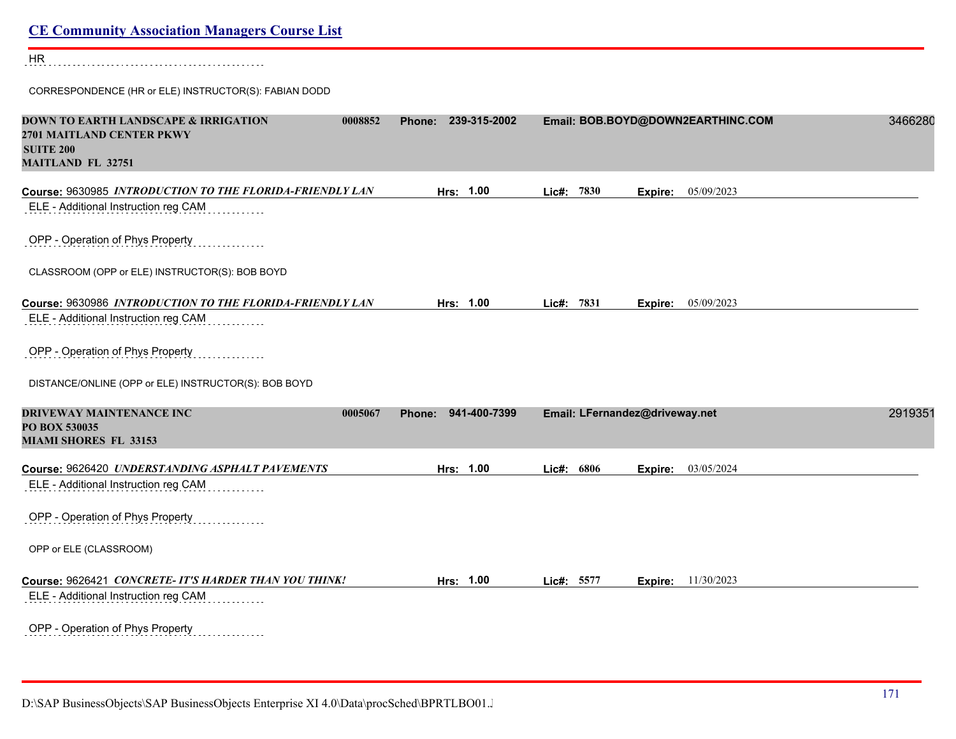| <b>CE Community Association Managers Course List</b>                                                                         |                               |               |                                   |         |
|------------------------------------------------------------------------------------------------------------------------------|-------------------------------|---------------|-----------------------------------|---------|
| HR                                                                                                                           |                               |               |                                   |         |
| CORRESPONDENCE (HR or ELE) INSTRUCTOR(S): FABIAN DODD                                                                        |                               |               |                                   |         |
| DOWN TO EARTH LANDSCAPE & IRRIGATION<br>0008852<br>2701 MAITLAND CENTER PKWY<br><b>SUITE 200</b><br><b>MAITLAND FL 32751</b> | Phone: 239-315-2002           |               | Email: BOB.BOYD@DOWN2EARTHINC.COM | 3466280 |
| Course: 9630985 INTRODUCTION TO THE FLORIDA-FRIENDLY LAN<br>ELE - Additional Instruction reg CAM                             | Hrs: 1.00                     | Lie#: 7830    | 05/09/2023<br>Expire:             |         |
| OPP - Operation of Phys Property                                                                                             |                               |               |                                   |         |
| CLASSROOM (OPP or ELE) INSTRUCTOR(S): BOB BOYD                                                                               |                               |               |                                   |         |
| Course: 9630986 INTRODUCTION TO THE FLORIDA-FRIENDLY LAN                                                                     | Hrs: 1.00                     | Lic#: $7831$  | <b>Expire:</b> $05/09/2023$       |         |
| ELE - Additional Instruction reg CAM                                                                                         |                               |               |                                   |         |
| OPP - Operation of Phys Property                                                                                             |                               |               |                                   |         |
| DISTANCE/ONLINE (OPP or ELE) INSTRUCTOR(S): BOB BOYD                                                                         |                               |               |                                   |         |
| <b>DRIVEWAY MAINTENANCE INC</b><br>0005067<br>PO BOX 530035<br><b>MIAMI SHORES FL 33153</b>                                  | 941-400-7399<br><b>Phone:</b> |               | Email: LFernandez@driveway.net    | 2919351 |
| Course: 9626420 UNDERSTANDING ASPHALT PAVEMENTS                                                                              | Hrs: 1.00                     | 6806<br>Lic#: | 03/05/2024<br>Expire:             |         |
| ELE - Additional Instruction reg CAM                                                                                         |                               |               |                                   |         |
| OPP - Operation of Phys Property                                                                                             |                               |               |                                   |         |
| OPP or ELE (CLASSROOM)                                                                                                       |                               |               |                                   |         |
| Course: 9626421 CONCRETE- IT'S HARDER THAN YOU THINK!<br>ELE - Additional Instruction reg CAM                                | Hrs: 1.00                     | Lic#: 5577    | Expire: 11/30/2023                |         |
| OPP - Operation of Phys Property                                                                                             |                               |               |                                   |         |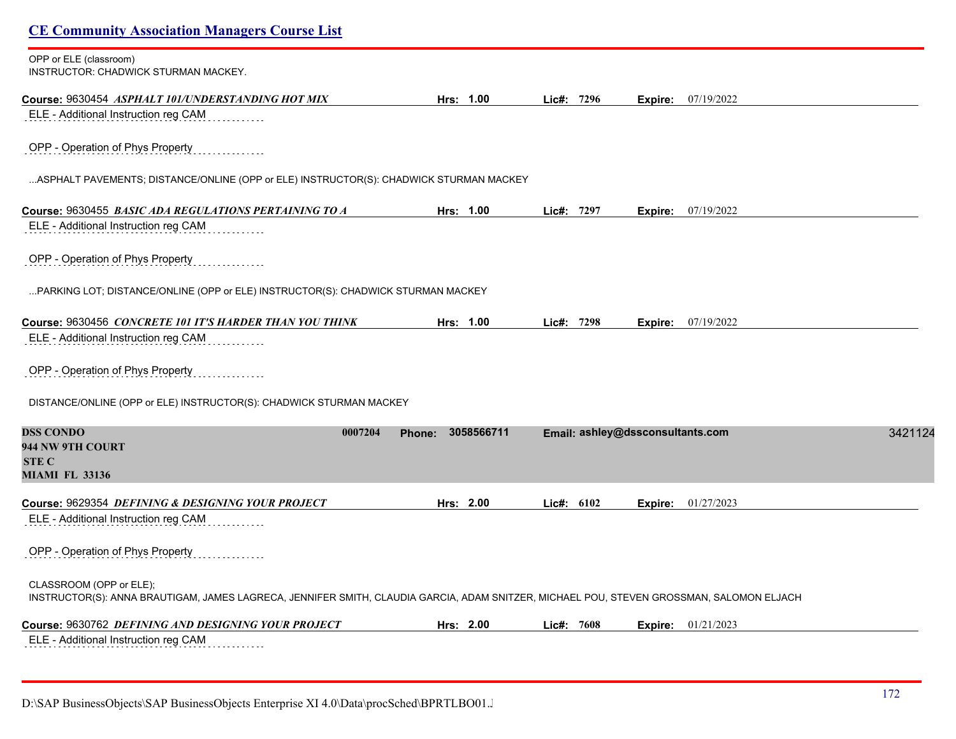| <b>CE Community Association Managers Course List</b>                                                                                                                |                      |               |                                  |         |
|---------------------------------------------------------------------------------------------------------------------------------------------------------------------|----------------------|---------------|----------------------------------|---------|
| OPP or ELE (classroom)<br>INSTRUCTOR: CHADWICK STURMAN MACKEY.                                                                                                      |                      |               |                                  |         |
|                                                                                                                                                                     | Hrs: 1.00            | Lic#: 7296    | <b>Expire:</b> $07/19/2022$      |         |
| ELE - Additional Instruction reg CAM                                                                                                                                |                      |               |                                  |         |
| OPP - Operation of Phys Property                                                                                                                                    |                      |               |                                  |         |
| ASPHALT PAVEMENTS; DISTANCE/ONLINE (OPP or ELE) INSTRUCTOR(S): CHADWICK STURMAN MACKEY                                                                              |                      |               |                                  |         |
|                                                                                                                                                                     | Hrs: 1.00            | $Lic\#: 7297$ | <b>Expire:</b> $07/19/2022$      |         |
| ELE - Additional Instruction reg CAM                                                                                                                                |                      |               |                                  |         |
| OPP - Operation of Phys Property                                                                                                                                    |                      |               |                                  |         |
| PARKING LOT; DISTANCE/ONLINE (OPP or ELE) INSTRUCTOR(S): CHADWICK STURMAN MACKEY                                                                                    |                      |               |                                  |         |
| Course: 9630456 <i>CONCRETE 101 IT'S HARDER THAN YOU THINK</i>                                                                                                      | Hrs: 1.00            | Lic#: 7298    | Expire: 07/19/2022               |         |
| ELE - Additional Instruction reg CAM                                                                                                                                |                      |               |                                  |         |
| OPP - Operation of Phys Property                                                                                                                                    |                      |               |                                  |         |
| DISTANCE/ONLINE (OPP or ELE) INSTRUCTOR(S): CHADWICK STURMAN MACKEY                                                                                                 |                      |               |                                  |         |
| <b>DSS CONDO</b><br>0007204<br>944 NW 9TH COURT                                                                                                                     | 3058566711<br>Phone: |               | Email: ashley@dssconsultants.com | 3421124 |
| <b>STE C</b>                                                                                                                                                        |                      |               |                                  |         |
| <b>MIAMI FL 33136</b>                                                                                                                                               |                      |               |                                  |         |
| Course: 9629354 DEFINING & DESIGNING YOUR PROJECT                                                                                                                   | Hrs: 2.00            | Lie#: 6102    | Expire: 01/27/2023               |         |
| ELE - Additional Instruction reg CAM                                                                                                                                |                      |               |                                  |         |
| OPP - Operation of Phys Property                                                                                                                                    |                      |               |                                  |         |
| CLASSROOM (OPP or ELE);<br>INSTRUCTOR(S): ANNA BRAUTIGAM, JAMES LAGRECA, JENNIFER SMITH, CLAUDIA GARCIA, ADAM SNITZER, MICHAEL POU, STEVEN GROSSMAN, SALOMON ELJACH |                      |               |                                  |         |
| Course: 9630762 <i>DEFINING AND DESIGNING YOUR PROJECT</i>                                                                                                          | Hrs: 2.00            | Lie#: 7608    | <b>Expire:</b> 01/21/2023        |         |
| ELE - Additional Instruction reg CAM                                                                                                                                |                      |               |                                  |         |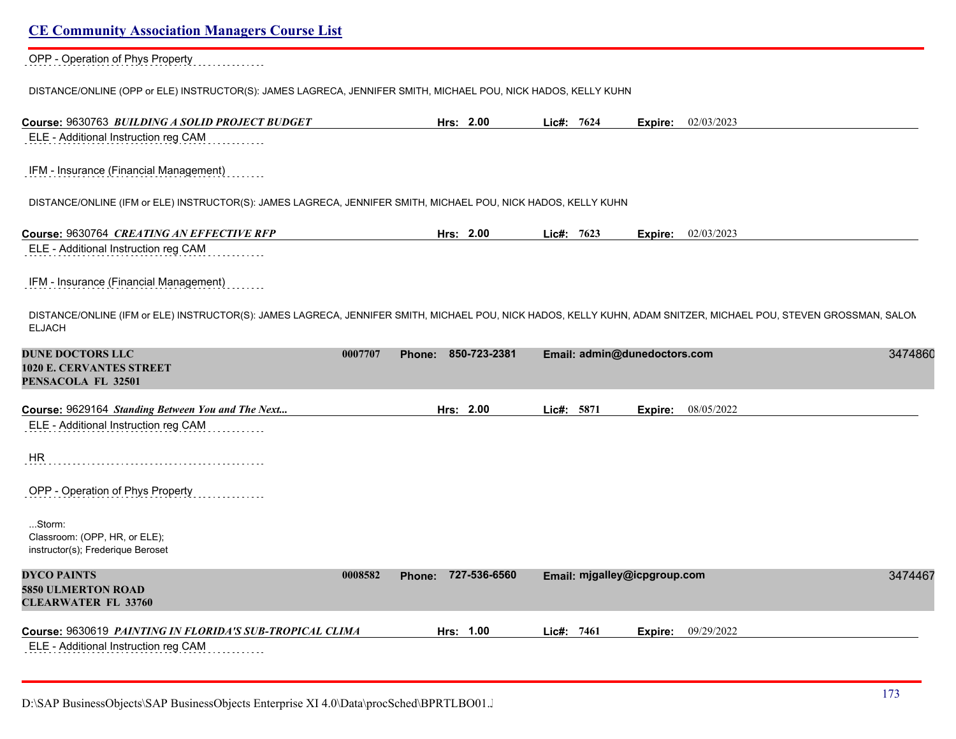OPP - Operation of Phys Property

DISTANCE/ONLINE (OPP or ELE) INSTRUCTOR(S): JAMES LAGRECA, JENNIFER SMITH, MICHAEL POU, NICK HADOS, KELLY KUHN

| Course: 9630763 BUILDING A SOLID PROJECT BUDGET                                                                                                                                    |                          | Hrs: 2.00    | Lic#: 7624 |                              |         | Expire: 02/03/2023 |
|------------------------------------------------------------------------------------------------------------------------------------------------------------------------------------|--------------------------|--------------|------------|------------------------------|---------|--------------------|
| ELE - Additional Instruction reg CAM                                                                                                                                               |                          |              |            |                              |         |                    |
| IFM - Insurance (Financial Management)                                                                                                                                             |                          |              |            |                              |         |                    |
| DISTANCE/ONLINE (IFM or ELE) INSTRUCTOR(S): JAMES LAGRECA, JENNIFER SMITH, MICHAEL POU, NICK HADOS, KELLY KUHN                                                                     |                          |              |            |                              |         |                    |
| Course: 9630764 CREATING AN EFFECTIVE RFP                                                                                                                                          |                          | Hrs: 2.00    | Lic#: 7623 |                              | Expire: | 02/03/2023         |
| ELE - Additional Instruction reg CAM                                                                                                                                               |                          |              |            |                              |         |                    |
| IFM - Insurance (Financial Management)                                                                                                                                             |                          |              |            |                              |         |                    |
| DISTANCE/ONLINE (IFM or ELE) INSTRUCTOR(S): JAMES LAGRECA, JENNIFER SMITH, MICHAEL POU, NICK HADOS, KELLY KUHN, ADAM SNITZER, MICHAEL POU, STEVEN GROSSMAN, SALON<br><b>ELJACH</b> |                          |              |            |                              |         |                    |
| <b>DUNE DOCTORS LLC</b><br>1020 E. CERVANTES STREET<br>PENSACOLA FL 32501                                                                                                          | 0007707<br><b>Phone:</b> | 850-723-2381 |            | Email: admin@dunedoctors.com |         | 3474860            |
| Course: 9629164 Standing Between You and The Next                                                                                                                                  |                          | Hrs: 2.00    | Lic#: 5871 |                              | Expire: | 08/05/2022         |
| ELE - Additional Instruction reg CAM                                                                                                                                               |                          |              |            |                              |         |                    |
| <b>HR</b>                                                                                                                                                                          |                          |              |            |                              |         |                    |
| OPP - Operation of Phys Property                                                                                                                                                   |                          |              |            |                              |         |                    |
| Storm:<br>Classroom: (OPP, HR, or ELE);<br>instructor(s); Frederique Beroset                                                                                                       |                          |              |            |                              |         |                    |
| <b>DYCO PAINTS</b><br>5850 ULMERTON ROAD<br><b>CLEARWATER FL 33760</b>                                                                                                             | 0008582<br><b>Phone:</b> | 727-536-6560 |            | Email: mjgalley@icpgroup.com |         | 3474467            |
| Course: 9630619 PAINTING IN FLORIDA'S SUB-TROPICAL CLIMA<br>ELE - Additional Instruction reg CAM                                                                                   |                          | Hrs: 1.00    | Lic#: 7461 |                              | Expire: | 09/29/2022         |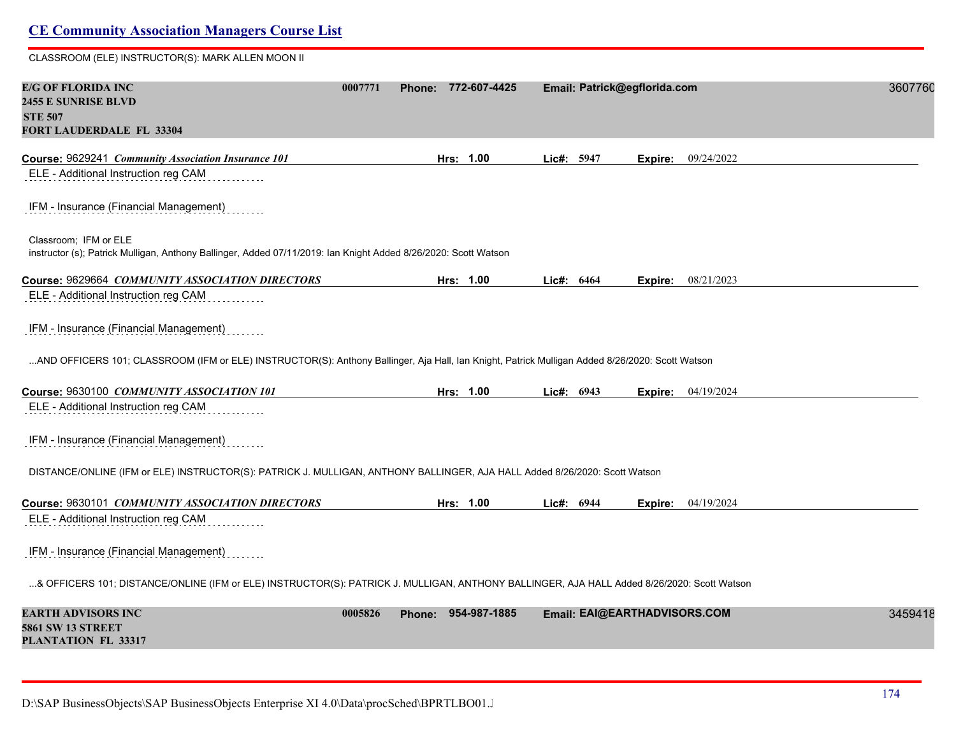#### CLASSROOM (ELE) INSTRUCTOR(S): MARK ALLEN MOON II

| E/G OF FLORIDA INC<br><b>2455 E SUNRISE BLVD</b><br><b>STE 507</b><br>FORT LAUDERDALE FL 33304                                                  | 0007771 | Phone: 772-607-4425 |            | Email: Patrick@egflorida.com |         |                           | 3607760 |
|-------------------------------------------------------------------------------------------------------------------------------------------------|---------|---------------------|------------|------------------------------|---------|---------------------------|---------|
| Course: 9629241 Community Association Insurance 101                                                                                             |         | Hrs: 1.00           | Lic#: 5947 |                              | Expire: | 09/24/2022                |         |
| ELE - Additional Instruction reg CAM                                                                                                            |         |                     |            |                              |         |                           |         |
| IFM - Insurance (Financial Management)                                                                                                          |         |                     |            |                              |         |                           |         |
| Classroom; IFM or ELE<br>instructor (s); Patrick Mulligan, Anthony Ballinger, Added 07/11/2019: Ian Knight Added 8/26/2020: Scott Watson        |         |                     |            |                              |         |                           |         |
| Course: 9629664 COMMUNITY ASSOCIATION DIRECTORS                                                                                                 |         | Hrs: 1.00           | Lic#: 6464 |                              | Expire: | 08/21/2023                |         |
| ELE - Additional Instruction reg CAM                                                                                                            |         |                     |            |                              |         |                           |         |
| IFM - Insurance (Financial Management)                                                                                                          |         |                     |            |                              |         |                           |         |
| AND OFFICERS 101; CLASSROOM (IFM or ELE) INSTRUCTOR(S): Anthony Ballinger, Aja Hall, Ian Knight, Patrick Mulligan Added 8/26/2020: Scott Watson |         |                     |            |                              |         |                           |         |
| Course: 9630100 COMMUNITY ASSOCIATION 101                                                                                                       |         | Hrs: 1.00           | Lic#: 6943 |                              |         | <b>Expire:</b> 04/19/2024 |         |
| ELE - Additional Instruction reg CAM                                                                                                            |         |                     |            |                              |         |                           |         |
| IFM - Insurance (Financial Management)                                                                                                          |         |                     |            |                              |         |                           |         |
| DISTANCE/ONLINE (IFM or ELE) INSTRUCTOR(S): PATRICK J. MULLIGAN, ANTHONY BALLINGER, AJA HALL Added 8/26/2020: Scott Watson                      |         |                     |            |                              |         |                           |         |
| Course: 9630101 COMMUNITY ASSOCIATION DIRECTORS                                                                                                 |         | Hrs: 1.00           | Lic#: 6944 |                              |         | Expire: 04/19/2024        |         |
| ELE - Additional Instruction reg CAM                                                                                                            |         |                     |            |                              |         |                           |         |
| IFM - Insurance (Financial Management)                                                                                                          |         |                     |            |                              |         |                           |         |
| & OFFICERS 101; DISTANCE/ONLINE (IFM or ELE) INSTRUCTOR(S): PATRICK J. MULLIGAN, ANTHONY BALLINGER, AJA HALL Added 8/26/2020: Scott Watson      |         |                     |            |                              |         |                           |         |
| <b>EARTH ADVISORS INC</b><br><b>5861 SW 13 STREET</b><br>PLANTATION FL 33317                                                                    | 0005826 | Phone: 954-987-1885 |            | Email: EAI@EARTHADVISORS.COM |         |                           | 3459418 |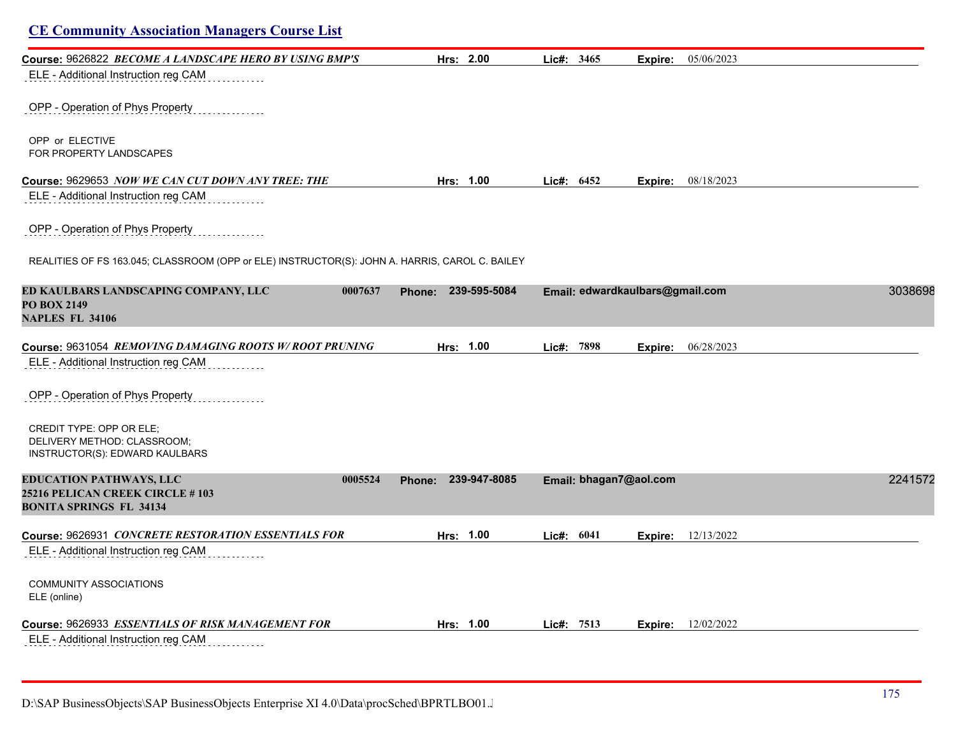| <b>CE Community Association Managers Course List</b>                                                                   |                        |              |                                 |                           |         |
|------------------------------------------------------------------------------------------------------------------------|------------------------|--------------|---------------------------------|---------------------------|---------|
| Course: 9626822 BECOME A LANDSCAPE HERO BY USING BMP'S                                                                 | Hrs: 2.00              | Lic#: 3465   | Expire:                         | 05/06/2023                |         |
| ELE - Additional Instruction reg CAM                                                                                   |                        |              |                                 |                           |         |
| OPP - Operation of Phys Property                                                                                       |                        |              |                                 |                           |         |
| OPP or ELECTIVE<br>FOR PROPERTY LANDSCAPES                                                                             |                        |              |                                 |                           |         |
| Course: 9629653 NOW WE CAN CUT DOWN ANY TREE: THE                                                                      | Hrs: 1.00              | Lic#: $6452$ |                                 | <b>Expire:</b> 08/18/2023 |         |
| ELE - Additional Instruction reg CAM                                                                                   |                        |              |                                 |                           |         |
| OPP - Operation of Phys Property                                                                                       |                        |              |                                 |                           |         |
| REALITIES OF FS 163.045; CLASSROOM (OPP or ELE) INSTRUCTOR(S): JOHN A. HARRIS, CAROL C. BAILEY                         |                        |              |                                 |                           |         |
| ED KAULBARS LANDSCAPING COMPANY, LLC<br>0007637<br><b>PO BOX 2149</b><br><b>NAPLES FL 34106</b>                        | Phone: 239-595-5084    |              | Email: edwardkaulbars@gmail.com |                           | 3038698 |
| Course: 9631054 REMOVING DAMAGING ROOTS W/ROOT PRUNING                                                                 | Hrs: 1.00              | Lic#: 7898   | Expire:                         | 06/28/2023                |         |
| ELE - Additional Instruction reg CAM                                                                                   |                        |              |                                 |                           |         |
| OPP - Operation of Phys Property                                                                                       |                        |              |                                 |                           |         |
| CREDIT TYPE: OPP OR ELE;<br>DELIVERY METHOD: CLASSROOM;<br>INSTRUCTOR(S): EDWARD KAULBARS                              |                        |              |                                 |                           |         |
| <b>EDUCATION PATHWAYS, LLC</b><br>0005524<br><b>25216 PELICAN CREEK CIRCLE # 103</b><br><b>BONITA SPRINGS FL 34134</b> | 239-947-8085<br>Phone: |              | Email: bhagan7@aol.com          |                           | 2241572 |
| Course: 9626931 CONCRETE RESTORATION ESSENTIALS FOR                                                                    | Hrs: 1.00              | Lie#: 6041   |                                 | <b>Expire:</b> 12/13/2022 |         |
| ELE - Additional Instruction reg CAM                                                                                   |                        |              |                                 |                           |         |
| <b>COMMUNITY ASSOCIATIONS</b><br>ELE (online)                                                                          |                        |              |                                 |                           |         |
| Course: 9626933 ESSENTIALS OF RISK MANAGEMENT FOR                                                                      | Hrs: 1.00              | Lic#: 7513   | Expire:                         | 12/02/2022                |         |
| ELE - Additional Instruction reg CAM                                                                                   |                        |              |                                 |                           |         |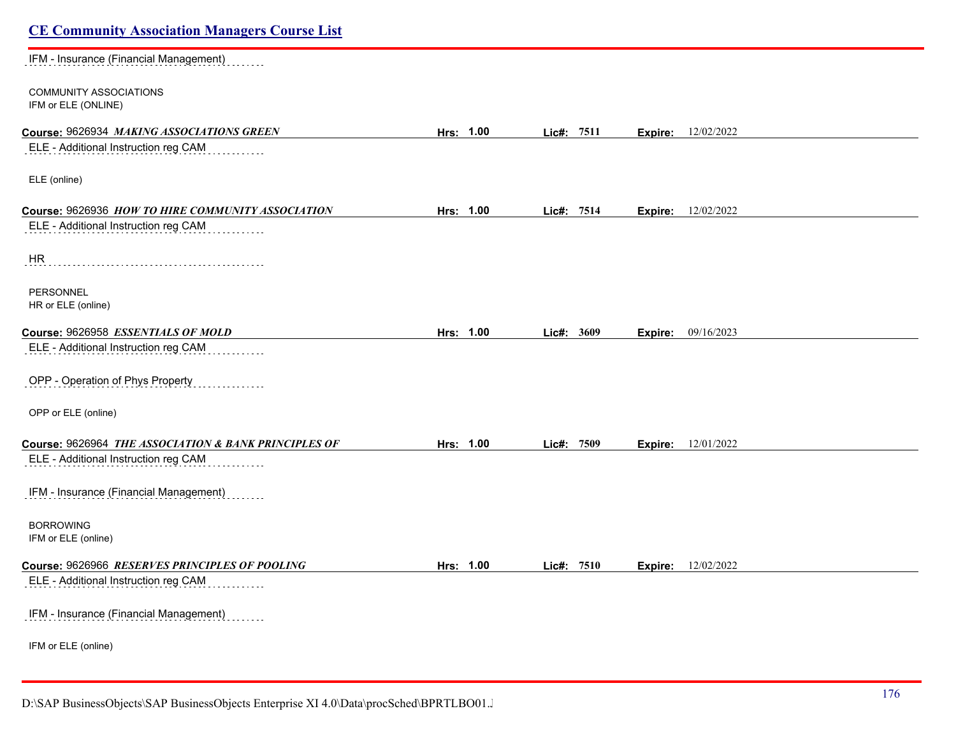| <b>CE Community Association Managers Course List</b> |           |                     |                           |  |
|------------------------------------------------------|-----------|---------------------|---------------------------|--|
| IFM - Insurance (Financial Management)               |           |                     |                           |  |
| <b>COMMUNITY ASSOCIATIONS</b><br>IFM or ELE (ONLINE) |           |                     |                           |  |
| Course: 9626934 MAKING ASSOCIATIONS GREEN            | Hrs: 1.00 | Lic#: 7511          | <b>Expire:</b> 12/02/2022 |  |
| ELE - Additional Instruction reg CAM                 |           |                     |                           |  |
| ELE (online)                                         |           |                     |                           |  |
| Course: 9626936 HOW TO HIRE COMMUNITY ASSOCIATION    | Hrs: 1.00 | Lic#: 7514          | <b>Expire:</b> 12/02/2022 |  |
| ELE - Additional Instruction reg CAM                 |           |                     |                           |  |
| HR                                                   |           |                     |                           |  |
| <b>PERSONNEL</b><br>HR or ELE (online)               |           |                     |                           |  |
| Course: 9626958 ESSENTIALS OF MOLD                   | Hrs: 1.00 | Lic#: 3609          | Expire: 09/16/2023        |  |
| ELE - Additional Instruction reg CAM                 |           |                     |                           |  |
| OPP - Operation of Phys Property                     |           |                     |                           |  |
| OPP or ELE (online)                                  |           |                     |                           |  |
| Course: 9626964 THE ASSOCIATION & BANK PRINCIPLES OF | Hrs: 1.00 | Lic#: 7509          | <b>Expire:</b> 12/01/2022 |  |
| ELE - Additional Instruction reg CAM                 |           |                     |                           |  |
| IFM - Insurance (Financial Management)               |           |                     |                           |  |
| <b>BORROWING</b><br>IFM or ELE (online)              |           |                     |                           |  |
| Course: 9626966 RESERVES PRINCIPLES OF POOLING       | Hrs: 1.00 | <b>Lic#:</b> $7510$ | <b>Expire:</b> 12/02/2022 |  |
| ELE - Additional Instruction reg CAM                 |           |                     |                           |  |
| IFM - Insurance (Financial Management)               |           |                     |                           |  |
| IFM or ELE (online)                                  |           |                     |                           |  |
|                                                      |           |                     |                           |  |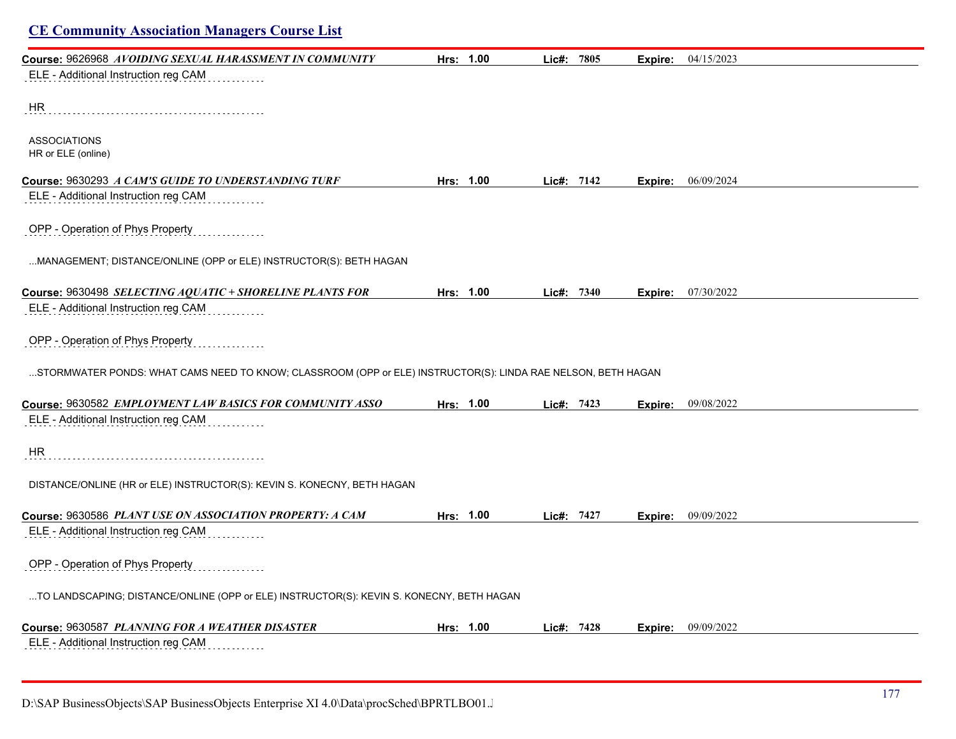| <b>CE Community Association Managers Course List</b>                                                         |           |              |         |            |
|--------------------------------------------------------------------------------------------------------------|-----------|--------------|---------|------------|
| Course: 9626968 AVOIDING SEXUAL HARASSMENT IN COMMUNITY                                                      | Hrs: 1.00 | Lic#: 7805   | Expire: | 04/15/2023 |
| ELE - Additional Instruction reg CAM                                                                         |           |              |         |            |
| <b>HR</b>                                                                                                    |           |              |         |            |
| <b>ASSOCIATIONS</b><br>HR or ELE (online)                                                                    |           |              |         |            |
| Course: 9630293 A CAM'S GUIDE TO UNDERSTANDING TURF                                                          | Hrs: 1.00 | Lic#: $7142$ | Expire: | 06/09/2024 |
| ELE - Additional Instruction reg CAM                                                                         |           |              |         |            |
| OPP - Operation of Phys Property                                                                             |           |              |         |            |
| MANAGEMENT; DISTANCE/ONLINE (OPP or ELE) INSTRUCTOR(S): BETH HAGAN                                           |           |              |         |            |
| Course: 9630498 SELECTING AQUATIC + SHORELINE PLANTS FOR                                                     | Hrs: 1.00 | Lic#: 7340   | Expire: | 07/30/2022 |
| ELE - Additional Instruction reg CAM                                                                         |           |              |         |            |
| OPP - Operation of Phys Property                                                                             |           |              |         |            |
| STORMWATER PONDS: WHAT CAMS NEED TO KNOW; CLASSROOM (OPP or ELE) INSTRUCTOR(S): LINDA RAE NELSON, BETH HAGAN |           |              |         |            |
| Course: 9630582 EMPLOYMENT LAW BASICS FOR COMMUNITY ASSO                                                     | Hrs: 1.00 | Lic#: 7423   | Expire: | 09/08/2022 |
| ELE - Additional Instruction reg CAM                                                                         |           |              |         |            |
| HR                                                                                                           |           |              |         |            |
| DISTANCE/ONLINE (HR or ELE) INSTRUCTOR(S): KEVIN S. KONECNY, BETH HAGAN                                      |           |              |         |            |
| Course: 9630586 PLANT USE ON ASSOCIATION PROPERTY: A CAM                                                     | Hrs: 1.00 | Lic#: 7427   | Expire: | 09/09/2022 |
| ELE - Additional Instruction reg CAM                                                                         |           |              |         |            |
| OPP - Operation of Phys Property                                                                             |           |              |         |            |
| TO LANDSCAPING; DISTANCE/ONLINE (OPP or ELE) INSTRUCTOR(S): KEVIN S. KONECNY, BETH HAGAN                     |           |              |         |            |
| Course: 9630587 PLANNING FOR A WEATHER DISASTER                                                              | Hrs: 1.00 | Lic#: 7428   | Expire: | 09/09/2022 |
| ELE - Additional Instruction reg CAM                                                                         |           |              |         |            |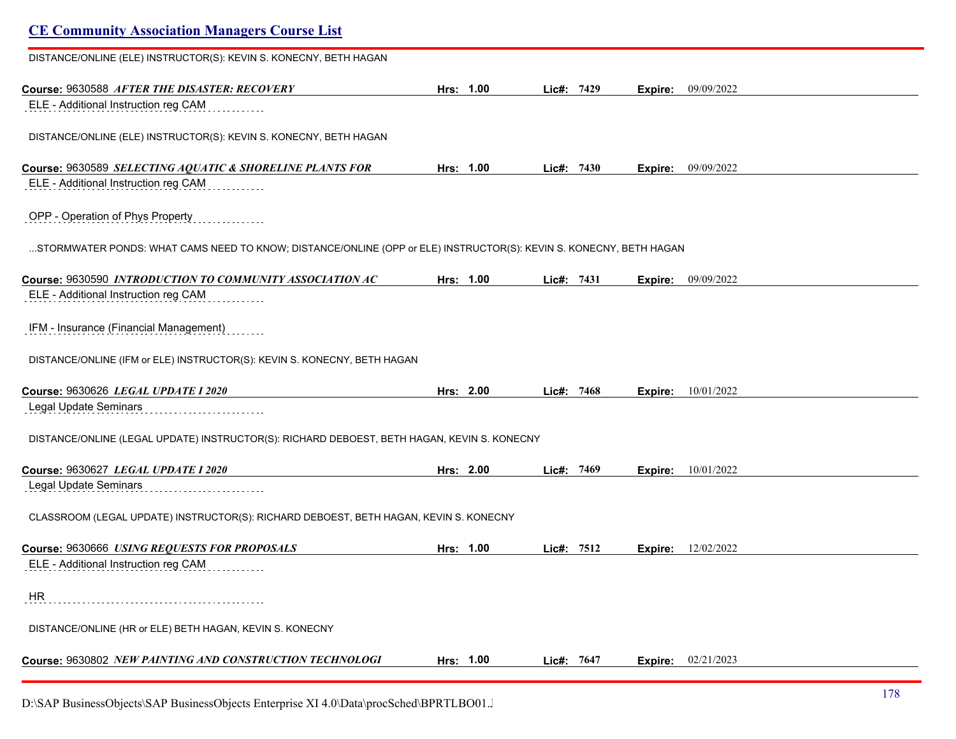| <b>CE Community Association Managers Course List</b>                                                               |           |            |         |            |  |
|--------------------------------------------------------------------------------------------------------------------|-----------|------------|---------|------------|--|
| DISTANCE/ONLINE (ELE) INSTRUCTOR(S): KEVIN S. KONECNY, BETH HAGAN                                                  |           |            |         |            |  |
| Course: 9630588 AFTER THE DISASTER: RECOVERY                                                                       | Hrs: 1.00 | Lic#: 7429 | Expire: | 09/09/2022 |  |
| ELE - Additional Instruction reg CAM                                                                               |           |            |         |            |  |
| DISTANCE/ONLINE (ELE) INSTRUCTOR(S): KEVIN S. KONECNY, BETH HAGAN                                                  |           |            |         |            |  |
| Course: 9630589 SELECTING AQUATIC & SHORELINE PLANTS FOR                                                           | Hrs: 1.00 | Lie#: 7430 | Expire: | 09/09/2022 |  |
| ELE - Additional Instruction reg CAM                                                                               |           |            |         |            |  |
| OPP - Operation of Phys Property                                                                                   |           |            |         |            |  |
| STORMWATER PONDS: WHAT CAMS NEED TO KNOW; DISTANCE/ONLINE (OPP or ELE) INSTRUCTOR(S): KEVIN S. KONECNY, BETH HAGAN |           |            |         |            |  |
| Course: 9630590 INTRODUCTION TO COMMUNITY ASSOCIATION AC                                                           | Hrs: 1.00 | Lic#: 7431 | Expire: | 09/09/2022 |  |
| ELE - Additional Instruction reg CAM                                                                               |           |            |         |            |  |
| IFM - Insurance (Financial Management)                                                                             |           |            |         |            |  |
| DISTANCE/ONLINE (IFM or ELE) INSTRUCTOR(S): KEVIN S. KONECNY, BETH HAGAN                                           |           |            |         |            |  |
| Course: 9630626 LEGAL UPDATE I 2020                                                                                | Hrs: 2.00 | Lic#: 7468 | Expire: | 10/01/2022 |  |
| Legal Update Seminars                                                                                              |           |            |         |            |  |
| DISTANCE/ONLINE (LEGAL UPDATE) INSTRUCTOR(S): RICHARD DEBOEST, BETH HAGAN, KEVIN S. KONECNY                        |           |            |         |            |  |
| Course: 9630627 LEGAL UPDATE I 2020                                                                                | Hrs: 2.00 | Lie#: 7469 | Expire: | 10/01/2022 |  |
| Legal Update Seminars                                                                                              |           |            |         |            |  |
| CLASSROOM (LEGAL UPDATE) INSTRUCTOR(S): RICHARD DEBOEST, BETH HAGAN, KEVIN S. KONECNY                              |           |            |         |            |  |
| Course: 9630666 USING REQUESTS FOR PROPOSALS                                                                       | Hrs: 1.00 | Lic#: 7512 | Expire: | 12/02/2022 |  |
| ELE - Additional Instruction reg CAM                                                                               |           |            |         |            |  |
| HR                                                                                                                 |           |            |         |            |  |
| DISTANCE/ONLINE (HR or ELE) BETH HAGAN, KEVIN S. KONECNY                                                           |           |            |         |            |  |
| Course: 9630802 NEW PAINTING AND CONSTRUCTION TECHNOLOGI                                                           | Hrs: 1.00 | Lic#: 7647 | Expire: | 02/21/2023 |  |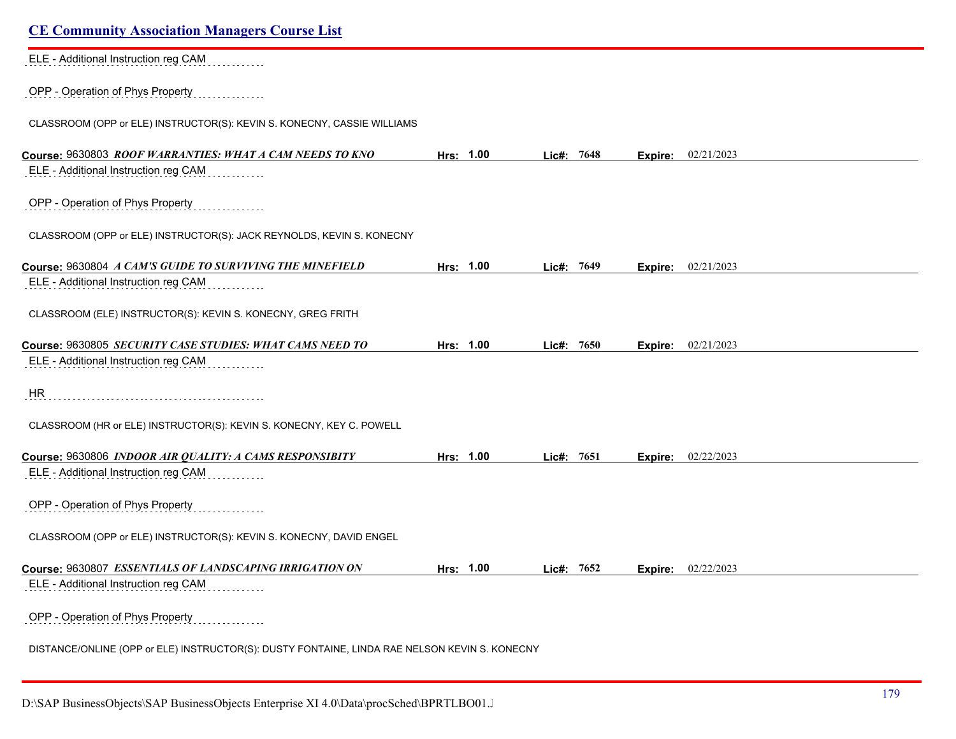| <b>CE Community Association Managers Course List</b>                                          |           |              |         |            |
|-----------------------------------------------------------------------------------------------|-----------|--------------|---------|------------|
| ELE - Additional Instruction reg CAM                                                          |           |              |         |            |
| OPP - Operation of Phys Property                                                              |           |              |         |            |
| CLASSROOM (OPP or ELE) INSTRUCTOR(S): KEVIN S. KONECNY, CASSIE WILLIAMS                       |           |              |         |            |
| Course: 9630803 ROOF WARRANTIES: WHAT A CAM NEEDS TO KNO                                      | Hrs: 1.00 | Lic#: 7648   | Expire: | 02/21/2023 |
| ELE - Additional Instruction reg CAM                                                          |           |              |         |            |
| OPP - Operation of Phys Property                                                              |           |              |         |            |
| CLASSROOM (OPP or ELE) INSTRUCTOR(S): JACK REYNOLDS, KEVIN S. KONECNY                         |           |              |         |            |
| Course: 9630804 A CAM'S GUIDE TO SURVIVING THE MINEFIELD                                      | Hrs: 1.00 | Lic#: $7649$ | Expire: | 02/21/2023 |
| ELE - Additional Instruction reg CAM                                                          |           |              |         |            |
| CLASSROOM (ELE) INSTRUCTOR(S): KEVIN S. KONECNY, GREG FRITH                                   |           |              |         |            |
| Course: 9630805 SECURITY CASE STUDIES: WHAT CAMS NEED TO                                      | Hrs: 1.00 | Lic#: 7650   | Expire: | 02/21/2023 |
| ELE - Additional Instruction reg CAM                                                          |           |              |         |            |
| HR                                                                                            |           |              |         |            |
| CLASSROOM (HR or ELE) INSTRUCTOR(S): KEVIN S. KONECNY, KEY C. POWELL                          |           |              |         |            |
| Course: 9630806 INDOOR AIR QUALITY: A CAMS RESPONSIBITY                                       | Hrs: 1.00 | Lic#: $7651$ | Expire: | 02/22/2023 |
| ELE - Additional Instruction reg CAM                                                          |           |              |         |            |
| OPP - Operation of Phys Property                                                              |           |              |         |            |
| CLASSROOM (OPP or ELE) INSTRUCTOR(S): KEVIN S. KONECNY, DAVID ENGEL                           |           |              |         |            |
| Course: 9630807 ESSENTIALS OF LANDSCAPING IRRIGATION ON                                       | Hrs: 1.00 | Lic#: 7652   | Expire: | 02/22/2023 |
| ELE - Additional Instruction reg CAM                                                          |           |              |         |            |
| OPP - Operation of Phys Property                                                              |           |              |         |            |
| DISTANCE/ONLINE (OPP or ELE) INSTRUCTOR(S): DUSTY FONTAINE, LINDA RAE NELSON KEVIN S. KONECNY |           |              |         |            |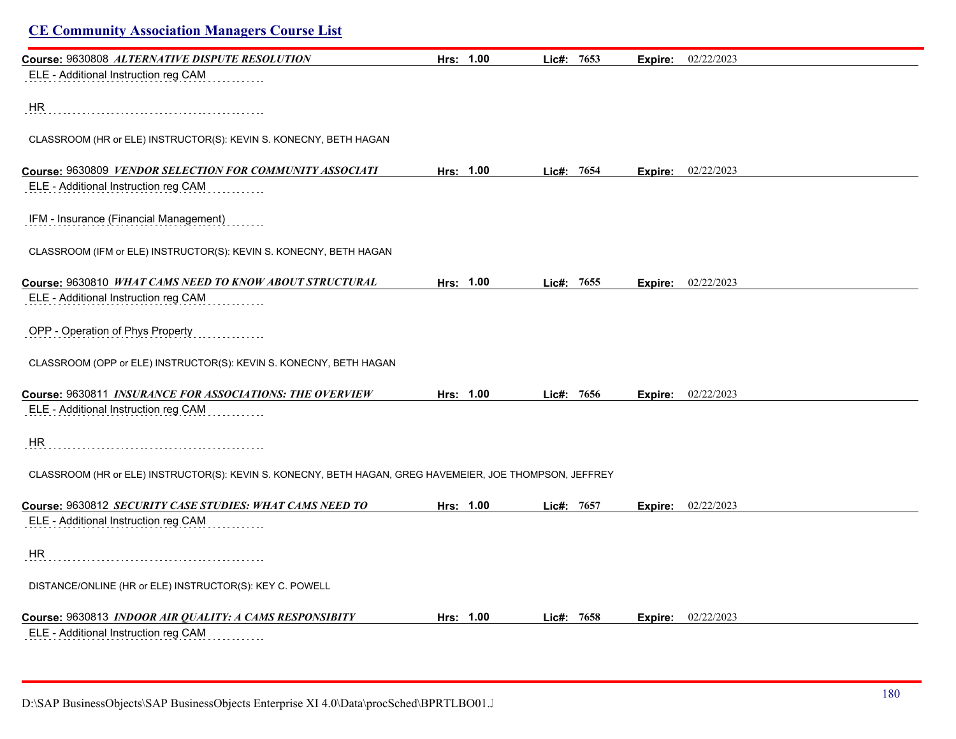| <b>CE Community Association Managers Course List</b>                                                     |           |              |            |                |                             |  |
|----------------------------------------------------------------------------------------------------------|-----------|--------------|------------|----------------|-----------------------------|--|
| Course: 9630808 ALTERNATIVE DISPUTE RESOLUTION                                                           | Hrs: 1.00 | Lic#: 7653   |            | <b>Expire:</b> | 02/22/2023                  |  |
| ELE - Additional Instruction reg CAM                                                                     |           |              |            |                |                             |  |
| HR                                                                                                       |           |              |            |                |                             |  |
| CLASSROOM (HR or ELE) INSTRUCTOR(S): KEVIN S. KONECNY, BETH HAGAN                                        |           |              |            |                |                             |  |
| Course: 9630809 VENDOR SELECTION FOR COMMUNITY ASSOCIATI                                                 | Hrs: 1.00 | Lic#: $7654$ |            |                | <b>Expire:</b> $02/22/2023$ |  |
| ELE - Additional Instruction reg CAM                                                                     |           |              |            |                |                             |  |
| IFM - Insurance (Financial Management)                                                                   |           |              |            |                |                             |  |
| CLASSROOM (IFM or ELE) INSTRUCTOR(S): KEVIN S. KONECNY, BETH HAGAN                                       |           |              |            |                |                             |  |
| Course: 9630810 WHAT CAMS NEED TO KNOW ABOUT STRUCTURAL                                                  | Hrs: 1.00 | Lic#: 7655   |            | Expire:        | 02/22/2023                  |  |
| ELE - Additional Instruction reg CAM                                                                     |           |              |            |                |                             |  |
| OPP - Operation of Phys Property                                                                         |           |              |            |                |                             |  |
| CLASSROOM (OPP or ELE) INSTRUCTOR(S): KEVIN S. KONECNY, BETH HAGAN                                       |           |              |            |                |                             |  |
| Course: 9630811 INSURANCE FOR ASSOCIATIONS: THE OVERVIEW                                                 | Hrs: 1.00 |              | Lic#: 7656 | Expire:        | 02/22/2023                  |  |
| ELE - Additional Instruction reg CAM                                                                     |           |              |            |                |                             |  |
| <b>HR</b>                                                                                                |           |              |            |                |                             |  |
| CLASSROOM (HR or ELE) INSTRUCTOR(S): KEVIN S. KONECNY, BETH HAGAN, GREG HAVEMEIER, JOE THOMPSON, JEFFREY |           |              |            |                |                             |  |
| Course: 9630812 SECURITY CASE STUDIES: WHAT CAMS NEED TO                                                 | Hrs: 1.00 | Lic#: 7657   |            | Expire:        | 02/22/2023                  |  |
| ELE - Additional Instruction reg CAM                                                                     |           |              |            |                |                             |  |
| HR                                                                                                       |           |              |            |                |                             |  |
| DISTANCE/ONLINE (HR or ELE) INSTRUCTOR(S): KEY C. POWELL                                                 |           |              |            |                |                             |  |
| Course: 9630813 INDOOR AIR QUALITY: A CAMS RESPONSIBITY                                                  | Hrs: 1.00 |              | Lic#: 7658 | Expire:        | 02/22/2023                  |  |
| ELE - Additional Instruction reg CAM                                                                     |           |              |            |                |                             |  |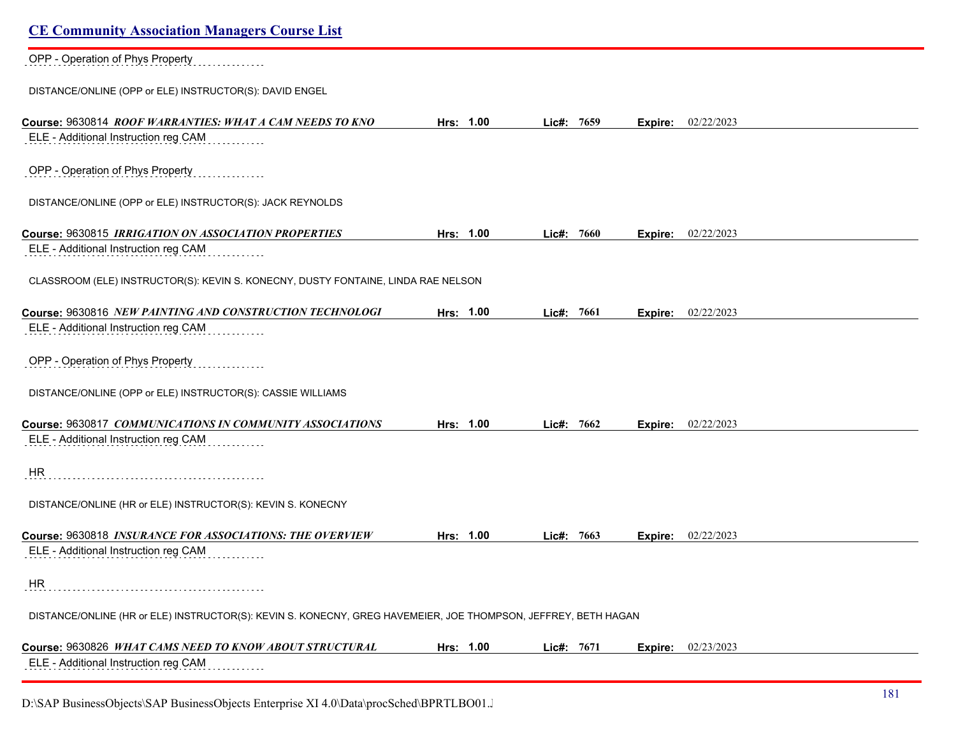# **CE Community Association Managers Course List** OPP - Operation of Phys Property DISTANCE/ONLINE (OPP or ELE) INSTRUCTOR(S): DAVID ENGEL **Course:** 9630814 *ROOF WARRANTIES: WHAT A CAM NEEDS TO KNO* **Hrs: 1.00 Lic#: 7659 Expire:** 02/22/2023 ELE - Additional Instruction reg CAM OPP - Operation of Phys Property DISTANCE/ONLINE (OPP or ELE) INSTRUCTOR(S): JACK REYNOLDS **Course:** 9630815 *IRRIGATION ON ASSOCIATION PROPERTIES* **Hrs: 1.00 Lic#: 7660 Expire:** 02/22/2023 ELE - Additional Instruction reg CAM CLASSROOM (ELE) INSTRUCTOR(S): KEVIN S. KONECNY, DUSTY FONTAINE, LINDA RAE NELSON **Course:** 9630816 *NEW PAINTING AND CONSTRUCTION TECHNOLOGI* **Hrs: 1.00 Lic#: 7661 Expire:** 02/22/2023 ELE - Additional Instruction reg CAM OPP - Operation of Phys Property DISTANCE/ONLINE (OPP or ELE) INSTRUCTOR(S): CASSIE WILLIAMS **Course:** 9630817 *COMMUNICATIONS IN COMMUNITY ASSOCIATIONS* **Hrs: 1.00 Lic#: 7662 Expire:** 02/22/2023 ELE - Additional Instruction reg CAM . . . . . . . . . . . HR DISTANCE/ONLINE (HR or ELE) INSTRUCTOR(S): KEVIN S. KONECNY **Course:** 9630818 *INSURANCE FOR ASSOCIATIONS: THE OVERVIEW* **Hrs: 1.00 Lic#: 7663 Expire:** 02/22/2023 ELE - Additional Instruction reg CAM HR DISTANCE/ONLINE (HR or ELE) INSTRUCTOR(S): KEVIN S. KONECNY, GREG HAVEMEIER, JOE THOMPSON, JEFFREY, BETH HAGAN **Course:** 9630826 *WHAT CAMS NEED TO KNOW ABOUT STRUCTURAL* **Hrs: 1.00 Lic#: 7671 Expire:** 02/23/2023 ELE - Additional Instruction reg CAM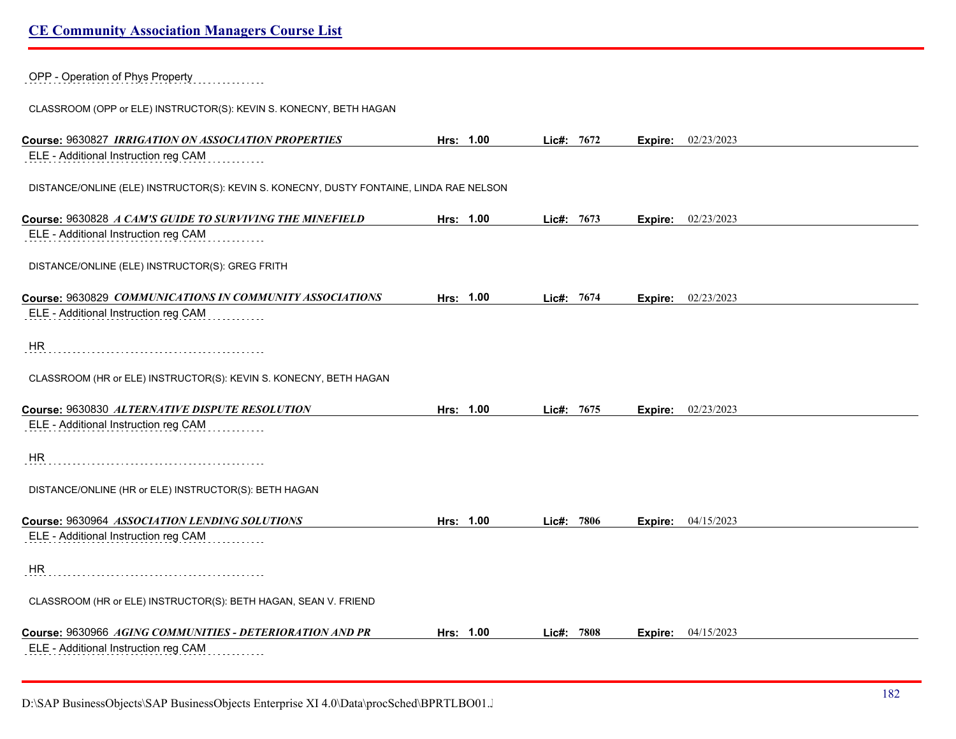OPP - Operation of Phys Property

CLASSROOM (OPP or ELE) INSTRUCTOR(S): KEVIN S. KONECNY, BETH HAGAN

| Course: 9630827 IRRIGATION ON ASSOCIATION PROPERTIES                                    | Hrs: 1.00 | Lic#: 7672 |      |         | Expire: 02/23/2023 |
|-----------------------------------------------------------------------------------------|-----------|------------|------|---------|--------------------|
| ELE - Additional Instruction reg CAM                                                    |           |            |      |         |                    |
| DISTANCE/ONLINE (ELE) INSTRUCTOR(S): KEVIN S. KONECNY, DUSTY FONTAINE, LINDA RAE NELSON |           |            |      |         |                    |
| Course: 9630828 A CAM'S GUIDE TO SURVIVING THE MINEFIELD                                | Hrs: 1.00 | $Lie#$ :   | 7673 | Expire: | 02/23/2023         |
| ELE - Additional Instruction reg CAM                                                    |           |            |      |         |                    |
| DISTANCE/ONLINE (ELE) INSTRUCTOR(S): GREG FRITH                                         |           |            |      |         |                    |
| Course: 9630829 COMMUNICATIONS IN COMMUNITY ASSOCIATIONS                                | Hrs: 1.00 | Lic#:      | 7674 | Expire: | 02/23/2023         |
| ELE - Additional Instruction reg CAM                                                    |           |            |      |         |                    |
| <b>HR</b>                                                                               |           |            |      |         |                    |
| CLASSROOM (HR or ELE) INSTRUCTOR(S): KEVIN S. KONECNY, BETH HAGAN                       |           |            |      |         |                    |
| Course: 9630830 ALTERNATIVE DISPUTE RESOLUTION                                          | Hrs: 1.00 | Lic#: 7675 |      | Expire: | 02/23/2023         |
| ELE - Additional Instruction reg CAM                                                    |           |            |      |         |                    |
| <b>HR</b>                                                                               |           |            |      |         |                    |
| DISTANCE/ONLINE (HR or ELE) INSTRUCTOR(S): BETH HAGAN                                   |           |            |      |         |                    |
| Course: 9630964 ASSOCIATION LENDING SOLUTIONS                                           | Hrs: 1.00 | Lic#: 7806 |      | Expire: | 04/15/2023         |
| ELE - Additional Instruction reg CAM                                                    |           |            |      |         |                    |
| <b>HR</b>                                                                               |           |            |      |         |                    |
| CLASSROOM (HR or ELE) INSTRUCTOR(S): BETH HAGAN, SEAN V. FRIEND                         |           |            |      |         |                    |
| Course: 9630966 AGING COMMUNITIES - DETERIORATION AND PR                                | Hrs: 1.00 | $Lie#$ :   | 7808 | Expire: | 04/15/2023         |
| ELE - Additional Instruction reg CAM                                                    |           |            |      |         |                    |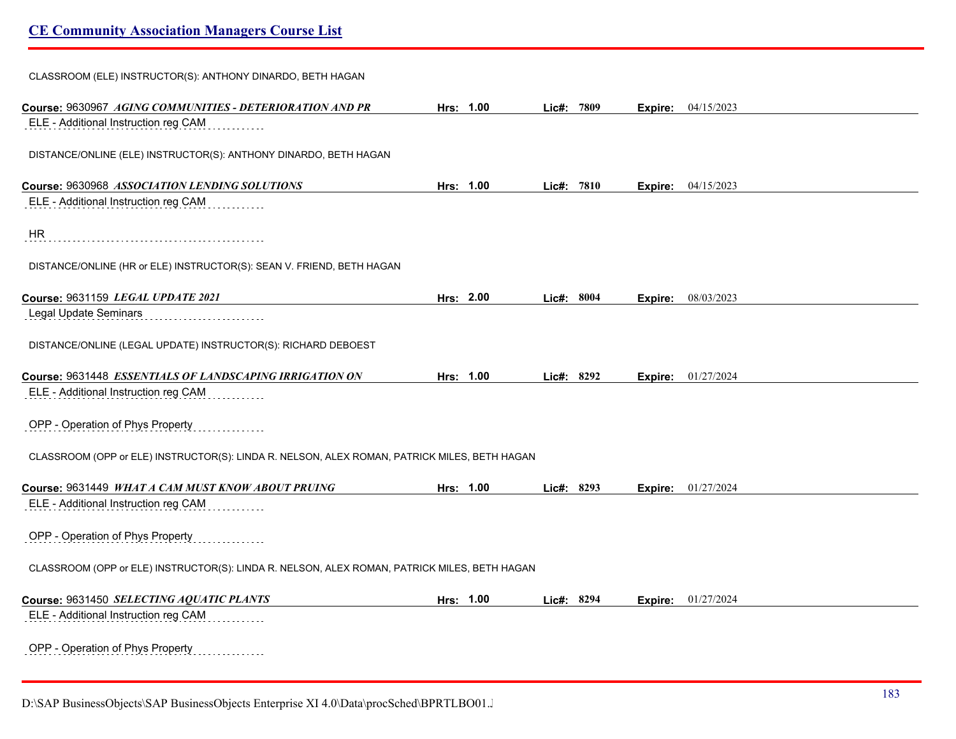| CLASSROOM (ELE) INSTRUCTOR(S): ANTHONY DINARDO, BETH HAGAN                                   |           |           |            |         |                           |
|----------------------------------------------------------------------------------------------|-----------|-----------|------------|---------|---------------------------|
| Course: 9630967 AGING COMMUNITIES - DETERIORATION AND PR                                     | Hrs: 1.00 |           | Lic#: 7809 |         | <b>Expire:</b> 04/15/2023 |
| ELE - Additional Instruction reg CAM                                                         |           |           |            |         |                           |
| DISTANCE/ONLINE (ELE) INSTRUCTOR(S): ANTHONY DINARDO, BETH HAGAN                             |           |           |            |         |                           |
| Course: 9630968 ASSOCIATION LENDING SOLUTIONS                                                |           | Hrs: 1.00 | Lic#: 7810 |         | <b>Expire:</b> 04/15/2023 |
| ELE - Additional Instruction reg CAM                                                         |           |           |            |         |                           |
| <b>HR</b>                                                                                    |           |           |            |         |                           |
| DISTANCE/ONLINE (HR or ELE) INSTRUCTOR(S): SEAN V. FRIEND, BETH HAGAN                        |           |           |            |         |                           |
| Course: 9631159 LEGAL UPDATE 2021                                                            |           | Hrs: 2.00 | Lic#: 8004 | Expire: | 08/03/2023                |
| Legal Update Seminars                                                                        |           |           |            |         |                           |
| DISTANCE/ONLINE (LEGAL UPDATE) INSTRUCTOR(S): RICHARD DEBOEST                                |           |           |            |         |                           |
| Course: 9631448 ESSENTIALS OF LANDSCAPING IRRIGATION ON                                      |           | Hrs: 1.00 | Lic#: 8292 |         | <b>Expire:</b> 01/27/2024 |
| ELE - Additional Instruction reg CAM                                                         |           |           |            |         |                           |
| OPP - Operation of Phys Property                                                             |           |           |            |         |                           |
| CLASSROOM (OPP or ELE) INSTRUCTOR(S): LINDA R. NELSON, ALEX ROMAN, PATRICK MILES, BETH HAGAN |           |           |            |         |                           |
| Course: 9631449 WHAT A CAM MUST KNOW ABOUT PRUING                                            | Hrs: 1.00 |           | Lic#: 8293 |         | <b>Expire:</b> 01/27/2024 |
| ELE - Additional Instruction reg CAM                                                         |           |           |            |         |                           |
| OPP - Operation of Phys Property                                                             |           |           |            |         |                           |
| CLASSROOM (OPP or ELE) INSTRUCTOR(S): LINDA R. NELSON, ALEX ROMAN, PATRICK MILES, BETH HAGAN |           |           |            |         |                           |
| Course: 9631450 SELECTING AQUATIC PLANTS                                                     | Hrs: 1.00 |           | Lic#: 8294 | Expire: | 01/27/2024                |
| ELE - Additional Instruction reg CAM                                                         |           |           |            |         |                           |
| OPP - Operation of Phys Property<br>.                                                        |           |           |            |         |                           |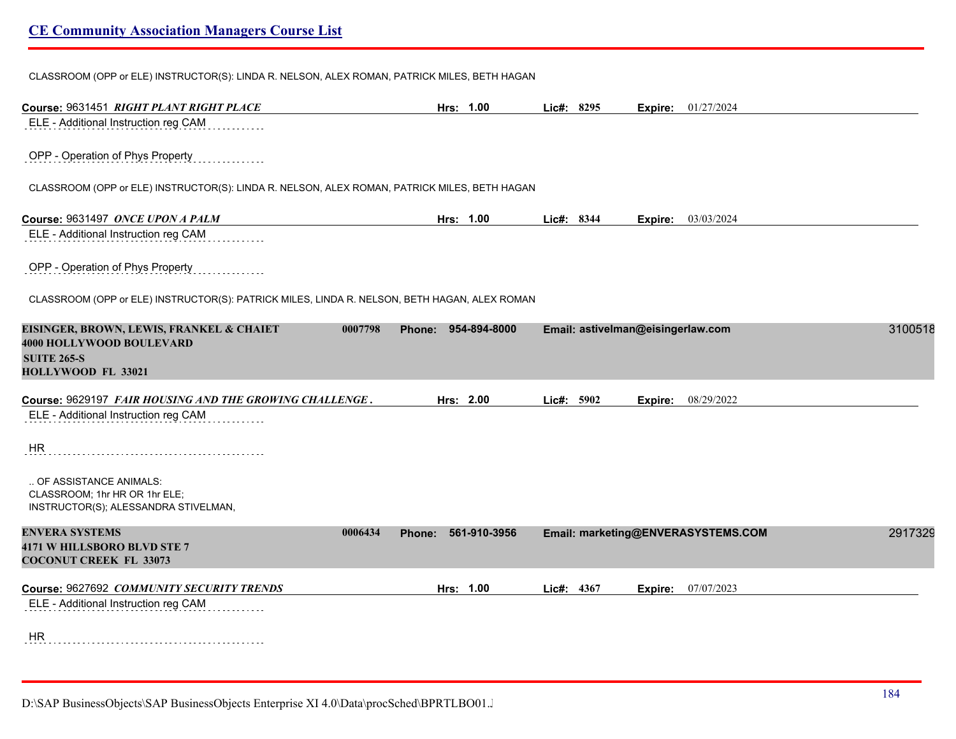CLASSROOM (OPP or ELE) INSTRUCTOR(S): LINDA R. NELSON, ALEX ROMAN, PATRICK MILES, BETH HAGAN

| Course: 9631451 RIGHT PLANT RIGHT PLACE                                                      | Hrs: 1.00           | Lic#: 8295 |                                   | Expire: | 01/27/2024                         |         |
|----------------------------------------------------------------------------------------------|---------------------|------------|-----------------------------------|---------|------------------------------------|---------|
| ELE - Additional Instruction reg CAM                                                         |                     |            |                                   |         |                                    |         |
| OPP - Operation of Phys Property                                                             |                     |            |                                   |         |                                    |         |
| CLASSROOM (OPP or ELE) INSTRUCTOR(S): LINDA R. NELSON, ALEX ROMAN, PATRICK MILES, BETH HAGAN |                     |            |                                   |         |                                    |         |
| Course: 9631497 ONCE UPON A PALM                                                             | Hrs: 1.00           | Lic#: 8344 |                                   |         | <b>Expire:</b> 03/03/2024          |         |
| ELE - Additional Instruction reg CAM                                                         |                     |            |                                   |         |                                    |         |
| OPP - Operation of Phys Property                                                             |                     |            |                                   |         |                                    |         |
| CLASSROOM (OPP or ELE) INSTRUCTOR(S): PATRICK MILES, LINDA R. NELSON, BETH HAGAN, ALEX ROMAN |                     |            |                                   |         |                                    |         |
| EISINGER, BROWN, LEWIS, FRANKEL & CHAIET<br>0007798                                          | Phone: 954-894-8000 |            | Email: astivelman@eisingerlaw.com |         |                                    | 3100518 |
| <b>4000 HOLLYWOOD BOULEVARD</b><br><b>SUITE 265-S</b>                                        |                     |            |                                   |         |                                    |         |
| HOLLYWOOD FL 33021                                                                           |                     |            |                                   |         |                                    |         |
| Course: 9629197 FAIR HOUSING AND THE GROWING CHALLENGE.                                      | Hrs: 2.00           | Lic#: 5902 |                                   | Expire: | 08/29/2022                         |         |
| ELE - Additional Instruction reg CAM                                                         |                     |            |                                   |         |                                    |         |
| HR                                                                                           |                     |            |                                   |         |                                    |         |
|                                                                                              |                     |            |                                   |         |                                    |         |
| OF ASSISTANCE ANIMALS:                                                                       |                     |            |                                   |         |                                    |         |
| CLASSROOM; 1hr HR OR 1hr ELE;<br>INSTRUCTOR(S); ALESSANDRA STIVELMAN,                        |                     |            |                                   |         |                                    |         |
| <b>ENVERA SYSTEMS</b><br>0006434                                                             | 561-910-3956        |            |                                   |         |                                    | 2917329 |
| 4171 W HILLSBORO BLVD STE 7                                                                  | Phone:              |            |                                   |         | Email: marketing@ENVERASYSTEMS.COM |         |
| <b>COCONUT CREEK FL 33073</b>                                                                |                     |            |                                   |         |                                    |         |
| Course: 9627692 COMMUNITY SECURITY TRENDS                                                    | Hrs: 1.00           | Lic#: 4367 |                                   | Expire: | 07/07/2023                         |         |
| ELE - Additional Instruction reg CAM                                                         |                     |            |                                   |         |                                    |         |
|                                                                                              |                     |            |                                   |         |                                    |         |
| <b>HR</b>                                                                                    |                     |            |                                   |         |                                    |         |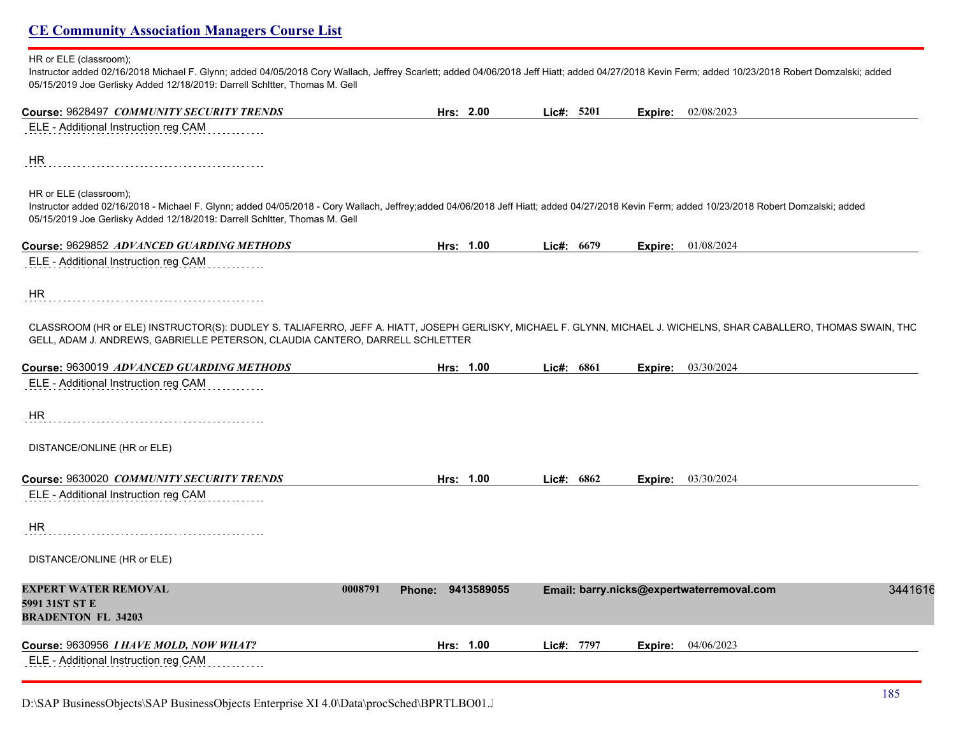### HR or ELE (classroom);

Instructor added 02/16/2018 Michael F. Glynn; added 04/05/2018 Cory Wallach, Jeffrey Scarlett; added 04/06/2018 Jeff Hiatt; added 04/27/2018 Kevin Ferm; added 10/23/2018 Robert Domzalski; added 05/15/2019 Joe Gerlisky Added 12/18/2019: Darrell Schltter, Thomas M. Gell

| Course: 9628497 COMMUNITY SECURITY TRENDS                                                                                                                                                                                                                                                           | Hrs: 2.00         | Lic#: 5201 | Expire: 02/08/2023                                   |
|-----------------------------------------------------------------------------------------------------------------------------------------------------------------------------------------------------------------------------------------------------------------------------------------------------|-------------------|------------|------------------------------------------------------|
| ELE - Additional Instruction reg CAM                                                                                                                                                                                                                                                                |                   |            |                                                      |
| HR                                                                                                                                                                                                                                                                                                  |                   |            |                                                      |
| HR or ELE (classroom);<br>Instructor added 02/16/2018 - Michael F. Glynn; added 04/05/2018 - Cory Wallach, Jeffrey;added 04/06/2018 Jeff Hiatt; added 04/27/2018 Kevin Ferm; added 10/23/2018 Robert Domzalski; added<br>05/15/2019 Joe Gerlisky Added 12/18/2019: Darrell Schltter, Thomas M. Gell |                   |            |                                                      |
| Course: 9629852 ADVANCED GUARDING METHODS                                                                                                                                                                                                                                                           | Hrs: 1.00         | Lic#: 6679 | <b>Expire:</b> 01/08/2024                            |
| ELE - Additional Instruction reg CAM                                                                                                                                                                                                                                                                |                   |            |                                                      |
| HR.                                                                                                                                                                                                                                                                                                 |                   |            |                                                      |
| CLASSROOM (HR or ELE) INSTRUCTOR(S): DUDLEY S. TALIAFERRO, JEFF A. HIATT, JOSEPH GERLISKY, MICHAEL F. GLYNN, MICHAEL J. WICHELNS, SHAR CABALLERO, THOMAS SWAIN, THC<br>GELL, ADAM J. ANDREWS, GABRIELLE PETERSON, CLAUDIA CANTERO, DARRELL SCHLETTER                                                |                   |            |                                                      |
| Course: 9630019 ADVANCED GUARDING METHODS                                                                                                                                                                                                                                                           | Hrs: 1.00         | Lic#: 6861 | <b>Expire:</b> 03/30/2024                            |
| ELE - Additional Instruction reg CAM                                                                                                                                                                                                                                                                |                   |            |                                                      |
| <b>HR</b>                                                                                                                                                                                                                                                                                           |                   |            |                                                      |
| DISTANCE/ONLINE (HR or ELE)                                                                                                                                                                                                                                                                         |                   |            |                                                      |
| Course: 9630020 COMMUNITY SECURITY TRENDS                                                                                                                                                                                                                                                           | Hrs: 1.00         | Lic#: 6862 | 03/30/2024<br>Expire:                                |
| ELE - Additional Instruction reg CAM                                                                                                                                                                                                                                                                |                   |            |                                                      |
| HR                                                                                                                                                                                                                                                                                                  |                   |            |                                                      |
| DISTANCE/ONLINE (HR or ELE)                                                                                                                                                                                                                                                                         |                   |            |                                                      |
| EXPERT WATER REMOVAL<br>0008791<br>5991 31ST ST E<br><b>BRADENTON FL 34203</b>                                                                                                                                                                                                                      | Phone: 9413589055 |            | Email: barry.nicks@expertwaterremoval.com<br>3441616 |
| Course: 9630956 I HAVE MOLD, NOW WHAT?                                                                                                                                                                                                                                                              | Hrs: 1.00         | Lic#: 7797 | 04/06/2023<br>Expire:                                |
| ELE - Additional Instruction reg CAM                                                                                                                                                                                                                                                                |                   |            |                                                      |

D:\SAP BusinessObjects\SAP BusinessObjects Enterprise XI 4.0\Data\procSched\BPRTLBO01.Jobserver2\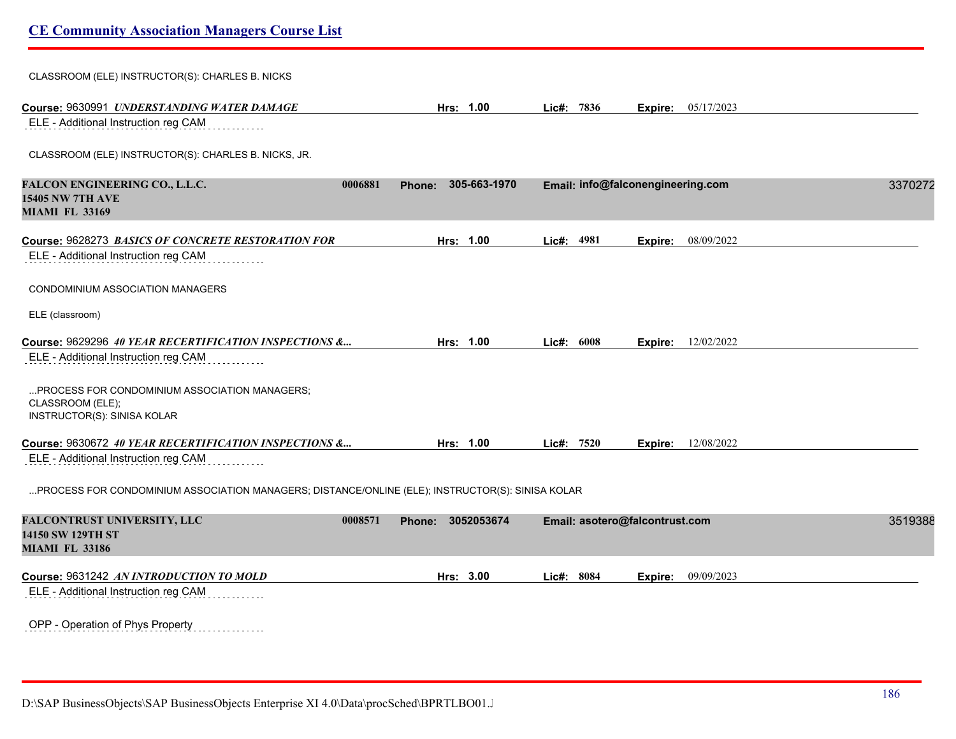# CLASSROOM (ELE) INSTRUCTOR(S): CHARLES B. NICKS **Course:** 9630991 *UNDERSTANDING WATER DAMAGE* **Hrs: 1.00 Lic#: 7836 Expire:** 05/17/2023 ELE - Additional Instruction reg CAM CLASSROOM (ELE) INSTRUCTOR(S): CHARLES B. NICKS, JR. **FALCON ENGINEERING CO., L.L.C. 0006881 Phone: 305-663-1970 Email: info@falconengineering.com** 33702723 **15405 NW 7TH AVE MIAMI FL 33169 Course:** 9628273 *BASICS OF CONCRETE RESTORATION FOR* **Hrs: 1.00 Lic#: 4981 Expire:** 08/09/2022 ELE - Additional Instruction reg CAM CONDOMINIUM ASSOCIATION MANAGERS ELE (classroom) **Course:** 9629296 *40 YEAR RECERTIFICATION INSPECTIONS &...* **Hrs: 1.00 Lic#: 6008 Expire:** 12/02/2022 ELE - Additional Instruction reg CAM ...PROCESS FOR CONDOMINIUM ASSOCIATION MANAGERS; CLASSROOM (ELE); INSTRUCTOR(S): SINISA KOLAR **Course:** 9630672 *40 YEAR RECERTIFICATION INSPECTIONS &...* **Hrs: 1.00 Lic#: 7520 Expire:** 12/08/2022 ELE - Additional Instruction reg CAM ...PROCESS FOR CONDOMINIUM ASSOCIATION MANAGERS; DISTANCE/ONLINE (ELE); INSTRUCTOR(S): SINISA KOLAR **FALCONTRUST UNIVERSITY, LLC 0008571 Phone: 3052053674 Email: asotero@falcontrust.com** 35193881 **14150 SW 129TH ST MIAMI FL 33186 Course:** 9631242 *AN INTRODUCTION TO MOLD* **Hrs: 3.00 Lic#: 8084 Expire:** 09/09/2023 ELE - Additional Instruction reg CAM OPP - Operation of Phys Property

D:\SAP BusinessObjects\SAP BusinessObjects Enterprise XI 4.0\Data\procSched\BPRTLBO01.Jobserver2\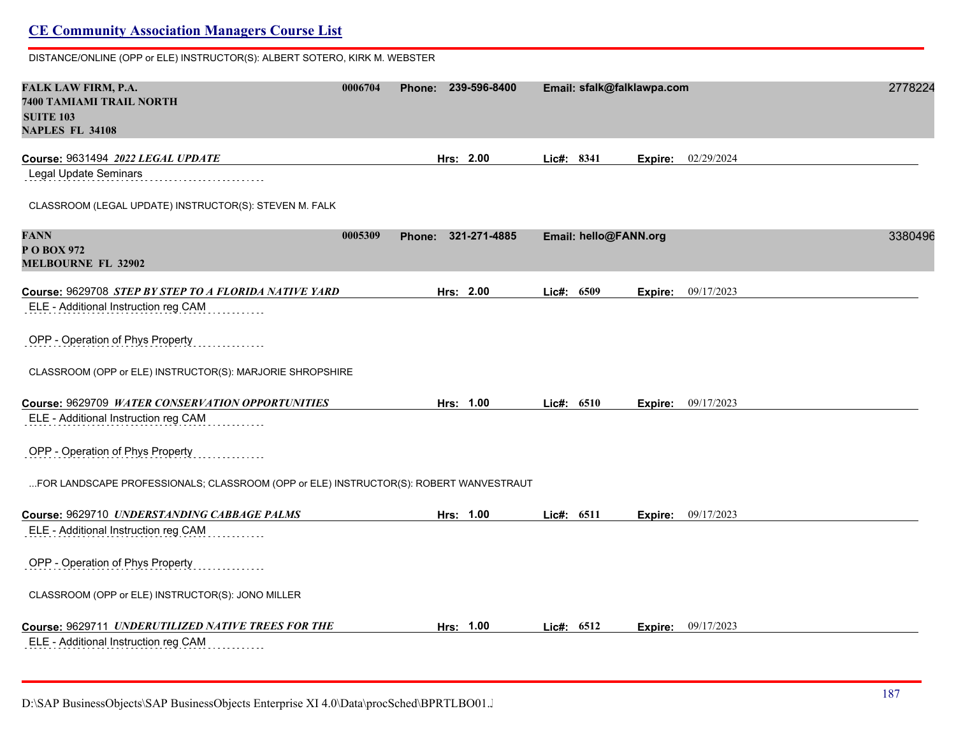DISTANCE/ONLINE (OPP or ELE) INSTRUCTOR(S): ALBERT SOTERO, KIRK M. WEBSTER **FALK LAW FIRM, P.A. 0006704 Phone: 239-596-8400 Email: sfalk@falklawpa.com** 27782249 **7400 TAMIAMI TRAIL NORTH SUITE 103 NAPLES FL 34108 Course:** 9631494 *2022 LEGAL UPDATE* **Hrs: 2.00 Lic#: 8341 Expire:** 02/29/2024 Legal Update Seminars CLASSROOM (LEGAL UPDATE) INSTRUCTOR(S): STEVEN M. FALK **FANN 0005309 Phone: 321-271-4885 Email: hello@FANN.org** 33804965 **P O BOX 972 MELBOURNE FL 32902 Course:** 9629708 *STEP BY STEP TO A FLORIDA NATIVE YARD* **Hrs: 2.00 Lic#: 6509 Expire:** 09/17/2023 ELE - Additional Instruction reg CAM OPP - Operation of Phys Property CLASSROOM (OPP or ELE) INSTRUCTOR(S): MARJORIE SHROPSHIRE **Course:** 9629709 *WATER CONSERVATION OPPORTUNITIES* **Hrs: 1.00 Lic#: 6510 Expire:** 09/17/2023 ELE - Additional Instruction reg CAM OPP - Operation of Phys Property ...FOR LANDSCAPE PROFESSIONALS; CLASSROOM (OPP or ELE) INSTRUCTOR(S): ROBERT WANVESTRAUT **Course:** 9629710 *UNDERSTANDING CABBAGE PALMS* **Hrs: 1.00 Lic#: 6511 Expire:** 09/17/2023 ELE - Additional Instruction reg CAM OPP - Operation of Phys Property CLASSROOM (OPP or ELE) INSTRUCTOR(S): JONO MILLER **Course:** 9629711 *UNDERUTILIZED NATIVE TREES FOR THE* **Hrs: 1.00 Lic#: 6512 Expire:** 09/17/2023 ELE - Additional Instruction reg CAM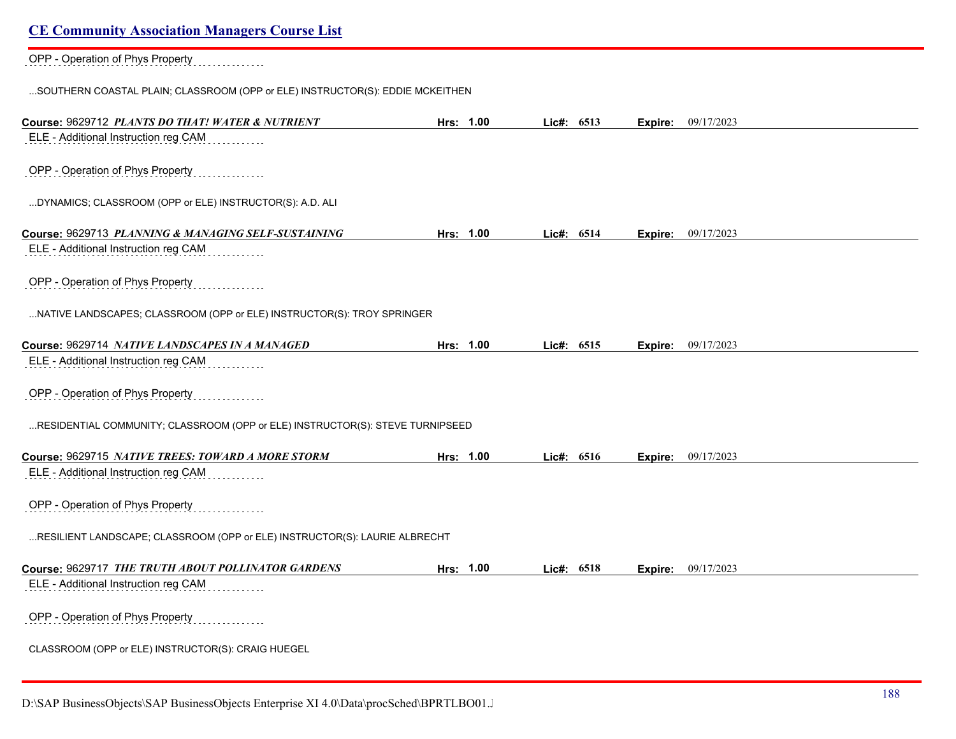# OPP - Operation of Phys Property

...SOUTHERN COASTAL PLAIN; CLASSROOM (OPP or ELE) INSTRUCTOR(S): EDDIE MCKEITHEN

| Course: 9629712 PLANTS DO THAT! WATER & NUTRIENT                                       | Hrs: 1.00 | Lic#: 6513 |         | <b>Expire:</b> 09/17/2023 |
|----------------------------------------------------------------------------------------|-----------|------------|---------|---------------------------|
| ELE - Additional Instruction reg CAM                                                   |           |            |         |                           |
|                                                                                        |           |            |         |                           |
| OPP - Operation of Phys Property                                                       |           |            |         |                           |
|                                                                                        |           |            |         |                           |
| DYNAMICS; CLASSROOM (OPP or ELE) INSTRUCTOR(S): A.D. ALI                               |           |            |         |                           |
| Course: 9629713 PLANNING & MANAGING SELF-SUSTAINING                                    | Hrs: 1.00 | Lic#: 6514 | Expire: | 09/17/2023                |
| ELE - Additional Instruction reg CAM                                                   |           |            |         |                           |
|                                                                                        |           |            |         |                           |
| OPP - Operation of Phys Property                                                       |           |            |         |                           |
|                                                                                        |           |            |         |                           |
| NATIVE LANDSCAPES; CLASSROOM (OPP or ELE) INSTRUCTOR(S): TROY SPRINGER                 |           |            |         |                           |
|                                                                                        |           |            |         |                           |
| Course: 9629714 NATIVE LANDSCAPES IN A MANAGED<br>ELE - Additional Instruction reg CAM | Hrs: 1.00 | Lic#: 6515 |         | Expire: 09/17/2023        |
|                                                                                        |           |            |         |                           |
| OPP - Operation of Phys Property                                                       |           |            |         |                           |
|                                                                                        |           |            |         |                           |
| RESIDENTIAL COMMUNITY; CLASSROOM (OPP or ELE) INSTRUCTOR(S): STEVE TURNIPSEED          |           |            |         |                           |
|                                                                                        |           |            |         |                           |
| Course: 9629715 NATIVE TREES: TOWARD A MORE STORM                                      | Hrs: 1.00 | Lic#: 6516 |         | <b>Expire:</b> 09/17/2023 |
| ELE - Additional Instruction reg CAM                                                   |           |            |         |                           |
|                                                                                        |           |            |         |                           |
| OPP - Operation of Phys Property                                                       |           |            |         |                           |
| RESILIENT LANDSCAPE; CLASSROOM (OPP or ELE) INSTRUCTOR(S): LAURIE ALBRECHT             |           |            |         |                           |
|                                                                                        |           |            |         |                           |
| Course: 9629717 THE TRUTH ABOUT POLLINATOR GARDENS                                     | Hrs: 1.00 | Lic#: 6518 | Expire: | 09/17/2023                |
| ELE - Additional Instruction reg CAM                                                   |           |            |         |                           |
|                                                                                        |           |            |         |                           |
| OPP - Operation of Phys Property                                                       |           |            |         |                           |
|                                                                                        |           |            |         |                           |
| CLASSROOM (OPP or ELE) INSTRUCTOR(S): CRAIG HUEGEL                                     |           |            |         |                           |
|                                                                                        |           |            |         |                           |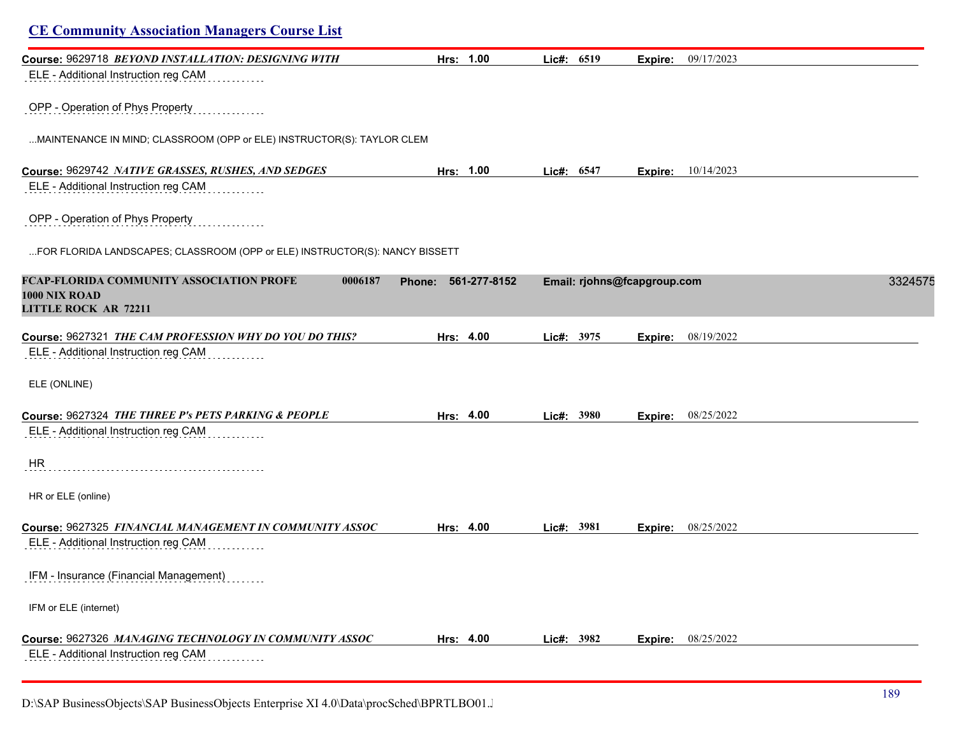| <b>CE Community Association Managers Course List</b>                                                |                        |            |                             |         |
|-----------------------------------------------------------------------------------------------------|------------------------|------------|-----------------------------|---------|
| Course: 9629718 BEYOND INSTALLATION: DESIGNING WITH<br>ELE - Additional Instruction reg CAM         | Hrs: 1.00              | Lic#: 6519 | 09/17/2023<br>Expire:       |         |
| OPP - Operation of Phys Property                                                                    |                        |            |                             |         |
| MAINTENANCE IN MIND; CLASSROOM (OPP or ELE) INSTRUCTOR(S): TAYLOR CLEM                              |                        |            |                             |         |
| Course: 9629742 NATIVE GRASSES, RUSHES, AND SEDGES                                                  | Hrs: 1.00              | Lic#: 6547 | 10/14/2023<br>Expire:       |         |
| ELE - Additional Instruction reg CAM                                                                |                        |            |                             |         |
| OPP - Operation of Phys Property                                                                    |                        |            |                             |         |
| FOR FLORIDA LANDSCAPES; CLASSROOM (OPP or ELE) INSTRUCTOR(S): NANCY BISSETT                         |                        |            |                             |         |
| FCAP-FLORIDA COMMUNITY ASSOCIATION PROFE<br>0006187<br>1000 NIX ROAD<br><b>LITTLE ROCK AR 72211</b> | 561-277-8152<br>Phone: |            | Email: rjohns@fcapgroup.com | 3324575 |
| Course: 9627321 THE CAM PROFESSION WHY DO YOU DO THIS?<br>ELE - Additional Instruction reg CAM      | Hrs: 4.00              | Lic#: 3975 | 08/19/2022<br>Expire:       |         |
| ELE (ONLINE)                                                                                        |                        |            |                             |         |
| Course: 9627324 THE THREE P's PETS PARKING & PEOPLE<br>ELE - Additional Instruction reg CAM         | Hrs: 4.00              | Lic#: 3980 | 08/25/2022<br>Expire:       |         |
| <b>HR</b>                                                                                           |                        |            |                             |         |
| HR or ELE (online)                                                                                  |                        |            |                             |         |
| Course: 9627325 FINANCIAL MANAGEMENT IN COMMUNITY ASSOC<br>ELE - Additional Instruction reg CAM     | Hrs: 4.00              | Lic#: 3981 | <b>Expire:</b> 08/25/2022   |         |
| IFM - Insurance (Financial Management)                                                              |                        |            |                             |         |
| IFM or ELE (internet)                                                                               |                        |            |                             |         |
| Course: 9627326 MANAGING TECHNOLOGY IN COMMUNITY ASSOC                                              | Hrs: 4.00              | Lic#: 3982 | <b>Expire:</b> 08/25/2022   |         |
| ELE - Additional Instruction reg CAM                                                                |                        |            |                             |         |

D:\SAP BusinessObjects\SAP BusinessObjects Enterprise XI 4.0\Data\procSched\BPRTLBO01.Jobserver2\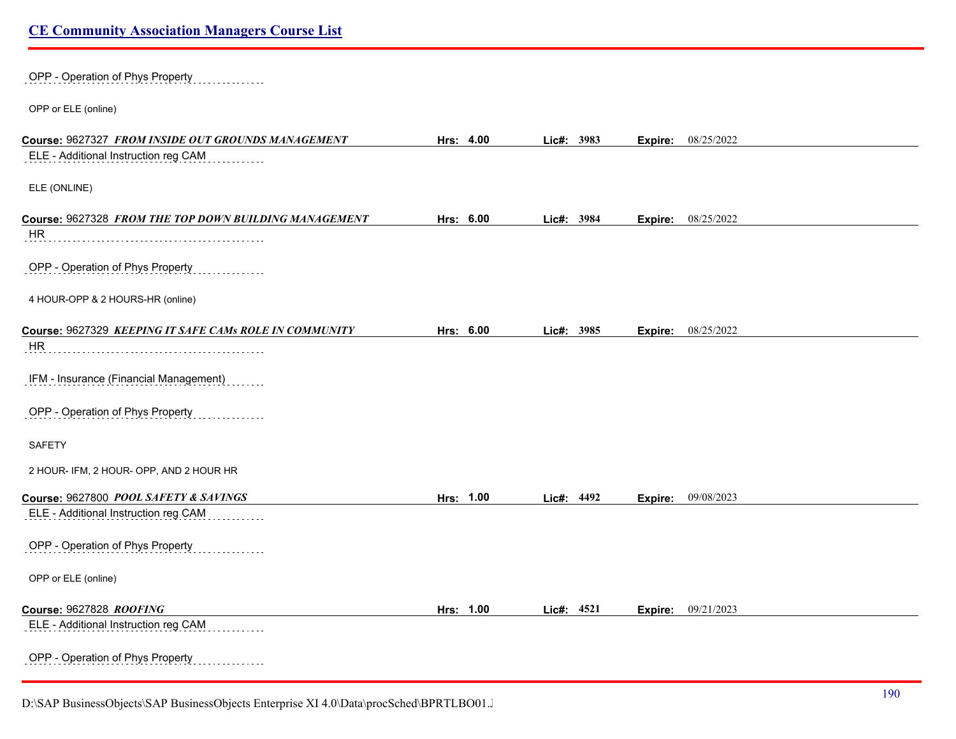|  | <b>CE Community Association Managers Course List</b> |  |
|--|------------------------------------------------------|--|
|  |                                                      |  |

| OPP - Operation of Phys Property                                                           |           |            |            |         |                           |  |
|--------------------------------------------------------------------------------------------|-----------|------------|------------|---------|---------------------------|--|
| OPP or ELE (online)                                                                        |           |            |            |         |                           |  |
| Course: 9627327 FROM INSIDE OUT GROUNDS MANAGEMENT<br>ELE - Additional Instruction reg CAM | Hrs: 4.00 | Lic#: 3983 |            |         | <b>Expire:</b> 08/25/2022 |  |
| ELE (ONLINE)                                                                               |           |            |            |         |                           |  |
| Course: 9627328 FROM THE TOP DOWN BUILDING MANAGEMENT<br><b>HR</b>                         | Hrs: 6.00 |            | Lic#: 3984 |         | <b>Expire:</b> 08/25/2022 |  |
| OPP - Operation of Phys Property                                                           |           |            |            |         |                           |  |
| 4 HOUR-OPP & 2 HOURS-HR (online)                                                           |           |            |            |         |                           |  |
| Course: 9627329 KEEPING IT SAFE CAMs ROLE IN COMMUNITY<br>HR                               | Hrs: 6.00 |            | Lic#: 3985 | Expire: | 08/25/2022                |  |
| IFM - Insurance (Financial Management)                                                     |           |            |            |         |                           |  |
| OPP - Operation of Phys Property                                                           |           |            |            |         |                           |  |
| <b>SAFETY</b>                                                                              |           |            |            |         |                           |  |
| 2 HOUR- IFM, 2 HOUR- OPP, AND 2 HOUR HR                                                    |           |            |            |         |                           |  |
| Course: 9627800 POOL SAFETY & SAVINGS<br>ELE - Additional Instruction reg CAM              | Hrs: 1.00 |            | Lic#: 4492 |         | <b>Expire:</b> 09/08/2023 |  |
| OPP - Operation of Phys Property                                                           |           |            |            |         |                           |  |
| OPP or ELE (online)                                                                        |           |            |            |         |                           |  |
| Course: 9627828 ROOFING<br>ELE - Additional Instruction reg CAM                            | Hrs: 1.00 |            | Lic#: 4521 |         | <b>Expire:</b> 09/21/2023 |  |
| OPP - Operation of Phys Property                                                           |           |            |            |         |                           |  |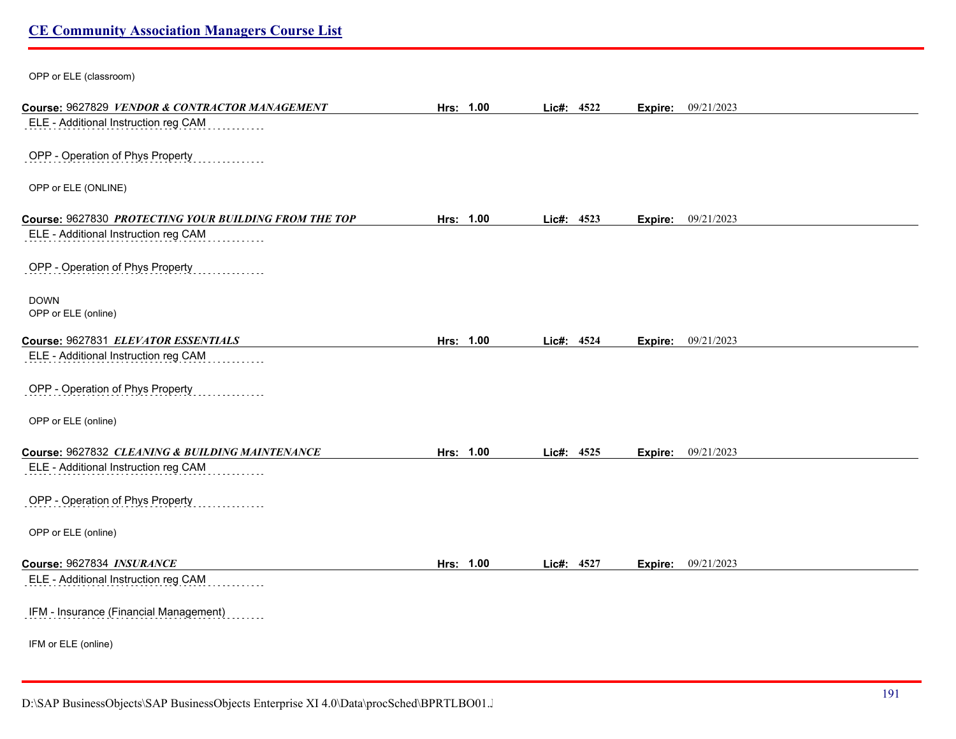OPP or ELE (classroom)

| Course: 9627829 VENDOR & CONTRACTOR MANAGEMENT        | Hrs: 1.00 | Lic#: 4522 |      | Expire:        | 09/21/2023 |
|-------------------------------------------------------|-----------|------------|------|----------------|------------|
| ELE - Additional Instruction reg CAM                  |           |            |      |                |            |
| OPP - Operation of Phys Property                      |           |            |      |                |            |
|                                                       |           |            |      |                |            |
| OPP or ELE (ONLINE)                                   |           |            |      |                |            |
| Course: 9627830 PROTECTING YOUR BUILDING FROM THE TOP | Hrs: 1.00 | Lic#: 4523 |      | Expire:        | 09/21/2023 |
| ELE - Additional Instruction reg CAM                  |           |            |      |                |            |
|                                                       |           |            |      |                |            |
| OPP - Operation of Phys Property                      |           |            |      |                |            |
|                                                       |           |            |      |                |            |
| <b>DOWN</b><br>OPP or ELE (online)                    |           |            |      |                |            |
|                                                       |           |            |      |                |            |
| Course: 9627831 ELEVATOR ESSENTIALS                   | Hrs: 1.00 | Lic#:      | 4524 | <b>Expire:</b> | 09/21/2023 |
| ELE - Additional Instruction reg CAM                  |           |            |      |                |            |
| OPP - Operation of Phys Property                      |           |            |      |                |            |
|                                                       |           |            |      |                |            |
| OPP or ELE (online)                                   |           |            |      |                |            |
| Course: 9627832 CLEANING & BUILDING MAINTENANCE       | Hrs: 1.00 | Lic#: 4525 |      |                | 09/21/2023 |
| ELE - Additional Instruction reg CAM                  |           |            |      | Expire:        |            |
|                                                       |           |            |      |                |            |
| OPP - Operation of Phys Property                      |           |            |      |                |            |
|                                                       |           |            |      |                |            |
| OPP or ELE (online)                                   |           |            |      |                |            |
| Course: 9627834 INSURANCE                             | Hrs: 1.00 | Lic#: 4527 |      | Expire:        | 09/21/2023 |
| ELE - Additional Instruction reg CAM                  |           |            |      |                |            |
|                                                       |           |            |      |                |            |
| IFM - Insurance (Financial Management)                |           |            |      |                |            |
| IFM or ELE (online)                                   |           |            |      |                |            |
|                                                       |           |            |      |                |            |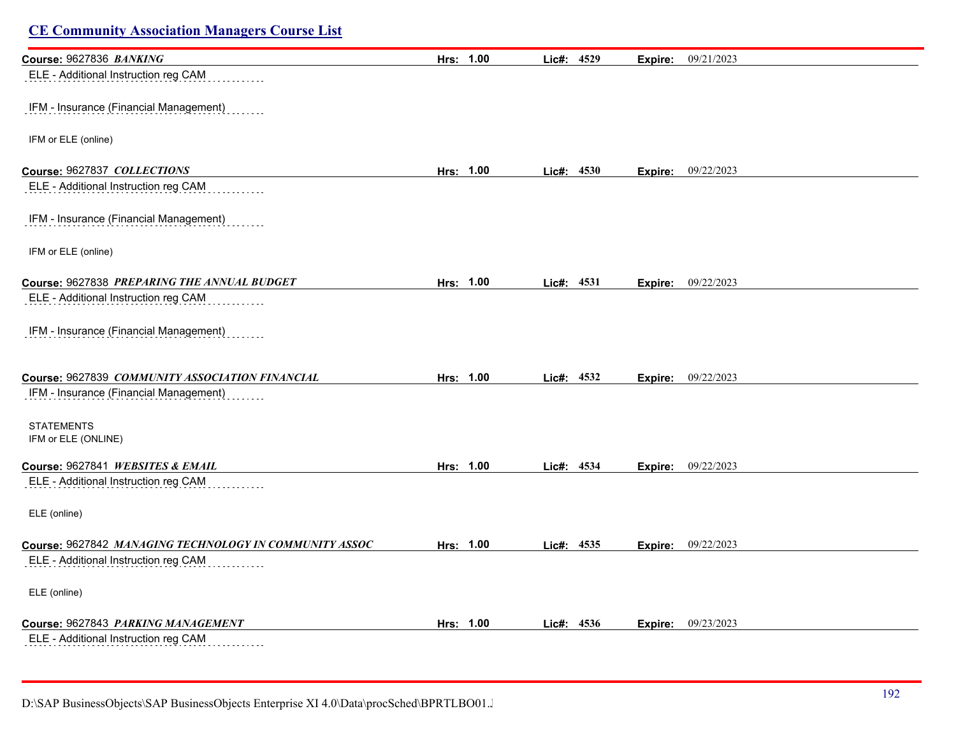| Course: 9627836 BANKING                                | Hrs: 1.00 | Lic#: 4529 | 09/21/2023<br>Expire:     |  |
|--------------------------------------------------------|-----------|------------|---------------------------|--|
| ELE - Additional Instruction reg CAM                   |           |            |                           |  |
| IFM - Insurance (Financial Management)                 |           |            |                           |  |
| IFM or ELE (online)                                    |           |            |                           |  |
| Course: 9627837 COLLECTIONS                            | Hrs: 1.00 | Lic#: 4530 | 09/22/2023<br>Expire:     |  |
| ELE - Additional Instruction reg CAM                   |           |            |                           |  |
| IFM - Insurance (Financial Management)                 |           |            |                           |  |
| IFM or ELE (online)                                    |           |            |                           |  |
| Course: 9627838 PREPARING THE ANNUAL BUDGET            | Hrs: 1.00 | Lic#: 4531 | 09/22/2023<br>Expire:     |  |
| ELE - Additional Instruction reg CAM                   |           |            |                           |  |
| IFM - Insurance (Financial Management)                 |           |            |                           |  |
| Course: 9627839 COMMUNITY ASSOCIATION FINANCIAL        | Hrs: 1.00 | Lic#: 4532 | <b>Expire:</b> 09/22/2023 |  |
| IFM - Insurance (Financial Management)                 |           |            |                           |  |
| <b>STATEMENTS</b><br>IFM or ELE (ONLINE)               |           |            |                           |  |
| Course: 9627841 WEBSITES & EMAIL                       | Hrs: 1.00 | Lic#: 4534 | 09/22/2023<br>Expire:     |  |
| ELE - Additional Instruction reg CAM                   |           |            |                           |  |
| ELE (online)                                           |           |            |                           |  |
| Course: 9627842 MANAGING TECHNOLOGY IN COMMUNITY ASSOC | Hrs: 1.00 | Lic#: 4535 | 09/22/2023<br>Expire:     |  |
| ELE - Additional Instruction reg CAM                   |           |            |                           |  |
| ELE (online)                                           |           |            |                           |  |
| Course: 9627843 PARKING MANAGEMENT                     | Hrs: 1.00 | Lic#: 4536 | 09/23/2023<br>Expire:     |  |
| ELE - Additional Instruction reg CAM                   |           |            |                           |  |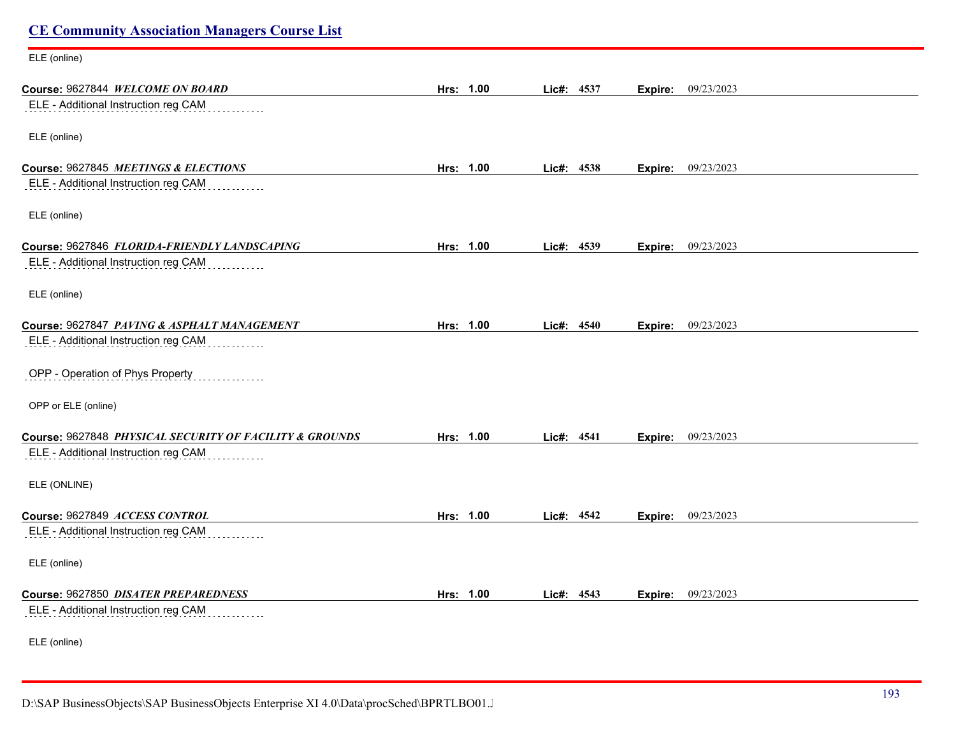| <b>CE Community Association Managers Course List</b>    |           |            |                       |  |
|---------------------------------------------------------|-----------|------------|-----------------------|--|
| ELE (online)                                            |           |            |                       |  |
| Course: 9627844 WELCOME ON BOARD                        | Hrs: 1.00 | Lic#: 4537 | 09/23/2023<br>Expire: |  |
| ELE - Additional Instruction reg CAM                    |           |            |                       |  |
| ELE (online)                                            |           |            |                       |  |
| Course: 9627845 MEETINGS & ELECTIONS                    | Hrs: 1.00 | Lic#: 4538 | 09/23/2023<br>Expire: |  |
| ELE - Additional Instruction reg CAM                    |           |            |                       |  |
| ELE (online)                                            |           |            |                       |  |
| Course: 9627846 FLORIDA-FRIENDLY LANDSCAPING            | Hrs: 1.00 | Lic#: 4539 | 09/23/2023<br>Expire: |  |
| ELE - Additional Instruction reg CAM                    |           |            |                       |  |
| ELE (online)                                            |           |            |                       |  |
| Course: 9627847 PAVING & ASPHALT MANAGEMENT             | Hrs: 1.00 | Lic#: 4540 | 09/23/2023<br>Expire: |  |
| ELE - Additional Instruction reg CAM                    |           |            |                       |  |
| OPP - Operation of Phys Property                        |           |            |                       |  |
| OPP or ELE (online)                                     |           |            |                       |  |
| Course: 9627848 PHYSICAL SECURITY OF FACILITY & GROUNDS | Hrs: 1.00 | Lie#: 4541 | 09/23/2023<br>Expire: |  |
| ELE - Additional Instruction reg CAM                    |           |            |                       |  |
| ELE (ONLINE)                                            |           |            |                       |  |
| Course: 9627849 ACCESS CONTROL                          | Hrs: 1.00 | Lic#: 4542 | 09/23/2023<br>Expire: |  |
| ELE - Additional Instruction reg CAM                    |           |            |                       |  |
| ELE (online)                                            |           |            |                       |  |
| Course: 9627850 DISATER PREPAREDNESS                    | Hrs: 1.00 | Lic#: 4543 | 09/23/2023<br>Expire: |  |
| ELE - Additional Instruction reg CAM                    |           |            |                       |  |
| ELE (online)                                            |           |            |                       |  |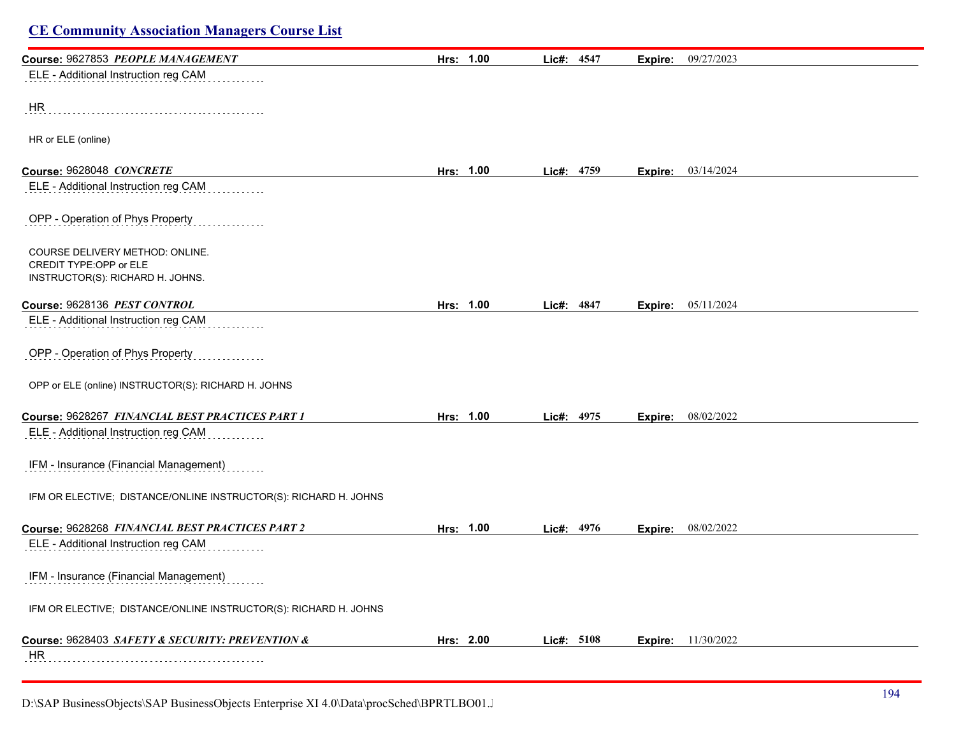| Course: 9627853 PEOPLE MANAGEMENT                                | Hrs: 1.00 | Lic#: 4547   | Expire: | 09/27/2023                  |
|------------------------------------------------------------------|-----------|--------------|---------|-----------------------------|
| ELE - Additional Instruction reg CAM                             |           |              |         |                             |
|                                                                  |           |              |         |                             |
| HR                                                               |           |              |         |                             |
|                                                                  |           |              |         |                             |
| HR or ELE (online)                                               |           |              |         |                             |
| Course: 9628048 CONCRETE                                         | Hrs: 1.00 | Lic#: 4759   |         | <b>Expire:</b> $03/14/2024$ |
| ELE - Additional Instruction reg CAM                             |           |              |         |                             |
| OPP - Operation of Phys Property                                 |           |              |         |                             |
| COURSE DELIVERY METHOD: ONLINE.                                  |           |              |         |                             |
| CREDIT TYPE:OPP or ELE<br>INSTRUCTOR(S): RICHARD H. JOHNS.       |           |              |         |                             |
|                                                                  |           |              |         |                             |
| Course: 9628136 PEST CONTROL                                     | Hrs: 1.00 | Lic#: 4847   |         | <b>Expire:</b> 05/11/2024   |
| ELE - Additional Instruction reg CAM                             |           |              |         |                             |
| OPP - Operation of Phys Property                                 |           |              |         |                             |
| OPP or ELE (online) INSTRUCTOR(S): RICHARD H. JOHNS              |           |              |         |                             |
| Course: 9628267 FINANCIAL BEST PRACTICES PART 1                  | Hrs: 1.00 | Lic#: 4975   | Expire: | 08/02/2022                  |
| ELE - Additional Instruction reg CAM                             |           |              |         |                             |
| IFM - Insurance (Financial Management)                           |           |              |         |                             |
| IFM OR ELECTIVE; DISTANCE/ONLINE INSTRUCTOR(S): RICHARD H. JOHNS |           |              |         |                             |
| Course: 9628268 FINANCIAL BEST PRACTICES PART 2                  | Hrs: 1.00 | Lic#: 4976   |         | <b>Expire:</b> 08/02/2022   |
| ELE - Additional Instruction reg CAM                             |           |              |         |                             |
|                                                                  |           |              |         |                             |
| IFM - Insurance (Financial Management)                           |           |              |         |                             |
| IFM OR ELECTIVE; DISTANCE/ONLINE INSTRUCTOR(S): RICHARD H. JOHNS |           |              |         |                             |
| Course: 9628403 SAFETY & SECURITY: PREVENTION &                  | Hrs: 2.00 | Lic#: $5108$ |         | <b>Expire:</b> 11/30/2022   |
| <b>HR</b>                                                        |           |              |         |                             |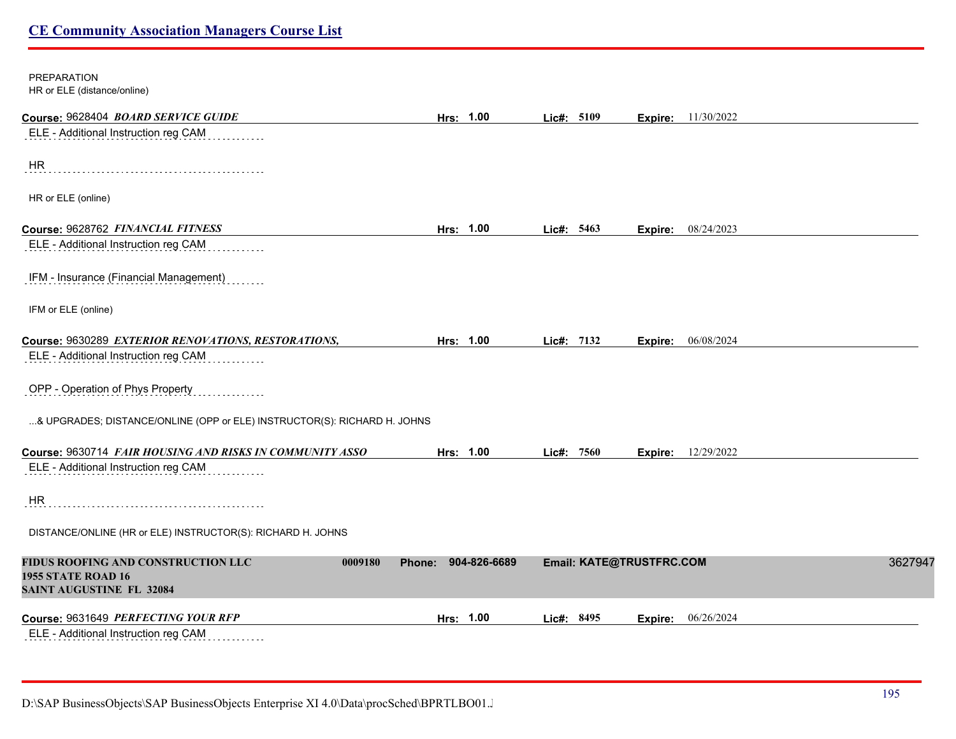### PREPARATION HR or ELE (distance/online)

| Course: 9628404 BOARD SERVICE GUIDE                                                                           | Hrs: 1.00              | Lic#: 5109               | 11/30/2022<br>Expire: |         |
|---------------------------------------------------------------------------------------------------------------|------------------------|--------------------------|-----------------------|---------|
| ELE - Additional Instruction reg CAM                                                                          |                        |                          |                       |         |
| HR                                                                                                            |                        |                          |                       |         |
| HR or ELE (online)                                                                                            |                        |                          |                       |         |
| Course: 9628762 FINANCIAL FITNESS                                                                             | Hrs: 1.00              | Lic#: 5463               | 08/24/2023<br>Expire: |         |
| ELE - Additional Instruction reg CAM                                                                          |                        |                          |                       |         |
| IFM - Insurance (Financial Management)                                                                        |                        |                          |                       |         |
| IFM or ELE (online)                                                                                           |                        |                          |                       |         |
| Course: 9630289 EXTERIOR RENOVATIONS, RESTORATIONS,                                                           | Hrs: 1.00              | Lic#: 7132               | 06/08/2024<br>Expire: |         |
| ELE - Additional Instruction reg CAM                                                                          |                        |                          |                       |         |
| OPP - Operation of Phys Property                                                                              |                        |                          |                       |         |
| & UPGRADES; DISTANCE/ONLINE (OPP or ELE) INSTRUCTOR(S): RICHARD H. JOHNS                                      |                        |                          |                       |         |
| Course: 9630714 FAIR HOUSING AND RISKS IN COMMUNITY ASSO                                                      | Hrs: 1.00              | Lic#: 7560               | 12/29/2022<br>Expire: |         |
| ELE - Additional Instruction reg CAM                                                                          |                        |                          |                       |         |
| <b>HR</b>                                                                                                     |                        |                          |                       |         |
| DISTANCE/ONLINE (HR or ELE) INSTRUCTOR(S): RICHARD H. JOHNS                                                   |                        |                          |                       |         |
| FIDUS ROOFING AND CONSTRUCTION LLC<br>0009180<br><b>1955 STATE ROAD 16</b><br><b>SAINT AUGUSTINE FL 32084</b> | 904-826-6689<br>Phone: | Email: KATE@TRUSTFRC.COM |                       | 3627947 |
| Course: 9631649 PERFECTING YOUR RFP                                                                           | Hrs: 1.00              | Lic#: 8495               | 06/26/2024<br>Expire: |         |
| ELE - Additional Instruction reg CAM                                                                          |                        |                          |                       |         |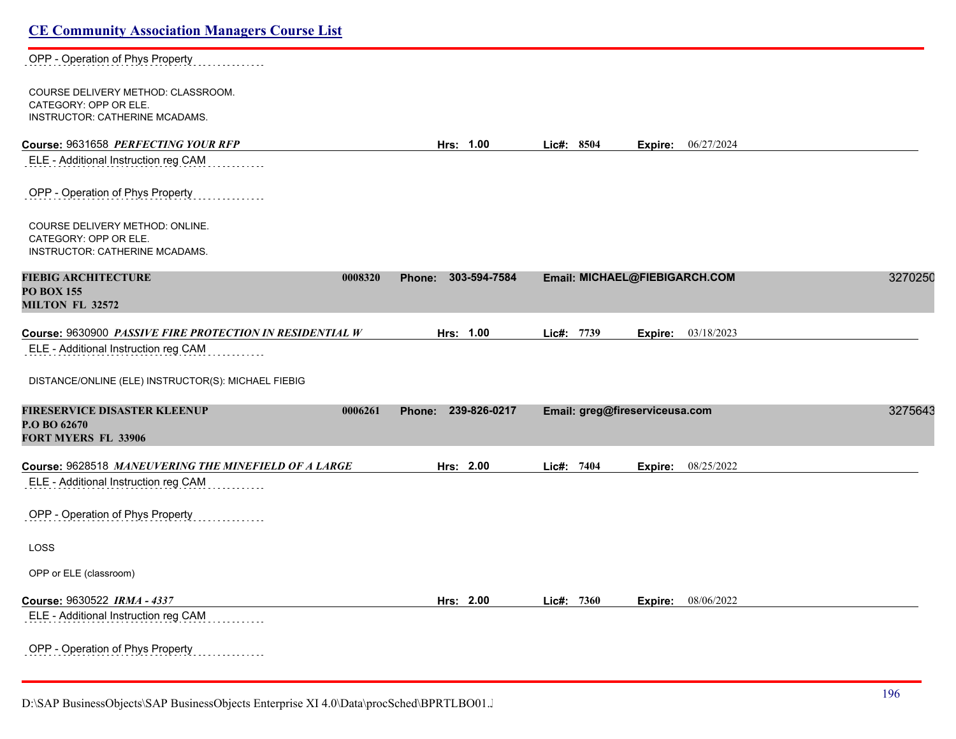| <b>CE Community Association Managers Course List</b>                                             |                               |               |                                |         |
|--------------------------------------------------------------------------------------------------|-------------------------------|---------------|--------------------------------|---------|
| OPP - Operation of Phys Property                                                                 |                               |               |                                |         |
| COURSE DELIVERY METHOD: CLASSROOM.<br>CATEGORY: OPP OR ELE.<br>INSTRUCTOR: CATHERINE MCADAMS.    |                               |               |                                |         |
| Course: 9631658 PERFECTING YOUR RFP                                                              | Hrs: 1.00                     | Lic#: 8504    | <b>Expire:</b> 06/27/2024      |         |
| ELE - Additional Instruction reg CAM                                                             |                               |               |                                |         |
| OPP - Operation of Phys Property                                                                 |                               |               |                                |         |
| COURSE DELIVERY METHOD: ONLINE.<br>CATEGORY: OPP OR ELE.<br>INSTRUCTOR: CATHERINE MCADAMS.       |                               |               |                                |         |
| <b>FIEBIG ARCHITECTURE</b><br>0008320<br><b>PO BOX 155</b><br><b>MILTON FL 32572</b>             | 303-594-7584<br><b>Phone:</b> |               | Email: MICHAEL@FIEBIGARCH.COM  | 3270250 |
| Course: 9630900 PASSIVE FIRE PROTECTION IN RESIDENTIAL W<br>ELE - Additional Instruction reg CAM | Hrs: 1.00                     | Lic#:<br>7739 | 03/18/2023<br>Expire:          |         |
| DISTANCE/ONLINE (ELE) INSTRUCTOR(S): MICHAEL FIEBIG                                              |                               |               |                                |         |
| FIRESERVICE DISASTER KLEENUP<br>0006261<br>P.O BO 62670<br><b>FORT MYERS FL 33906</b>            | 239-826-0217<br>Phone:        |               | Email: greg@fireserviceusa.com | 3275643 |
| Course: 9628518 MANEUVERING THE MINEFIELD OF A LARGE                                             | Hrs: 2.00                     | Lic#: 7404    | 08/25/2022<br>Expire:          |         |
| ELE - Additional Instruction reg CAM                                                             |                               |               |                                |         |
| OPP - Operation of Phys Property                                                                 |                               |               |                                |         |
| LOSS                                                                                             |                               |               |                                |         |
| OPP or ELE (classroom)                                                                           |                               |               |                                |         |
| Course: 9630522 IRMA - 4337                                                                      | Hrs: 2.00                     | Lic#: 7360    | 08/06/2022<br>Expire:          |         |
| ELE - Additional Instruction reg CAM                                                             |                               |               |                                |         |
| OPP - Operation of Phys Property                                                                 |                               |               |                                |         |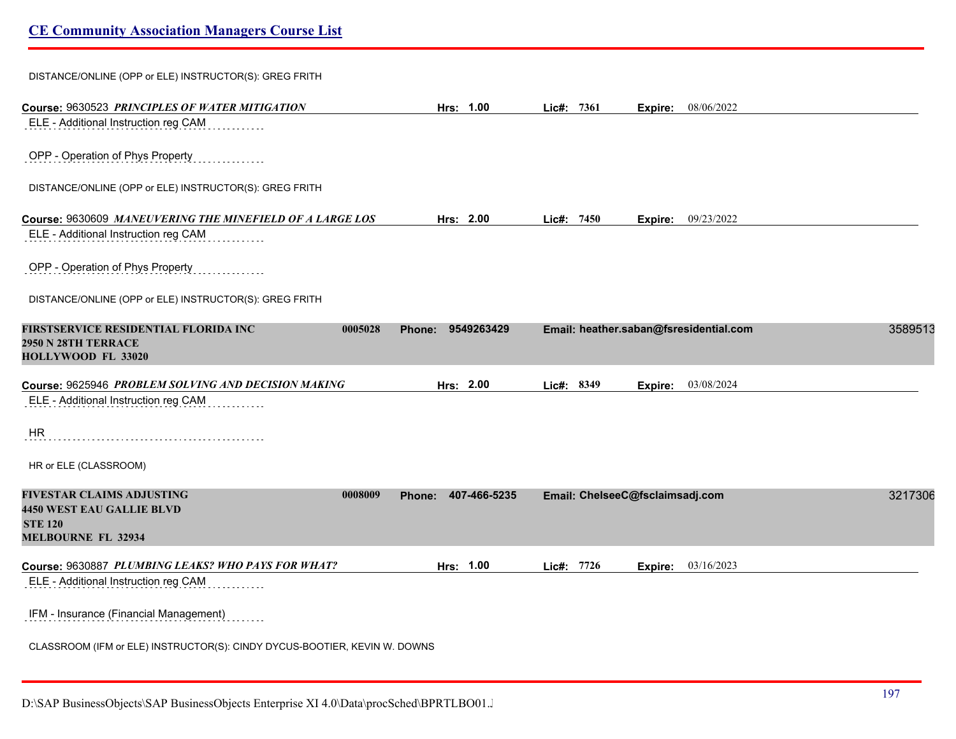| DISTANCE/ONLINE (OPP or ELE) INSTRUCTOR(S): GREG FRITH                                                                         |                     |              |                                        |         |
|--------------------------------------------------------------------------------------------------------------------------------|---------------------|--------------|----------------------------------------|---------|
| Course: 9630523 PRINCIPLES OF WATER MITIGATION                                                                                 | Hrs: 1.00           | Lie#: 7361   | <b>Expire:</b> 08/06/2022              |         |
| ELE - Additional Instruction reg CAM                                                                                           |                     |              |                                        |         |
| OPP - Operation of Phys Property                                                                                               |                     |              |                                        |         |
| DISTANCE/ONLINE (OPP or ELE) INSTRUCTOR(S): GREG FRITH                                                                         |                     |              |                                        |         |
| Course: 9630609 MANEUVERING THE MINEFIELD OF A LARGE LOS                                                                       | Hrs: 2.00           | Lic#: $7450$ | Expire: 09/23/2022                     |         |
| ELE - Additional Instruction reg CAM                                                                                           |                     |              |                                        |         |
| OPP - Operation of Phys Property                                                                                               |                     |              |                                        |         |
| DISTANCE/ONLINE (OPP or ELE) INSTRUCTOR(S): GREG FRITH                                                                         |                     |              |                                        |         |
| FIRSTSERVICE RESIDENTIAL FLORIDA INC<br>0005028<br>2950 N 28TH TERRACE<br>HOLLYWOOD FL 33020                                   | Phone: 9549263429   |              | Email: heather.saban@fsresidential.com | 3589513 |
| Course: 9625946 PROBLEM SOLVING AND DECISION MAKING                                                                            | Hrs: 2.00           | Lic#: 8349   | 03/08/2024<br>Expire:                  |         |
| ELE - Additional Instruction reg CAM                                                                                           |                     |              |                                        |         |
| <b>HR</b>                                                                                                                      |                     |              |                                        |         |
| HR or ELE (CLASSROOM)                                                                                                          |                     |              |                                        |         |
| <b>FIVESTAR CLAIMS ADJUSTING</b><br>0008009<br><b>4450 WEST EAU GALLIE BLVD</b><br><b>STE 120</b><br><b>MELBOURNE FL 32934</b> | Phone: 407-466-5235 |              | Email: ChelseeC@fsclaimsadj.com        | 3217306 |
| Course: 9630887 PLUMBING LEAKS? WHO PAYS FOR WHAT?                                                                             | Hrs: 1.00           | Lic#: 7726   | 03/16/2023<br>Expire:                  |         |
| ELE - Additional Instruction reg CAM                                                                                           |                     |              |                                        |         |
| IFM - Insurance (Financial Management)                                                                                         |                     |              |                                        |         |
|                                                                                                                                |                     |              |                                        |         |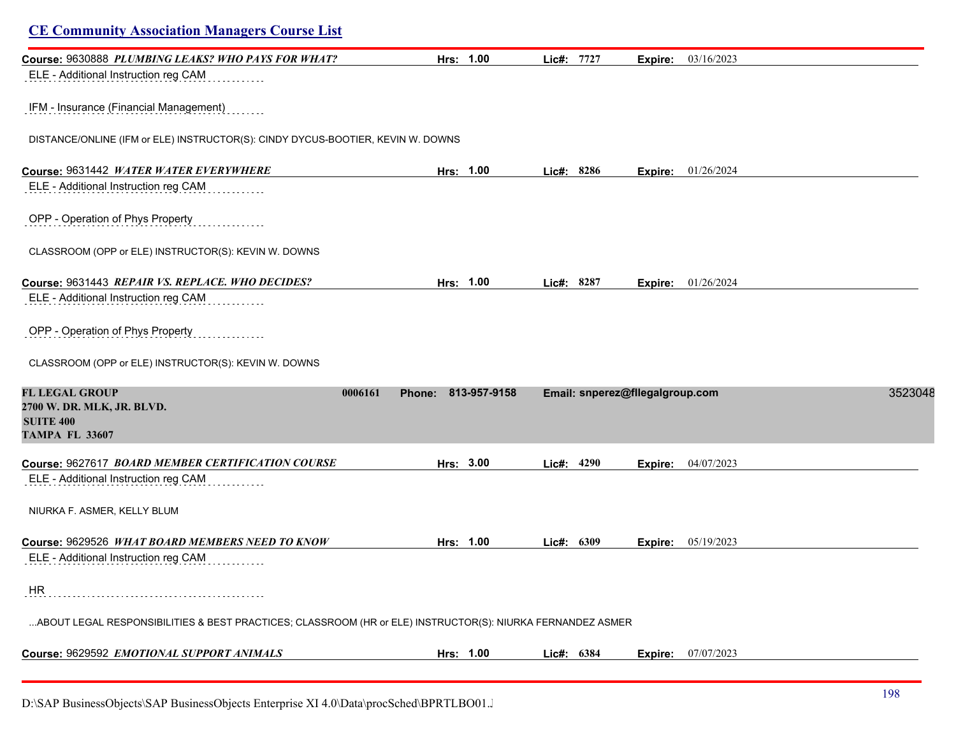| <b>CE Community Association Managers Course List</b>                                                        |               |              |              |                                 |                             |         |
|-------------------------------------------------------------------------------------------------------------|---------------|--------------|--------------|---------------------------------|-----------------------------|---------|
| Course: 9630888 PLUMBING LEAKS? WHO PAYS FOR WHAT?                                                          |               | Hrs: 1.00    | Lic#: 7727   | Expire:                         | 03/16/2023                  |         |
| ELE - Additional Instruction reg CAM                                                                        |               |              |              |                                 |                             |         |
| IFM - Insurance (Financial Management)                                                                      |               |              |              |                                 |                             |         |
| DISTANCE/ONLINE (IFM or ELE) INSTRUCTOR(S): CINDY DYCUS-BOOTIER, KEVIN W. DOWNS                             |               |              |              |                                 |                             |         |
| Course: 9631442 WATER WATER EVERYWHERE                                                                      |               | Hrs: 1.00    | Lic#: 8286   |                                 | <b>Expire:</b> 01/26/2024   |         |
| ELE - Additional Instruction reg CAM                                                                        |               |              |              |                                 |                             |         |
| OPP - Operation of Phys Property                                                                            |               |              |              |                                 |                             |         |
| CLASSROOM (OPP or ELE) INSTRUCTOR(S): KEVIN W. DOWNS                                                        |               |              |              |                                 |                             |         |
| Course: 9631443 REPAIR VS. REPLACE. WHO DECIDES?                                                            |               | Hrs: 1.00    | Lic#: 8287   |                                 | Expire: 01/26/2024          |         |
| ELE - Additional Instruction reg CAM                                                                        |               |              |              |                                 |                             |         |
| OPP - Operation of Phys Property                                                                            |               |              |              |                                 |                             |         |
| CLASSROOM (OPP or ELE) INSTRUCTOR(S): KEVIN W. DOWNS                                                        |               |              |              |                                 |                             |         |
| <b>FL LEGAL GROUP</b><br>0006161<br>2700 W. DR. MLK, JR. BLVD.<br><b>SUITE 400</b><br><b>TAMPA FL 33607</b> | <b>Phone:</b> | 813-957-9158 |              | Email: snperez@fllegalgroup.com |                             | 3523048 |
| Course: 9627617 BOARD MEMBER CERTIFICATION COURSE                                                           |               | Hrs: 3.00    | Lic#: 4290   | Expire:                         | 04/07/2023                  |         |
| ELE - Additional Instruction reg CAM                                                                        |               |              |              |                                 |                             |         |
| NIURKA F. ASMER, KELLY BLUM                                                                                 |               |              |              |                                 |                             |         |
| Course: 9629526 WHAT BOARD MEMBERS NEED TO KNOW                                                             |               | Hrs: 1.00    | Lic#: $6309$ | Expire:                         | 05/19/2023                  |         |
| ELE - Additional Instruction reg CAM                                                                        |               |              |              |                                 |                             |         |
| <b>HR</b>                                                                                                   |               |              |              |                                 |                             |         |
| ABOUT LEGAL RESPONSIBILITIES & BEST PRACTICES; CLASSROOM (HR or ELE) INSTRUCTOR(S): NIURKA FERNANDEZ ASMER  |               |              |              |                                 |                             |         |
| Course: 9629592 EMOTIONAL SUPPORT ANIMALS                                                                   |               | Hrs: 1.00    | Lic#: 6384   |                                 | <b>Expire:</b> $07/07/2023$ |         |
|                                                                                                             |               |              |              |                                 |                             |         |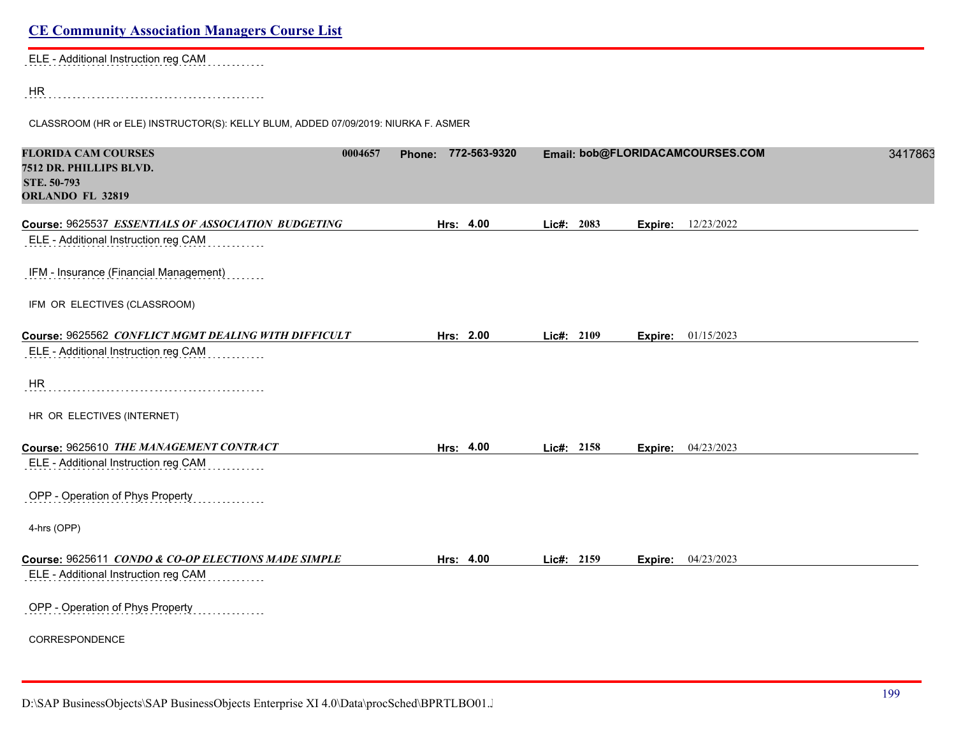| ELE - Additional Instruction reg CAM |  |  |  |  |  |  |  |  |  |  |  |  |  |  |  |  |  |  |  |  |  |  |  |
|--------------------------------------|--|--|--|--|--|--|--|--|--|--|--|--|--|--|--|--|--|--|--|--|--|--|--|
|                                      |  |  |  |  |  |  |  |  |  |  |  |  |  |  |  |  |  |  |  |  |  |  |  |

HR

CLASSROOM (HR or ELE) INSTRUCTOR(S): KELLY BLUM, ADDED 07/09/2019: NIURKA F. ASMER

| <b>FLORIDA CAM COURSES</b><br>7512 DR. PHILLIPS BLVD.<br>STE. 50-793<br>ORLANDO FL 32819 | 0004657 | Phone: 772-563-9320 |            |         | Email: bob@FLORIDACAMCOURSES.COM | 3417863 |
|------------------------------------------------------------------------------------------|---------|---------------------|------------|---------|----------------------------------|---------|
| Course: 9625537 ESSENTIALS OF ASSOCIATION BUDGETING                                      |         | Hrs: 4.00           | Lic#: 2083 | Expire: | 12/23/2022                       |         |
| ELE - Additional Instruction reg CAM                                                     |         |                     |            |         |                                  |         |
| IFM - Insurance (Financial Management)                                                   |         |                     |            |         |                                  |         |
| IFM OR ELECTIVES (CLASSROOM)                                                             |         |                     |            |         |                                  |         |
| Course: 9625562 CONFLICT MGMT DEALING WITH DIFFICULT                                     |         | Hrs: 2.00           | Lic#: 2109 |         | <b>Expire:</b> 01/15/2023        |         |
| ELE - Additional Instruction reg CAM                                                     |         |                     |            |         |                                  |         |
| HR                                                                                       |         |                     |            |         |                                  |         |
| HR OR ELECTIVES (INTERNET)                                                               |         |                     |            |         |                                  |         |
| Course: 9625610 THE MANAGEMENT CONTRACT                                                  |         | Hrs: 4.00           | Lic#: 2158 | Expire: | 04/23/2023                       |         |
| ELE - Additional Instruction reg CAM                                                     |         |                     |            |         |                                  |         |
| OPP - Operation of Phys Property                                                         |         |                     |            |         |                                  |         |
| 4-hrs (OPP)                                                                              |         |                     |            |         |                                  |         |
| Course: 9625611 CONDO & CO-OP ELECTIONS MADE SIMPLE                                      |         | Hrs: 4.00           | Lic#: 2159 |         | <b>Expire:</b> 04/23/2023        |         |
| ELE - Additional Instruction reg CAM                                                     |         |                     |            |         |                                  |         |
| OPP - Operation of Phys Property                                                         |         |                     |            |         |                                  |         |
| CORRESPONDENCE                                                                           |         |                     |            |         |                                  |         |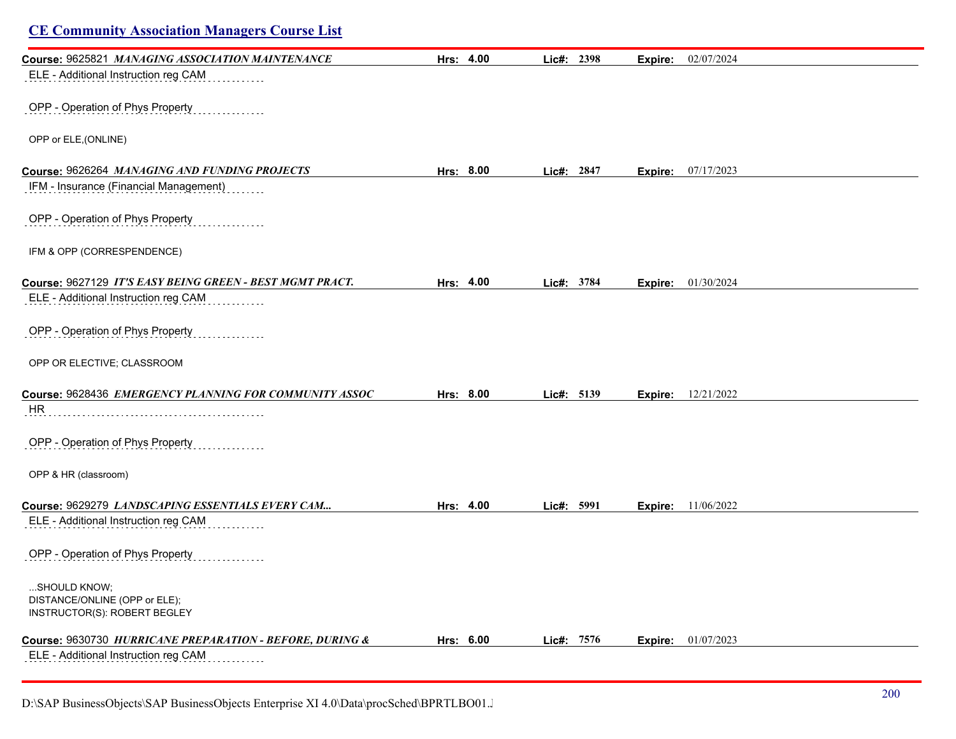| <b>CE Community Association Managers Course List</b>          |           |            |         |                           |  |
|---------------------------------------------------------------|-----------|------------|---------|---------------------------|--|
| Course: 9625821 MANAGING ASSOCIATION MAINTENANCE              | Hrs: 4.00 | Lic#: 2398 | Expire: | 02/07/2024                |  |
| ELE - Additional Instruction reg CAM                          |           |            |         |                           |  |
| OPP - Operation of Phys Property                              |           |            |         |                           |  |
| OPP or ELE, (ONLINE)                                          |           |            |         |                           |  |
| Course: 9626264 MANAGING AND FUNDING PROJECTS                 | Hrs: 8.00 | Lic#: 2847 |         | <b>Expire:</b> 07/17/2023 |  |
| IFM - Insurance (Financial Management)                        |           |            |         |                           |  |
| OPP - Operation of Phys Property                              |           |            |         |                           |  |
| IFM & OPP (CORRESPENDENCE)                                    |           |            |         |                           |  |
| Course: 9627129 IT'S EASY BEING GREEN - BEST MGMT PRACT.      | Hrs: 4.00 | Lic#: 3784 | Expire: | 01/30/2024                |  |
| ELE - Additional Instruction reg CAM                          |           |            |         |                           |  |
| OPP - Operation of Phys Property                              |           |            |         |                           |  |
| OPP OR ELECTIVE; CLASSROOM                                    |           |            |         |                           |  |
| Course: 9628436 EMERGENCY PLANNING FOR COMMUNITY ASSOC        | Hrs: 8.00 | Lic#: 5139 | Expire: | 12/21/2022                |  |
| HR                                                            |           |            |         |                           |  |
| OPP - Operation of Phys Property                              |           |            |         |                           |  |
| OPP & HR (classroom)                                          |           |            |         |                           |  |
| Course: 9629279 LANDSCAPING ESSENTIALS EVERY CAM              | Hrs: 4.00 | Lic#: 5991 | Expire: | 11/06/2022                |  |
| ELE - Additional Instruction reg CAM                          |           |            |         |                           |  |
| OPP - Operation of Phys Property<br>.                         |           |            |         |                           |  |
| SHOULD KNOW;                                                  |           |            |         |                           |  |
| DISTANCE/ONLINE (OPP or ELE);<br>INSTRUCTOR(S): ROBERT BEGLEY |           |            |         |                           |  |
| Course: 9630730 HURRICANE PREPARATION - BEFORE, DURING &      | Hrs: 6.00 | Lic#: 7576 | Expire: | 01/07/2023                |  |
| ELE - Additional Instruction reg CAM                          |           |            |         |                           |  |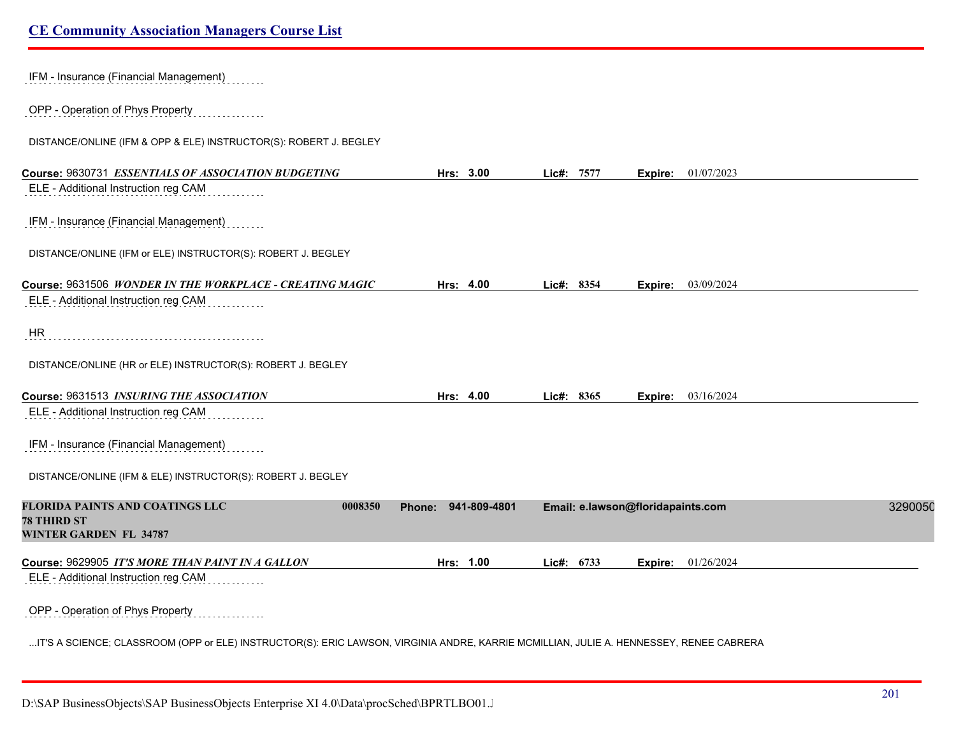| IFM - Insurance (Financial Management)                                                                                                 |                     |                                   |         |                           |         |
|----------------------------------------------------------------------------------------------------------------------------------------|---------------------|-----------------------------------|---------|---------------------------|---------|
| OPP - Operation of Phys Property                                                                                                       |                     |                                   |         |                           |         |
| DISTANCE/ONLINE (IFM & OPP & ELE) INSTRUCTOR(S): ROBERT J. BEGLEY                                                                      |                     |                                   |         |                           |         |
| Course: 9630731 ESSENTIALS OF ASSOCIATION BUDGETING                                                                                    | Hrs: 3.00           | Lic#: 7577                        |         | <b>Expire:</b> 01/07/2023 |         |
| ELE - Additional Instruction reg CAM                                                                                                   |                     |                                   |         |                           |         |
| IFM - Insurance (Financial Management)                                                                                                 |                     |                                   |         |                           |         |
| DISTANCE/ONLINE (IFM or ELE) INSTRUCTOR(S): ROBERT J. BEGLEY                                                                           |                     |                                   |         |                           |         |
| Course: 9631506 WONDER IN THE WORKPLACE - CREATING MAGIC                                                                               | Hrs: 4.00           | Lic#: 8354                        | Expire: | 03/09/2024                |         |
| ELE - Additional Instruction reg CAM                                                                                                   |                     |                                   |         |                           |         |
|                                                                                                                                        |                     |                                   |         |                           |         |
| <b>HR</b>                                                                                                                              |                     |                                   |         |                           |         |
| DISTANCE/ONLINE (HR or ELE) INSTRUCTOR(S): ROBERT J. BEGLEY                                                                            |                     |                                   |         |                           |         |
| Course: 9631513 INSURING THE ASSOCIATION                                                                                               | Hrs: 4.00           | Lic#: 8365                        |         | Expire: 03/16/2024        |         |
| ELE - Additional Instruction reg CAM                                                                                                   |                     |                                   |         |                           |         |
|                                                                                                                                        |                     |                                   |         |                           |         |
| IFM - Insurance (Financial Management)                                                                                                 |                     |                                   |         |                           |         |
| DISTANCE/ONLINE (IFM & ELE) INSTRUCTOR(S): ROBERT J. BEGLEY                                                                            |                     |                                   |         |                           |         |
| <b>FLORIDA PAINTS AND COATINGS LLC</b><br>0008350<br><b>78 THIRD ST</b>                                                                | Phone: 941-809-4801 | Email: e.lawson@floridapaints.com |         |                           | 3290050 |
| <b>WINTER GARDEN FL 34787</b>                                                                                                          |                     |                                   |         |                           |         |
|                                                                                                                                        |                     |                                   |         |                           |         |
| Course: 9629905 IT'S MORE THAN PAINT IN A GALLON<br>ELE - Additional Instruction reg CAM                                               | Hrs: 1.00           | Lic#: 6733                        | Expire: | 01/26/2024                |         |
|                                                                                                                                        |                     |                                   |         |                           |         |
| OPP - Operation of Phys Property                                                                                                       |                     |                                   |         |                           |         |
| IT'S A SCIENCE; CLASSROOM (OPP or ELE) INSTRUCTOR(S): ERIC LAWSON, VIRGINIA ANDRE, KARRIE MCMILLIAN, JULIE A. HENNESSEY, RENEE CABRERA |                     |                                   |         |                           |         |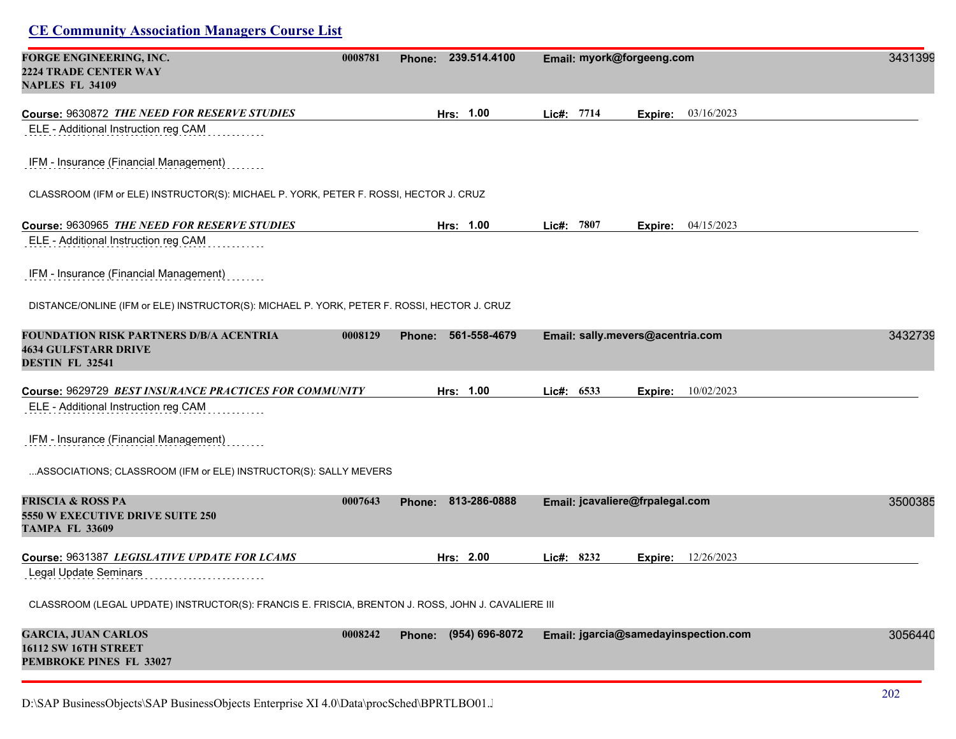| FORGE ENGINEERING, INC.<br><b>2224 TRADE CENTER WAY</b><br><b>NAPLES FL 34109</b>                  | 0008781 | 239.514.4100<br>Phone: | Email: myork@forgeeng.com                 | 3431399 |
|----------------------------------------------------------------------------------------------------|---------|------------------------|-------------------------------------------|---------|
| Course: 9630872 THE NEED FOR RESERVE STUDIES<br>ELE - Additional Instruction reg CAM               |         | Hrs: 1.00              | Lic#: 7714<br>03/16/2023<br>Expire:       |         |
| IFM - Insurance (Financial Management)                                                             |         |                        |                                           |         |
| CLASSROOM (IFM or ELE) INSTRUCTOR(S): MICHAEL P. YORK, PETER F. ROSSI, HECTOR J. CRUZ              |         |                        |                                           |         |
| Course: 9630965 THE NEED FOR RESERVE STUDIES                                                       |         | Hrs: 1.00              | Lic#: 7807<br><b>Expire:</b> $04/15/2023$ |         |
| ELE - Additional Instruction reg CAM                                                               |         |                        |                                           |         |
| IFM - Insurance (Financial Management)                                                             |         |                        |                                           |         |
| DISTANCE/ONLINE (IFM or ELE) INSTRUCTOR(S): MICHAEL P. YORK, PETER F. ROSSI, HECTOR J. CRUZ        |         |                        |                                           |         |
| <b>FOUNDATION RISK PARTNERS D/B/A ACENTRIA</b><br><b>4634 GULFSTARR DRIVE</b><br>DESTIN FL 32541   | 0008129 | 561-558-4679<br>Phone: | Email: sally.mevers@acentria.com          | 3432739 |
| Course: 9629729 BEST INSURANCE PRACTICES FOR COMMUNITY                                             |         | Hrs: 1.00              | Lic#: 6533<br>10/02/2023<br>Expire:       |         |
| ELE - Additional Instruction reg CAM                                                               |         |                        |                                           |         |
| IFM - Insurance (Financial Management)                                                             |         |                        |                                           |         |
| ASSOCIATIONS; CLASSROOM (IFM or ELE) INSTRUCTOR(S): SALLY MEVERS                                   |         |                        |                                           |         |
| <b>FRISCIA &amp; ROSS PA</b><br><b>5550 W EXECUTIVE DRIVE SUITE 250</b><br><b>TAMPA FL 33609</b>   | 0007643 | Phone: 813-286-0888    | Email: jcavaliere@frpalegal.com           | 3500385 |
| Course: 9631387 LEGISLATIVE UPDATE FOR LCAMS                                                       |         | Hrs: 2.00              | Lic#: 8232<br>12/26/2023<br>Expire:       |         |
| Legal Update Seminars                                                                              |         |                        |                                           |         |
| CLASSROOM (LEGAL UPDATE) INSTRUCTOR(S): FRANCIS E. FRISCIA, BRENTON J. ROSS, JOHN J. CAVALIERE III |         |                        |                                           |         |
| <b>GARCIA, JUAN CARLOS</b><br>16112 SW 16TH STREET<br>PEMBROKE PINES FL 33027                      | 0008242 | Phone: (954) 696-8072  | Email: jgarcia@samedayinspection.com      | 3056440 |
|                                                                                                    |         |                        |                                           |         |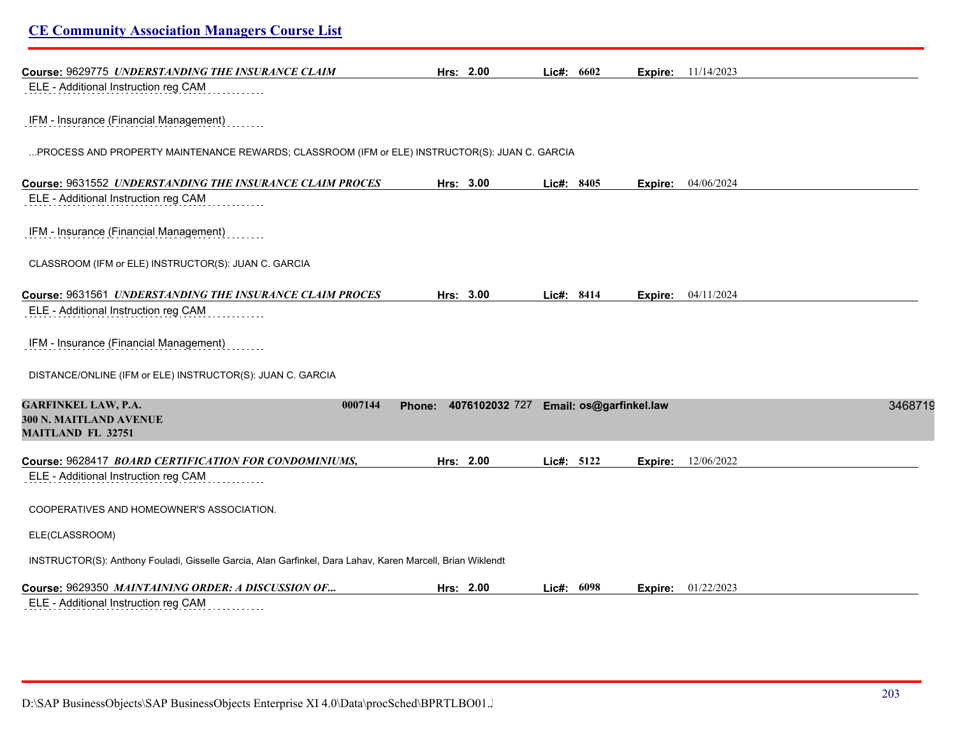| <b>CE Community Association Managers Course List</b>                                                       |                                                  |            |         |                           |         |
|------------------------------------------------------------------------------------------------------------|--------------------------------------------------|------------|---------|---------------------------|---------|
| Course: 9629775 UNDERSTANDING THE INSURANCE CLAIM                                                          | Hrs: 2.00                                        | Lic#: 6602 |         | <b>Expire:</b> 11/14/2023 |         |
| ELE - Additional Instruction reg CAM                                                                       |                                                  |            |         |                           |         |
| IFM - Insurance (Financial Management)                                                                     |                                                  |            |         |                           |         |
| PROCESS AND PROPERTY MAINTENANCE REWARDS; CLASSROOM (IFM or ELE) INSTRUCTOR(S): JUAN C. GARCIA             |                                                  |            |         |                           |         |
| Course: 9631552 UNDERSTANDING THE INSURANCE CLAIM PROCES                                                   | Hrs: 3.00                                        | Lic#: 8405 | Expire: | 04/06/2024                |         |
| ELE - Additional Instruction reg CAM                                                                       |                                                  |            |         |                           |         |
| IFM - Insurance (Financial Management)                                                                     |                                                  |            |         |                           |         |
| CLASSROOM (IFM or ELE) INSTRUCTOR(S): JUAN C. GARCIA                                                       |                                                  |            |         |                           |         |
| Course: 9631561 UNDERSTANDING THE INSURANCE CLAIM PROCES                                                   | Hrs: 3.00                                        | Lic#: 8414 | Expire: | 04/11/2024                |         |
| ELE - Additional Instruction reg CAM                                                                       |                                                  |            |         |                           |         |
| IFM - Insurance (Financial Management)                                                                     |                                                  |            |         |                           |         |
| DISTANCE/ONLINE (IFM or ELE) INSTRUCTOR(S): JUAN C. GARCIA                                                 |                                                  |            |         |                           |         |
| <b>GARFINKEL LAW, P.A.</b><br>0007144<br>300 N. MAITLAND AVENUE                                            | 4076102032 727 Email: os@garfinkel.law<br>Phone: |            |         |                           | 3468719 |
| <b>MAITLAND FL 32751</b>                                                                                   |                                                  |            |         |                           |         |
| Course: 9628417 BOARD CERTIFICATION FOR CONDOMINIUMS,<br>ELE - Additional Instruction reg CAM              | Hrs: 2.00                                        | Lic#: 5122 | Expire: | 12/06/2022                |         |
|                                                                                                            |                                                  |            |         |                           |         |
| COOPERATIVES AND HOMEOWNER'S ASSOCIATION.                                                                  |                                                  |            |         |                           |         |
| ELE(CLASSROOM)                                                                                             |                                                  |            |         |                           |         |
| INSTRUCTOR(S): Anthony Fouladi, Gisselle Garcia, Alan Garfinkel, Dara Lahav, Karen Marcell, Brian Wiklendt |                                                  |            |         |                           |         |
| Course: 9629350 MAINTAINING ORDER: A DISCUSSION OF                                                         | Hrs: 2.00                                        | Lic#: 6098 |         | <b>Expire:</b> 01/22/2023 |         |
| ELE - Additional Instruction reg CAM                                                                       |                                                  |            |         |                           |         |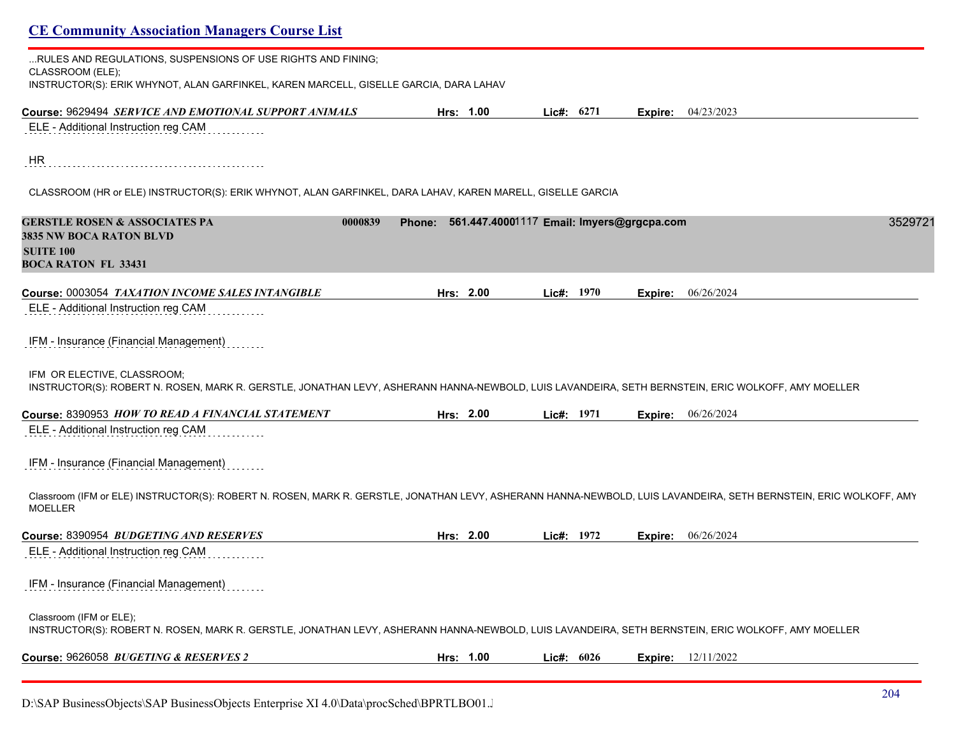| <b>CE Community Association Managers Course List</b>                                                                                                                                |                                                  |              |         |                           |
|-------------------------------------------------------------------------------------------------------------------------------------------------------------------------------------|--------------------------------------------------|--------------|---------|---------------------------|
| RULES AND REGULATIONS, SUSPENSIONS OF USE RIGHTS AND FINING;<br>CLASSROOM (ELE);<br>INSTRUCTOR(S): ERIK WHYNOT, ALAN GARFINKEL, KAREN MARCELL, GISELLE GARCIA, DARA LAHAV           |                                                  |              |         |                           |
| Course: 9629494 SERVICE AND EMOTIONAL SUPPORT ANIMALS                                                                                                                               | Hrs: 1.00                                        | Lic#: 6271   | Expire: | 04/23/2023                |
| ELE - Additional Instruction reg CAM                                                                                                                                                |                                                  |              |         |                           |
| HR                                                                                                                                                                                  |                                                  |              |         |                           |
| CLASSROOM (HR or ELE) INSTRUCTOR(S): ERIK WHYNOT, ALAN GARFINKEL, DARA LAHAV, KAREN MARELL, GISELLE GARCIA                                                                          |                                                  |              |         |                           |
| <b>GERSTLE ROSEN &amp; ASSOCIATES PA</b><br>0000839<br><b>3835 NW BOCA RATON BLVD</b>                                                                                               | Phone: 561.447.40001117 Email: Imyers@grgcpa.com |              |         | 3529721                   |
| <b>SUITE 100</b><br><b>BOCA RATON FL 33431</b>                                                                                                                                      |                                                  |              |         |                           |
| Course: 0003054 TAXATION INCOME SALES INTANGIBLE                                                                                                                                    | Hrs: 2.00                                        | Lic#: $1970$ | Expire: | 06/26/2024                |
| ELE - Additional Instruction reg CAM                                                                                                                                                |                                                  |              |         |                           |
| IFM - Insurance (Financial Management)                                                                                                                                              |                                                  |              |         |                           |
| IFM OR ELECTIVE, CLASSROOM;<br>INSTRUCTOR(S): ROBERT N. ROSEN, MARK R. GERSTLE, JONATHAN LEVY, ASHERANN HANNA-NEWBOLD, LUIS LAVANDEIRA, SETH BERNSTEIN, ERIC WOLKOFF, AMY MOELLER   |                                                  |              |         |                           |
| Course: 8390953 HOW TO READ A FINANCIAL STATEMENT                                                                                                                                   | Hrs: 2.00                                        | Lie#: 1971   |         | <b>Expire:</b> 06/26/2024 |
| ELE - Additional Instruction reg CAM                                                                                                                                                |                                                  |              |         |                           |
| IFM - Insurance (Financial Management)                                                                                                                                              |                                                  |              |         |                           |
| Classroom (IFM or ELE) INSTRUCTOR(S): ROBERT N. ROSEN, MARK R. GERSTLE, JONATHAN LEVY, ASHERANN HANNA-NEWBOLD, LUIS LAVANDEIRA, SETH BERNSTEIN, ERIC WOLKOFF, AMY<br><b>MOELLER</b> |                                                  |              |         |                           |
| Course: 8390954 BUDGETING AND RESERVES                                                                                                                                              | Hrs: 2.00                                        | Lic#: 1972   | Expire: | 06/26/2024                |
| ELE - Additional Instruction reg CAM                                                                                                                                                |                                                  |              |         |                           |
| IFM - Insurance (Financial Management)                                                                                                                                              |                                                  |              |         |                           |
| Classroom (IFM or ELE);<br>INSTRUCTOR(S): ROBERT N. ROSEN, MARK R. GERSTLE, JONATHAN LEVY, ASHERANN HANNA-NEWBOLD, LUIS LAVANDEIRA, SETH BERNSTEIN, ERIC WOLKOFF, AMY MOELLER       |                                                  |              |         |                           |
| Course: 9626058 BUGETING & RESERVES 2                                                                                                                                               | Hrs: 1.00                                        | Lic#: $6026$ |         | <b>Expire:</b> 12/11/2022 |
|                                                                                                                                                                                     |                                                  |              |         |                           |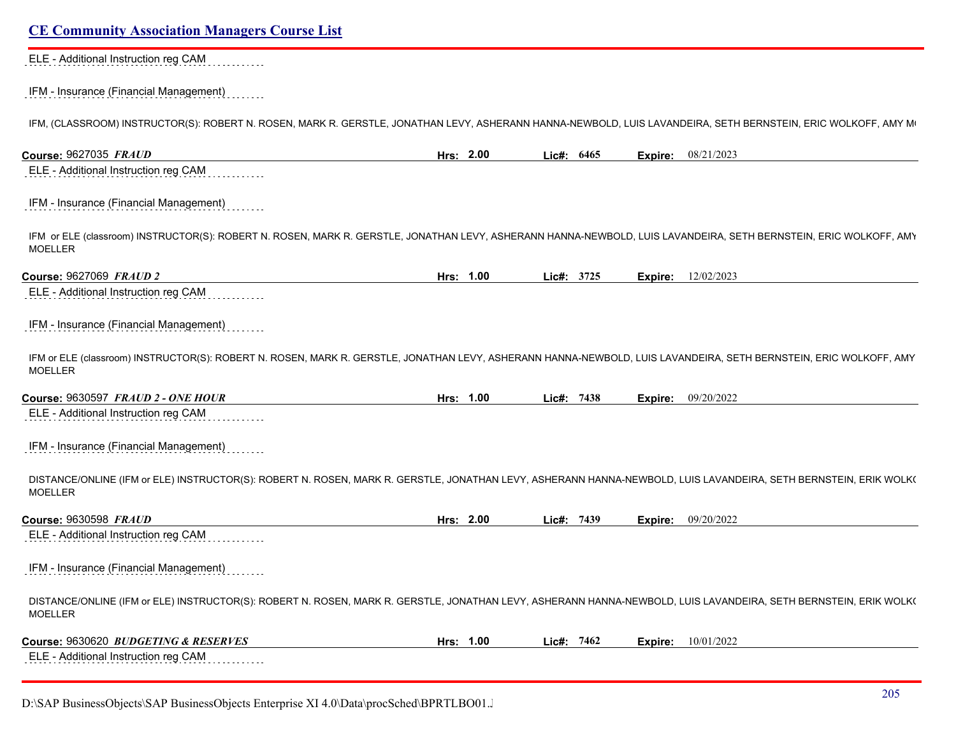#### ELE - Additional Instruction reg CAM . . . . . . . .

#### IFM - Insurance (Financial Management) . . . . . .

IFM, (CLASSROOM) INSTRUCTOR(S): ROBERT N. ROSEN, MARK R. GERSTLE, JONATHAN LEVY, ASHERANN HANNA-NEWBOLD, LUIS LAVANDEIRA, SETH BERNSTEIN, ERIC WOLKOFF, AMY MI

| Course: 9627035 FRAUD                                                                                                                                                               | Hrs: 2.00 | Lic#: 6465 |         | Expire: 08/21/2023 |
|-------------------------------------------------------------------------------------------------------------------------------------------------------------------------------------|-----------|------------|---------|--------------------|
| ELE - Additional Instruction reg CAM                                                                                                                                                |           |            |         |                    |
| IFM - Insurance (Financial Management)                                                                                                                                              |           |            |         |                    |
| IFM or ELE (classroom) INSTRUCTOR(S): ROBERT N. ROSEN, MARK R. GERSTLE, JONATHAN LEVY, ASHERANN HANNA-NEWBOLD, LUIS LAVANDEIRA, SETH BERNSTEIN, ERIC WOLKOFF, AMY<br><b>MOELLER</b> |           |            |         |                    |
| Course: 9627069 FRAUD 2                                                                                                                                                             | Hrs: 1.00 | Lic#: 3725 | Expire: | 12/02/2023         |
| ELE - Additional Instruction reg CAM                                                                                                                                                |           |            |         |                    |
| IFM - Insurance (Financial Management)                                                                                                                                              |           |            |         |                    |
| IFM or ELE (classroom) INSTRUCTOR(S): ROBERT N. ROSEN, MARK R. GERSTLE, JONATHAN LEVY, ASHERANN HANNA-NEWBOLD, LUIS LAVANDEIRA, SETH BERNSTEIN, ERIC WOLKOFF, AMY<br><b>MOELLER</b> |           |            |         |                    |
| <b>Course: 9630597 FRAUD 2 - ONE HOUR</b>                                                                                                                                           | Hrs: 1.00 | Lic#: 7438 | Expire: | 09/20/2022         |
| ELE - Additional Instruction reg CAM                                                                                                                                                |           |            |         |                    |
| IFM - Insurance (Financial Management)                                                                                                                                              |           |            |         |                    |
| DISTANCE/ONLINE (IFM or ELE) INSTRUCTOR(S): ROBERT N. ROSEN, MARK R. GERSTLE, JONATHAN LEVY, ASHERANN HANNA-NEWBOLD, LUIS LAVANDEIRA, SETH BERNSTEIN, ERIK WOLK(<br><b>MOELLER</b>  |           |            |         |                    |
| Course: 9630598 FRAUD                                                                                                                                                               | Hrs: 2.00 | Lic#: 7439 | Expire: | 09/20/2022         |
| ELE - Additional Instruction reg CAM                                                                                                                                                |           |            |         |                    |
| IFM - Insurance (Financial Management)                                                                                                                                              |           |            |         |                    |
| DISTANCE/ONLINE (IFM or ELE) INSTRUCTOR(S): ROBERT N. ROSEN, MARK R. GERSTLE, JONATHAN LEVY, ASHERANN HANNA-NEWBOLD, LUIS LAVANDEIRA, SETH BERNSTEIN, ERIK WOLK(<br><b>MOELLER</b>  |           |            |         |                    |
| Course: 9630620 BUDGETING & RESERVES                                                                                                                                                | Hrs: 1.00 | Lic#: 7462 | Expire: | 10/01/2022         |
| ELE - Additional Instruction reg CAM                                                                                                                                                |           |            |         |                    |

D:\SAP BusinessObjects\SAP BusinessObjects Enterprise XI 4.0\Data\procSched\BPRTLBO01.J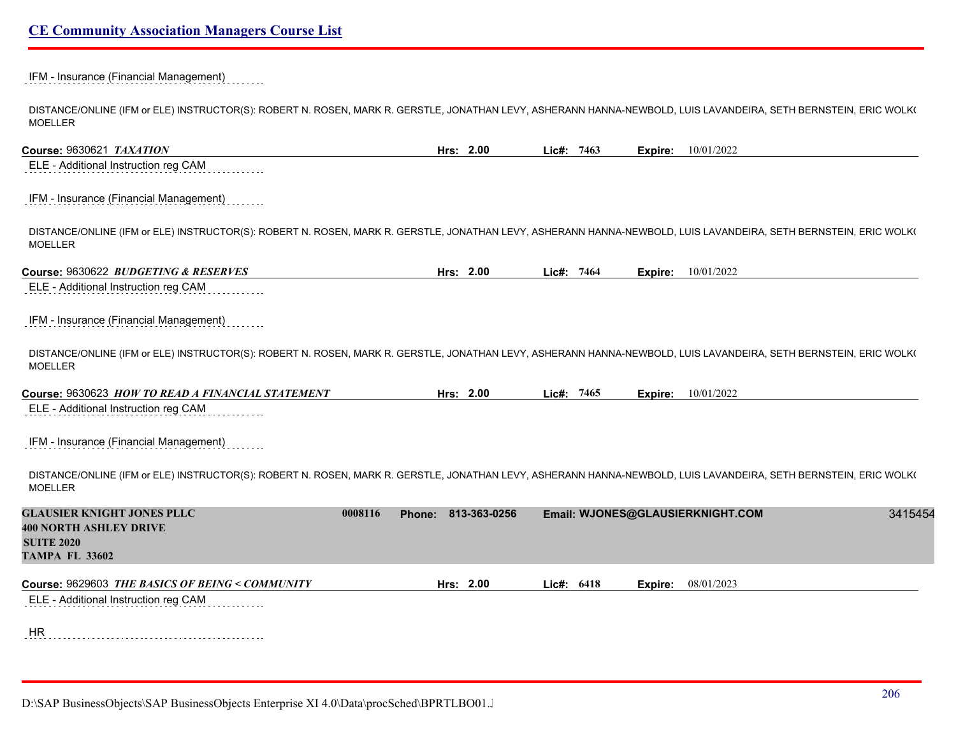### IFM - Insurance (Financial Management)

DISTANCE/ONLINE (IFM or ELE) INSTRUCTOR(S): ROBERT N. ROSEN, MARK R. GERSTLE, JONATHAN LEVY, ASHERANN HANNA-NEWBOLD, LUIS LAVANDEIRA, SETH BERNSTEIN, ERIC WOLK( MOELLER

**Course:** 9630621 *TAXATION* **Hrs: 2.00 Lic#: 7463 Expire:** 10/01/2022 ELE - Additional Instruction reg CAM

### IFM - Insurance (Financial Management)

DISTANCE/ONLINE (IFM or ELE) INSTRUCTOR(S): ROBERT N. ROSEN, MARK R. GERSTLE, JONATHAN LEVY, ASHERANN HANNA-NEWBOLD, LUIS LAVANDEIRA, SETH BERNSTEIN, ERIC WOLK( MOELLER

| Course: 9630622 BUDGETING & RESERVES | 2.00<br>Hrs: | 7464<br>ic#: | Expire: | 10/01/2022 |
|--------------------------------------|--------------|--------------|---------|------------|
|                                      |              |              |         |            |

ELE - Additional Instruction reg CAM

### IFM - Insurance (Financial Management)

DISTANCE/ONLINE (IFM or ELE) INSTRUCTOR(S): ROBERT N. ROSEN, MARK R. GERSTLE, JONATHAN LEVY, ASHERANN HANNA-NEWBOLD, LUIS LAVANDEIRA, SETH BERNSTEIN, ERIC WOLK( MOELLER

| Course: 9630623 HOW TO READ A FINANCIAL STATEMENT | 00.∠ | 7465 | 10/01/2022 |
|---------------------------------------------------|------|------|------------|
|                                                   | Hrs: | ic#: | Expire:    |
|                                                   |      |      |            |

ELE - Additional Instruction reg CAM

### IFM - Insurance (Financial Management)

DISTANCE/ONLINE (IFM or ELE) INSTRUCTOR(S): ROBERT N. ROSEN, MARK R. GERSTLE, JONATHAN LEVY, ASHERANN HANNA-NEWBOLD, LUIS LAVANDEIRA, SETH BERNSTEIN, ERIC WOLK( MOELLER

| <b>GLAUSIER KNIGHT JONES PLLC</b><br><b>400 NORTH ASHLEY DRIVE</b>                      | 0008116 | 813-363-0256<br>Phone: |              | Email: WJONES@GLAUSIERKNIGHT.COM | 3415454 |
|-----------------------------------------------------------------------------------------|---------|------------------------|--------------|----------------------------------|---------|
| <b>SUITE 2020</b>                                                                       |         |                        |              |                                  |         |
| <b>TAMPA FL 33602</b>                                                                   |         |                        |              |                                  |         |
| Course: 9629603 THE BASICS OF BEING < COMMUNITY<br>ELE - Additional Instruction reg CAM |         | Hrs: $2.00$            | Lic#: $6418$ | 08/01/2023<br>Expire:            |         |
|                                                                                         |         |                        |              |                                  |         |
| <b>HR</b>                                                                               |         |                        |              |                                  |         |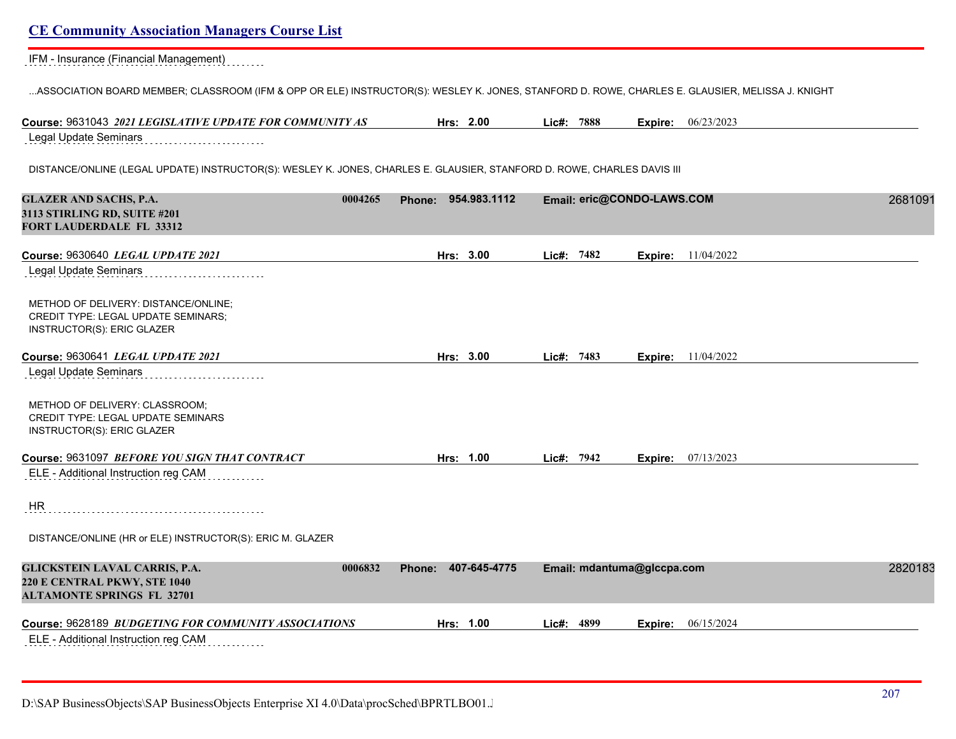| Course: 9631043 2021 LEGISLATIVE UPDATE FOR COMMUNITY AS                                                                | Hrs: 2.00              | Lic#: 7888 | 06/23/2023<br>Expire:      |         |
|-------------------------------------------------------------------------------------------------------------------------|------------------------|------------|----------------------------|---------|
| <b>Legal Update Seminars</b>                                                                                            |                        |            |                            |         |
| DISTANCE/ONLINE (LEGAL UPDATE) INSTRUCTOR(S): WESLEY K. JONES, CHARLES E. GLAUSIER, STANFORD D. ROWE, CHARLES DAVIS III |                        |            |                            |         |
| 0004265<br><b>GLAZER AND SACHS, P.A.</b><br>3113 STIRLING RD, SUITE #201<br><b>FORT LAUDERDALE FL 33312</b>             | Phone: 954.983.1112    |            | Email: eric@CONDO-LAWS.COM | 2681091 |
| Course: 9630640 LEGAL UPDATE 2021                                                                                       | Hrs: 3.00              | Lic#: 7482 | 11/04/2022<br>Expire:      |         |
| <b>Legal Update Seminars</b>                                                                                            |                        |            |                            |         |
| METHOD OF DELIVERY: DISTANCE/ONLINE;<br><b>CREDIT TYPE: LEGAL UPDATE SEMINARS;</b><br>INSTRUCTOR(S): ERIC GLAZER        |                        |            |                            |         |
| Course: 9630641 LEGAL UPDATE 2021                                                                                       | Hrs: 3.00              | Lic#: 7483 | <b>Expire:</b> 11/04/2022  |         |
| <b>Legal Update Seminars</b>                                                                                            |                        |            |                            |         |
| METHOD OF DELIVERY: CLASSROOM;<br><b>CREDIT TYPE: LEGAL UPDATE SEMINARS</b><br>INSTRUCTOR(S): ERIC GLAZER               |                        |            |                            |         |
| Course: 9631097 BEFORE YOU SIGN THAT CONTRACT                                                                           | Hrs: 1.00              | Lie#: 7942 | 07/13/2023<br>Expire:      |         |
| ELE - Additional Instruction reg CAM                                                                                    |                        |            |                            |         |
| HR                                                                                                                      |                        |            |                            |         |
| DISTANCE/ONLINE (HR or ELE) INSTRUCTOR(S): ERIC M. GLAZER                                                               |                        |            |                            |         |
| 0006832<br>GLICKSTEIN LAVAL CARRIS, P.A.<br>220 E CENTRAL PKWY, STE 1040<br><b>ALTAMONTE SPRINGS FL 32701</b>           | 407-645-4775<br>Phone: |            | Email: mdantuma@glccpa.com | 2820183 |
| Course: 9628189 <i>BUDGETING FOR COMMUNITY ASSOCIATIONS</i>                                                             | Hrs: 1.00              | Lic#: 4899 | 06/15/2024<br>Expire:      |         |
| ELE - Additional Instruction reg CAM                                                                                    |                        |            |                            |         |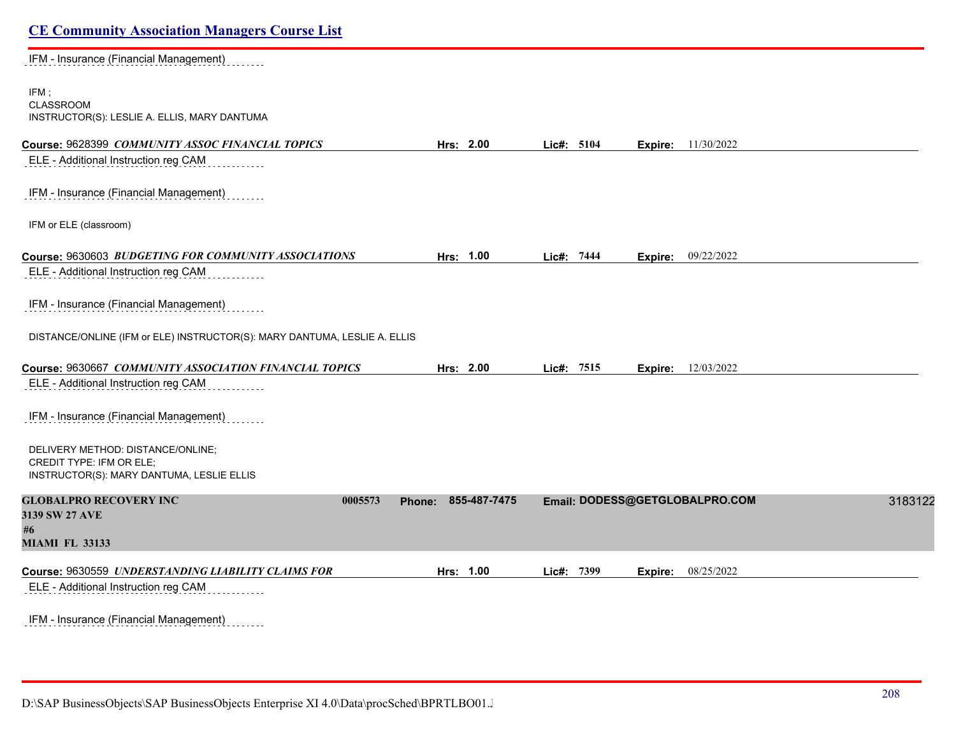# **CE Community Association Managers Course List** IFM - Insurance (Financial Management) IFM ; CLASSROOM INSTRUCTOR(S): LESLIE A. ELLIS, MARY DANTUMA **Course:** 9628399 *COMMUNITY ASSOC FINANCIAL TOPICS* **Hrs: 2.00 Lic#: 5104 Expire:** 11/30/2022 ELE - Additional Instruction reg CAM IFM - Insurance (Financial Management) IFM or ELE (classroom) **Course:** 9630603 *BUDGETING FOR COMMUNITY ASSOCIATIONS* **Hrs: 1.00 Lic#: 7444 Expire:** 09/22/2022 ELE - Additional Instruction reg CAM IFM - Insurance (Financial Management) DISTANCE/ONLINE (IFM or ELE) INSTRUCTOR(S): MARY DANTUMA, LESLIE A. ELLIS **Course:** 9630667 *COMMUNITY ASSOCIATION FINANCIAL TOPICS* **Hrs: 2.00 Lic#: 7515 Expire:** 12/03/2022 ELE - Additional Instruction reg CAM IFM - Insurance (Financial Management) DELIVERY METHOD: DISTANCE/ONLINE; CREDIT TYPE: IFM OR ELE; INSTRUCTOR(S): MARY DANTUMA, LESLIE ELLIS **GLOBALPRO RECOVERY INC 0005573 Phone: 855-487-7475 Email: DODESS@GETGLOBALPRO.COM** 31831227 **3139 SW 27 AVE #6 MIAMI FL 33133 Course:** 9630559 *UNDERSTANDING LIABILITY CLAIMS FOR* **Hrs: 1.00 Lic#: 7399 Expire:** 08/25/2022 ELE - Additional Instruction reg CAM IFM - Insurance (Financial Management)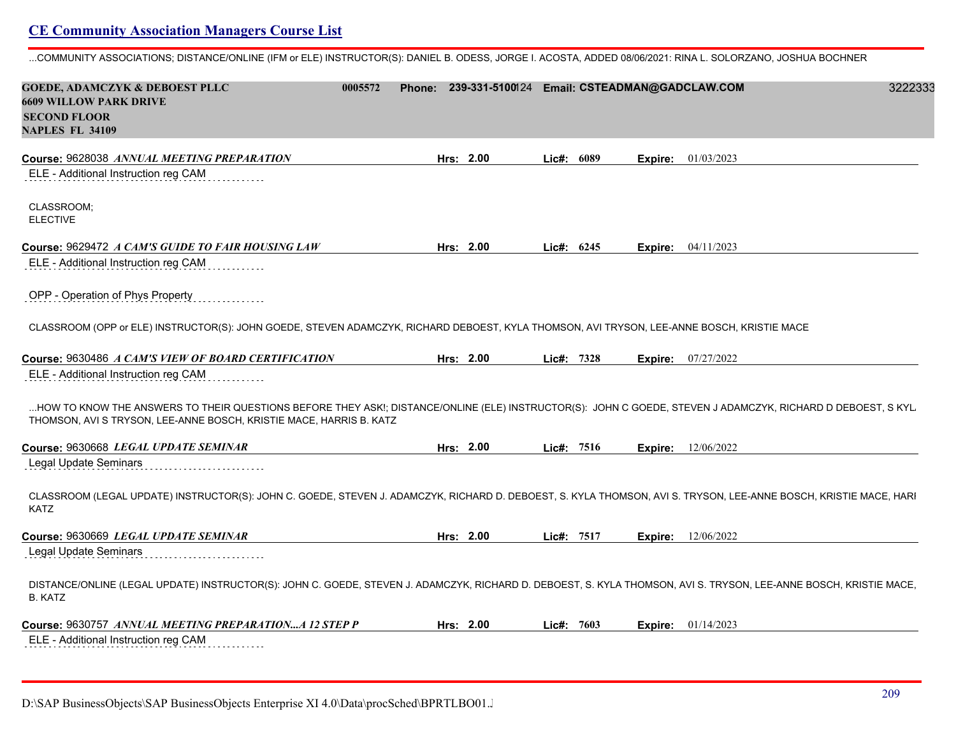...COMMUNITY ASSOCIATIONS; DISTANCE/ONLINE (IFM or ELE) INSTRUCTOR(S): DANIEL B. ODESS, JORGE I. ACOSTA, ADDED 08/06/2021: RINA L. SOLORZANO, JOSHUA BOCHNER

| <b>GOEDE, ADAMCZYK &amp; DEBOEST PLLC</b><br>0005572<br><b>6609 WILLOW PARK DRIVE</b>                                                                                                                                              | Phone: 239-331-5100124 Email: CSTEADMAN@GADCLAW.COM |               |         | 3222333                   |
|------------------------------------------------------------------------------------------------------------------------------------------------------------------------------------------------------------------------------------|-----------------------------------------------------|---------------|---------|---------------------------|
| <b>SECOND FLOOR</b><br><b>NAPLES FL 34109</b>                                                                                                                                                                                      |                                                     |               |         |                           |
| Course: 9628038 ANNUAL MEETING PREPARATION                                                                                                                                                                                         | Hrs: 2.00                                           | Lic#:<br>6089 | Expire: | 01/03/2023                |
| ELE - Additional Instruction reg CAM                                                                                                                                                                                               |                                                     |               |         |                           |
| CLASSROOM;<br><b>ELECTIVE</b>                                                                                                                                                                                                      |                                                     |               |         |                           |
| Course: 9629472 A CAM'S GUIDE TO FAIR HOUSING LAW                                                                                                                                                                                  | Hrs: 2.00                                           | Lic#: 6245    |         | Expire: 04/11/2023        |
| ELE - Additional Instruction reg CAM                                                                                                                                                                                               |                                                     |               |         |                           |
| OPP - Operation of Phys Property                                                                                                                                                                                                   |                                                     |               |         |                           |
| CLASSROOM (OPP or ELE) INSTRUCTOR(S): JOHN GOEDE, STEVEN ADAMCZYK, RICHARD DEBOEST, KYLA THOMSON, AVI TRYSON, LEE-ANNE BOSCH, KRISTIE MACE                                                                                         |                                                     |               |         |                           |
| Course: 9630486 A CAM'S VIEW OF BOARD CERTIFICATION                                                                                                                                                                                | Hrs: 2.00                                           | 7328<br>Lie#: | Expire: | 07/27/2022                |
| ELE - Additional Instruction reg CAM                                                                                                                                                                                               |                                                     |               |         |                           |
| HOW TO KNOW THE ANSWERS TO THEIR QUESTIONS BEFORE THEY ASK!; DISTANCE/ONLINE (ELE) INSTRUCTOR(S): JOHN C GOEDE, STEVEN J ADAMCZYK, RICHARD D DEBOEST, S KYL<br>THOMSON, AVI S TRYSON, LEE-ANNE BOSCH, KRISTIE MACE, HARRIS B. KATZ |                                                     |               |         |                           |
| Course: 9630668 LEGAL UPDATE SEMINAR                                                                                                                                                                                               | Hrs: 2.00                                           | Lic#: 7516    | Expire: | 12/06/2022                |
| <b>Legal Update Seminars</b>                                                                                                                                                                                                       |                                                     |               |         |                           |
| CLASSROOM (LEGAL UPDATE) INSTRUCTOR(S): JOHN C. GOEDE, STEVEN J. ADAMCZYK, RICHARD D. DEBOEST, S. KYLA THOMSON, AVI S. TRYSON, LEE-ANNE BOSCH, KRISTIE MACE, HARI<br>KATZ                                                          |                                                     |               |         |                           |
| Course: 9630669 LEGAL UPDATE SEMINAR                                                                                                                                                                                               | Hrs: 2.00                                           | Lic#: 7517    | Expire: | 12/06/2022                |
| Legal Update Seminars                                                                                                                                                                                                              |                                                     |               |         |                           |
| DISTANCE/ONLINE (LEGAL UPDATE) INSTRUCTOR(S): JOHN C. GOEDE, STEVEN J. ADAMCZYK, RICHARD D. DEBOEST, S. KYLA THOMSON, AVI S. TRYSON, LEE-ANNE BOSCH, KRISTIE MACE,<br><b>B. KATZ</b>                                               |                                                     |               |         |                           |
| Course: 9630757 ANNUAL MEETING PREPARATIONA 12 STEP P                                                                                                                                                                              | Hrs: 2.00                                           | 7603<br>Lic#: |         | <b>Expire:</b> 01/14/2023 |
| ELE - Additional Instruction reg CAM                                                                                                                                                                                               |                                                     |               |         |                           |
|                                                                                                                                                                                                                                    |                                                     |               |         |                           |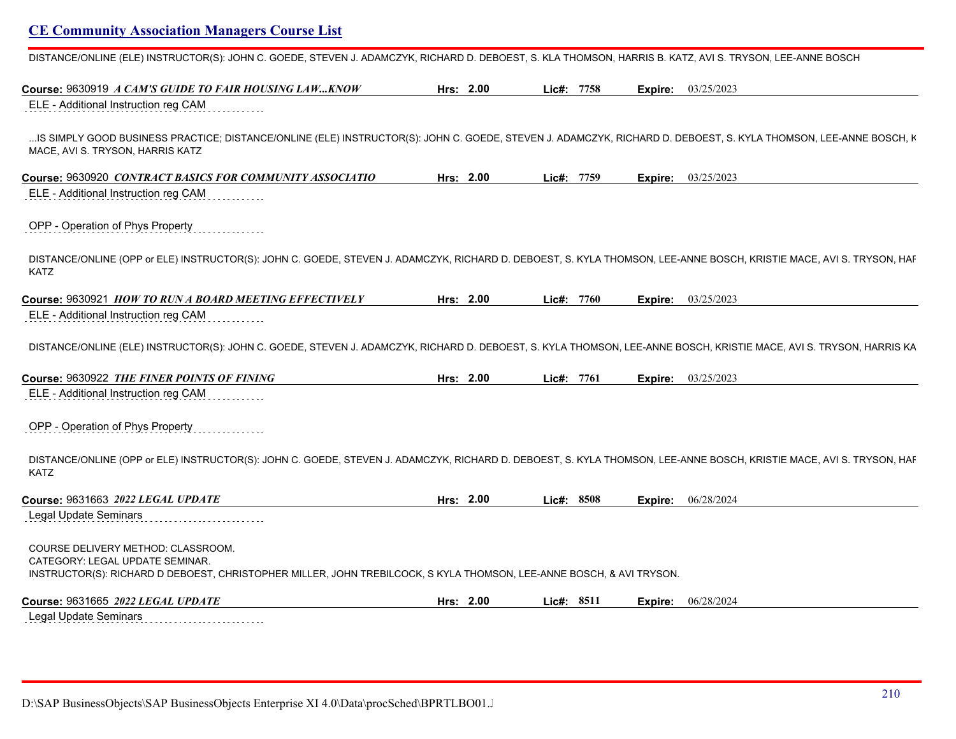DISTANCE/ONLINE (ELE) INSTRUCTOR(S): JOHN C. GOEDE, STEVEN J. ADAMCZYK, RICHARD D. DEBOEST, S. KLA THOMSON, HARRIS B. KATZ, AVI S. TRYSON, LEE-ANNE BOSCH

| Course: 9630919 A CAM'S GUIDE TO FAIR HOUSING LAWKNOW                                                                                                                                                                                                     | Hrs: 2.00 | Lic#: 7758 | Expire: | 03/25/2023                |
|-----------------------------------------------------------------------------------------------------------------------------------------------------------------------------------------------------------------------------------------------------------|-----------|------------|---------|---------------------------|
| ELE - Additional Instruction reg CAM                                                                                                                                                                                                                      |           |            |         |                           |
| IS SIMPLY GOOD BUSINESS PRACTICE; DISTANCE/ONLINE (ELE) INSTRUCTOR(S): JOHN C. GOEDE, STEVEN J. ADAMCZYK, RICHARD D. DEBOEST, S. KYLA THOMSON, LEE-ANNE BOSCH, K<br>MACE, AVI S. TRYSON, HARRIS KATZ                                                      |           |            |         |                           |
| Course: 9630920 CONTRACT BASICS FOR COMMUNITY ASSOCIATIO<br>ELE - Additional Instruction reg CAM                                                                                                                                                          | Hrs: 2.00 | Lic#: 7759 |         | <b>Expire:</b> 03/25/2023 |
| OPP - Operation of Phys Property                                                                                                                                                                                                                          |           |            |         |                           |
| DISTANCE/ONLINE (OPP or ELE) INSTRUCTOR(S): JOHN C. GOEDE, STEVEN J. ADAMCZYK, RICHARD D. DEBOEST, S. KYLA THOMSON, LEE-ANNE BOSCH, KRISTIE MACE, AVI S. TRYSON, HAF<br>KATZ                                                                              |           |            |         |                           |
| Course: 9630921 HOW TO RUN A BOARD MEETING EFFECTIVELY                                                                                                                                                                                                    | Hrs: 2.00 | Lic#: 7760 | Expire: | 03/25/2023                |
| ELE - Additional Instruction reg CAM                                                                                                                                                                                                                      |           |            |         |                           |
| DISTANCE/ONLINE (ELE) INSTRUCTOR(S): JOHN C. GOEDE, STEVEN J. ADAMCZYK, RICHARD D. DEBOEST, S. KYLA THOMSON, LEE-ANNE BOSCH, KRISTIE MACE, AVI S. TRYSON, HARRIS KA<br>Course: 9630922 THE FINER POINTS OF FINING<br>ELE - Additional Instruction reg CAM | Hrs: 2.00 | Lic#: 7761 |         | <b>Expire:</b> 03/25/2023 |
| OPP - Operation of Phys Property                                                                                                                                                                                                                          |           |            |         |                           |
| DISTANCE/ONLINE (OPP or ELE) INSTRUCTOR(S): JOHN C. GOEDE, STEVEN J. ADAMCZYK, RICHARD D. DEBOEST, S. KYLA THOMSON, LEE-ANNE BOSCH, KRISTIE MACE, AVI S. TRYSON, HAF<br><b>KATZ</b>                                                                       |           |            |         |                           |
| Course: 9631663 2022 LEGAL UPDATE                                                                                                                                                                                                                         | Hrs: 2.00 | Lic#: 8508 | Expire: | 06/28/2024                |
| <b>Legal Update Seminars</b>                                                                                                                                                                                                                              |           |            |         |                           |
| COURSE DELIVERY METHOD: CLASSROOM.<br>CATEGORY: LEGAL UPDATE SEMINAR.<br>INSTRUCTOR(S): RICHARD D DEBOEST, CHRISTOPHER MILLER, JOHN TREBILCOCK, S KYLA THOMSON, LEE-ANNE BOSCH, & AVI TRYSON.                                                             |           |            |         |                           |
| Course: 9631665 2022 LEGAL UPDATE                                                                                                                                                                                                                         | Hrs: 2.00 | Lic#: 8511 | Expire: | 06/28/2024                |
| <b>Legal Update Seminars</b>                                                                                                                                                                                                                              |           |            |         |                           |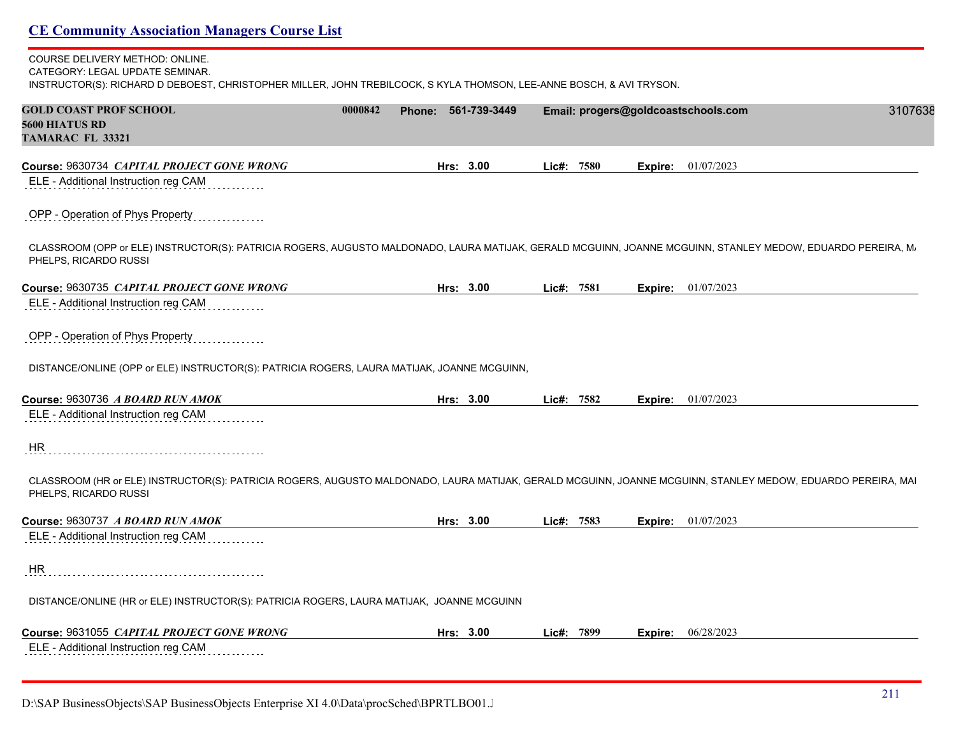### COURSE DELIVERY METHOD: ONLINE. CATEGORY: LEGAL UPDATE SEMINAR.

INSTRUCTOR(S): RICHARD D DEBOEST, CHRISTOPHER MILLER, JOHN TREBILCOCK, S KYLA THOMSON, LEE-ANNE BOSCH, & AVI TRYSON.

| <b>GOLD COAST PROF SCHOOL</b><br>5600 HIATUS RD<br><b>TAMARAC FL 33321</b>                                                                                                           | 0000842 | Phone: 561-739-3449 |              |      |         | Email: progers@goldcoastschools.com<br>3107638 |
|--------------------------------------------------------------------------------------------------------------------------------------------------------------------------------------|---------|---------------------|--------------|------|---------|------------------------------------------------|
| Course: 9630734 CAPITAL PROJECT GONE WRONG                                                                                                                                           |         | Hrs: 3.00           | $Lie#$ :     | 7580 | Expire: | 01/07/2023                                     |
| ELE - Additional Instruction reg CAM                                                                                                                                                 |         |                     |              |      |         |                                                |
| OPP - Operation of Phys Property                                                                                                                                                     |         |                     |              |      |         |                                                |
| CLASSROOM (OPP or ELE) INSTRUCTOR(S): PATRICIA ROGERS, AUGUSTO MALDONADO, LAURA MATIJAK, GERALD MCGUINN, JOANNE MCGUINN, STANLEY MEDOW, EDUARDO PEREIRA, M.<br>PHELPS, RICARDO RUSSI |         |                     |              |      |         |                                                |
| Course: 9630735 CAPITAL PROJECT GONE WRONG                                                                                                                                           |         | Hrs: 3.00           | Lic#: $7581$ |      |         | <b>Expire:</b> $01/07/2023$                    |
| ELE - Additional Instruction reg CAM                                                                                                                                                 |         |                     |              |      |         |                                                |
| OPP - Operation of Phys Property                                                                                                                                                     |         |                     |              |      |         |                                                |
| DISTANCE/ONLINE (OPP or ELE) INSTRUCTOR(S): PATRICIA ROGERS, LAURA MATIJAK, JOANNE MCGUINN,                                                                                          |         |                     |              |      |         |                                                |
| Course: 9630736 A BOARD RUN AMOK                                                                                                                                                     |         | Hrs: 3.00           | Lic#: 7582   |      |         | <b>Expire:</b> $01/07/2023$                    |
| ELE - Additional Instruction reg CAM                                                                                                                                                 |         |                     |              |      |         |                                                |
| HR                                                                                                                                                                                   |         |                     |              |      |         |                                                |
| CLASSROOM (HR or ELE) INSTRUCTOR(S): PATRICIA ROGERS, AUGUSTO MALDONADO, LAURA MATIJAK, GERALD MCGUINN, JOANNE MCGUINN, STANLEY MEDOW, EDUARDO PEREIRA, MAI<br>PHELPS, RICARDO RUSSI |         |                     |              |      |         |                                                |
| Course: 9630737 A BOARD RUN AMOK                                                                                                                                                     |         | Hrs: 3.00           | Lic#: 7583   |      |         | <b>Expire:</b> $01/07/2023$                    |
| ELE - Additional Instruction reg CAM                                                                                                                                                 |         |                     |              |      |         |                                                |
| <b>HR</b>                                                                                                                                                                            |         |                     |              |      |         |                                                |
| DISTANCE/ONLINE (HR or ELE) INSTRUCTOR(S): PATRICIA ROGERS, LAURA MATIJAK, JOANNE MCGUINN                                                                                            |         |                     |              |      |         |                                                |
| Course: 9631055 CAPITAL PROJECT GONE WRONG                                                                                                                                           |         | Hrs: 3.00           | $Lie#$ :     | 7899 | Expire: | 06/28/2023                                     |
| ELE - Additional Instruction reg CAM                                                                                                                                                 |         |                     |              |      |         |                                                |

D:\SAP BusinessObjects\SAP BusinessObjects Enterprise XI 4.0\Data\procSched\BPRTLBO01.J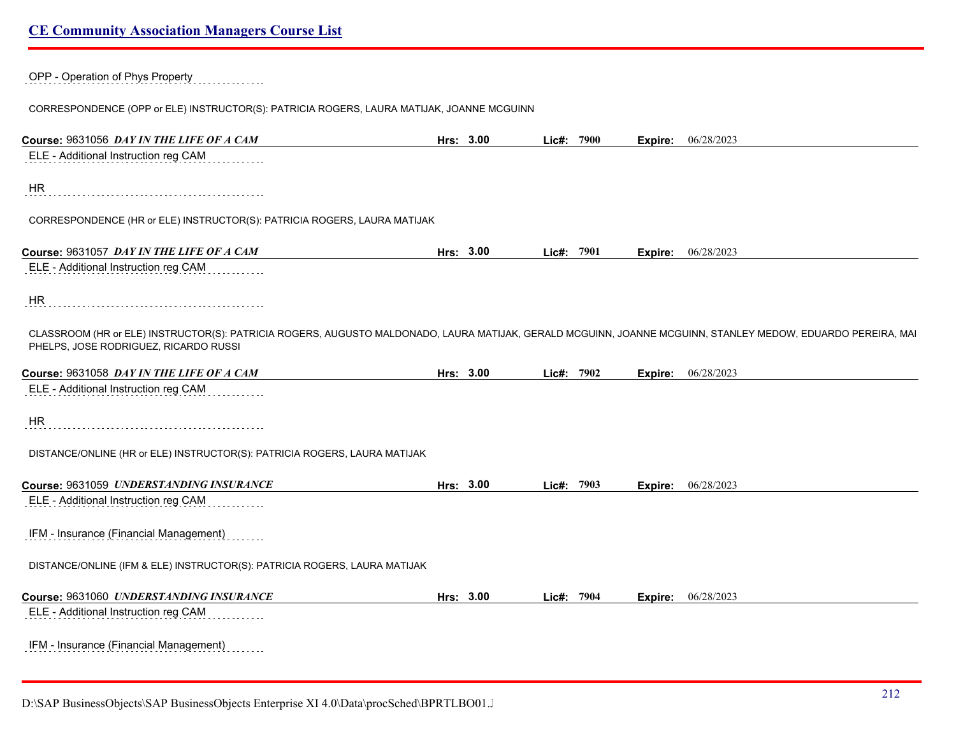| OPP - Operation of Phys Property |  |
|----------------------------------|--|
|                                  |  |

CORRESPONDENCE (OPP or ELE) INSTRUCTOR(S): PATRICIA ROGERS, LAURA MATIJAK, JOANNE MCGUINN

| Course: 9631056 DAY IN THE LIFE OF A CAM                                                                                                                                                             | Hrs: 3.00 | Lic#: 7900 | Expire: | 06/28/2023 |
|------------------------------------------------------------------------------------------------------------------------------------------------------------------------------------------------------|-----------|------------|---------|------------|
| ELE - Additional Instruction reg CAM                                                                                                                                                                 |           |            |         |            |
| <b>HR</b>                                                                                                                                                                                            |           |            |         |            |
| CORRESPONDENCE (HR or ELE) INSTRUCTOR(S): PATRICIA ROGERS, LAURA MATIJAK                                                                                                                             |           |            |         |            |
| Course: 9631057 DAY IN THE LIFE OF A CAM                                                                                                                                                             | Hrs: 3.00 | Lic#: 7901 | Expire: | 06/28/2023 |
| ELE - Additional Instruction reg CAM                                                                                                                                                                 |           |            |         |            |
| HR.                                                                                                                                                                                                  |           |            |         |            |
| CLASSROOM (HR or ELE) INSTRUCTOR(S): PATRICIA ROGERS, AUGUSTO MALDONADO, LAURA MATIJAK, GERALD MCGUINN, JOANNE MCGUINN, STANLEY MEDOW, EDUARDO PEREIRA, MAI<br>PHELPS, JOSE RODRIGUEZ, RICARDO RUSSI |           |            |         |            |
| Course: 9631058 DAY IN THE LIFE OF A CAM                                                                                                                                                             | Hrs: 3.00 | Lic#: 7902 | Expire: | 06/28/2023 |
| ELE - Additional Instruction reg CAM                                                                                                                                                                 |           |            |         |            |
| <b>HR</b>                                                                                                                                                                                            |           |            |         |            |
| DISTANCE/ONLINE (HR or ELE) INSTRUCTOR(S): PATRICIA ROGERS, LAURA MATIJAK                                                                                                                            |           |            |         |            |
| Course: 9631059 UNDERSTANDING INSURANCE                                                                                                                                                              | Hrs: 3.00 | Lic#: 7903 | Expire: | 06/28/2023 |
| ELE - Additional Instruction reg CAM                                                                                                                                                                 |           |            |         |            |
| IFM - Insurance (Financial Management)                                                                                                                                                               |           |            |         |            |
| DISTANCE/ONLINE (IFM & ELE) INSTRUCTOR(S): PATRICIA ROGERS, LAURA MATIJAK                                                                                                                            |           |            |         |            |
| Course: 9631060 UNDERSTANDING INSURANCE                                                                                                                                                              | Hrs: 3.00 | Lic#: 7904 | Expire: | 06/28/2023 |
| ELE - Additional Instruction reg CAM                                                                                                                                                                 |           |            |         |            |
| IFM - Insurance (Financial Management)                                                                                                                                                               |           |            |         |            |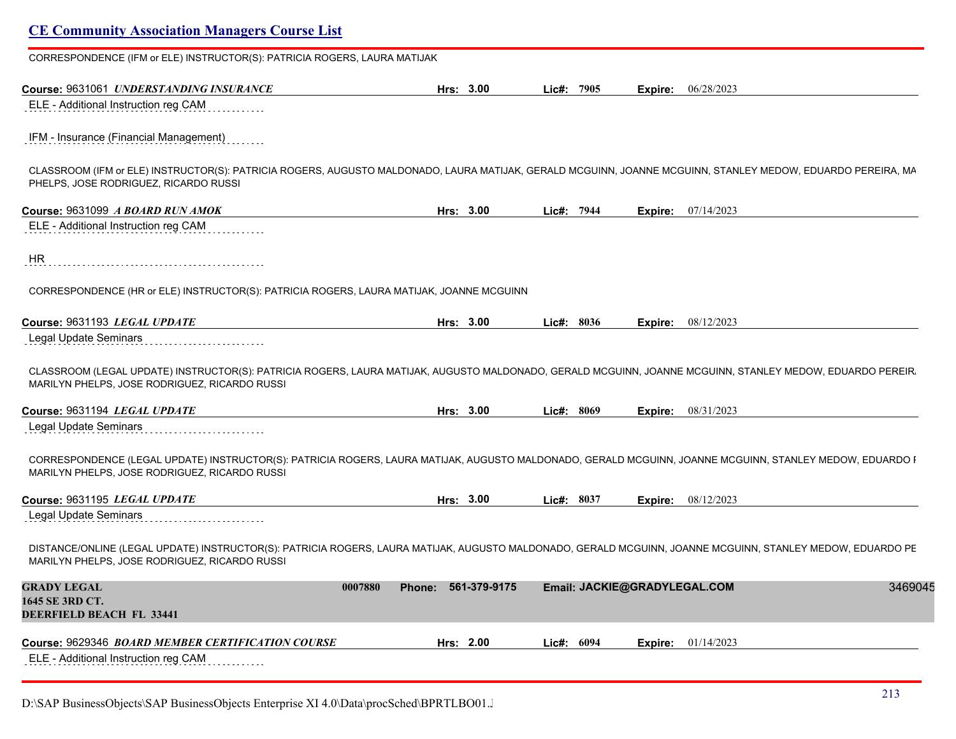| CORRESPONDENCE (IFM or ELE) INSTRUCTOR(S): PATRICIA ROGERS, LAURA MATIJAK                                                                                                                                   |                                |                              |         |                             |         |
|-------------------------------------------------------------------------------------------------------------------------------------------------------------------------------------------------------------|--------------------------------|------------------------------|---------|-----------------------------|---------|
| Course: 9631061 UNDERSTANDING INSURANCE                                                                                                                                                                     | Hrs: 3.00                      | Lic#: 7905                   | Expire: | 06/28/2023                  |         |
| ELE - Additional Instruction reg CAM                                                                                                                                                                        |                                |                              |         |                             |         |
| IFM - Insurance (Financial Management)                                                                                                                                                                      |                                |                              |         |                             |         |
| CLASSROOM (IFM or ELE) INSTRUCTOR(S): PATRICIA ROGERS, AUGUSTO MALDONADO, LAURA MATIJAK, GERALD MCGUINN, JOANNE MCGUINN, STANLEY MEDOW, EDUARDO PEREIRA, MA<br>PHELPS, JOSE RODRIGUEZ, RICARDO RUSSI        |                                |                              |         |                             |         |
| Course: 9631099 A BOARD RUN AMOK                                                                                                                                                                            | Hrs: 3.00                      | Lic#: 7944                   |         | <b>Expire:</b> $07/14/2023$ |         |
| ELE - Additional Instruction reg CAM                                                                                                                                                                        |                                |                              |         |                             |         |
| HR                                                                                                                                                                                                          |                                |                              |         |                             |         |
| CORRESPONDENCE (HR or ELE) INSTRUCTOR(S): PATRICIA ROGERS, LAURA MATIJAK, JOANNE MCGUINN                                                                                                                    |                                |                              |         |                             |         |
|                                                                                                                                                                                                             |                                |                              |         |                             |         |
|                                                                                                                                                                                                             | Hrs: 3.00                      | Lic#: 8036                   | Expire: | 08/12/2023                  |         |
| Course: 9631193 LEGAL UPDATE<br>Legal Update Seminars                                                                                                                                                       |                                |                              |         |                             |         |
| CLASSROOM (LEGAL UPDATE) INSTRUCTOR(S): PATRICIA ROGERS, LAURA MATIJAK, AUGUSTO MALDONADO, GERALD MCGUINN, JOANNE MCGUINN, STANLEY MEDOW, EDUARDO PEREIR.<br>MARILYN PHELPS, JOSE RODRIGUEZ, RICARDO RUSSI  |                                |                              |         |                             |         |
| Course: 9631194 LEGAL UPDATE                                                                                                                                                                                | Hrs: 3.00                      | Lic#: 8069                   |         | <b>Expire:</b> 08/31/2023   |         |
| Legal Update Seminars                                                                                                                                                                                       |                                |                              |         |                             |         |
| CORRESPONDENCE (LEGAL UPDATE) INSTRUCTOR(S): PATRICIA ROGERS, LAURA MATIJAK, AUGUSTO MALDONADO, GERALD MCGUINN, JOANNE MCGUINN, STANLEY MEDOW, EDUARDO I<br>MARILYN PHELPS, JOSE RODRIGUEZ, RICARDO RUSSI   |                                |                              |         |                             |         |
| Course: 9631195 LEGAL UPDATE                                                                                                                                                                                | Hrs: 3.00                      | Lic#: 8037                   |         | <b>Expire:</b> 08/12/2023   |         |
| <b>Legal Update Seminars</b>                                                                                                                                                                                |                                |                              |         |                             |         |
| DISTANCE/ONLINE (LEGAL UPDATE) INSTRUCTOR(S): PATRICIA ROGERS, LAURA MATIJAK, AUGUSTO MALDONADO, GERALD MCGUINN, JOANNE MCGUINN, STANLEY MEDOW, EDUARDO PE<br>MARILYN PHELPS, JOSE RODRIGUEZ, RICARDO RUSSI |                                |                              |         |                             |         |
| <b>GRADY LEGAL</b>                                                                                                                                                                                          | Phone: 561-379-9175<br>0007880 | Email: JACKIE@GRADYLEGAL.COM |         |                             | 3469045 |
| 1645 SE 3RD CT.<br>DEERFIELD BEACH FL 33441                                                                                                                                                                 |                                |                              |         |                             |         |
| Course: 9629346 BOARD MEMBER CERTIFICATION COURSE                                                                                                                                                           | Hrs: 2.00                      | Lic#: 6094                   | Expire: | 01/14/2023                  |         |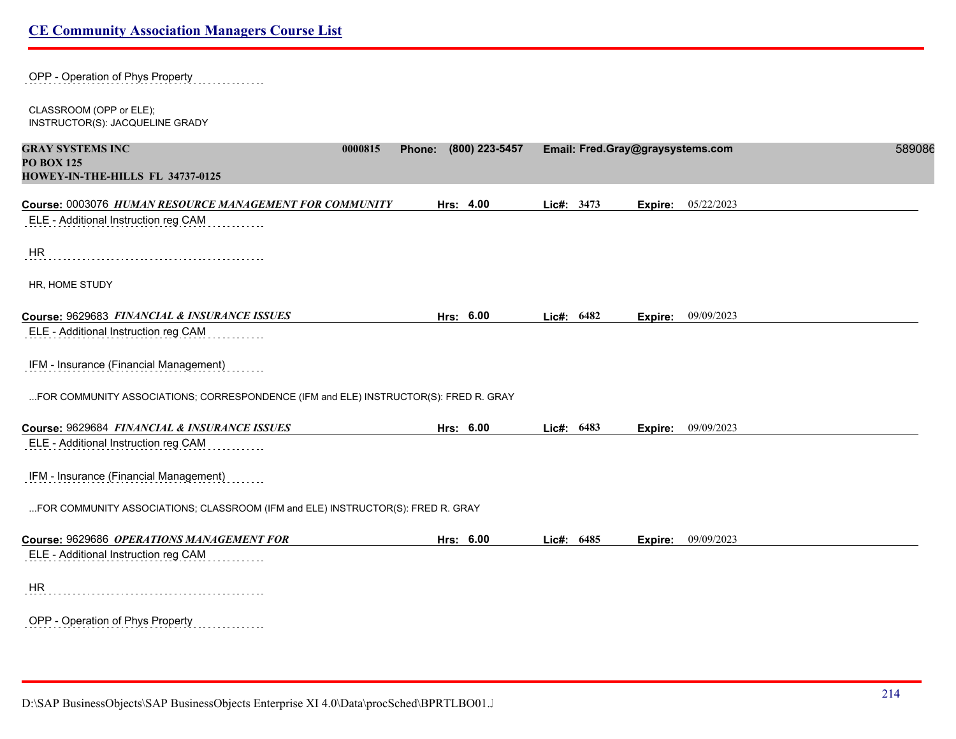| OPP - Operation of Phys Property                                                     |                          |            |                                  |        |
|--------------------------------------------------------------------------------------|--------------------------|------------|----------------------------------|--------|
| CLASSROOM (OPP or ELE);<br>INSTRUCTOR(S): JACQUELINE GRADY                           |                          |            |                                  |        |
| <b>GRAY SYSTEMS INC</b><br>0000815                                                   | (800) 223-5457<br>Phone: |            | Email: Fred.Gray@graysystems.com | 589086 |
| <b>PO BOX 125</b><br>HOWEY-IN-THE-HILLS FL 34737-0125                                |                          |            |                                  |        |
| Course: 0003076 HUMAN RESOURCE MANAGEMENT FOR COMMUNITY                              | Hrs: 4.00                | Lic#: 3473 | 05/22/2023<br>Expire:            |        |
| ELE - Additional Instruction reg CAM                                                 |                          |            |                                  |        |
| <b>HR</b>                                                                            |                          |            |                                  |        |
| HR, HOME STUDY                                                                       |                          |            |                                  |        |
| Course: 9629683 FINANCIAL & INSURANCE ISSUES                                         | Hrs: 6.00                | Lic#: 6482 | 09/09/2023<br>Expire:            |        |
| ELE - Additional Instruction reg CAM                                                 |                          |            |                                  |        |
| IFM - Insurance (Financial Management)                                               |                          |            |                                  |        |
| FOR COMMUNITY ASSOCIATIONS; CORRESPONDENCE (IFM and ELE) INSTRUCTOR(S): FRED R. GRAY |                          |            |                                  |        |
| Course: 9629684 FINANCIAL & INSURANCE ISSUES                                         | Hrs: 6.00                | Lic#: 6483 | 09/09/2023<br>Expire:            |        |
| ELE - Additional Instruction reg CAM                                                 |                          |            |                                  |        |
| IFM - Insurance (Financial Management)                                               |                          |            |                                  |        |
| FOR COMMUNITY ASSOCIATIONS; CLASSROOM (IFM and ELE) INSTRUCTOR(S): FRED R. GRAY      |                          |            |                                  |        |
| Course: 9629686 OPERATIONS MANAGEMENT FOR                                            | Hrs: 6.00                | Lic#: 6485 | 09/09/2023<br>Expire:            |        |
| ELE - Additional Instruction reg CAM                                                 |                          |            |                                  |        |
| <b>HR</b>                                                                            |                          |            |                                  |        |
| OPP - Operation of Phys Property<br>.                                                |                          |            |                                  |        |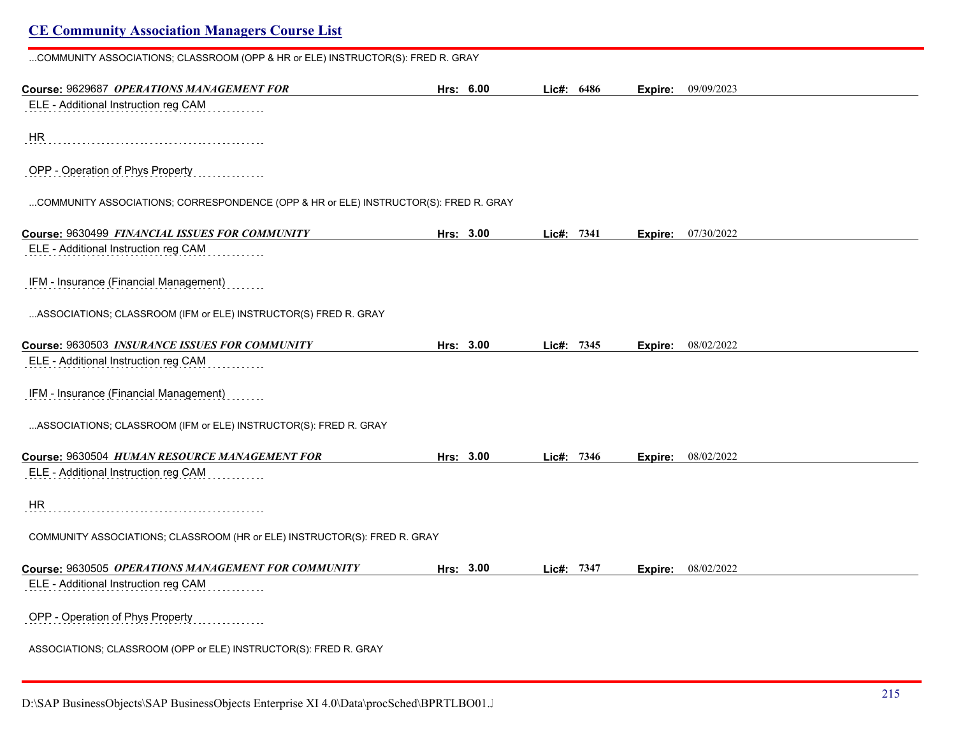| COMMUNITY ASSOCIATIONS; CLASSROOM (OPP & HR or ELE) INSTRUCTOR(S): FRED R. GRAY      |           |            |         |                    |  |
|--------------------------------------------------------------------------------------|-----------|------------|---------|--------------------|--|
| Course: 9629687 OPERATIONS MANAGEMENT FOR                                            | Hrs: 6.00 | Lic#: 6486 |         | Expire: 09/09/2023 |  |
| ELE - Additional Instruction reg CAM                                                 |           |            |         |                    |  |
| HR                                                                                   |           |            |         |                    |  |
| OPP - Operation of Phys Property                                                     |           |            |         |                    |  |
| COMMUNITY ASSOCIATIONS; CORRESPONDENCE (OPP & HR or ELE) INSTRUCTOR(S): FRED R. GRAY |           |            |         |                    |  |
| Course: 9630499 FINANCIAL ISSUES FOR COMMUNITY                                       | Hrs: 3.00 | Lic#: 7341 | Expire: | 07/30/2022         |  |
| ELE - Additional Instruction reg CAM                                                 |           |            |         |                    |  |
| IFM - Insurance (Financial Management)                                               |           |            |         |                    |  |
| ASSOCIATIONS; CLASSROOM (IFM or ELE) INSTRUCTOR(S) FRED R. GRAY                      |           |            |         |                    |  |
| Course: 9630503 INSURANCE ISSUES FOR COMMUNITY                                       | Hrs: 3.00 | Lic#: 7345 | Expire: | 08/02/2022         |  |
| ELE - Additional Instruction reg CAM                                                 |           |            |         |                    |  |
| IFM - Insurance (Financial Management)                                               |           |            |         |                    |  |
| ASSOCIATIONS;        CLASSROOM (IFM or ELE) INSTRUCTOR(S):        FRED R. GRAY       |           |            |         |                    |  |
| Course: 9630504 HUMAN RESOURCE MANAGEMENT FOR                                        | Hrs: 3.00 | Lic#: 7346 | Expire: | 08/02/2022         |  |
| ELE - Additional Instruction reg CAM                                                 |           |            |         |                    |  |
| HR                                                                                   |           |            |         |                    |  |
| COMMUNITY ASSOCIATIONS; CLASSROOM (HR or ELE) INSTRUCTOR(S): FRED R. GRAY            |           |            |         |                    |  |
| Course: 9630505 OPERATIONS MANAGEMENT FOR COMMUNITY                                  | Hrs: 3.00 | Lic#: 7347 | Expire: | 08/02/2022         |  |
| ELE - Additional Instruction reg CAM                                                 |           |            |         |                    |  |
| OPP - Operation of Phys Property                                                     |           |            |         |                    |  |
| ASSOCIATIONS; CLASSROOM (OPP or ELE) INSTRUCTOR(S): FRED R. GRAY                     |           |            |         |                    |  |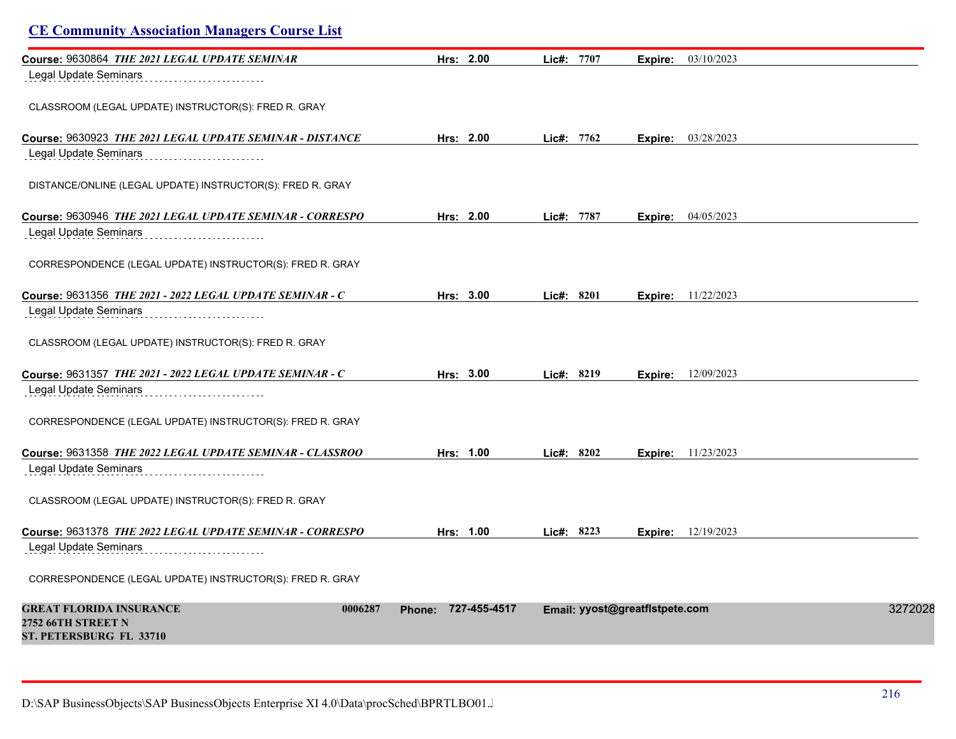| <b>CE Community Association Managers Course List</b>            |                     |               |                                |         |
|-----------------------------------------------------------------|---------------------|---------------|--------------------------------|---------|
| Course: 9630864 THE 2021 LEGAL UPDATE SEMINAR                   | Hrs: $2.00$         | Lic#: 7707    | 03/10/2023<br>Expire:          |         |
| Legal Update Seminars                                           |                     |               |                                |         |
| CLASSROOM (LEGAL UPDATE) INSTRUCTOR(S): FRED R. GRAY            |                     |               |                                |         |
| Course: 9630923 THE 2021 LEGAL UPDATE SEMINAR - DISTANCE        | Hrs: 2.00           | Lie#: 7762    | <b>Expire:</b> 03/28/2023      |         |
| Legal Update Seminars                                           |                     |               |                                |         |
| DISTANCE/ONLINE (LEGAL UPDATE) INSTRUCTOR(S): FRED R. GRAY      |                     |               |                                |         |
| Course: 9630946 THE 2021 LEGAL UPDATE SEMINAR - CORRESPO        | Hrs: 2.00           | Lic#: 7787    | 04/05/2023<br>Expire:          |         |
| Legal Update Seminars                                           |                     |               |                                |         |
| CORRESPONDENCE (LEGAL UPDATE) INSTRUCTOR(S): FRED R. GRAY       |                     |               |                                |         |
| <b>Course: 9631356 THE 2021 - 2022 LEGAL UPDATE SEMINAR - C</b> | Hrs: 3.00           | Lie#: 8201    | <b>Expire:</b> $11/22/2023$    |         |
| Legal Update Seminars                                           |                     |               |                                |         |
| CLASSROOM (LEGAL UPDATE) INSTRUCTOR(S): FRED R. GRAY            |                     |               |                                |         |
| Course: 9631357 THE 2021 - 2022 LEGAL UPDATE SEMINAR - C        | Hrs: 3.00           | Lic#: 8219    | 12/09/2023<br>Expire:          |         |
| Legal Update Seminars                                           |                     |               |                                |         |
| CORRESPONDENCE (LEGAL UPDATE) INSTRUCTOR(S): FRED R. GRAY       |                     |               |                                |         |
| Course: 9631358 THE 2022 LEGAL UPDATE SEMINAR - CLASSROO        | Hrs: 1.00           | Lic#: 8202    | <b>Expire:</b> 11/23/2023      |         |
| Legal Update Seminars                                           |                     |               |                                |         |
| CLASSROOM (LEGAL UPDATE) INSTRUCTOR(S): FRED R. GRAY            |                     |               |                                |         |
| Course: 9631378 THE 2022 LEGAL UPDATE SEMINAR - CORRESPO        | Hrs: 1.00           | $Lic\#: 8223$ | <b>Expire:</b> $12/19/2023$    |         |
| Legal Update Seminars                                           |                     |               |                                |         |
| CORRESPONDENCE (LEGAL UPDATE) INSTRUCTOR(S): FRED R. GRAY       |                     |               |                                |         |
| <b>GREAT FLORIDA INSURANCE</b><br>0006287                       | Phone: 727-455-4517 |               | Email: yyost@greatflstpete.com | 3272028 |
| 2752 66TH STREET N<br><b>ST. PETERSBURG FL 33710</b>            |                     |               |                                |         |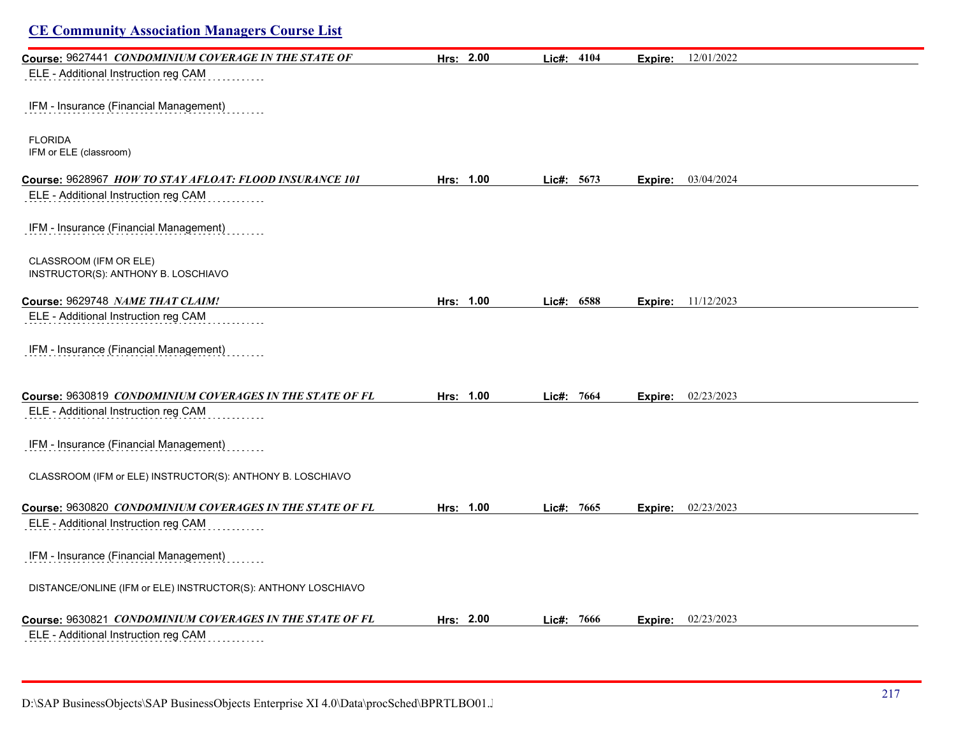| <b>CE Community Association Managers Course List</b>          |           |            |                           |  |
|---------------------------------------------------------------|-----------|------------|---------------------------|--|
| Course: 9627441 CONDOMINIUM COVERAGE IN THE STATE OF          | Hrs: 2.00 | Lic#: 4104 | 12/01/2022<br>Expire:     |  |
| ELE - Additional Instruction reg CAM                          |           |            |                           |  |
| IFM - Insurance (Financial Management)                        |           |            |                           |  |
| <b>FLORIDA</b><br>IFM or ELE (classroom)                      |           |            |                           |  |
| Course: 9628967 HOW TO STAY AFLOAT: FLOOD INSURANCE 101       | Hrs: 1.00 | Lic#: 5673 | 03/04/2024<br>Expire:     |  |
| ELE - Additional Instruction reg CAM                          |           |            |                           |  |
| IFM - Insurance (Financial Management)                        |           |            |                           |  |
| CLASSROOM (IFM OR ELE)<br>INSTRUCTOR(S): ANTHONY B. LOSCHIAVO |           |            |                           |  |
| Course: 9629748 NAME THAT CLAIM!                              | Hrs: 1.00 | Lic#: 6588 | <b>Expire:</b> 11/12/2023 |  |
| ELE - Additional Instruction reg CAM                          |           |            |                           |  |
| IFM - Insurance (Financial Management)                        |           |            |                           |  |
| Course: 9630819 CONDOMINIUM COVERAGES IN THE STATE OF FL      | Hrs: 1.00 | Lic#: 7664 | 02/23/2023<br>Expire:     |  |
| ELE - Additional Instruction reg CAM                          |           |            |                           |  |
| IFM - Insurance (Financial Management)                        |           |            |                           |  |
| CLASSROOM (IFM or ELE) INSTRUCTOR(S): ANTHONY B. LOSCHIAVO    |           |            |                           |  |
| Course: 9630820 CONDOMINIUM COVERAGES IN THE STATE OF FL      | Hrs: 1.00 | Lic#: 7665 | 02/23/2023<br>Expire:     |  |
| ELE - Additional Instruction reg CAM                          |           |            |                           |  |
| IFM - Insurance (Financial Management)                        |           |            |                           |  |
| DISTANCE/ONLINE (IFM or ELE) INSTRUCTOR(S): ANTHONY LOSCHIAVO |           |            |                           |  |
| Course: 9630821 CONDOMINIUM COVERAGES IN THE STATE OF FL      | Hrs: 2.00 | Lic#: 7666 | 02/23/2023<br>Expire:     |  |
| ELE - Additional Instruction reg CAM                          |           |            |                           |  |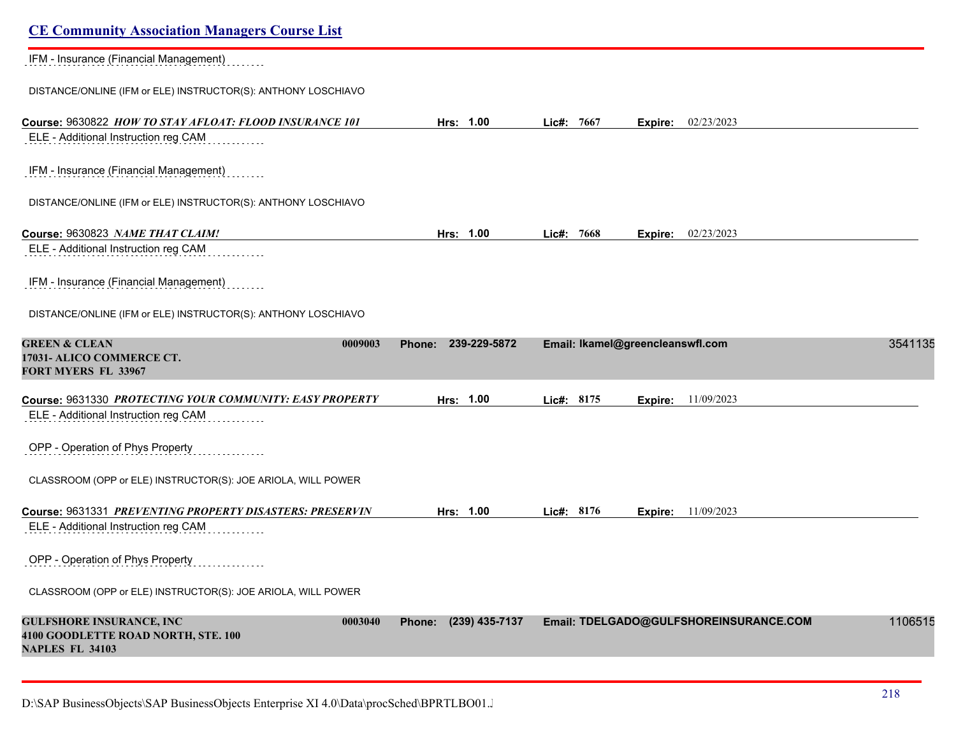| <b>CE Community Association Managers Course List</b>                                                        |                          |                                         |         |
|-------------------------------------------------------------------------------------------------------------|--------------------------|-----------------------------------------|---------|
| IFM - Insurance (Financial Management)                                                                      |                          |                                         |         |
| DISTANCE/ONLINE (IFM or ELE) INSTRUCTOR(S): ANTHONY LOSCHIAVO                                               |                          |                                         |         |
| Course: 9630822 HOW TO STAY AFLOAT: FLOOD INSURANCE 101                                                     | Hrs: 1.00                | Lic#: 7667<br>02/23/2023<br>Expire:     |         |
| ELE - Additional Instruction reg CAM                                                                        |                          |                                         |         |
| IFM - Insurance (Financial Management)                                                                      |                          |                                         |         |
| DISTANCE/ONLINE (IFM or ELE) INSTRUCTOR(S): ANTHONY LOSCHIAVO                                               |                          |                                         |         |
| Course: 9630823 NAME THAT CLAIM!                                                                            | Hrs: 1.00                | 02/23/2023<br>Lic#: 7668<br>Expire:     |         |
| ELE - Additional Instruction reg CAM                                                                        |                          |                                         |         |
| IFM - Insurance (Financial Management)                                                                      |                          |                                         |         |
| DISTANCE/ONLINE (IFM or ELE) INSTRUCTOR(S): ANTHONY LOSCHIAVO                                               |                          |                                         |         |
| <b>GREEN &amp; CLEAN</b><br>0009003                                                                         | 239-229-5872<br>Phone:   | Email: Ikamel@greencleanswfl.com        | 3541135 |
| 17031- ALICO COMMERCE CT.<br>FORT MYERS FL 33967                                                            |                          |                                         |         |
| Course: 9631330 PROTECTING YOUR COMMUNITY: EASY PROPERTY                                                    | Hrs: 1.00                | 11/09/2023<br>Lic#: 8175<br>Expire:     |         |
| ELE - Additional Instruction reg CAM                                                                        |                          |                                         |         |
| OPP - Operation of Phys Property                                                                            |                          |                                         |         |
| CLASSROOM (OPP or ELE) INSTRUCTOR(S): JOE ARIOLA, WILL POWER                                                |                          |                                         |         |
| Course: 9631331 PREVENTING PROPERTY DISASTERS: PRESERVIN                                                    | Hrs: 1.00                | Lic#: 8176<br><b>Expire:</b> 11/09/2023 |         |
| ELE - Additional Instruction reg CAM                                                                        |                          |                                         |         |
| OPP - Operation of Phys Property<br>.                                                                       |                          |                                         |         |
| CLASSROOM (OPP or ELE) INSTRUCTOR(S): JOE ARIOLA, WILL POWER                                                |                          |                                         |         |
| <b>GULFSHORE INSURANCE, INC</b><br>0003040<br>4100 GOODLETTE ROAD NORTH, STE. 100<br><b>NAPLES FL 34103</b> | (239) 435-7137<br>Phone: | Email: TDELGADO@GULFSHOREINSURANCE.COM  | 1106515 |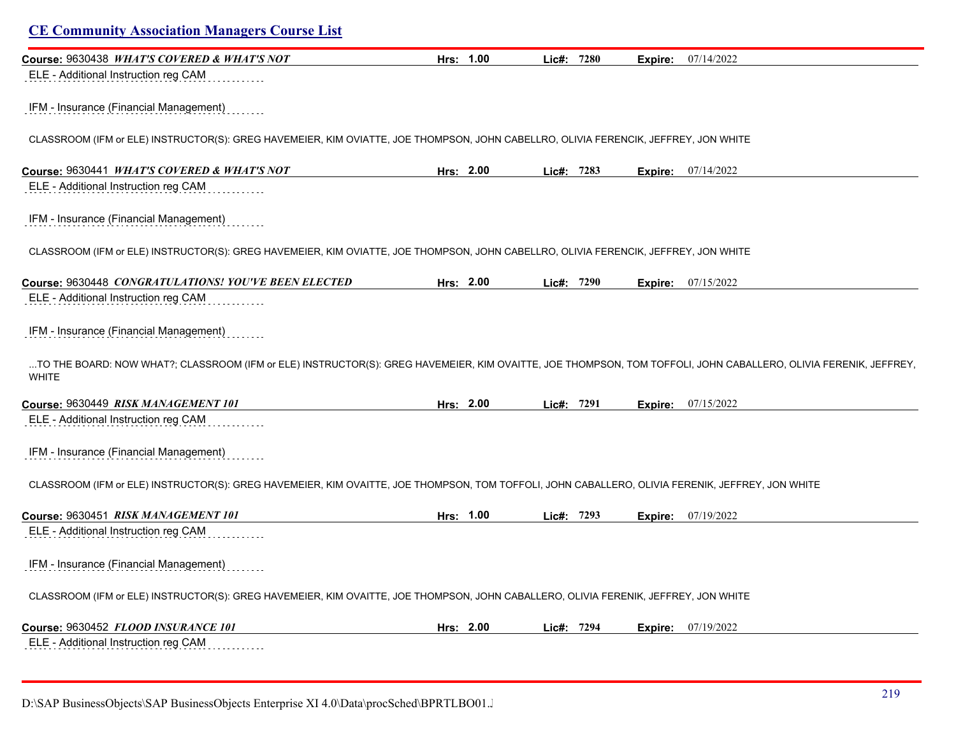| Course: 9630438 WHAT'S COVERED & WHAT'S NOT                                                                                                                                     | Hrs: 1.00 | Lic#: 7280 | 07/14/2022<br>Expire:       |  |
|---------------------------------------------------------------------------------------------------------------------------------------------------------------------------------|-----------|------------|-----------------------------|--|
| ELE - Additional Instruction reg CAM                                                                                                                                            |           |            |                             |  |
| IFM - Insurance (Financial Management)                                                                                                                                          |           |            |                             |  |
| CLASSROOM (IFM or ELE) INSTRUCTOR(S): GREG HAVEMEIER, KIM OVIATTE, JOE THOMPSON, JOHN CABELLRO, OLIVIA FERENCIK, JEFFREY, JON WHITE                                             |           |            |                             |  |
| Course: 9630441 WHAT'S COVERED & WHAT'S NOT                                                                                                                                     | Hrs: 2.00 | Lic#: 7283 | <b>Expire:</b> 07/14/2022   |  |
| ELE - Additional Instruction reg CAM                                                                                                                                            |           |            |                             |  |
| IFM - Insurance (Financial Management)                                                                                                                                          |           |            |                             |  |
| CLASSROOM (IFM or ELE) INSTRUCTOR(S): GREG HAVEMEIER, KIM OVIATTE, JOE THOMPSON, JOHN CABELLRO, OLIVIA FERENCIK, JEFFREY, JON WHITE                                             |           |            |                             |  |
| Course: 9630448 CONGRATULATIONS! YOU'VE BEEN ELECTED                                                                                                                            | Hrs: 2.00 | Lic#: 7290 | <b>Expire:</b> 07/15/2022   |  |
| ELE - Additional Instruction reg CAM                                                                                                                                            |           |            |                             |  |
|                                                                                                                                                                                 |           |            |                             |  |
| IFM - Insurance (Financial Management)                                                                                                                                          |           |            |                             |  |
| TO THE BOARD: NOW WHAT?; CLASSROOM (IFM or ELE) INSTRUCTOR(S): GREG HAVEMEIER, KIM OVAITTE, JOE THOMPSON, TOM TOFFOLI, JOHN CABALLERO, OLIVIA FERENIK, JEFFREY,<br><b>WHITE</b> |           |            |                             |  |
|                                                                                                                                                                                 | Hrs: 2.00 | Lic#: 7291 | <b>Expire:</b> 07/15/2022   |  |
| Course: 9630449 RISK MANAGEMENT 101<br>ELE - Additional Instruction reg CAM                                                                                                     |           |            |                             |  |
| IFM - Insurance (Financial Management)                                                                                                                                          |           |            |                             |  |
| CLASSROOM (IFM or ELE) INSTRUCTOR(S): GREG HAVEMEIER, KIM OVAITTE, JOE THOMPSON, TOM TOFFOLI, JOHN CABALLERO, OLIVIA FERENIK, JEFFREY, JON WHITE                                |           |            |                             |  |
|                                                                                                                                                                                 | Hrs: 1.00 | Lic#: 7293 | 07/19/2022<br>Expire:       |  |
| ELE - Additional Instruction reg CAM                                                                                                                                            |           |            |                             |  |
| IFM - Insurance (Financial Management)                                                                                                                                          |           |            |                             |  |
| CLASSROOM (IFM or ELE) INSTRUCTOR(S): GREG HAVEMEIER, KIM OVAITTE, JOE THOMPSON, JOHN CABALLERO, OLIVIA FERENIK, JEFFREY, JON WHITE                                             |           |            |                             |  |
| Course: 9630451 RISK MANAGEMENT 101<br>Course: 9630452 FLOOD INSURANCE 101                                                                                                      | Hrs: 2.00 | Lic#: 7294 | <b>Expire:</b> $07/19/2022$ |  |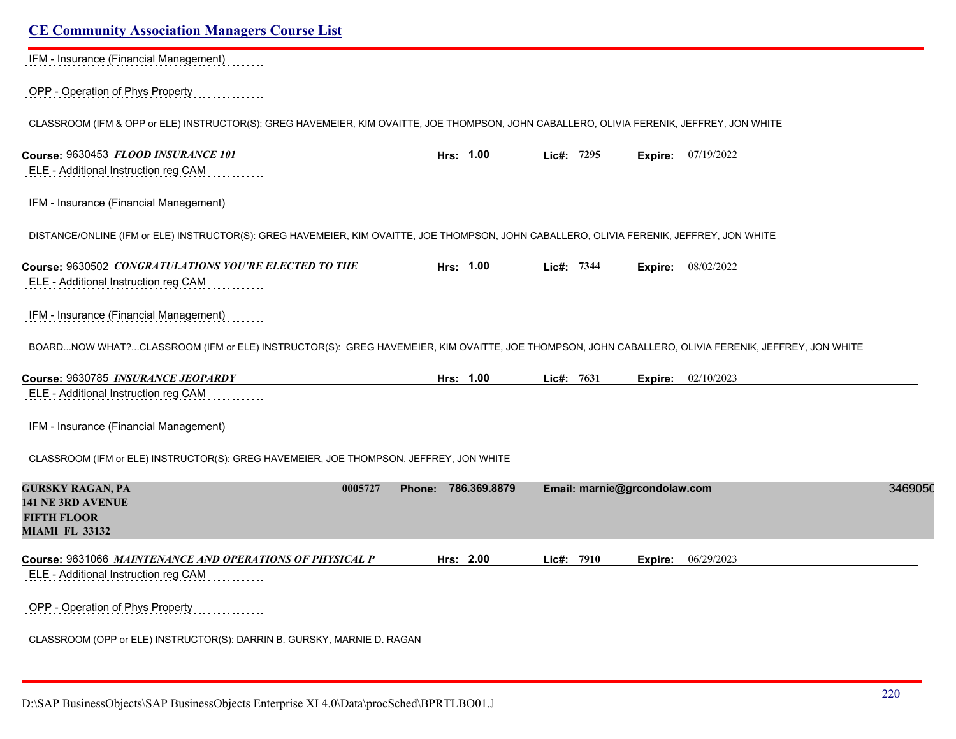# **CE Community Association Managers Course List** IFM - Insurance (Financial Management) OPP - Operation of Phys Property CLASSROOM (IFM & OPP or ELE) INSTRUCTOR(S): GREG HAVEMEIER, KIM OVAITTE, JOE THOMPSON, JOHN CABALLERO, OLIVIA FERENIK, JEFFREY, JON WHITE **Course:** 9630453 *FLOOD INSURANCE 101* **Hrs: 1.00 Lic#: 7295 Expire:** 07/19/2022 ELE - Additional Instruction reg CAM IFM - Insurance (Financial Management) DISTANCE/ONLINE (IFM or ELE) INSTRUCTOR(S): GREG HAVEMEIER, KIM OVAITTE, JOE THOMPSON, JOHN CABALLERO, OLIVIA FERENIK, JEFFREY, JON WHITE **Course:** 9630502 *CONGRATULATIONS YOU'RE ELECTED TO THE* **Hrs: 1.00 Lic#: 7344 Expire:** 08/02/2022 ELE - Additional Instruction reg CAM IFM - Insurance (Financial Management) BOARD...NOW WHAT?...CLASSROOM (IFM or ELE) INSTRUCTOR(S): GREG HAVEMEIER, KIM OVAITTE, JOE THOMPSON, JOHN CABALLERO, OLIVIA FERENIK, JEFFREY, JON WHITE **Course:** 9630785 *INSURANCE JEOPARDY* **Hrs: 1.00 Lic#: 7631 Expire:** 02/10/2023 ELE - Additional Instruction reg CAM IFM - Insurance (Financial Management) CLASSROOM (IFM or ELE) INSTRUCTOR(S): GREG HAVEMEIER, JOE THOMPSON, JEFFREY, JON WHITE **GURSKY RAGAN, PA 0005727 Phone: 786.369.8879 Email: marnie@grcondolaw.com** 34690506 **141 NE 3RD AVENUE FIFTH FLOOR MIAMI FL 33132 Course:** 9631066 *MAINTENANCE AND OPERATIONS OF PHYSICAL P* **Hrs: 2.00 Lic#: 7910 Expire:** 06/29/2023 ELE - Additional Instruction reg CAM OPP - Operation of Phys Property CLASSROOM (OPP or ELE) INSTRUCTOR(S): DARRIN B. GURSKY, MARNIE D. RAGAN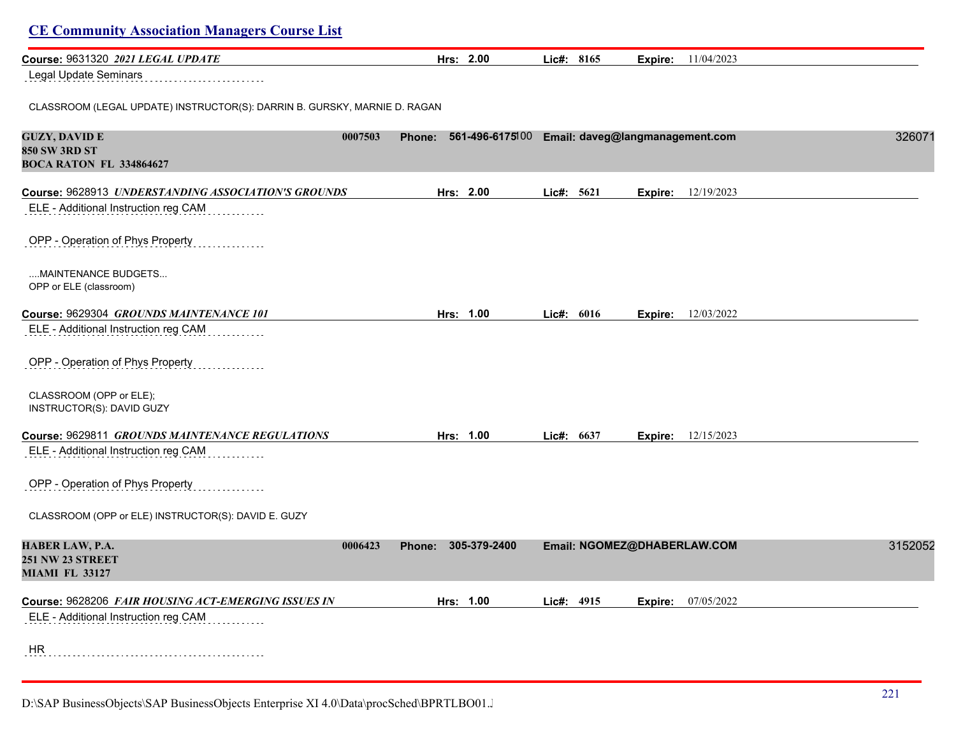| Course: 9631320 2021 LEGAL UPDATE                                                         | Hrs: 2.00                                                 | Lic#: 8165 |         | <b>Expire:</b> 11/04/2023   |         |
|-------------------------------------------------------------------------------------------|-----------------------------------------------------------|------------|---------|-----------------------------|---------|
| Legal Update Seminars                                                                     |                                                           |            |         |                             |         |
| CLASSROOM (LEGAL UPDATE) INSTRUCTOR(S): DARRIN B. GURSKY, MARNIE D. RAGAN                 |                                                           |            |         |                             |         |
| <b>GUZY, DAVID E</b><br>0007503<br><b>850 SW 3RD ST</b><br><b>BOCA RATON FL 334864627</b> | 561-496-6175100 Email: daveg@langmanagement.com<br>Phone: |            |         |                             | 326071  |
| Course: 9628913 UNDERSTANDING ASSOCIATION'S GROUNDS                                       | Hrs: 2.00                                                 | Lic#: 5621 | Expire: | 12/19/2023                  |         |
| ELE - Additional Instruction reg CAM                                                      |                                                           |            |         |                             |         |
| OPP - Operation of Phys Property                                                          |                                                           |            |         |                             |         |
| MAINTENANCE BUDGETS<br>OPP or ELE (classroom)                                             |                                                           |            |         |                             |         |
| Course: 9629304 GROUNDS MAINTENANCE 101                                                   | Hrs: 1.00                                                 | Lic#: 6016 | Expire: | 12/03/2022                  |         |
| ELE - Additional Instruction reg CAM                                                      |                                                           |            |         |                             |         |
| OPP - Operation of Phys Property                                                          |                                                           |            |         |                             |         |
| CLASSROOM (OPP or ELE);<br>INSTRUCTOR(S): DAVID GUZY                                      |                                                           |            |         |                             |         |
| Course: 9629811 GROUNDS MAINTENANCE REGULATIONS                                           | Hrs: 1.00                                                 | Lic#: 6637 |         | <b>Expire:</b> 12/15/2023   |         |
| ELE - Additional Instruction reg CAM                                                      |                                                           |            |         |                             |         |
| OPP - Operation of Phys Property                                                          |                                                           |            |         |                             |         |
| CLASSROOM (OPP or ELE) INSTRUCTOR(S): DAVID E. GUZY                                       |                                                           |            |         |                             |         |
| HABER LAW, P.A.<br>0006423<br><b>251 NW 23 STREET</b>                                     | 305-379-2400<br>Phone:                                    |            |         | Email: NGOMEZ@DHABERLAW.COM | 3152052 |
| <b>MIAMI FL 33127</b>                                                                     |                                                           |            |         |                             |         |
| Course: 9628206 FAIR HOUSING ACT-EMERGING ISSUES IN                                       | Hrs: 1.00                                                 | Lic#: 4915 |         | <b>Expire:</b> 07/05/2022   |         |
| ELE - Additional Instruction reg CAM                                                      |                                                           |            |         |                             |         |
| HR                                                                                        |                                                           |            |         |                             |         |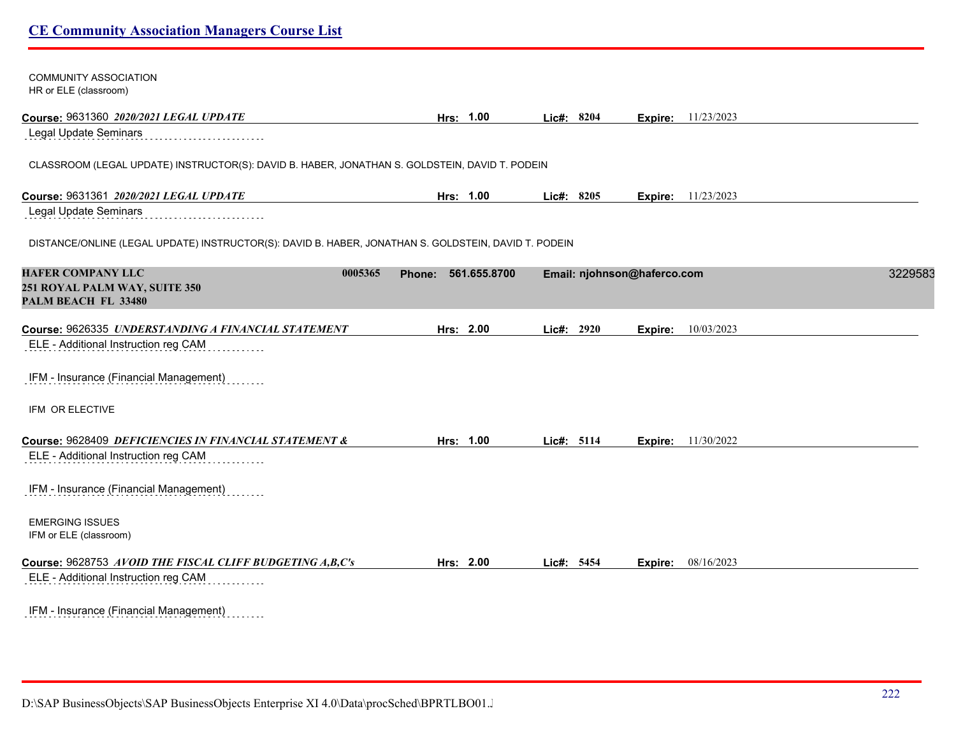| <b>COMMUNITY ASSOCIATION</b><br>HR or ELE (classroom)                                                |                               |            |                             |         |
|------------------------------------------------------------------------------------------------------|-------------------------------|------------|-----------------------------|---------|
| Course: 9631360 2020/2021 LEGAL UPDATE                                                               | Hrs: 1.00                     | Lic#: 8204 | <b>Expire:</b> 11/23/2023   |         |
| Legal Update Seminars                                                                                |                               |            |                             |         |
| CLASSROOM (LEGAL UPDATE) INSTRUCTOR(S): DAVID B. HABER, JONATHAN S. GOLDSTEIN, DAVID T. PODEIN       |                               |            |                             |         |
| Course: 9631361 2020/2021 LEGAL UPDATE                                                               | Hrs: 1.00                     | Lic#: 8205 | <b>Expire:</b> 11/23/2023   |         |
| Legal Update Seminars                                                                                |                               |            |                             |         |
| DISTANCE/ONLINE (LEGAL UPDATE) INSTRUCTOR(S): DAVID B. HABER, JONATHAN S. GOLDSTEIN, DAVID T. PODEIN |                               |            |                             |         |
| <b>HAFER COMPANY LLC</b><br>0005365<br>251 ROYAL PALM WAY, SUITE 350<br>PALM BEACH FL 33480          | 561.655.8700<br><b>Phone:</b> |            | Email: njohnson@haferco.com | 3229583 |
| Course: 9626335 UNDERSTANDING A FINANCIAL STATEMENT                                                  | Hrs: 2.00                     | Lic#: 2920 | 10/03/2023<br>Expire:       |         |
| ELE - Additional Instruction reg CAM                                                                 |                               |            |                             |         |
| IFM - Insurance (Financial Management)                                                               |                               |            |                             |         |
| IFM OR ELECTIVE                                                                                      |                               |            |                             |         |
| Course: 9628409 DEFICIENCIES IN FINANCIAL STATEMENT &<br>ELE - Additional Instruction reg CAM        | Hrs: 1.00                     | Lic#: 5114 | 11/30/2022<br>Expire:       |         |
| IFM - Insurance (Financial Management)                                                               |                               |            |                             |         |
| <b>EMERGING ISSUES</b><br>IFM or ELE (classroom)                                                     |                               |            |                             |         |
| Course: 9628753 AVOID THE FISCAL CLIFF BUDGETING A,B,C's                                             | Hrs: 2.00                     | Lic#: 5454 | <b>Expire:</b> 08/16/2023   |         |
| ELE - Additional Instruction reg CAM                                                                 |                               |            |                             |         |
| IFM - Insurance (Financial Management)                                                               |                               |            |                             |         |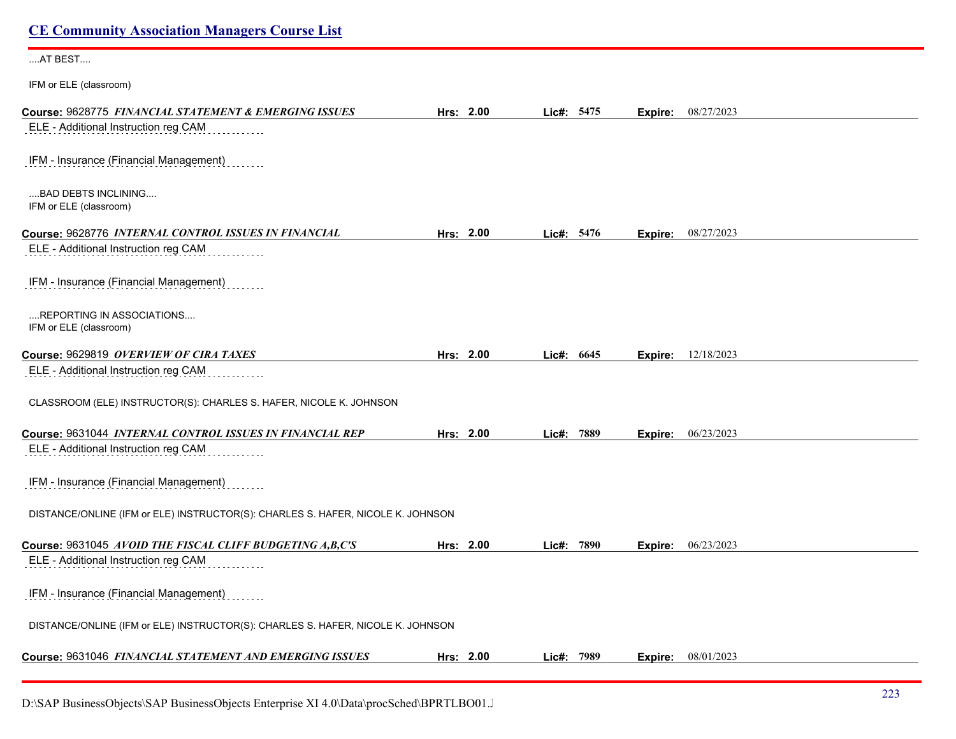| <b>CE Community Association Managers Course List</b>                                          |           |            |         |                           |
|-----------------------------------------------------------------------------------------------|-----------|------------|---------|---------------------------|
| AT BEST                                                                                       |           |            |         |                           |
| IFM or ELE (classroom)                                                                        |           |            |         |                           |
| Course: 9628775 FINANCIAL STATEMENT & EMERGING ISSUES<br>ELE - Additional Instruction reg CAM | Hrs: 2.00 | Lic#: 5475 | Expire: | 08/27/2023                |
| IFM - Insurance (Financial Management)                                                        |           |            |         |                           |
| BAD DEBTS INCLINING<br>IFM or ELE (classroom)                                                 |           |            |         |                           |
| Course: 9628776 INTERNAL CONTROL ISSUES IN FINANCIAL                                          | Hrs: 2.00 | Lic#: 5476 |         | <b>Expire:</b> 08/27/2023 |
| ELE - Additional Instruction reg CAM                                                          |           |            |         |                           |
| IFM - Insurance (Financial Management)                                                        |           |            |         |                           |
| REPORTING IN ASSOCIATIONS<br>IFM or ELE (classroom)                                           |           |            |         |                           |
| Course: 9629819 OVERVIEW OF CIRA TAXES                                                        | Hrs: 2.00 | Lic#: 6645 | Expire: | 12/18/2023                |
| ELE - Additional Instruction reg CAM                                                          |           |            |         |                           |
| CLASSROOM (ELE) INSTRUCTOR(S): CHARLES S. HAFER, NICOLE K. JOHNSON                            |           |            |         |                           |
| Course: 9631044 INTERNAL CONTROL ISSUES IN FINANCIAL REP                                      | Hrs: 2.00 | Lic#: 7889 |         | Expire: 06/23/2023        |
| ELE - Additional Instruction reg CAM                                                          |           |            |         |                           |
| IFM - Insurance (Financial Management)                                                        |           |            |         |                           |
| DISTANCE/ONLINE (IFM or ELE) INSTRUCTOR(S): CHARLES S. HAFER, NICOLE K. JOHNSON               |           |            |         |                           |
| Course: 9631045 AVOID THE FISCAL CLIFF BUDGETING A,B,C'S                                      | Hrs: 2.00 | Lic#: 7890 | Expire: | 06/23/2023                |
| ELE - Additional Instruction reg CAM                                                          |           |            |         |                           |
| IFM - Insurance (Financial Management)                                                        |           |            |         |                           |
| DISTANCE/ONLINE (IFM or ELE) INSTRUCTOR(S): CHARLES S. HAFER, NICOLE K. JOHNSON               |           |            |         |                           |
| Course: 9631046 FINANCIAL STATEMENT AND EMERGING ISSUES                                       | Hrs: 2.00 | Lic#: 7989 |         | <b>Expire:</b> 08/01/2023 |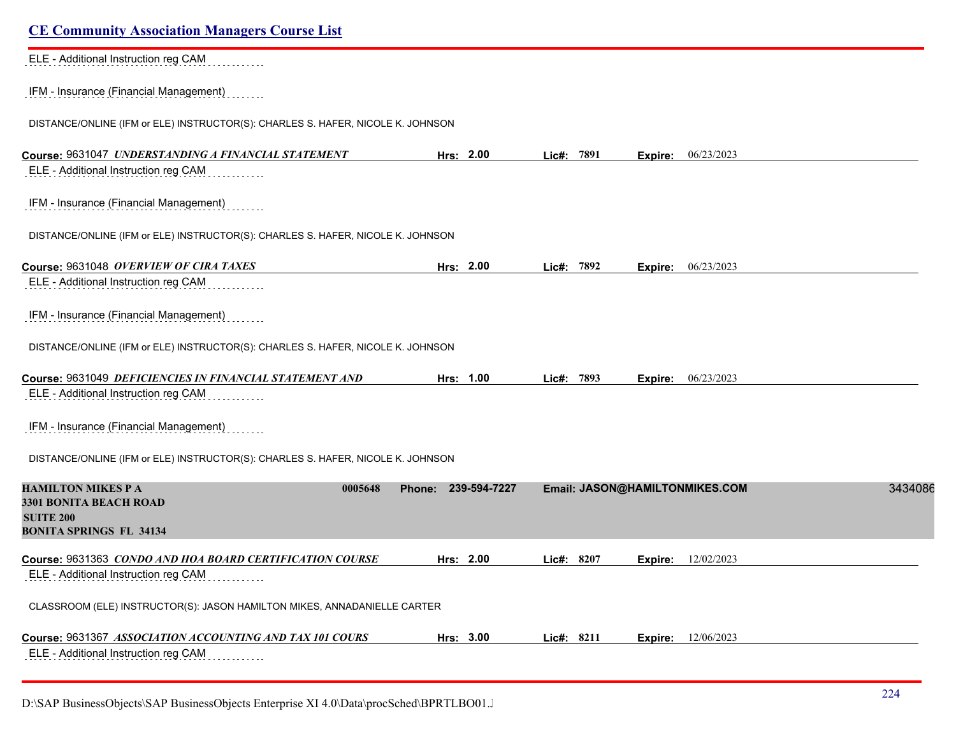| <b>CE Community Association Managers Course List</b>                            |                     |            |                                |         |
|---------------------------------------------------------------------------------|---------------------|------------|--------------------------------|---------|
| ELE - Additional Instruction reg CAM                                            |                     |            |                                |         |
| IFM - Insurance (Financial Management)                                          |                     |            |                                |         |
| DISTANCE/ONLINE (IFM or ELE) INSTRUCTOR(S): CHARLES S. HAFER, NICOLE K. JOHNSON |                     |            |                                |         |
| Course: 9631047 UNDERSTANDING A FINANCIAL STATEMENT                             | Hrs: 2.00           | Lic#: 7891 | 06/23/2023<br>Expire:          |         |
| ELE - Additional Instruction reg CAM                                            |                     |            |                                |         |
| IFM - Insurance (Financial Management)                                          |                     |            |                                |         |
| DISTANCE/ONLINE (IFM or ELE) INSTRUCTOR(S): CHARLES S. HAFER, NICOLE K. JOHNSON |                     |            |                                |         |
| Course: 9631048 OVERVIEW OF CIRA TAXES                                          | Hrs: 2.00           | Lic#: 7892 | Expire: 06/23/2023             |         |
| ELE - Additional Instruction reg CAM                                            |                     |            |                                |         |
| IFM - Insurance (Financial Management)                                          |                     |            |                                |         |
| DISTANCE/ONLINE (IFM or ELE) INSTRUCTOR(S): CHARLES S. HAFER, NICOLE K. JOHNSON |                     |            |                                |         |
| Course: 9631049 DEFICIENCIES IN FINANCIAL STATEMENT AND                         | Hrs: 1.00           | Lic#: 7893 | 06/23/2023<br>Expire:          |         |
| ELE - Additional Instruction reg CAM                                            |                     |            |                                |         |
| IFM - Insurance (Financial Management)                                          |                     |            |                                |         |
| DISTANCE/ONLINE (IFM or ELE) INSTRUCTOR(S): CHARLES S. HAFER, NICOLE K. JOHNSON |                     |            |                                |         |
| <b>HAMILTON MIKES P A</b><br>0005648                                            | Phone: 239-594-7227 |            | Email: JASON@HAMILTONMIKES.COM | 3434086 |
| <b>3301 BONITA BEACH ROAD</b><br><b>SUITE 200</b>                               |                     |            |                                |         |
| <b>BONITA SPRINGS FL 34134</b>                                                  |                     |            |                                |         |
| Course: 9631363 CONDO AND HOA BOARD CERTIFICATION COURSE                        | Hrs: 2.00           | Lic#: 8207 | 12/02/2023<br>Expire:          |         |
| ELE - Additional Instruction reg CAM                                            |                     |            |                                |         |
| CLASSROOM (ELE) INSTRUCTOR(S): JASON HAMILTON MIKES, ANNADANIELLE CARTER        |                     |            |                                |         |
| Course: 9631367 ASSOCIATION ACCOUNTING AND TAX 101 COURS                        | Hrs: 3.00           | Lic#: 8211 | 12/06/2023<br>Expire:          |         |
| ELE - Additional Instruction reg CAM                                            |                     |            |                                |         |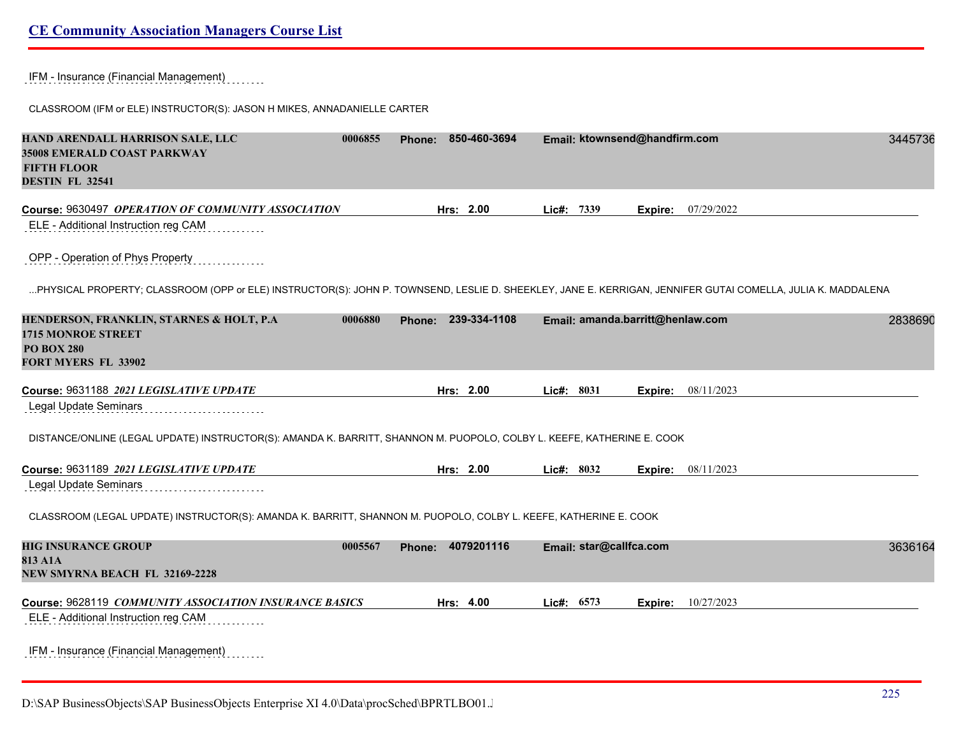## IFM - Insurance (Financial Management)

CLASSROOM (IFM or ELE) INSTRUCTOR(S): JASON H MIKES, ANNADANIELLE CARTER

| HAND ARENDALL HARRISON SALE, LLC<br>35008 EMERALD COAST PARKWAY<br><b>FIFTH FLOOR</b><br><b>DESTIN FL 32541</b>                                             | 0006855 | <b>Phone:</b> | 850-460-3694      |            | Email: ktownsend@handfirm.com    |         |                    | 3445736 |
|-------------------------------------------------------------------------------------------------------------------------------------------------------------|---------|---------------|-------------------|------------|----------------------------------|---------|--------------------|---------|
| Course: 9630497 OPERATION OF COMMUNITY ASSOCIATION                                                                                                          |         |               | Hrs: 2.00         | Lic#: 7339 |                                  | Expire: | 07/29/2022         |         |
| ELE - Additional Instruction reg CAM                                                                                                                        |         |               |                   |            |                                  |         |                    |         |
| OPP - Operation of Phys Property                                                                                                                            |         |               |                   |            |                                  |         |                    |         |
| PHYSICAL PROPERTY; CLASSROOM (OPP or ELE) INSTRUCTOR(S): JOHN P. TOWNSEND, LESLIE D. SHEEKLEY, JANE E. KERRIGAN, JENNIFER GUTAI COMELLA, JULIA K. MADDALENA |         |               |                   |            |                                  |         |                    |         |
| HENDERSON, FRANKLIN, STARNES & HOLT, P.A.<br><b>1715 MONROE STREET</b><br><b>PO BOX 280</b><br><b>FORT MYERS FL 33902</b>                                   | 0006880 | Phone:        | 239-334-1108      |            | Email: amanda.barritt@henlaw.com |         |                    | 2838690 |
| Course: 9631188 2021 LEGISLATIVE UPDATE                                                                                                                     |         |               | Hrs: 2.00         | Lic#: 8031 |                                  | Expire: | 08/11/2023         |         |
| <b>Legal Update Seminars</b>                                                                                                                                |         |               |                   |            |                                  |         |                    |         |
| DISTANCE/ONLINE (LEGAL UPDATE) INSTRUCTOR(S): AMANDA K. BARRITT, SHANNON M. PUOPOLO, COLBY L. KEEFE, KATHERINE E. COOK                                      |         |               |                   |            |                                  |         |                    |         |
| Course: 9631189 2021 LEGISLATIVE UPDATE                                                                                                                     |         |               | Hrs: 2.00         | Lic#: 8032 |                                  |         | Expire: 08/11/2023 |         |
| <b>Legal Update Seminars</b>                                                                                                                                |         |               |                   |            |                                  |         |                    |         |
| CLASSROOM (LEGAL UPDATE) INSTRUCTOR(S): AMANDA K. BARRITT, SHANNON M. PUOPOLO, COLBY L. KEEFE, KATHERINE E. COOK                                            |         |               |                   |            |                                  |         |                    |         |
| <b>HIG INSURANCE GROUP</b><br>813 A1A<br>NEW SMYRNA BEACH FL 32169-2228                                                                                     | 0005567 |               | Phone: 4079201116 |            | Email: star@callfca.com          |         |                    | 3636164 |
| Course: 9628119 COMMUNITY ASSOCIATION INSURANCE BASICS                                                                                                      |         |               | Hrs: 4.00         | Lic#: 6573 |                                  | Expire: | 10/27/2023         |         |
| ELE - Additional Instruction reg CAM                                                                                                                        |         |               |                   |            |                                  |         |                    |         |
| IFM - Insurance (Financial Management)                                                                                                                      |         |               |                   |            |                                  |         |                    |         |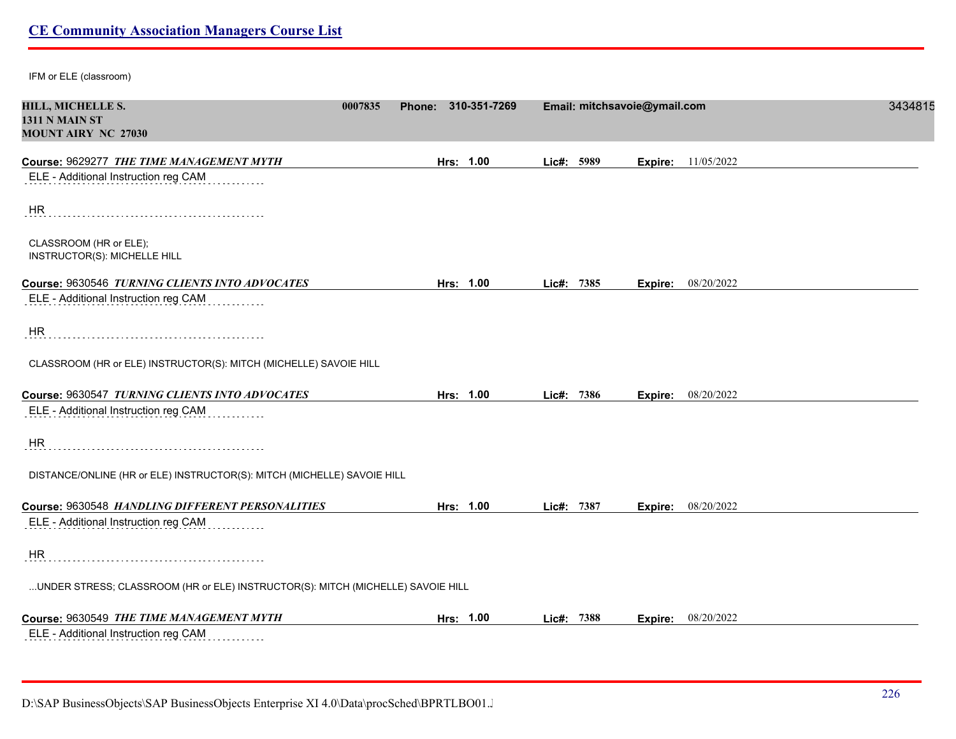IFM or ELE (classroom)

| HILL, MICHELLE S.<br>0007835                                                    | Phone: 310-351-7269 |            | Email: mitchsavoie@ymail.com | 3434815 |
|---------------------------------------------------------------------------------|---------------------|------------|------------------------------|---------|
| 1311 N MAIN ST                                                                  |                     |            |                              |         |
| <b>MOUNT AIRY NC 27030</b>                                                      |                     |            |                              |         |
| Course: 9629277 THE TIME MANAGEMENT MYTH                                        | Hrs: 1.00           | Lic#: 5989 | 11/05/2022<br>Expire:        |         |
| ELE - Additional Instruction reg CAM                                            |                     |            |                              |         |
| <b>HR</b>                                                                       |                     |            |                              |         |
| CLASSROOM (HR or ELE);<br>INSTRUCTOR(S): MICHELLE HILL                          |                     |            |                              |         |
| Course: 9630546 TURNING CLIENTS INTO ADVOCATES                                  | Hrs: 1.00           | Lic#: 7385 | <b>Expire:</b> 08/20/2022    |         |
| ELE - Additional Instruction reg CAM                                            |                     |            |                              |         |
| <b>HR</b>                                                                       |                     |            |                              |         |
| CLASSROOM (HR or ELE) INSTRUCTOR(S): MITCH (MICHELLE) SAVOIE HILL               |                     |            |                              |         |
| Course: 9630547 TURNING CLIENTS INTO ADVOCATES                                  | Hrs: 1.00           | Lic#: 7386 | <b>Expire:</b> 08/20/2022    |         |
| ELE - Additional Instruction reg CAM                                            |                     |            |                              |         |
| HR                                                                              |                     |            |                              |         |
| DISTANCE/ONLINE (HR or ELE) INSTRUCTOR(S): MITCH (MICHELLE) SAVOIE HILL         |                     |            |                              |         |
| Course: 9630548 HANDLING DIFFERENT PERSONALITIES                                | Hrs: 1.00           | Lic#: 7387 | Expire: 08/20/2022           |         |
| ELE - Additional Instruction reg CAM                                            |                     |            |                              |         |
| <b>HR</b>                                                                       |                     |            |                              |         |
| UNDER STRESS; CLASSROOM (HR or ELE) INSTRUCTOR(S): MITCH (MICHELLE) SAVOIE HILL |                     |            |                              |         |
| Course: 9630549 THE TIME MANAGEMENT MYTH                                        | Hrs: 1.00           | Lic#: 7388 | <b>Expire:</b> 08/20/2022    |         |
| ELE - Additional Instruction reg CAM                                            |                     |            |                              |         |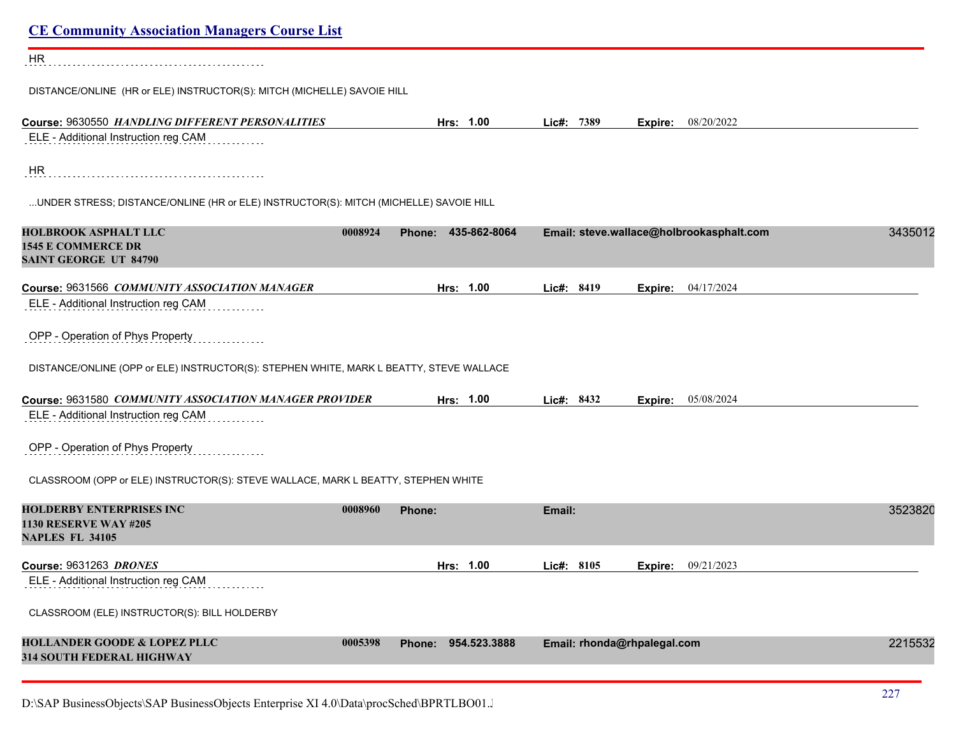| <b>CE Community Association Managers Course List</b>                                                 |                     |                             |                                          |         |
|------------------------------------------------------------------------------------------------------|---------------------|-----------------------------|------------------------------------------|---------|
| HR                                                                                                   |                     |                             |                                          |         |
| DISTANCE/ONLINE (HR or ELE) INSTRUCTOR(S): MITCH (MICHELLE) SAVOIE HILL                              |                     |                             |                                          |         |
| Course: 9630550 HANDLING DIFFERENT PERSONALITIES                                                     | Hrs: 1.00           | Lic#: 7389                  | 08/20/2022<br>Expire:                    |         |
| ELE - Additional Instruction reg CAM                                                                 |                     |                             |                                          |         |
| <b>HR</b>                                                                                            |                     |                             |                                          |         |
| UNDER STRESS; DISTANCE/ONLINE (HR or ELE) INSTRUCTOR(S): MITCH (MICHELLE) SAVOIE HILL                |                     |                             |                                          |         |
| <b>HOLBROOK ASPHALT LLC</b><br>0008924<br><b>1545 E COMMERCE DR</b><br><b>SAINT GEORGE UT 84790</b>  | Phone: 435-862-8064 |                             | Email: steve.wallace@holbrookasphalt.com | 3435012 |
| Course: 9631566 COMMUNITY ASSOCIATION MANAGER                                                        | Hrs: 1.00           | Lic#: 8419                  | 04/17/2024<br>Expire:                    |         |
| ELE - Additional Instruction reg CAM                                                                 |                     |                             |                                          |         |
| OPP - Operation of Phys Property                                                                     |                     |                             |                                          |         |
| DISTANCE/ONLINE (OPP or ELE) INSTRUCTOR(S): STEPHEN WHITE, MARK L BEATTY, STEVE WALLACE              |                     |                             |                                          |         |
| Course: 9631580 COMMUNITY ASSOCIATION MANAGER PROVIDER                                               | Hrs: 1.00           | Lic#: 8432                  | 05/08/2024<br>Expire:                    |         |
| ELE - Additional Instruction reg CAM                                                                 |                     |                             |                                          |         |
| OPP - Operation of Phys Property                                                                     |                     |                             |                                          |         |
| CLASSROOM (OPP or ELE) INSTRUCTOR(S): STEVE WALLACE, MARK L BEATTY, STEPHEN WHITE                    |                     |                             |                                          |         |
| <b>HOLDERBY ENTERPRISES INC</b><br>0008960<br><b>1130 RESERVE WAY #205</b><br><b>NAPLES FL 34105</b> | Phone:              | Email:                      |                                          | 3523820 |
| <b>Course: 9631263 DRONES</b>                                                                        | Hrs: 1.00           | Lic#: 8105                  | <b>Expire:</b> 09/21/2023                |         |
| ELE - Additional Instruction reg CAM                                                                 |                     |                             |                                          |         |
| CLASSROOM (ELE) INSTRUCTOR(S): BILL HOLDERBY                                                         |                     |                             |                                          |         |
| <b>HOLLANDER GOODE &amp; LOPEZ PLLC</b><br>0005398<br>314 SOUTH FEDERAL HIGHWAY                      | Phone: 954.523.3888 | Email: rhonda@rhpalegal.com |                                          | 2215532 |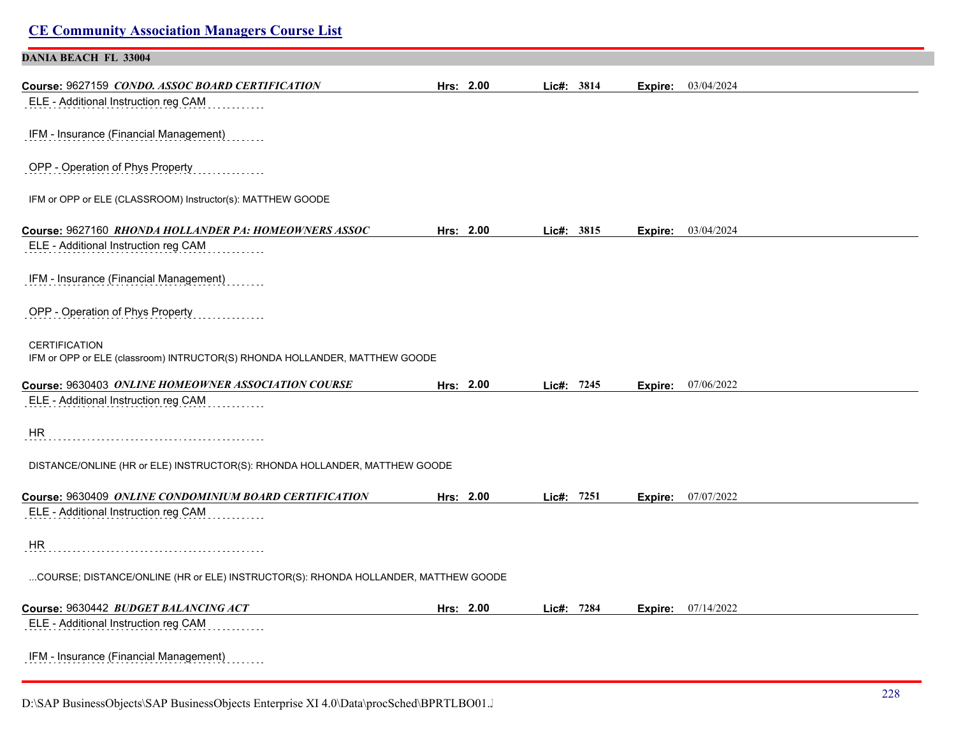| <b>CE Community Association Managers Course List</b>                                               |           |            |         |                           |
|----------------------------------------------------------------------------------------------------|-----------|------------|---------|---------------------------|
| <b>DANIA BEACH FL 33004</b>                                                                        |           |            |         |                           |
| Course: 9627159 CONDO. ASSOC BOARD CERTIFICATION<br>ELE - Additional Instruction reg CAM           | Hrs: 2.00 | Lic#: 3814 | Expire: | 03/04/2024                |
| IFM - Insurance (Financial Management)                                                             |           |            |         |                           |
| OPP - Operation of Phys Property                                                                   |           |            |         |                           |
| IFM or OPP or ELE (CLASSROOM) Instructor(s): MATTHEW GOODE                                         |           |            |         |                           |
| Course: 9627160 RHONDA HOLLANDER PA: HOMEOWNERS ASSOC<br>ELE - Additional Instruction reg CAM      | Hrs: 2.00 | Lic#: 3815 | Expire: | 03/04/2024                |
| IFM - Insurance (Financial Management)                                                             |           |            |         |                           |
| OPP - Operation of Phys Property                                                                   |           |            |         |                           |
| <b>CERTIFICATION</b><br>IFM or OPP or ELE (classroom) INTRUCTOR(S) RHONDA HOLLANDER, MATTHEW GOODE |           |            |         |                           |
| Course: 9630403 ONLINE HOMEOWNER ASSOCIATION COURSE                                                | Hrs: 2.00 | Lic#: 7245 |         | <b>Expire:</b> 07/06/2022 |
| ELE - Additional Instruction reg CAM                                                               |           |            |         |                           |
| <b>HR</b>                                                                                          |           |            |         |                           |
| DISTANCE/ONLINE (HR or ELE) INSTRUCTOR(S): RHONDA HOLLANDER, MATTHEW GOODE                         |           |            |         |                           |
| Course: 9630409 ONLINE CONDOMINIUM BOARD CERTIFICATION<br>ELE - Additional Instruction reg CAM     | Hrs: 2.00 | Lic#: 7251 |         | <b>Expire:</b> 07/07/2022 |
| HR                                                                                                 |           |            |         |                           |
| COURSE; DISTANCE/ONLINE (HR or ELE) INSTRUCTOR(S): RHONDA HOLLANDER, MATTHEW GOODE                 |           |            |         |                           |
| Course: 9630442 BUDGET BALANCING ACT                                                               | Hrs: 2.00 | Lic#: 7284 |         | <b>Expire:</b> 07/14/2022 |
| ELE - Additional Instruction reg CAM                                                               |           |            |         |                           |
| IFM - Insurance (Financial Management)                                                             |           |            |         |                           |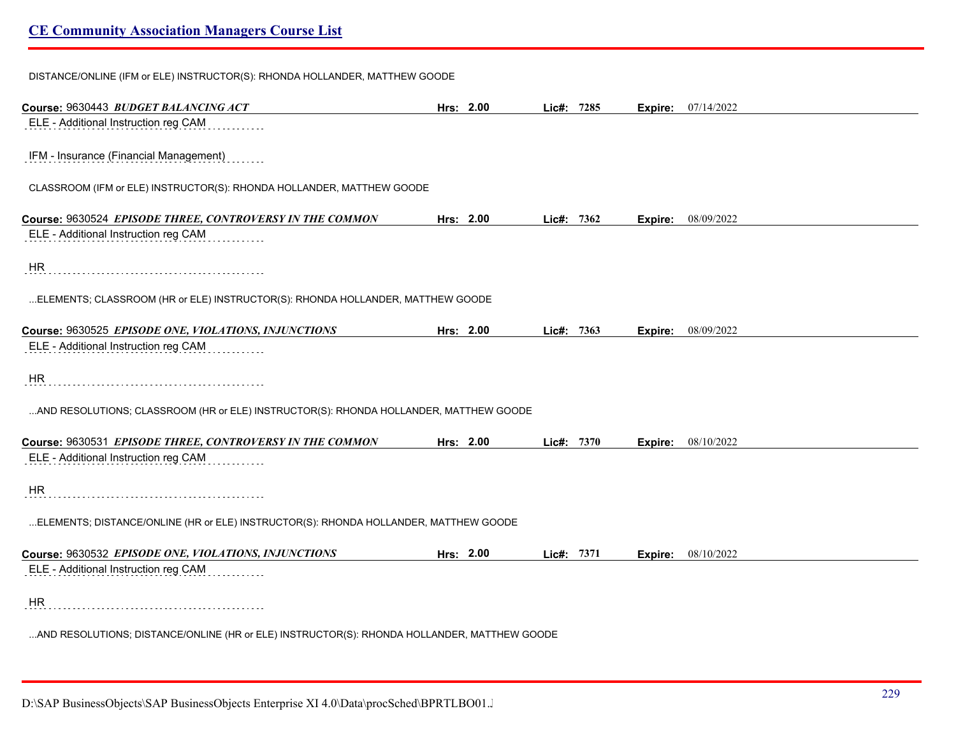DISTANCE/ONLINE (IFM or ELE) INSTRUCTOR(S): RHONDA HOLLANDER, MATTHEW GOODE **Course:** 9630443 *BUDGET BALANCING ACT* **Hrs: 2.00 Lic#: 7285 Expire:** 07/14/2022 ELE - Additional Instruction reg CAM IFM - Insurance (Financial Management) CLASSROOM (IFM or ELE) INSTRUCTOR(S): RHONDA HOLLANDER, MATTHEW GOODE **Course:** 9630524 *EPISODE THREE, CONTROVERSY IN THE COMMON* **Hrs: 2.00 Lic#: 7362 Expire:** 08/09/2022 ELE - Additional Instruction reg CAM . . . . . . . . . . . HR ...ELEMENTS; CLASSROOM (HR or ELE) INSTRUCTOR(S): RHONDA HOLLANDER, MATTHEW GOODE **Course:** 9630525 *EPISODE ONE, VIOLATIONS, INJUNCTIONS* **Hrs: 2.00 Lic#: 7363 Expire:** 08/09/2022 ELE - Additional Instruction reg CAM **HR** ...AND RESOLUTIONS; CLASSROOM (HR or ELE) INSTRUCTOR(S): RHONDA HOLLANDER, MATTHEW GOODE **Course:** 9630531 *EPISODE THREE, CONTROVERSY IN THE COMMON* **Hrs: 2.00 Lic#: 7370 Expire:** 08/10/2022 ELE - Additional Instruction reg CAM HR ...ELEMENTS; DISTANCE/ONLINE (HR or ELE) INSTRUCTOR(S): RHONDA HOLLANDER, MATTHEW GOODE **Course:** 9630532 *EPISODE ONE, VIOLATIONS, INJUNCTIONS* **Hrs: 2.00 Lic#: 7371 Expire:** 08/10/2022 ELE - Additional Instruction reg CAM .<br>. . . . . . . . . . . HR ...AND RESOLUTIONS; DISTANCE/ONLINE (HR or ELE) INSTRUCTOR(S): RHONDA HOLLANDER, MATTHEW GOODE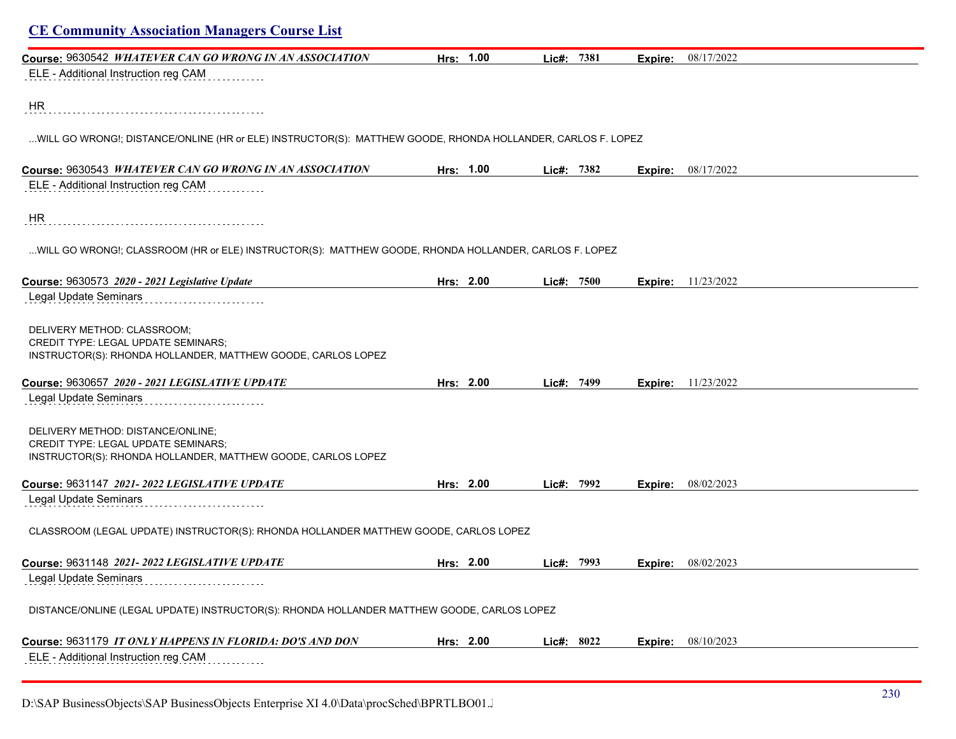|                                                                                                                                                 | Hrs: 1.00 |            |         |                           |
|-------------------------------------------------------------------------------------------------------------------------------------------------|-----------|------------|---------|---------------------------|
| Course: 9630542 WHATEVER CAN GO WRONG IN AN ASSOCIATION<br>ELE - Additional Instruction reg CAM                                                 |           | Lic#: 7381 | Expire: | 08/17/2022                |
|                                                                                                                                                 |           |            |         |                           |
| HR.                                                                                                                                             |           |            |         |                           |
| WILL GO WRONG!; DISTANCE/ONLINE (HR or ELE) INSTRUCTOR(S): MATTHEW GOODE, RHONDA HOLLANDER, CARLOS F. LOPEZ                                     |           |            |         |                           |
| Course: 9630543 WHATEVER CAN GO WRONG IN AN ASSOCIATION                                                                                         | Hrs: 1.00 | Lic#: 7382 | Expire: | 08/17/2022                |
| ELE - Additional Instruction reg CAM                                                                                                            |           |            |         |                           |
| HR                                                                                                                                              |           |            |         |                           |
| WILL GO WRONG!; CLASSROOM (HR or ELE) INSTRUCTOR(S): MATTHEW GOODE, RHONDA HOLLANDER, CARLOS F. LOPEZ                                           |           |            |         |                           |
| Course: 9630573 2020 - 2021 Legislative Update                                                                                                  | Hrs: 2.00 | Lic#: 7500 |         | <b>Expire:</b> 11/23/2022 |
| Legal Update Seminars                                                                                                                           |           |            |         |                           |
| DELIVERY METHOD: CLASSROOM;<br>CREDIT TYPE: LEGAL UPDATE SEMINARS;<br>INSTRUCTOR(S): RHONDA HOLLANDER, MATTHEW GOODE, CARLOS LOPEZ              |           |            |         |                           |
| Course: 9630657 2020 - 2021 LEGISLATIVE UPDATE                                                                                                  | Hrs: 2.00 | Lic#: 7499 |         | <b>Expire:</b> 11/23/2022 |
| Legal Update Seminars                                                                                                                           |           |            |         |                           |
| DELIVERY METHOD: DISTANCE/ONLINE;<br><b>CREDIT TYPE: LEGAL UPDATE SEMINARS;</b><br>INSTRUCTOR(S): RHONDA HOLLANDER, MATTHEW GOODE, CARLOS LOPEZ |           |            |         |                           |
| Course: 9631147 2021-2022 LEGISLATIVE UPDATE                                                                                                    | Hrs: 2.00 | Lic#: 7992 | Expire: | 08/02/2023                |
| Legal Update Seminars                                                                                                                           |           |            |         |                           |
| CLASSROOM (LEGAL UPDATE) INSTRUCTOR(S): RHONDA HOLLANDER MATTHEW GOODE, CARLOS LOPEZ                                                            |           |            |         |                           |
| Course: 9631148 2021-2022 LEGISLATIVE UPDATE                                                                                                    | Hrs: 2.00 | Lic#: 7993 |         | <b>Expire:</b> 08/02/2023 |
| Legal Update Seminars                                                                                                                           |           |            |         |                           |
| DISTANCE/ONLINE (LEGAL UPDATE) INSTRUCTOR(S): RHONDA HOLLANDER MATTHEW GOODE, CARLOS LOPEZ                                                      |           |            |         |                           |
| Course: 9631179 IT ONLY HAPPENS IN FLORIDA: DO'S AND DON                                                                                        | Hrs: 2.00 | Lic#: 8022 | Expire: | 08/10/2023                |
| ELE - Additional Instruction reg CAM                                                                                                            |           |            |         |                           |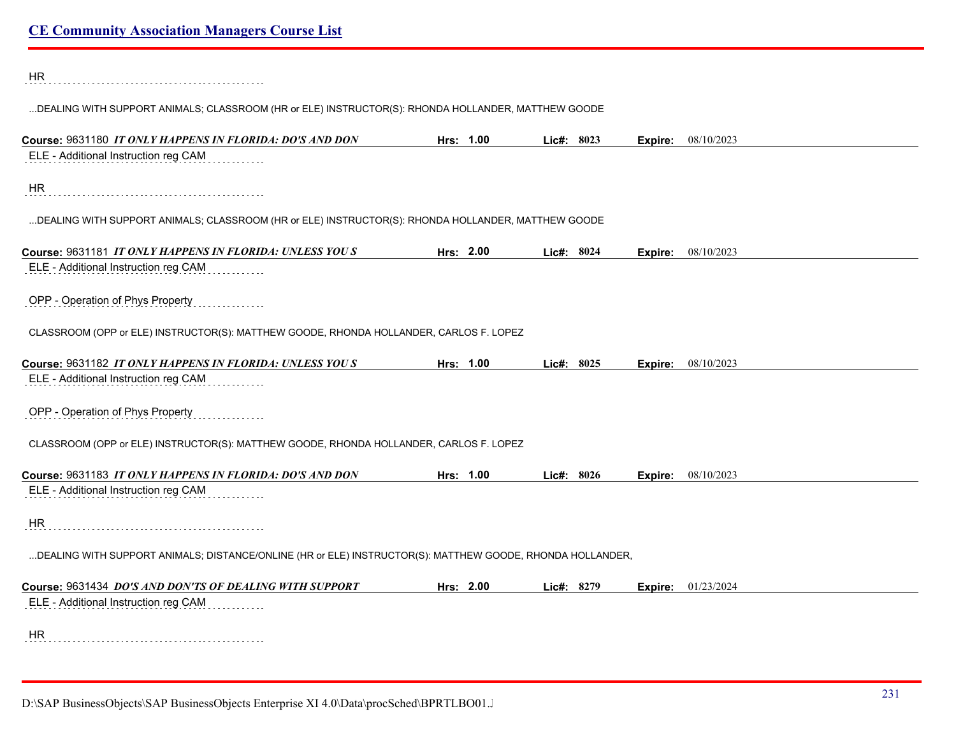HR 

...DEALING WITH SUPPORT ANIMALS; CLASSROOM (HR or ELE) INSTRUCTOR(S): RHONDA HOLLANDER, MATTHEW GOODE

| Course: 9631180 IT ONLY HAPPENS IN FLORIDA: DO'S AND DON                                                  | Hrs: 1.00 | Lic#: 8023   | Expire: | 08/10/2023 |
|-----------------------------------------------------------------------------------------------------------|-----------|--------------|---------|------------|
| ELE - Additional Instruction reg CAM                                                                      |           |              |         |            |
|                                                                                                           |           |              |         |            |
| <b>HR</b>                                                                                                 |           |              |         |            |
|                                                                                                           |           |              |         |            |
| DEALING WITH SUPPORT ANIMALS; CLASSROOM (HR or ELE) INSTRUCTOR(S): RHONDA HOLLANDER, MATTHEW GOODE        |           |              |         |            |
|                                                                                                           |           |              |         |            |
| Course: 9631181 IT ONLY HAPPENS IN FLORIDA: UNLESS YOUS                                                   | Hrs: 2.00 | Lic#: 8024   | Expire: | 08/10/2023 |
| ELE - Additional Instruction reg CAM                                                                      |           |              |         |            |
|                                                                                                           |           |              |         |            |
| OPP - Operation of Phys Property                                                                          |           |              |         |            |
|                                                                                                           |           |              |         |            |
| CLASSROOM (OPP or ELE) INSTRUCTOR(S): MATTHEW GOODE, RHONDA HOLLANDER, CARLOS F. LOPEZ                    |           |              |         |            |
| Course: 9631182 IT ONLY HAPPENS IN FLORIDA: UNLESS YOUS                                                   | Hrs: 1.00 | Lic#: 8025   | Expire: | 08/10/2023 |
| ELE - Additional Instruction reg CAM                                                                      |           |              |         |            |
|                                                                                                           |           |              |         |            |
| OPP - Operation of Phys Property                                                                          |           |              |         |            |
|                                                                                                           |           |              |         |            |
| CLASSROOM (OPP or ELE) INSTRUCTOR(S): MATTHEW GOODE, RHONDA HOLLANDER, CARLOS F. LOPEZ                    |           |              |         |            |
|                                                                                                           |           |              |         |            |
| Course: 9631183 IT ONLY HAPPENS IN FLORIDA: DO'S AND DON                                                  | Hrs: 1.00 | Lic#: $8026$ | Expire: | 08/10/2023 |
| ELE - Additional Instruction reg CAM                                                                      |           |              |         |            |
|                                                                                                           |           |              |         |            |
| <b>HR</b>                                                                                                 |           |              |         |            |
|                                                                                                           |           |              |         |            |
| DEALING WITH SUPPORT ANIMALS; DISTANCE/ONLINE (HR or ELE) INSTRUCTOR(S): MATTHEW GOODE, RHONDA HOLLANDER, |           |              |         |            |
|                                                                                                           |           |              |         |            |
| Course: 9631434 DO'S AND DON'TS OF DEALING WITH SUPPORT                                                   | Hrs: 2.00 | Lic#: 8279   | Expire: | 01/23/2024 |
| ELE - Additional Instruction reg CAM                                                                      |           |              |         |            |
|                                                                                                           |           |              |         |            |
| <b>HR</b>                                                                                                 |           |              |         |            |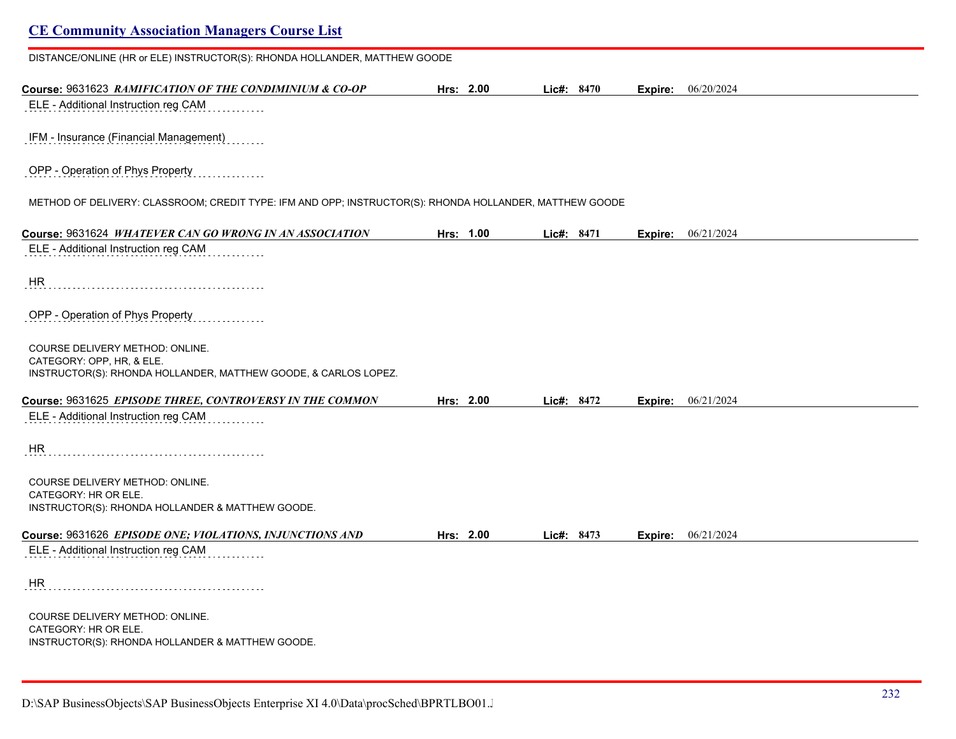# **CE Community Association Managers Course List** DISTANCE/ONLINE (HR or ELE) INSTRUCTOR(S): RHONDA HOLLANDER, MATTHEW GOODE

**Course:** 9631623 *RAMIFICATION OF THE CONDIMINIUM & CO-OP* **Hrs: 2.00 Lic#: 8470 Expire:** 06/20/2024 ELE - Additional Instruction reg CAM IFM - Insurance (Financial Management) OPP - Operation of Phys Property METHOD OF DELIVERY: CLASSROOM; CREDIT TYPE: IFM AND OPP; INSTRUCTOR(S): RHONDA HOLLANDER, MATTHEW GOODE **Course:** 9631624 *WHATEVER CAN GO WRONG IN AN ASSOCIATION* **Hrs: 1.00 Lic#: 8471 Expire:** 06/21/2024 ELE - Additional Instruction reg CAM HR OPP - Operation of Phys Property COURSE DELIVERY METHOD: ONLINE. CATEGORY: OPP, HR, & ELE. INSTRUCTOR(S): RHONDA HOLLANDER, MATTHEW GOODE, & CARLOS LOPEZ. **Course:** 9631625 *EPISODE THREE, CONTROVERSY IN THE COMMON* **Hrs: 2.00 Lic#: 8472 Expire:** 06/21/2024 ELE - Additional Instruction reg CAM HR COURSE DELIVERY METHOD: ONLINE. CATEGORY: HR OR ELE. INSTRUCTOR(S): RHONDA HOLLANDER & MATTHEW GOODE. **Course:** 9631626 *EPISODE ONE; VIOLATIONS, INJUNCTIONS AND* **Hrs: 2.00 Lic#: 8473 Expire:** 06/21/2024 ELE - Additional Instruction reg CAM HR COURSE DELIVERY METHOD: ONLINE. CATEGORY: HR OR ELE. INSTRUCTOR(S): RHONDA HOLLANDER & MATTHEW GOODE.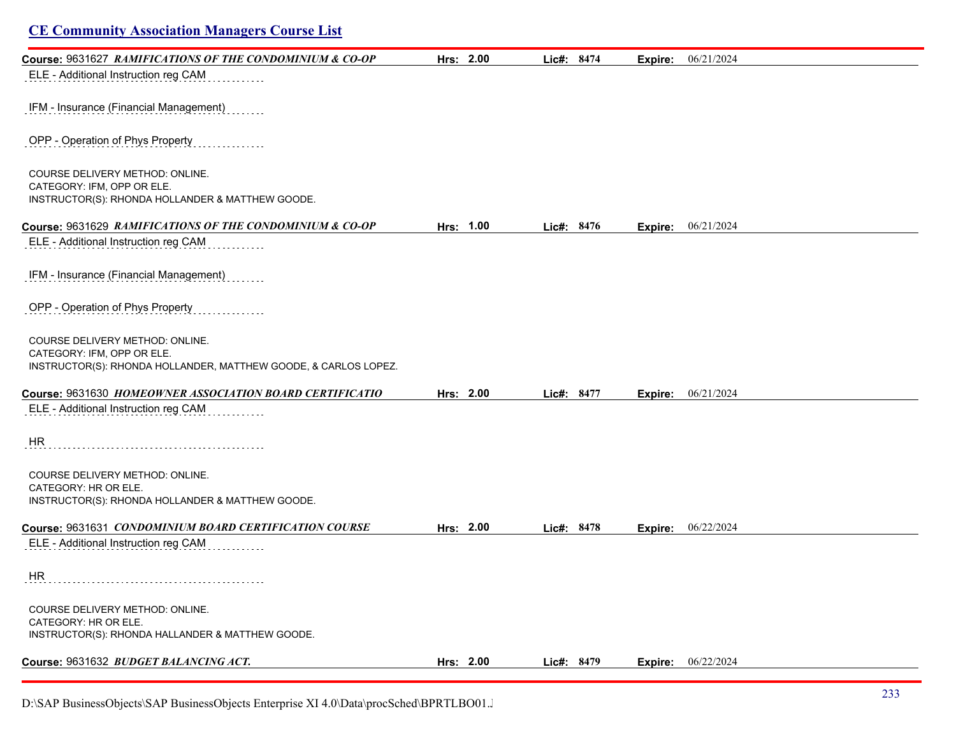| <b>CE Community Association Managers Course List</b>                                          |           |            |         |            |
|-----------------------------------------------------------------------------------------------|-----------|------------|---------|------------|
| Course: 9631627 RAMIFICATIONS OF THE CONDOMINIUM & CO-OP                                      | Hrs: 2.00 | Lic#: 8474 | Expire: | 06/21/2024 |
| ELE - Additional Instruction reg CAM                                                          |           |            |         |            |
| IFM - Insurance (Financial Management)                                                        |           |            |         |            |
| OPP - Operation of Phys Property                                                              |           |            |         |            |
| COURSE DELIVERY METHOD: ONLINE.                                                               |           |            |         |            |
| CATEGORY: IFM, OPP OR ELE.<br>INSTRUCTOR(S): RHONDA HOLLANDER & MATTHEW GOODE.                |           |            |         |            |
| Course: 9631629 RAMIFICATIONS OF THE CONDOMINIUM & CO-OP                                      | Hrs: 1.00 | Lic#: 8476 | Expire: | 06/21/2024 |
| ELE - Additional Instruction reg CAM                                                          |           |            |         |            |
| IFM - Insurance (Financial Management)                                                        |           |            |         |            |
| OPP - Operation of Phys Property                                                              |           |            |         |            |
| COURSE DELIVERY METHOD: ONLINE.                                                               |           |            |         |            |
| CATEGORY: IFM, OPP OR ELE.<br>INSTRUCTOR(S): RHONDA HOLLANDER, MATTHEW GOODE, & CARLOS LOPEZ. |           |            |         |            |
| Course: 9631630 HOMEOWNER ASSOCIATION BOARD CERTIFICATIO                                      | Hrs: 2.00 | Lic#: 8477 | Expire: | 06/21/2024 |
| ELE - Additional Instruction reg CAM                                                          |           |            |         |            |
| HR                                                                                            |           |            |         |            |
| COURSE DELIVERY METHOD: ONLINE.<br>CATEGORY: HR OR ELE.                                       |           |            |         |            |
| INSTRUCTOR(S): RHONDA HOLLANDER & MATTHEW GOODE.                                              |           |            |         |            |
| Course: 9631631 CONDOMINIUM BOARD CERTIFICATION COURSE                                        | Hrs: 2.00 | Lic#: 8478 | Expire: | 06/22/2024 |
| ELE - Additional Instruction reg CAM                                                          |           |            |         |            |
| HR                                                                                            |           |            |         |            |
| COURSE DELIVERY METHOD: ONLINE.<br>CATEGORY: HR OR ELE.                                       |           |            |         |            |
| INSTRUCTOR(S): RHONDA HALLANDER & MATTHEW GOODE.                                              |           |            |         |            |
| Course: 9631632 BUDGET BALANCING ACT.                                                         | Hrs: 2.00 | Lic#: 8479 | Expire: | 06/22/2024 |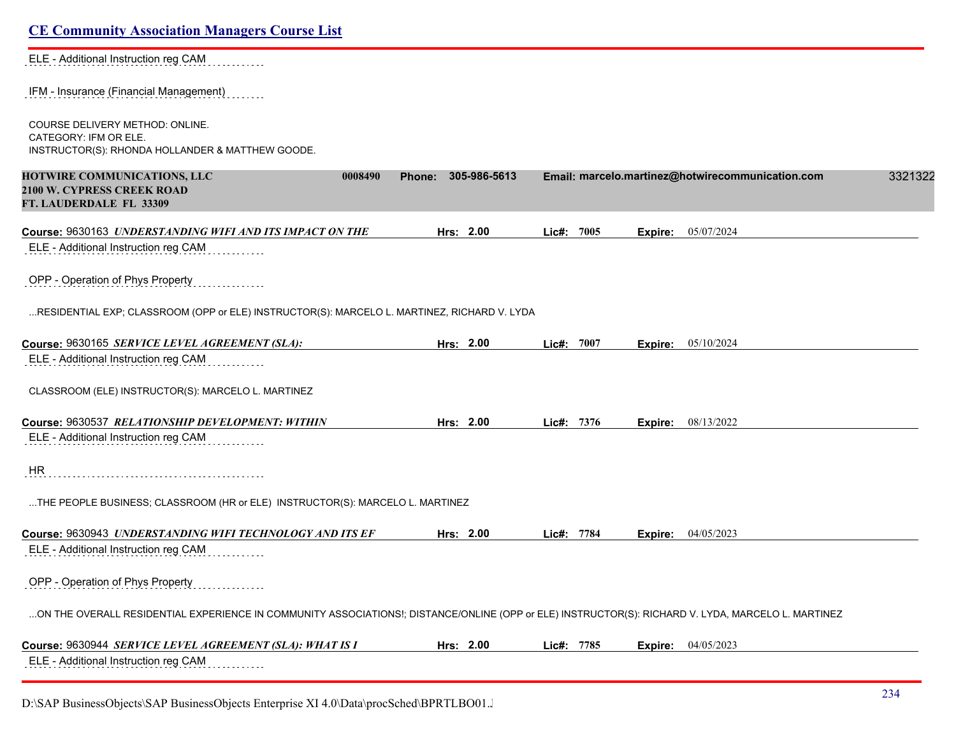ELE - Additional Instruction reg CAM . . . . . . . .

IFM - Insurance (Financial Management)

COURSE DELIVERY METHOD: ONLINE. CATEGORY: IFM OR ELE. INSTRUCTOR(S): RHONDA HOLLANDER & MATTHEW GOODE.

| HOTWIRE COMMUNICATIONS, LLC<br>0008490<br><b>2100 W. CYPRESS CREEK ROAD</b><br>FT. LAUDERDALE FL 33309                                             | Phone: 305-986-5613 |            |         | Email: marcelo.martinez@hotwirecommunication.com | 3321322 |
|----------------------------------------------------------------------------------------------------------------------------------------------------|---------------------|------------|---------|--------------------------------------------------|---------|
| Course: 9630163 UNDERSTANDING WIFI AND ITS IMPACT ON THE                                                                                           | Hrs: 2.00           | Lic#: 7005 | Expire: | 05/07/2024                                       |         |
| ELE - Additional Instruction reg CAM                                                                                                               |                     |            |         |                                                  |         |
| OPP - Operation of Phys Property                                                                                                                   |                     |            |         |                                                  |         |
| RESIDENTIAL EXP; CLASSROOM (OPP or ELE) INSTRUCTOR(S): MARCELO L. MARTINEZ, RICHARD V. LYDA                                                        |                     |            |         |                                                  |         |
| Course: 9630165 SERVICE LEVEL AGREEMENT (SLA):                                                                                                     | Hrs: 2.00           | Lic#: 7007 | Expire: | 05/10/2024                                       |         |
| ELE - Additional Instruction reg CAM                                                                                                               |                     |            |         |                                                  |         |
| CLASSROOM (ELE) INSTRUCTOR(S): MARCELO L. MARTINEZ                                                                                                 |                     |            |         |                                                  |         |
| Course: 9630537 RELATIONSHIP DEVELOPMENT: WITHIN                                                                                                   | Hrs: 2.00           | Lic#: 7376 | Expire: | 08/13/2022                                       |         |
| ELE - Additional Instruction reg CAM                                                                                                               |                     |            |         |                                                  |         |
| HR                                                                                                                                                 |                     |            |         |                                                  |         |
| THE PEOPLE BUSINESS; CLASSROOM (HR or ELE) INSTRUCTOR(S): MARCELO L. MARTINEZ                                                                      |                     |            |         |                                                  |         |
| Course: 9630943 UNDERSTANDING WIFI TECHNOLOGY AND ITS EF                                                                                           | Hrs: 2.00           | Lic#: 7784 | Expire: | 04/05/2023                                       |         |
| ELE - Additional Instruction reg CAM                                                                                                               |                     |            |         |                                                  |         |
| OPP - Operation of Phys Property                                                                                                                   |                     |            |         |                                                  |         |
| ON THE OVERALL RESIDENTIAL EXPERIENCE IN COMMUNITY ASSOCIATIONS!; DISTANCE/ONLINE (OPP or ELE) INSTRUCTOR(S): RICHARD V. LYDA, MARCELO L. MARTINEZ |                     |            |         |                                                  |         |
| Course: 9630944 SERVICE LEVEL AGREEMENT (SLA): WHAT IS I                                                                                           | Hrs: 2.00           | Lic#: 7785 | Expire: | 04/05/2023                                       |         |
| ELE - Additional Instruction reg CAM                                                                                                               |                     |            |         |                                                  |         |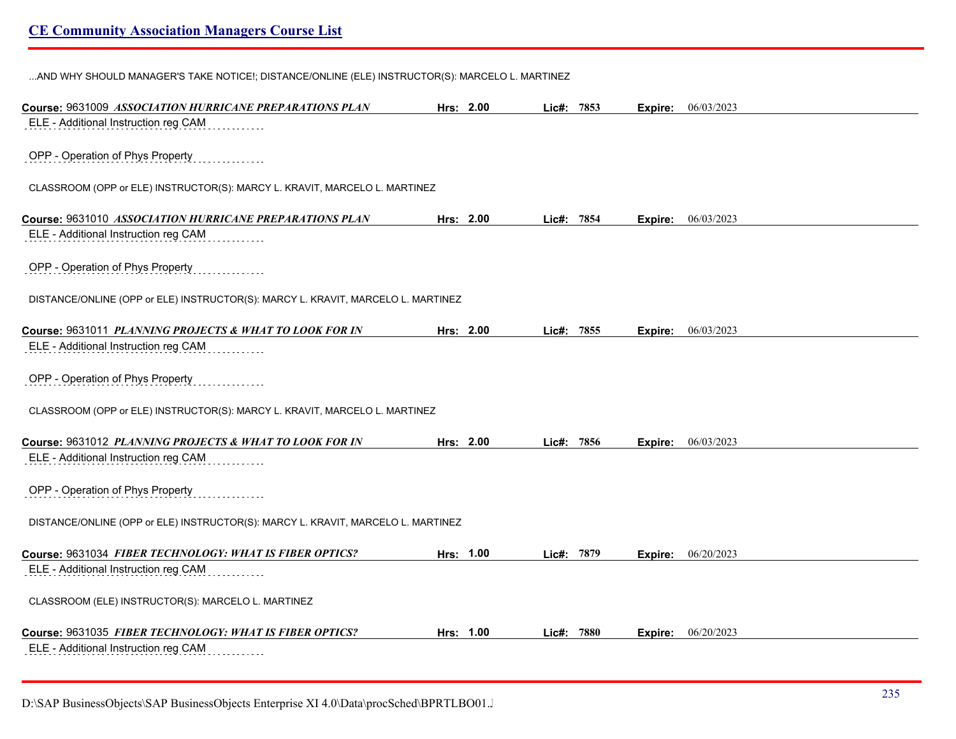...AND WHY SHOULD MANAGER'S TAKE NOTICE!; DISTANCE/ONLINE (ELE) INSTRUCTOR(S): MARCELO L. MARTINEZ

| Course: 9631009 ASSOCIATION HURRICANE PREPARATIONS PLAN                          | Hrs: 2.00 | Lic#: 7853 |      | Expire: | 06/03/2023 |  |
|----------------------------------------------------------------------------------|-----------|------------|------|---------|------------|--|
| ELE - Additional Instruction reg CAM                                             |           |            |      |         |            |  |
|                                                                                  |           |            |      |         |            |  |
| OPP - Operation of Phys Property                                                 |           |            |      |         |            |  |
| CLASSROOM (OPP or ELE) INSTRUCTOR(S): MARCY L. KRAVIT, MARCELO L. MARTINEZ       |           |            |      |         |            |  |
|                                                                                  |           |            |      |         |            |  |
| Course: 9631010 ASSOCIATION HURRICANE PREPARATIONS PLAN                          | Hrs: 2.00 | Lic#: 7854 |      | Expire: | 06/03/2023 |  |
| ELE - Additional Instruction reg CAM                                             |           |            |      |         |            |  |
| OPP - Operation of Phys Property                                                 |           |            |      |         |            |  |
|                                                                                  |           |            |      |         |            |  |
| DISTANCE/ONLINE (OPP or ELE) INSTRUCTOR(S): MARCY L. KRAVIT, MARCELO L. MARTINEZ |           |            |      |         |            |  |
|                                                                                  |           |            |      |         |            |  |
| Course: 9631011 PLANNING PROJECTS & WHAT TO LOOK FOR IN                          | Hrs: 2.00 | Lic#:      | 7855 | Expire: | 06/03/2023 |  |
| ELE - Additional Instruction reg CAM                                             |           |            |      |         |            |  |
| OPP - Operation of Phys Property                                                 |           |            |      |         |            |  |
|                                                                                  |           |            |      |         |            |  |
| CLASSROOM (OPP or ELE) INSTRUCTOR(S): MARCY L. KRAVIT, MARCELO L. MARTINEZ       |           |            |      |         |            |  |
|                                                                                  |           |            |      |         |            |  |
| Course: 9631012 PLANNING PROJECTS & WHAT TO LOOK FOR IN                          | Hrs: 2.00 | Lie#:      | 7856 | Expire: | 06/03/2023 |  |
| ELE - Additional Instruction reg CAM                                             |           |            |      |         |            |  |
| OPP - Operation of Phys Property                                                 |           |            |      |         |            |  |
|                                                                                  |           |            |      |         |            |  |
| DISTANCE/ONLINE (OPP or ELE) INSTRUCTOR(S): MARCY L. KRAVIT, MARCELO L. MARTINEZ |           |            |      |         |            |  |
|                                                                                  |           |            |      |         |            |  |
| Course: 9631034 FIBER TECHNOLOGY: WHAT IS FIBER OPTICS?                          | Hrs: 1.00 | $Lie#$ :   | 7879 | Expire: | 06/20/2023 |  |
| ELE - Additional Instruction reg CAM                                             |           |            |      |         |            |  |
| CLASSROOM (ELE) INSTRUCTOR(S): MARCELO L. MARTINEZ                               |           |            |      |         |            |  |
|                                                                                  |           |            |      |         |            |  |
| Course: 9631035 FIBER TECHNOLOGY: WHAT IS FIBER OPTICS?                          | Hrs: 1.00 | Lie#:      | 7880 | Expire: | 06/20/2023 |  |
| ELE - Additional Instruction reg CAM                                             |           |            |      |         |            |  |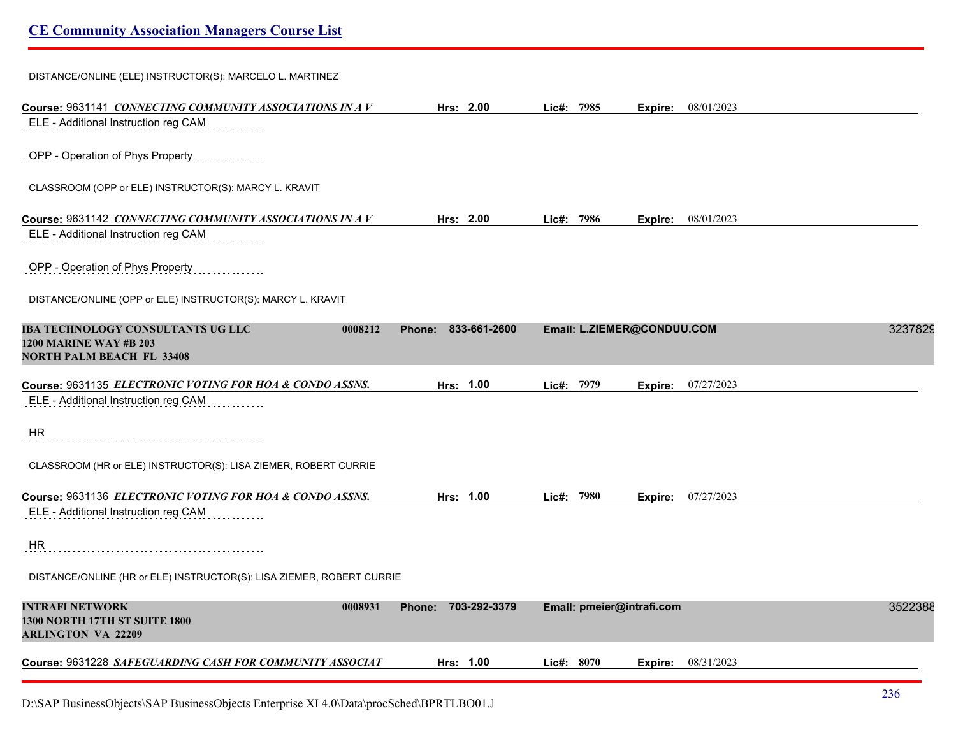| DISTANCE/ONLINE (ELE) INSTRUCTOR(S): MARCELO L. MARTINEZ                                                          |                        |                            |         |                    |         |
|-------------------------------------------------------------------------------------------------------------------|------------------------|----------------------------|---------|--------------------|---------|
| Course: 9631141 CONNECTING COMMUNITY ASSOCIATIONS IN A V                                                          | Hrs: $2.00$            | Lic#: 7985                 |         | Expire: 08/01/2023 |         |
| ELE - Additional Instruction reg CAM                                                                              |                        |                            |         |                    |         |
| OPP - Operation of Phys Property                                                                                  |                        |                            |         |                    |         |
| CLASSROOM (OPP or ELE) INSTRUCTOR(S): MARCY L. KRAVIT                                                             |                        |                            |         |                    |         |
| Course: 9631142 CONNECTING COMMUNITY ASSOCIATIONS IN A V                                                          | Hrs: 2.00              | Lic#: 7986                 | Expire: | 08/01/2023         |         |
| ELE - Additional Instruction reg CAM                                                                              |                        |                            |         |                    |         |
| OPP - Operation of Phys Property                                                                                  |                        |                            |         |                    |         |
| DISTANCE/ONLINE (OPP or ELE) INSTRUCTOR(S): MARCY L. KRAVIT                                                       |                        |                            |         |                    |         |
| IBA TECHNOLOGY CONSULTANTS UG LLC<br>0008212<br><b>1200 MARINE WAY #B 203</b><br><b>NORTH PALM BEACH FL 33408</b> | 833-661-2600<br>Phone: | Email: L.ZIEMER@CONDUU.COM |         |                    | 3237829 |
| Course: 9631135 <i>ELECTRONIC VOTING FOR HOA &amp; CONDO ASSNS</i> .                                              | Hrs: 1.00              | Lic#: 7979                 |         | Expire: 07/27/2023 |         |
| ELE - Additional Instruction reg CAM                                                                              |                        |                            |         |                    |         |
| HR                                                                                                                |                        |                            |         |                    |         |
| CLASSROOM (HR or ELE) INSTRUCTOR(S): LISA ZIEMER, ROBERT CURRIE                                                   |                        |                            |         |                    |         |
| Course: 9631136 ELECTRONIC VOTING FOR HOA & CONDO ASSNS.                                                          | Hrs: 1.00              | Lic#: 7980                 |         | Expire: 07/27/2023 |         |
| ELE - Additional Instruction reg CAM                                                                              |                        |                            |         |                    |         |
| <b>HR</b>                                                                                                         |                        |                            |         |                    |         |
| DISTANCE/ONLINE (HR or ELE) INSTRUCTOR(S): LISA ZIEMER, ROBERT CURRIE                                             |                        |                            |         |                    |         |
| INTRAFI NETWORK<br>0008931<br><b>1300 NORTH 17TH ST SUITE 1800</b><br><b>ARLINGTON VA 22209</b>                   | Phone: 703-292-3379    | Email: pmeier@intrafi.com  |         |                    | 3522388 |
| Course: 9631228 SAFEGUARDING CASH FOR COMMUNITY ASSOCIAT                                                          | Hrs: 1.00              | Lic#: 8070                 |         | Expire: 08/31/2023 |         |
|                                                                                                                   |                        |                            |         |                    |         |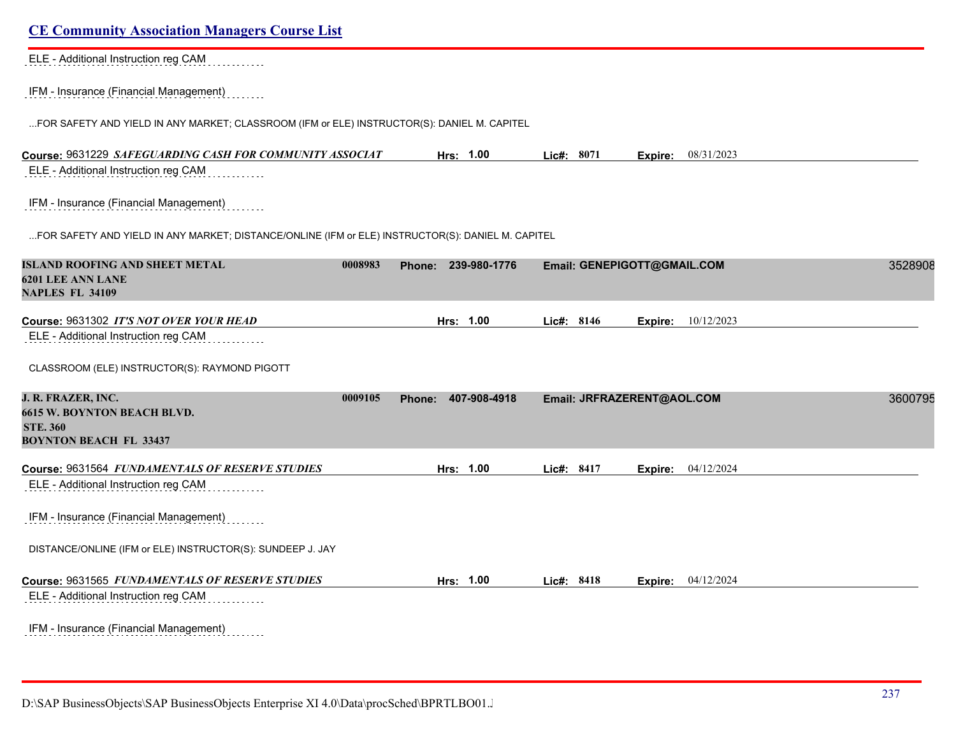| <b>CE Community Association Managers Course List</b>                                              |         |                     |              |                             |                           |         |
|---------------------------------------------------------------------------------------------------|---------|---------------------|--------------|-----------------------------|---------------------------|---------|
| ELE - Additional Instruction reg CAM                                                              |         |                     |              |                             |                           |         |
| IFM - Insurance (Financial Management)                                                            |         |                     |              |                             |                           |         |
| FOR SAFETY AND YIELD IN ANY MARKET; CLASSROOM (IFM or ELE) INSTRUCTOR(S): DANIEL M. CAPITEL       |         |                     |              |                             |                           |         |
| Course: 9631229 SAFEGUARDING CASH FOR COMMUNITY ASSOCIAT                                          |         | Hrs: 1.00           | Lic#: 8071   |                             | <b>Expire:</b> 08/31/2023 |         |
| ELE - Additional Instruction reg CAM                                                              |         |                     |              |                             |                           |         |
| IFM - Insurance (Financial Management)                                                            |         |                     |              |                             |                           |         |
| FOR SAFETY AND YIELD IN ANY MARKET; DISTANCE/ONLINE (IFM or ELE) INSTRUCTOR(S): DANIEL M. CAPITEL |         |                     |              |                             |                           |         |
| <b>ISLAND ROOFING AND SHEET METAL</b><br><b>6201 LEE ANN LANE</b><br><b>NAPLES FL 34109</b>       | 0008983 | Phone: 239-980-1776 |              | Email: GENEPIGOTT@GMAIL.COM |                           | 3528908 |
| Course: 9631302 IT'S NOT OVER YOUR HEAD<br>ELE - Additional Instruction reg CAM                   |         | 1.00<br>Hrs:        | Lic#: 8146   | Expire:                     | 10/12/2023                |         |
| CLASSROOM (ELE) INSTRUCTOR(S): RAYMOND PIGOTT                                                     |         |                     |              |                             |                           |         |
| J. R. FRAZER, INC.                                                                                | 0009105 | Phone: 407-908-4918 |              | Email: JRFRAZERENT@AOL.COM  |                           | 3600795 |
| <b>6615 W. BOYNTON BEACH BLVD.</b><br><b>STE. 360</b><br><b>BOYNTON BEACH FL 33437</b>            |         |                     |              |                             |                           |         |
| Course: 9631564 FUNDAMENTALS OF RESERVE STUDIES                                                   |         | Hrs: 1.00           | Lic#: 8417   | Expire:                     | 04/12/2024                |         |
| ELE - Additional Instruction reg CAM                                                              |         |                     |              |                             |                           |         |
| IFM - Insurance (Financial Management)                                                            |         |                     |              |                             |                           |         |
| DISTANCE/ONLINE (IFM or ELE) INSTRUCTOR(S): SUNDEEP J. JAY                                        |         |                     |              |                             |                           |         |
| Course: 9631565 FUNDAMENTALS OF RESERVE STUDIES                                                   |         | Hrs: 1.00           | Lic#: $8418$ | Expire:                     | 04/12/2024                |         |
| ELE - Additional Instruction reg CAM                                                              |         |                     |              |                             |                           |         |
| IFM - Insurance (Financial Management)                                                            |         |                     |              |                             |                           |         |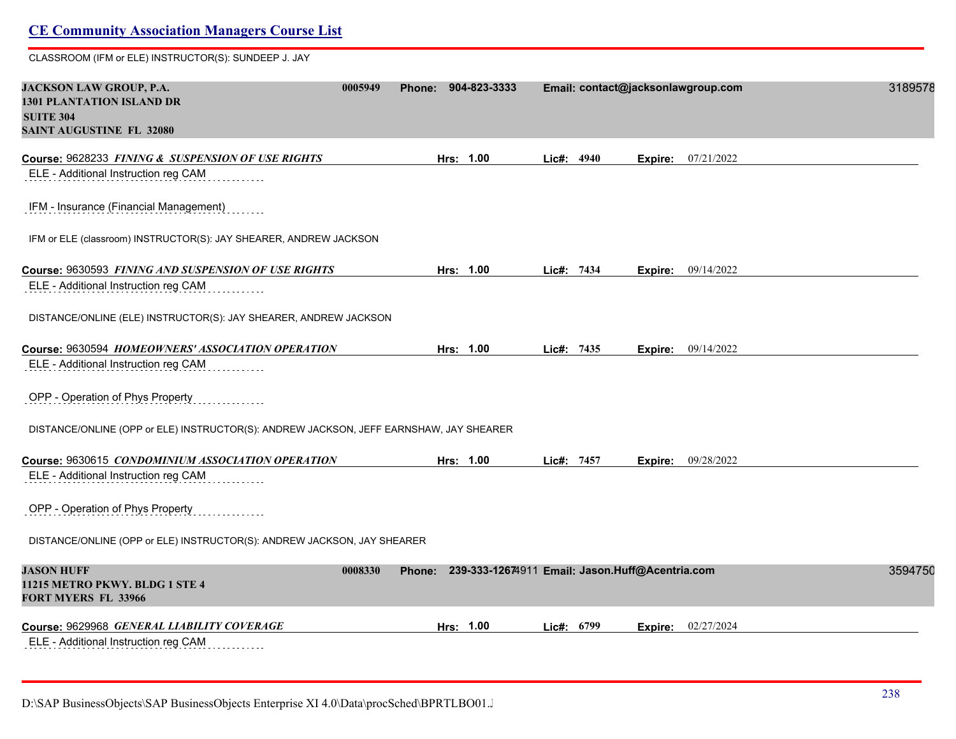CLASSROOM (IFM or ELE) INSTRUCTOR(S): SUNDEEP J. JAY

| JACKSON LAW GROUP, P.A.<br><b>1301 PLANTATION ISLAND DR</b><br><b>SUITE 304</b><br><b>SAINT AUGUSTINE FL 32080</b> | 0005949 | Phone: | 904-823-3333                                           |            |            |         | Email: contact@jacksonlawgroup.com | 3189578 |
|--------------------------------------------------------------------------------------------------------------------|---------|--------|--------------------------------------------------------|------------|------------|---------|------------------------------------|---------|
| Course: 9628233 FINING & SUSPENSION OF USE RIGHTS                                                                  |         |        | Hrs: 1.00                                              |            | Lic#: 4940 | Expire: | 07/21/2022                         |         |
| ELE - Additional Instruction reg CAM                                                                               |         |        |                                                        |            |            |         |                                    |         |
| IFM - Insurance (Financial Management)                                                                             |         |        |                                                        |            |            |         |                                    |         |
| IFM or ELE (classroom) INSTRUCTOR(S): JAY SHEARER, ANDREW JACKSON                                                  |         |        |                                                        |            |            |         |                                    |         |
| Course: 9630593 FINING AND SUSPENSION OF USE RIGHTS                                                                |         |        | Hrs: 1.00                                              | Lic#: 7434 |            |         | Expire: 09/14/2022                 |         |
| ELE - Additional Instruction reg CAM                                                                               |         |        |                                                        |            |            |         |                                    |         |
| DISTANCE/ONLINE (ELE) INSTRUCTOR(S): JAY SHEARER, ANDREW JACKSON                                                   |         |        |                                                        |            |            |         |                                    |         |
| Course: 9630594 HOMEOWNERS' ASSOCIATION OPERATION                                                                  |         |        | Hrs: 1.00                                              | Lic#: 7435 |            |         | Expire: 09/14/2022                 |         |
| ELE - Additional Instruction reg CAM                                                                               |         |        |                                                        |            |            |         |                                    |         |
| OPP - Operation of Phys Property                                                                                   |         |        |                                                        |            |            |         |                                    |         |
| DISTANCE/ONLINE (OPP or ELE) INSTRUCTOR(S): ANDREW JACKSON, JEFF EARNSHAW, JAY SHEARER                             |         |        |                                                        |            |            |         |                                    |         |
| Course: 9630615 CONDOMINIUM ASSOCIATION OPERATION                                                                  |         |        | Hrs: 1.00                                              | Lic#: 7457 |            | Expire: | 09/28/2022                         |         |
| ELE - Additional Instruction reg CAM                                                                               |         |        |                                                        |            |            |         |                                    |         |
| OPP - Operation of Phys Property                                                                                   |         |        |                                                        |            |            |         |                                    |         |
| DISTANCE/ONLINE (OPP or ELE) INSTRUCTOR(S): ANDREW JACKSON, JAY SHEARER                                            |         |        |                                                        |            |            |         |                                    |         |
| <b>JASON HUFF</b><br>11215 METRO PKWY. BLDG 1 STE 4<br><b>FORT MYERS FL 33966</b>                                  | 0008330 |        | Phone: 239-333-12674911 Email: Jason.Huff@Acentria.com |            |            |         |                                    | 3594750 |
| Course: 9629968 GENERAL LIABILITY COVERAGE                                                                         |         |        | Hrs: 1.00                                              |            | Lie#: 6799 | Expire: | 02/27/2024                         |         |
| ELE - Additional Instruction reg CAM<br>.                                                                          |         |        |                                                        |            |            |         |                                    |         |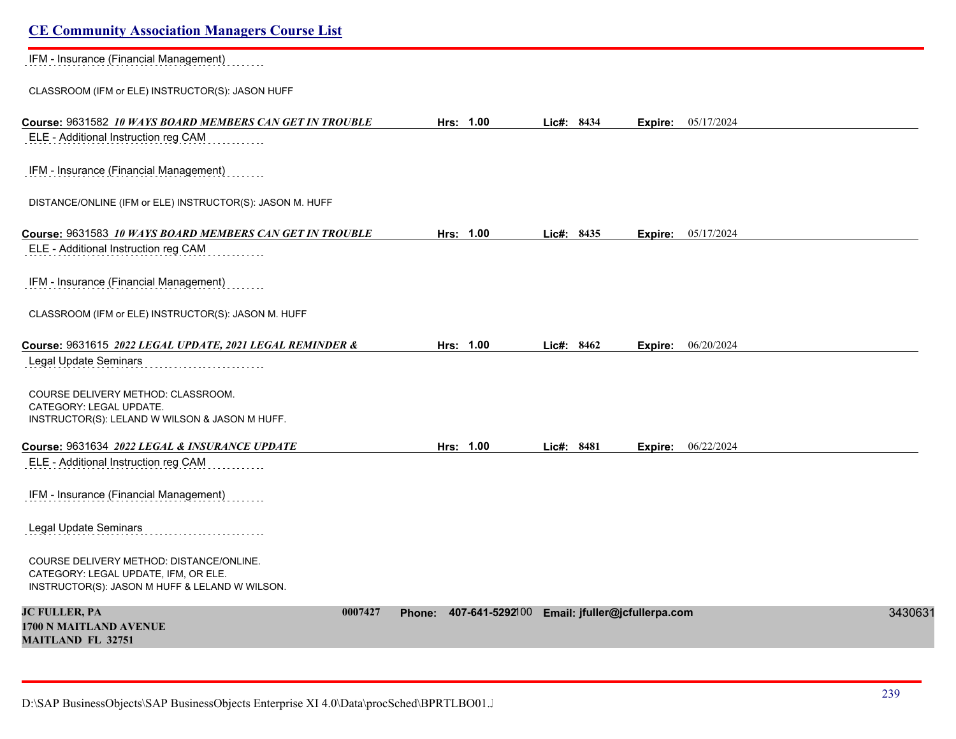| <b>CE Community Association Managers Course List</b>                                                                               |                        |                               |                       |         |
|------------------------------------------------------------------------------------------------------------------------------------|------------------------|-------------------------------|-----------------------|---------|
| IFM - Insurance (Financial Management)                                                                                             |                        |                               |                       |         |
| CLASSROOM (IFM or ELE) INSTRUCTOR(S): JASON HUFF                                                                                   |                        |                               |                       |         |
| Course: 9631582 10 WAYS BOARD MEMBERS CAN GET IN TROUBLE<br>ELE - Additional Instruction reg CAM                                   | Hrs: 1.00              | Lic#: 8434                    | 05/17/2024<br>Expire: |         |
| IFM - Insurance (Financial Management)                                                                                             |                        |                               |                       |         |
| DISTANCE/ONLINE (IFM or ELE) INSTRUCTOR(S): JASON M. HUFF                                                                          |                        |                               |                       |         |
| Course: 9631583 10 WAYS BOARD MEMBERS CAN GET IN TROUBLE                                                                           | Hrs: 1.00              | Lic#: 8435                    | 05/17/2024<br>Expire: |         |
| ELE - Additional Instruction reg CAM                                                                                               |                        |                               |                       |         |
| IFM - Insurance (Financial Management)                                                                                             |                        |                               |                       |         |
| CLASSROOM (IFM or ELE) INSTRUCTOR(S): JASON M. HUFF                                                                                |                        |                               |                       |         |
| Course: 9631615 2022 LEGAL UPDATE, 2021 LEGAL REMINDER &                                                                           | Hrs: 1.00              | Lic#: 8462                    | 06/20/2024<br>Expire: |         |
| Legal Update Seminars                                                                                                              |                        |                               |                       |         |
| COURSE DELIVERY METHOD: CLASSROOM.<br>CATEGORY: LEGAL UPDATE.<br>INSTRUCTOR(S): LELAND W WILSON & JASON M HUFF.                    |                        |                               |                       |         |
|                                                                                                                                    |                        |                               |                       |         |
| Course: 9631634 2022 LEGAL & INSURANCE UPDATE<br>ELE - Additional Instruction reg CAM                                              | Hrs: 1.00              | Lic#: 8481                    | 06/22/2024<br>Expire: |         |
| IFM - Insurance (Financial Management)                                                                                             |                        |                               |                       |         |
| Legal Update Seminars                                                                                                              |                        |                               |                       |         |
| COURSE DELIVERY METHOD: DISTANCE/ONLINE.<br>CATEGORY: LEGAL UPDATE, IFM, OR ELE.<br>INSTRUCTOR(S): JASON M HUFF & LELAND W WILSON. |                        |                               |                       |         |
| <b>JC FULLER, PA</b><br>0007427<br>1700 N MAITLAND AVENUE<br><b>MAITLAND FL 32751</b>                                              | Phone: 407-641-5292100 | Email: jfuller@jcfullerpa.com |                       | 3430631 |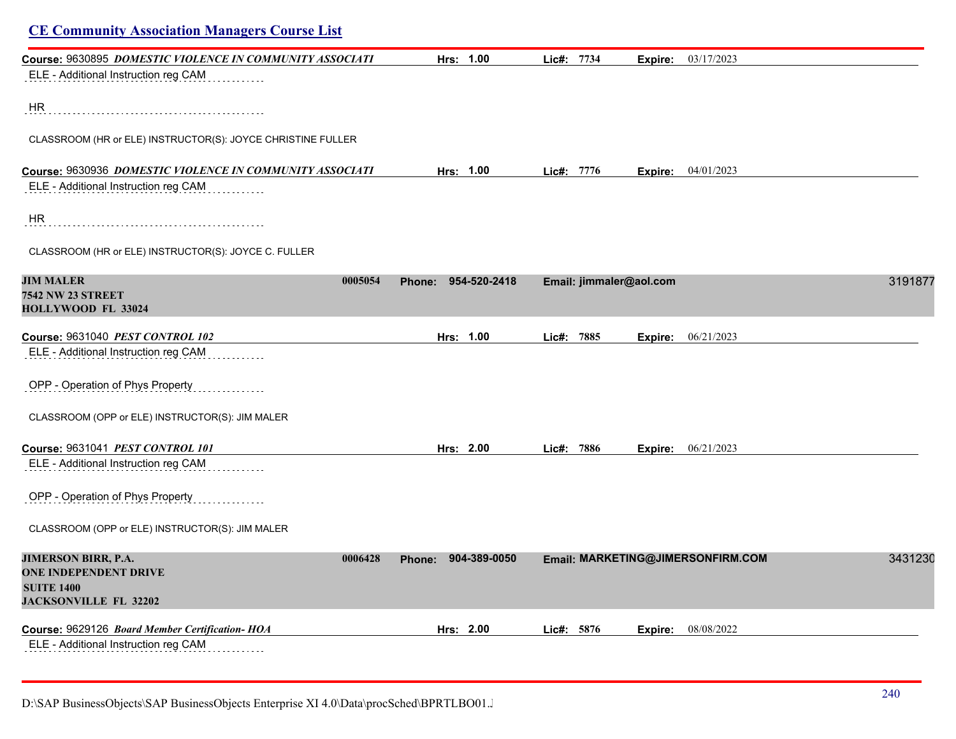| <b>CE Community Association Managers Course List</b>                                                                       |                     |                    |                         |                |                                   |         |
|----------------------------------------------------------------------------------------------------------------------------|---------------------|--------------------|-------------------------|----------------|-----------------------------------|---------|
| Course: 9630895 DOMESTIC VIOLENCE IN COMMUNITY ASSOCIATI                                                                   |                     | Hrs: 1.00          | Lic#: 7734              | Expire:        | 03/17/2023                        |         |
| ELE - Additional Instruction reg CAM                                                                                       |                     |                    |                         |                |                                   |         |
| HR.                                                                                                                        |                     |                    |                         |                |                                   |         |
| CLASSROOM (HR or ELE) INSTRUCTOR(S): JOYCE CHRISTINE FULLER                                                                |                     |                    |                         |                |                                   |         |
| Course: 9630936 DOMESTIC VIOLENCE IN COMMUNITY ASSOCIATI                                                                   |                     | Hrs: 1.00          | Lic#: 7776              |                | <b>Expire:</b> 04/01/2023         |         |
| ELE - Additional Instruction reg CAM                                                                                       |                     |                    |                         |                |                                   |         |
| HR                                                                                                                         |                     |                    |                         |                |                                   |         |
| CLASSROOM (HR or ELE) INSTRUCTOR(S): JOYCE C. FULLER                                                                       |                     |                    |                         |                |                                   |         |
| <b>JIM MALER</b><br>0005054<br><b>7542 NW 23 STREET</b><br>HOLLYWOOD FL 33024                                              | Phone: 954-520-2418 |                    | Email: jimmaler@aol.com |                |                                   | 3191877 |
| Course: 9631040 PEST CONTROL 102                                                                                           |                     | Hrs: 1.00          | Lic#: 7885              | Expire:        | 06/21/2023                        |         |
| ELE - Additional Instruction reg CAM                                                                                       |                     |                    |                         |                |                                   |         |
| OPP - Operation of Phys Property                                                                                           |                     |                    |                         |                |                                   |         |
| CLASSROOM (OPP or ELE) INSTRUCTOR(S): JIM MALER                                                                            |                     |                    |                         |                |                                   |         |
| Course: 9631041 PEST CONTROL 101                                                                                           |                     | Hrs: 2.00<br>Lic#: | 7886                    | Expire:        | 06/21/2023                        |         |
| ELE - Additional Instruction reg CAM                                                                                       |                     |                    |                         |                |                                   |         |
| OPP - Operation of Phys Property                                                                                           |                     |                    |                         |                |                                   |         |
| CLASSROOM (OPP or ELE) INSTRUCTOR(S): JIM MALER                                                                            |                     |                    |                         |                |                                   |         |
| <b>JIMERSON BIRR, P.A.</b><br>0006428<br><b>ONE INDEPENDENT DRIVE</b><br><b>SUITE 1400</b><br><b>JACKSONVILLE FL 32202</b> | Phone: 904-389-0050 |                    |                         |                | Email: MARKETING@JIMERSONFIRM.COM | 3431230 |
| Course: 9629126 Board Member Certification- HOA                                                                            |                     | Hrs: 2.00          | Lic#: 5876              | <b>Expire:</b> | 08/08/2022                        |         |
| ELE - Additional Instruction reg CAM                                                                                       |                     |                    |                         |                |                                   |         |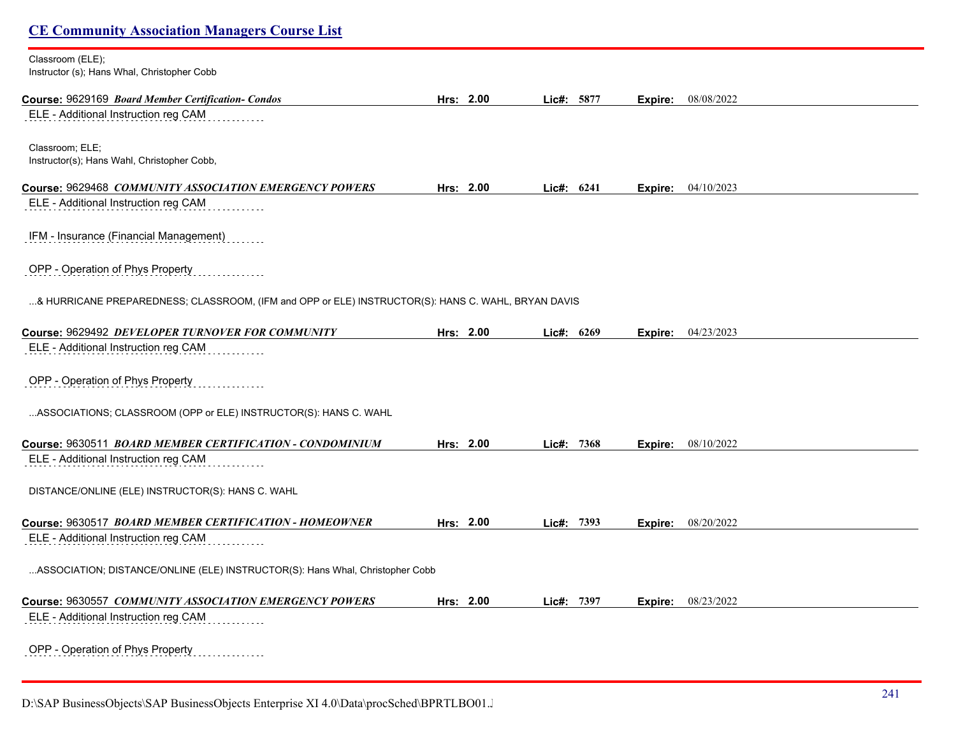| <b>CE Community Association Managers Course List</b>                                               |           |            |         |            |  |
|----------------------------------------------------------------------------------------------------|-----------|------------|---------|------------|--|
| Classroom (ELE);<br>Instructor (s); Hans Whal, Christopher Cobb                                    |           |            |         |            |  |
| Course: 9629169 Board Member Certification- Condos                                                 | Hrs: 2.00 | Lic#: 5877 | Expire: | 08/08/2022 |  |
| ELE - Additional Instruction reg CAM                                                               |           |            |         |            |  |
| Classroom; ELE;<br>Instructor(s); Hans Wahl, Christopher Cobb,                                     |           |            |         |            |  |
| Course: 9629468 COMMUNITY ASSOCIATION EMERGENCY POWERS                                             | Hrs: 2.00 | Lic#: 6241 | Expire: | 04/10/2023 |  |
| ELE - Additional Instruction reg CAM                                                               |           |            |         |            |  |
| IFM - Insurance (Financial Management)                                                             |           |            |         |            |  |
| OPP - Operation of Phys Property                                                                   |           |            |         |            |  |
| & HURRICANE PREPAREDNESS; CLASSROOM, (IFM and OPP or ELE) INSTRUCTOR(S): HANS C. WAHL, BRYAN DAVIS |           |            |         |            |  |
| Course: 9629492 DEVELOPER TURNOVER FOR COMMUNITY                                                   | Hrs: 2.00 | Lic#: 6269 | Expire: | 04/23/2023 |  |
| ELE - Additional Instruction reg CAM                                                               |           |            |         |            |  |
| OPP - Operation of Phys Property                                                                   |           |            |         |            |  |
| ASSOCIATIONS; CLASSROOM (OPP or ELE) INSTRUCTOR(S): HANS C. WAHL                                   |           |            |         |            |  |
| Course: 9630511 BOARD MEMBER CERTIFICATION - CONDOMINIUM                                           | Hrs: 2.00 | Lic#: 7368 | Expire: | 08/10/2022 |  |
| ELE - Additional Instruction reg CAM                                                               |           |            |         |            |  |
| DISTANCE/ONLINE (ELE) INSTRUCTOR(S): HANS C. WAHL                                                  |           |            |         |            |  |
| Course: 9630517 BOARD MEMBER CERTIFICATION - HOMEOWNER                                             | Hrs: 2.00 | Lic#: 7393 | Expire: | 08/20/2022 |  |
| ELE - Additional Instruction reg CAM                                                               |           |            |         |            |  |
| ASSOCIATION; DISTANCE/ONLINE (ELE) INSTRUCTOR(S): Hans Whal, Christopher Cobb                      |           |            |         |            |  |
| Course: 9630557 COMMUNITY ASSOCIATION EMERGENCY POWERS                                             | Hrs: 2.00 | Lic#: 7397 | Expire: | 08/23/2022 |  |
| ELE - Additional Instruction reg CAM                                                               |           |            |         |            |  |
| OPP - Operation of Phys Property                                                                   |           |            |         |            |  |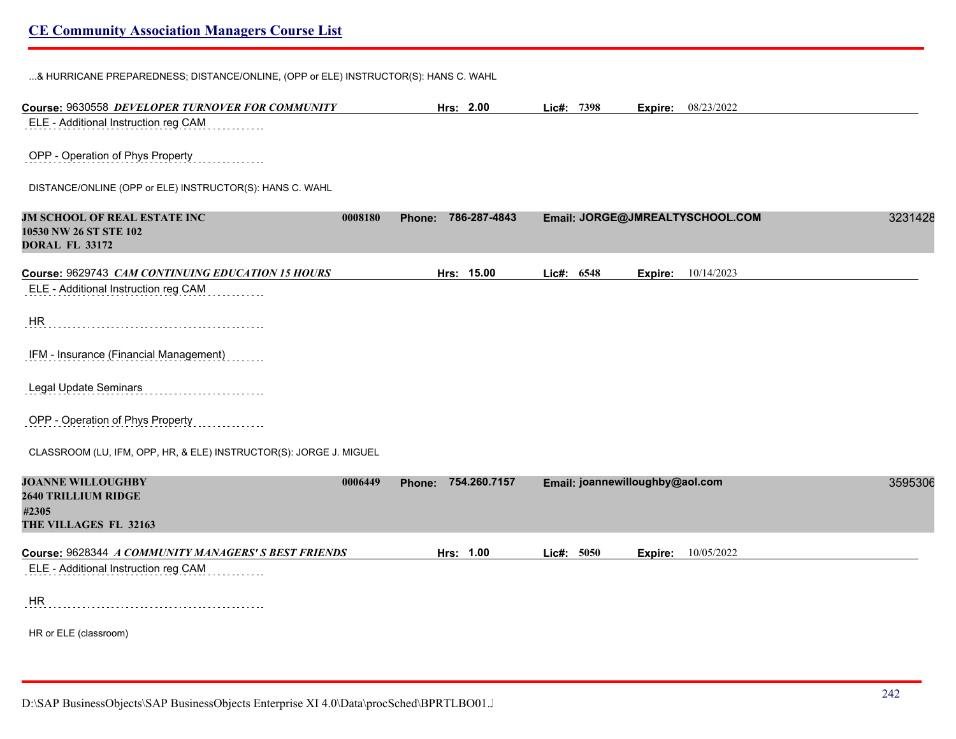...& HURRICANE PREPAREDNESS; DISTANCE/ONLINE, (OPP or ELE) INSTRUCTOR(S): HANS C. WAHL

| Course: 9630558 DEVELOPER TURNOVER FOR COMMUNITY                                                    | Hrs: 2.00              | Lic#: 7398 | <b>Expire:</b> 08/23/2022       |         |
|-----------------------------------------------------------------------------------------------------|------------------------|------------|---------------------------------|---------|
| ELE - Additional Instruction reg CAM                                                                |                        |            |                                 |         |
| OPP - Operation of Phys Property                                                                    |                        |            |                                 |         |
| DISTANCE/ONLINE (OPP or ELE) INSTRUCTOR(S): HANS C. WAHL                                            |                        |            |                                 |         |
| JM SCHOOL OF REAL ESTATE INC<br>0008180<br>10530 NW 26 ST STE 102<br><b>DORAL FL 33172</b>          | 786-287-4843<br>Phone: |            | Email: JORGE@JMREALTYSCHOOL.COM | 3231428 |
| Course: 9629743 CAM CONTINUING EDUCATION 15 HOURS                                                   | Hrs: 15.00             | Lic#: 6548 | 10/14/2023<br>Expire:           |         |
| ELE - Additional Instruction reg CAM                                                                |                        |            |                                 |         |
| HR                                                                                                  |                        |            |                                 |         |
| IFM - Insurance (Financial Management)                                                              |                        |            |                                 |         |
| <b>Legal Update Seminars</b>                                                                        |                        |            |                                 |         |
| OPP - Operation of Phys Property                                                                    |                        |            |                                 |         |
| CLASSROOM (LU, IFM, OPP, HR, & ELE) INSTRUCTOR(S): JORGE J. MIGUEL                                  |                        |            |                                 |         |
| <b>JOANNE WILLOUGHBY</b><br>0006449<br><b>2640 TRILLIUM RIDGE</b><br>#2305<br>THE VILLAGES FL 32163 | Phone: 754.260.7157    |            | Email: joannewilloughby@aol.com | 3595306 |
| Course: 9628344 A COMMUNITY MANAGERS' S BEST FRIENDS                                                | Hrs: 1.00              | Lic#: 5050 | 10/05/2022<br>Expire:           |         |
| ELE - Additional Instruction reg CAM                                                                |                        |            |                                 |         |
| HR                                                                                                  |                        |            |                                 |         |
| HR or ELE (classroom)                                                                               |                        |            |                                 |         |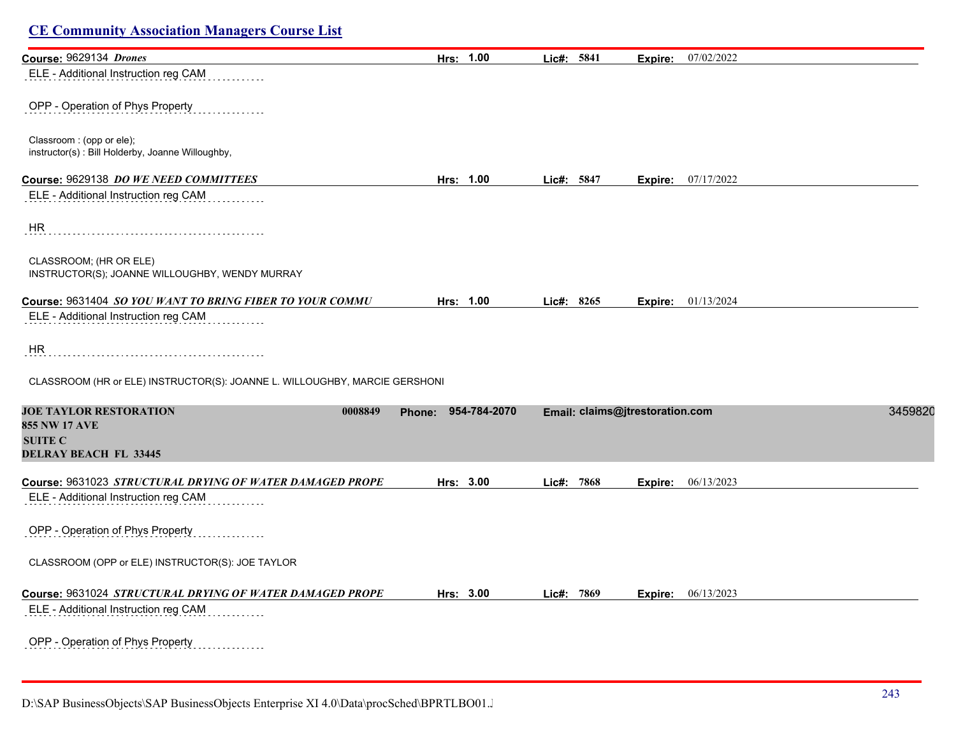| Course: 9629134 Drones                                                                                             | Hrs: 1.00           | Lic#: 5841    | <b>Expire:</b> 07/02/2022       |         |
|--------------------------------------------------------------------------------------------------------------------|---------------------|---------------|---------------------------------|---------|
| ELE - Additional Instruction reg CAM                                                                               |                     |               |                                 |         |
| OPP - Operation of Phys Property                                                                                   |                     |               |                                 |         |
| Classroom : (opp or ele);<br>instructor(s): Bill Holderby, Joanne Willoughby,                                      |                     |               |                                 |         |
| Course: 9629138 DO WE NEED COMMITTEES                                                                              | Hrs: 1.00           | Lic#: 5847    | Expire: 07/17/2022              |         |
| ELE - Additional Instruction reg CAM                                                                               |                     |               |                                 |         |
| HR                                                                                                                 |                     |               |                                 |         |
| CLASSROOM; (HR OR ELE)<br>INSTRUCTOR(S); JOANNE WILLOUGHBY, WENDY MURRAY                                           |                     |               |                                 |         |
| Course: 9631404 SO YOU WANT TO BRING FIBER TO YOUR COMMU                                                           | Hrs: 1.00           | Lic#: 8265    | <b>Expire:</b> $01/13/2024$     |         |
| ELE - Additional Instruction reg CAM                                                                               |                     |               |                                 |         |
| HR                                                                                                                 |                     |               |                                 |         |
| CLASSROOM (HR or ELE) INSTRUCTOR(S): JOANNE L. WILLOUGHBY, MARCIE GERSHONI                                         |                     |               |                                 |         |
| <b>JOE TAYLOR RESTORATION</b><br>0008849<br><b>855 NW 17 AVE</b><br><b>SUITE C</b><br><b>DELRAY BEACH FL 33445</b> | Phone: 954-784-2070 |               | Email: claims@jtrestoration.com | 3459820 |
| Course: 9631023 STRUCTURAL DRYING OF WATER DAMAGED PROPE                                                           | Hrs: 3.00           | Lic#:<br>7868 | 06/13/2023<br>Expire:           |         |
| ELE - Additional Instruction reg CAM                                                                               |                     |               |                                 |         |
| OPP - Operation of Phys Property                                                                                   |                     |               |                                 |         |
| CLASSROOM (OPP or ELE) INSTRUCTOR(S): JOE TAYLOR                                                                   |                     |               |                                 |         |
| Course: 9631024 STRUCTURAL DRYING OF WATER DAMAGED PROPE                                                           | Hrs: 3.00           | Lic#: 7869    | Expire: 06/13/2023              |         |
| ELE - Additional Instruction reg CAM                                                                               |                     |               |                                 |         |
| OPP - Operation of Phys Property<br>.                                                                              |                     |               |                                 |         |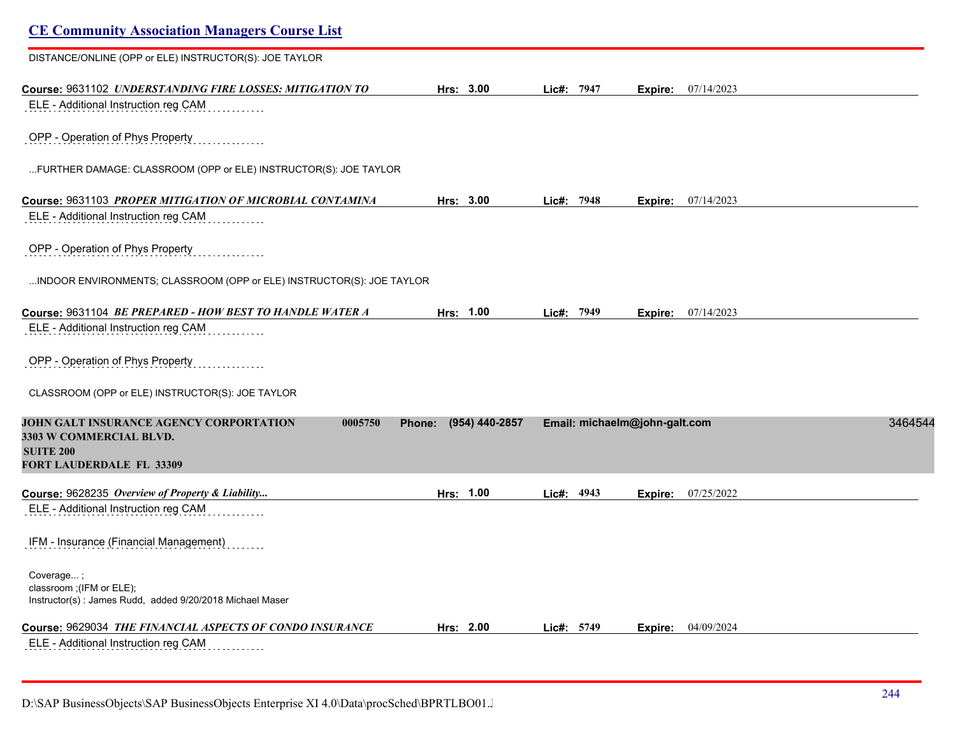| <b>CE Community Association Managers Course List</b>                  |                          |            |                               |            |         |
|-----------------------------------------------------------------------|--------------------------|------------|-------------------------------|------------|---------|
| DISTANCE/ONLINE (OPP or ELE) INSTRUCTOR(S): JOE TAYLOR                |                          |            |                               |            |         |
| Course: 9631102 UNDERSTANDING FIRE LOSSES: MITIGATION TO              | Hrs: 3.00                | Lic#: 7947 | Expire:                       | 07/14/2023 |         |
| ELE - Additional Instruction reg CAM                                  |                          |            |                               |            |         |
| OPP - Operation of Phys Property                                      |                          |            |                               |            |         |
| FURTHER DAMAGE: CLASSROOM (OPP or ELE) INSTRUCTOR(S): JOE TAYLOR      |                          |            |                               |            |         |
| Course: 9631103 PROPER MITIGATION OF MICROBIAL CONTAMINA              | Hrs: 3.00                | Lic#: 7948 | Expire:                       | 07/14/2023 |         |
| ELE - Additional Instruction reg CAM                                  |                          |            |                               |            |         |
| OPP - Operation of Phys Property                                      |                          |            |                               |            |         |
| INDOOR ENVIRONMENTS; CLASSROOM (OPP or ELE) INSTRUCTOR(S): JOE TAYLOR |                          |            |                               |            |         |
| Course: 9631104 BE PREPARED - HOW BEST TO HANDLE WATER A              | Hrs: 1.00                | Lic#: 7949 | Expire:                       | 07/14/2023 |         |
| ELE - Additional Instruction reg CAM                                  |                          |            |                               |            |         |
| OPP - Operation of Phys Property                                      |                          |            |                               |            |         |
| CLASSROOM (OPP or ELE) INSTRUCTOR(S): JOE TAYLOR                      |                          |            |                               |            |         |
| JOHN GALT INSURANCE AGENCY CORPORTATION<br>0005750                    | (954) 440-2857<br>Phone: |            | Email: michaelm@john-galt.com |            | 3464544 |
| 3303 W COMMERCIAL BLVD.<br><b>SUITE 200</b>                           |                          |            |                               |            |         |
| <b>FORT LAUDERDALE FL 33309</b>                                       |                          |            |                               |            |         |
| Course: 9628235 Overview of Property & Liability                      | Hrs: 1.00                | Lic#: 4943 | Expire:                       | 07/25/2022 |         |
| ELE - Additional Instruction reg CAM                                  |                          |            |                               |            |         |
| IFM - Insurance (Financial Management)                                |                          |            |                               |            |         |
| Coverage;<br>classroom ;(IFM or ELE);                                 |                          |            |                               |            |         |
| Instructor(s): James Rudd, added 9/20/2018 Michael Maser              |                          |            |                               |            |         |
| Course: 9629034 THE FINANCIAL ASPECTS OF CONDO INSURANCE              | Hrs: 2.00                | Lic#: 5749 | Expire:                       | 04/09/2024 |         |
| ELE - Additional Instruction reg CAM                                  |                          |            |                               |            |         |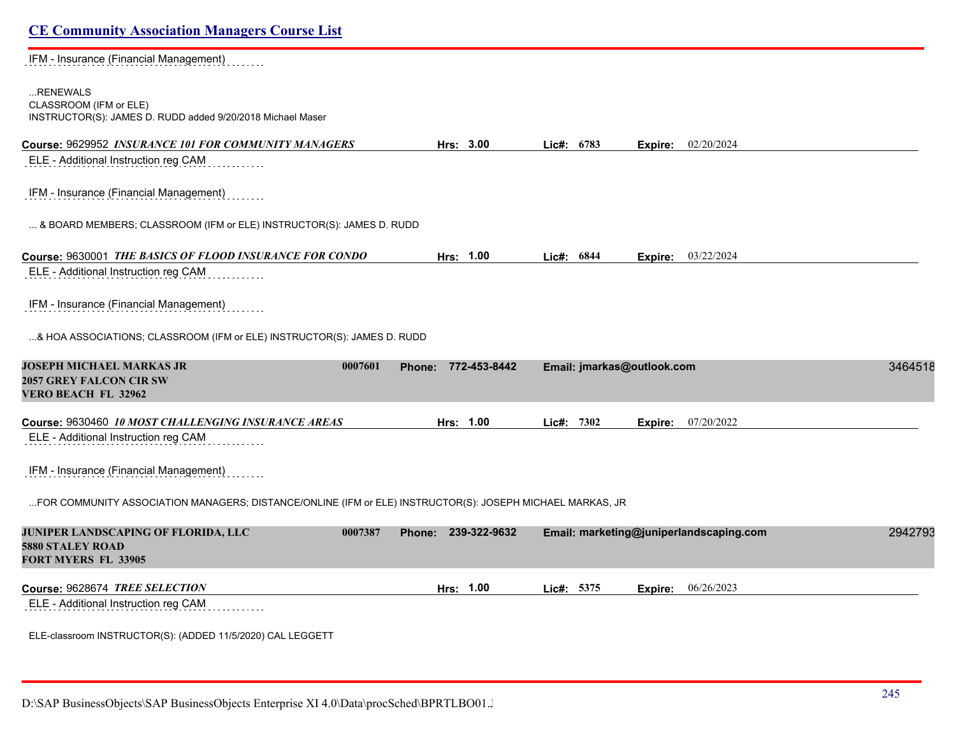IFM - Insurance (Financial Management)

### ...RENEWALS CLASSROOM (IFM or ELE) INSTRUCTOR(S): JAMES D. RUDD added 9/20/2018 Michael Maser

| Course: 9629952 INSURANCE 101 FOR COMMUNITY MANAGERS | 3.00<br>Hrs: | 6783<br>∖ic#: | 02/20/2024<br>Expire: |  |
|------------------------------------------------------|--------------|---------------|-----------------------|--|
|------------------------------------------------------|--------------|---------------|-----------------------|--|

ELE - Additional Instruction reg CAM

IFM - Insurance (Financial Management)

... & BOARD MEMBERS; CLASSROOM (IFM or ELE) INSTRUCTOR(S): JAMES D. RUDD

| Course: 9630001 THE BASICS OF FLOOD INSURANCE FOR CONDO | 1.00<br>Hrs: | Lic#: $6844$ | Expire: | 03/22/2024 |
|---------------------------------------------------------|--------------|--------------|---------|------------|
|                                                         |              |              |         |            |

ELE - Additional Instruction reg CAM

IFM - Insurance (Financial Management)  $\ldots$  . . .

...& HOA ASSOCIATIONS; CLASSROOM (IFM or ELE) INSTRUCTOR(S): JAMES D. RUDD

| <b>JOSEPH MICHAEL MARKAS JR</b><br><b>2057 GREY FALCON CIR SW</b><br>VERO BEACH FL 32962                  | 0007601<br>Phone: | 772-453-8442 | Email: jmarkas@outlook.com |                                         | 3464518 |
|-----------------------------------------------------------------------------------------------------------|-------------------|--------------|----------------------------|-----------------------------------------|---------|
| Course: 9630460 10 MOST CHALLENGING INSURANCE AREAS                                                       |                   | Hrs: 1.00    | Lie#: 7302                 | 07/20/2022<br>Expire:                   |         |
| ELE - Additional Instruction reg CAM                                                                      |                   |              |                            |                                         |         |
| IFM - Insurance (Financial Management)                                                                    |                   |              |                            |                                         |         |
| FOR COMMUNITY ASSOCIATION MANAGERS; DISTANCE/ONLINE (IFM or ELE) INSTRUCTOR(S): JOSEPH MICHAEL MARKAS, JR |                   |              |                            |                                         |         |
| <b>JUNIPER LANDSCAPING OF FLORIDA, LLC</b><br>5880 STALEY ROAD                                            | 0007387<br>Phone: | 239-322-9632 |                            | Email: marketing@juniperlandscaping.com | 2942793 |

**FORT MYERS FL 33905** 

**Course:** 9628674 *TREE SELECTION* **Hrs: 1.00 Lic#: 5375 Expire:** 06/26/2023

ELE - Additional Instruction reg CAM

ELE-classroom INSTRUCTOR(S): (ADDED 11/5/2020) CAL LEGGETT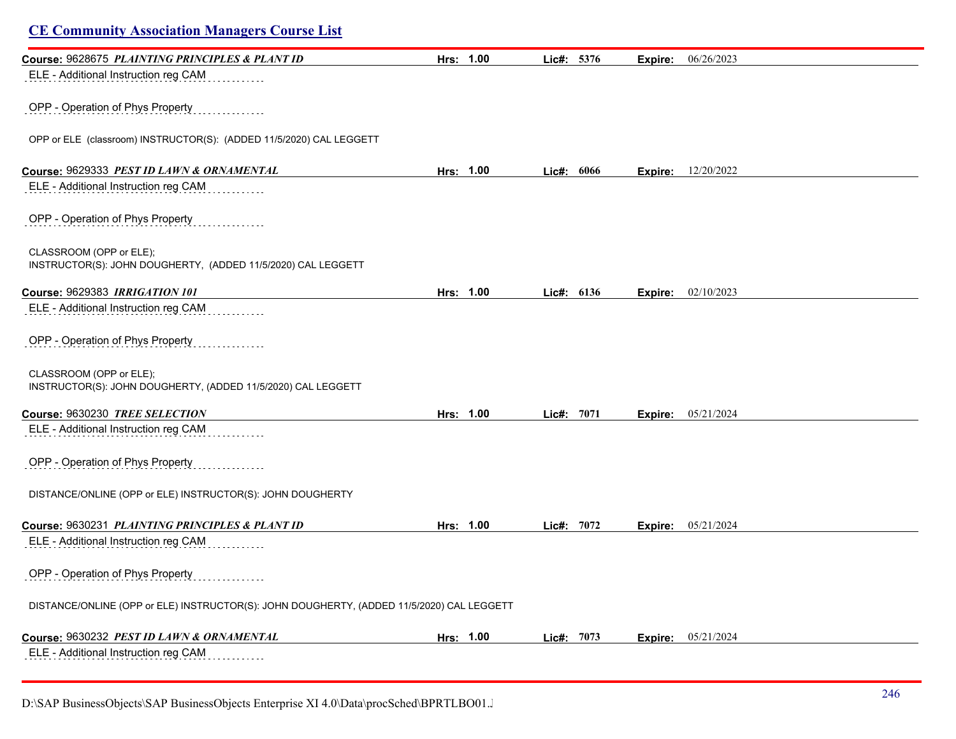| <b>CE Community Association Managers Course List</b>                                      |           |            |         |                           |
|-------------------------------------------------------------------------------------------|-----------|------------|---------|---------------------------|
| Course: 9628675 PLAINTING PRINCIPLES & PLANT ID                                           | Hrs: 1.00 | Lic#: 5376 | Expire: | 06/26/2023                |
| ELE - Additional Instruction reg CAM                                                      |           |            |         |                           |
| OPP - Operation of Phys Property                                                          |           |            |         |                           |
| OPP or ELE (classroom) INSTRUCTOR(S): (ADDED 11/5/2020) CAL LEGGETT                       |           |            |         |                           |
| Course: 9629333 PEST ID LAWN & ORNAMENTAL                                                 | Hrs: 1.00 | Lic#: 6066 |         | <b>Expire:</b> 12/20/2022 |
| ELE - Additional Instruction reg CAM                                                      |           |            |         |                           |
| OPP - Operation of Phys Property                                                          |           |            |         |                           |
| CLASSROOM (OPP or ELE);<br>INSTRUCTOR(S): JOHN DOUGHERTY, (ADDED 11/5/2020) CAL LEGGETT   |           |            |         |                           |
| Course: 9629383 IRRIGATION 101                                                            | Hrs: 1.00 | Lic#: 6136 | Expire: | 02/10/2023                |
| ELE - Additional Instruction reg CAM                                                      |           |            |         |                           |
| OPP - Operation of Phys Property                                                          |           |            |         |                           |
| CLASSROOM (OPP or ELE);<br>INSTRUCTOR(S): JOHN DOUGHERTY, (ADDED 11/5/2020) CAL LEGGETT   |           |            |         |                           |
| Course: 9630230 TREE SELECTION                                                            | Hrs: 1.00 | Lic#: 7071 |         | <b>Expire:</b> 05/21/2024 |
| ELE - Additional Instruction reg CAM                                                      |           |            |         |                           |
| OPP - Operation of Phys Property                                                          |           |            |         |                           |
| DISTANCE/ONLINE (OPP or ELE) INSTRUCTOR(S): JOHN DOUGHERTY                                |           |            |         |                           |
| Course: 9630231 PLAINTING PRINCIPLES & PLANT ID                                           | Hrs: 1.00 | Lic#: 7072 | Expire: | 05/21/2024                |
| ELE - Additional Instruction reg CAM                                                      |           |            |         |                           |
| OPP - Operation of Phys Property                                                          |           |            |         |                           |
| DISTANCE/ONLINE (OPP or ELE) INSTRUCTOR(S): JOHN DOUGHERTY, (ADDED 11/5/2020) CAL LEGGETT |           |            |         |                           |
| Course: 9630232 PEST ID LAWN & ORNAMENTAL                                                 | Hrs: 1.00 | Lic#: 7073 | Expire: | 05/21/2024                |
| ELE - Additional Instruction reg CAM                                                      |           |            |         |                           |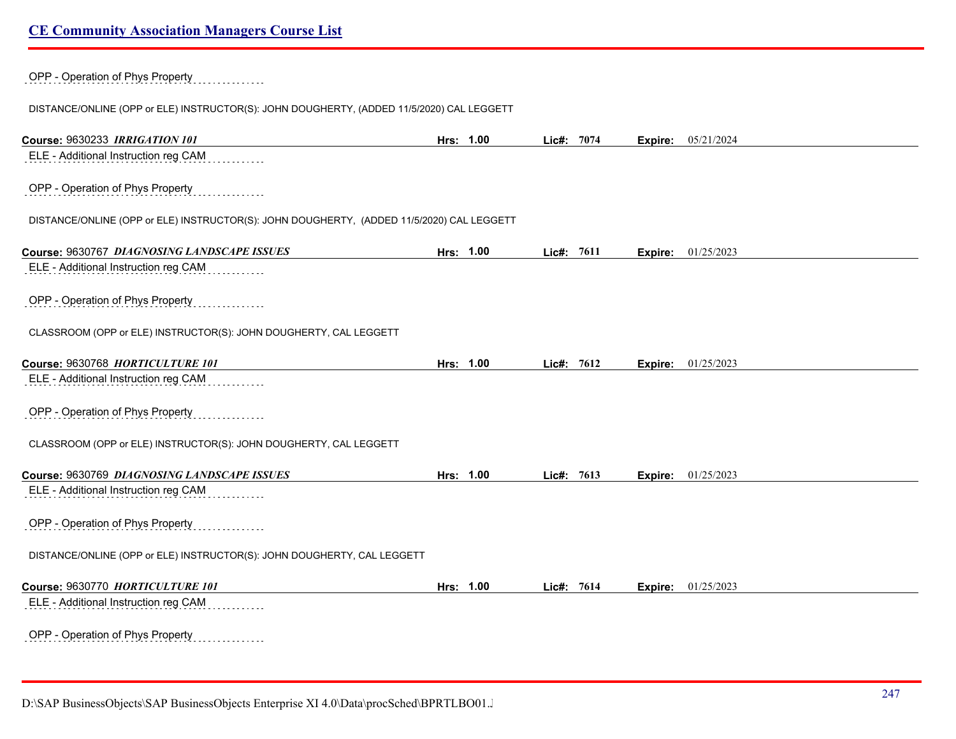## OPP - Operation of Phys Property

DISTANCE/ONLINE (OPP or ELE) INSTRUCTOR(S): JOHN DOUGHERTY, (ADDED 11/5/2020) CAL LEGGETT

| Course: 9630233 IRRIGATION 101                                                            | Hrs: 1.00 | Lic#: 7074 |      |         | <b>Expire:</b> 05/21/2024 |  |
|-------------------------------------------------------------------------------------------|-----------|------------|------|---------|---------------------------|--|
| ELE - Additional Instruction reg CAM                                                      |           |            |      |         |                           |  |
| OPP - Operation of Phys Property                                                          |           |            |      |         |                           |  |
| DISTANCE/ONLINE (OPP or ELE) INSTRUCTOR(S): JOHN DOUGHERTY, (ADDED 11/5/2020) CAL LEGGETT |           |            |      |         |                           |  |
| Course: 9630767 DIAGNOSING LANDSCAPE ISSUES                                               | Hrs: 1.00 | Lic#: 7611 |      |         | <b>Expire:</b> 01/25/2023 |  |
| ELE - Additional Instruction reg CAM                                                      |           |            |      |         |                           |  |
| OPP - Operation of Phys Property                                                          |           |            |      |         |                           |  |
| CLASSROOM (OPP or ELE) INSTRUCTOR(S): JOHN DOUGHERTY, CAL LEGGETT                         |           |            |      |         |                           |  |
| Course: 9630768 HORTICULTURE 101                                                          | Hrs: 1.00 | Lic#:      | 7612 | Expire: | 01/25/2023                |  |
| ELE - Additional Instruction reg CAM                                                      |           |            |      |         |                           |  |
| OPP - Operation of Phys Property                                                          |           |            |      |         |                           |  |
| CLASSROOM (OPP or ELE) INSTRUCTOR(S): JOHN DOUGHERTY, CAL LEGGETT                         |           |            |      |         |                           |  |
| Course: 9630769 DIAGNOSING LANDSCAPE ISSUES                                               | Hrs: 1.00 | Lic#:      | 7613 | Expire: | 01/25/2023                |  |
| ELE - Additional Instruction reg CAM                                                      |           |            |      |         |                           |  |
| OPP - Operation of Phys Property                                                          |           |            |      |         |                           |  |
| DISTANCE/ONLINE (OPP or ELE) INSTRUCTOR(S): JOHN DOUGHERTY, CAL LEGGETT                   |           |            |      |         |                           |  |
| Course: 9630770 HORTICULTURE 101                                                          | Hrs: 1.00 | Lic#:      | 7614 |         | <b>Expire:</b> 01/25/2023 |  |
| ELE - Additional Instruction reg CAM                                                      |           |            |      |         |                           |  |
| OPP - Operation of Phys Property<br>.                                                     |           |            |      |         |                           |  |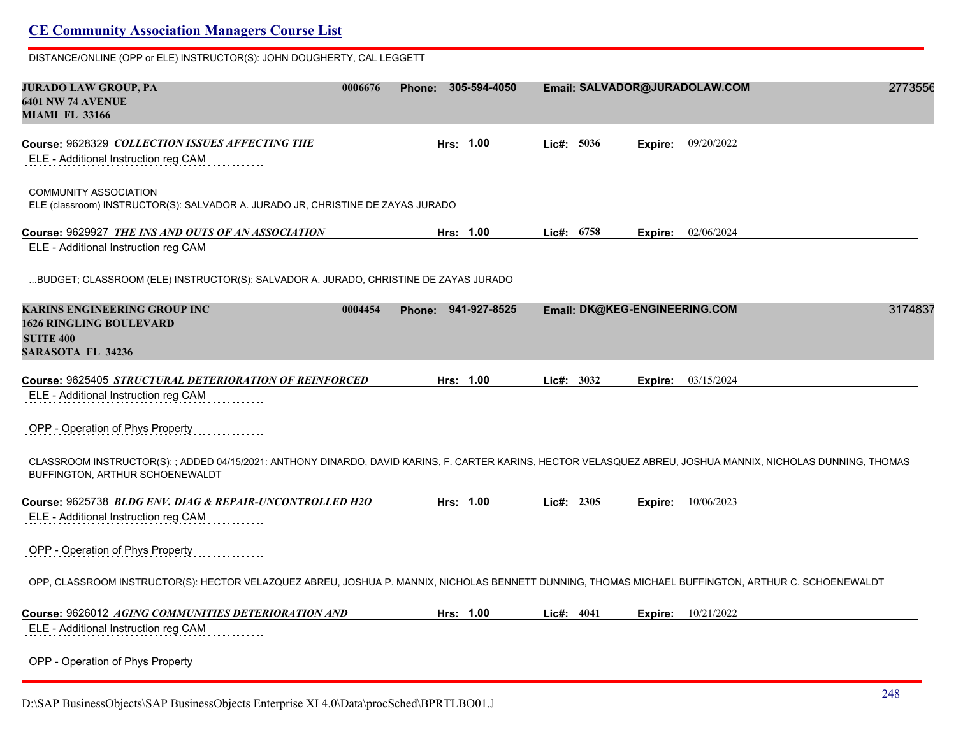| DISTANCE/ONLINE (OPP or ELE) INSTRUCTOR(S): JOHN DOUGHERTY, CAL LEGGETT                                                                                                                          |         |                        |              |                               |         |
|--------------------------------------------------------------------------------------------------------------------------------------------------------------------------------------------------|---------|------------------------|--------------|-------------------------------|---------|
| JURADO LAW GROUP, PA<br><b>6401 NW 74 AVENUE</b><br><b>MIAMI FL 33166</b>                                                                                                                        | 0006676 | 305-594-4050<br>Phone: |              | Email: SALVADOR@JURADOLAW.COM | 2773556 |
| Course: 9628329 COLLECTION ISSUES AFFECTING THE<br>ELE - Additional Instruction reg CAM                                                                                                          |         | Hrs: 1.00              | Lic#: 5036   | 09/20/2022<br>Expire:         |         |
| <b>COMMUNITY ASSOCIATION</b><br>ELE (classroom) INSTRUCTOR(S): SALVADOR A. JURADO JR, CHRISTINE DE ZAYAS JURADO                                                                                  |         |                        |              |                               |         |
| Course: 9629927 <i>THE INS AND OUTS OF AN ASSOCIATION</i><br>ELE - Additional Instruction reg CAM                                                                                                |         | Hrs: 1.00              | Lic#: 6758   | <b>Expire:</b> 02/06/2024     |         |
| BUDGET; CLASSROOM (ELE) INSTRUCTOR(S): SALVADOR A. JURADO, CHRISTINE DE ZAYAS JURADO                                                                                                             |         |                        |              |                               |         |
| <b>KARINS ENGINEERING GROUP INC</b><br><b>1626 RINGLING BOULEVARD</b><br><b>SUITE 400</b><br><b>SARASOTA FL 34236</b>                                                                            | 0004454 | Phone: 941-927-8525    |              | Email: DK@KEG-ENGINEERING.COM | 3174837 |
| Course: 9625405 <i>STRUCTURAL DETERIORATION OF REINFORCED</i>                                                                                                                                    |         | Hrs: 1.00              | Lie#: 3032   | 03/15/2024<br>Expire:         |         |
| ELE - Additional Instruction reg CAM<br>OPP - Operation of Phys Property                                                                                                                         |         |                        |              |                               |         |
| CLASSROOM INSTRUCTOR(S): ; ADDED 04/15/2021: ANTHONY DINARDO, DAVID KARINS, F. CARTER KARINS, HECTOR VELASQUEZ ABREU, JOSHUA MANNIX, NICHOLAS DUNNING, THOMAS<br>BUFFINGTON, ARTHUR SCHOENEWALDT |         |                        |              |                               |         |
| Course: 9625738 BLDG ENV. DIAG & REPAIR-UNCONTROLLED H2O                                                                                                                                         |         | Hrs: 1.00              | Lic#: 2305   | <b>Expire:</b> 10/06/2023     |         |
| ELE - Additional Instruction reg CAM                                                                                                                                                             |         |                        |              |                               |         |
| OPP - Operation of Phys Property                                                                                                                                                                 |         |                        |              |                               |         |
| OPP, CLASSROOM INSTRUCTOR(S): HECTOR VELAZQUEZ ABREU, JOSHUA P. MANNIX, NICHOLAS BENNETT DUNNING, THOMAS MICHAEL BUFFINGTON, ARTHUR C. SCHOENEWALDT                                              |         |                        |              |                               |         |
| Course: 9626012 <i>AGING COMMUNITIES DETERIORATION AND</i><br>ELE - Additional Instruction reg CAM                                                                                               |         | Hrs: 1.00              | Lic#: $4041$ | <b>Expire:</b> $10/21/2022$   |         |
| OPP - Operation of Phys Property                                                                                                                                                                 |         |                        |              |                               |         |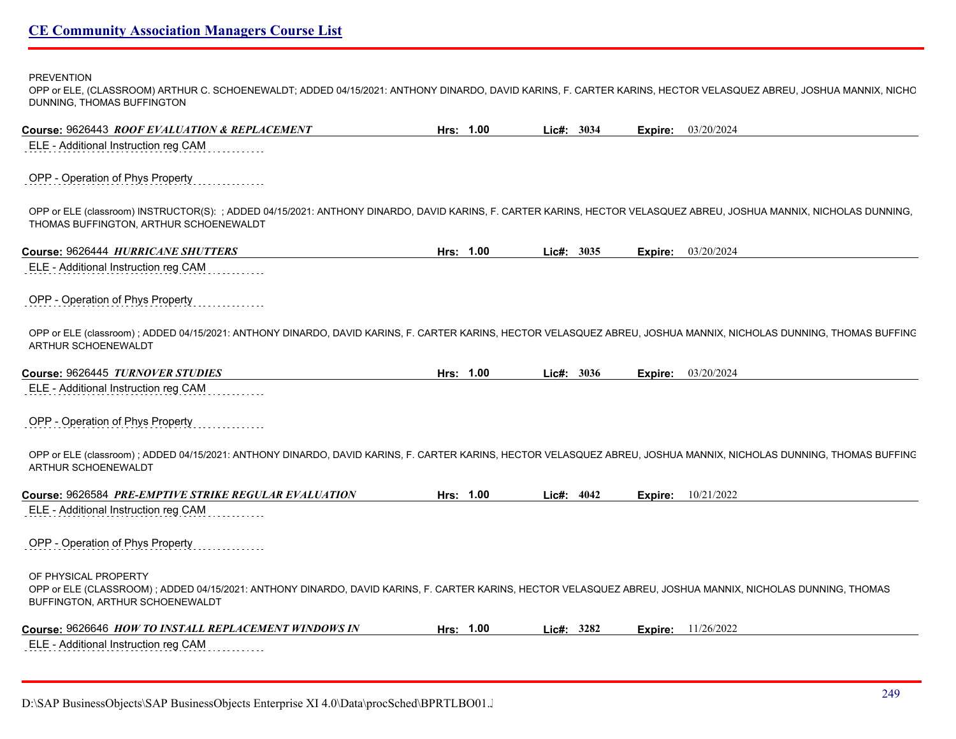PREVENTION

| OPP or ELE, (CLASSROOM) ARTHUR C. SCHOENEWALDT; ADDED 04/15/2021: ANTHONY DINARDO, DAVID KARINS, F. CARTER KARINS, HECTOR VELASQUEZ ABREU, JOSHUA MANNIX, NICHC |
|-----------------------------------------------------------------------------------------------------------------------------------------------------------------|
| DUNNING, THOMAS BUFFINGTON                                                                                                                                      |
|                                                                                                                                                                 |

| Course: 9626443 ROOF EVALUATION & REPLACEMENT                                                                                                                                                                         | Hrs: 1.00 | Lic#: 3034 | Expire: | 03/20/2024         |
|-----------------------------------------------------------------------------------------------------------------------------------------------------------------------------------------------------------------------|-----------|------------|---------|--------------------|
| ELE - Additional Instruction reg CAM                                                                                                                                                                                  |           |            |         |                    |
| OPP - Operation of Phys Property                                                                                                                                                                                      |           |            |         |                    |
| OPP or ELE (classroom) INSTRUCTOR(S): ; ADDED 04/15/2021: ANTHONY DINARDO, DAVID KARINS, F. CARTER KARINS, HECTOR VELASQUEZ ABREU, JOSHUA MANNIX, NICHOLAS DUNNING,<br>THOMAS BUFFINGTON, ARTHUR SCHOENEWALDT         |           |            |         |                    |
| Course: 9626444 HURRICANE SHUTTERS                                                                                                                                                                                    | Hrs: 1.00 | Lic#: 3035 |         | Expire: 03/20/2024 |
| ELE - Additional Instruction reg CAM                                                                                                                                                                                  |           |            |         |                    |
| OPP - Operation of Phys Property                                                                                                                                                                                      |           |            |         |                    |
| OPP or ELE (classroom); ADDED 04/15/2021: ANTHONY DINARDO, DAVID KARINS, F. CARTER KARINS, HECTOR VELASQUEZ ABREU, JOSHUA MANNIX, NICHOLAS DUNNING, THOMAS BUFFINC<br>ARTHUR SCHOENEWALDT                             |           |            |         |                    |
| Course: 9626445 TURNOVER STUDIES                                                                                                                                                                                      | Hrs: 1.00 | Lic#: 3036 | Expire: | 03/20/2024         |
| ELE - Additional Instruction reg CAM                                                                                                                                                                                  |           |            |         |                    |
| OPP - Operation of Phys Property                                                                                                                                                                                      |           |            |         |                    |
| OPP or ELE (classroom); ADDED 04/15/2021: ANTHONY DINARDO, DAVID KARINS, F. CARTER KARINS, HECTOR VELASQUEZ ABREU, JOSHUA MANNIX, NICHOLAS DUNNING, THOMAS BUFFINC<br>ARTHUR SCHOENEWALDT                             |           |            |         |                    |
| Course: 9626584 PRE-EMPTIVE STRIKE REGULAR EVALUATION                                                                                                                                                                 | Hrs: 1.00 | Lic#: 4042 | Expire: | 10/21/2022         |
| ELE - Additional Instruction reg CAM                                                                                                                                                                                  |           |            |         |                    |
| OPP - Operation of Phys Property                                                                                                                                                                                      |           |            |         |                    |
| OF PHYSICAL PROPERTY<br>OPP or ELE (CLASSROOM); ADDED 04/15/2021: ANTHONY DINARDO, DAVID KARINS, F. CARTER KARINS, HECTOR VELASQUEZ ABREU, JOSHUA MANNIX, NICHOLAS DUNNING, THOMAS<br>BUFFINGTON, ARTHUR SCHOENEWALDT |           |            |         |                    |
| Course: 9626646 HOW TO INSTALL REPLACEMENT WINDOWS IN                                                                                                                                                                 | Hrs: 1.00 | Lic#: 3282 | Expire: | 11/26/2022         |
| ELE - Additional Instruction reg CAM                                                                                                                                                                                  |           |            |         |                    |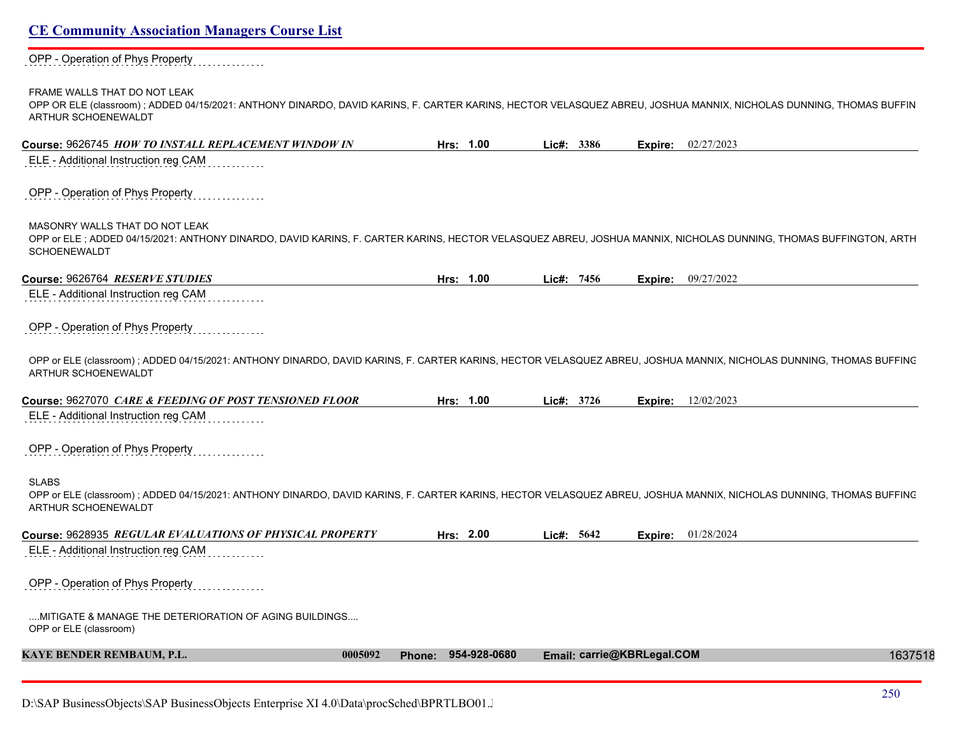#### OPP - Operation of Phys Property . . . . . . . . . . . .

#### FRAME WALLS THAT DO NOT LEAK

OPP OR ELE (classroom) ; ADDED 04/15/2021: ANTHONY DINARDO, DAVID KARINS, F. CARTER KARINS, HECTOR VELASQUEZ ABREU, JOSHUA MANNIX, NICHOLAS DUNNING, THOMAS BUFFIN ARTHUR SCHOENEWALDT

| Course: 9626745 HOW TO INSTALL REPLACEMENT WINDOW IN                                                                                                                                                                     | Hrs: 1.00           | Lic#: 3386                 | Expire:<br>02/27/2023     |         |
|--------------------------------------------------------------------------------------------------------------------------------------------------------------------------------------------------------------------------|---------------------|----------------------------|---------------------------|---------|
| ELE - Additional Instruction reg CAM                                                                                                                                                                                     |                     |                            |                           |         |
| OPP - Operation of Phys Property                                                                                                                                                                                         |                     |                            |                           |         |
| MASONRY WALLS THAT DO NOT LEAK<br>OPP or ELE; ADDED 04/15/2021: ANTHONY DINARDO, DAVID KARINS, F. CARTER KARINS, HECTOR VELASQUEZ ABREU, JOSHUA MANNIX, NICHOLAS DUNNING, THOMAS BUFFINGTON, ARTH<br><b>SCHOENEWALDT</b> |                     |                            |                           |         |
| Course: 9626764 RESERVE STUDIES                                                                                                                                                                                          | Hrs: 1.00           | Lic#: 7456                 | 09/27/2022<br>Expire:     |         |
| ELE - Additional Instruction reg CAM                                                                                                                                                                                     |                     |                            |                           |         |
| OPP - Operation of Phys Property                                                                                                                                                                                         |                     |                            |                           |         |
| OPP or ELE (classroom); ADDED 04/15/2021: ANTHONY DINARDO, DAVID KARINS, F. CARTER KARINS, HECTOR VELASQUEZ ABREU, JOSHUA MANNIX, NICHOLAS DUNNING, THOMAS BUFFINC<br>ARTHUR SCHOENEWALDT                                |                     |                            |                           |         |
| Course: 9627070 CARE & FEEDING OF POST TENSIONED FLOOR                                                                                                                                                                   | Hrs: 1.00           | Lic#: 3726                 | <b>Expire:</b> 12/02/2023 |         |
| ELE - Additional Instruction reg CAM                                                                                                                                                                                     |                     |                            |                           |         |
| OPP - Operation of Phys Property                                                                                                                                                                                         |                     |                            |                           |         |
| <b>SLABS</b><br>OPP or ELE (classroom); ADDED 04/15/2021: ANTHONY DINARDO, DAVID KARINS, F. CARTER KARINS, HECTOR VELASQUEZ ABREU, JOSHUA MANNIX, NICHOLAS DUNNING, THOMAS BUFFINC<br>ARTHUR SCHOENEWALDT                |                     |                            |                           |         |
| Course: 9628935 REGULAR EVALUATIONS OF PHYSICAL PROPERTY                                                                                                                                                                 | Hrs: 2.00           | Lic#: 5642                 | 01/28/2024<br>Expire:     |         |
| ELE - Additional Instruction reg CAM                                                                                                                                                                                     |                     |                            |                           |         |
| OPP - Operation of Phys Property                                                                                                                                                                                         |                     |                            |                           |         |
| MITIGATE & MANAGE THE DETERIORATION OF AGING BUILDINGS<br>OPP or ELE (classroom)                                                                                                                                         |                     |                            |                           |         |
| <b>KAYE BENDER REMBAUM, P.L.</b><br>0005092                                                                                                                                                                              | Phone: 954-928-0680 | Email: carrie@KBRLegal.COM |                           | 1637518 |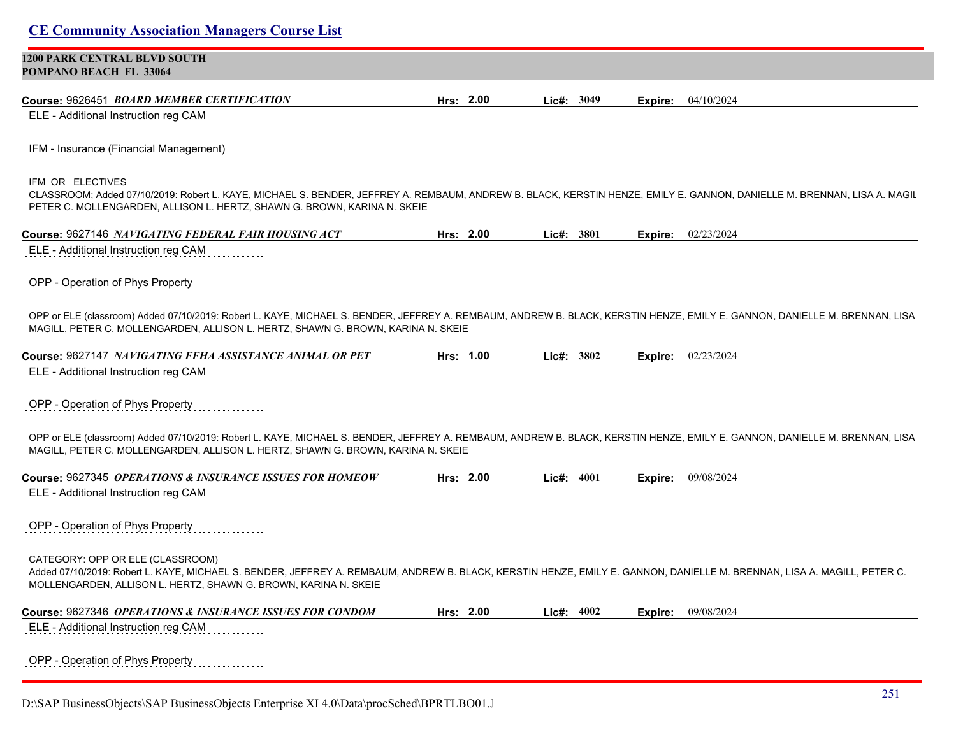## **CE Community Association Managers Course List 1200 PARK CENTRAL BLVD SOUTH POMPANO BEACH FL 33064 Course:** 9626451 *BOARD MEMBER CERTIFICATION* **Hrs: 2.00 Lic#: 3049 Expire:** 04/10/2024 ELE - Additional Instruction reg CAM IFM - Insurance (Financial Management) IFM OR ELECTIVES CLASSROOM; Added 07/10/2019: Robert L. KAYE, MICHAEL S. BENDER, JEFFREY A. REMBAUM, ANDREW B. BLACK, KERSTIN HENZE, EMILY E. GANNON, DANIELLE M. BRENNAN, LISA A. MAGILL, PETER C. MOLLENGARDEN, ALLISON L. HERTZ, SHAWN G. BROWN, KARINA N. SKEIE **Course:** 9627146 *NAVIGATING FEDERAL FAIR HOUSING ACT* **Hrs: 2.00 Lic#: 3801 Expire:** 02/23/2024 ELE - Additional Instruction reg CAM OPP - Operation of Phys Property OPP or ELE (classroom) Added 07/10/2019: Robert L. KAYE, MICHAEL S. BENDER, JEFFREY A. REMBAUM, ANDREW B. BLACK, KERSTIN HENZE, EMILY E. GANNON, DANIELLE M. BRENNAN, LISA MAGILL, PETER C. MOLLENGARDEN, ALLISON L. HERTZ, SHAWN G. BROWN, KARINA N. SKEIE **Course:** 9627147 *NAVIGATING FFHA ASSISTANCE ANIMAL OR PET* **Hrs: 1.00 Lic#: 3802 Expire:** 02/23/2024 ELE - Additional Instruction reg CAM OPP - Operation of Phys Property OPP or ELE (classroom) Added 07/10/2019: Robert L. KAYE, MICHAEL S. BENDER, JEFFREY A. REMBAUM, ANDREW B. BLACK, KERSTIN HENZE, EMILY E. GANNON, DANIELLE M. BRENNAN, LISA MAGILL, PETER C. MOLLENGARDEN, ALLISON L. HERTZ, SHAWN G. BROWN, KARINA N. SKEIE **Course:** 9627345 *OPERATIONS & INSURANCE ISSUES FOR HOMEOW* **Hrs: 2.00 Lic#: 4001 Expire:** 09/08/2024 ELE - Additional Instruction reg CAM OPP - Operation of Phys Property CATEGORY: OPP OR ELE (CLASSROOM) Added 07/10/2019: Robert L. KAYE, MICHAEL S. BENDER, JEFFREY A. REMBAUM, ANDREW B. BLACK, KERSTIN HENZE, EMILY E. GANNON, DANIELLE M. BRENNAN, LISA A. MAGILL, PETER C. MOLLENGARDEN, ALLISON L. HERTZ, SHAWN G. BROWN, KARINA N. SKEIE **Course:** 9627346 *OPERATIONS & INSURANCE ISSUES FOR CONDOM* **Hrs: 2.00 Lic#: 4002 Expire:** 09/08/2024 ELE - Additional Instruction reg CAM OPP - Operation of Phys Property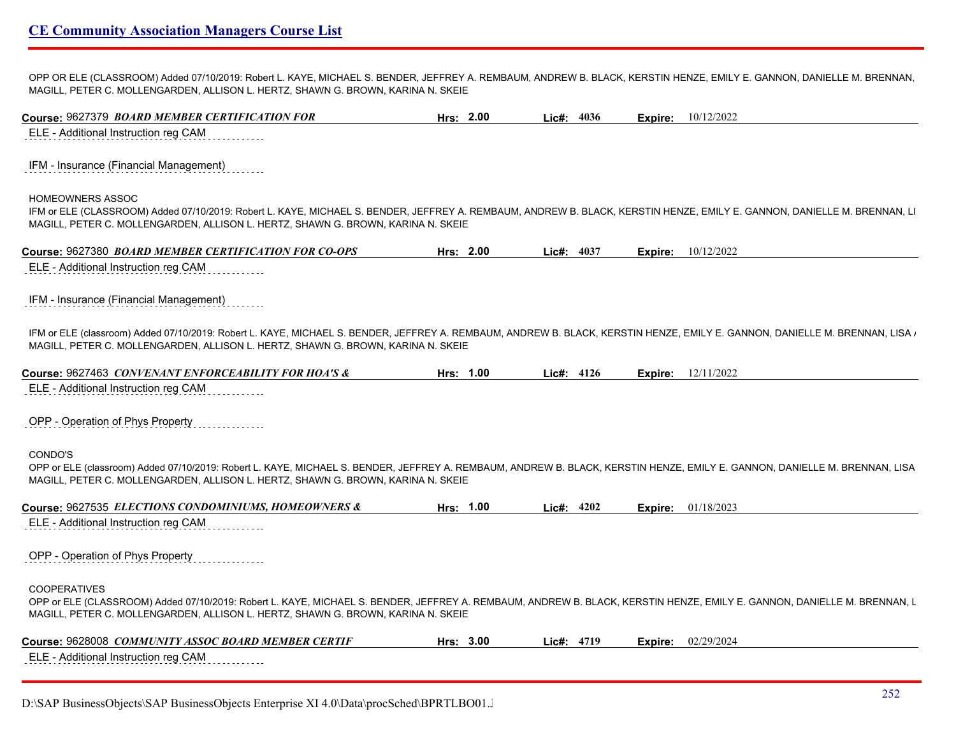OPP OR ELE (CLASSROOM) Added 07/10/2019: Robert L. KAYE, MICHAEL S. BENDER, JEFFREY A. REMBAUM, ANDREW B. BLACK, KERSTIN HENZE, EMILY E. GANNON, DANIELLE M. BRENNAN, MAGILL, PETER C. MOLLENGARDEN, ALLISON L. HERTZ, SHAWN G. BROWN, KARINA N. SKEIE

| Course: 9627379 BOARD MEMBER CERTIFICATION FOR                                                                                                                                                                                                                            | Hrs: 2.00 | Lic#: 4036   | Expire: | 10/12/2022                |
|---------------------------------------------------------------------------------------------------------------------------------------------------------------------------------------------------------------------------------------------------------------------------|-----------|--------------|---------|---------------------------|
| ELE - Additional Instruction reg CAM                                                                                                                                                                                                                                      |           |              |         |                           |
| IFM - Insurance (Financial Management)                                                                                                                                                                                                                                    |           |              |         |                           |
| HOMEOWNERS ASSOC                                                                                                                                                                                                                                                          |           |              |         |                           |
| IFM or ELE (CLASSROOM) Added 07/10/2019: Robert L. KAYE, MICHAEL S. BENDER, JEFFREY A. REMBAUM, ANDREW B. BLACK, KERSTIN HENZE, EMILY E. GANNON, DANIELLE M. BRENNAN, LI<br>MAGILL, PETER C. MOLLENGARDEN, ALLISON L. HERTZ, SHAWN G. BROWN, KARINA N. SKEIE              |           |              |         |                           |
| Course: 9627380 BOARD MEMBER CERTIFICATION FOR CO-OPS                                                                                                                                                                                                                     | Hrs: 2.00 | Lic#: $4037$ |         | <b>Expire:</b> 10/12/2022 |
| ELE - Additional Instruction reg CAM                                                                                                                                                                                                                                      |           |              |         |                           |
| IFM - Insurance (Financial Management)                                                                                                                                                                                                                                    |           |              |         |                           |
| IFM or ELE (classroom) Added 07/10/2019: Robert L. KAYE, MICHAEL S. BENDER, JEFFREY A. REMBAUM, ANDREW B. BLACK, KERSTIN HENZE, EMILY E. GANNON, DANIELLE M. BRENNAN, LISA /<br>MAGILL, PETER C. MOLLENGARDEN, ALLISON L. HERTZ, SHAWN G. BROWN, KARINA N. SKEIE          |           |              |         |                           |
| Course: 9627463 CONVENANT ENFORCEABILITY FOR HOA'S &                                                                                                                                                                                                                      | Hrs: 1.00 | Lic#: 4126   |         | <b>Expire:</b> 12/11/2022 |
| ELE - Additional Instruction reg CAM                                                                                                                                                                                                                                      |           |              |         |                           |
| OPP - Operation of Phys Property                                                                                                                                                                                                                                          |           |              |         |                           |
| CONDO'S<br>OPP or ELE (classroom) Added 07/10/2019: Robert L. KAYE, MICHAEL S. BENDER, JEFFREY A. REMBAUM, ANDREW B. BLACK, KERSTIN HENZE, EMILY E. GANNON, DANIELLE M. BRENNAN, LISA<br>MAGILL, PETER C. MOLLENGARDEN, ALLISON L. HERTZ, SHAWN G. BROWN, KARINA N. SKEIE |           |              |         |                           |
| Course: 9627535 ELECTIONS CONDOMINIUMS, HOMEOWNERS &                                                                                                                                                                                                                      | Hrs: 1.00 | Lic#: 4202   | Expire: | 01/18/2023                |
|                                                                                                                                                                                                                                                                           |           |              |         |                           |
|                                                                                                                                                                                                                                                                           |           |              |         |                           |
|                                                                                                                                                                                                                                                                           |           |              |         |                           |
| <b>COOPERATIVES</b><br>OPP or ELE (CLASSROOM) Added 07/10/2019: Robert L. KAYE, MICHAEL S. BENDER, JEFFREY A. REMBAUM, ANDREW B. BLACK, KERSTIN HENZE, EMILY E. GANNON, DANIELLE M. BRENNAN, L                                                                            |           |              |         |                           |
| ELE - Additional Instruction reg CAM<br>OPP - Operation of Phys Property<br>MAGILL, PETER C. MOLLENGARDEN, ALLISON L. HERTZ, SHAWN G. BROWN, KARINA N. SKEIE<br>Course: 9628008 COMMUNITY ASSOC BOARD MEMBER CERTIF                                                       | Hrs: 3.00 | Lic#: 4719   | Expire: | 02/29/2024                |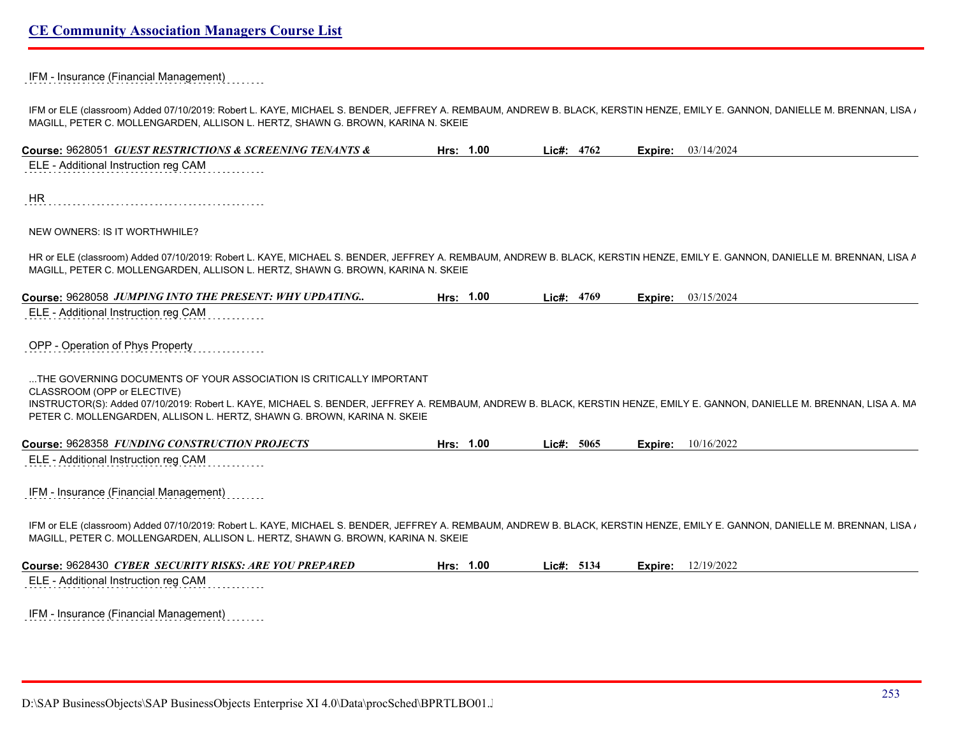#### IFM - Insurance (Financial Management)

IFM or ELE (classroom) Added 07/10/2019: Robert L. KAYE, MICHAEL S. BENDER, JEFFREY A. REMBAUM, ANDREW B. BLACK, KERSTIN HENZE, EMILY E. GANNON, DANIELLE M. BRENNAN, LISA A. MAGILL, PETER C. MOLLENGARDEN, ALLISON L. HERTZ, SHAWN G. BROWN, KARINA N. SKEIE

| Course: 9628051 GUEST RESTRICTIONS & SCREENING TENANTS &                                                                                                                                                                                                        | Hrs: 1.00 | Lic#: 4762 |         | <b>Expire:</b> 03/14/2024 |
|-----------------------------------------------------------------------------------------------------------------------------------------------------------------------------------------------------------------------------------------------------------------|-----------|------------|---------|---------------------------|
| ELE - Additional Instruction reg CAM                                                                                                                                                                                                                            |           |            |         |                           |
| HR                                                                                                                                                                                                                                                              |           |            |         |                           |
|                                                                                                                                                                                                                                                                 |           |            |         |                           |
| NEW OWNERS: IS IT WORTHWHILE?                                                                                                                                                                                                                                   |           |            |         |                           |
| HR or ELE (classroom) Added 07/10/2019: Robert L. KAYE, MICHAEL S. BENDER, JEFFREY A. REMBAUM, ANDREW B. BLACK, KERSTIN HENZE, EMILY E. GANNON, DANIELLE M. BRENNAN, LISA A<br>MAGILL, PETER C. MOLLENGARDEN, ALLISON L. HERTZ, SHAWN G. BROWN, KARINA N. SKEIE |           |            |         |                           |
| Course: 9628058 JUMPING INTO THE PRESENT: WHY UPDATING                                                                                                                                                                                                          | Hrs: 1.00 | Lic#: 4769 |         | <b>Expire:</b> 03/15/2024 |
| ELE - Additional Instruction reg CAM                                                                                                                                                                                                                            |           |            |         |                           |
|                                                                                                                                                                                                                                                                 |           |            |         |                           |
| OPP - Operation of Phys Property                                                                                                                                                                                                                                |           |            |         |                           |
| THE GOVERNING DOCUMENTS OF YOUR ASSOCIATION IS CRITICALLY IMPORTANT                                                                                                                                                                                             |           |            |         |                           |
| CLASSROOM (OPP or ELECTIVE)                                                                                                                                                                                                                                     |           |            |         |                           |
| INSTRUCTOR(S): Added 07/10/2019: Robert L. KAYE, MICHAEL S. BENDER, JEFFREY A. REMBAUM, ANDREW B. BLACK, KERSTIN HENZE, EMILY E. GANNON, DANIELLE M. BRENNAN, LISA A. MA<br>PETER C. MOLLENGARDEN, ALLISON L. HERTZ, SHAWN G. BROWN, KARINA N. SKEIE            |           |            |         |                           |
|                                                                                                                                                                                                                                                                 |           |            |         |                           |
| Course: 9628358 FUNDING CONSTRUCTION PROJECTS<br>ELE - Additional Instruction reg CAM                                                                                                                                                                           | Hrs: 1.00 | Lie#: 5065 | Expire: | 10/16/2022                |
|                                                                                                                                                                                                                                                                 |           |            |         |                           |
| IFM - Insurance (Financial Management)                                                                                                                                                                                                                          |           |            |         |                           |
|                                                                                                                                                                                                                                                                 |           |            |         |                           |
| IFM or ELE (classroom) Added 07/10/2019: Robert L. KAYE, MICHAEL S. BENDER, JEFFREY A. REMBAUM, ANDREW B. BLACK, KERSTIN HENZE, EMILY E. GANNON, DANIELLE M. BRENNAN, LISA /                                                                                    |           |            |         |                           |
| MAGILL, PETER C. MOLLENGARDEN, ALLISON L. HERTZ, SHAWN G. BROWN, KARINA N. SKEIE                                                                                                                                                                                |           |            |         |                           |
| Course: 9628430 CYBER SECURITY RISKS: ARE YOU PREPARED                                                                                                                                                                                                          | Hrs: 1.00 | Lic#: 5134 | Expire: | 12/19/2022                |
| ELE - Additional Instruction reg CAM                                                                                                                                                                                                                            |           |            |         |                           |
|                                                                                                                                                                                                                                                                 |           |            |         |                           |
| IFM - Insurance (Financial Management)                                                                                                                                                                                                                          |           |            |         |                           |
|                                                                                                                                                                                                                                                                 |           |            |         |                           |
|                                                                                                                                                                                                                                                                 |           |            |         |                           |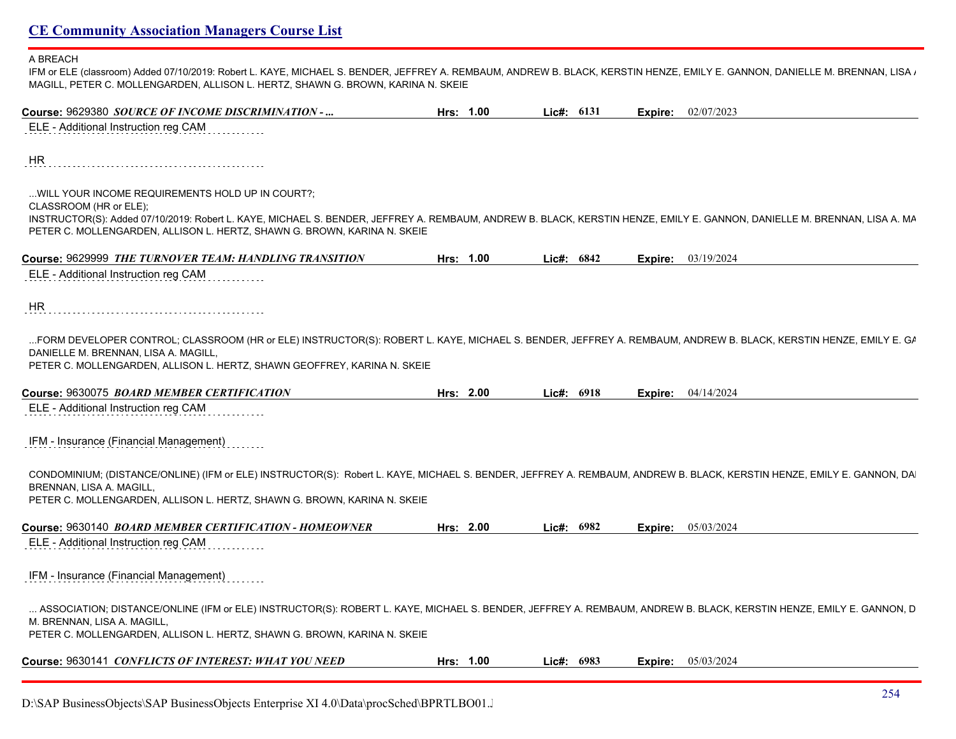#### A BREACH

IFM or ELE (classroom) Added 07/10/2019: Robert L. KAYE, MICHAEL S. BENDER, JEFFREY A. REMBAUM, ANDREW B. BLACK, KERSTIN HENZE, EMILY E. GANNON, DANIELLE M. BRENNAN, LISA  $\iota$ MAGILL, PETER C. MOLLENGARDEN, ALLISON L. HERTZ, SHAWN G. BROWN, KARINA N. SKEIE

| Course: 9629380 SOURCE OF INCOME DISCRIMINATION -                                                                                                                                                                                                                                   | Hrs: 1.00 | Lic#: 6131 |         | Expire: 02/07/2023        |
|-------------------------------------------------------------------------------------------------------------------------------------------------------------------------------------------------------------------------------------------------------------------------------------|-----------|------------|---------|---------------------------|
| ELE - Additional Instruction reg CAM                                                                                                                                                                                                                                                |           |            |         |                           |
| HR.                                                                                                                                                                                                                                                                                 |           |            |         |                           |
| WILL YOUR INCOME REQUIREMENTS HOLD UP IN COURT?;<br>CLASSROOM (HR or ELE);                                                                                                                                                                                                          |           |            |         |                           |
| INSTRUCTOR(S): Added 07/10/2019: Robert L. KAYE, MICHAEL S. BENDER, JEFFREY A. REMBAUM, ANDREW B. BLACK, KERSTIN HENZE, EMILY E. GANNON, DANIELLE M. BRENNAN, LISA A. MA<br>PETER C. MOLLENGARDEN, ALLISON L. HERTZ, SHAWN G. BROWN, KARINA N. SKEIE                                |           |            |         |                           |
| Course: 9629999 THE TURNOVER TEAM: HANDLING TRANSITION                                                                                                                                                                                                                              | Hrs: 1.00 | Lic#: 6842 |         | <b>Expire:</b> 03/19/2024 |
| ELE - Additional Instruction reg CAM                                                                                                                                                                                                                                                |           |            |         |                           |
| HR.                                                                                                                                                                                                                                                                                 |           |            |         |                           |
| FORM DEVELOPER CONTROL; CLASSROOM (HR or ELE) INSTRUCTOR(S): ROBERT L. KAYE, MICHAEL S. BENDER, JEFFREY A. REMBAUM, ANDREW B. BLACK, KERSTIN HENZE, EMILY E. GA<br>DANIELLE M. BRENNAN, LISA A. MAGILL,<br>PETER C. MOLLENGARDEN, ALLISON L. HERTZ, SHAWN GEOFFREY, KARINA N. SKEIE |           |            |         |                           |
| Course: 9630075 BOARD MEMBER CERTIFICATION                                                                                                                                                                                                                                          | Hrs: 2.00 | Lic#: 6918 | Expire: | 04/14/2024                |
| ELE - Additional Instruction reg CAM                                                                                                                                                                                                                                                |           |            |         |                           |
| IFM - Insurance (Financial Management)                                                                                                                                                                                                                                              |           |            |         |                           |
| CONDOMINIUM; (DISTANCE/ONLINE) (IFM or ELE) INSTRUCTOR(S): Robert L. KAYE, MICHAEL S. BENDER, JEFFREY A. REMBAUM, ANDREW B. BLACK, KERSTIN HENZE, EMILY E. GANNON, DA<br>BRENNAN, LISA A. MAGILL.<br>PETER C. MOLLENGARDEN, ALLISON L. HERTZ, SHAWN G. BROWN, KARINA N. SKEIE       |           |            |         |                           |
| Course: 9630140 BOARD MEMBER CERTIFICATION - HOMEOWNER                                                                                                                                                                                                                              | Hrs: 2.00 | Lic#: 6982 |         | <b>Expire:</b> 05/03/2024 |
| ELE - Additional Instruction reg CAM                                                                                                                                                                                                                                                |           |            |         |                           |
| IFM - Insurance (Financial Management)                                                                                                                                                                                                                                              |           |            |         |                           |
| ASSOCIATION; DISTANCE/ONLINE (IFM or ELE) INSTRUCTOR(S): ROBERT L. KAYE, MICHAEL S. BENDER, JEFFREY A. REMBAUM, ANDREW B. BLACK, KERSTIN HENZE, EMILY E. GANNON, D<br>M. BRENNAN, LISA A. MAGILL,<br>PETER C. MOLLENGARDEN, ALLISON L. HERTZ, SHAWN G. BROWN, KARINA N. SKEIE       |           |            |         |                           |
|                                                                                                                                                                                                                                                                                     |           |            |         |                           |
| Course: 9630141 CONFLICTS OF INTEREST: WHAT YOU NEED                                                                                                                                                                                                                                | Hrs: 1.00 | Lic#: 6983 |         | <b>Expire:</b> 05/03/2024 |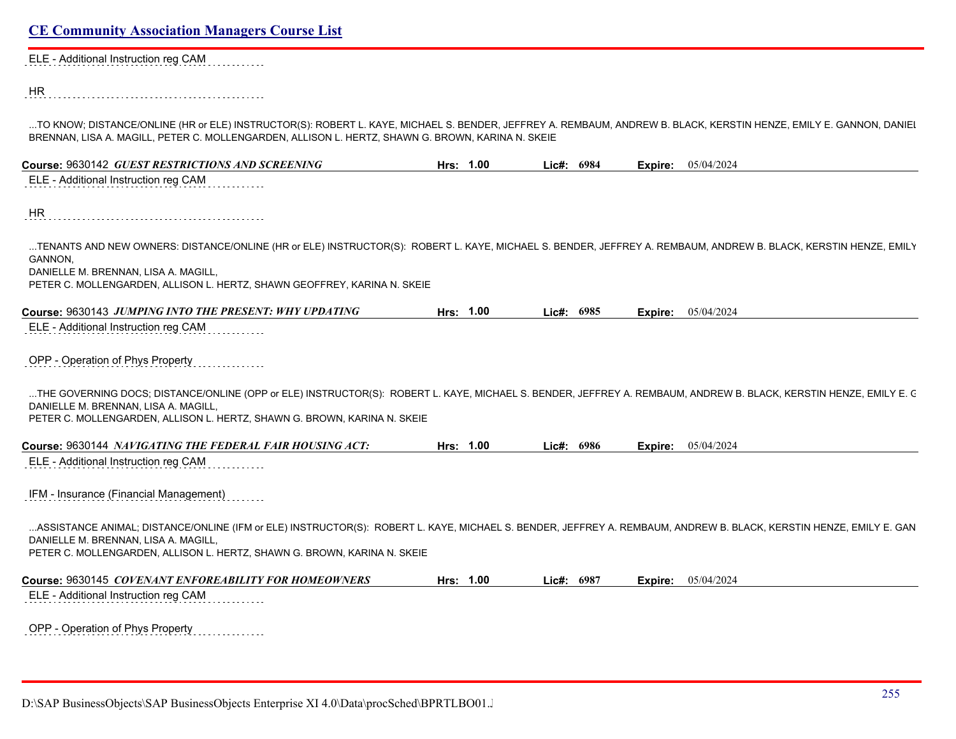| ELE - Additional Instruction reg CAM                                                                                                                                                                                                                                    |           |            |            |         |                    |
|-------------------------------------------------------------------------------------------------------------------------------------------------------------------------------------------------------------------------------------------------------------------------|-----------|------------|------------|---------|--------------------|
|                                                                                                                                                                                                                                                                         |           |            |            |         |                    |
| HR                                                                                                                                                                                                                                                                      |           |            |            |         |                    |
| TO KNOW; DISTANCE/ONLINE (HR or ELE) INSTRUCTOR(S): ROBERT L. KAYE, MICHAEL S. BENDER, JEFFREY A. REMBAUM, ANDREW B. BLACK, KERSTIN HENZE, EMILY E. GANNON, DANIEI<br>BRENNAN, LISA A. MAGILL, PETER C. MOLLENGARDEN, ALLISON L. HERTZ, SHAWN G. BROWN, KARINA N. SKEIE |           |            |            |         |                    |
| Course: 9630142 GUEST RESTRICTIONS AND SCREENING                                                                                                                                                                                                                        | Hrs: 1.00 | Lic#: 6984 |            | Expire: | 05/04/2024         |
| ELE - Additional Instruction reg CAM                                                                                                                                                                                                                                    |           |            |            |         |                    |
| HR                                                                                                                                                                                                                                                                      |           |            |            |         |                    |
| TENANTS AND NEW OWNERS: DISTANCE/ONLINE (HR or ELE) INSTRUCTOR(S): ROBERT L. KAYE, MICHAEL S. BENDER, JEFFREY A. REMBAUM, ANDREW B. BLACK, KERSTIN HENZE, EMILY                                                                                                         |           |            |            |         |                    |
| GANNON,                                                                                                                                                                                                                                                                 |           |            |            |         |                    |
| DANIELLE M. BRENNAN, LISA A. MAGILL,<br>PETER C. MOLLENGARDEN, ALLISON L. HERTZ, SHAWN GEOFFREY, KARINA N. SKEIE                                                                                                                                                        |           |            |            |         |                    |
| Course: 9630143 JUMPING INTO THE PRESENT: WHY UPDATING                                                                                                                                                                                                                  | Hrs: 1.00 | Lic#:      | 6985       | Expire: | 05/04/2024         |
| ELE - Additional Instruction reg CAM                                                                                                                                                                                                                                    |           |            |            |         |                    |
|                                                                                                                                                                                                                                                                         |           |            |            |         |                    |
| OPP - Operation of Phys Property                                                                                                                                                                                                                                        |           |            |            |         |                    |
| THE GOVERNING DOCS; DISTANCE/ONLINE (OPP or ELE) INSTRUCTOR(S): ROBERT L. KAYE, MICHAEL S. BENDER, JEFFREY A. REMBAUM, ANDREW B. BLACK, KERSTIN HENZE, EMILY E. C                                                                                                       |           |            |            |         |                    |
| DANIELLE M. BRENNAN, LISA A. MAGILL,                                                                                                                                                                                                                                    |           |            |            |         |                    |
| PETER C. MOLLENGARDEN, ALLISON L. HERTZ, SHAWN G. BROWN, KARINA N. SKEIE                                                                                                                                                                                                |           |            |            |         |                    |
| Course: 9630144 NAVIGATING THE FEDERAL FAIR HOUSING ACT:                                                                                                                                                                                                                | Hrs: 1.00 |            | Lie#: 6986 | Expire: | 05/04/2024         |
| ELE - Additional Instruction reg CAM                                                                                                                                                                                                                                    |           |            |            |         |                    |
| IFM - Insurance (Financial Management)                                                                                                                                                                                                                                  |           |            |            |         |                    |
| ASSISTANCE ANIMAL; DISTANCE/ONLINE (IFM or ELE) INSTRUCTOR(S): ROBERT L. KAYE, MICHAEL S. BENDER, JEFFREY A. REMBAUM, ANDREW B. BLACK, KERSTIN HENZE, EMILY E. GAN                                                                                                      |           |            |            |         |                    |
| DANIELLE M. BRENNAN, LISA A. MAGILL,<br>PETER C. MOLLENGARDEN, ALLISON L. HERTZ, SHAWN G. BROWN, KARINA N. SKEIE                                                                                                                                                        |           |            |            |         |                    |
|                                                                                                                                                                                                                                                                         | Hrs: 1.00 |            | Lic#: 6987 |         | Expire: 05/04/2024 |
| ELE - Additional Instruction reg CAM                                                                                                                                                                                                                                    |           |            |            |         |                    |
|                                                                                                                                                                                                                                                                         |           |            |            |         |                    |
| OPP - Operation of Phys Property<br>.                                                                                                                                                                                                                                   |           |            |            |         |                    |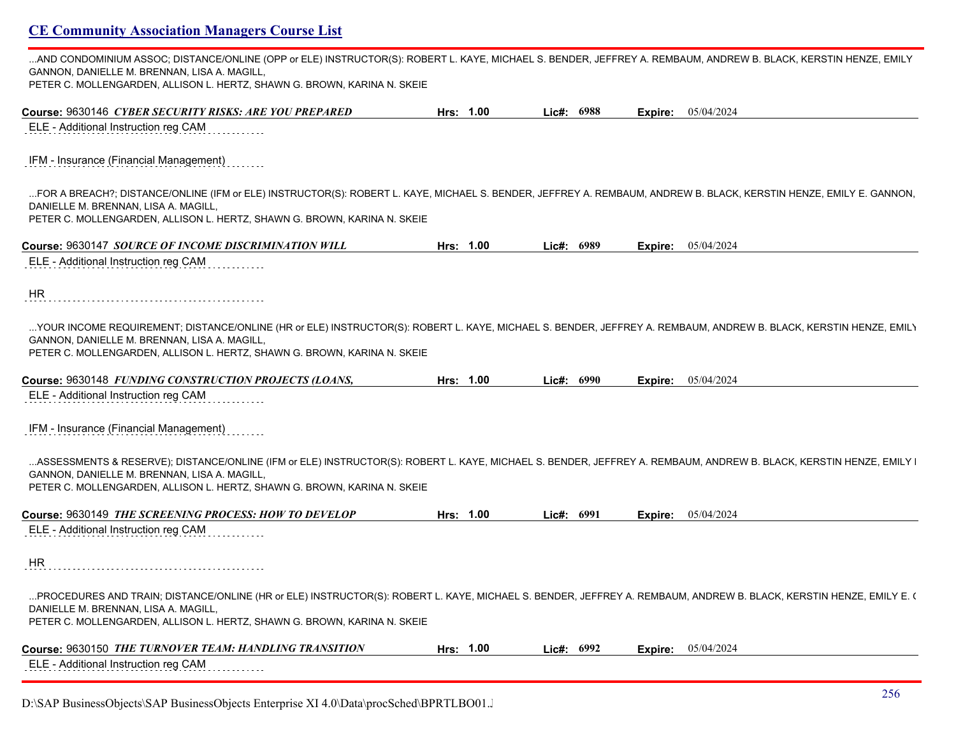| AND CONDOMINIUM ASSOC; DISTANCE/ONLINE (OPP or ELE) INSTRUCTOR(S): ROBERT L. KAYE, MICHAEL S. BENDER, JEFFREY A. REMBAUM, ANDREW B. BLACK, KERSTIN HENZE, EMILY                                                                                                                                |           |              |         |                             |
|------------------------------------------------------------------------------------------------------------------------------------------------------------------------------------------------------------------------------------------------------------------------------------------------|-----------|--------------|---------|-----------------------------|
| GANNON, DANIELLE M. BRENNAN, LISA A. MAGILL,<br>PETER C. MOLLENGARDEN, ALLISON L. HERTZ, SHAWN G. BROWN, KARINA N. SKEIE                                                                                                                                                                       |           |              |         |                             |
| Course: 9630146 CYBER SECURITY RISKS: ARE YOU PREPARED                                                                                                                                                                                                                                         | Hrs: 1.00 | Lie#: 6988   |         | <b>Expire:</b> 05/04/2024   |
| ELE - Additional Instruction reg CAM                                                                                                                                                                                                                                                           |           |              |         |                             |
| IFM - Insurance (Financial Management)                                                                                                                                                                                                                                                         |           |              |         |                             |
| FOR A BREACH?; DISTANCE/ONLINE (IFM or ELE) INSTRUCTOR(S): ROBERT L. KAYE, MICHAEL S. BENDER, JEFFREY A. REMBAUM, ANDREW B. BLACK, KERSTIN HENZE, EMILY E. GANNON,<br>DANIELLE M. BRENNAN, LISA A. MAGILL,<br>PETER C. MOLLENGARDEN, ALLISON L. HERTZ, SHAWN G. BROWN, KARINA N. SKEIE         |           |              |         |                             |
| Course: 9630147 SOURCE OF INCOME DISCRIMINATION WILL                                                                                                                                                                                                                                           | Hrs: 1.00 | Lic#: $6989$ |         | <b>Expire:</b> $05/04/2024$ |
| ELE - Additional Instruction reg CAM                                                                                                                                                                                                                                                           |           |              |         |                             |
| HR                                                                                                                                                                                                                                                                                             |           |              |         |                             |
| YOUR INCOME REQUIREMENT; DISTANCE/ONLINE (HR or ELE) INSTRUCTOR(S): ROBERT L. KAYE, MICHAEL S. BENDER, JEFFREY A. REMBAUM, ANDREW B. BLACK, KERSTIN HENZE, EMILY<br>GANNON, DANIELLE M. BRENNAN, LISA A. MAGILL,<br>PETER C. MOLLENGARDEN, ALLISON L. HERTZ, SHAWN G. BROWN, KARINA N. SKEIE   |           |              |         |                             |
| Course: 9630148 FUNDING CONSTRUCTION PROJECTS (LOANS,                                                                                                                                                                                                                                          | Hrs: 1.00 | Lie#: 6990   | Expire: | 05/04/2024                  |
| ELE - Additional Instruction reg CAM                                                                                                                                                                                                                                                           |           |              |         |                             |
| IFM - Insurance (Financial Management)                                                                                                                                                                                                                                                         |           |              |         |                             |
| ASSESSMENTS & RESERVE); DISTANCE/ONLINE (IFM or ELE) INSTRUCTOR(S): ROBERT L. KAYE, MICHAEL S. BENDER, JEFFREY A. REMBAUM, ANDREW B. BLACK, KERSTIN HENZE, EMILY I<br>GANNON, DANIELLE M. BRENNAN, LISA A. MAGILL,<br>PETER C. MOLLENGARDEN, ALLISON L. HERTZ, SHAWN G. BROWN, KARINA N. SKEIE |           |              |         |                             |
| Course: 9630149 <i>THE SCREENING PROCESS: HOW TO DEVELOP</i>                                                                                                                                                                                                                                   | Hrs: 1.00 | Lic#: 6991   | Expire: | 05/04/2024                  |
| ELE - Additional Instruction reg CAM                                                                                                                                                                                                                                                           |           |              |         |                             |
| HR                                                                                                                                                                                                                                                                                             |           |              |         |                             |
| PROCEDURES AND TRAIN; DISTANCE/ONLINE (HR or ELE) INSTRUCTOR(S): ROBERT L. KAYE, MICHAEL S. BENDER, JEFFREY A. REMBAUM, ANDREW B. BLACK, KERSTIN HENZE, EMILY E. (<br>DANIELLE M. BRENNAN, LISA A. MAGILL,<br>PETER C. MOLLENGARDEN, ALLISON L. HERTZ, SHAWN G. BROWN, KARINA N. SKEIE         |           |              |         |                             |
| Course: 9630150 <i>THE TURNOVER TEAM: HANDLING TRANSITION</i>                                                                                                                                                                                                                                  | Hrs: 1.00 | Lic#: 6992   | Expire: | 05/04/2024                  |
| ELE - Additional Instruction reg CAM                                                                                                                                                                                                                                                           |           |              |         |                             |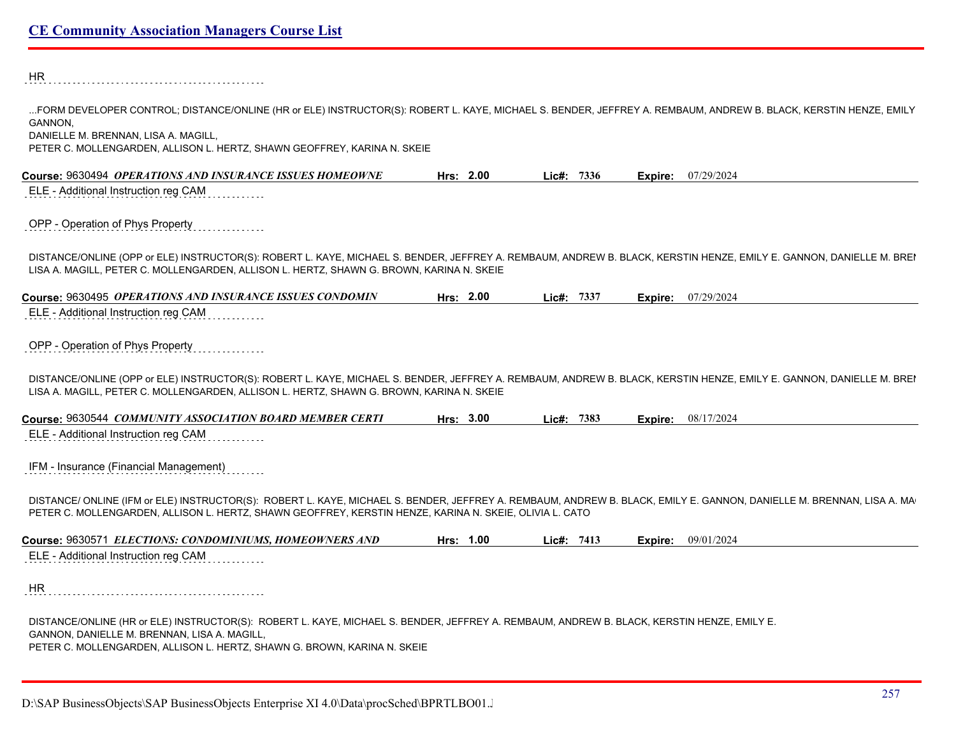HR ...FORM DEVELOPER CONTROL; DISTANCE/ONLINE (HR or ELE) INSTRUCTOR(S): ROBERT L. KAYE, MICHAEL S. BENDER, JEFFREY A. REMBAUM, ANDREW B. BLACK, KERSTIN HENZE, EMILY E. GANNON, DANIELLE M. BRENNAN, LISA A. MAGILL, PETER C. MOLLENGARDEN, ALLISON L. HERTZ, SHAWN GEOFFREY, KARINA N. SKEIE **Course:** 9630494 *OPERATIONS AND INSURANCE ISSUES HOMEOWNE* **Hrs: 2.00 Lic#: 7336 Expire:** 07/29/2024 ELE - Additional Instruction reg CAM . . . . . . . . . . . . OPP - Operation of Phys Property DISTANCE/ONLINE (OPP or ELE) INSTRUCTOR(S): ROBERT L. KAYE, MICHAEL S. BENDER, JEFFREY A. REMBAUM, ANDREW B. BLACK, KERSTIN HENZE, EMILY E. GANNON, DANIELLE M. BREI LISA A. MAGILL, PETER C. MOLLENGARDEN, ALLISON L. HERTZ, SHAWN G. BROWN, KARINA N. SKEIE **Course:** 9630495 *OPERATIONS AND INSURANCE ISSUES CONDOMIN* **Hrs: 2.00 Lic#: 7337 Expire:** 07/29/2024 ELE - Additional Instruction reg CAM OPP - Operation of Phys Property DISTANCE/ONLINE (OPP or ELE) INSTRUCTOR(S): ROBERT L. KAYE, MICHAEL S. BENDER, JEFFREY A. REMBAUM, ANDREW B. BLACK, KERSTIN HENZE, EMILY E. GANNON, DANIELLE M. BREI LISA A. MAGILL, PETER C. MOLLENGARDEN, ALLISON L. HERTZ, SHAWN G. BROWN, KARINA N. SKEIE **Course:** 9630544 *COMMUNITY ASSOCIATION BOARD MEMBER CERTI* **Hrs: 3.00 Lic#: 7383 Expire:** 08/17/2024 ELE - Additional Instruction reg CAM IFM - Insurance (Financial Management) DISTANCE/ ONLINE (IFM OF ELE) INSTRUCTOR(S): ROBERT L. KAYE, MICHAEL S. BENDER, JEFFREY A. REMBAUM, ANDREW B. BLACK, EMILY E. GANNON, DANIELLE M. BRENNAN, LISA A. MA PETER C. MOLLENGARDEN, ALLISON L. HERTZ, SHAWN GEOFFREY, KERSTIN HENZE, KARINA N. SKEIE, OLIVIA L. CATO **Course:** 9630571 *ELECTIONS: CONDOMINIUMS, HOMEOWNERS AND* **Hrs: 1.00 Lic#: 7413 Expire:** 09/01/2024 ELE - Additional Instruction reg CAM **Service Service** HR DISTANCE/ONLINE (HR or ELE) INSTRUCTOR(S): ROBERT L. KAYE, MICHAEL S. BENDER, JEFFREY A. REMBAUM, ANDREW B. BLACK, KERSTIN HENZE, EMILY E. GANNON, DANIELLE M. BRENNAN, LISA A. MAGILL, PETER C. MOLLENGARDEN, ALLISON L. HERTZ, SHAWN G. BROWN, KARINA N. SKEIE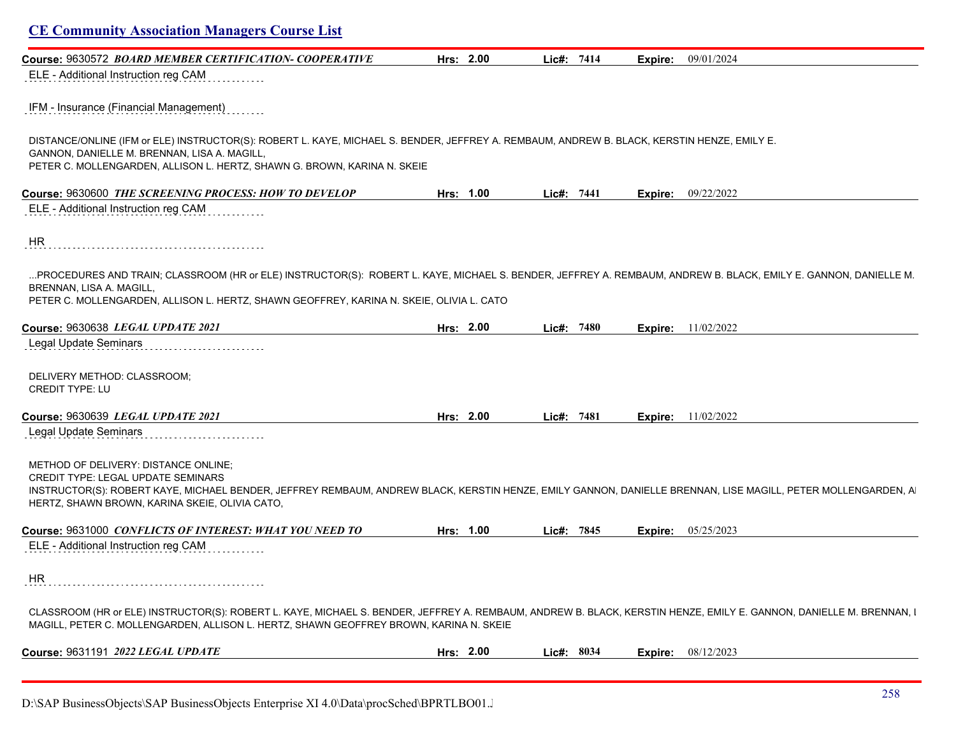|                                                                                                                                                                                                                                                                                              | Hrs: 2.00 | Lic#: 7414   | Expire: | 09/01/2024                  |
|----------------------------------------------------------------------------------------------------------------------------------------------------------------------------------------------------------------------------------------------------------------------------------------------|-----------|--------------|---------|-----------------------------|
| ELE - Additional Instruction reg CAM                                                                                                                                                                                                                                                         |           |              |         |                             |
| IFM - Insurance (Financial Management)                                                                                                                                                                                                                                                       |           |              |         |                             |
| DISTANCE/ONLINE (IFM or ELE) INSTRUCTOR(S): ROBERT L. KAYE, MICHAEL S. BENDER, JEFFREY A. REMBAUM, ANDREW B. BLACK, KERSTIN HENZE, EMILY E.<br>GANNON, DANIELLE M. BRENNAN, LISA A. MAGILL,<br>PETER C. MOLLENGARDEN, ALLISON L. HERTZ, SHAWN G. BROWN, KARINA N. SKEIE                      |           |              |         |                             |
| Course: 9630600 THE SCREENING PROCESS: HOW TO DEVELOP                                                                                                                                                                                                                                        | Hrs: 1.00 | Lic#: 7441   |         | <b>Expire:</b> $09/22/2022$ |
| ELE - Additional Instruction reg CAM                                                                                                                                                                                                                                                         |           |              |         |                             |
| HR                                                                                                                                                                                                                                                                                           |           |              |         |                             |
| PROCEDURES AND TRAIN; CLASSROOM (HR or ELE) INSTRUCTOR(S): ROBERT L. KAYE, MICHAEL S. BENDER, JEFFREY A. REMBAUM, ANDREW B. BLACK, EMILY E. GANNON, DANIELLE M.<br>BRENNAN, LISA A. MAGILL,<br>PETER C. MOLLENGARDEN, ALLISON L. HERTZ, SHAWN GEOFFREY, KARINA N. SKEIE, OLIVIA L. CATO      |           |              |         |                             |
| Course: 9630638 LEGAL UPDATE 2021                                                                                                                                                                                                                                                            | Hrs: 2.00 | Lic#: 7480   | Expire: | 11/02/2022                  |
| <b>Legal Update Seminars</b>                                                                                                                                                                                                                                                                 |           |              |         |                             |
| DELIVERY METHOD: CLASSROOM;<br><b>CREDIT TYPE: LU</b>                                                                                                                                                                                                                                        |           |              |         |                             |
| Course: 9630639 LEGAL UPDATE 2021                                                                                                                                                                                                                                                            | Hrs: 2.00 | Lic#: 7481   | Expire: | 11/02/2022                  |
|                                                                                                                                                                                                                                                                                              |           |              |         |                             |
| Legal Update Seminars                                                                                                                                                                                                                                                                        |           |              |         |                             |
| METHOD OF DELIVERY: DISTANCE ONLINE;<br>CREDIT TYPE: LEGAL UPDATE SEMINARS<br>INSTRUCTOR(S): ROBERT KAYE, MICHAEL BENDER, JEFFREY REMBAUM, ANDREW BLACK, KERSTIN HENZE, EMILY GANNON, DANIELLE BRENNAN, LISE MAGILL, PETER MOLLENGARDEN, A<br>HERTZ, SHAWN BROWN, KARINA SKEIE, OLIVIA CATO, |           |              |         |                             |
|                                                                                                                                                                                                                                                                                              | Hrs: 1.00 | Lic#: $7845$ | Expire: | 05/25/2023                  |
| Course: 9631000 CONFLICTS OF INTEREST: WHAT YOU NEED TO<br>ELE - Additional Instruction reg CAM                                                                                                                                                                                              |           |              |         |                             |
|                                                                                                                                                                                                                                                                                              |           |              |         |                             |
| HR<br>CLASSROOM (HR or ELE) INSTRUCTOR(S): ROBERT L. KAYE, MICHAEL S. BENDER, JEFFREY A. REMBAUM, ANDREW B. BLACK, KERSTIN HENZE, EMILY E. GANNON, DANIELLE M. BRENNAN, I<br>MAGILL, PETER C. MOLLENGARDEN, ALLISON L. HERTZ, SHAWN GEOFFREY BROWN, KARINA N. SKEIE                          |           |              |         |                             |

D:\SAP BusinessObjects\SAP BusinessObjects Enterprise XI 4.0\Data\procSched\BPRTLBO01.J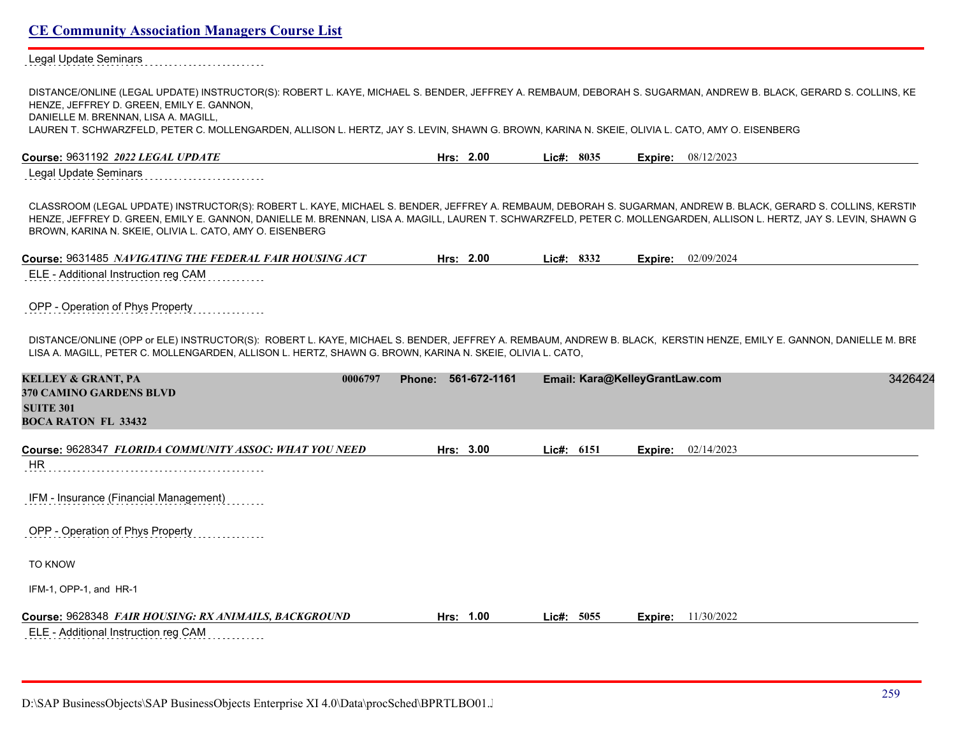Legal Update Seminars . . . . . . . . . . . . . . . . . . . .

| DISTANCE/ONLINE (LEGAL UPDATE) INSTRUCTOR(S): ROBERT L. KAYE, MICHAEL S. BENDER, JEFFREY A. REMBAUM, DEBORAH S. SUGARMAN, ANDREW B. BLACK, GERARD S. COLLINS, KE<br>HENZE, JEFFREY D. GREEN, EMILY E. GANNON,<br>DANIELLE M. BRENNAN, LISA A. MAGILL,                                                                                                                                               |                     |            |                                |                           |         |
|-----------------------------------------------------------------------------------------------------------------------------------------------------------------------------------------------------------------------------------------------------------------------------------------------------------------------------------------------------------------------------------------------------|---------------------|------------|--------------------------------|---------------------------|---------|
| LAUREN T. SCHWARZFELD, PETER C. MOLLENGARDEN, ALLISON L. HERTZ, JAY S. LEVIN, SHAWN G. BROWN, KARINA N. SKEIE, OLIVIA L. CATO, AMY O. EISENBERG                                                                                                                                                                                                                                                     |                     |            |                                |                           |         |
| Course: 9631192 2022 LEGAL UPDATE                                                                                                                                                                                                                                                                                                                                                                   | Hrs: 2.00           | Lie#: 8035 |                                | <b>Expire:</b> 08/12/2023 |         |
| Legal Update Seminars                                                                                                                                                                                                                                                                                                                                                                               |                     |            |                                |                           |         |
| CLASSROOM (LEGAL UPDATE) INSTRUCTOR(S): ROBERT L. KAYE, MICHAEL S. BENDER, JEFFREY A. REMBAUM, DEBORAH S. SUGARMAN, ANDREW B. BLACK, GERARD S. COLLINS, KERSTIN<br>HENZE, JEFFREY D. GREEN, EMILY E. GANNON, DANIELLE M. BRENNAN, LISA A. MAGILL, LAUREN T. SCHWARZFELD, PETER C. MOLLENGARDEN, ALLISON L. HERTZ, JAY S. LEVIN, SHAWN G<br>BROWN, KARINA N. SKEIE, OLIVIA L. CATO, AMY O. EISENBERG |                     |            |                                |                           |         |
| Course: 9631485 NAVIGATING THE FEDERAL FAIR HOUSING ACT                                                                                                                                                                                                                                                                                                                                             | Hrs: 2.00           | Lic#: 8332 | Expire:                        | 02/09/2024                |         |
| ELE - Additional Instruction reg CAM                                                                                                                                                                                                                                                                                                                                                                |                     |            |                                |                           |         |
| OPP - Operation of Phys Property                                                                                                                                                                                                                                                                                                                                                                    |                     |            |                                |                           |         |
| DISTANCE/ONLINE (OPP or ELE) INSTRUCTOR(S): ROBERT L. KAYE, MICHAEL S. BENDER, JEFFREY A. REMBAUM, ANDREW B. BLACK, KERSTIN HENZE, EMILY E. GANNON, DANIELLE M. BRI<br>LISA A. MAGILL, PETER C. MOLLENGARDEN, ALLISON L. HERTZ, SHAWN G. BROWN, KARINA N. SKEIE, OLIVIA L. CATO,                                                                                                                    |                     |            |                                |                           |         |
| <b>KELLEY &amp; GRANT, PA</b><br>0006797<br>370 CAMINO GARDENS BLVD<br><b>SUITE 301</b><br><b>BOCA RATON FL 33432</b>                                                                                                                                                                                                                                                                               | Phone: 561-672-1161 |            | Email: Kara@KelleyGrantLaw.com |                           | 3426424 |
| Course: 9628347 FLORIDA COMMUNITY ASSOC: WHAT YOU NEED                                                                                                                                                                                                                                                                                                                                              | Hrs: 3.00           | Lic#: 6151 | Expire:                        | 02/14/2023                |         |
| HR                                                                                                                                                                                                                                                                                                                                                                                                  |                     |            |                                |                           |         |
| IFM - Insurance (Financial Management)                                                                                                                                                                                                                                                                                                                                                              |                     |            |                                |                           |         |
| OPP - Operation of Phys Property                                                                                                                                                                                                                                                                                                                                                                    |                     |            |                                |                           |         |
| TO KNOW                                                                                                                                                                                                                                                                                                                                                                                             |                     |            |                                |                           |         |
| IFM-1, OPP-1, and HR-1                                                                                                                                                                                                                                                                                                                                                                              |                     |            |                                |                           |         |
| Course: 9628348 FAIR HOUSING: RX ANIMAILS, BACKGROUND<br>ELE - Additional Instruction reg CAM                                                                                                                                                                                                                                                                                                       | Hrs: 1.00           | Lic#: 5055 | Expire:                        | 11/30/2022                |         |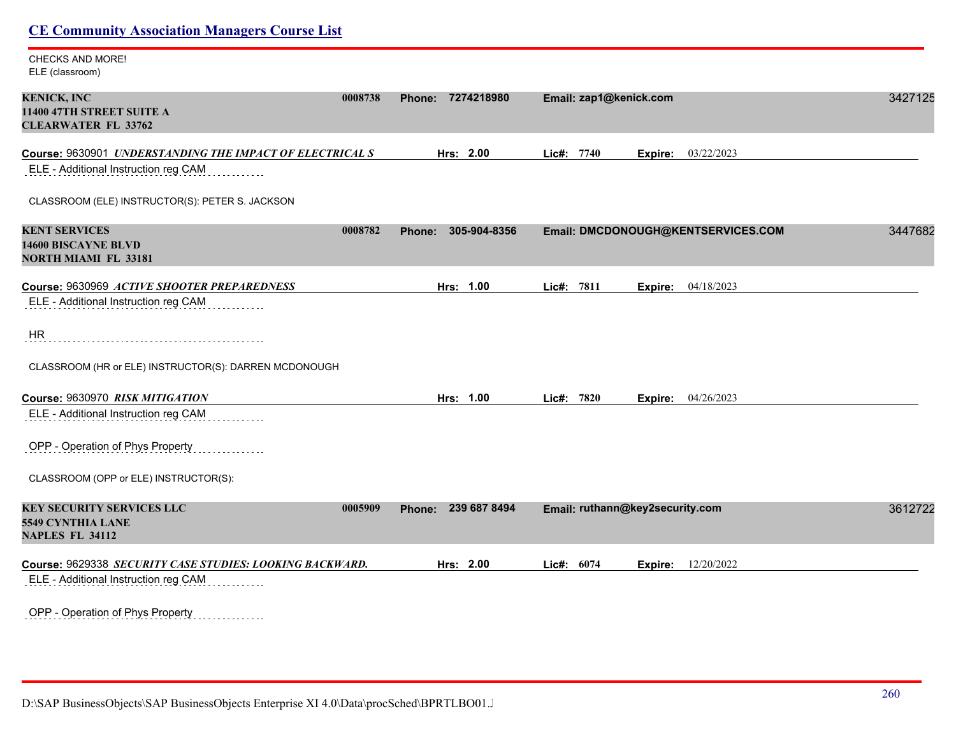| <b>CHECKS AND MORE!</b><br>ELE (classroom)                                                        |                        |                                     |         |
|---------------------------------------------------------------------------------------------------|------------------------|-------------------------------------|---------|
| <b>KENICK, INC</b><br>0008738<br>11400 47TH STREET SUITE A<br><b>CLEARWATER FL 33762</b>          | 7274218980<br>Phone:   | Email: zap1@kenick.com              | 3427125 |
| Course: 9630901 UNDERSTANDING THE IMPACT OF ELECTRICAL S                                          | Hrs: 2.00              | 03/22/2023<br>Lic#: 7740<br>Expire: |         |
| ELE - Additional Instruction reg CAM                                                              |                        |                                     |         |
| CLASSROOM (ELE) INSTRUCTOR(S): PETER S. JACKSON                                                   |                        |                                     |         |
| <b>KENT SERVICES</b><br>0008782<br><b>14600 BISCAYNE BLVD</b><br><b>NORTH MIAMI FL 33181</b>      | Phone: 305-904-8356    | Email: DMCDONOUGH@KENTSERVICES.COM  | 3447682 |
| Course: 9630969 ACTIVE SHOOTER PREPAREDNESS                                                       | Hrs: 1.00              | Lic#: 7811<br>04/18/2023<br>Expire: |         |
| ELE - Additional Instruction reg CAM                                                              |                        |                                     |         |
| HR                                                                                                |                        |                                     |         |
| CLASSROOM (HR or ELE) INSTRUCTOR(S): DARREN MCDONOUGH                                             |                        |                                     |         |
| Course: 9630970 RISK MITIGATION                                                                   | Hrs: 1.00              | Lic#: 7820<br>Expire: 04/26/2023    |         |
| ELE - Additional Instruction reg CAM                                                              |                        |                                     |         |
| OPP - Operation of Phys Property                                                                  |                        |                                     |         |
| CLASSROOM (OPP or ELE) INSTRUCTOR(S):                                                             |                        |                                     |         |
| <b>KEY SECURITY SERVICES LLC</b><br>0005909<br><b>5549 CYNTHIA LANE</b><br><b>NAPLES FL 34112</b> | 239 687 8494<br>Phone: | Email: ruthann@key2security.com     | 3612722 |
| Course: 9629338 SECURITY CASE STUDIES: LOOKING BACKWARD.<br>ELE - Additional Instruction reg CAM  | Hrs: 2.00              | Lic#: 6074<br>12/20/2022<br>Expire: |         |
| OPP - Operation of Phys Property<br>.                                                             |                        |                                     |         |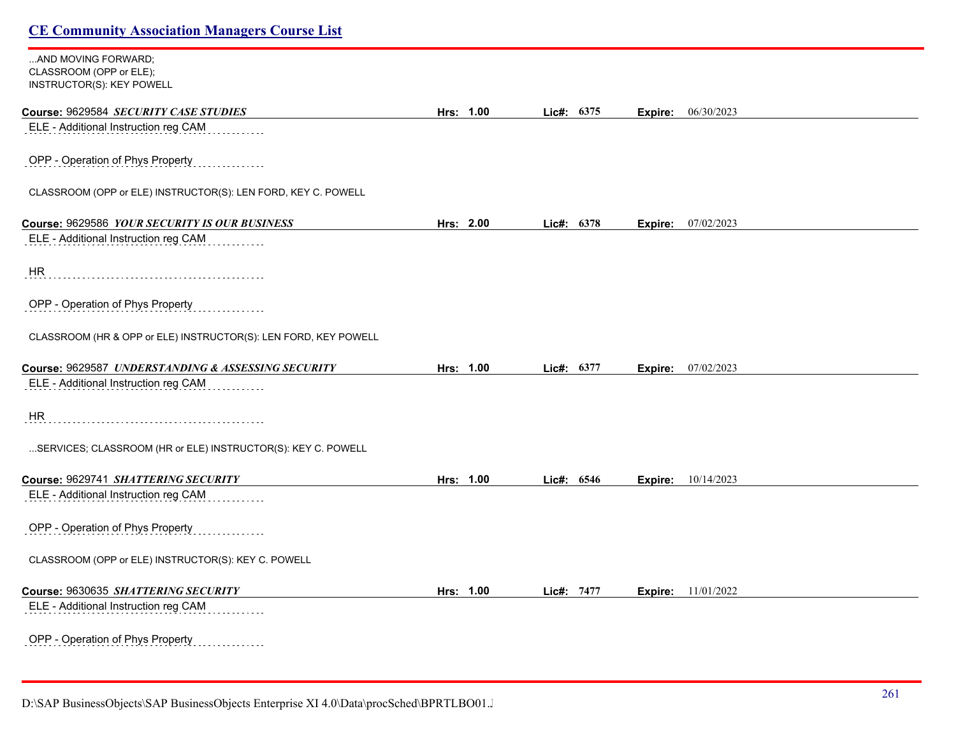| AND MOVING FORWARD;<br>CLASSROOM (OPP or ELE);<br>INSTRUCTOR(S): KEY POWELL |           |            |                           |  |
|-----------------------------------------------------------------------------|-----------|------------|---------------------------|--|
|                                                                             |           |            |                           |  |
| Course: 9629584 SECURITY CASE STUDIES                                       | Hrs: 1.00 | Lic#: 6375 | Expire: 06/30/2023        |  |
| ELE - Additional Instruction reg CAM                                        |           |            |                           |  |
| OPP - Operation of Phys Property                                            |           |            |                           |  |
| CLASSROOM (OPP or ELE) INSTRUCTOR(S): LEN FORD, KEY C. POWELL               |           |            |                           |  |
| Course: 9629586 YOUR SECURITY IS OUR BUSINESS                               | Hrs: 2.00 | Lic#: 6378 | <b>Expire:</b> 07/02/2023 |  |
| ELE - Additional Instruction reg CAM                                        |           |            |                           |  |
| HR                                                                          |           |            |                           |  |
| OPP - Operation of Phys Property                                            |           |            |                           |  |
| CLASSROOM (HR & OPP or ELE) INSTRUCTOR(S): LEN FORD, KEY POWELL             |           |            |                           |  |
| Course: 9629587 UNDERSTANDING & ASSESSING SECURITY                          | Hrs: 1.00 | Lic#: 6377 | 07/02/2023<br>Expire:     |  |
| ELE - Additional Instruction reg CAM                                        |           |            |                           |  |
| HR                                                                          |           |            |                           |  |
| SERVICES; CLASSROOM (HR or ELE) INSTRUCTOR(S): KEY C. POWELL                |           |            |                           |  |
| Course: 9629741 SHATTERING SECURITY                                         | Hrs: 1.00 | Lic#: 6546 | <b>Expire:</b> 10/14/2023 |  |
| ELE - Additional Instruction reg CAM                                        |           |            |                           |  |
| OPP - Operation of Phys Property                                            |           |            |                           |  |
| CLASSROOM (OPP or ELE) INSTRUCTOR(S): KEY C. POWELL                         |           |            |                           |  |
| Course: 9630635 SHATTERING SECURITY                                         | Hrs: 1.00 | Lic#: 7477 | <b>Expire:</b> 11/01/2022 |  |
| ELE - Additional Instruction reg CAM                                        |           |            |                           |  |
| OPP - Operation of Phys Property<br>.                                       |           |            |                           |  |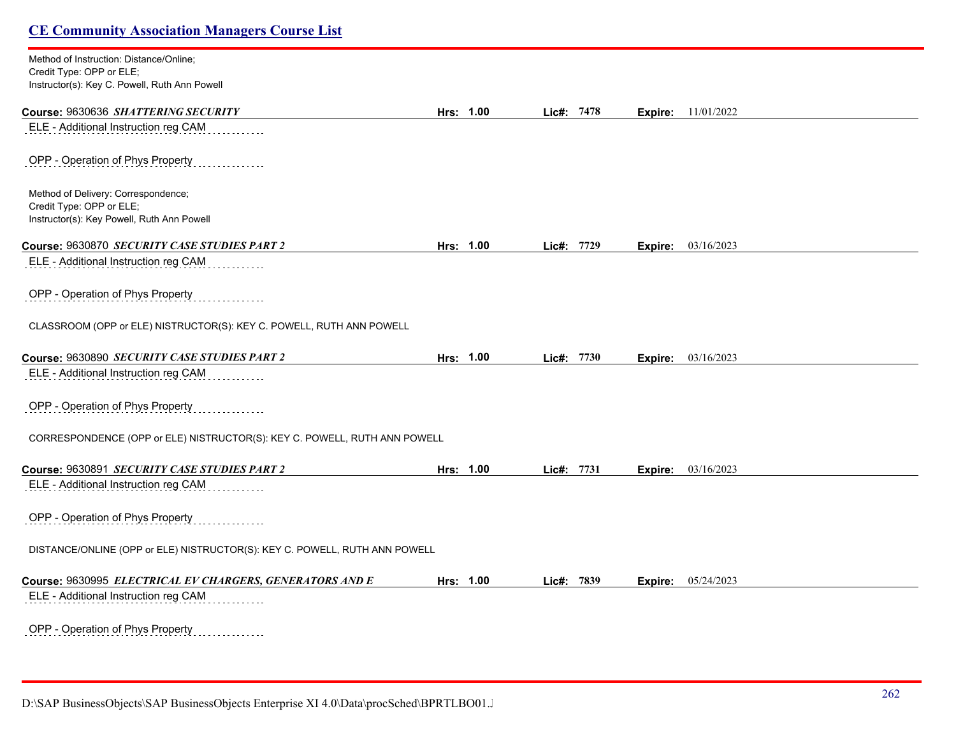| Method of Instruction: Distance/Online;                                    |           |            |         |            |  |
|----------------------------------------------------------------------------|-----------|------------|---------|------------|--|
| Credit Type: OPP or ELE;<br>Instructor(s): Key C. Powell, Ruth Ann Powell  |           |            |         |            |  |
| Course: 9630636 SHATTERING SECURITY                                        | Hrs: 1.00 | Lic#: 7478 | Expire: | 11/01/2022 |  |
| ELE - Additional Instruction reg CAM                                       |           |            |         |            |  |
| OPP - Operation of Phys Property                                           |           |            |         |            |  |
| Method of Delivery: Correspondence;                                        |           |            |         |            |  |
| Credit Type: OPP or ELE;<br>Instructor(s): Key Powell, Ruth Ann Powell     |           |            |         |            |  |
| Course: 9630870 SECURITY CASE STUDIES PART 2                               | Hrs: 1.00 | Lic#: 7729 | Expire: | 03/16/2023 |  |
| ELE - Additional Instruction reg CAM                                       |           |            |         |            |  |
| OPP - Operation of Phys Property                                           |           |            |         |            |  |
| CLASSROOM (OPP or ELE) NISTRUCTOR(S): KEY C. POWELL, RUTH ANN POWELL       |           |            |         |            |  |
| Course: 9630890 SECURITY CASE STUDIES PART 2                               | Hrs: 1.00 | Lic#: 7730 | Expire: | 03/16/2023 |  |
| ELE - Additional Instruction reg CAM                                       |           |            |         |            |  |
| OPP - Operation of Phys Property                                           |           |            |         |            |  |
| CORRESPONDENCE (OPP or ELE) NISTRUCTOR(S): KEY C. POWELL, RUTH ANN POWELL  |           |            |         |            |  |
| Course: 9630891 SECURITY CASE STUDIES PART 2                               | Hrs: 1.00 | Lic#: 7731 | Expire: | 03/16/2023 |  |
| ELE - Additional Instruction reg CAM                                       |           |            |         |            |  |
| OPP - Operation of Phys Property                                           |           |            |         |            |  |
| DISTANCE/ONLINE (OPP or ELE) NISTRUCTOR(S): KEY C. POWELL, RUTH ANN POWELL |           |            |         |            |  |
| Course: 9630995 ELECTRICAL EV CHARGERS, GENERATORS AND E                   | Hrs: 1.00 | Lic#: 7839 | Expire: | 05/24/2023 |  |
| ELE - Additional Instruction reg CAM                                       |           |            |         |            |  |
| OPP - Operation of Phys Property<br>.                                      |           |            |         |            |  |

D:\SAP BusinessObjects\SAP BusinessObjects Enterprise XI 4.0\Data\procSched\BPRTLBO01.J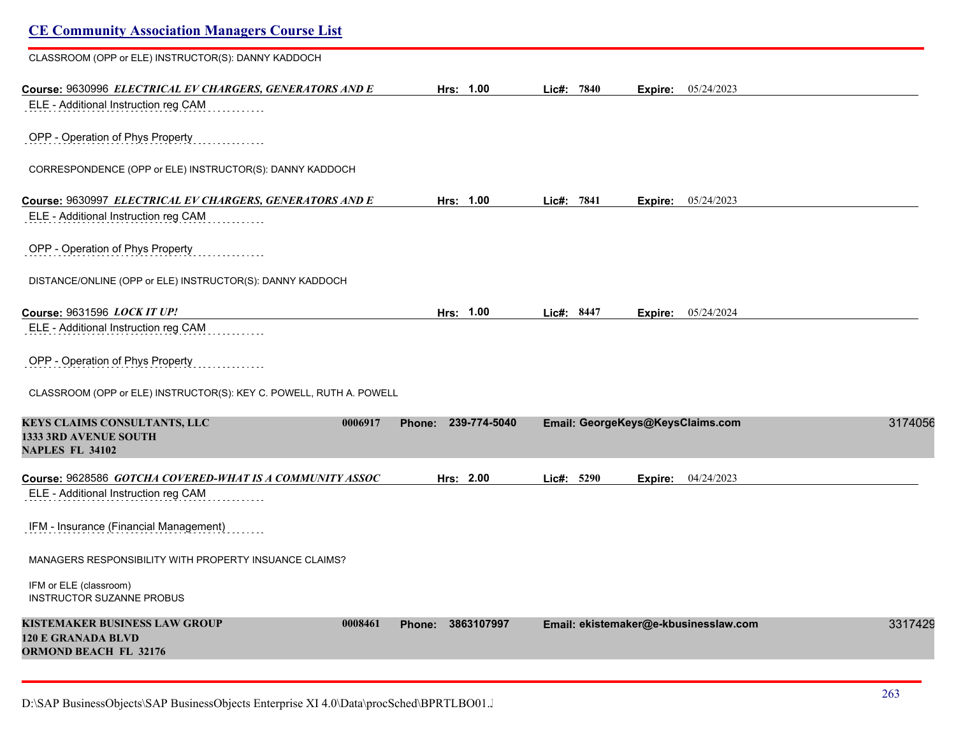| <b>CE Community Association Managers Course List</b>                                                         |                     |            |                                       |         |
|--------------------------------------------------------------------------------------------------------------|---------------------|------------|---------------------------------------|---------|
| CLASSROOM (OPP or ELE) INSTRUCTOR(S): DANNY KADDOCH                                                          |                     |            |                                       |         |
| Course: 9630996 ELECTRICAL EV CHARGERS, GENERATORS AND E<br>ELE - Additional Instruction reg CAM             | Hrs: 1.00           | Lic#: 7840 | Expire: 05/24/2023                    |         |
| OPP - Operation of Phys Property                                                                             |                     |            |                                       |         |
| CORRESPONDENCE (OPP or ELE) INSTRUCTOR(S): DANNY KADDOCH                                                     |                     |            |                                       |         |
| Course: 9630997 ELECTRICAL EV CHARGERS, GENERATORS AND E                                                     | Hrs: 1.00           | Lic#: 7841 | 05/24/2023<br>Expire:                 |         |
| ELE - Additional Instruction reg CAM                                                                         |                     |            |                                       |         |
| OPP - Operation of Phys Property                                                                             |                     |            |                                       |         |
| DISTANCE/ONLINE (OPP or ELE) INSTRUCTOR(S): DANNY KADDOCH                                                    |                     |            |                                       |         |
| Course: 9631596 LOCK IT UP!                                                                                  | Hrs: 1.00           | Lic#: 8447 | 05/24/2024<br>Expire:                 |         |
| ELE - Additional Instruction reg CAM                                                                         |                     |            |                                       |         |
| OPP - Operation of Phys Property                                                                             |                     |            |                                       |         |
| CLASSROOM (OPP or ELE) INSTRUCTOR(S): KEY C. POWELL, RUTH A. POWELL                                          |                     |            |                                       |         |
| KEYS CLAIMS CONSULTANTS, LLC<br>0006917<br><b>1333 3RD AVENUE SOUTH</b><br><b>NAPLES FL 34102</b>            | Phone: 239-774-5040 |            | Email: GeorgeKeys@KeysClaims.com      | 3174056 |
| Course: 9628586 GOTCHA COVERED-WHAT IS A COMMUNITY ASSOC                                                     | Hrs: 2.00           | Lic#: 5290 | 04/24/2023<br>Expire:                 |         |
| ELE - Additional Instruction reg CAM                                                                         |                     |            |                                       |         |
| IFM - Insurance (Financial Management)                                                                       |                     |            |                                       |         |
| MANAGERS RESPONSIBILITY WITH PROPERTY INSUANCE CLAIMS?                                                       |                     |            |                                       |         |
| IFM or ELE (classroom)<br><b>INSTRUCTOR SUZANNE PROBUS</b>                                                   |                     |            |                                       |         |
| <b>KISTEMAKER BUSINESS LAW GROUP</b><br>0008461<br><b>120 E GRANADA BLVD</b><br><b>ORMOND BEACH FL 32176</b> | Phone: 3863107997   |            | Email: ekistemaker@e-kbusinesslaw.com | 3317429 |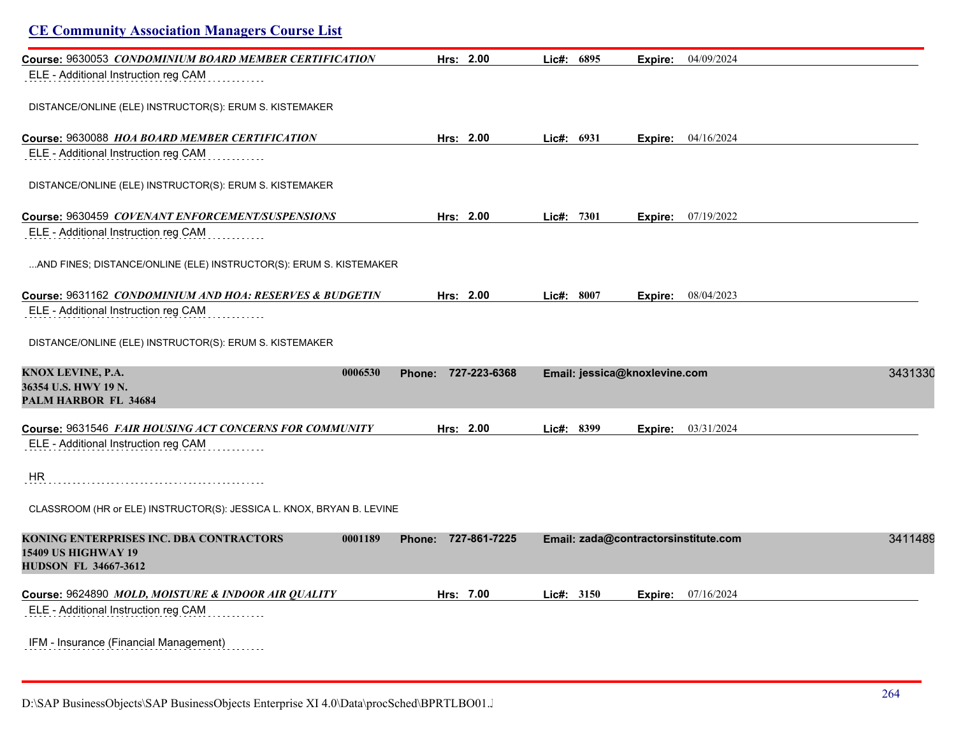| <b>CE Community Association Managers Course List</b>                                                            |                        |            |                                      |         |
|-----------------------------------------------------------------------------------------------------------------|------------------------|------------|--------------------------------------|---------|
| Course: 9630053 CONDOMINIUM BOARD MEMBER CERTIFICATION                                                          | Hrs: 2.00              | Lic#: 6895 | 04/09/2024<br>Expire:                |         |
| ELE - Additional Instruction reg CAM                                                                            |                        |            |                                      |         |
| DISTANCE/ONLINE (ELE) INSTRUCTOR(S): ERUM S. KISTEMAKER                                                         |                        |            |                                      |         |
| Course: 9630088 <i>HOA BOARD MEMBER CERTIFICATION</i>                                                           | Hrs: 2.00              | Lie#: 6931 | <b>Expire:</b> 04/16/2024            |         |
| ELE - Additional Instruction reg CAM                                                                            |                        |            |                                      |         |
| DISTANCE/ONLINE (ELE) INSTRUCTOR(S): ERUM S. KISTEMAKER                                                         |                        |            |                                      |         |
| Course: 9630459 COVENANT ENFORCEMENT/SUSPENSIONS                                                                | Hrs: 2.00              | Lic#: 7301 | <b>Expire:</b> 07/19/2022            |         |
| ELE - Additional Instruction reg CAM                                                                            |                        |            |                                      |         |
| AND FINES; DISTANCE/ONLINE (ELE) INSTRUCTOR(S): ERUM S. KISTEMAKER                                              |                        |            |                                      |         |
| Course: 9631162 CONDOMINIUM AND HOA: RESERVES & BUDGETIN                                                        | Hrs: 2.00              | Lic#: 8007 | 08/04/2023<br>Expire:                |         |
| ELE - Additional Instruction reg CAM                                                                            |                        |            |                                      |         |
| DISTANCE/ONLINE (ELE) INSTRUCTOR(S): ERUM S. KISTEMAKER                                                         |                        |            |                                      |         |
| KNOX LEVINE, P.A.<br>0006530<br>36354 U.S. HWY 19 N.<br>PALM HARBOR FL 34684                                    | 727-223-6368<br>Phone: |            | Email: jessica@knoxlevine.com        | 3431330 |
| Course: 9631546 FAIR HOUSING ACT CONCERNS FOR COMMUNITY                                                         | Hrs: 2.00              | Lic#: 8399 | Expire: 03/31/2024                   |         |
| ELE - Additional Instruction reg CAM                                                                            |                        |            |                                      |         |
| HR                                                                                                              |                        |            |                                      |         |
| CLASSROOM (HR or ELE) INSTRUCTOR(S): JESSICA L. KNOX, BRYAN B. LEVINE                                           |                        |            |                                      |         |
| KONING ENTERPRISES INC. DBA CONTRACTORS<br>0001189<br><b>15409 US HIGHWAY 19</b><br><b>HUDSON FL 34667-3612</b> | Phone: 727-861-7225    |            | Email: zada@contractorsinstitute.com | 3411489 |
| Course: 9624890 MOLD, MOISTURE & INDOOR AIR QUALITY<br>ELE - Additional Instruction reg CAM                     | Hrs: 7.00              | Lie#: 3150 | <b>Expire:</b> $07/16/2024$          |         |
| IFM - Insurance (Financial Management)                                                                          |                        |            |                                      |         |

D:\SAP BusinessObjects\SAP BusinessObjects Enterprise XI 4.0\Data\procSched\BPRTLBO01.J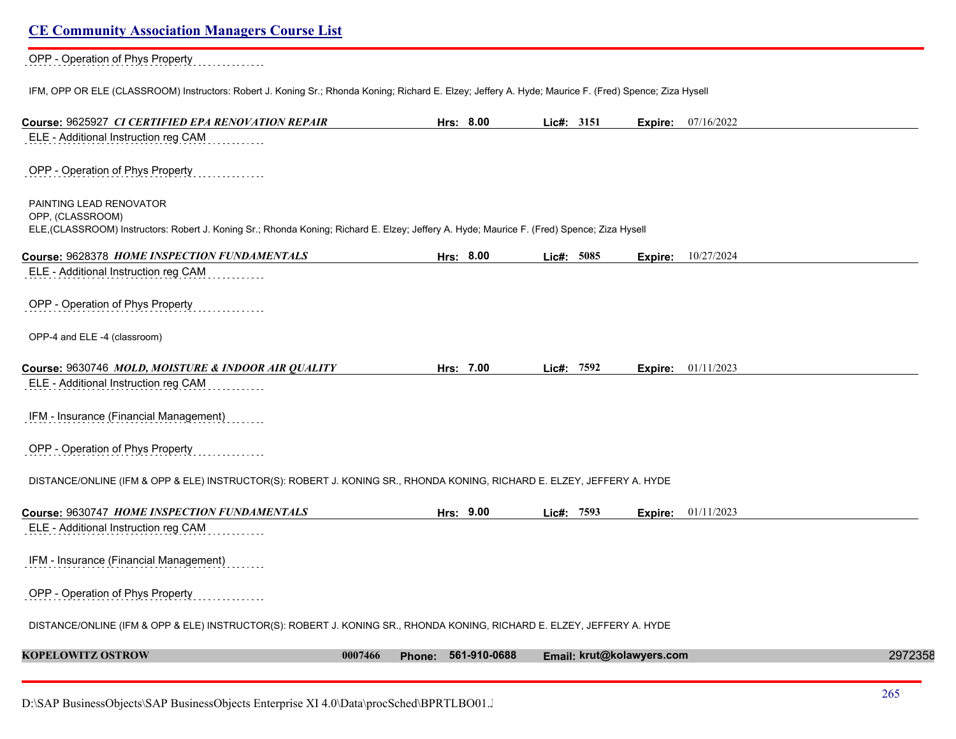| <b>CE Community Association Managers Course List</b>                                                                                                   |         |                     |            |                           |            |         |
|--------------------------------------------------------------------------------------------------------------------------------------------------------|---------|---------------------|------------|---------------------------|------------|---------|
| OPP - Operation of Phys Property                                                                                                                       |         |                     |            |                           |            |         |
| IFM, OPP OR ELE (CLASSROOM) Instructors: Robert J. Koning Sr.; Rhonda Koning; Richard E. Elzey; Jeffery A. Hyde; Maurice F. (Fred) Spence; Ziza Hysell |         |                     |            |                           |            |         |
| Course: 9625927 CI CERTIFIED EPA RENOVATION REPAIR                                                                                                     |         | Hrs: 8.00           | Lic#: 3151 | Expire:                   | 07/16/2022 |         |
| ELE - Additional Instruction reg CAM                                                                                                                   |         |                     |            |                           |            |         |
| OPP - Operation of Phys Property                                                                                                                       |         |                     |            |                           |            |         |
| PAINTING LEAD RENOVATOR<br>OPP, (CLASSROOM)                                                                                                            |         |                     |            |                           |            |         |
| ELE, (CLASSROOM) Instructors: Robert J. Koning Sr.; Rhonda Koning; Richard E. Elzey; Jeffery A. Hyde; Maurice F. (Fred) Spence; Ziza Hysell            |         |                     |            |                           |            |         |
| Course: 9628378 HOME INSPECTION FUNDAMENTALS                                                                                                           |         | Hrs: 8.00           | Lic#: 5085 | <b>Expire:</b>            | 10/27/2024 |         |
| ELE - Additional Instruction reg CAM                                                                                                                   |         |                     |            |                           |            |         |
| OPP - Operation of Phys Property                                                                                                                       |         |                     |            |                           |            |         |
| OPP-4 and ELE -4 (classroom)                                                                                                                           |         |                     |            |                           |            |         |
| Course: 9630746 MOLD, MOISTURE & INDOOR AIR QUALITY                                                                                                    |         | Hrs: 7.00           | Lic#: 7592 | Expire:                   | 01/11/2023 |         |
| ELE - Additional Instruction reg CAM                                                                                                                   |         |                     |            |                           |            |         |
| IFM - Insurance (Financial Management)                                                                                                                 |         |                     |            |                           |            |         |
| OPP - Operation of Phys Property                                                                                                                       |         |                     |            |                           |            |         |
| DISTANCE/ONLINE (IFM & OPP & ELE) INSTRUCTOR(S): ROBERT J. KONING SR., RHONDA KONING, RICHARD E. ELZEY, JEFFERY A. HYDE                                |         |                     |            |                           |            |         |
| Course: 9630747 HOME INSPECTION FUNDAMENTALS                                                                                                           |         | Hrs: 9.00           | Lic#: 7593 | Expire:                   | 01/11/2023 |         |
| ELE - Additional Instruction reg CAM                                                                                                                   |         |                     |            |                           |            |         |
| IFM - Insurance (Financial Management)                                                                                                                 |         |                     |            |                           |            |         |
| OPP - Operation of Phys Property                                                                                                                       |         |                     |            |                           |            |         |
| DISTANCE/ONLINE (IFM & OPP & ELE) INSTRUCTOR(S): ROBERT J. KONING SR., RHONDA KONING, RICHARD E. ELZEY, JEFFERY A. HYDE                                |         |                     |            |                           |            |         |
| <b>KOPELOWITZ OSTROW</b>                                                                                                                               | 0007466 | Phone: 561-910-0688 |            | Email: krut@kolawyers.com |            | 2972358 |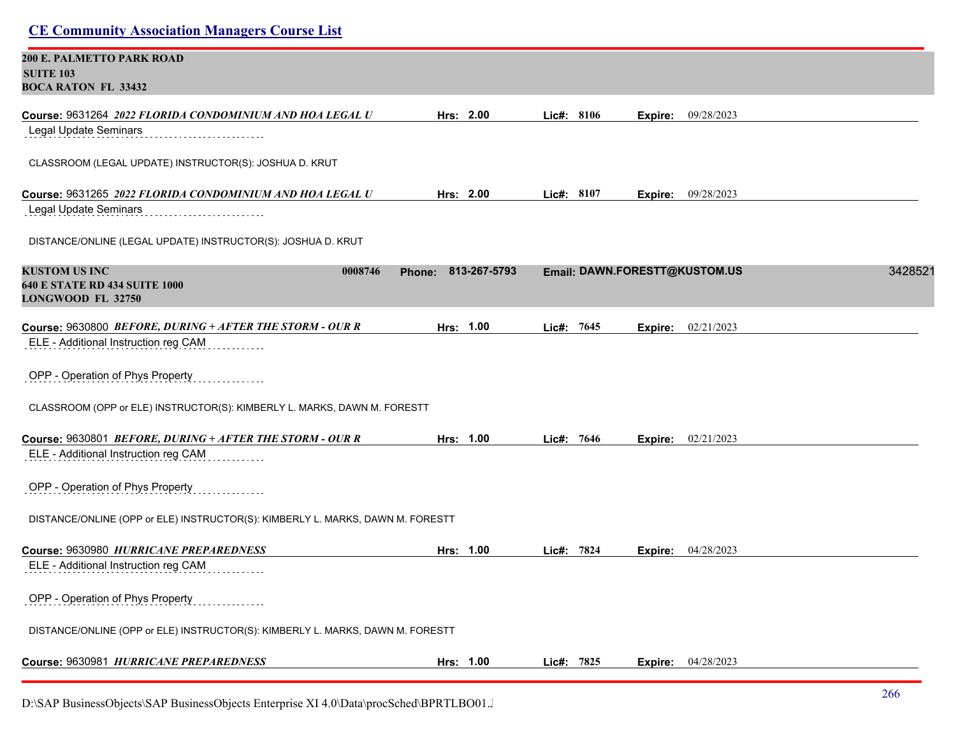| <b>CE Community Association Managers Course List</b>                                                                                                 |                        |              |                               |         |
|------------------------------------------------------------------------------------------------------------------------------------------------------|------------------------|--------------|-------------------------------|---------|
| <b>200 E. PALMETTO PARK ROAD</b><br><b>SUITE 103</b><br><b>BOCA RATON FL 33432</b>                                                                   |                        |              |                               |         |
| Course: 9631264 2022 FLORIDA CONDOMINIUM AND HOA LEGAL U<br>Legal Update Seminars                                                                    | Hrs: 2.00              | Lic#: 8106   | 09/28/2023<br>Expire:         |         |
| CLASSROOM (LEGAL UPDATE) INSTRUCTOR(S): JOSHUA D. KRUT                                                                                               |                        |              |                               |         |
| Course: 9631265 2022 FLORIDA CONDOMINIUM AND HOA LEGAL U<br>Legal Update Seminars                                                                    | Hrs: 2.00              | Lic#: $8107$ | <b>Expire:</b> 09/28/2023     |         |
| DISTANCE/ONLINE (LEGAL UPDATE) INSTRUCTOR(S): JOSHUA D. KRUT                                                                                         |                        |              |                               |         |
| <b>KUSTOM US INC</b><br>0008746<br><b>640 E STATE RD 434 SUITE 1000</b><br>LONGWOOD FL 32750                                                         | 813-267-5793<br>Phone: |              | Email: DAWN.FORESTT@KUSTOM.US | 3428521 |
| Course: 9630800 BEFORE, DURING + AFTER THE STORM - OUR R                                                                                             | Hrs: 1.00              | Lic#: 7645   | 02/21/2023<br>Expire:         |         |
| ELE - Additional Instruction reg CAM<br>OPP - Operation of Phys Property<br>CLASSROOM (OPP or ELE) INSTRUCTOR(S): KIMBERLY L. MARKS, DAWN M. FORESTT |                        |              |                               |         |
| Course: 9630801 BEFORE, DURING + AFTER THE STORM - OUR R                                                                                             | Hrs: 1.00              | Lic#: 7646   | Expire: 02/21/2023            |         |
| ELE - Additional Instruction reg CAM                                                                                                                 |                        |              |                               |         |
| OPP - Operation of Phys Property                                                                                                                     |                        |              |                               |         |
| DISTANCE/ONLINE (OPP or ELE) INSTRUCTOR(S): KIMBERLY L. MARKS, DAWN M. FORESTT                                                                       |                        |              |                               |         |
| Course: 9630980 HURRICANE PREPAREDNESS                                                                                                               | Hrs: 1.00              | Lic#: 7824   | 04/28/2023<br>Expire:         |         |
| ELE - Additional Instruction reg CAM                                                                                                                 |                        |              |                               |         |
| OPP - Operation of Phys Property                                                                                                                     |                        |              |                               |         |
| DISTANCE/ONLINE (OPP or ELE) INSTRUCTOR(S): KIMBERLY L. MARKS, DAWN M. FORESTT                                                                       |                        |              |                               |         |
| Course: 9630981 HURRICANE PREPAREDNESS                                                                                                               | Hrs: 1.00              | Lic#: 7825   | 04/28/2023<br>Expire:         |         |

D:\SAP BusinessObjects\SAP BusinessObjects Enterprise XI 4.0\Data\procSched\BPRTLBO01.Jobserver2\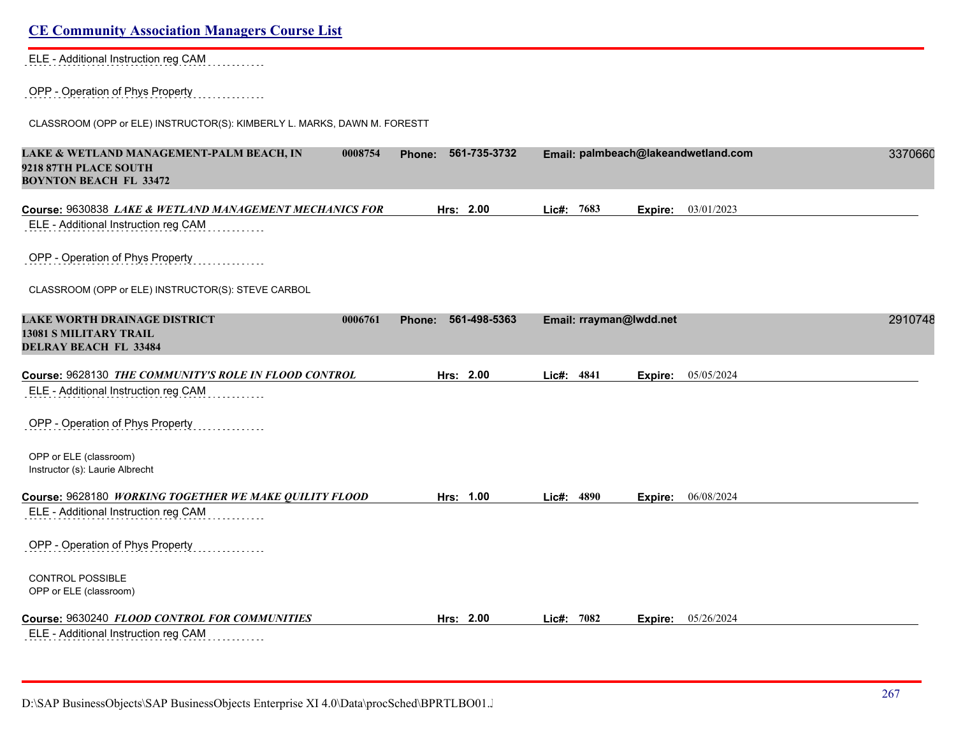| ELE - Additional Instruction reg CAM                                                                          |                               |                         |                                     |         |
|---------------------------------------------------------------------------------------------------------------|-------------------------------|-------------------------|-------------------------------------|---------|
| OPP - Operation of Phys Property                                                                              |                               |                         |                                     |         |
| CLASSROOM (OPP or ELE) INSTRUCTOR(S): KIMBERLY L. MARKS, DAWN M. FORESTT                                      |                               |                         |                                     |         |
| LAKE & WETLAND MANAGEMENT-PALM BEACH, IN<br>0008754<br>9218 87TH PLACE SOUTH<br><b>BOYNTON BEACH FL 33472</b> | 561-735-3732<br><b>Phone:</b> |                         | Email: palmbeach@lakeandwetland.com | 3370660 |
| Course: 9630838 LAKE & WETLAND MANAGEMENT MECHANICS FOR                                                       | Hrs: 2.00                     | Lic#: 7683              | 03/01/2023<br>Expire:               |         |
| ELE - Additional Instruction reg CAM                                                                          |                               |                         |                                     |         |
| OPP - Operation of Phys Property                                                                              |                               |                         |                                     |         |
| CLASSROOM (OPP or ELE) INSTRUCTOR(S): STEVE CARBOL                                                            |                               |                         |                                     |         |
| <b>LAKE WORTH DRAINAGE DISTRICT</b><br>0006761<br><b>13081 S MILITARY TRAIL</b>                               | 561-498-5363<br>Phone:        | Email: rrayman@lwdd.net |                                     | 2910748 |
| <b>DELRAY BEACH FL 33484</b>                                                                                  |                               |                         |                                     |         |
| Course: 9628130 THE COMMUNITY'S ROLE IN FLOOD CONTROL                                                         | Hrs: 2.00                     | Lic#: 4841              | 05/05/2024<br>Expire:               |         |
| ELE - Additional Instruction reg CAM                                                                          |                               |                         |                                     |         |
| OPP - Operation of Phys Property                                                                              |                               |                         |                                     |         |
| OPP or ELE (classroom)<br>Instructor (s): Laurie Albrecht                                                     |                               |                         |                                     |         |
| Course: 9628180 WORKING TOGETHER WE MAKE QUILITY FLOOD                                                        | Hrs: 1.00                     | 4890<br>Lic#:           | 06/08/2024<br>Expire:               |         |
| ELE - Additional Instruction reg CAM                                                                          |                               |                         |                                     |         |
| OPP - Operation of Phys Property                                                                              |                               |                         |                                     |         |
| <b>CONTROL POSSIBLE</b><br>OPP or ELE (classroom)                                                             |                               |                         |                                     |         |
| Course: 9630240 FLOOD CONTROL FOR COMMUNITIES                                                                 | Hrs: 2.00                     | $Lic\#: 7082$           | 05/26/2024<br>Expire:               |         |
| ELE - Additional Instruction reg CAM<br>.                                                                     |                               |                         |                                     |         |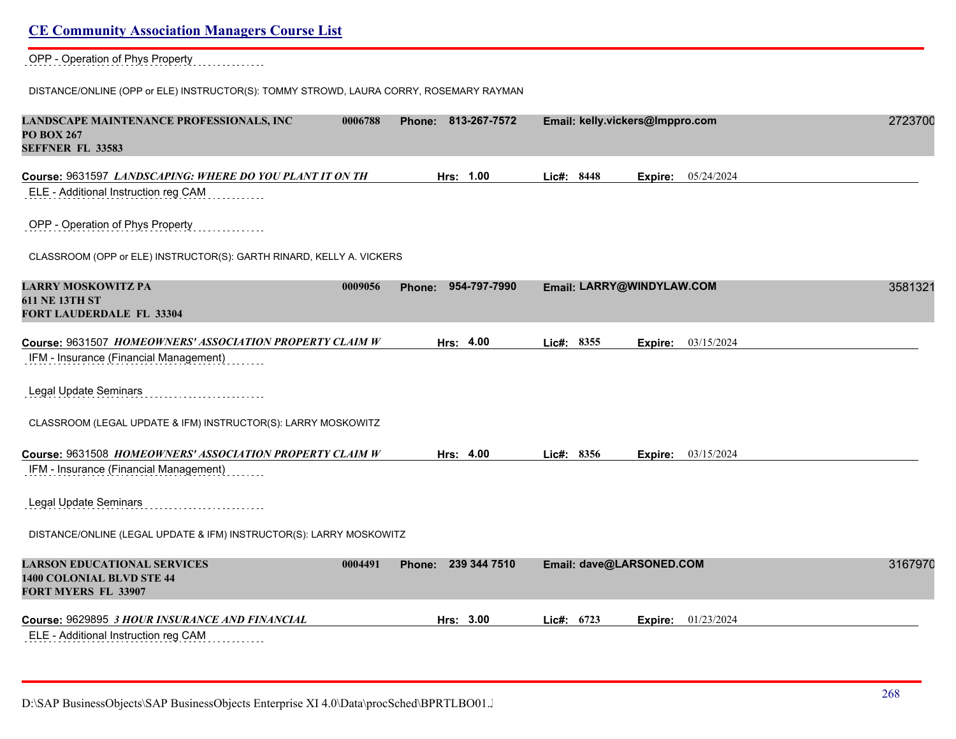#### OPP - Operation of Phys Property

DISTANCE/ONLINE (OPP or ELE) INSTRUCTOR(S): TOMMY STROWD, LAURA CORRY, ROSEMARY RAYMAN

| LANDSCAPE MAINTENANCE PROFESSIONALS, INC<br>0006788<br><b>PO BOX 267</b><br><b>SEFFNER FL 33583</b>      | Phone: 813-267-7572 | Email: kelly.vickers@Imppro.com     | 2723700 |
|----------------------------------------------------------------------------------------------------------|---------------------|-------------------------------------|---------|
| Course: 9631597 LANDSCAPING: WHERE DO YOU PLANT IT ON TH<br>ELE - Additional Instruction reg CAM         | Hrs: 1.00           | 05/24/2024<br>Lic#: 8448<br>Expire: |         |
| OPP - Operation of Phys Property                                                                         |                     |                                     |         |
| CLASSROOM (OPP or ELE) INSTRUCTOR(S): GARTH RINARD, KELLY A. VICKERS                                     |                     |                                     |         |
| <b>LARRY MOSKOWITZ PA</b><br>0009056<br><b>611 NE 13TH ST</b><br>FORT LAUDERDALE FL 33304                | Phone: 954-797-7990 | Email: LARRY@WINDYLAW.COM           | 3581321 |
| Course: 9631507 HOMEOWNERS' ASSOCIATION PROPERTY CLAIM W<br>IFM - Insurance (Financial Management)       | Hrs: 4.00           | Lic#: 8355<br>03/15/2024<br>Expire: |         |
| Legal Update Seminars                                                                                    |                     |                                     |         |
| CLASSROOM (LEGAL UPDATE & IFM) INSTRUCTOR(S): LARRY MOSKOWITZ                                            |                     |                                     |         |
| Course: 9631508 HOMEOWNERS' ASSOCIATION PROPERTY CLAIM W<br>IFM - Insurance (Financial Management)       | Hrs: 4.00           | Lic#: 8356<br>03/15/2024<br>Expire: |         |
| Legal Update Seminars                                                                                    |                     |                                     |         |
| DISTANCE/ONLINE (LEGAL UPDATE & IFM) INSTRUCTOR(S): LARRY MOSKOWITZ                                      |                     |                                     |         |
| <b>LARSON EDUCATIONAL SERVICES</b><br>0004491<br>1400 COLONIAL BLVD STE 44<br><b>FORT MYERS FL 33907</b> | Phone: 239 344 7510 | Email: dave@LARSONED.COM            | 3167970 |
| Course: 9629895 3 HOUR INSURANCE AND FINANCIAL                                                           | Hrs: 3.00           | Lic#: 6723<br>01/23/2024<br>Expire: |         |
| ELE - Additional Instruction reg CAM                                                                     |                     |                                     |         |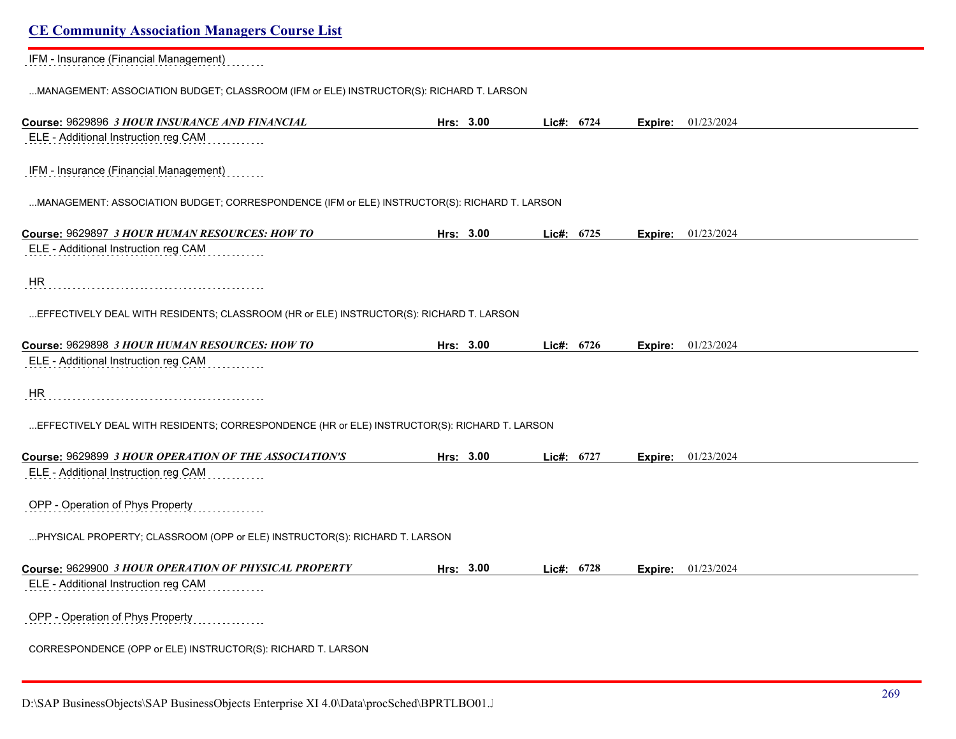IFM - Insurance (Financial Management)

...MANAGEMENT: ASSOCIATION BUDGET; CLASSROOM (IFM or ELE) INSTRUCTOR(S): RICHARD T. LARSON

| Course: 9629896 3 HOUR INSURANCE AND FINANCIAL                                               | Hrs: 3.00 | Lic#: 6724   |      |         | <b>Expire:</b> 01/23/2024 |
|----------------------------------------------------------------------------------------------|-----------|--------------|------|---------|---------------------------|
| ELE - Additional Instruction reg CAM                                                         |           |              |      |         |                           |
| IFM - Insurance (Financial Management)                                                       |           |              |      |         |                           |
| MANAGEMENT: ASSOCIATION BUDGET; CORRESPONDENCE (IFM or ELE) INSTRUCTOR(S): RICHARD T. LARSON |           |              |      |         |                           |
| Course: 9629897 3 HOUR HUMAN RESOURCES: HOW TO                                               | Hrs: 3.00 | Lic#:        | 6725 | Expire: | 01/23/2024                |
| ELE - Additional Instruction reg CAM                                                         |           |              |      |         |                           |
| HR                                                                                           |           |              |      |         |                           |
| EFFECTIVELY DEAL WITH RESIDENTS; CLASSROOM (HR or ELE) INSTRUCTOR(S): RICHARD T. LARSON      |           |              |      |         |                           |
| Course: 9629898 3 HOUR HUMAN RESOURCES: HOW TO                                               | Hrs: 3.00 | Lic#: $6726$ |      | Expire: | 01/23/2024                |
| ELE - Additional Instruction reg CAM                                                         |           |              |      |         |                           |
| <b>HR</b>                                                                                    |           |              |      |         |                           |
| EFFECTIVELY DEAL WITH RESIDENTS; CORRESPONDENCE (HR or ELE) INSTRUCTOR(S): RICHARD T. LARSON |           |              |      |         |                           |
| Course: 9629899 3 HOUR OPERATION OF THE ASSOCIATION'S                                        | Hrs: 3.00 | Lic#: 6727   |      | Expire: | 01/23/2024                |
| ELE - Additional Instruction reg CAM                                                         |           |              |      |         |                           |
| OPP - Operation of Phys Property                                                             |           |              |      |         |                           |
| PHYSICAL PROPERTY; CLASSROOM (OPP or ELE) INSTRUCTOR(S): RICHARD T. LARSON                   |           |              |      |         |                           |
| Course: 9629900 3 HOUR OPERATION OF PHYSICAL PROPERTY                                        | Hrs: 3.00 | Lic#: 6728   |      | Expire: | 01/23/2024                |
| ELE - Additional Instruction reg CAM                                                         |           |              |      |         |                           |
| OPP - Operation of Phys Property                                                             |           |              |      |         |                           |
| CORRESPONDENCE (OPP or ELE) INSTRUCTOR(S): RICHARD T. LARSON                                 |           |              |      |         |                           |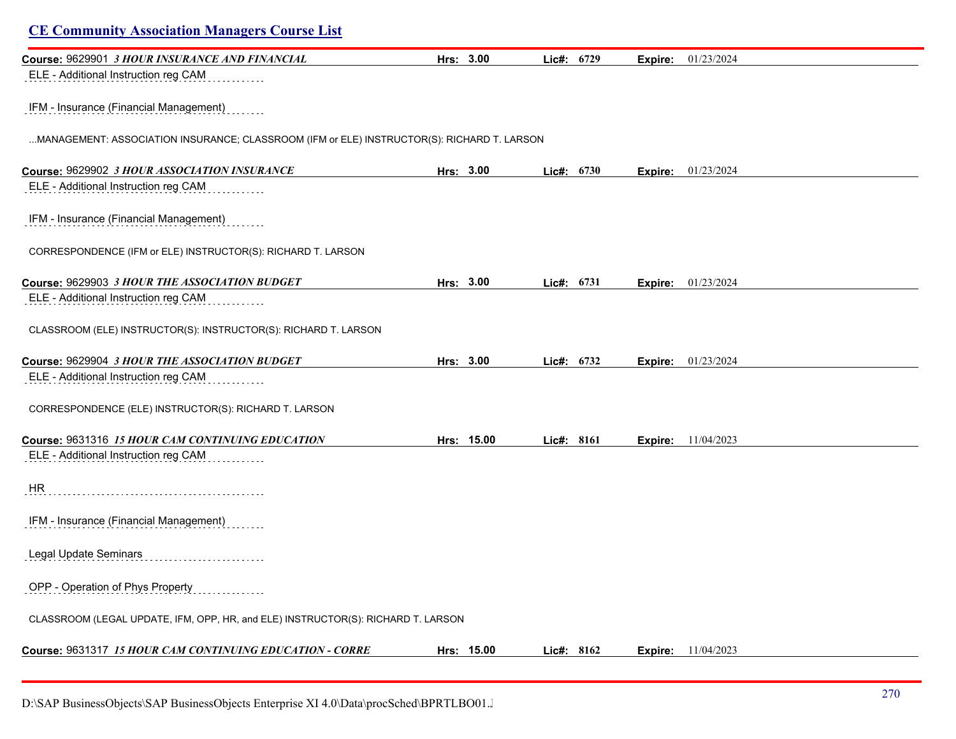| <b>CE Community Association Managers Course List</b>                                       |            |            |         |                           |  |
|--------------------------------------------------------------------------------------------|------------|------------|---------|---------------------------|--|
| Course: 9629901 3 HOUR INSURANCE AND FINANCIAL                                             | Hrs: 3.00  | Lic#: 6729 | Expire: | 01/23/2024                |  |
| ELE - Additional Instruction reg CAM                                                       |            |            |         |                           |  |
| IFM - Insurance (Financial Management)                                                     |            |            |         |                           |  |
| MANAGEMENT: ASSOCIATION INSURANCE; CLASSROOM (IFM or ELE) INSTRUCTOR(S): RICHARD T. LARSON |            |            |         |                           |  |
| Course: 9629902 3 HOUR ASSOCIATION INSURANCE                                               | Hrs: 3.00  | Lic#: 6730 | Expire: | 01/23/2024                |  |
| ELE - Additional Instruction reg CAM                                                       |            |            |         |                           |  |
| IFM - Insurance (Financial Management)                                                     |            |            |         |                           |  |
| CORRESPONDENCE (IFM or ELE) INSTRUCTOR(S): RICHARD T. LARSON                               |            |            |         |                           |  |
| Course: 9629903 3 HOUR THE ASSOCIATION BUDGET                                              | Hrs: 3.00  | Lic#: 6731 | Expire: | 01/23/2024                |  |
| ELE - Additional Instruction reg CAM                                                       |            |            |         |                           |  |
| CLASSROOM (ELE) INSTRUCTOR(S): INSTRUCTOR(S): RICHARD T. LARSON                            |            |            |         |                           |  |
| Course: 9629904 3 HOUR THE ASSOCIATION BUDGET                                              | Hrs: 3.00  | Lic#: 6732 | Expire: | 01/23/2024                |  |
| ELE - Additional Instruction reg CAM                                                       |            |            |         |                           |  |
| CORRESPONDENCE (ELE) INSTRUCTOR(S): RICHARD T. LARSON                                      |            |            |         |                           |  |
| Course: 9631316 15 HOUR CAM CONTINUING EDUCATION                                           | Hrs: 15.00 | Lic#: 8161 |         | <b>Expire:</b> 11/04/2023 |  |
| ELE - Additional Instruction reg CAM                                                       |            |            |         |                           |  |
| HR                                                                                         |            |            |         |                           |  |
| IFM - Insurance (Financial Management)                                                     |            |            |         |                           |  |
| Legal Update Seminars                                                                      |            |            |         |                           |  |
| OPP - Operation of Phys Property                                                           |            |            |         |                           |  |
| CLASSROOM (LEGAL UPDATE, IFM, OPP, HR, and ELE) INSTRUCTOR(S): RICHARD T. LARSON           |            |            |         |                           |  |
| Course: 9631317 15 HOUR CAM CONTINUING EDUCATION - CORRE                                   | Hrs: 15.00 | Lic#: 8162 |         | <b>Expire:</b> 11/04/2023 |  |
|                                                                                            |            |            |         |                           |  |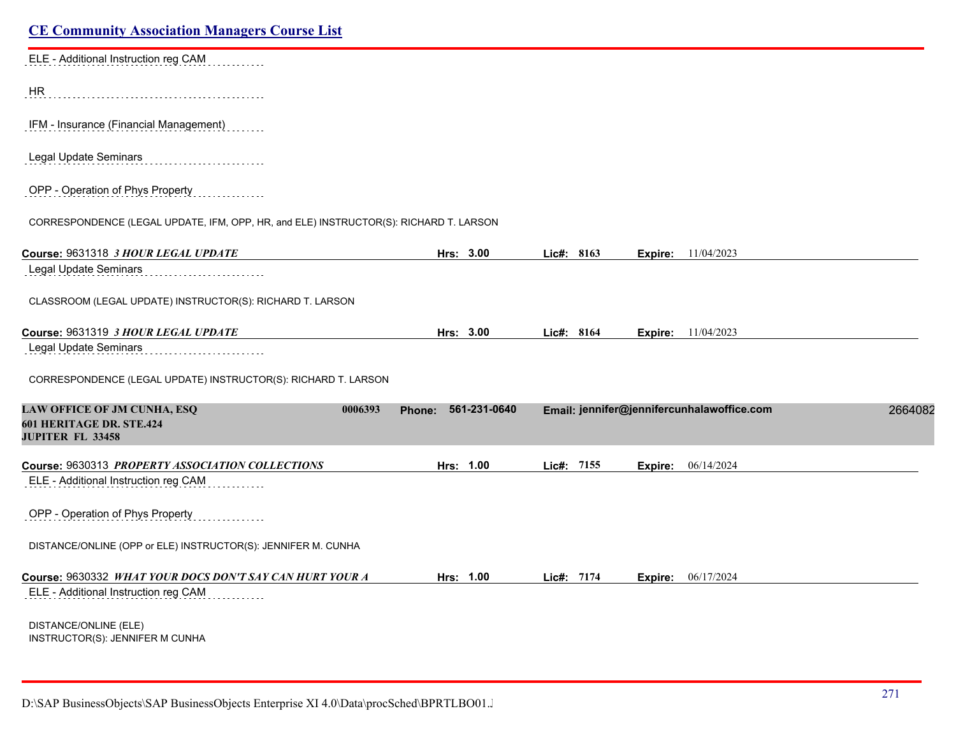| <b>CE Community Association Managers Course List</b>                                  |                        |            |                                            |         |
|---------------------------------------------------------------------------------------|------------------------|------------|--------------------------------------------|---------|
| ELE - Additional Instruction reg CAM                                                  |                        |            |                                            |         |
| HR                                                                                    |                        |            |                                            |         |
| IFM - Insurance (Financial Management)                                                |                        |            |                                            |         |
| Legal Update Seminars                                                                 |                        |            |                                            |         |
| OPP - Operation of Phys Property                                                      |                        |            |                                            |         |
| CORRESPONDENCE (LEGAL UPDATE, IFM, OPP, HR, and ELE) INSTRUCTOR(S): RICHARD T. LARSON |                        |            |                                            |         |
| Course: 9631318 3 HOUR LEGAL UPDATE                                                   | Hrs: 3.00              | Lic#: 8163 | <b>Expire:</b> 11/04/2023                  |         |
| Legal Update Seminars                                                                 |                        |            |                                            |         |
| CLASSROOM (LEGAL UPDATE) INSTRUCTOR(S): RICHARD T. LARSON                             |                        |            |                                            |         |
| Course: 9631319 3 HOUR LEGAL UPDATE                                                   | Hrs: 3.00              | Lic#: 8164 | <b>Expire:</b> 11/04/2023                  |         |
| Legal Update Seminars                                                                 |                        |            |                                            |         |
| CORRESPONDENCE (LEGAL UPDATE) INSTRUCTOR(S): RICHARD T. LARSON                        |                        |            |                                            |         |
| LAW OFFICE OF JM CUNHA, ESQ<br>0006393                                                | 561-231-0640<br>Phone: |            | Email: jennifer@jennifercunhalawoffice.com | 2664082 |
| 601 HERITAGE DR. STE.424<br><b>JUPITER FL 33458</b>                                   |                        |            |                                            |         |
| Course: 9630313 PROPERTY ASSOCIATION COLLECTIONS                                      | Hrs: 1.00              | Lic#: 7155 | 06/14/2024<br>Expire:                      |         |
| ELE - Additional Instruction reg CAM                                                  |                        |            |                                            |         |
| OPP - Operation of Phys Property                                                      |                        |            |                                            |         |
| DISTANCE/ONLINE (OPP or ELE) INSTRUCTOR(S): JENNIFER M. CUNHA                         |                        |            |                                            |         |
| Course: 9630332 WHAT YOUR DOCS DON'T SAY CAN HURT YOUR A                              | Hrs: 1.00              | Lic#: 7174 | 06/17/2024<br>Expire:                      |         |
| ELE - Additional Instruction reg CAM                                                  |                        |            |                                            |         |
| DISTANCE/ONLINE (ELE)<br>INSTRUCTOR(S): JENNIFER M CUNHA                              |                        |            |                                            |         |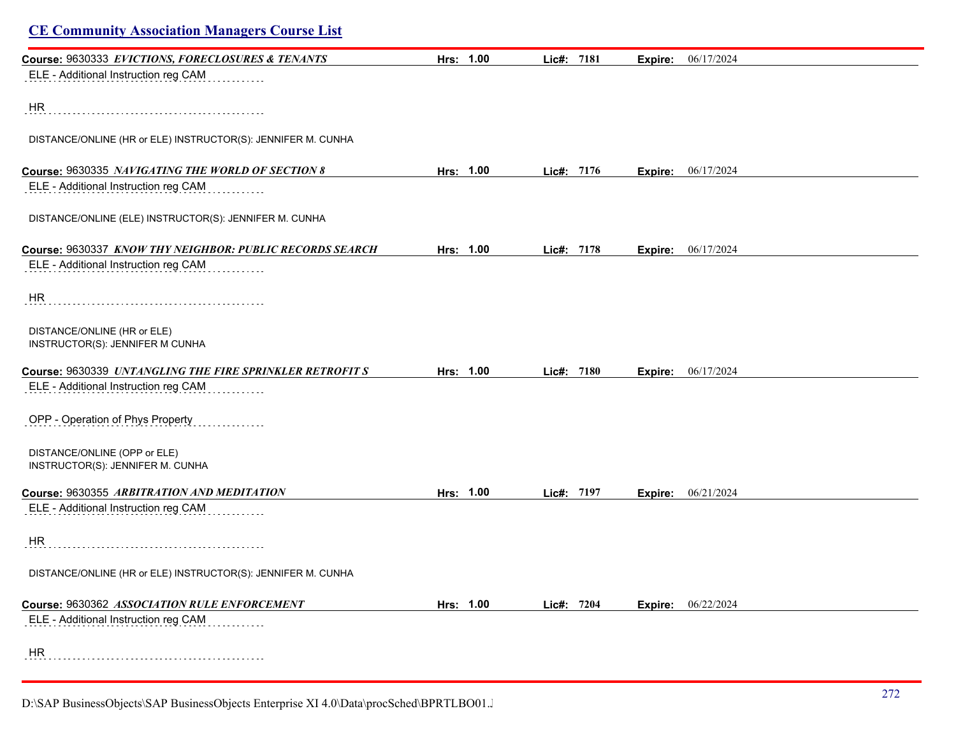| <b>CE Community Association Managers Course List</b>             |           |            |         |                    |
|------------------------------------------------------------------|-----------|------------|---------|--------------------|
| Course: 9630333 EVICTIONS, FORECLOSURES & TENANTS                | Hrs: 1.00 | Lic#: 7181 | Expire: | 06/17/2024         |
| ELE - Additional Instruction reg CAM                             |           |            |         |                    |
| HR                                                               |           |            |         |                    |
| DISTANCE/ONLINE (HR or ELE) INSTRUCTOR(S): JENNIFER M. CUNHA     |           |            |         |                    |
| Course: 9630335 NAVIGATING THE WORLD OF SECTION 8                | Hrs: 1.00 | Lic#: 7176 | Expire: | 06/17/2024         |
| ELE - Additional Instruction reg CAM                             |           |            |         |                    |
| DISTANCE/ONLINE (ELE) INSTRUCTOR(S): JENNIFER M. CUNHA           |           |            |         |                    |
| Course: 9630337 KNOW THY NEIGHBOR: PUBLIC RECORDS SEARCH         | Hrs: 1.00 | Lic#: 7178 | Expire: | 06/17/2024         |
| ELE - Additional Instruction reg CAM                             |           |            |         |                    |
| HR                                                               |           |            |         |                    |
| DISTANCE/ONLINE (HR or ELE)<br>INSTRUCTOR(S): JENNIFER M CUNHA   |           |            |         |                    |
| Course: 9630339 UNTANGLING THE FIRE SPRINKLER RETROFIT S         | Hrs: 1.00 | Lic#: 7180 |         | Expire: 06/17/2024 |
| ELE - Additional Instruction reg CAM                             |           |            |         |                    |
| OPP - Operation of Phys Property                                 |           |            |         |                    |
| DISTANCE/ONLINE (OPP or ELE)<br>INSTRUCTOR(S): JENNIFER M. CUNHA |           |            |         |                    |
| Course: 9630355 ARBITRATION AND MEDITATION                       | Hrs: 1.00 | Lic#: 7197 | Expire: | 06/21/2024         |
| ELE - Additional Instruction reg CAM                             |           |            |         |                    |
| HR                                                               |           |            |         |                    |
| DISTANCE/ONLINE (HR or ELE) INSTRUCTOR(S): JENNIFER M. CUNHA     |           |            |         |                    |
| Course: 9630362 ASSOCIATION RULE ENFORCEMENT                     | Hrs: 1.00 | Lic#: 7204 | Expire: | 06/22/2024         |
| ELE - Additional Instruction reg CAM                             |           |            |         |                    |
| HR                                                               |           |            |         |                    |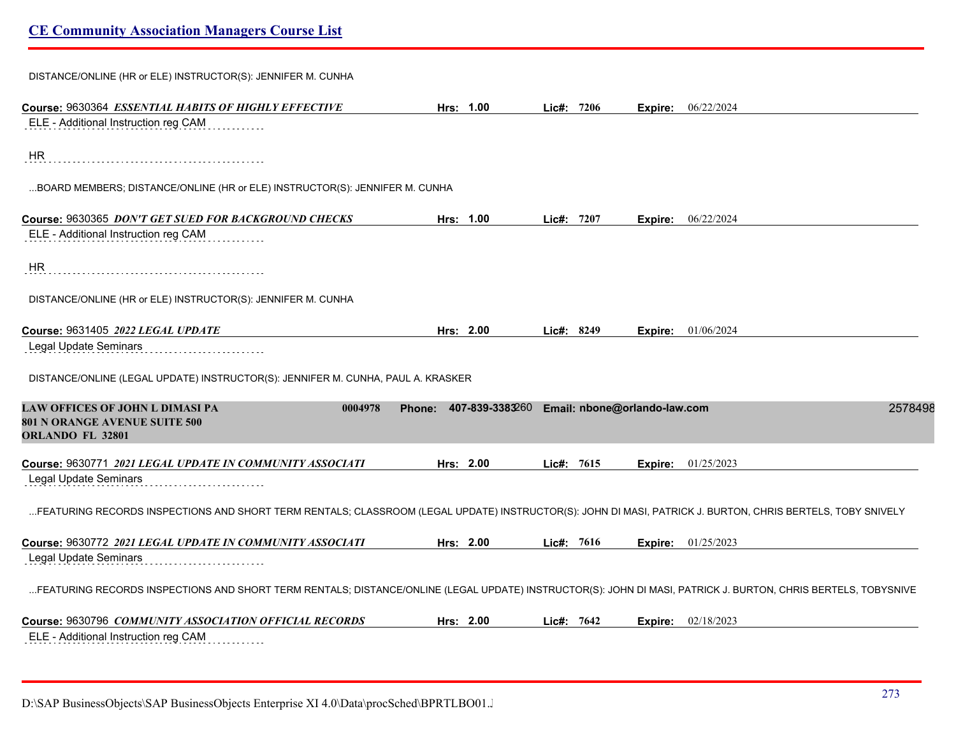| DISTANCE/ONLINE (HR or ELE) INSTRUCTOR(S): JENNIFER M. CUNHA                                                                                                  |                                  |               |                              |         |
|---------------------------------------------------------------------------------------------------------------------------------------------------------------|----------------------------------|---------------|------------------------------|---------|
| Course: 9630364 ESSENTIAL HABITS OF HIGHLY EFFECTIVE                                                                                                          | Hrs: 1.00                        | Lic#: 7206    | 06/22/2024<br>Expire:        |         |
| ELE - Additional Instruction reg CAM                                                                                                                          |                                  |               |                              |         |
| HR                                                                                                                                                            |                                  |               |                              |         |
| BOARD MEMBERS; DISTANCE/ONLINE (HR or ELE) INSTRUCTOR(S): JENNIFER M. CUNHA                                                                                   |                                  |               |                              |         |
| Course: 9630365 DON'T GET SUED FOR BACKGROUND CHECKS                                                                                                          | Hrs: 1.00                        | 7207<br>Lic#: | 06/22/2024<br>Expire:        |         |
| ELE - Additional Instruction reg CAM                                                                                                                          |                                  |               |                              |         |
| HR                                                                                                                                                            |                                  |               |                              |         |
| DISTANCE/ONLINE (HR or ELE) INSTRUCTOR(S): JENNIFER M. CUNHA                                                                                                  |                                  |               |                              |         |
| Course: 9631405 2022 LEGAL UPDATE                                                                                                                             | Hrs: 2.00                        | Lic#: $8249$  | 01/06/2024<br>Expire:        |         |
| Legal Update Seminars                                                                                                                                         |                                  |               |                              |         |
| DISTANCE/ONLINE (LEGAL UPDATE) INSTRUCTOR(S): JENNIFER M. CUNHA, PAUL A. KRASKER                                                                              |                                  |               |                              |         |
| LAW OFFICES OF JOHN L DIMASI PA<br>0004978<br>801 N ORANGE AVENUE SUITE 500<br>ORLANDO FL 32801                                                               | 407-839-3383260<br><b>Phone:</b> |               | Email: nbone@orlando-law.com | 2578498 |
| Course: 9630771 2021 LEGAL UPDATE IN COMMUNITY ASSOCIATI                                                                                                      | Hrs: 2.00                        | Lic#: 7615    | 01/25/2023<br>Expire:        |         |
| Legal Update Seminars                                                                                                                                         |                                  |               |                              |         |
| FEATURING RECORDS INSPECTIONS AND SHORT TERM RENTALS; CLASSROOM (LEGAL UPDATE) INSTRUCTOR(S): JOHN DI MASI, PATRICK J. BURTON, CHRIS BERTELS, TOBY SNIVELY    |                                  |               |                              |         |
| Course: 9630772 2021 LEGAL UPDATE IN COMMUNITY ASSOCIATI                                                                                                      | Hrs: 2.00                        | Lic#: $7616$  | <b>Expire:</b> 01/25/2023    |         |
| Legal Update Seminars                                                                                                                                         |                                  |               |                              |         |
| FEATURING RECORDS INSPECTIONS AND SHORT TERM RENTALS; DISTANCE/ONLINE (LEGAL UPDATE) INSTRUCTOR(S): JOHN DI MASI, PATRICK J. BURTON, CHRIS BERTELS, TOBYSNIVE |                                  |               |                              |         |
| Course: 9630796 COMMUNITY ASSOCIATION OFFICIAL RECORDS                                                                                                        | Hrs: 2.00                        | Lic#: $7642$  | <b>Expire:</b> 02/18/2023    |         |
| ELE - Additional Instruction reg CAM                                                                                                                          |                                  |               |                              |         |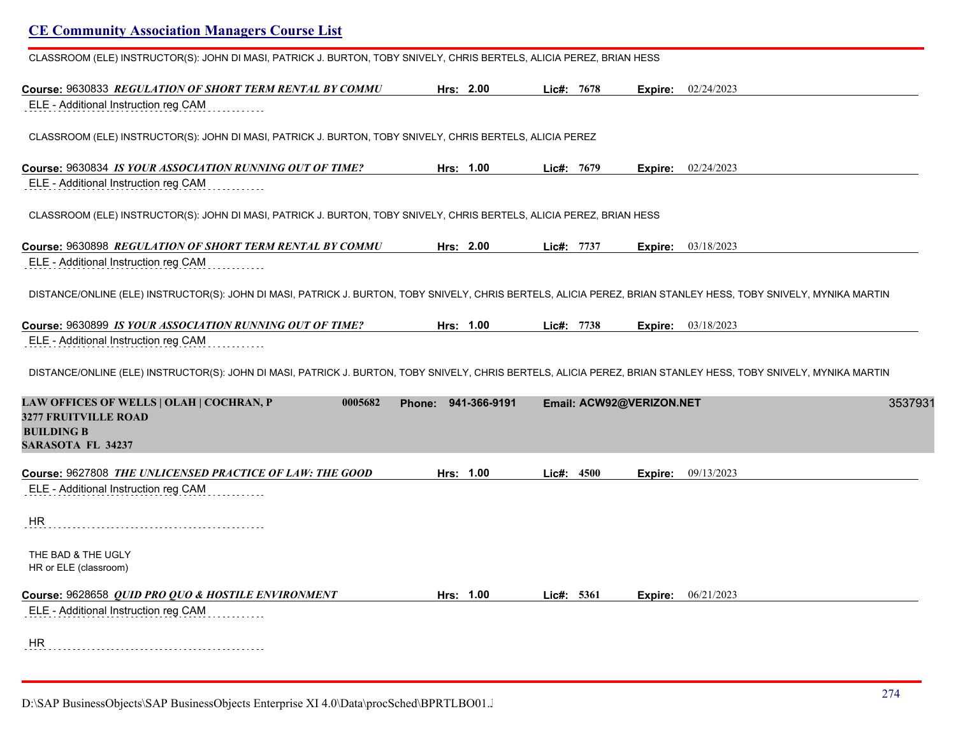| <b>CE Community Association Managers Course List</b>                                                                                                             |                        |                          |         |                             |
|------------------------------------------------------------------------------------------------------------------------------------------------------------------|------------------------|--------------------------|---------|-----------------------------|
| CLASSROOM (ELE) INSTRUCTOR(S): JOHN DI MASI, PATRICK J. BURTON, TOBY SNIVELY, CHRIS BERTELS, ALICIA PEREZ, BRIAN HESS                                            |                        |                          |         |                             |
| Course: 9630833 REGULATION OF SHORT TERM RENTAL BY COMMU<br>ELE - Additional Instruction reg CAM                                                                 | Hrs: 2.00              | Lic#: $7678$             | Expire: | 02/24/2023                  |
| CLASSROOM (ELE) INSTRUCTOR(S): JOHN DI MASI, PATRICK J. BURTON, TOBY SNIVELY, CHRIS BERTELS, ALICIA PEREZ                                                        |                        |                          |         |                             |
| Course: 9630834 IS YOUR ASSOCIATION RUNNING OUT OF TIME?<br>ELE - Additional Instruction reg CAM                                                                 | Hrs: 1.00              | Lie#: 7679               |         | <b>Expire:</b> $02/24/2023$ |
| CLASSROOM (ELE) INSTRUCTOR(S): JOHN DI MASI, PATRICK J. BURTON, TOBY SNIVELY, CHRIS BERTELS, ALICIA PEREZ, BRIAN HESS                                            |                        |                          |         |                             |
| Course: 9630898 REGULATION OF SHORT TERM RENTAL BY COMMU<br>ELE - Additional Instruction reg CAM                                                                 | Hrs: 2.00              | Lic#: 7737               | Expire: | 03/18/2023                  |
| DISTANCE/ONLINE (ELE) INSTRUCTOR(S): JOHN DI MASI, PATRICK J. BURTON, TOBY SNIVELY, CHRIS BERTELS, ALICIA PEREZ, BRIAN STANLEY HESS, TOBY SNIVELY, MYNIKA MARTIN |                        |                          |         |                             |
| Course: 9630899 IS YOUR ASSOCIATION RUNNING OUT OF TIME?<br>ELE - Additional Instruction reg CAM                                                                 | Hrs: 1.00              | Lic#: 7738               |         | <b>Expire:</b> 03/18/2023   |
| DISTANCE/ONLINE (ELE) INSTRUCTOR(S): JOHN DI MASI, PATRICK J. BURTON, TOBY SNIVELY, CHRIS BERTELS, ALICIA PEREZ, BRIAN STANLEY HESS, TOBY SNIVELY, MYNIKA MARTIN |                        |                          |         |                             |
| LAW OFFICES OF WELLS   OLAH   COCHRAN, P<br>0005682<br><b>3277 FRUITVILLE ROAD</b><br><b>BUILDING B</b><br><b>SARASOTA FL 34237</b>                              | 941-366-9191<br>Phone: | Email: ACW92@VERIZON.NET |         | 3537931                     |
| Course: 9627808 THE UNLICENSED PRACTICE OF LAW: THE GOOD<br>ELE - Additional Instruction reg CAM                                                                 | Hrs: 1.00              | Lie#: 4500               | Expire: | 09/13/2023                  |
| HR                                                                                                                                                               |                        |                          |         |                             |
| THE BAD & THE UGLY<br>HR or ELE (classroom)                                                                                                                      |                        |                          |         |                             |
| Course: 9628658 QUID PRO QUO & HOSTILE ENVIRONMENT<br>ELE - Additional Instruction reg CAM                                                                       | Hrs: 1.00              | Lie#: 5361               |         | <b>Expire:</b> 06/21/2023   |
| <b>HR</b>                                                                                                                                                        |                        |                          |         |                             |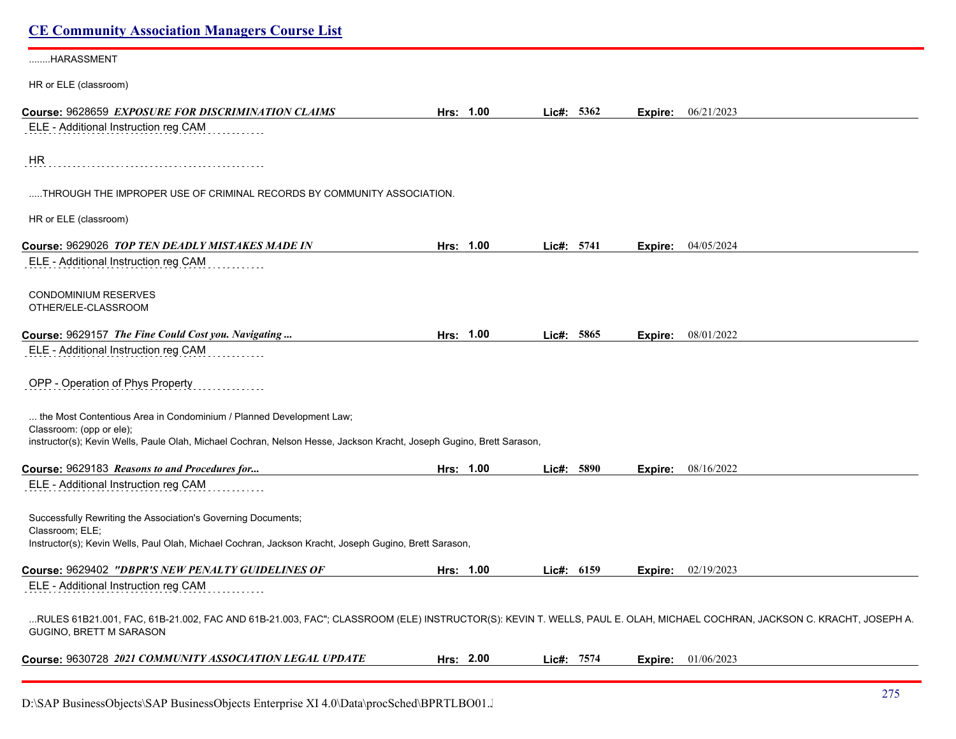# **CE Community Association Managers Course List** ........HARASSMENT HR or ELE (classroom) **Course:** 9628659 *EXPOSURE FOR DISCRIMINATION CLAIMS* **Hrs: 1.00 Lic#: 5362 Expire:** 06/21/2023 ELE - Additional Instruction reg CAM HR .....THROUGH THE IMPROPER USE OF CRIMINAL RECORDS BY COMMUNITY ASSOCIATION. HR or ELE (classroom) **Course:** 9629026 *TOP TEN DEADLY MISTAKES MADE IN* **Hrs: 1.00 Lic#: 5741 Expire:** 04/05/2024 ELE - Additional Instruction reg CAM <u>. . . . . . . . .</u> CONDOMINIUM RESERVES OTHER/ELE-CLASSROOM **Course:** 9629157 *The Fine Could Cost you. Navigating ...* **Hrs: 1.00 Lic#: 5865 Expire:** 08/01/2022 ELE - Additional Instruction reg CAM OPP - Operation of Phys Property ... the Most Contentious Area in Condominium / Planned Development Law; Classroom: (opp or ele); instructor(s); Kevin Wells, Paule Olah, Michael Cochran, Nelson Hesse, Jackson Kracht, Joseph Gugino, Brett Sarason, **Course:** 9629183 *Reasons to and Procedures for...* **Hrs: 1.00 Lic#: 5890 Expire:** 08/16/2022 ELE - Additional Instruction reg CAM Successfully Rewriting the Association's Governing Documents; Classroom; ELE; Instructor(s); Kevin Wells, Paul Olah, Michael Cochran, Jackson Kracht, Joseph Gugino, Brett Sarason, **Course:** 9629402 *"DBPR'S NEW PENALTY GUIDELINES OF* **Hrs: 1.00 Lic#: 6159 Expire:** 02/19/2023 ELE - Additional Instruction reg CAM ...RULES 61B21.001, FAC, 61B-21.002, FAC AND 61B-21.003, FAC"; CLASSROOM (ELE) INSTRUCTOR(S): KEVIN T. WELLS, PAUL E. OLAH, MICHAEL COCHRAN, JACKSON C. KRACHT, JOSEPH A. GUGINO, BRETT M SARASON **Course:** 9630728 *2021 COMMUNITY ASSOCIATION LEGAL UPDATE* **Hrs: 2.00 Lic#: 7574 Expire:** 01/06/2023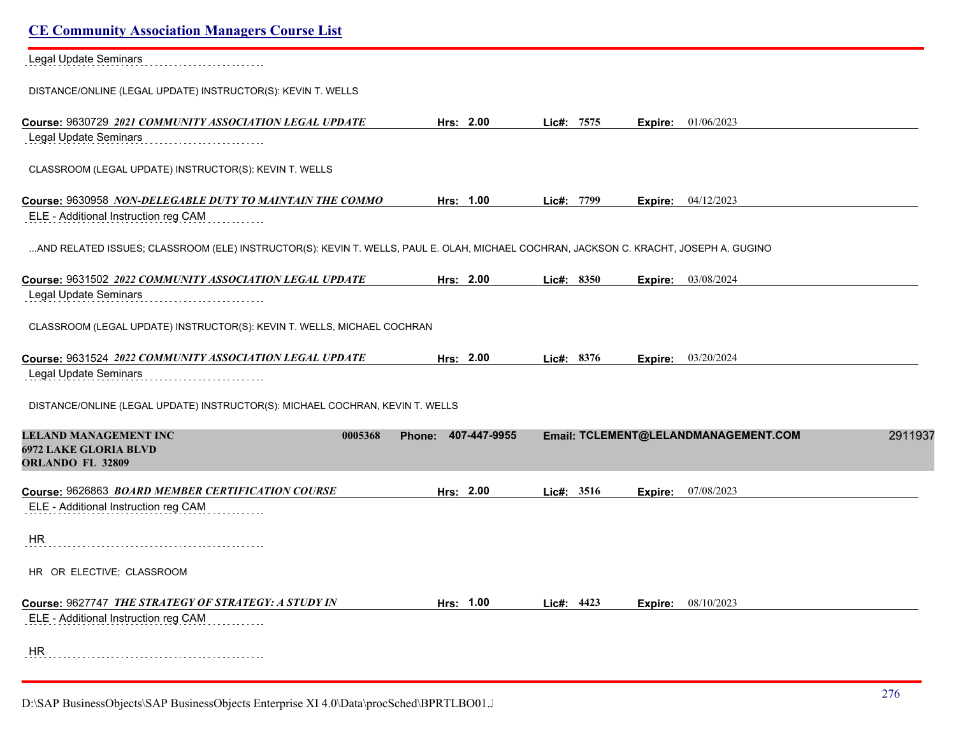| <b>CE Community Association Managers Course List</b>                                                                                  |                     |            |                                      |         |
|---------------------------------------------------------------------------------------------------------------------------------------|---------------------|------------|--------------------------------------|---------|
| Legal Update Seminars                                                                                                                 |                     |            |                                      |         |
| DISTANCE/ONLINE (LEGAL UPDATE) INSTRUCTOR(S): KEVIN T. WELLS                                                                          |                     |            |                                      |         |
| Course: 9630729 2021 COMMUNITY ASSOCIATION LEGAL UPDATE                                                                               | Hrs: 2.00           | Lic#: 7575 | 01/06/2023<br>Expire:                |         |
| Legal Update Seminars                                                                                                                 |                     |            |                                      |         |
| CLASSROOM (LEGAL UPDATE) INSTRUCTOR(S): KEVIN T. WELLS                                                                                |                     |            |                                      |         |
| Course: 9630958 NON-DELEGABLE DUTY TO MAINTAIN THE COMMO                                                                              | Hrs: 1.00           | Lic#: 7799 | 04/12/2023<br>Expire:                |         |
| ELE - Additional Instruction reg CAM                                                                                                  |                     |            |                                      |         |
| AND RELATED ISSUES; CLASSROOM (ELE) INSTRUCTOR(S): KEVIN T. WELLS, PAUL E. OLAH, MICHAEL COCHRAN, JACKSON C. KRACHT, JOSEPH A. GUGINO |                     |            |                                      |         |
| Course: 9631502 2022 COMMUNITY ASSOCIATION LEGAL UPDATE                                                                               | Hrs: 2.00           | Lic#: 8350 | 03/08/2024<br>Expire:                |         |
| Legal Update Seminars                                                                                                                 |                     |            |                                      |         |
| CLASSROOM (LEGAL UPDATE) INSTRUCTOR(S): KEVIN T. WELLS, MICHAEL COCHRAN                                                               |                     |            |                                      |         |
| Course: 9631524 2022 COMMUNITY ASSOCIATION LEGAL UPDATE<br>Legal Update Seminars                                                      | Hrs: 2.00           | Lic#: 8376 | 03/20/2024<br>Expire:                |         |
| DISTANCE/ONLINE (LEGAL UPDATE) INSTRUCTOR(S): MICHAEL COCHRAN, KEVIN T. WELLS                                                         |                     |            |                                      |         |
| <b>LELAND MANAGEMENT INC</b><br>0005368<br><b>6972 LAKE GLORIA BLVD</b><br>ORLANDO FL 32809                                           | Phone: 407-447-9955 |            | Email: TCLEMENT@LELANDMANAGEMENT.COM | 2911937 |
| Course: 9626863 BOARD MEMBER CERTIFICATION COURSE                                                                                     | Hrs: 2.00           | Lic#: 3516 | 07/08/2023<br>Expire:                |         |
| ELE - Additional Instruction reg CAM                                                                                                  |                     |            |                                      |         |
| <b>HR</b>                                                                                                                             |                     |            |                                      |         |
| HR OR ELECTIVE; CLASSROOM                                                                                                             |                     |            |                                      |         |
| Course: 9627747 THE STRATEGY OF STRATEGY: A STUDY IN                                                                                  | Hrs: 1.00           | Lic#: 4423 | 08/10/2023<br>Expire:                |         |
| ELE - Additional Instruction reg CAM                                                                                                  |                     |            |                                      |         |
| HR                                                                                                                                    |                     |            |                                      |         |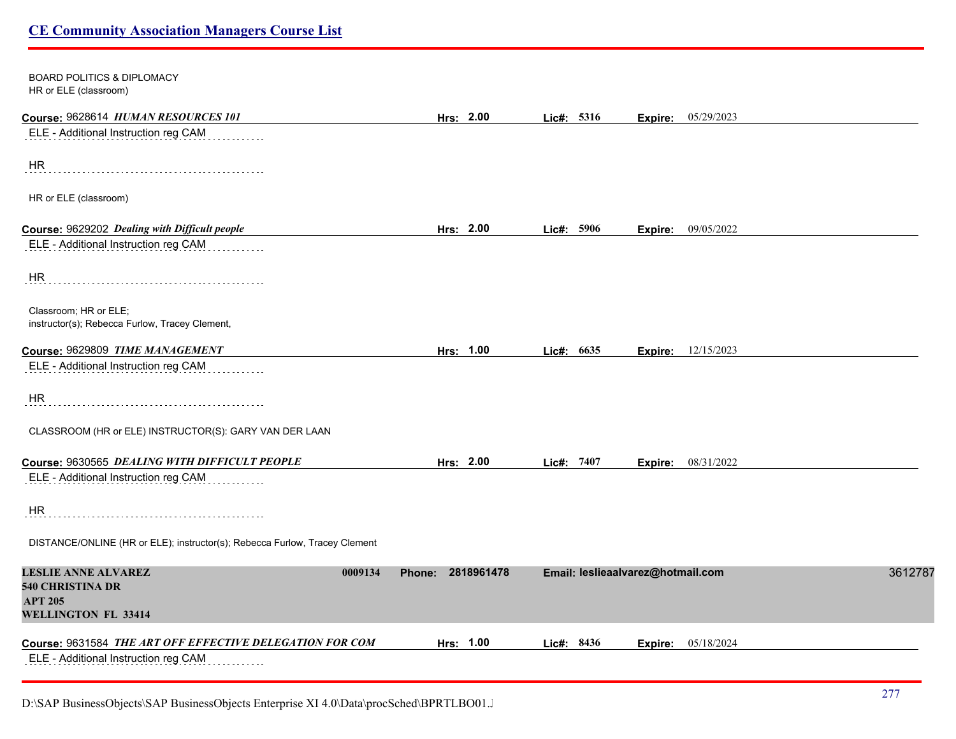| BOARD POLITICS & DIPLOMACY<br>HR or ELE (classroom)                                                       |                             |            |                                   |                           |  |
|-----------------------------------------------------------------------------------------------------------|-----------------------------|------------|-----------------------------------|---------------------------|--|
| Course: 9628614 HUMAN RESOURCES 101                                                                       | Hrs: 2.00                   | Lic#: 5316 |                                   | <b>Expire:</b> 05/29/2023 |  |
| ELE - Additional Instruction reg CAM                                                                      |                             |            |                                   |                           |  |
| HR.                                                                                                       |                             |            |                                   |                           |  |
| HR or ELE (classroom)                                                                                     |                             |            |                                   |                           |  |
| Course: 9629202 Dealing with Difficult people                                                             | Hrs: 2.00                   | Lic#: 5906 |                                   | <b>Expire:</b> 09/05/2022 |  |
| ELE - Additional Instruction reg CAM                                                                      |                             |            |                                   |                           |  |
| HR                                                                                                        |                             |            |                                   |                           |  |
| Classroom; HR or ELE;<br>instructor(s); Rebecca Furlow, Tracey Clement,                                   |                             |            |                                   |                           |  |
| Course: 9629809 TIME MANAGEMENT                                                                           | Hrs: 1.00                   | Lic#: 6635 | Expire:                           | 12/15/2023                |  |
| ELE - Additional Instruction reg CAM                                                                      |                             |            |                                   |                           |  |
| <b>HR</b>                                                                                                 |                             |            |                                   |                           |  |
| CLASSROOM (HR or ELE) INSTRUCTOR(S): GARY VAN DER LAAN                                                    |                             |            |                                   |                           |  |
| Course: 9630565 DEALING WITH DIFFICULT PEOPLE                                                             | Hrs: 2.00                   | Lic#: 7407 |                                   | <b>Expire:</b> 08/31/2022 |  |
| ELE - Additional Instruction reg CAM                                                                      |                             |            |                                   |                           |  |
| HR.                                                                                                       |                             |            |                                   |                           |  |
| DISTANCE/ONLINE (HR or ELE); instructor(s); Rebecca Furlow, Tracey Clement                                |                             |            |                                   |                           |  |
| <b>LESLIE ANNE ALVAREZ</b><br>0009134<br>540 CHRISTINA DR<br><b>APT 205</b><br><b>WELLINGTON FL 33414</b> | 2818961478<br><b>Phone:</b> |            | Email: leslieaalvarez@hotmail.com | 3612787                   |  |
| Course: 9631584 THE ART OFF EFFECTIVE DELEGATION FOR COM                                                  | Hrs: 1.00                   | Lic#: 8436 |                                   | <b>Expire:</b> 05/18/2024 |  |
| ELE - Additional Instruction reg CAM                                                                      |                             |            |                                   |                           |  |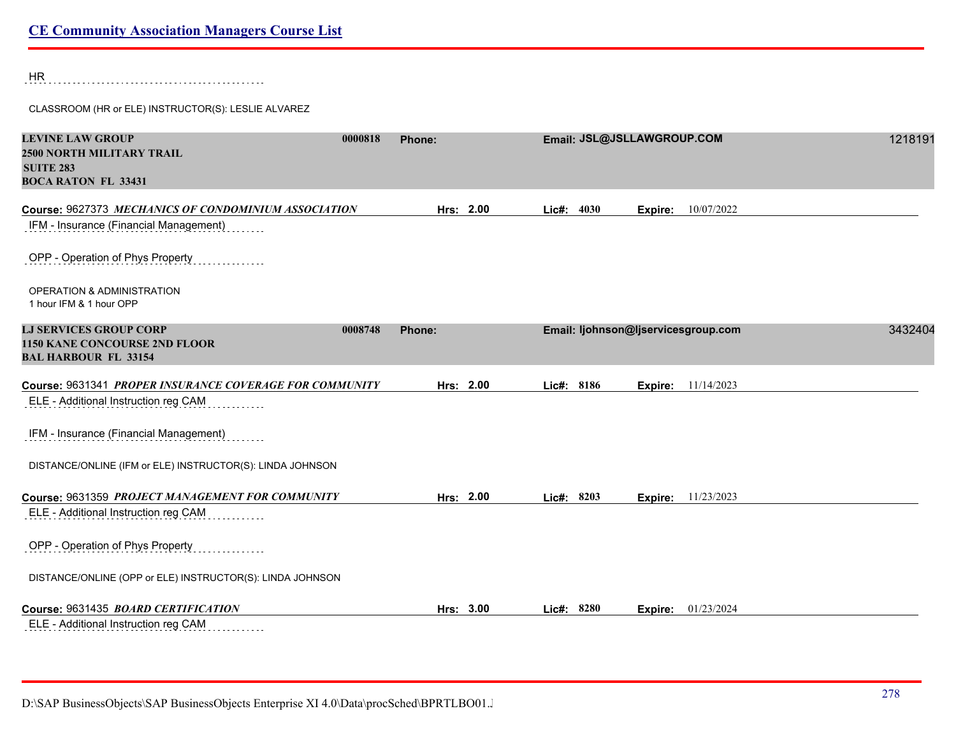HR

CLASSROOM (HR or ELE) INSTRUCTOR(S): LESLIE ALVAREZ

| <b>LEVINE LAW GROUP</b><br><b>2500 NORTH MILITARY TRAIL</b><br><b>SUITE 283</b><br><b>BOCA RATON FL 33431</b> | 0000818 | Phone: |           |            |      | Email: JSL@JSLLAWGROUP.COM          |                           | 1218191 |
|---------------------------------------------------------------------------------------------------------------|---------|--------|-----------|------------|------|-------------------------------------|---------------------------|---------|
| Course: 9627373 MECHANICS OF CONDOMINIUM ASSOCIATION                                                          |         |        | Hrs: 2.00 | Lie#:      | 4030 | Expire:                             | 10/07/2022                |         |
| IFM - Insurance (Financial Management)                                                                        |         |        |           |            |      |                                     |                           |         |
| OPP - Operation of Phys Property                                                                              |         |        |           |            |      |                                     |                           |         |
| <b>OPERATION &amp; ADMINISTRATION</b><br>1 hour IFM & 1 hour OPP                                              |         |        |           |            |      |                                     |                           |         |
| <b>LJ SERVICES GROUP CORP</b>                                                                                 | 0008748 | Phone: |           |            |      | Email: ljohnson@ljservicesgroup.com |                           | 3432404 |
| <b>1150 KANE CONCOURSE 2ND FLOOR</b><br><b>BAL HARBOUR FL 33154</b>                                           |         |        |           |            |      |                                     |                           |         |
| Course: 9631341 PROPER INSURANCE COVERAGE FOR COMMUNITY                                                       |         |        | Hrs: 2.00 | Lic#: 8186 |      | Expire:                             | 11/14/2023                |         |
| ELE - Additional Instruction reg CAM                                                                          |         |        |           |            |      |                                     |                           |         |
| IFM - Insurance (Financial Management)                                                                        |         |        |           |            |      |                                     |                           |         |
| DISTANCE/ONLINE (IFM or ELE) INSTRUCTOR(S): LINDA JOHNSON                                                     |         |        |           |            |      |                                     |                           |         |
| Course: 9631359 PROJECT MANAGEMENT FOR COMMUNITY                                                              |         |        | Hrs: 2.00 | Lic#: 8203 |      |                                     | <b>Expire:</b> 11/23/2023 |         |
| ELE - Additional Instruction reg CAM                                                                          |         |        |           |            |      |                                     |                           |         |
| OPP - Operation of Phys Property                                                                              |         |        |           |            |      |                                     |                           |         |
| DISTANCE/ONLINE (OPP or ELE) INSTRUCTOR(S): LINDA JOHNSON                                                     |         |        |           |            |      |                                     |                           |         |
| Course: 9631435 BOARD CERTIFICATION                                                                           |         |        | Hrs: 3.00 | Lic#:      | 8280 | Expire:                             | 01/23/2024                |         |
| ELE - Additional Instruction reg CAM<br>.                                                                     |         |        |           |            |      |                                     |                           |         |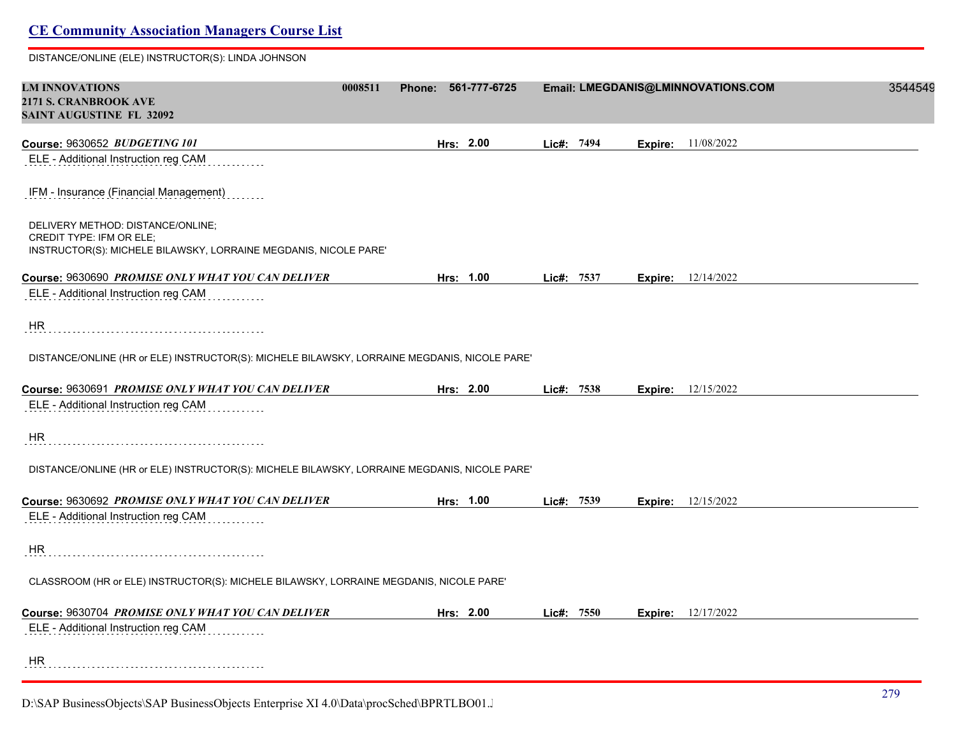DISTANCE/ONLINE (ELE) INSTRUCTOR(S): LINDA JOHNSON

| <b>LM INNOVATIONS</b><br>2171 S. CRANBROOK AVE                                               | 0008511 | Phone: 561-777-6725 |            |         | Email: LMEGDANIS@LMINNOVATIONS.COM | 3544549 |
|----------------------------------------------------------------------------------------------|---------|---------------------|------------|---------|------------------------------------|---------|
| <b>SAINT AUGUSTINE FL 32092</b>                                                              |         |                     |            |         |                                    |         |
| Course: 9630652 BUDGETING 101                                                                |         | Hrs: 2.00           | Lic#: 7494 | Expire: | 11/08/2022                         |         |
| ELE - Additional Instruction reg CAM                                                         |         |                     |            |         |                                    |         |
| IFM - Insurance (Financial Management)                                                       |         |                     |            |         |                                    |         |
| DELIVERY METHOD: DISTANCE/ONLINE;<br>CREDIT TYPE: IFM OR ELE;                                |         |                     |            |         |                                    |         |
| INSTRUCTOR(S): MICHELE BILAWSKY, LORRAINE MEGDANIS, NICOLE PARE'                             |         |                     |            |         |                                    |         |
| Course: 9630690 PROMISE ONLY WHAT YOU CAN DELIVER                                            |         | Hrs: 1.00           | Lic#: 7537 |         | <b>Expire:</b> 12/14/2022          |         |
| ELE - Additional Instruction reg CAM                                                         |         |                     |            |         |                                    |         |
| HR                                                                                           |         |                     |            |         |                                    |         |
| DISTANCE/ONLINE (HR or ELE) INSTRUCTOR(S): MICHELE BILAWSKY, LORRAINE MEGDANIS, NICOLE PARE' |         |                     |            |         |                                    |         |
| Course: 9630691 PROMISE ONLY WHAT YOU CAN DELIVER                                            |         | Hrs: 2.00           | Lic#: 7538 |         | <b>Expire:</b> 12/15/2022          |         |
| ELE - Additional Instruction reg CAM                                                         |         |                     |            |         |                                    |         |
| HR.                                                                                          |         |                     |            |         |                                    |         |
| DISTANCE/ONLINE (HR or ELE) INSTRUCTOR(S): MICHELE BILAWSKY, LORRAINE MEGDANIS, NICOLE PARE' |         |                     |            |         |                                    |         |
| Course: 9630692 PROMISE ONLY WHAT YOU CAN DELIVER                                            |         | Hrs: 1.00           | Lic#: 7539 |         | <b>Expire:</b> 12/15/2022          |         |
| ELE - Additional Instruction reg CAM                                                         |         |                     |            |         |                                    |         |
| HR.                                                                                          |         |                     |            |         |                                    |         |
| CLASSROOM (HR or ELE) INSTRUCTOR(S): MICHELE BILAWSKY, LORRAINE MEGDANIS, NICOLE PARE'       |         |                     |            |         |                                    |         |
| Course: 9630704 PROMISE ONLY WHAT YOU CAN DELIVER                                            |         | Hrs: 2.00           | Lie#: 7550 |         | <b>Expire:</b> 12/17/2022          |         |
| ELE - Additional Instruction reg CAM                                                         |         |                     |            |         |                                    |         |
| <b>HR</b>                                                                                    |         |                     |            |         |                                    |         |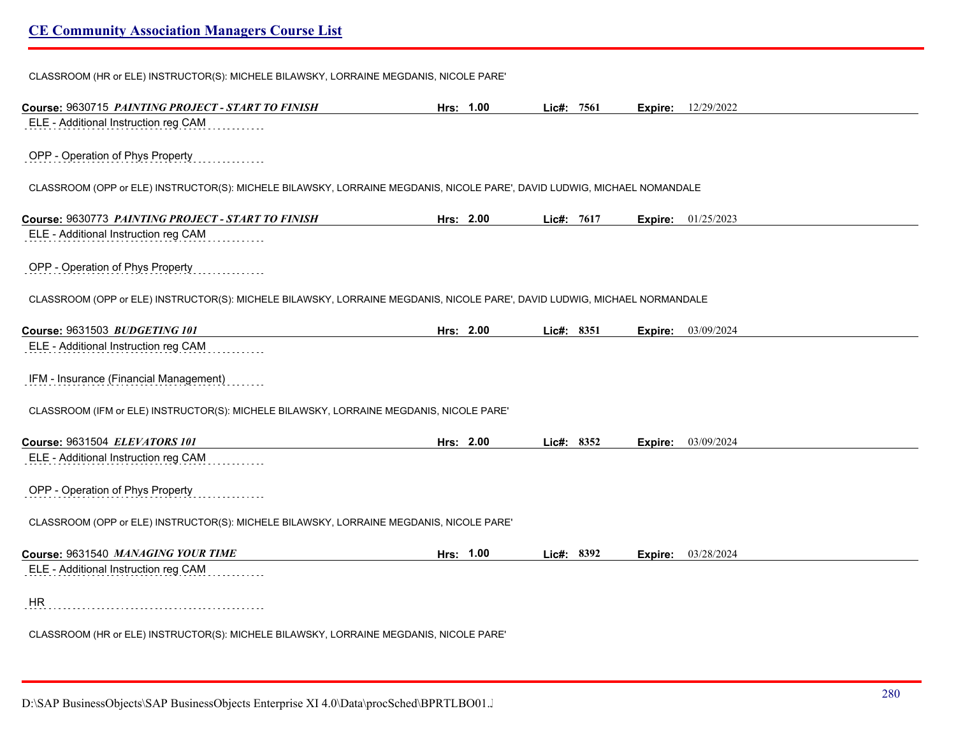CLASSROOM (HR or ELE) INSTRUCTOR(S): MICHELE BILAWSKY, LORRAINE MEGDANIS, NICOLE PARE'

| Course: 9630715 PAINTING PROJECT - START TO FINISH                                                                                | Hrs: 1.00 | Lic#: 7561 |         | <b>Expire:</b> 12/29/2022 |
|-----------------------------------------------------------------------------------------------------------------------------------|-----------|------------|---------|---------------------------|
| ELE - Additional Instruction reg CAM                                                                                              |           |            |         |                           |
| OPP - Operation of Phys Property                                                                                                  |           |            |         |                           |
| CLASSROOM (OPP or ELE) INSTRUCTOR(S): MICHELE BILAWSKY, LORRAINE MEGDANIS, NICOLE PARE', DAVID LUDWIG, MICHAEL NOMANDALE          |           |            |         |                           |
| Course: 9630773 PAINTING PROJECT - START TO FINISH                                                                                | Hrs: 2.00 | Lic#: 7617 | Expire: | 01/25/2023                |
| ELE - Additional Instruction reg CAM                                                                                              |           |            |         |                           |
| OPP - Operation of Phys Property                                                                                                  |           |            |         |                           |
| CLASSROOM (OPP or ELE) INSTRUCTOR(S): MICHELE BILAWSKY, LORRAINE MEGDANIS, NICOLE PARE', DAVID LUDWIG, MICHAEL NORMANDALE         |           |            |         |                           |
| Course: 9631503 BUDGETING 101                                                                                                     | Hrs: 2.00 | Lic#: 8351 | Expire: | 03/09/2024                |
| ELE - Additional Instruction reg CAM                                                                                              |           |            |         |                           |
| IFM - Insurance (Financial Management)<br>CLASSROOM (IFM or ELE) INSTRUCTOR(S): MICHELE BILAWSKY, LORRAINE MEGDANIS, NICOLE PARE' |           |            |         |                           |
| Course: 9631504 ELEVATORS 101                                                                                                     | Hrs: 2.00 | Lic#: 8352 | Expire: | 03/09/2024                |
| ELE - Additional Instruction reg CAM                                                                                              |           |            |         |                           |
| OPP - Operation of Phys Property                                                                                                  |           |            |         |                           |
| CLASSROOM (OPP or ELE) INSTRUCTOR(S): MICHELE BILAWSKY, LORRAINE MEGDANIS, NICOLE PARE'                                           |           |            |         |                           |
| Course: 9631540 MANAGING YOUR TIME                                                                                                | Hrs: 1.00 | Lic#: 8392 | Expire: | 03/28/2024                |
| ELE - Additional Instruction reg CAM                                                                                              |           |            |         |                           |
|                                                                                                                                   |           |            |         |                           |
| HR                                                                                                                                |           |            |         |                           |
| CLASSROOM (HR or ELE) INSTRUCTOR(S): MICHELE BILAWSKY, LORRAINE MEGDANIS, NICOLE PARE'                                            |           |            |         |                           |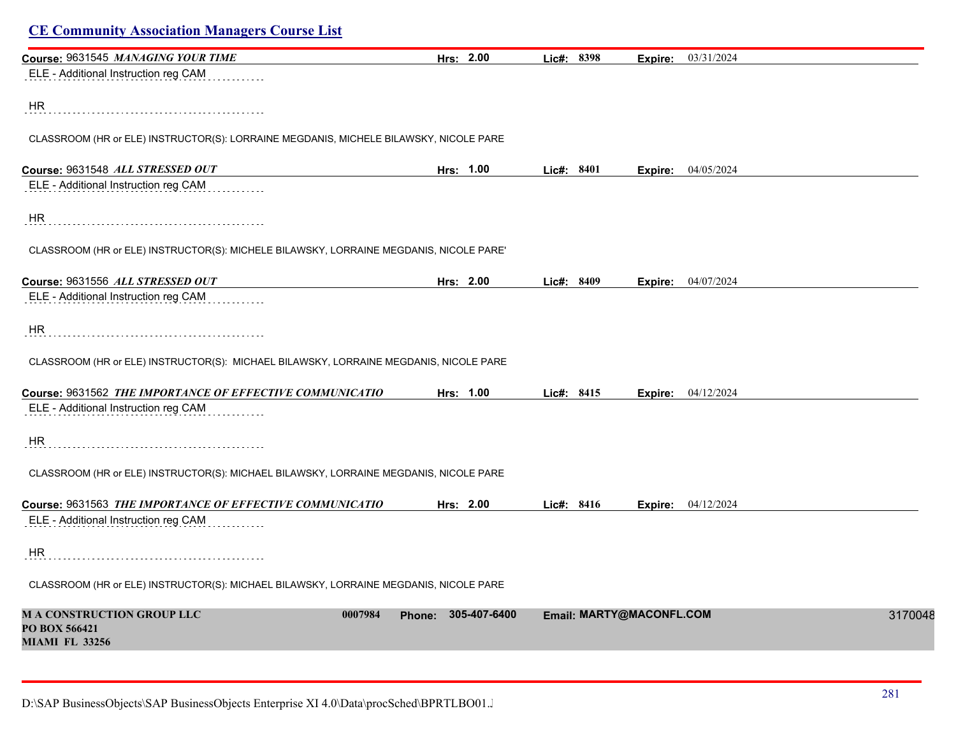| Course: 9631545 MANAGING YOUR TIME                                                     | Hrs: 2.00                     | Lic#: 8398 | Expire:                  | 03/31/2024         |
|----------------------------------------------------------------------------------------|-------------------------------|------------|--------------------------|--------------------|
| ELE - Additional Instruction reg CAM                                                   |                               |            |                          |                    |
| HR                                                                                     |                               |            |                          |                    |
|                                                                                        |                               |            |                          |                    |
| CLASSROOM (HR or ELE) INSTRUCTOR(S): LORRAINE MEGDANIS, MICHELE BILAWSKY, NICOLE PARE  |                               |            |                          |                    |
| Course: 9631548 ALL STRESSED OUT                                                       | Hrs: 1.00                     | Lic#: 8401 | Expire:                  | 04/05/2024         |
| ELE - Additional Instruction reg CAM                                                   |                               |            |                          |                    |
| HR                                                                                     |                               |            |                          |                    |
| CLASSROOM (HR or ELE) INSTRUCTOR(S): MICHELE BILAWSKY, LORRAINE MEGDANIS, NICOLE PARE' |                               |            |                          |                    |
| Course: 9631556 ALL STRESSED OUT                                                       | Hrs: 2.00                     | Lic#: 8409 |                          | Expire: 04/07/2024 |
| ELE - Additional Instruction reg CAM                                                   |                               |            |                          |                    |
| <b>HR</b>                                                                              |                               |            |                          |                    |
| CLASSROOM (HR or ELE) INSTRUCTOR(S): MICHAEL BILAWSKY, LORRAINE MEGDANIS, NICOLE PARE  |                               |            |                          |                    |
| Course: 9631562 THE IMPORTANCE OF EFFECTIVE COMMUNICATIO                               | Hrs: 1.00                     | Lic#: 8415 |                          | Expire: 04/12/2024 |
| ELE - Additional Instruction reg CAM                                                   |                               |            |                          |                    |
| HR.                                                                                    |                               |            |                          |                    |
| CLASSROOM (HR or ELE) INSTRUCTOR(S): MICHAEL BILAWSKY, LORRAINE MEGDANIS, NICOLE PARE  |                               |            |                          |                    |
| Course: 9631563 THE IMPORTANCE OF EFFECTIVE COMMUNICATIO                               | Hrs: 2.00                     | Lic#: 8416 | Expire:                  | 04/12/2024         |
| ELE - Additional Instruction reg CAM                                                   |                               |            |                          |                    |
| HR                                                                                     |                               |            |                          |                    |
| CLASSROOM (HR or ELE) INSTRUCTOR(S): MICHAEL BILAWSKY, LORRAINE MEGDANIS, NICOLE PARE  |                               |            |                          |                    |
| <b>MA CONSTRUCTION GROUP LLC</b><br>0007984<br>PO BOX 566421<br><b>MIAMI FL 33256</b>  | 305-407-6400<br><b>Phone:</b> |            | Email: MARTY@MACONFL.COM | 3170048            |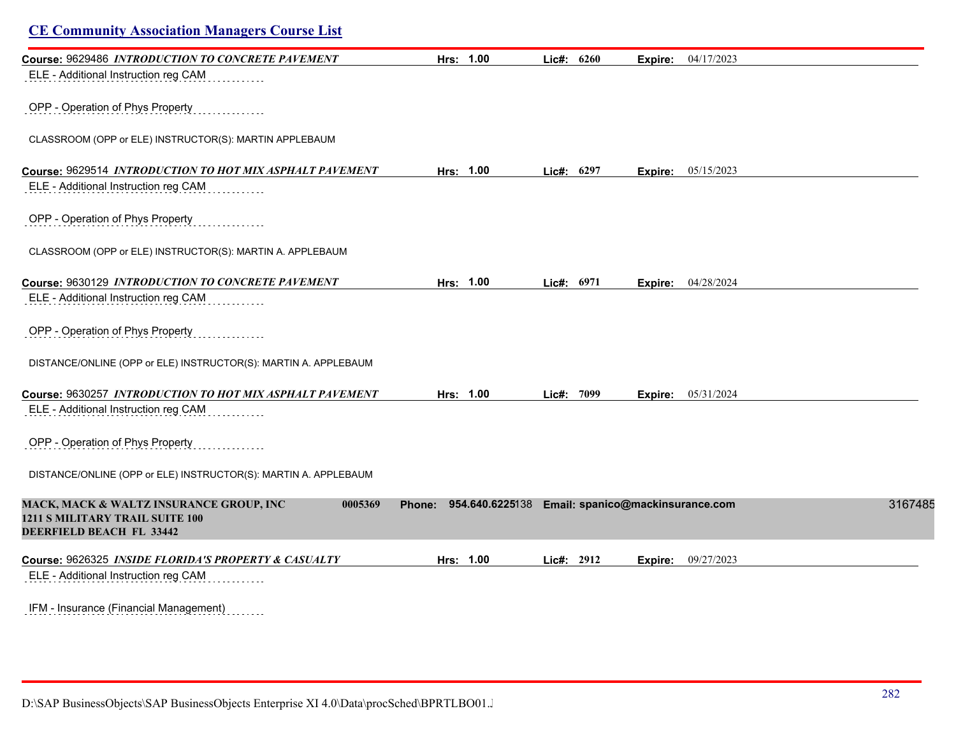| Course: 9629486 INTRODUCTION TO CONCRETE PAVEMENT<br>ELE - Additional Instruction reg CAM                                    | Hrs: 1.00                        | Lic#: $6260$ | Expire: | 04/17/2023                       |         |
|------------------------------------------------------------------------------------------------------------------------------|----------------------------------|--------------|---------|----------------------------------|---------|
|                                                                                                                              |                                  |              |         |                                  |         |
| OPP - Operation of Phys Property                                                                                             |                                  |              |         |                                  |         |
| CLASSROOM (OPP or ELE) INSTRUCTOR(S): MARTIN APPLEBAUM                                                                       |                                  |              |         |                                  |         |
| Course: 9629514 INTRODUCTION TO HOT MIX ASPHALT PAVEMENT                                                                     | Hrs: 1.00                        | Lic#: 6297   | Expire: | 05/15/2023                       |         |
| ELE - Additional Instruction reg CAM                                                                                         |                                  |              |         |                                  |         |
| OPP - Operation of Phys Property                                                                                             |                                  |              |         |                                  |         |
| CLASSROOM (OPP or ELE) INSTRUCTOR(S): MARTIN A. APPLEBAUM                                                                    |                                  |              |         |                                  |         |
| Course: 9630129 INTRODUCTION TO CONCRETE PAVEMENT                                                                            | Hrs: 1.00                        | Lic#: 6971   | Expire: | 04/28/2024                       |         |
| ELE - Additional Instruction reg CAM                                                                                         |                                  |              |         |                                  |         |
| OPP - Operation of Phys Property                                                                                             |                                  |              |         |                                  |         |
| DISTANCE/ONLINE (OPP or ELE) INSTRUCTOR(S): MARTIN A. APPLEBAUM                                                              |                                  |              |         |                                  |         |
| Course: 9630257 INTRODUCTION TO HOT MIX ASPHALT PAVEMENT                                                                     | Hrs: 1.00                        | Lic#: 7099   | Expire: | 05/31/2024                       |         |
| ELE - Additional Instruction reg CAM                                                                                         |                                  |              |         |                                  |         |
| OPP - Operation of Phys Property                                                                                             |                                  |              |         |                                  |         |
| DISTANCE/ONLINE (OPP or ELE) INSTRUCTOR(S): MARTIN A. APPLEBAUM                                                              |                                  |              |         |                                  |         |
| <b>MACK, MACK &amp; WALTZ INSURANCE GROUP, INC</b><br>0005369<br>1211 S MILITARY TRAIL SUITE 100<br>DEERFIELD BEACH FL 33442 | 954.640.6225138<br><b>Phone:</b> |              |         | Email: spanico@mackinsurance.com | 3167485 |
| Course: 9626325 INSIDE FLORIDA'S PROPERTY & CASUALTY                                                                         | Hrs: 1.00                        | Lic#: 2912   | Expire: | 09/27/2023                       |         |
| ELE - Additional Instruction reg CAM                                                                                         |                                  |              |         |                                  |         |
| <b>IFM</b> - Insurance (Financial Management)                                                                                |                                  |              |         |                                  |         |

IFM - Insurance (Financial Management)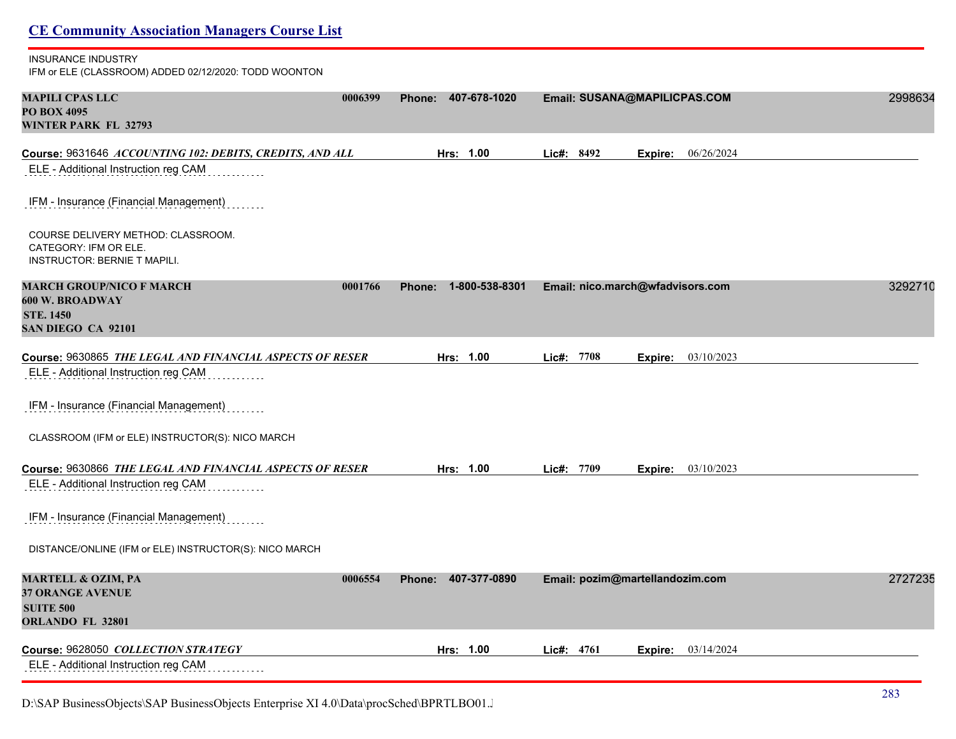| <b>CE Community Association Managers Course List</b>                                                           |                          |                                     |         |
|----------------------------------------------------------------------------------------------------------------|--------------------------|-------------------------------------|---------|
| <b>INSURANCE INDUSTRY</b><br>IFM or ELE (CLASSROOM) ADDED 02/12/2020: TODD WOONTON                             |                          |                                     |         |
| <b>MAPILI CPAS LLC</b><br>0006399<br><b>PO BOX 4095</b><br><b>WINTER PARK FL 32793</b>                         | 407-678-1020<br>Phone:   | Email: SUSANA@MAPILICPAS.COM        | 2998634 |
| Course: 9631646 ACCOUNTING 102: DEBITS, CREDITS, AND ALL                                                       | Hrs: 1.00                | Lic#: 8492<br>06/26/2024<br>Expire: |         |
| ELE - Additional Instruction reg CAM                                                                           |                          |                                     |         |
| IFM - Insurance (Financial Management)                                                                         |                          |                                     |         |
| COURSE DELIVERY METHOD: CLASSROOM.<br>CATEGORY: IFM OR ELE.<br><b>INSTRUCTOR: BERNIE T MAPILI.</b>             |                          |                                     |         |
| <b>MARCH GROUP/NICO F MARCH</b><br>0001766<br><b>600 W. BROADWAY</b><br><b>STE. 1450</b><br>SAN DIEGO CA 92101 | 1-800-538-8301<br>Phone: | Email: nico.march@wfadvisors.com    | 3292710 |
|                                                                                                                |                          |                                     |         |
| Course: 9630865 THE LEGAL AND FINANCIAL ASPECTS OF RESER<br>ELE - Additional Instruction reg CAM               | Hrs: 1.00                | Lic#: 7708<br>03/10/2023<br>Expire: |         |
| IFM - Insurance (Financial Management)                                                                         |                          |                                     |         |
| CLASSROOM (IFM or ELE) INSTRUCTOR(S): NICO MARCH                                                               |                          |                                     |         |
| Course: 9630866 THE LEGAL AND FINANCIAL ASPECTS OF RESER                                                       | Hrs: 1.00                | Lic#: 7709<br>03/10/2023<br>Expire: |         |
| ELE - Additional Instruction reg CAM                                                                           |                          |                                     |         |
| IFM - Insurance (Financial Management)                                                                         |                          |                                     |         |
| DISTANCE/ONLINE (IFM or ELE) INSTRUCTOR(S): NICO MARCH                                                         |                          |                                     |         |
| <b>MARTELL &amp; OZIM, PA</b><br>0006554<br><b>37 ORANGE AVENUE</b><br><b>SUITE 500</b><br>ORLANDO FL 32801    | Phone: 407-377-0890      | Email: pozim@martellandozim.com     | 2727235 |
| Course: 9628050 COLLECTION STRATEGY<br>ELE - Additional Instruction reg CAM                                    | Hrs: 1.00                | Lic#: 4761<br>03/14/2024<br>Expire: |         |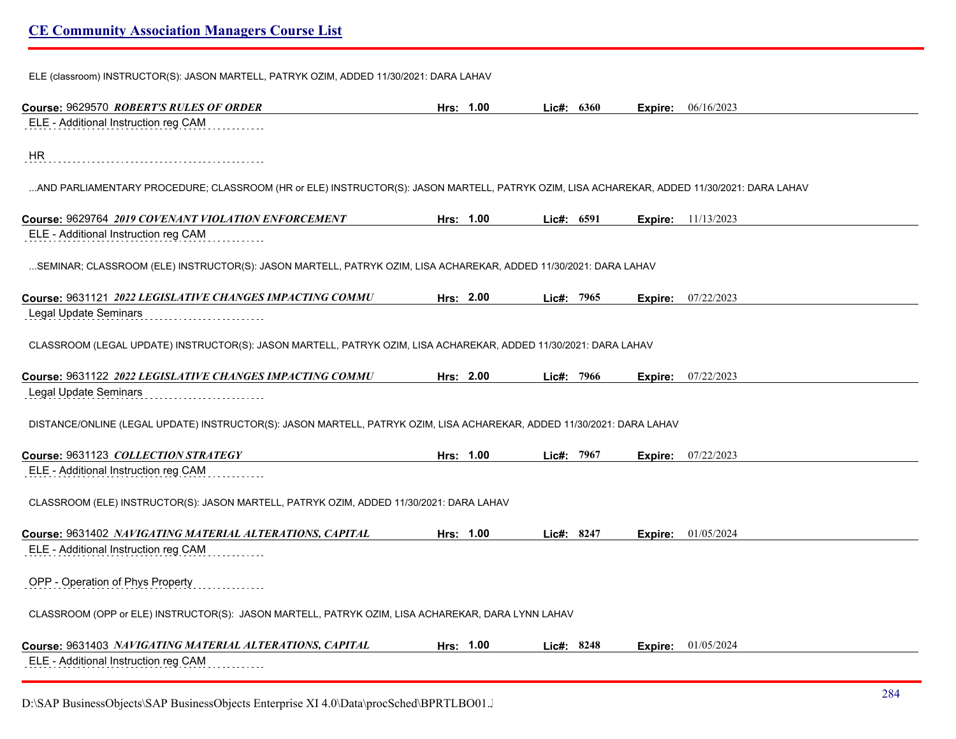ELE (classroom) INSTRUCTOR(S): JASON MARTELL, PATRYK OZIM, ADDED 11/30/2021: DARA LAHAV

| Course: 9629570 ROBERT'S RULES OF ORDER                                                                                                    | Hrs: 1.00 | Lic#: 6360 |         | <b>Expire:</b> 06/16/2023 |
|--------------------------------------------------------------------------------------------------------------------------------------------|-----------|------------|---------|---------------------------|
| ELE - Additional Instruction reg CAM                                                                                                       |           |            |         |                           |
| <b>HR</b>                                                                                                                                  |           |            |         |                           |
| AND PARLIAMENTARY PROCEDURE; CLASSROOM (HR or ELE) INSTRUCTOR(S): JASON MARTELL, PATRYK OZIM, LISA ACHAREKAR, ADDED 11/30/2021: DARA LAHAV |           |            |         |                           |
| Course: 9629764 2019 COVENANT VIOLATION ENFORCEMENT                                                                                        | Hrs: 1.00 | Lic#: 6591 | Expire: | 11/13/2023                |
| ELE - Additional Instruction reg CAM                                                                                                       |           |            |         |                           |
| SEMINAR; CLASSROOM (ELE) INSTRUCTOR(S): JASON MARTELL, PATRYK OZIM, LISA ACHAREKAR, ADDED 11/30/2021: DARA LAHAV                           |           |            |         |                           |
| Course: 9631121 2022 LEGISLATIVE CHANGES IMPACTING COMMU                                                                                   | Hrs: 2.00 | Lic#: 7965 | Expire: | 07/22/2023                |
| Legal Update Seminars                                                                                                                      |           |            |         |                           |
| CLASSROOM (LEGAL UPDATE) INSTRUCTOR(S): JASON MARTELL, PATRYK OZIM, LISA ACHAREKAR, ADDED 11/30/2021: DARA LAHAV                           |           |            |         |                           |
| Course: 9631122 2022 LEGISLATIVE CHANGES IMPACTING COMMU                                                                                   | Hrs: 2.00 | Lic#: 7966 |         | <b>Expire:</b> 07/22/2023 |
| Legal Update Seminars                                                                                                                      |           |            |         |                           |
| DISTANCE/ONLINE (LEGAL UPDATE) INSTRUCTOR(S): JASON MARTELL, PATRYK OZIM, LISA ACHAREKAR, ADDED 11/30/2021: DARA LAHAV                     |           |            |         |                           |
| Course: 9631123 COLLECTION STRATEGY                                                                                                        | Hrs: 1.00 | Lic#: 7967 | Expire: | 07/22/2023                |
| ELE - Additional Instruction reg CAM                                                                                                       |           |            |         |                           |
| CLASSROOM (ELE) INSTRUCTOR(S): JASON MARTELL, PATRYK OZIM, ADDED 11/30/2021: DARA LAHAV                                                    |           |            |         |                           |
| Course: 9631402 NAVIGATING MATERIAL ALTERATIONS, CAPITAL                                                                                   | Hrs: 1.00 | Lic#: 8247 | Expire: | 01/05/2024                |
| ELE - Additional Instruction reg CAM                                                                                                       |           |            |         |                           |
| OPP - Operation of Phys Property                                                                                                           |           |            |         |                           |
| CLASSROOM (OPP or ELE) INSTRUCTOR(S): JASON MARTELL, PATRYK OZIM, LISA ACHAREKAR, DARA LYNN LAHAV                                          |           |            |         |                           |
| Course: 9631403 NAVIGATING MATERIAL ALTERATIONS, CAPITAL                                                                                   | Hrs: 1.00 | Lic#: 8248 | Expire: | 01/05/2024                |
| ELE - Additional Instruction reg CAM                                                                                                       |           |            |         |                           |

D:\SAP BusinessObjects\SAP BusinessObjects Enterprise XI 4.0\Data\procSched\BPRTLBO01.J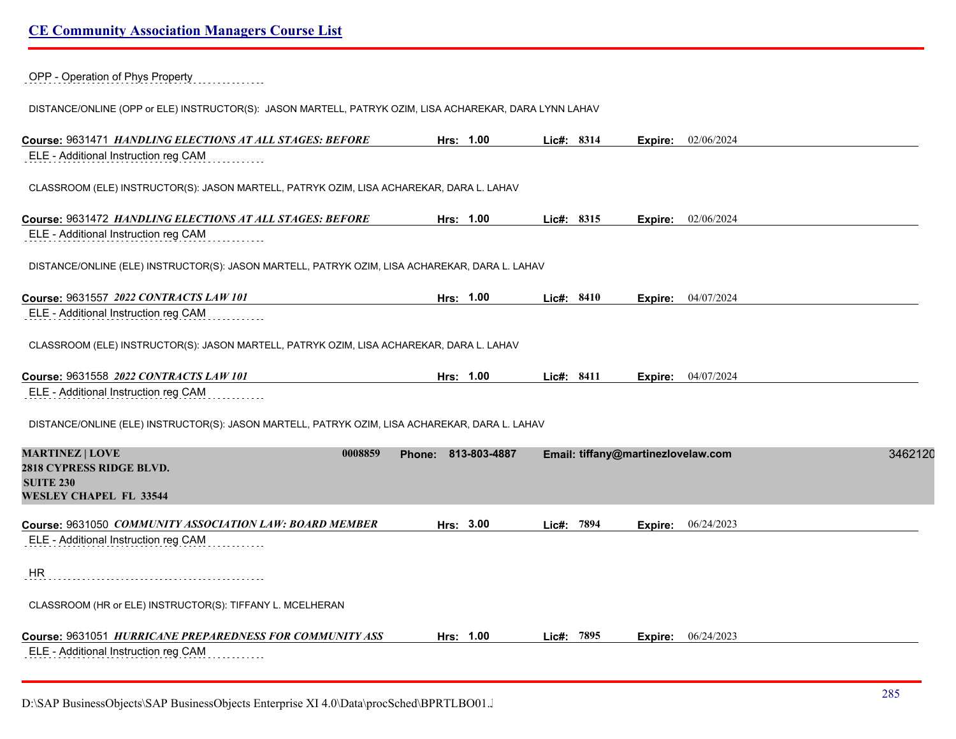OPP - Operation of Phys Property

DISTANCE/ONLINE (OPP or ELE) INSTRUCTOR(S): JASON MARTELL, PATRYK OZIM, LISA ACHAREKAR, DARA LYNN LAHAV

| Course: 9631471 HANDLING ELECTIONS AT ALL STAGES: BEFORE                                       | Hrs: 1.00              | Lic#: 8314 |            |                                    | Expire: 02/06/2024 |         |
|------------------------------------------------------------------------------------------------|------------------------|------------|------------|------------------------------------|--------------------|---------|
| ELE - Additional Instruction reg CAM                                                           |                        |            |            |                                    |                    |         |
| CLASSROOM (ELE) INSTRUCTOR(S): JASON MARTELL, PATRYK OZIM, LISA ACHAREKAR, DARA L. LAHAV       |                        |            |            |                                    |                    |         |
| Course: 9631472 HANDLING ELECTIONS AT ALL STAGES: BEFORE                                       | Hrs: 1.00              | Lic#: 8315 |            | Expire:                            | 02/06/2024         |         |
| ELE - Additional Instruction reg CAM                                                           |                        |            |            |                                    |                    |         |
| DISTANCE/ONLINE (ELE) INSTRUCTOR(S): JASON MARTELL, PATRYK OZIM, LISA ACHAREKAR, DARA L. LAHAV |                        |            |            |                                    |                    |         |
| Course: 9631557 2022 CONTRACTS LAW 101                                                         | Hrs: 1.00              | Lic#: 8410 |            |                                    | Expire: 04/07/2024 |         |
| ELE - Additional Instruction reg CAM                                                           |                        |            |            |                                    |                    |         |
| CLASSROOM (ELE) INSTRUCTOR(S): JASON MARTELL, PATRYK OZIM, LISA ACHAREKAR, DARA L. LAHAV       |                        |            |            |                                    |                    |         |
| Course: 9631558 2022 CONTRACTS LAW 101                                                         | Hrs: 1.00              |            | Lic#: 8411 | Expire:                            | 04/07/2024         |         |
|                                                                                                |                        |            |            |                                    |                    |         |
| ELE - Additional Instruction reg CAM                                                           |                        |            |            |                                    |                    |         |
| DISTANCE/ONLINE (ELE) INSTRUCTOR(S): JASON MARTELL, PATRYK OZIM, LISA ACHAREKAR, DARA L. LAHAV |                        |            |            |                                    |                    |         |
| <b>MARTINEZ   LOVE</b><br>0008859                                                              | 813-803-4887<br>Phone: |            |            | Email: tiffany@martinezlovelaw.com |                    | 3462120 |
| 2818 CYPRESS RIDGE BLVD.<br><b>SUITE 230</b><br><b>WESLEY CHAPEL FL 33544</b>                  |                        |            |            |                                    |                    |         |
| Course: 9631050 COMMUNITY ASSOCIATION LAW: BOARD MEMBER                                        | Hrs: 3.00              | Lic#: 7894 |            | Expire:                            | 06/24/2023         |         |
| ELE - Additional Instruction reg CAM                                                           |                        |            |            |                                    |                    |         |
| <b>HR</b>                                                                                      |                        |            |            |                                    |                    |         |
| CLASSROOM (HR or ELE) INSTRUCTOR(S): TIFFANY L. MCELHERAN                                      |                        |            |            |                                    |                    |         |
| Course: 9631051 HURRICANE PREPAREDNESS FOR COMMUNITY ASS                                       | Hrs: 1.00              | Lic#: 7895 |            | Expire:                            | 06/24/2023         |         |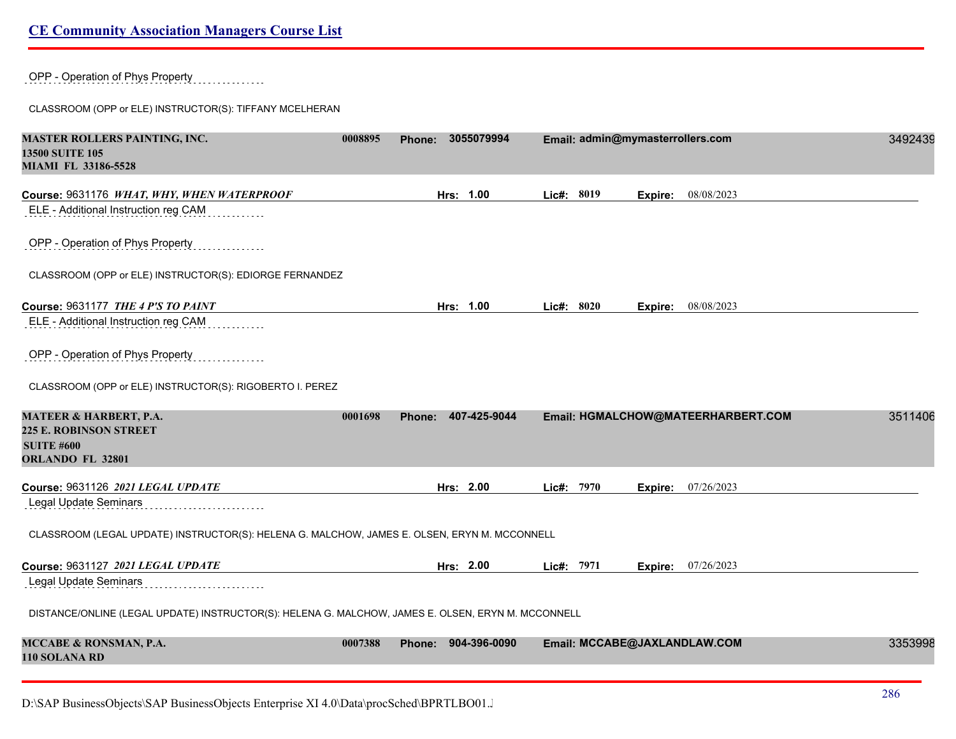OPP - Operation of Phys Property

CLASSROOM (OPP or ELE) INSTRUCTOR(S): TIFFANY MCELHERAN

| <b>MASTER ROLLERS PAINTING, INC.</b><br><b>13500 SUITE 105</b><br><b>MIAMI FL 33186-5528</b>            | 0008895 | 3055079994<br><b>Phone:</b>   |            | Email: admin@mymasterrollers.com   | 3492439 |
|---------------------------------------------------------------------------------------------------------|---------|-------------------------------|------------|------------------------------------|---------|
| Course: 9631176 WHAT, WHY, WHEN WATERPROOF<br>ELE - Additional Instruction reg CAM                      |         | Hrs: 1.00                     | Lic#: 8019 | 08/08/2023<br>Expire:              |         |
| OPP - Operation of Phys Property                                                                        |         |                               |            |                                    |         |
| CLASSROOM (OPP or ELE) INSTRUCTOR(S): EDIORGE FERNANDEZ                                                 |         |                               |            |                                    |         |
| Course: 9631177 THE 4 P'S TO PAINT                                                                      |         | Hrs: 1.00                     | Lic#: 8020 | 08/08/2023<br>Expire:              |         |
| ELE - Additional Instruction reg CAM                                                                    |         |                               |            |                                    |         |
| OPP - Operation of Phys Property                                                                        |         |                               |            |                                    |         |
| CLASSROOM (OPP or ELE) INSTRUCTOR(S): RIGOBERTO I. PEREZ                                                |         |                               |            |                                    |         |
| MATEER & HARBERT, P.A.<br><b>225 E. ROBINSON STREET</b><br><b>SUITE #600</b><br><b>ORLANDO FL 32801</b> | 0001698 | Phone: 407-425-9044           |            | Email: HGMALCHOW@MATEERHARBERT.COM | 3511406 |
| Course: 9631126 2021 LEGAL UPDATE                                                                       |         | Hrs: 2.00                     | Lic#: 7970 | 07/26/2023<br>Expire:              |         |
| Legal Update Seminars                                                                                   |         |                               |            |                                    |         |
| CLASSROOM (LEGAL UPDATE) INSTRUCTOR(S): HELENA G. MALCHOW, JAMES E. OLSEN, ERYN M. MCCONNELL            |         |                               |            |                                    |         |
| Course: 9631127 2021 LEGAL UPDATE                                                                       |         | Hrs: 2.00                     | Lic#: 7971 | <b>Expire:</b> 07/26/2023          |         |
| Legal Update Seminars                                                                                   |         |                               |            |                                    |         |
| DISTANCE/ONLINE (LEGAL UPDATE) INSTRUCTOR(S): HELENA G. MALCHOW, JAMES E. OLSEN, ERYN M. MCCONNELL      |         |                               |            |                                    |         |
| MCCABE & RONSMAN, P.A.<br>110 SOLANA RD                                                                 | 0007388 | 904-396-0090<br><b>Phone:</b> |            | Email: MCCABE@JAXLANDLAW.COM       | 3353998 |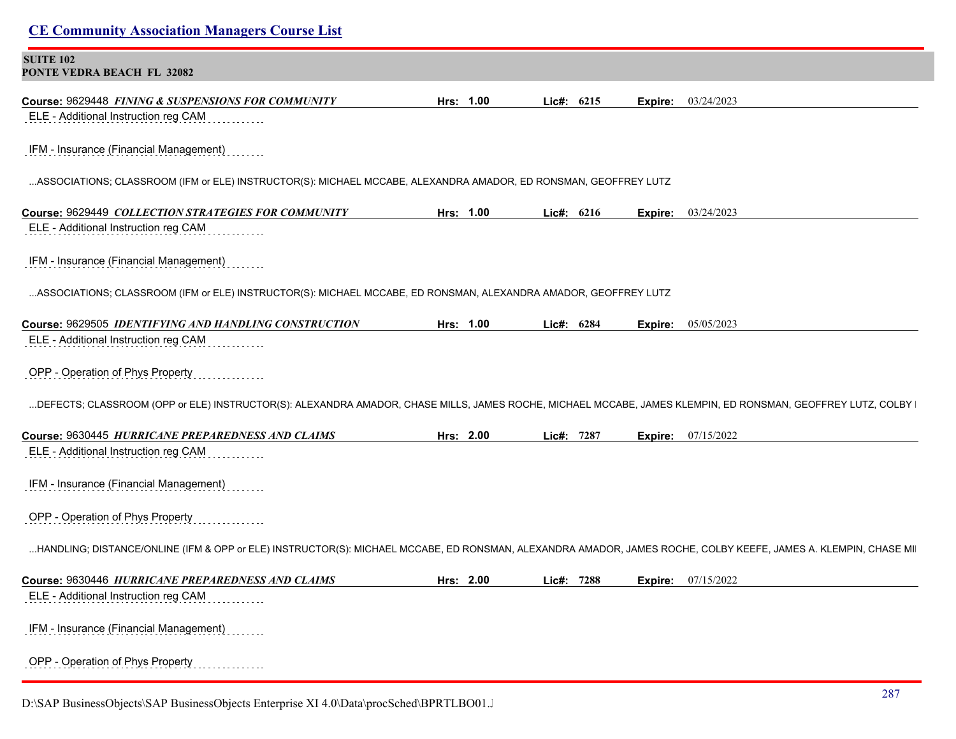| <b>SUITE 102</b><br>PONTE VEDRA BEACH FL 32082                                                                                                                 |           |            |         |                           |
|----------------------------------------------------------------------------------------------------------------------------------------------------------------|-----------|------------|---------|---------------------------|
| Course: 9629448 FINING & SUSPENSIONS FOR COMMUNITY                                                                                                             | Hrs: 1.00 | Lic#: 6215 | Expire: | 03/24/2023                |
| ELE - Additional Instruction reg CAM                                                                                                                           |           |            |         |                           |
| IFM - Insurance (Financial Management)                                                                                                                         |           |            |         |                           |
| ASSOCIATIONS; CLASSROOM (IFM or ELE) INSTRUCTOR(S): MICHAEL MCCABE, ALEXANDRA AMADOR, ED RONSMAN, GEOFFREY LUTZ                                                |           |            |         |                           |
| Course: 9629449 COLLECTION STRATEGIES FOR COMMUNITY                                                                                                            | Hrs: 1.00 | Lic#: 6216 | Expire: | 03/24/2023                |
| ELE - Additional Instruction reg CAM                                                                                                                           |           |            |         |                           |
| IFM - Insurance (Financial Management)                                                                                                                         |           |            |         |                           |
| ASSOCIATIONS; CLASSROOM (IFM or ELE) INSTRUCTOR(S): MICHAEL MCCABE, ED RONSMAN, ALEXANDRA AMADOR, GEOFFREY LUTZ                                                |           |            |         |                           |
| Course: 9629505 IDENTIFYING AND HANDLING CONSTRUCTION                                                                                                          | Hrs: 1.00 | Lic#: 6284 |         | <b>Expire:</b> 05/05/2023 |
| ELE - Additional Instruction reg CAM                                                                                                                           |           |            |         |                           |
| OPP - Operation of Phys Property                                                                                                                               |           |            |         |                           |
| DEFECTS; CLASSROOM (OPP or ELE) INSTRUCTOR(S): ALEXANDRA AMADOR, CHASE MILLS, JAMES ROCHE, MICHAEL MCCABE, JAMES KLEMPIN, ED RONSMAN, GEOFFREY LUTZ, COLBY     |           |            |         |                           |
| Course: 9630445 HURRICANE PREPAREDNESS AND CLAIMS                                                                                                              | Hrs: 2.00 | Lic#: 7287 | Expire: | 07/15/2022                |
| ELE - Additional Instruction reg CAM                                                                                                                           |           |            |         |                           |
| IFM - Insurance (Financial Management)                                                                                                                         |           |            |         |                           |
| OPP - Operation of Phys Property                                                                                                                               |           |            |         |                           |
| HANDLING; DISTANCE/ONLINE (IFM & OPP or ELE) INSTRUCTOR(S): MICHAEL MCCABE, ED RONSMAN, ALEXANDRA AMADOR, JAMES ROCHE, COLBY KEEFE, JAMES A. KLEMPIN, CHASE MI |           |            |         |                           |
| Course: 9630446 HURRICANE PREPAREDNESS AND CLAIMS                                                                                                              | Hrs: 2.00 | Lic#: 7288 | Expire: | 07/15/2022                |
| ELE - Additional Instruction reg CAM                                                                                                                           |           |            |         |                           |
| IFM - Insurance (Financial Management)                                                                                                                         |           |            |         |                           |
|                                                                                                                                                                |           |            |         |                           |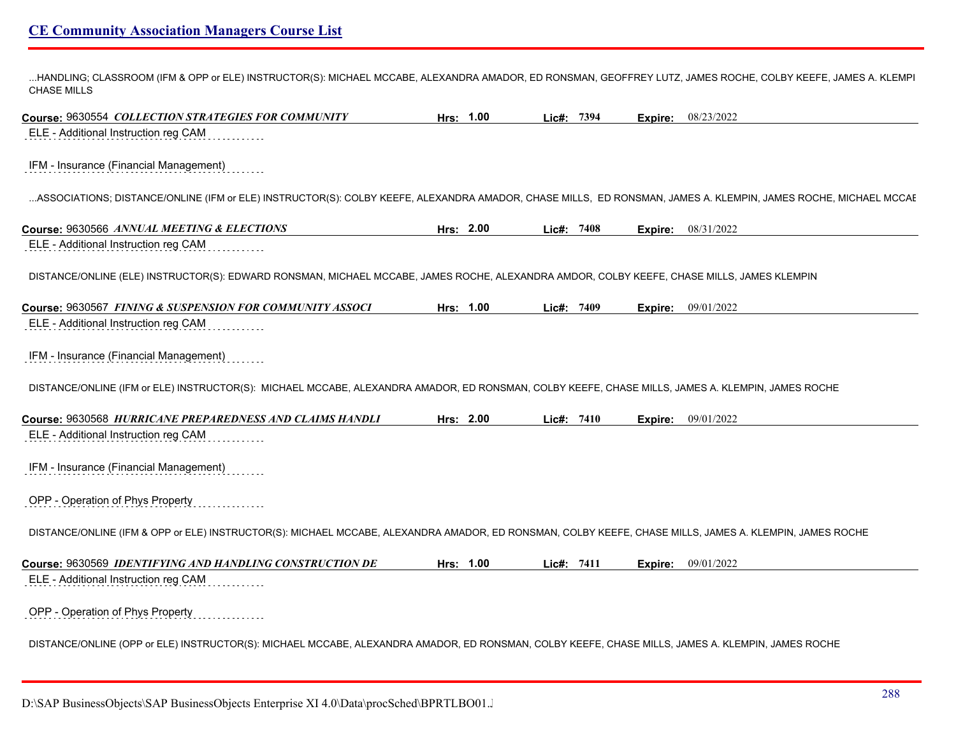...HANDLING; CLASSROOM (IFM & OPP or ELE) INSTRUCTOR(S): MICHAEL MCCABE, ALEXANDRA AMADOR, ED RONSMAN, GEOFFREY LUTZ, JAMES ROCHE, COLBY KEEFE, JAMES A. KLEMPIN, CHASE MILLS

**Course:** 9630554 *COLLECTION STRATEGIES FOR COMMUNITY* **Hrs: 1.00 Lic#: 7394 Expire:** 08/23/2022 ELE - Additional Instruction reg CAM IFM - Insurance (Financial Management) ...ASSOCIATIONS; DISTANCE/ONLINE (IFM or ELE) INSTRUCTOR(S): COLBY KEEFE, ALEXANDRA AMADOR, CHASE MILLS, ED RONSMAN, JAMES A. KLEMPIN, JAMES ROCHE, MICHAEL MCCAE **Course:** 9630566 *ANNUAL MEETING & ELECTIONS* **Hrs: 2.00 Lic#: 7408 Expire:** 08/31/2022 ELE - Additional Instruction reg CAM DISTANCE/ONLINE (ELE) INSTRUCTOR(S): EDWARD RONSMAN, MICHAEL MCCABE, JAMES ROCHE, ALEXANDRA AMDOR, COLBY KEEFE, CHASE MILLS, JAMES KLEMPIN **Course:** 9630567 *FINING & SUSPENSION FOR COMMUNITY ASSOCI* **Hrs: 1.00 Lic#: 7409 Expire:** 09/01/2022 ELE - Additional Instruction reg CAM IFM - Insurance (Financial Management) DISTANCE/ONLINE (IFM or ELE) INSTRUCTOR(S): MICHAEL MCCABE, ALEXANDRA AMADOR, ED RONSMAN, COLBY KEEFE, CHASE MILLS, JAMES A. KLEMPIN, JAMES ROCHE **Course:** 9630568 *HURRICANE PREPAREDNESS AND CLAIMS HANDLI* **Hrs: 2.00 Lic#: 7410 Expire:** 09/01/2022 ELE - Additional Instruction reg CAM IFM - Insurance (Financial Management) OPP - Operation of Phys Property DISTANCE/ONLINE (IFM & OPP or ELE) INSTRUCTOR(S): MICHAEL MCCABE, ALEXANDRA AMADOR, ED RONSMAN, COLBY KEEFE, CHASE MILLS, JAMES A. KLEMPIN, JAMES ROCHE **Course:** 9630569 *IDENTIFYING AND HANDLING CONSTRUCTION DE* **Hrs: 1.00 Lic#: 7411 Expire:** 09/01/2022 ELE - Additional Instruction reg CAM OPP - Operation of Phys Property DISTANCE/ONLINE (OPP or ELE) INSTRUCTOR(S): MICHAEL MCCABE, ALEXANDRA AMADOR, ED RONSMAN, COLBY KEEFE, CHASE MILLS, JAMES A. KLEMPIN, JAMES ROCHE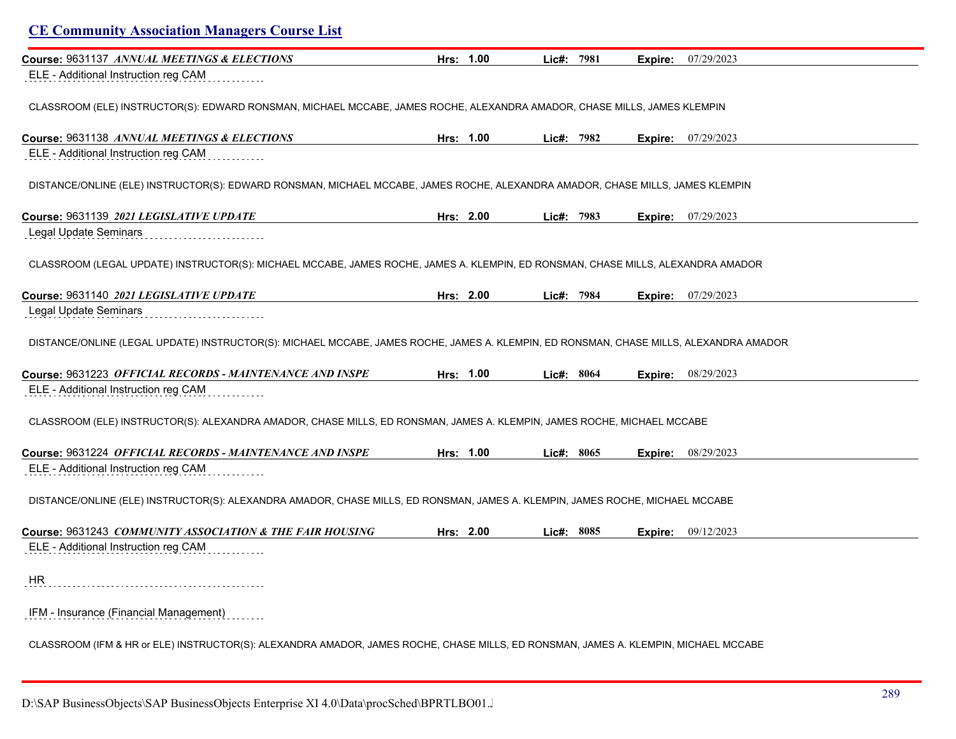| Course: 9631137 ANNUAL MEETINGS & ELECTIONS                                                                                            | Hrs: 1.00 | Lic#: 7981 | Expire: | 07/29/2023 |
|----------------------------------------------------------------------------------------------------------------------------------------|-----------|------------|---------|------------|
| ELE - Additional Instruction reg CAM                                                                                                   |           |            |         |            |
| CLASSROOM (ELE) INSTRUCTOR(S): EDWARD RONSMAN, MICHAEL MCCABE, JAMES ROCHE, ALEXANDRA AMADOR, CHASE MILLS, JAMES KLEMPIN               |           |            |         |            |
| Course: 9631138 ANNUAL MEETINGS & ELECTIONS                                                                                            | Hrs: 1.00 | Lic#: 7982 | Expire: | 07/29/2023 |
| ELE - Additional Instruction reg CAM                                                                                                   |           |            |         |            |
| DISTANCE/ONLINE (ELE) INSTRUCTOR(S): EDWARD RONSMAN, MICHAEL MCCABE, JAMES ROCHE, ALEXANDRA AMADOR, CHASE MILLS, JAMES KLEMPIN         |           |            |         |            |
| Course: 9631139 2021 LEGISLATIVE UPDATE                                                                                                | Hrs: 2.00 | Lic#: 7983 | Expire: | 07/29/2023 |
| Legal Update Seminars                                                                                                                  |           |            |         |            |
| CLASSROOM (LEGAL UPDATE) INSTRUCTOR(S): MICHAEL MCCABE, JAMES ROCHE, JAMES A. KLEMPIN, ED RONSMAN, CHASE MILLS, ALEXANDRA AMADOR       |           |            |         |            |
| Course: 9631140 2021 LEGISLATIVE UPDATE                                                                                                | Hrs: 2.00 | Lic#: 7984 | Expire: | 07/29/2023 |
| Legal Update Seminars                                                                                                                  |           |            |         |            |
| DISTANCE/ONLINE (LEGAL UPDATE) INSTRUCTOR(S): MICHAEL MCCABE, JAMES ROCHE, JAMES A. KLEMPIN, ED RONSMAN, CHASE MILLS, ALEXANDRA AMADOR |           |            |         |            |
| Course: 9631223 OFFICIAL RECORDS - MAINTENANCE AND INSPE                                                                               | Hrs: 1.00 | Lic#: 8064 | Expire: | 08/29/2023 |
| ELE - Additional Instruction reg CAM                                                                                                   |           |            |         |            |
| CLASSROOM (ELE) INSTRUCTOR(S): ALEXANDRA AMADOR, CHASE MILLS, ED RONSMAN, JAMES A. KLEMPIN, JAMES ROCHE, MICHAEL MCCABE                |           |            |         |            |
| Course: 9631224 OFFICIAL RECORDS - MAINTENANCE AND INSPE                                                                               | Hrs: 1.00 | Lic#: 8065 | Expire: | 08/29/2023 |
| ELE - Additional Instruction reg CAM                                                                                                   |           |            |         |            |
| DISTANCE/ONLINE (ELE) INSTRUCTOR(S): ALEXANDRA AMADOR, CHASE MILLS, ED RONSMAN, JAMES A. KLEMPIN, JAMES ROCHE, MICHAEL MCCABE          |           |            |         |            |
| Course: 9631243 COMMUNITY ASSOCIATION & THE FAIR HOUSING                                                                               | Hrs: 2.00 | Lic#: 8085 | Expire: | 09/12/2023 |
| ELE - Additional Instruction reg CAM                                                                                                   |           |            |         |            |
|                                                                                                                                        |           |            |         |            |
| HR                                                                                                                                     |           |            |         |            |
| IFM - Insurance (Financial Management)                                                                                                 |           |            |         |            |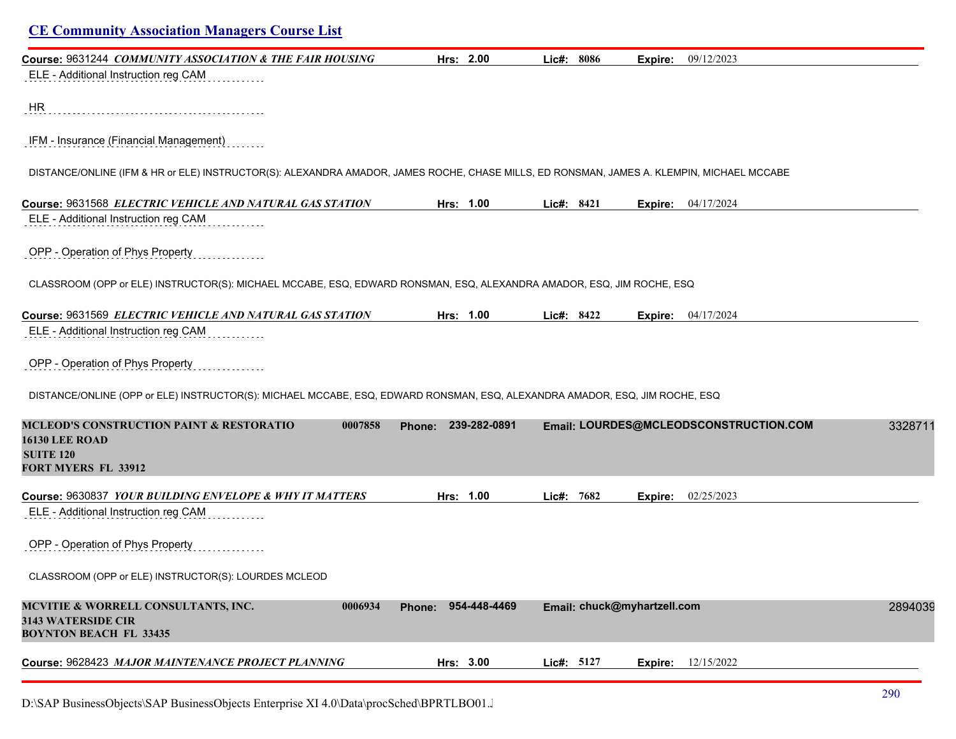| <b>CE Community Association Managers Course List</b>                                                                                      |                     |                             |                                        |         |
|-------------------------------------------------------------------------------------------------------------------------------------------|---------------------|-----------------------------|----------------------------------------|---------|
| Course: 9631244 COMMUNITY ASSOCIATION & THE FAIR HOUSING<br>ELE - Additional Instruction reg CAM                                          | Hrs: 2.00           | Lic#: 8086                  | 09/12/2023<br>Expire:                  |         |
| HR                                                                                                                                        |                     |                             |                                        |         |
| IFM - Insurance (Financial Management)                                                                                                    |                     |                             |                                        |         |
| DISTANCE/ONLINE (IFM & HR or ELE) INSTRUCTOR(S): ALEXANDRA AMADOR, JAMES ROCHE, CHASE MILLS, ED RONSMAN, JAMES A. KLEMPIN, MICHAEL MCCABE |                     |                             |                                        |         |
| Course: 9631568 ELECTRIC VEHICLE AND NATURAL GAS STATION<br>ELE - Additional Instruction reg CAM                                          | Hrs: 1.00           | Lic#: 8421                  | 04/17/2024<br>Expire:                  |         |
| OPP - Operation of Phys Property                                                                                                          |                     |                             |                                        |         |
| CLASSROOM (OPP or ELE) INSTRUCTOR(S): MICHAEL MCCABE, ESQ, EDWARD RONSMAN, ESQ, ALEXANDRA AMADOR, ESQ, JIM ROCHE, ESQ                     |                     |                             |                                        |         |
| Course: 9631569 ELECTRIC VEHICLE AND NATURAL GAS STATION<br>ELE - Additional Instruction reg CAM                                          | Hrs: 1.00           | Lic#: 8422                  | 04/17/2024<br>Expire:                  |         |
|                                                                                                                                           |                     |                             |                                        |         |
| OPP - Operation of Phys Property                                                                                                          |                     |                             |                                        |         |
| DISTANCE/ONLINE (OPP or ELE) INSTRUCTOR(S): MICHAEL MCCABE, ESQ, EDWARD RONSMAN, ESQ, ALEXANDRA AMADOR, ESQ, JIM ROCHE, ESQ               |                     |                             |                                        |         |
| <b>MCLEOD'S CONSTRUCTION PAINT &amp; RESTORATIO</b><br>0007858<br><b>16130 LEE ROAD</b><br><b>SUITE 120</b><br><b>FORT MYERS FL 33912</b> | Phone: 239-282-0891 |                             | Email: LOURDES@MCLEODSCONSTRUCTION.COM | 3328711 |
| Course: 9630837 YOUR BUILDING ENVELOPE & WHY IT MATTERS                                                                                   | Hrs: 1.00           | Lic#: 7682                  | 02/25/2023<br>Expire:                  |         |
| ELE - Additional Instruction reg CAM                                                                                                      |                     |                             |                                        |         |
| OPP - Operation of Phys Property                                                                                                          |                     |                             |                                        |         |
| CLASSROOM (OPP or ELE) INSTRUCTOR(S): LOURDES MCLEOD                                                                                      |                     |                             |                                        |         |
| MCVITIE & WORRELL CONSULTANTS, INC.<br>0006934<br>3143 WATERSIDE CIR<br><b>BOYNTON BEACH FL 33435</b>                                     | Phone: 954-448-4469 | Email: chuck@myhartzell.com |                                        | 2894039 |
| Course: 9628423 MAJOR MAINTENANCE PROJECT PLANNING                                                                                        | Hrs: 3.00           | Lic#: 5127                  | 12/15/2022<br>Expire:                  |         |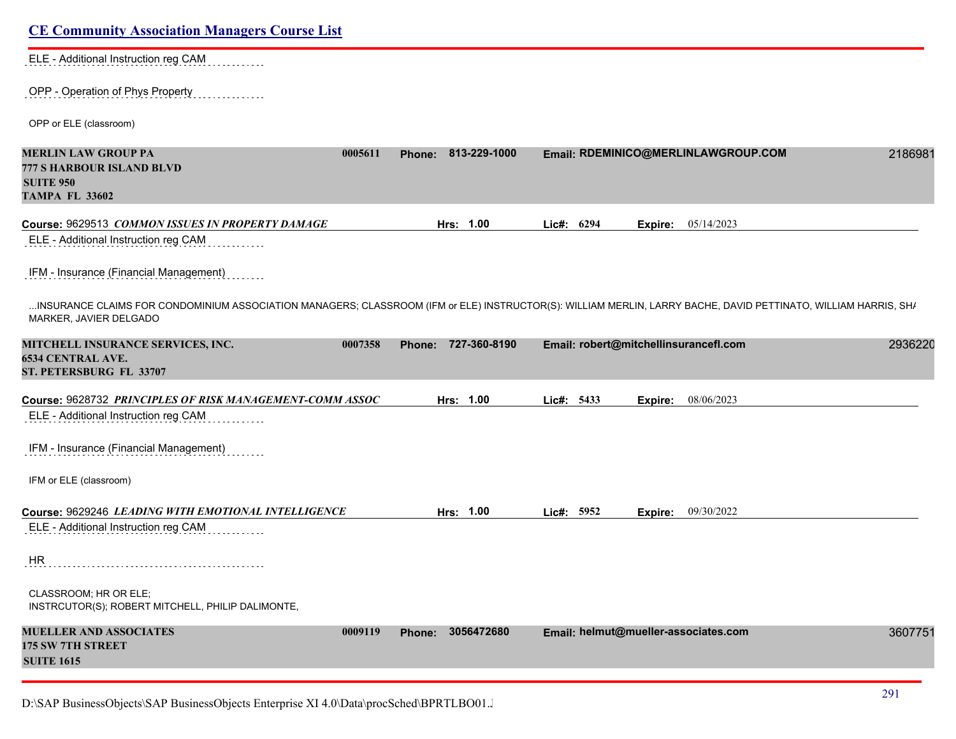| ELE - Additional Instruction reg CAM |  |  |  |  |  |  |  |  |  |  |  |  |  |  |  |  |  |  |  |  |  |  |  |  |
|--------------------------------------|--|--|--|--|--|--|--|--|--|--|--|--|--|--|--|--|--|--|--|--|--|--|--|--|
|                                      |  |  |  |  |  |  |  |  |  |  |  |  |  |  |  |  |  |  |  |  |  |  |  |  |

#### OPP - Operation of Phys Property . . . . . . . . . . . .

OPP or ELE (classroom)

| <b>MERLIN LAW GROUP PA</b><br><b>777 S HARBOUR ISLAND BLVD</b><br><b>SUITE 950</b><br><b>TAMPA FL 33602</b>                                                                              | 0005611 |               | Phone: 813-229-1000 |            |         | Email: RDEMINICO@MERLINLAWGROUP.COM   | 2186981 |
|------------------------------------------------------------------------------------------------------------------------------------------------------------------------------------------|---------|---------------|---------------------|------------|---------|---------------------------------------|---------|
| Course: 9629513 COMMON ISSUES IN PROPERTY DAMAGE                                                                                                                                         |         |               | Hrs: 1.00           | Lic#: 6294 | Expire: | 05/14/2023                            |         |
| ELE - Additional Instruction reg CAM                                                                                                                                                     |         |               |                     |            |         |                                       |         |
| IFM - Insurance (Financial Management)                                                                                                                                                   |         |               |                     |            |         |                                       |         |
| INSURANCE CLAIMS FOR CONDOMINIUM ASSOCIATION MANAGERS; CLASSROOM (IFM or ELE) INSTRUCTOR(S): WILLIAM MERLIN, LARRY BACHE, DAVID PETTINATO, WILLIAM HARRIS, SH/<br>MARKER, JAVIER DELGADO |         |               |                     |            |         |                                       |         |
| <b>MITCHELL INSURANCE SERVICES, INC.</b>                                                                                                                                                 | 0007358 |               | Phone: 727-360-8190 |            |         | Email: robert@mitchellinsurancefl.com | 2936220 |
| <b>6534 CENTRAL AVE.</b><br>ST. PETERSBURG FL 33707                                                                                                                                      |         |               |                     |            |         |                                       |         |
| Course: 9628732 PRINCIPLES OF RISK MANAGEMENT-COMM ASSOC                                                                                                                                 |         |               | Hrs: 1.00           | Lic#: 5433 | Expire: | 08/06/2023                            |         |
| ELE - Additional Instruction reg CAM                                                                                                                                                     |         |               |                     |            |         |                                       |         |
| IFM - Insurance (Financial Management)                                                                                                                                                   |         |               |                     |            |         |                                       |         |
| IFM or ELE (classroom)                                                                                                                                                                   |         |               |                     |            |         |                                       |         |
| Course: 9629246 LEADING WITH EMOTIONAL INTELLIGENCE                                                                                                                                      |         |               | Hrs: 1.00           | Lic#: 5952 | Expire: | 09/30/2022                            |         |
| ELE - Additional Instruction reg CAM                                                                                                                                                     |         |               |                     |            |         |                                       |         |
| <b>HR</b>                                                                                                                                                                                |         |               |                     |            |         |                                       |         |
| CLASSROOM; HR OR ELE;<br>INSTRCUTOR(S); ROBERT MITCHELL, PHILIP DALIMONTE,                                                                                                               |         |               |                     |            |         |                                       |         |
| <b>MUELLER AND ASSOCIATES</b><br><b>175 SW 7TH STREET</b>                                                                                                                                | 0009119 | <b>Phone:</b> | 3056472680          |            |         | Email: helmut@mueller-associates.com  | 3607751 |
| <b>SUITE 1615</b>                                                                                                                                                                        |         |               |                     |            |         |                                       |         |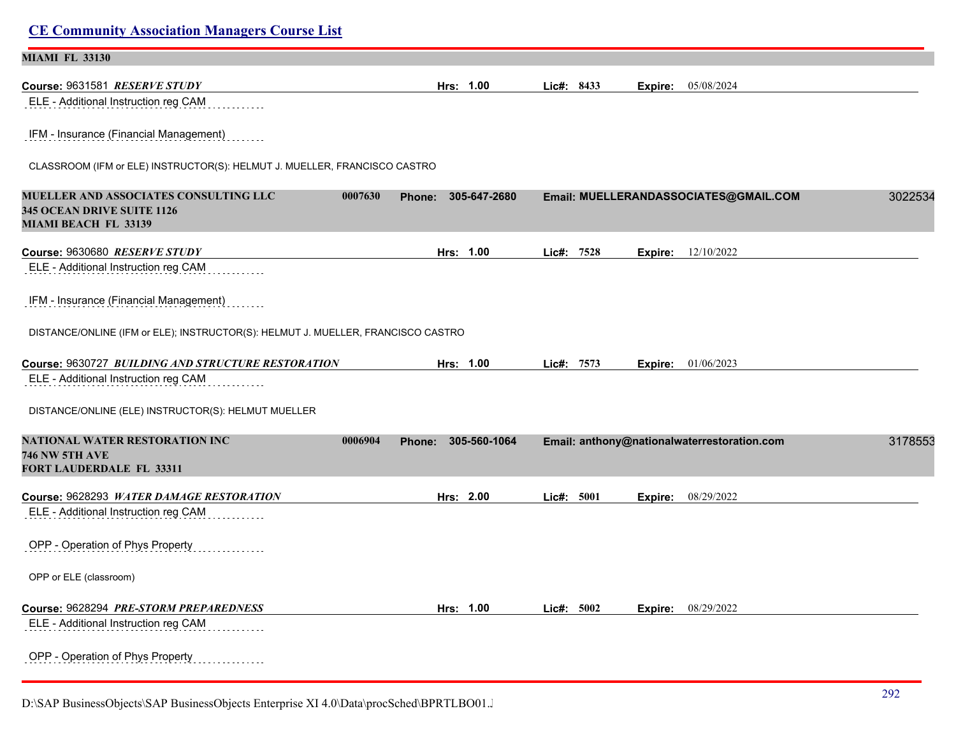| <b>MIAMI FL 33130</b>                                                                                  |                               |              |         |                                             |         |
|--------------------------------------------------------------------------------------------------------|-------------------------------|--------------|---------|---------------------------------------------|---------|
| Course: 9631581 RESERVE STUDY                                                                          | Hrs: 1.00                     | Lic#: 8433   | Expire: | 05/08/2024                                  |         |
| ELE - Additional Instruction reg CAM                                                                   |                               |              |         |                                             |         |
| IFM - Insurance (Financial Management)                                                                 |                               |              |         |                                             |         |
| CLASSROOM (IFM or ELE) INSTRUCTOR(S): HELMUT J. MUELLER, FRANCISCO CASTRO                              |                               |              |         |                                             |         |
| MUELLER AND ASSOCIATES CONSULTING LLC<br>0007630<br>345 OCEAN DRIVE SUITE 1126<br>MIAMI BEACH FL 33139 | 305-647-2680<br><b>Phone:</b> |              |         | Email: MUELLERANDASSOCIATES@GMAIL.COM       | 3022534 |
| Course: 9630680 RESERVE STUDY                                                                          | Hrs: 1.00                     | Lic#: 7528   | Expire: | 12/10/2022                                  |         |
| ELE - Additional Instruction reg CAM                                                                   |                               |              |         |                                             |         |
| IFM - Insurance (Financial Management)                                                                 |                               |              |         |                                             |         |
| DISTANCE/ONLINE (IFM or ELE); INSTRUCTOR(S): HELMUT J. MUELLER, FRANCISCO CASTRO                       |                               |              |         |                                             |         |
| Course: 9630727 BUILDING AND STRUCTURE RESTORATION                                                     | Hrs: 1.00                     | Lic#: 7573   | Expire: | 01/06/2023                                  |         |
| ELE - Additional Instruction reg CAM                                                                   |                               |              |         |                                             |         |
| DISTANCE/ONLINE (ELE) INSTRUCTOR(S): HELMUT MUELLER                                                    |                               |              |         |                                             |         |
| NATIONAL WATER RESTORATION INC<br>0006904<br><b>746 NW 5TH AVE</b>                                     | 305-560-1064<br><b>Phone:</b> |              |         | Email: anthony@nationalwaterrestoration.com | 3178553 |
| <b>FORT LAUDERDALE FL 33311</b>                                                                        |                               |              |         |                                             |         |
| Course: 9628293 WATER DAMAGE RESTORATION                                                               | Hrs: 2.00                     | Lie#: 5001   | Expire: | 08/29/2022                                  |         |
| ELE - Additional Instruction reg CAM                                                                   |                               |              |         |                                             |         |
| OPP - Operation of Phys Property                                                                       |                               |              |         |                                             |         |
| OPP or ELE (classroom)                                                                                 |                               |              |         |                                             |         |
| Course: 9628294 PRE-STORM PREPAREDNESS                                                                 | Hrs: $1.00$                   | Lic#: $5002$ |         | Expire: 08/29/2022                          |         |
| ELE - Additional Instruction reg CAM                                                                   |                               |              |         |                                             |         |
| OPP - Operation of Phys Property                                                                       |                               |              |         |                                             |         |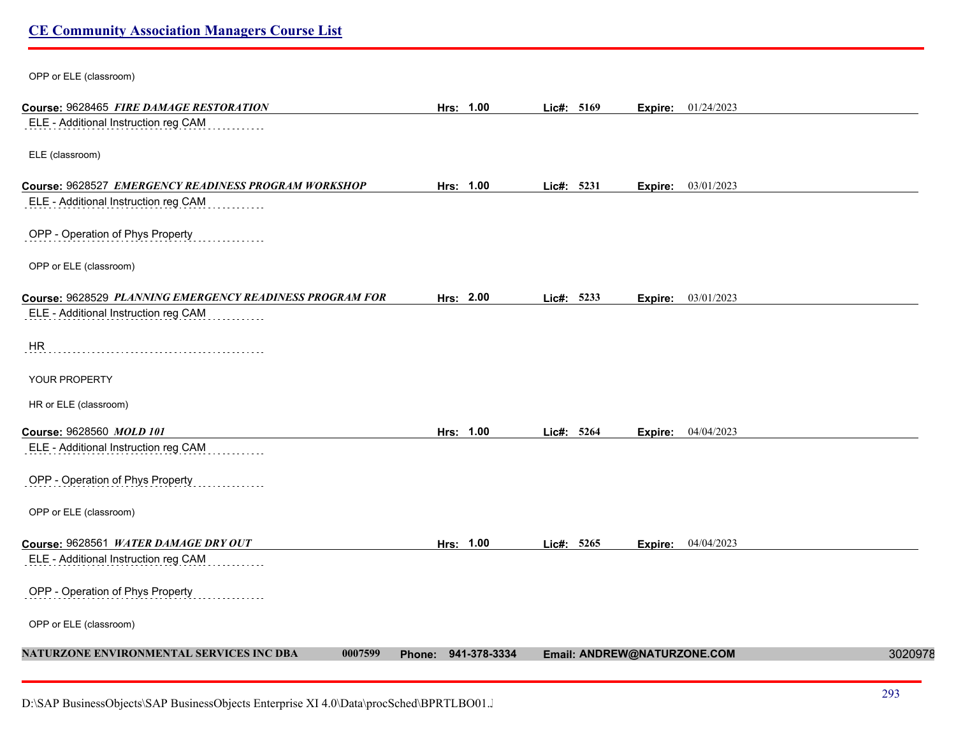| OPP or ELE (classroom)                                   |                     |            |                             |         |
|----------------------------------------------------------|---------------------|------------|-----------------------------|---------|
| Course: 9628465 FIRE DAMAGE RESTORATION                  | Hrs: 1.00           | Lic#: 5169 | Expire: 01/24/2023          |         |
| ELE - Additional Instruction reg CAM                     |                     |            |                             |         |
| ELE (classroom)                                          |                     |            |                             |         |
| Course: 9628527 EMERGENCY READINESS PROGRAM WORKSHOP     | Hrs: 1.00           | Lic#: 5231 | 03/01/2023<br>Expire:       |         |
| ELE - Additional Instruction reg CAM                     |                     |            |                             |         |
| OPP - Operation of Phys Property                         |                     |            |                             |         |
| OPP or ELE (classroom)                                   |                     |            |                             |         |
| Course: 9628529 PLANNING EMERGENCY READINESS PROGRAM FOR | Hrs: 2.00           | Lic#: 5233 | 03/01/2023<br>Expire:       |         |
| ELE - Additional Instruction reg CAM                     |                     |            |                             |         |
| <b>HR</b>                                                |                     |            |                             |         |
| YOUR PROPERTY                                            |                     |            |                             |         |
| HR or ELE (classroom)                                    |                     |            |                             |         |
| Course: 9628560 MOLD 101                                 | Hrs: 1.00           | Lic#: 5264 | 04/04/2023<br>Expire:       |         |
| ELE - Additional Instruction reg CAM                     |                     |            |                             |         |
| OPP - Operation of Phys Property                         |                     |            |                             |         |
| OPP or ELE (classroom)                                   |                     |            |                             |         |
| Course: 9628561 WATER DAMAGE DRY OUT                     | Hrs: 1.00           | Lic#: 5265 | 04/04/2023<br>Expire:       |         |
| ELE - Additional Instruction reg CAM                     |                     |            |                             |         |
| OPP - Operation of Phys Property                         |                     |            |                             |         |
| OPP or ELE (classroom)                                   |                     |            |                             |         |
| NATURZONE ENVIRONMENTAL SERVICES INC DBA<br>0007599      | Phone: 941-378-3334 |            | Email: ANDREW@NATURZONE.COM | 3020978 |
|                                                          |                     |            |                             |         |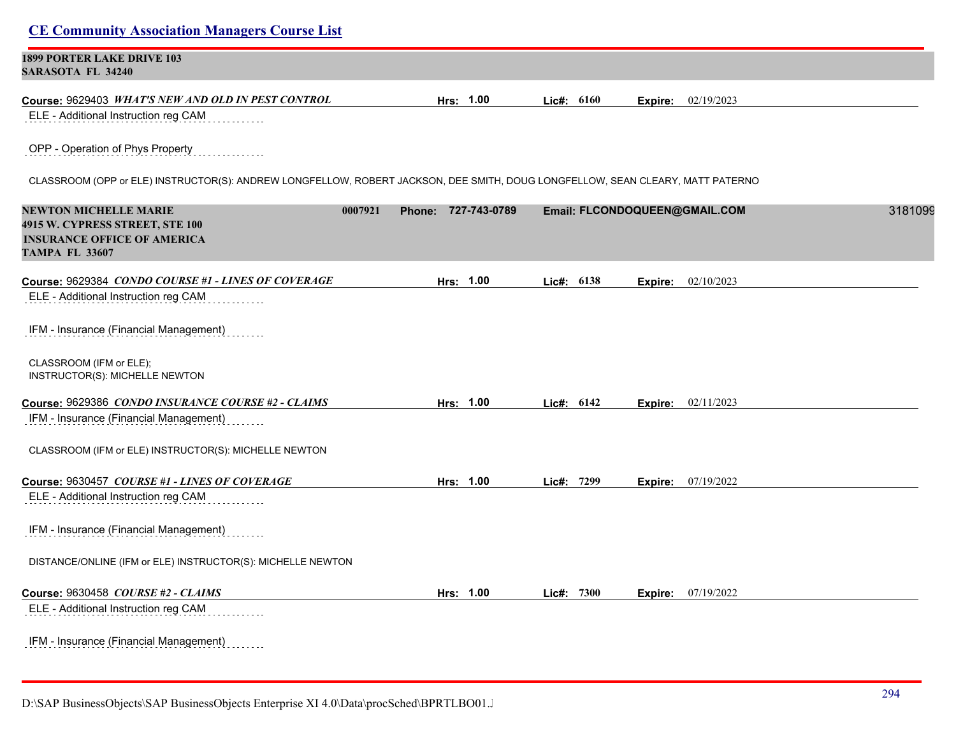| <b>CE Community Association Managers Course List</b>                                                                           |                     |              |                               |         |
|--------------------------------------------------------------------------------------------------------------------------------|---------------------|--------------|-------------------------------|---------|
| <b>1899 PORTER LAKE DRIVE 103</b><br><b>SARASOTA FL 34240</b>                                                                  |                     |              |                               |         |
| Course: 9629403 WHAT'S NEW AND OLD IN PEST CONTROL                                                                             | Hrs: 1.00           | Lic#: 6160   | 02/19/2023<br>Expire:         |         |
| ELE - Additional Instruction reg CAM                                                                                           |                     |              |                               |         |
| OPP - Operation of Phys Property                                                                                               |                     |              |                               |         |
| CLASSROOM (OPP or ELE) INSTRUCTOR(S): ANDREW LONGFELLOW, ROBERT JACKSON, DEE SMITH, DOUG LONGFELLOW, SEAN CLEARY, MATT PATERNO |                     |              |                               |         |
| <b>NEWTON MICHELLE MARIE</b><br>0007921<br>4915 W. CYPRESS STREET, STE 100                                                     | Phone: 727-743-0789 |              | Email: FLCONDOQUEEN@GMAIL.COM | 3181099 |
| <b>INSURANCE OFFICE OF AMERICA</b><br><b>TAMPA FL 33607</b>                                                                    |                     |              |                               |         |
| Course: 9629384 CONDO COURSE #1 - LINES OF COVERAGE                                                                            | Hrs: 1.00           | Lic#: $6138$ | 02/10/2023<br>Expire:         |         |
| ELE - Additional Instruction reg CAM                                                                                           |                     |              |                               |         |
| IFM - Insurance (Financial Management)                                                                                         |                     |              |                               |         |
| CLASSROOM (IFM or ELE);<br>INSTRUCTOR(S): MICHELLE NEWTON                                                                      |                     |              |                               |         |
| Course: 9629386 CONDO INSURANCE COURSE #2 - CLAIMS                                                                             | Hrs: 1.00           | Lic#: $6142$ | 02/11/2023<br>Expire:         |         |
| IFM - Insurance (Financial Management)                                                                                         |                     |              |                               |         |
| CLASSROOM (IFM or ELE) INSTRUCTOR(S): MICHELLE NEWTON                                                                          |                     |              |                               |         |
| Course: 9630457 COURSE #1 - LINES OF COVERAGE                                                                                  | Hrs: 1.00           | Lic#: 7299   | 07/19/2022<br>Expire:         |         |
| ELE - Additional Instruction reg CAM                                                                                           |                     |              |                               |         |
| IFM - Insurance (Financial Management)                                                                                         |                     |              |                               |         |
| DISTANCE/ONLINE (IFM or ELE) INSTRUCTOR(S): MICHELLE NEWTON                                                                    |                     |              |                               |         |
| <b>Course: 9630458 COURSE #2 - CLAIMS</b>                                                                                      | Hrs: 1.00           | Lie#: 7300   | 07/19/2022<br>Expire:         |         |
| ELE - Additional Instruction reg CAM                                                                                           |                     |              |                               |         |
| IFM - Insurance (Financial Management)                                                                                         |                     |              |                               |         |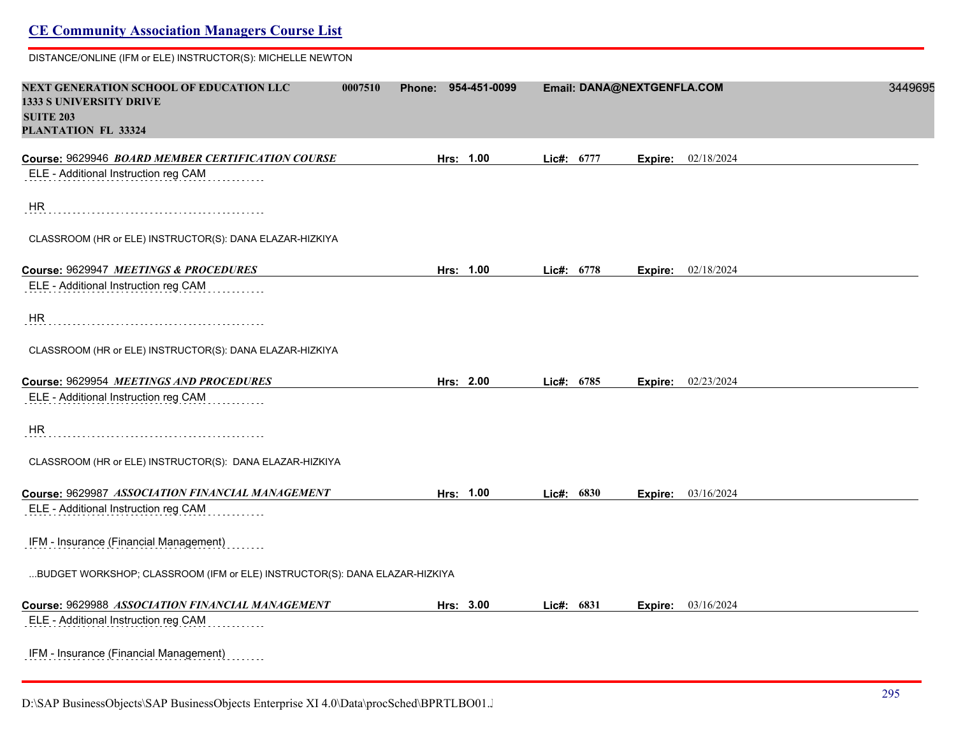| <b>CE Community Association Managers Course List</b>                                                                            |                        |              |                            |         |
|---------------------------------------------------------------------------------------------------------------------------------|------------------------|--------------|----------------------------|---------|
| DISTANCE/ONLINE (IFM or ELE) INSTRUCTOR(S): MICHELLE NEWTON                                                                     |                        |              |                            |         |
| NEXT GENERATION SCHOOL OF EDUCATION LLC<br>0007510<br><b>1333 S UNIVERSITY DRIVE</b><br><b>SUITE 203</b><br>PLANTATION FL 33324 | 954-451-0099<br>Phone: |              | Email: DANA@NEXTGENFLA.COM | 3449695 |
| Course: 9629946 BOARD MEMBER CERTIFICATION COURSE                                                                               | Hrs: 1.00              | Lic#: 6777   | 02/18/2024<br>Expire:      |         |
| ELE - Additional Instruction reg CAM                                                                                            |                        |              |                            |         |
| HR.                                                                                                                             |                        |              |                            |         |
| CLASSROOM (HR or ELE) INSTRUCTOR(S): DANA ELAZAR-HIZKIYA                                                                        |                        |              |                            |         |
| Course: 9629947 MEETINGS & PROCEDURES                                                                                           | Hrs: 1.00              | Lic#: 6778   | 02/18/2024<br>Expire:      |         |
| ELE - Additional Instruction reg CAM                                                                                            |                        |              |                            |         |
| HR                                                                                                                              |                        |              |                            |         |
| CLASSROOM (HR or ELE) INSTRUCTOR(S): DANA ELAZAR-HIZKIYA                                                                        |                        |              |                            |         |
| Course: 9629954 MEETINGS AND PROCEDURES                                                                                         | Hrs: 2.00              | Lic#: 6785   | <b>Expire:</b> 02/23/2024  |         |
| ELE - Additional Instruction reg CAM                                                                                            |                        |              |                            |         |
| HR                                                                                                                              |                        |              |                            |         |
| CLASSROOM (HR or ELE) INSTRUCTOR(S): DANA ELAZAR-HIZKIYA                                                                        |                        |              |                            |         |
| Course: 9629987 ASSOCIATION FINANCIAL MANAGEMENT                                                                                | Hrs: 1.00              | Lic#: 6830   | 03/16/2024<br>Expire:      |         |
| ELE - Additional Instruction reg CAM                                                                                            |                        |              |                            |         |
| IFM - Insurance (Financial Management)                                                                                          |                        |              |                            |         |
| BUDGET WORKSHOP; CLASSROOM (IFM or ELE) INSTRUCTOR(S): DANA ELAZAR-HIZKIYA                                                      |                        |              |                            |         |
| Course: 9629988 ASSOCIATION FINANCIAL MANAGEMENT                                                                                | Hrs: 3.00              | Lic#: $6831$ | 03/16/2024<br>Expire:      |         |
| ELE - Additional Instruction reg CAM                                                                                            |                        |              |                            |         |
| IFM - Insurance (Financial Management)                                                                                          |                        |              |                            |         |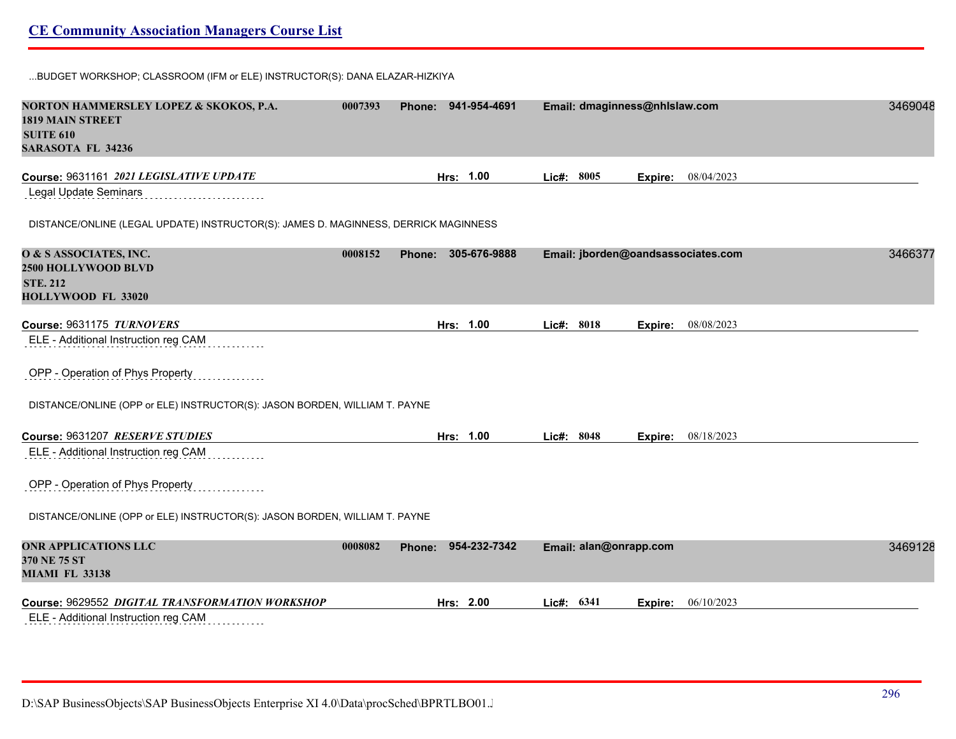...BUDGET WORKSHOP; CLASSROOM (IFM or ELE) INSTRUCTOR(S): DANA ELAZAR-HIZKIYA

| NORTON HAMMERSLEY LOPEZ & SKOKOS, P.A.<br><b>1819 MAIN STREET</b><br><b>SUITE 610</b><br><b>SARASOTA FL 34236</b> | 0007393 | Phone: 941-954-4691    |            | Email: dmaginness@nhlslaw.com |         |                                    | 3469048 |
|-------------------------------------------------------------------------------------------------------------------|---------|------------------------|------------|-------------------------------|---------|------------------------------------|---------|
| Course: 9631161 2021 LEGISLATIVE UPDATE                                                                           |         | Hrs: 1.00              | Lic#: 8005 |                               | Expire: | 08/04/2023                         |         |
| Legal Update Seminars                                                                                             |         |                        |            |                               |         |                                    |         |
| DISTANCE/ONLINE (LEGAL UPDATE) INSTRUCTOR(S): JAMES D. MAGINNESS, DERRICK MAGINNESS                               |         |                        |            |                               |         |                                    |         |
| O & S ASSOCIATES, INC.                                                                                            | 0008152 | 305-676-9888<br>Phone: |            |                               |         | Email: jborden@oandsassociates.com | 3466377 |
| 2500 HOLLYWOOD BLVD                                                                                               |         |                        |            |                               |         |                                    |         |
| <b>STE. 212</b>                                                                                                   |         |                        |            |                               |         |                                    |         |
| HOLLYWOOD FL 33020                                                                                                |         |                        |            |                               |         |                                    |         |
| Course: 9631175 TURNOVERS                                                                                         |         | Hrs: 1.00              | Lic#: 8018 |                               |         | 08/08/2023                         |         |
| ELE - Additional Instruction reg CAM                                                                              |         |                        |            |                               | Expire: |                                    |         |
|                                                                                                                   |         |                        |            |                               |         |                                    |         |
| OPP - Operation of Phys Property                                                                                  |         |                        |            |                               |         |                                    |         |
| DISTANCE/ONLINE (OPP or ELE) INSTRUCTOR(S): JASON BORDEN, WILLIAM T. PAYNE                                        |         |                        |            |                               |         |                                    |         |
| Course: 9631207 RESERVE STUDIES                                                                                   |         | Hrs: 1.00              | Lic#: 8048 |                               | Expire: | 08/18/2023                         |         |
| ELE - Additional Instruction reg CAM                                                                              |         |                        |            |                               |         |                                    |         |
| OPP - Operation of Phys Property                                                                                  |         |                        |            |                               |         |                                    |         |
| DISTANCE/ONLINE (OPP or ELE) INSTRUCTOR(S): JASON BORDEN, WILLIAM T. PAYNE                                        |         |                        |            |                               |         |                                    |         |
| <b>ONR APPLICATIONS LLC</b>                                                                                       | 0008082 | 954-232-7342<br>Phone: |            | Email: alan@onrapp.com        |         |                                    | 3469128 |
| 370 NE 75 ST                                                                                                      |         |                        |            |                               |         |                                    |         |
| <b>MIAMI FL 33138</b>                                                                                             |         |                        |            |                               |         |                                    |         |
| Course: 9629552 DIGITAL TRANSFORMATION WORKSHOP                                                                   |         | Hrs: 2.00              | Lic#: 6341 |                               | Expire: | 06/10/2023                         |         |
| ELE - Additional Instruction reg CAM                                                                              |         |                        |            |                               |         |                                    |         |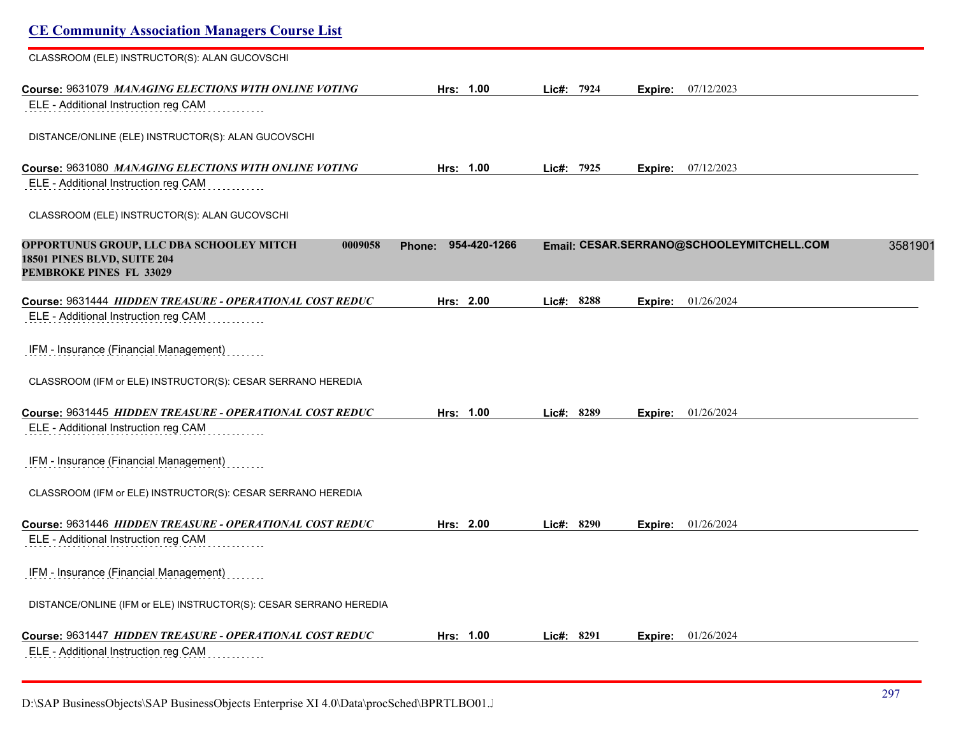| <b>CE Community Association Managers Course List</b>                                                          |                        |               |         |                                           |         |
|---------------------------------------------------------------------------------------------------------------|------------------------|---------------|---------|-------------------------------------------|---------|
| CLASSROOM (ELE) INSTRUCTOR(S): ALAN GUCOVSCHI                                                                 |                        |               |         |                                           |         |
| Course: 9631079 MANAGING ELECTIONS WITH ONLINE VOTING<br>ELE - Additional Instruction reg CAM                 | Hrs: 1.00              | 7924<br>Lic#: | Expire: | 07/12/2023                                |         |
| DISTANCE/ONLINE (ELE) INSTRUCTOR(S): ALAN GUCOVSCHI                                                           |                        |               |         |                                           |         |
| Course: 9631080 MANAGING ELECTIONS WITH ONLINE VOTING<br>ELE - Additional Instruction reg CAM                 | Hrs: 1.00              | Lic#: 7925    | Expire: | 07/12/2023                                |         |
| CLASSROOM (ELE) INSTRUCTOR(S): ALAN GUCOVSCHI                                                                 |                        |               |         |                                           |         |
| OPPORTUNUS GROUP, LLC DBA SCHOOLEY MITCH<br>0009058<br>18501 PINES BLVD, SUITE 204<br>PEMBROKE PINES FL 33029 | 954-420-1266<br>Phone: |               |         | Email: CESAR.SERRANO@SCHOOLEYMITCHELL.COM | 3581901 |
| Course: 9631444 HIDDEN TREASURE - OPERATIONAL COST REDUC                                                      | Hrs: 2.00              | Lic#: 8288    | Expire: | 01/26/2024                                |         |
| ELE - Additional Instruction reg CAM                                                                          |                        |               |         |                                           |         |
| IFM - Insurance (Financial Management)                                                                        |                        |               |         |                                           |         |
| CLASSROOM (IFM or ELE) INSTRUCTOR(S): CESAR SERRANO HEREDIA                                                   |                        |               |         |                                           |         |
| Course: 9631445 HIDDEN TREASURE - OPERATIONAL COST REDUC<br>ELE - Additional Instruction reg CAM              | Hrs: 1.00              | Lic#: 8289    | Expire: | 01/26/2024                                |         |
| IFM - Insurance (Financial Management)                                                                        |                        |               |         |                                           |         |
| CLASSROOM (IFM or ELE) INSTRUCTOR(S): CESAR SERRANO HEREDIA                                                   |                        |               |         |                                           |         |
| Course: 9631446 HIDDEN TREASURE - OPERATIONAL COST REDUC                                                      | Hrs: 2.00              | Lic#: 8290    | Expire: | 01/26/2024                                |         |
| ELE - Additional Instruction reg CAM                                                                          |                        |               |         |                                           |         |
| IFM - Insurance (Financial Management)                                                                        |                        |               |         |                                           |         |
| DISTANCE/ONLINE (IFM or ELE) INSTRUCTOR(S): CESAR SERRANO HEREDIA                                             |                        |               |         |                                           |         |
| Course: 9631447 HIDDEN TREASURE - OPERATIONAL COST REDUC                                                      | Hrs: 1.00              | Lic#: 8291    | Expire: | 01/26/2024                                |         |
| ELE - Additional Instruction reg CAM<br>.                                                                     |                        |               |         |                                           |         |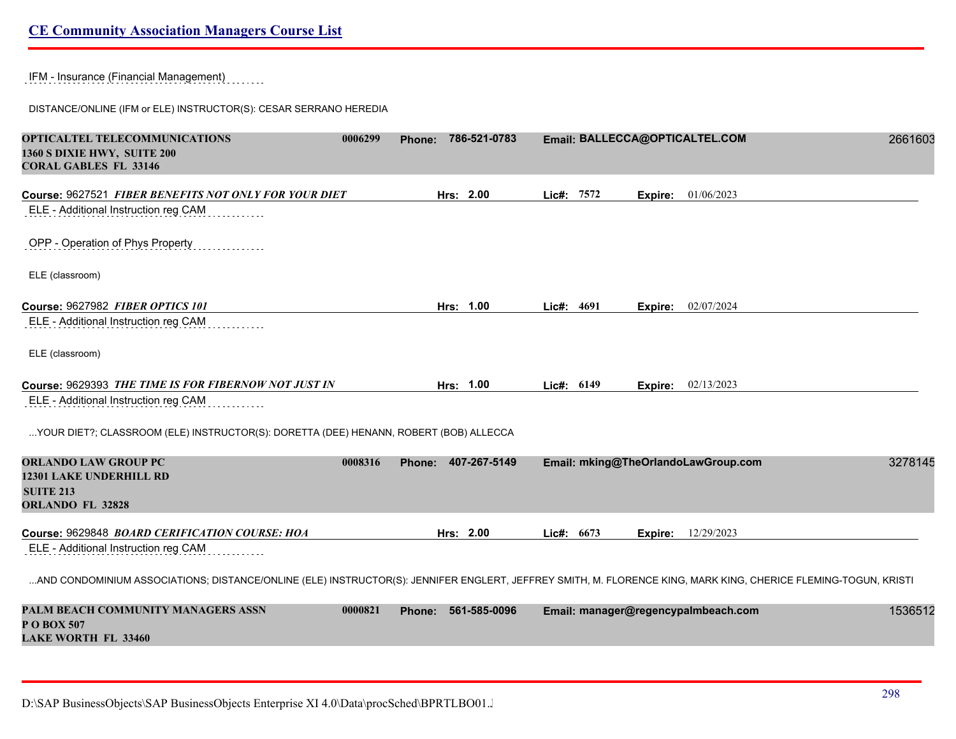IFM - Insurance (Financial Management)

DISTANCE/ONLINE (IFM or ELE) INSTRUCTOR(S): CESAR SERRANO HEREDIA

| OPTICALTEL TELECOMMUNICATIONS<br>1360 S DIXIE HWY, SUITE 200<br><b>CORAL GABLES FL 33146</b>                                                                   | 0006299 | <b>Phone:</b> |           | 786-521-0783 |              |         | Email: BALLECCA@OPTICALTEL.COM      | 2661603 |
|----------------------------------------------------------------------------------------------------------------------------------------------------------------|---------|---------------|-----------|--------------|--------------|---------|-------------------------------------|---------|
| Course: 9627521 FIBER BENEFITS NOT ONLY FOR YOUR DIET                                                                                                          |         |               | Hrs: 2.00 |              | Lic#: 7572   |         | Expire: 01/06/2023                  |         |
| ELE - Additional Instruction reg CAM                                                                                                                           |         |               |           |              |              |         |                                     |         |
| OPP - Operation of Phys Property                                                                                                                               |         |               |           |              |              |         |                                     |         |
| ELE (classroom)                                                                                                                                                |         |               |           |              |              |         |                                     |         |
| Course: 9627982 FIBER OPTICS 101                                                                                                                               |         |               | Hrs: 1.00 |              | Lic#: $4691$ |         | <b>Expire:</b> 02/07/2024           |         |
| ELE - Additional Instruction reg CAM                                                                                                                           |         |               |           |              |              |         |                                     |         |
| ELE (classroom)                                                                                                                                                |         |               |           |              |              |         |                                     |         |
| Course: 9629393 THE TIME IS FOR FIBERNOW NOT JUST IN                                                                                                           |         |               | Hrs: 1.00 |              | Lic#: 6149   | Expire: | 02/13/2023                          |         |
| ELE - Additional Instruction reg CAM                                                                                                                           |         |               |           |              |              |         |                                     |         |
| YOUR DIET?; CLASSROOM (ELE) INSTRUCTOR(S): DORETTA (DEE) HENANN, ROBERT (BOB) ALLECCA                                                                          |         |               |           |              |              |         |                                     |         |
| <b>ORLANDO LAW GROUP PC</b>                                                                                                                                    | 0008316 | Phone:        |           | 407-267-5149 |              |         | Email: mking@TheOrlandoLawGroup.com | 3278145 |
| <b>12301 LAKE UNDERHILL RD</b>                                                                                                                                 |         |               |           |              |              |         |                                     |         |
| <b>SUITE 213</b><br><b>ORLANDO FL 32828</b>                                                                                                                    |         |               |           |              |              |         |                                     |         |
|                                                                                                                                                                |         |               |           |              |              |         |                                     |         |
| Course: 9629848 BOARD CERIFICATION COURSE: HOA                                                                                                                 |         |               | Hrs: 2.00 |              | Lic#: 6673   | Expire: | 12/29/2023                          |         |
| ELE - Additional Instruction reg CAM                                                                                                                           |         |               |           |              |              |         |                                     |         |
| AND CONDOMINIUM ASSOCIATIONS; DISTANCE/ONLINE (ELE) INSTRUCTOR(S): JENNIFER ENGLERT, JEFFREY SMITH, M. FLORENCE KING, MARK KING, CHERICE FLEMING-TOGUN, KRISTI |         |               |           |              |              |         |                                     |         |
| PALM BEACH COMMUNITY MANAGERS ASSN<br>P O BOX 507<br><b>LAKE WORTH FL 33460</b>                                                                                | 0000821 | <b>Phone:</b> |           | 561-585-0096 |              |         | Email: manager@regencypalmbeach.com | 1536512 |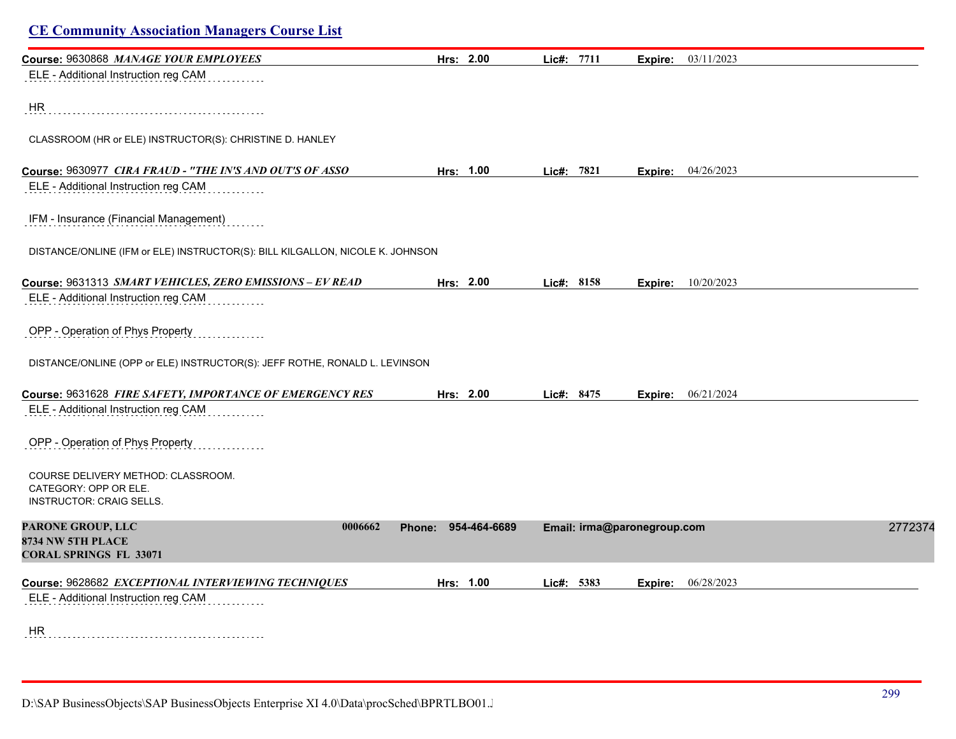| Course: 9630868 MANAGE YOUR EMPLOYEES                                         | Hrs: 2.00              | Lic#: 7711                  | Expire: 03/11/2023        |         |
|-------------------------------------------------------------------------------|------------------------|-----------------------------|---------------------------|---------|
| ELE - Additional Instruction reg CAM                                          |                        |                             |                           |         |
|                                                                               |                        |                             |                           |         |
| HR                                                                            |                        |                             |                           |         |
|                                                                               |                        |                             |                           |         |
| CLASSROOM (HR or ELE) INSTRUCTOR(S): CHRISTINE D. HANLEY                      |                        |                             |                           |         |
| Course: 9630977 CIRA FRAUD - "THE IN'S AND OUT'S OF ASSO                      | Hrs: 1.00              | Lic#: 7821                  | <b>Expire:</b> 04/26/2023 |         |
| ELE - Additional Instruction reg CAM                                          |                        |                             |                           |         |
| IFM - Insurance (Financial Management)                                        |                        |                             |                           |         |
|                                                                               |                        |                             |                           |         |
| DISTANCE/ONLINE (IFM or ELE) INSTRUCTOR(S): BILL KILGALLON, NICOLE K. JOHNSON |                        |                             |                           |         |
| Course: 9631313 SMART VEHICLES, ZERO EMISSIONS - EV READ                      | Hrs: 2.00              | Lic#: 8158                  | <b>Expire:</b> 10/20/2023 |         |
| ELE - Additional Instruction reg CAM                                          |                        |                             |                           |         |
|                                                                               |                        |                             |                           |         |
| OPP - Operation of Phys Property                                              |                        |                             |                           |         |
| DISTANCE/ONLINE (OPP or ELE) INSTRUCTOR(S): JEFF ROTHE, RONALD L. LEVINSON    |                        |                             |                           |         |
|                                                                               |                        |                             |                           |         |
| Course: 9631628 FIRE SAFETY, IMPORTANCE OF EMERGENCY RES                      | Hrs: 2.00              | Lic#: 8475                  | <b>Expire:</b> 06/21/2024 |         |
| ELE - Additional Instruction reg CAM                                          |                        |                             |                           |         |
| OPP - Operation of Phys Property                                              |                        |                             |                           |         |
|                                                                               |                        |                             |                           |         |
| COURSE DELIVERY METHOD: CLASSROOM.                                            |                        |                             |                           |         |
| CATEGORY: OPP OR ELE.<br><b>INSTRUCTOR: CRAIG SELLS.</b>                      |                        |                             |                           |         |
|                                                                               |                        |                             |                           |         |
| PARONE GROUP, LLC<br>0006662<br>8734 NW 5TH PLACE                             | 954-464-6689<br>Phone: | Email: irma@paronegroup.com |                           | 2772374 |
| <b>CORAL SPRINGS FL 33071</b>                                                 |                        |                             |                           |         |
| Course: 9628682 EXCEPTIONAL INTERVIEWING TECHNIQUES                           | Hrs: 1.00              | Lic#: 5383                  | 06/28/2023<br>Expire:     |         |
| ELE - Additional Instruction reg CAM                                          |                        |                             |                           |         |
|                                                                               |                        |                             |                           |         |
| <b>HR</b>                                                                     |                        |                             |                           |         |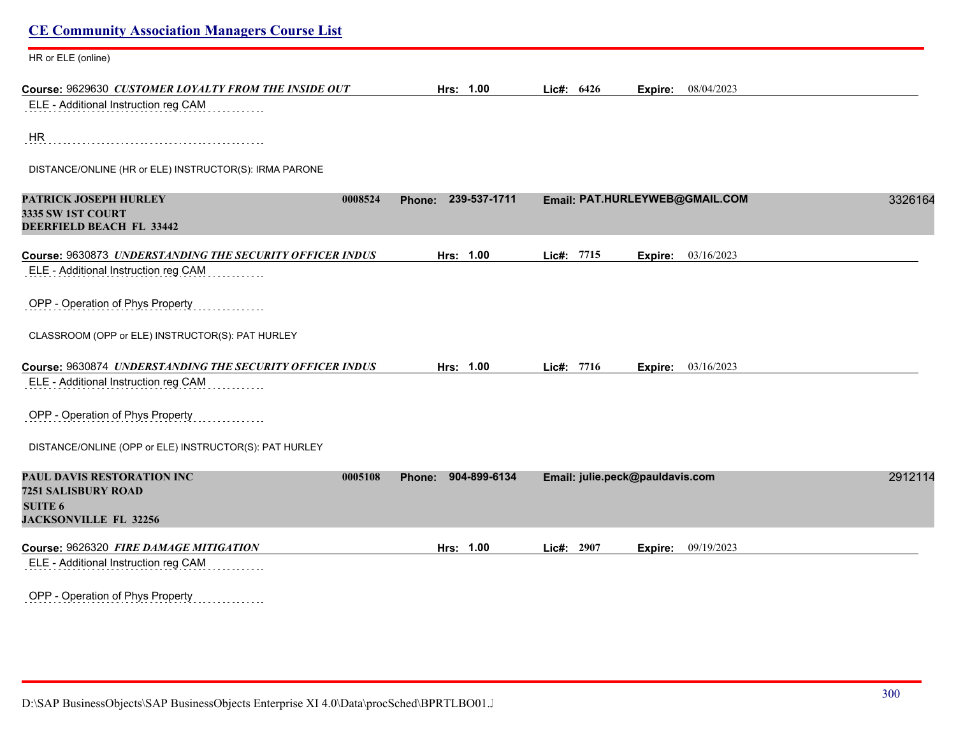| <b>CE Community Association Managers Course List</b>                                                           |                        |            |                                 |         |
|----------------------------------------------------------------------------------------------------------------|------------------------|------------|---------------------------------|---------|
| HR or ELE (online)                                                                                             |                        |            |                                 |         |
| Course: 9629630 CUSTOMER LOYALTY FROM THE INSIDE OUT<br>ELE - Additional Instruction reg CAM                   | Hrs: 1.00              | Lic#: 6426 | 08/04/2023<br>Expire:           |         |
|                                                                                                                |                        |            |                                 |         |
| HR                                                                                                             |                        |            |                                 |         |
| DISTANCE/ONLINE (HR or ELE) INSTRUCTOR(S): IRMA PARONE                                                         |                        |            |                                 |         |
| PATRICK JOSEPH HURLEY<br>0008524<br><b>3335 SW 1ST COURT</b><br>DEERFIELD BEACH FL 33442                       | 239-537-1711<br>Phone: |            | Email: PAT.HURLEYWEB@GMAIL.COM  | 3326164 |
|                                                                                                                |                        |            |                                 |         |
| Course: 9630873 UNDERSTANDING THE SECURITY OFFICER INDUS<br>ELE - Additional Instruction reg CAM               | Hrs: 1.00              | Lic#: 7715 | 03/16/2023<br>Expire:           |         |
| OPP - Operation of Phys Property                                                                               |                        |            |                                 |         |
| CLASSROOM (OPP or ELE) INSTRUCTOR(S): PAT HURLEY                                                               |                        |            |                                 |         |
| Course: 9630874 UNDERSTANDING THE SECURITY OFFICER INDUS                                                       | Hrs: 1.00              | Lic#: 7716 | 03/16/2023<br>Expire:           |         |
| ELE - Additional Instruction reg CAM                                                                           |                        |            |                                 |         |
| OPP - Operation of Phys Property                                                                               |                        |            |                                 |         |
| DISTANCE/ONLINE (OPP or ELE) INSTRUCTOR(S): PAT HURLEY                                                         |                        |            |                                 |         |
| PAUL DAVIS RESTORATION INC<br>0005108<br>7251 SALISBURY ROAD<br><b>SUITE 6</b><br><b>JACKSONVILLE FL 32256</b> | 904-899-6134<br>Phone: |            | Email: julie.peck@pauldavis.com | 2912114 |
| Course: 9626320 FIRE DAMAGE MITIGATION                                                                         | Hrs: 1.00              | Lic#: 2907 | 09/19/2023<br>Expire:           |         |
| ELE - Additional Instruction reg CAM                                                                           |                        |            |                                 |         |
| OPP - Operation of Phys Property<br>.                                                                          |                        |            |                                 |         |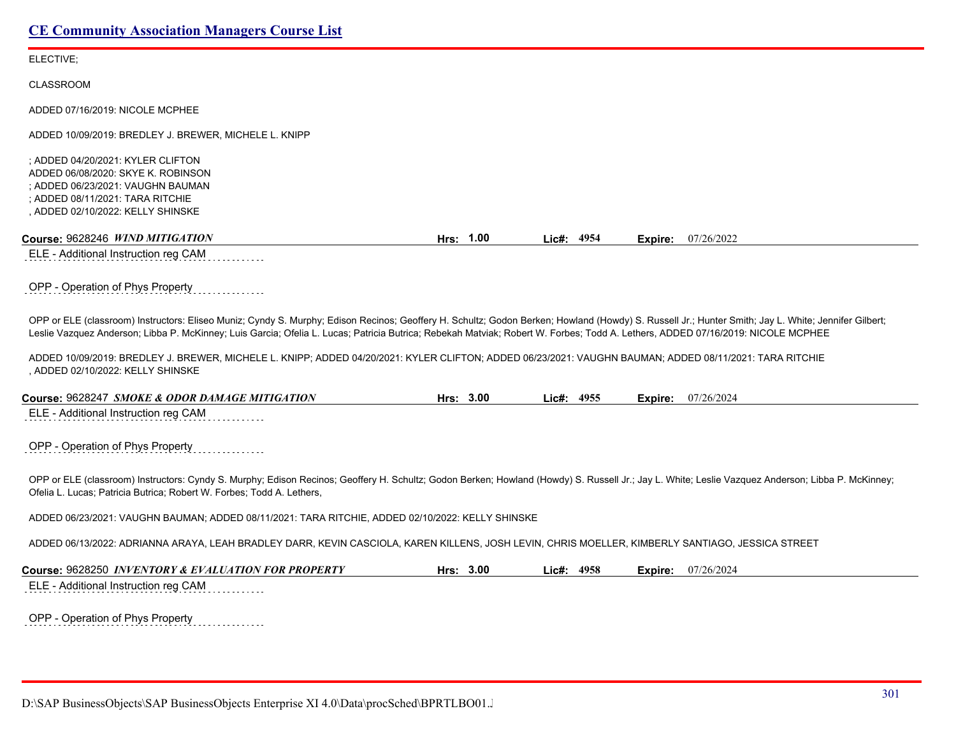ELECTIVE;

CLASSROOM

ADDED 07/16/2019: NICOLE MCPHEE

ADDED 10/09/2019: BREDLEY J. BREWER, MICHELE L. KNIPP

; ADDED 04/20/2021: KYLER CLIFTON ADDED 06/08/2020: SKYE K. ROBINSON ; ADDED 06/23/2021: VAUGHN BAUMAN ; ADDED 08/11/2021: TARA RITCHIE , ADDED 02/10/2022: KELLY SHINSKE

| Course: 9628246 WIND MITIGATION<br>0.00<br>Hrs: | 4954<br>Lic#: | 07/26/2022<br>Expire: |
|-------------------------------------------------|---------------|-----------------------|
|-------------------------------------------------|---------------|-----------------------|

ELE - Additional Instruction reg CAM

OPP - Operation of Phys Property

OPP or ELE (classroom) Instructors: Eliseo Muniz; Cyndy S. Murphy; Edison Recinos; Geoffery H. Schultz; Godon Berken; Howland (Howdy) S. Russell Jr.; Hunter Smith; Jay L. White; Jennifer Gilbert; Leslie Vazquez Anderson; Libba P. McKinney; Luis Garcia; Ofelia L. Lucas; Patricia Butrica; Rebekah Matviak; Robert W. Forbes; Todd A. Lethers, ADDED 07/16/2019: NICOLE MCPHEE

ADDED 10/09/2019: BREDLEY J. BREWER, MICHELE L. KNIPP; ADDED 04/20/2021: KYLER CLIFTON; ADDED 06/23/2021: VAUGHN BAUMAN; ADDED 08/11/2021: TARA RITCHIE , ADDED 02/10/2022: KELLY SHINSKE

| <b>Course: 9628247</b><br><i><b>I SMOKE &amp; ODOR DAMAGE MITIGATION</b></i> | 3.00<br>Hrs: | 4955<br>Lic#: | Expire: | 07/26/2024 |
|------------------------------------------------------------------------------|--------------|---------------|---------|------------|
| ELE - Additional Instruction reg CAM                                         |              |               |         |            |

OPP - Operation of Phys Property

OPP or ELE (classroom) Instructors: Cyndy S. Murphy; Edison Recinos; Geoffery H. Schultz; Godon Berken; Howland (Howdy) S. Russell Jr.; Jay L. White; Leslie Vazquez Anderson; Libba P. McKinney; Ofelia L. Lucas; Patricia Butrica; Robert W. Forbes; Todd A. Lethers,

ADDED 06/23/2021: VAUGHN BAUMAN; ADDED 08/11/2021: TARA RITCHIE, ADDED 02/10/2022: KELLY SHINSKE

ADDED 06/13/2022: ADRIANNA ARAYA, LEAH BRADLEY DARR, KEVIN CASCIOLA, KAREN KILLENS, JOSH LEVIN, CHRIS MOELLER, KIMBERLY SANTIAGO, JESSICA STREET

| Course: 9628250 INVENTORY & EVALUATION FOR PROPERTY | Hrs: | 3.00 | Lic#: 4958 | Expire: | 07/26/2024 |
|-----------------------------------------------------|------|------|------------|---------|------------|
| ELE - Additional Instruction reg CAM                |      |      |            |         |            |

OPP - Operation of Phys Property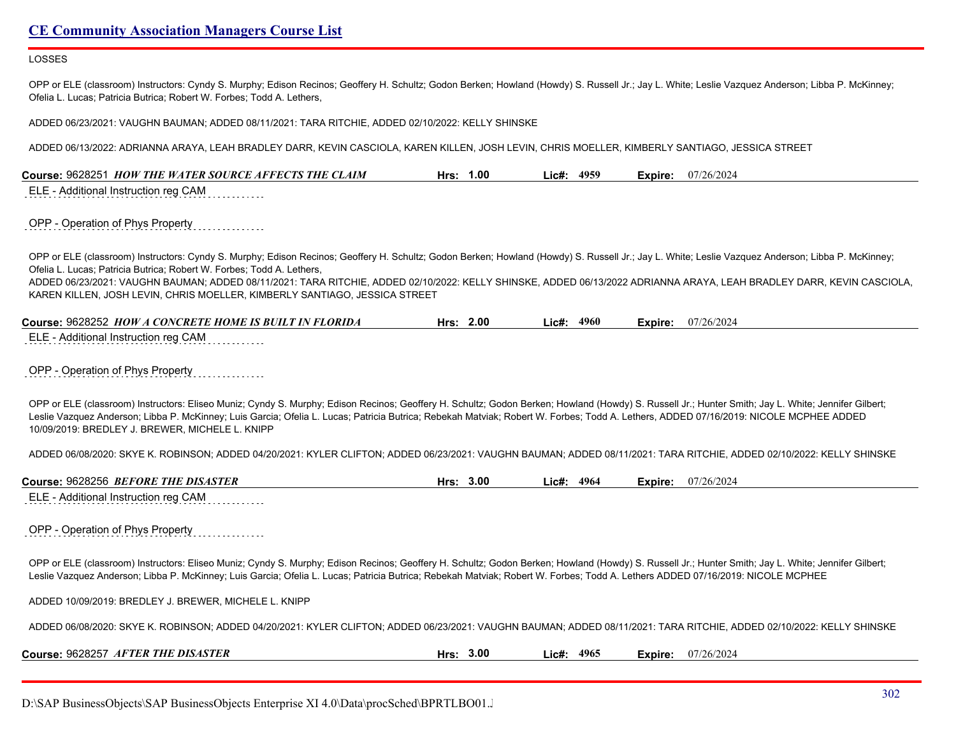### LOSSES

OPP or ELE (classroom) Instructors: Cyndy S. Murphy; Edison Recinos; Geoffery H. Schultz; Godon Berken; Howland (Howdy) S. Russell Jr.; Jay L. White; Leslie Vazquez Anderson; Libba P. McKinney; Ofelia L. Lucas; Patricia Butrica; Robert W. Forbes; Todd A. Lethers,

ADDED 06/23/2021: VAUGHN BAUMAN; ADDED 08/11/2021: TARA RITCHIE, ADDED 02/10/2022: KELLY SHINSKE

ADDED 06/13/2022: ADRIANNA ARAYA, LEAH BRADLEY DARR, KEVIN CASCIOLA, KAREN KILLEN, JOSH LEVIN, CHRIS MOELLER, KIMBERLY SANTIAGO, JESSICA STREET

| Course: 9628251 HOW THE WATER SOURCE AFFECTS THE CLAIM                                                                                                                                                                                                                                                                                                                                                                                                                                                                            | Hrs: 1.00 | Lic#: 4959    | Expire: | 07/26/2024                |
|-----------------------------------------------------------------------------------------------------------------------------------------------------------------------------------------------------------------------------------------------------------------------------------------------------------------------------------------------------------------------------------------------------------------------------------------------------------------------------------------------------------------------------------|-----------|---------------|---------|---------------------------|
| ELE - Additional Instruction reg CAM                                                                                                                                                                                                                                                                                                                                                                                                                                                                                              |           |               |         |                           |
| OPP - Operation of Phys Property                                                                                                                                                                                                                                                                                                                                                                                                                                                                                                  |           |               |         |                           |
| OPP or ELE (classroom) Instructors: Cyndy S. Murphy; Edison Recinos; Geoffery H. Schultz; Godon Berken; Howland (Howdy) S. Russell Jr.; Jay L. White; Leslie Vazquez Anderson; Libba P. McKinney;<br>Ofelia L. Lucas; Patricia Butrica; Robert W. Forbes; Todd A. Lethers,<br>ADDED 06/23/2021: VAUGHN BAUMAN; ADDED 08/11/2021: TARA RITCHIE, ADDED 02/10/2022: KELLY SHINSKE, ADDED 06/13/2022 ADRIANNA ARAYA, LEAH BRADLEY DARR, KEVIN CASCIOLA,<br>KAREN KILLEN, JOSH LEVIN, CHRIS MOELLER, KIMBERLY SANTIAGO, JESSICA STREET |           |               |         |                           |
| Course: 9628252 HOW A CONCRETE HOME IS BUILT IN FLORIDA                                                                                                                                                                                                                                                                                                                                                                                                                                                                           | Hrs: 2.00 | $Lic\#: 4960$ |         | <b>Expire:</b> 07/26/2024 |
| ELE - Additional Instruction reg CAM                                                                                                                                                                                                                                                                                                                                                                                                                                                                                              |           |               |         |                           |
| OPP - Operation of Phys Property                                                                                                                                                                                                                                                                                                                                                                                                                                                                                                  |           |               |         |                           |
| OPP or ELE (classroom) Instructors: Eliseo Muniz; Cyndy S. Murphy; Edison Recinos; Geoffery H. Schultz; Godon Berken; Howland (Howdy) S. Russell Jr.; Hunter Smith; Jay L. White; Jennifer Gilbert;<br>Leslie Vazquez Anderson; Libba P. McKinney; Luis Garcia; Ofelia L. Lucas; Patricia Butrica; Rebekah Matviak; Robert W. Forbes; Todd A. Lethers, ADDED 07/16/2019: NICOLE MCPHEE ADDED<br>10/09/2019: BREDLEY J. BREWER, MICHELE L. KNIPP                                                                                   |           |               |         |                           |
| ADDED 06/08/2020: SKYE K. ROBINSON; ADDED 04/20/2021: KYLER CLIFTON; ADDED 06/23/2021: VAUGHN BAUMAN; ADDED 08/11/2021: TARA RITCHIE, ADDED 02/10/2022: KELLY SHINSKE                                                                                                                                                                                                                                                                                                                                                             |           |               |         |                           |
| Course: 9628256 BEFORE THE DISASTER                                                                                                                                                                                                                                                                                                                                                                                                                                                                                               | Hrs: 3.00 | Lic#: 4964    |         | <b>Expire:</b> 07/26/2024 |
| ELE - Additional Instruction reg CAM                                                                                                                                                                                                                                                                                                                                                                                                                                                                                              |           |               |         |                           |
| OPP - Operation of Phys Property                                                                                                                                                                                                                                                                                                                                                                                                                                                                                                  |           |               |         |                           |
| OPP or ELE (classroom) Instructors: Eliseo Muniz; Cyndy S. Murphy; Edison Recinos; Geoffery H. Schultz; Godon Berken; Howland (Howdy) S. Russell Jr.; Hunter Smith; Jay L. White; Jennifer Gilbert;<br>Leslie Vazquez Anderson; Libba P. McKinney; Luis Garcia; Ofelia L. Lucas; Patricia Butrica; Rebekah Matviak; Robert W. Forbes; Todd A. Lethers ADDED 07/16/2019: NICOLE MCPHEE                                                                                                                                             |           |               |         |                           |
| ADDED 10/09/2019: BREDLEY J. BREWER, MICHELE L. KNIPP                                                                                                                                                                                                                                                                                                                                                                                                                                                                             |           |               |         |                           |
| ADDED 06/08/2020: SKYE K. ROBINSON; ADDED 04/20/2021: KYLER CLIFTON; ADDED 06/23/2021: VAUGHN BAUMAN; ADDED 08/11/2021: TARA RITCHIE, ADDED 02/10/2022: KELLY SHINSKE                                                                                                                                                                                                                                                                                                                                                             |           |               |         |                           |
| Course: 9628257 AFTER THE DISASTER                                                                                                                                                                                                                                                                                                                                                                                                                                                                                                | Hrs: 3.00 | Lic#: 4965    | Expire: | 07/26/2024                |

D:\SAP BusinessObjects\SAP BusinessObjects Enterprise XI 4.0\Data\procSched\BPRTLBO01.J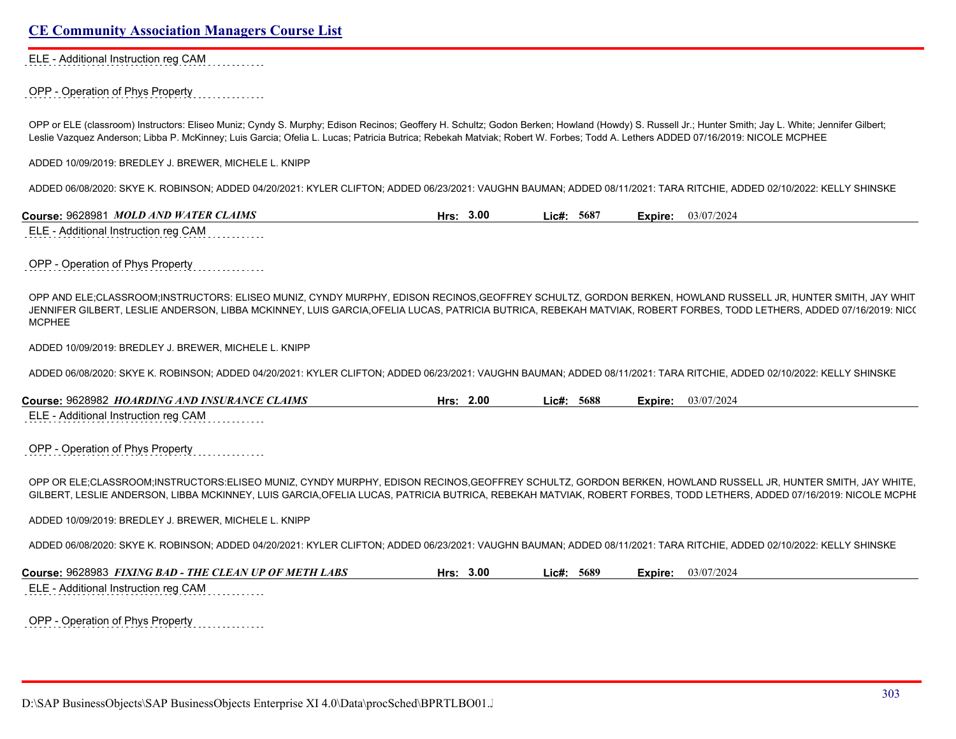ELE - Additional Instruction reg CAM

OPP - Operation of Phys Property

OPP or ELE (classroom) Instructors: Eliseo Muniz; Cyndy S. Murphy; Edison Recinos; Geoffery H. Schultz; Godon Berken; Howland (Howdy) S. Russell Jr.; Hunter Smith; Jay L. White; Jennifer Gilbert; Leslie Vazquez Anderson; Libba P. McKinney; Luis Garcia; Ofelia L. Lucas; Patricia Butrica; Rebekah Matviak; Robert W. Forbes; Todd A. Lethers ADDED 07/16/2019: NICOLE MCPHEE

ADDED 10/09/2019: BREDLEY J. BREWER, MICHELE L. KNIPP

ADDED 06/08/2020: SKYE K. ROBINSON; ADDED 04/20/2021: KYLER CLIFTON; ADDED 06/23/2021: VAUGHN BAUMAN; ADDED 08/11/2021: TARA RITCHIE, ADDED 02/10/2022: KELLY SHINSKE

**Course:** 9628981 *MOLD AND WATER CLAIMS* **Hrs: 3.00 Lic#: 5687 Expire:** 03/07/2024 ELE - Additional Instruction reg CAM

OPP - Operation of Phys Property

OPP AND ELE;CLASSROOM;INSTRUCTORS: ELISEO MUNIZ, CYNDY MURPHY, EDISON RECINOS,GEOFFREY SCHULTZ, GORDON BERKEN, HOWLAND RUSSELL JR, HUNTER SMITH, JAY WHIT JENNIFER GILBERT, LESLIE ANDERSON, LIBBA MCKINNEY, LUIS GARCIA,OFELIA LUCAS, PATRICIA BUTRICA, REBEKAH MATVIAK, ROBERT FORBES, TODD LETHERS, ADDED 07/16/2019: NICO **MCPHEE** 

ADDED 10/09/2019: BREDLEY J. BREWER, MICHELE L. KNIPP

ADDED 06/08/2020: SKYE K. ROBINSON; ADDED 04/20/2021: KYLER CLIFTON; ADDED 06/23/2021: VAUGHN BAUMAN; ADDED 08/11/2021: TARA RITCHIE, ADDED 02/10/2022: KELLY SHINSKE

**Course:** 9628982 *HOARDING AND INSURANCE CLAIMS* **Hrs: 2.00 Lic#: 5688 Expire:** 03/07/2024 ELE - Additional Instruction reg CAM

OPP - Operation of Phys Property

OPP OR ELE;CLASSROOM;INSTRUCTORS:ELISEO MUNIZ, CYNDY MURPHY, EDISON RECINOS,GEOFFREY SCHULTZ, GORDON BERKEN, HOWLAND RUSSELL JR, HUNTER SMITH, JAY WHITE, GILBERT, LESLIE ANDERSON, LIBBA MCKINNEY, LUIS GARCIA,OFELIA LUCAS, PATRICIA BUTRICA, REBEKAH MATVIAK, ROBERT FORBES, TODD LETHERS, ADDED 07/16/2019: NICOLE MCPHEE

ADDED 10/09/2019: BREDLEY J. BREWER, MICHELE L. KNIPP

ADDED 06/08/2020: SKYE K. ROBINSON; ADDED 04/20/2021: KYLER CLIFTON; ADDED 06/23/2021: VAUGHN BAUMAN; ADDED 08/11/2021: TARA RITCHIE, ADDED 02/10/2022: KELLY SHINSKE

**Course:** 9628983 *FIXING BAD - THE CLEAN UP OF METH LABS* **Hrs: 3.00 Lic#: 5689 Expire:** 03/07/2024 ELE - Additional Instruction reg CAM

OPP - Operation of Phys Property

D:\SAP BusinessObjects\SAP BusinessObjects Enterprise XI 4.0\Data\procSched\BPRTLBO01.Jobserver2\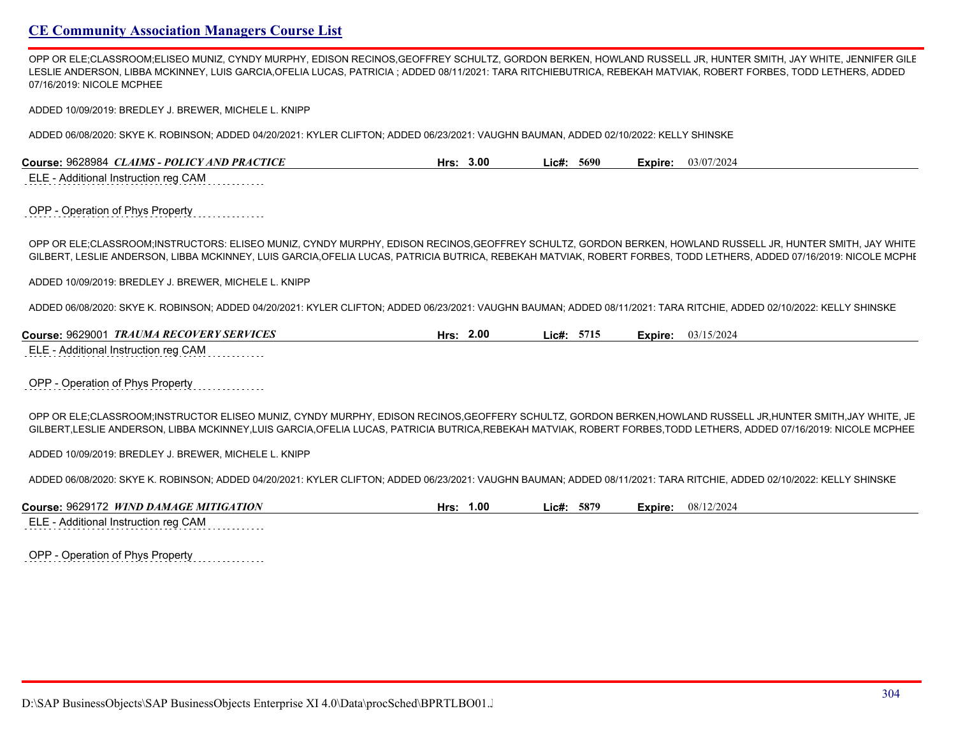OPP OR ELE;CLASSROOM;ELISEO MUNIZ, CYNDY MURPHY, EDISON RECINOS,GEOFFREY SCHULTZ, GORDON BERKEN, HOWLAND RUSSELL JR, HUNTER SMITH, JAY WHITE, JENNIFER GILE LESLIE ANDERSON, LIBBA MCKINNEY, LUIS GARCIA,OFELIA LUCAS, PATRICIA ; ADDED 08/11/2021: TARA RITCHIEBUTRICA, REBEKAH MATVIAK, ROBERT FORBES, TODD LETHERS, ADDED 07/16/2019: NICOLE MCPHEE

ADDED 10/09/2019: BREDLEY J. BREWER, MICHELE L. KNIPP

ADDED 06/08/2020: SKYE K. ROBINSON; ADDED 04/20/2021: KYLER CLIFTON; ADDED 06/23/2021: VAUGHN BAUMAN, ADDED 02/10/2022: KELLY SHINSKE

| 9628984<br><b>CLAIMS - POLICY A</b><br><i><b>TAND PRACTICE</b></i><br>Course: | Hrs | _ic#<br>3.00 | 5690 | Expire: | 03/07/2024 |
|-------------------------------------------------------------------------------|-----|--------------|------|---------|------------|
|                                                                               |     |              |      |         |            |

ELE - Additional Instruction reg CAM

OPP - Operation of Phys Property

OPP OR ELE;CLASSROOM;INSTRUCTORS: ELISEO MUNIZ, CYNDY MURPHY, EDISON RECINOS,GEOFFREY SCHULTZ, GORDON BERKEN, HOWLAND RUSSELL JR, HUNTER SMITH, JAY WHITE GILBERT, LESLIE ANDERSON, LIBBA MCKINNEY, LUIS GARCIA, OFELIA LUCAS, PATRICIA BUTRICA, REBEKAH MATVIAK, ROBERT FORBES, TODD LETHERS, ADDED 07/16/2019: NICOLE MCPHI

ADDED 10/09/2019: BREDLEY J. BREWER, MICHELE L. KNIPP

ADDED 06/08/2020: SKYE K. ROBINSON; ADDED 04/20/2021: KYLER CLIFTON; ADDED 06/23/2021: VAUGHN BAUMAN; ADDED 08/11/2021: TARA RITCHIE, ADDED 02/10/2022: KELLY SHINSKE

| Course: 9629001<br><b>TRAUMA RECOVERY SERVICES</b> | 2.00<br>Hrs: | 5715<br>∟ic#: | Expire: | 03/15/2024 |  |
|----------------------------------------------------|--------------|---------------|---------|------------|--|
| ELE<br>- Additional Instruction reg CAM            |              |               |         |            |  |

### OPP - Operation of Phys Property

OPP OR ELE;CLASSROOM;INSTRUCTOR ELISEO MUNIZ, CYNDY MURPHY, EDISON RECINOS,GEOFFERY SCHULTZ, GORDON BERKEN,HOWLAND RUSSELL JR,HUNTER SMITH,JAY WHITE, JE GILBERT,LESLIE ANDERSON, LIBBA MCKINNEY,LUIS GARCIA,OFELIA LUCAS, PATRICIA BUTRICA,REBEKAH MATVIAK, ROBERT FORBES,TODD LETHERS, ADDED 07/16/2019: NICOLE MCPHEE

ADDED 10/09/2019: BREDLEY J. BREWER, MICHELE L. KNIPP

ADDED 06/08/2020: SKYE K. ROBINSON; ADDED 04/20/2021: KYLER CLIFTON; ADDED 06/23/2021: VAUGHN BAUMAN; ADDED 08/11/2021: TARA RITCHIE, ADDED 02/10/2022: KELLY SHINSKE

| <b>ATION</b><br>WIND DAMA<br>. 962917 $\hat{ }$<br><b>MITIGA</b><br><i>ice</i><br>Course:<br>$$ W $A$ GE " | 1.00<br>Hrs | 587°<br>∟ic#' | -xpire. | ./2024<br>08/ |
|------------------------------------------------------------------------------------------------------------|-------------|---------------|---------|---------------|
| ____<br>- - - -<br>                                                                                        |             |               |         |               |

ELE - Additional Instruction reg CAM

|  |  |  | OPP - Operation of Phys Property |  |  |  |
|--|--|--|----------------------------------|--|--|--|
|  |  |  |                                  |  |  |  |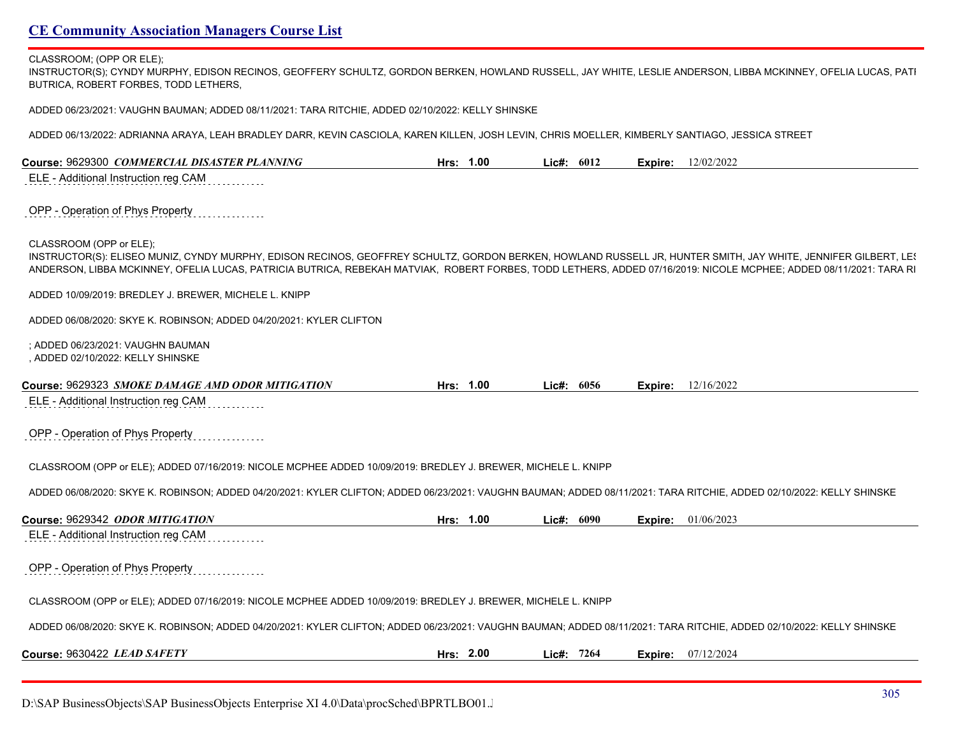#### CLASSROOM; (OPP OR ELE);

INSTRUCTOR(S); CYNDY MURPHY, EDISON RECINOS, GEOFFERY SCHULTZ, GORDON BERKEN, HOWLAND RUSSELL, JAY WHITE, LESLIE ANDERSON, LIBBA MCKINNEY, OFELIA LUCAS, PATI BUTRICA, ROBERT FORBES, TODD LETHERS,

ADDED 06/23/2021: VAUGHN BAUMAN; ADDED 08/11/2021: TARA RITCHIE, ADDED 02/10/2022: KELLY SHINSKE

ADDED 06/13/2022: ADRIANNA ARAYA, LEAH BRADLEY DARR, KEVIN CASCIOLA, KAREN KILLEN, JOSH LEVIN, CHRIS MOELLER, KIMBERLY SANTIAGO, JESSICA STREET

| Course: 9629300 COMMERCIAL DISASTER PLANNING                                                                                                                                                                                                                                                                                                                    | Hrs: 1.00 |              | Lic#: $6012$ | Expire: | 12/02/2022 |
|-----------------------------------------------------------------------------------------------------------------------------------------------------------------------------------------------------------------------------------------------------------------------------------------------------------------------------------------------------------------|-----------|--------------|--------------|---------|------------|
| ELE - Additional Instruction reg CAM                                                                                                                                                                                                                                                                                                                            |           |              |              |         |            |
| OPP - Operation of Phys Property                                                                                                                                                                                                                                                                                                                                |           |              |              |         |            |
| CLASSROOM (OPP or ELE);<br>INSTRUCTOR(S): ELISEO MUNIZ, CYNDY MURPHY, EDISON RECINOS, GEOFFREY SCHULTZ, GORDON BERKEN, HOWLAND RUSSELL JR, HUNTER SMITH, JAY WHITE, JENNIFER GILBERT, LES<br>ANDERSON, LIBBA MCKINNEY, OFELIA LUCAS, PATRICIA BUTRICA, REBEKAH MATVIAK, ROBERT FORBES, TODD LETHERS, ADDED 07/16/2019: NICOLE MCPHEE; ADDED 08/11/2021: TARA RI |           |              |              |         |            |
| ADDED 10/09/2019: BREDLEY J. BREWER, MICHELE L. KNIPP                                                                                                                                                                                                                                                                                                           |           |              |              |         |            |
| ADDED 06/08/2020: SKYE K. ROBINSON; ADDED 04/20/2021: KYLER CLIFTON                                                                                                                                                                                                                                                                                             |           |              |              |         |            |
| : ADDED 06/23/2021: VAUGHN BAUMAN<br>, ADDED 02/10/2022: KELLY SHINSKE                                                                                                                                                                                                                                                                                          |           |              |              |         |            |
| Course: 9629323 SMOKE DAMAGE AMD ODOR MITIGATION                                                                                                                                                                                                                                                                                                                | Hrs: 1.00 | Lic#: $6056$ |              | Expire: | 12/16/2022 |
| ELE - Additional Instruction reg CAM                                                                                                                                                                                                                                                                                                                            |           |              |              |         |            |
| OPP - Operation of Phys Property                                                                                                                                                                                                                                                                                                                                |           |              |              |         |            |
| CLASSROOM (OPP or ELE); ADDED 07/16/2019: NICOLE MCPHEE ADDED 10/09/2019: BREDLEY J. BREWER, MICHELE L. KNIPP                                                                                                                                                                                                                                                   |           |              |              |         |            |
| ADDED 06/08/2020: SKYE K. ROBINSON; ADDED 04/20/2021: KYLER CLIFTON; ADDED 06/23/2021: VAUGHN BAUMAN; ADDED 08/11/2021: TARA RITCHIE, ADDED 02/10/2022: KELLY SHINSKE                                                                                                                                                                                           |           |              |              |         |            |
| Course: 9629342 ODOR MITIGATION                                                                                                                                                                                                                                                                                                                                 | Hrs: 1.00 | Lic#: 6090   |              | Expire: | 01/06/2023 |
| ELE - Additional Instruction reg CAM                                                                                                                                                                                                                                                                                                                            |           |              |              |         |            |
| OPP - Operation of Phys Property                                                                                                                                                                                                                                                                                                                                |           |              |              |         |            |
| CLASSROOM (OPP or ELE); ADDED 07/16/2019: NICOLE MCPHEE ADDED 10/09/2019: BREDLEY J. BREWER, MICHELE L. KNIPP                                                                                                                                                                                                                                                   |           |              |              |         |            |
| ADDED 06/08/2020: SKYE K. ROBINSON; ADDED 04/20/2021: KYLER CLIFTON; ADDED 06/23/2021: VAUGHN BAUMAN; ADDED 08/11/2021: TARA RITCHIE, ADDED 02/10/2022: KELLY SHINSKE                                                                                                                                                                                           |           |              |              |         |            |
| Course: 9630422 LEAD SAFETY                                                                                                                                                                                                                                                                                                                                     | Hrs: 2.00 | Lic#: 7264   |              | Expire: | 07/12/2024 |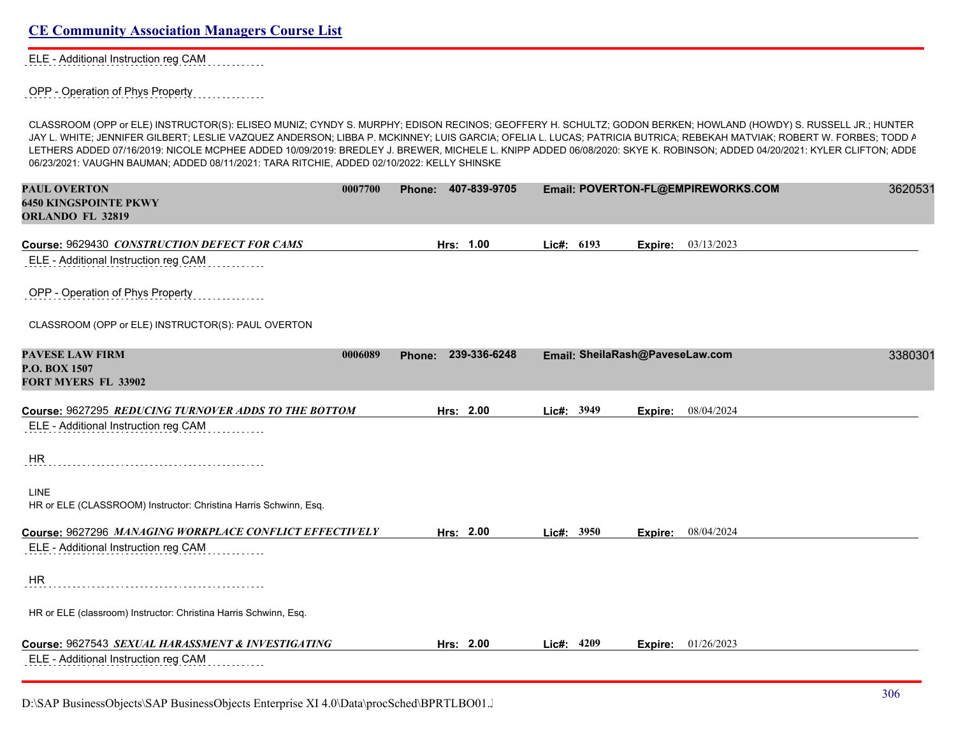| <b>CE Community Association Managers Course List</b> |  |  |
|------------------------------------------------------|--|--|
|                                                      |  |  |

ELE - Additional Instruction reg CAM

OPP - Operation of Phys Property

CLASSROOM (OPP or ELE) INSTRUCTOR(S): ELISEO MUNIZ; CYNDY S. MURPHY; EDISON RECINOS; GEOFFERY H. SCHULTZ; GODON BERKEN; HOWLAND (HOWDY) S. RUSSELL JR.; HUNTER JAY L. WHITE; JENNIFER GILBERT; LESLIE VAZQUEZ ANDERSON; LIBBA P. MCKINNEY; LUIS GARCIA; OFELIA L. LUCAS; PATRICIA BUTRICA; REBEKAH MATVIAK; ROBERT W. FORBES; TODD A LETHERS ADDED 07/16/2019: NICOLE MCPHEE ADDED 10/09/2019: BREDLEY J. BREWER, MICHELE L. KNIPP ADDED 06/08/2020: SKYE K. ROBINSON; ADDED 04/20/2021: KYLER CLIFTON; ADDED 06/23/2021: VAUGHN BAUMAN; ADDED 08/11/2021: TARA RITCHIE, ADDED 02/10/2022: KELLY SHINSKE

| <b>PAUL OVERTON</b><br><b>6450 KINGSPOINTE PKWY</b><br>ORLANDO FL 32819                         | 0007700 | Phone: 407-839-9705    |              |                                 | Email: POVERTON-FL@EMPIREWORKS.COM | 3620531 |
|-------------------------------------------------------------------------------------------------|---------|------------------------|--------------|---------------------------------|------------------------------------|---------|
| Course: 9629430 CONSTRUCTION DEFECT FOR CAMS<br>ELE - Additional Instruction reg CAM            |         | Hrs: 1.00              | Lic#: 6193   | Expire:                         | 03/13/2023                         |         |
| OPP - Operation of Phys Property                                                                |         |                        |              |                                 |                                    |         |
| CLASSROOM (OPP or ELE) INSTRUCTOR(S): PAUL OVERTON                                              |         |                        |              |                                 |                                    |         |
| <b>PAVESE LAW FIRM</b><br>P.O. BOX 1507<br><b>FORT MYERS FL 33902</b>                           | 0006089 | 239-336-6248<br>Phone: |              | Email: SheilaRash@PaveseLaw.com |                                    | 3380301 |
| Course: 9627295 REDUCING TURNOVER ADDS TO THE BOTTOM<br>ELE - Additional Instruction reg CAM    |         | Hrs: 2.00              | Lic#: 3949   | Expire:                         | 08/04/2024                         |         |
| HR                                                                                              |         |                        |              |                                 |                                    |         |
| <b>LINE</b><br>HR or ELE (CLASSROOM) Instructor: Christina Harris Schwinn, Esq.                 |         |                        |              |                                 |                                    |         |
| Course: 9627296 MANAGING WORKPLACE CONFLICT EFFECTIVELY<br>ELE - Additional Instruction reg CAM |         | Hrs: 2.00              | Lic#: $3950$ | Expire:                         | 08/04/2024                         |         |
| <b>HR</b>                                                                                       |         |                        |              |                                 |                                    |         |
| HR or ELE (classroom) Instructor: Christina Harris Schwinn, Esq.                                |         |                        |              |                                 |                                    |         |
| Course: 9627543 SEXUAL HARASSMENT & INVESTIGATING<br>ELE - Additional Instruction reg CAM       |         | Hrs: 2.00              | Lic#: 4209   | Expire:                         | 01/26/2023                         |         |

D:\SAP BusinessObjects\SAP BusinessObjects Enterprise XI 4.0\Data\procSched\BPRTLBO01.Jobserver2\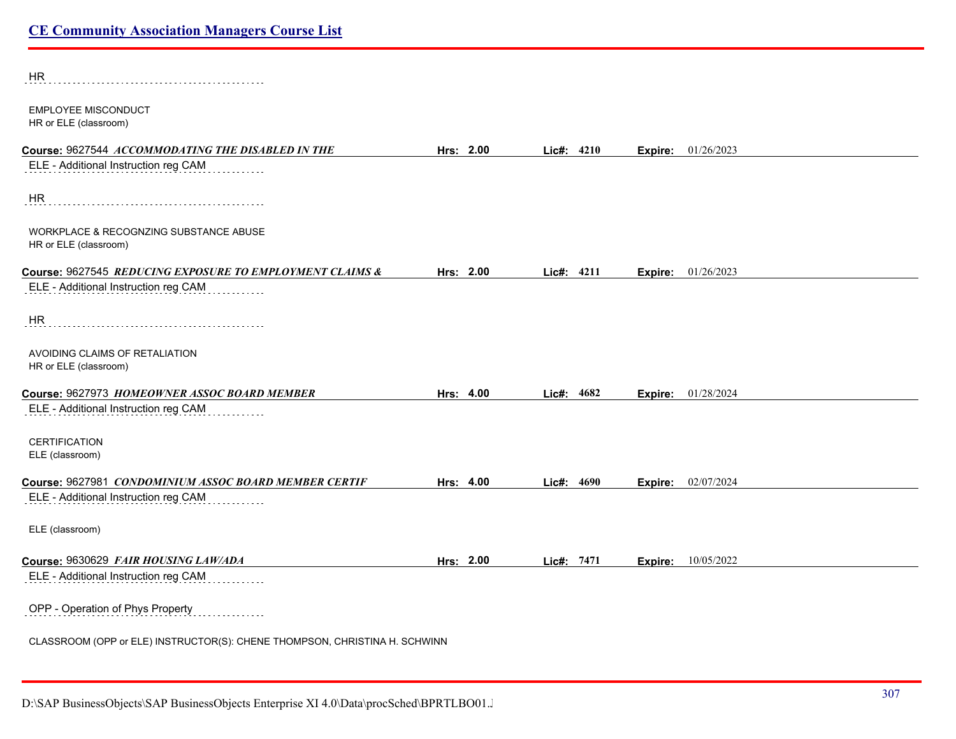| <b>HR</b>                                                                  |           |            |         |            |  |
|----------------------------------------------------------------------------|-----------|------------|---------|------------|--|
| <b>EMPLOYEE MISCONDUCT</b><br>HR or ELE (classroom)                        |           |            |         |            |  |
| Course: 9627544 ACCOMMODATING THE DISABLED IN THE                          | Hrs: 2.00 | Lic#: 4210 | Expire: | 01/26/2023 |  |
| ELE - Additional Instruction reg CAM                                       |           |            |         |            |  |
| <b>HR</b>                                                                  |           |            |         |            |  |
| WORKPLACE & RECOGNZING SUBSTANCE ABUSE<br>HR or ELE (classroom)            |           |            |         |            |  |
| Course: 9627545 REDUCING EXPOSURE TO EMPLOYMENT CLAIMS &                   | Hrs: 2.00 | Lic#: 4211 | Expire: | 01/26/2023 |  |
| ELE - Additional Instruction reg CAM                                       |           |            |         |            |  |
| HR                                                                         |           |            |         |            |  |
| AVOIDING CLAIMS OF RETALIATION<br>HR or ELE (classroom)                    |           |            |         |            |  |
| Course: 9627973 HOMEOWNER ASSOC BOARD MEMBER                               | Hrs: 4.00 | Lic#: 4682 | Expire: | 01/28/2024 |  |
| ELE - Additional Instruction reg CAM                                       |           |            |         |            |  |
| <b>CERTIFICATION</b><br>ELE (classroom)                                    |           |            |         |            |  |
| Course: 9627981 CONDOMINIUM ASSOC BOARD MEMBER CERTIF                      | Hrs: 4.00 | Lic#: 4690 | Expire: | 02/07/2024 |  |
| ELE - Additional Instruction reg CAM                                       |           |            |         |            |  |
| ELE (classroom)                                                            |           |            |         |            |  |
| Course: 9630629 FAIR HOUSING LAW/ADA                                       | Hrs: 2.00 | Lic#: 7471 | Expire: | 10/05/2022 |  |
| ELE - Additional Instruction reg CAM                                       |           |            |         |            |  |
| OPP - Operation of Phys Property                                           |           |            |         |            |  |
| CLASSROOM (OPP or ELE) INSTRUCTOR(S): CHENE THOMPSON, CHRISTINA H. SCHWINN |           |            |         |            |  |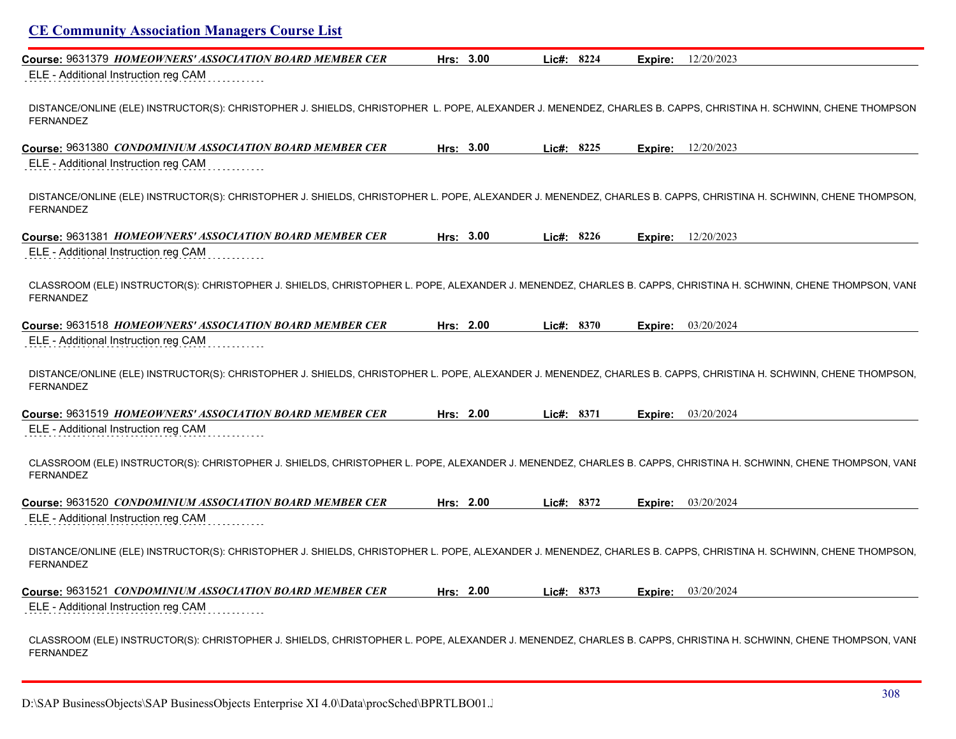| Course: 9631379 HOMEOWNERS' ASSOCIATION BOARD MEMBER CER                                                                                                                             | Hrs: 3.00 | Lic#: 8224    | Expire: | 12/20/2023         |
|--------------------------------------------------------------------------------------------------------------------------------------------------------------------------------------|-----------|---------------|---------|--------------------|
| ELE - Additional Instruction reg CAM                                                                                                                                                 |           |               |         |                    |
| DISTANCE/ONLINE (ELE) INSTRUCTOR(S): CHRISTOPHER J. SHIELDS, CHRISTOPHER L. POPE, ALEXANDER J. MENENDEZ, CHARLES B. CAPPS, CHRISTINA H. SCHWINN, CHENE THOMPSON<br>FERNANDEZ         |           |               |         |                    |
| Course: 9631380 CONDOMINIUM ASSOCIATION BOARD MEMBER CER                                                                                                                             | Hrs: 3.00 | Lic#: 8225    | Expire: | 12/20/2023         |
| ELE - Additional Instruction reg CAM                                                                                                                                                 |           |               |         |                    |
| DISTANCE/ONLINE (ELE) INSTRUCTOR(S): CHRISTOPHER J. SHIELDS, CHRISTOPHER L. POPE, ALEXANDER J. MENENDEZ, CHARLES B. CAPPS, CHRISTINA H. SCHWINN, CHENE THOMPSON,<br><b>FERNANDEZ</b> |           |               |         |                    |
| Course: 9631381 HOMEOWNERS' ASSOCIATION BOARD MEMBER CER                                                                                                                             | Hrs: 3.00 | Lic#: 8226    | Expire: | 12/20/2023         |
| ELE - Additional Instruction reg CAM                                                                                                                                                 |           |               |         |                    |
| CLASSROOM (ELE) INSTRUCTOR(S): CHRISTOPHER J. SHIELDS, CHRISTOPHER L. POPE, ALEXANDER J. MENENDEZ, CHARLES B. CAPPS, CHRISTINA H. SCHWINN, CHENE THOMPSON, VANI<br>FERNANDEZ         |           |               |         |                    |
| Course: 9631518 HOMEOWNERS' ASSOCIATION BOARD MEMBER CER                                                                                                                             | Hrs: 2.00 | $Lic\#: 8370$ |         | Expire: 03/20/2024 |
| ELE - Additional Instruction reg CAM                                                                                                                                                 |           |               |         |                    |
| DISTANCE/ONLINE (ELE) INSTRUCTOR(S): CHRISTOPHER J. SHIELDS, CHRISTOPHER L. POPE, ALEXANDER J. MENENDEZ, CHARLES B. CAPPS, CHRISTINA H. SCHWINN, CHENE THOMPSON,<br><b>FERNANDEZ</b> |           |               |         |                    |
| Course: 9631519 HOMEOWNERS' ASSOCIATION BOARD MEMBER CER                                                                                                                             | Hrs: 2.00 | Lic#: 8371    | Expire: | 03/20/2024         |
| ELE - Additional Instruction reg CAM                                                                                                                                                 |           |               |         |                    |
| CLASSROOM (ELE) INSTRUCTOR(S): CHRISTOPHER J. SHIELDS, CHRISTOPHER L. POPE, ALEXANDER J. MENENDEZ, CHARLES B. CAPPS, CHRISTINA H. SCHWINN, CHENE THOMPSON, VANI<br><b>FERNANDEZ</b>  |           |               |         |                    |
| Course: 9631520 CONDOMINIUM ASSOCIATION BOARD MEMBER CER                                                                                                                             | Hrs: 2.00 | Lic#: 8372    | Expire: | 03/20/2024         |
| ELE - Additional Instruction reg CAM                                                                                                                                                 |           |               |         |                    |
| DISTANCE/ONLINE (ELE) INSTRUCTOR(S): CHRISTOPHER J. SHIELDS, CHRISTOPHER L. POPE, ALEXANDER J. MENENDEZ, CHARLES B. CAPPS, CHRISTINA H. SCHWINN, CHENE THOMPSON,<br>FERNANDEZ        |           |               |         |                    |
| Course: 9631521 <i>CONDOMINIUM ASSOCIATION BOARD MEMBER CER</i>                                                                                                                      | Hrs: 2.00 | Lic#: 8373    | Expire: | 03/20/2024         |
| ELE - Additional Instruction reg CAM                                                                                                                                                 |           |               |         |                    |
| CLASSROOM (ELE) INSTRUCTOR(S): CHRISTOPHER J. SHIELDS, CHRISTOPHER L. POPE, ALEXANDER J. MENENDEZ, CHARLES B. CAPPS, CHRISTINA H. SCHWINN, CHENE THOMPSON, VANI<br>FERNANDEZ         |           |               |         |                    |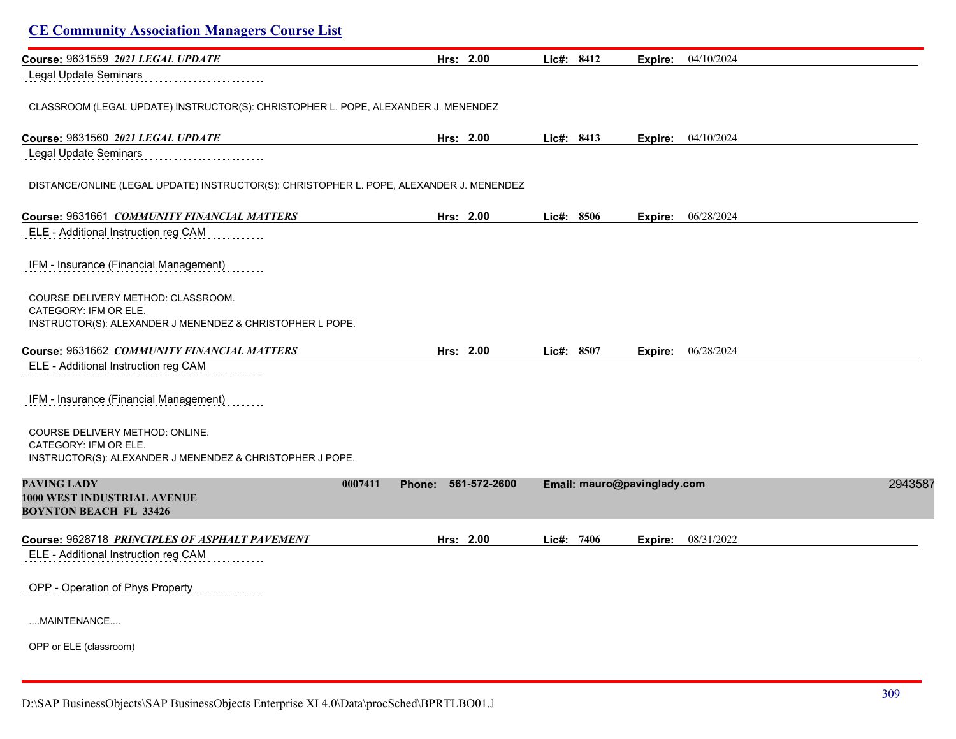| Course: 9631559 2021 LEGAL UPDATE                                                                                        | Hrs: 2.00                         | Lic#: 8412 | 04/10/2024<br>Expire:       |         |
|--------------------------------------------------------------------------------------------------------------------------|-----------------------------------|------------|-----------------------------|---------|
| <b>Legal Update Seminars</b>                                                                                             |                                   |            |                             |         |
| CLASSROOM (LEGAL UPDATE) INSTRUCTOR(S): CHRISTOPHER L. POPE, ALEXANDER J. MENENDEZ                                       |                                   |            |                             |         |
| Course: 9631560 2021 LEGAL UPDATE                                                                                        | Hrs: 2.00                         | Lic#: 8413 | Expire: 04/10/2024          |         |
| Legal Update Seminars                                                                                                    |                                   |            |                             |         |
| DISTANCE/ONLINE (LEGAL UPDATE) INSTRUCTOR(S): CHRISTOPHER L. POPE, ALEXANDER J. MENENDEZ                                 |                                   |            |                             |         |
| Course: 9631661 COMMUNITY FINANCIAL MATTERS                                                                              | Hrs: 2.00                         | Lic#: 8506 | Expire: 06/28/2024          |         |
| ELE - Additional Instruction reg CAM                                                                                     |                                   |            |                             |         |
| IFM - Insurance (Financial Management)                                                                                   |                                   |            |                             |         |
| COURSE DELIVERY METHOD: CLASSROOM.<br>CATEGORY: IFM OR ELE.<br>INSTRUCTOR(S): ALEXANDER J MENENDEZ & CHRISTOPHER L POPE. |                                   |            |                             |         |
| Course: 9631662 COMMUNITY FINANCIAL MATTERS                                                                              | Hrs: 2.00                         | Lic#: 8507 | Expire: 06/28/2024          |         |
| ELE - Additional Instruction reg CAM                                                                                     |                                   |            |                             |         |
| IFM - Insurance (Financial Management)                                                                                   |                                   |            |                             |         |
| COURSE DELIVERY METHOD: ONLINE.<br>CATEGORY: IFM OR ELE.<br>INSTRUCTOR(S): ALEXANDER J MENENDEZ & CHRISTOPHER J POPE.    |                                   |            |                             |         |
| <b>PAVING LADY</b><br>1000 WEST INDUSTRIAL AVENUE<br><b>BOYNTON BEACH FL 33426</b>                                       | 0007411<br>561-572-2600<br>Phone: |            | Email: mauro@pavinglady.com | 2943587 |
| Course: 9628718 PRINCIPLES OF ASPHALT PAVEMENT                                                                           | Hrs: 2.00                         | Lic#: 7406 | 08/31/2022<br>Expire:       |         |
| ELE - Additional Instruction reg CAM                                                                                     |                                   |            |                             |         |
| OPP - Operation of Phys Property                                                                                         |                                   |            |                             |         |
| MAINTENANCE                                                                                                              |                                   |            |                             |         |
| OPP or ELE (classroom)                                                                                                   |                                   |            |                             |         |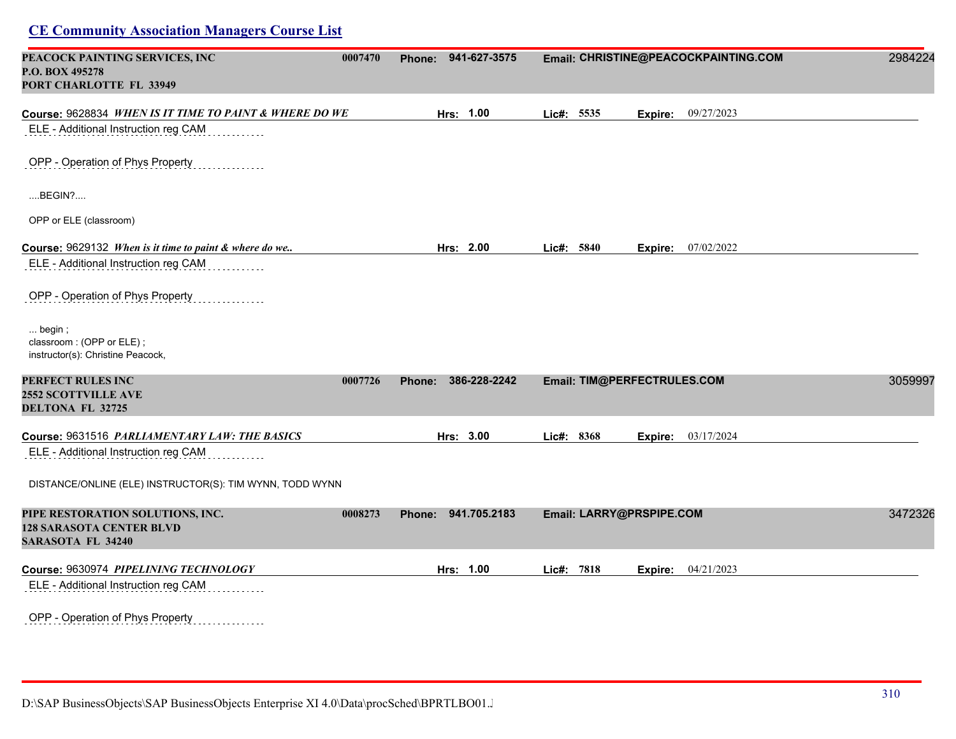| PEACOCK PAINTING SERVICES, INC<br>0007470<br>P.O. BOX 495278<br>PORT CHARLOTTE FL 33949         |         | Phone: 941-627-3575 | Email: CHRISTINE@PEACOCKPAINTING.COM | 2984224                     |         |
|-------------------------------------------------------------------------------------------------|---------|---------------------|--------------------------------------|-----------------------------|---------|
| Course: 9628834 WHEN IS IT TIME TO PAINT & WHERE DO WE                                          |         | Hrs: 1.00           | Lic#: 5535                           | Expire: 09/27/2023          |         |
| ELE - Additional Instruction reg CAM                                                            |         |                     |                                      |                             |         |
| OPP - Operation of Phys Property                                                                |         |                     |                                      |                             |         |
| $$ BEGIN? $$                                                                                    |         |                     |                                      |                             |         |
| OPP or ELE (classroom)                                                                          |         |                     |                                      |                             |         |
| Course: 9629132 When is it time to paint & where do we                                          |         | Hrs: 2.00           | Lic#: 5840                           | <b>Expire:</b> 07/02/2022   |         |
| ELE - Additional Instruction reg CAM                                                            |         |                     |                                      |                             |         |
| OPP - Operation of Phys Property                                                                |         |                     |                                      |                             |         |
| $\ldots$ begin;<br>classroom: (OPP or ELE);<br>instructor(s): Christine Peacock,                |         |                     |                                      |                             |         |
| PERFECT RULES INC<br><b>2552 SCOTTVILLE AVE</b><br>DELTONA FL 32725                             | 0007726 | Phone: 386-228-2242 |                                      | Email: TIM@PERFECTRULES.COM | 3059997 |
| Course: 9631516 PARLIAMENTARY LAW: THE BASICS                                                   |         | Hrs: 3.00           | Lic#: 8368                           | <b>Expire:</b> 03/17/2024   |         |
| ELE - Additional Instruction reg CAM                                                            |         |                     |                                      |                             |         |
| DISTANCE/ONLINE (ELE) INSTRUCTOR(S): TIM WYNN, TODD WYNN                                        |         |                     |                                      |                             |         |
| PIPE RESTORATION SOLUTIONS, INC.<br><b>128 SARASOTA CENTER BLVD</b><br><b>SARASOTA FL 34240</b> | 0008273 | Phone: 941.705.2183 | Email: LARRY@PRSPIPE.COM             |                             | 3472326 |
| Course: 9630974 PIPELINING TECHNOLOGY                                                           |         | Hrs: 1.00           | Lic#: 7818                           | <b>Expire:</b> 04/21/2023   |         |
| ELE - Additional Instruction reg CAM                                                            |         |                     |                                      |                             |         |
| OPP - Operation of Phys Property                                                                |         |                     |                                      |                             |         |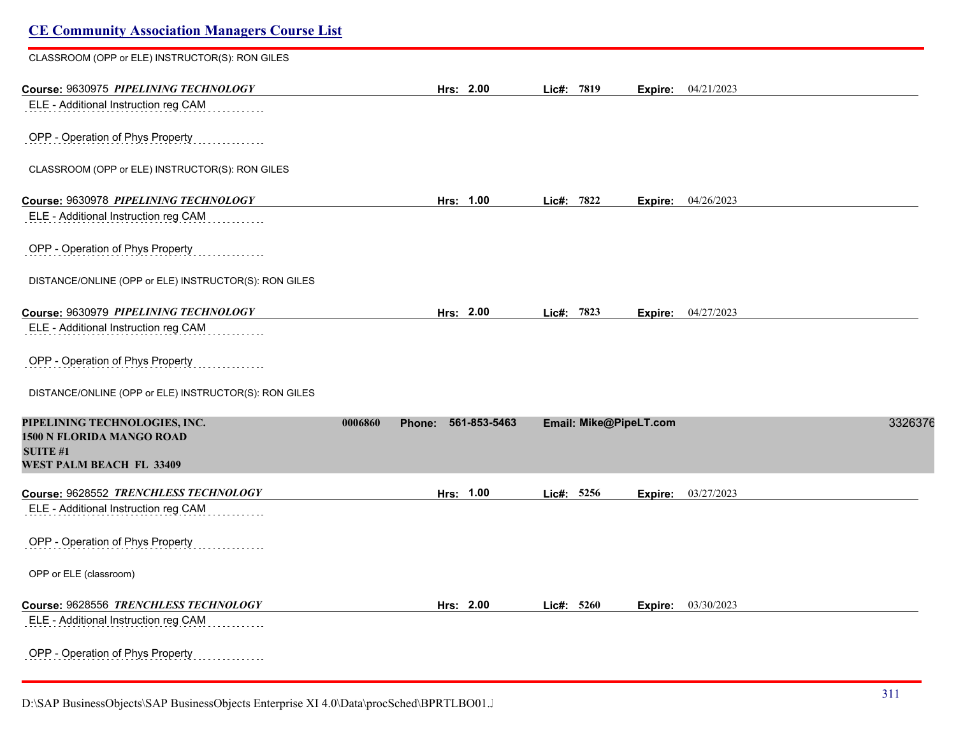| <b>CE Community Association Managers Course List</b>  |                   |              |                        |         |                    |         |
|-------------------------------------------------------|-------------------|--------------|------------------------|---------|--------------------|---------|
| CLASSROOM (OPP or ELE) INSTRUCTOR(S): RON GILES       |                   |              |                        |         |                    |         |
| Course: 9630975 PIPELINING TECHNOLOGY                 | Hrs: 2.00         |              | Lic#: 7819             |         | Expire: 04/21/2023 |         |
| ELE - Additional Instruction reg CAM                  |                   |              |                        |         |                    |         |
| OPP - Operation of Phys Property                      |                   |              |                        |         |                    |         |
| CLASSROOM (OPP or ELE) INSTRUCTOR(S): RON GILES       |                   |              |                        |         |                    |         |
| Course: 9630978 PIPELINING TECHNOLOGY                 | Hrs: 1.00         |              | Lic#: 7822             | Expire: | 04/26/2023         |         |
| ELE - Additional Instruction reg CAM                  |                   |              |                        |         |                    |         |
| OPP - Operation of Phys Property                      |                   |              |                        |         |                    |         |
| DISTANCE/ONLINE (OPP or ELE) INSTRUCTOR(S): RON GILES |                   |              |                        |         |                    |         |
| Course: 9630979 PIPELINING TECHNOLOGY                 | Hrs: 2.00         |              | Lic#: 7823             |         | Expire: 04/27/2023 |         |
| ELE - Additional Instruction reg CAM                  |                   |              |                        |         |                    |         |
| OPP - Operation of Phys Property                      |                   |              |                        |         |                    |         |
| DISTANCE/ONLINE (OPP or ELE) INSTRUCTOR(S): RON GILES |                   |              |                        |         |                    |         |
| PIPELINING TECHNOLOGIES, INC.                         | 0006860<br>Phone: | 561-853-5463 | Email: Mike@PipeLT.com |         |                    | 3326376 |
| 1500 N FLORIDA MANGO ROAD<br><b>SUITE #1</b>          |                   |              |                        |         |                    |         |
| WEST PALM BEACH FL 33409                              |                   |              |                        |         |                    |         |
| Course: 9628552 TRENCHLESS TECHNOLOGY                 | Hrs: 1.00         |              | Lic#: 5256             | Expire: | 03/27/2023         |         |
| ELE - Additional Instruction reg CAM                  |                   |              |                        |         |                    |         |
| OPP - Operation of Phys Property                      |                   |              |                        |         |                    |         |
| OPP or ELE (classroom)                                |                   |              |                        |         |                    |         |
| Course: 9628556 TRENCHLESS TECHNOLOGY                 | Hrs: 2.00         |              | Lic#: 5260             | Expire: | 03/30/2023         |         |
| ELE - Additional Instruction reg CAM                  |                   |              |                        |         |                    |         |
| OPP - Operation of Phys Property                      |                   |              |                        |         |                    |         |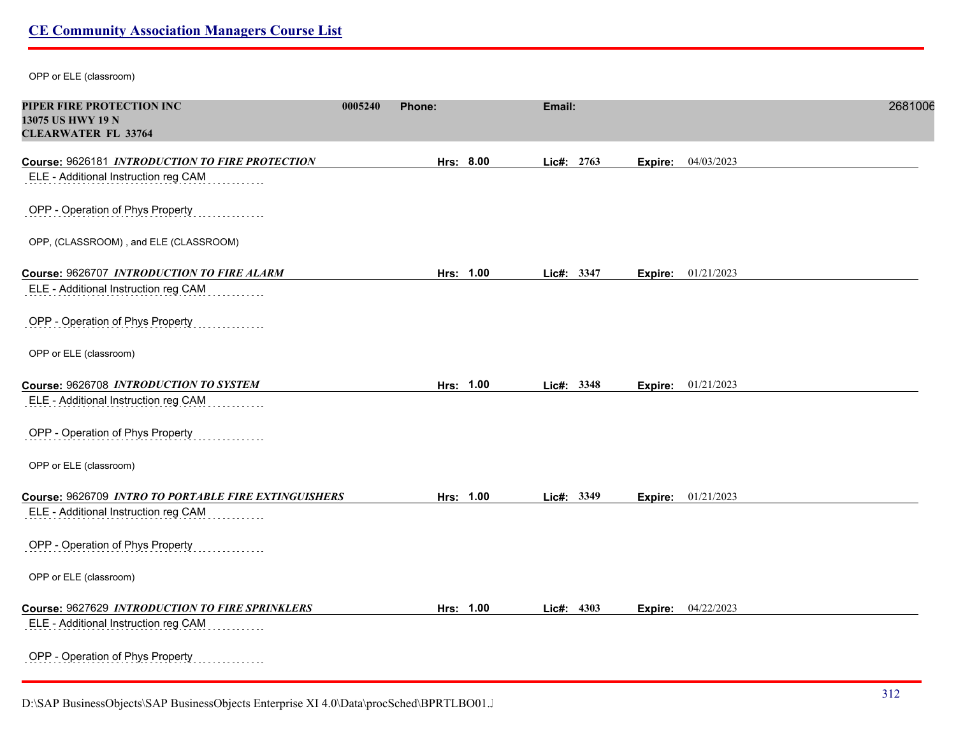OPP or ELE (classroom)

| PIPER FIRE PROTECTION INC<br>13075 US HWY 19 N<br><b>CLEARWATER FL 33764</b> | 0005240 | Phone:    | Email: |            |         |                           | 2681006 |
|------------------------------------------------------------------------------|---------|-----------|--------|------------|---------|---------------------------|---------|
| Course: 9626181 INTRODUCTION TO FIRE PROTECTION                              |         | Hrs: 8.00 |        | Lic#: 2763 | Expire: | 04/03/2023                |         |
| ELE - Additional Instruction reg CAM                                         |         |           |        |            |         |                           |         |
| OPP - Operation of Phys Property                                             |         |           |        |            |         |                           |         |
| OPP, (CLASSROOM), and ELE (CLASSROOM)                                        |         |           |        |            |         |                           |         |
| Course: 9626707 INTRODUCTION TO FIRE ALARM                                   |         | Hrs: 1.00 |        | Lic#: 3347 |         | Expire: 01/21/2023        |         |
| ELE - Additional Instruction reg CAM                                         |         |           |        |            |         |                           |         |
| OPP - Operation of Phys Property                                             |         |           |        |            |         |                           |         |
| OPP or ELE (classroom)                                                       |         |           |        |            |         |                           |         |
| Course: 9626708 INTRODUCTION TO SYSTEM                                       |         | Hrs: 1.00 |        | Lic#: 3348 |         | <b>Expire:</b> 01/21/2023 |         |
| ELE - Additional Instruction reg CAM                                         |         |           |        |            |         |                           |         |
| OPP - Operation of Phys Property                                             |         |           |        |            |         |                           |         |
| OPP or ELE (classroom)                                                       |         |           |        |            |         |                           |         |
| Course: 9626709 INTRO TO PORTABLE FIRE EXTINGUISHERS                         |         | Hrs: 1.00 |        | Lic#: 3349 | Expire: | 01/21/2023                |         |
| ELE - Additional Instruction reg CAM                                         |         |           |        |            |         |                           |         |
| OPP - Operation of Phys Property                                             |         |           |        |            |         |                           |         |
| OPP or ELE (classroom)                                                       |         |           |        |            |         |                           |         |
| Course: 9627629 INTRODUCTION TO FIRE SPRINKLERS                              |         | Hrs: 1.00 |        | Lic#: 4303 |         | Expire: 04/22/2023        |         |
| ELE - Additional Instruction reg CAM                                         |         |           |        |            |         |                           |         |
| OPP - Operation of Phys Property                                             |         |           |        |            |         |                           |         |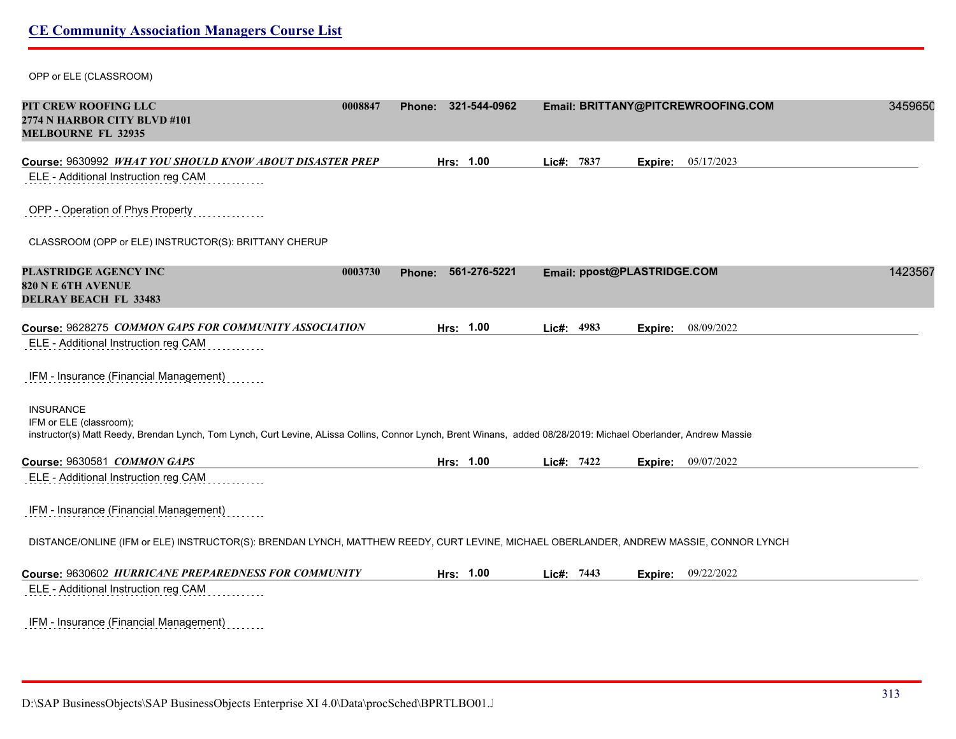OPP or ELE (CLASSROOM)

| PIT CREW ROOFING LLC<br>2774 N HARBOR CITY BLVD #101<br><b>MELBOURNE FL 32935</b>                                                                                                                               | 0008847           | Phone: 321-544-0962 |            |                             |         | Email: BRITTANY@PITCREWROOFING.COM | 3459650 |
|-----------------------------------------------------------------------------------------------------------------------------------------------------------------------------------------------------------------|-------------------|---------------------|------------|-----------------------------|---------|------------------------------------|---------|
| Course: 9630992 WHAT YOU SHOULD KNOW ABOUT DISASTER PREP                                                                                                                                                        |                   | Hrs: 1.00           | Lic#: 7837 |                             | Expire: | 05/17/2023                         |         |
| ELE - Additional Instruction reg CAM                                                                                                                                                                            |                   |                     |            |                             |         |                                    |         |
| OPP - Operation of Phys Property                                                                                                                                                                                |                   |                     |            |                             |         |                                    |         |
| CLASSROOM (OPP or ELE) INSTRUCTOR(S): BRITTANY CHERUP                                                                                                                                                           |                   |                     |            |                             |         |                                    |         |
| PLASTRIDGE AGENCY INC                                                                                                                                                                                           | 0003730<br>Phone: | 561-276-5221        |            | Email: ppost@PLASTRIDGE.COM |         |                                    | 1423567 |
| <b>820 N E 6TH AVENUE</b><br><b>DELRAY BEACH FL 33483</b>                                                                                                                                                       |                   |                     |            |                             |         |                                    |         |
| Course: 9628275 COMMON GAPS FOR COMMUNITY ASSOCIATION                                                                                                                                                           |                   | Hrs: 1.00           | Lic#: 4983 |                             |         | Expire: 08/09/2022                 |         |
| ELE - Additional Instruction reg CAM                                                                                                                                                                            |                   |                     |            |                             |         |                                    |         |
| IFM - Insurance (Financial Management)                                                                                                                                                                          |                   |                     |            |                             |         |                                    |         |
| <b>INSURANCE</b><br>IFM or ELE (classroom);<br>instructor(s) Matt Reedy, Brendan Lynch, Tom Lynch, Curt Levine, ALissa Collins, Connor Lynch, Brent Winans, added 08/28/2019: Michael Oberlander, Andrew Massie |                   |                     |            |                             |         |                                    |         |
| Course: 9630581 COMMON GAPS                                                                                                                                                                                     |                   | Hrs: 1.00           | Lic#: 7422 |                             | Expire: | 09/07/2022                         |         |
| ELE - Additional Instruction reg CAM                                                                                                                                                                            |                   |                     |            |                             |         |                                    |         |
| IFM - Insurance (Financial Management)                                                                                                                                                                          |                   |                     |            |                             |         |                                    |         |
| DISTANCE/ONLINE (IFM or ELE) INSTRUCTOR(S): BRENDAN LYNCH, MATTHEW REEDY, CURT LEVINE, MICHAEL OBERLANDER, ANDREW MASSIE, CONNOR LYNCH                                                                          |                   |                     |            |                             |         |                                    |         |
| Course: 9630602 HURRICANE PREPAREDNESS FOR COMMUNITY                                                                                                                                                            |                   | Hrs: 1.00           | Lic#: 7443 |                             |         | <b>Expire:</b> 09/22/2022          |         |
| ELE - Additional Instruction reg CAM                                                                                                                                                                            |                   |                     |            |                             |         |                                    |         |
| IFM - Insurance (Financial Management)                                                                                                                                                                          |                   |                     |            |                             |         |                                    |         |

D:\SAP BusinessObjects\SAP BusinessObjects Enterprise XI 4.0\Data\procSched\BPRTLBO01.Jobserver2\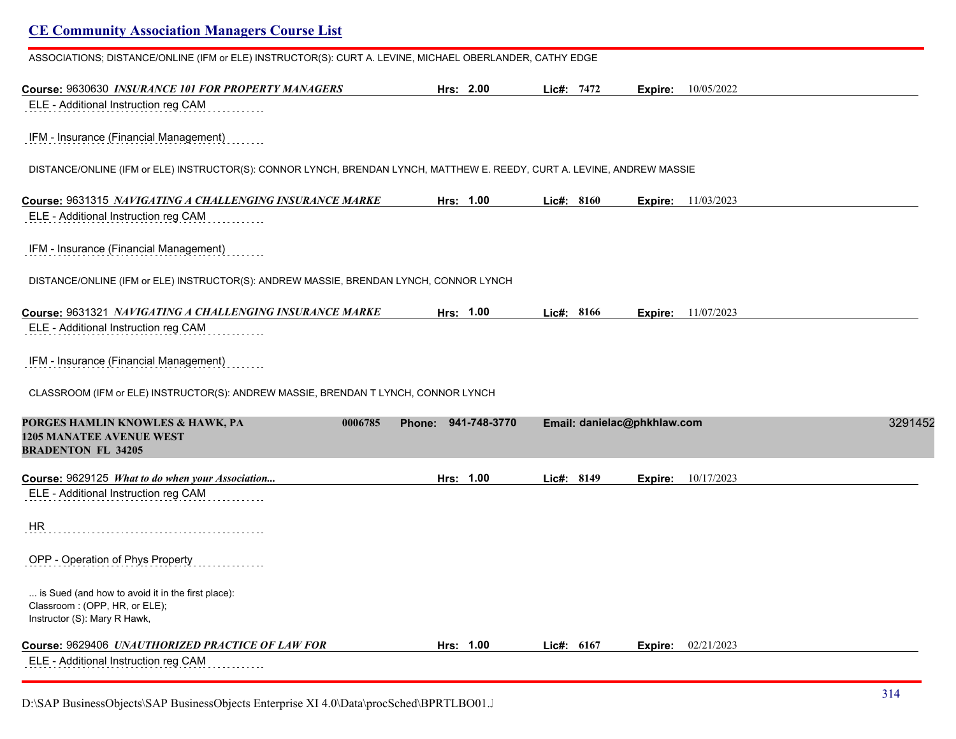| ASSOCIATIONS; DISTANCE/ONLINE (IFM or ELE) INSTRUCTOR(S): CURT A. LEVINE, MICHAEL OBERLANDER, CATHY EDGE                 |                     |              |                             |                           |         |
|--------------------------------------------------------------------------------------------------------------------------|---------------------|--------------|-----------------------------|---------------------------|---------|
| Course: 9630630 INSURANCE 101 FOR PROPERTY MANAGERS                                                                      | Hrs: 2.00           | Lic#: 7472   | Expire:                     | 10/05/2022                |         |
| ELE - Additional Instruction reg CAM                                                                                     |                     |              |                             |                           |         |
| IFM - Insurance (Financial Management)                                                                                   |                     |              |                             |                           |         |
| DISTANCE/ONLINE (IFM or ELE) INSTRUCTOR(S): CONNOR LYNCH, BRENDAN LYNCH, MATTHEW E. REEDY, CURT A. LEVINE, ANDREW MASSIE |                     |              |                             |                           |         |
| Course: 9631315 NAVIGATING A CHALLENGING INSURANCE MARKE                                                                 | Hrs: 1.00           | Lic#: 8160   |                             | <b>Expire:</b> 11/03/2023 |         |
| ELE - Additional Instruction reg CAM                                                                                     |                     |              |                             |                           |         |
| IFM - Insurance (Financial Management)                                                                                   |                     |              |                             |                           |         |
| DISTANCE/ONLINE (IFM or ELE) INSTRUCTOR(S): ANDREW MASSIE, BRENDAN LYNCH, CONNOR LYNCH                                   |                     |              |                             |                           |         |
| Course: 9631321 <i>NAVIGATING A CHALLENGING INSURANCE MARKE</i>                                                          | Hrs: 1.00           | Lic#: 8166   | Expire:                     | 11/07/2023                |         |
| ELE - Additional Instruction reg CAM                                                                                     |                     |              |                             |                           |         |
| IFM - Insurance (Financial Management)                                                                                   |                     |              |                             |                           |         |
| CLASSROOM (IFM or ELE) INSTRUCTOR(S): ANDREW MASSIE, BRENDAN T LYNCH, CONNOR LYNCH                                       |                     |              |                             |                           |         |
| 0006785<br>PORGES HAMLIN KNOWLES & HAWK, PA<br><b>1205 MANATEE AVENUE WEST</b><br><b>BRADENTON FL 34205</b>              | Phone: 941-748-3770 |              | Email: danielac@phkhlaw.com |                           | 3291452 |
| Course: 9629125 What to do when your Association                                                                         | Hrs: 1.00           | Lic#: 8149   | Expire:                     | 10/17/2023                |         |
| ELE - Additional Instruction reg CAM                                                                                     |                     |              |                             |                           |         |
| HR                                                                                                                       |                     |              |                             |                           |         |
| OPP - Operation of Phys Property                                                                                         |                     |              |                             |                           |         |
| is Sued (and how to avoid it in the first place):<br>Classroom: (OPP, HR, or ELE);<br>Instructor (S): Mary R Hawk,       |                     |              |                             |                           |         |
| Course: 9629406 UNAUTHORIZED PRACTICE OF LAW FOR                                                                         | Hrs: 1.00           | Lic#: $6167$ | Expire:                     | 02/21/2023                |         |
| ELE - Additional Instruction reg CAM<br>.                                                                                |                     |              |                             |                           |         |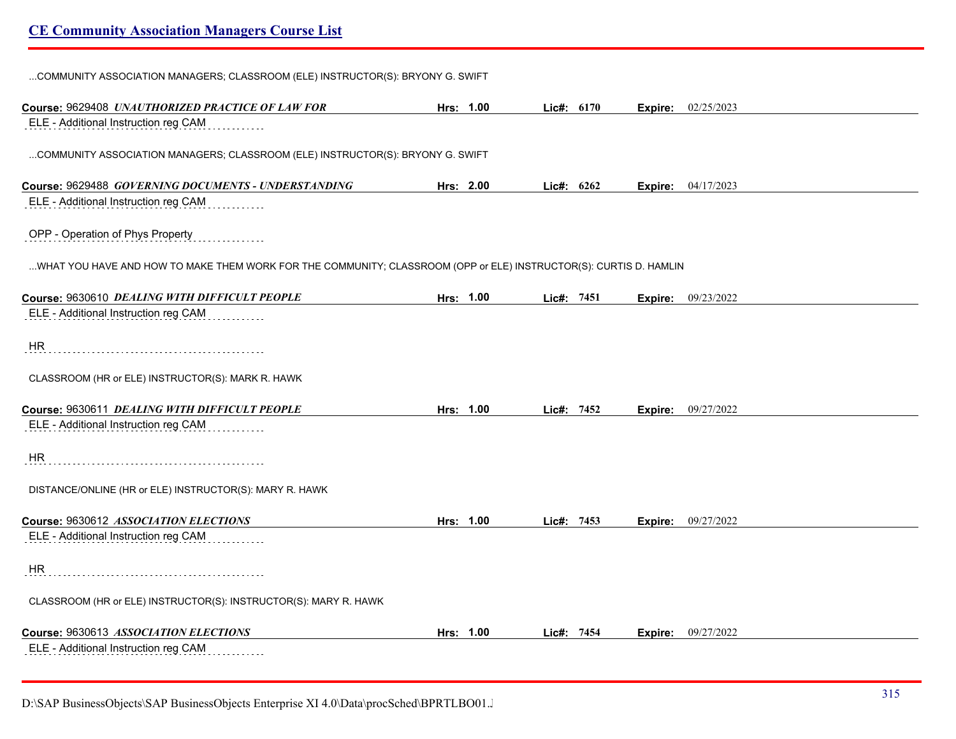| COMMUNITY ASSOCIATION MANAGERS; CLASSROOM (ELE) INSTRUCTOR(S): BRYONY G. SWIFT                                    |           |           |              |  |                           |
|-------------------------------------------------------------------------------------------------------------------|-----------|-----------|--------------|--|---------------------------|
| Course: 9629408 UNAUTHORIZED PRACTICE OF LAW FOR                                                                  |           | Hrs: 1.00 | Lic#: 6170   |  | <b>Expire:</b> 02/25/2023 |
| ELE - Additional Instruction reg CAM                                                                              |           |           |              |  |                           |
| COMMUNITY ASSOCIATION MANAGERS; CLASSROOM (ELE) INSTRUCTOR(S): BRYONY G. SWIFT                                    |           |           |              |  |                           |
| Course: 9629488 GOVERNING DOCUMENTS - UNDERSTANDING                                                               | Hrs: 2.00 |           | Lic#: 6262   |  | <b>Expire:</b> 04/17/2023 |
| ELE - Additional Instruction reg CAM                                                                              |           |           |              |  |                           |
| OPP - Operation of Phys Property                                                                                  |           |           |              |  |                           |
| WHAT YOU HAVE AND HOW TO MAKE THEM WORK FOR THE COMMUNITY; CLASSROOM (OPP or ELE) INSTRUCTOR(S): CURTIS D. HAMLIN |           |           |              |  |                           |
| Course: 9630610 DEALING WITH DIFFICULT PEOPLE                                                                     |           | Hrs: 1.00 | Lie#: 7451   |  | <b>Expire:</b> 09/23/2022 |
| ELE - Additional Instruction reg CAM                                                                              |           |           |              |  |                           |
| HR.                                                                                                               |           |           |              |  |                           |
| CLASSROOM (HR or ELE) INSTRUCTOR(S): MARK R. HAWK                                                                 |           |           |              |  |                           |
| Course: 9630611 DEALING WITH DIFFICULT PEOPLE                                                                     |           | Hrs: 1.00 | Lic#: $7452$ |  | <b>Expire:</b> 09/27/2022 |
| ELE - Additional Instruction reg CAM<br>.<br>.                                                                    |           |           |              |  |                           |
| HR.                                                                                                               |           |           |              |  |                           |
| DISTANCE/ONLINE (HR or ELE) INSTRUCTOR(S): MARY R. HAWK                                                           |           |           |              |  |                           |
| Course: 9630612 ASSOCIATION ELECTIONS                                                                             |           | Hrs: 1.00 | Lic#: 7453   |  | <b>Expire:</b> 09/27/2022 |
| ELE - Additional Instruction reg CAM                                                                              |           |           |              |  |                           |
| HR.                                                                                                               |           |           |              |  |                           |
| CLASSROOM (HR or ELE) INSTRUCTOR(S): INSTRUCTOR(S): MARY R. HAWK                                                  |           |           |              |  |                           |
| Course: 9630613 ASSOCIATION ELECTIONS                                                                             |           | Hrs: 1.00 | Lic#: 7454   |  | <b>Expire:</b> 09/27/2022 |
| ELE - Additional Instruction reg CAM                                                                              |           |           |              |  |                           |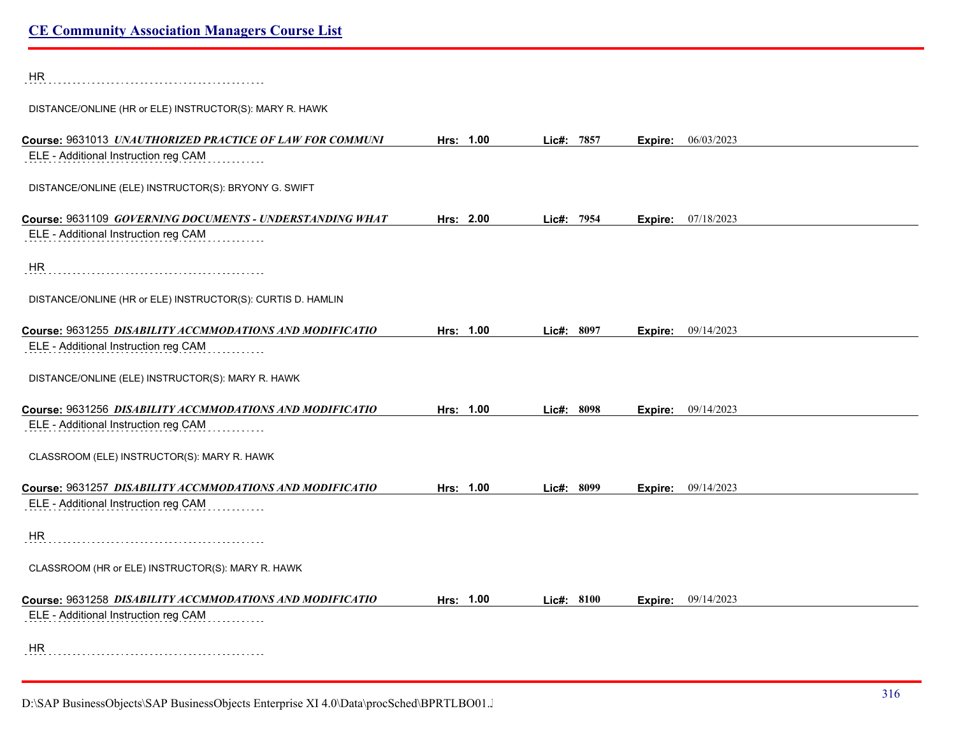| <b>HR</b>                                                                                        |           |               |         |            |
|--------------------------------------------------------------------------------------------------|-----------|---------------|---------|------------|
| DISTANCE/ONLINE (HR or ELE) INSTRUCTOR(S): MARY R. HAWK                                          |           |               |         |            |
| Course: 9631013 UNAUTHORIZED PRACTICE OF LAW FOR COMMUNI<br>ELE - Additional Instruction reg CAM | Hrs: 1.00 | 7857<br>Lic#: | Expire: | 06/03/2023 |
| DISTANCE/ONLINE (ELE) INSTRUCTOR(S): BRYONY G. SWIFT                                             |           |               |         |            |
| Course: 9631109 GOVERNING DOCUMENTS - UNDERSTANDING WHAT                                         | Hrs: 2.00 | Lic#: 7954    | Expire: | 07/18/2023 |
| ELE - Additional Instruction reg CAM                                                             |           |               |         |            |
| HR                                                                                               |           |               |         |            |
| DISTANCE/ONLINE (HR or ELE) INSTRUCTOR(S): CURTIS D. HAMLIN                                      |           |               |         |            |
| Course: 9631255 DISABILITY ACCMMODATIONS AND MODIFICATIO                                         | Hrs: 1.00 | Lic#: 8097    | Expire: | 09/14/2023 |
| ELE - Additional Instruction reg CAM                                                             |           |               |         |            |
| DISTANCE/ONLINE (ELE) INSTRUCTOR(S): MARY R. HAWK                                                |           |               |         |            |
| Course: 9631256 DISABILITY ACCMMODATIONS AND MODIFICATIO                                         | Hrs: 1.00 | Lic#: 8098    | Expire: | 09/14/2023 |
| ELE - Additional Instruction reg CAM                                                             |           |               |         |            |
| CLASSROOM (ELE) INSTRUCTOR(S): MARY R. HAWK                                                      |           |               |         |            |
| Course: 9631257 DISABILITY ACCMMODATIONS AND MODIFICATIO                                         | Hrs: 1.00 | Lic#: 8099    | Expire: | 09/14/2023 |
| ELE - Additional Instruction reg CAM                                                             |           |               |         |            |
| <b>HR</b>                                                                                        |           |               |         |            |
| CLASSROOM (HR or ELE) INSTRUCTOR(S): MARY R. HAWK                                                |           |               |         |            |
| Course: 9631258 DISABILITY ACCMMODATIONS AND MODIFICATIO                                         | Hrs: 1.00 | Lic#: 8100    | Expire: | 09/14/2023 |
| ELE - Additional Instruction reg CAM                                                             |           |               |         |            |
| <b>HR</b>                                                                                        |           |               |         |            |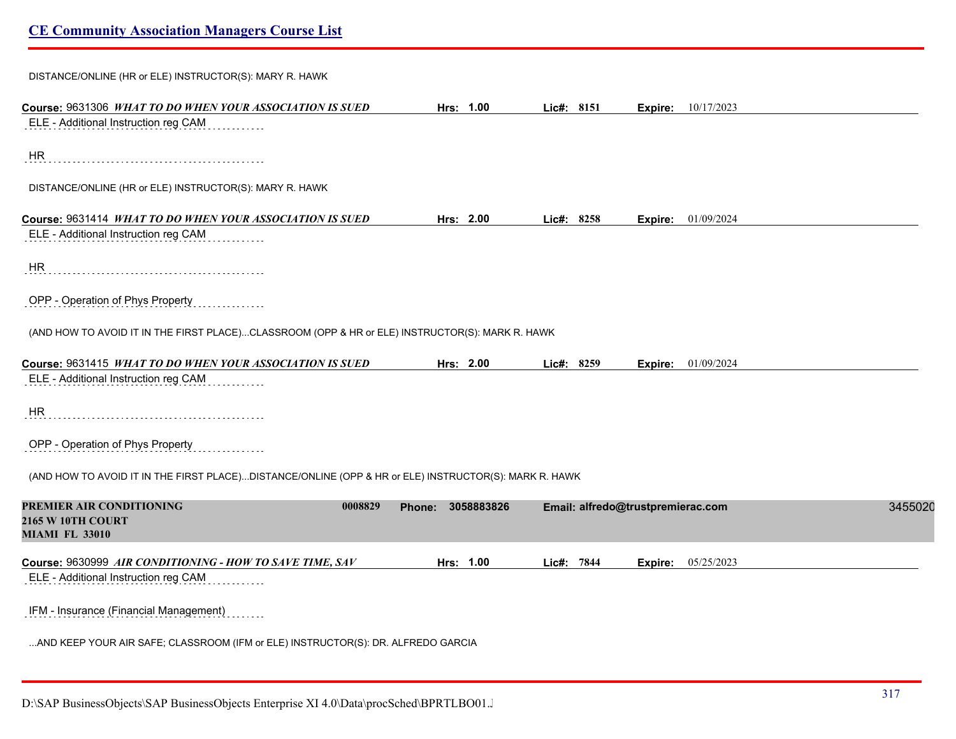| DISTANCE/ONLINE (HR or ELE) INSTRUCTOR(S): MARY R. HAWK                                               |                      |            |                                   |         |
|-------------------------------------------------------------------------------------------------------|----------------------|------------|-----------------------------------|---------|
| Course: 9631306 WHAT TO DO WHEN YOUR ASSOCIATION IS SUED                                              | Hrs: 1.00            | Lic#: 8151 | Expire: 10/17/2023                |         |
| ELE - Additional Instruction reg CAM                                                                  |                      |            |                                   |         |
| HR                                                                                                    |                      |            |                                   |         |
| DISTANCE/ONLINE (HR or ELE) INSTRUCTOR(S): MARY R. HAWK                                               |                      |            |                                   |         |
| Course: 9631414 WHAT TO DO WHEN YOUR ASSOCIATION IS SUED                                              | Hrs: 2.00            | Lic#: 8258 | <b>Expire:</b> 01/09/2024         |         |
| ELE - Additional Instruction reg CAM                                                                  |                      |            |                                   |         |
| HR                                                                                                    |                      |            |                                   |         |
| OPP - Operation of Phys Property                                                                      |                      |            |                                   |         |
| (AND HOW TO AVOID IT IN THE FIRST PLACE)CLASSROOM (OPP & HR or ELE) INSTRUCTOR(S): MARK R. HAWK       |                      |            |                                   |         |
| Course: 9631415 WHAT TO DO WHEN YOUR ASSOCIATION IS SUED                                              | Hrs: 2.00            | Lic#: 8259 | 01/09/2024<br>Expire:             |         |
| ELE - Additional Instruction reg CAM                                                                  |                      |            |                                   |         |
| <b>HR</b>                                                                                             |                      |            |                                   |         |
| OPP - Operation of Phys Property                                                                      |                      |            |                                   |         |
| (AND HOW TO AVOID IT IN THE FIRST PLACE)DISTANCE/ONLINE (OPP & HR or ELE) INSTRUCTOR(S): MARK R. HAWK |                      |            |                                   |         |
| PREMIER AIR CONDITIONING<br>0008829<br>2165 W 10TH COURT<br><b>MIAMI FL 33010</b>                     | 3058883826<br>Phone: |            | Email: alfredo@trustpremierac.com | 3455020 |
| Course: 9630999 AIR CONDITIONING - HOW TO SAVE TIME, SAV                                              | Hrs: 1.00            | Lic#: 7844 | 05/25/2023<br>Expire:             |         |
| ELE - Additional Instruction reg CAM                                                                  |                      |            |                                   |         |
| IFM - Insurance (Financial Management)                                                                |                      |            |                                   |         |
| AND KEEP YOUR AIR SAFE; CLASSROOM (IFM or ELE) INSTRUCTOR(S): DR. ALFREDO GARCIA                      |                      |            |                                   |         |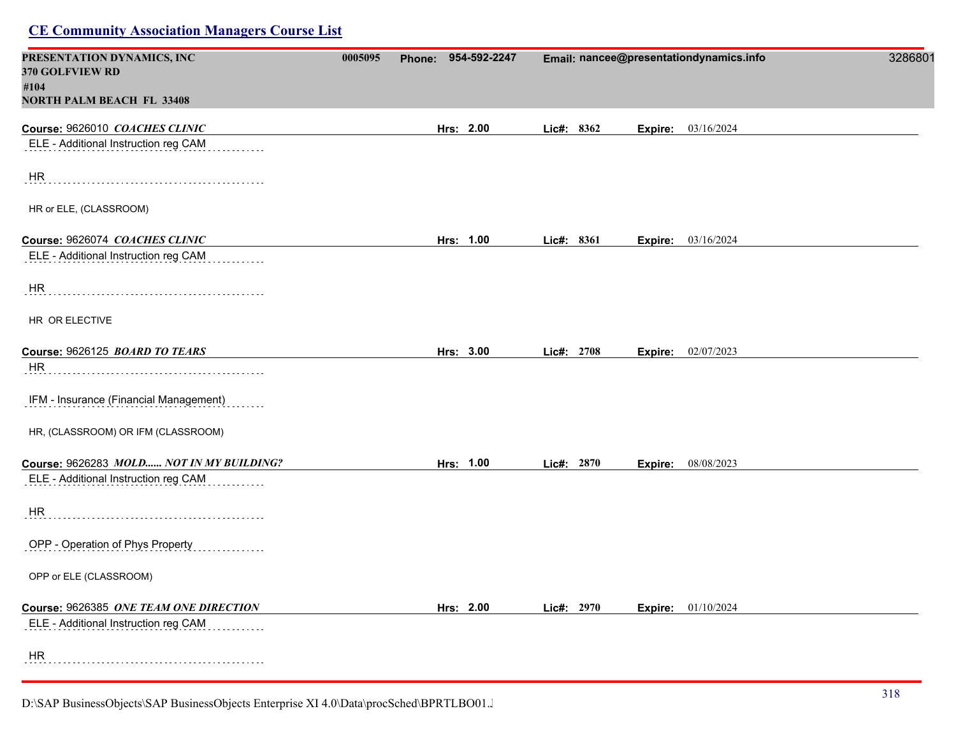| PRESENTATION DYNAMICS, INC<br>370 GOLFVIEW RD | 0005095 | Phone: 954-592-2247 |            | Email: nancee@presentationdynamics.info | 3286801 |
|-----------------------------------------------|---------|---------------------|------------|-----------------------------------------|---------|
| #104                                          |         |                     |            |                                         |         |
| <b>NORTH PALM BEACH FL 33408</b>              |         |                     |            |                                         |         |
| Course: 9626010 COACHES CLINIC                |         | Hrs: 2.00           | Lic#: 8362 | Expire: 03/16/2024                      |         |
| ELE - Additional Instruction reg CAM          |         |                     |            |                                         |         |
| <b>HR</b>                                     |         |                     |            |                                         |         |
| HR or ELE, (CLASSROOM)                        |         |                     |            |                                         |         |
| Course: 9626074 COACHES CLINIC                |         | Hrs: 1.00           | Lic#: 8361 | <b>Expire:</b> 03/16/2024               |         |
| ELE - Additional Instruction reg CAM          |         |                     |            |                                         |         |
| HR                                            |         |                     |            |                                         |         |
| HR OR ELECTIVE                                |         |                     |            |                                         |         |
| Course: 9626125 BOARD TO TEARS                |         | Hrs: 3.00           | Lic#: 2708 | <b>Expire:</b> 02/07/2023               |         |
| HR                                            |         |                     |            |                                         |         |
| IFM - Insurance (Financial Management)        |         |                     |            |                                         |         |
| HR, (CLASSROOM) OR IFM (CLASSROOM)            |         |                     |            |                                         |         |
| Course: 9626283 MOLD NOT IN MY BUILDING?      |         | Hrs: 1.00           | Lic#: 2870 | Expire: 08/08/2023                      |         |
| ELE - Additional Instruction reg CAM          |         |                     |            |                                         |         |
| HR                                            |         |                     |            |                                         |         |
| OPP - Operation of Phys Property              |         |                     |            |                                         |         |
| OPP or ELE (CLASSROOM)                        |         |                     |            |                                         |         |
| Course: 9626385 ONE TEAM ONE DIRECTION        |         | Hrs: 2.00           | Lic#: 2970 | Expire: 01/10/2024                      |         |
| ELE - Additional Instruction reg CAM          |         |                     |            |                                         |         |
| HR                                            |         |                     |            |                                         |         |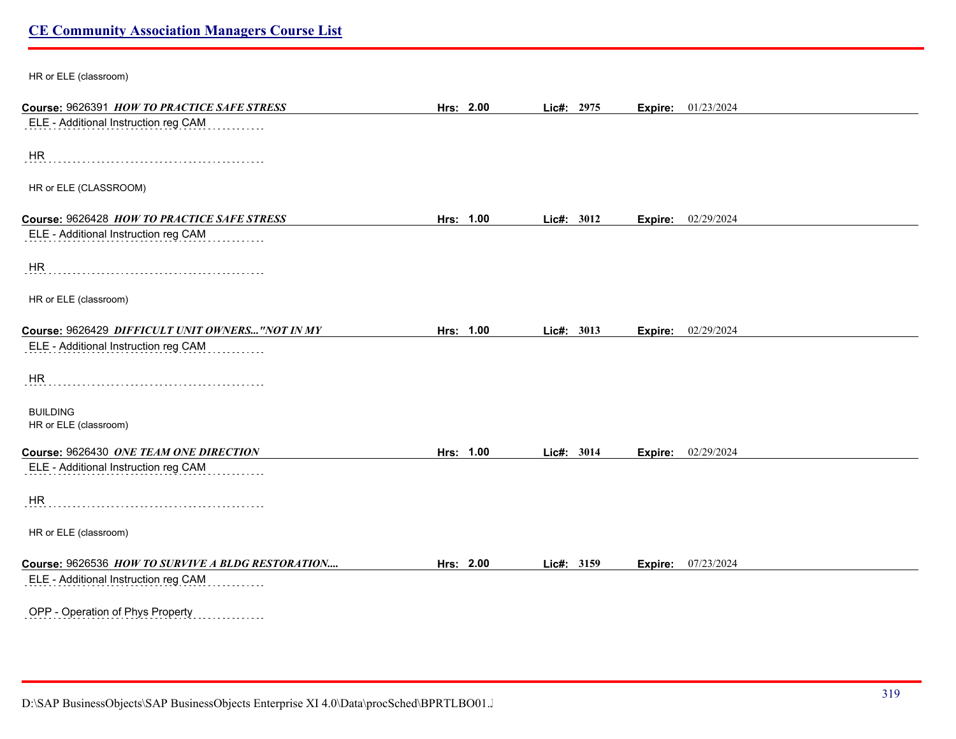| HR or ELE (classroom)                                                               |           |            |         |                           |
|-------------------------------------------------------------------------------------|-----------|------------|---------|---------------------------|
| Course: 9626391 HOW TO PRACTICE SAFE STRESS                                         | Hrs: 2.00 | Lic#: 2975 | Expire: | 01/23/2024                |
| ELE - Additional Instruction reg CAM                                                |           |            |         |                           |
| HR                                                                                  |           |            |         |                           |
| HR or ELE (CLASSROOM)                                                               |           |            |         |                           |
| Course: 9626428 HOW TO PRACTICE SAFE STRESS<br>ELE - Additional Instruction reg CAM | Hrs: 1.00 | Lic#: 3012 | Expire: | 02/29/2024                |
|                                                                                     |           |            |         |                           |
| HR                                                                                  |           |            |         |                           |
| HR or ELE (classroom)                                                               |           |            |         |                           |
| Course: 9626429 DIFFICULT UNIT OWNERS "NOT IN MY                                    | Hrs: 1.00 | Lic#: 3013 |         | <b>Expire: 02/29/2024</b> |
| ELE - Additional Instruction reg CAM                                                |           |            |         |                           |
| <b>HR</b>                                                                           |           |            |         |                           |
| <b>BUILDING</b><br>HR or ELE (classroom)                                            |           |            |         |                           |
|                                                                                     |           |            |         |                           |
| Course: 9626430 ONE TEAM ONE DIRECTION<br>ELE - Additional Instruction reg CAM      | Hrs: 1.00 | Lic#: 3014 | Expire: | 02/29/2024                |
| <b>HR</b>                                                                           |           |            |         |                           |
| HR or ELE (classroom)                                                               |           |            |         |                           |
| Course: 9626536 HOW TO SURVIVE A BLDG RESTORATION                                   | Hrs: 2.00 | Lic#: 3159 | Expire: | 07/23/2024                |
| ELE - Additional Instruction reg CAM                                                |           |            |         |                           |
| OPP - Operation of Phys Property                                                    |           |            |         |                           |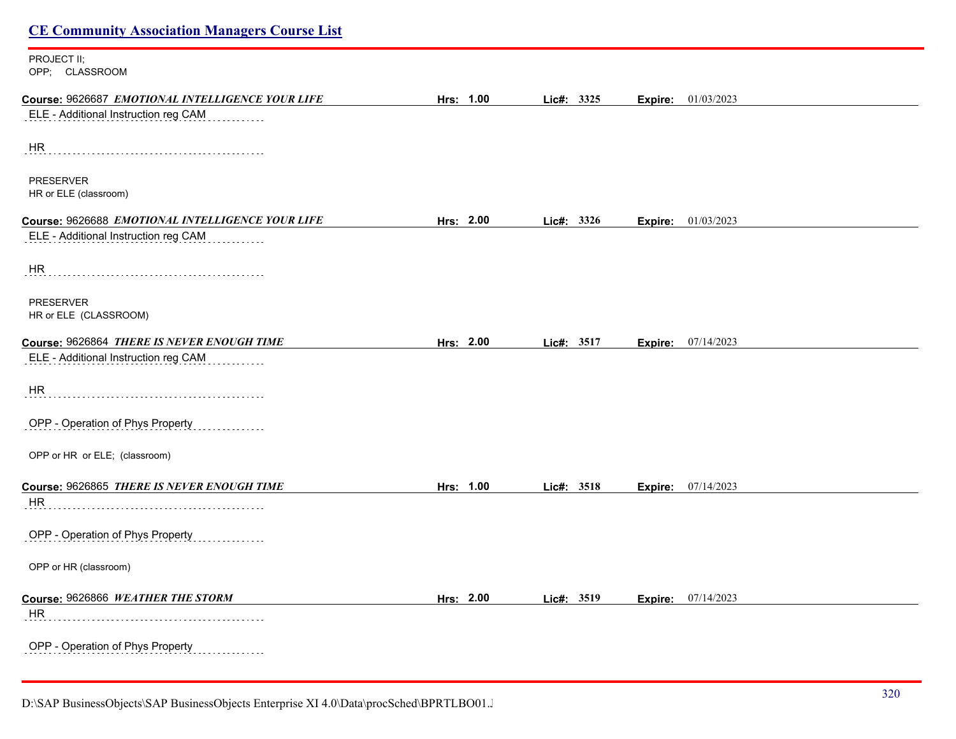# **CE Community Association Managers Course List** PROJECT II; OPP; CLASSROOM **Course:** 9626687 *EMOTIONAL INTELLIGENCE YOUR LIFE* **Hrs: 1.00 Lic#: 3325 Expire:** 01/03/2023 ELE - Additional Instruction reg CAM **HR** PRESERVER HR or ELE (classroom) **Course:** 9626688 *EMOTIONAL INTELLIGENCE YOUR LIFE* **Hrs: 2.00 Lic#: 3326 Expire:** 01/03/2023 ELE - Additional Instruction reg CAM <u>. . . . . . . . . .</u> HR PRESERVER HR or ELE (CLASSROOM) **Course:** 9626864 *THERE IS NEVER ENOUGH TIME* **Hrs: 2.00 Lic#: 3517 Expire:** 07/14/2023 ELE - Additional Instruction reg CAM HR OPP - Operation of Phys Property OPP or HR or ELE; (classroom) **Course:** 9626865 *THERE IS NEVER ENOUGH TIME* **Hrs: 1.00 Lic#: 3518 Expire:** 07/14/2023 HR OPP - Operation of Phys Property OPP or HR (classroom) **Course:** 9626866 *WEATHER THE STORM* **Hrs: 2.00 Lic#: 3519 Expire:** 07/14/2023 HR OPP - Operation of Phys Property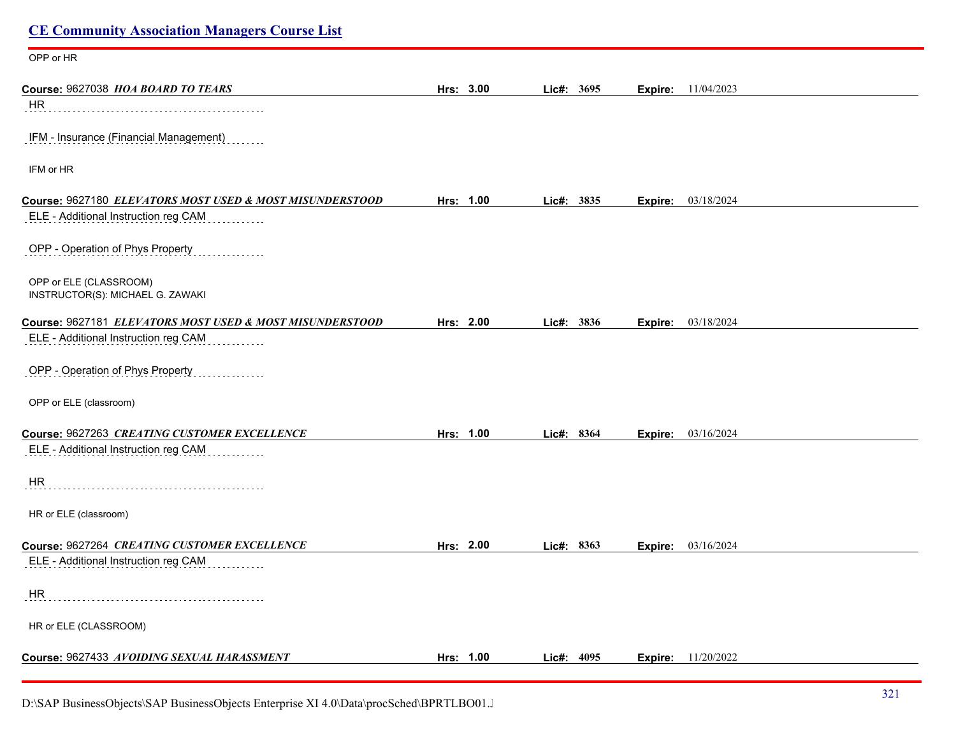| <b>CE Community Association Managers Course List</b>       |           |            |         |                           |
|------------------------------------------------------------|-----------|------------|---------|---------------------------|
| OPP or HR                                                  |           |            |         |                           |
| Course: 9627038 HOA BOARD TO TEARS                         | Hrs: 3.00 | Lic#: 3695 | Expire: | 11/04/2023                |
| HR.                                                        |           |            |         |                           |
| IFM - Insurance (Financial Management)                     |           |            |         |                           |
| IFM or HR                                                  |           |            |         |                           |
| Course: 9627180 ELEVATORS MOST USED & MOST MISUNDERSTOOD   | Hrs: 1.00 | Lic#: 3835 |         | <b>Expire:</b> 03/18/2024 |
| ELE - Additional Instruction reg CAM                       |           |            |         |                           |
| OPP - Operation of Phys Property                           |           |            |         |                           |
| OPP or ELE (CLASSROOM)<br>INSTRUCTOR(S): MICHAEL G. ZAWAKI |           |            |         |                           |
| Course: 9627181 ELEVATORS MOST USED & MOST MISUNDERSTOOD   | Hrs: 2.00 | Lic#: 3836 | Expire: | 03/18/2024                |
| ELE - Additional Instruction reg CAM                       |           |            |         |                           |
| OPP - Operation of Phys Property                           |           |            |         |                           |
| OPP or ELE (classroom)                                     |           |            |         |                           |
| Course: 9627263 CREATING CUSTOMER EXCELLENCE               | Hrs: 1.00 | Lic#: 8364 | Expire: | 03/16/2024                |
| ELE - Additional Instruction reg CAM                       |           |            |         |                           |
| HR                                                         |           |            |         |                           |
| HR or ELE (classroom)                                      |           |            |         |                           |
| Course: 9627264 CREATING CUSTOMER EXCELLENCE               | Hrs: 2.00 | Lic#: 8363 | Expire: | 03/16/2024                |
| ELE - Additional Instruction reg CAM                       |           |            |         |                           |
| HR                                                         |           |            |         |                           |
| HR or ELE (CLASSROOM)                                      |           |            |         |                           |
| Course: 9627433 AVOIDING SEXUAL HARASSMENT                 | Hrs: 1.00 | Lic#: 4095 |         | <b>Expire:</b> 11/20/2022 |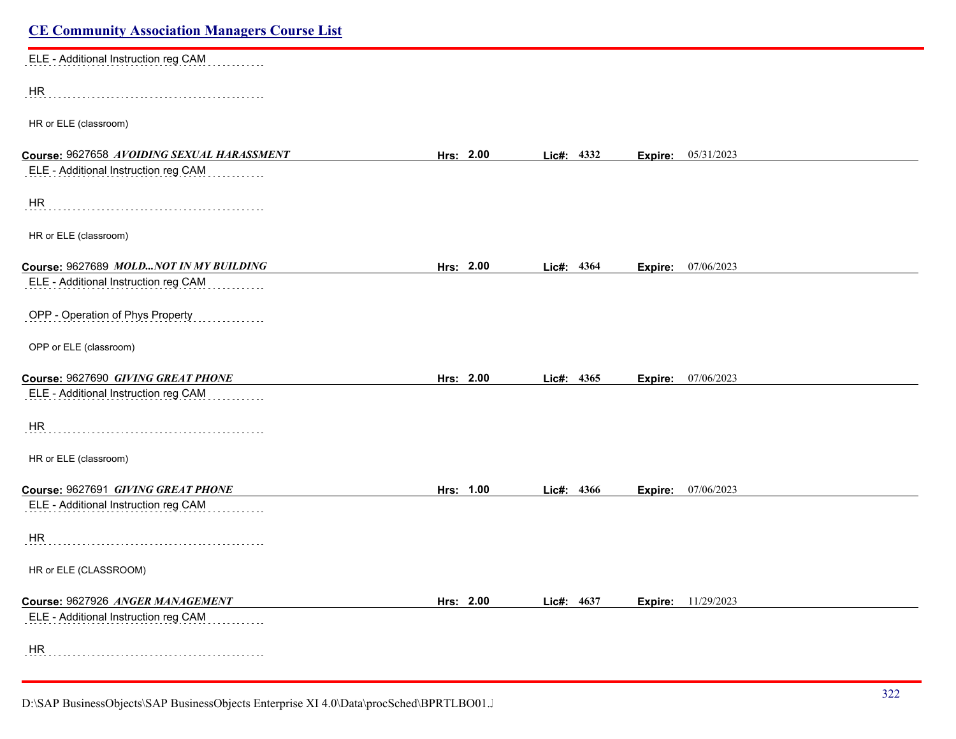| <b>CE Community Association Managers Course List</b> |           |            |                           |  |
|------------------------------------------------------|-----------|------------|---------------------------|--|
| ELE - Additional Instruction reg CAM                 |           |            |                           |  |
| HR                                                   |           |            |                           |  |
| HR or ELE (classroom)                                |           |            |                           |  |
| Course: 9627658 AVOIDING SEXUAL HARASSMENT           | Hrs: 2.00 | Lic#: 4332 | 05/31/2023<br>Expire:     |  |
| ELE - Additional Instruction reg CAM                 |           |            |                           |  |
| HR                                                   |           |            |                           |  |
| HR or ELE (classroom)                                |           |            |                           |  |
| Course: 9627689 MOLDNOT IN MY BUILDING               | Hrs: 2.00 | Lic#: 4364 | Expire: 07/06/2023        |  |
| ELE - Additional Instruction reg CAM                 |           |            |                           |  |
| OPP - Operation of Phys Property                     |           |            |                           |  |
| OPP or ELE (classroom)                               |           |            |                           |  |
| Course: 9627690 GIVING GREAT PHONE                   | Hrs: 2.00 | Lic#: 4365 | <b>Expire:</b> 07/06/2023 |  |
| ELE - Additional Instruction reg CAM                 |           |            |                           |  |
| HR                                                   |           |            |                           |  |
| HR or ELE (classroom)                                |           |            |                           |  |
| Course: 9627691 GIVING GREAT PHONE                   | Hrs: 1.00 | Lic#: 4366 | 07/06/2023<br>Expire:     |  |
| ELE - Additional Instruction reg CAM<br>dia a a a a  |           |            |                           |  |
| <b>HR</b>                                            |           |            |                           |  |
| HR or ELE (CLASSROOM)                                |           |            |                           |  |
| Course: 9627926 ANGER MANAGEMENT                     | Hrs: 2.00 | Lic#: 4637 | <b>Expire:</b> 11/29/2023 |  |
| ELE - Additional Instruction reg CAM                 |           |            |                           |  |
| HR                                                   |           |            |                           |  |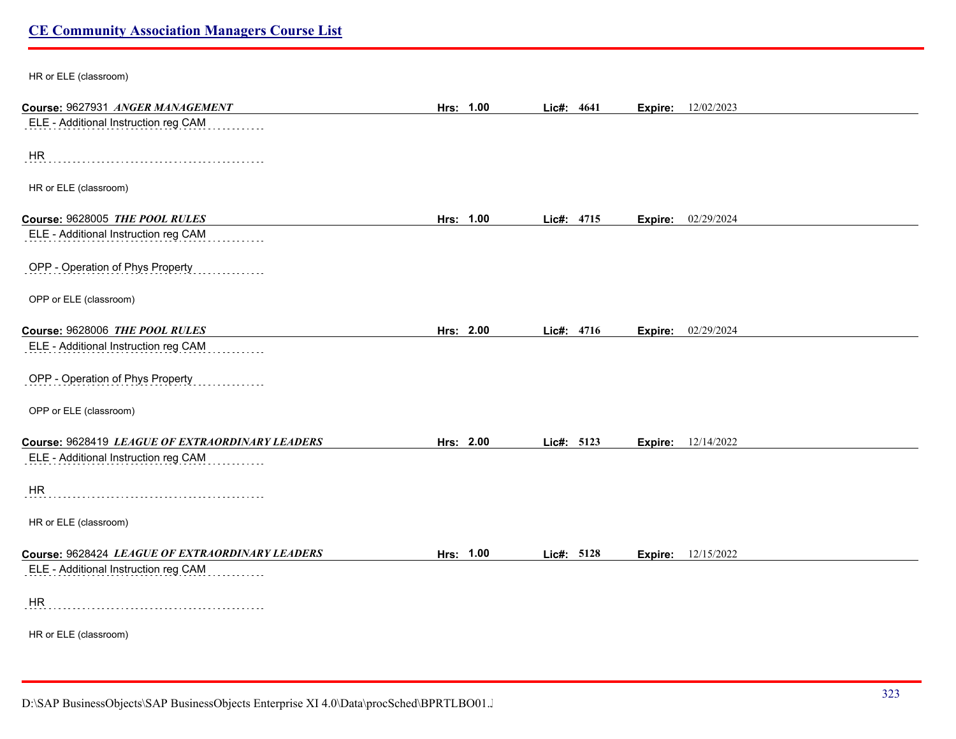| HR or ELE (classroom)                           |           |            |         |                           |
|-------------------------------------------------|-----------|------------|---------|---------------------------|
| Course: 9627931 ANGER MANAGEMENT                | Hrs: 1.00 | Lic#: 4641 | Expire: | 12/02/2023                |
| ELE - Additional Instruction reg CAM            |           |            |         |                           |
| HR                                              |           |            |         |                           |
| HR or ELE (classroom)                           |           |            |         |                           |
| Course: 9628005 THE POOL RULES                  | Hrs: 1.00 | Lic#: 4715 | Expire: | 02/29/2024                |
| ELE - Additional Instruction reg CAM            |           |            |         |                           |
| OPP - Operation of Phys Property                |           |            |         |                           |
| OPP or ELE (classroom)                          |           |            |         |                           |
| Course: 9628006 THE POOL RULES                  | Hrs: 2.00 | Lic#: 4716 |         | <b>Expire:</b> 02/29/2024 |
| ELE - Additional Instruction reg CAM            |           |            |         |                           |
| OPP - Operation of Phys Property                |           |            |         |                           |
| OPP or ELE (classroom)                          |           |            |         |                           |
| Course: 9628419 LEAGUE OF EXTRAORDINARY LEADERS | Hrs: 2.00 | Lic#: 5123 | Expire: | 12/14/2022                |
| ELE - Additional Instruction reg CAM            |           |            |         |                           |
| <b>HR</b>                                       |           |            |         |                           |
| HR or ELE (classroom)                           |           |            |         |                           |
| Course: 9628424 LEAGUE OF EXTRAORDINARY LEADERS | Hrs: 1.00 | Lic#: 5128 | Expire: | 12/15/2022                |
| ELE - Additional Instruction reg CAM            |           |            |         |                           |
| HR                                              |           |            |         |                           |
| HR or ELE (classroom)                           |           |            |         |                           |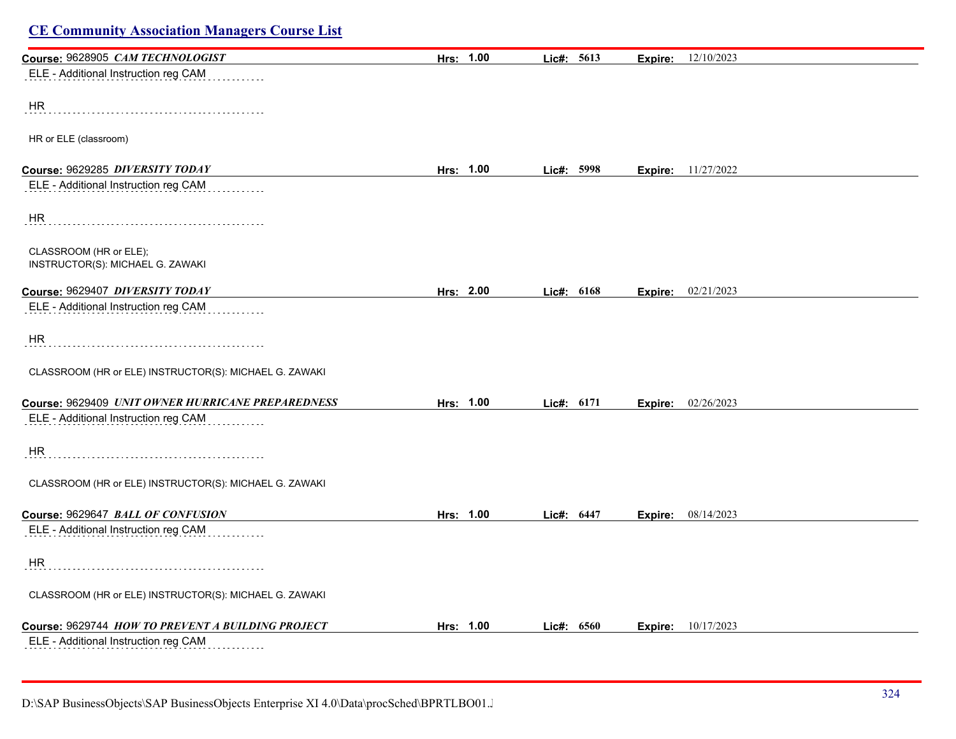| Course: 9628905 CAM TECHNOLOGIST                           | Hrs: 1.00 | Lic#: 5613 | <b>Expire:</b> 12/10/2023 |  |
|------------------------------------------------------------|-----------|------------|---------------------------|--|
| ELE - Additional Instruction reg CAM                       |           |            |                           |  |
| HR                                                         |           |            |                           |  |
|                                                            |           |            |                           |  |
| HR or ELE (classroom)                                      |           |            |                           |  |
| Course: 9629285 DIVERSITY TODAY                            | Hrs: 1.00 | Lic#: 5998 | <b>Expire:</b> 11/27/2022 |  |
| ELE - Additional Instruction reg CAM                       |           |            |                           |  |
| HR                                                         |           |            |                           |  |
| CLASSROOM (HR or ELE);<br>INSTRUCTOR(S): MICHAEL G. ZAWAKI |           |            |                           |  |
| Course: 9629407 DIVERSITY TODAY                            | Hrs: 2.00 | Lic#: 6168 | <b>Expire:</b> 02/21/2023 |  |
| ELE - Additional Instruction reg CAM                       |           |            |                           |  |
| HR                                                         |           |            |                           |  |
| CLASSROOM (HR or ELE) INSTRUCTOR(S): MICHAEL G. ZAWAKI     |           |            |                           |  |
| Course: 9629409 UNIT OWNER HURRICANE PREPAREDNESS          | Hrs: 1.00 | Lic#: 6171 | 02/26/2023<br>Expire:     |  |
| ELE - Additional Instruction reg CAM                       |           |            |                           |  |
| HR.                                                        |           |            |                           |  |
| CLASSROOM (HR or ELE) INSTRUCTOR(S): MICHAEL G. ZAWAKI     |           |            |                           |  |
| Course: 9629647 BALL OF CONFUSION                          | Hrs: 1.00 | Lic#: 6447 | <b>Expire:</b> 08/14/2023 |  |
| ELE - Additional Instruction reg CAM                       |           |            |                           |  |
| HR                                                         |           |            |                           |  |
| CLASSROOM (HR or ELE) INSTRUCTOR(S): MICHAEL G. ZAWAKI     |           |            |                           |  |
| Course: 9629744 HOW TO PREVENT A BUILDING PROJECT          | Hrs: 1.00 | Lic#: 6560 | <b>Expire:</b> 10/17/2023 |  |
| ELE - Additional Instruction reg CAM                       |           |            |                           |  |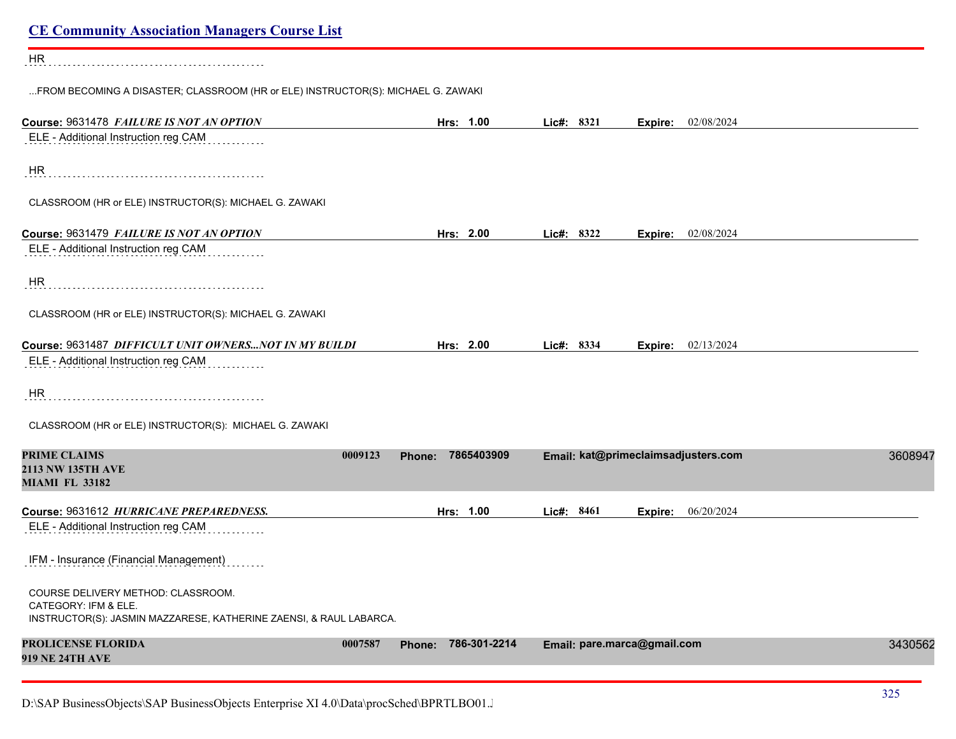| <b>CE Community Association Managers Course List</b>                                                                             |         |                      |                             |                                     |         |
|----------------------------------------------------------------------------------------------------------------------------------|---------|----------------------|-----------------------------|-------------------------------------|---------|
| HR                                                                                                                               |         |                      |                             |                                     |         |
| FROM BECOMING A DISASTER; CLASSROOM (HR or ELE) INSTRUCTOR(S): MICHAEL G. ZAWAKI                                                 |         |                      |                             |                                     |         |
| Course: 9631478 FAILURE IS NOT AN OPTION                                                                                         |         | Hrs: 1.00            | Lic#: 8321                  | 02/08/2024<br>Expire:               |         |
| ELE - Additional Instruction reg CAM                                                                                             |         |                      |                             |                                     |         |
| <b>HR</b>                                                                                                                        |         |                      |                             |                                     |         |
| CLASSROOM (HR or ELE) INSTRUCTOR(S): MICHAEL G. ZAWAKI                                                                           |         |                      |                             |                                     |         |
| Course: 9631479 FAILURE IS NOT AN OPTION                                                                                         |         | Hrs: 2.00            | Lic#: 8322                  | 02/08/2024<br>Expire:               |         |
| ELE - Additional Instruction reg CAM                                                                                             |         |                      |                             |                                     |         |
| HR                                                                                                                               |         |                      |                             |                                     |         |
| CLASSROOM (HR or ELE) INSTRUCTOR(S): MICHAEL G. ZAWAKI                                                                           |         |                      |                             |                                     |         |
| Course: 9631487 DIFFICULT UNIT OWNERS NOT IN MY BUILDI                                                                           |         | Hrs: 2.00            | Lic#: 8334                  | 02/13/2024<br>Expire:               |         |
| ELE - Additional Instruction reg CAM                                                                                             |         |                      |                             |                                     |         |
| <b>HR</b>                                                                                                                        |         |                      |                             |                                     |         |
| CLASSROOM (HR or ELE) INSTRUCTOR(S): MICHAEL G. ZAWAKI                                                                           |         |                      |                             |                                     |         |
| <b>PRIME CLAIMS</b>                                                                                                              | 0009123 | 7865403909<br>Phone: |                             | Email: kat@primeclaimsadjusters.com | 3608947 |
| <b>2113 NW 135TH AVE</b><br><b>MIAMI FL 33182</b>                                                                                |         |                      |                             |                                     |         |
| Course: 9631612 HURRICANE PREPAREDNESS.                                                                                          |         | Hrs: 1.00            | Lic#: 8461                  | 06/20/2024<br>Expire:               |         |
| ELE - Additional Instruction reg CAM                                                                                             |         |                      |                             |                                     |         |
| IFM - Insurance (Financial Management)                                                                                           |         |                      |                             |                                     |         |
| COURSE DELIVERY METHOD: CLASSROOM.<br>CATEGORY: IFM & ELE.<br>INSTRUCTOR(S): JASMIN MAZZARESE, KATHERINE ZAENSI, & RAUL LABARCA. |         |                      |                             |                                     |         |
| <b>PROLICENSE FLORIDA</b><br><b>919 NE 24TH AVE</b>                                                                              | 0007587 | Phone: 786-301-2214  | Email: pare.marca@gmail.com |                                     | 3430562 |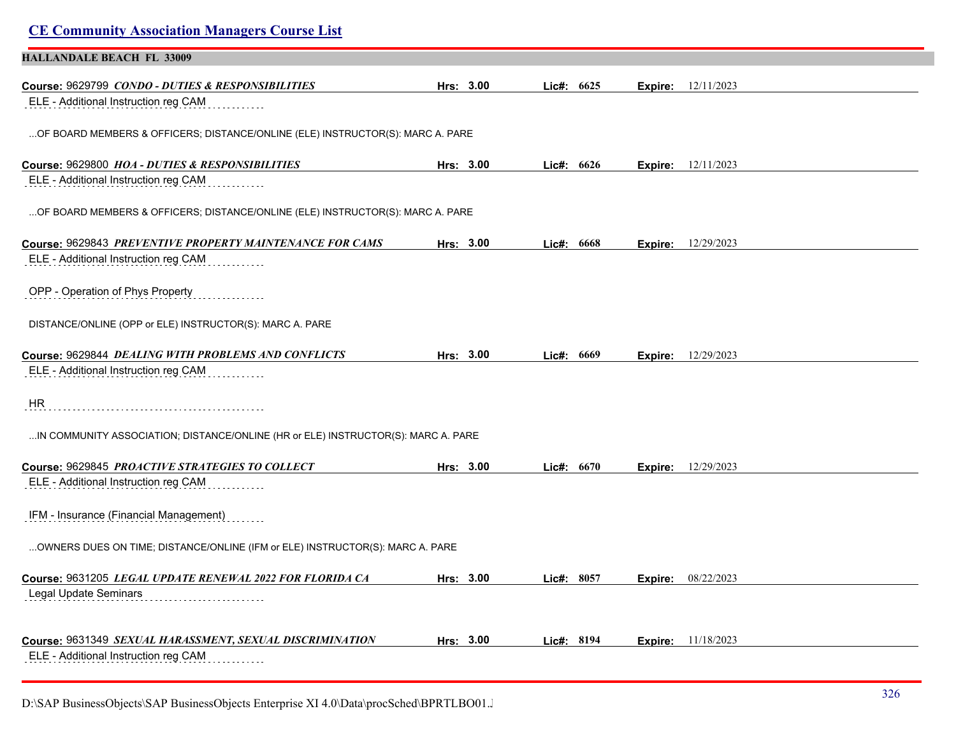| <b>CE Community Association Managers Course List</b>                                             |           |           |              |                |                             |
|--------------------------------------------------------------------------------------------------|-----------|-----------|--------------|----------------|-----------------------------|
| <b>HALLANDALE BEACH FL 33009</b>                                                                 |           |           |              |                |                             |
| Course: 9629799 CONDO - DUTIES & RESPONSIBILITIES                                                | Hrs: 3.00 |           | Lic#: 6625   | Expire:        | 12/11/2023                  |
| ELE - Additional Instruction reg CAM                                                             |           |           |              |                |                             |
| OF BOARD MEMBERS & OFFICERS; DISTANCE/ONLINE (ELE) INSTRUCTOR(S): MARC A. PARE                   |           |           |              |                |                             |
| Course: 9629800 HOA - DUTIES & RESPONSIBILITIES                                                  |           | Hrs: 3.00 | Lic#: $6626$ |                | <b>Expire:</b> $12/11/2023$ |
| ELE - Additional Instruction reg CAM                                                             |           |           |              |                |                             |
| OF BOARD MEMBERS & OFFICERS; DISTANCE/ONLINE (ELE) INSTRUCTOR(S): MARC A. PARE                   |           |           |              |                |                             |
| Course: 9629843 PREVENTIVE PROPERTY MAINTENANCE FOR CAMS                                         |           | Hrs: 3.00 | Lie#: 6668   | Expire:        | 12/29/2023                  |
| ELE - Additional Instruction reg CAM                                                             |           |           |              |                |                             |
| OPP - Operation of Phys Property                                                                 |           |           |              |                |                             |
| DISTANCE/ONLINE (OPP or ELE) INSTRUCTOR(S): MARC A. PARE                                         |           |           |              |                |                             |
| Course: 9629844 DEALING WITH PROBLEMS AND CONFLICTS                                              |           | Hrs: 3.00 | Lic#: 6669   |                | <b>Expire:</b> 12/29/2023   |
| ELE - Additional Instruction reg CAM                                                             |           |           |              |                |                             |
| HR                                                                                               |           |           |              |                |                             |
| IN COMMUNITY ASSOCIATION; DISTANCE/ONLINE (HR or ELE) INSTRUCTOR(S): MARC A. PARE                |           |           |              |                |                             |
| Course: 9629845 PROACTIVE STRATEGIES TO COLLECT                                                  |           | Hrs: 3.00 | Lic#: 6670   | Expire:        | 12/29/2023                  |
| ELE - Additional Instruction reg CAM                                                             |           |           |              |                |                             |
| IFM - Insurance (Financial Management)                                                           |           |           |              |                |                             |
| OWNERS DUES ON TIME; DISTANCE/ONLINE (IFM or ELE) INSTRUCTOR(S): MARC A. PARE                    |           |           |              |                |                             |
| Course: 9631205 LEGAL UPDATE RENEWAL 2022 FOR FLORIDA CA                                         |           | Hrs: 3.00 | Lic#: 8057   | <b>Expire:</b> | 08/22/2023                  |
| Legal Update Seminars                                                                            |           |           |              |                |                             |
|                                                                                                  |           |           |              |                |                             |
| Course: 9631349 SEXUAL HARASSMENT, SEXUAL DISCRIMINATION<br>ELE - Additional Instruction reg CAM |           | Hrs: 3.00 | Lic#: 8194   | Expire:        | 11/18/2023                  |
|                                                                                                  |           |           |              |                |                             |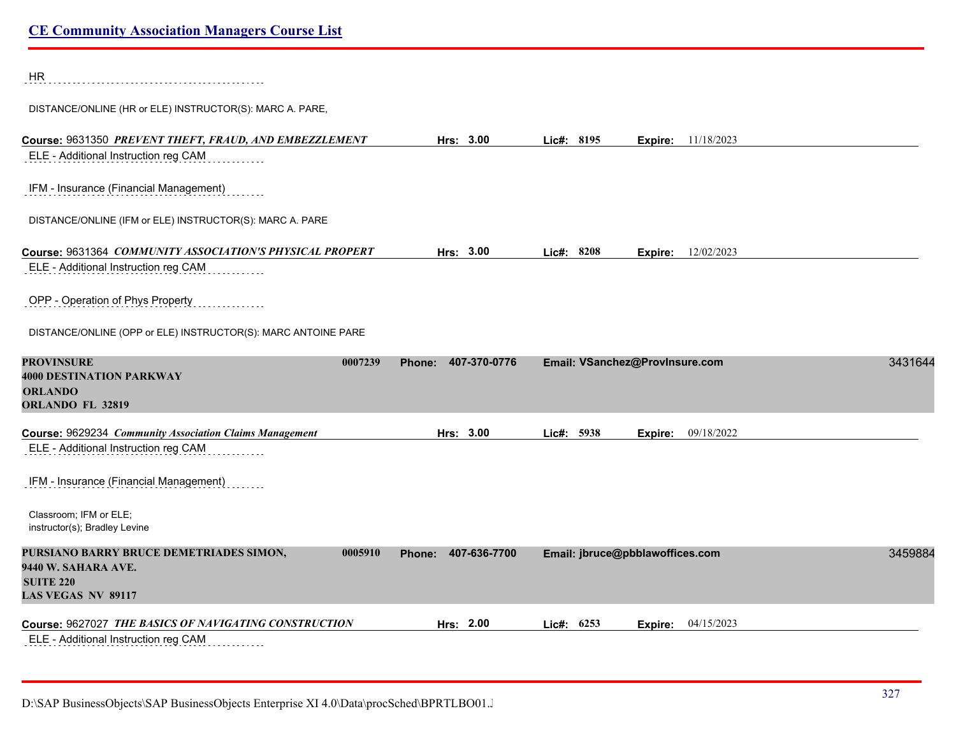HR

DISTANCE/ONLINE (HR or ELE) INSTRUCTOR(S): MARC A. PARE,

| Course: 9631350 PREVENT THEFT, FRAUD, AND EMBEZZLEMENT                                                                     | Hrs: 3.00              | Lic#: 8195 | <b>Expire:</b> 11/18/2023       |         |
|----------------------------------------------------------------------------------------------------------------------------|------------------------|------------|---------------------------------|---------|
| ELE - Additional Instruction reg CAM                                                                                       |                        |            |                                 |         |
| IFM - Insurance (Financial Management)                                                                                     |                        |            |                                 |         |
| DISTANCE/ONLINE (IFM or ELE) INSTRUCTOR(S): MARC A. PARE                                                                   |                        |            |                                 |         |
| Course: 9631364 COMMUNITY ASSOCIATION'S PHYSICAL PROPERT                                                                   | Hrs: 3.00              | Lic#: 8208 | <b>Expire:</b> 12/02/2023       |         |
| ELE - Additional Instruction reg CAM                                                                                       |                        |            |                                 |         |
| OPP - Operation of Phys Property                                                                                           |                        |            |                                 |         |
| DISTANCE/ONLINE (OPP or ELE) INSTRUCTOR(S): MARC ANTOINE PARE                                                              |                        |            |                                 |         |
| <b>PROVINSURE</b><br>0007239<br><b>4000 DESTINATION PARKWAY</b><br><b>ORLANDO</b><br><b>ORLANDO FL 32819</b>               | 407-370-0776<br>Phone: |            | Email: VSanchez@ProvInsure.com  | 3431644 |
| Course: 9629234 Community Association Claims Management                                                                    | Hrs: 3.00              | Lic#: 5938 | 09/18/2022<br>Expire:           |         |
| ELE - Additional Instruction reg CAM                                                                                       |                        |            |                                 |         |
| IFM - Insurance (Financial Management)                                                                                     |                        |            |                                 |         |
| Classroom; IFM or ELE;<br>instructor(s); Bradley Levine                                                                    |                        |            |                                 |         |
| PURSIANO BARRY BRUCE DEMETRIADES SIMON,<br>0005910<br>9440 W. SAHARA AVE.<br><b>SUITE 220</b><br><b>LAS VEGAS NV 89117</b> | 407-636-7700<br>Phone: |            | Email: jbruce@pbblawoffices.com | 3459884 |
| Course: 9627027 THE BASICS OF NAVIGATING CONSTRUCTION                                                                      | Hrs: 2.00              | Lic#: 6253 | 04/15/2023<br>Expire:           |         |
| ELE - Additional Instruction reg CAM                                                                                       |                        |            |                                 |         |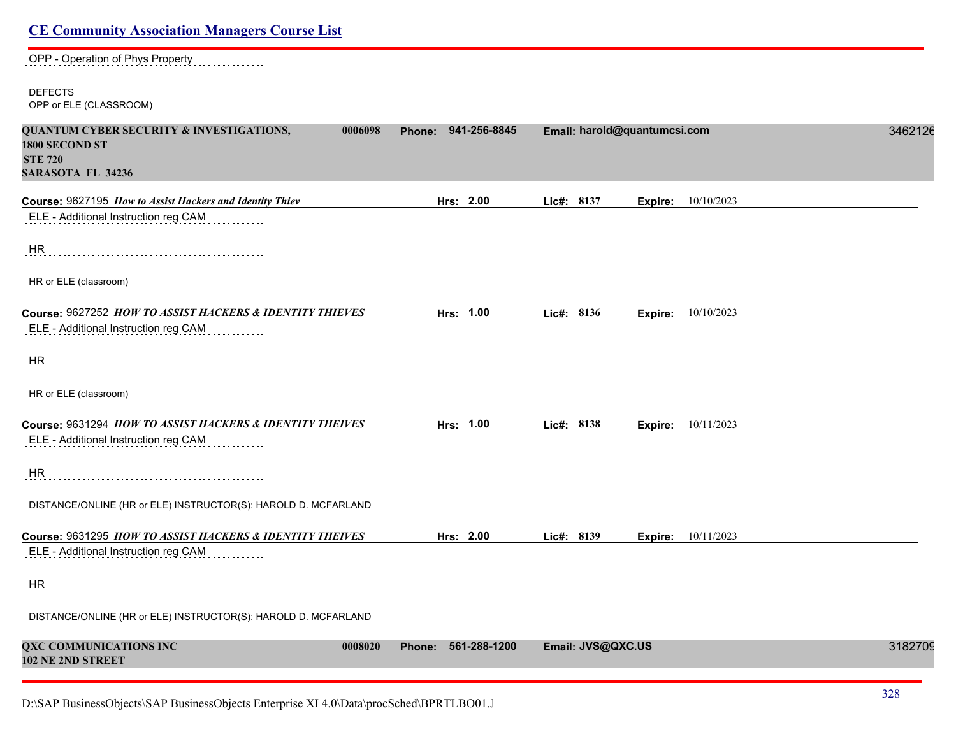## **CE Community Association Managers Course List** OPP - Operation of Phys Property DEFECTS OPP or ELE (CLASSROOM) **QUANTUM CYBER SECURITY & INVESTIGATIONS, 0006098 Phone: 941-256-8845 Email: harold@quantumcsi.com** 34621262 **1800 SECOND ST STE 720 SARASOTA FL 34236 Course:** 9627195 *How to Assist Hackers and Identity Thiev* **Hrs: 2.00 Lic#: 8137 Expire:** 10/10/2023 ELE - Additional Instruction reg CAM HR HR or ELE (classroom) **Course:** 9627252 *HOW TO ASSIST HACKERS & IDENTITY THIEVES* **Hrs: 1.00 Lic#: 8136 Expire:** 10/10/2023 ELE - Additional Instruction reg CAM . . . . . . . . . . . . HR HR or ELE (classroom) **Course:** 9631294 *HOW TO ASSIST HACKERS & IDENTITY THEIVES* **Hrs: 1.00 Lic#: 8138 Expire:** 10/11/2023 ELE - Additional Instruction reg CAM HR DISTANCE/ONLINE (HR or ELE) INSTRUCTOR(S): HAROLD D. MCFARLAND **Course:** 9631295 *HOW TO ASSIST HACKERS & IDENTITY THEIVES* **Hrs: 2.00 Lic#: 8139 Expire:** 10/11/2023 ELE - Additional Instruction reg CAM HR DISTANCE/ONLINE (HR or ELE) INSTRUCTOR(S): HAROLD D. MCFARLAND **QXC COMMUNICATIONS INC 0008020 Phone: 561-288-1200 Email: JVS@QXC.US** 31827099 **102 NE 2ND STREET**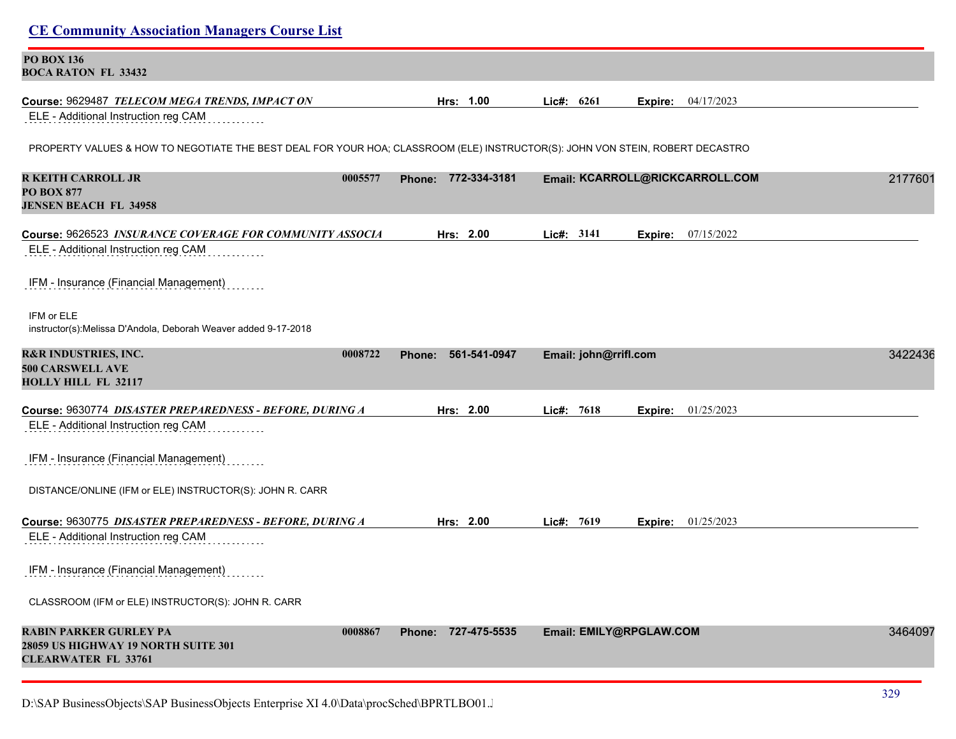| <b>CE Community Association Managers Course List</b>                                                                          |                               |                         |                                 |         |
|-------------------------------------------------------------------------------------------------------------------------------|-------------------------------|-------------------------|---------------------------------|---------|
| <b>PO BOX 136</b><br><b>BOCA RATON FL 33432</b>                                                                               |                               |                         |                                 |         |
| Course: 9629487 TELECOM MEGA TRENDS, IMPACT ON                                                                                | Hrs: 1.00                     | Lic#:<br>6261           | 04/17/2023<br>Expire:           |         |
| ELE - Additional Instruction reg CAM                                                                                          |                               |                         |                                 |         |
| PROPERTY VALUES & HOW TO NEGOTIATE THE BEST DEAL FOR YOUR HOA; CLASSROOM (ELE) INSTRUCTOR(S): JOHN VON STEIN, ROBERT DECASTRO |                               |                         |                                 |         |
| <b>R KEITH CARROLL JR</b><br>0005577<br><b>PO BOX 877</b><br><b>JENSEN BEACH FL 34958</b>                                     | Phone: 772-334-3181           |                         | Email: KCARROLL@RICKCARROLL.COM | 2177601 |
| Course: 9626523 INSURANCE COVERAGE FOR COMMUNITY ASSOCIA                                                                      | Hrs: 2.00                     | Lic#: 3141              | 07/15/2022<br>Expire:           |         |
| ELE - Additional Instruction reg CAM                                                                                          |                               |                         |                                 |         |
| IFM - Insurance (Financial Management)                                                                                        |                               |                         |                                 |         |
| IFM or ELE<br>instructor(s):Melissa D'Andola, Deborah Weaver added 9-17-2018                                                  |                               |                         |                                 |         |
| <b>R&amp;R INDUSTRIES, INC.</b><br>0008722<br><b>500 CARSWELL AVE</b><br><b>HOLLY HILL FL 32117</b>                           | 561-541-0947<br><b>Phone:</b> | Email: john@rrifl.com   |                                 | 3422436 |
| Course: 9630774 DISASTER PREPAREDNESS - BEFORE, DURING A                                                                      | Hrs: 2.00                     | Lic#: 7618              | 01/25/2023<br>Expire:           |         |
| ELE - Additional Instruction reg CAM                                                                                          |                               |                         |                                 |         |
| IFM - Insurance (Financial Management)                                                                                        |                               |                         |                                 |         |
| DISTANCE/ONLINE (IFM or ELE) INSTRUCTOR(S): JOHN R. CARR                                                                      |                               |                         |                                 |         |
| Course: 9630775 DISASTER PREPAREDNESS - BEFORE, DURING A                                                                      | Hrs: 2.00                     | Lic#: 7619              | <b>Expire:</b> 01/25/2023       |         |
| ELE - Additional Instruction reg CAM                                                                                          |                               |                         |                                 |         |
| IFM - Insurance (Financial Management)                                                                                        |                               |                         |                                 |         |
| CLASSROOM (IFM or ELE) INSTRUCTOR(S): JOHN R. CARR                                                                            |                               |                         |                                 |         |
| <b>RABIN PARKER GURLEY PA</b><br>0008867<br>28059 US HIGHWAY 19 NORTH SUITE 301<br><b>CLEARWATER FL 33761</b>                 | Phone: 727-475-5535           | Email: EMILY@RPGLAW.COM |                                 | 3464097 |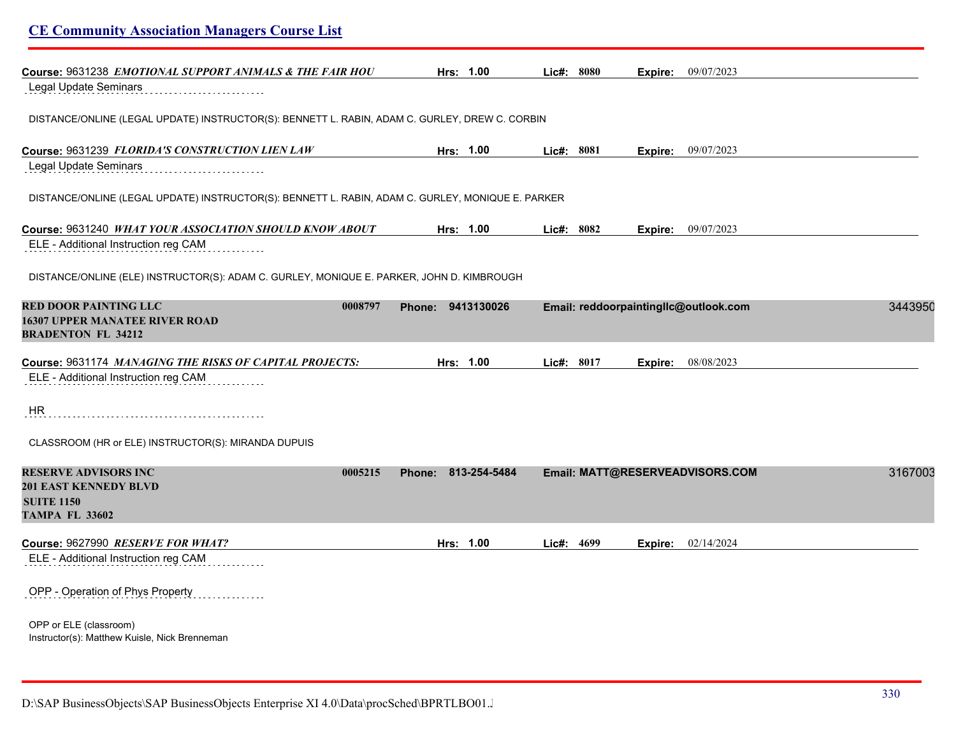| <b>CE Community Association Managers Course List</b>                                                                 |                        |            |                                       |         |
|----------------------------------------------------------------------------------------------------------------------|------------------------|------------|---------------------------------------|---------|
| Course: 9631238 <i>EMOTIONAL SUPPORT ANIMALS &amp; THE FAIR HOU</i>                                                  | Hrs: 1.00              | Lic#: 8080 | <b>Expire:</b> 09/07/2023             |         |
| Legal Update Seminars                                                                                                |                        |            |                                       |         |
| DISTANCE/ONLINE (LEGAL UPDATE) INSTRUCTOR(S): BENNETT L. RABIN, ADAM C. GURLEY, DREW C. CORBIN                       |                        |            |                                       |         |
| Course: 9631239 FLORIDA'S CONSTRUCTION LIEN LAW                                                                      | Hrs: 1.00              | Lic#: 8081 | <b>Expire:</b> 09/07/2023             |         |
| Legal Update Seminars                                                                                                |                        |            |                                       |         |
| DISTANCE/ONLINE (LEGAL UPDATE) INSTRUCTOR(S): BENNETT L. RABIN, ADAM C. GURLEY, MONIQUE E. PARKER                    |                        |            |                                       |         |
| Course: 9631240 WHAT YOUR ASSOCIATION SHOULD KNOW ABOUT                                                              | Hrs: 1.00              | Lic#: 8082 | Expire: 09/07/2023                    |         |
| ELE - Additional Instruction reg CAM                                                                                 |                        |            |                                       |         |
| DISTANCE/ONLINE (ELE) INSTRUCTOR(S): ADAM C. GURLEY, MONIQUE E. PARKER, JOHN D. KIMBROUGH                            |                        |            |                                       |         |
| <b>RED DOOR PAINTING LLC</b><br>0008797<br><b>16307 UPPER MANATEE RIVER ROAD</b><br><b>BRADENTON FL 34212</b>        | Phone: 9413130026      |            | Email: reddoorpaintingllc@outlook.com | 3443950 |
| Course: 9631174 MANAGING THE RISKS OF CAPITAL PROJECTS:                                                              | Hrs: 1.00              | Lic#: 8017 | 08/08/2023<br>Expire:                 |         |
| ELE - Additional Instruction reg CAM                                                                                 |                        |            |                                       |         |
| HR                                                                                                                   |                        |            |                                       |         |
| CLASSROOM (HR or ELE) INSTRUCTOR(S): MIRANDA DUPUIS                                                                  |                        |            |                                       |         |
| <b>RESERVE ADVISORS INC</b><br>0005215<br><b>201 EAST KENNEDY BLVD</b><br><b>SUITE 1150</b><br><b>TAMPA FL 33602</b> | 813-254-5484<br>Phone: |            | Email: MATT@RESERVEADVISORS.COM       | 3167003 |
| Course: 9627990 RESERVE FOR WHAT?                                                                                    | Hrs: 1.00              | Lic#: 4699 | <b>Expire:</b> 02/14/2024             |         |
| ELE - Additional Instruction reg CAM                                                                                 |                        |            |                                       |         |
| OPP - Operation of Phys Property                                                                                     |                        |            |                                       |         |
| OPP or ELE (classroom)<br>Instructor(s): Matthew Kuisle, Nick Brenneman                                              |                        |            |                                       |         |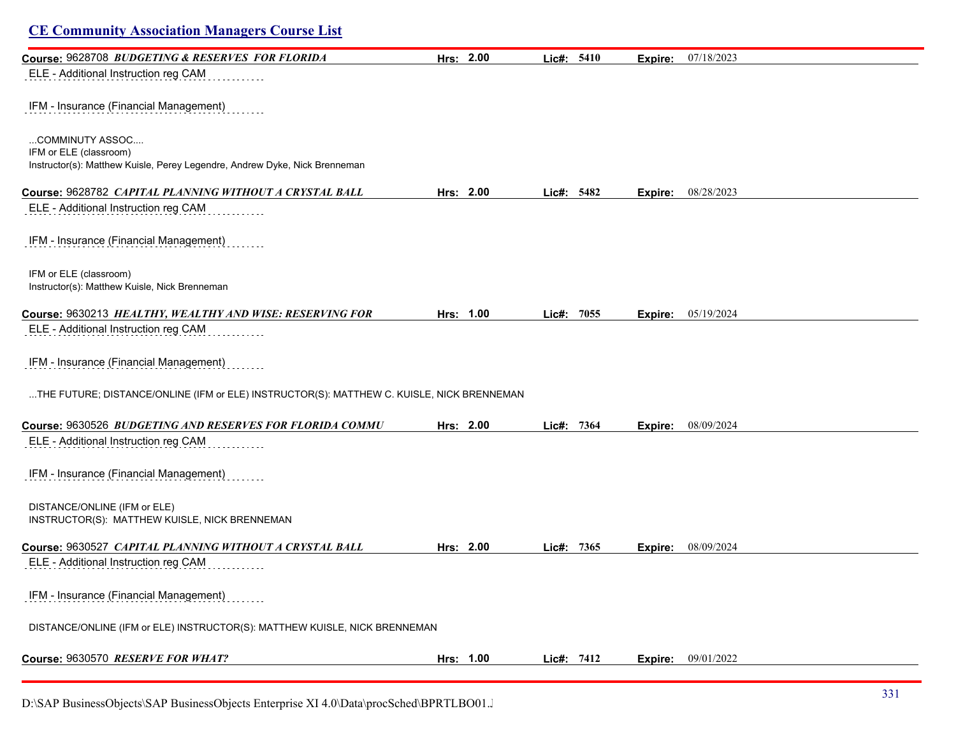| <b>CE Community Association Managers Course List</b>                                      |           |            |         |            |
|-------------------------------------------------------------------------------------------|-----------|------------|---------|------------|
| Course: 9628708 BUDGETING & RESERVES FOR FLORIDA                                          | Hrs: 2.00 | Lic#: 5410 | Expire: | 07/18/2023 |
| ELE - Additional Instruction reg CAM                                                      |           |            |         |            |
| IFM - Insurance (Financial Management)                                                    |           |            |         |            |
| COMMINUTY ASSOC<br>IFM or ELE (classroom)                                                 |           |            |         |            |
| Instructor(s): Matthew Kuisle, Perey Legendre, Andrew Dyke, Nick Brenneman                |           |            |         |            |
| Course: 9628782 CAPITAL PLANNING WITHOUT A CRYSTAL BALL                                   | Hrs: 2.00 | Lic#: 5482 | Expire: | 08/28/2023 |
| ELE - Additional Instruction reg CAM                                                      |           |            |         |            |
| IFM - Insurance (Financial Management)                                                    |           |            |         |            |
| IFM or ELE (classroom)<br>Instructor(s): Matthew Kuisle, Nick Brenneman                   |           |            |         |            |
| Course: 9630213 HEALTHY, WEALTHY AND WISE: RESERVING FOR                                  | Hrs: 1.00 | Lic#: 7055 | Expire: | 05/19/2024 |
| ELE - Additional Instruction reg CAM                                                      |           |            |         |            |
| IFM - Insurance (Financial Management)                                                    |           |            |         |            |
| THE FUTURE; DISTANCE/ONLINE (IFM or ELE) INSTRUCTOR(S): MATTHEW C. KUISLE, NICK BRENNEMAN |           |            |         |            |
| Course: 9630526 BUDGETING AND RESERVES FOR FLORIDA COMMU                                  | Hrs: 2.00 | Lic#: 7364 | Expire: | 08/09/2024 |
| ELE - Additional Instruction reg CAM                                                      |           |            |         |            |
| IFM - Insurance (Financial Management)                                                    |           |            |         |            |
| DISTANCE/ONLINE (IFM or ELE)<br>INSTRUCTOR(S): MATTHEW KUISLE, NICK BRENNEMAN             |           |            |         |            |
| Course: 9630527 CAPITAL PLANNING WITHOUT A CRYSTAL BALL                                   | Hrs: 2.00 | Lic#: 7365 | Expire: | 08/09/2024 |
| ELE - Additional Instruction reg CAM                                                      |           |            |         |            |
| IFM - Insurance (Financial Management)                                                    |           |            |         |            |
| DISTANCE/ONLINE (IFM or ELE) INSTRUCTOR(S): MATTHEW KUISLE, NICK BRENNEMAN                |           |            |         |            |
| Course: 9630570 RESERVE FOR WHAT?                                                         | Hrs: 1.00 | Lic#: 7412 | Expire: | 09/01/2022 |

D:\SAP BusinessObjects\SAP BusinessObjects Enterprise XI 4.0\Data\procSched\BPRTLBO01.J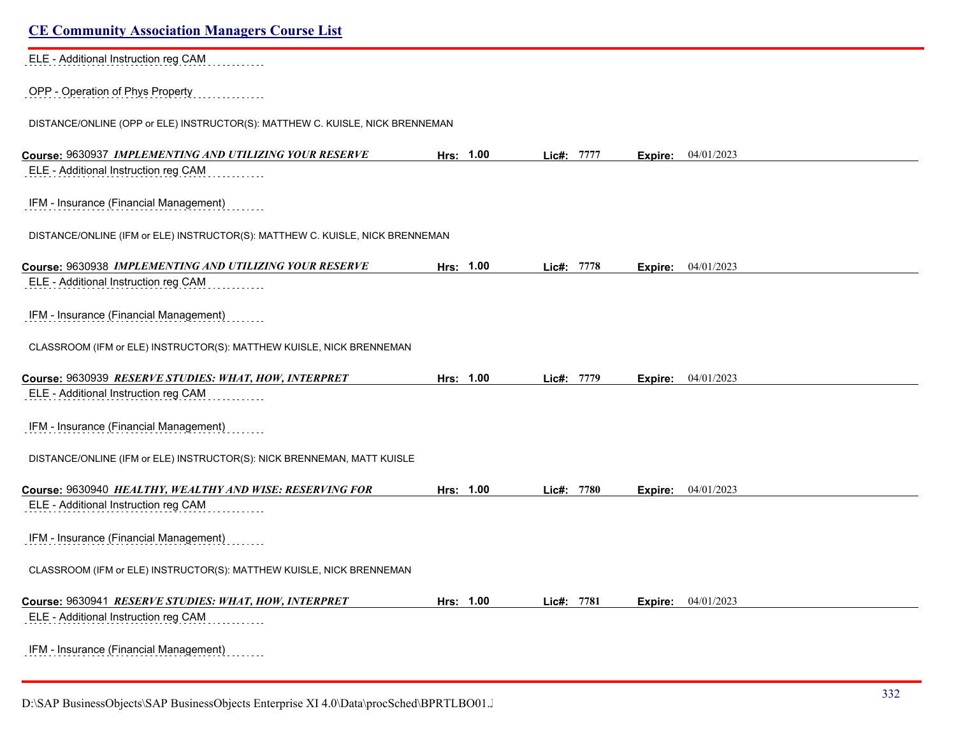| <b>CE Community Association Managers Course List</b>                          |           |               |                       |  |
|-------------------------------------------------------------------------------|-----------|---------------|-----------------------|--|
| ELE - Additional Instruction reg CAM                                          |           |               |                       |  |
| OPP - Operation of Phys Property                                              |           |               |                       |  |
| DISTANCE/ONLINE (OPP or ELE) INSTRUCTOR(S): MATTHEW C. KUISLE, NICK BRENNEMAN |           |               |                       |  |
| Course: 9630937 IMPLEMENTING AND UTILIZING YOUR RESERVE                       | Hrs: 1.00 | Lic#: 7777    | 04/01/2023<br>Expire: |  |
| ELE - Additional Instruction reg CAM                                          |           |               |                       |  |
| IFM - Insurance (Financial Management)                                        |           |               |                       |  |
| DISTANCE/ONLINE (IFM or ELE) INSTRUCTOR(S): MATTHEW C. KUISLE, NICK BRENNEMAN |           |               |                       |  |
| Course: 9630938 IMPLEMENTING AND UTILIZING YOUR RESERVE                       | Hrs: 1.00 | Lic#: 7778    | 04/01/2023<br>Expire: |  |
| ELE - Additional Instruction reg CAM                                          |           |               |                       |  |
| IFM - Insurance (Financial Management)                                        |           |               |                       |  |
| CLASSROOM (IFM or ELE) INSTRUCTOR(S): MATTHEW KUISLE, NICK BRENNEMAN          |           |               |                       |  |
| Course: 9630939 RESERVE STUDIES: WHAT, HOW, INTERPRET                         | Hrs: 1.00 | Lic#: 7779    | 04/01/2023<br>Expire: |  |
| ELE - Additional Instruction reg CAM                                          |           |               |                       |  |
| IFM - Insurance (Financial Management)                                        |           |               |                       |  |
| DISTANCE/ONLINE (IFM or ELE) INSTRUCTOR(S): NICK BRENNEMAN, MATT KUISLE       |           |               |                       |  |
| Course: 9630940 HEALTHY, WEALTHY AND WISE: RESERVING FOR                      | Hrs: 1.00 | 7780<br>Lic#: | 04/01/2023<br>Expire: |  |
| ELE - Additional Instruction reg CAM                                          |           |               |                       |  |
| IFM - Insurance (Financial Management)                                        |           |               |                       |  |
| CLASSROOM (IFM or ELE) INSTRUCTOR(S): MATTHEW KUISLE, NICK BRENNEMAN          |           |               |                       |  |
| Course: 9630941 RESERVE STUDIES: WHAT, HOW, INTERPRET                         | Hrs: 1.00 | Lic#: 7781    | 04/01/2023<br>Expire: |  |
| ELE - Additional Instruction reg CAM                                          |           |               |                       |  |
| IFM - Insurance (Financial Management)                                        |           |               |                       |  |

D:\SAP BusinessObjects\SAP BusinessObjects Enterprise XI 4.0\Data\procSched\BPRTLBO01.J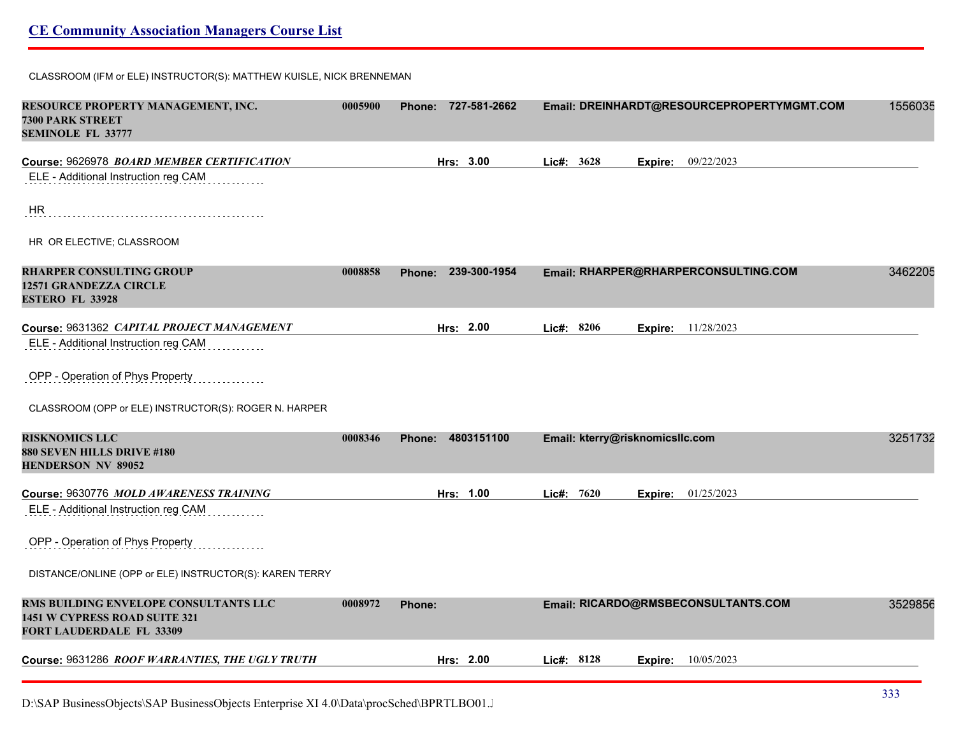#### CLASSROOM (IFM or ELE) INSTRUCTOR(S): MATTHEW KUISLE, NICK BRENNEMAN

| RESOURCE PROPERTY MANAGEMENT, INC.<br><b>7300 PARK STREET</b><br><b>SEMINOLE FL 33777</b>          | 0005900 | Phone: 727-581-2662           |                                 | Email: DREINHARDT@RESOURCEPROPERTYMGMT.COM | 1556035 |
|----------------------------------------------------------------------------------------------------|---------|-------------------------------|---------------------------------|--------------------------------------------|---------|
| Course: 9626978 BOARD MEMBER CERTIFICATION                                                         |         | Hrs: 3.00                     | Lic#: 3628                      | 09/22/2023<br>Expire:                      |         |
| ELE - Additional Instruction reg CAM                                                               |         |                               |                                 |                                            |         |
| <b>HR</b>                                                                                          |         |                               |                                 |                                            |         |
| HR OR ELECTIVE; CLASSROOM                                                                          |         |                               |                                 |                                            |         |
| <b>RHARPER CONSULTING GROUP</b><br><b>12571 GRANDEZZA CIRCLE</b><br><b>ESTERO FL 33928</b>         | 0008858 | 239-300-1954<br><b>Phone:</b> |                                 | Email: RHARPER@RHARPERCONSULTING.COM       | 3462205 |
| Course: 9631362 CAPITAL PROJECT MANAGEMENT                                                         |         | Hrs: 2.00                     | Lic#: 8206                      | 11/28/2023<br>Expire:                      |         |
| ELE - Additional Instruction reg CAM                                                               |         |                               |                                 |                                            |         |
| OPP - Operation of Phys Property                                                                   |         |                               |                                 |                                            |         |
| CLASSROOM (OPP or ELE) INSTRUCTOR(S): ROGER N. HARPER                                              |         |                               |                                 |                                            |         |
| <b>RISKNOMICS LLC</b><br>880 SEVEN HILLS DRIVE #180<br><b>HENDERSON NV 89052</b>                   | 0008346 | 4803151100<br>Phone:          | Email: kterry@risknomicsllc.com |                                            | 3251732 |
| Course: 9630776 MOLD AWARENESS TRAINING                                                            |         | Hrs: 1.00                     | Lic#: $7620$                    | <b>Expire:</b> 01/25/2023                  |         |
| ELE - Additional Instruction reg CAM                                                               |         |                               |                                 |                                            |         |
| OPP - Operation of Phys Property                                                                   |         |                               |                                 |                                            |         |
| DISTANCE/ONLINE (OPP or ELE) INSTRUCTOR(S): KAREN TERRY                                            |         |                               |                                 |                                            |         |
| RMS BUILDING ENVELOPE CONSULTANTS LLC<br>1451 W CYPRESS ROAD SUITE 321<br>FORT LAUDERDALE FL 33309 | 0008972 | Phone:                        |                                 | Email: RICARDO@RMSBECONSULTANTS.COM        | 3529856 |
| Course: 9631286 ROOF WARRANTIES, THE UGLY TRUTH                                                    |         | Hrs: 2.00                     | Lic#: 8128                      | 10/05/2023<br>Expire:                      |         |
|                                                                                                    |         |                               |                                 |                                            |         |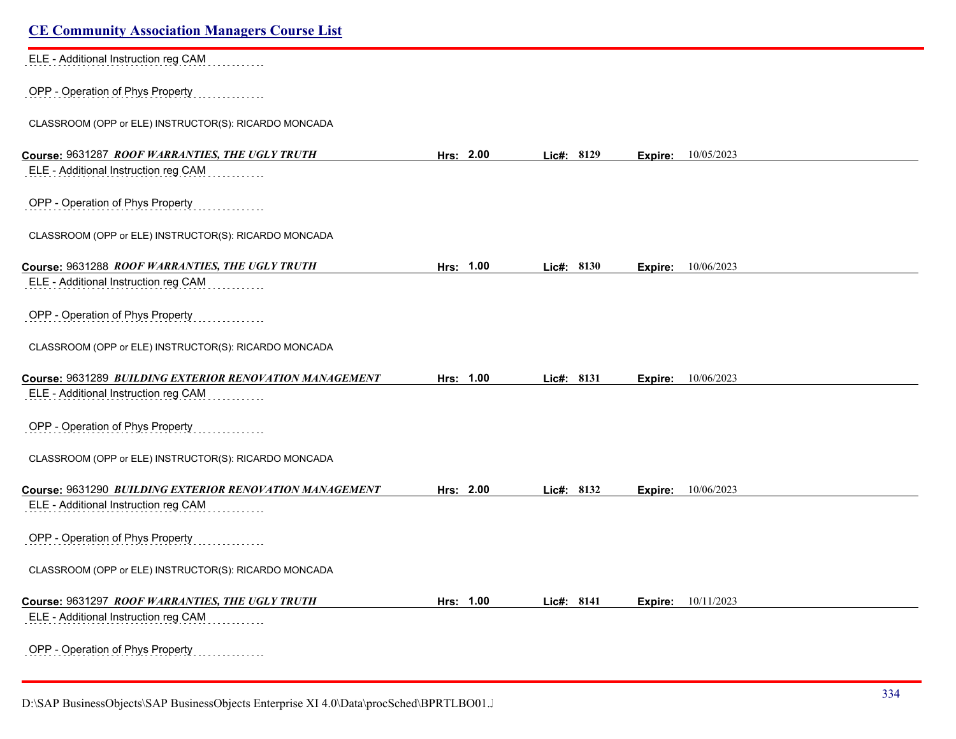| <b>CE Community Association Managers Course List</b>    |           |            |                           |  |
|---------------------------------------------------------|-----------|------------|---------------------------|--|
| ELE - Additional Instruction reg CAM                    |           |            |                           |  |
| OPP - Operation of Phys Property                        |           |            |                           |  |
| CLASSROOM (OPP or ELE) INSTRUCTOR(S): RICARDO MONCADA   |           |            |                           |  |
| Course: 9631287 ROOF WARRANTIES, THE UGLY TRUTH         | Hrs: 2.00 | Lic#: 8129 | 10/05/2023<br>Expire:     |  |
| ELE - Additional Instruction reg CAM                    |           |            |                           |  |
| OPP - Operation of Phys Property                        |           |            |                           |  |
| CLASSROOM (OPP or ELE) INSTRUCTOR(S): RICARDO MONCADA   |           |            |                           |  |
| Course: 9631288 ROOF WARRANTIES, THE UGLY TRUTH         | Hrs: 1.00 | Lic#: 8130 | 10/06/2023<br>Expire:     |  |
| ELE - Additional Instruction reg CAM                    |           |            |                           |  |
| OPP - Operation of Phys Property                        |           |            |                           |  |
| CLASSROOM (OPP or ELE) INSTRUCTOR(S): RICARDO MONCADA   |           |            |                           |  |
| Course: 9631289 BUILDING EXTERIOR RENOVATION MANAGEMENT | Hrs: 1.00 | Lic#: 8131 | 10/06/2023<br>Expire:     |  |
| ELE - Additional Instruction reg CAM                    |           |            |                           |  |
| OPP - Operation of Phys Property                        |           |            |                           |  |
| CLASSROOM (OPP or ELE) INSTRUCTOR(S): RICARDO MONCADA   |           |            |                           |  |
| Course: 9631290 BUILDING EXTERIOR RENOVATION MANAGEMENT | Hrs: 2.00 | Lic#: 8132 | 10/06/2023<br>Expire:     |  |
| ELE - Additional Instruction reg CAM                    |           |            |                           |  |
| OPP - Operation of Phys Property                        |           |            |                           |  |
| CLASSROOM (OPP or ELE) INSTRUCTOR(S): RICARDO MONCADA   |           |            |                           |  |
| Course: 9631297 ROOF WARRANTIES, THE UGLY TRUTH         | Hrs: 1.00 | Lic#: 8141 | <b>Expire:</b> 10/11/2023 |  |
| ELE - Additional Instruction reg CAM                    |           |            |                           |  |
| OPP - Operation of Phys Property                        |           |            |                           |  |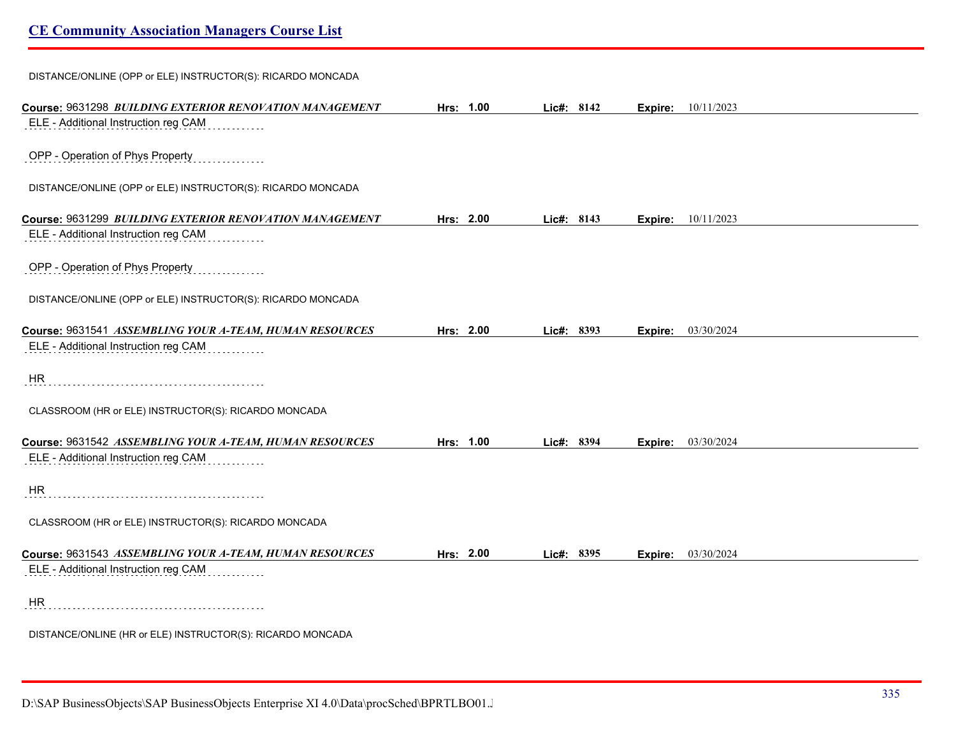DISTANCE/ONLINE (OPP or ELE) INSTRUCTOR(S): RICARDO MONCADA

| Course: 9631298 BUILDING EXTERIOR RENOVATION MANAGEMENT                                         | Hrs: 1.00 | Lic#: 8142 |         | <b>Expire:</b> 10/11/2023 |
|-------------------------------------------------------------------------------------------------|-----------|------------|---------|---------------------------|
| ELE - Additional Instruction reg CAM                                                            |           |            |         |                           |
|                                                                                                 |           |            |         |                           |
| OPP - Operation of Phys Property                                                                |           |            |         |                           |
|                                                                                                 |           |            |         |                           |
| DISTANCE/ONLINE (OPP or ELE) INSTRUCTOR(S): RICARDO MONCADA                                     |           |            |         |                           |
|                                                                                                 | Hrs: 2.00 | Lic#: 8143 |         | 10/11/2023                |
| Course: 9631299 BUILDING EXTERIOR RENOVATION MANAGEMENT<br>ELE - Additional Instruction reg CAM |           |            | Expire: |                           |
|                                                                                                 |           |            |         |                           |
| OPP - Operation of Phys Property                                                                |           |            |         |                           |
|                                                                                                 |           |            |         |                           |
| DISTANCE/ONLINE (OPP or ELE) INSTRUCTOR(S): RICARDO MONCADA                                     |           |            |         |                           |
|                                                                                                 |           |            |         |                           |
| Course: 9631541 ASSEMBLING YOUR A-TEAM, HUMAN RESOURCES                                         | Hrs: 2.00 | Lic#: 8393 |         | <b>Expire:</b> 03/30/2024 |
| ELE - Additional Instruction reg CAM                                                            |           |            |         |                           |
|                                                                                                 |           |            |         |                           |
| HR                                                                                              |           |            |         |                           |
|                                                                                                 |           |            |         |                           |
| CLASSROOM (HR or ELE) INSTRUCTOR(S): RICARDO MONCADA                                            |           |            |         |                           |
|                                                                                                 |           |            |         |                           |
| Course: 9631542 ASSEMBLING YOUR A-TEAM, HUMAN RESOURCES                                         | Hrs: 1.00 | Lic#: 8394 | Expire: | 03/30/2024                |
| ELE - Additional Instruction reg CAM                                                            |           |            |         |                           |
|                                                                                                 |           |            |         |                           |
| HR                                                                                              |           |            |         |                           |
|                                                                                                 |           |            |         |                           |
| CLASSROOM (HR or ELE) INSTRUCTOR(S): RICARDO MONCADA                                            |           |            |         |                           |
| Course: 9631543 ASSEMBLING YOUR A-TEAM, HUMAN RESOURCES                                         | Hrs: 2.00 | Lic#: 8395 | Expire: | 03/30/2024                |
| ELE - Additional Instruction reg CAM                                                            |           |            |         |                           |
|                                                                                                 |           |            |         |                           |
| HR                                                                                              |           |            |         |                           |
|                                                                                                 |           |            |         |                           |
| DISTANCE/ONLINE (HR or ELE) INSTRUCTOR(S): RICARDO MONCADA                                      |           |            |         |                           |
|                                                                                                 |           |            |         |                           |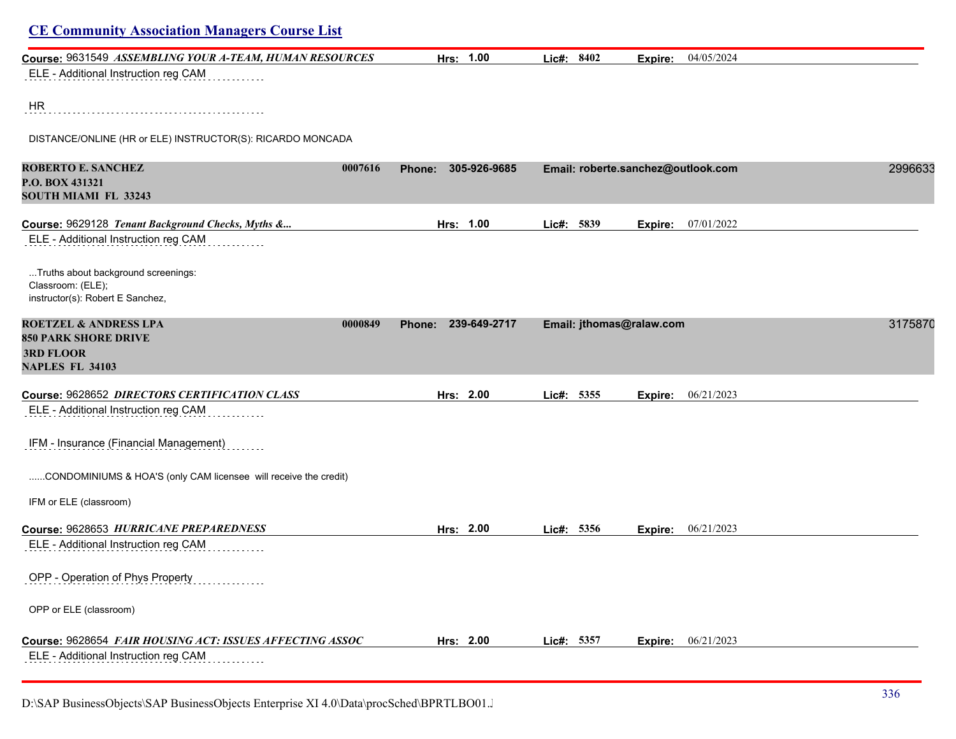| Hrs: 1.00                     | Lic#: 8402 | 04/05/2024<br>Expire: |                                                                                               |
|-------------------------------|------------|-----------------------|-----------------------------------------------------------------------------------------------|
|                               |            |                       |                                                                                               |
|                               |            |                       |                                                                                               |
|                               |            |                       |                                                                                               |
|                               |            |                       |                                                                                               |
| 305-926-9685<br><b>Phone:</b> |            |                       | 2996633                                                                                       |
|                               |            |                       |                                                                                               |
|                               |            |                       |                                                                                               |
| Hrs: 1.00                     | Lic#: 5839 | 07/01/2022<br>Expire: |                                                                                               |
|                               |            |                       |                                                                                               |
|                               |            |                       |                                                                                               |
|                               |            |                       |                                                                                               |
|                               |            |                       |                                                                                               |
| Phone: 239-649-2717           |            |                       | 3175870                                                                                       |
|                               |            |                       |                                                                                               |
|                               |            |                       |                                                                                               |
|                               |            |                       |                                                                                               |
| Hrs: 2.00                     | Lic#: 5355 | 06/21/2023<br>Expire: |                                                                                               |
|                               |            |                       |                                                                                               |
|                               |            |                       |                                                                                               |
|                               |            |                       |                                                                                               |
|                               |            |                       |                                                                                               |
|                               |            |                       |                                                                                               |
|                               |            |                       |                                                                                               |
| Hrs: 2.00                     | Lic#: 5356 | Expire: 06/21/2023    |                                                                                               |
|                               |            |                       |                                                                                               |
|                               |            |                       |                                                                                               |
|                               |            |                       |                                                                                               |
|                               |            |                       |                                                                                               |
|                               |            |                       |                                                                                               |
|                               |            |                       |                                                                                               |
|                               |            |                       |                                                                                               |
|                               | Hrs: 2.00  | Lic#: 5357            | Email: roberte.sanchez@outlook.com<br>Email: jthomas@ralaw.com<br><b>Expire:</b> $06/21/2023$ |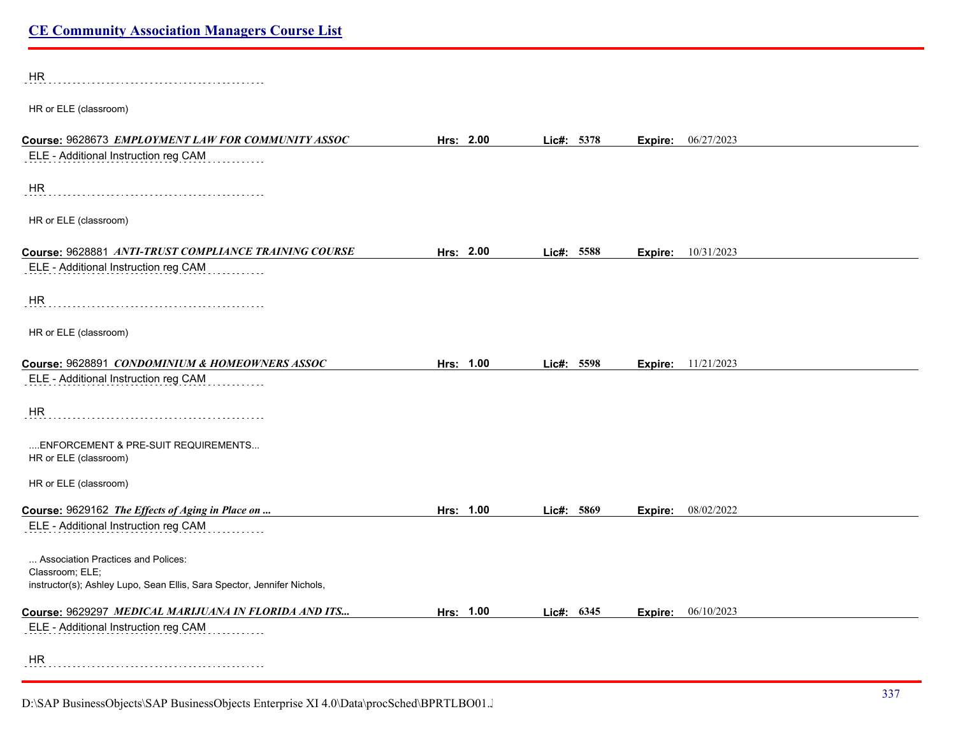| <b>HR</b>                                                                                  |           |            |      |         |                           |
|--------------------------------------------------------------------------------------------|-----------|------------|------|---------|---------------------------|
| HR or ELE (classroom)                                                                      |           |            |      |         |                           |
| Course: 9628673 EMPLOYMENT LAW FOR COMMUNITY ASSOC                                         | Hrs: 2.00 | Lic#: 5378 |      | Expire: | 06/27/2023                |
| ELE - Additional Instruction reg CAM                                                       |           |            |      |         |                           |
| HR                                                                                         |           |            |      |         |                           |
| HR or ELE (classroom)                                                                      |           |            |      |         |                           |
| Course: 9628881 ANTI-TRUST COMPLIANCE TRAINING COURSE                                      | Hrs: 2.00 | Lic#: 5588 |      |         | <b>Expire:</b> 10/31/2023 |
| ELE - Additional Instruction reg CAM                                                       |           |            |      |         |                           |
| HR                                                                                         |           |            |      |         |                           |
| HR or ELE (classroom)                                                                      |           |            |      |         |                           |
| Course: 9628891 CONDOMINIUM & HOMEOWNERS ASSOC                                             | Hrs: 1.00 | Lic#: 5598 |      |         | <b>Expire:</b> 11/21/2023 |
| ELE - Additional Instruction reg CAM                                                       |           |            |      |         |                           |
| HR                                                                                         |           |            |      |         |                           |
| ENFORCEMENT & PRE-SUIT REQUIREMENTS<br>HR or ELE (classroom)                               |           |            |      |         |                           |
| HR or ELE (classroom)                                                                      |           |            |      |         |                           |
| Course: 9629162 The Effects of Aging in Place on                                           | Hrs: 1.00 | Lic#:      | 5869 | Expire: | 08/02/2022                |
| ELE - Additional Instruction reg CAM                                                       |           |            |      |         |                           |
| Association Practices and Polices:                                                         |           |            |      |         |                           |
| Classroom; ELE;<br>instructor(s); Ashley Lupo, Sean Ellis, Sara Spector, Jennifer Nichols, |           |            |      |         |                           |
| Course: 9629297 MEDICAL MARIJUANA IN FLORIDA AND ITS                                       | Hrs: 1.00 | Lic#: 6345 |      | Expire: | 06/10/2023                |
| ELE - Additional Instruction reg CAM                                                       |           |            |      |         |                           |
| <b>HR</b>                                                                                  |           |            |      |         |                           |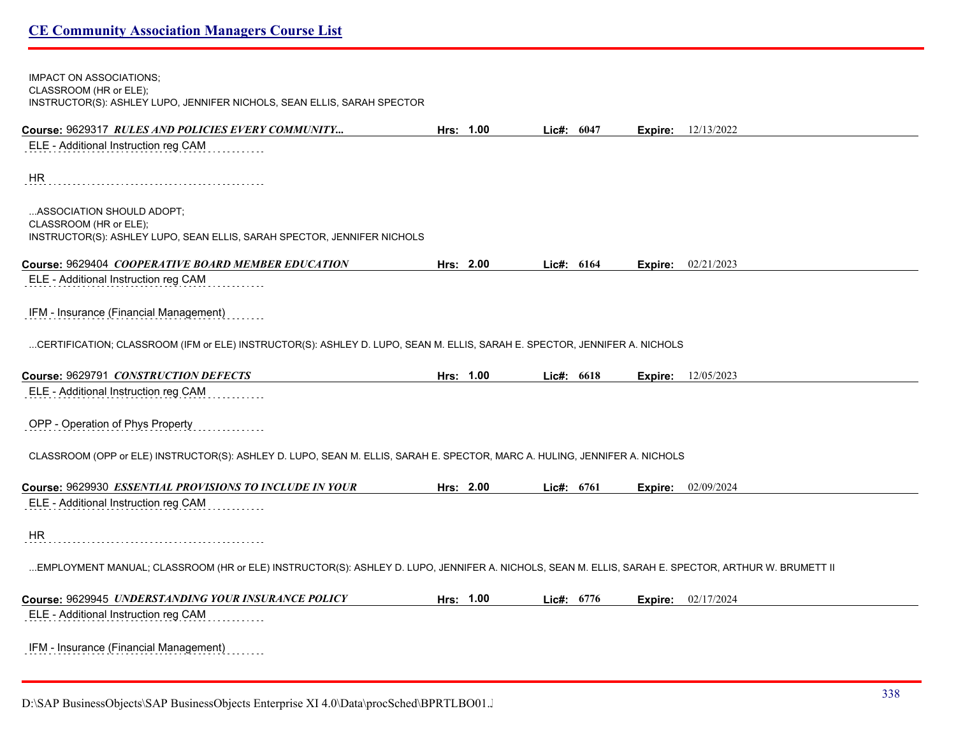| <b>IMPACT ON ASSOCIATIONS;</b><br>CLASSROOM (HR or ELE);                                                                                           |           |              |         |                             |
|----------------------------------------------------------------------------------------------------------------------------------------------------|-----------|--------------|---------|-----------------------------|
| INSTRUCTOR(S): ASHLEY LUPO, JENNIFER NICHOLS, SEAN ELLIS, SARAH SPECTOR                                                                            |           |              |         |                             |
| Course: 9629317 RULES AND POLICIES EVERY COMMUNITY                                                                                                 | Hrs: 1.00 | Lic#: 6047   |         | <b>Expire:</b> $12/13/2022$ |
| ELE - Additional Instruction reg CAM                                                                                                               |           |              |         |                             |
| <b>HR</b>                                                                                                                                          |           |              |         |                             |
| ASSOCIATION SHOULD ADOPT;<br>CLASSROOM (HR or ELE);                                                                                                |           |              |         |                             |
| INSTRUCTOR(S): ASHLEY LUPO, SEAN ELLIS, SARAH SPECTOR, JENNIFER NICHOLS                                                                            |           |              |         |                             |
| Course: 9629404 COOPERATIVE BOARD MEMBER EDUCATION                                                                                                 | Hrs: 2.00 | Lic#: $6164$ |         | <b>Expire:</b> 02/21/2023   |
| ELE - Additional Instruction reg CAM                                                                                                               |           |              |         |                             |
| IFM - Insurance (Financial Management)                                                                                                             |           |              |         |                             |
| CERTIFICATION; CLASSROOM (IFM or ELE) INSTRUCTOR(S): ASHLEY D. LUPO, SEAN M. ELLIS, SARAH E. SPECTOR, JENNIFER A. NICHOLS                          |           |              |         |                             |
| Course: 9629791 CONSTRUCTION DEFECTS                                                                                                               | Hrs: 1.00 | Lic#: 6618   | Expire: | 12/05/2023                  |
| ELE - Additional Instruction reg CAM                                                                                                               |           |              |         |                             |
| OPP - Operation of Phys Property                                                                                                                   |           |              |         |                             |
| CLASSROOM (OPP or ELE) INSTRUCTOR(S): ASHLEY D. LUPO, SEAN M. ELLIS, SARAH E. SPECTOR, MARC A. HULING, JENNIFER A. NICHOLS                         |           |              |         |                             |
| Course: 9629930 ESSENTIAL PROVISIONS TO INCLUDE IN YOUR                                                                                            | Hrs: 2.00 | Lic#: 6761   |         | <b>Expire:</b> 02/09/2024   |
| ELE - Additional Instruction reg CAM                                                                                                               |           |              |         |                             |
| <b>HR</b>                                                                                                                                          |           |              |         |                             |
| EMPLOYMENT MANUAL; CLASSROOM (HR or ELE) INSTRUCTOR(S): ASHLEY D. LUPO, JENNIFER A. NICHOLS, SEAN M. ELLIS, SARAH E. SPECTOR, ARTHUR W. BRUMETT II |           |              |         |                             |
| Course: 9629945 UNDERSTANDING YOUR INSURANCE POLICY                                                                                                | Hrs: 1.00 | Lic#: $6776$ |         | <b>Expire:</b> 02/17/2024   |
| ELE - Additional Instruction reg CAM                                                                                                               |           |              |         |                             |
| IFM - Insurance (Financial Management)                                                                                                             |           |              |         |                             |

D:\SAP BusinessObjects\SAP BusinessObjects Enterprise XI 4.0\Data\procSched\BPRTLBO01.J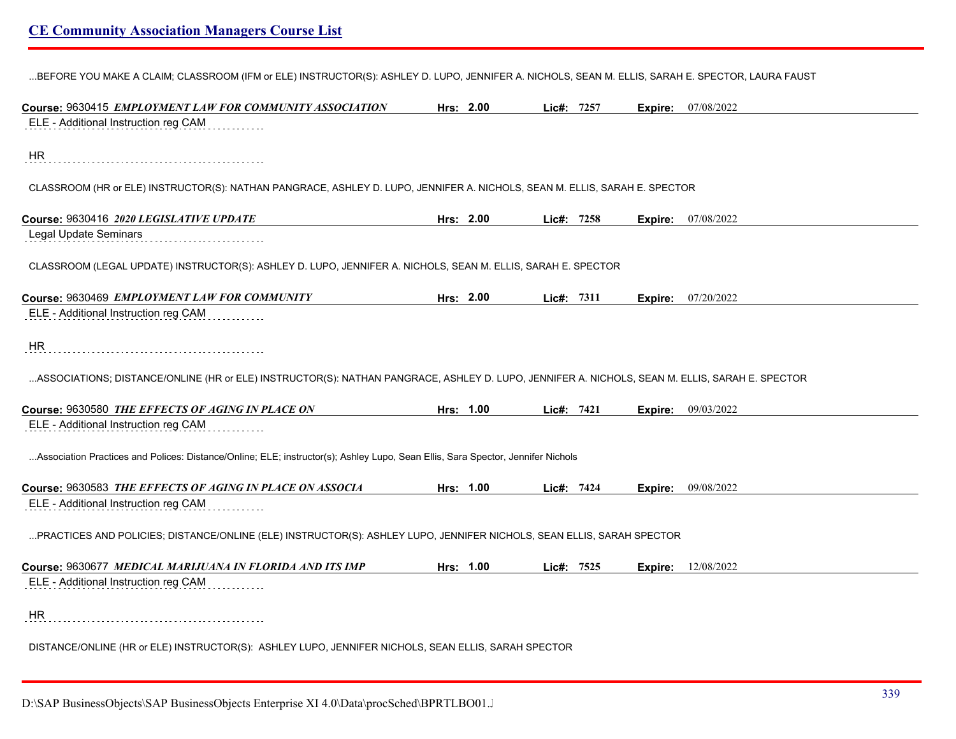...BEFORE YOU MAKE A CLAIM; CLASSROOM (IFM or ELE) INSTRUCTOR(S): ASHLEY D. LUPO, JENNIFER A. NICHOLS, SEAN M. ELLIS, SARAH E. SPECTOR, LAURA FAUST

| Course: 9630415 EMPLOYMENT LAW FOR COMMUNITY ASSOCIATION                                                                                       | Hrs: 2.00 | Lic#: 7257 |      |         | <b>Expire:</b> 07/08/2022 |
|------------------------------------------------------------------------------------------------------------------------------------------------|-----------|------------|------|---------|---------------------------|
| ELE - Additional Instruction reg CAM                                                                                                           |           |            |      |         |                           |
| HR                                                                                                                                             |           |            |      |         |                           |
| CLASSROOM (HR or ELE) INSTRUCTOR(S): NATHAN PANGRACE, ASHLEY D. LUPO, JENNIFER A. NICHOLS, SEAN M. ELLIS, SARAH E. SPECTOR                     |           |            |      |         |                           |
| Course: 9630416 2020 LEGISLATIVE UPDATE                                                                                                        | Hrs: 2.00 | Lic#: 7258 |      | Expire: | 07/08/2022                |
| Legal Update Seminars                                                                                                                          |           |            |      |         |                           |
| CLASSROOM (LEGAL UPDATE) INSTRUCTOR(S): ASHLEY D. LUPO, JENNIFER A. NICHOLS, SEAN M. ELLIS, SARAH E. SPECTOR                                   |           |            |      |         |                           |
| Course: 9630469 EMPLOYMENT LAW FOR COMMUNITY                                                                                                   | Hrs: 2.00 | Lic#:      | 7311 | Expire: | 07/20/2022                |
| ELE - Additional Instruction reg CAM                                                                                                           |           |            |      |         |                           |
| HR                                                                                                                                             |           |            |      |         |                           |
| ASSOCIATIONS; DISTANCE/ONLINE (HR or ELE) INSTRUCTOR(S): NATHAN PANGRACE, ASHLEY D. LUPO, JENNIFER A. NICHOLS, SEAN M. ELLIS, SARAH E. SPECTOR |           |            |      |         |                           |
| Course: 9630580 THE EFFECTS OF AGING IN PLACE ON                                                                                               | Hrs: 1.00 | Lic#: 7421 |      |         | <b>Expire:</b> 09/03/2022 |
| ELE - Additional Instruction reg CAM                                                                                                           |           |            |      |         |                           |
| Association Practices and Polices: Distance/Online; ELE; instructor(s); Ashley Lupo, Sean Ellis, Sara Spector, Jennifer Nichols                |           |            |      |         |                           |
| Course: 9630583 THE EFFECTS OF AGING IN PLACE ON ASSOCIA                                                                                       | Hrs: 1.00 | Lic#: 7424 |      | Expire: | 09/08/2022                |
| ELE - Additional Instruction reg CAM                                                                                                           |           |            |      |         |                           |
| PRACTICES AND POLICIES; DISTANCE/ONLINE (ELE) INSTRUCTOR(S): ASHLEY LUPO, JENNIFER NICHOLS, SEAN ELLIS, SARAH SPECTOR                          |           |            |      |         |                           |
| Course: 9630677 MEDICAL MARIJUANA IN FLORIDA AND ITS IMP                                                                                       | Hrs: 1.00 | Lic#: 7525 |      |         | <b>Expire:</b> 12/08/2022 |
| ELE - Additional Instruction reg CAM                                                                                                           |           |            |      |         |                           |
| HR                                                                                                                                             |           |            |      |         |                           |
| DISTANCE/ONLINE (HR or ELE) INSTRUCTOR(S): ASHLEY LUPO, JENNIFER NICHOLS, SEAN ELLIS, SARAH SPECTOR                                            |           |            |      |         |                           |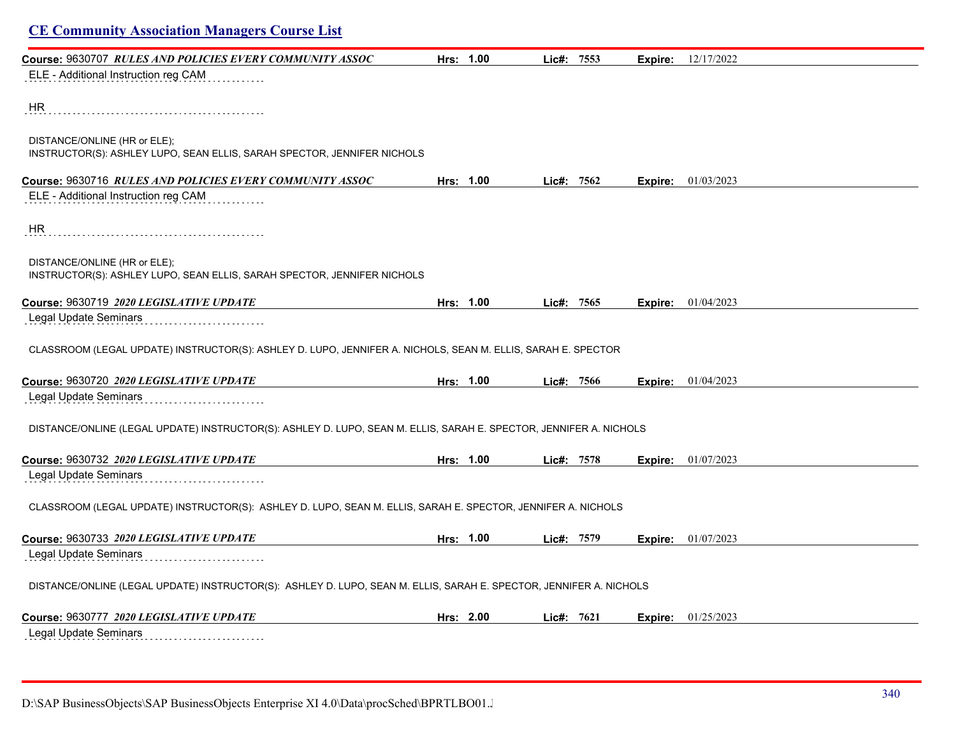| <b>CE Community Association Managers Course List</b>                                                               |           |            |         |                             |  |
|--------------------------------------------------------------------------------------------------------------------|-----------|------------|---------|-----------------------------|--|
| Course: 9630707 RULES AND POLICIES EVERY COMMUNITY ASSOC                                                           | Hrs: 1.00 | Lic#: 7553 | Expire: | 12/17/2022                  |  |
| ELE - Additional Instruction reg CAM                                                                               |           |            |         |                             |  |
| HR.                                                                                                                |           |            |         |                             |  |
| DISTANCE/ONLINE (HR or ELE);<br>INSTRUCTOR(S): ASHLEY LUPO, SEAN ELLIS, SARAH SPECTOR, JENNIFER NICHOLS            |           |            |         |                             |  |
| Course: 9630716 RULES AND POLICIES EVERY COMMUNITY ASSOC                                                           | Hrs: 1.00 | Lic#: 7562 |         | <b>Expire:</b> $01/03/2023$ |  |
| ELE - Additional Instruction reg CAM                                                                               |           |            |         |                             |  |
| HR                                                                                                                 |           |            |         |                             |  |
| DISTANCE/ONLINE (HR or ELE);<br>INSTRUCTOR(S): ASHLEY LUPO, SEAN ELLIS, SARAH SPECTOR, JENNIFER NICHOLS            |           |            |         |                             |  |
| Course: 9630719 2020 LEGISLATIVE UPDATE                                                                            | Hrs: 1.00 | Lie#: 7565 |         | <b>Expire:</b> $01/04/2023$ |  |
| Legal Update Seminars                                                                                              |           |            |         |                             |  |
| CLASSROOM (LEGAL UPDATE) INSTRUCTOR(S): ASHLEY D. LUPO, JENNIFER A. NICHOLS, SEAN M. ELLIS, SARAH E. SPECTOR       |           |            |         |                             |  |
| Course: 9630720 2020 LEGISLATIVE UPDATE                                                                            | Hrs: 1.00 | Lic#: 7566 |         | Expire: 01/04/2023          |  |
| Legal Update Seminars                                                                                              |           |            |         |                             |  |
| DISTANCE/ONLINE (LEGAL UPDATE) INSTRUCTOR(S): ASHLEY D. LUPO, SEAN M. ELLIS, SARAH E. SPECTOR, JENNIFER A. NICHOLS |           |            |         |                             |  |
| Course: 9630732 2020 LEGISLATIVE UPDATE                                                                            | Hrs: 1.00 | Lic#: 7578 |         | Expire: 01/07/2023          |  |
| Legal Update Seminars                                                                                              |           |            |         |                             |  |
| CLASSROOM (LEGAL UPDATE) INSTRUCTOR(S): ASHLEY D. LUPO, SEAN M. ELLIS, SARAH E. SPECTOR, JENNIFER A. NICHOLS       |           |            |         |                             |  |
| Course: 9630733 2020 LEGISLATIVE UPDATE                                                                            | Hrs: 1.00 | Lic#: 7579 |         | <b>Expire:</b> 01/07/2023   |  |
| Legal Update Seminars                                                                                              |           |            |         |                             |  |
| DISTANCE/ONLINE (LEGAL UPDATE) INSTRUCTOR(S): ASHLEY D. LUPO, SEAN M. ELLIS, SARAH E. SPECTOR, JENNIFER A. NICHOLS |           |            |         |                             |  |
| Course: 9630777 2020 LEGISLATIVE UPDATE                                                                            | Hrs: 2.00 | Lic#: 7621 | Expire: | 01/25/2023                  |  |
| Legal Update Seminars                                                                                              |           |            |         |                             |  |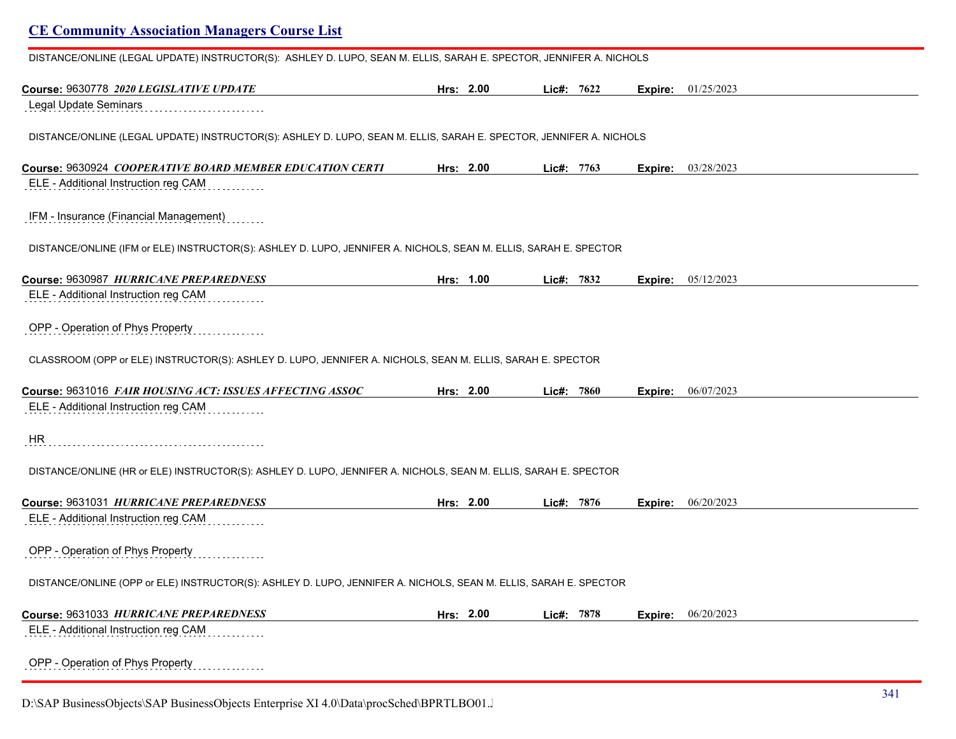| DISTANCE/ONLINE (LEGAL UPDATE) INSTRUCTOR(S): ASHLEY D. LUPO, SEAN M. ELLIS, SARAH E. SPECTOR, JENNIFER A. NICHOLS |           |            |         |                             |
|--------------------------------------------------------------------------------------------------------------------|-----------|------------|---------|-----------------------------|
| Course: 9630778 2020 LEGISLATIVE UPDATE                                                                            | Hrs: 2.00 | Lic#: 7622 | Expire: | 01/25/2023                  |
| <b>Legal Update Seminars</b>                                                                                       |           |            |         |                             |
| DISTANCE/ONLINE (LEGAL UPDATE) INSTRUCTOR(S): ASHLEY D. LUPO, SEAN M. ELLIS, SARAH E. SPECTOR, JENNIFER A. NICHOLS |           |            |         |                             |
|                                                                                                                    |           |            |         |                             |
| Course: 9630924 COOPERATIVE BOARD MEMBER EDUCATION CERTI                                                           | Hrs: 2.00 | Lic#: 7763 | Expire: | 03/28/2023                  |
| ELE - Additional Instruction reg CAM                                                                               |           |            |         |                             |
| IFM - Insurance (Financial Management)                                                                             |           |            |         |                             |
| DISTANCE/ONLINE (IFM or ELE) INSTRUCTOR(S): ASHLEY D. LUPO, JENNIFER A. NICHOLS, SEAN M. ELLIS, SARAH E. SPECTOR   |           |            |         |                             |
| Course: 9630987 HURRICANE PREPAREDNESS                                                                             | Hrs: 1.00 | Lic#: 7832 |         | <b>Expire:</b> $05/12/2023$ |
| ELE - Additional Instruction reg CAM                                                                               |           |            |         |                             |
| OPP - Operation of Phys Property                                                                                   |           |            |         |                             |
| CLASSROOM (OPP or ELE) INSTRUCTOR(S): ASHLEY D. LUPO, JENNIFER A. NICHOLS, SEAN M. ELLIS, SARAH E. SPECTOR         |           |            |         |                             |
| Course: 9631016 FAIR HOUSING ACT: ISSUES AFFECTING ASSOC                                                           | Hrs: 2.00 | Lie#: 7860 | Expire: | 06/07/2023                  |
| ELE - Additional Instruction reg CAM                                                                               |           |            |         |                             |
| HR                                                                                                                 |           |            |         |                             |
| DISTANCE/ONLINE (HR or ELE) INSTRUCTOR(S): ASHLEY D. LUPO, JENNIFER A. NICHOLS, SEAN M. ELLIS, SARAH E. SPECTOR    |           |            |         |                             |
| Course: 9631031 HURRICANE PREPAREDNESS                                                                             | Hrs: 2.00 | Lic#: 7876 | Expire: | 06/20/2023                  |
| ELE - Additional Instruction reg CAM                                                                               |           |            |         |                             |
| OPP - Operation of Phys Property                                                                                   |           |            |         |                             |
| DISTANCE/ONLINE (OPP or ELE) INSTRUCTOR(S): ASHLEY D. LUPO, JENNIFER A. NICHOLS, SEAN M. ELLIS, SARAH E. SPECTOR   |           |            |         |                             |
| Course: 9631033 HURRICANE PREPAREDNESS                                                                             | Hrs: 2.00 | Lic#: 7878 |         | <b>Expire:</b> $06/20/2023$ |
| ELE - Additional Instruction reg CAM                                                                               |           |            |         |                             |
| OPP - Operation of Phys Property                                                                                   |           |            |         |                             |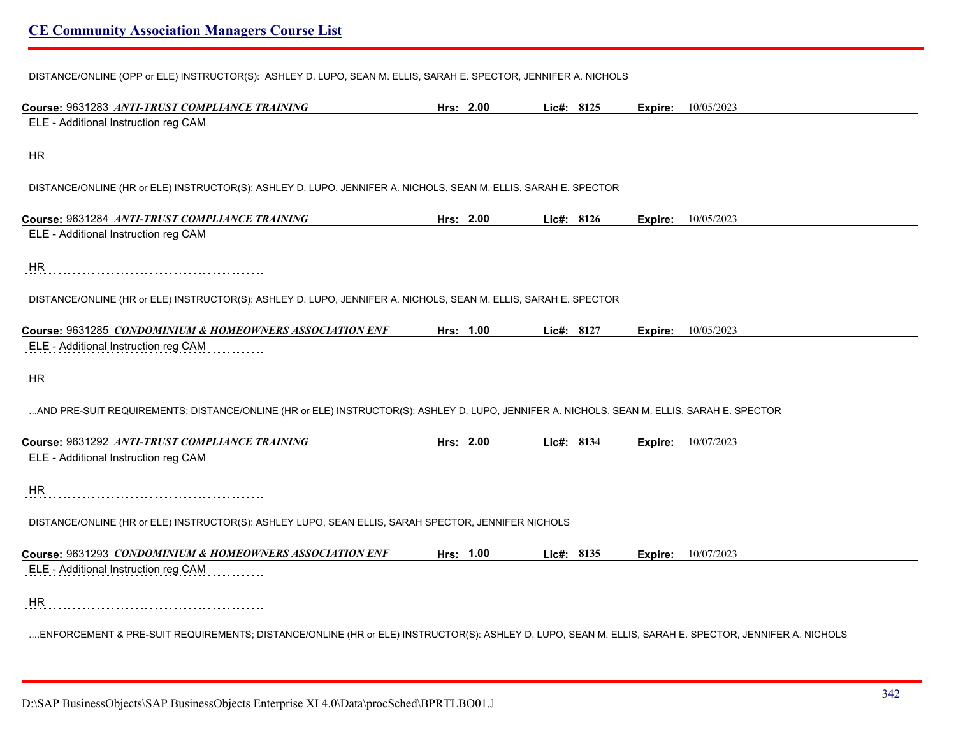|  |  |  | DISTANCE/ONLINE (OPP or ELE) INSTRUCTOR(S): ASHLEY D. LUPO, SEAN M. ELLIS, SARAH E. SPECTOR, JENNIFER A. NICHOLS |
|--|--|--|------------------------------------------------------------------------------------------------------------------|
|  |  |  |                                                                                                                  |

| Course: 9631283 ANTI-TRUST COMPLIANCE TRAINING                                                                                                       | Hrs: 2.00 | Lic#: 8125 |         | <b>Expire:</b> 10/05/2023 |
|------------------------------------------------------------------------------------------------------------------------------------------------------|-----------|------------|---------|---------------------------|
| ELE - Additional Instruction reg CAM                                                                                                                 |           |            |         |                           |
| <b>HR</b>                                                                                                                                            |           |            |         |                           |
| DISTANCE/ONLINE (HR or ELE) INSTRUCTOR(S): ASHLEY D. LUPO, JENNIFER A. NICHOLS, SEAN M. ELLIS, SARAH E. SPECTOR                                      |           |            |         |                           |
| Course: 9631284 ANTI-TRUST COMPLIANCE TRAINING                                                                                                       | Hrs: 2.00 | Lic#: 8126 | Expire: | 10/05/2023                |
| ELE - Additional Instruction reg CAM                                                                                                                 |           |            |         |                           |
| <b>HR</b>                                                                                                                                            |           |            |         |                           |
| DISTANCE/ONLINE (HR or ELE) INSTRUCTOR(S): ASHLEY D. LUPO, JENNIFER A. NICHOLS, SEAN M. ELLIS, SARAH E. SPECTOR                                      |           |            |         |                           |
| Course: 9631285 CONDOMINIUM & HOMEOWNERS ASSOCIATION ENF                                                                                             | Hrs: 1.00 | Lic#: 8127 | Expire: | 10/05/2023                |
| ELE - Additional Instruction reg CAM                                                                                                                 |           |            |         |                           |
| <b>HR</b>                                                                                                                                            |           |            |         |                           |
| AND PRE-SUIT REQUIREMENTS; DISTANCE/ONLINE (HR or ELE) INSTRUCTOR(S): ASHLEY D. LUPO, JENNIFER A. NICHOLS, SEAN M. ELLIS, SARAH E. SPECTOR           |           |            |         |                           |
| Course: 9631292 ANTI-TRUST COMPLIANCE TRAINING                                                                                                       | Hrs: 2.00 | Lic#: 8134 | Expire: | 10/07/2023                |
| ELE - Additional Instruction reg CAM                                                                                                                 |           |            |         |                           |
| <b>HR</b>                                                                                                                                            |           |            |         |                           |
| DISTANCE/ONLINE (HR or ELE) INSTRUCTOR(S): ASHLEY LUPO, SEAN ELLIS, SARAH SPECTOR, JENNIFER NICHOLS                                                  |           |            |         |                           |
| Course: 9631293 CONDOMINIUM & HOMEOWNERS ASSOCIATION ENF                                                                                             | Hrs: 1.00 | Lic#: 8135 | Expire: | 10/07/2023                |
| ELE - Additional Instruction reg CAM                                                                                                                 |           |            |         |                           |
| HR                                                                                                                                                   |           |            |         |                           |
| ENFORCEMENT & PRE-SUIT REQUIREMENTS; DISTANCE/ONLINE (HR or ELE) INSTRUCTOR(S): ASHLEY D. LUPO, SEAN M. ELLIS, SARAH E. SPECTOR, JENNIFER A. NICHOLS |           |            |         |                           |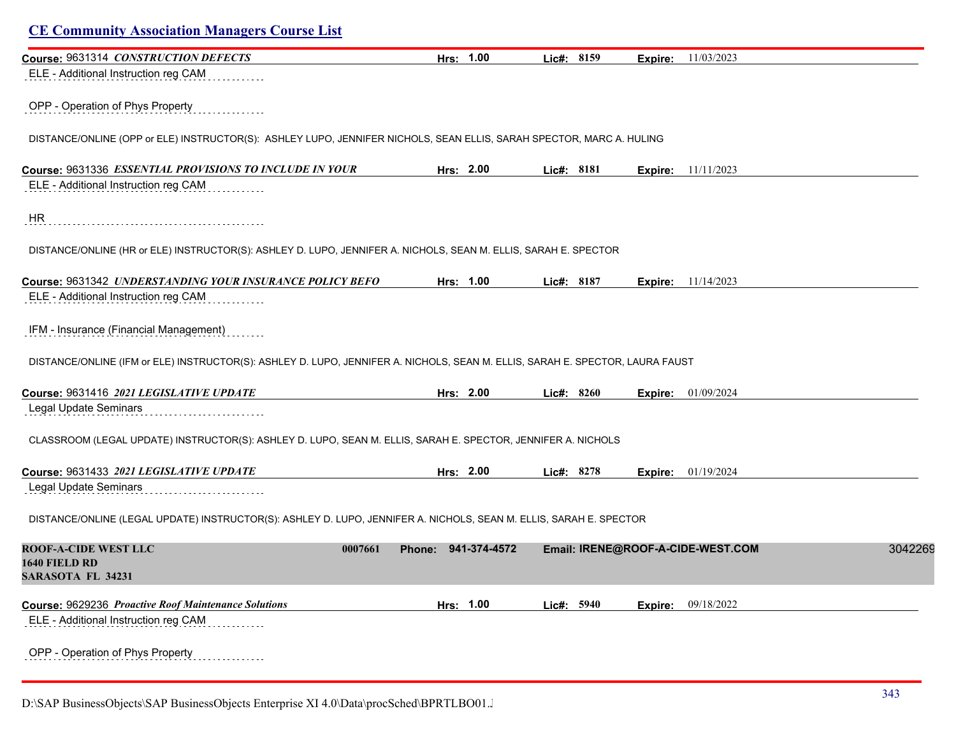# **CE Community Association Managers Course List Course:** 9631314 *CONSTRUCTION DEFECTS* **Hrs: 1.00 Lic#: 8159 Expire:** 11/03/2023 ELE - Additional Instruction reg CAM OPP - Operation of Phys Property DISTANCE/ONLINE (OPP or ELE) INSTRUCTOR(S): ASHLEY LUPO, JENNIFER NICHOLS, SEAN ELLIS, SARAH SPECTOR, MARC A. HULING **Course:** 9631336 *ESSENTIAL PROVISIONS TO INCLUDE IN YOUR* **Hrs: 2.00 Lic#: 8181 Expire:** 11/11/2023 ELE - Additional Instruction reg CAM HR DISTANCE/ONLINE (HR or ELE) INSTRUCTOR(S): ASHLEY D. LUPO, JENNIFER A. NICHOLS, SEAN M. ELLIS, SARAH E. SPECTOR **Course:** 9631342 *UNDERSTANDING YOUR INSURANCE POLICY BEFO* **Hrs: 1.00 Lic#: 8187 Expire:** 11/14/2023 ELE - Additional Instruction reg CAM IFM - Insurance (Financial Management) DISTANCE/ONLINE (IFM or ELE) INSTRUCTOR(S): ASHLEY D. LUPO, JENNIFER A. NICHOLS, SEAN M. ELLIS, SARAH E. SPECTOR, LAURA FAUST **Course:** 9631416 *2021 LEGISLATIVE UPDATE* **Hrs: 2.00 Lic#: 8260 Expire:** 01/09/2024 Legal Update Seminars CLASSROOM (LEGAL UPDATE) INSTRUCTOR(S): ASHLEY D. LUPO, SEAN M. ELLIS, SARAH E. SPECTOR, JENNIFER A. NICHOLS **Course:** 9631433 *2021 LEGISLATIVE UPDATE* **Hrs: 2.00 Lic#: 8278 Expire:** 01/19/2024 Legal Update Seminars DISTANCE/ONLINE (LEGAL UPDATE) INSTRUCTOR(S): ASHLEY D. LUPO, JENNIFER A. NICHOLS, SEAN M. ELLIS, SARAH E. SPECTOR **ROOF-A-CIDE WEST LLC 0007661 Phone: 941-374-4572 Email: IRENE@ROOF-A-CIDE-WEST.COM** 30422695 **1640 FIELD RD SARASOTA FL 34231 Course:** 9629236 *Proactive Roof Maintenance Solutions* **Hrs: 1.00 Lic#: 5940 Expire:** 09/18/2022 ELE - Additional Instruction reg CAM

OPP - Operation of Phys Property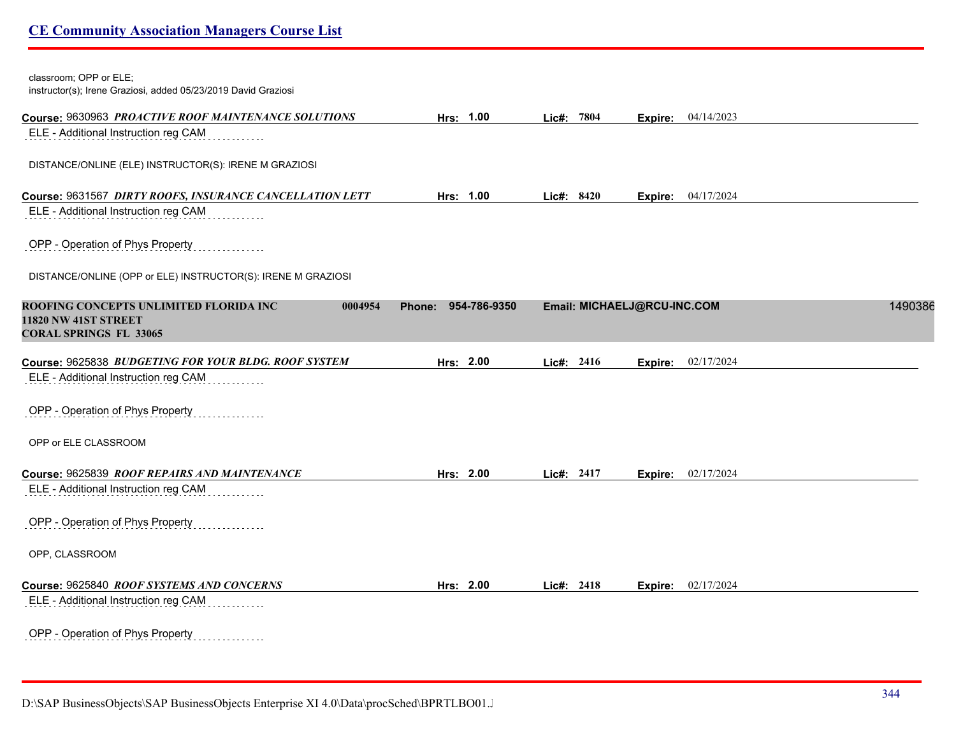| classroom; OPP or ELE;<br>instructor(s); Irene Graziosi, added 05/23/2019 David Graziosi                   |                               |            |                             |                           |         |
|------------------------------------------------------------------------------------------------------------|-------------------------------|------------|-----------------------------|---------------------------|---------|
| Course: 9630963 PROACTIVE ROOF MAINTENANCE SOLUTIONS                                                       | Hrs: 1.00                     | Lic#: 7804 |                             | Expire: 04/14/2023        |         |
| ELE - Additional Instruction reg CAM                                                                       |                               |            |                             |                           |         |
| DISTANCE/ONLINE (ELE) INSTRUCTOR(S): IRENE M GRAZIOSI                                                      |                               |            |                             |                           |         |
| Course: 9631567 DIRTY ROOFS, INSURANCE CANCELLATION LETT                                                   | Hrs: 1.00                     | Lic#: 8420 | Expire:                     | 04/17/2024                |         |
| ELE - Additional Instruction reg CAM                                                                       |                               |            |                             |                           |         |
| OPP - Operation of Phys Property                                                                           |                               |            |                             |                           |         |
| DISTANCE/ONLINE (OPP or ELE) INSTRUCTOR(S): IRENE M GRAZIOSI                                               |                               |            |                             |                           |         |
| ROOFING CONCEPTS UNLIMITED FLORIDA INC<br>0004954<br>11820 NW 41ST STREET<br><b>CORAL SPRINGS FL 33065</b> | 954-786-9350<br><b>Phone:</b> |            | Email: MICHAELJ@RCU-INC.COM |                           | 1490386 |
| Course: 9625838 BUDGETING FOR YOUR BLDG. ROOF SYSTEM                                                       | Hrs: 2.00                     | Lic#: 2416 | Expire:                     | 02/17/2024                |         |
| ELE - Additional Instruction reg CAM                                                                       |                               |            |                             |                           |         |
| OPP - Operation of Phys Property                                                                           |                               |            |                             |                           |         |
| OPP or ELE CLASSROOM                                                                                       |                               |            |                             |                           |         |
| Course: 9625839 ROOF REPAIRS AND MAINTENANCE                                                               | Hrs: 2.00                     | Lic#: 2417 |                             | <b>Expire:</b> 02/17/2024 |         |
| ELE - Additional Instruction reg CAM                                                                       |                               |            |                             |                           |         |
| OPP - Operation of Phys Property                                                                           |                               |            |                             |                           |         |
| OPP, CLASSROOM                                                                                             |                               |            |                             |                           |         |
| Course: 9625840 ROOF SYSTEMS AND CONCERNS                                                                  | Hrs: 2.00                     | Lic#: 2418 |                             | <b>Expire:</b> 02/17/2024 |         |
| ELE - Additional Instruction reg CAM                                                                       |                               |            |                             |                           |         |
| OPP - Operation of Phys Property                                                                           |                               |            |                             |                           |         |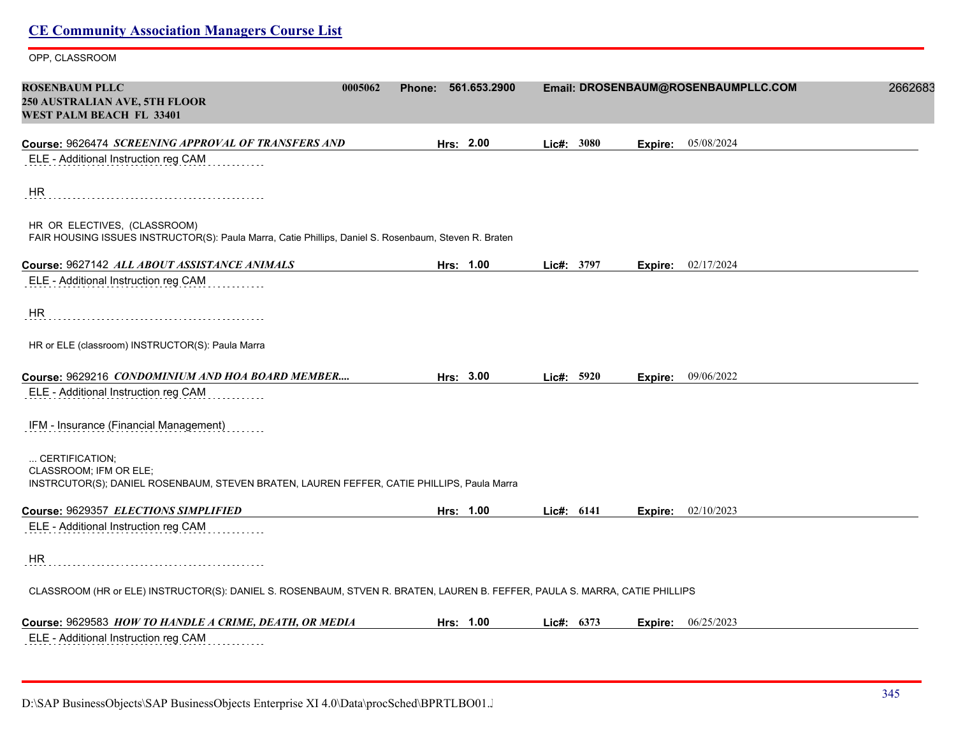| <b>CE Community Association Managers Course List</b>                                                                                   |                     |            |                                     |         |
|----------------------------------------------------------------------------------------------------------------------------------------|---------------------|------------|-------------------------------------|---------|
| OPP, CLASSROOM                                                                                                                         |                     |            |                                     |         |
| <b>ROSENBAUM PLLC</b><br>0005062<br>250 AUSTRALIAN AVE, 5TH FLOOR<br>WEST PALM BEACH FL 33401                                          | Phone: 561.653.2900 |            | Email: DROSENBAUM@ROSENBAUMPLLC.COM | 2662683 |
| Course: 9626474 SCREENING APPROVAL OF TRANSFERS AND                                                                                    | Hrs: 2.00           | Lic#: 3080 | 05/08/2024<br>Expire:               |         |
| ELE - Additional Instruction reg CAM                                                                                                   |                     |            |                                     |         |
| HR                                                                                                                                     |                     |            |                                     |         |
| HR OR ELECTIVES, (CLASSROOM)<br>FAIR HOUSING ISSUES INSTRUCTOR(S): Paula Marra, Catie Phillips, Daniel S. Rosenbaum, Steven R. Braten  |                     |            |                                     |         |
| Course: 9627142 ALL ABOUT ASSISTANCE ANIMALS                                                                                           | Hrs: 1.00           | Lic#: 3797 | <b>Expire:</b> 02/17/2024           |         |
| ELE - Additional Instruction reg CAM                                                                                                   |                     |            |                                     |         |
| HR                                                                                                                                     |                     |            |                                     |         |
| HR or ELE (classroom) INSTRUCTOR(S): Paula Marra                                                                                       |                     |            |                                     |         |
| Course: 9629216 CONDOMINIUM AND HOA BOARD MEMBER                                                                                       | Hrs: 3.00           | Lie#: 5920 | <b>Expire:</b> $09/06/2022$         |         |
| ELE - Additional Instruction reg CAM                                                                                                   |                     |            |                                     |         |
| IFM - Insurance (Financial Management)                                                                                                 |                     |            |                                     |         |
| CERTIFICATION;<br>CLASSROOM; IFM OR ELE;<br>INSTRCUTOR(S); DANIEL ROSENBAUM, STEVEN BRATEN, LAUREN FEFFER, CATIE PHILLIPS, Paula Marra |                     |            |                                     |         |
| Course: 9629357 ELECTIONS SIMPLIFIED                                                                                                   | Hrs: 1.00           | Lie#: 6141 | <b>Expire:</b> 02/10/2023           |         |
| ELE - Additional Instruction reg CAM                                                                                                   |                     |            |                                     |         |
| HR                                                                                                                                     |                     |            |                                     |         |
| CLASSROOM (HR or ELE) INSTRUCTOR(S): DANIEL S. ROSENBAUM, STVEN R. BRATEN, LAUREN B. FEFFER, PAULA S. MARRA, CATIE PHILLIPS            |                     |            |                                     |         |
| Course: 9629583 HOW TO HANDLE A CRIME, DEATH, OR MEDIA                                                                                 | Hrs: 1.00           | Lic#: 6373 | <b>Expire:</b> $06/25/2023$         |         |
| ELE - Additional Instruction reg CAM                                                                                                   |                     |            |                                     |         |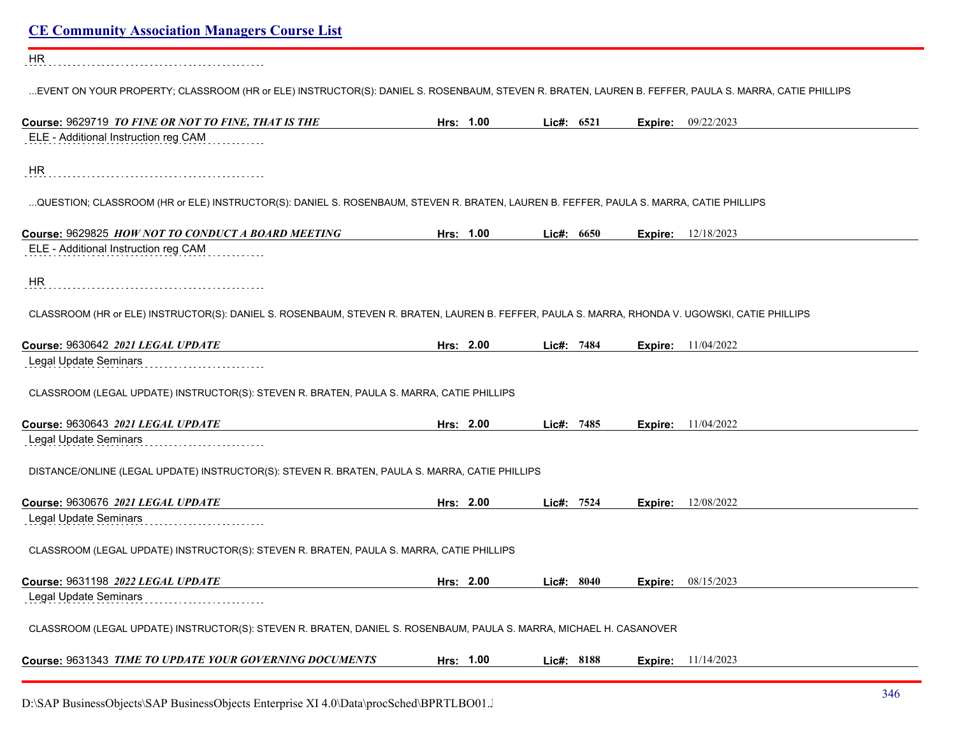| <b>CE Community Association Managers Course List</b>                                                                                                 |           |              |         |                             |
|------------------------------------------------------------------------------------------------------------------------------------------------------|-----------|--------------|---------|-----------------------------|
| HR                                                                                                                                                   |           |              |         |                             |
| EVENT ON YOUR PROPERTY; CLASSROOM (HR or ELE) INSTRUCTOR(S): DANIEL S. ROSENBAUM, STEVEN R. BRATEN, LAUREN B. FEFFER, PAULA S. MARRA, CATIE PHILLIPS |           |              |         |                             |
| Course: 9629719 TO FINE OR NOT TO FINE, THAT IS THE                                                                                                  | Hrs: 1.00 | Lic#: 6521   |         | Expire: 09/22/2023          |
| ELE - Additional Instruction reg CAM                                                                                                                 |           |              |         |                             |
| HR                                                                                                                                                   |           |              |         |                             |
| QUESTION; CLASSROOM (HR or ELE) INSTRUCTOR(S): DANIEL S. ROSENBAUM, STEVEN R. BRATEN, LAUREN B. FEFFER, PAULA S. MARRA, CATIE PHILLIPS               |           |              |         |                             |
| Course: 9629825 HOW NOT TO CONDUCT A BOARD MEETING                                                                                                   | Hrs: 1.00 | Lic#: $6650$ |         | <b>Expire:</b> $12/18/2023$ |
| ELE - Additional Instruction reg CAM                                                                                                                 |           |              |         |                             |
| HR                                                                                                                                                   |           |              |         |                             |
| CLASSROOM (HR or ELE) INSTRUCTOR(S): DANIEL S. ROSENBAUM, STEVEN R. BRATEN, LAUREN B. FEFFER, PAULA S. MARRA, RHONDA V. UGOWSKI, CATIE PHILLIPS      |           |              |         |                             |
| Course: 9630642 2021 LEGAL UPDATE                                                                                                                    | Hrs: 2.00 | Lic#: 7484   |         | <b>Expire:</b> 11/04/2022   |
| Legal Update Seminars                                                                                                                                |           |              |         |                             |
| CLASSROOM (LEGAL UPDATE) INSTRUCTOR(S): STEVEN R. BRATEN, PAULA S. MARRA, CATIE PHILLIPS                                                             |           |              |         |                             |
| Course: 9630643 2021 LEGAL UPDATE                                                                                                                    | Hrs: 2.00 | Lic#: 7485   |         | <b>Expire:</b> 11/04/2022   |
| Legal Update Seminars                                                                                                                                |           |              |         |                             |
| DISTANCE/ONLINE (LEGAL UPDATE) INSTRUCTOR(S): STEVEN R. BRATEN, PAULA S. MARRA, CATIE PHILLIPS                                                       |           |              |         |                             |
| Course: 9630676 2021 LEGAL UPDATE                                                                                                                    | Hrs: 2.00 | Lic#: 7524   | Expire: | 12/08/2022                  |
| Legal Update Seminars                                                                                                                                |           |              |         |                             |
| CLASSROOM (LEGAL UPDATE) INSTRUCTOR(S): STEVEN R. BRATEN, PAULA S. MARRA, CATIE PHILLIPS                                                             |           |              |         |                             |
| Course: 9631198 2022 LEGAL UPDATE                                                                                                                    | Hrs: 2.00 | Lic#: 8040   |         | <b>Expire:</b> 08/15/2023   |
| Legal Update Seminars                                                                                                                                |           |              |         |                             |
| CLASSROOM (LEGAL UPDATE) INSTRUCTOR(S): STEVEN R. BRATEN, DANIEL S. ROSENBAUM, PAULA S. MARRA, MICHAEL H. CASANOVER                                  |           |              |         |                             |
| Course: 9631343 TIME TO UPDATE YOUR GOVERNING DOCUMENTS                                                                                              | Hrs: 1.00 | Lic#: 8188   |         | <b>Expire:</b> 11/14/2023   |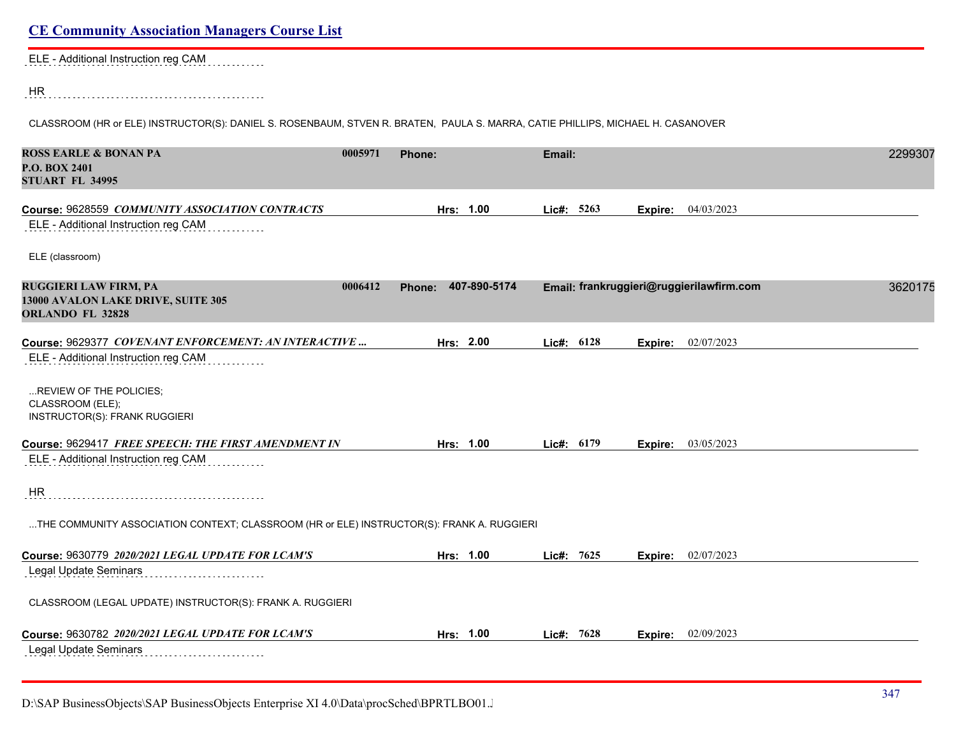ELE - Additional Instruction reg CAM . . . . . . . . . .

HR 

CLASSROOM (HR or ELE) INSTRUCTOR(S): DANIEL S. ROSENBAUM, STVEN R. BRATEN, PAULA S. MARRA, CATIE PHILLIPS, MICHAEL H. CASANOVER

| <b>ROSS EARLE &amp; BONAN PA</b><br><b>P.O. BOX 2401</b><br><b>STUART FL 34995</b>            | 0005971 | Phone:                 | Email:     |         |                                          | 2299307 |
|-----------------------------------------------------------------------------------------------|---------|------------------------|------------|---------|------------------------------------------|---------|
| Course: 9628559 COMMUNITY ASSOCIATION CONTRACTS<br>ELE - Additional Instruction reg CAM       |         | Hrs: 1.00              | Lic#: 5263 | Expire: | 04/03/2023                               |         |
| ELE (classroom)                                                                               |         |                        |            |         |                                          |         |
| <b>RUGGIERI LAW FIRM, PA</b><br>13000 AVALON LAKE DRIVE, SUITE 305<br><b>ORLANDO FL 32828</b> | 0006412 | 407-890-5174<br>Phone: |            |         | Email: frankruggieri@ruggierilawfirm.com | 3620175 |
| Course: 9629377 COVENANT ENFORCEMENT: AN INTERACTIVE<br>ELE - Additional Instruction reg CAM  |         | Hrs: 2.00              | Lic#: 6128 | Expire: | 02/07/2023                               |         |
| REVIEW OF THE POLICIES;<br>CLASSROOM (ELE);<br><b>INSTRUCTOR(S): FRANK RUGGIERI</b>           |         |                        |            |         |                                          |         |
| Course: 9629417 FREE SPEECH: THE FIRST AMENDMENT IN                                           |         | Hrs: 1.00              | Lic#: 6179 | Expire: | 03/05/2023                               |         |
| ELE - Additional Instruction reg CAM                                                          |         |                        |            |         |                                          |         |
| <b>HR</b>                                                                                     |         |                        |            |         |                                          |         |
| THE COMMUNITY ASSOCIATION CONTEXT; CLASSROOM (HR or ELE) INSTRUCTOR(S): FRANK A. RUGGIERI     |         |                        |            |         |                                          |         |
| Course: 9630779 2020/2021 LEGAL UPDATE FOR LCAM'S                                             |         | Hrs: 1.00              | Lic#: 7625 | Expire: | 02/07/2023                               |         |
| Legal Update Seminars                                                                         |         |                        |            |         |                                          |         |
| CLASSROOM (LEGAL UPDATE) INSTRUCTOR(S): FRANK A. RUGGIERI                                     |         |                        |            |         |                                          |         |
| Course: 9630782 2020/2021 LEGAL UPDATE FOR LCAM'S                                             |         | Hrs: 1.00              | Lic#: 7628 | Expire: | 02/09/2023                               |         |
| Legal Update Seminars<br>.                                                                    |         |                        |            |         |                                          |         |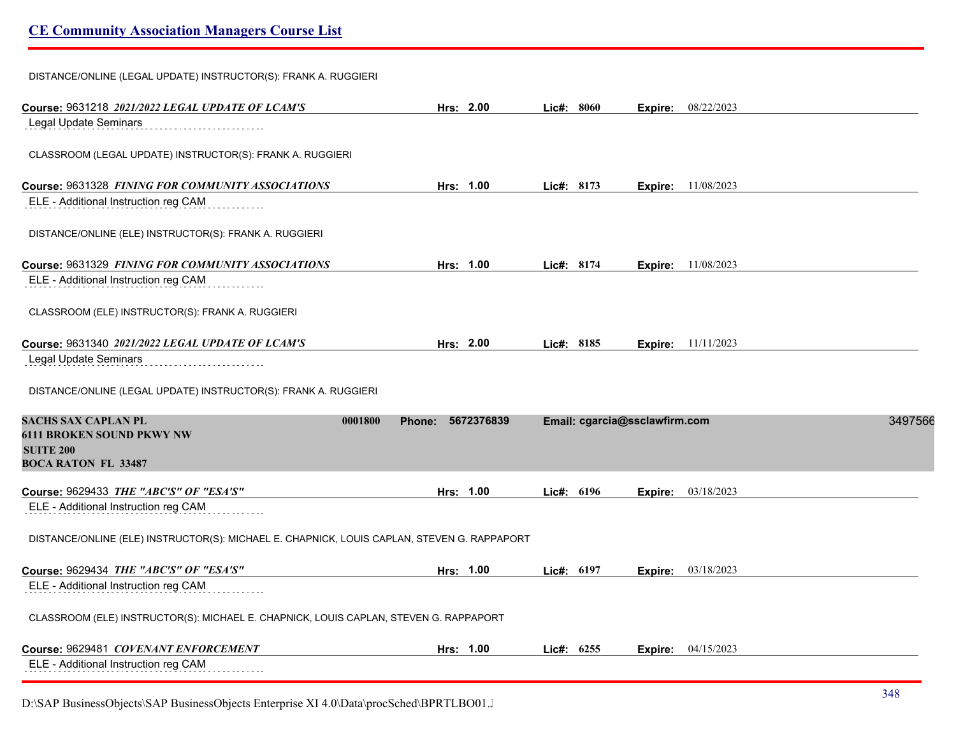DISTANCE/ONLINE (LEGAL UPDATE) INSTRUCTOR(S): FRANK A. RUGGIERI

| Course: 9631218 2021/2022 LEGAL UPDATE OF LCAM'S                                            | Hrs: 2.00            | Lic#: 8060                    | Expire: 08/22/2023        |            |         |
|---------------------------------------------------------------------------------------------|----------------------|-------------------------------|---------------------------|------------|---------|
| Legal Update Seminars                                                                       |                      |                               |                           |            |         |
| CLASSROOM (LEGAL UPDATE) INSTRUCTOR(S): FRANK A. RUGGIERI                                   |                      |                               |                           |            |         |
| Course: 9631328 FINING FOR COMMUNITY ASSOCIATIONS                                           | Hrs: 1.00            | Lic#: 8173                    | Expire:                   | 11/08/2023 |         |
| ELE - Additional Instruction reg CAM                                                        |                      |                               |                           |            |         |
| DISTANCE/ONLINE (ELE) INSTRUCTOR(S): FRANK A. RUGGIERI                                      |                      |                               |                           |            |         |
| Course: 9631329 FINING FOR COMMUNITY ASSOCIATIONS                                           | Hrs: 1.00            | Lic#: 8174                    | Expire: 11/08/2023        |            |         |
| ELE - Additional Instruction reg CAM                                                        |                      |                               |                           |            |         |
| CLASSROOM (ELE) INSTRUCTOR(S): FRANK A. RUGGIERI                                            |                      |                               |                           |            |         |
| Course: 9631340 2021/2022 LEGAL UPDATE OF LCAM'S                                            | Hrs: 2.00            | Lic#: 8185                    | <b>Expire:</b> 11/11/2023 |            |         |
| Legal Update Seminars                                                                       |                      |                               |                           |            |         |
|                                                                                             |                      |                               |                           |            |         |
| DISTANCE/ONLINE (LEGAL UPDATE) INSTRUCTOR(S): FRANK A. RUGGIERI                             |                      |                               |                           |            |         |
| <b>SACHS SAX CAPLAN PL</b><br>0001800                                                       | 5672376839<br>Phone: | Email: cgarcia@ssclawfirm.com |                           |            | 3497566 |
| <b>6111 BROKEN SOUND PKWY NW</b>                                                            |                      |                               |                           |            |         |
| <b>SUITE 200</b><br><b>BOCA RATON FL 33487</b>                                              |                      |                               |                           |            |         |
| Course: 9629433 THE "ABC'S" OF "ESA'S"                                                      | Hrs: 1.00            | Lic#: 6196                    | <b>Expire:</b> 03/18/2023 |            |         |
| ELE - Additional Instruction reg CAM                                                        |                      |                               |                           |            |         |
| DISTANCE/ONLINE (ELE) INSTRUCTOR(S): MICHAEL E. CHAPNICK, LOUIS CAPLAN, STEVEN G. RAPPAPORT |                      |                               |                           |            |         |
| Course: 9629434 THE "ABC'S" OF "ESA'S"                                                      | Hrs: 1.00            | Lic#: 6197                    | <b>Expire:</b> 03/18/2023 |            |         |
| ELE - Additional Instruction reg CAM                                                        |                      |                               |                           |            |         |
| CLASSROOM (ELE) INSTRUCTOR(S): MICHAEL E. CHAPNICK, LOUIS CAPLAN, STEVEN G. RAPPAPORT       |                      |                               |                           |            |         |
| Course: 9629481 COVENANT ENFORCEMENT                                                        | Hrs: 1.00            | Lic#: 6255                    | <b>Expire:</b> 04/15/2023 |            |         |

D:\SAP BusinessObjects\SAP BusinessObjects Enterprise XI 4.0\Data\procSched\BPRTLBO01.Jobserver2\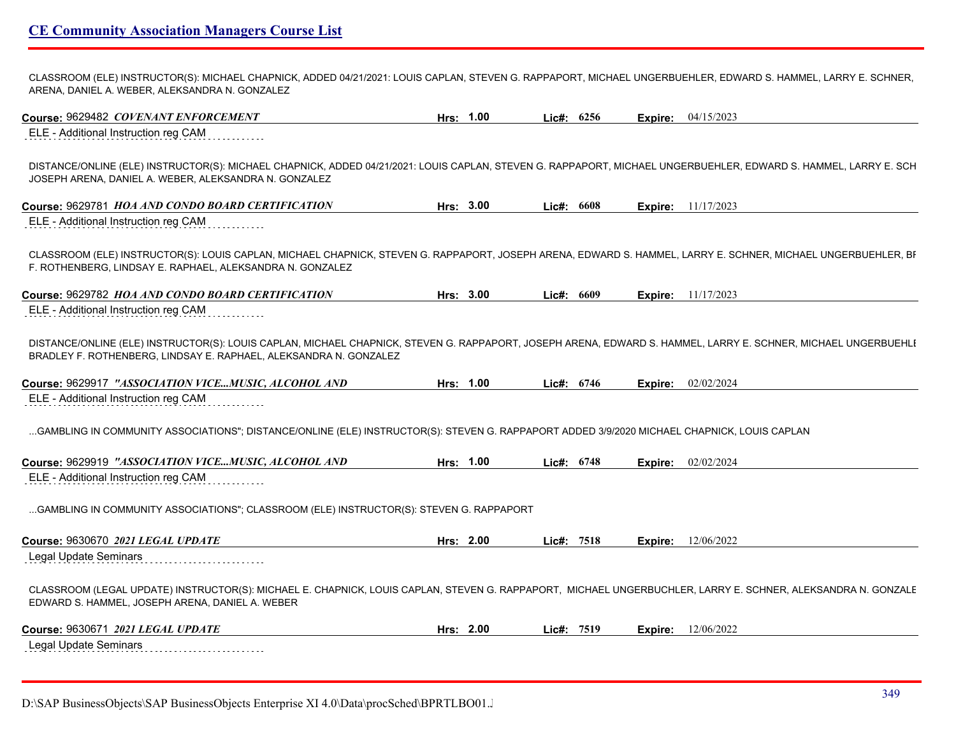CLASSROOM (ELE) INSTRUCTOR(S): MICHAEL CHAPNICK, ADDED 04/21/2021: LOUIS CAPLAN, STEVEN G. RAPPAPORT, MICHAEL UNGERBUEHLER, EDWARD S. HAMMEL, LARRY E. SCHNER, ARENA, DANIEL A. WEBER, ALEKSANDRA N. GONZALEZ

| Course: 9629482 COVENANT ENFORCEMENT                                                                                                                                                                                                                                                                                                                                                                                                                  | Hrs: 1.00 | Lic#: $6256$ |         | <b>Expire:</b> 04/15/2023   |
|-------------------------------------------------------------------------------------------------------------------------------------------------------------------------------------------------------------------------------------------------------------------------------------------------------------------------------------------------------------------------------------------------------------------------------------------------------|-----------|--------------|---------|-----------------------------|
| ELE - Additional Instruction reg CAM                                                                                                                                                                                                                                                                                                                                                                                                                  |           |              |         |                             |
| DISTANCE/ONLINE (ELE) INSTRUCTOR(S): MICHAEL CHAPNICK, ADDED 04/21/2021: LOUIS CAPLAN, STEVEN G. RAPPAPORT, MICHAEL UNGERBUEHLER, EDWARD S. HAMMEL, LARRY E. SCH<br>JOSEPH ARENA, DANIEL A. WEBER, ALEKSANDRA N. GONZALEZ                                                                                                                                                                                                                             |           |              |         |                             |
| Course: 9629781 HOA AND CONDO BOARD CERTIFICATION                                                                                                                                                                                                                                                                                                                                                                                                     | Hrs: 3.00 | Lic#: 6608   |         | <b>Expire:</b> 11/17/2023   |
| ELE - Additional Instruction reg CAM                                                                                                                                                                                                                                                                                                                                                                                                                  |           |              |         |                             |
| CLASSROOM (ELE) INSTRUCTOR(S): LOUIS CAPLAN, MICHAEL CHAPNICK, STEVEN G. RAPPAPORT, JOSEPH ARENA, EDWARD S. HAMMEL, LARRY E. SCHNER, MICHAEL UNGERBUEHLER, BI<br>F. ROTHENBERG, LINDSAY E. RAPHAEL, ALEKSANDRA N. GONZALEZ                                                                                                                                                                                                                            |           |              |         |                             |
| Course: 9629782 HOA AND CONDO BOARD CERTIFICATION                                                                                                                                                                                                                                                                                                                                                                                                     | Hrs: 3.00 | Lic#: 6609   |         | <b>Expire:</b> $11/17/2023$ |
| ELE - Additional Instruction reg CAM                                                                                                                                                                                                                                                                                                                                                                                                                  |           |              |         |                             |
| DISTANCE/ONLINE (ELE) INSTRUCTOR(S): LOUIS CAPLAN, MICHAEL CHAPNICK, STEVEN G. RAPPAPORT, JOSEPH ARENA, EDWARD S. HAMMEL, LARRY E. SCHNER, MICHAEL UNGERBUEHLI<br>BRADLEY F. ROTHENBERG, LINDSAY E. RAPHAEL, ALEKSANDRA N. GONZALEZ<br>Course: 9629917 "ASSOCIATION VICEMUSIC, ALCOHOL AND                                                                                                                                                            | Hrs: 1.00 | Lic#: 6746   |         | Expire: 02/02/2024          |
| ELE - Additional Instruction reg CAM                                                                                                                                                                                                                                                                                                                                                                                                                  |           |              |         |                             |
| GAMBLING IN COMMUNITY ASSOCIATIONS"; DISTANCE/ONLINE (ELE) INSTRUCTOR(S): STEVEN G. RAPPAPORT ADDED 3/9/2020 MICHAEL CHAPNICK, LOUIS CAPLAN                                                                                                                                                                                                                                                                                                           |           |              |         |                             |
| Course: 9629919 "ASSOCIATION VICEMUSIC, ALCOHOL AND                                                                                                                                                                                                                                                                                                                                                                                                   | Hrs: 1.00 |              |         |                             |
|                                                                                                                                                                                                                                                                                                                                                                                                                                                       |           | Lic#: 6748   | Expire: | 02/02/2024                  |
|                                                                                                                                                                                                                                                                                                                                                                                                                                                       |           |              |         |                             |
|                                                                                                                                                                                                                                                                                                                                                                                                                                                       |           |              |         |                             |
|                                                                                                                                                                                                                                                                                                                                                                                                                                                       | Hrs: 2.00 | Lic#: 7518   | Expire: | 12/06/2022                  |
|                                                                                                                                                                                                                                                                                                                                                                                                                                                       |           |              |         |                             |
|                                                                                                                                                                                                                                                                                                                                                                                                                                                       |           |              |         |                             |
| ELE - Additional Instruction reg CAM<br>GAMBLING IN COMMUNITY ASSOCIATIONS"; CLASSROOM (ELE) INSTRUCTOR(S): STEVEN G. RAPPAPORT<br>Course: 9630670 2021 LEGAL UPDATE<br>Legal Update Seminars<br>CLASSROOM (LEGAL UPDATE) INSTRUCTOR(S): MICHAEL E. CHAPNICK, LOUIS CAPLAN, STEVEN G. RAPPAPORT, MICHAEL UNGERBUCHLER, LARRY E. SCHNER, ALEKSANDRA N. GONZALE<br>EDWARD S. HAMMEL, JOSEPH ARENA, DANIEL A. WEBER<br>Course: 9630671 2021 LEGAL UPDATE | Hrs: 2.00 | Lic#: 7519   | Expire: | 12/06/2022                  |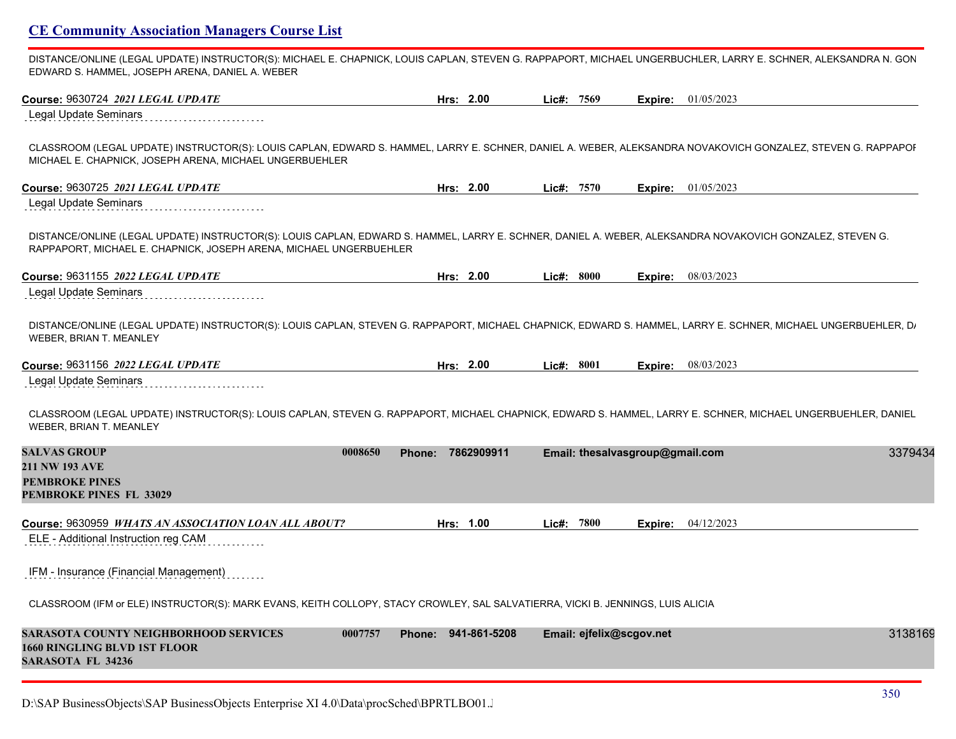DISTANCE/ONLINE (LEGAL UPDATE) INSTRUCTOR(S): MICHAEL E. CHAPNICK, LOUIS CAPLAN, STEVEN G. RAPPAPORT, MICHAEL UNGERBUCHLER, LARRY E. SCHNER, ALEKSANDRA N. GON EDWARD S. HAMMEL, JOSEPH ARENA, DANIEL A. WEBER

| Course: 9630724 2021 LEGAL UPDATE                                                                                                                                                                                               | Hrs: 2.00                |              | Lic#: 7569 |                                 | <b>Expire:</b> 01/05/2023 |         |
|---------------------------------------------------------------------------------------------------------------------------------------------------------------------------------------------------------------------------------|--------------------------|--------------|------------|---------------------------------|---------------------------|---------|
| <b>Legal Update Seminars</b>                                                                                                                                                                                                    |                          |              |            |                                 |                           |         |
| CLASSROOM (LEGAL UPDATE) INSTRUCTOR(S): LOUIS CAPLAN, EDWARD S. HAMMEL, LARRY E. SCHNER, DANIEL A. WEBER, ALEKSANDRA NOVAKOVICH GONZALEZ, STEVEN G. RAPPAPOI<br>MICHAEL E. CHAPNICK, JOSEPH ARENA, MICHAEL UNGERBUEHLER         |                          |              |            |                                 |                           |         |
| Course: 9630725 2021 LEGAL UPDATE                                                                                                                                                                                               | Hrs: 2.00                |              | Lic#: 7570 |                                 | <b>Expire:</b> 01/05/2023 |         |
| <b>Legal Update Seminars</b>                                                                                                                                                                                                    |                          |              |            |                                 |                           |         |
| DISTANCE/ONLINE (LEGAL UPDATE) INSTRUCTOR(S): LOUIS CAPLAN, EDWARD S. HAMMEL, LARRY E. SCHNER, DANIEL A. WEBER, ALEKSANDRA NOVAKOVICH GONZALEZ, STEVEN G.<br>RAPPAPORT, MICHAEL E. CHAPNICK, JOSEPH ARENA, MICHAEL UNGERBUEHLER |                          |              |            |                                 |                           |         |
| Course: 9631155 2022 LEGAL UPDATE                                                                                                                                                                                               | Hrs: 2.00                |              | Lie#: 8000 |                                 | <b>Expire:</b> 08/03/2023 |         |
| Legal Update Seminars                                                                                                                                                                                                           |                          |              |            |                                 |                           |         |
| DISTANCE/ONLINE (LEGAL UPDATE) INSTRUCTOR(S): LOUIS CAPLAN, STEVEN G. RAPPAPORT, MICHAEL CHAPNICK, EDWARD S. HAMMEL, LARRY E. SCHNER, MICHAEL UNGERBUEHLER, D.<br><b>WEBER, BRIAN T. MEANLEY</b>                                |                          |              |            |                                 |                           |         |
| Course: 9631156 2022 LEGAL UPDATE                                                                                                                                                                                               | Hrs: 2.00                |              | Lic#: 8001 |                                 | <b>Expire:</b> 08/03/2023 |         |
| Legal Update Seminars                                                                                                                                                                                                           |                          |              |            |                                 |                           |         |
| CLASSROOM (LEGAL UPDATE) INSTRUCTOR(S): LOUIS CAPLAN, STEVEN G. RAPPAPORT, MICHAEL CHAPNICK, EDWARD S. HAMMEL, LARRY E. SCHNER, MICHAEL UNGERBUEHLER, DANIEL<br>WEBER, BRIAN T. MEANLEY                                         |                          |              |            |                                 |                           |         |
| <b>SALVAS GROUP</b>                                                                                                                                                                                                             | 0008650<br><b>Phone:</b> | 7862909911   |            | Email: thesalvasgroup@gmail.com |                           | 3379434 |
| <b>211 NW 193 AVE</b><br><b>PEMBROKE PINES</b>                                                                                                                                                                                  |                          |              |            |                                 |                           |         |
| <b>PEMBROKE PINES FL 33029</b>                                                                                                                                                                                                  |                          |              |            |                                 |                           |         |
| Course: 9630959 WHATS AN ASSOCIATION LOAN ALL ABOUT?                                                                                                                                                                            | Hrs: 1.00                |              | Lic#: 7800 | Expire:                         | 04/12/2023                |         |
| ELE - Additional Instruction reg CAM                                                                                                                                                                                            |                          |              |            |                                 |                           |         |
| IFM - Insurance (Financial Management)                                                                                                                                                                                          |                          |              |            |                                 |                           |         |
| CLASSROOM (IFM or ELE) INSTRUCTOR(S): MARK EVANS, KEITH COLLOPY, STACY CROWLEY, SAL SALVATIERRA, VICKI B. JENNINGS, LUIS ALICIA                                                                                                 |                          |              |            |                                 |                           |         |
| SARASOTA COUNTY NEIGHBORHOOD SERVICES<br><b>1660 RINGLING BLVD 1ST FLOOR</b><br>SARASOTA FL 34236                                                                                                                               | 0007757<br><b>Phone:</b> | 941-861-5208 |            | Email: ejfelix@scgov.net        |                           | 3138169 |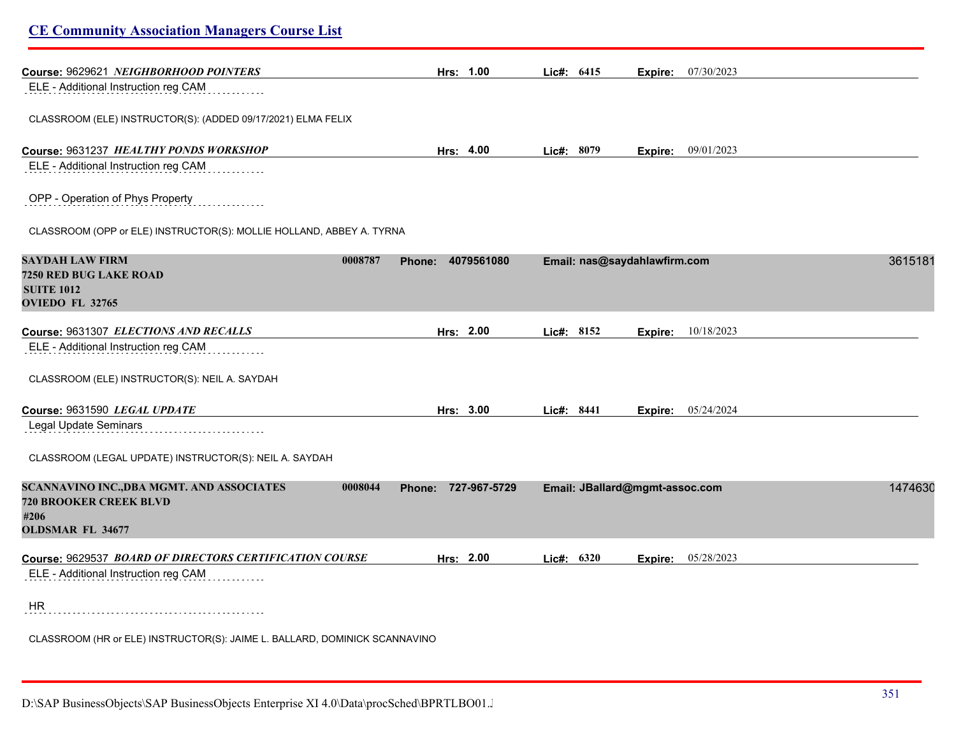| <b>CE Community Association Managers Course List</b>                                                                     |                     |              |                                |         |
|--------------------------------------------------------------------------------------------------------------------------|---------------------|--------------|--------------------------------|---------|
| Course: 9629621 NEIGHBORHOOD POINTERS                                                                                    | Hrs: 1.00           | Lic#: 6415   | 07/30/2023<br>Expire:          |         |
| ELE - Additional Instruction reg CAM                                                                                     |                     |              |                                |         |
| CLASSROOM (ELE) INSTRUCTOR(S): (ADDED 09/17/2021) ELMA FELIX                                                             |                     |              |                                |         |
| Course: 9631237 HEALTHY PONDS WORKSHOP                                                                                   | Hrs: 4.00           | Lic#: 8079   | <b>Expire:</b> 09/01/2023      |         |
| ELE - Additional Instruction reg CAM                                                                                     |                     |              |                                |         |
| OPP - Operation of Phys Property                                                                                         |                     |              |                                |         |
| CLASSROOM (OPP or ELE) INSTRUCTOR(S): MOLLIE HOLLAND, ABBEY A. TYRNA                                                     |                     |              |                                |         |
| <b>SAYDAH LAW FIRM</b><br>0008787<br>7250 RED BUG LAKE ROAD<br><b>SUITE 1012</b><br>OVIEDO FL 32765                      | Phone: 4079561080   |              | Email: nas@saydahlawfirm.com   | 3615181 |
| Course: 9631307 ELECTIONS AND RECALLS<br>ELE - Additional Instruction reg CAM                                            | Hrs: 2.00           | Lic#: 8152   | 10/18/2023<br>Expire:          |         |
| CLASSROOM (ELE) INSTRUCTOR(S): NEIL A. SAYDAH                                                                            |                     |              |                                |         |
| Course: 9631590 LEGAL UPDATE                                                                                             | Hrs: 3.00           | Lic#: $8441$ | <b>Expire:</b> 05/24/2024      |         |
| Legal Update Seminars                                                                                                    |                     |              |                                |         |
| CLASSROOM (LEGAL UPDATE) INSTRUCTOR(S): NEIL A. SAYDAH                                                                   |                     |              |                                |         |
| SCANNAVINO INC., DBA MGMT. AND ASSOCIATES<br>0008044<br><b>720 BROOKER CREEK BLVD</b><br>#206<br><b>OLDSMAR FL 34677</b> | Phone: 727-967-5729 |              | Email: JBallard@mgmt-assoc.com | 1474630 |
| Course: 9629537 BOARD OF DIRECTORS CERTIFICATION COURSE                                                                  | Hrs: 2.00           | Lic#: 6320   | 05/28/2023<br>Expire:          |         |
| ELE - Additional Instruction reg CAM                                                                                     |                     |              |                                |         |
| <b>HR</b>                                                                                                                |                     |              |                                |         |
| CLASSROOM (HR or ELE) INSTRUCTOR(S): JAIME L. BALLARD, DOMINICK SCANNAVINO                                               |                     |              |                                |         |
|                                                                                                                          |                     |              |                                |         |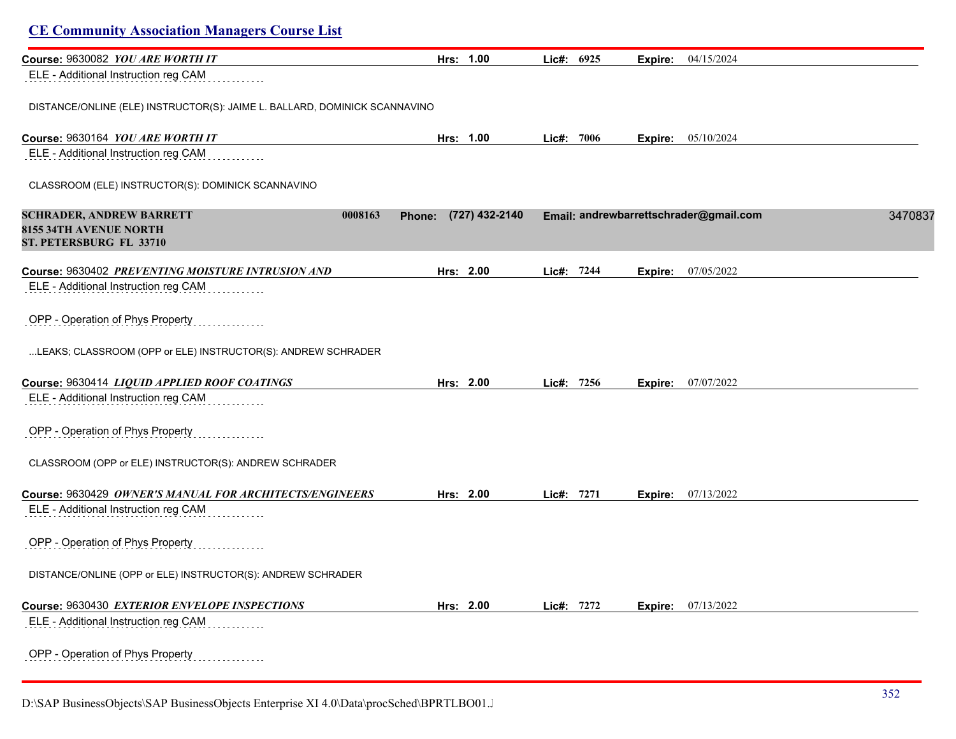| Course: 9630082 YOU ARE WORTH IT                                                                       | Hrs: 1.00                | Lic#: 6925 |         | Expire: 04/15/2024                                |
|--------------------------------------------------------------------------------------------------------|--------------------------|------------|---------|---------------------------------------------------|
| ELE - Additional Instruction reg CAM                                                                   |                          |            |         |                                                   |
| DISTANCE/ONLINE (ELE) INSTRUCTOR(S): JAIME L. BALLARD, DOMINICK SCANNAVINO                             |                          |            |         |                                                   |
| Course: 9630164 YOU ARE WORTH IT                                                                       | Hrs: 1.00                | Lic#: 7006 |         | <b>Expire:</b> 05/10/2024                         |
| ELE - Additional Instruction reg CAM                                                                   |                          |            |         |                                                   |
| CLASSROOM (ELE) INSTRUCTOR(S): DOMINICK SCANNAVINO                                                     |                          |            |         |                                                   |
| <b>SCHRADER, ANDREW BARRETT</b><br>0008163<br><b>8155 34TH AVENUE NORTH</b><br>ST. PETERSBURG FL 33710 | (727) 432-2140<br>Phone: |            |         | Email: andrewbarrettschrader@gmail.com<br>3470837 |
| Course: 9630402 PREVENTING MOISTURE INTRUSION AND                                                      | Hrs: 2.00                | Lic#: 7244 | Expire: | 07/05/2022                                        |
| ELE - Additional Instruction reg CAM                                                                   |                          |            |         |                                                   |
| OPP - Operation of Phys Property                                                                       |                          |            |         |                                                   |
| LEAKS; CLASSROOM (OPP or ELE) INSTRUCTOR(S): ANDREW SCHRADER                                           |                          |            |         |                                                   |
| Course: 9630414 LIQUID APPLIED ROOF COATINGS                                                           | Hrs: 2.00                | Lie#: 7256 |         | <b>Expire:</b> 07/07/2022                         |
| ELE - Additional Instruction reg CAM                                                                   |                          |            |         |                                                   |
| OPP - Operation of Phys Property                                                                       |                          |            |         |                                                   |
| CLASSROOM (OPP or ELE) INSTRUCTOR(S): ANDREW SCHRADER                                                  |                          |            |         |                                                   |
| Course: 9630429 OWNER'S MANUAL FOR ARCHITECTS/ENGINEERS                                                | Hrs: 2.00                | Lic#: 7271 | Expire: | 07/13/2022                                        |
| ELE - Additional Instruction reg CAM                                                                   |                          |            |         |                                                   |
| OPP - Operation of Phys Property                                                                       |                          |            |         |                                                   |
| DISTANCE/ONLINE (OPP or ELE) INSTRUCTOR(S): ANDREW SCHRADER                                            |                          |            |         |                                                   |
| Course: 9630430 EXTERIOR ENVELOPE INSPECTIONS                                                          | Hrs: 2.00                | Lic#: 7272 | Expire: | 07/13/2022                                        |
| ELE - Additional Instruction reg CAM                                                                   |                          |            |         |                                                   |
| OPP - Operation of Phys Property                                                                       |                          |            |         |                                                   |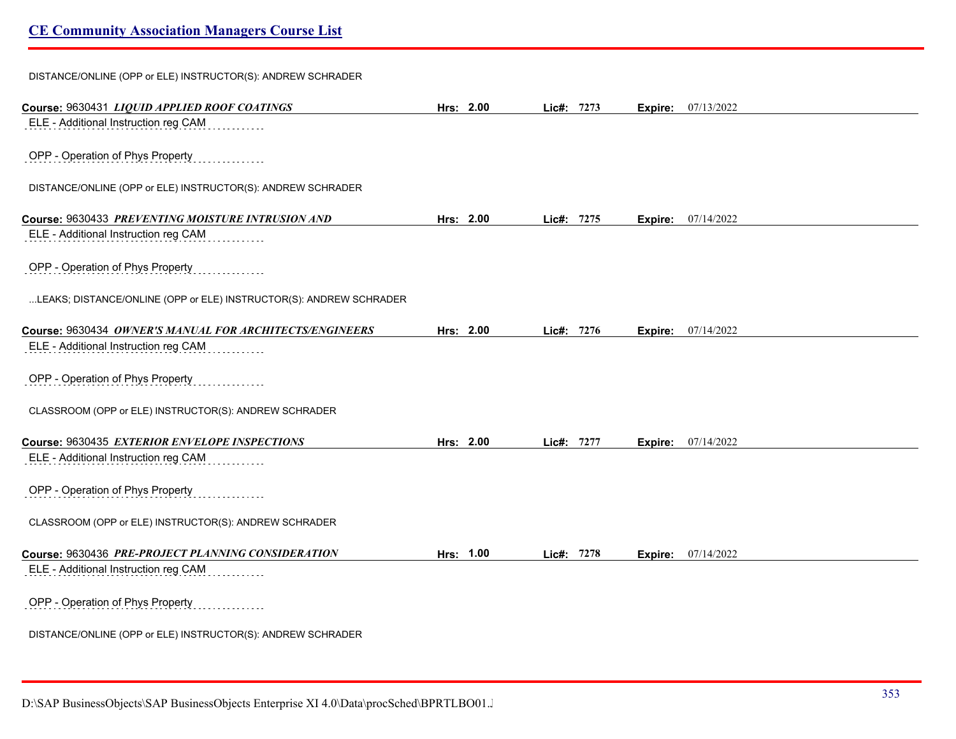DISTANCE/ONLINE (OPP or ELE) INSTRUCTOR(S): ANDREW SCHRADER

| Course: 9630431 LIQUID APPLIED ROOF COATINGS                       | Hrs: 2.00 | Lic#: 7273 |      | Expire: | 07/13/2022                |  |
|--------------------------------------------------------------------|-----------|------------|------|---------|---------------------------|--|
| ELE - Additional Instruction reg CAM                               |           |            |      |         |                           |  |
|                                                                    |           |            |      |         |                           |  |
| OPP - Operation of Phys Property                                   |           |            |      |         |                           |  |
| DISTANCE/ONLINE (OPP or ELE) INSTRUCTOR(S): ANDREW SCHRADER        |           |            |      |         |                           |  |
| Course: 9630433 PREVENTING MOISTURE INTRUSION AND                  | Hrs: 2.00 | Lic#:      | 7275 | Expire: | 07/14/2022                |  |
| ELE - Additional Instruction reg CAM                               |           |            |      |         |                           |  |
| OPP - Operation of Phys Property                                   |           |            |      |         |                           |  |
| LEAKS; DISTANCE/ONLINE (OPP or ELE) INSTRUCTOR(S): ANDREW SCHRADER |           |            |      |         |                           |  |
| Course: 9630434 OWNER'S MANUAL FOR ARCHITECTS/ENGINEERS            | Hrs: 2.00 | Lic#: 7276 |      |         | <b>Expire:</b> 07/14/2022 |  |
| ELE - Additional Instruction reg CAM                               |           |            |      |         |                           |  |
|                                                                    |           |            |      |         |                           |  |
| OPP - Operation of Phys Property                                   |           |            |      |         |                           |  |
| CLASSROOM (OPP or ELE) INSTRUCTOR(S): ANDREW SCHRADER              |           |            |      |         |                           |  |
| Course: 9630435 EXTERIOR ENVELOPE INSPECTIONS                      | Hrs: 2.00 | Lic#: 7277 |      | Expire: | 07/14/2022                |  |
| ELE - Additional Instruction reg CAM                               |           |            |      |         |                           |  |
|                                                                    |           |            |      |         |                           |  |
| OPP - Operation of Phys Property                                   |           |            |      |         |                           |  |
| CLASSROOM (OPP or ELE) INSTRUCTOR(S): ANDREW SCHRADER              |           |            |      |         |                           |  |
|                                                                    |           |            |      |         |                           |  |
| Course: 9630436 PRE-PROJECT PLANNING CONSIDERATION                 | Hrs: 1.00 | Lic#:      | 7278 | Expire: | 07/14/2022                |  |
| ELE - Additional Instruction reg CAM                               |           |            |      |         |                           |  |
| OPP - Operation of Phys Property                                   |           |            |      |         |                           |  |
| DISTANCE/ONLINE (OPP or ELE) INSTRUCTOR(S): ANDREW SCHRADER        |           |            |      |         |                           |  |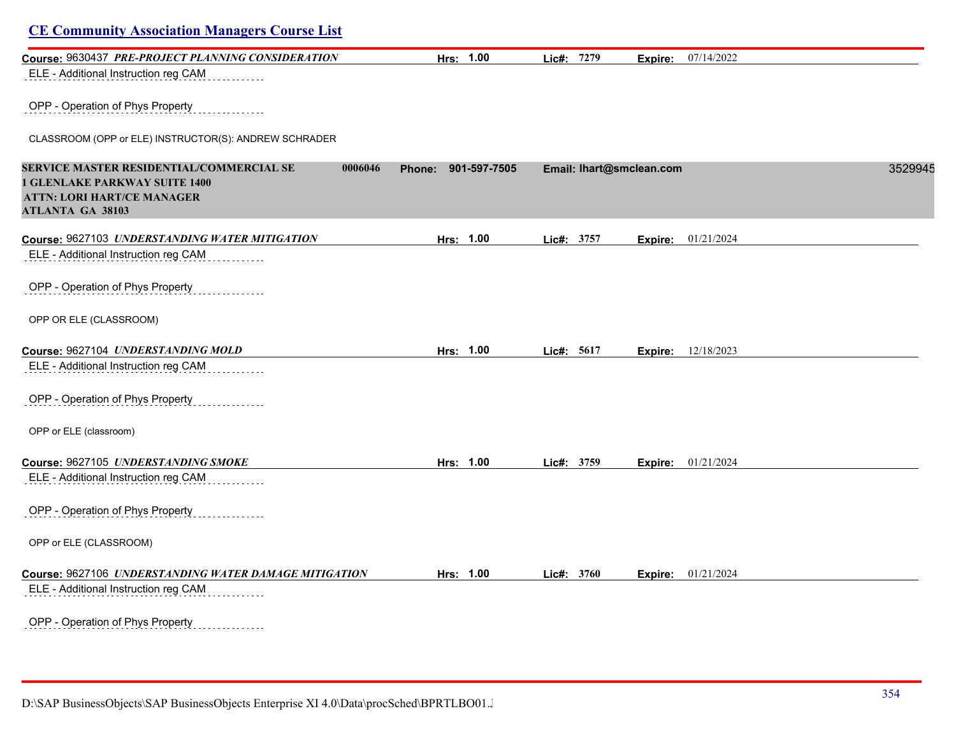| Course: 9630437 PRE-PROJECT PLANNING CONSIDERATION                                                                                                          | Hrs: 1.00              | Lic#: 7279 | Expire:                  | 07/14/2022                |         |
|-------------------------------------------------------------------------------------------------------------------------------------------------------------|------------------------|------------|--------------------------|---------------------------|---------|
| ELE - Additional Instruction reg CAM                                                                                                                        |                        |            |                          |                           |         |
| OPP - Operation of Phys Property                                                                                                                            |                        |            |                          |                           |         |
| CLASSROOM (OPP or ELE) INSTRUCTOR(S): ANDREW SCHRADER                                                                                                       |                        |            |                          |                           |         |
| SERVICE MASTER RESIDENTIAL/COMMERCIAL SE<br>0006046<br><b>1 GLENLAKE PARKWAY SUITE 1400</b><br><b>ATTN: LORI HART/CE MANAGER</b><br><b>ATLANTA GA 38103</b> | 901-597-7505<br>Phone: |            | Email: lhart@smclean.com |                           | 3529945 |
| Course: 9627103 UNDERSTANDING WATER MITIGATION                                                                                                              | Hrs: 1.00              | Lic#: 3757 | Expire:                  | 01/21/2024                |         |
| ELE - Additional Instruction reg CAM                                                                                                                        |                        |            |                          |                           |         |
| OPP - Operation of Phys Property                                                                                                                            |                        |            |                          |                           |         |
| OPP OR ELE (CLASSROOM)                                                                                                                                      |                        |            |                          |                           |         |
| Course: 9627104 UNDERSTANDING MOLD                                                                                                                          | Hrs: 1.00              | Lic#: 5617 |                          | <b>Expire:</b> 12/18/2023 |         |
| ELE - Additional Instruction reg CAM                                                                                                                        |                        |            |                          |                           |         |
| OPP - Operation of Phys Property                                                                                                                            |                        |            |                          |                           |         |
| OPP or ELE (classroom)                                                                                                                                      |                        |            |                          |                           |         |
| Course: 9627105 UNDERSTANDING SMOKE                                                                                                                         | Hrs: 1.00              | Lic#: 3759 |                          | Expire: 01/21/2024        |         |
| ELE - Additional Instruction reg CAM                                                                                                                        |                        |            |                          |                           |         |
| OPP - Operation of Phys Property                                                                                                                            |                        |            |                          |                           |         |
| OPP or ELE (CLASSROOM)                                                                                                                                      |                        |            |                          |                           |         |
| Course: 9627106 UNDERSTANDING WATER DAMAGE MITIGATION                                                                                                       | Hrs: 1.00              | Lic#: 3760 |                          | Expire: 01/21/2024        |         |
| ELE - Additional Instruction reg CAM                                                                                                                        |                        |            |                          |                           |         |
| OPP - Operation of Phys Property                                                                                                                            |                        |            |                          |                           |         |

D:\SAP BusinessObjects\SAP BusinessObjects Enterprise XI 4.0\Data\procSched\BPRTLBO01.J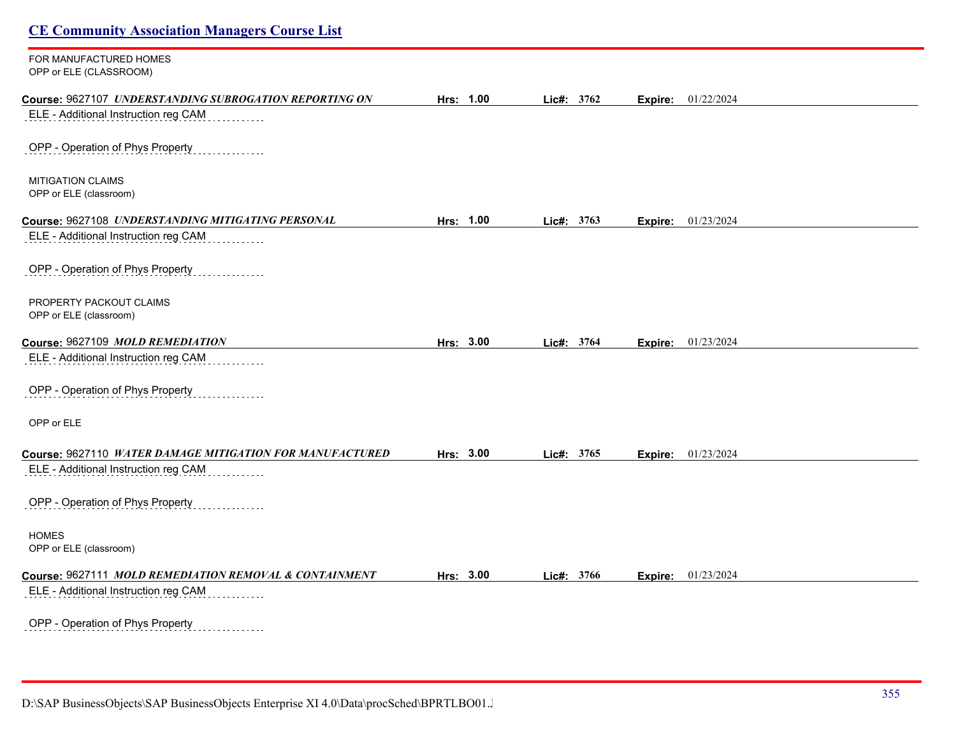| <b>CE Community Association Managers Course List</b>     |           |            |                           |  |
|----------------------------------------------------------|-----------|------------|---------------------------|--|
| FOR MANUFACTURED HOMES<br>OPP or ELE (CLASSROOM)         |           |            |                           |  |
| Course: 9627107 UNDERSTANDING SUBROGATION REPORTING ON   | Hrs: 1.00 | Lic#: 3762 | Expire: 01/22/2024        |  |
| ELE - Additional Instruction reg CAM                     |           |            |                           |  |
| OPP - Operation of Phys Property                         |           |            |                           |  |
| <b>MITIGATION CLAIMS</b>                                 |           |            |                           |  |
| OPP or ELE (classroom)                                   |           |            |                           |  |
| Course: 9627108 UNDERSTANDING MITIGATING PERSONAL        | Hrs: 1.00 | Lic#: 3763 | <b>Expire:</b> 01/23/2024 |  |
| ELE - Additional Instruction reg CAM                     |           |            |                           |  |
| OPP - Operation of Phys Property                         |           |            |                           |  |
| PROPERTY PACKOUT CLAIMS                                  |           |            |                           |  |
| OPP or ELE (classroom)                                   |           |            |                           |  |
| Course: 9627109 MOLD REMEDIATION                         | Hrs: 3.00 | Lic#: 3764 | <b>Expire:</b> 01/23/2024 |  |
| ELE - Additional Instruction reg CAM                     |           |            |                           |  |
| OPP - Operation of Phys Property                         |           |            |                           |  |
| OPP or ELE                                               |           |            |                           |  |
| Course: 9627110 WATER DAMAGE MITIGATION FOR MANUFACTURED | Hrs: 3.00 | Lic#: 3765 | Expire: 01/23/2024        |  |
| ELE - Additional Instruction reg CAM                     |           |            |                           |  |
| OPP - Operation of Phys Property                         |           |            |                           |  |
| <b>HOMES</b><br>OPP or ELE (classroom)                   |           |            |                           |  |
|                                                          |           |            |                           |  |
| Course: 9627111 MOLD REMEDIATION REMOVAL & CONTAINMENT   | Hrs: 3.00 | Lic#: 3766 | <b>Expire:</b> 01/23/2024 |  |
| ELE - Additional Instruction reg CAM                     |           |            |                           |  |
| OPP - Operation of Phys Property                         |           |            |                           |  |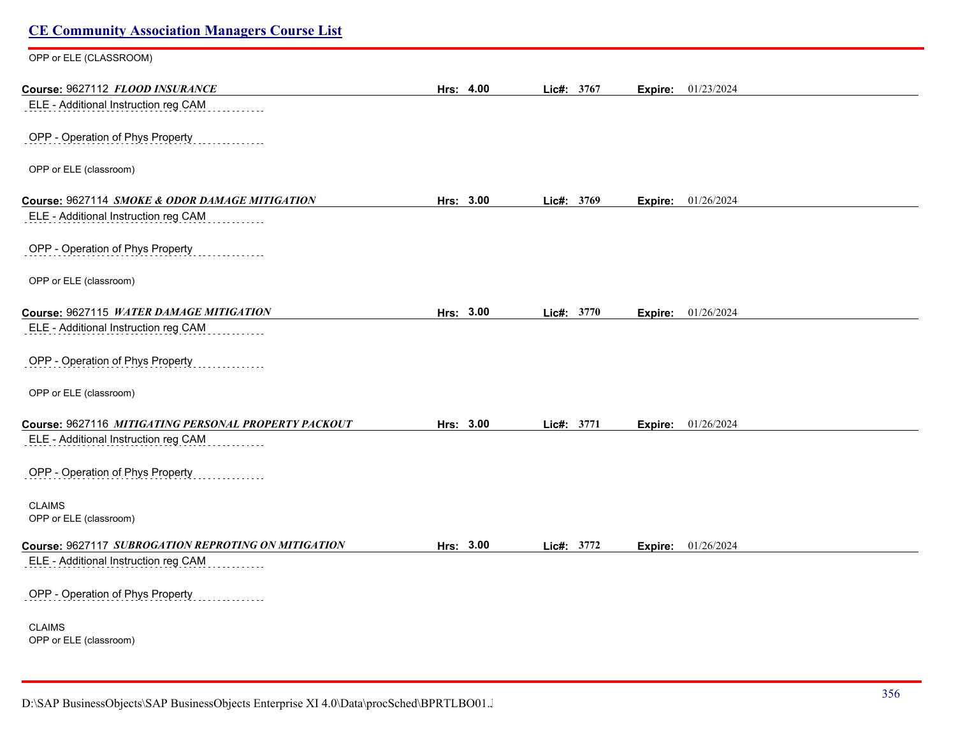| <b>CE Community Association Managers Course List</b> |           |            |                           |  |
|------------------------------------------------------|-----------|------------|---------------------------|--|
| OPP or ELE (CLASSROOM)                               |           |            |                           |  |
| Course: 9627112 FLOOD INSURANCE                      | Hrs: 4.00 | Lic#: 3767 | 01/23/2024<br>Expire:     |  |
| ELE - Additional Instruction reg CAM                 |           |            |                           |  |
| OPP - Operation of Phys Property                     |           |            |                           |  |
| OPP or ELE (classroom)                               |           |            |                           |  |
| Course: 9627114 SMOKE & ODOR DAMAGE MITIGATION       | Hrs: 3.00 | Lic#: 3769 | <b>Expire:</b> 01/26/2024 |  |
| ELE - Additional Instruction reg CAM                 |           |            |                           |  |
| OPP - Operation of Phys Property                     |           |            |                           |  |
| OPP or ELE (classroom)                               |           |            |                           |  |
| Course: 9627115 WATER DAMAGE MITIGATION              | Hrs: 3.00 | Lic#: 3770 | <b>Expire:</b> 01/26/2024 |  |
| ELE - Additional Instruction reg CAM                 |           |            |                           |  |
| OPP - Operation of Phys Property                     |           |            |                           |  |
| OPP or ELE (classroom)                               |           |            |                           |  |
| Course: 9627116 MITIGATING PERSONAL PROPERTY PACKOUT | Hrs: 3.00 | Lic#: 3771 | 01/26/2024<br>Expire:     |  |
| ELE - Additional Instruction reg CAM                 |           |            |                           |  |
| OPP - Operation of Phys Property                     |           |            |                           |  |
| <b>CLAIMS</b><br>OPP or ELE (classroom)              |           |            |                           |  |
| Course: 9627117 SUBROGATION REPROTING ON MITIGATION  | Hrs: 3.00 | Lic#: 3772 | 01/26/2024<br>Expire:     |  |
| ELE - Additional Instruction reg CAM                 |           |            |                           |  |
| OPP - Operation of Phys Property                     |           |            |                           |  |
| <b>CLAIMS</b><br>OPP or ELE (classroom)              |           |            |                           |  |
|                                                      |           |            |                           |  |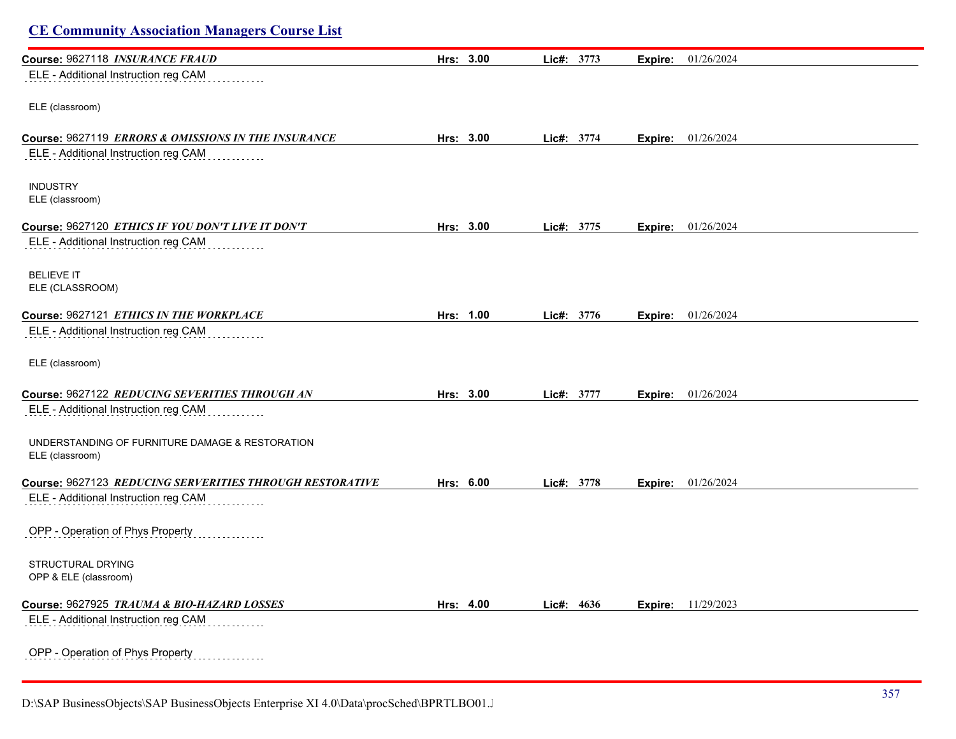| Course: 9627118 INSURANCE FRAUD                          | Hrs: 3.00 | Lic#: 3773 | 01/26/2024<br>Expire:     |  |
|----------------------------------------------------------|-----------|------------|---------------------------|--|
| ELE - Additional Instruction reg CAM                     |           |            |                           |  |
|                                                          |           |            |                           |  |
| ELE (classroom)                                          |           |            |                           |  |
|                                                          |           |            |                           |  |
| Course: 9627119 ERRORS & OMISSIONS IN THE INSURANCE      | Hrs: 3.00 | Lic#: 3774 | 01/26/2024<br>Expire:     |  |
| ELE - Additional Instruction reg CAM                     |           |            |                           |  |
|                                                          |           |            |                           |  |
| <b>INDUSTRY</b>                                          |           |            |                           |  |
| ELE (classroom)                                          |           |            |                           |  |
|                                                          |           |            |                           |  |
| Course: 9627120 ETHICS IF YOU DON'T LIVE IT DON'T        | Hrs: 3.00 | Lic#: 3775 | 01/26/2024<br>Expire:     |  |
| ELE - Additional Instruction reg CAM                     |           |            |                           |  |
|                                                          |           |            |                           |  |
|                                                          |           |            |                           |  |
| <b>BELIEVE IT</b><br>ELE (CLASSROOM)                     |           |            |                           |  |
|                                                          |           |            |                           |  |
| Course: 9627121 ETHICS IN THE WORKPLACE                  | Hrs: 1.00 | Lie#: 3776 | 01/26/2024<br>Expire:     |  |
| ELE - Additional Instruction reg CAM                     |           |            |                           |  |
|                                                          |           |            |                           |  |
|                                                          |           |            |                           |  |
| ELE (classroom)                                          |           |            |                           |  |
|                                                          |           |            |                           |  |
| Course: 9627122 REDUCING SEVERITIES THROUGH AN           | Hrs: 3.00 | Lic#: 3777 | 01/26/2024<br>Expire:     |  |
| ELE - Additional Instruction reg CAM                     |           |            |                           |  |
|                                                          |           |            |                           |  |
| UNDERSTANDING OF FURNITURE DAMAGE & RESTORATION          |           |            |                           |  |
| ELE (classroom)                                          |           |            |                           |  |
|                                                          |           |            |                           |  |
| Course: 9627123 REDUCING SERVERITIES THROUGH RESTORATIVE | Hrs: 6.00 | Lic#: 3778 | 01/26/2024<br>Expire:     |  |
| ELE - Additional Instruction reg CAM                     |           |            |                           |  |
|                                                          |           |            |                           |  |
| OPP - Operation of Phys Property                         |           |            |                           |  |
|                                                          |           |            |                           |  |
| STRUCTURAL DRYING                                        |           |            |                           |  |
| OPP & ELE (classroom)                                    |           |            |                           |  |
|                                                          |           |            |                           |  |
| Course: 9627925 TRAUMA & BIO-HAZARD LOSSES               | Hrs: 4.00 | Lic#: 4636 | <b>Expire:</b> 11/29/2023 |  |
| ELE - Additional Instruction reg CAM                     |           |            |                           |  |
|                                                          |           |            |                           |  |
| OPP - Operation of Phys Property                         |           |            |                           |  |
|                                                          |           |            |                           |  |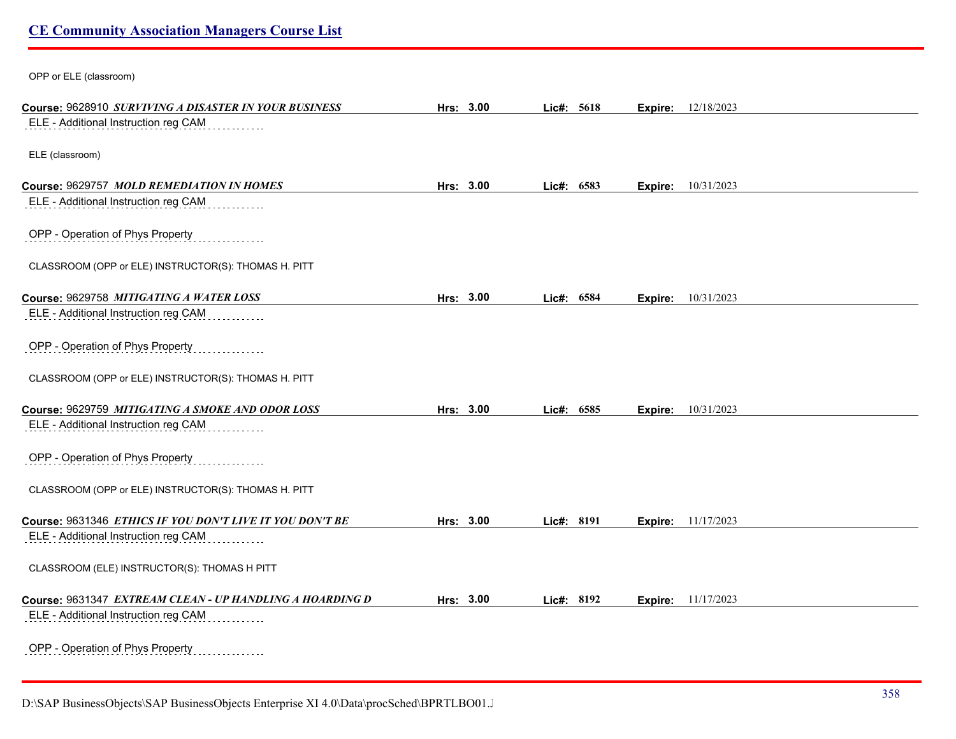OPP or ELE (classroom)

| Course: 9628910 SURVIVING A DISASTER IN YOUR BUSINESS    | Hrs: 3.00 |       | Lic#: 5618 | Expire: | 12/18/2023                |  |
|----------------------------------------------------------|-----------|-------|------------|---------|---------------------------|--|
| ELE - Additional Instruction reg CAM                     |           |       |            |         |                           |  |
|                                                          |           |       |            |         |                           |  |
| ELE (classroom)                                          |           |       |            |         |                           |  |
| Course: 9629757 MOLD REMEDIATION IN HOMES                | Hrs: 3.00 |       | Lic#: 6583 |         | <b>Expire:</b> 10/31/2023 |  |
| ELE - Additional Instruction reg CAM                     |           |       |            |         |                           |  |
| OPP - Operation of Phys Property                         |           |       |            |         |                           |  |
| CLASSROOM (OPP or ELE) INSTRUCTOR(S): THOMAS H. PITT     |           |       |            |         |                           |  |
| Course: 9629758 MITIGATING A WATER LOSS                  | Hrs: 3.00 |       | Lic#: 6584 | Expire: | 10/31/2023                |  |
| ELE - Additional Instruction reg CAM                     |           |       |            |         |                           |  |
| OPP - Operation of Phys Property                         |           |       |            |         |                           |  |
| CLASSROOM (OPP or ELE) INSTRUCTOR(S): THOMAS H. PITT     |           |       |            |         |                           |  |
| Course: 9629759 MITIGATING A SMOKE AND ODOR LOSS         | Hrs: 3.00 | Lic#: | 6585       | Expire: | 10/31/2023                |  |
| ELE - Additional Instruction reg CAM                     |           |       |            |         |                           |  |
| OPP - Operation of Phys Property                         |           |       |            |         |                           |  |
| CLASSROOM (OPP or ELE) INSTRUCTOR(S): THOMAS H. PITT     |           |       |            |         |                           |  |
| Course: 9631346 ETHICS IF YOU DON'T LIVE IT YOU DON'T BE | Hrs: 3.00 |       | Lic#: 8191 |         | <b>Expire:</b> 11/17/2023 |  |
| ELE - Additional Instruction reg CAM                     |           |       |            |         |                           |  |
| CLASSROOM (ELE) INSTRUCTOR(S): THOMAS H PITT             |           |       |            |         |                           |  |
| Course: 9631347 EXTREAM CLEAN - UP HANDLING A HOARDING D | Hrs: 3.00 |       | Lic#: 8192 | Expire: | 11/17/2023                |  |
| ELE - Additional Instruction reg CAM                     |           |       |            |         |                           |  |
| OPP - Operation of Phys Property                         |           |       |            |         |                           |  |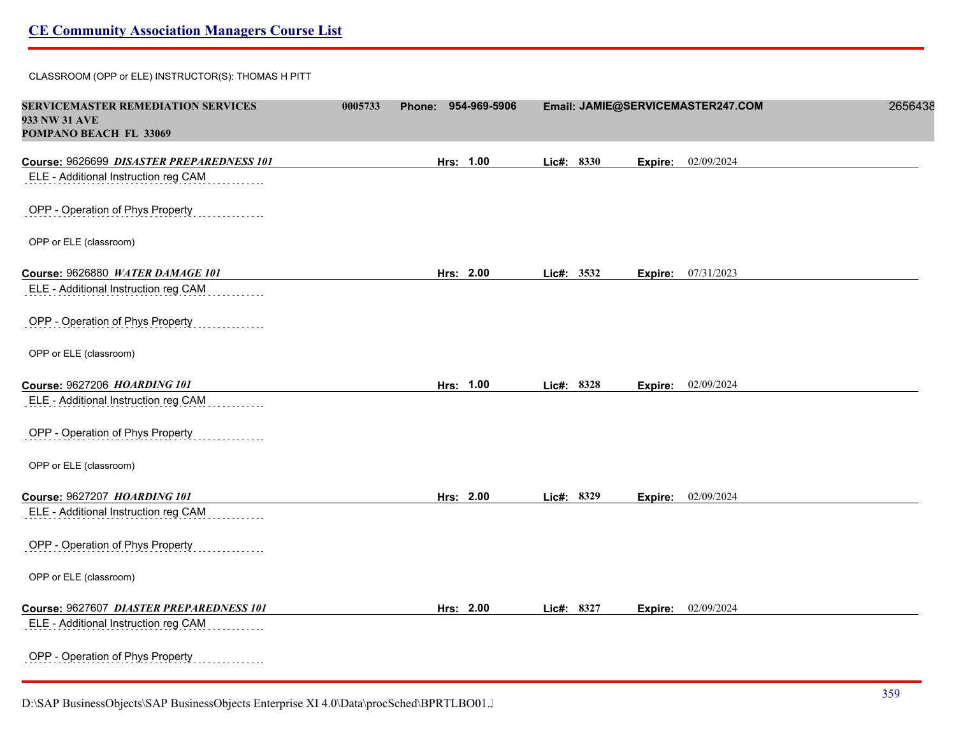CLASSROOM (OPP or ELE) INSTRUCTOR(S): THOMAS H PITT

| <b>SERVICEMASTER REMEDIATION SERVICES</b><br>933 NW 31 AVE<br>POMPANO BEACH FL 33069 | 0005733 | 954-969-5906<br><b>Phone:</b> |            | Email: JAMIE@SERVICEMASTER247.COM | 2656438 |
|--------------------------------------------------------------------------------------|---------|-------------------------------|------------|-----------------------------------|---------|
| Course: 9626699 DISASTER PREPAREDNESS 101                                            |         | Hrs: 1.00                     | Lic#: 8330 | 02/09/2024<br>Expire:             |         |
| ELE - Additional Instruction reg CAM                                                 |         |                               |            |                                   |         |
| OPP - Operation of Phys Property                                                     |         |                               |            |                                   |         |
| OPP or ELE (classroom)                                                               |         |                               |            |                                   |         |
| Course: 9626880 WATER DAMAGE 101                                                     |         | Hrs: 2.00                     | Lic#: 3532 | Expire: 07/31/2023                |         |
| ELE - Additional Instruction reg CAM                                                 |         |                               |            |                                   |         |
| OPP - Operation of Phys Property                                                     |         |                               |            |                                   |         |
| OPP or ELE (classroom)                                                               |         |                               |            |                                   |         |
| Course: 9627206 HOARDING 101                                                         |         | Hrs: 1.00                     | Lic#: 8328 | Expire: 02/09/2024                |         |
| ELE - Additional Instruction reg CAM                                                 |         |                               |            |                                   |         |
| OPP - Operation of Phys Property                                                     |         |                               |            |                                   |         |
| OPP or ELE (classroom)                                                               |         |                               |            |                                   |         |
| Course: 9627207 HOARDING 101                                                         |         | Hrs: 2.00                     | Lic#: 8329 | 02/09/2024<br>Expire:             |         |
| ELE - Additional Instruction reg CAM                                                 |         |                               |            |                                   |         |
| OPP - Operation of Phys Property                                                     |         |                               |            |                                   |         |
| OPP or ELE (classroom)                                                               |         |                               |            |                                   |         |
| Course: 9627607 DIASTER PREPAREDNESS 101                                             |         | Hrs: 2.00                     | Lic#: 8327 | Expire: 02/09/2024                |         |
| ELE - Additional Instruction reg CAM                                                 |         |                               |            |                                   |         |
| OPP - Operation of Phys Property<br>.                                                |         |                               |            |                                   |         |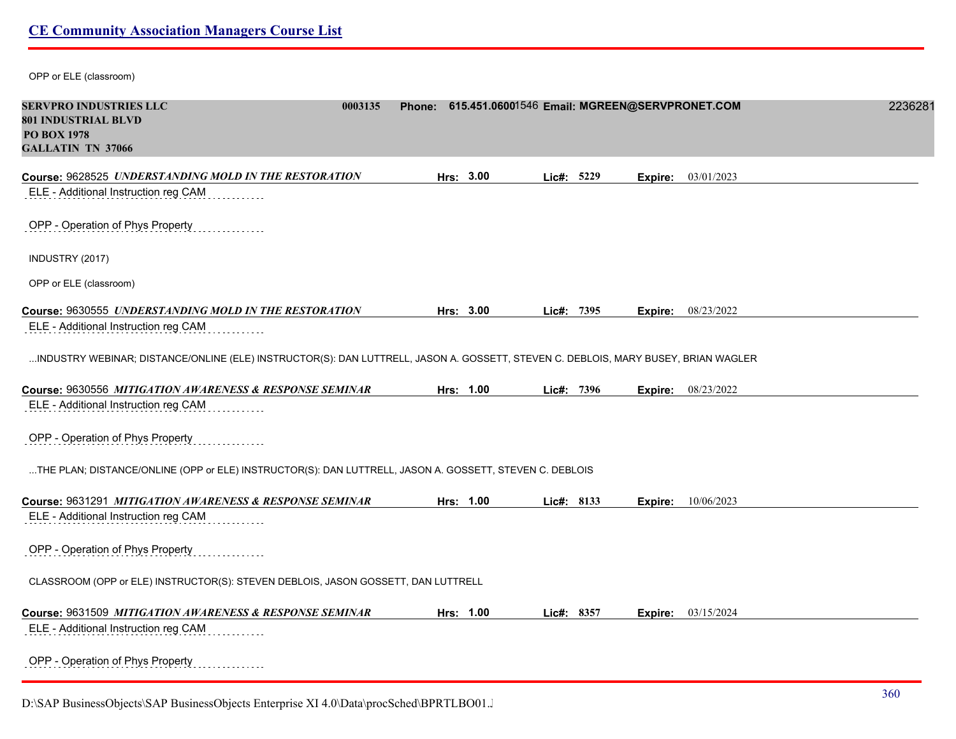OPP or ELE (classroom)

| <b>SERVPRO INDUSTRIES LLC</b><br>801 INDUSTRIAL BLVD<br><b>PO BOX 1978</b><br><b>GALLATIN TN 37066</b>                             | 0003135 | Phone: 615.451.06001546 Email: MGREEN@SERVPRONET.COM |            |         |            | 2236281 |
|------------------------------------------------------------------------------------------------------------------------------------|---------|------------------------------------------------------|------------|---------|------------|---------|
| Course: 9628525 UNDERSTANDING MOLD IN THE RESTORATION                                                                              |         | Hrs: 3.00                                            | Lic#: 5229 | Expire: | 03/01/2023 |         |
| ELE - Additional Instruction reg CAM                                                                                               |         |                                                      |            |         |            |         |
| OPP - Operation of Phys Property                                                                                                   |         |                                                      |            |         |            |         |
| INDUSTRY (2017)                                                                                                                    |         |                                                      |            |         |            |         |
| OPP or ELE (classroom)                                                                                                             |         |                                                      |            |         |            |         |
| Course: 9630555 UNDERSTANDING MOLD IN THE RESTORATION                                                                              |         | Hrs: 3.00                                            | Lic#: 7395 | Expire: | 08/23/2022 |         |
| ELE - Additional Instruction reg CAM                                                                                               |         |                                                      |            |         |            |         |
| INDUSTRY WEBINAR; DISTANCE/ONLINE (ELE) INSTRUCTOR(S): DAN LUTTRELL, JASON A. GOSSETT, STEVEN C. DEBLOIS, MARY BUSEY, BRIAN WAGLER |         |                                                      |            |         |            |         |
| Course: 9630556 MITIGATION AWARENESS & RESPONSE SEMINAR                                                                            |         | Hrs: 1.00                                            | Lic#: 7396 | Expire: | 08/23/2022 |         |
| ELE - Additional Instruction reg CAM                                                                                               |         |                                                      |            |         |            |         |
| OPP - Operation of Phys Property                                                                                                   |         |                                                      |            |         |            |         |
| THE PLAN; DISTANCE/ONLINE (OPP or ELE) INSTRUCTOR(S): DAN LUTTRELL, JASON A. GOSSETT, STEVEN C. DEBLOIS                            |         |                                                      |            |         |            |         |
| Course: 9631291 MITIGATION AWARENESS & RESPONSE SEMINAR                                                                            |         | Hrs: 1.00                                            | Lic#: 8133 | Expire: | 10/06/2023 |         |
| ELE - Additional Instruction reg CAM                                                                                               |         |                                                      |            |         |            |         |
| OPP - Operation of Phys Property                                                                                                   |         |                                                      |            |         |            |         |
| CLASSROOM (OPP or ELE) INSTRUCTOR(S): STEVEN DEBLOIS, JASON GOSSETT, DAN LUTTRELL                                                  |         |                                                      |            |         |            |         |
| Course: 9631509 MITIGATION AWARENESS & RESPONSE SEMINAR                                                                            |         | Hrs: 1.00                                            | Lic#: 8357 | Expire: | 03/15/2024 |         |
| ELE - Additional Instruction reg CAM                                                                                               |         |                                                      |            |         |            |         |
| OPP - Operation of Phys Property<br>.                                                                                              |         |                                                      |            |         |            |         |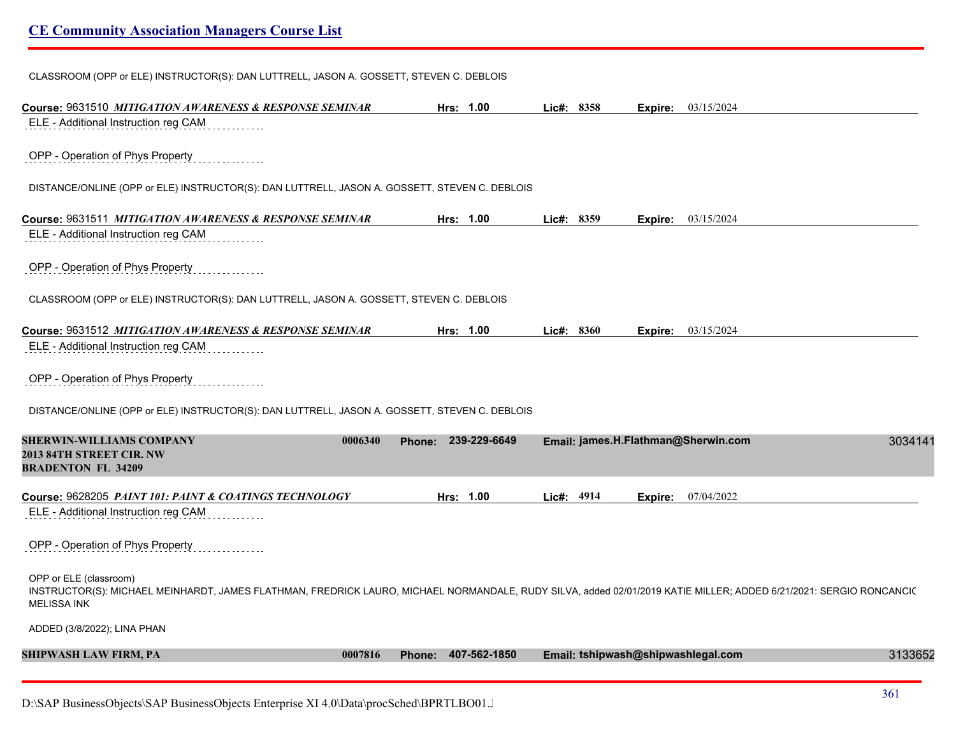CLASSROOM (OPP or ELE) INSTRUCTOR(S): DAN LUTTRELL, JASON A. GOSSETT, STEVEN C. DEBLOIS

| Course: 9631510 MITIGATION AWARENESS & RESPONSE SEMINAR                                                                                                                                                            | Hrs: 1.00           | Lic#: 8358 | <b>Expire:</b> $03/15/2024$         |         |
|--------------------------------------------------------------------------------------------------------------------------------------------------------------------------------------------------------------------|---------------------|------------|-------------------------------------|---------|
| ELE - Additional Instruction reg CAM                                                                                                                                                                               |                     |            |                                     |         |
| OPP - Operation of Phys Property                                                                                                                                                                                   |                     |            |                                     |         |
| DISTANCE/ONLINE (OPP or ELE) INSTRUCTOR(S): DAN LUTTRELL, JASON A. GOSSETT, STEVEN C. DEBLOIS                                                                                                                      |                     |            |                                     |         |
| Course: 9631511 MITIGATION AWARENESS & RESPONSE SEMINAR                                                                                                                                                            | Hrs: 1.00           | Lic#: 8359 | 03/15/2024<br>Expire:               |         |
| ELE - Additional Instruction reg CAM                                                                                                                                                                               |                     |            |                                     |         |
| OPP - Operation of Phys Property                                                                                                                                                                                   |                     |            |                                     |         |
| CLASSROOM (OPP or ELE) INSTRUCTOR(S): DAN LUTTRELL, JASON A. GOSSETT, STEVEN C. DEBLOIS                                                                                                                            |                     |            |                                     |         |
| Course: 9631512 MITIGATION AWARENESS & RESPONSE SEMINAR                                                                                                                                                            | Hrs: 1.00           | Lic#: 8360 | 03/15/2024<br>Expire:               |         |
| ELE - Additional Instruction reg CAM                                                                                                                                                                               |                     |            |                                     |         |
| OPP - Operation of Phys Property                                                                                                                                                                                   |                     |            |                                     |         |
| DISTANCE/ONLINE (OPP or ELE) INSTRUCTOR(S): DAN LUTTRELL, JASON A. GOSSETT, STEVEN C. DEBLOIS                                                                                                                      |                     |            |                                     |         |
| <b>SHERWIN-WILLIAMS COMPANY</b><br>0006340<br>2013 84TH STREET CIR. NW<br><b>BRADENTON FL 34209</b>                                                                                                                | Phone: 239-229-6649 |            | Email: james.H.Flathman@Sherwin.com | 3034141 |
| Course: 9628205 PAINT 101: PAINT & COATINGS TECHNOLOGY                                                                                                                                                             | Hrs: 1.00           | Lic#: 4914 | 07/04/2022<br>Expire:               |         |
| ELE - Additional Instruction reg CAM                                                                                                                                                                               |                     |            |                                     |         |
| OPP - Operation of Phys Property                                                                                                                                                                                   |                     |            |                                     |         |
| OPP or ELE (classroom)<br>INSTRUCTOR(S): MICHAEL MEINHARDT, JAMES FLATHMAN, FREDRICK LAURO, MICHAEL NORMANDALE, RUDY SILVA, added 02/01/2019 KATIE MILLER; ADDED 6/21/2021: SERGIO RONCANCI(<br><b>MELISSA INK</b> |                     |            |                                     |         |
| ADDED (3/8/2022); LINA PHAN                                                                                                                                                                                        |                     |            |                                     |         |
| <b>SHIPWASH LAW FIRM, PA</b><br>0007816                                                                                                                                                                            | Phone: 407-562-1850 |            | Email: tshipwash@shipwashlegal.com  | 3133652 |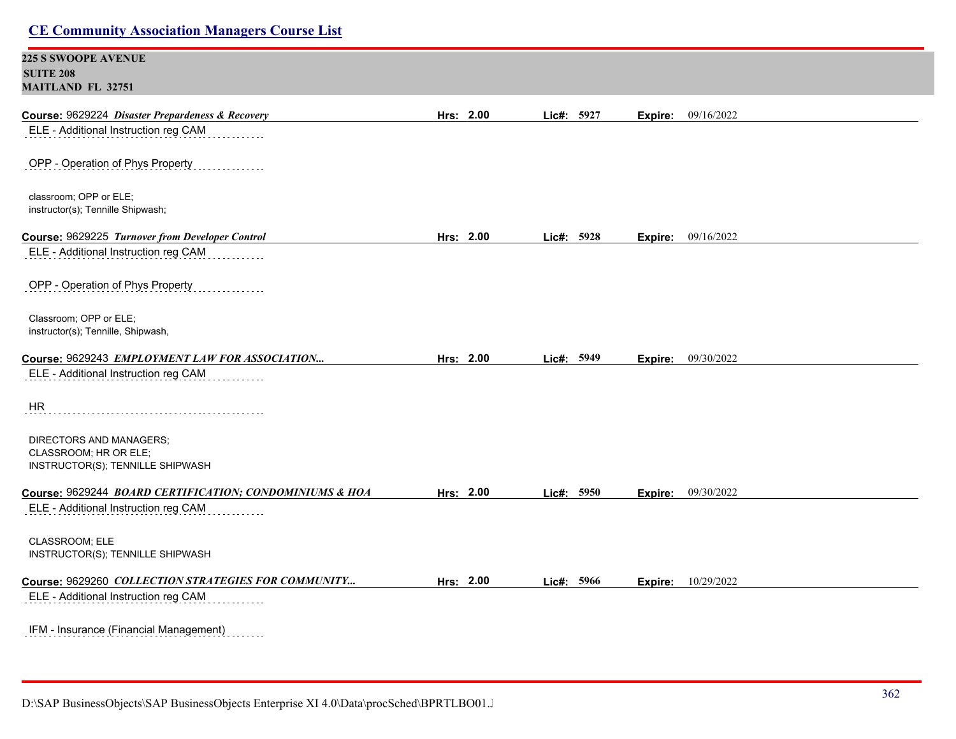| <b>CE Community Association Managers Course List</b>                                     |           |            |                           |  |
|------------------------------------------------------------------------------------------|-----------|------------|---------------------------|--|
| <b>225 S SWOOPE AVENUE</b><br><b>SUITE 208</b><br><b>MAITLAND FL 32751</b>               |           |            |                           |  |
| Course: 9629224 Disaster Prepardeness & Recovery<br>ELE - Additional Instruction reg CAM | Hrs: 2.00 | Lic#: 5927 | 09/16/2022<br>Expire:     |  |
| OPP - Operation of Phys Property                                                         |           |            |                           |  |
| classroom; OPP or ELE;<br>instructor(s); Tennille Shipwash;                              |           |            |                           |  |
| Course: 9629225 Turnover from Developer Control                                          | Hrs: 2.00 | Lic#: 5928 | <b>Expire:</b> 09/16/2022 |  |
| ELE - Additional Instruction reg CAM                                                     |           |            |                           |  |
| OPP - Operation of Phys Property                                                         |           |            |                           |  |
| Classroom; OPP or ELE;                                                                   |           |            |                           |  |
| instructor(s); Tennille, Shipwash,                                                       |           |            |                           |  |
| Course: 9629243 EMPLOYMENT LAW FOR ASSOCIATION                                           | Hrs: 2.00 | Lic#: 5949 | <b>Expire:</b> 09/30/2022 |  |
| ELE - Additional Instruction reg CAM                                                     |           |            |                           |  |
| HR                                                                                       |           |            |                           |  |
| DIRECTORS AND MANAGERS;                                                                  |           |            |                           |  |
| CLASSROOM; HR OR ELE;<br>INSTRUCTOR(S); TENNILLE SHIPWASH                                |           |            |                           |  |
|                                                                                          |           |            |                           |  |
| Course: 9629244 BOARD CERTIFICATION; CONDOMINIUMS & HOA                                  | Hrs: 2.00 | Lic#: 5950 | <b>Expire:</b> 09/30/2022 |  |
| ELE - Additional Instruction reg CAM                                                     |           |            |                           |  |
| CLASSROOM; ELE<br>INSTRUCTOR(S); TENNILLE SHIPWASH                                       |           |            |                           |  |
| Course: 9629260 COLLECTION STRATEGIES FOR COMMUNITY                                      | Hrs: 2.00 | Lic#: 5966 | <b>Expire:</b> 10/29/2022 |  |
| ELE - Additional Instruction reg CAM                                                     |           |            |                           |  |
| IFM - Insurance (Financial Management)<br>.                                              |           |            |                           |  |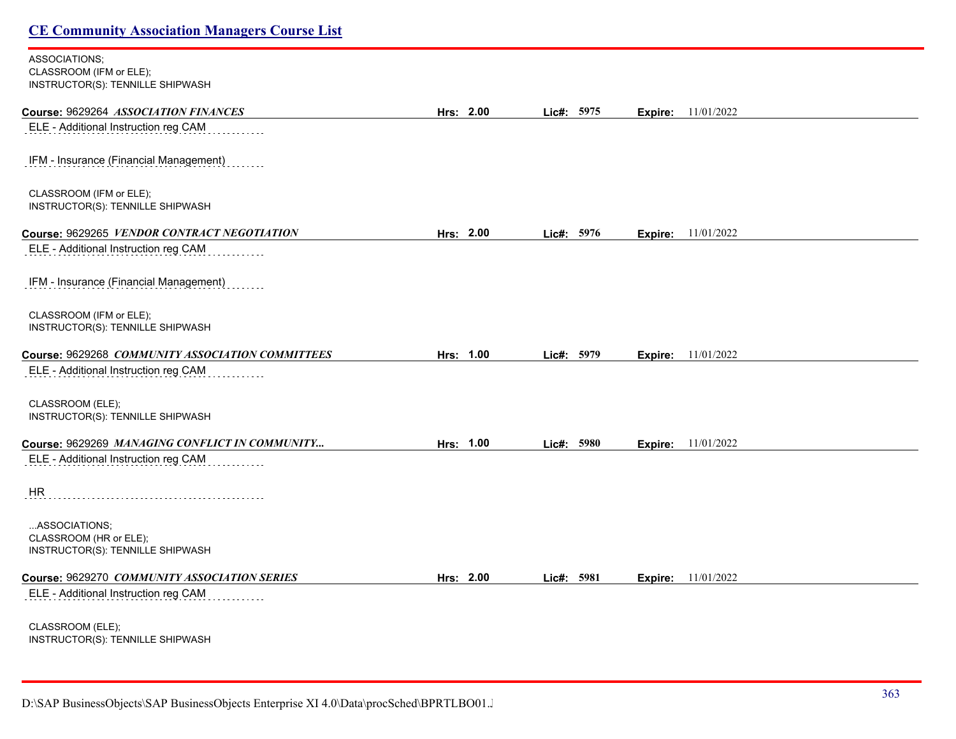#### ASSOCIATIONS; CLASSROOM (IFM or ELE); INSTRUCTOR(S): TENNILLE SHIPWASH

| Course: 9629264 ASSOCIATION FINANCES                       | Hrs: 2.00 | Lic#: 5975 |         | <b>Expire:</b> 11/01/2022 |  |
|------------------------------------------------------------|-----------|------------|---------|---------------------------|--|
| ELE - Additional Instruction reg CAM                       |           |            |         |                           |  |
|                                                            |           |            |         |                           |  |
| IFM - Insurance (Financial Management)                     |           |            |         |                           |  |
| CLASSROOM (IFM or ELE);                                    |           |            |         |                           |  |
| INSTRUCTOR(S): TENNILLE SHIPWASH                           |           |            |         |                           |  |
| Course: 9629265 VENDOR CONTRACT NEGOTIATION                | Hrs: 2.00 | Lic#: 5976 | Expire: | 11/01/2022                |  |
| ELE - Additional Instruction reg CAM                       |           |            |         |                           |  |
| IFM - Insurance (Financial Management)                     |           |            |         |                           |  |
|                                                            |           |            |         |                           |  |
| CLASSROOM (IFM or ELE);                                    |           |            |         |                           |  |
| INSTRUCTOR(S): TENNILLE SHIPWASH                           |           |            |         |                           |  |
| Course: 9629268 COMMUNITY ASSOCIATION COMMITTEES           | Hrs: 1.00 | Lic#: 5979 |         | <b>Expire:</b> 11/01/2022 |  |
| ELE - Additional Instruction reg CAM                       |           |            |         |                           |  |
| CLASSROOM (ELE);                                           |           |            |         |                           |  |
| INSTRUCTOR(S): TENNILLE SHIPWASH                           |           |            |         |                           |  |
| Course: 9629269 MANAGING CONFLICT IN COMMUNITY             | Hrs: 1.00 | Lic#: 5980 |         | <b>Expire:</b> 11/01/2022 |  |
| ELE - Additional Instruction reg CAM                       |           |            |         |                           |  |
|                                                            |           |            |         |                           |  |
| HR                                                         |           |            |         |                           |  |
| ASSOCIATIONS;                                              |           |            |         |                           |  |
| CLASSROOM (HR or ELE);<br>INSTRUCTOR(S): TENNILLE SHIPWASH |           |            |         |                           |  |
|                                                            |           |            |         |                           |  |
| Course: 9629270 COMMUNITY ASSOCIATION SERIES               | Hrs: 2.00 | Lic#: 5981 | Expire: | 11/01/2022                |  |
| ELE - Additional Instruction reg CAM                       |           |            |         |                           |  |
| CLASSROOM (ELE);                                           |           |            |         |                           |  |
| INSTRUCTOR(S): TENNILLE SHIPWASH                           |           |            |         |                           |  |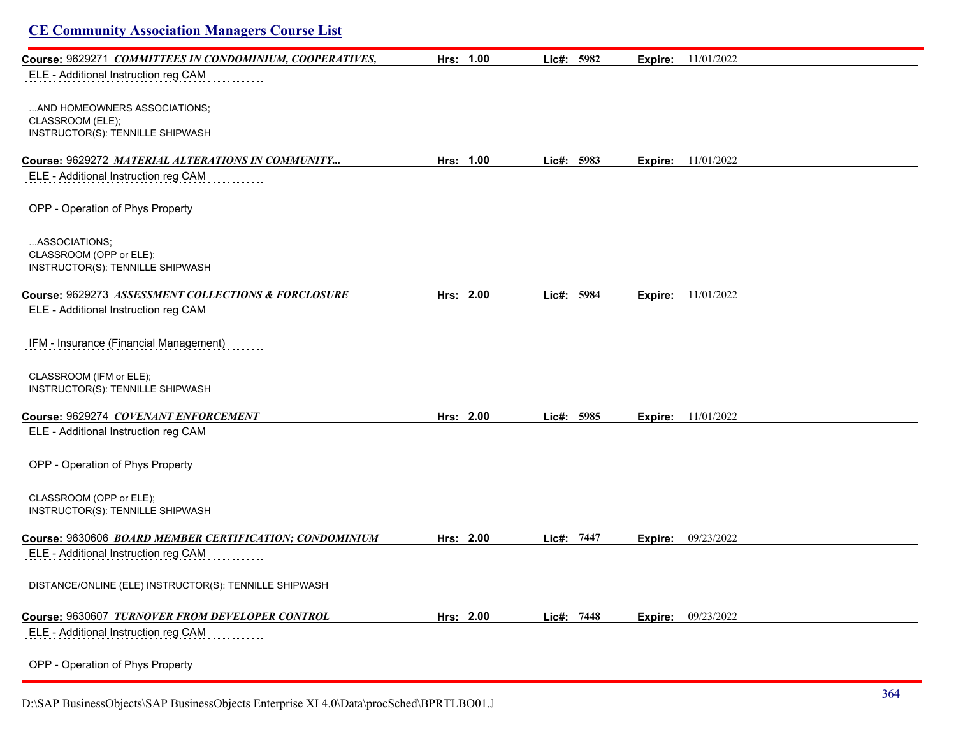|  | <b>CE Community Association Managers Course List</b> |  |  |
|--|------------------------------------------------------|--|--|
|  |                                                      |  |  |

| Course: 9629271 COMMITTEES IN CONDOMINIUM, COOPERATIVES, | Hrs: 1.00 | Lic#: 5982   | Expire: | 11/01/2022                  |
|----------------------------------------------------------|-----------|--------------|---------|-----------------------------|
| ELE - Additional Instruction reg CAM                     |           |              |         |                             |
|                                                          |           |              |         |                             |
| AND HOMEOWNERS ASSOCIATIONS;                             |           |              |         |                             |
| CLASSROOM (ELE);                                         |           |              |         |                             |
| INSTRUCTOR(S): TENNILLE SHIPWASH                         |           |              |         |                             |
| Course: 9629272 MATERIAL ALTERATIONS IN COMMUNITY        | Hrs: 1.00 | Lie#: 5983   |         | <b>Expire:</b> 11/01/2022   |
| ELE - Additional Instruction reg CAM                     |           |              |         |                             |
| OPP - Operation of Phys Property                         |           |              |         |                             |
| ASSOCIATIONS;                                            |           |              |         |                             |
| CLASSROOM (OPP or ELE);                                  |           |              |         |                             |
| INSTRUCTOR(S): TENNILLE SHIPWASH                         |           |              |         |                             |
| Course: 9629273 ASSESSMENT COLLECTIONS & FORCLOSURE      | Hrs: 2.00 | Lic#: 5984   |         | <b>Expire:</b> $11/01/2022$ |
| ELE - Additional Instruction reg CAM                     |           |              |         |                             |
| IFM - Insurance (Financial Management)                   |           |              |         |                             |
| CLASSROOM (IFM or ELE);                                  |           |              |         |                             |
| INSTRUCTOR(S): TENNILLE SHIPWASH                         |           |              |         |                             |
| Course: 9629274 COVENANT ENFORCEMENT                     | Hrs: 2.00 | Lic#: $5985$ | Expire: | 11/01/2022                  |
| ELE - Additional Instruction reg CAM                     |           |              |         |                             |
| OPP - Operation of Phys Property                         |           |              |         |                             |
| CLASSROOM (OPP or ELE);                                  |           |              |         |                             |
| INSTRUCTOR(S): TENNILLE SHIPWASH                         |           |              |         |                             |
| Course: 9630606 BOARD MEMBER CERTIFICATION; CONDOMINIUM  | Hrs: 2.00 | Lic#: 7447   | Expire: | 09/23/2022                  |
| ELE - Additional Instruction reg CAM                     |           |              |         |                             |
| DISTANCE/ONLINE (ELE) INSTRUCTOR(S): TENNILLE SHIPWASH   |           |              |         |                             |
| Course: 9630607 TURNOVER FROM DEVELOPER CONTROL          | Hrs: 2.00 | Lic#: 7448   | Expire: | 09/23/2022                  |
| ELE - Additional Instruction reg CAM                     |           |              |         |                             |
| OPP - Operation of Phys Property                         |           |              |         |                             |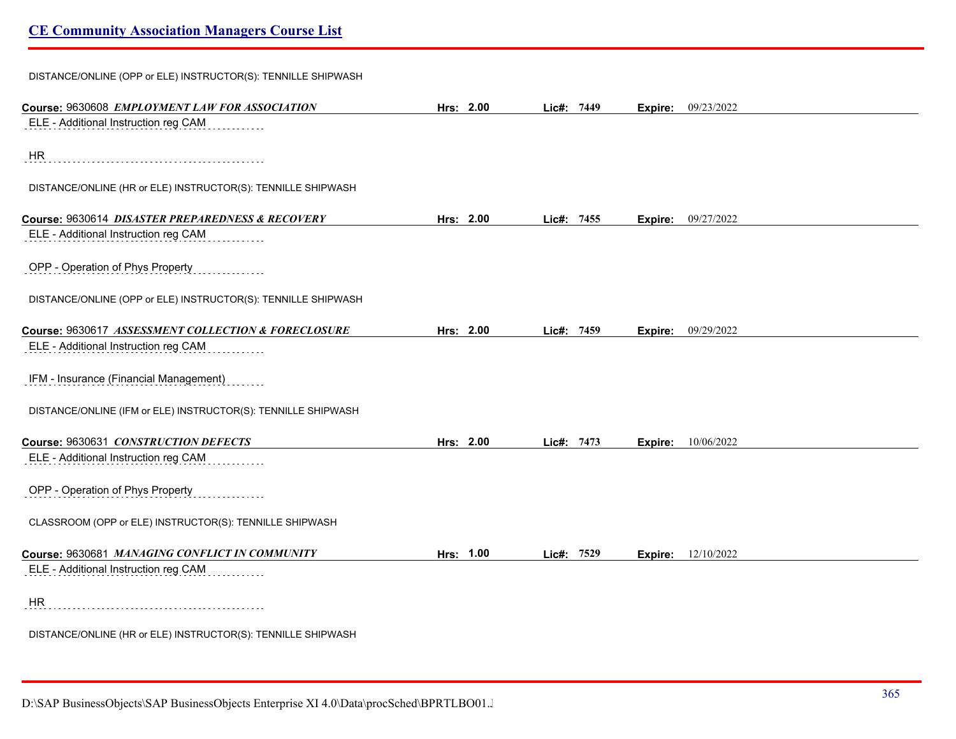| DISTANCE/ONLINE (OPP or ELE) INSTRUCTOR(S): TENNILLE SHIPWASH |           |            |         |            |
|---------------------------------------------------------------|-----------|------------|---------|------------|
| Course: 9630608 EMPLOYMENT LAW FOR ASSOCIATION                | Hrs: 2.00 | Lic#: 7449 | Expire: | 09/23/2022 |
| ELE - Additional Instruction reg CAM                          |           |            |         |            |
| <b>HR</b>                                                     |           |            |         |            |
| DISTANCE/ONLINE (HR or ELE) INSTRUCTOR(S): TENNILLE SHIPWASH  |           |            |         |            |
| Course: 9630614 DISASTER PREPAREDNESS & RECOVERY              | Hrs: 2.00 | Lic#: 7455 | Expire: | 09/27/2022 |
| ELE - Additional Instruction reg CAM                          |           |            |         |            |
| OPP - Operation of Phys Property                              |           |            |         |            |
| DISTANCE/ONLINE (OPP or ELE) INSTRUCTOR(S): TENNILLE SHIPWASH |           |            |         |            |
| Course: 9630617 ASSESSMENT COLLECTION & FORECLOSURE           | Hrs: 2.00 | Lic#: 7459 | Expire: | 09/29/2022 |
| ELE - Additional Instruction reg CAM                          |           |            |         |            |
| IFM - Insurance (Financial Management)                        |           |            |         |            |
| DISTANCE/ONLINE (IFM or ELE) INSTRUCTOR(S): TENNILLE SHIPWASH |           |            |         |            |
| Course: 9630631 CONSTRUCTION DEFECTS                          | Hrs: 2.00 | Lic#: 7473 | Expire: | 10/06/2022 |
| ELE - Additional Instruction reg CAM                          |           |            |         |            |
| OPP - Operation of Phys Property                              |           |            |         |            |
| CLASSROOM (OPP or ELE) INSTRUCTOR(S): TENNILLE SHIPWASH       |           |            |         |            |
| Course: 9630681 MANAGING CONFLICT IN COMMUNITY                | Hrs: 1.00 | Lic#: 7529 | Expire: | 12/10/2022 |
| ELE - Additional Instruction reg CAM                          |           |            |         |            |
| <b>HR</b>                                                     |           |            |         |            |
| DISTANCE/ONLINE (HR or ELE) INSTRUCTOR(S): TENNILLE SHIPWASH  |           |            |         |            |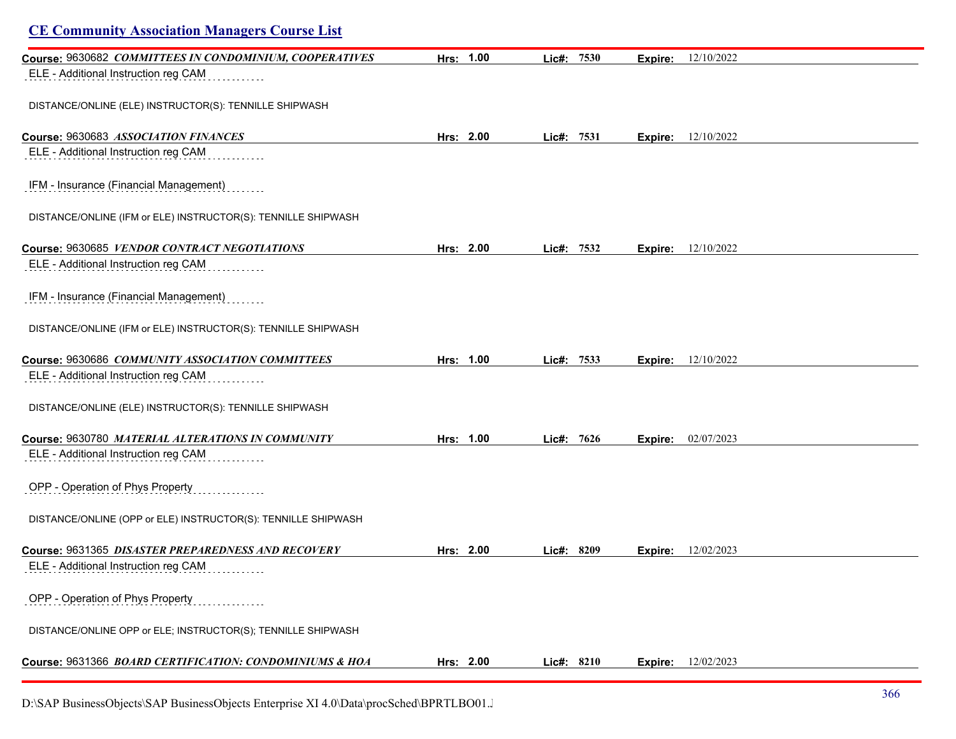| <b>CE Community Association Managers Course List</b>          |           |            |         |                           |
|---------------------------------------------------------------|-----------|------------|---------|---------------------------|
| Course: 9630682 COMMITTEES IN CONDOMINIUM, COOPERATIVES       | Hrs: 1.00 | Lic#: 7530 | Expire: | 12/10/2022                |
| ELE - Additional Instruction reg CAM                          |           |            |         |                           |
| DISTANCE/ONLINE (ELE) INSTRUCTOR(S): TENNILLE SHIPWASH        |           |            |         |                           |
| Course: 9630683 ASSOCIATION FINANCES                          | Hrs: 2.00 | Lic#: 7531 | Expire: | 12/10/2022                |
| ELE - Additional Instruction reg CAM                          |           |            |         |                           |
| IFM - Insurance (Financial Management)                        |           |            |         |                           |
| DISTANCE/ONLINE (IFM or ELE) INSTRUCTOR(S): TENNILLE SHIPWASH |           |            |         |                           |
| Course: 9630685 VENDOR CONTRACT NEGOTIATIONS                  | Hrs: 2.00 | Lic#: 7532 | Expire: | 12/10/2022                |
| ELE - Additional Instruction reg CAM                          |           |            |         |                           |
| IFM - Insurance (Financial Management)                        |           |            |         |                           |
| DISTANCE/ONLINE (IFM or ELE) INSTRUCTOR(S): TENNILLE SHIPWASH |           |            |         |                           |
| Course: 9630686 COMMUNITY ASSOCIATION COMMITTEES              | Hrs: 1.00 | Lic#: 7533 |         | <b>Expire:</b> 12/10/2022 |
| ELE - Additional Instruction reg CAM                          |           |            |         |                           |
| DISTANCE/ONLINE (ELE) INSTRUCTOR(S): TENNILLE SHIPWASH        |           |            |         |                           |
| Course: 9630780 MATERIAL ALTERATIONS IN COMMUNITY             | Hrs: 1.00 | Lic#: 7626 | Expire: | 02/07/2023                |
| ELE - Additional Instruction reg CAM                          |           |            |         |                           |
| OPP - Operation of Phys Property                              |           |            |         |                           |
| DISTANCE/ONLINE (OPP or ELE) INSTRUCTOR(S): TENNILLE SHIPWASH |           |            |         |                           |
| Course: 9631365 DISASTER PREPAREDNESS AND RECOVERY            | Hrs: 2.00 | Lic#: 8209 | Expire: | 12/02/2023                |
| ELE - Additional Instruction reg CAM                          |           |            |         |                           |
| OPP - Operation of Phys Property                              |           |            |         |                           |
| DISTANCE/ONLINE OPP or ELE; INSTRUCTOR(S); TENNILLE SHIPWASH  |           |            |         |                           |
| Course: 9631366 BOARD CERTIFICATION: CONDOMINIUMS & HOA       | Hrs: 2.00 | Lic#: 8210 | Expire: | 12/02/2023                |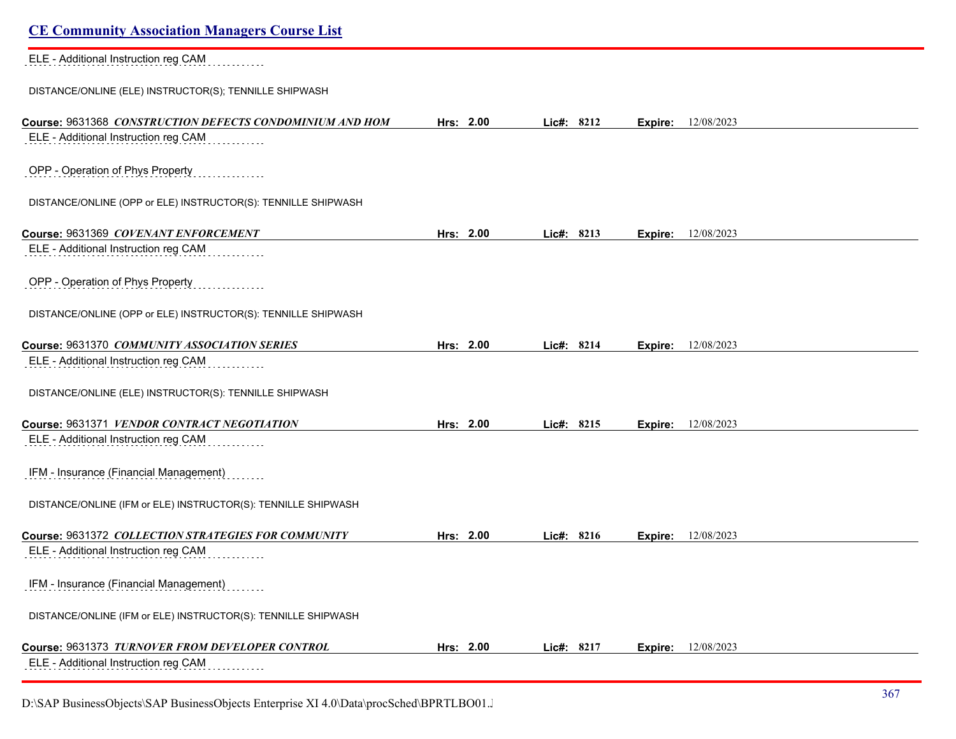| <b>CE Community Association Managers Course List</b>                                             |           |            |                           |  |
|--------------------------------------------------------------------------------------------------|-----------|------------|---------------------------|--|
| ELE - Additional Instruction reg CAM                                                             |           |            |                           |  |
| DISTANCE/ONLINE (ELE) INSTRUCTOR(S); TENNILLE SHIPWASH                                           |           |            |                           |  |
| Course: 9631368 CONSTRUCTION DEFECTS CONDOMINIUM AND HOM<br>ELE - Additional Instruction reg CAM | Hrs: 2.00 | Lic#: 8212 | <b>Expire:</b> 12/08/2023 |  |
| OPP - Operation of Phys Property                                                                 |           |            |                           |  |
| DISTANCE/ONLINE (OPP or ELE) INSTRUCTOR(S): TENNILLE SHIPWASH                                    |           |            |                           |  |
| Course: 9631369 COVENANT ENFORCEMENT                                                             | Hrs: 2.00 | Lic#: 8213 | 12/08/2023<br>Expire:     |  |
| ELE - Additional Instruction reg CAM                                                             |           |            |                           |  |
| OPP - Operation of Phys Property                                                                 |           |            |                           |  |
| DISTANCE/ONLINE (OPP or ELE) INSTRUCTOR(S): TENNILLE SHIPWASH                                    |           |            |                           |  |
| Course: 9631370 COMMUNITY ASSOCIATION SERIES                                                     | Hrs: 2.00 | Lic#: 8214 | 12/08/2023<br>Expire:     |  |
| ELE - Additional Instruction reg CAM                                                             |           |            |                           |  |
| DISTANCE/ONLINE (ELE) INSTRUCTOR(S): TENNILLE SHIPWASH                                           |           |            |                           |  |
| Course: 9631371 VENDOR CONTRACT NEGOTIATION                                                      | Hrs: 2.00 | Lic#: 8215 | <b>Expire:</b> 12/08/2023 |  |
| ELE - Additional Instruction reg CAM                                                             |           |            |                           |  |
| IFM - Insurance (Financial Management)                                                           |           |            |                           |  |
| DISTANCE/ONLINE (IFM or ELE) INSTRUCTOR(S): TENNILLE SHIPWASH                                    |           |            |                           |  |
| Course: 9631372 COLLECTION STRATEGIES FOR COMMUNITY                                              | Hrs: 2.00 | Lic#: 8216 | 12/08/2023<br>Expire:     |  |
| ELE - Additional Instruction reg CAM                                                             |           |            |                           |  |
| IFM - Insurance (Financial Management)                                                           |           |            |                           |  |
| DISTANCE/ONLINE (IFM or ELE) INSTRUCTOR(S): TENNILLE SHIPWASH                                    |           |            |                           |  |
| Course: 9631373 TURNOVER FROM DEVELOPER CONTROL                                                  | Hrs: 2.00 | Lic#: 8217 | 12/08/2023<br>Expire:     |  |
| ELE - Additional Instruction reg CAM                                                             |           |            |                           |  |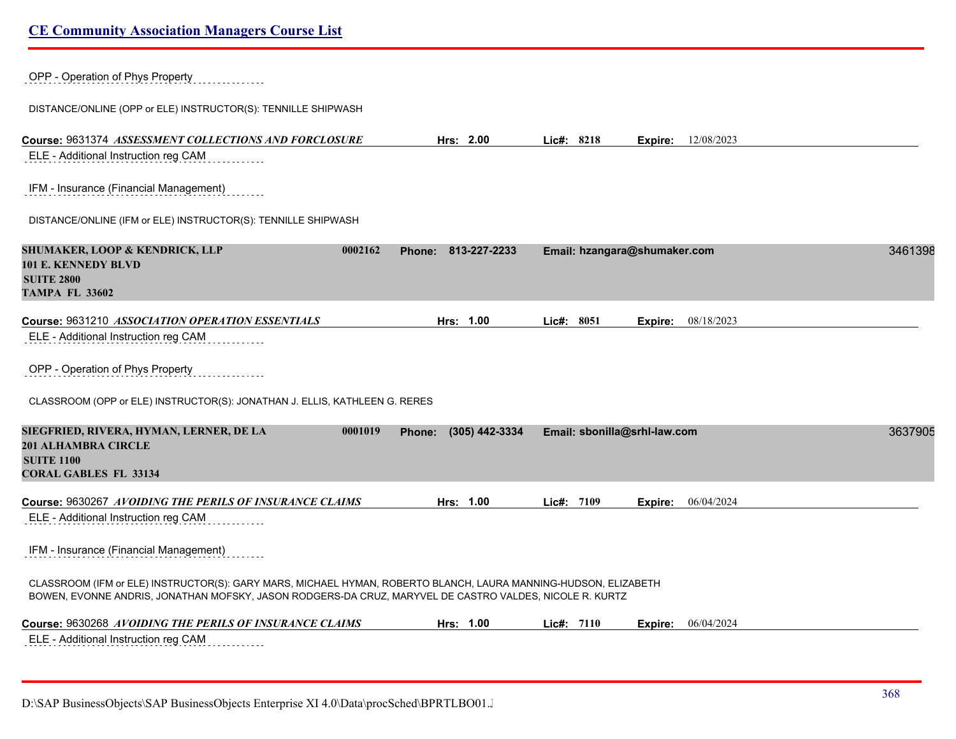| OPP - Operation of Phys Property                                                                                                                                                                                           |                       |                              |                              |         |
|----------------------------------------------------------------------------------------------------------------------------------------------------------------------------------------------------------------------------|-----------------------|------------------------------|------------------------------|---------|
| DISTANCE/ONLINE (OPP or ELE) INSTRUCTOR(S): TENNILLE SHIPWASH                                                                                                                                                              |                       |                              |                              |         |
| Course: 9631374 ASSESSMENT COLLECTIONS AND FORCLOSURE<br>ELE - Additional Instruction reg CAM                                                                                                                              | Hrs: 2.00             | Lic#: 8218                   | <b>Expire:</b> $12/08/2023$  |         |
| IFM - Insurance (Financial Management)                                                                                                                                                                                     |                       |                              |                              |         |
| DISTANCE/ONLINE (IFM or ELE) INSTRUCTOR(S): TENNILLE SHIPWASH                                                                                                                                                              |                       |                              |                              |         |
| SHUMAKER, LOOP & KENDRICK, LLP<br>0002162<br>101 E. KENNEDY BLVD<br><b>SUITE 2800</b><br><b>TAMPA FL 33602</b>                                                                                                             | Phone: 813-227-2233   |                              | Email: hzangara@shumaker.com | 3461398 |
|                                                                                                                                                                                                                            |                       |                              |                              |         |
| Course: 9631210 ASSOCIATION OPERATION ESSENTIALS<br>ELE - Additional Instruction reg CAM                                                                                                                                   | Hrs: 1.00             | Lie#: 8051                   | 08/18/2023<br>Expire:        |         |
| OPP - Operation of Phys Property                                                                                                                                                                                           |                       |                              |                              |         |
| CLASSROOM (OPP or ELE) INSTRUCTOR(S): JONATHAN J. ELLIS, KATHLEEN G. RERES                                                                                                                                                 |                       |                              |                              |         |
| SIEGFRIED, RIVERA, HYMAN, LERNER, DE LA<br>0001019<br><b>201 ALHAMBRA CIRCLE</b><br><b>SUITE 1100</b><br><b>CORAL GABLES FL 33134</b>                                                                                      | Phone: (305) 442-3334 | Email: sbonilla@srhl-law.com |                              | 3637905 |
| Course: 9630267 AVOIDING THE PERILS OF INSURANCE CLAIMS                                                                                                                                                                    | Hrs: 1.00             | Lie#: 7109                   | <b>Expire:</b> $06/04/2024$  |         |
| ELE - Additional Instruction reg CAM                                                                                                                                                                                       |                       |                              |                              |         |
| IFM - Insurance (Financial Management)                                                                                                                                                                                     |                       |                              |                              |         |
| CLASSROOM (IFM or ELE) INSTRUCTOR(S): GARY MARS, MICHAEL HYMAN, ROBERTO BLANCH, LAURA MANNING-HUDSON, ELIZABETH<br>BOWEN, EVONNE ANDRIS, JONATHAN MOFSKY, JASON RODGERS-DA CRUZ, MARYVEL DE CASTRO VALDES, NICOLE R. KURTZ |                       |                              |                              |         |
| Course: 9630268 AVOIDING THE PERILS OF INSURANCE CLAIMS                                                                                                                                                                    | Hrs: 1.00             | Lie#: 7110                   | 06/04/2024<br>Expire:        |         |
| ELE - Additional Instruction reg CAM                                                                                                                                                                                       |                       |                              |                              |         |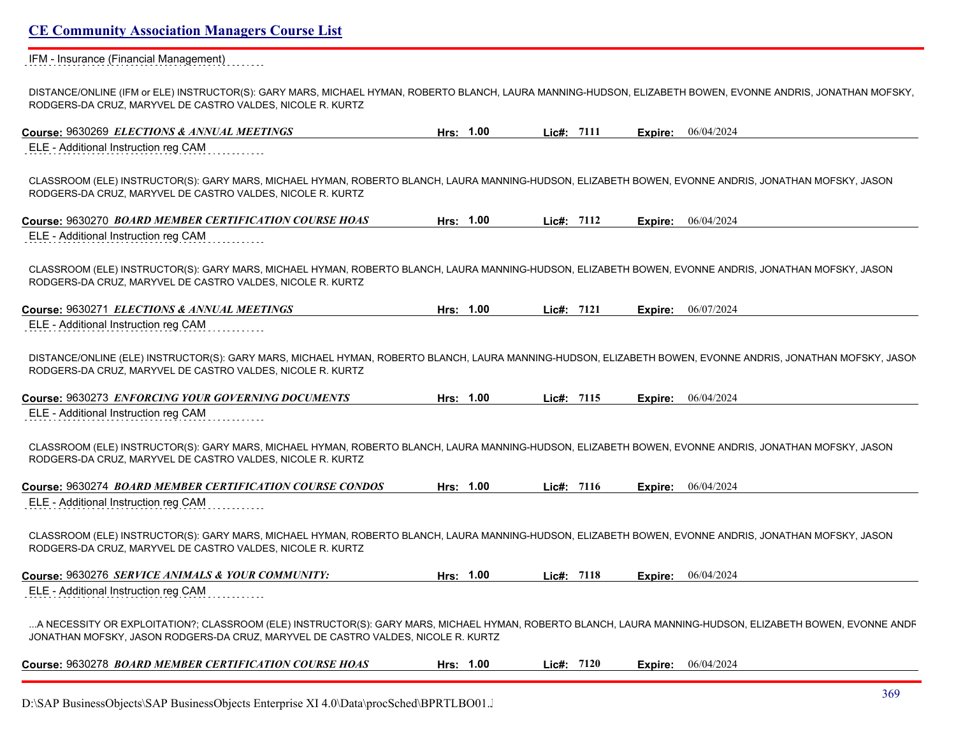IFM - Insurance (Financial Management)

DISTANCE/ONLINE (IFM or ELE) INSTRUCTOR(S): GARY MARS, MICHAEL HYMAN, ROBERTO BLANCH, LAURA MANNING-HUDSON, ELIZABETH BOWEN, EVONNE ANDRIS, JONATHAN MOFSKY, RODGERS-DA CRUZ, MARYVEL DE CASTRO VALDES, NICOLE R. KURTZ

| Course: 9630269 ELECTIONS & ANNUAL MEETINGS                                                                                                                                                                                                    | Hrs: 1.00 | Lic#: 7111 | Expire: | 06/04/2024                |
|------------------------------------------------------------------------------------------------------------------------------------------------------------------------------------------------------------------------------------------------|-----------|------------|---------|---------------------------|
| ELE - Additional Instruction reg CAM                                                                                                                                                                                                           |           |            |         |                           |
| CLASSROOM (ELE) INSTRUCTOR(S): GARY MARS, MICHAEL HYMAN, ROBERTO BLANCH, LAURA MANNING-HUDSON, ELIZABETH BOWEN, EVONNE ANDRIS, JONATHAN MOFSKY, JASON<br>RODGERS-DA CRUZ, MARYVEL DE CASTRO VALDES, NICOLE R. KURTZ                            |           |            |         |                           |
| Course: 9630270 BOARD MEMBER CERTIFICATION COURSE HOAS                                                                                                                                                                                         | Hrs: 1.00 | Lie#: 7112 | Expire: | 06/04/2024                |
| ELE - Additional Instruction reg CAM                                                                                                                                                                                                           |           |            |         |                           |
| CLASSROOM (ELE) INSTRUCTOR(S): GARY MARS, MICHAEL HYMAN, ROBERTO BLANCH, LAURA MANNING-HUDSON, ELIZABETH BOWEN, EVONNE ANDRIS, JONATHAN MOFSKY, JASON<br>RODGERS-DA CRUZ, MARYVEL DE CASTRO VALDES, NICOLE R. KURTZ                            |           |            |         |                           |
| Course: 9630271 ELECTIONS & ANNUAL MEETINGS                                                                                                                                                                                                    | Hrs: 1.00 | Lie#: 7121 | Expire: | 06/07/2024                |
| ELE - Additional Instruction reg CAM                                                                                                                                                                                                           |           |            |         |                           |
| DISTANCE/ONLINE (ELE) INSTRUCTOR(S): GARY MARS, MICHAEL HYMAN, ROBERTO BLANCH, LAURA MANNING-HUDSON, ELIZABETH BOWEN, EVONNE ANDRIS, JONATHAN MOFSKY, JASON<br>RODGERS-DA CRUZ, MARYVEL DE CASTRO VALDES, NICOLE R. KURTZ                      |           |            |         |                           |
| Course: 9630273 ENFORCING YOUR GOVERNING DOCUMENTS                                                                                                                                                                                             | Hrs: 1.00 | Lic#: 7115 | Expire: | 06/04/2024                |
| ELE - Additional Instruction reg CAM                                                                                                                                                                                                           |           |            |         |                           |
| CLASSROOM (ELE) INSTRUCTOR(S): GARY MARS, MICHAEL HYMAN, ROBERTO BLANCH, LAURA MANNING-HUDSON, ELIZABETH BOWEN, EVONNE ANDRIS, JONATHAN MOFSKY, JASON<br>RODGERS-DA CRUZ, MARYVEL DE CASTRO VALDES, NICOLE R. KURTZ                            |           |            |         |                           |
| Course: 9630274 BOARD MEMBER CERTIFICATION COURSE CONDOS                                                                                                                                                                                       | Hrs: 1.00 | Lic#: 7116 | Expire: | 06/04/2024                |
| ELE - Additional Instruction reg CAM                                                                                                                                                                                                           |           |            |         |                           |
| CLASSROOM (ELE) INSTRUCTOR(S): GARY MARS, MICHAEL HYMAN, ROBERTO BLANCH, LAURA MANNING-HUDSON, ELIZABETH BOWEN, EVONNE ANDRIS, JONATHAN MOFSKY, JASON<br>RODGERS-DA CRUZ, MARYVEL DE CASTRO VALDES, NICOLE R. KURTZ                            |           |            |         |                           |
| Course: 9630276 SERVICE ANIMALS & YOUR COMMUNITY:                                                                                                                                                                                              | Hrs: 1.00 | Lic#: 7118 |         | <b>Expire:</b> 06/04/2024 |
| ELE - Additional Instruction reg CAM                                                                                                                                                                                                           |           |            |         |                           |
| A NECESSITY OR EXPLOITATION?; CLASSROOM (ELE) INSTRUCTOR(S): GARY MARS, MICHAEL HYMAN, ROBERTO BLANCH, LAURA MANNING-HUDSON, ELIZABETH BOWEN, EVONNE ANDF<br>JONATHAN MOFSKY, JASON RODGERS-DA CRUZ, MARYVEL DE CASTRO VALDES, NICOLE R. KURTZ |           |            |         |                           |
| Course: 9630278 BOARD MEMBER CERTIFICATION COURSE HOAS                                                                                                                                                                                         | Hrs: 1.00 | Lie#: 7120 |         | <b>Expire:</b> 06/04/2024 |
|                                                                                                                                                                                                                                                |           |            |         |                           |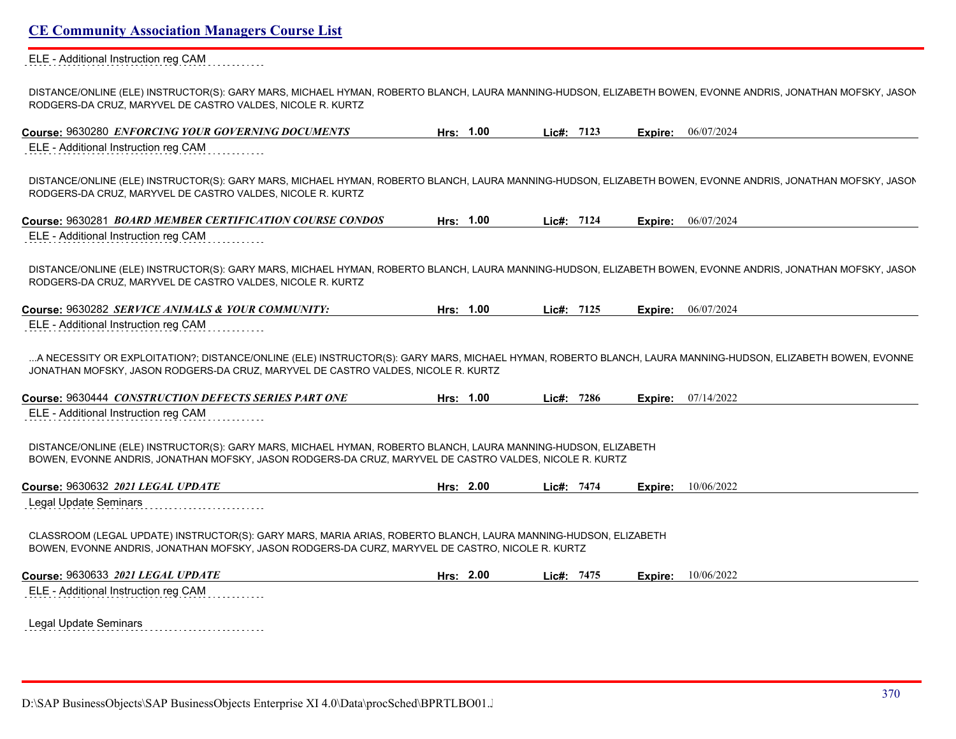#### ELE - Additional Instruction reg CAM  $1.1.1.1.1.1$

DISTANCE/ONLINE (ELE) INSTRUCTOR(S): GARY MARS, MICHAEL HYMAN, ROBERTO BLANCH, LAURA MANNING-HUDSON, ELIZABETH BOWEN, EVONNE ANDRIS, JONATHAN MOFSKY, JASON RODGERS-DA CRUZ, MARYVEL DE CASTRO VALDES, NICOLE R. KURTZ

| Course: 9630280 ENFORCING YOUR GOVERNING DOCUMENTS                                                                                                                                                                        | Hrs: 1.00 | Lic#: 7123   |         | <b>Expire:</b> 06/07/2024 |
|---------------------------------------------------------------------------------------------------------------------------------------------------------------------------------------------------------------------------|-----------|--------------|---------|---------------------------|
| ELE - Additional Instruction reg CAM                                                                                                                                                                                      |           |              |         |                           |
| DISTANCE/ONLINE (ELE) INSTRUCTOR(S): GARY MARS, MICHAEL HYMAN, ROBERTO BLANCH, LAURA MANNING-HUDSON, ELIZABETH BOWEN, EVONNE ANDRIS, JONATHAN MOFSKY, JASON<br>RODGERS-DA CRUZ, MARYVEL DE CASTRO VALDES, NICOLE R. KURTZ |           |              |         |                           |
| Course: 9630281 BOARD MEMBER CERTIFICATION COURSE CONDOS                                                                                                                                                                  | Hrs: 1.00 | Lie#: 7124   |         | <b>Expire:</b> 06/07/2024 |
| ELE - Additional Instruction reg CAM                                                                                                                                                                                      |           |              |         |                           |
| DISTANCE/ONLINE (ELE) INSTRUCTOR(S): GARY MARS, MICHAEL HYMAN, ROBERTO BLANCH, LAURA MANNING-HUDSON, ELIZABETH BOWEN, EVONNE ANDRIS, JONATHAN MOFSKY, JASON<br>RODGERS-DA CRUZ, MARYVEL DE CASTRO VALDES, NICOLE R. KURTZ |           |              |         |                           |
| Course: 9630282 SERVICE ANIMALS & YOUR COMMUNITY:                                                                                                                                                                         | Hrs: 1.00 | Lic#: $7125$ |         | <b>Expire:</b> 06/07/2024 |
| ELE - Additional Instruction reg CAM                                                                                                                                                                                      |           |              |         |                           |
| JONATHAN MOFSKY, JASON RODGERS-DA CRUZ, MARYVEL DE CASTRO VALDES, NICOLE R. KURTZ<br>Course: 9630444 CONSTRUCTION DEFECTS SERIES PART ONE                                                                                 | Hrs: 1.00 | Lie#: 7286   | Expire: | 07/14/2022                |
| ELE - Additional Instruction reg CAM                                                                                                                                                                                      |           |              |         |                           |
| DISTANCE/ONLINE (ELE) INSTRUCTOR(S): GARY MARS, MICHAEL HYMAN, ROBERTO BLANCH, LAURA MANNING-HUDSON, ELIZABETH<br>BOWEN, EVONNE ANDRIS, JONATHAN MOFSKY, JASON RODGERS-DA CRUZ, MARYVEL DE CASTRO VALDES, NICOLE R. KURTZ |           |              |         |                           |
| Course: 9630632 2021 LEGAL UPDATE                                                                                                                                                                                         | Hrs: 2.00 | Lic#: 7474   | Expire: | 10/06/2022                |
| <b>Legal Update Seminars</b>                                                                                                                                                                                              |           |              |         |                           |
| CLASSROOM (LEGAL UPDATE) INSTRUCTOR(S): GARY MARS, MARIA ARIAS, ROBERTO BLANCH, LAURA MANNING-HUDSON, ELIZABETH<br>BOWEN, EVONNE ANDRIS, JONATHAN MOFSKY, JASON RODGERS-DA CURZ, MARYVEL DE CASTRO, NICOLE R. KURTZ       |           |              |         |                           |
| Course: 9630633 2021 LEGAL UPDATE                                                                                                                                                                                         | Hrs: 2.00 | Lic#: 7475   |         | <b>Expire:</b> 10/06/2022 |
| ELE - Additional Instruction reg CAM                                                                                                                                                                                      |           |              |         |                           |
|                                                                                                                                                                                                                           |           |              |         |                           |

Legal Update Seminars **Exercise Seminars**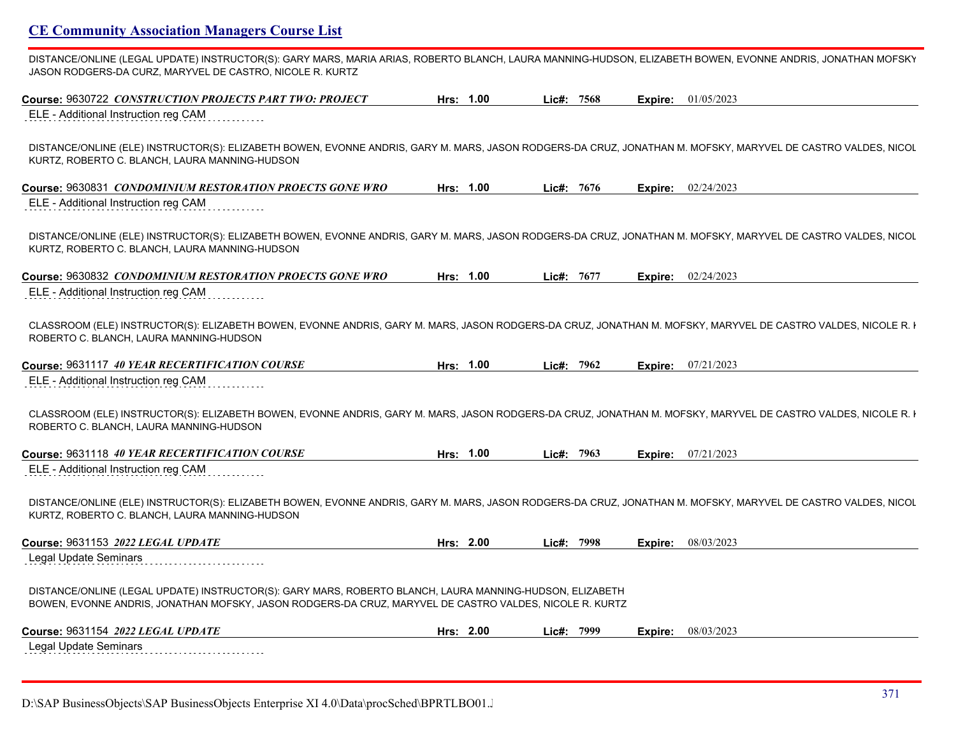DISTANCE/ONLINE (LEGAL UPDATE) INSTRUCTOR(S): GARY MARS, MARIA ARIAS, ROBERTO BLANCH, LAURA MANNING-HUDSON, ELIZABETH BOWEN, EVONNE ANDRIS, JONATHAN MOFSKY JASON RODGERS-DA CURZ, MARYVEL DE CASTRO, NICOLE R. KURTZ

| ELE - Additional Instruction reg CAM<br>DISTANCE/ONLINE (ELE) INSTRUCTOR(S): ELIZABETH BOWEN, EVONNE ANDRIS, GARY M. MARS, JASON RODGERS-DA CRUZ, JONATHAN M. MOFSKY, MARYVEL DE CASTRO VALDES, NICOL<br>KURTZ, ROBERTO C. BLANCH, LAURA MANNING-HUDSON<br>Hrs: 1.00<br>Lic#: 7676<br>02/24/2023<br>Expire:<br>ELE - Additional Instruction reg CAM<br>DISTANCE/ONLINE (ELE) INSTRUCTOR(S): ELIZABETH BOWEN, EVONNE ANDRIS, GARY M. MARS, JASON RODGERS-DA CRUZ, JONATHAN M. MOFSKY, MARYVEL DE CASTRO VALDES, NICOL<br>KURTZ, ROBERTO C. BLANCH, LAURA MANNING-HUDSON<br>Hrs: 1.00<br>02/24/2023<br>Lic#: $7677$<br>Expire:<br>ELE - Additional Instruction reg CAM<br>CLASSROOM (ELE) INSTRUCTOR(S): ELIZABETH BOWEN, EVONNE ANDRIS, GARY M. MARS, JASON RODGERS-DA CRUZ, JONATHAN M. MOFSKY, MARYVEL DE CASTRO VALDES, NICOLE R. I<br>ROBERTO C. BLANCH, LAURA MANNING-HUDSON<br>Hrs: 1.00<br>Lic#: 7962<br>07/21/2023<br>Expire:<br>ELE - Additional Instruction reg CAM<br>CLASSROOM (ELE) INSTRUCTOR(S): ELIZABETH BOWEN, EVONNE ANDRIS, GARY M. MARS, JASON RODGERS-DA CRUZ, JONATHAN M. MOFSKY, MARYVEL DE CASTRO VALDES, NICOLE R. I<br>ROBERTO C. BLANCH, LAURA MANNING-HUDSON<br>Hrs: 1.00<br>Lic#: 7963<br>07/21/2023<br>Expire:<br>ELE - Additional Instruction reg CAM<br>DISTANCE/ONLINE (ELE) INSTRUCTOR(S): ELIZABETH BOWEN, EVONNE ANDRIS, GARY M. MARS, JASON RODGERS-DA CRUZ, JONATHAN M. MOFSKY, MARYVEL DE CASTRO VALDES, NICOL<br>KURTZ, ROBERTO C. BLANCH, LAURA MANNING-HUDSON<br>Hrs: 2.00<br>08/03/2023<br>Lic#: 7998<br>Expire:<br>Legal Update Seminars<br>DISTANCE/ONLINE (LEGAL UPDATE) INSTRUCTOR(S): GARY MARS, ROBERTO BLANCH, LAURA MANNING-HUDSON, ELIZABETH<br>BOWEN, EVONNE ANDRIS, JONATHAN MOFSKY, JASON RODGERS-DA CRUZ, MARYVEL DE CASTRO VALDES, NICOLE R. KURTZ<br>Hrs: 2.00<br>Lic#: 7999<br>08/03/2023<br>Expire:<br>Legal Update Seminars | Course: 9630722 CONSTRUCTION PROJECTS PART TWO: PROJECT  | Hrs: 1.00 | Lic#: $7568$ |  | <b>Expire:</b> $01/05/2023$ |
|------------------------------------------------------------------------------------------------------------------------------------------------------------------------------------------------------------------------------------------------------------------------------------------------------------------------------------------------------------------------------------------------------------------------------------------------------------------------------------------------------------------------------------------------------------------------------------------------------------------------------------------------------------------------------------------------------------------------------------------------------------------------------------------------------------------------------------------------------------------------------------------------------------------------------------------------------------------------------------------------------------------------------------------------------------------------------------------------------------------------------------------------------------------------------------------------------------------------------------------------------------------------------------------------------------------------------------------------------------------------------------------------------------------------------------------------------------------------------------------------------------------------------------------------------------------------------------------------------------------------------------------------------------------------------------------------------------------------------------------------------------------------------------------------------------------------------------------------------------------------------------------|----------------------------------------------------------|-----------|--------------|--|-----------------------------|
|                                                                                                                                                                                                                                                                                                                                                                                                                                                                                                                                                                                                                                                                                                                                                                                                                                                                                                                                                                                                                                                                                                                                                                                                                                                                                                                                                                                                                                                                                                                                                                                                                                                                                                                                                                                                                                                                                          |                                                          |           |              |  |                             |
|                                                                                                                                                                                                                                                                                                                                                                                                                                                                                                                                                                                                                                                                                                                                                                                                                                                                                                                                                                                                                                                                                                                                                                                                                                                                                                                                                                                                                                                                                                                                                                                                                                                                                                                                                                                                                                                                                          |                                                          |           |              |  |                             |
|                                                                                                                                                                                                                                                                                                                                                                                                                                                                                                                                                                                                                                                                                                                                                                                                                                                                                                                                                                                                                                                                                                                                                                                                                                                                                                                                                                                                                                                                                                                                                                                                                                                                                                                                                                                                                                                                                          | Course: 9630831 CONDOMINIUM RESTORATION PROECTS GONE WRO |           |              |  |                             |
|                                                                                                                                                                                                                                                                                                                                                                                                                                                                                                                                                                                                                                                                                                                                                                                                                                                                                                                                                                                                                                                                                                                                                                                                                                                                                                                                                                                                                                                                                                                                                                                                                                                                                                                                                                                                                                                                                          |                                                          |           |              |  |                             |
|                                                                                                                                                                                                                                                                                                                                                                                                                                                                                                                                                                                                                                                                                                                                                                                                                                                                                                                                                                                                                                                                                                                                                                                                                                                                                                                                                                                                                                                                                                                                                                                                                                                                                                                                                                                                                                                                                          |                                                          |           |              |  |                             |
|                                                                                                                                                                                                                                                                                                                                                                                                                                                                                                                                                                                                                                                                                                                                                                                                                                                                                                                                                                                                                                                                                                                                                                                                                                                                                                                                                                                                                                                                                                                                                                                                                                                                                                                                                                                                                                                                                          | Course: 9630832 CONDOMINIUM RESTORATION PROECTS GONE WRO |           |              |  |                             |
|                                                                                                                                                                                                                                                                                                                                                                                                                                                                                                                                                                                                                                                                                                                                                                                                                                                                                                                                                                                                                                                                                                                                                                                                                                                                                                                                                                                                                                                                                                                                                                                                                                                                                                                                                                                                                                                                                          |                                                          |           |              |  |                             |
|                                                                                                                                                                                                                                                                                                                                                                                                                                                                                                                                                                                                                                                                                                                                                                                                                                                                                                                                                                                                                                                                                                                                                                                                                                                                                                                                                                                                                                                                                                                                                                                                                                                                                                                                                                                                                                                                                          |                                                          |           |              |  |                             |
|                                                                                                                                                                                                                                                                                                                                                                                                                                                                                                                                                                                                                                                                                                                                                                                                                                                                                                                                                                                                                                                                                                                                                                                                                                                                                                                                                                                                                                                                                                                                                                                                                                                                                                                                                                                                                                                                                          | Course: 9631117 40 YEAR RECERTIFICATION COURSE           |           |              |  |                             |
|                                                                                                                                                                                                                                                                                                                                                                                                                                                                                                                                                                                                                                                                                                                                                                                                                                                                                                                                                                                                                                                                                                                                                                                                                                                                                                                                                                                                                                                                                                                                                                                                                                                                                                                                                                                                                                                                                          |                                                          |           |              |  |                             |
|                                                                                                                                                                                                                                                                                                                                                                                                                                                                                                                                                                                                                                                                                                                                                                                                                                                                                                                                                                                                                                                                                                                                                                                                                                                                                                                                                                                                                                                                                                                                                                                                                                                                                                                                                                                                                                                                                          |                                                          |           |              |  |                             |
|                                                                                                                                                                                                                                                                                                                                                                                                                                                                                                                                                                                                                                                                                                                                                                                                                                                                                                                                                                                                                                                                                                                                                                                                                                                                                                                                                                                                                                                                                                                                                                                                                                                                                                                                                                                                                                                                                          | Course: 9631118 40 YEAR RECERTIFICATION COURSE           |           |              |  |                             |
|                                                                                                                                                                                                                                                                                                                                                                                                                                                                                                                                                                                                                                                                                                                                                                                                                                                                                                                                                                                                                                                                                                                                                                                                                                                                                                                                                                                                                                                                                                                                                                                                                                                                                                                                                                                                                                                                                          |                                                          |           |              |  |                             |
|                                                                                                                                                                                                                                                                                                                                                                                                                                                                                                                                                                                                                                                                                                                                                                                                                                                                                                                                                                                                                                                                                                                                                                                                                                                                                                                                                                                                                                                                                                                                                                                                                                                                                                                                                                                                                                                                                          |                                                          |           |              |  |                             |
|                                                                                                                                                                                                                                                                                                                                                                                                                                                                                                                                                                                                                                                                                                                                                                                                                                                                                                                                                                                                                                                                                                                                                                                                                                                                                                                                                                                                                                                                                                                                                                                                                                                                                                                                                                                                                                                                                          | Course: 9631153 2022 LEGAL UPDATE                        |           |              |  |                             |
|                                                                                                                                                                                                                                                                                                                                                                                                                                                                                                                                                                                                                                                                                                                                                                                                                                                                                                                                                                                                                                                                                                                                                                                                                                                                                                                                                                                                                                                                                                                                                                                                                                                                                                                                                                                                                                                                                          |                                                          |           |              |  |                             |
|                                                                                                                                                                                                                                                                                                                                                                                                                                                                                                                                                                                                                                                                                                                                                                                                                                                                                                                                                                                                                                                                                                                                                                                                                                                                                                                                                                                                                                                                                                                                                                                                                                                                                                                                                                                                                                                                                          |                                                          |           |              |  |                             |
|                                                                                                                                                                                                                                                                                                                                                                                                                                                                                                                                                                                                                                                                                                                                                                                                                                                                                                                                                                                                                                                                                                                                                                                                                                                                                                                                                                                                                                                                                                                                                                                                                                                                                                                                                                                                                                                                                          | Course: 9631154 2022 LEGAL UPDATE                        |           |              |  |                             |
|                                                                                                                                                                                                                                                                                                                                                                                                                                                                                                                                                                                                                                                                                                                                                                                                                                                                                                                                                                                                                                                                                                                                                                                                                                                                                                                                                                                                                                                                                                                                                                                                                                                                                                                                                                                                                                                                                          |                                                          |           |              |  |                             |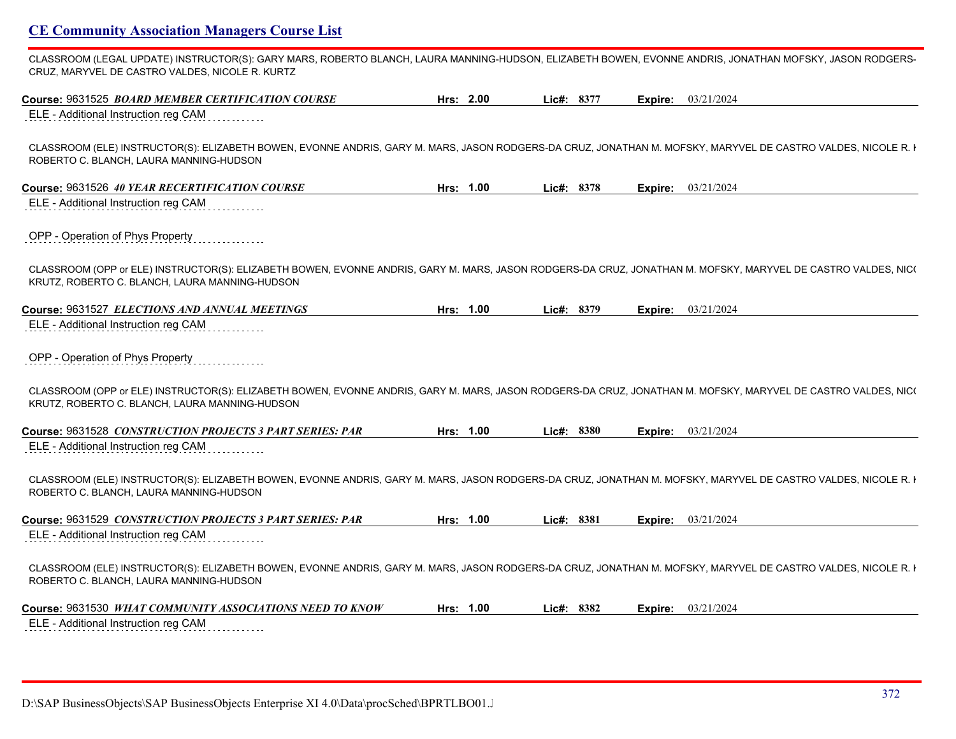CLASSROOM (LEGAL UPDATE) INSTRUCTOR(S): GARY MARS, ROBERTO BLANCH, LAURA MANNING-HUDSON, ELIZABETH BOWEN, EVONNE ANDRIS, JONATHAN MOFSKY, JASON RODGERS-CRUZ, MARYVEL DE CASTRO VALDES, NICOLE R. KURTZ

| Course: 9631525 BOARD MEMBER CERTIFICATION COURSE                                                                                                                                                               | Hrs: 2.00 | Lic#: 8377 | <b>Expire:</b> 03/21/2024 |
|-----------------------------------------------------------------------------------------------------------------------------------------------------------------------------------------------------------------|-----------|------------|---------------------------|
| ELE - Additional Instruction reg CAM                                                                                                                                                                            |           |            |                           |
| CLASSROOM (ELE) INSTRUCTOR(S): ELIZABETH BOWEN, EVONNE ANDRIS, GARY M. MARS, JASON RODGERS-DA CRUZ, JONATHAN M. MOFSKY, MARYVEL DE CASTRO VALDES, NICOLE R. I<br>ROBERTO C. BLANCH, LAURA MANNING-HUDSON        |           |            |                           |
| Course: 9631526 40 YEAR RECERTIFICATION COURSE                                                                                                                                                                  | Hrs: 1.00 | Lic#: 8378 | 03/21/2024<br>Expire:     |
| ELE - Additional Instruction reg CAM                                                                                                                                                                            |           |            |                           |
| OPP - Operation of Phys Property                                                                                                                                                                                |           |            |                           |
| CLASSROOM (OPP or ELE) INSTRUCTOR(S): ELIZABETH BOWEN, EVONNE ANDRIS, GARY M. MARS, JASON RODGERS-DA CRUZ, JONATHAN M. MOFSKY, MARYVEL DE CASTRO VALDES, NIC(<br>KRUTZ, ROBERTO C. BLANCH, LAURA MANNING-HUDSON |           |            |                           |
| Course: 9631527 ELECTIONS AND ANNUAL MEETINGS                                                                                                                                                                   | Hrs: 1.00 | Lic#: 8379 | <b>Expire:</b> 03/21/2024 |
| ELE - Additional Instruction reg CAM                                                                                                                                                                            |           |            |                           |
| OPP - Operation of Phys Property                                                                                                                                                                                |           |            |                           |
| CLASSROOM (OPP or ELE) INSTRUCTOR(S): ELIZABETH BOWEN, EVONNE ANDRIS, GARY M. MARS, JASON RODGERS-DA CRUZ, JONATHAN M. MOFSKY, MARYVEL DE CASTRO VALDES, NIC(<br>KRUTZ, ROBERTO C. BLANCH, LAURA MANNING-HUDSON |           |            |                           |
| Course: 9631528 CONSTRUCTION PROJECTS 3 PART SERIES: PAR                                                                                                                                                        | Hrs: 1.00 | Lic#: 8380 | 03/21/2024<br>Expire:     |
| ELE - Additional Instruction reg CAM                                                                                                                                                                            |           |            |                           |
| CLASSROOM (ELE) INSTRUCTOR(S): ELIZABETH BOWEN, EVONNE ANDRIS, GARY M. MARS, JASON RODGERS-DA CRUZ, JONATHAN M. MOFSKY, MARYVEL DE CASTRO VALDES, NICOLE R. I<br>ROBERTO C. BLANCH, LAURA MANNING-HUDSON        |           |            |                           |
| Course: 9631529 CONSTRUCTION PROJECTS 3 PART SERIES: PAR                                                                                                                                                        | Hrs: 1.00 | Lic#: 8381 | <b>Expire:</b> 03/21/2024 |
| ELE - Additional Instruction reg CAM                                                                                                                                                                            |           |            |                           |
| CLASSROOM (ELE) INSTRUCTOR(S): ELIZABETH BOWEN, EVONNE ANDRIS, GARY M. MARS, JASON RODGERS-DA CRUZ, JONATHAN M. MOFSKY, MARYVEL DE CASTRO VALDES, NICOLE R. I<br>ROBERTO C. BLANCH, LAURA MANNING-HUDSON        |           |            |                           |
| Course: 9631530 WHAT COMMUNITY ASSOCIATIONS NEED TO KNOW                                                                                                                                                        | Hrs: 1.00 | Lic#: 8382 | 03/21/2024<br>Expire:     |
| ELE - Additional Instruction reg CAM                                                                                                                                                                            |           |            |                           |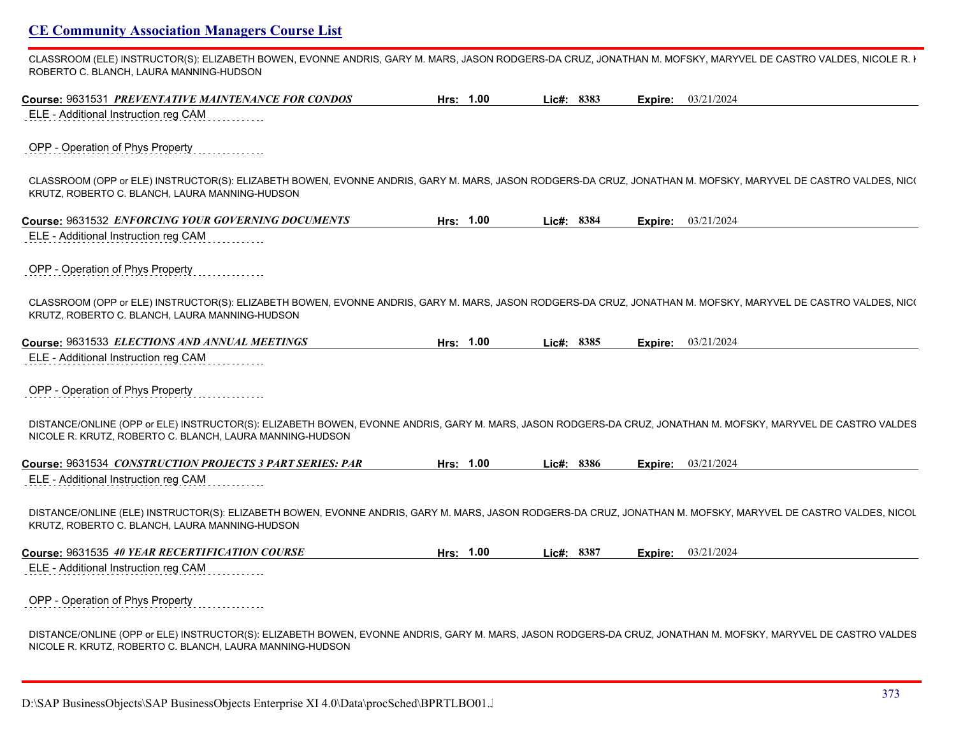CLASSROOM (ELE) INSTRUCTOR(S): ELIZABETH BOWEN, EVONNE ANDRIS, GARY M. MARS, JASON RODGERS-DA CRUZ, JONATHAN M. MOFSKY, MARYVEL DE CASTRO VALDES, NICOLE R. I ROBERTO C. BLANCH, LAURA MANNING-HUDSON

| Course: 9631531 PREVENTATIVE MAINTENANCE FOR CONDOS                                                                                                                                                                       | Hrs: 1.00 | Lic#: 8383 |         | Expire: 03/21/2024        |
|---------------------------------------------------------------------------------------------------------------------------------------------------------------------------------------------------------------------------|-----------|------------|---------|---------------------------|
| ELE - Additional Instruction reg CAM                                                                                                                                                                                      |           |            |         |                           |
| OPP - Operation of Phys Property                                                                                                                                                                                          |           |            |         |                           |
| CLASSROOM (OPP or ELE) INSTRUCTOR(S): ELIZABETH BOWEN, EVONNE ANDRIS, GARY M. MARS, JASON RODGERS-DA CRUZ, JONATHAN M. MOFSKY, MARYVEL DE CASTRO VALDES, NIC(<br>KRUTZ, ROBERTO C. BLANCH, LAURA MANNING-HUDSON           |           |            |         |                           |
| Course: 9631532 ENFORCING YOUR GOVERNING DOCUMENTS                                                                                                                                                                        | Hrs: 1.00 | Lic#: 8384 | Expire: | 03/21/2024                |
| ELE - Additional Instruction reg CAM                                                                                                                                                                                      |           |            |         |                           |
| OPP - Operation of Phys Property                                                                                                                                                                                          |           |            |         |                           |
| CLASSROOM (OPP or ELE) INSTRUCTOR(S): ELIZABETH BOWEN, EVONNE ANDRIS, GARY M. MARS, JASON RODGERS-DA CRUZ, JONATHAN M. MOFSKY, MARYVEL DE CASTRO VALDES, NIC(<br>KRUTZ, ROBERTO C. BLANCH, LAURA MANNING-HUDSON           |           |            |         |                           |
| Course: 9631533 ELECTIONS AND ANNUAL MEETINGS                                                                                                                                                                             | Hrs: 1.00 | Lic#: 8385 | Expire: | 03/21/2024                |
| ELE - Additional Instruction reg CAM                                                                                                                                                                                      |           |            |         |                           |
| OPP - Operation of Phys Property                                                                                                                                                                                          |           |            |         |                           |
| DISTANCE/ONLINE (OPP or ELE) INSTRUCTOR(S): ELIZABETH BOWEN, EVONNE ANDRIS, GARY M. MARS, JASON RODGERS-DA CRUZ, JONATHAN M. MOFSKY, MARYVEL DE CASTRO VALDES<br>NICOLE R. KRUTZ, ROBERTO C. BLANCH, LAURA MANNING-HUDSON |           |            |         |                           |
| Course: 9631534 CONSTRUCTION PROJECTS 3 PART SERIES: PAR                                                                                                                                                                  | Hrs: 1.00 | Lic#: 8386 |         | <b>Expire:</b> 03/21/2024 |
| ELE - Additional Instruction reg CAM                                                                                                                                                                                      |           |            |         |                           |
| DISTANCE/ONLINE (ELE) INSTRUCTOR(S): ELIZABETH BOWEN, EVONNE ANDRIS, GARY M. MARS, JASON RODGERS-DA CRUZ, JONATHAN M. MOFSKY, MARYVEL DE CASTRO VALDES, NICOL<br>KRUTZ, ROBERTO C. BLANCH, LAURA MANNING-HUDSON           |           |            |         |                           |
| Course: 9631535 40 YEAR RECERTIFICATION COURSE                                                                                                                                                                            | Hrs: 1.00 | Lic#: 8387 |         | <b>Expire:</b> 03/21/2024 |
| ELE - Additional Instruction reg CAM                                                                                                                                                                                      |           |            |         |                           |
| OPP - Operation of Phys Property                                                                                                                                                                                          |           |            |         |                           |
| DICTANCE CAN BIE (ODD - - ELE) INCTOUCTODIO), ELIZABETH DOMENLEVONNE ANDRIC OADVAN MARC, IACON DODOEDO DA ODUZ JONATHANI M MOECIOJ MADVAJEL DE OACTRO VALDEC                                                              |           |            |         |                           |

DISTANCE/ONLINE (OPP or ELE) INSTRUCTOR(S): ELIZABETH BOWEN, EVONNE ANDRIS, GARY M. MARS, JASON RODGERS-DA CRUZ, JONATHAN M. MOFSKY, MARYVEL DE CASTRO VALDES, NICOLE R. KRUTZ, ROBERTO C. BLANCH, LAURA MANNING-HUDSON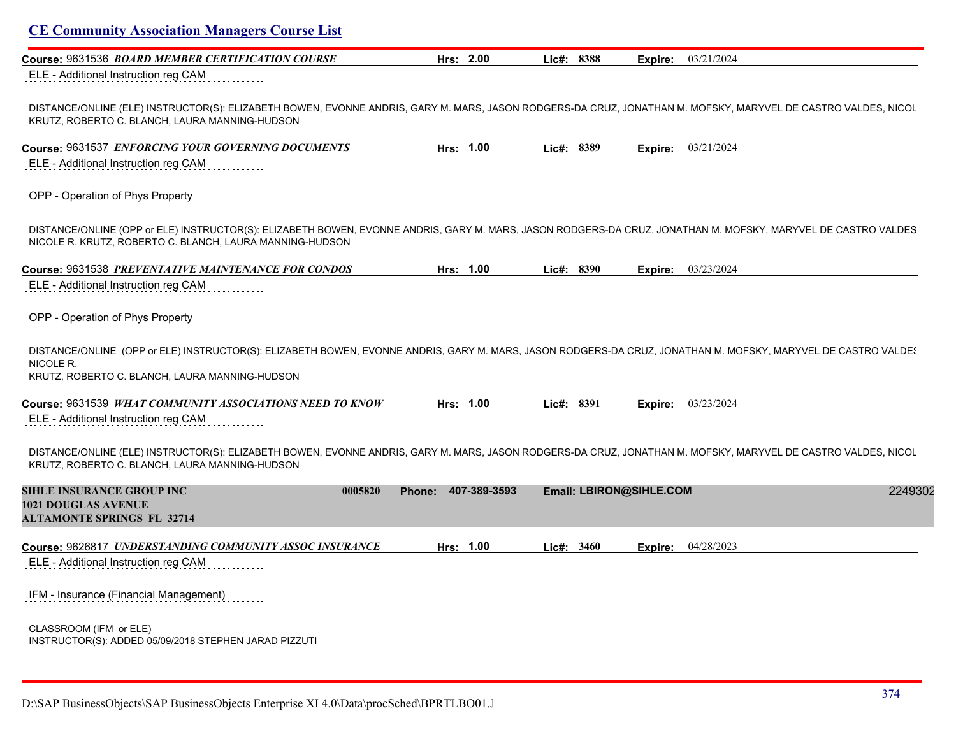| <b>CE Community Association Managers Course List</b>                                                                                                                                                                      |                     |              |                         |                           |
|---------------------------------------------------------------------------------------------------------------------------------------------------------------------------------------------------------------------------|---------------------|--------------|-------------------------|---------------------------|
| Course: 9631536 BOARD MEMBER CERTIFICATION COURSE<br>ELE - Additional Instruction reg CAM                                                                                                                                 | Hrs: 2.00           | Lic#: 8388   | Expire:                 | 03/21/2024                |
| DISTANCE/ONLINE (ELE) INSTRUCTOR(S): ELIZABETH BOWEN, EVONNE ANDRIS, GARY M. MARS, JASON RODGERS-DA CRUZ, JONATHAN M. MOFSKY, MARYVEL DE CASTRO VALDES, NICOL<br>KRUTZ, ROBERTO C. BLANCH, LAURA MANNING-HUDSON           |                     |              |                         |                           |
| Course: 9631537 ENFORCING YOUR GOVERNING DOCUMENTS                                                                                                                                                                        | Hrs: 1.00           | Lic#: 8389   |                         | <b>Expire:</b> 03/21/2024 |
| ELE - Additional Instruction reg CAM                                                                                                                                                                                      |                     |              |                         |                           |
| OPP - Operation of Phys Property                                                                                                                                                                                          |                     |              |                         |                           |
| DISTANCE/ONLINE (OPP or ELE) INSTRUCTOR(S): ELIZABETH BOWEN, EVONNE ANDRIS, GARY M. MARS, JASON RODGERS-DA CRUZ, JONATHAN M. MOFSKY, MARYVEL DE CASTRO VALDES<br>NICOLE R. KRUTZ, ROBERTO C. BLANCH, LAURA MANNING-HUDSON |                     |              |                         |                           |
| Course: 9631538 PREVENTATIVE MAINTENANCE FOR CONDOS                                                                                                                                                                       | Hrs: 1.00           | Lic#: 8390   | Expire:                 | 03/23/2024                |
|                                                                                                                                                                                                                           |                     |              |                         |                           |
| ELE - Additional Instruction reg CAM                                                                                                                                                                                      |                     |              |                         |                           |
| OPP - Operation of Phys Property                                                                                                                                                                                          |                     |              |                         |                           |
| DISTANCE/ONLINE (OPP or ELE) INSTRUCTOR(S): ELIZABETH BOWEN, EVONNE ANDRIS, GARY M. MARS, JASON RODGERS-DA CRUZ, JONATHAN M. MOFSKY, MARYVEL DE CASTRO VALDE!<br>NICOLE R.                                                |                     |              |                         |                           |
| KRUTZ, ROBERTO C. BLANCH, LAURA MANNING-HUDSON                                                                                                                                                                            |                     |              |                         |                           |
| Course: 9631539 WHAT COMMUNITY ASSOCIATIONS NEED TO KNOW                                                                                                                                                                  | Hrs: 1.00           | Lic#: $8391$ |                         | Expire: 03/23/2024        |
| ELE - Additional Instruction reg CAM                                                                                                                                                                                      |                     |              |                         |                           |
| DISTANCE/ONLINE (ELE) INSTRUCTOR(S): ELIZABETH BOWEN, EVONNE ANDRIS, GARY M. MARS, JASON RODGERS-DA CRUZ, JONATHAN M. MOFSKY, MARYVEL DE CASTRO VALDES, NICOL<br>KRUTZ, ROBERTO C. BLANCH, LAURA MANNING-HUDSON           |                     |              |                         |                           |
| <b>SIHLE INSURANCE GROUP INC</b><br>0005820                                                                                                                                                                               | Phone: 407-389-3593 |              |                         |                           |
| <b>1021 DOUGLAS AVENUE</b><br><b>ALTAMONTE SPRINGS FL 32714</b>                                                                                                                                                           |                     |              | Email: LBIRON@SIHLE.COM | 2249302                   |
| Course: 9626817 UNDERSTANDING COMMUNITY ASSOC INSURANCE                                                                                                                                                                   | Hrs: 1.00           | Lic#: $3460$ | Expire:                 | 04/28/2023                |
| ELE - Additional Instruction reg CAM                                                                                                                                                                                      |                     |              |                         |                           |
| IFM - Insurance (Financial Management)                                                                                                                                                                                    |                     |              |                         |                           |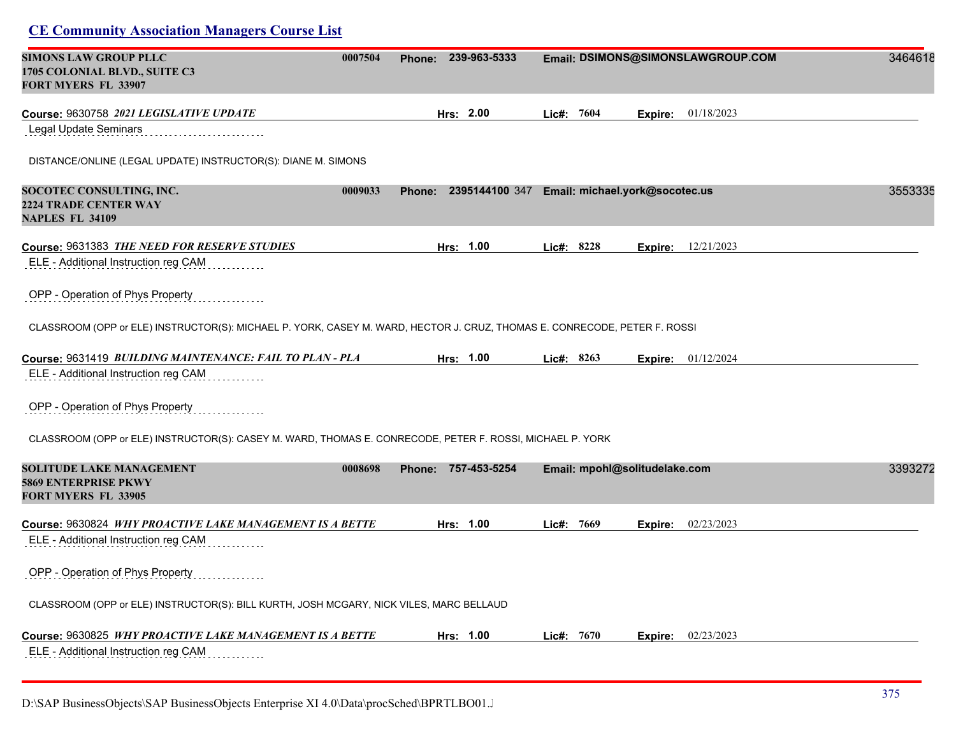| <b>SIMONS LAW GROUP PLLC</b>                                                                                              | 0007504 | 239-963-5333<br>Phone: |            |              | Email: DSIMONS@SIMONSLAWGROUP.COM             | 3464618 |
|---------------------------------------------------------------------------------------------------------------------------|---------|------------------------|------------|--------------|-----------------------------------------------|---------|
| 1705 COLONIAL BLVD., SUITE C3<br><b>FORT MYERS FL 33907</b>                                                               |         |                        |            |              |                                               |         |
| Course: 9630758 2021 LEGISLATIVE UPDATE                                                                                   |         | Hrs: 2.00              | Lic#: 7604 |              | 01/18/2023<br>Expire:                         |         |
| <b>Legal Update Seminars</b>                                                                                              |         |                        |            |              |                                               |         |
| DISTANCE/ONLINE (LEGAL UPDATE) INSTRUCTOR(S): DIANE M. SIMONS                                                             |         |                        |            |              |                                               |         |
| SOCOTEC CONSULTING, INC.<br><b>2224 TRADE CENTER WAY</b><br><b>NAPLES FL 34109</b>                                        | 0009033 | <b>Phone:</b>          |            |              | 2395144100 347 Email: michael.york@socotec.us | 3553335 |
| Course: 9631383 THE NEED FOR RESERVE STUDIES                                                                              |         | Hrs: 1.00              | Lic#: 8228 |              | 12/21/2023<br>Expire:                         |         |
| ELE - Additional Instruction reg CAM                                                                                      |         |                        |            |              |                                               |         |
| OPP - Operation of Phys Property                                                                                          |         |                        |            |              |                                               |         |
| CLASSROOM (OPP or ELE) INSTRUCTOR(S): MICHAEL P. YORK, CASEY M. WARD, HECTOR J. CRUZ, THOMAS E. CONRECODE, PETER F. ROSSI |         |                        |            |              |                                               |         |
| Course: 9631419 BUILDING MAINTENANCE: FAIL TO PLAN - PLA                                                                  |         | Hrs: 1.00              |            | Lic#: 8263   | <b>Expire:</b> $01/12/2024$                   |         |
| ELE - Additional Instruction reg CAM                                                                                      |         |                        |            |              |                                               |         |
| OPP - Operation of Phys Property                                                                                          |         |                        |            |              |                                               |         |
| CLASSROOM (OPP or ELE) INSTRUCTOR(S): CASEY M. WARD, THOMAS E. CONRECODE, PETER F. ROSSI, MICHAEL P. YORK                 |         |                        |            |              |                                               |         |
| SOLITUDE LAKE MANAGEMENT<br>5869 ENTERPRISE PKWY<br><b>FORT MYERS FL 33905</b>                                            | 0008698 | Phone: 757-453-5254    |            |              | Email: mpohl@solitudelake.com                 | 3393272 |
| Course: 9630824 <i>WHY PROACTIVE LAKE MANAGEMENT IS A BETTE</i>                                                           |         | Hrs: 1.00              | Lie#: 7669 |              | Expire: 02/23/2023                            |         |
| ELE - Additional Instruction reg CAM                                                                                      |         |                        |            |              |                                               |         |
| OPP - Operation of Phys Property                                                                                          |         |                        |            |              |                                               |         |
| CLASSROOM (OPP or ELE) INSTRUCTOR(S): BILL KURTH, JOSH MCGARY, NICK VILES, MARC BELLAUD                                   |         |                        |            |              |                                               |         |
| Course: 9630825 WHY PROACTIVE LAKE MANAGEMENT IS A BETTE                                                                  |         | Hrs: 1.00              |            | Lic#: $7670$ | Expire: 02/23/2023                            |         |
| ELE - Additional Instruction reg CAM                                                                                      |         |                        |            |              |                                               |         |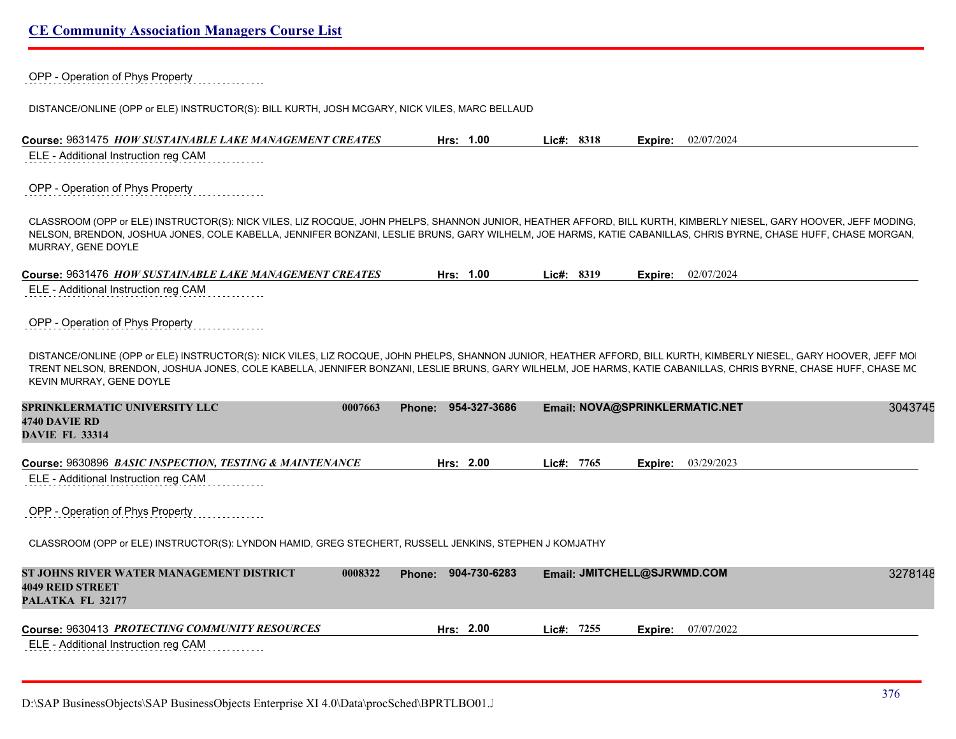|  | <b>CE Community Association Managers Course List</b> |  |  |
|--|------------------------------------------------------|--|--|
|  |                                                      |  |  |

|  | OPP - Operation of Phys Property |  |
|--|----------------------------------|--|
|  |                                  |  |

DISTANCE/ONLINE (OPP or ELE) INSTRUCTOR(S): BILL KURTH, JOSH MCGARY, NICK VILES, MARC BELLAUD

 $\sim$   $\sim$   $\sim$ 

| Course: 9631475 <i>HOW SUSTAINABLE LAKE MANAGEMENT CREATES</i> | 1.00<br>Hrs: | ∟ic#: 8318 | 02/07/2024<br>Expire: |
|----------------------------------------------------------------|--------------|------------|-----------------------|
| ELE - Additional Instruction reg CAM                           |              |            |                       |

#### OPP - Operation of Phys Property

CLASSROOM (OPP or ELE) INSTRUCTOR(S): NICK VILES, LIZ ROCQUE, JOHN PHELPS, SHANNON JUNIOR, HEATHER AFFORD, BILL KURTH, KIMBERLY NIESEL, GARY HOOVER, JEFF MODING, TRENT NELSON, BRENDON, JOSHUA JONES, COLE KABELLA, JENNIFER BONZANI, LESLIE BRUNS, GARY WILHELM, JOE HARMS, KATIE CABANILLAS, CHRIS BYRNE, CHASE HUFF, CHASE MORGAN, MURRAY, GENE DOYLE

| Course: 9631476 HOW SUSTAINABLE LAKE MANAGEMENT CREATES | Hrs: | 1.00 | Lic#: 8319 | Expire: | 02/07/2024 |
|---------------------------------------------------------|------|------|------------|---------|------------|
| ELE - Additional Instruction reg CAM                    |      |      |            |         |            |

OPP - Operation of Phys Property

DISTANCE/ONLINE (OPP or ELE) INSTRUCTOR(S): NICK VILES, LIZ ROCQUE, JOHN PHELPS, SHANNON JUNIOR, HEATHER AFFORD, BILL KURTH, KIMBERLY NIESEL, GARY HOOVER, JEFF MO TRENT NELSON, BRENDON, JOSHUA JONES, COLE KABELLA, JENNIFER BONZANI, LESLIE BRUNS, GARY WILHELM, JOE HARMS, KATIE CABANILLAS, CHRIS BYRNE, CHASE HUFF, CHASE MC KEVIN MURRAY, GENE DOYLE

| SPRINKLERMATIC UNIVERSITY LLC | 0007663 | Phone: 954-327-3686 | Email: NOVA@SPRINKLERMATIC.NET | 3043745 |
|-------------------------------|---------|---------------------|--------------------------------|---------|
| 4740 DAVIE RD                 |         |                     |                                |         |
| <b>DAVIE FL 33314</b>         |         |                     |                                |         |

|  | Course: 9630896 BASIC INSPECTION, TESTING & MAINTENANCE | 2.00<br>Hrs: | 7765<br>_ic#: | 03/29/2023<br>Expire: |
|--|---------------------------------------------------------|--------------|---------------|-----------------------|
|--|---------------------------------------------------------|--------------|---------------|-----------------------|

ELE - Additional Instruction reg CAM

OPP - Operation of Phys Property

CLASSROOM (OPP or ELE) INSTRUCTOR(S): LYNDON HAMID, GREG STECHERT, RUSSELL JENKINS, STEPHEN J KOMJATHY

| ST JOHNS RIVER WATER MANAGEMENT DISTRICT<br><b>4049 REID STREET</b><br>PALATKA FL 32177 | 0008322 | 904-730-6283<br>Phone: |            | <b>Email: JMITCHELL@SJRWMD.COM</b> | 3278148 |
|-----------------------------------------------------------------------------------------|---------|------------------------|------------|------------------------------------|---------|
| Course: 9630413 PROTECTING COMMUNITY RESOURCES<br>ELE - Additional Instruction reg CAM  |         | Hrs: $2.00$            | Lic#: 7255 | <b>Expire:</b> $07/07/2022$        |         |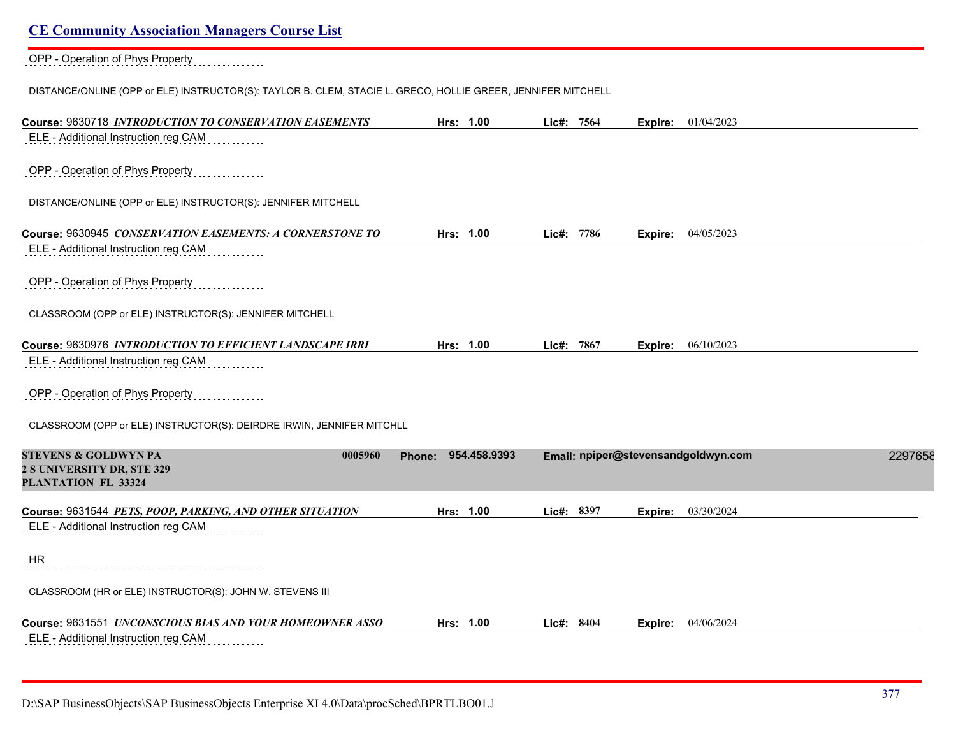OPP - Operation of Phys Property

DISTANCE/ONLINE (OPP or ELE) INSTRUCTOR(S): TAYLOR B. CLEM, STACIE L. GRECO, HOLLIE GREER, JENNIFER MITCHELL

| Course: 9630718 INTRODUCTION TO CONSERVATION EASEMENTS                                          | Hrs: 1.00           | Lic#: 7564    | Expire: 01/04/2023                  |         |
|-------------------------------------------------------------------------------------------------|---------------------|---------------|-------------------------------------|---------|
| ELE - Additional Instruction reg CAM                                                            |                     |               |                                     |         |
| OPP - Operation of Phys Property                                                                |                     |               |                                     |         |
| DISTANCE/ONLINE (OPP or ELE) INSTRUCTOR(S): JENNIFER MITCHELL                                   |                     |               |                                     |         |
| Course: 9630945 CONSERVATION EASEMENTS: A CORNERSTONE TO                                        | Hrs: 1.00           | Lic#: 7786    | 04/05/2023<br>Expire:               |         |
| ELE - Additional Instruction reg CAM                                                            |                     |               |                                     |         |
| OPP - Operation of Phys Property                                                                |                     |               |                                     |         |
| CLASSROOM (OPP or ELE) INSTRUCTOR(S): JENNIFER MITCHELL                                         |                     |               |                                     |         |
| Course: 9630976 INTRODUCTION TO EFFICIENT LANDSCAPE IRRI                                        | Hrs: 1.00           | 7867<br>Lic#: | 06/10/2023<br>Expire:               |         |
| ELE - Additional Instruction reg CAM                                                            |                     |               |                                     |         |
| OPP - Operation of Phys Property                                                                |                     |               |                                     |         |
| CLASSROOM (OPP or ELE) INSTRUCTOR(S): DEIRDRE IRWIN, JENNIFER MITCHLL                           |                     |               |                                     |         |
| <b>STEVENS &amp; GOLDWYN PA</b><br>0005960<br>2 S UNIVERSITY DR, STE 329<br>PLANTATION FL 33324 | Phone: 954.458.9393 |               | Email: npiper@stevensandgoldwyn.com | 2297658 |
| Course: 9631544 PETS, POOP, PARKING, AND OTHER SITUATION                                        | Hrs: 1.00           | Lic#: 8397    | 03/30/2024<br>Expire:               |         |
| ELE - Additional Instruction reg CAM                                                            |                     |               |                                     |         |
| <b>HR</b>                                                                                       |                     |               |                                     |         |
| CLASSROOM (HR or ELE) INSTRUCTOR(S): JOHN W. STEVENS III                                        |                     |               |                                     |         |
| Course: 9631551 UNCONSCIOUS BIAS AND YOUR HOMEOWNER ASSO                                        | Hrs: 1.00           | Lic#: 8404    | 04/06/2024<br>Expire:               |         |
| ELE - Additional Instruction reg CAM                                                            |                     |               |                                     |         |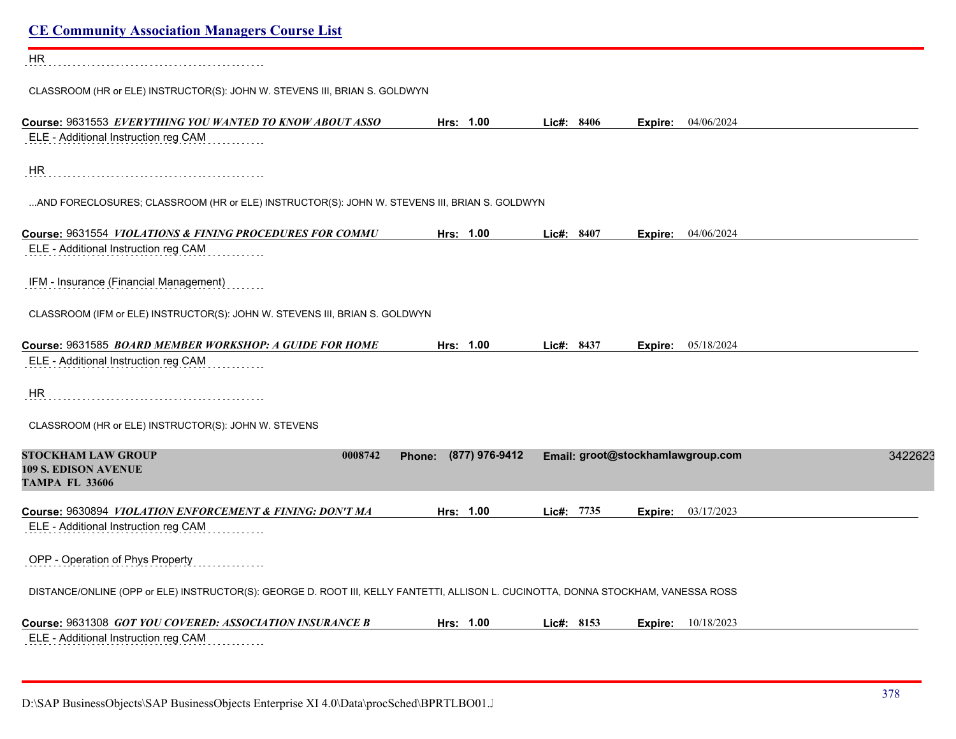| <b>CE Community Association Managers Course List</b>                                                                               |                          |              |                                   |         |
|------------------------------------------------------------------------------------------------------------------------------------|--------------------------|--------------|-----------------------------------|---------|
| HR                                                                                                                                 |                          |              |                                   |         |
| CLASSROOM (HR or ELE) INSTRUCTOR(S): JOHN W. STEVENS III, BRIAN S. GOLDWYN                                                         |                          |              |                                   |         |
| Course: 9631553 EVERYTHING YOU WANTED TO KNOW ABOUT ASSO<br>ELE - Additional Instruction reg CAM                                   | Hrs: 1.00                | Lic#: 8406   | <b>Expire:</b> $04/06/2024$       |         |
| HR                                                                                                                                 |                          |              |                                   |         |
| AND FORECLOSURES; CLASSROOM (HR or ELE) INSTRUCTOR(S): JOHN W. STEVENS III, BRIAN S. GOLDWYN                                       |                          |              |                                   |         |
| Course: 9631554 VIOLATIONS & FINING PROCEDURES FOR COMMU                                                                           | Hrs: 1.00                | Lic#: 8407   | <b>Expire:</b> 04/06/2024         |         |
| ELE - Additional Instruction reg CAM                                                                                               |                          |              |                                   |         |
| IFM - Insurance (Financial Management)                                                                                             |                          |              |                                   |         |
| CLASSROOM (IFM or ELE) INSTRUCTOR(S): JOHN W. STEVENS III, BRIAN S. GOLDWYN                                                        |                          |              |                                   |         |
| Course: 9631585 BOARD MEMBER WORKSHOP: A GUIDE FOR HOME<br>ELE - Additional Instruction reg CAM                                    | Hrs: 1.00                | Lic#: 8437   | <b>Expire:</b> 05/18/2024         |         |
| HR                                                                                                                                 |                          |              |                                   |         |
| CLASSROOM (HR or ELE) INSTRUCTOR(S): JOHN W. STEVENS                                                                               |                          |              |                                   |         |
| <b>STOCKHAM LAW GROUP</b><br>0008742<br><b>109 S. EDISON AVENUE</b><br><b>TAMPA FL 33606</b>                                       | (877) 976-9412<br>Phone: |              | Email: groot@stockhamlawgroup.com | 3422623 |
| Course: 9630894 VIOLATION ENFORCEMENT & FINING: DON'T MA                                                                           | Hrs: 1.00                | Lic#: 7735   | <b>Expire:</b> 03/17/2023         |         |
| ELE - Additional Instruction reg CAM                                                                                               |                          |              |                                   |         |
| OPP - Operation of Phys Property                                                                                                   |                          |              |                                   |         |
| DISTANCE/ONLINE (OPP or ELE) INSTRUCTOR(S): GEORGE D. ROOT III, KELLY FANTETTI, ALLISON L. CUCINOTTA, DONNA STOCKHAM, VANESSA ROSS |                          |              |                                   |         |
| Course: 9631308 GOT YOU COVERED: ASSOCIATION INSURANCE B                                                                           | Hrs: 1.00                | Lic#: $8153$ | <b>Expire:</b> 10/18/2023         |         |
| ELE - Additional Instruction reg CAM                                                                                               |                          |              |                                   |         |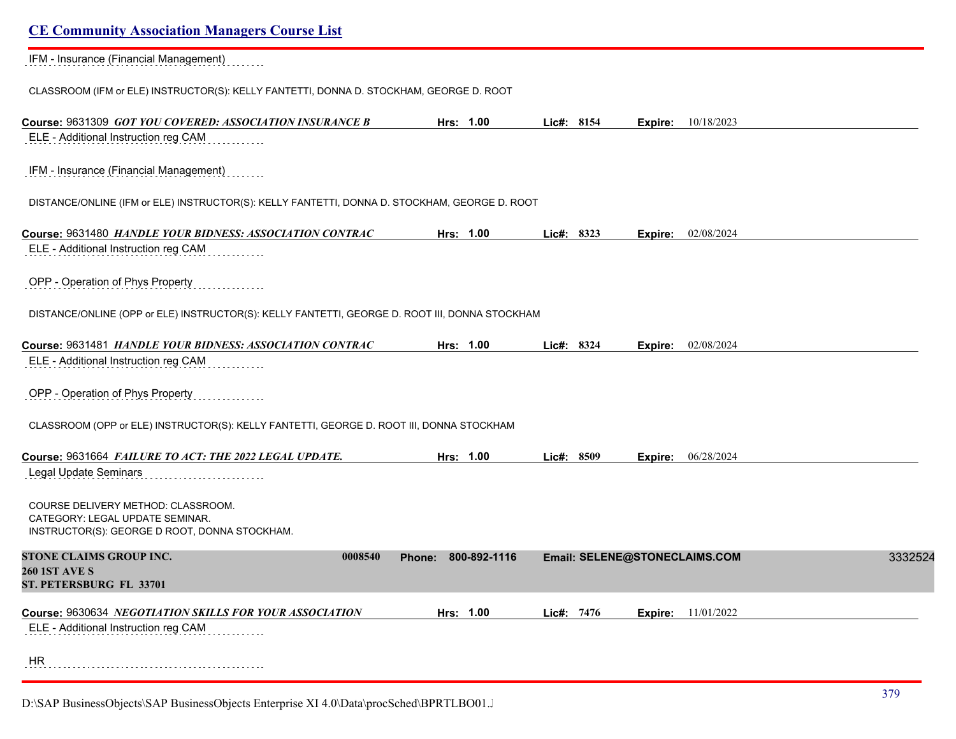IFM - Insurance (Financial Management)

CLASSROOM (IFM or ELE) INSTRUCTOR(S): KELLY FANTETTI, DONNA D. STOCKHAM, GEORGE D. ROOT

| Course: 9631309 GOT YOU COVERED: ASSOCIATION INSURANCE B                                                               | Hrs: 1.00              | Lic#: 8154   | Expire: | 10/18/2023                    |         |
|------------------------------------------------------------------------------------------------------------------------|------------------------|--------------|---------|-------------------------------|---------|
| ELE - Additional Instruction reg CAM                                                                                   |                        |              |         |                               |         |
| IFM - Insurance (Financial Management)                                                                                 |                        |              |         |                               |         |
| DISTANCE/ONLINE (IFM or ELE) INSTRUCTOR(S): KELLY FANTETTI, DONNA D. STOCKHAM, GEORGE D. ROOT                          |                        |              |         |                               |         |
| Course: 9631480 HANDLE YOUR BIDNESS: ASSOCIATION CONTRAC                                                               | Hrs: 1.00              | Lic#: 8323   |         | Expire: 02/08/2024            |         |
| ELE - Additional Instruction reg CAM                                                                                   |                        |              |         |                               |         |
| OPP - Operation of Phys Property                                                                                       |                        |              |         |                               |         |
| DISTANCE/ONLINE (OPP or ELE) INSTRUCTOR(S): KELLY FANTETTI, GEORGE D. ROOT III, DONNA STOCKHAM                         |                        |              |         |                               |         |
| Course: 9631481 HANDLE YOUR BIDNESS: ASSOCIATION CONTRAC                                                               | Hrs: 1.00              | Lic#: 8324   | Expire: | 02/08/2024                    |         |
| ELE - Additional Instruction reg CAM                                                                                   |                        |              |         |                               |         |
| OPP - Operation of Phys Property                                                                                       |                        |              |         |                               |         |
| CLASSROOM (OPP or ELE) INSTRUCTOR(S): KELLY FANTETTI, GEORGE D. ROOT III, DONNA STOCKHAM                               |                        |              |         |                               |         |
| Course: 9631664 FAILURE TO ACT: THE 2022 LEGAL UPDATE.                                                                 | Hrs: 1.00              | Lic#: $8509$ |         | Expire: 06/28/2024            |         |
| <b>Legal Update Seminars</b>                                                                                           |                        |              |         |                               |         |
| COURSE DELIVERY METHOD: CLASSROOM.<br>CATEGORY: LEGAL UPDATE SEMINAR.<br>INSTRUCTOR(S): GEORGE D ROOT, DONNA STOCKHAM. |                        |              |         |                               |         |
| STONE CLAIMS GROUP INC.<br>0008540                                                                                     | 800-892-1116<br>Phone: |              |         | Email: SELENE@STONECLAIMS.COM | 3332524 |
| <b>260 1ST AVE S</b><br>ST. PETERSBURG FL 33701                                                                        |                        |              |         |                               |         |
| Course: 9630634 NEGOTIATION SKILLS FOR YOUR ASSOCIATION                                                                | Hrs: 1.00              | Lic#: 7476   | Expire: | 11/01/2022                    |         |
| ELE - Additional Instruction reg CAM                                                                                   |                        |              |         |                               |         |
| <b>HR</b>                                                                                                              |                        |              |         |                               |         |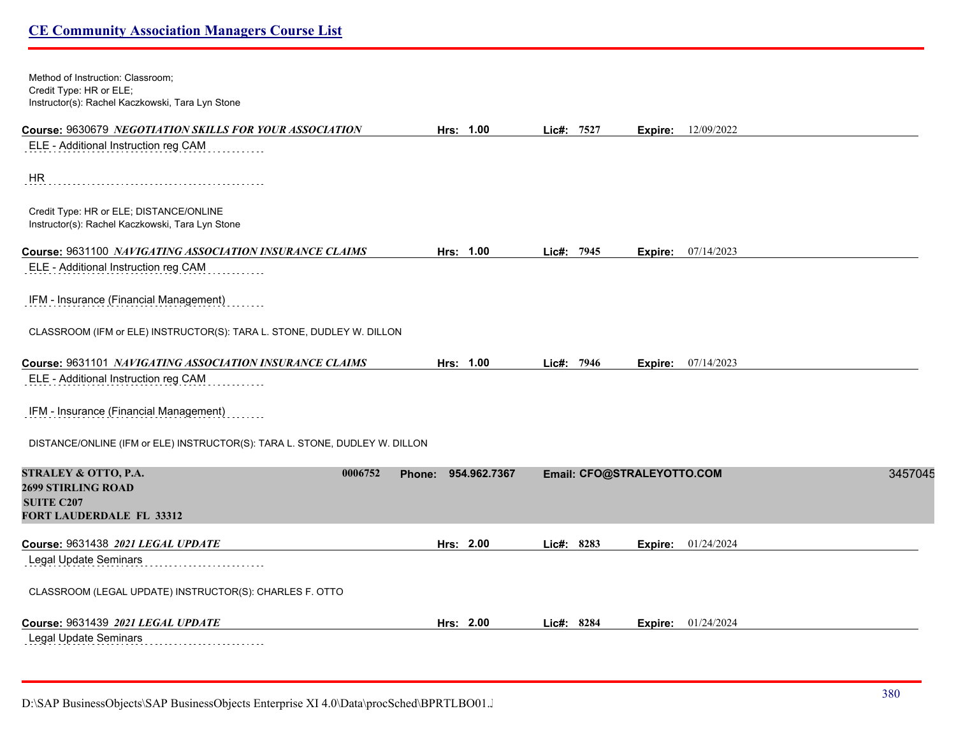| Method of Instruction: Classroom;<br>Credit Type: HR or ELE;<br>Instructor(s): Rachel Kaczkowski, Tara Lyn Stone                |                     |               |                             |         |
|---------------------------------------------------------------------------------------------------------------------------------|---------------------|---------------|-----------------------------|---------|
| Course: 9630679 NEGOTIATION SKILLS FOR YOUR ASSOCIATION                                                                         | Hrs: 1.00           | Lic#: 7527    | 12/09/2022<br>Expire:       |         |
| ELE - Additional Instruction reg CAM                                                                                            |                     |               |                             |         |
| HR                                                                                                                              |                     |               |                             |         |
| Credit Type: HR or ELE; DISTANCE/ONLINE<br>Instructor(s): Rachel Kaczkowski, Tara Lyn Stone                                     |                     |               |                             |         |
| Course: 9631100 NAVIGATING ASSOCIATION INSURANCE CLAIMS                                                                         | Hrs: 1.00           | Lic#: 7945    | <b>Expire:</b> $07/14/2023$ |         |
| ELE - Additional Instruction reg CAM                                                                                            |                     |               |                             |         |
| IFM - Insurance (Financial Management)                                                                                          |                     |               |                             |         |
| CLASSROOM (IFM or ELE) INSTRUCTOR(S): TARA L. STONE, DUDLEY W. DILLON                                                           |                     |               |                             |         |
|                                                                                                                                 |                     |               |                             |         |
| Course: 9631101 NAVIGATING ASSOCIATION INSURANCE CLAIMS                                                                         | Hrs: 1.00           | Lic#: 7946    | 07/14/2023<br>Expire:       |         |
| ELE - Additional Instruction reg CAM                                                                                            |                     |               |                             |         |
| IFM - Insurance (Financial Management)                                                                                          |                     |               |                             |         |
| DISTANCE/ONLINE (IFM or ELE) INSTRUCTOR(S): TARA L. STONE, DUDLEY W. DILLON                                                     |                     |               |                             |         |
| <b>STRALEY &amp; OTTO, P.A.</b><br>0006752<br><b>2699 STIRLING ROAD</b><br><b>SUITE C207</b><br><b>FORT LAUDERDALE FL 33312</b> | Phone: 954.962.7367 |               | Email: CFO@STRALEYOTTO.COM  | 3457045 |
| Course: 9631438 2021 LEGAL UPDATE                                                                                               | Hrs: 2.00           | Lic#: 8283    | 01/24/2024<br>Expire:       |         |
| Legal Update Seminars                                                                                                           |                     |               |                             |         |
| CLASSROOM (LEGAL UPDATE) INSTRUCTOR(S): CHARLES F. OTTO                                                                         |                     |               |                             |         |
| Course: 9631439 2021 LEGAL UPDATE                                                                                               | Hrs: 2.00           | $Lic\#: 8284$ | 01/24/2024<br>Expire:       |         |
| Legal Update Seminars                                                                                                           |                     |               |                             |         |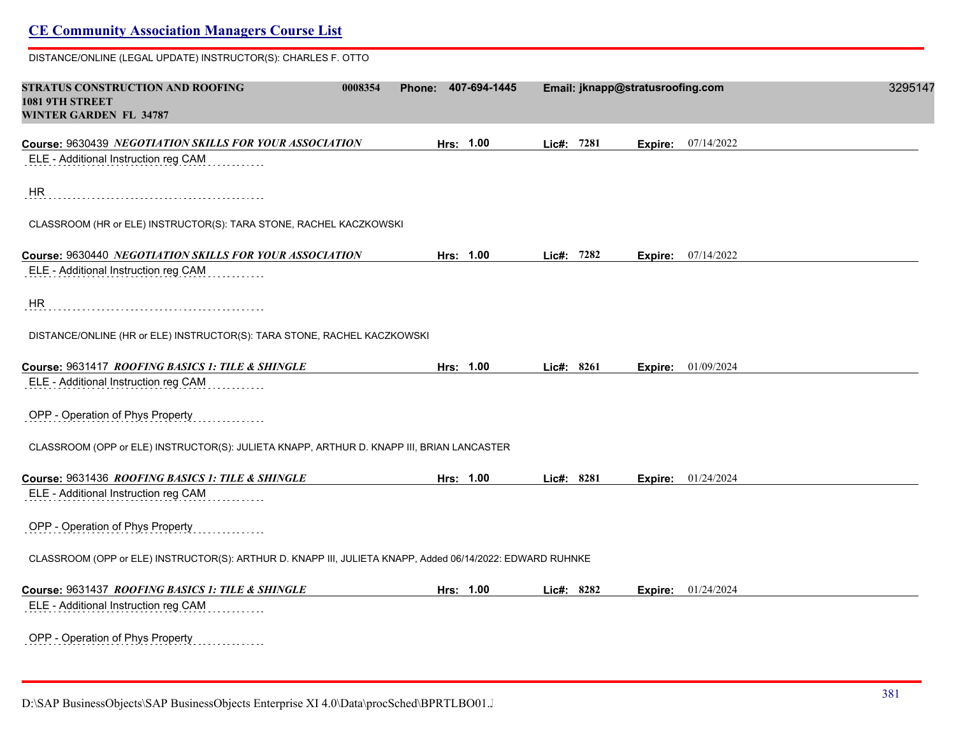| DISTANCE/ONLINE (LEGAL UPDATE) INSTRUCTOR(S): CHARLES F. OTTO                                             |                        |            |                                  |         |
|-----------------------------------------------------------------------------------------------------------|------------------------|------------|----------------------------------|---------|
| STRATUS CONSTRUCTION AND ROOFING<br>0008354<br><b>1081 9TH STREET</b><br><b>WINTER GARDEN FL 34787</b>    | 407-694-1445<br>Phone: |            | Email: jknapp@stratusroofing.com | 3295147 |
| Course: 9630439 NEGOTIATION SKILLS FOR YOUR ASSOCIATION                                                   | Hrs: 1.00              | Lie#: 7281 | <b>Expire:</b> 07/14/2022        |         |
| ELE - Additional Instruction reg CAM                                                                      |                        |            |                                  |         |
| HR                                                                                                        |                        |            |                                  |         |
| CLASSROOM (HR or ELE) INSTRUCTOR(S): TARA STONE, RACHEL KACZKOWSKI                                        |                        |            |                                  |         |
| Course: 9630440 NEGOTIATION SKILLS FOR YOUR ASSOCIATION                                                   | Hrs: 1.00              | Lic#: 7282 | <b>Expire:</b> $07/14/2022$      |         |
| ELE - Additional Instruction reg CAM                                                                      |                        |            |                                  |         |
| HR                                                                                                        |                        |            |                                  |         |
| DISTANCE/ONLINE (HR or ELE) INSTRUCTOR(S): TARA STONE, RACHEL KACZKOWSKI                                  |                        |            |                                  |         |
| Course: 9631417 ROOFING BASICS 1: TILE & SHINGLE                                                          | Hrs: 1.00              | Lic#: 8261 | <b>Expire:</b> $01/09/2024$      |         |
| ELE - Additional Instruction reg CAM                                                                      |                        |            |                                  |         |
| OPP - Operation of Phys Property                                                                          |                        |            |                                  |         |
| CLASSROOM (OPP or ELE) INSTRUCTOR(S): JULIETA KNAPP, ARTHUR D. KNAPP III, BRIAN LANCASTER                 |                        |            |                                  |         |
| Course: 9631436 ROOFING BASICS 1: TILE & SHINGLE                                                          | Hrs: 1.00              | Lic#: 8281 | Expire: 01/24/2024               |         |
| ELE - Additional Instruction reg CAM                                                                      |                        |            |                                  |         |
| OPP - Operation of Phys Property                                                                          |                        |            |                                  |         |
| CLASSROOM (OPP or ELE) INSTRUCTOR(S): ARTHUR D. KNAPP III, JULIETA KNAPP, Added 06/14/2022: EDWARD RUHNKE |                        |            |                                  |         |
| Course: 9631437 ROOFING BASICS 1: TILE & SHINGLE                                                          | Hrs: 1.00              | Lic#: 8282 | <b>Expire:</b> $01/24/2024$      |         |
|                                                                                                           |                        |            |                                  |         |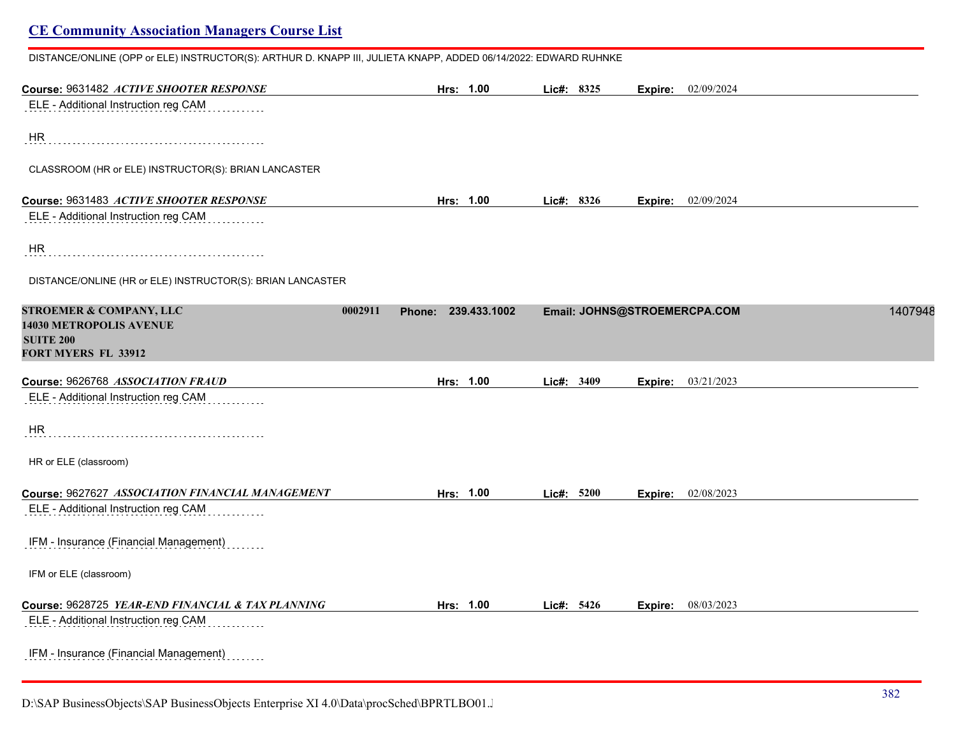| Course: 9631482 ACTIVE SHOOTER RESPONSE                                                                             | Hrs: 1.00           | Lic#: 8325 |                              | <b>Expire:</b> 02/09/2024 |         |
|---------------------------------------------------------------------------------------------------------------------|---------------------|------------|------------------------------|---------------------------|---------|
| ELE - Additional Instruction reg CAM                                                                                |                     |            |                              |                           |         |
| HR                                                                                                                  |                     |            |                              |                           |         |
| CLASSROOM (HR or ELE) INSTRUCTOR(S): BRIAN LANCASTER                                                                |                     |            |                              |                           |         |
| Course: 9631483 ACTIVE SHOOTER RESPONSE                                                                             | Hrs: 1.00           | Lic#: 8326 |                              | Expire: 02/09/2024        |         |
| ELE - Additional Instruction reg CAM                                                                                |                     |            |                              |                           |         |
| HR                                                                                                                  |                     |            |                              |                           |         |
| DISTANCE/ONLINE (HR or ELE) INSTRUCTOR(S): BRIAN LANCASTER                                                          |                     |            |                              |                           |         |
| <b>STROEMER &amp; COMPANY, LLC</b><br>0002911<br>14030 METROPOLIS AVENUE<br><b>SUITE 200</b><br>FORT MYERS FL 33912 | Phone: 239.433.1002 |            | Email: JOHNS@STROEMERCPA.COM |                           | 1407948 |
| Course: 9626768 ASSOCIATION FRAUD                                                                                   | Hrs: 1.00           | Lic#: 3409 |                              | <b>Expire:</b> 03/21/2023 |         |
| ELE - Additional Instruction reg CAM                                                                                |                     |            |                              |                           |         |
| HR                                                                                                                  |                     |            |                              |                           |         |
| HR or ELE (classroom)                                                                                               |                     |            |                              |                           |         |
| Course: 9627627 ASSOCIATION FINANCIAL MANAGEMENT                                                                    | Hrs: 1.00           | Lic#: 5200 |                              | Expire: 02/08/2023        |         |
| ELE - Additional Instruction reg CAM                                                                                |                     |            |                              |                           |         |
| IFM - Insurance (Financial Management)                                                                              |                     |            |                              |                           |         |
| IFM or ELE (classroom)                                                                                              |                     |            |                              |                           |         |
|                                                                                                                     |                     |            |                              |                           |         |

IFM - Insurance (Financial Management) . . . . .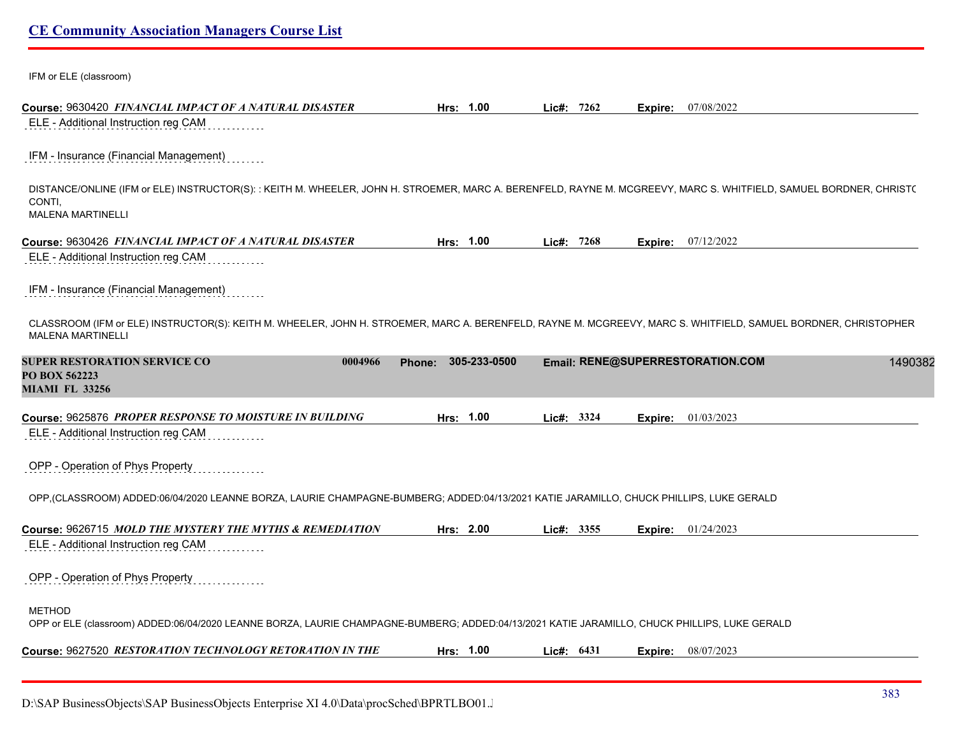| <b>CE Community Association Managers Course List</b> |  |  |  |
|------------------------------------------------------|--|--|--|
|------------------------------------------------------|--|--|--|

IFM or ELE (classroom)

| ELE - Additional Instruction reg CAM                                                                                                                                                              | Hrs: 1.00           | Lic#: $7262$ | 07/08/2022<br>Expire:            |         |
|---------------------------------------------------------------------------------------------------------------------------------------------------------------------------------------------------|---------------------|--------------|----------------------------------|---------|
| IFM - Insurance (Financial Management)                                                                                                                                                            |                     |              |                                  |         |
| DISTANCE/ONLINE (IFM or ELE) INSTRUCTOR(S): : KEITH M. WHEELER, JOHN H. STROEMER, MARC A. BERENFELD, RAYNE M. MCGREEVY, MARC S. WHITFIELD, SAMUEL BORDNER, CHRIST(<br>CONTI.<br>MALENA MARTINELLI |                     |              |                                  |         |
| Course: 9630426 FINANCIAL IMPACT OF A NATURAL DISASTER                                                                                                                                            | Hrs: 1.00           | Lic#: 7268   | 07/12/2022<br>Expire:            |         |
| ELE - Additional Instruction reg CAM                                                                                                                                                              |                     |              |                                  |         |
| IFM - Insurance (Financial Management)                                                                                                                                                            |                     |              |                                  |         |
| CLASSROOM (IFM or ELE) INSTRUCTOR(S): KEITH M. WHEELER, JOHN H. STROEMER, MARC A. BERENFELD, RAYNE M. MCGREEVY, MARC S. WHITFIELD, SAMUEL BORDNER, CHRISTOPHER<br>MALENA MARTINELLI               |                     |              |                                  |         |
| SUPER RESTORATION SERVICE CO<br>0004966<br><b>PO BOX 562223</b><br><b>MIAMI FL 33256</b>                                                                                                          | Phone: 305-233-0500 |              | Email: RENE@SUPERRESTORATION.COM | 1490382 |
| Course: 9625876 PROPER RESPONSE TO MOISTURE IN BUILDING                                                                                                                                           | Hrs: 1.00           | Lic#: 3324   | 01/03/2023<br>Expire:            |         |
| ELE - Additional Instruction reg CAM                                                                                                                                                              |                     |              |                                  |         |
| OPP - Operation of Phys Property                                                                                                                                                                  |                     |              |                                  |         |
| OPP,(CLASSROOM) ADDED:06/04/2020 LEANNE BORZA, LAURIE CHAMPAGNE-BUMBERG; ADDED:04/13/2021 KATIE JARAMILLO, CHUCK PHILLIPS, LUKE GERALD                                                            |                     |              |                                  |         |
|                                                                                                                                                                                                   | Hrs: 2.00           | Lie#: 3355   | 01/24/2023<br>Expire:            |         |
| ELE - Additional Instruction reg CAM                                                                                                                                                              |                     |              |                                  |         |
| OPP - Operation of Phys Property                                                                                                                                                                  |                     |              |                                  |         |
| <b>METHOD</b><br>OPP or ELE (classroom) ADDED:06/04/2020 LEANNE BORZA, LAURIE CHAMPAGNE-BUMBERG; ADDED:04/13/2021 KATIE JARAMILLO, CHUCK PHILLIPS, LUKE GERALD                                    |                     |              |                                  |         |
|                                                                                                                                                                                                   |                     | Lic#: $6431$ | 08/07/2023                       |         |
| Course: 9626715 <i>MOLD THE MYSTERY THE MYTHS &amp; REMEDIATION</i><br>Course: 9627520 RESTORATION TECHNOLOGY RETORATION IN THE                                                                   | Hrs: 1.00           |              | Expire:                          |         |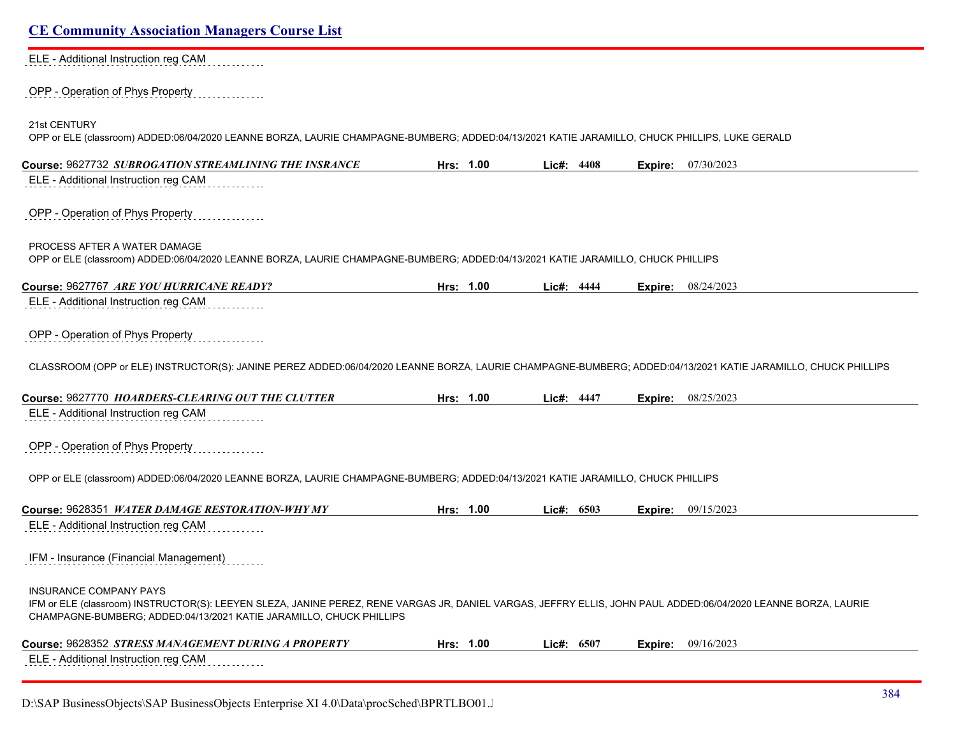#### ELE - Additional Instruction reg CAM . . . . . . . .

#### OPP - Operation of Phys Property . . . . . . . . . . .

21st CENTURY

OPP or ELE (classroom) ADDED:06/04/2020 LEANNE BORZA, LAURIE CHAMPAGNE-BUMBERG; ADDED:04/13/2021 KATIE JARAMILLO, CHUCK PHILLIPS, LUKE GERALD

| Course: 9627732 SUBROGATION STREAMLINING THE INSRANCE                                                                                                                                                                                                                  | Hrs: 1.00 | Lic#: 4408 |      | Expire: | 07/30/2023 |
|------------------------------------------------------------------------------------------------------------------------------------------------------------------------------------------------------------------------------------------------------------------------|-----------|------------|------|---------|------------|
| ELE - Additional Instruction reg CAM                                                                                                                                                                                                                                   |           |            |      |         |            |
| OPP - Operation of Phys Property                                                                                                                                                                                                                                       |           |            |      |         |            |
| PROCESS AFTER A WATER DAMAGE<br>OPP or ELE (classroom) ADDED:06/04/2020 LEANNE BORZA, LAURIE CHAMPAGNE-BUMBERG; ADDED:04/13/2021 KATIE JARAMILLO, CHUCK PHILLIPS                                                                                                       |           |            |      |         |            |
| Course: 9627767 ARE YOU HURRICANE READY?                                                                                                                                                                                                                               | Hrs: 1.00 | Lic#: 4444 |      | Expire: | 08/24/2023 |
| ELE - Additional Instruction reg CAM                                                                                                                                                                                                                                   |           |            |      |         |            |
| OPP - Operation of Phys Property                                                                                                                                                                                                                                       |           |            |      |         |            |
| CLASSROOM (OPP or ELE) INSTRUCTOR(S): JANINE PEREZ ADDED:06/04/2020 LEANNE BORZA, LAURIE CHAMPAGNE-BUMBERG; ADDED:04/13/2021 KATIE JARAMILLO, CHUCK PHILLIPS                                                                                                           |           |            |      |         |            |
| Course: 9627770 HOARDERS-CLEARING OUT THE CLUTTER                                                                                                                                                                                                                      | Hrs: 1.00 | Lic#: 4447 |      | Expire: | 08/25/2023 |
| ELE - Additional Instruction reg CAM                                                                                                                                                                                                                                   |           |            |      |         |            |
| OPP - Operation of Phys Property                                                                                                                                                                                                                                       |           |            |      |         |            |
| OPP or ELE (classroom) ADDED:06/04/2020 LEANNE BORZA, LAURIE CHAMPAGNE-BUMBERG; ADDED:04/13/2021 KATIE JARAMILLO, CHUCK PHILLIPS                                                                                                                                       |           |            |      |         |            |
| Course: 9628351 WATER DAMAGE RESTORATION-WHY MY                                                                                                                                                                                                                        | Hrs: 1.00 | Lic#:      | 6503 | Expire: | 09/15/2023 |
| ELE - Additional Instruction reg CAM                                                                                                                                                                                                                                   |           |            |      |         |            |
| IFM - Insurance (Financial Management)                                                                                                                                                                                                                                 |           |            |      |         |            |
| <b>INSURANCE COMPANY PAYS</b><br>IFM or ELE (classroom) INSTRUCTOR(S): LEEYEN SLEZA, JANINE PEREZ, RENE VARGAS JR, DANIEL VARGAS, JEFFRY ELLIS, JOHN PAUL ADDED:06/04/2020 LEANNE BORZA, LAURIE<br>CHAMPAGNE-BUMBERG; ADDED:04/13/2021 KATIE JARAMILLO, CHUCK PHILLIPS |           |            |      |         |            |
| Course: 9628352 STRESS MANAGEMENT DURING A PROPERTY                                                                                                                                                                                                                    | Hrs: 1.00 | Lic#: 6507 |      | Expire: | 09/16/2023 |
| ELE - Additional Instruction reg CAM                                                                                                                                                                                                                                   |           |            |      |         |            |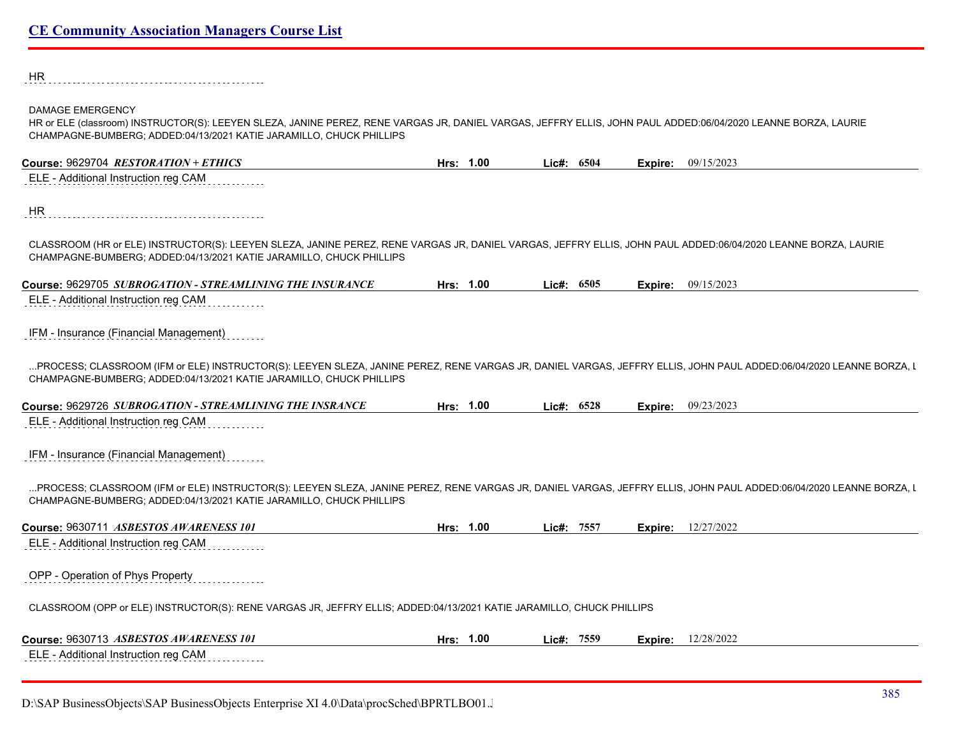HR 

#### DAMAGE EMERGENCY

HR or ELE (classroom) INSTRUCTOR(S): LEEYEN SLEZA, JANINE PEREZ, RENE VARGAS JR, DANIEL VARGAS, JEFFRY ELLIS, JOHN PAUL ADDED:06/04/2020 LEANNE BORZA, LAURIE CHAMPAGNE-BUMBERG; ADDED:04/13/2021 KATIE JARAMILLO, CHUCK PHILLIPS

| Course: 9629704 RESTORATION + ETHICS                                                                                                                                                                                                      | Hrs: 1.00 | Lic#: $6504$ |         | <b>Expire:</b> 09/15/2023 |
|-------------------------------------------------------------------------------------------------------------------------------------------------------------------------------------------------------------------------------------------|-----------|--------------|---------|---------------------------|
| ELE - Additional Instruction reg CAM                                                                                                                                                                                                      |           |              |         |                           |
| HR                                                                                                                                                                                                                                        |           |              |         |                           |
|                                                                                                                                                                                                                                           |           |              |         |                           |
| CLASSROOM (HR or ELE) INSTRUCTOR(S): LEEYEN SLEZA, JANINE PEREZ, RENE VARGAS JR, DANIEL VARGAS, JEFFRY ELLIS, JOHN PAUL ADDED:06/04/2020 LEANNE BORZA, LAURIE<br>CHAMPAGNE-BUMBERG; ADDED:04/13/2021 KATIE JARAMILLO, CHUCK PHILLIPS      |           |              |         |                           |
| Course: 9629705 SUBROGATION - STREAMLINING THE INSURANCE                                                                                                                                                                                  | Hrs: 1.00 | Lic#: $6505$ | Expire: | 09/15/2023                |
| ELE - Additional Instruction reg CAM                                                                                                                                                                                                      |           |              |         |                           |
| IFM - Insurance (Financial Management)                                                                                                                                                                                                    |           |              |         |                           |
| PROCESS: CLASSROOM (IFM or ELE) INSTRUCTOR(S): LEEYEN SLEZA, JANINE PEREZ, RENE VARGAS JR, DANIEL VARGAS, JEFFRY ELLIS, JOHN PAUL ADDED:06/04/2020 LEANNE BORZA, I<br>CHAMPAGNE-BUMBERG; ADDED:04/13/2021 KATIE JARAMILLO, CHUCK PHILLIPS |           |              |         |                           |
| Course: 9629726 SUBROGATION - STREAMLINING THE INSRANCE                                                                                                                                                                                   | Hrs: 1.00 | Lic#: $6528$ | Expire: | 09/23/2023                |
| ELE - Additional Instruction reg CAM                                                                                                                                                                                                      |           |              |         |                           |
| IFM - Insurance (Financial Management)                                                                                                                                                                                                    |           |              |         |                           |
| PROCESS; CLASSROOM (IFM or ELE) INSTRUCTOR(S): LEEYEN SLEZA, JANINE PEREZ, RENE VARGAS JR, DANIEL VARGAS, JEFFRY ELLIS, JOHN PAUL ADDED:06/04/2020 LEANNE BORZA, I                                                                        |           |              |         |                           |
| CHAMPAGNE-BUMBERG; ADDED:04/13/2021 KATIE JARAMILLO, CHUCK PHILLIPS                                                                                                                                                                       |           |              |         |                           |
| Course: 9630711 ASBESTOS AWARENESS 101                                                                                                                                                                                                    | Hrs: 1.00 | Lic#: 7557   | Expire: | 12/27/2022                |
| ELE - Additional Instruction reg CAM                                                                                                                                                                                                      |           |              |         |                           |
| OPP - Operation of Phys Property                                                                                                                                                                                                          |           |              |         |                           |
| CLASSROOM (OPP or ELE) INSTRUCTOR(S): RENE VARGAS JR, JEFFRY ELLIS; ADDED:04/13/2021 KATIE JARAMILLO, CHUCK PHILLIPS                                                                                                                      |           |              |         |                           |
| Course: 9630713 ASBESTOS AWARENESS 101                                                                                                                                                                                                    | Hrs: 1.00 | Lie#: 7559   | Expire: | 12/28/2022                |
| ELE - Additional Instruction reg CAM<br>.                                                                                                                                                                                                 |           |              |         |                           |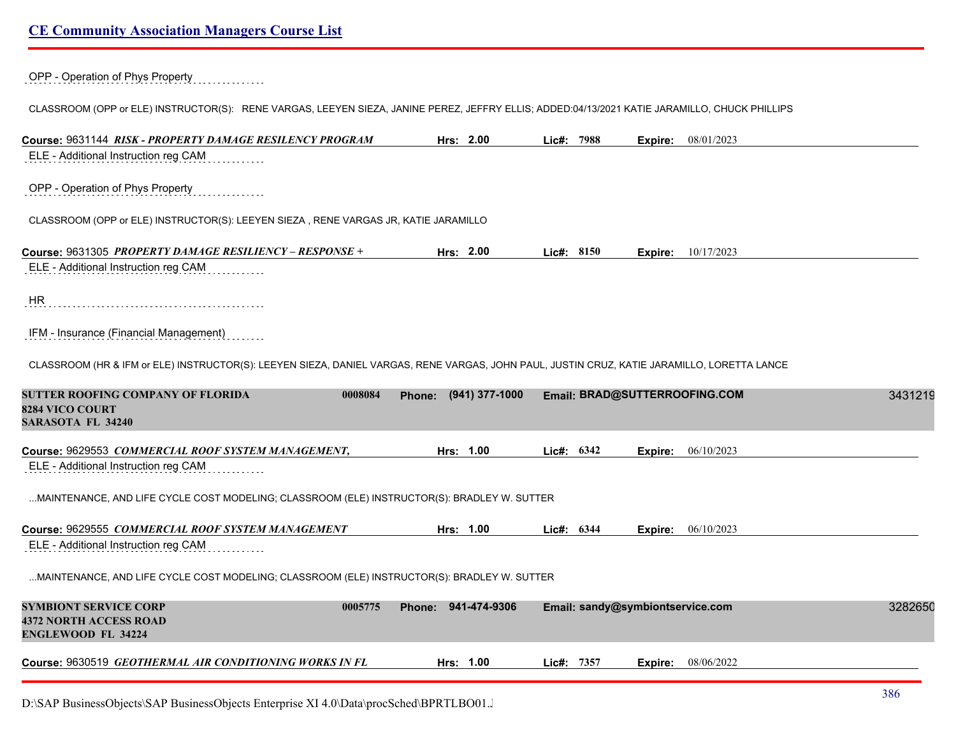OPP - Operation of Phys Property

#### CLASSROOM (OPP or ELE) INSTRUCTOR(S): RENE VARGAS, LEEYEN SIEZA, JANINE PEREZ, JEFFRY ELLIS; ADDED:04/13/2021 KATIE JARAMILLO, CHUCK PHILLIPS

| Course: 9631144 RISK - PROPERTY DAMAGE RESILENCY PROGRAM                                                                                    | Hrs: 2.00             | Lic#: 7988   | 08/01/2023<br>Expire:            |         |
|---------------------------------------------------------------------------------------------------------------------------------------------|-----------------------|--------------|----------------------------------|---------|
| ELE - Additional Instruction reg CAM                                                                                                        |                       |              |                                  |         |
| OPP - Operation of Phys Property                                                                                                            |                       |              |                                  |         |
| CLASSROOM (OPP or ELE) INSTRUCTOR(S): LEEYEN SIEZA, RENE VARGAS JR, KATIE JARAMILLO                                                         |                       |              |                                  |         |
| Course: 9631305 PROPERTY DAMAGE RESILIENCY - RESPONSE +                                                                                     | Hrs: 2.00             | Lic#: 8150   | 10/17/2023<br>Expire:            |         |
| ELE - Additional Instruction reg CAM                                                                                                        |                       |              |                                  |         |
| HR                                                                                                                                          |                       |              |                                  |         |
| IFM - Insurance (Financial Management)                                                                                                      |                       |              |                                  |         |
| CLASSROOM (HR & IFM or ELE) INSTRUCTOR(S): LEEYEN SIEZA, DANIEL VARGAS, RENE VARGAS, JOHN PAUL, JUSTIN CRUZ, KATIE JARAMILLO, LORETTA LANCE |                       |              |                                  |         |
| SUTTER ROOFING COMPANY OF FLORIDA<br>0008084<br><b>8284 VICO COURT</b><br><b>SARASOTA FL 34240</b>                                          | Phone: (941) 377-1000 |              | Email: BRAD@SUTTERROOFING.COM    | 3431219 |
| Course: 9629553 COMMERCIAL ROOF SYSTEM MANAGEMENT,<br>ELE - Additional Instruction reg CAM                                                  | Hrs: 1.00             | Lic#: $6342$ | 06/10/2023<br>Expire:            |         |
| MAINTENANCE, AND LIFE CYCLE COST MODELING; CLASSROOM (ELE) INSTRUCTOR(S): BRADLEY W. SUTTER                                                 |                       |              |                                  |         |
| Course: 9629555 COMMERCIAL ROOF SYSTEM MANAGEMENT<br>ELE - Additional Instruction reg CAM                                                   | Hrs: 1.00             | Lic#: $6344$ | <b>Expire:</b> 06/10/2023        |         |
| MAINTENANCE, AND LIFE CYCLE COST MODELING; CLASSROOM (ELE) INSTRUCTOR(S): BRADLEY W. SUTTER                                                 |                       |              |                                  |         |
| SYMBIONT SERVICE CORP<br>0005775<br><b>4372 NORTH ACCESS ROAD</b><br><b>ENGLEWOOD FL 34224</b>                                              | Phone: 941-474-9306   |              | Email: sandy@symbiontservice.com | 3282650 |
| Course: 9630519 GEOTHERMAL AIR CONDITIONING WORKS IN FL                                                                                     | Hrs: 1.00             | Lic#: 7357   | 08/06/2022<br>Expire:            |         |
|                                                                                                                                             |                       |              |                                  |         |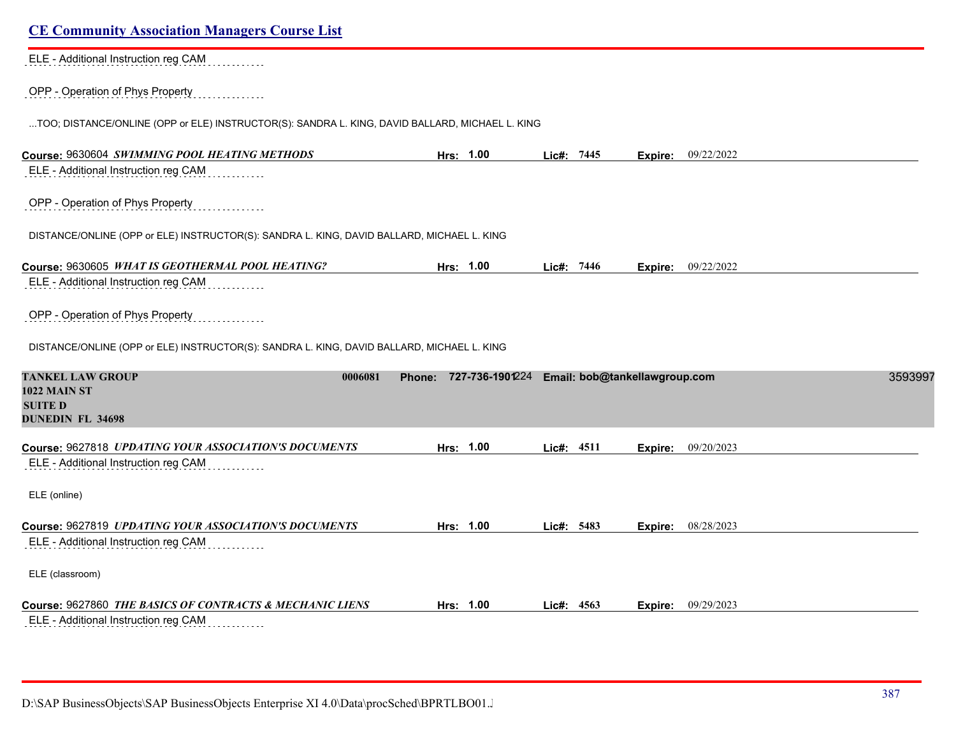| <b>CE Community Association Managers Course List</b>                                            |                        |               |                               |                           |         |
|-------------------------------------------------------------------------------------------------|------------------------|---------------|-------------------------------|---------------------------|---------|
| ELE - Additional Instruction reg CAM                                                            |                        |               |                               |                           |         |
| OPP - Operation of Phys Property                                                                |                        |               |                               |                           |         |
| TOO; DISTANCE/ONLINE (OPP or ELE) INSTRUCTOR(S): SANDRA L. KING, DAVID BALLARD, MICHAEL L. KING |                        |               |                               |                           |         |
| Course: 9630604 SWIMMING POOL HEATING METHODS                                                   | Hrs: 1.00              | Lic#: 7445    | Expire:                       | 09/22/2022                |         |
| ELE - Additional Instruction reg CAM                                                            |                        |               |                               |                           |         |
| OPP - Operation of Phys Property                                                                |                        |               |                               |                           |         |
| DISTANCE/ONLINE (OPP or ELE) INSTRUCTOR(S): SANDRA L. KING, DAVID BALLARD, MICHAEL L. KING      |                        |               |                               |                           |         |
| Course: 9630605 WHAT IS GEOTHERMAL POOL HEATING?                                                | Hrs: 1.00              | $Lic\#: 7446$ |                               | <b>Expire:</b> 09/22/2022 |         |
| ELE - Additional Instruction reg CAM                                                            |                        |               |                               |                           |         |
| OPP - Operation of Phys Property                                                                |                        |               |                               |                           |         |
| DISTANCE/ONLINE (OPP or ELE) INSTRUCTOR(S): SANDRA L. KING, DAVID BALLARD, MICHAEL L. KING      |                        |               |                               |                           |         |
| <b>TANKEL LAW GROUP</b><br>0006081                                                              | Phone: 727-736-1901224 |               | Email: bob@tankellawgroup.com |                           | 3593997 |
| <b>1022 MAIN ST</b><br><b>SUITED</b>                                                            |                        |               |                               |                           |         |
| <b>DUNEDIN FL 34698</b>                                                                         |                        |               |                               |                           |         |
| Course: 9627818 UPDATING YOUR ASSOCIATION'S DOCUMENTS                                           | Hrs: 1.00              | Lic#: 4511    | Expire:                       | 09/20/2023                |         |
| ELE - Additional Instruction reg CAM                                                            |                        |               |                               |                           |         |
| ELE (online)                                                                                    |                        |               |                               |                           |         |
| Course: 9627819 UPDATING YOUR ASSOCIATION'S DOCUMENTS                                           | Hrs: 1.00              | Lic#: 5483    | Expire:                       | 08/28/2023                |         |
| ELE - Additional Instruction reg CAM                                                            |                        |               |                               |                           |         |
| ELE (classroom)                                                                                 |                        |               |                               |                           |         |
| Course: 9627860 THE BASICS OF CONTRACTS & MECHANIC LIENS                                        | Hrs: 1.00              | Lic#: $4563$  |                               | Expire: 09/29/2023        |         |
| ELE - Additional Instruction reg CAM                                                            |                        |               |                               |                           |         |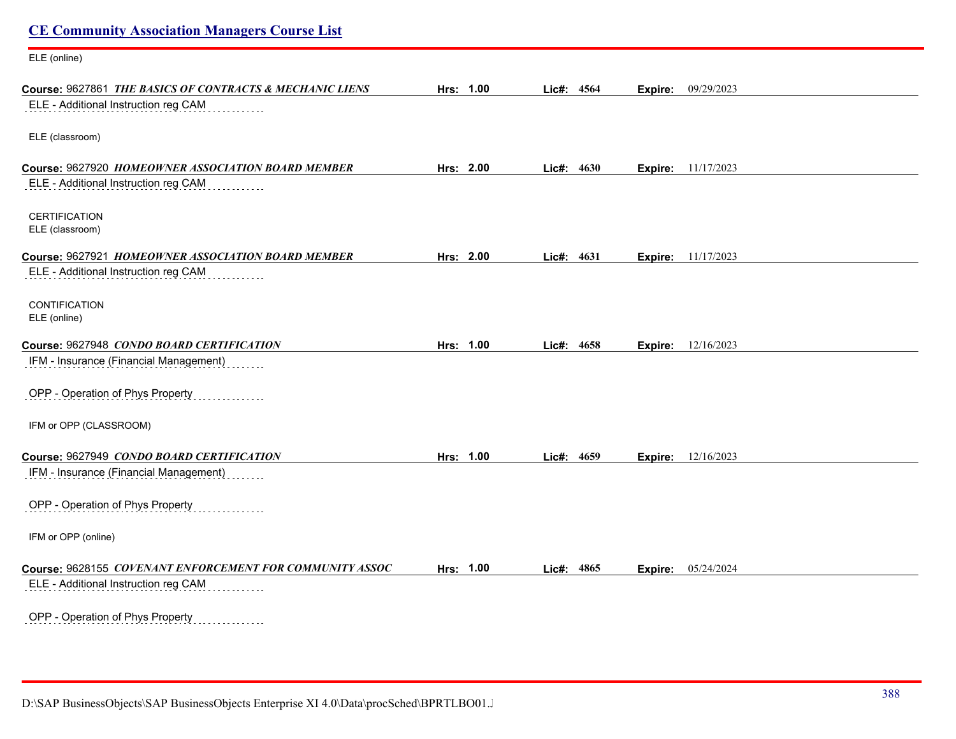| <b>CE Community Association Managers Course List</b>     |           |               |         |                           |
|----------------------------------------------------------|-----------|---------------|---------|---------------------------|
| ELE (online)                                             |           |               |         |                           |
| Course: 9627861 THE BASICS OF CONTRACTS & MECHANIC LIENS | Hrs: 1.00 | Lic#: 4564    | Expire: | 09/29/2023                |
| ELE - Additional Instruction reg CAM                     |           |               |         |                           |
| ELE (classroom)                                          |           |               |         |                           |
| Course: 9627920 HOMEOWNER ASSOCIATION BOARD MEMBER       | Hrs: 2.00 | Lic#: 4630    |         | <b>Expire:</b> 11/17/2023 |
| ELE - Additional Instruction reg CAM                     |           |               |         |                           |
| <b>CERTIFICATION</b><br>ELE (classroom)                  |           |               |         |                           |
| Course: 9627921 HOMEOWNER ASSOCIATION BOARD MEMBER       | Hrs: 2.00 | 4631<br>Lic#: | Expire: | 11/17/2023                |
| ELE - Additional Instruction reg CAM                     |           |               |         |                           |
| <b>CONTIFICATION</b>                                     |           |               |         |                           |
| ELE (online)                                             |           |               |         |                           |
| Course: 9627948 CONDO BOARD CERTIFICATION                | Hrs: 1.00 | Lic#: 4658    |         | <b>Expire:</b> 12/16/2023 |
| IFM - Insurance (Financial Management)                   |           |               |         |                           |
| OPP - Operation of Phys Property                         |           |               |         |                           |
| IFM or OPP (CLASSROOM)                                   |           |               |         |                           |
| Course: 9627949 CONDO BOARD CERTIFICATION                | Hrs: 1.00 | Lic#: 4659    |         | <b>Expire:</b> 12/16/2023 |
| IFM - Insurance (Financial Management)                   |           |               |         |                           |
| OPP - Operation of Phys Property                         |           |               |         |                           |
| IFM or OPP (online)                                      |           |               |         |                           |
| Course: 9628155 COVENANT ENFORCEMENT FOR COMMUNITY ASSOC | Hrs: 1.00 | Lic#: 4865    |         | <b>Expire:</b> 05/24/2024 |
| ELE - Additional Instruction reg CAM                     |           |               |         |                           |
| OPP - Operation of Phys Property                         |           |               |         |                           |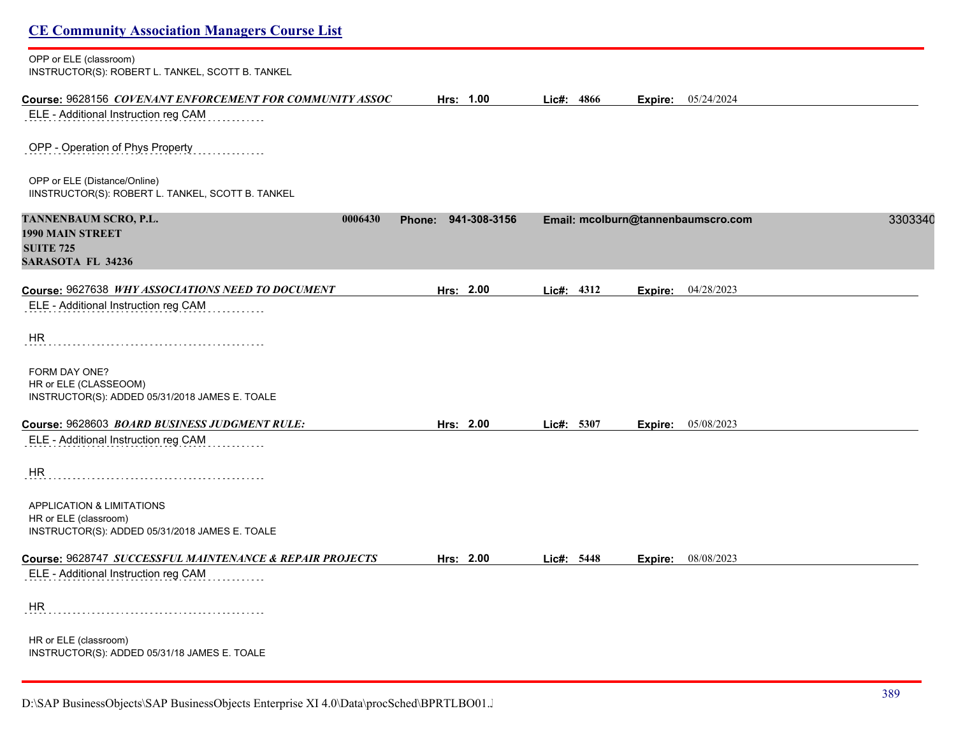| <b>CE Community Association Managers Course List</b>                                                            |                     |            |                                    |         |
|-----------------------------------------------------------------------------------------------------------------|---------------------|------------|------------------------------------|---------|
| OPP or ELE (classroom)<br>INSTRUCTOR(S): ROBERT L. TANKEL, SCOTT B. TANKEL                                      |                     |            |                                    |         |
| Course: 9628156 COVENANT ENFORCEMENT FOR COMMUNITY ASSOC<br>ELE - Additional Instruction reg CAM                | Hrs: 1.00           | Lic#: 4866 | Expire: 05/24/2024                 |         |
| OPP - Operation of Phys Property                                                                                |                     |            |                                    |         |
| OPP or ELE (Distance/Online)<br>IINSTRUCTOR(S): ROBERT L. TANKEL, SCOTT B. TANKEL                               |                     |            |                                    |         |
| TANNENBAUM SCRO, P.L.<br>0006430<br>1990 MAIN STREET                                                            | Phone: 941-308-3156 |            | Email: mcolburn@tannenbaumscro.com | 3303340 |
| <b>SUITE 725</b><br><b>SARASOTA FL 34236</b>                                                                    |                     |            |                                    |         |
| Course: 9627638 WHY ASSOCIATIONS NEED TO DOCUMENT                                                               | Hrs: 2.00           | Lic#: 4312 | Expire: 04/28/2023                 |         |
| ELE - Additional Instruction reg CAM                                                                            |                     |            |                                    |         |
| HR                                                                                                              |                     |            |                                    |         |
| FORM DAY ONE?<br>HR or ELE (CLASSEOOM)<br>INSTRUCTOR(S): ADDED 05/31/2018 JAMES E. TOALE                        |                     |            |                                    |         |
| Course: 9628603 BOARD BUSINESS JUDGMENT RULE:                                                                   | Hrs: 2.00           | Lic#: 5307 | <b>Expire:</b> 05/08/2023          |         |
| ELE - Additional Instruction reg CAM                                                                            |                     |            |                                    |         |
| HR                                                                                                              |                     |            |                                    |         |
| <b>APPLICATION &amp; LIMITATIONS</b><br>HR or ELE (classroom)<br>INSTRUCTOR(S): ADDED 05/31/2018 JAMES E. TOALE |                     |            |                                    |         |
| Course: 9628747 SUCCESSFUL MAINTENANCE & REPAIR PROJECTS                                                        | Hrs: 2.00           | Lic#: 5448 | Expire: 08/08/2023                 |         |
| ELE - Additional Instruction reg CAM                                                                            |                     |            |                                    |         |
| HR                                                                                                              |                     |            |                                    |         |
| HR or ELE (classroom)<br>INSTRUCTOR(S): ADDED 05/31/18 JAMES E. TOALE                                           |                     |            |                                    |         |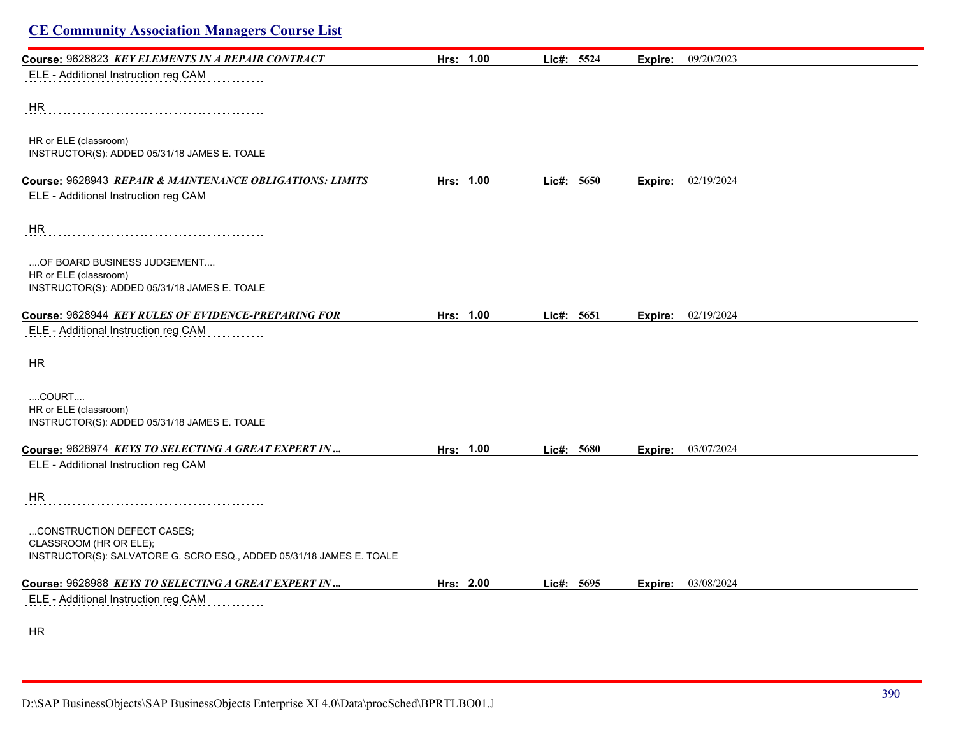| <b>CE Community Association Managers Course List</b>                                           |           |            |         |                             |
|------------------------------------------------------------------------------------------------|-----------|------------|---------|-----------------------------|
| Course: 9628823 KEY ELEMENTS IN A REPAIR CONTRACT                                              | Hrs: 1.00 | Lic#: 5524 | Expire: | 09/20/2023                  |
| ELE - Additional Instruction reg CAM                                                           |           |            |         |                             |
| HR                                                                                             |           |            |         |                             |
| HR or ELE (classroom)<br>INSTRUCTOR(S): ADDED 05/31/18 JAMES E. TOALE                          |           |            |         |                             |
| Course: 9628943 REPAIR & MAINTENANCE OBLIGATIONS: LIMITS                                       | Hrs: 1.00 | Lic#: 5650 |         | <b>Expire:</b> $02/19/2024$ |
| ELE - Additional Instruction reg CAM                                                           |           |            |         |                             |
| <b>HR</b>                                                                                      |           |            |         |                             |
| OF BOARD BUSINESS JUDGEMENT                                                                    |           |            |         |                             |
| HR or ELE (classroom)<br>INSTRUCTOR(S): ADDED 05/31/18 JAMES E. TOALE                          |           |            |         |                             |
| Course: 9628944 KEY RULES OF EVIDENCE-PREPARING FOR                                            | Hrs: 1.00 | Lic#: 5651 | Expire: | 02/19/2024                  |
| ELE - Additional Instruction reg CAM                                                           |           |            |         |                             |
| HR.                                                                                            |           |            |         |                             |
| COURT                                                                                          |           |            |         |                             |
| HR or ELE (classroom)<br>INSTRUCTOR(S): ADDED 05/31/18 JAMES E. TOALE                          |           |            |         |                             |
| Course: 9628974 KEYS TO SELECTING A GREAT EXPERT IN                                            | Hrs: 1.00 | Lic#: 5680 | Expire: | 03/07/2024                  |
| ELE - Additional Instruction reg CAM                                                           |           |            |         |                             |
| HR.                                                                                            |           |            |         |                             |
| CONSTRUCTION DEFECT CASES;                                                                     |           |            |         |                             |
| CLASSROOM (HR OR ELE);<br>INSTRUCTOR(S): SALVATORE G. SCRO ESQ., ADDED 05/31/18 JAMES E. TOALE |           |            |         |                             |
| Course: 9628988 KEYS TO SELECTING A GREAT EXPERT IN                                            | Hrs: 2.00 | Lic#: 5695 |         | <b>Expire:</b> $03/08/2024$ |
| ELE - Additional Instruction reg CAM                                                           |           |            |         |                             |
| HR                                                                                             |           |            |         |                             |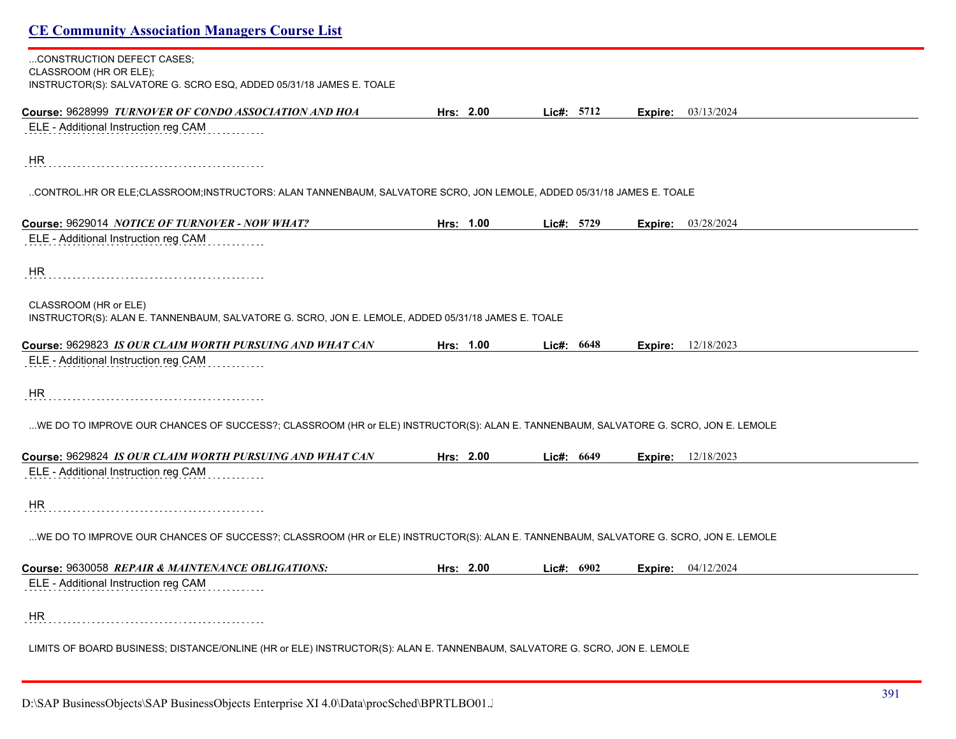# **CE Community Association Managers Course List** ...CONSTRUCTION DEFECT CASES; CLASSROOM (HR OR ELE); INSTRUCTOR(S): SALVATORE G. SCRO ESQ, ADDED 05/31/18 JAMES E. TOALE **Course:** 9628999 *TURNOVER OF CONDO ASSOCIATION AND HOA* **Hrs: 2.00 Lic#: 5712 Expire:** 03/13/2024 ELE - Additional Instruction reg CAM HR ..CONTROL.HR OR ELE;CLASSROOM;INSTRUCTORS: ALAN TANNENBAUM, SALVATORE SCRO, JON LEMOLE, ADDED 05/31/18 JAMES E. TOALE **Course:** 9629014 *NOTICE OF TURNOVER - NOW WHAT?* **Hrs: 1.00 Lic#: 5729 Expire:** 03/28/2024 ELE - Additional Instruction reg CAM HR CLASSROOM (HR or ELE) INSTRUCTOR(S): ALAN E. TANNENBAUM, SALVATORE G. SCRO, JON E. LEMOLE, ADDED 05/31/18 JAMES E. TOALE **Course:** 9629823 *IS OUR CLAIM WORTH PURSUING AND WHAT CAN* **Hrs: 1.00 Lic#: 6648 Expire:** 12/18/2023 ELE - Additional Instruction reg CAM HR ...WE DO TO IMPROVE OUR CHANCES OF SUCCESS?; CLASSROOM (HR or ELE) INSTRUCTOR(S): ALAN E. TANNENBAUM, SALVATORE G. SCRO, JON E. LEMOLE **Course:** 9629824 *IS OUR CLAIM WORTH PURSUING AND WHAT CAN* **Hrs: 2.00 Lic#: 6649 Expire:** 12/18/2023 ELE - Additional Instruction reg CAM HR ...WE DO TO IMPROVE OUR CHANCES OF SUCCESS?; CLASSROOM (HR or ELE) INSTRUCTOR(S): ALAN E. TANNENBAUM, SALVATORE G. SCRO, JON E. LEMOLE **Course:** 9630058 *REPAIR & MAINTENANCE OBLIGATIONS:* **Hrs: 2.00 Lic#: 6902 Expire:** 04/12/2024 ELE - Additional Instruction reg CAM HR

LIMITS OF BOARD BUSINESS; DISTANCE/ONLINE (HR or ELE) INSTRUCTOR(S): ALAN E. TANNENBAUM, SALVATORE G. SCRO, JON E. LEMOLE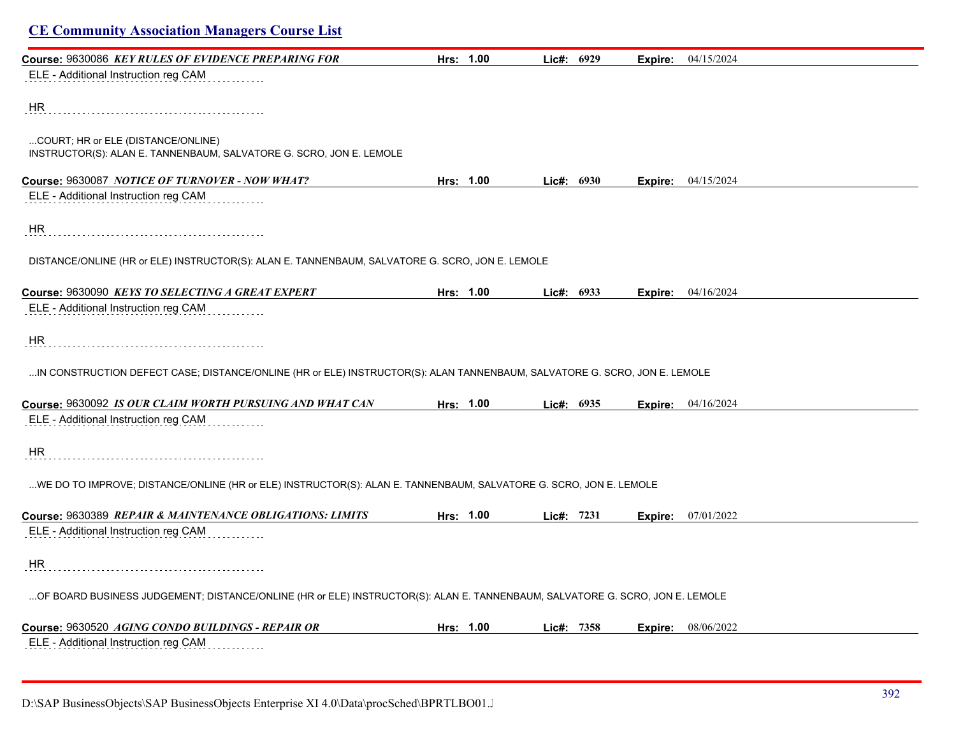| <b>CE Community Association Managers Course List</b>                                                                         |           |              |                |                             |  |
|------------------------------------------------------------------------------------------------------------------------------|-----------|--------------|----------------|-----------------------------|--|
| Course: 9630086 KEY RULES OF EVIDENCE PREPARING FOR                                                                          | Hrs: 1.00 | Lic#: 6929   | Expire:        | 04/15/2024                  |  |
| ELE - Additional Instruction reg CAM                                                                                         |           |              |                |                             |  |
| HR                                                                                                                           |           |              |                |                             |  |
| COURT; HR or ELE (DISTANCE/ONLINE)<br>INSTRUCTOR(S): ALAN E. TANNENBAUM, SALVATORE G. SCRO, JON E. LEMOLE                    |           |              |                |                             |  |
| Course: 9630087 NOTICE OF TURNOVER - NOW WHAT?                                                                               | Hrs: 1.00 | Lic#: 6930   |                | <b>Expire:</b> $04/15/2024$ |  |
| ELE - Additional Instruction reg CAM                                                                                         |           |              |                |                             |  |
| HR                                                                                                                           |           |              |                |                             |  |
| DISTANCE/ONLINE (HR or ELE) INSTRUCTOR(S): ALAN E. TANNENBAUM, SALVATORE G. SCRO, JON E. LEMOLE                              |           |              |                |                             |  |
| Course: 9630090 KEYS TO SELECTING A GREAT EXPERT                                                                             | Hrs: 1.00 | Lic#: $6933$ |                | <b>Expire:</b> 04/16/2024   |  |
| ELE - Additional Instruction reg CAM                                                                                         |           |              |                |                             |  |
| HR.                                                                                                                          |           |              |                |                             |  |
| IN CONSTRUCTION DEFECT CASE; DISTANCE/ONLINE (HR or ELE) INSTRUCTOR(S): ALAN TANNENBAUM, SALVATORE G. SCRO, JON E. LEMOLE    |           |              |                |                             |  |
| Course: 9630092 IS OUR CLAIM WORTH PURSUING AND WHAT CAN                                                                     | Hrs: 1.00 | Lic#: 6935   |                | Expire: 04/16/2024          |  |
| ELE - Additional Instruction reg CAM                                                                                         |           |              |                |                             |  |
| HR.                                                                                                                          |           |              |                |                             |  |
| WE DO TO IMPROVE; DISTANCE/ONLINE (HR or ELE) INSTRUCTOR(S): ALAN E. TANNENBAUM, SALVATORE G. SCRO, JON E. LEMOLE            |           |              |                |                             |  |
| Course: 9630389 REPAIR & MAINTENANCE OBLIGATIONS: LIMITS                                                                     | Hrs: 1.00 | Lie#: 7231   | <b>Expire:</b> | 07/01/2022                  |  |
| ELE - Additional Instruction reg CAM                                                                                         |           |              |                |                             |  |
| HR                                                                                                                           |           |              |                |                             |  |
| OF BOARD BUSINESS JUDGEMENT; DISTANCE/ONLINE (HR or ELE) INSTRUCTOR(S): ALAN E. TANNENBAUM, SALVATORE G. SCRO, JON E. LEMOLE |           |              |                |                             |  |
| Course: 9630520 AGING CONDO BUILDINGS - REPAIR OR                                                                            | Hrs: 1.00 | Lie#: 7358   | Expire:        | 08/06/2022                  |  |
| ELE - Additional Instruction reg CAM                                                                                         |           |              |                |                             |  |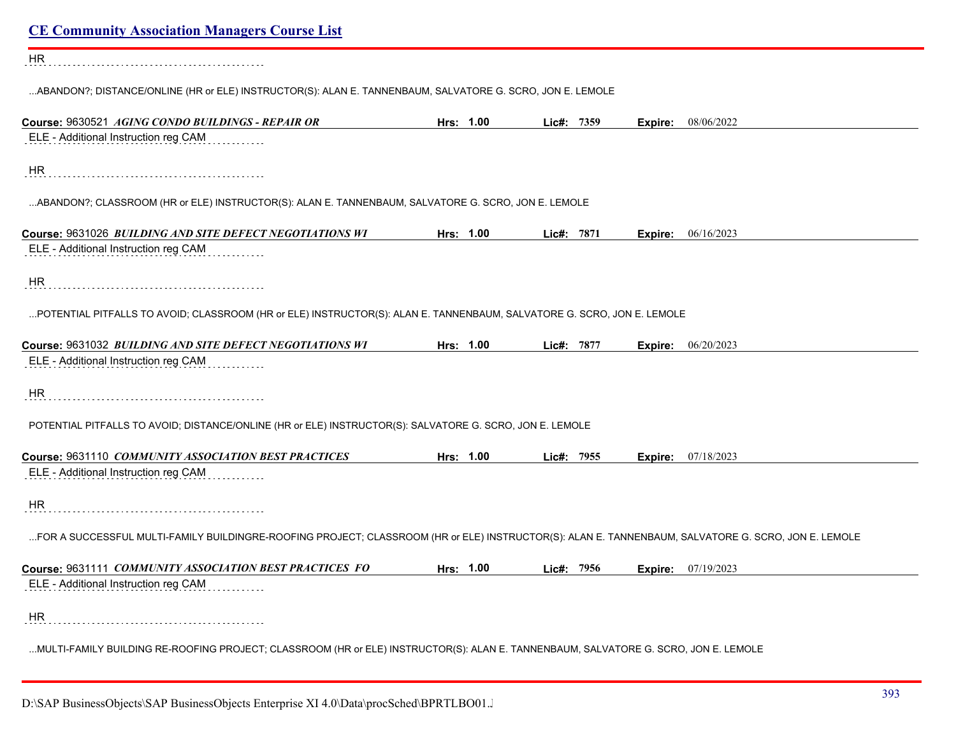| <b>CE Community Association Managers Course List</b>                                                                                                |           |            |                             |  |
|-----------------------------------------------------------------------------------------------------------------------------------------------------|-----------|------------|-----------------------------|--|
| <b>HR</b>                                                                                                                                           |           |            |                             |  |
| ABANDON?; DISTANCE/ONLINE (HR or ELE) INSTRUCTOR(S): ALAN E. TANNENBAUM, SALVATORE G. SCRO, JON E. LEMOLE                                           |           |            |                             |  |
| Course: 9630521 AGING CONDO BUILDINGS - REPAIR OR                                                                                                   | Hrs: 1.00 | Lic#: 7359 | <b>Expire:</b> 08/06/2022   |  |
| ELE - Additional Instruction reg CAM                                                                                                                |           |            |                             |  |
| HR                                                                                                                                                  |           |            |                             |  |
| ABANDON?; CLASSROOM (HR or ELE) INSTRUCTOR(S): ALAN E. TANNENBAUM, SALVATORE G. SCRO, JON E. LEMOLE                                                 |           |            |                             |  |
| Course: 9631026 BUILDING AND SITE DEFECT NEGOTIATIONS WI                                                                                            | Hrs: 1.00 | Lic#: 7871 | <b>Expire:</b> $06/16/2023$ |  |
| ELE - Additional Instruction reg CAM                                                                                                                |           |            |                             |  |
| HR                                                                                                                                                  |           |            |                             |  |
| POTENTIAL PITFALLS TO AVOID; CLASSROOM (HR or ELE) INSTRUCTOR(S): ALAN E. TANNENBAUM, SALVATORE G. SCRO, JON E. LEMOLE                              |           |            |                             |  |
| Course: 9631032 BUILDING AND SITE DEFECT NEGOTIATIONS WI                                                                                            | Hrs: 1.00 | Lic#: 7877 | <b>Expire:</b> 06/20/2023   |  |
| ELE - Additional Instruction reg CAM                                                                                                                |           |            |                             |  |
| HR                                                                                                                                                  |           |            |                             |  |
| POTENTIAL PITFALLS TO AVOID; DISTANCE/ONLINE (HR or ELE) INSTRUCTOR(S): SALVATORE G. SCRO, JON E. LEMOLE                                            |           |            |                             |  |
| Course: 9631110 COMMUNITY ASSOCIATION BEST PRACTICES                                                                                                | Hrs: 1.00 | Lic#: 7955 | <b>Expire:</b> 07/18/2023   |  |
| ELE - Additional Instruction reg CAM                                                                                                                |           |            |                             |  |
| HR.                                                                                                                                                 |           |            |                             |  |
| FOR A SUCCESSFUL MULTI-FAMILY BUILDINGRE-ROOFING PROJECT; CLASSROOM (HR or ELE) INSTRUCTOR(S): ALAN E. TANNENBAUM, SALVATORE G. SCRO, JON E. LEMOLE |           |            |                             |  |
| Course: 9631111 COMMUNITY ASSOCIATION BEST PRACTICES FO                                                                                             | Hrs: 1.00 | Lic#: 7956 | <b>Expire:</b> 07/19/2023   |  |
| ELE - Additional Instruction reg CAM                                                                                                                |           |            |                             |  |
| HR                                                                                                                                                  |           |            |                             |  |
| MULTI-FAMILY BUILDING RE-ROOFING PROJECT; CLASSROOM (HR or ELE) INSTRUCTOR(S): ALAN E. TANNENBAUM, SALVATORE G. SCRO, JON E. LEMOLE                 |           |            |                             |  |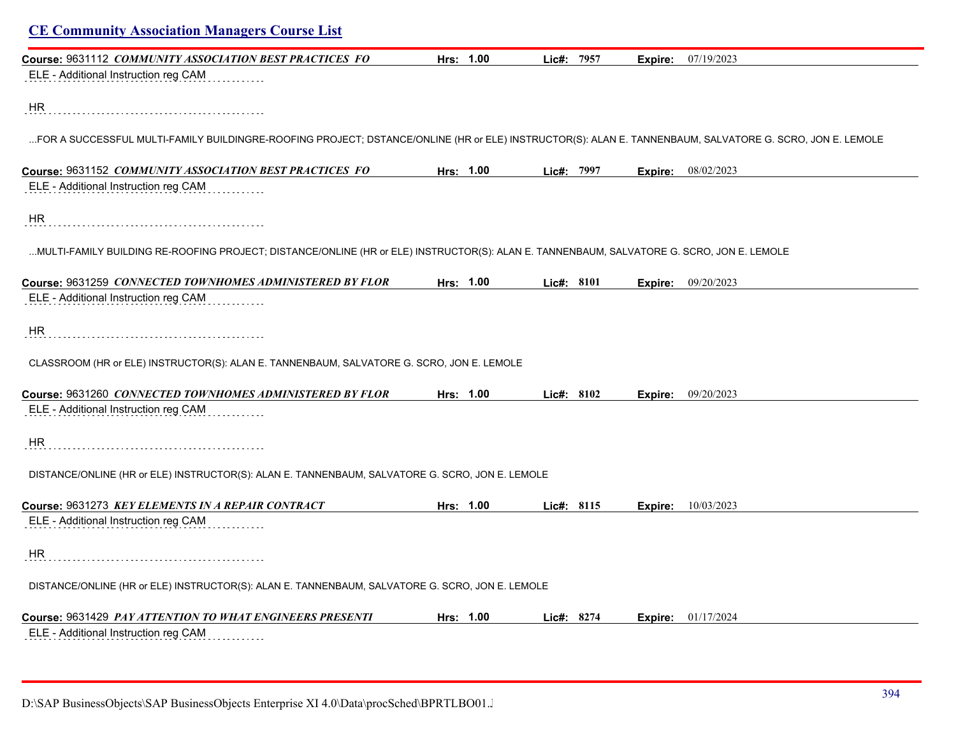| <b>CE Community Association Managers Course List</b>                                                                                                     |           |            |         |                             |
|----------------------------------------------------------------------------------------------------------------------------------------------------------|-----------|------------|---------|-----------------------------|
| Course: 9631112 COMMUNITY ASSOCIATION BEST PRACTICES FO                                                                                                  | Hrs: 1.00 | Lic#: 7957 | Expire: | 07/19/2023                  |
| ELE - Additional Instruction reg CAM                                                                                                                     |           |            |         |                             |
| HR                                                                                                                                                       |           |            |         |                             |
| FOR A SUCCESSFUL MULTI-FAMILY BUILDINGRE-ROOFING PROJECT; DSTANCE/ONLINE (HR or ELE) INSTRUCTOR(S): ALAN E. TANNENBAUM, SALVATORE G. SCRO, JON E. LEMOLE |           |            |         |                             |
| Course: 9631152 <i>COMMUNITY ASSOCIATION BEST PRACTICES FO</i>                                                                                           | Hrs: 1.00 | Lie#: 7997 |         | <b>Expire:</b> 08/02/2023   |
| ELE - Additional Instruction reg CAM                                                                                                                     |           |            |         |                             |
| HR                                                                                                                                                       |           |            |         |                             |
| MULTI-FAMILY BUILDING RE-ROOFING PROJECT; DISTANCE/ONLINE (HR or ELE) INSTRUCTOR(S): ALAN E. TANNENBAUM, SALVATORE G. SCRO, JON E. LEMOLE                |           |            |         |                             |
| Course: 9631259 CONNECTED TOWNHOMES ADMINISTERED BY FLOR                                                                                                 | Hrs: 1.00 | Lic#: 8101 |         | Expire: 09/20/2023          |
| ELE - Additional Instruction reg CAM                                                                                                                     |           |            |         |                             |
| HR                                                                                                                                                       |           |            |         |                             |
| CLASSROOM (HR or ELE) INSTRUCTOR(S): ALAN E. TANNENBAUM, SALVATORE G. SCRO, JON E. LEMOLE                                                                |           |            |         |                             |
| Course: 9631260 CONNECTED TOWNHOMES ADMINISTERED BY FLOR                                                                                                 | Hrs: 1.00 | Lic#: 8102 |         | <b>Expire:</b> 09/20/2023   |
| ELE - Additional Instruction reg CAM                                                                                                                     |           |            |         |                             |
| HR                                                                                                                                                       |           |            |         |                             |
| DISTANCE/ONLINE (HR or ELE) INSTRUCTOR(S): ALAN E. TANNENBAUM, SALVATORE G. SCRO, JON E. LEMOLE                                                          |           |            |         |                             |
| Course: 9631273 KEY ELEMENTS IN A REPAIR CONTRACT                                                                                                        | Hrs: 1.00 | Lic#: 8115 |         | <b>Expire:</b> 10/03/2023   |
| ELE - Additional Instruction reg CAM                                                                                                                     |           |            |         |                             |
| HR                                                                                                                                                       |           |            |         |                             |
| DISTANCE/ONLINE (HR or ELE) INSTRUCTOR(S): ALAN E. TANNENBAUM, SALVATORE G. SCRO, JON E. LEMOLE                                                          |           |            |         |                             |
| Course: 9631429 PAY ATTENTION TO WHAT ENGINEERS PRESENTI                                                                                                 | Hrs: 1.00 | Lic#: 8274 |         | <b>Expire:</b> $01/17/2024$ |
| ELE - Additional Instruction reg CAM                                                                                                                     |           |            |         |                             |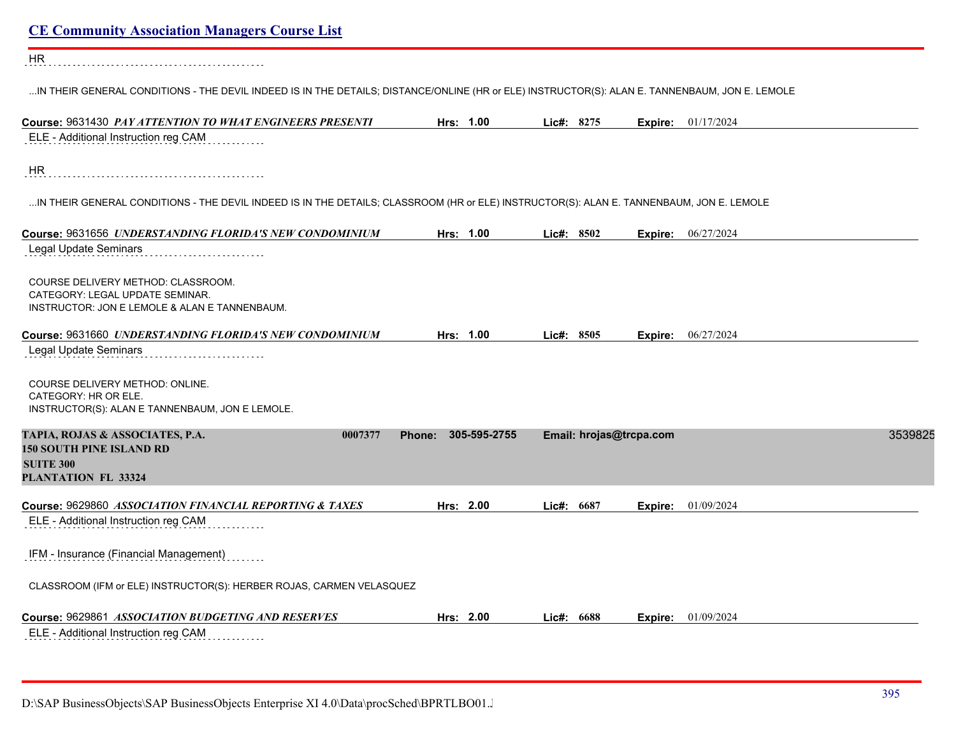| <b>CE Community Association Managers Course List</b>                                                                                           |                     |                         |         |                           |         |
|------------------------------------------------------------------------------------------------------------------------------------------------|---------------------|-------------------------|---------|---------------------------|---------|
| HR                                                                                                                                             |                     |                         |         |                           |         |
| IN THEIR GENERAL CONDITIONS - THE DEVIL INDEED IS IN THE DETAILS; DISTANCE/ONLINE (HR or ELE) INSTRUCTOR(S): ALAN E. TANNENBAUM, JON E. LEMOLE |                     |                         |         |                           |         |
| Course: 9631430 PAY ATTENTION TO WHAT ENGINEERS PRESENTI                                                                                       | Hrs: 1.00           | Lic#: 8275              | Expire: | 01/17/2024                |         |
| ELE - Additional Instruction reg CAM                                                                                                           |                     |                         |         |                           |         |
| HR                                                                                                                                             |                     |                         |         |                           |         |
| IN THEIR GENERAL CONDITIONS - THE DEVIL INDEED IS IN THE DETAILS; CLASSROOM (HR or ELE) INSTRUCTOR(S): ALAN E. TANNENBAUM, JON E. LEMOLE       |                     |                         |         |                           |         |
| Course: 9631656 UNDERSTANDING FLORIDA'S NEW CONDOMINIUM                                                                                        | Hrs: 1.00           | Lic#: 8502              | Expire: | 06/27/2024                |         |
| Legal Update Seminars                                                                                                                          |                     |                         |         |                           |         |
| COURSE DELIVERY METHOD: CLASSROOM.<br>CATEGORY: LEGAL UPDATE SEMINAR.<br>INSTRUCTOR: JON E LEMOLE & ALAN E TANNENBAUM.                         |                     |                         |         |                           |         |
| Course: 9631660 UNDERSTANDING FLORIDA'S NEW CONDOMINIUM                                                                                        | Hrs: 1.00           | Lie#: 8505              |         | <b>Expire:</b> 06/27/2024 |         |
| Legal Update Seminars                                                                                                                          |                     |                         |         |                           |         |
| COURSE DELIVERY METHOD: ONLINE.<br>CATEGORY: HR OR ELE.<br>INSTRUCTOR(S): ALAN E TANNENBAUM, JON E LEMOLE.                                     |                     |                         |         |                           |         |
| TAPIA, ROJAS & ASSOCIATES, P.A.<br>0007377                                                                                                     | Phone: 305-595-2755 | Email: hrojas@trcpa.com |         |                           | 3539825 |
| <b>150 SOUTH PINE ISLAND RD</b><br><b>SUITE 300</b>                                                                                            |                     |                         |         |                           |         |
| PLANTATION FL 33324                                                                                                                            |                     |                         |         |                           |         |
| Course: 9629860 ASSOCIATION FINANCIAL REPORTING & TAXES                                                                                        | Hrs: 2.00           | Lic#: 6687              | Expire: | 01/09/2024                |         |
| ELE - Additional Instruction reg CAM                                                                                                           |                     |                         |         |                           |         |
| IFM - Insurance (Financial Management)                                                                                                         |                     |                         |         |                           |         |
| CLASSROOM (IFM or ELE) INSTRUCTOR(S): HERBER ROJAS, CARMEN VELASQUEZ                                                                           |                     |                         |         |                           |         |
| Course: 9629861 ASSOCIATION BUDGETING AND RESERVES                                                                                             | Hrs: 2.00           | Lic#: 6688              | Expire: | 01/09/2024                |         |
| ELE - Additional Instruction reg CAM                                                                                                           |                     |                         |         |                           |         |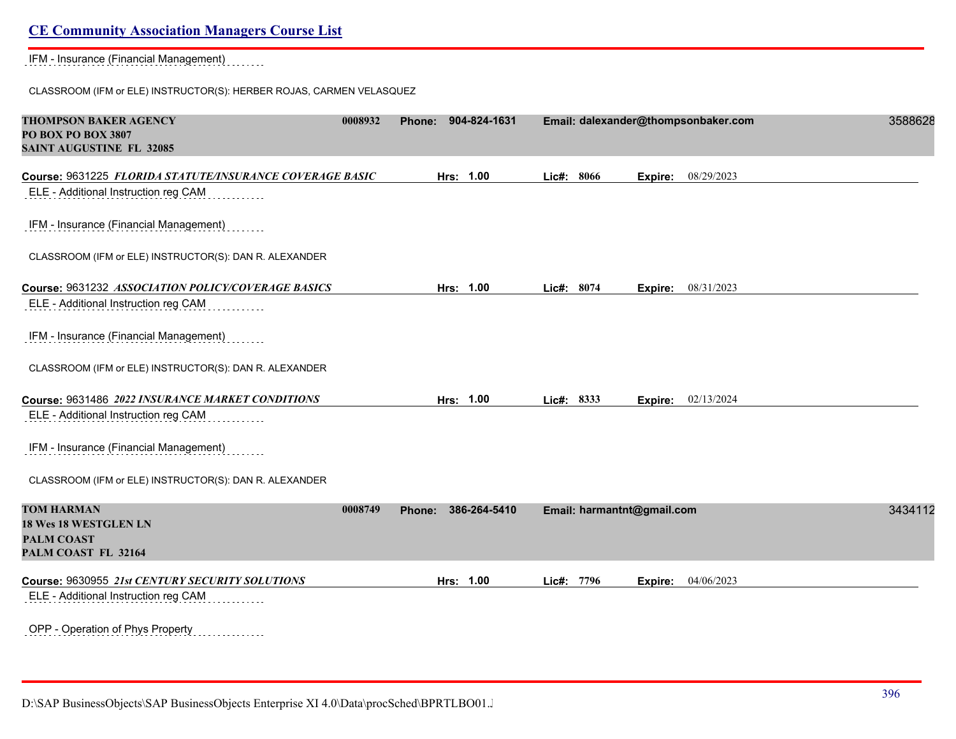IFM - Insurance (Financial Management)

CLASSROOM (IFM or ELE) INSTRUCTOR(S): HERBER ROJAS, CARMEN VELASQUEZ

| <b>THOMPSON BAKER AGENCY</b><br>PO BOX PO BOX 3807<br><b>SAINT AUGUSTINE FL 32085</b>            | 0008932 | 904-824-1631<br>Phone: |                            | Email: dalexander@thompsonbaker.com | 3588628 |
|--------------------------------------------------------------------------------------------------|---------|------------------------|----------------------------|-------------------------------------|---------|
| Course: 9631225 FLORIDA STATUTE/INSURANCE COVERAGE BASIC<br>ELE - Additional Instruction reg CAM |         | Hrs: 1.00              | Lic#: 8066                 | 08/29/2023<br>Expire:               |         |
| IFM - Insurance (Financial Management)                                                           |         |                        |                            |                                     |         |
| CLASSROOM (IFM or ELE) INSTRUCTOR(S): DAN R. ALEXANDER                                           |         |                        |                            |                                     |         |
| Course: 9631232 ASSOCIATION POLICY/COVERAGE BASICS<br>ELE - Additional Instruction reg CAM       |         | Hrs: 1.00              | Lic#: 8074                 | <b>Expire:</b> 08/31/2023           |         |
| IFM - Insurance (Financial Management)                                                           |         |                        |                            |                                     |         |
| CLASSROOM (IFM or ELE) INSTRUCTOR(S): DAN R. ALEXANDER                                           |         |                        |                            |                                     |         |
| Course: 9631486 2022 INSURANCE MARKET CONDITIONS                                                 |         | Hrs: 1.00              | Lic#: 8333                 | Expire: 02/13/2024                  |         |
| ELE - Additional Instruction reg CAM                                                             |         |                        |                            |                                     |         |
| IFM - Insurance (Financial Management)                                                           |         |                        |                            |                                     |         |
| CLASSROOM (IFM or ELE) INSTRUCTOR(S): DAN R. ALEXANDER                                           |         |                        |                            |                                     |         |
| <b>TOM HARMAN</b><br>18 Wes 18 WESTGLEN LN<br><b>PALM COAST</b><br>PALM COAST FL 32164           | 0008749 | 386-264-5410<br>Phone: | Email: harmantnt@gmail.com |                                     | 3434112 |
| Course: 9630955 21st CENTURY SECURITY SOLUTIONS                                                  |         | Hrs: 1.00              | Lic#: 7796                 | 04/06/2023<br>Expire:               |         |
| ELE - Additional Instruction reg CAM                                                             |         |                        |                            |                                     |         |
| OPP - Operation of Phys Property<br>.                                                            |         |                        |                            |                                     |         |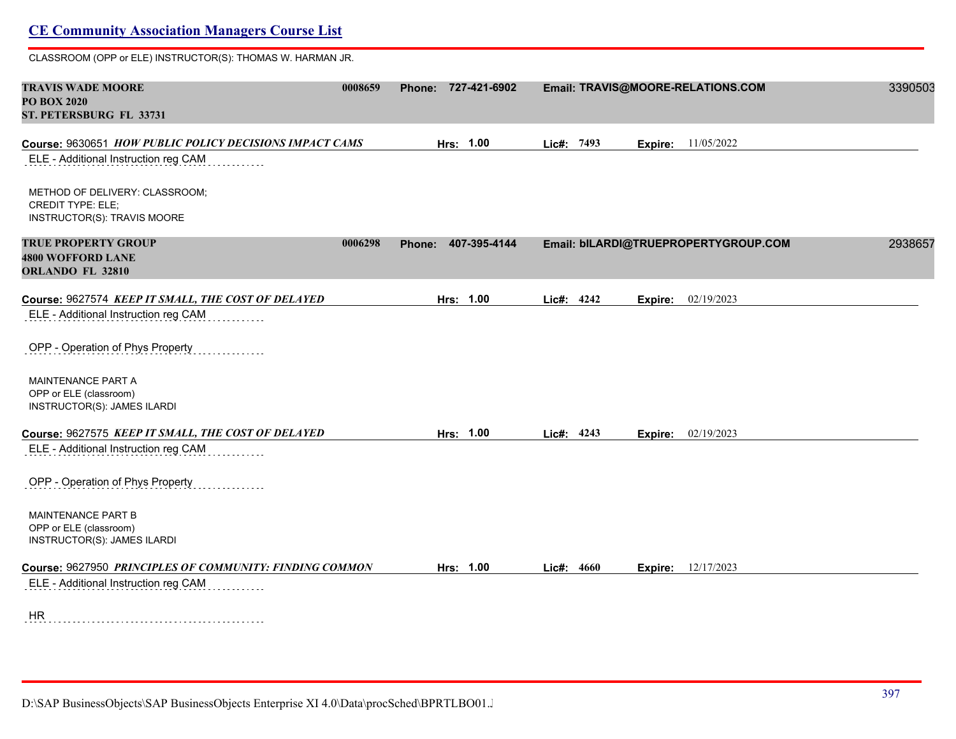# **CE Community Association Managers Course List** CLASSROOM (OPP or ELE) INSTRUCTOR(S): THOMAS W. HARMAN JR. **TRAVIS WADE MOORE 0008659 Phone: 727-421-6902 Email: TRAVIS@MOORE-RELATIONS.COM** 33905034 **PO BOX 2020 ST. PETERSBURG FL 33731 Course:** 9630651 *HOW PUBLIC POLICY DECISIONS IMPACT CAMS* **Hrs: 1.00 Lic#: 7493 Expire:** 11/05/2022 ELE - Additional Instruction reg CAM METHOD OF DELIVERY: CLASSROOM; CREDIT TYPE: ELE; INSTRUCTOR(S): TRAVIS MOORE **TRUE PROPERTY GROUP 0006298 Phone: 407-395-4144 Email: bILARDI@TRUEPROPERTYGROUP.COM** 29386579 **4800 WOFFORD LANE ORLANDO FL 32810 Course:** 9627574 *KEEP IT SMALL, THE COST OF DELAYED* **Hrs: 1.00 Lic#: 4242 Expire:** 02/19/2023 ELE - Additional Instruction reg CAM OPP - Operation of Phys Property MAINTENANCE PART A OPP or ELE (classroom) INSTRUCTOR(S): JAMES ILARDI **Course:** 9627575 *KEEP IT SMALL, THE COST OF DELAYED* **Hrs: 1.00 Lic#: 4243 Expire:** 02/19/2023 ELE - Additional Instruction reg CAM <u>. . . . . . . . .</u> OPP - Operation of Phys Property MAINTENANCE PART B OPP or ELE (classroom) INSTRUCTOR(S): JAMES ILARDI **Course:** 9627950 *PRINCIPLES OF COMMUNITY: FINDING COMMON* **Hrs: 1.00 Lic#: 4660 Expire:** 12/17/2023 ELE - Additional Instruction reg CAM HR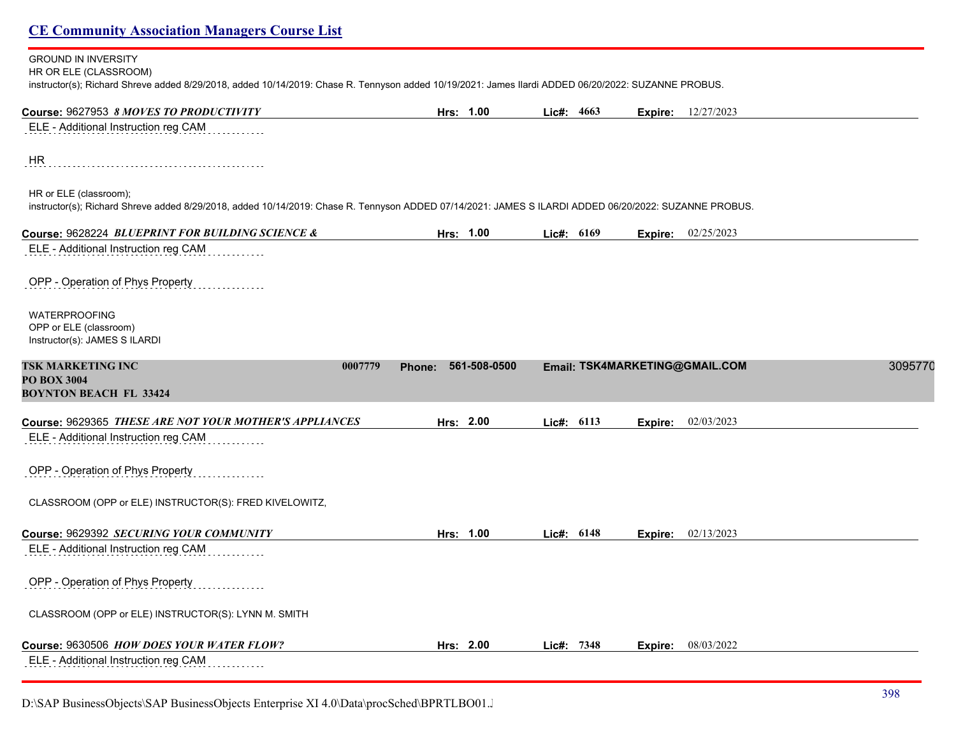#### GROUND IN INVERSITY

HR OR ELE (CLASSROOM)

instructor(s); Richard Shreve added 8/29/2018, added 10/14/2019: Chase R. Tennyson added 10/19/2021: James Ilardi ADDED 06/20/2022: SUZANNE PROBUS.

| Course: 9627953 8 MOVES TO PRODUCTIVITY                                                                                                                                         | Hrs: 1.00                     | Lic#: 4663 |            | Expire: | 12/27/2023                                |
|---------------------------------------------------------------------------------------------------------------------------------------------------------------------------------|-------------------------------|------------|------------|---------|-------------------------------------------|
| ELE - Additional Instruction reg CAM                                                                                                                                            |                               |            |            |         |                                           |
| HR                                                                                                                                                                              |                               |            |            |         |                                           |
| HR or ELE (classroom);<br>instructor(s); Richard Shreve added 8/29/2018, added 10/14/2019: Chase R. Tennyson ADDED 07/14/2021: JAMES S ILARDI ADDED 06/20/2022: SUZANNE PROBUS. |                               |            |            |         |                                           |
| Course: 9628224 BLUEPRINT FOR BUILDING SCIENCE &                                                                                                                                | Hrs: 1.00                     |            | Lic#: 6169 |         | Expire: 02/25/2023                        |
| ELE - Additional Instruction reg CAM                                                                                                                                            |                               |            |            |         |                                           |
| OPP - Operation of Phys Property                                                                                                                                                |                               |            |            |         |                                           |
| <b>WATERPROOFING</b><br>OPP or ELE (classroom)<br>Instructor(s): JAMES S ILARDI                                                                                                 |                               |            |            |         |                                           |
| <b>TSK MARKETING INC</b><br>0007779<br><b>PO BOX 3004</b><br><b>BOYNTON BEACH FL 33424</b>                                                                                      | 561-508-0500<br><b>Phone:</b> |            |            |         | 3095770<br>Email: TSK4MARKETING@GMAIL.COM |
| Course: 9629365 THESE ARE NOT YOUR MOTHER'S APPLIANCES                                                                                                                          | Hrs: 2.00                     |            | Lic#: 6113 | Expire: | 02/03/2023                                |
| ELE - Additional Instruction reg CAM                                                                                                                                            |                               |            |            |         |                                           |
| OPP - Operation of Phys Property                                                                                                                                                |                               |            |            |         |                                           |
| CLASSROOM (OPP or ELE) INSTRUCTOR(S): FRED KIVELOWITZ,                                                                                                                          |                               |            |            |         |                                           |
| Course: 9629392 SECURING YOUR COMMUNITY                                                                                                                                         | Hrs: 1.00                     |            | Lic#: 6148 | Expire: | 02/13/2023                                |
| ELE - Additional Instruction reg CAM                                                                                                                                            |                               |            |            |         |                                           |
| OPP - Operation of Phys Property                                                                                                                                                |                               |            |            |         |                                           |
| CLASSROOM (OPP or ELE) INSTRUCTOR(S): LYNN M. SMITH                                                                                                                             |                               |            |            |         |                                           |
| Course: 9630506 HOW DOES YOUR WATER FLOW?                                                                                                                                       | Hrs: 2.00                     |            | Lic#: 7348 |         | <b>Expire:</b> 08/03/2022                 |
| ELE - Additional Instruction reg CAM                                                                                                                                            |                               |            |            |         |                                           |

D:\SAP BusinessObjects\SAP BusinessObjects Enterprise XI 4.0\Data\procSched\BPRTLBO01.J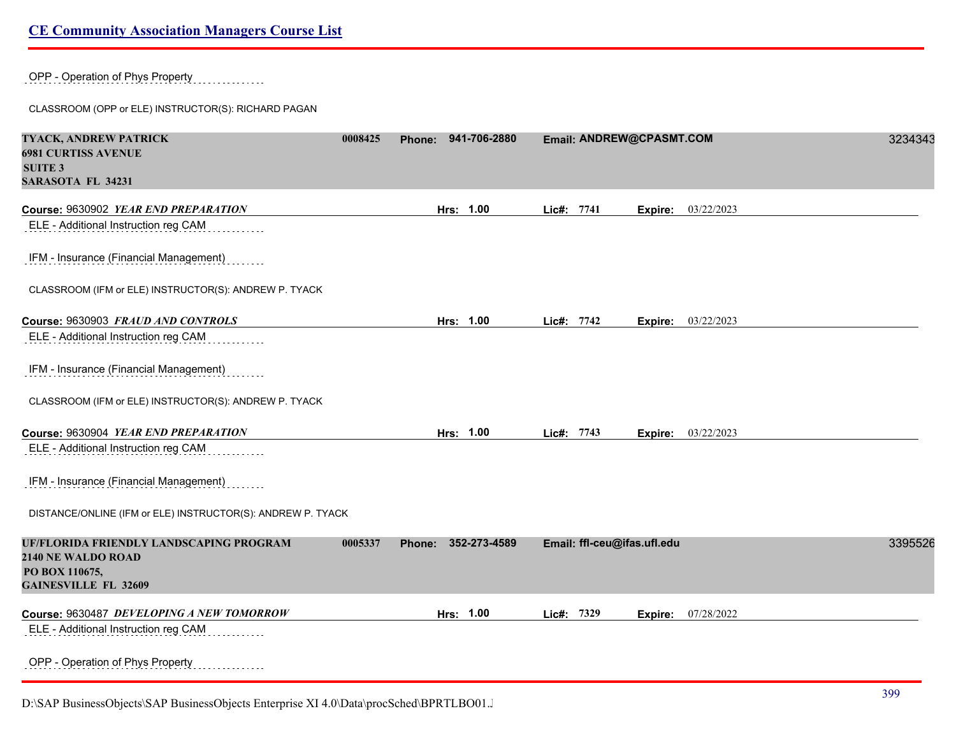OPP - Operation of Phys Property

CLASSROOM (OPP or ELE) INSTRUCTOR(S): RICHARD PAGAN

| TYACK, ANDREW PATRICK<br><b>6981 CURTISS AVENUE</b><br><b>SUITE 3</b><br><b>SARASOTA FL 34231</b> | 0008425 | Phone: 941-706-2880    |            | Email: ANDREW@CPASMT.COM    |         |                    | 3234343 |
|---------------------------------------------------------------------------------------------------|---------|------------------------|------------|-----------------------------|---------|--------------------|---------|
| Course: 9630902 YEAR END PREPARATION                                                              |         | Hrs: 1.00              | Lic#: 7741 |                             | Expire: | 03/22/2023         |         |
| ELE - Additional Instruction reg CAM                                                              |         |                        |            |                             |         |                    |         |
| IFM - Insurance (Financial Management)                                                            |         |                        |            |                             |         |                    |         |
| CLASSROOM (IFM or ELE) INSTRUCTOR(S): ANDREW P. TYACK                                             |         |                        |            |                             |         |                    |         |
| Course: 9630903 FRAUD AND CONTROLS                                                                |         | Hrs: 1.00              | Lic#: 7742 |                             | Expire: | 03/22/2023         |         |
| ELE - Additional Instruction reg CAM                                                              |         |                        |            |                             |         |                    |         |
| IFM - Insurance (Financial Management)                                                            |         |                        |            |                             |         |                    |         |
| CLASSROOM (IFM or ELE) INSTRUCTOR(S): ANDREW P. TYACK                                             |         |                        |            |                             |         |                    |         |
| Course: 9630904 YEAR END PREPARATION                                                              |         | Hrs: 1.00              | Lic#: 7743 |                             |         | Expire: 03/22/2023 |         |
| ELE - Additional Instruction reg CAM                                                              |         |                        |            |                             |         |                    |         |
| IFM - Insurance (Financial Management)                                                            |         |                        |            |                             |         |                    |         |
| DISTANCE/ONLINE (IFM or ELE) INSTRUCTOR(S): ANDREW P. TYACK                                       |         |                        |            |                             |         |                    |         |
| UF/FLORIDA FRIENDLY LANDSCAPING PROGRAM<br>2140 NE WALDO ROAD                                     | 0005337 | Phone:<br>352-273-4589 |            | Email: ffl-ceu@ifas.ufl.edu |         |                    | 3395526 |
| PO BOX 110675,<br><b>GAINESVILLE FL 32609</b>                                                     |         |                        |            |                             |         |                    |         |
| Course: 9630487 DEVELOPING A NEW TOMORROW                                                         |         | Hrs: 1.00              | Lic#: 7329 |                             | Expire: | 07/28/2022         |         |
| ELE - Additional Instruction reg CAM                                                              |         |                        |            |                             |         |                    |         |
| OPP - Operation of Phys Property                                                                  |         |                        |            |                             |         |                    |         |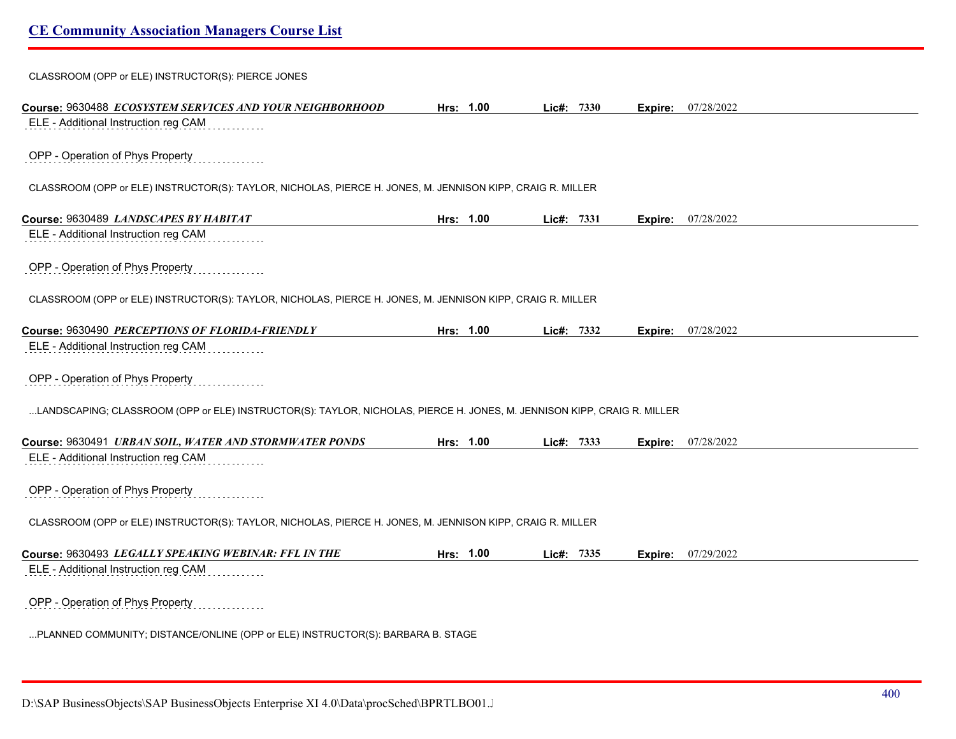| CLASSROOM (OPP or ELE) INSTRUCTOR(S): PIERCE JONES                                                                      |           |           |            |      |         |                           |  |
|-------------------------------------------------------------------------------------------------------------------------|-----------|-----------|------------|------|---------|---------------------------|--|
| Course: 9630488 ECOSYSTEM SERVICES AND YOUR NEIGHBORHOOD                                                                |           | Hrs: 1.00 | $Lie#$ :   | 7330 | Expire: | 07/28/2022                |  |
| ELE - Additional Instruction reg CAM                                                                                    |           |           |            |      |         |                           |  |
| OPP - Operation of Phys Property                                                                                        |           |           |            |      |         |                           |  |
| CLASSROOM (OPP or ELE) INSTRUCTOR(S): TAYLOR, NICHOLAS, PIERCE H. JONES, M. JENNISON KIPP, CRAIG R. MILLER              |           |           |            |      |         |                           |  |
| Course: 9630489 LANDSCAPES BY HABITAT                                                                                   |           | Hrs: 1.00 | Lic#:      | 7331 | Expire: | 07/28/2022                |  |
| ELE - Additional Instruction reg CAM                                                                                    |           |           |            |      |         |                           |  |
| OPP - Operation of Phys Property                                                                                        |           |           |            |      |         |                           |  |
| CLASSROOM (OPP or ELE) INSTRUCTOR(S): TAYLOR, NICHOLAS, PIERCE H. JONES, M. JENNISON KIPP, CRAIG R. MILLER              |           |           |            |      |         |                           |  |
| Course: 9630490 PERCEPTIONS OF FLORIDA-FRIENDLY                                                                         | Hrs: 1.00 |           | Lic#:      | 7332 |         | <b>Expire:</b> 07/28/2022 |  |
| ELE - Additional Instruction reg CAM                                                                                    |           |           |            |      |         |                           |  |
| OPP - Operation of Phys Property                                                                                        |           |           |            |      |         |                           |  |
| LANDSCAPING; CLASSROOM (OPP or ELE) INSTRUCTOR(S): TAYLOR, NICHOLAS, PIERCE H. JONES, M. JENNISON KIPP, CRAIG R. MILLER |           |           |            |      |         |                           |  |
| Course: 9630491 URBAN SOIL, WATER AND STORMWATER PONDS                                                                  | Hrs: 1.00 |           | Lic#: 7333 |      |         | Expire: 07/28/2022        |  |
| ELE - Additional Instruction reg CAM                                                                                    |           |           |            |      |         |                           |  |
| OPP - Operation of Phys Property                                                                                        |           |           |            |      |         |                           |  |
| CLASSROOM (OPP or ELE) INSTRUCTOR(S): TAYLOR, NICHOLAS, PIERCE H. JONES, M. JENNISON KIPP, CRAIG R. MILLER              |           |           |            |      |         |                           |  |
| Course: 9630493 LEGALLY SPEAKING WEBINAR: FFL IN THE                                                                    |           | Hrs: 1.00 | Lic#:      | 7335 |         | <b>Expire:</b> 07/29/2022 |  |
| ELE - Additional Instruction reg CAM                                                                                    |           |           |            |      |         |                           |  |
| OPP - Operation of Phys Property                                                                                        |           |           |            |      |         |                           |  |
| PLANNED COMMUNITY; DISTANCE/ONLINE (OPP or ELE) INSTRUCTOR(S): BARBARA B. STAGE                                         |           |           |            |      |         |                           |  |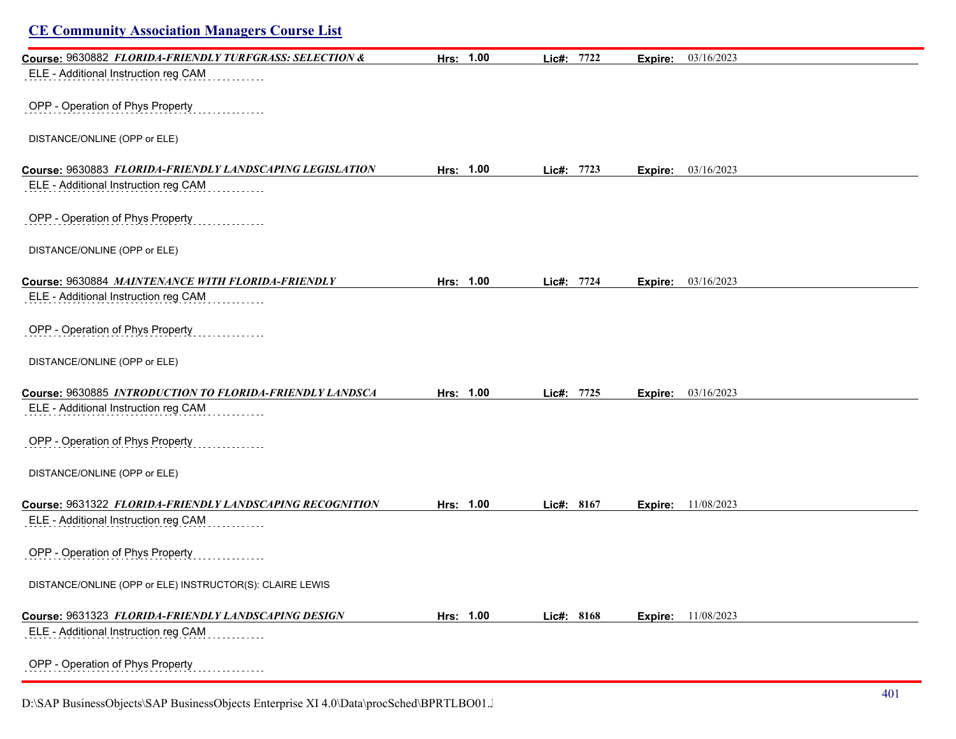| <b>CE Community Association Managers Course List</b>     |           |            |                       |  |
|----------------------------------------------------------|-----------|------------|-----------------------|--|
| Course: 9630882 FLORIDA-FRIENDLY TURFGRASS: SELECTION &  | Hrs: 1.00 | Lic#: 7722 | 03/16/2023<br>Expire: |  |
| ELE - Additional Instruction reg CAM                     |           |            |                       |  |
| OPP - Operation of Phys Property                         |           |            |                       |  |
| DISTANCE/ONLINE (OPP or ELE)                             |           |            |                       |  |
| Course: 9630883 FLORIDA-FRIENDLY LANDSCAPING LEGISLATION | Hrs: 1.00 | Lic#: 7723 | 03/16/2023<br>Expire: |  |
| ELE - Additional Instruction reg CAM                     |           |            |                       |  |
| OPP - Operation of Phys Property                         |           |            |                       |  |
| DISTANCE/ONLINE (OPP or ELE)                             |           |            |                       |  |
| Course: 9630884 MAINTENANCE WITH FLORIDA-FRIENDLY        | Hrs: 1.00 | Lic#: 7724 | 03/16/2023<br>Expire: |  |
| ELE - Additional Instruction reg CAM                     |           |            |                       |  |
| OPP - Operation of Phys Property                         |           |            |                       |  |
| DISTANCE/ONLINE (OPP or ELE)                             |           |            |                       |  |
| Course: 9630885 INTRODUCTION TO FLORIDA-FRIENDLY LANDSCA | Hrs: 1.00 | Lic#: 7725 | 03/16/2023<br>Expire: |  |
| ELE - Additional Instruction reg CAM                     |           |            |                       |  |
| OPP - Operation of Phys Property                         |           |            |                       |  |
| DISTANCE/ONLINE (OPP or ELE)                             |           |            |                       |  |
| Course: 9631322 FLORIDA-FRIENDLY LANDSCAPING RECOGNITION | Hrs: 1.00 | Lic#: 8167 | 11/08/2023<br>Expire: |  |
| ELE - Additional Instruction reg CAM                     |           |            |                       |  |
| OPP - Operation of Phys Property                         |           |            |                       |  |
| DISTANCE/ONLINE (OPP or ELE) INSTRUCTOR(S): CLAIRE LEWIS |           |            |                       |  |
| Course: 9631323 FLORIDA-FRIENDLY LANDSCAPING DESIGN      | Hrs: 1.00 | Lic#: 8168 | 11/08/2023<br>Expire: |  |
| ELE - Additional Instruction reg CAM                     |           |            |                       |  |
| OPP - Operation of Phys Property                         |           |            |                       |  |

D:\SAP BusinessObjects\SAP BusinessObjects Enterprise XI 4.0\Data\procSched\BPRTLBO01.J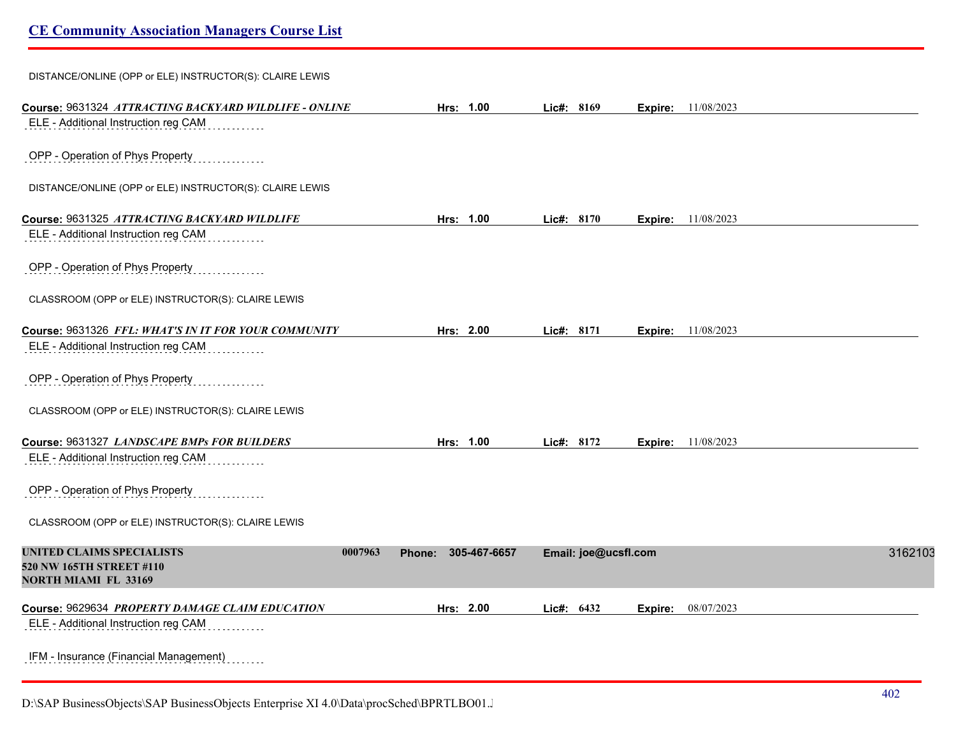| DISTANCE/ONLINE (OPP or ELE) INSTRUCTOR(S): CLAIRE LEWIS |  |  |
|----------------------------------------------------------|--|--|
|                                                          |  |  |

| Course: 9631324 ATTRACTING BACKYARD WILDLIFE - ONLINE                                                  | Hrs: 1.00              | Lic#: 8169           | Expire: | 11/08/2023                |         |
|--------------------------------------------------------------------------------------------------------|------------------------|----------------------|---------|---------------------------|---------|
| ELE - Additional Instruction reg CAM                                                                   |                        |                      |         |                           |         |
| OPP - Operation of Phys Property                                                                       |                        |                      |         |                           |         |
| DISTANCE/ONLINE (OPP or ELE) INSTRUCTOR(S): CLAIRE LEWIS                                               |                        |                      |         |                           |         |
| Course: 9631325 ATTRACTING BACKYARD WILDLIFE                                                           | Hrs: 1.00              | Lic#: 8170           |         | <b>Expire:</b> 11/08/2023 |         |
| ELE - Additional Instruction reg CAM                                                                   |                        |                      |         |                           |         |
| OPP - Operation of Phys Property                                                                       |                        |                      |         |                           |         |
| CLASSROOM (OPP or ELE) INSTRUCTOR(S): CLAIRE LEWIS                                                     |                        |                      |         |                           |         |
| Course: 9631326 FFL: WHAT'S IN IT FOR YOUR COMMUNITY                                                   | Hrs: 2.00              | Lic#: 8171           |         | <b>Expire:</b> 11/08/2023 |         |
| ELE - Additional Instruction reg CAM                                                                   |                        |                      |         |                           |         |
| OPP - Operation of Phys Property                                                                       |                        |                      |         |                           |         |
| CLASSROOM (OPP or ELE) INSTRUCTOR(S): CLAIRE LEWIS                                                     |                        |                      |         |                           |         |
| Course: 9631327 LANDSCAPE BMPs FOR BUILDERS                                                            | Hrs: 1.00              | Lic#: 8172           |         | Expire: 11/08/2023        |         |
| ELE - Additional Instruction reg CAM                                                                   |                        |                      |         |                           |         |
| OPP - Operation of Phys Property                                                                       |                        |                      |         |                           |         |
| CLASSROOM (OPP or ELE) INSTRUCTOR(S): CLAIRE LEWIS                                                     |                        |                      |         |                           |         |
| <b>UNITED CLAIMS SPECIALISTS</b><br>0007963<br>520 NW 165TH STREET #110<br><b>NORTH MIAMI FL 33169</b> | 305-467-6657<br>Phone: | Email: joe@ucsfl.com |         |                           | 3162103 |
| Course: 9629634 PROPERTY DAMAGE CLAIM EDUCATION                                                        | Hrs: 2.00              | Lic#: 6432           | Expire: | 08/07/2023                |         |
| ELE - Additional Instruction reg CAM                                                                   |                        |                      |         |                           |         |
| IFM - Insurance (Financial Management)                                                                 |                        |                      |         |                           |         |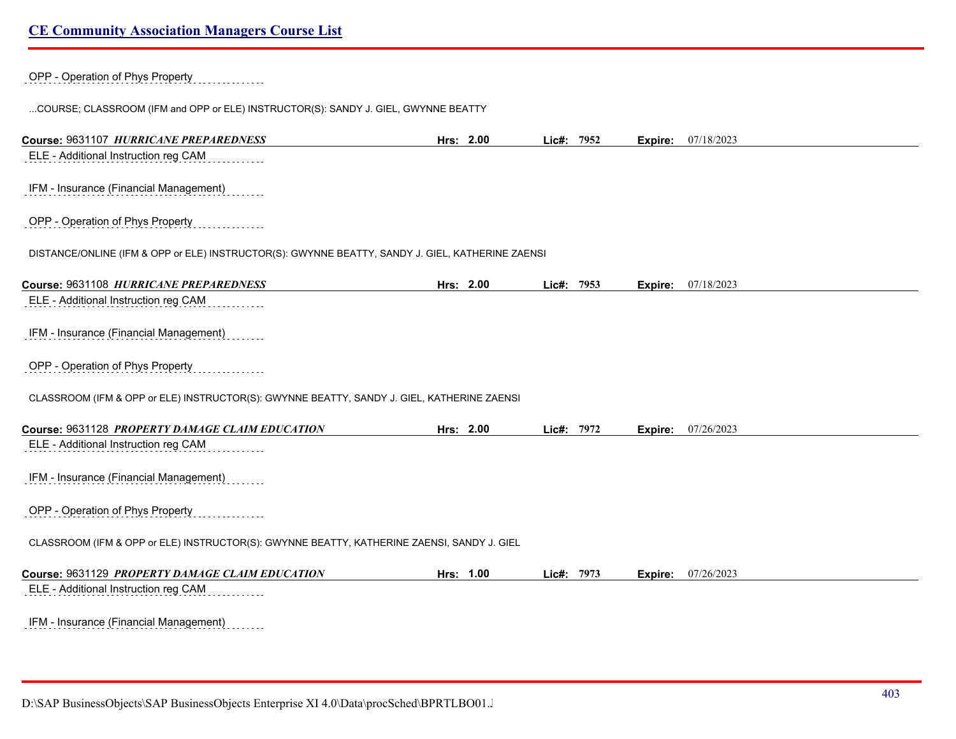# OPP - Operation of Phys Property

...COURSE; CLASSROOM (IFM and OPP or ELE) INSTRUCTOR(S): SANDY J. GIEL, GWYNNE BEATTY

| Course: 9631107 HURRICANE PREPAREDNESS                                                           | Hrs: 2.00 | Lic#:    | 7952 | Expire: | 07/18/2023 |
|--------------------------------------------------------------------------------------------------|-----------|----------|------|---------|------------|
| ELE - Additional Instruction reg CAM                                                             |           |          |      |         |            |
|                                                                                                  |           |          |      |         |            |
| IFM - Insurance (Financial Management)                                                           |           |          |      |         |            |
| OPP - Operation of Phys Property                                                                 |           |          |      |         |            |
| DISTANCE/ONLINE (IFM & OPP or ELE) INSTRUCTOR(S): GWYNNE BEATTY, SANDY J. GIEL, KATHERINE ZAENSI |           |          |      |         |            |
| Course: 9631108 HURRICANE PREPAREDNESS                                                           | Hrs: 2.00 | Lie#:    | 7953 | Expire: | 07/18/2023 |
| ELE - Additional Instruction reg CAM                                                             |           |          |      |         |            |
| IFM - Insurance (Financial Management)                                                           |           |          |      |         |            |
| OPP - Operation of Phys Property                                                                 |           |          |      |         |            |
| CLASSROOM (IFM & OPP or ELE) INSTRUCTOR(S): GWYNNE BEATTY, SANDY J. GIEL, KATHERINE ZAENSI       |           |          |      |         |            |
| Course: 9631128 PROPERTY DAMAGE CLAIM EDUCATION                                                  | Hrs: 2.00 | Lie#:    | 7972 | Expire: | 07/26/2023 |
| ELE - Additional Instruction reg CAM                                                             |           |          |      |         |            |
| IFM - Insurance (Financial Management)                                                           |           |          |      |         |            |
| OPP - Operation of Phys Property                                                                 |           |          |      |         |            |
| CLASSROOM (IFM & OPP or ELE) INSTRUCTOR(S): GWYNNE BEATTY, KATHERINE ZAENSI, SANDY J. GIEL       |           |          |      |         |            |
| Course: 9631129 PROPERTY DAMAGE CLAIM EDUCATION                                                  | Hrs: 1.00 | $Lie#$ : | 7973 | Expire: | 07/26/2023 |
| ELE - Additional Instruction reg CAM                                                             |           |          |      |         |            |
| IFM - Insurance (Financial Management)                                                           |           |          |      |         |            |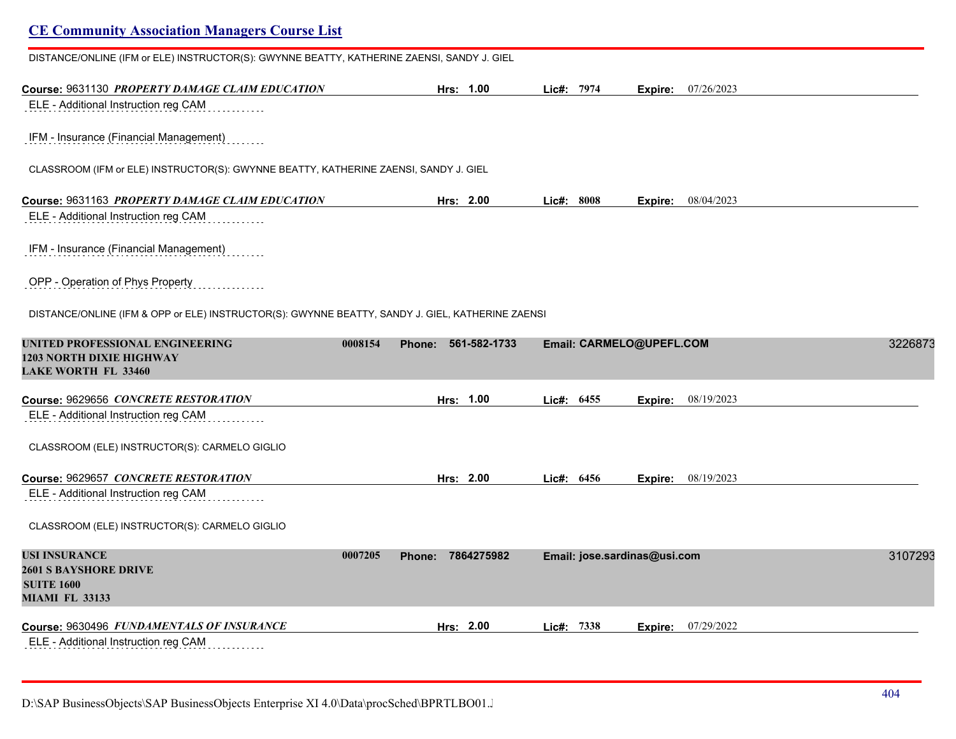| DISTANCE/ONLINE (IFM or ELE) INSTRUCTOR(S): GWYNNE BEATTY, KATHERINE ZAENSI, SANDY J. GIEL       |                                   |              |                              |         |
|--------------------------------------------------------------------------------------------------|-----------------------------------|--------------|------------------------------|---------|
| Course: 9631130 PROPERTY DAMAGE CLAIM EDUCATION                                                  | Hrs: 1.00                         | Lic#: 7974   | 07/26/2023<br>Expire:        |         |
| ELE - Additional Instruction reg CAM                                                             |                                   |              |                              |         |
| IFM - Insurance (Financial Management)                                                           |                                   |              |                              |         |
| CLASSROOM (IFM or ELE) INSTRUCTOR(S): GWYNNE BEATTY, KATHERINE ZAENSI, SANDY J. GIEL             |                                   |              |                              |         |
| Course: 9631163 PROPERTY DAMAGE CLAIM EDUCATION                                                  | Hrs: 2.00                         | Lic#: 8008   | 08/04/2023<br>Expire:        |         |
| ELE - Additional Instruction reg CAM                                                             |                                   |              |                              |         |
| IFM - Insurance (Financial Management)                                                           |                                   |              |                              |         |
| OPP - Operation of Phys Property                                                                 |                                   |              |                              |         |
| DISTANCE/ONLINE (IFM & OPP or ELE) INSTRUCTOR(S): GWYNNE BEATTY, SANDY J. GIEL, KATHERINE ZAENSI |                                   |              |                              |         |
| UNITED PROFESSIONAL ENGINEERING<br>1203 NORTH DIXIE HIGHWAY<br><b>LAKE WORTH FL 33460</b>        | 0008154<br>561-582-1733<br>Phone: |              | Email: CARMELO@UPEFL.COM     | 3226873 |
| Course: 9629656 <i>CONCRETE RESTORATION</i>                                                      | Hrs: 1.00                         | Lic#: 6455   | 08/19/2023<br>Expire:        |         |
| ELE - Additional Instruction reg CAM                                                             |                                   |              |                              |         |
| CLASSROOM (ELE) INSTRUCTOR(S): CARMELO GIGLIO                                                    |                                   |              |                              |         |
| Course: 9629657 CONCRETE RESTORATION                                                             | Hrs: 2.00                         | Lic#: $6456$ | 08/19/2023<br>Expire:        |         |
| ELE - Additional Instruction reg CAM                                                             |                                   |              |                              |         |
| CLASSROOM (ELE) INSTRUCTOR(S): CARMELO GIGLIO                                                    |                                   |              |                              |         |
| USI INSURANCE                                                                                    | 0007205<br>7864275982<br>Phone:   |              | Email: jose.sardinas@usi.com | 3107293 |
| <b>2601 S BAYSHORE DRIVE</b><br><b>SUITE 1600</b>                                                |                                   |              |                              |         |
| <b>MIAMI FL 33133</b>                                                                            |                                   |              |                              |         |
| Course: 9630496 FUNDAMENTALS OF INSURANCE                                                        | Hrs: 2.00                         | Lic#: 7338   | 07/29/2022<br>Expire:        |         |
| ELE - Additional Instruction reg CAM                                                             |                                   |              |                              |         |
|                                                                                                  |                                   |              |                              |         |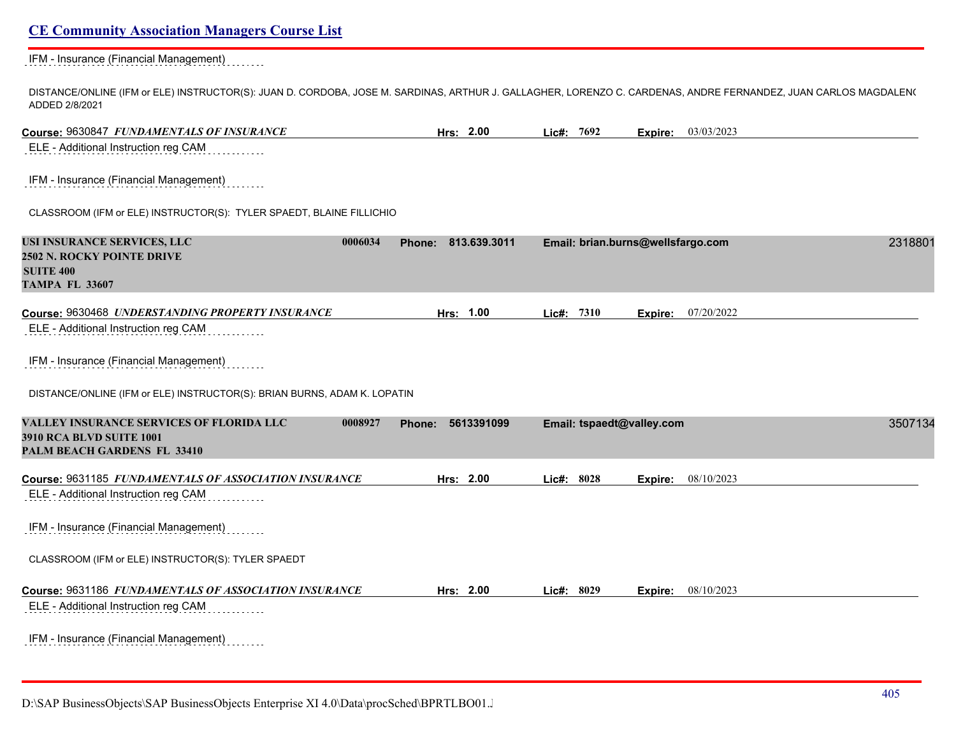## IFM - Insurance (Financial Management)

DISTANCE/ONLINE (IFM or ELE) INSTRUCTOR(S): JUAN D. CORDOBA, JOSE M. SARDINAS, ARTHUR J. GALLAGHER, LORENZO C. CARDENAS, ANDRE FERNANDEZ, JUAN CARLOS MAGDALEN( ADDED 2/8/2021

| Course: 9630847 FUNDAMENTALS OF INSURANCE                                                                             | Hrs: 2.00                   | Lic#: 7692                | <b>Expire:</b> 03/03/2023         |         |
|-----------------------------------------------------------------------------------------------------------------------|-----------------------------|---------------------------|-----------------------------------|---------|
| ELE - Additional Instruction reg CAM                                                                                  |                             |                           |                                   |         |
| IFM - Insurance (Financial Management)                                                                                |                             |                           |                                   |         |
| CLASSROOM (IFM or ELE) INSTRUCTOR(S): TYLER SPAEDT, BLAINE FILLICHIO                                                  |                             |                           |                                   |         |
| USI INSURANCE SERVICES, LLC<br>0006034<br>2502 N. ROCKY POINTE DRIVE<br><b>SUITE 400</b><br><b>TAMPA FL 33607</b>     | Phone: 813.639.3011         |                           | Email: brian.burns@wellsfargo.com | 2318801 |
| Course: 9630468 UNDERSTANDING PROPERTY INSURANCE                                                                      | Hrs: 1.00                   | Lic#: 7310                | 07/20/2022<br>Expire:             |         |
| ELE - Additional Instruction reg CAM                                                                                  |                             |                           |                                   |         |
| IFM - Insurance (Financial Management)                                                                                |                             |                           |                                   |         |
| DISTANCE/ONLINE (IFM or ELE) INSTRUCTOR(S): BRIAN BURNS, ADAM K. LOPATIN                                              |                             |                           |                                   |         |
| VALLEY INSURANCE SERVICES OF FLORIDA LLC<br>0008927<br><b>3910 RCA BLVD SUITE 1001</b><br>PALM BEACH GARDENS FL 33410 | 5613391099<br><b>Phone:</b> | Email: tspaedt@valley.com |                                   | 3507134 |
| Course: 9631185 FUNDAMENTALS OF ASSOCIATION INSURANCE                                                                 | Hrs: 2.00                   | Lic#: 8028                | 08/10/2023<br>Expire:             |         |
| ELE - Additional Instruction reg CAM                                                                                  |                             |                           |                                   |         |
| IFM - Insurance (Financial Management)                                                                                |                             |                           |                                   |         |
| CLASSROOM (IFM or ELE) INSTRUCTOR(S): TYLER SPAEDT                                                                    |                             |                           |                                   |         |
| Course: 9631186 FUNDAMENTALS OF ASSOCIATION INSURANCE<br>ELE - Additional Instruction reg CAM                         | Hrs: 2.00                   | Lic#: 8029                | 08/10/2023<br>Expire:             |         |
| IFM - Insurance (Financial Management)                                                                                |                             |                           |                                   |         |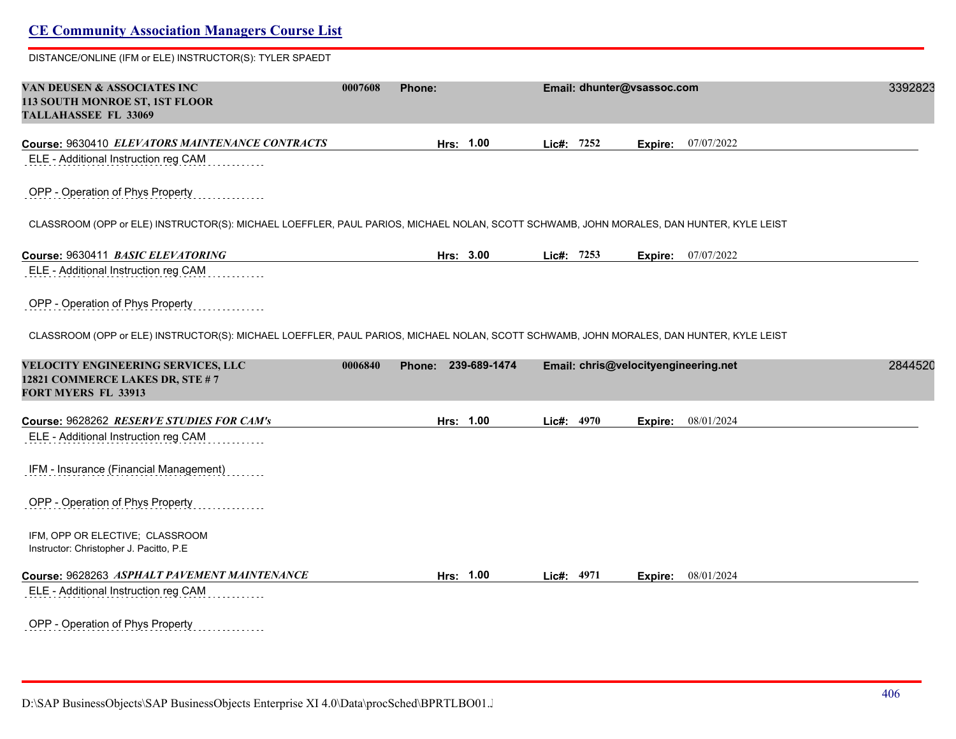| <b>CE Community Association Managers Course List</b>                                                                                    |         |                     |            |            |                            |                                      |         |
|-----------------------------------------------------------------------------------------------------------------------------------------|---------|---------------------|------------|------------|----------------------------|--------------------------------------|---------|
| DISTANCE/ONLINE (IFM or ELE) INSTRUCTOR(S): TYLER SPAEDT                                                                                |         |                     |            |            |                            |                                      |         |
| <b>VAN DEUSEN &amp; ASSOCIATES INC</b><br><b>113 SOUTH MONROE ST, 1ST FLOOR</b><br>TALLAHASSEE FL 33069                                 | 0007608 | <b>Phone:</b>       |            |            | Email: dhunter@vsassoc.com |                                      | 3392823 |
| Course: 9630410 ELEVATORS MAINTENANCE CONTRACTS                                                                                         |         | Hrs: 1.00           |            | Lic#: 7252 | Expire:                    | 07/07/2022                           |         |
| ELE - Additional Instruction reg CAM                                                                                                    |         |                     |            |            |                            |                                      |         |
| OPP - Operation of Phys Property                                                                                                        |         |                     |            |            |                            |                                      |         |
| CLASSROOM (OPP or ELE) INSTRUCTOR(S): MICHAEL LOEFFLER, PAUL PARIOS, MICHAEL NOLAN, SCOTT SCHWAMB, JOHN MORALES, DAN HUNTER, KYLE LEIST |         |                     |            |            |                            |                                      |         |
| Course: 9630411 BASIC ELEVATORING                                                                                                       |         | Hrs: 3.00           |            | Lic#: 7253 |                            | <b>Expire:</b> 07/07/2022            |         |
| ELE - Additional Instruction reg CAM                                                                                                    |         |                     |            |            |                            |                                      |         |
| OPP - Operation of Phys Property                                                                                                        |         |                     |            |            |                            |                                      |         |
| CLASSROOM (OPP or ELE) INSTRUCTOR(S): MICHAEL LOEFFLER, PAUL PARIOS, MICHAEL NOLAN, SCOTT SCHWAMB, JOHN MORALES, DAN HUNTER, KYLE LEIST |         |                     |            |            |                            |                                      |         |
| <b>VELOCITY ENGINEERING SERVICES, LLC</b><br>12821 COMMERCE LAKES DR, STE #7<br><b>FORT MYERS FL 33913</b>                              | 0006840 | Phone: 239-689-1474 |            |            |                            | Email: chris@velocityengineering.net | 2844520 |
| Course: 9628262 RESERVE STUDIES FOR CAM's                                                                                               |         | Hrs: 1.00           | Lic#: 4970 |            | Expire:                    | 08/01/2024                           |         |
| ELE - Additional Instruction reg CAM                                                                                                    |         |                     |            |            |                            |                                      |         |
| IFM - Insurance (Financial Management)                                                                                                  |         |                     |            |            |                            |                                      |         |
| OPP - Operation of Phys Property                                                                                                        |         |                     |            |            |                            |                                      |         |
| IFM, OPP OR ELECTIVE; CLASSROOM<br>Instructor: Christopher J. Pacitto, P.E.                                                             |         |                     |            |            |                            |                                      |         |
| Course: 9628263 ASPHALT PAVEMENT MAINTENANCE                                                                                            |         | Hrs: 1.00           | Lic#: 4971 |            |                            | Expire: 08/01/2024                   |         |
| ELE - Additional Instruction reg CAM                                                                                                    |         |                     |            |            |                            |                                      |         |
| OPP - Operation of Phys Property                                                                                                        |         |                     |            |            |                            |                                      |         |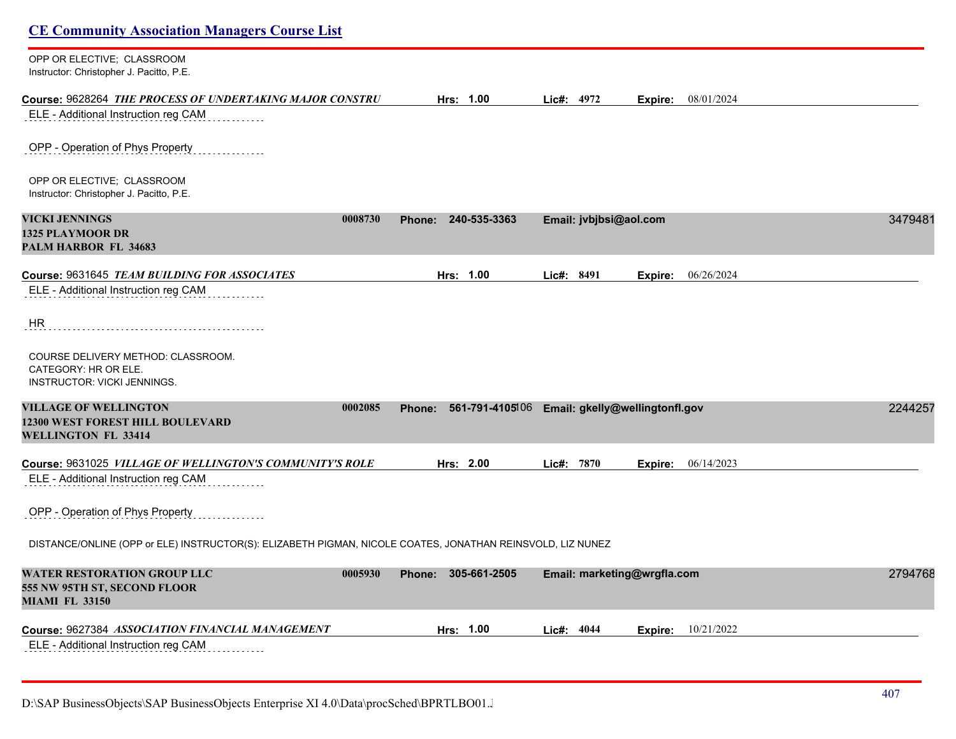| <b>CE Community Association Managers Course List</b>                                                             |                                                          |            |                             |         |                    |         |
|------------------------------------------------------------------------------------------------------------------|----------------------------------------------------------|------------|-----------------------------|---------|--------------------|---------|
| OPP OR ELECTIVE; CLASSROOM<br>Instructor: Christopher J. Pacitto, P.E.                                           |                                                          |            |                             |         |                    |         |
| Course: 9628264 THE PROCESS OF UNDERTAKING MAJOR CONSTRU                                                         | Hrs: 1.00                                                | Lic#: 4972 |                             |         | Expire: 08/01/2024 |         |
| ELE - Additional Instruction reg CAM                                                                             |                                                          |            |                             |         |                    |         |
| OPP - Operation of Phys Property                                                                                 |                                                          |            |                             |         |                    |         |
| OPP OR ELECTIVE; CLASSROOM<br>Instructor: Christopher J. Pacitto, P.E.                                           |                                                          |            |                             |         |                    |         |
| <b>VICKI JENNINGS</b><br>0008730<br><b>1325 PLAYMOOR DR</b><br>PALM HARBOR FL 34683                              | 240-535-3363<br>Phone:                                   |            | Email: jvbjbsi@aol.com      |         |                    | 3479481 |
| Course: 9631645 <i>TEAM BUILDING FOR ASSOCIATES</i>                                                              | Hrs: 1.00                                                | Lic#: 8491 |                             |         | Expire: 06/26/2024 |         |
| ELE - Additional Instruction reg CAM                                                                             |                                                          |            |                             |         |                    |         |
| HR.                                                                                                              |                                                          |            |                             |         |                    |         |
| COURSE DELIVERY METHOD: CLASSROOM.<br>CATEGORY: HR OR ELE.<br><b>INSTRUCTOR: VICKI JENNINGS.</b>                 |                                                          |            |                             |         |                    |         |
| <b>VILLAGE OF WELLINGTON</b><br>0002085<br><b>12300 WEST FOREST HILL BOULEVARD</b><br><b>WELLINGTON FL 33414</b> | 561-791-4105106 Email: gkelly@wellingtonfl.gov<br>Phone: |            |                             |         |                    | 2244257 |
| Course: 9631025 <i>VILLAGE OF WELLINGTON'S COMMUNITY'S ROLE</i>                                                  | Hrs: 2.00                                                | Lic#: 7870 |                             | Expire: | 06/14/2023         |         |
| ELE - Additional Instruction reg CAM                                                                             |                                                          |            |                             |         |                    |         |
| OPP - Operation of Phys Property                                                                                 |                                                          |            |                             |         |                    |         |
| DISTANCE/ONLINE (OPP or ELE) INSTRUCTOR(S): ELIZABETH PIGMAN, NICOLE COATES, JONATHAN REINSVOLD, LIZ NUNEZ       |                                                          |            |                             |         |                    |         |
| <b>WATER RESTORATION GROUP LLC</b><br>0005930<br>555 NW 95TH ST, SECOND FLOOR<br><b>MIAMI FL 33150</b>           | Phone: 305-661-2505                                      |            | Email: marketing@wrgfla.com |         |                    | 2794768 |
| Course: 9627384 ASSOCIATION FINANCIAL MANAGEMENT                                                                 | Hrs: 1.00                                                | Lic#: 4044 |                             | Expire: | 10/21/2022         |         |
| ELE - Additional Instruction reg CAM                                                                             |                                                          |            |                             |         |                    |         |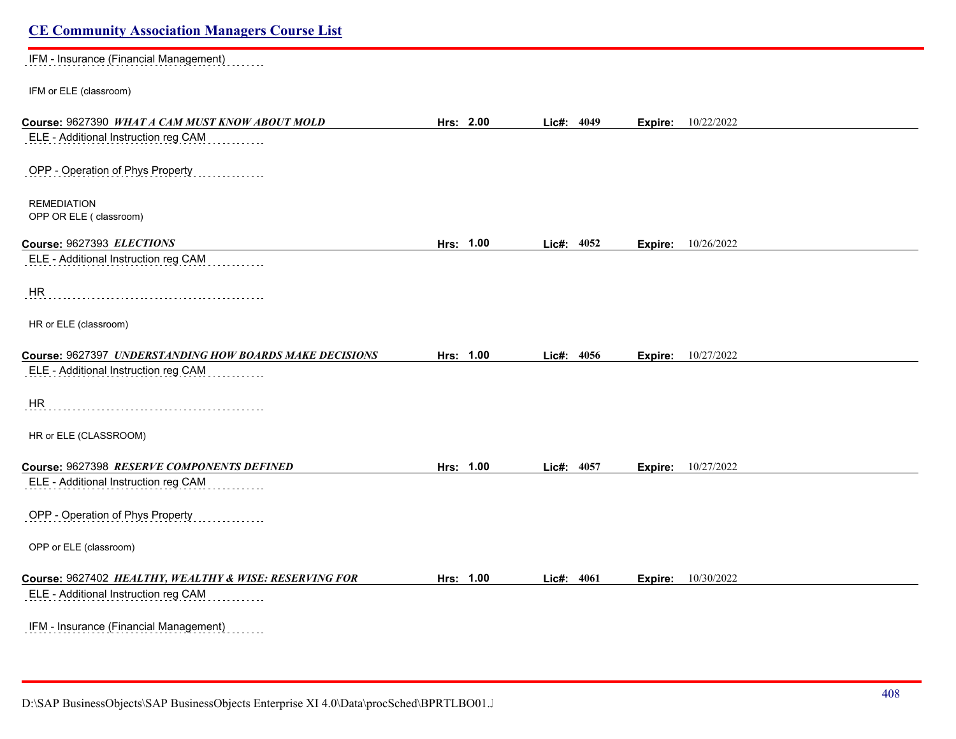| <b>CE Community Association Managers Course List</b>    |           |            |      |         |                           |
|---------------------------------------------------------|-----------|------------|------|---------|---------------------------|
| IFM - Insurance (Financial Management)                  |           |            |      |         |                           |
| IFM or ELE (classroom)                                  |           |            |      |         |                           |
| Course: 9627390 WHAT A CAM MUST KNOW ABOUT MOLD         | Hrs: 2.00 | Lic#: 4049 |      |         | <b>Expire:</b> 10/22/2022 |
| ELE - Additional Instruction reg CAM                    |           |            |      |         |                           |
| OPP - Operation of Phys Property                        |           |            |      |         |                           |
| <b>REMEDIATION</b><br>OPP OR ELE ( classroom)           |           |            |      |         |                           |
| Course: 9627393 ELECTIONS                               | Hrs: 1.00 | Lic#:      | 4052 | Expire: | 10/26/2022                |
| ELE - Additional Instruction reg CAM                    |           |            |      |         |                           |
| HR                                                      |           |            |      |         |                           |
| HR or ELE (classroom)                                   |           |            |      |         |                           |
| Course: 9627397 UNDERSTANDING HOW BOARDS MAKE DECISIONS | Hrs: 1.00 | Lic#: 4056 |      | Expire: | 10/27/2022                |
| ELE - Additional Instruction reg CAM                    |           |            |      |         |                           |
| HR                                                      |           |            |      |         |                           |
| HR or ELE (CLASSROOM)                                   |           |            |      |         |                           |
| Course: 9627398 RESERVE COMPONENTS DEFINED              | Hrs: 1.00 | Lic#: 4057 |      |         | <b>Expire:</b> 10/27/2022 |
| ELE - Additional Instruction reg CAM                    |           |            |      |         |                           |
| OPP - Operation of Phys Property                        |           |            |      |         |                           |
| OPP or ELE (classroom)                                  |           |            |      |         |                           |
| Course: 9627402 HEALTHY, WEALTHY & WISE: RESERVING FOR  | Hrs: 1.00 | Lic#: 4061 |      | Expire: | 10/30/2022                |
| ELE - Additional Instruction reg CAM                    |           |            |      |         |                           |
| IFM - Insurance (Financial Management)                  |           |            |      |         |                           |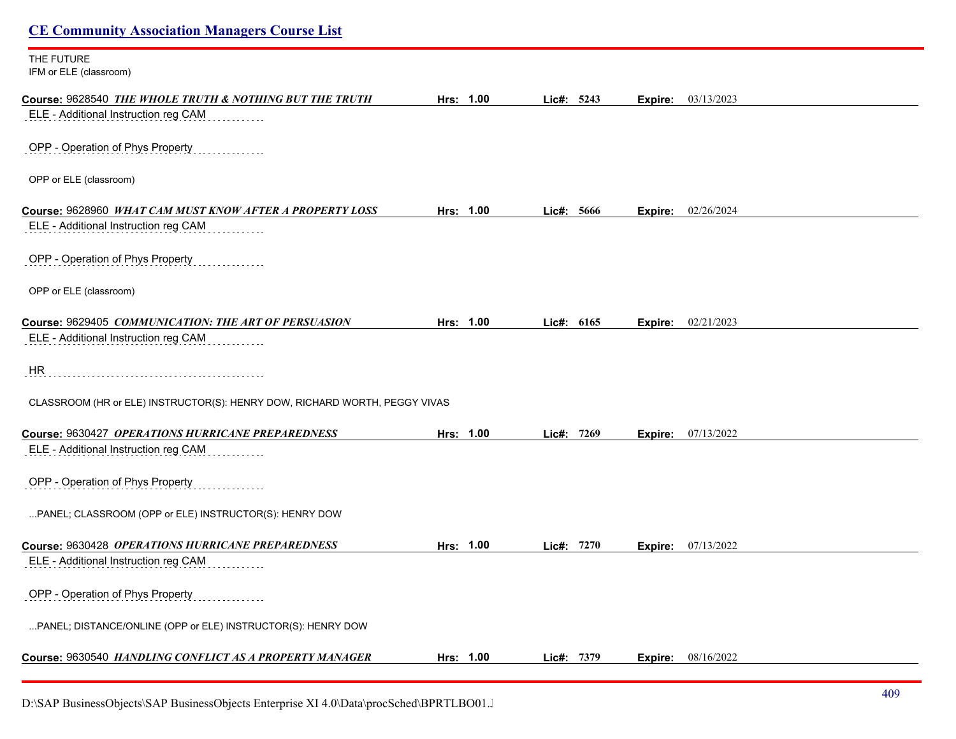| <b>CE Community Association Managers Course List</b>                       |           |              |                           |  |
|----------------------------------------------------------------------------|-----------|--------------|---------------------------|--|
| THE FUTURE<br>IFM or ELE (classroom)                                       |           |              |                           |  |
| Course: 9628540 THE WHOLE TRUTH & NOTHING BUT THE TRUTH                    | Hrs: 1.00 | Lic#: 5243   | 03/13/2023<br>Expire:     |  |
| ELE - Additional Instruction reg CAM                                       |           |              |                           |  |
| OPP - Operation of Phys Property                                           |           |              |                           |  |
| OPP or ELE (classroom)                                                     |           |              |                           |  |
| Course: 9628960 WHAT CAM MUST KNOW AFTER A PROPERTY LOSS                   | Hrs: 1.00 | Lic#: 5666   | <b>Expire:</b> 02/26/2024 |  |
| ELE - Additional Instruction reg CAM                                       |           |              |                           |  |
| OPP - Operation of Phys Property                                           |           |              |                           |  |
| OPP or ELE (classroom)                                                     |           |              |                           |  |
| Course: 9629405 COMMUNICATION: THE ART OF PERSUASION                       | Hrs: 1.00 | Lic#: $6165$ | Expire: 02/21/2023        |  |
| ELE - Additional Instruction reg CAM                                       |           |              |                           |  |
| HR                                                                         |           |              |                           |  |
| CLASSROOM (HR or ELE) INSTRUCTOR(S): HENRY DOW, RICHARD WORTH, PEGGY VIVAS |           |              |                           |  |
| Course: 9630427 OPERATIONS HURRICANE PREPAREDNESS                          | Hrs: 1.00 | Lic#: 7269   | <b>Expire:</b> 07/13/2022 |  |
| ELE - Additional Instruction reg CAM                                       |           |              |                           |  |
| OPP - Operation of Phys Property                                           |           |              |                           |  |
| PANEL; CLASSROOM (OPP or ELE) INSTRUCTOR(S): HENRY DOW                     |           |              |                           |  |
| Course: 9630428 OPERATIONS HURRICANE PREPAREDNESS                          | Hrs: 1.00 | Lic#: 7270   | <b>Expire:</b> 07/13/2022 |  |
| ELE - Additional Instruction reg CAM                                       |           |              |                           |  |
| OPP - Operation of Phys Property                                           |           |              |                           |  |
| PANEL; DISTANCE/ONLINE (OPP or ELE) INSTRUCTOR(S): HENRY DOW               |           |              |                           |  |
| Course: 9630540 HANDLING CONFLICT AS A PROPERTY MANAGER                    | Hrs: 1.00 | Lic#: 7379   | 08/16/2022<br>Expire:     |  |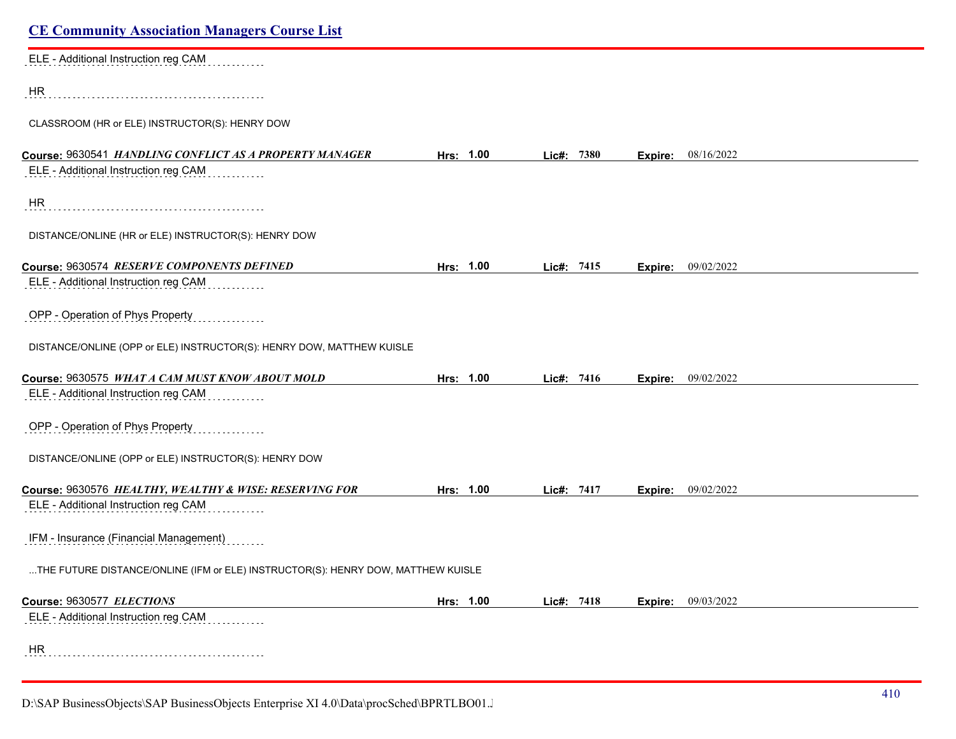| <b>CE Community Association Managers Course List</b>                             |           |            |                           |  |
|----------------------------------------------------------------------------------|-----------|------------|---------------------------|--|
| ELE - Additional Instruction reg CAM                                             |           |            |                           |  |
| HR                                                                               |           |            |                           |  |
| CLASSROOM (HR or ELE) INSTRUCTOR(S): HENRY DOW                                   |           |            |                           |  |
| Course: 9630541 HANDLING CONFLICT AS A PROPERTY MANAGER                          | Hrs: 1.00 | Lic#: 7380 | 08/16/2022<br>Expire:     |  |
| ELE - Additional Instruction reg CAM                                             |           |            |                           |  |
| <b>HR</b>                                                                        |           |            |                           |  |
| DISTANCE/ONLINE (HR or ELE) INSTRUCTOR(S): HENRY DOW                             |           |            |                           |  |
| Course: 9630574 RESERVE COMPONENTS DEFINED                                       | Hrs: 1.00 | Lic#: 7415 | 09/02/2022<br>Expire:     |  |
| ELE - Additional Instruction reg CAM                                             |           |            |                           |  |
| OPP - Operation of Phys Property                                                 |           |            |                           |  |
| DISTANCE/ONLINE (OPP or ELE) INSTRUCTOR(S): HENRY DOW, MATTHEW KUISLE            |           |            |                           |  |
| Course: 9630575 WHAT A CAM MUST KNOW ABOUT MOLD                                  | Hrs: 1.00 | Lic#: 7416 | <b>Expire:</b> 09/02/2022 |  |
| ELE - Additional Instruction reg CAM                                             |           |            |                           |  |
| OPP - Operation of Phys Property                                                 |           |            |                           |  |
| DISTANCE/ONLINE (OPP or ELE) INSTRUCTOR(S): HENRY DOW                            |           |            |                           |  |
| Course: 9630576 HEALTHY, WEALTHY & WISE: RESERVING FOR                           | Hrs: 1.00 | Lic#: 7417 | 09/02/2022<br>Expire:     |  |
| ELE - Additional Instruction reg CAM                                             |           |            |                           |  |
| IFM - Insurance (Financial Management)                                           |           |            |                           |  |
| THE FUTURE DISTANCE/ONLINE (IFM or ELE) INSTRUCTOR(S): HENRY DOW, MATTHEW KUISLE |           |            |                           |  |
| Course: 9630577 ELECTIONS                                                        | Hrs: 1.00 | Lic#: 7418 | Expire: 09/03/2022        |  |
| ELE - Additional Instruction reg CAM                                             |           |            |                           |  |
| HR                                                                               |           |            |                           |  |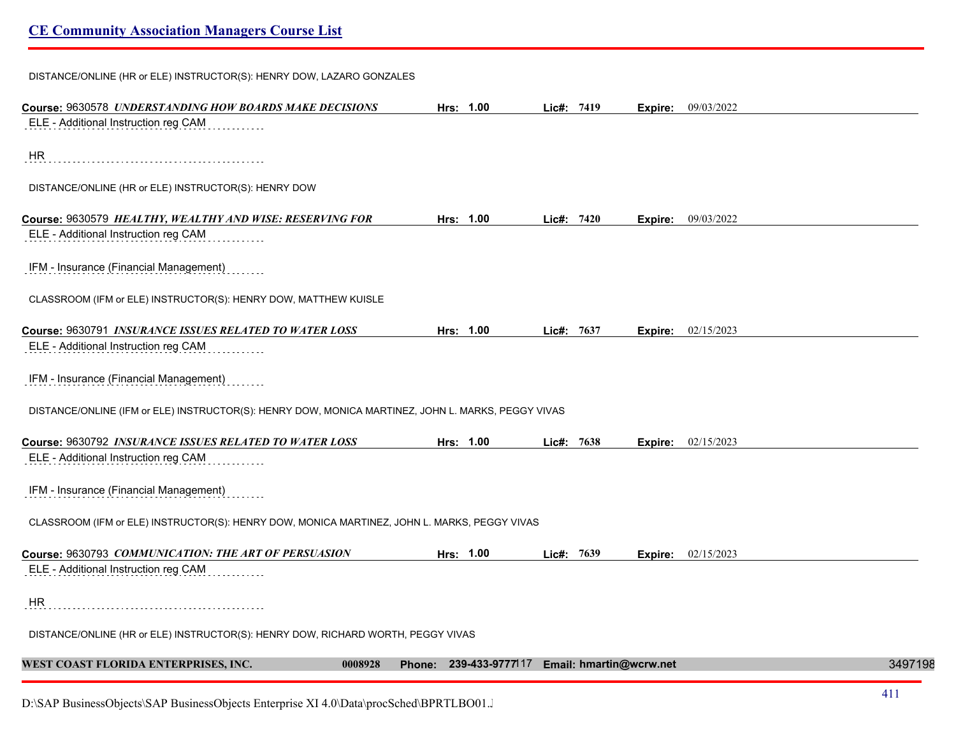DISTANCE/ONLINE (HR or ELE) INSTRUCTOR(S): HENRY DOW, LAZARO GONZALES **Course:** 9630578 *UNDERSTANDING HOW BOARDS MAKE DECISIONS* **Hrs: 1.00 Lic#: 7419 Expire:** 09/03/2022 ELE - Additional Instruction reg CAM HR DISTANCE/ONLINE (HR or ELE) INSTRUCTOR(S): HENRY DOW **Course:** 9630579 *HEALTHY, WEALTHY AND WISE: RESERVING FOR* **Hrs: 1.00 Lic#: 7420 Expire:** 09/03/2022 ELE - Additional Instruction reg CAM IFM - Insurance (Financial Management) CLASSROOM (IFM or ELE) INSTRUCTOR(S): HENRY DOW, MATTHEW KUISLE **Course:** 9630791 *INSURANCE ISSUES RELATED TO WATER LOSS* **Hrs: 1.00 Lic#: 7637 Expire:** 02/15/2023 ELE - Additional Instruction reg CAM IFM - Insurance (Financial Management) DISTANCE/ONLINE (IFM or ELE) INSTRUCTOR(S): HENRY DOW, MONICA MARTINEZ, JOHN L. MARKS, PEGGY VIVAS **Course:** 9630792 *INSURANCE ISSUES RELATED TO WATER LOSS* **Hrs: 1.00 Lic#: 7638 Expire:** 02/15/2023 ELE - Additional Instruction reg CAM IFM - Insurance (Financial Management) CLASSROOM (IFM or ELE) INSTRUCTOR(S): HENRY DOW, MONICA MARTINEZ, JOHN L. MARKS, PEGGY VIVAS **Course:** 9630793 *COMMUNICATION: THE ART OF PERSUASION* **Hrs: 1.00 Lic#: 7639 Expire:** 02/15/2023 ELE - Additional Instruction reg CAM HR DISTANCE/ONLINE (HR or ELE) INSTRUCTOR(S): HENRY DOW, RICHARD WORTH, PEGGY VIVAS **WEST COAST FLORIDA ENTERPRISES, INC. 0008928 Phone: 239-433-9777**117 **Email: hmartin@wcrw.net** 34971983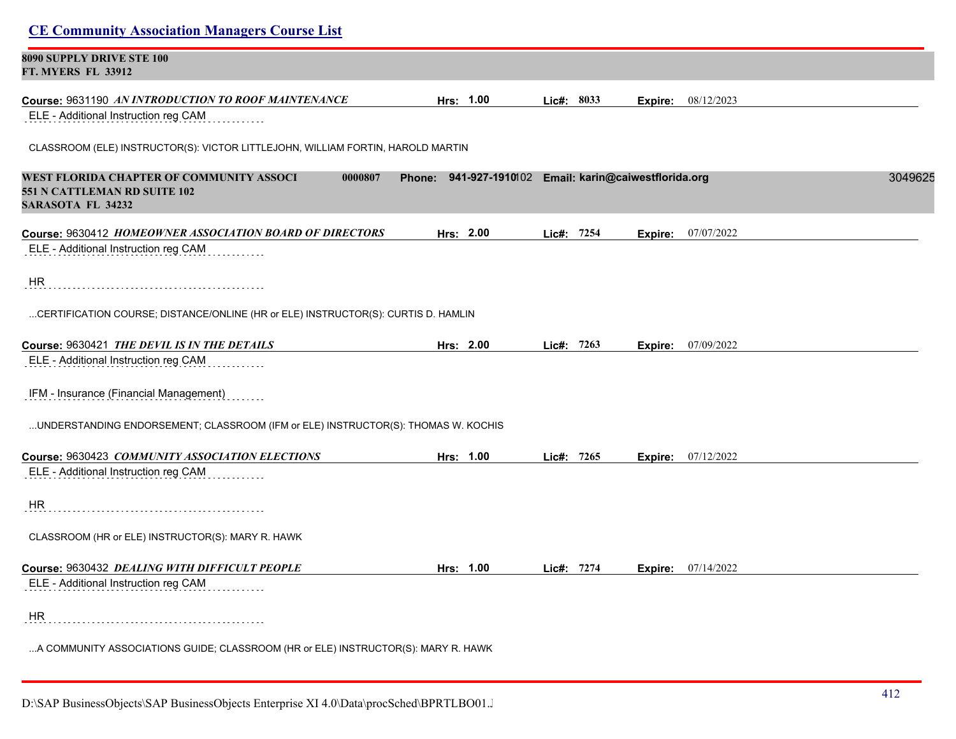| 8090 SUPPLY DRIVE STE 100                                                                                       |                                                        |            |                           |         |
|-----------------------------------------------------------------------------------------------------------------|--------------------------------------------------------|------------|---------------------------|---------|
| <b>FT. MYERS FL 33912</b>                                                                                       |                                                        |            |                           |         |
| Course: 9631190 AN INTRODUCTION TO ROOF MAINTENANCE                                                             | Hrs: 1.00                                              | Lic#: 8033 | 08/12/2023<br>Expire:     |         |
| ELE - Additional Instruction reg CAM                                                                            |                                                        |            |                           |         |
| CLASSROOM (ELE) INSTRUCTOR(S): VICTOR LITTLEJOHN, WILLIAM FORTIN, HAROLD MARTIN                                 |                                                        |            |                           |         |
| WEST FLORIDA CHAPTER OF COMMUNITY ASSOCI<br>0000807<br>551 N CATTLEMAN RD SUITE 102<br><b>SARASOTA FL 34232</b> | Phone: 941-927-1910102 Email: karin@caiwestflorida.org |            |                           | 3049625 |
| Course: 9630412 HOMEOWNER ASSOCIATION BOARD OF DIRECTORS                                                        | Hrs: 2.00                                              | Lic#: 7254 | 07/07/2022<br>Expire:     |         |
| ELE - Additional Instruction reg CAM                                                                            |                                                        |            |                           |         |
| HR.                                                                                                             |                                                        |            |                           |         |
| CERTIFICATION COURSE; DISTANCE/ONLINE (HR or ELE) INSTRUCTOR(S): CURTIS D. HAMLIN                               |                                                        |            |                           |         |
| Course: 9630421 THE DEVIL IS IN THE DETAILS                                                                     | Hrs: 2.00                                              | Lic#: 7263 | 07/09/2022<br>Expire:     |         |
| ELE - Additional Instruction reg CAM                                                                            |                                                        |            |                           |         |
| IFM - Insurance (Financial Management)                                                                          |                                                        |            |                           |         |
| UNDERSTANDING ENDORSEMENT; CLASSROOM (IFM or ELE) INSTRUCTOR(S): THOMAS W. KOCHIS                               |                                                        |            |                           |         |
| Course: 9630423 COMMUNITY ASSOCIATION ELECTIONS                                                                 | Hrs: 1.00                                              | Lic#: 7265 | <b>Expire:</b> 07/12/2022 |         |
| ELE - Additional Instruction reg CAM                                                                            |                                                        |            |                           |         |
| HR                                                                                                              |                                                        |            |                           |         |
| CLASSROOM (HR or ELE) INSTRUCTOR(S): MARY R. HAWK                                                               |                                                        |            |                           |         |
| Course: 9630432 DEALING WITH DIFFICULT PEOPLE                                                                   | Hrs: 1.00                                              | Lic#: 7274 | <b>Expire:</b> 07/14/2022 |         |
| ELE - Additional Instruction reg CAM                                                                            |                                                        |            |                           |         |
| HR                                                                                                              |                                                        |            |                           |         |
| A COMMUNITY ASSOCIATIONS GUIDE; CLASSROOM (HR or ELE) INSTRUCTOR(S): MARY R. HAWK                               |                                                        |            |                           |         |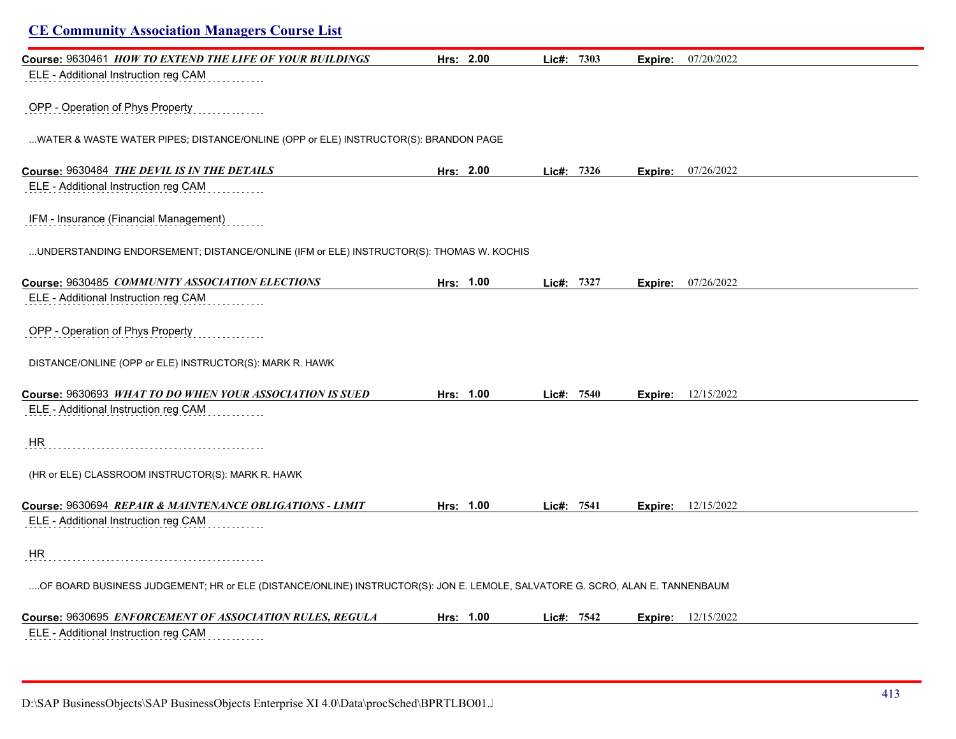| <b>CE Community Association Managers Course List</b>                                                                         |           |            |         |                             |  |
|------------------------------------------------------------------------------------------------------------------------------|-----------|------------|---------|-----------------------------|--|
| Course: 9630461 HOW TO EXTEND THE LIFE OF YOUR BUILDINGS                                                                     | Hrs: 2.00 | Lic#: 7303 | Expire: | 07/20/2022                  |  |
| ELE - Additional Instruction reg CAM                                                                                         |           |            |         |                             |  |
| OPP - Operation of Phys Property                                                                                             |           |            |         |                             |  |
| WATER & WASTE WATER PIPES; DISTANCE/ONLINE (OPP or ELE) INSTRUCTOR(S): BRANDON PAGE                                          |           |            |         |                             |  |
| Course: 9630484 THE DEVIL IS IN THE DETAILS                                                                                  | Hrs: 2.00 | Lie#: 7326 |         | <b>Expire:</b> 07/26/2022   |  |
| ELE - Additional Instruction reg CAM                                                                                         |           |            |         |                             |  |
| IFM - Insurance (Financial Management)                                                                                       |           |            |         |                             |  |
| UNDERSTANDING ENDORSEMENT; DISTANCE/ONLINE (IFM or ELE) INSTRUCTOR(S): THOMAS W. KOCHIS                                      |           |            |         |                             |  |
| Course: 9630485 COMMUNITY ASSOCIATION ELECTIONS                                                                              | Hrs: 1.00 | Lic#: 7327 | Expire: | 07/26/2022                  |  |
| ELE - Additional Instruction reg CAM                                                                                         |           |            |         |                             |  |
| OPP - Operation of Phys Property                                                                                             |           |            |         |                             |  |
| DISTANCE/ONLINE (OPP or ELE) INSTRUCTOR(S): MARK R. HAWK                                                                     |           |            |         |                             |  |
| Course: 9630693 WHAT TO DO WHEN YOUR ASSOCIATION IS SUED                                                                     | Hrs: 1.00 | Lic#: 7540 | Expire: | 12/15/2022                  |  |
| ELE - Additional Instruction reg CAM                                                                                         |           |            |         |                             |  |
| HR                                                                                                                           |           |            |         |                             |  |
| (HR or ELE) CLASSROOM INSTRUCTOR(S): MARK R. HAWK                                                                            |           |            |         |                             |  |
| Course: 9630694 REPAIR & MAINTENANCE OBLIGATIONS - LIMIT                                                                     | Hrs: 1.00 | Lic#: 7541 |         | <b>Expire:</b> $12/15/2022$ |  |
| ELE - Additional Instruction reg CAM                                                                                         |           |            |         |                             |  |
| <b>HR</b>                                                                                                                    |           |            |         |                             |  |
| OF BOARD BUSINESS JUDGEMENT; HR or ELE (DISTANCE/ONLINE) INSTRUCTOR(S): JON E. LEMOLE, SALVATORE G. SCRO, ALAN E. TANNENBAUM |           |            |         |                             |  |
| Course: 9630695 ENFORCEMENT OF ASSOCIATION RULES, REGULA                                                                     | Hrs: 1.00 | Lie#: 7542 | Expire: | 12/15/2022                  |  |
| ELE - Additional Instruction reg CAM                                                                                         |           |            |         |                             |  |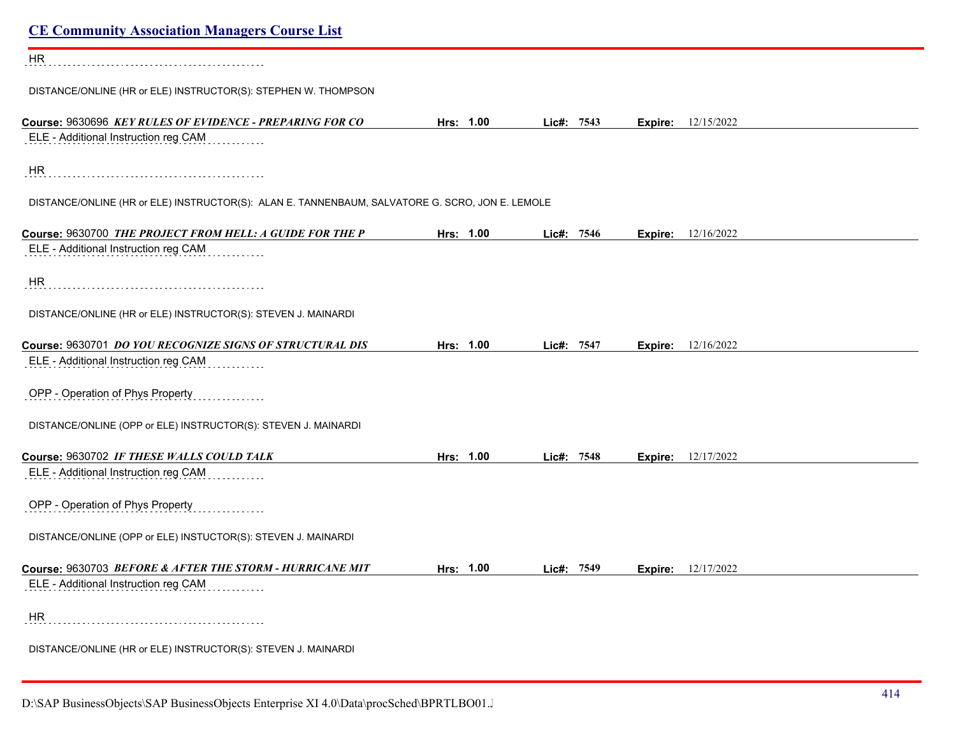| <b>CE Community Association Managers Course List</b>                                             |           |            |                           |  |
|--------------------------------------------------------------------------------------------------|-----------|------------|---------------------------|--|
| <b>HR</b>                                                                                        |           |            |                           |  |
| DISTANCE/ONLINE (HR or ELE) INSTRUCTOR(S): STEPHEN W. THOMPSON                                   |           |            |                           |  |
| Course: 9630696 KEY RULES OF EVIDENCE - PREPARING FOR CO<br>ELE - Additional Instruction reg CAM | Hrs: 1.00 | Lic#: 7543 | <b>Expire:</b> 12/15/2022 |  |
| HR                                                                                               |           |            |                           |  |
| DISTANCE/ONLINE (HR or ELE) INSTRUCTOR(S): ALAN E. TANNENBAUM, SALVATORE G. SCRO, JON E. LEMOLE  |           |            |                           |  |
| Course: 9630700 THE PROJECT FROM HELL: A GUIDE FOR THE P<br>ELE - Additional Instruction reg CAM | Hrs: 1.00 | Lic#: 7546 | 12/16/2022<br>Expire:     |  |
| <b>HR</b>                                                                                        |           |            |                           |  |
| DISTANCE/ONLINE (HR or ELE) INSTRUCTOR(S): STEVEN J. MAINARDI                                    |           |            |                           |  |
| Course: 9630701 DO YOU RECOGNIZE SIGNS OF STRUCTURAL DIS<br>ELE - Additional Instruction reg CAM | Hrs: 1.00 | Lic#: 7547 | 12/16/2022<br>Expire:     |  |
| OPP - Operation of Phys Property                                                                 |           |            |                           |  |
| DISTANCE/ONLINE (OPP or ELE) INSTRUCTOR(S): STEVEN J. MAINARDI                                   |           |            |                           |  |
| Course: 9630702 IF THESE WALLS COULD TALK<br>ELE - Additional Instruction reg CAM                | Hrs: 1.00 | Lic#: 7548 | <b>Expire:</b> 12/17/2022 |  |
| OPP - Operation of Phys Property                                                                 |           |            |                           |  |
| DISTANCE/ONLINE (OPP or ELE) INSTUCTOR(S): STEVEN J. MAINARDI                                    |           |            |                           |  |
| Course: 9630703 BEFORE & AFTER THE STORM - HURRICANE MIT<br>ELE - Additional Instruction reg CAM | Hrs: 1.00 | Lic#: 7549 | 12/17/2022<br>Expire:     |  |
| HR                                                                                               |           |            |                           |  |
| DISTANCE/ONLINE (HR or ELE) INSTRUCTOR(S): STEVEN J. MAINARDI                                    |           |            |                           |  |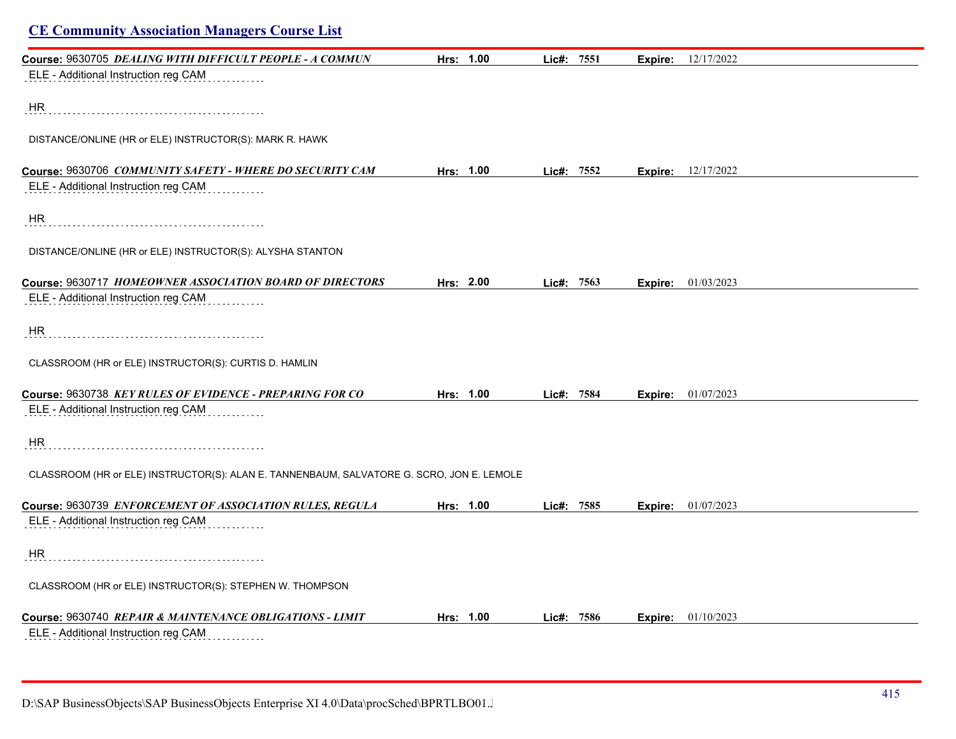| <b>CE Community Association Managers Course List</b>                                      |           |            |                             |  |
|-------------------------------------------------------------------------------------------|-----------|------------|-----------------------------|--|
| Course: 9630705 DEALING WITH DIFFICULT PEOPLE - A COMMUN                                  | Hrs: 1.00 | Lic#: 7551 | 12/17/2022<br>Expire:       |  |
| ELE - Additional Instruction reg CAM                                                      |           |            |                             |  |
| HR                                                                                        |           |            |                             |  |
| DISTANCE/ONLINE (HR or ELE) INSTRUCTOR(S): MARK R. HAWK                                   |           |            |                             |  |
| Course: 9630706 COMMUNITY SAFETY - WHERE DO SECURITY CAM                                  | Hrs: 1.00 | Lic#: 7552 | <b>Expire:</b> 12/17/2022   |  |
| ELE - Additional Instruction reg CAM                                                      |           |            |                             |  |
| HR                                                                                        |           |            |                             |  |
| DISTANCE/ONLINE (HR or ELE) INSTRUCTOR(S): ALYSHA STANTON                                 |           |            |                             |  |
| Course: 9630717 HOMEOWNER ASSOCIATION BOARD OF DIRECTORS                                  | Hrs: 2.00 | Lie#: 7563 | <b>Expire:</b> 01/03/2023   |  |
| ELE - Additional Instruction reg CAM                                                      |           |            |                             |  |
| HR                                                                                        |           |            |                             |  |
| CLASSROOM (HR or ELE) INSTRUCTOR(S): CURTIS D. HAMLIN                                     |           |            |                             |  |
| Course: 9630738 KEY RULES OF EVIDENCE - PREPARING FOR CO                                  | Hrs: 1.00 | Lic#: 7584 | <b>Expire:</b> $01/07/2023$ |  |
| ELE - Additional Instruction reg CAM                                                      |           |            |                             |  |
| HR                                                                                        |           |            |                             |  |
| CLASSROOM (HR or ELE) INSTRUCTOR(S): ALAN E. TANNENBAUM, SALVATORE G. SCRO, JON E. LEMOLE |           |            |                             |  |
| Course: 9630739 ENFORCEMENT OF ASSOCIATION RULES, REGULA                                  | Hrs: 1.00 | Lic#: 7585 | <b>Expire:</b> 01/07/2023   |  |
| ELE - Additional Instruction reg CAM                                                      |           |            |                             |  |
| HR.                                                                                       |           |            |                             |  |
| CLASSROOM (HR or ELE) INSTRUCTOR(S): STEPHEN W. THOMPSON                                  |           |            |                             |  |
| Course: 9630740 REPAIR & MAINTENANCE OBLIGATIONS - LIMIT                                  | Hrs: 1.00 | Lic#: 7586 | 01/10/2023<br>Expire:       |  |
| ELE - Additional Instruction reg CAM                                                      |           |            |                             |  |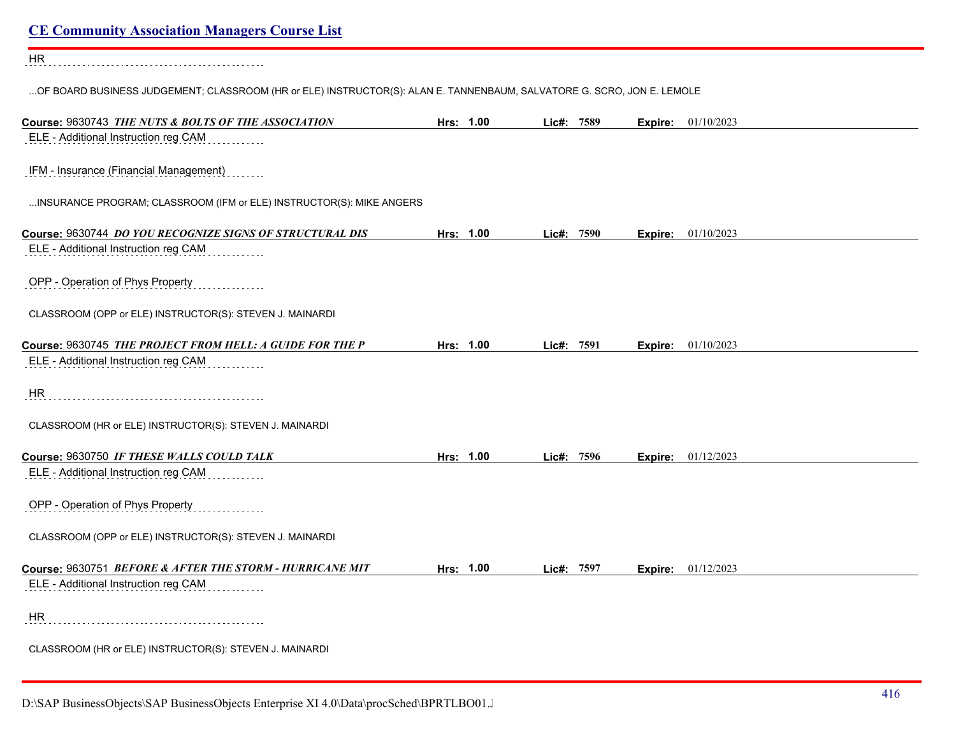| <b>CE Community Association Managers Course List</b>                                                                   |           |            |         |                           |
|------------------------------------------------------------------------------------------------------------------------|-----------|------------|---------|---------------------------|
| HR                                                                                                                     |           |            |         |                           |
| OF BOARD BUSINESS JUDGEMENT; CLASSROOM (HR or ELE) INSTRUCTOR(S): ALAN E. TANNENBAUM, SALVATORE G. SCRO, JON E. LEMOLE |           |            |         |                           |
| Course: 9630743 THE NUTS & BOLTS OF THE ASSOCIATION                                                                    | Hrs: 1.00 | Lic#: 7589 |         | <b>Expire:</b> 01/10/2023 |
| ELE - Additional Instruction reg CAM                                                                                   |           |            |         |                           |
| IFM - Insurance (Financial Management)                                                                                 |           |            |         |                           |
| INSURANCE PROGRAM; CLASSROOM (IFM or ELE) INSTRUCTOR(S): MIKE ANGERS                                                   |           |            |         |                           |
| Course: 9630744 DO YOU RECOGNIZE SIGNS OF STRUCTURAL DIS                                                               | Hrs: 1.00 | Lic#: 7590 | Expire: | 01/10/2023                |
| ELE - Additional Instruction reg CAM                                                                                   |           |            |         |                           |
| OPP - Operation of Phys Property                                                                                       |           |            |         |                           |
| CLASSROOM (OPP or ELE) INSTRUCTOR(S): STEVEN J. MAINARDI                                                               |           |            |         |                           |
| Course: 9630745 THE PROJECT FROM HELL: A GUIDE FOR THE P                                                               | Hrs: 1.00 | Lic#: 7591 | Expire: | 01/10/2023                |
| ELE - Additional Instruction reg CAM                                                                                   |           |            |         |                           |
| <b>HR</b>                                                                                                              |           |            |         |                           |
| CLASSROOM (HR or ELE) INSTRUCTOR(S): STEVEN J. MAINARDI                                                                |           |            |         |                           |
| Course: 9630750 IF THESE WALLS COULD TALK                                                                              | Hrs: 1.00 | Lic#: 7596 |         | <b>Expire:</b> 01/12/2023 |
| ELE - Additional Instruction reg CAM                                                                                   |           |            |         |                           |
| OPP - Operation of Phys Property                                                                                       |           |            |         |                           |
| CLASSROOM (OPP or ELE) INSTRUCTOR(S): STEVEN J. MAINARDI                                                               |           |            |         |                           |
| Course: 9630751 BEFORE & AFTER THE STORM - HURRICANE MIT<br>ELE - Additional Instruction reg CAM                       | Hrs: 1.00 | Lic#: 7597 |         | Expire: 01/12/2023        |
|                                                                                                                        |           |            |         |                           |
| HR                                                                                                                     |           |            |         |                           |
| CLASSROOM (HR or ELE) INSTRUCTOR(S): STEVEN J. MAINARDI                                                                |           |            |         |                           |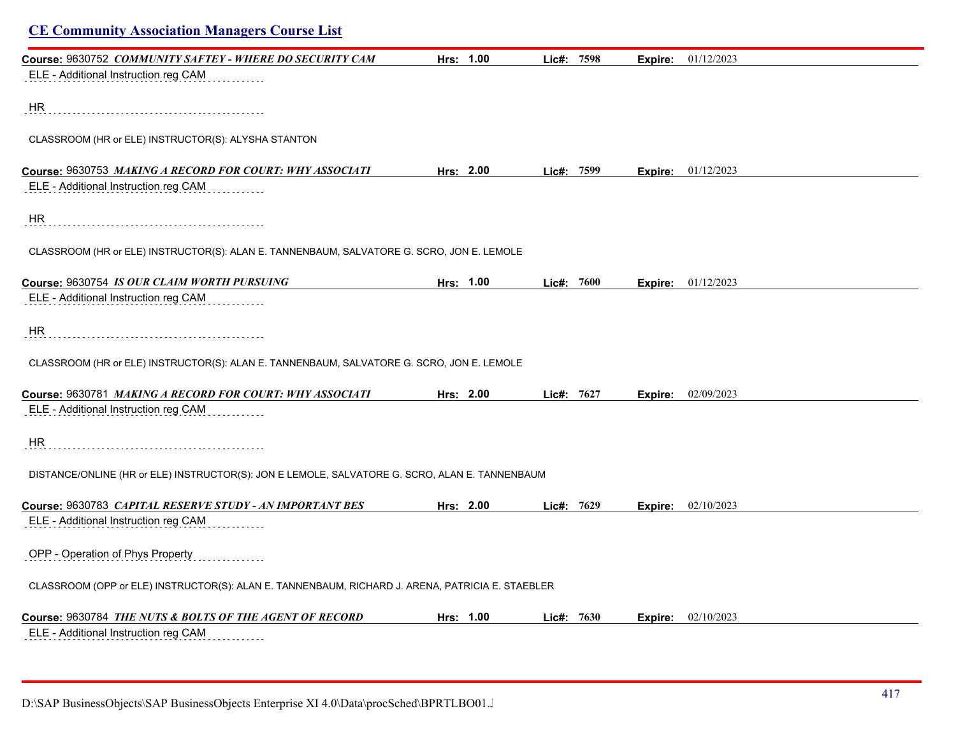| <b>CE Community Association Managers Course List</b>                                             |           |              |         |                             |
|--------------------------------------------------------------------------------------------------|-----------|--------------|---------|-----------------------------|
| Course: 9630752 COMMUNITY SAFTEY - WHERE DO SECURITY CAM                                         | Hrs: 1.00 | Lic#: 7598   | Expire: | 01/12/2023                  |
| ELE - Additional Instruction reg CAM                                                             |           |              |         |                             |
| HR                                                                                               |           |              |         |                             |
|                                                                                                  |           |              |         |                             |
| CLASSROOM (HR or ELE) INSTRUCTOR(S): ALYSHA STANTON                                              |           |              |         |                             |
| Course: 9630753 MAKING A RECORD FOR COURT: WHY ASSOCIATI                                         | Hrs: 2.00 | Lic#: 7599   |         | <b>Expire:</b> 01/12/2023   |
| ELE - Additional Instruction reg CAM                                                             |           |              |         |                             |
| HR                                                                                               |           |              |         |                             |
|                                                                                                  |           |              |         |                             |
| CLASSROOM (HR or ELE) INSTRUCTOR(S): ALAN E. TANNENBAUM, SALVATORE G. SCRO, JON E. LEMOLE        |           |              |         |                             |
| Course: 9630754 IS OUR CLAIM WORTH PURSUING                                                      | Hrs: 1.00 | Lic#: 7600   |         | <b>Expire:</b> $01/12/2023$ |
| ELE - Additional Instruction reg CAM                                                             |           |              |         |                             |
|                                                                                                  |           |              |         |                             |
| HR                                                                                               |           |              |         |                             |
| CLASSROOM (HR or ELE) INSTRUCTOR(S): ALAN E. TANNENBAUM, SALVATORE G. SCRO, JON E. LEMOLE        |           |              |         |                             |
|                                                                                                  |           |              |         |                             |
| Course: 9630781 MAKING A RECORD FOR COURT: WHY ASSOCIATI                                         | Hrs: 2.00 | Lic#: 7627   |         | <b>Expire:</b> 02/09/2023   |
| ELE - Additional Instruction reg CAM                                                             |           |              |         |                             |
| HR.                                                                                              |           |              |         |                             |
|                                                                                                  |           |              |         |                             |
| DISTANCE/ONLINE (HR or ELE) INSTRUCTOR(S): JON E LEMOLE, SALVATORE G. SCRO, ALAN E. TANNENBAUM   |           |              |         |                             |
|                                                                                                  |           |              |         |                             |
| Course: 9630783 CAPITAL RESERVE STUDY - AN IMPORTANT BES<br>ELE - Additional Instruction reg CAM | Hrs: 2.00 | Lic#: 7629   |         | <b>Expire:</b> 02/10/2023   |
|                                                                                                  |           |              |         |                             |
| OPP - Operation of Phys Property                                                                 |           |              |         |                             |
| CLASSROOM (OPP or ELE) INSTRUCTOR(S): ALAN E. TANNENBAUM, RICHARD J. ARENA, PATRICIA E. STAEBLER |           |              |         |                             |
| Course: 9630784 THE NUTS & BOLTS OF THE AGENT OF RECORD                                          | Hrs: 1.00 | Lic#: $7630$ | Expire: | 02/10/2023                  |
| ELE - Additional Instruction reg CAM                                                             |           |              |         |                             |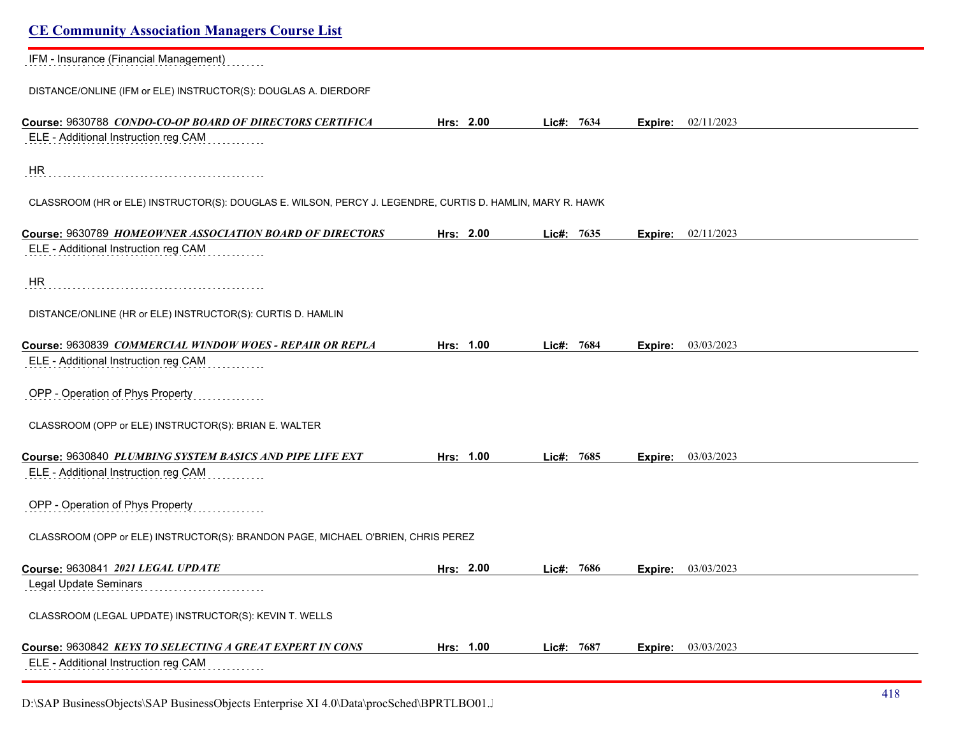| <b>CE Community Association Managers Course List</b>                                                      |           |            |                           |  |
|-----------------------------------------------------------------------------------------------------------|-----------|------------|---------------------------|--|
| IFM - Insurance (Financial Management)                                                                    |           |            |                           |  |
| DISTANCE/ONLINE (IFM or ELE) INSTRUCTOR(S): DOUGLAS A. DIERDORF                                           |           |            |                           |  |
| Course: 9630788 CONDO-CO-OP BOARD OF DIRECTORS CERTIFICA                                                  | Hrs: 2.00 | Lie#: 7634 | <b>Expire:</b> 02/11/2023 |  |
| ELE - Additional Instruction reg CAM                                                                      |           |            |                           |  |
| HR                                                                                                        |           |            |                           |  |
| CLASSROOM (HR or ELE) INSTRUCTOR(S): DOUGLAS E. WILSON, PERCY J. LEGENDRE, CURTIS D. HAMLIN, MARY R. HAWK |           |            |                           |  |
| Course: 9630789 HOMEOWNER ASSOCIATION BOARD OF DIRECTORS                                                  | Hrs: 2.00 | Lic#: 7635 | Expire: 02/11/2023        |  |
| ELE - Additional Instruction reg CAM                                                                      |           |            |                           |  |
| HR                                                                                                        |           |            |                           |  |
| DISTANCE/ONLINE (HR or ELE) INSTRUCTOR(S): CURTIS D. HAMLIN                                               |           |            |                           |  |
| Course: 9630839 COMMERCIAL WINDOW WOES - REPAIR OR REPLA                                                  | Hrs: 1.00 | Lic#: 7684 | 03/03/2023<br>Expire:     |  |
| ELE - Additional Instruction reg CAM                                                                      |           |            |                           |  |
| OPP - Operation of Phys Property                                                                          |           |            |                           |  |
| CLASSROOM (OPP or ELE) INSTRUCTOR(S): BRIAN E. WALTER                                                     |           |            |                           |  |
| Course: 9630840 PLUMBING SYSTEM BASICS AND PIPE LIFE EXT                                                  | Hrs: 1.00 | Lic#: 7685 | <b>Expire:</b> 03/03/2023 |  |
| ELE - Additional Instruction reg CAM                                                                      |           |            |                           |  |
| OPP - Operation of Phys Property                                                                          |           |            |                           |  |
| CLASSROOM (OPP or ELE) INSTRUCTOR(S): BRANDON PAGE, MICHAEL O'BRIEN, CHRIS PEREZ                          |           |            |                           |  |
| Course: 9630841 2021 LEGAL UPDATE                                                                         | Hrs: 2.00 | Lic#: 7686 | Expire: 03/03/2023        |  |
| Legal Update Seminars                                                                                     |           |            |                           |  |
| CLASSROOM (LEGAL UPDATE) INSTRUCTOR(S): KEVIN T. WELLS                                                    |           |            |                           |  |
| Course: 9630842 KEYS TO SELECTING A GREAT EXPERT IN CONS                                                  | Hrs: 1.00 | Lic#: 7687 | 03/03/2023<br>Expire:     |  |
| ELE - Additional Instruction reg CAM                                                                      |           |            |                           |  |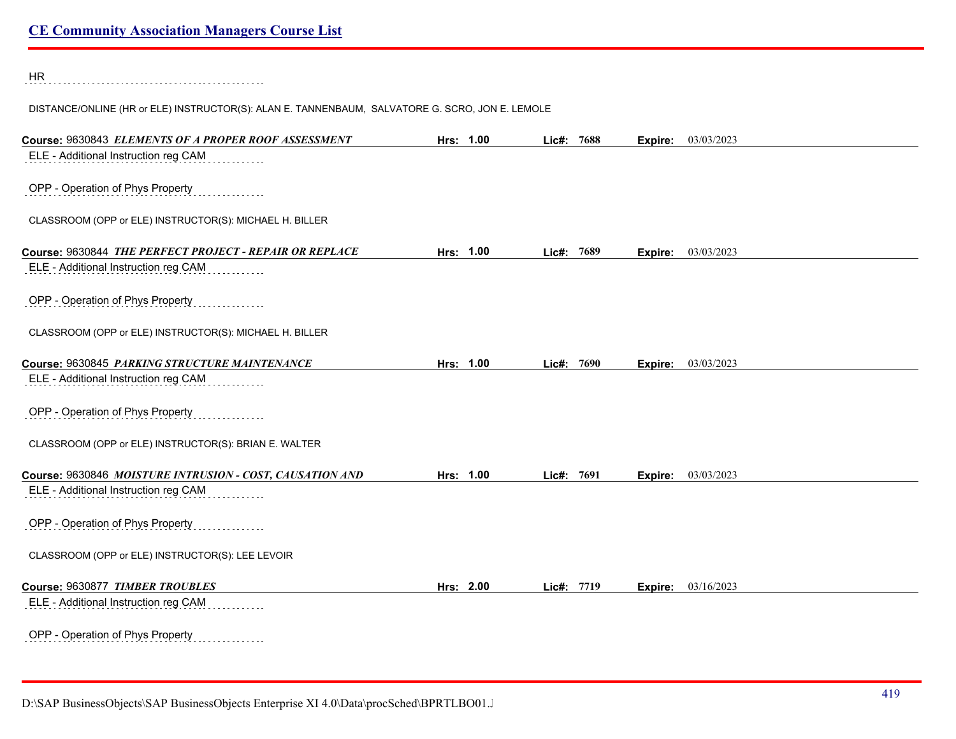HR

DISTANCE/ONLINE (HR or ELE) INSTRUCTOR(S): ALAN E. TANNENBAUM, SALVATORE G. SCRO, JON E. LEMOLE

| Course: 9630843 ELEMENTS OF A PROPER ROOF ASSESSMENT     | Hrs: 1.00 |           | Lic#: 7688 |      | Expire: | 03/03/2023 |  |
|----------------------------------------------------------|-----------|-----------|------------|------|---------|------------|--|
| ELE - Additional Instruction reg CAM                     |           |           |            |      |         |            |  |
|                                                          |           |           |            |      |         |            |  |
| OPP - Operation of Phys Property                         |           |           |            |      |         |            |  |
|                                                          |           |           |            |      |         |            |  |
| CLASSROOM (OPP or ELE) INSTRUCTOR(S): MICHAEL H. BILLER  |           |           |            |      |         |            |  |
| Course: 9630844 THE PERFECT PROJECT - REPAIR OR REPLACE  |           | Hrs: 1.00 | Lic#: 7689 |      | Expire: | 03/03/2023 |  |
| ELE - Additional Instruction reg CAM                     |           |           |            |      |         |            |  |
|                                                          |           |           |            |      |         |            |  |
| OPP - Operation of Phys Property                         |           |           |            |      |         |            |  |
|                                                          |           |           |            |      |         |            |  |
| CLASSROOM (OPP or ELE) INSTRUCTOR(S): MICHAEL H. BILLER  |           |           |            |      |         |            |  |
| Course: 9630845 PARKING STRUCTURE MAINTENANCE            |           | Hrs: 1.00 | Lic#: 7690 |      | Expire: | 03/03/2023 |  |
| ELE - Additional Instruction reg CAM                     |           |           |            |      |         |            |  |
|                                                          |           |           |            |      |         |            |  |
| OPP - Operation of Phys Property                         |           |           |            |      |         |            |  |
|                                                          |           |           |            |      |         |            |  |
| CLASSROOM (OPP or ELE) INSTRUCTOR(S): BRIAN E. WALTER    |           |           |            |      |         |            |  |
| Course: 9630846 MOISTURE INTRUSION - COST, CAUSATION AND |           | Hrs: 1.00 | Lie#:      | 7691 | Expire: | 03/03/2023 |  |
| ELE - Additional Instruction reg CAM                     |           |           |            |      |         |            |  |
|                                                          |           |           |            |      |         |            |  |
| OPP - Operation of Phys Property                         |           |           |            |      |         |            |  |
|                                                          |           |           |            |      |         |            |  |
| CLASSROOM (OPP or ELE) INSTRUCTOR(S): LEE LEVOIR         |           |           |            |      |         |            |  |
| Course: 9630877 TIMBER TROUBLES                          | Hrs: 2.00 |           | Lic#: 7719 |      | Expire: | 03/16/2023 |  |
| ELE - Additional Instruction reg CAM                     |           |           |            |      |         |            |  |
|                                                          |           |           |            |      |         |            |  |
| OPP - Operation of Phys Property<br>.                    |           |           |            |      |         |            |  |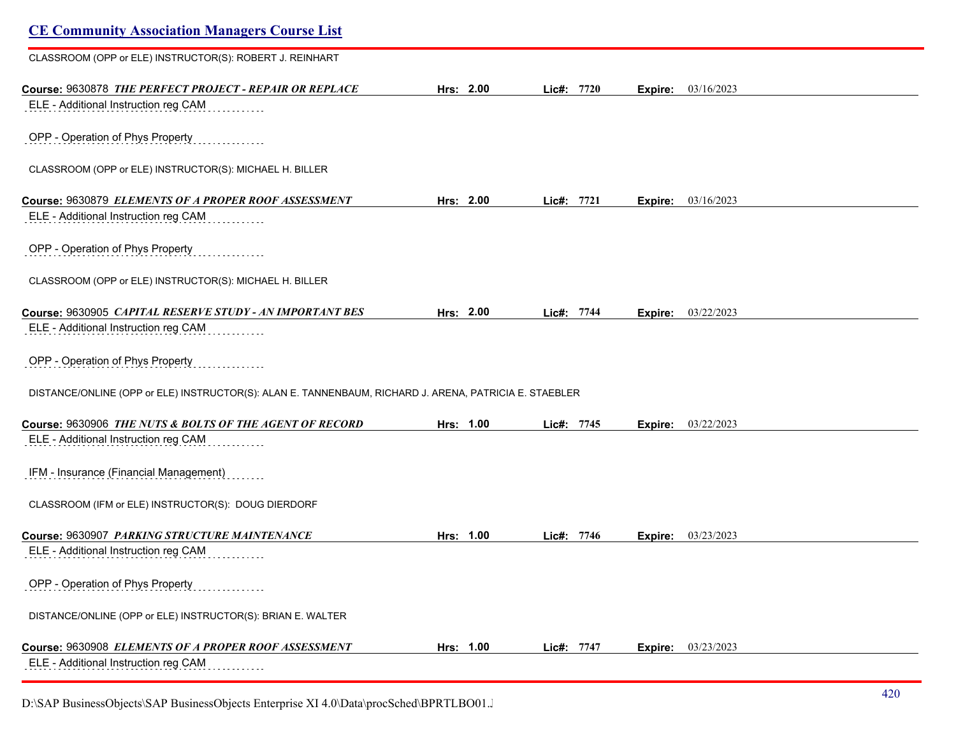| <b>CE Community Association Managers Course List</b>                                                   |           |            |                       |  |
|--------------------------------------------------------------------------------------------------------|-----------|------------|-----------------------|--|
| CLASSROOM (OPP or ELE) INSTRUCTOR(S): ROBERT J. REINHART                                               |           |            |                       |  |
| Course: 9630878 THE PERFECT PROJECT - REPAIR OR REPLACE                                                | Hrs: 2.00 | Lic#: 7720 | 03/16/2023<br>Expire: |  |
| ELE - Additional Instruction reg CAM                                                                   |           |            |                       |  |
| OPP - Operation of Phys Property                                                                       |           |            |                       |  |
| CLASSROOM (OPP or ELE) INSTRUCTOR(S): MICHAEL H. BILLER                                                |           |            |                       |  |
| Course: 9630879 ELEMENTS OF A PROPER ROOF ASSESSMENT                                                   | Hrs: 2.00 | Lic#: 7721 | 03/16/2023<br>Expire: |  |
| ELE - Additional Instruction reg CAM                                                                   |           |            |                       |  |
| OPP - Operation of Phys Property                                                                       |           |            |                       |  |
| CLASSROOM (OPP or ELE) INSTRUCTOR(S): MICHAEL H. BILLER                                                |           |            |                       |  |
| Course: 9630905 CAPITAL RESERVE STUDY - AN IMPORTANT BES                                               | Hrs: 2.00 | Lic#: 7744 | 03/22/2023<br>Expire: |  |
| ELE - Additional Instruction reg CAM                                                                   |           |            |                       |  |
| OPP - Operation of Phys Property                                                                       |           |            |                       |  |
| DISTANCE/ONLINE (OPP or ELE) INSTRUCTOR(S): ALAN E. TANNENBAUM, RICHARD J. ARENA, PATRICIA E. STAEBLER |           |            |                       |  |
| Course: 9630906 THE NUTS & BOLTS OF THE AGENT OF RECORD                                                | Hrs: 1.00 | Lic#: 7745 | 03/22/2023<br>Expire: |  |
| ELE - Additional Instruction reg CAM                                                                   |           |            |                       |  |
| IFM - Insurance (Financial Management)                                                                 |           |            |                       |  |
| CLASSROOM (IFM or ELE) INSTRUCTOR(S): DOUG DIERDORF                                                    |           |            |                       |  |
| Course: 9630907 PARKING STRUCTURE MAINTENANCE                                                          | Hrs: 1.00 | Lic#: 7746 | 03/23/2023<br>Expire: |  |
| ELE - Additional Instruction reg CAM                                                                   |           |            |                       |  |
| OPP - Operation of Phys Property                                                                       |           |            |                       |  |
| DISTANCE/ONLINE (OPP or ELE) INSTRUCTOR(S): BRIAN E. WALTER                                            |           |            |                       |  |
| Course: 9630908 ELEMENTS OF A PROPER ROOF ASSESSMENT                                                   | Hrs: 1.00 | Lic#: 7747 | 03/23/2023<br>Expire: |  |
| ELE - Additional Instruction reg CAM                                                                   |           |            |                       |  |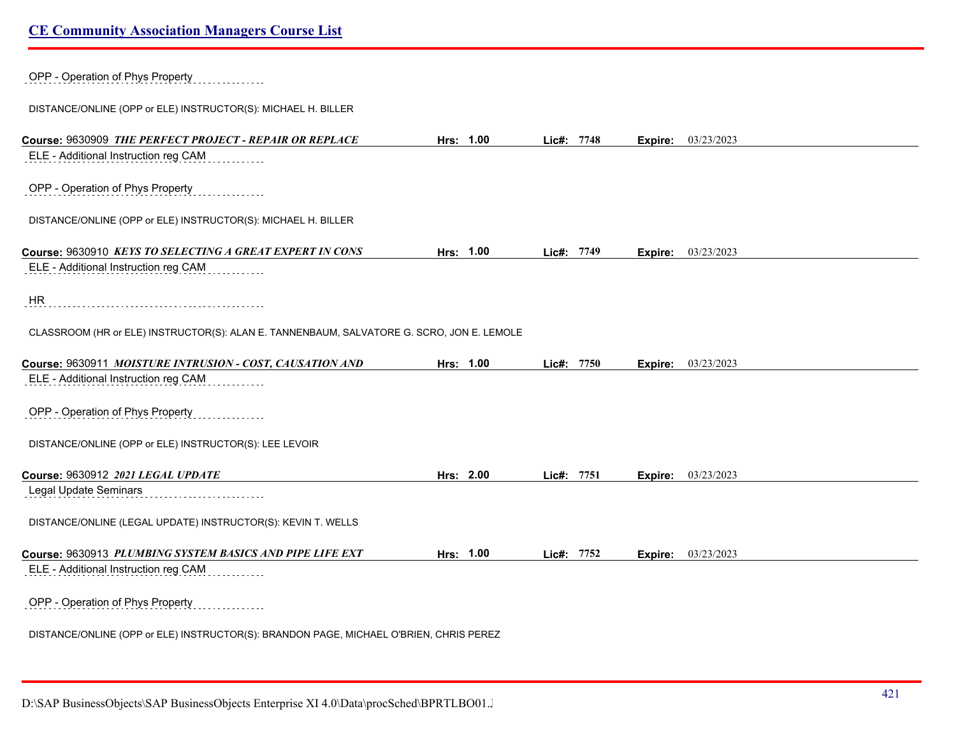OPP - Operation of Phys Property

DISTANCE/ONLINE (OPP or ELE) INSTRUCTOR(S): MICHAEL H. BILLER

| Course: 9630909 THE PERFECT PROJECT - REPAIR OR REPLACE                                          | Hrs: 1.00 | Lic#: 7748 |         | <b>Expire:</b> 03/23/2023 |
|--------------------------------------------------------------------------------------------------|-----------|------------|---------|---------------------------|
| ELE - Additional Instruction reg CAM                                                             |           |            |         |                           |
|                                                                                                  |           |            |         |                           |
| OPP - Operation of Phys Property                                                                 |           |            |         |                           |
| DISTANCE/ONLINE (OPP or ELE) INSTRUCTOR(S): MICHAEL H. BILLER                                    |           |            |         |                           |
|                                                                                                  |           |            |         |                           |
| Course: 9630910 KEYS TO SELECTING A GREAT EXPERT IN CONS                                         | Hrs: 1.00 | Lic#: 7749 |         | <b>Expire:</b> 03/23/2023 |
| ELE - Additional Instruction reg CAM                                                             |           |            |         |                           |
| HR                                                                                               |           |            |         |                           |
|                                                                                                  |           |            |         |                           |
| CLASSROOM (HR or ELE) INSTRUCTOR(S): ALAN E. TANNENBAUM, SALVATORE G. SCRO, JON E. LEMOLE        |           |            |         |                           |
| Course: 9630911 MOISTURE INTRUSION - COST, CAUSATION AND                                         | Hrs: 1.00 | Lic#: 7750 | Expire: | 03/23/2023                |
| ELE - Additional Instruction reg CAM                                                             |           |            |         |                           |
| OPP - Operation of Phys Property                                                                 |           |            |         |                           |
|                                                                                                  |           |            |         |                           |
| DISTANCE/ONLINE (OPP or ELE) INSTRUCTOR(S): LEE LEVOIR                                           |           |            |         |                           |
| Course: 9630912 2021 LEGAL UPDATE                                                                | Hrs: 2.00 | Lic#: 7751 | Expire: | 03/23/2023                |
| <b>Legal Update Seminars</b>                                                                     |           |            |         |                           |
| DISTANCE/ONLINE (LEGAL UPDATE) INSTRUCTOR(S): KEVIN T. WELLS                                     |           |            |         |                           |
|                                                                                                  |           |            |         |                           |
| Course: 9630913 PLUMBING SYSTEM BASICS AND PIPE LIFE EXT<br>ELE - Additional Instruction reg CAM | Hrs: 1.00 | Lic#: 7752 | Expire: | 03/23/2023                |
|                                                                                                  |           |            |         |                           |
| OPP - Operation of Phys Property                                                                 |           |            |         |                           |
| DISTANCE/ONLINE (OPP or ELE) INSTRUCTOR(S): BRANDON PAGE, MICHAEL O'BRIEN, CHRIS PEREZ           |           |            |         |                           |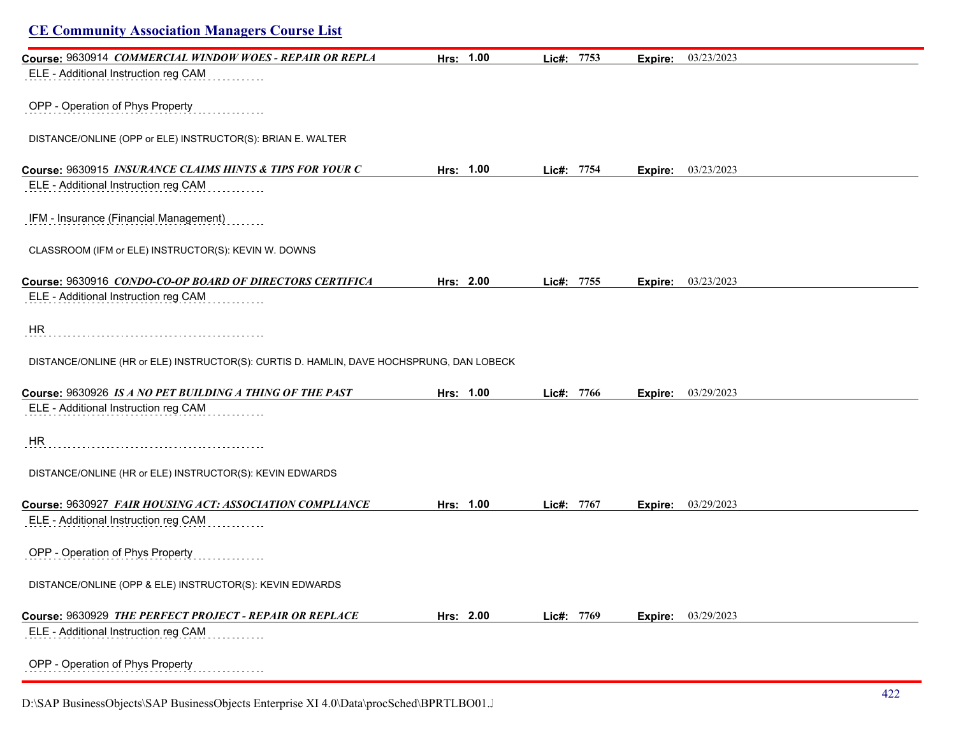| <b>CE Community Association Managers Course List</b>                                     |           |            |                |            |
|------------------------------------------------------------------------------------------|-----------|------------|----------------|------------|
| Course: 9630914 COMMERCIAL WINDOW WOES - REPAIR OR REPLA                                 | Hrs: 1.00 | Lic#: 7753 | <b>Expire:</b> | 03/23/2023 |
| ELE - Additional Instruction reg CAM                                                     |           |            |                |            |
| OPP - Operation of Phys Property                                                         |           |            |                |            |
| DISTANCE/ONLINE (OPP or ELE) INSTRUCTOR(S): BRIAN E. WALTER                              |           |            |                |            |
| Course: 9630915 INSURANCE CLAIMS HINTS & TIPS FOR YOUR C                                 | Hrs: 1.00 | Lic#: 7754 | Expire:        | 03/23/2023 |
| ELE - Additional Instruction reg CAM                                                     |           |            |                |            |
| IFM - Insurance (Financial Management)                                                   |           |            |                |            |
| CLASSROOM (IFM or ELE) INSTRUCTOR(S): KEVIN W. DOWNS                                     |           |            |                |            |
| Course: 9630916 CONDO-CO-OP BOARD OF DIRECTORS CERTIFICA                                 | Hrs: 2.00 | Lic#: 7755 | Expire:        | 03/23/2023 |
| ELE - Additional Instruction reg CAM                                                     |           |            |                |            |
| <b>HR</b>                                                                                |           |            |                |            |
| DISTANCE/ONLINE (HR or ELE) INSTRUCTOR(S): CURTIS D. HAMLIN, DAVE HOCHSPRUNG, DAN LOBECK |           |            |                |            |
| Course: 9630926 IS A NO PET BUILDING A THING OF THE PAST                                 | Hrs: 1.00 | Lic#: 7766 | Expire:        | 03/29/2023 |
| ELE - Additional Instruction reg CAM                                                     |           |            |                |            |
| HR                                                                                       |           |            |                |            |
| DISTANCE/ONLINE (HR or ELE) INSTRUCTOR(S): KEVIN EDWARDS                                 |           |            |                |            |
| Course: 9630927 FAIR HOUSING ACT: ASSOCIATION COMPLIANCE                                 | Hrs: 1.00 | Lic#: 7767 | Expire:        | 03/29/2023 |
| ELE - Additional Instruction reg CAM                                                     |           |            |                |            |
| OPP - Operation of Phys Property                                                         |           |            |                |            |
| DISTANCE/ONLINE (OPP & ELE) INSTRUCTOR(S): KEVIN EDWARDS                                 |           |            |                |            |
| Course: 9630929 THE PERFECT PROJECT - REPAIR OR REPLACE                                  | Hrs: 2.00 | Lic#: 7769 | Expire:        | 03/29/2023 |
| ELE - Additional Instruction reg CAM                                                     |           |            |                |            |
| OPP - Operation of Phys Property                                                         |           |            |                |            |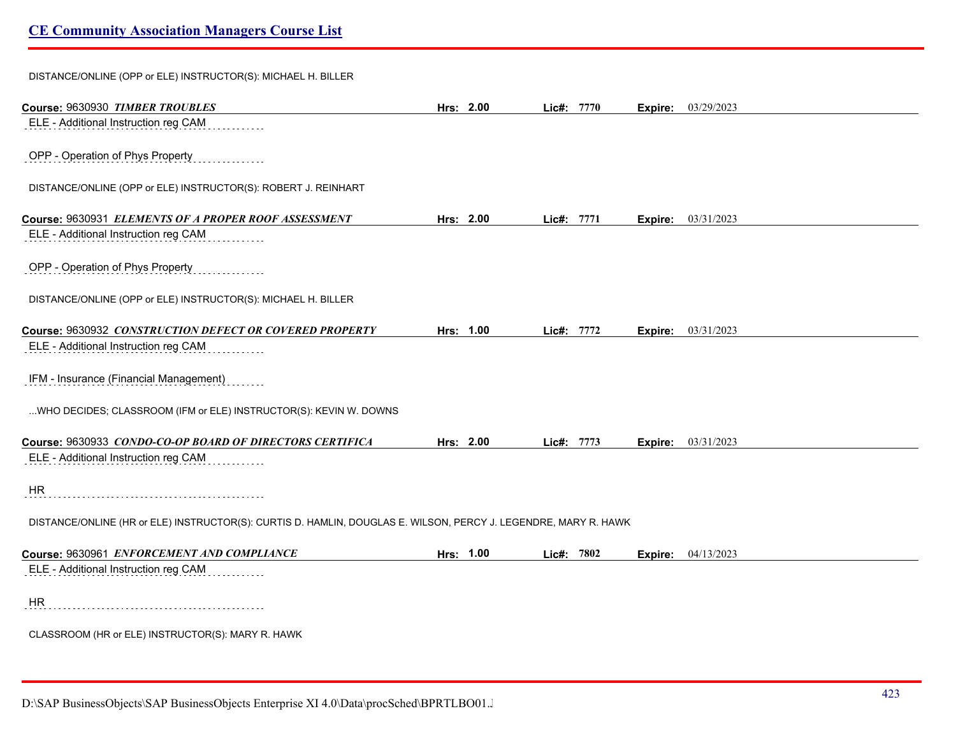DISTANCE/ONLINE (OPP or ELE) INSTRUCTOR(S): MICHAEL H. BILLER

| Course: 9630930 TIMBER TROUBLES                                                                                 | Hrs: 2.00 | Lic#: 7770 |      |         | Expire: 03/29/2023 |
|-----------------------------------------------------------------------------------------------------------------|-----------|------------|------|---------|--------------------|
| ELE - Additional Instruction reg CAM                                                                            |           |            |      |         |                    |
| OPP - Operation of Phys Property                                                                                |           |            |      |         |                    |
| DISTANCE/ONLINE (OPP or ELE) INSTRUCTOR(S): ROBERT J. REINHART                                                  |           |            |      |         |                    |
| Course: 9630931 ELEMENTS OF A PROPER ROOF ASSESSMENT                                                            | Hrs: 2.00 | Lic#:      | 7771 | Expire: | 03/31/2023         |
| ELE - Additional Instruction reg CAM                                                                            |           |            |      |         |                    |
| OPP - Operation of Phys Property                                                                                |           |            |      |         |                    |
| DISTANCE/ONLINE (OPP or ELE) INSTRUCTOR(S): MICHAEL H. BILLER                                                   |           |            |      |         |                    |
| Course: 9630932 CONSTRUCTION DEFECT OR COVERED PROPERTY                                                         | Hrs: 1.00 | Lic#: 7772 |      | Expire: | 03/31/2023         |
| ELE - Additional Instruction reg CAM                                                                            |           |            |      |         |                    |
| IFM - Insurance (Financial Management)                                                                          |           |            |      |         |                    |
| WHO DECIDES; CLASSROOM (IFM or ELE) INSTRUCTOR(S): KEVIN W. DOWNS                                               |           |            |      |         |                    |
| Course: 9630933 CONDO-CO-OP BOARD OF DIRECTORS CERTIFICA                                                        | Hrs: 2.00 | Lic#: 7773 |      | Expire: | 03/31/2023         |
| ELE - Additional Instruction reg CAM                                                                            |           |            |      |         |                    |
| <b>HR</b>                                                                                                       |           |            |      |         |                    |
| DISTANCE/ONLINE (HR or ELE) INSTRUCTOR(S): CURTIS D. HAMLIN, DOUGLAS E. WILSON, PERCY J. LEGENDRE, MARY R. HAWK |           |            |      |         |                    |
| Course: 9630961 ENFORCEMENT AND COMPLIANCE                                                                      | Hrs: 1.00 | Lic#: 7802 |      |         | Expire: 04/13/2023 |
| ELE - Additional Instruction reg CAM                                                                            |           |            |      |         |                    |
| <b>HR</b>                                                                                                       |           |            |      |         |                    |
| CLASSROOM (HR or ELE) INSTRUCTOR(S): MARY R. HAWK                                                               |           |            |      |         |                    |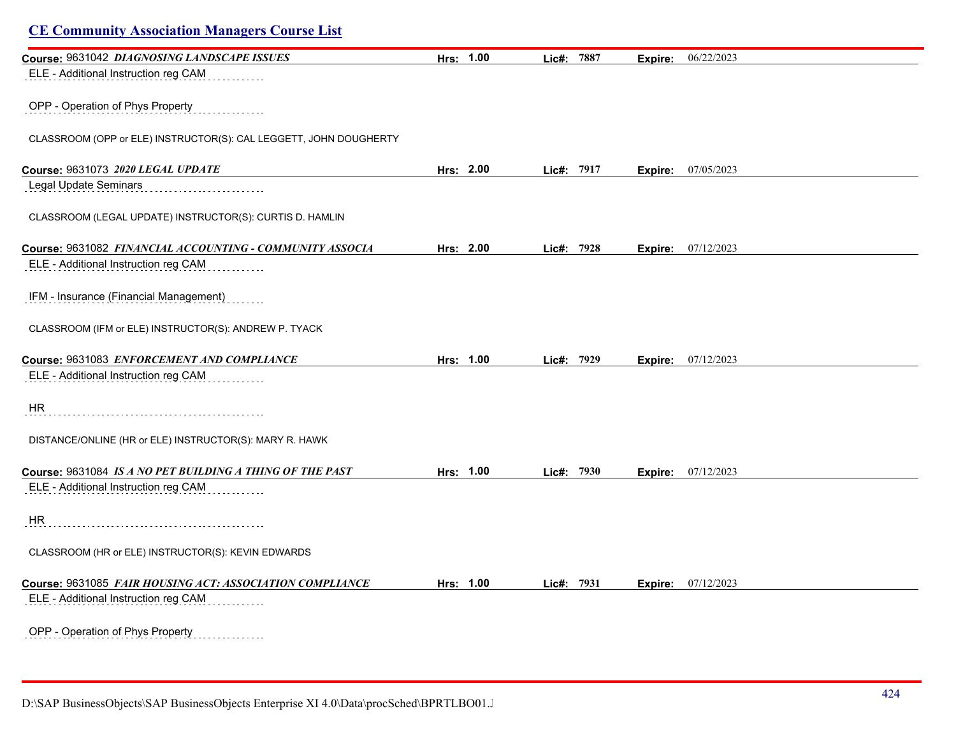| Course: 9631042 DIAGNOSING LANDSCAPE ISSUES                       | Hrs: 1.00 | Lic#: 7887 |            | Expire: | 06/22/2023 |  |
|-------------------------------------------------------------------|-----------|------------|------------|---------|------------|--|
| ELE - Additional Instruction reg CAM                              |           |            |            |         |            |  |
|                                                                   |           |            |            |         |            |  |
| OPP - Operation of Phys Property                                  |           |            |            |         |            |  |
|                                                                   |           |            |            |         |            |  |
| CLASSROOM (OPP or ELE) INSTRUCTOR(S): CAL LEGGETT, JOHN DOUGHERTY |           |            |            |         |            |  |
|                                                                   |           |            |            |         |            |  |
| Course: 9631073 2020 LEGAL UPDATE<br>Legal Update Seminars        | Hrs: 2.00 | Lic#: 7917 |            | Expire: | 07/05/2023 |  |
|                                                                   |           |            |            |         |            |  |
| CLASSROOM (LEGAL UPDATE) INSTRUCTOR(S): CURTIS D. HAMLIN          |           |            |            |         |            |  |
|                                                                   |           |            |            |         |            |  |
| Course: 9631082 FINANCIAL ACCOUNTING - COMMUNITY ASSOCIA          | Hrs: 2.00 |            | Lic#: 7928 | Expire: | 07/12/2023 |  |
| ELE - Additional Instruction reg CAM                              |           |            |            |         |            |  |
|                                                                   |           |            |            |         |            |  |
| IFM - Insurance (Financial Management)                            |           |            |            |         |            |  |
|                                                                   |           |            |            |         |            |  |
| CLASSROOM (IFM or ELE) INSTRUCTOR(S): ANDREW P. TYACK             |           |            |            |         |            |  |
| Course: 9631083 ENFORCEMENT AND COMPLIANCE                        | Hrs: 1.00 |            | Lic#: 7929 | Expire: | 07/12/2023 |  |
| ELE - Additional Instruction reg CAM                              |           |            |            |         |            |  |
|                                                                   |           |            |            |         |            |  |
| HR                                                                |           |            |            |         |            |  |
|                                                                   |           |            |            |         |            |  |
| DISTANCE/ONLINE (HR or ELE) INSTRUCTOR(S): MARY R. HAWK           |           |            |            |         |            |  |
|                                                                   |           |            |            |         |            |  |
| Course: 9631084 IS A NO PET BUILDING A THING OF THE PAST          | Hrs: 1.00 |            | Lic#: 7930 | Expire: | 07/12/2023 |  |
| ELE - Additional Instruction reg CAM                              |           |            |            |         |            |  |
| <b>HR</b>                                                         |           |            |            |         |            |  |
|                                                                   |           |            |            |         |            |  |
| CLASSROOM (HR or ELE) INSTRUCTOR(S): KEVIN EDWARDS                |           |            |            |         |            |  |
|                                                                   |           |            |            |         |            |  |
| Course: 9631085 FAIR HOUSING ACT: ASSOCIATION COMPLIANCE          | Hrs: 1.00 | Lic#: 7931 |            | Expire: | 07/12/2023 |  |
| ELE - Additional Instruction reg CAM                              |           |            |            |         |            |  |
|                                                                   |           |            |            |         |            |  |
| OPP - Operation of Phys Property                                  |           |            |            |         |            |  |

D:\SAP BusinessObjects\SAP BusinessObjects Enterprise XI 4.0\Data\procSched\BPRTLBO01.Jobserver2\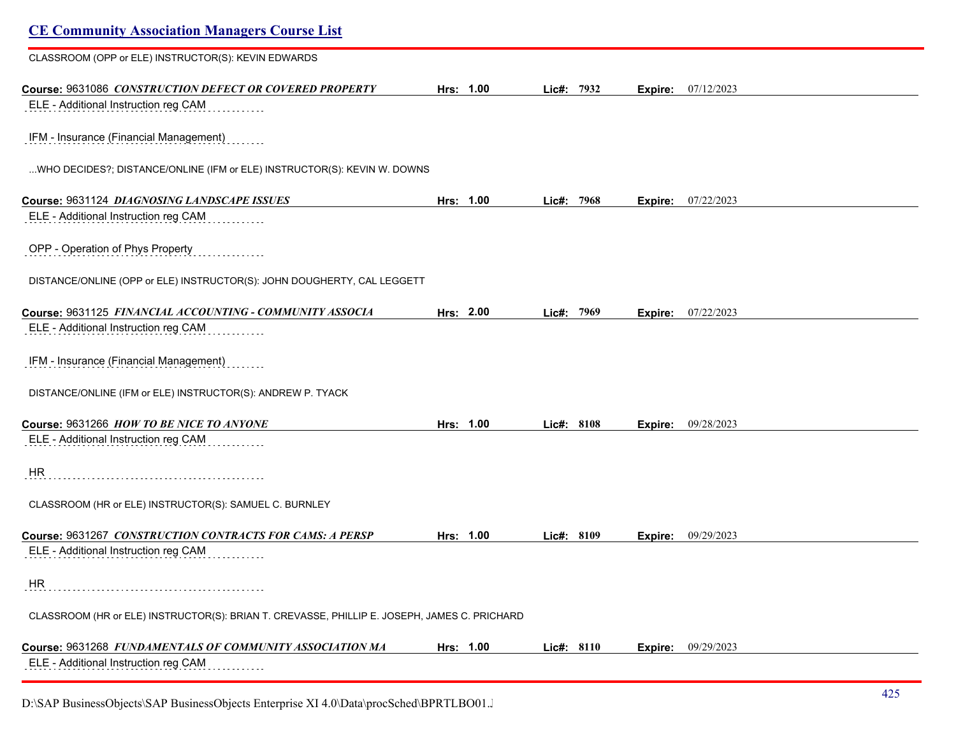| <b>CE Community Association Managers Course List</b>                                         |           |            |      |         |            |
|----------------------------------------------------------------------------------------------|-----------|------------|------|---------|------------|
| CLASSROOM (OPP or ELE) INSTRUCTOR(S): KEVIN EDWARDS                                          |           |            |      |         |            |
| Course: 9631086 CONSTRUCTION DEFECT OR COVERED PROPERTY                                      | Hrs: 1.00 | Lic#: 7932 |      | Expire: | 07/12/2023 |
| ELE - Additional Instruction reg CAM                                                         |           |            |      |         |            |
| IFM - Insurance (Financial Management)                                                       |           |            |      |         |            |
| WHO DECIDES?; DISTANCE/ONLINE (IFM or ELE) INSTRUCTOR(S): KEVIN W. DOWNS                     |           |            |      |         |            |
| Course: 9631124 DIAGNOSING LANDSCAPE ISSUES                                                  | Hrs: 1.00 | Lic#:      | 7968 | Expire: | 07/22/2023 |
| ELE - Additional Instruction reg CAM                                                         |           |            |      |         |            |
| OPP - Operation of Phys Property                                                             |           |            |      |         |            |
| DISTANCE/ONLINE (OPP or ELE) INSTRUCTOR(S): JOHN DOUGHERTY, CAL LEGGETT                      |           |            |      |         |            |
| Course: 9631125 FINANCIAL ACCOUNTING - COMMUNITY ASSOCIA                                     | Hrs: 2.00 | Lic#: 7969 |      | Expire: | 07/22/2023 |
| ELE - Additional Instruction reg CAM                                                         |           |            |      |         |            |
| IFM - Insurance (Financial Management)                                                       |           |            |      |         |            |
| DISTANCE/ONLINE (IFM or ELE) INSTRUCTOR(S): ANDREW P. TYACK                                  |           |            |      |         |            |
| Course: 9631266 HOW TO BE NICE TO ANYONE                                                     | Hrs: 1.00 | Lic#: 8108 |      | Expire: | 09/28/2023 |
| ELE - Additional Instruction reg CAM                                                         |           |            |      |         |            |
| HR                                                                                           |           |            |      |         |            |
| CLASSROOM (HR or ELE) INSTRUCTOR(S): SAMUEL C. BURNLEY                                       |           |            |      |         |            |
| Course: 9631267 CONSTRUCTION CONTRACTS FOR CAMS: A PERSP                                     | Hrs: 1.00 | Lic#: 8109 |      | Expire: | 09/29/2023 |
| ELE - Additional Instruction reg CAM                                                         |           |            |      |         |            |
| HR                                                                                           |           |            |      |         |            |
| CLASSROOM (HR or ELE) INSTRUCTOR(S): BRIAN T. CREVASSE, PHILLIP E. JOSEPH, JAMES C. PRICHARD |           |            |      |         |            |
| Course: 9631268 FUNDAMENTALS OF COMMUNITY ASSOCIATION MA                                     | Hrs: 1.00 | Lic#: 8110 |      | Expire: | 09/29/2023 |
| ELE - Additional Instruction reg CAM                                                         |           |            |      |         |            |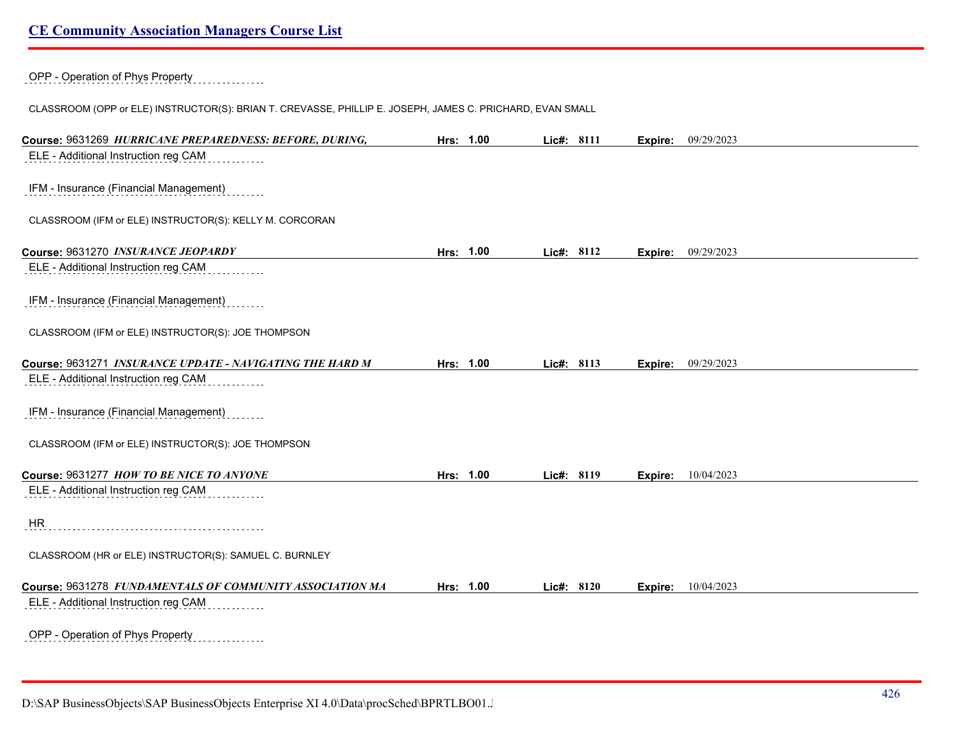OPP - Operation of Phys Property

CLASSROOM (OPP or ELE) INSTRUCTOR(S): BRIAN T. CREVASSE, PHILLIP E. JOSEPH, JAMES C. PRICHARD, EVAN SMALL

| Course: 9631269 HURRICANE PREPAREDNESS: BEFORE, DURING,  | Hrs: 1.00 | Lic#: 8111 | Expire: | 09/29/2023                |
|----------------------------------------------------------|-----------|------------|---------|---------------------------|
| ELE - Additional Instruction reg CAM                     |           |            |         |                           |
|                                                          |           |            |         |                           |
| IFM - Insurance (Financial Management)                   |           |            |         |                           |
|                                                          |           |            |         |                           |
| CLASSROOM (IFM or ELE) INSTRUCTOR(S): KELLY M. CORCORAN  |           |            |         |                           |
| Course: 9631270 INSURANCE JEOPARDY                       | Hrs: 1.00 | Lic#: 8112 |         | <b>Expire:</b> 09/29/2023 |
| ELE - Additional Instruction reg CAM                     |           |            |         |                           |
|                                                          |           |            |         |                           |
| IFM - Insurance (Financial Management)                   |           |            |         |                           |
|                                                          |           |            |         |                           |
| CLASSROOM (IFM or ELE) INSTRUCTOR(S): JOE THOMPSON       |           |            |         |                           |
| Course: 9631271 INSURANCE UPDATE - NAVIGATING THE HARD M | Hrs: 1.00 | Lic#: 8113 | Expire: | 09/29/2023                |
| ELE - Additional Instruction reg CAM                     |           |            |         |                           |
|                                                          |           |            |         |                           |
| IFM - Insurance (Financial Management)                   |           |            |         |                           |
|                                                          |           |            |         |                           |
| CLASSROOM (IFM or ELE) INSTRUCTOR(S): JOE THOMPSON       |           |            |         |                           |
| Course: 9631277 HOW TO BE NICE TO ANYONE                 | Hrs: 1.00 | Lic#: 8119 | Expire: | 10/04/2023                |
| ELE - Additional Instruction reg CAM                     |           |            |         |                           |
|                                                          |           |            |         |                           |
| <b>HR</b>                                                |           |            |         |                           |
|                                                          |           |            |         |                           |
| CLASSROOM (HR or ELE) INSTRUCTOR(S): SAMUEL C. BURNLEY   |           |            |         |                           |
| Course: 9631278 FUNDAMENTALS OF COMMUNITY ASSOCIATION MA | Hrs: 1.00 | Lic#: 8120 | Expire: | 10/04/2023                |
| ELE - Additional Instruction reg CAM                     |           |            |         |                           |
|                                                          |           |            |         |                           |
| OPP - Operation of Phys Property<br>.                    |           |            |         |                           |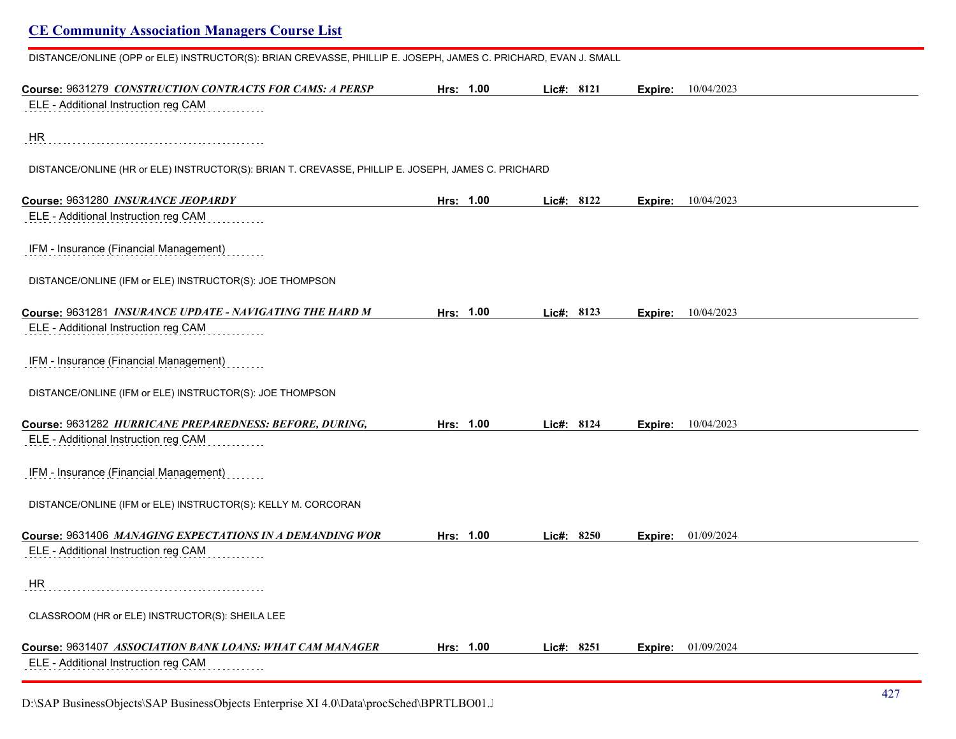| DISTANCE/ONLINE (OPP or ELE) INSTRUCTOR(S): BRIAN CREVASSE, PHILLIP E. JOSEPH, JAMES C. PRICHARD, EVAN J. SMALL |           |           |              |            |         |                    |  |
|-----------------------------------------------------------------------------------------------------------------|-----------|-----------|--------------|------------|---------|--------------------|--|
| Course: 9631279 CONSTRUCTION CONTRACTS FOR CAMS: A PERSP                                                        | Hrs: 1.00 |           | Lic#: 8121   |            | Expire: | 10/04/2023         |  |
| ELE - Additional Instruction reg CAM                                                                            |           |           |              |            |         |                    |  |
| HR                                                                                                              |           |           |              |            |         |                    |  |
| DISTANCE/ONLINE (HR or ELE) INSTRUCTOR(S): BRIAN T. CREVASSE, PHILLIP E. JOSEPH, JAMES C. PRICHARD              |           |           |              |            |         |                    |  |
| Course: 9631280 INSURANCE JEOPARDY                                                                              |           | Hrs: 1.00 |              | Lie#: 8122 | Expire: | 10/04/2023         |  |
| ELE - Additional Instruction reg CAM                                                                            |           |           |              |            |         |                    |  |
| IFM - Insurance (Financial Management)                                                                          |           |           |              |            |         |                    |  |
| DISTANCE/ONLINE (IFM or ELE) INSTRUCTOR(S): JOE THOMPSON                                                        |           |           |              |            |         |                    |  |
| Course: 9631281 INSURANCE UPDATE - NAVIGATING THE HARD M                                                        |           | Hrs: 1.00 | Lic#: $8123$ |            |         | Expire: 10/04/2023 |  |
| ELE - Additional Instruction reg CAM                                                                            |           |           |              |            |         |                    |  |
| IFM - Insurance (Financial Management)                                                                          |           |           |              |            |         |                    |  |
| DISTANCE/ONLINE (IFM or ELE) INSTRUCTOR(S): JOE THOMPSON                                                        |           |           |              |            |         |                    |  |
| Course: 9631282 HURRICANE PREPAREDNESS: BEFORE, DURING,                                                         | Hrs: 1.00 |           | Lic#: 8124   |            | Expire: | 10/04/2023         |  |
| ELE - Additional Instruction reg CAM                                                                            |           |           |              |            |         |                    |  |
| IFM - Insurance (Financial Management)                                                                          |           |           |              |            |         |                    |  |
| DISTANCE/ONLINE (IFM or ELE) INSTRUCTOR(S): KELLY M. CORCORAN                                                   |           |           |              |            |         |                    |  |
| Course: 9631406 MANAGING EXPECTATIONS IN A DEMANDING WOR                                                        | Hrs: 1.00 |           |              | Lic#: 8250 | Expire: | 01/09/2024         |  |
| ELE - Additional Instruction reg CAM                                                                            |           |           |              |            |         |                    |  |
| HR                                                                                                              |           |           |              |            |         |                    |  |
| CLASSROOM (HR or ELE) INSTRUCTOR(S): SHEILA LEE                                                                 |           |           |              |            |         |                    |  |
| Course: 9631407 ASSOCIATION BANK LOANS: WHAT CAM MANAGER                                                        |           | Hrs: 1.00 |              | Lie#: 8251 | Expire: | 01/09/2024         |  |
| ELE - Additional Instruction reg CAM                                                                            |           |           |              |            |         |                    |  |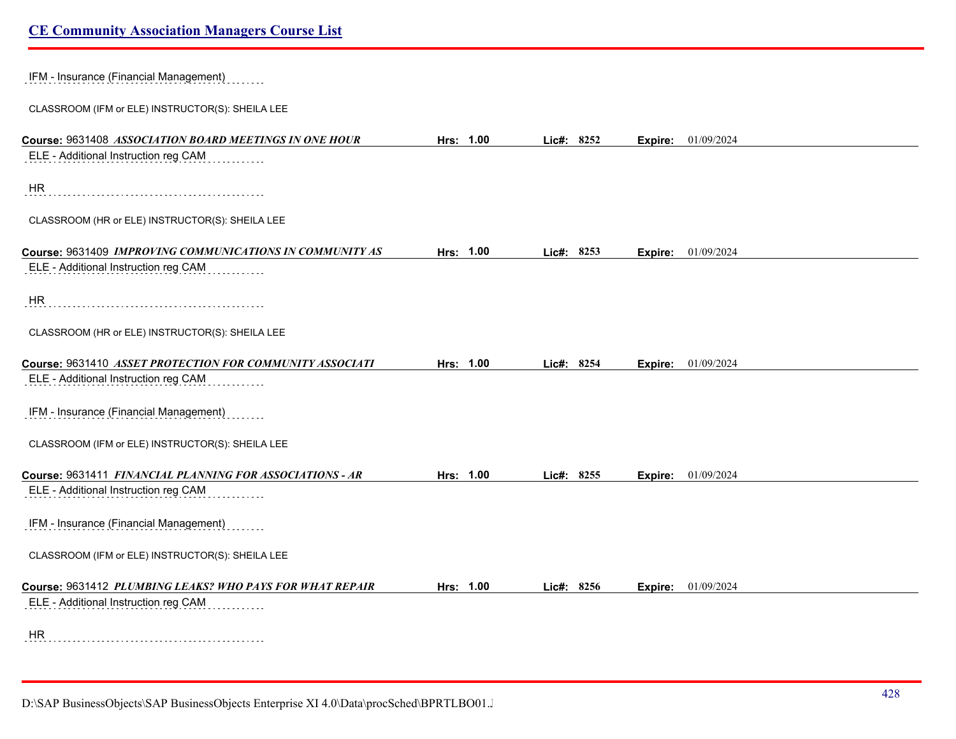| IFM - Insurance (Financial Management)                   |           |            |         |                    |
|----------------------------------------------------------|-----------|------------|---------|--------------------|
| CLASSROOM (IFM or ELE) INSTRUCTOR(S): SHEILA LEE         |           |            |         |                    |
| Course: 9631408 ASSOCIATION BOARD MEETINGS IN ONE HOUR   | Hrs: 1.00 | Lic#: 8252 | Expire: | 01/09/2024         |
| ELE - Additional Instruction reg CAM                     |           |            |         |                    |
| HR                                                       |           |            |         |                    |
| CLASSROOM (HR or ELE) INSTRUCTOR(S): SHEILA LEE          |           |            |         |                    |
| Course: 9631409 IMPROVING COMMUNICATIONS IN COMMUNITY AS | Hrs: 1.00 | Lic#: 8253 | Expire: | 01/09/2024         |
| ELE - Additional Instruction reg CAM                     |           |            |         |                    |
| HR                                                       |           |            |         |                    |
| CLASSROOM (HR or ELE) INSTRUCTOR(S): SHEILA LEE          |           |            |         |                    |
| Course: 9631410 ASSET PROTECTION FOR COMMUNITY ASSOCIATI | Hrs: 1.00 | Lic#: 8254 | Expire: | 01/09/2024         |
| ELE - Additional Instruction reg CAM                     |           |            |         |                    |
| IFM - Insurance (Financial Management)                   |           |            |         |                    |
| CLASSROOM (IFM or ELE) INSTRUCTOR(S): SHEILA LEE         |           |            |         |                    |
| Course: 9631411 FINANCIAL PLANNING FOR ASSOCIATIONS - AR | Hrs: 1.00 | Lic#: 8255 |         | Expire: 01/09/2024 |
| ELE - Additional Instruction reg CAM                     |           |            |         |                    |
| IFM - Insurance (Financial Management)                   |           |            |         |                    |
| CLASSROOM (IFM or ELE) INSTRUCTOR(S): SHEILA LEE         |           |            |         |                    |
| Course: 9631412 PLUMBING LEAKS? WHO PAYS FOR WHAT REPAIR | Hrs: 1.00 | Lic#: 8256 | Expire: | 01/09/2024         |
| ELE - Additional Instruction reg CAM                     |           |            |         |                    |
| <b>HR</b>                                                |           |            |         |                    |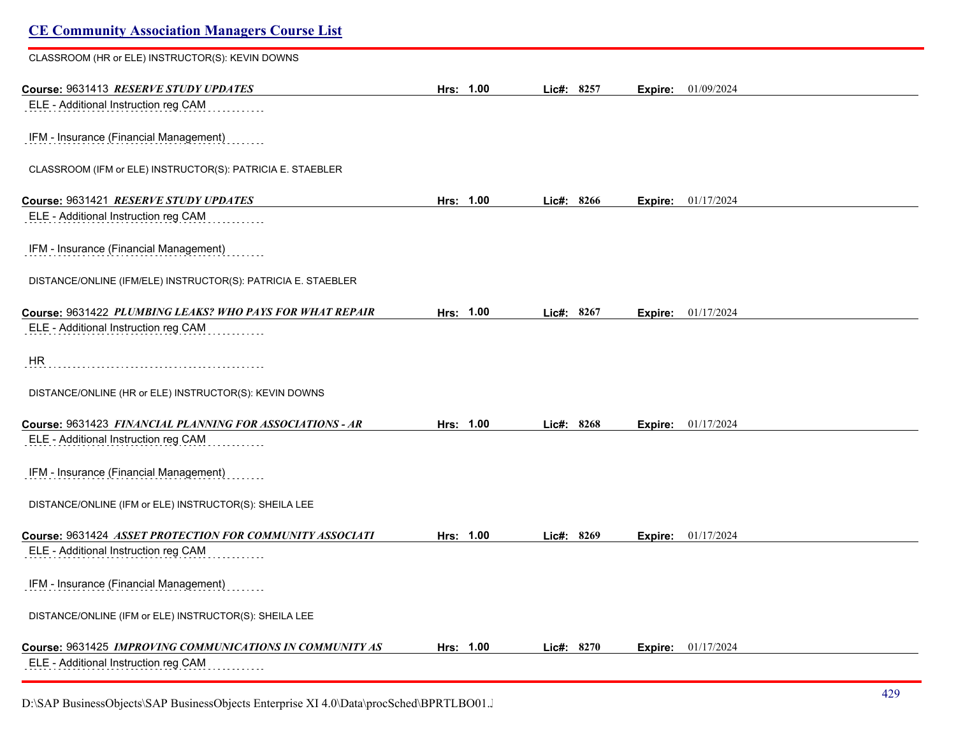| <b>CE Community Association Managers Course List</b>          |           |            |         |            |
|---------------------------------------------------------------|-----------|------------|---------|------------|
| CLASSROOM (HR or ELE) INSTRUCTOR(S): KEVIN DOWNS              |           |            |         |            |
| Course: 9631413 RESERVE STUDY UPDATES                         | Hrs: 1.00 | Lic#: 8257 | Expire: | 01/09/2024 |
| ELE - Additional Instruction reg CAM                          |           |            |         |            |
| IFM - Insurance (Financial Management)                        |           |            |         |            |
| CLASSROOM (IFM or ELE) INSTRUCTOR(S): PATRICIA E. STAEBLER    |           |            |         |            |
| Course: 9631421 RESERVE STUDY UPDATES                         | Hrs: 1.00 | Lic#: 8266 | Expire: | 01/17/2024 |
| ELE - Additional Instruction reg CAM                          |           |            |         |            |
| IFM - Insurance (Financial Management)                        |           |            |         |            |
| DISTANCE/ONLINE (IFM/ELE) INSTRUCTOR(S): PATRICIA E. STAEBLER |           |            |         |            |
| Course: 9631422 PLUMBING LEAKS? WHO PAYS FOR WHAT REPAIR      | Hrs: 1.00 | Lic#: 8267 | Expire: | 01/17/2024 |
| ELE - Additional Instruction reg CAM                          |           |            |         |            |
| <b>HR</b>                                                     |           |            |         |            |
| DISTANCE/ONLINE (HR or ELE) INSTRUCTOR(S): KEVIN DOWNS        |           |            |         |            |
| Course: 9631423 FINANCIAL PLANNING FOR ASSOCIATIONS - AR      | Hrs: 1.00 | Lic#: 8268 | Expire: | 01/17/2024 |
| ELE - Additional Instruction reg CAM                          |           |            |         |            |
| IFM - Insurance (Financial Management)                        |           |            |         |            |
| DISTANCE/ONLINE (IFM or ELE) INSTRUCTOR(S): SHEILA LEE        |           |            |         |            |
| Course: 9631424 ASSET PROTECTION FOR COMMUNITY ASSOCIATI      | Hrs: 1.00 | Lic#: 8269 | Expire: | 01/17/2024 |
| ELE - Additional Instruction reg CAM                          |           |            |         |            |
| IFM - Insurance (Financial Management)                        |           |            |         |            |
| DISTANCE/ONLINE (IFM or ELE) INSTRUCTOR(S): SHEILA LEE        |           |            |         |            |
| Course: 9631425 IMPROVING COMMUNICATIONS IN COMMUNITY AS      | Hrs: 1.00 | Lic#: 8270 | Expire: | 01/17/2024 |
| ELE - Additional Instruction reg CAM                          |           |            |         |            |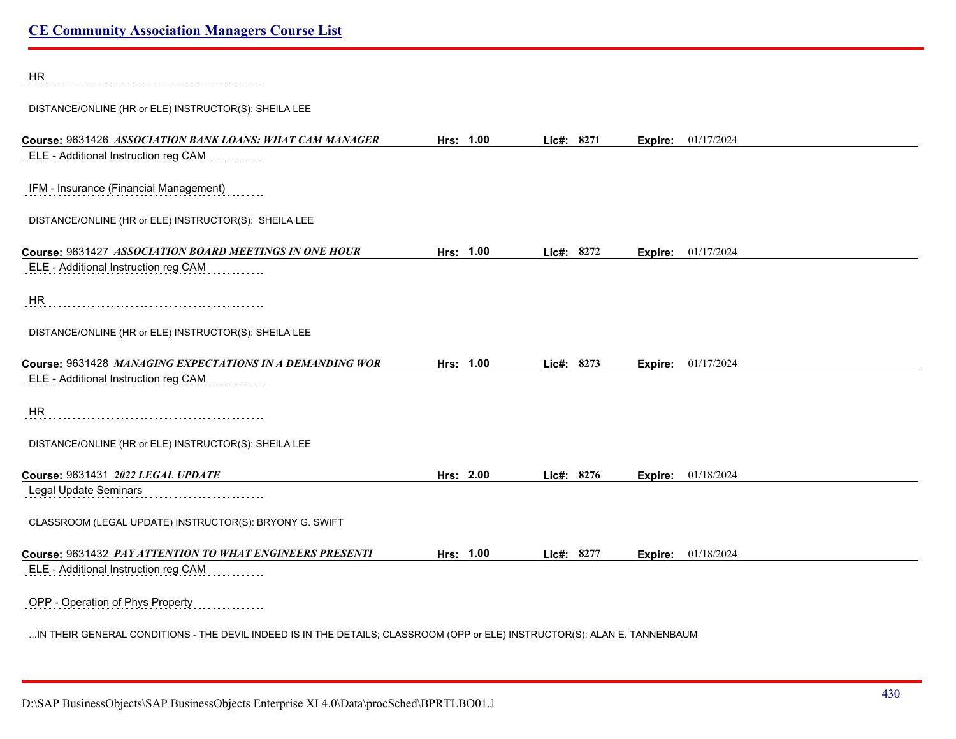| HR                                                                                               |           |            |         |                    |
|--------------------------------------------------------------------------------------------------|-----------|------------|---------|--------------------|
| DISTANCE/ONLINE (HR or ELE) INSTRUCTOR(S): SHEILA LEE                                            |           |            |         |                    |
| Course: 9631426 ASSOCIATION BANK LOANS: WHAT CAM MANAGER<br>ELE - Additional Instruction reg CAM | Hrs: 1.00 | Lic#: 8271 | Expire: | 01/17/2024         |
| IFM - Insurance (Financial Management)                                                           |           |            |         |                    |
| DISTANCE/ONLINE (HR or ELE) INSTRUCTOR(S): SHEILA LEE                                            |           |            |         |                    |
| Course: 9631427 ASSOCIATION BOARD MEETINGS IN ONE HOUR                                           | Hrs: 1.00 | Lic#: 8272 | Expire: | 01/17/2024         |
| ELE - Additional Instruction reg CAM                                                             |           |            |         |                    |
| HR                                                                                               |           |            |         |                    |
| DISTANCE/ONLINE (HR or ELE) INSTRUCTOR(S): SHEILA LEE                                            |           |            |         |                    |
| Course: 9631428 MANAGING EXPECTATIONS IN A DEMANDING WOR                                         | Hrs: 1.00 | Lic#: 8273 | Expire: | 01/17/2024         |
| ELE - Additional Instruction reg CAM                                                             |           |            |         |                    |
| <b>HR</b>                                                                                        |           |            |         |                    |
| DISTANCE/ONLINE (HR or ELE) INSTRUCTOR(S): SHEILA LEE                                            |           |            |         |                    |
| Course: 9631431 2022 LEGAL UPDATE                                                                | Hrs: 2.00 | Lic#: 8276 | Expire: | 01/18/2024         |
| Legal Update Seminars                                                                            |           |            |         |                    |
| CLASSROOM (LEGAL UPDATE) INSTRUCTOR(S): BRYONY G. SWIFT                                          |           |            |         |                    |
| Course: 9631432 PAY ATTENTION TO WHAT ENGINEERS PRESENTI                                         | Hrs: 1.00 | Lic#: 8277 |         | Expire: 01/18/2024 |
| ELE - Additional Instruction reg CAM                                                             |           |            |         |                    |
| OPP - Operation of Phys Property<br>.                                                            |           |            |         |                    |

...IN THEIR GENERAL CONDITIONS - THE DEVIL INDEED IS IN THE DETAILS; CLASSROOM (OPP or ELE) INSTRUCTOR(S): ALAN E. TANNENBAUM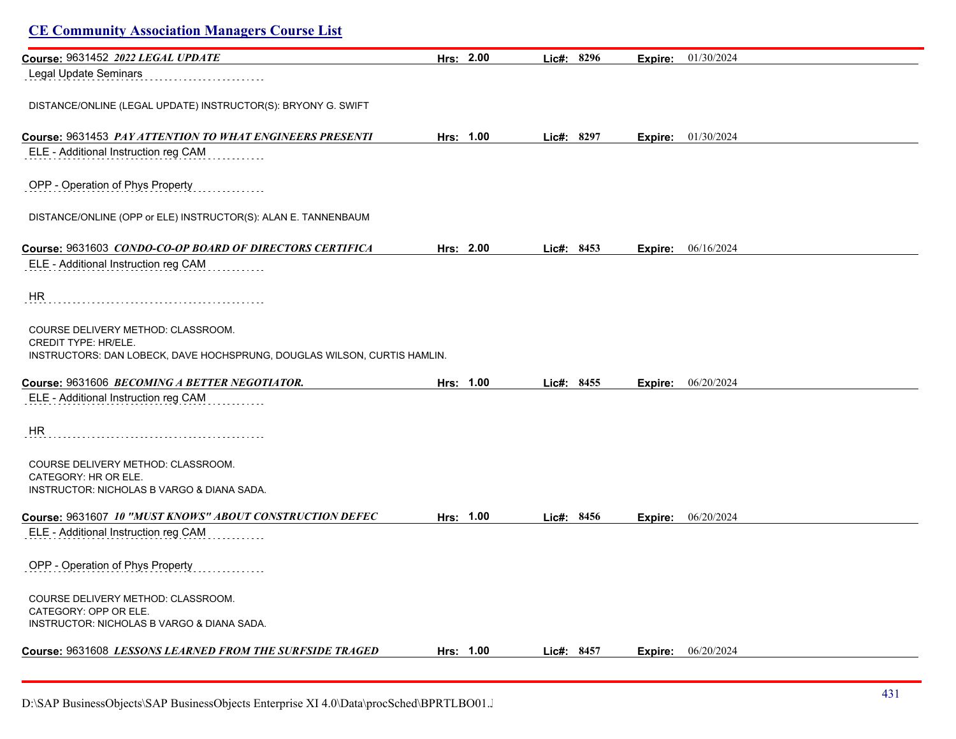| Course: 9631452 2022 LEGAL UPDATE                                                                                                             | Hrs: 2.00 | Lic#: 8296   | Expire: | 01/30/2024 |  |
|-----------------------------------------------------------------------------------------------------------------------------------------------|-----------|--------------|---------|------------|--|
| Legal Update Seminars                                                                                                                         |           |              |         |            |  |
|                                                                                                                                               |           |              |         |            |  |
| DISTANCE/ONLINE (LEGAL UPDATE) INSTRUCTOR(S): BRYONY G. SWIFT                                                                                 |           |              |         |            |  |
|                                                                                                                                               |           |              |         |            |  |
| Course: 9631453 PAY ATTENTION TO WHAT ENGINEERS PRESENTI                                                                                      | Hrs: 1.00 | Lic#: 8297   | Expire: | 01/30/2024 |  |
| ELE - Additional Instruction reg CAM                                                                                                          |           |              |         |            |  |
| OPP - Operation of Phys Property                                                                                                              |           |              |         |            |  |
| DISTANCE/ONLINE (OPP or ELE) INSTRUCTOR(S): ALAN E. TANNENBAUM                                                                                |           |              |         |            |  |
| Course: 9631603 CONDO-CO-OP BOARD OF DIRECTORS CERTIFICA                                                                                      | Hrs: 2.00 | Lic#: 8453   | Expire: | 06/16/2024 |  |
| ELE - Additional Instruction reg CAM                                                                                                          |           |              |         |            |  |
| HR                                                                                                                                            |           |              |         |            |  |
| COURSE DELIVERY METHOD: CLASSROOM.<br><b>CREDIT TYPE: HR/ELE.</b><br>INSTRUCTORS: DAN LOBECK, DAVE HOCHSPRUNG, DOUGLAS WILSON, CURTIS HAMLIN. |           |              |         |            |  |
| Course: 9631606 BECOMING A BETTER NEGOTIATOR.                                                                                                 | Hrs: 1.00 | Lic#: 8455   | Expire: | 06/20/2024 |  |
| ELE - Additional Instruction reg CAM                                                                                                          |           |              |         |            |  |
| <b>HR</b>                                                                                                                                     |           |              |         |            |  |
| COURSE DELIVERY METHOD: CLASSROOM.                                                                                                            |           |              |         |            |  |
| CATEGORY: HR OR ELE.                                                                                                                          |           |              |         |            |  |
| INSTRUCTOR: NICHOLAS B VARGO & DIANA SADA.                                                                                                    |           |              |         |            |  |
| Course: 9631607 10 "MUST KNOWS" ABOUT CONSTRUCTION DEFEC                                                                                      | Hrs: 1.00 | Lic#: 8456   | Expire: | 06/20/2024 |  |
| ELE - Additional Instruction reg CAM                                                                                                          |           |              |         |            |  |
|                                                                                                                                               |           |              |         |            |  |
| OPP - Operation of Phys Property                                                                                                              |           |              |         |            |  |
| COURSE DELIVERY METHOD: CLASSROOM.                                                                                                            |           |              |         |            |  |
| CATEGORY: OPP OR ELE.                                                                                                                         |           |              |         |            |  |
| INSTRUCTOR: NICHOLAS B VARGO & DIANA SADA.                                                                                                    |           |              |         |            |  |
| Course: 9631608 LESSONS LEARNED FROM THE SURFSIDE TRAGED                                                                                      | Hrs: 1.00 | Lic#: $8457$ | Expire: | 06/20/2024 |  |
|                                                                                                                                               |           |              |         |            |  |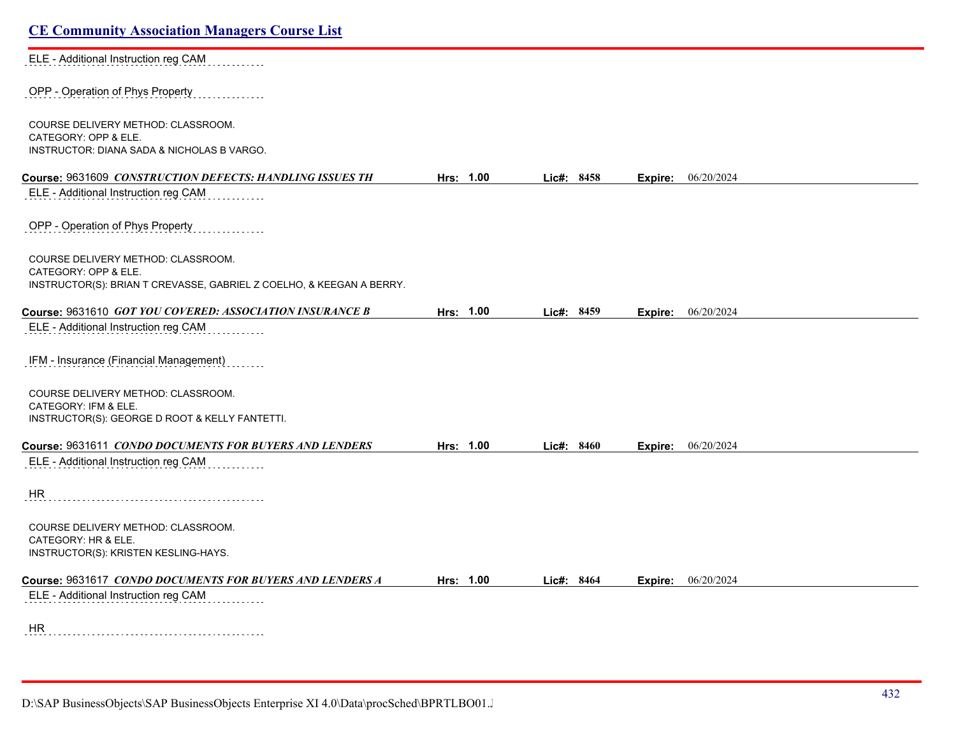| <b>CE Community Association Managers Course List</b>                                         |           |            |         |                             |  |  |
|----------------------------------------------------------------------------------------------|-----------|------------|---------|-----------------------------|--|--|
| ELE - Additional Instruction reg CAM                                                         |           |            |         |                             |  |  |
| OPP - Operation of Phys Property                                                             |           |            |         |                             |  |  |
| COURSE DELIVERY METHOD: CLASSROOM.                                                           |           |            |         |                             |  |  |
| CATEGORY: OPP & ELE.<br>INSTRUCTOR: DIANA SADA & NICHOLAS B VARGO.                           |           |            |         |                             |  |  |
| Course: 9631609 CONSTRUCTION DEFECTS: HANDLING ISSUES TH                                     | Hrs: 1.00 | Lic#: 8458 | Expire: | 06/20/2024                  |  |  |
| ELE - Additional Instruction reg CAM                                                         |           |            |         |                             |  |  |
| OPP - Operation of Phys Property                                                             |           |            |         |                             |  |  |
| COURSE DELIVERY METHOD: CLASSROOM.                                                           |           |            |         |                             |  |  |
| CATEGORY: OPP & ELE.<br>INSTRUCTOR(S): BRIAN T CREVASSE, GABRIEL Z COELHO, & KEEGAN A BERRY. |           |            |         |                             |  |  |
| Course: 9631610 GOT YOU COVERED: ASSOCIATION INSURANCE B                                     | Hrs: 1.00 | Lic#: 8459 |         | Expire: 06/20/2024          |  |  |
| ELE - Additional Instruction reg CAM                                                         |           |            |         |                             |  |  |
| IFM - Insurance (Financial Management)                                                       |           |            |         |                             |  |  |
| COURSE DELIVERY METHOD: CLASSROOM.<br>CATEGORY: IFM & ELE.                                   |           |            |         |                             |  |  |
| INSTRUCTOR(S): GEORGE D ROOT & KELLY FANTETTI.                                               |           |            |         |                             |  |  |
| Course: 9631611 CONDO DOCUMENTS FOR BUYERS AND LENDERS                                       | Hrs: 1.00 | Lic#: 8460 |         | <b>Expire:</b> $06/20/2024$ |  |  |
| ELE - Additional Instruction reg CAM                                                         |           |            |         |                             |  |  |
| HR.                                                                                          |           |            |         |                             |  |  |
| COURSE DELIVERY METHOD: CLASSROOM.<br>CATEGORY: HR & ELE.                                    |           |            |         |                             |  |  |
| INSTRUCTOR(S): KRISTEN KESLING-HAYS.                                                         |           |            |         |                             |  |  |
| Course: 9631617 CONDO DOCUMENTS FOR BUYERS AND LENDERS A                                     | Hrs: 1.00 | Lic#: 8464 | Expire: | 06/20/2024                  |  |  |
| ELE - Additional Instruction reg CAM                                                         |           |            |         |                             |  |  |
| HR                                                                                           |           |            |         |                             |  |  |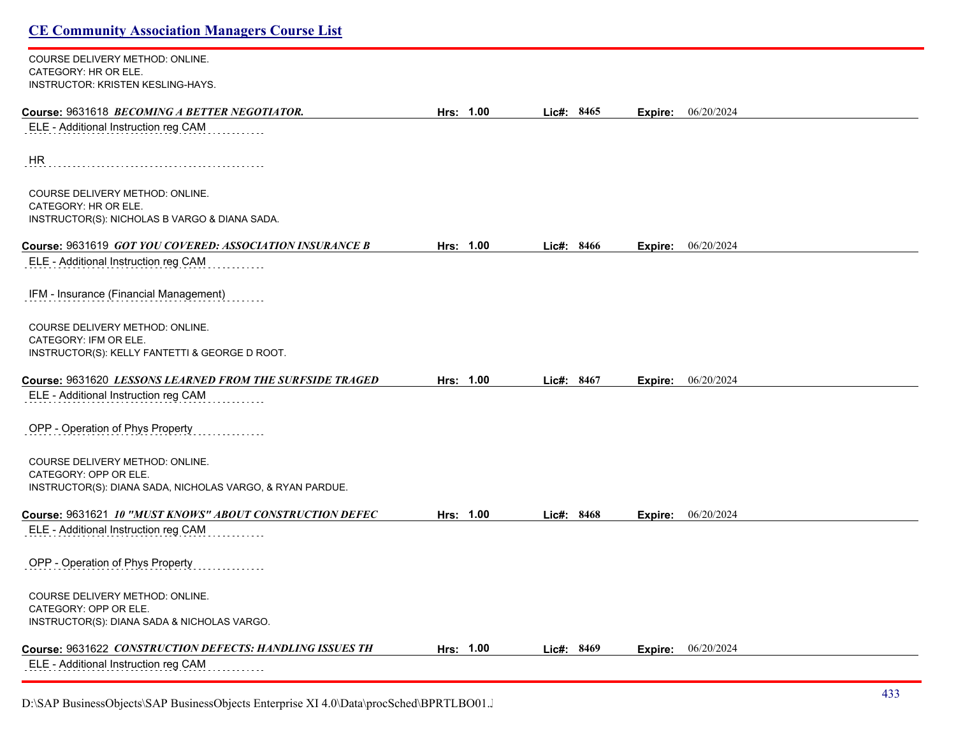COURSE DELIVERY METHOD: ONLINE. CATEGORY: HR OR ELE. INSTRUCTOR: KRISTEN KESLING-HAYS.

| Course: 9631618 BECOMING A BETTER NEGOTIATOR.                                                            | Hrs: 1.00 |       | Lic#: 8465 | Expire: | 06/20/2024 |
|----------------------------------------------------------------------------------------------------------|-----------|-------|------------|---------|------------|
| ELE - Additional Instruction reg CAM                                                                     |           |       |            |         |            |
| HR                                                                                                       |           |       |            |         |            |
| COURSE DELIVERY METHOD: ONLINE.<br>CATEGORY: HR OR ELE.<br>INSTRUCTOR(S): NICHOLAS B VARGO & DIANA SADA. |           |       |            |         |            |
|                                                                                                          |           |       |            |         |            |
| Course: 9631619 GOT YOU COVERED: ASSOCIATION INSURANCE B                                                 | Hrs: 1.00 |       | Lic#: 8466 | Expire: | 06/20/2024 |
| ELE - Additional Instruction reg CAM                                                                     |           |       |            |         |            |
| IFM - Insurance (Financial Management)                                                                   |           |       |            |         |            |
| <b>COURSE DELIVERY METHOD: ONLINE.</b>                                                                   |           |       |            |         |            |
| CATEGORY: IFM OR ELE.                                                                                    |           |       |            |         |            |
| INSTRUCTOR(S): KELLY FANTETTI & GEORGE D ROOT.                                                           |           |       |            |         |            |
| Course: 9631620 LESSONS LEARNED FROM THE SURFSIDE TRAGED                                                 | Hrs: 1.00 | Lie#: | 8467       | Expire: | 06/20/2024 |
| ELE - Additional Instruction reg CAM                                                                     |           |       |            |         |            |
| OPP - Operation of Phys Property                                                                         |           |       |            |         |            |
| COURSE DELIVERY METHOD: ONLINE.                                                                          |           |       |            |         |            |
| CATEGORY: OPP OR ELE.                                                                                    |           |       |            |         |            |
| INSTRUCTOR(S): DIANA SADA, NICHOLAS VARGO, & RYAN PARDUE.                                                |           |       |            |         |            |
| Course: 9631621 10 "MUST KNOWS" ABOUT CONSTRUCTION DEFEC                                                 | Hrs: 1.00 |       | Lic#: 8468 | Expire: | 06/20/2024 |
| ELE - Additional Instruction reg CAM                                                                     |           |       |            |         |            |
| OPP - Operation of Phys Property                                                                         |           |       |            |         |            |
| COURSE DELIVERY METHOD: ONLINE.                                                                          |           |       |            |         |            |
| CATEGORY: OPP OR ELE.                                                                                    |           |       |            |         |            |
| INSTRUCTOR(S): DIANA SADA & NICHOLAS VARGO.                                                              |           |       |            |         |            |
| Course: 9631622 CONSTRUCTION DEFECTS: HANDLING ISSUES TH                                                 | Hrs: 1.00 |       | Lic#: 8469 | Expire: | 06/20/2024 |
| ELE - Additional Instruction reg CAM                                                                     |           |       |            |         |            |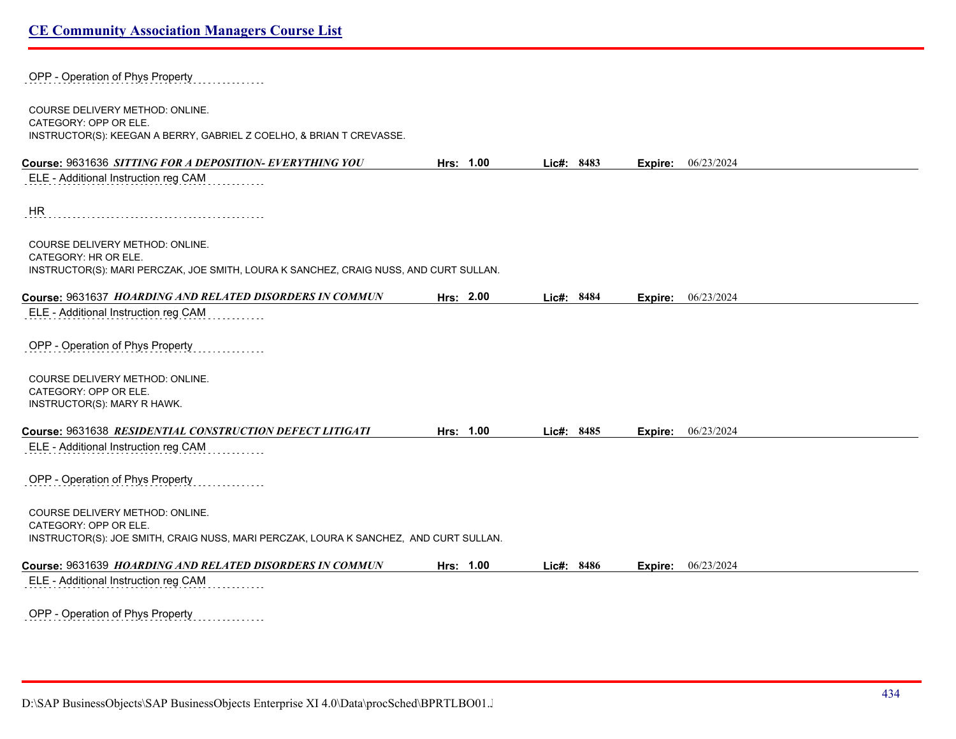| OPP - Operation of Phys Property                                                                                                                  |           |            |         |                    |
|---------------------------------------------------------------------------------------------------------------------------------------------------|-----------|------------|---------|--------------------|
| <b>COURSE DELIVERY METHOD: ONLINE.</b><br>CATEGORY: OPP OR ELE.<br>INSTRUCTOR(S): KEEGAN A BERRY, GABRIEL Z COELHO, & BRIAN T CREVASSE.           |           |            |         |                    |
| Course: 9631636 SITTING FOR A DEPOSITION- EVERYTHING YOU                                                                                          | Hrs: 1.00 | Lic#: 8483 |         | Expire: 06/23/2024 |
| ELE - Additional Instruction reg CAM                                                                                                              |           |            |         |                    |
| <b>HR</b>                                                                                                                                         |           |            |         |                    |
| COURSE DELIVERY METHOD: ONLINE.<br>CATEGORY: HR OR ELE.<br>INSTRUCTOR(S): MARI PERCZAK, JOE SMITH, LOURA K SANCHEZ, CRAIG NUSS, AND CURT SULLAN.  |           |            |         |                    |
| Course: 9631637 HOARDING AND RELATED DISORDERS IN COMMUN                                                                                          | Hrs: 2.00 | Lic#: 8484 | Expire: | 06/23/2024         |
| ELE - Additional Instruction reg CAM                                                                                                              |           |            |         |                    |
| OPP - Operation of Phys Property                                                                                                                  |           |            |         |                    |
| COURSE DELIVERY METHOD: ONLINE.<br>CATEGORY: OPP OR ELE.<br>INSTRUCTOR(S): MARY R HAWK.                                                           |           |            |         |                    |
| Course: 9631638 RESIDENTIAL CONSTRUCTION DEFECT LITIGATI                                                                                          | Hrs: 1.00 | Lic#: 8485 |         | Expire: 06/23/2024 |
| ELE - Additional Instruction reg CAM                                                                                                              |           |            |         |                    |
| OPP - Operation of Phys Property                                                                                                                  |           |            |         |                    |
| COURSE DELIVERY METHOD: ONLINE.<br>CATEGORY: OPP OR ELE.<br>INSTRUCTOR(S): JOE SMITH, CRAIG NUSS, MARI PERCZAK, LOURA K SANCHEZ, AND CURT SULLAN. |           |            |         |                    |
| Course: 9631639 HOARDING AND RELATED DISORDERS IN COMMUN                                                                                          | Hrs: 1.00 | Lic#: 8486 | Expire: | 06/23/2024         |
| ELE - Additional Instruction reg CAM                                                                                                              |           |            |         |                    |
| OPP - Operation of Phys Property                                                                                                                  |           |            |         |                    |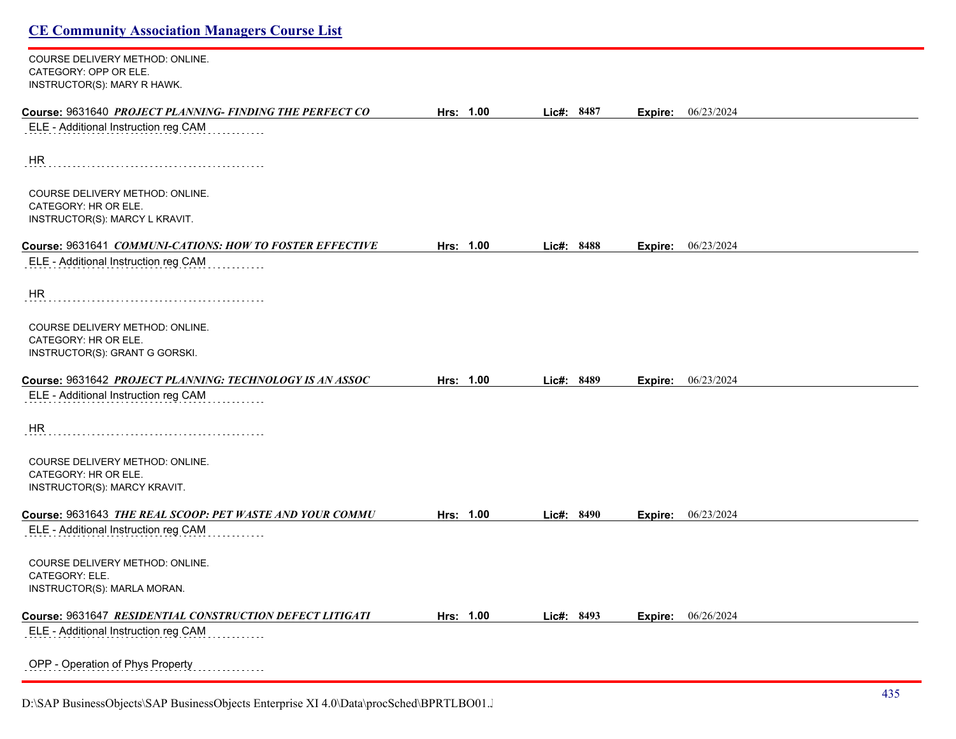COURSE DELIVERY METHOD: ONLINE. CATEGORY: OPP OR ELE. INSTRUCTOR(S): MARY R HAWK.

| Course: 9631640 PROJECT PLANNING- FINDING THE PERFECT CO | Hrs: 1.00 | Lic#: 8487 | Expire: | 06/23/2024 |
|----------------------------------------------------------|-----------|------------|---------|------------|
| ELE - Additional Instruction reg CAM                     |           |            |         |            |
| HR                                                       |           |            |         |            |
| COURSE DELIVERY METHOD: ONLINE.<br>CATEGORY: HR OR ELE.  |           |            |         |            |
| INSTRUCTOR(S): MARCY L KRAVIT.                           |           |            |         |            |
| Course: 9631641 COMMUNI-CATIONS: HOW TO FOSTER EFFECTIVE | Hrs: 1.00 | Lic#: 8488 | Expire: | 06/23/2024 |
| ELE - Additional Instruction reg CAM                     |           |            |         |            |
| HR                                                       |           |            |         |            |
| COURSE DELIVERY METHOD: ONLINE.<br>CATEGORY: HR OR ELE.  |           |            |         |            |
| INSTRUCTOR(S): GRANT G GORSKI.                           |           |            |         |            |
| Course: 9631642 PROJECT PLANNING: TECHNOLOGY IS AN ASSOC | Hrs: 1.00 | Lic#: 8489 | Expire: | 06/23/2024 |
| ELE - Additional Instruction reg CAM                     |           |            |         |            |
| HR                                                       |           |            |         |            |
| COURSE DELIVERY METHOD: ONLINE.<br>CATEGORY: HR OR ELE.  |           |            |         |            |
| INSTRUCTOR(S): MARCY KRAVIT.                             |           |            |         |            |
| Course: 9631643 THE REAL SCOOP: PET WASTE AND YOUR COMMU | Hrs: 1.00 | Lic#: 8490 | Expire: | 06/23/2024 |
| ELE - Additional Instruction reg CAM                     |           |            |         |            |
| COURSE DELIVERY METHOD: ONLINE.<br>CATEGORY: ELE.        |           |            |         |            |
| INSTRUCTOR(S): MARLA MORAN.                              |           |            |         |            |
| Course: 9631647 RESIDENTIAL CONSTRUCTION DEFECT LITIGATI | Hrs: 1.00 | Lic#: 8493 | Expire: | 06/26/2024 |
| ELE - Additional Instruction reg CAM                     |           |            |         |            |
| OPP - Operation of Phys Property                         |           |            |         |            |
|                                                          |           |            |         |            |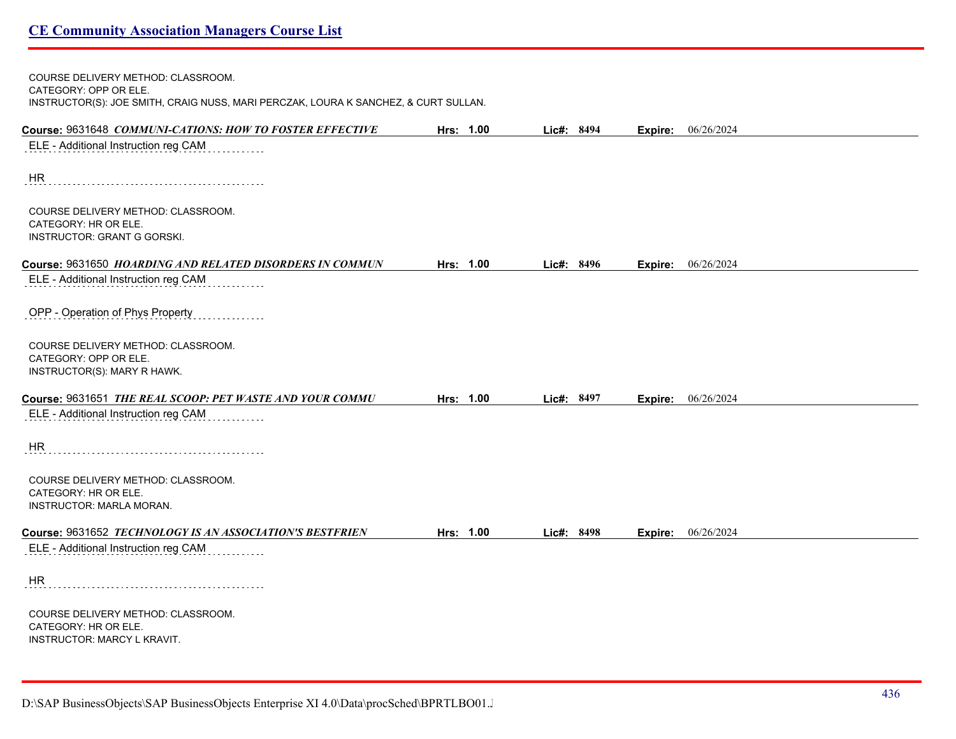| COURSE DELIVERY METHOD: CLASSROOM.<br>CATEGORY: OPP OR ELE.                                      |           |            |         |                    |  |  |
|--------------------------------------------------------------------------------------------------|-----------|------------|---------|--------------------|--|--|
| INSTRUCTOR(S): JOE SMITH, CRAIG NUSS, MARI PERCZAK, LOURA K SANCHEZ, & CURT SULLAN.              |           |            |         |                    |  |  |
| Course: 9631648 COMMUNI-CATIONS: HOW TO FOSTER EFFECTIVE                                         | Hrs: 1.00 | Lic#: 8494 |         | Expire: 06/26/2024 |  |  |
| ELE - Additional Instruction reg CAM                                                             |           |            |         |                    |  |  |
| <b>HR</b>                                                                                        |           |            |         |                    |  |  |
| COURSE DELIVERY METHOD: CLASSROOM.<br>CATEGORY: HR OR ELE.                                       |           |            |         |                    |  |  |
| INSTRUCTOR: GRANT G GORSKI.                                                                      |           |            |         |                    |  |  |
| Course: 9631650 HOARDING AND RELATED DISORDERS IN COMMUN                                         | Hrs: 1.00 | Lic#: 8496 | Expire: | 06/26/2024         |  |  |
| ELE - Additional Instruction reg CAM                                                             |           |            |         |                    |  |  |
| OPP - Operation of Phys Property                                                                 |           |            |         |                    |  |  |
| COURSE DELIVERY METHOD: CLASSROOM.<br>CATEGORY: OPP OR ELE.                                      |           |            |         |                    |  |  |
| INSTRUCTOR(S): MARY R HAWK.                                                                      |           |            |         |                    |  |  |
| Course: 9631651 THE REAL SCOOP: PET WASTE AND YOUR COMMU                                         | Hrs: 1.00 | Lic#: 8497 | Expire: | 06/26/2024         |  |  |
| ELE - Additional Instruction reg CAM                                                             |           |            |         |                    |  |  |
| HR                                                                                               |           |            |         |                    |  |  |
| COURSE DELIVERY METHOD: CLASSROOM.<br>CATEGORY: HR OR ELE.                                       |           |            |         |                    |  |  |
| <b>INSTRUCTOR: MARLA MORAN.</b>                                                                  |           |            |         |                    |  |  |
| Course: 9631652 TECHNOLOGY IS AN ASSOCIATION'S BESTFRIEN                                         | Hrs: 1.00 | Lic#: 8498 |         | Expire: 06/26/2024 |  |  |
| ELE - Additional Instruction reg CAM                                                             |           |            |         |                    |  |  |
| <b>HR</b>                                                                                        |           |            |         |                    |  |  |
| COURSE DELIVERY METHOD: CLASSROOM.<br>CATEGORY: HR OR ELE.<br><b>INSTRUCTOR: MARCY L KRAVIT.</b> |           |            |         |                    |  |  |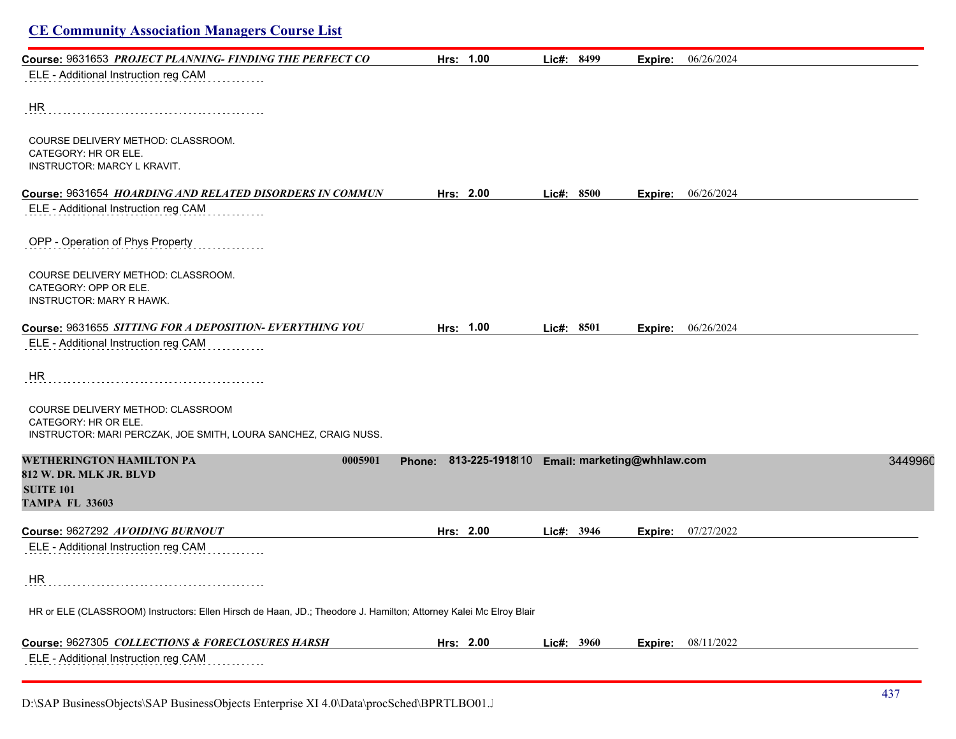| Course: 9631653 PROJECT PLANNING-FINDING THE PERFECT CO | Hrs: 1.00 | Lie#: 8499 | Expire: | 06/26/2024 |
|---------------------------------------------------------|-----------|------------|---------|------------|
| ELE - Additional Instruction reg CAM                    |           |            |         |            |
| HR                                                      |           |            |         |            |
| COURSE DELIVERY METHOD: CLASSROOM.                      |           |            |         |            |
| CATEGORY: HR OR ELE.                                    |           |            |         |            |
| INSTRUCTOR: MARCY L KRAVIT.                             |           |            |         |            |

ELE - Additional Instruction reg CAM

OPP - Operation of Phys Property . . . . . . . . .

COURSE DELIVERY METHOD: CLASSROOM. CATEGORY: OPP OR ELE. INSTRUCTOR: MARY R HAWK.

| Course: 9631655 SITTING FOR A DEPOSITION- EVERYTHING YOU | 1.00<br>Hrs: | 8501<br>∟ic#: | 06/26/2024<br>Expire: |  |
|----------------------------------------------------------|--------------|---------------|-----------------------|--|
|                                                          |              |               |                       |  |

ELE - Additional Instruction reg CAM

HR

COURSE DELIVERY METHOD: CLASSROOM CATEGORY: HR OR ELE. INSTRUCTOR: MARI PERCZAK, JOE SMITH, LOURA SANCHEZ, CRAIG NUSS.

| <b>WETHERINGTON HAMILTON PA</b>                                                                                   | 0005901 | <b>Phone:</b> | 813-225-1918110 Email: marketing@whhlaw.com |            |            |         |            | 3449960 |
|-------------------------------------------------------------------------------------------------------------------|---------|---------------|---------------------------------------------|------------|------------|---------|------------|---------|
| 812 W. DR. MLK JR. BLVD                                                                                           |         |               |                                             |            |            |         |            |         |
| <b>SUITE 101</b>                                                                                                  |         |               |                                             |            |            |         |            |         |
| <b>TAMPA FL 33603</b>                                                                                             |         |               |                                             |            |            |         |            |         |
| Course: 9627292 AVOIDING BURNOUT                                                                                  |         |               | Hrs: 2.00                                   |            | Lie#: 3946 | Expire: | 07/27/2022 |         |
| ELE - Additional Instruction reg CAM                                                                              |         |               |                                             |            |            |         |            |         |
| <b>HR</b>                                                                                                         |         |               |                                             |            |            |         |            |         |
| HR or ELE (CLASSROOM) Instructors: Ellen Hirsch de Haan, JD.; Theodore J. Hamilton; Attorney Kalei Mc Elroy Blair |         |               |                                             |            |            |         |            |         |
| Course: 9627305 COLLECTIONS & FORECLOSURES HARSH                                                                  |         |               | Hrs: $2.00$                                 | Lie#: 3960 |            | Expire: | 08/11/2022 |         |

ELE - Additional Instruction reg CAM

D:\SAP BusinessObjects\SAP BusinessObjects Enterprise XI 4.0\Data\procSched\BPRTLBO01.Jobserver2\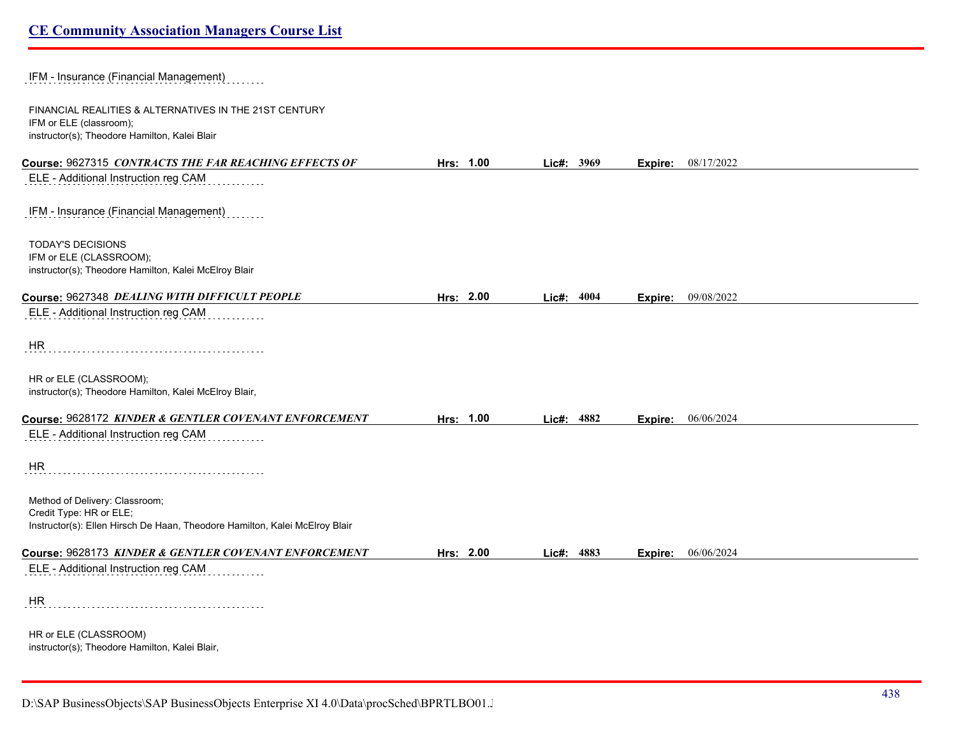IFM - Insurance (Financial Management)

FINANCIAL REALITIES & ALTERNATIVES IN THE 21ST CENTURY IFM or ELE (classroom); instructor(s); Theodore Hamilton, Kalei Blair

| instructor(s); I heodore Hamilton, Kalei Blair                                                               |           |            |         |            |
|--------------------------------------------------------------------------------------------------------------|-----------|------------|---------|------------|
| Course: 9627315 CONTRACTS THE FAR REACHING EFFECTS OF                                                        | Hrs: 1.00 | Lic#: 3969 | Expire: | 08/17/2022 |
| ELE - Additional Instruction reg CAM                                                                         |           |            |         |            |
| IFM - Insurance (Financial Management)                                                                       |           |            |         |            |
| <b>TODAY'S DECISIONS</b><br>IFM or ELE (CLASSROOM);<br>instructor(s); Theodore Hamilton, Kalei McElroy Blair |           |            |         |            |
| Course: 9627348 DEALING WITH DIFFICULT PEOPLE                                                                | Hrs: 2.00 | Lic#: 4004 | Expire: | 09/08/2022 |
| ELE - Additional Instruction reg CAM                                                                         |           |            |         |            |
| HR                                                                                                           |           |            |         |            |
| HR or ELE (CLASSROOM);<br>instructor(s); Theodore Hamilton, Kalei McElroy Blair,                             |           |            |         |            |
| Course: 9628172 KINDER & GENTLER COVENANT ENFORCEMENT                                                        | Hrs: 1.00 | Lic#: 4882 | Expire: | 06/06/2024 |
| ELE - Additional Instruction reg CAM                                                                         |           |            |         |            |
| <b>HR</b>                                                                                                    |           |            |         |            |
| Method of Delivery: Classroom;<br>Credit Type: HR or ELE;                                                    |           |            |         |            |
| Instructor(s): Ellen Hirsch De Haan, Theodore Hamilton, Kalei McElroy Blair                                  |           |            |         |            |
| Course: 9628173 KINDER & GENTLER COVENANT ENFORCEMENT                                                        | Hrs: 2.00 | Lic#: 4883 | Expire: | 06/06/2024 |
| ELE - Additional Instruction reg CAM                                                                         |           |            |         |            |
| HR                                                                                                           |           |            |         |            |
| HR or ELE (CLASSROOM)<br>instructor(s); Theodore Hamilton, Kalei Blair,                                      |           |            |         |            |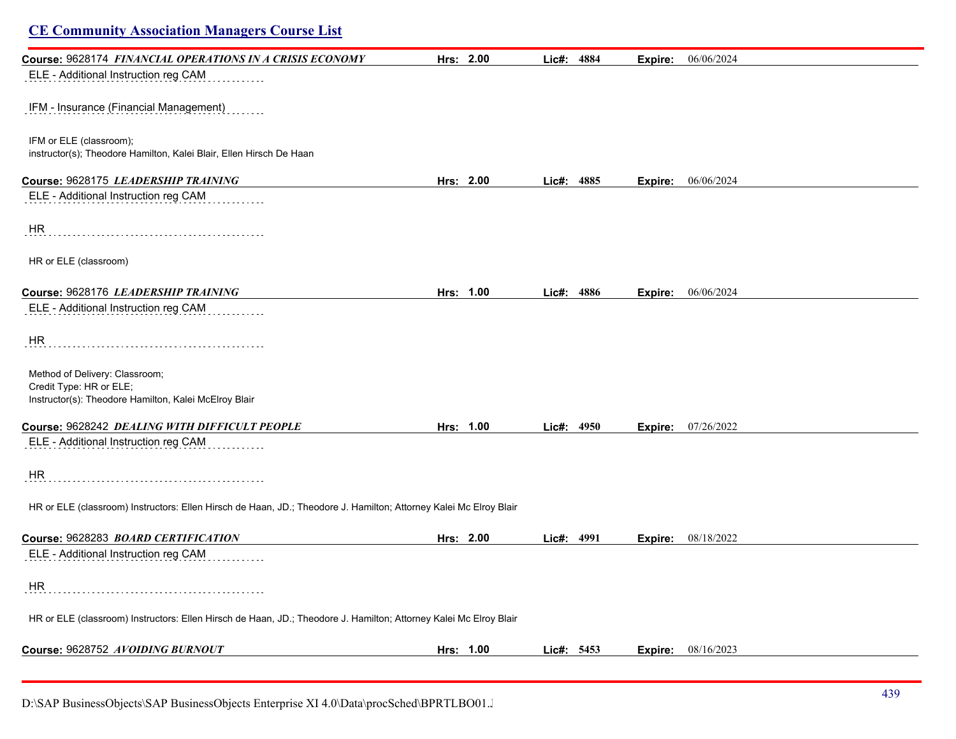| <b>CE Community Association Managers Course List</b>                                                               |           |            |         |                           |
|--------------------------------------------------------------------------------------------------------------------|-----------|------------|---------|---------------------------|
| Course: 9628174 FINANCIAL OPERATIONS IN A CRISIS ECONOMY                                                           | Hrs: 2.00 | Lic#: 4884 | Expire: | 06/06/2024                |
| ELE - Additional Instruction reg CAM                                                                               |           |            |         |                           |
| IFM - Insurance (Financial Management)                                                                             |           |            |         |                           |
| IFM or ELE (classroom);<br>instructor(s); Theodore Hamilton, Kalei Blair, Ellen Hirsch De Haan                     |           |            |         |                           |
| Course: 9628175 LEADERSHIP TRAINING                                                                                | Hrs: 2.00 | Lic#: 4885 |         | <b>Expire:</b> 06/06/2024 |
| ELE - Additional Instruction reg CAM                                                                               |           |            |         |                           |
| <b>HR</b>                                                                                                          |           |            |         |                           |
| HR or ELE (classroom)                                                                                              |           |            |         |                           |
| Course: 9628176 LEADERSHIP TRAINING                                                                                | Hrs: 1.00 | Lic#: 4886 | Expire: | 06/06/2024                |
| ELE - Additional Instruction reg CAM                                                                               |           |            |         |                           |
| HR                                                                                                                 |           |            |         |                           |
| Method of Delivery: Classroom;<br>Credit Type: HR or ELE;<br>Instructor(s): Theodore Hamilton, Kalei McElroy Blair |           |            |         |                           |
| Course: 9628242 DEALING WITH DIFFICULT PEOPLE                                                                      | Hrs: 1.00 | Lic#: 4950 | Expire: | 07/26/2022                |
| ELE - Additional Instruction reg CAM                                                                               |           |            |         |                           |
| HR                                                                                                                 |           |            |         |                           |
| HR or ELE (classroom) Instructors: Ellen Hirsch de Haan, JD.; Theodore J. Hamilton; Attorney Kalei Mc Elroy Blair  |           |            |         |                           |
| Course: 9628283 BOARD CERTIFICATION                                                                                | Hrs: 2.00 | Lic#: 4991 | Expire: | 08/18/2022                |
| ELE - Additional Instruction reg CAM<br>.                                                                          |           |            |         |                           |
| <b>HR</b>                                                                                                          |           |            |         |                           |
| HR or ELE (classroom) Instructors: Ellen Hirsch de Haan, JD.; Theodore J. Hamilton; Attorney Kalei Mc Elroy Blair  |           |            |         |                           |
| Course: 9628752 AVOIDING BURNOUT                                                                                   | Hrs: 1.00 | Lic#: 5453 |         | Expire: 08/16/2023        |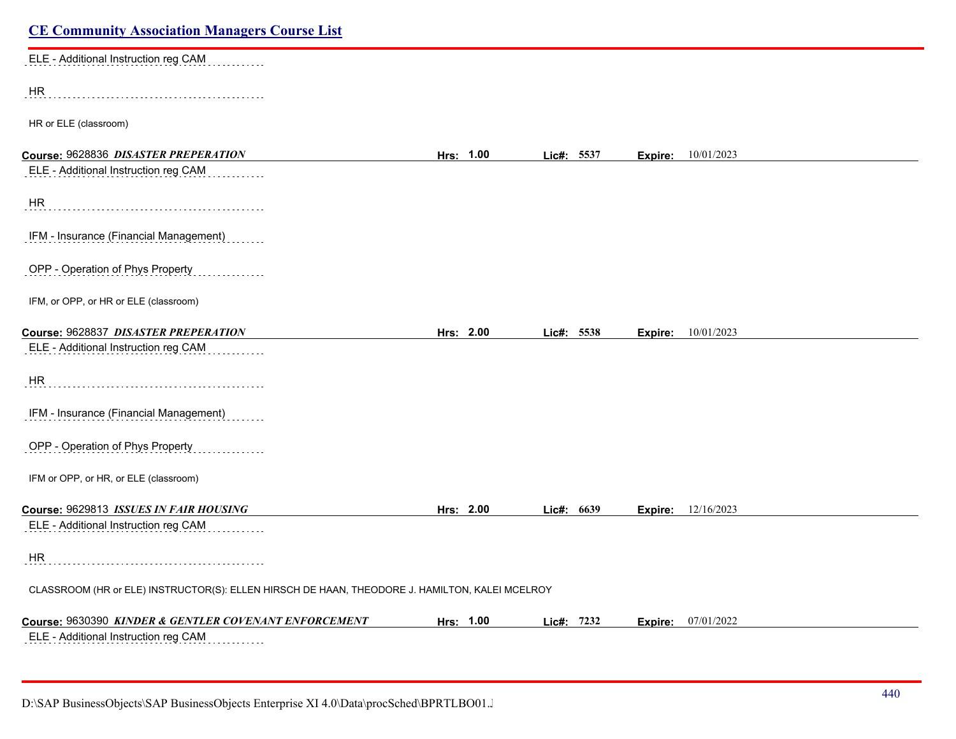| <b>CE Community Association Managers Course List</b>                                           |           |            |         |                           |  |
|------------------------------------------------------------------------------------------------|-----------|------------|---------|---------------------------|--|
| ELE - Additional Instruction reg CAM                                                           |           |            |         |                           |  |
| <b>HR</b>                                                                                      |           |            |         |                           |  |
| HR or ELE (classroom)                                                                          |           |            |         |                           |  |
| Course: 9628836 DISASTER PREPERATION                                                           | Hrs: 1.00 | Lic#: 5537 | Expire: | 10/01/2023                |  |
| ELE - Additional Instruction reg CAM                                                           |           |            |         |                           |  |
| HR                                                                                             |           |            |         |                           |  |
| IFM - Insurance (Financial Management)                                                         |           |            |         |                           |  |
| OPP - Operation of Phys Property                                                               |           |            |         |                           |  |
| IFM, or OPP, or HR or ELE (classroom)                                                          |           |            |         |                           |  |
| Course: 9628837 DISASTER PREPERATION                                                           | Hrs: 2.00 | Lic#: 5538 | Expire: | 10/01/2023                |  |
| ELE - Additional Instruction reg CAM                                                           |           |            |         |                           |  |
| HR                                                                                             |           |            |         |                           |  |
| IFM - Insurance (Financial Management)                                                         |           |            |         |                           |  |
| OPP - Operation of Phys Property                                                               |           |            |         |                           |  |
| IFM or OPP, or HR, or ELE (classroom)                                                          |           |            |         |                           |  |
| Course: 9629813 ISSUES IN FAIR HOUSING                                                         | Hrs: 2.00 | Lic#: 6639 |         | <b>Expire:</b> 12/16/2023 |  |
| ELE - Additional Instruction reg CAM                                                           |           |            |         |                           |  |
| <b>HR</b>                                                                                      |           |            |         |                           |  |
| CLASSROOM (HR or ELE) INSTRUCTOR(S): ELLEN HIRSCH DE HAAN, THEODORE J. HAMILTON, KALEI MCELROY |           |            |         |                           |  |
| Course: 9630390 KINDER & GENTLER COVENANT ENFORCEMENT                                          | Hrs: 1.00 | Lic#: 7232 | Expire: | 07/01/2022                |  |
| ELE - Additional Instruction reg CAM                                                           |           |            |         |                           |  |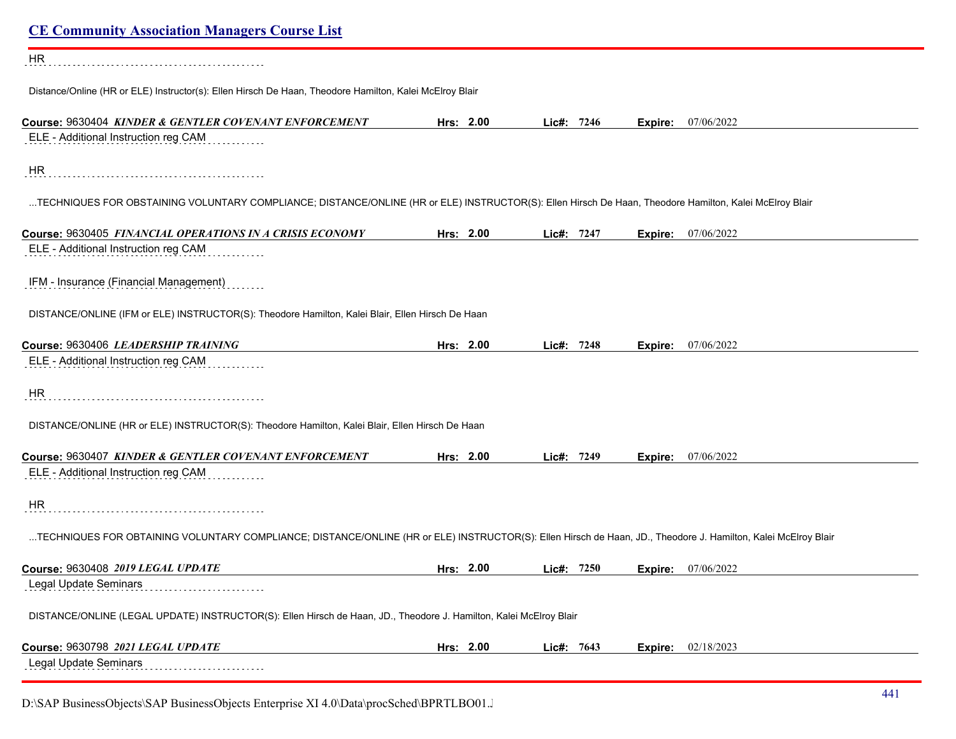| <b>CE Community Association Managers Course List</b>                                                                                                           |           |            |         |                             |
|----------------------------------------------------------------------------------------------------------------------------------------------------------------|-----------|------------|---------|-----------------------------|
| <b>HR</b>                                                                                                                                                      |           |            |         |                             |
| Distance/Online (HR or ELE) Instructor(s): Ellen Hirsch De Haan, Theodore Hamilton, Kalei McElroy Blair                                                        |           |            |         |                             |
| Course: 9630404 KINDER & GENTLER COVENANT ENFORCEMENT                                                                                                          | Hrs: 2.00 | Lic#: 7246 |         | <b>Expire:</b> $07/06/2022$ |
| ELE - Additional Instruction reg CAM                                                                                                                           |           |            |         |                             |
| <b>HR</b>                                                                                                                                                      |           |            |         |                             |
| TECHNIQUES FOR OBSTAINING VOLUNTARY COMPLIANCE; DISTANCE/ONLINE (HR or ELE) INSTRUCTOR(S): Ellen Hirsch De Haan, Theodore Hamilton, Kalei McElroy Blair        |           |            |         |                             |
| Course: 9630405 FINANCIAL OPERATIONS IN A CRISIS ECONOMY                                                                                                       | Hrs: 2.00 | Lic#: 7247 |         | <b>Expire:</b> 07/06/2022   |
| ELE - Additional Instruction reg CAM                                                                                                                           |           |            |         |                             |
| IFM - Insurance (Financial Management)                                                                                                                         |           |            |         |                             |
| DISTANCE/ONLINE (IFM or ELE) INSTRUCTOR(S): Theodore Hamilton, Kalei Blair, Ellen Hirsch De Haan                                                               |           |            |         |                             |
| Course: 9630406 LEADERSHIP TRAINING                                                                                                                            | Hrs: 2.00 | Lic#: 7248 | Expire: | 07/06/2022                  |
| ELE - Additional Instruction reg CAM                                                                                                                           |           |            |         |                             |
| <b>HR</b>                                                                                                                                                      |           |            |         |                             |
| DISTANCE/ONLINE (HR or ELE) INSTRUCTOR(S): Theodore Hamilton, Kalei Blair, Ellen Hirsch De Haan                                                                |           |            |         |                             |
| Course: 9630407 KINDER & GENTLER COVENANT ENFORCEMENT                                                                                                          | Hrs: 2.00 | Lic#: 7249 |         | <b>Expire:</b> 07/06/2022   |
| ELE - Additional Instruction reg CAM                                                                                                                           |           |            |         |                             |
| HR.                                                                                                                                                            |           |            |         |                             |
| TECHNIQUES FOR OBTAINING VOLUNTARY COMPLIANCE; DISTANCE/ONLINE (HR or ELE) INSTRUCTOR(S): Ellen Hirsch de Haan, JD., Theodore J. Hamilton, Kalei McElroy Blair |           |            |         |                             |
| Course: 9630408 2019 LEGAL UPDATE                                                                                                                              | Hrs: 2.00 | Lie#: 7250 | Expire: | 07/06/2022                  |
| Legal Update Seminars                                                                                                                                          |           |            |         |                             |
| DISTANCE/ONLINE (LEGAL UPDATE) INSTRUCTOR(S): Ellen Hirsch de Haan, JD., Theodore J. Hamilton, Kalei McElroy Blair                                             |           |            |         |                             |
| Course: 9630798 2021 LEGAL UPDATE                                                                                                                              | Hrs: 2.00 | Lic#: 7643 | Expire: | 02/18/2023                  |
| Legal Update Seminars                                                                                                                                          |           |            |         |                             |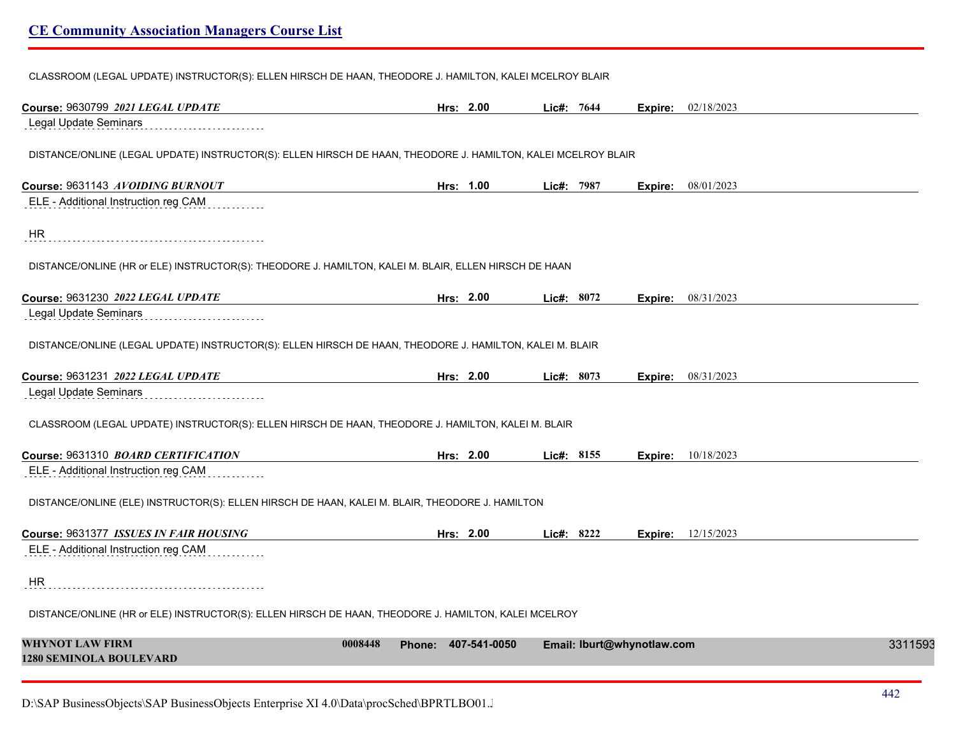CLASSROOM (LEGAL UPDATE) INSTRUCTOR(S): ELLEN HIRSCH DE HAAN, THEODORE J. HAMILTON, KALEI MCELROY BLAIR

| Course: 9630799 2021 LEGAL UPDATE                                                                             | Hrs: 2.00                      | Lic#: 7644                 | <b>Expire:</b> 02/18/2023 |         |
|---------------------------------------------------------------------------------------------------------------|--------------------------------|----------------------------|---------------------------|---------|
| <b>Legal Update Seminars</b>                                                                                  |                                |                            |                           |         |
| DISTANCE/ONLINE (LEGAL UPDATE) INSTRUCTOR(S): ELLEN HIRSCH DE HAAN, THEODORE J. HAMILTON, KALEI MCELROY BLAIR |                                |                            |                           |         |
| Course: 9631143 AVOIDING BURNOUT                                                                              | Hrs: 1.00                      | Lic#: 7987                 | Expire: 08/01/2023        |         |
| ELE - Additional Instruction reg CAM                                                                          |                                |                            |                           |         |
| <b>HR</b>                                                                                                     |                                |                            |                           |         |
| DISTANCE/ONLINE (HR or ELE) INSTRUCTOR(S): THEODORE J. HAMILTON, KALEI M. BLAIR, ELLEN HIRSCH DE HAAN         |                                |                            |                           |         |
| Course: 9631230 2022 LEGAL UPDATE                                                                             | Hrs: 2.00                      | Lic#: 8072                 | 08/31/2023<br>Expire:     |         |
| Legal Update Seminars                                                                                         |                                |                            |                           |         |
| DISTANCE/ONLINE (LEGAL UPDATE) INSTRUCTOR(S): ELLEN HIRSCH DE HAAN, THEODORE J. HAMILTON, KALEI M. BLAIR      |                                |                            |                           |         |
| Course: 9631231 2022 LEGAL UPDATE                                                                             | Hrs: 2.00                      | Lic#: 8073                 | 08/31/2023<br>Expire:     |         |
| Legal Update Seminars                                                                                         |                                |                            |                           |         |
| CLASSROOM (LEGAL UPDATE) INSTRUCTOR(S): ELLEN HIRSCH DE HAAN, THEODORE J. HAMILTON, KALEI M. BLAIR            |                                |                            |                           |         |
| Course: 9631310 BOARD CERTIFICATION                                                                           | Hrs: 2.00                      | Lic#: 8155                 | 10/18/2023<br>Expire:     |         |
| ELE - Additional Instruction reg CAM                                                                          |                                |                            |                           |         |
| DISTANCE/ONLINE (ELE) INSTRUCTOR(S): ELLEN HIRSCH DE HAAN, KALEI M. BLAIR, THEODORE J. HAMILTON               |                                |                            |                           |         |
| Course: 9631377 ISSUES IN FAIR HOUSING                                                                        | Hrs: 2.00                      | Lic#: 8222                 | <b>Expire:</b> 12/15/2023 |         |
| ELE - Additional Instruction reg CAM                                                                          |                                |                            |                           |         |
| <b>HR</b>                                                                                                     |                                |                            |                           |         |
| DISTANCE/ONLINE (HR or ELE) INSTRUCTOR(S): ELLEN HIRSCH DE HAAN, THEODORE J. HAMILTON, KALEI MCELROY          |                                |                            |                           |         |
| <b>WHYNOT LAW FIRM</b><br><b>1280 SEMINOLA BOULEVARD</b>                                                      | Phone: 407-541-0050<br>0008448 | Email: lburt@whynotlaw.com |                           | 3311593 |
|                                                                                                               |                                |                            |                           |         |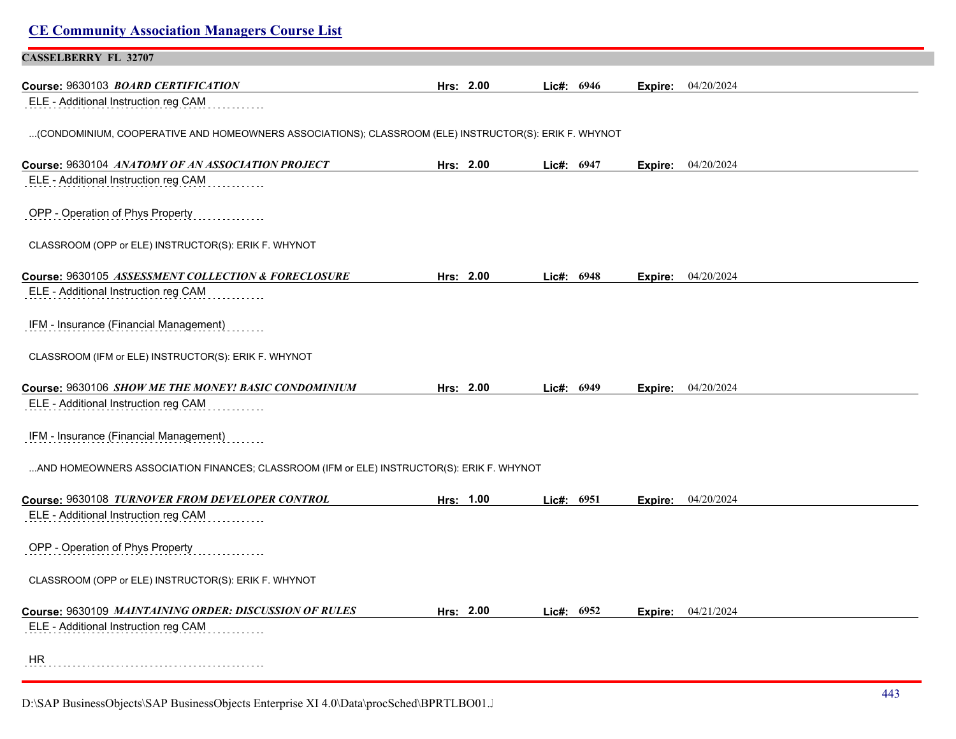| <b>CE Community Association Managers Course List</b>                                                  |           |            |            |         |                    |  |
|-------------------------------------------------------------------------------------------------------|-----------|------------|------------|---------|--------------------|--|
| <b>CASSELBERRY FL 32707</b>                                                                           |           |            |            |         |                    |  |
| Course: 9630103 BOARD CERTIFICATION                                                                   | Hrs: 2.00 |            | Lic#: 6946 | Expire: | 04/20/2024         |  |
| ELE - Additional Instruction reg CAM                                                                  |           |            |            |         |                    |  |
| (CONDOMINIUM, COOPERATIVE AND HOMEOWNERS ASSOCIATIONS); CLASSROOM (ELE) INSTRUCTOR(S): ERIK F. WHYNOT |           |            |            |         |                    |  |
| Course: 9630104 ANATOMY OF AN ASSOCIATION PROJECT                                                     | Hrs: 2.00 |            | Lic#: 6947 | Expire: | 04/20/2024         |  |
| ELE - Additional Instruction reg CAM                                                                  |           |            |            |         |                    |  |
| OPP - Operation of Phys Property                                                                      |           |            |            |         |                    |  |
| CLASSROOM (OPP or ELE) INSTRUCTOR(S): ERIK F. WHYNOT                                                  |           |            |            |         |                    |  |
| Course: 9630105 ASSESSMENT COLLECTION & FORECLOSURE                                                   | Hrs: 2.00 |            | Lic#: 6948 | Expire: | 04/20/2024         |  |
| ELE - Additional Instruction reg CAM                                                                  |           |            |            |         |                    |  |
| IFM - Insurance (Financial Management)                                                                |           |            |            |         |                    |  |
| CLASSROOM (IFM or ELE) INSTRUCTOR(S): ERIK F. WHYNOT                                                  |           |            |            |         |                    |  |
| Course: 9630106 SHOW ME THE MONEY! BASIC CONDOMINIUM                                                  | Hrs: 2.00 | Lic#: 6949 |            | Expire: | 04/20/2024         |  |
| ELE - Additional Instruction reg CAM                                                                  |           |            |            |         |                    |  |
| IFM - Insurance (Financial Management)                                                                |           |            |            |         |                    |  |
| AND HOMEOWNERS ASSOCIATION FINANCES; CLASSROOM (IFM or ELE) INSTRUCTOR(S): ERIK F. WHYNOT             |           |            |            |         |                    |  |
| Course: 9630108 TURNOVER FROM DEVELOPER CONTROL                                                       | Hrs: 1.00 |            | Lic#: 6951 |         | Expire: 04/20/2024 |  |
| ELE - Additional Instruction reg CAM                                                                  |           |            |            |         |                    |  |
| OPP - Operation of Phys Property<br>.                                                                 |           |            |            |         |                    |  |
| CLASSROOM (OPP or ELE) INSTRUCTOR(S): ERIK F. WHYNOT                                                  |           |            |            |         |                    |  |
| Course: 9630109 MAINTAINING ORDER: DISCUSSION OF RULES                                                | Hrs: 2.00 |            | Lic#: 6952 | Expire: | 04/21/2024         |  |
| ELE - Additional Instruction reg CAM                                                                  |           |            |            |         |                    |  |
| HR                                                                                                    |           |            |            |         |                    |  |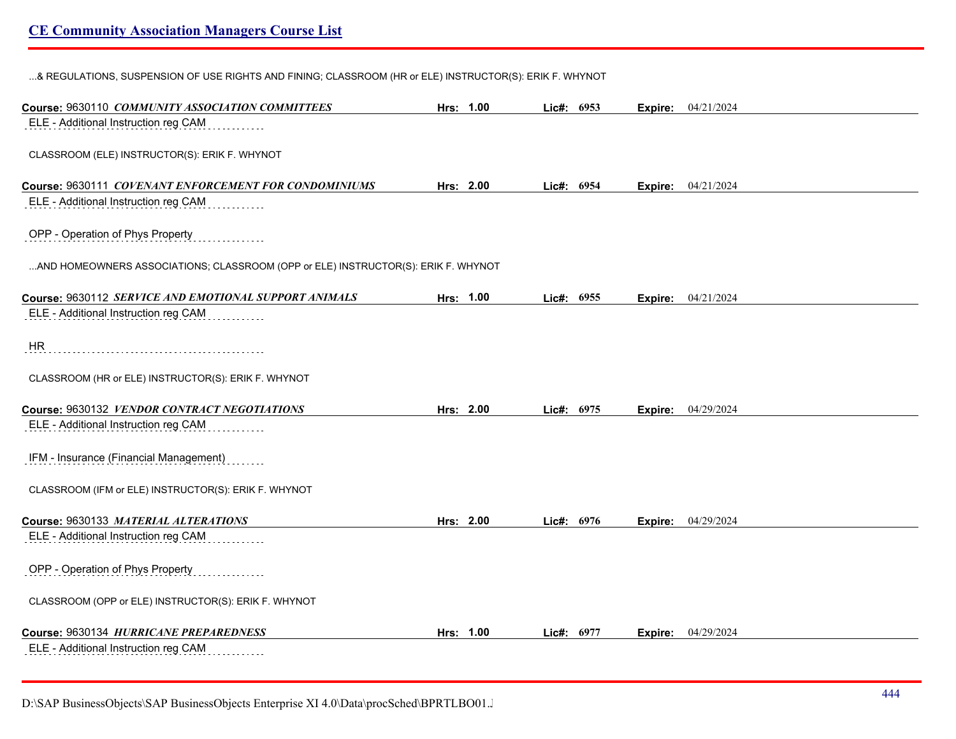...& REGULATIONS, SUSPENSION OF USE RIGHTS AND FINING; CLASSROOM (HR or ELE) INSTRUCTOR(S): ERIK F. WHYNOT

| Course: 9630110 COMMUNITY ASSOCIATION COMMITTEES                                  | Hrs: 1.00 | Lic#: 6953 |         | Expire: 04/21/2024          |
|-----------------------------------------------------------------------------------|-----------|------------|---------|-----------------------------|
| ELE - Additional Instruction reg CAM                                              |           |            |         |                             |
| CLASSROOM (ELE) INSTRUCTOR(S): ERIK F. WHYNOT                                     |           |            |         |                             |
|                                                                                   |           |            |         |                             |
| Course: 9630111 COVENANT ENFORCEMENT FOR CONDOMINIUMS                             | Hrs: 2.00 | Lic#: 6954 |         | <b>Expire:</b> $04/21/2024$ |
| ELE - Additional Instruction reg CAM                                              |           |            |         |                             |
| OPP - Operation of Phys Property                                                  |           |            |         |                             |
| AND HOMEOWNERS ASSOCIATIONS; CLASSROOM (OPP or ELE) INSTRUCTOR(S): ERIK F. WHYNOT |           |            |         |                             |
| Course: 9630112 SERVICE AND EMOTIONAL SUPPORT ANIMALS                             | Hrs: 1.00 | Lic#: 6955 |         | Expire: 04/21/2024          |
| ELE - Additional Instruction reg CAM                                              |           |            |         |                             |
| <b>HR</b>                                                                         |           |            |         |                             |
| CLASSROOM (HR or ELE) INSTRUCTOR(S): ERIK F. WHYNOT                               |           |            |         |                             |
| Course: 9630132 VENDOR CONTRACT NEGOTIATIONS                                      | Hrs: 2.00 | Lic#: 6975 |         | <b>Expire:</b> 04/29/2024   |
| ELE - Additional Instruction reg CAM                                              |           |            |         |                             |
| IFM - Insurance (Financial Management)                                            |           |            |         |                             |
| CLASSROOM (IFM or ELE) INSTRUCTOR(S): ERIK F. WHYNOT                              |           |            |         |                             |
| Course: 9630133 MATERIAL ALTERATIONS                                              | Hrs: 2.00 | Lic#: 6976 | Expire: | 04/29/2024                  |
| ELE - Additional Instruction reg CAM                                              |           |            |         |                             |
| OPP - Operation of Phys Property                                                  |           |            |         |                             |
| CLASSROOM (OPP or ELE) INSTRUCTOR(S): ERIK F. WHYNOT                              |           |            |         |                             |
| Course: 9630134 HURRICANE PREPAREDNESS                                            | Hrs: 1.00 | Lic#: 6977 | Expire: | 04/29/2024                  |
| ELE - Additional Instruction reg CAM                                              |           |            |         |                             |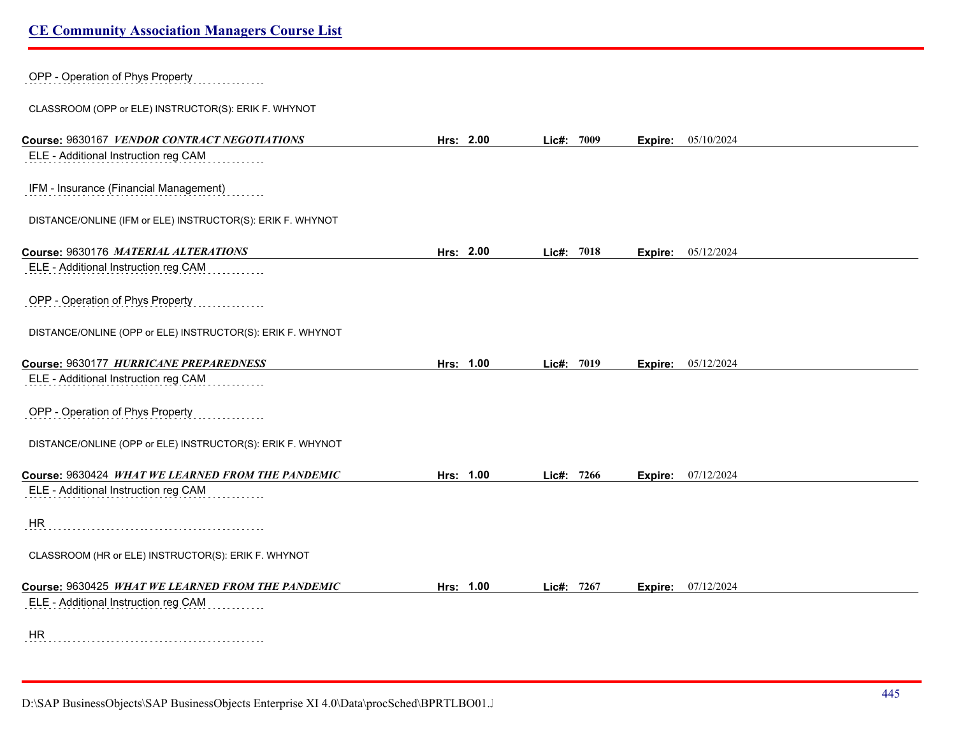| OPP - Operation of Phys Property                           |           |               |                           |  |
|------------------------------------------------------------|-----------|---------------|---------------------------|--|
| CLASSROOM (OPP or ELE) INSTRUCTOR(S): ERIK F. WHYNOT       |           |               |                           |  |
| Course: 9630167 VENDOR CONTRACT NEGOTIATIONS               | Hrs: 2.00 | Lic#: 7009    | <b>Expire:</b> 05/10/2024 |  |
| ELE - Additional Instruction reg CAM                       |           |               |                           |  |
| IFM - Insurance (Financial Management)                     |           |               |                           |  |
| DISTANCE/ONLINE (IFM or ELE) INSTRUCTOR(S): ERIK F. WHYNOT |           |               |                           |  |
| Course: 9630176 MATERIAL ALTERATIONS                       | Hrs: 2.00 | Lic#: 7018    | 05/12/2024<br>Expire:     |  |
| ELE - Additional Instruction reg CAM                       |           |               |                           |  |
| OPP - Operation of Phys Property                           |           |               |                           |  |
| DISTANCE/ONLINE (OPP or ELE) INSTRUCTOR(S): ERIK F. WHYNOT |           |               |                           |  |
| Course: 9630177 HURRICANE PREPAREDNESS                     | Hrs: 1.00 | 7019<br>Lie#: | 05/12/2024<br>Expire:     |  |
| ELE - Additional Instruction reg CAM                       |           |               |                           |  |
| OPP - Operation of Phys Property                           |           |               |                           |  |
| DISTANCE/ONLINE (OPP or ELE) INSTRUCTOR(S): ERIK F. WHYNOT |           |               |                           |  |
| Course: 9630424 WHAT WE LEARNED FROM THE PANDEMIC          | Hrs: 1.00 | Lic#: 7266    | <b>Expire:</b> 07/12/2024 |  |
| ELE - Additional Instruction reg CAM                       |           |               |                           |  |
| HR                                                         |           |               |                           |  |
| CLASSROOM (HR or ELE) INSTRUCTOR(S): ERIK F. WHYNOT        |           |               |                           |  |
| Course: 9630425 WHAT WE LEARNED FROM THE PANDEMIC          | Hrs: 1.00 | Lic#: 7267    | <b>Expire:</b> 07/12/2024 |  |
| ELE - Additional Instruction reg CAM                       |           |               |                           |  |
| HR                                                         |           |               |                           |  |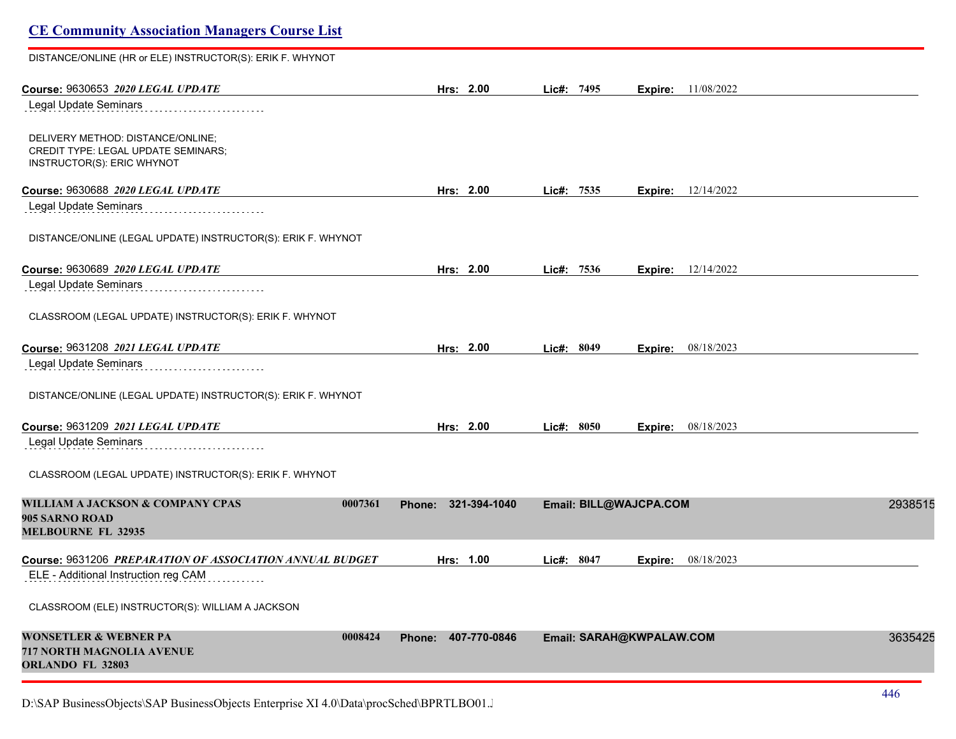# **CE Community Association Managers Course List** DISTANCE/ONLINE (HR or ELE) INSTRUCTOR(S): ERIK F. WHYNOT **Course:** 9630653 *2020 LEGAL UPDATE* **Hrs: 2.00 Lic#: 7495 Expire:** 11/08/2022 Legal Update Seminars DELIVERY METHOD: DISTANCE/ONLINE; CREDIT TYPE: LEGAL UPDATE SEMINARS; INSTRUCTOR(S): ERIC WHYNOT **Course:** 9630688 *2020 LEGAL UPDATE* **Hrs: 2.00 Lic#: 7535 Expire:** 12/14/2022 Legal Update Seminars<br>
and the continuum of the Update Seminary Seminary Seminary Seminary Seminary Seminary Seminary Seminary Seminary Seminary Seminary Seminary Seminary Seminary Seminary Seminary Seminary Seminary Semin DISTANCE/ONLINE (LEGAL UPDATE) INSTRUCTOR(S): ERIK F. WHYNOT **Course:** 9630689 *2020 LEGAL UPDATE* **Hrs: 2.00 Lic#: 7536 Expire:** 12/14/2022 Legal Update Seminars<br>
and the continuum of the Update Seminary Seminary Seminary Seminary Seminary Seminary Seminary Seminary Seminary Seminary Seminary Seminary Seminary Seminary Seminary Seminary Seminary Seminary Semin CLASSROOM (LEGAL UPDATE) INSTRUCTOR(S): ERIK F. WHYNOT **Course:** 9631208 *2021 LEGAL UPDATE* **Hrs: 2.00 Lic#: 8049 Expire:** 08/18/2023 Legal Update Seminars<br>
and the continuum of the Update Seminary Seminary Seminary Seminary Seminary Seminary Seminary Seminary Seminary Seminary Seminary Seminary Seminary Seminary Seminary Seminary Seminary Seminary Semin DISTANCE/ONLINE (LEGAL UPDATE) INSTRUCTOR(S): ERIK F. WHYNOT **Course:** 9631209 *2021 LEGAL UPDATE* **Hrs: 2.00 Lic#: 8050 Expire:** 08/18/2023 Legal Update Seminars CLASSROOM (LEGAL UPDATE) INSTRUCTOR(S): ERIK F. WHYNOT **WILLIAM A JACKSON & COMPANY CPAS 0007361 Phone: 321-394-1040 Email: BILL@WAJCPA.COM** 29385152 **905 SARNO ROAD MELBOURNE FL 32935 Course:** 9631206 *PREPARATION OF ASSOCIATION ANNUAL BUDGET* **Hrs: 1.00 Lic#: 8047 Expire:** 08/18/2023 ELE - Additional Instruction reg CAM CLASSROOM (ELE) INSTRUCTOR(S): WILLIAM A JACKSON **WONSETLER & WEBNER PA 0008424 Phone: 407-770-0846 Email: SARAH@KWPALAW.COM** 36354257 **717 NORTH MAGNOLIA AVENUE ORLANDO FL 32803**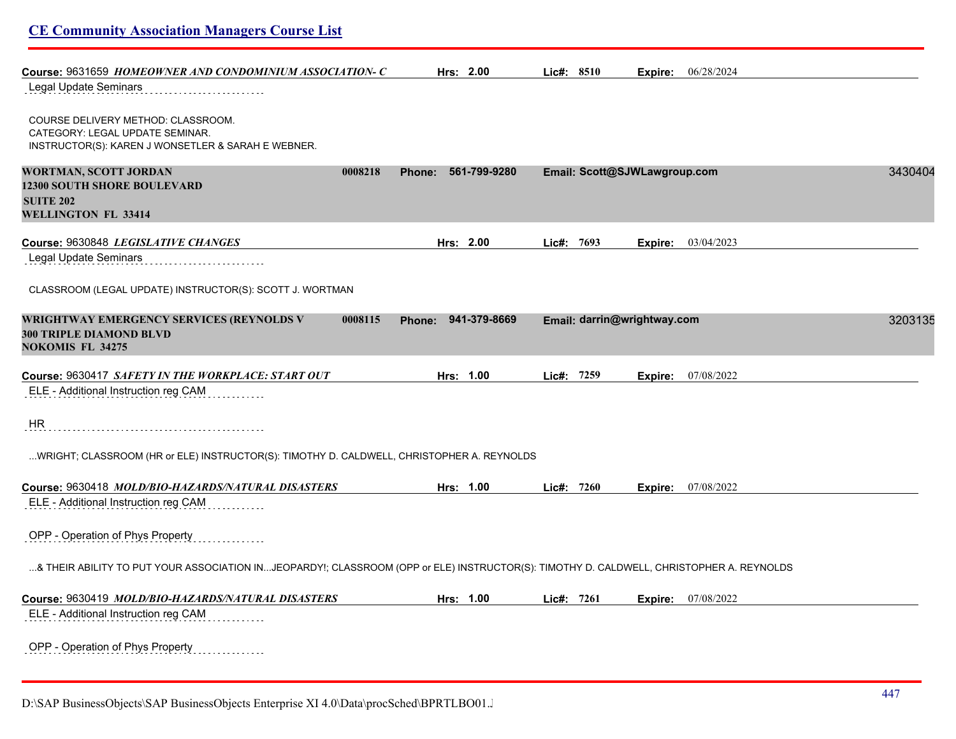| <b>CE Community Association Managers Course List</b>                                                                                      |                               |                              |         |                           |         |
|-------------------------------------------------------------------------------------------------------------------------------------------|-------------------------------|------------------------------|---------|---------------------------|---------|
| Course: 9631659 HOMEOWNER AND CONDOMINIUM ASSOCIATION-C                                                                                   | Hrs: 2.00                     | Lic#: 8510                   |         | <b>Expire:</b> 06/28/2024 |         |
| Legal Update Seminars                                                                                                                     |                               |                              |         |                           |         |
| COURSE DELIVERY METHOD: CLASSROOM.<br>CATEGORY: LEGAL UPDATE SEMINAR.<br>INSTRUCTOR(S): KAREN J WONSETLER & SARAH E WEBNER.               |                               |                              |         |                           |         |
| <b>WORTMAN, SCOTT JORDAN</b><br>0008218<br><b>12300 SOUTH SHORE BOULEVARD</b><br><b>SUITE 202</b><br><b>WELLINGTON FL 33414</b>           | 561-799-9280<br>Phone:        | Email: Scott@SJWLawgroup.com |         |                           | 3430404 |
| Course: 9630848 LEGISLATIVE CHANGES                                                                                                       | Hrs: 2.00                     | Lic#: 7693                   | Expire: | 03/04/2023                |         |
| Legal Update Seminars                                                                                                                     |                               |                              |         |                           |         |
| CLASSROOM (LEGAL UPDATE) INSTRUCTOR(S): SCOTT J. WORTMAN                                                                                  |                               |                              |         |                           |         |
| <b>WRIGHTWAY EMERGENCY SERVICES (REYNOLDS V</b><br>0008115<br><b>300 TRIPLE DIAMOND BLVD</b><br><b>NOKOMIS FL 34275</b>                   | 941-379-8669<br><b>Phone:</b> | Email: darrin@wrightway.com  |         |                           | 3203135 |
| Course: 9630417 SAFETY IN THE WORKPLACE: START OUT                                                                                        | Hrs: 1.00                     | Lic#: 7259                   | Expire: | 07/08/2022                |         |
| ELE - Additional Instruction reg CAM                                                                                                      |                               |                              |         |                           |         |
| HR                                                                                                                                        |                               |                              |         |                           |         |
| WRIGHT; CLASSROOM (HR or ELE) INSTRUCTOR(S): TIMOTHY D. CALDWELL, CHRISTOPHER A. REYNOLDS                                                 |                               |                              |         |                           |         |
| Course: 9630418 MOLD/BIO-HAZARDS/NATURAL DISASTERS                                                                                        | Hrs: 1.00                     | Lic#: 7260                   | Expire: | 07/08/2022                |         |
| ELE - Additional Instruction reg CAM                                                                                                      |                               |                              |         |                           |         |
| OPP - Operation of Phys Property                                                                                                          |                               |                              |         |                           |         |
| …& THEIR ABILITY TO PUT YOUR ASSOCIATION IN…JEOPARDY!; CLASSROOM (OPP or ELE) INSTRUCTOR(S): TIMOTHY D. CALDWELL, CHRISTOPHER A. REYNOLDS |                               |                              |         |                           |         |
| Course: 9630419 MOLD/BIO-HAZARDS/NATURAL DISASTERS<br>ELE - Additional Instruction reg CAM                                                | Hrs: 1.00                     | Lic#: 7261                   | Expire: | 07/08/2022                |         |
| OPP - Operation of Phys Property                                                                                                          |                               |                              |         |                           |         |

D:\SAP BusinessObjects\SAP BusinessObjects Enterprise XI 4.0\Data\procSched\BPRTLBO01.Jobserver2\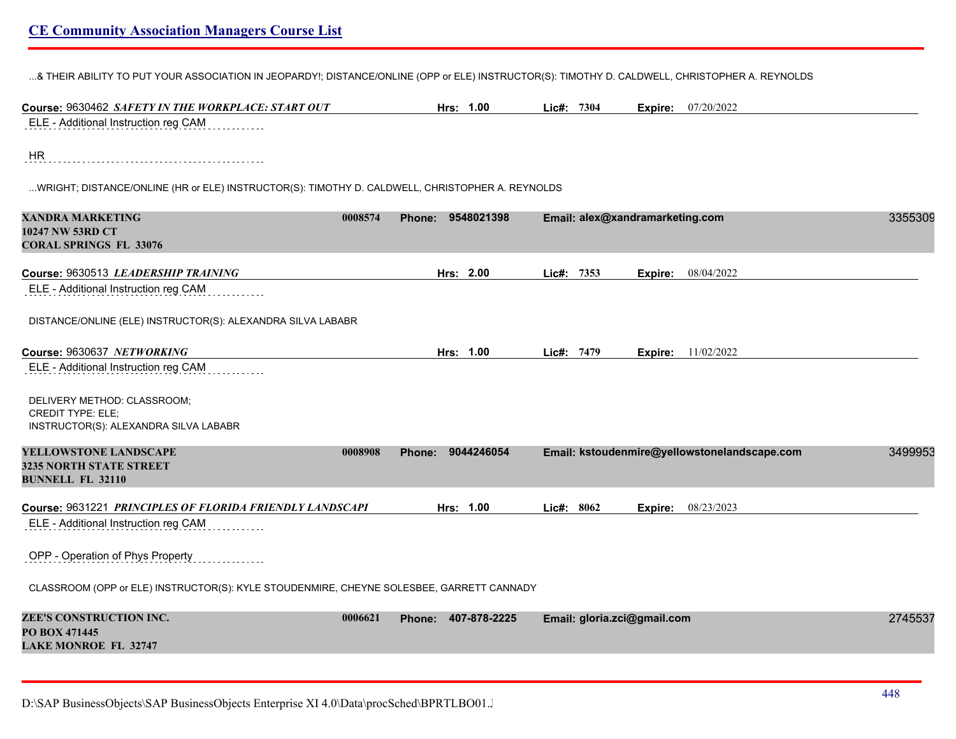...& THEIR ABILITY TO PUT YOUR ASSOCIATION IN JEOPARDY!; DISTANCE/ONLINE (OPP or ELE) INSTRUCTOR(S): TIMOTHY D. CALDWELL, CHRISTOPHER A. REYNOLDS

| Course: 9630462 SAFETY IN THE WORKPLACE: START OUT                                                           | Hrs: 1.00                              | Lic#: 7304                                   | <b>Expire:</b> 07/20/2022 |
|--------------------------------------------------------------------------------------------------------------|----------------------------------------|----------------------------------------------|---------------------------|
| ELE - Additional Instruction reg CAM                                                                         |                                        |                                              |                           |
| <b>HR</b><br>WRIGHT; DISTANCE/ONLINE (HR or ELE) INSTRUCTOR(S): TIMOTHY D. CALDWELL, CHRISTOPHER A. REYNOLDS |                                        |                                              |                           |
| <b>XANDRA MARKETING</b><br>10247 NW 53RD CT<br><b>CORAL SPRINGS FL 33076</b>                                 | 0008574<br>9548021398<br>Phone:        | Email: alex@xandramarketing.com              | 3355309                   |
| Course: 9630513 LEADERSHIP TRAINING                                                                          | Hrs: 2.00                              | Lic#: 7353                                   | Expire: 08/04/2022        |
| ELE - Additional Instruction reg CAM                                                                         |                                        |                                              |                           |
| DISTANCE/ONLINE (ELE) INSTRUCTOR(S): ALEXANDRA SILVA LABABR                                                  |                                        |                                              |                           |
| Course: 9630637 NETWORKING                                                                                   | Hrs: 1.00                              | Lic#: 7479<br>Expire:                        | 11/02/2022                |
| ELE - Additional Instruction reg CAM                                                                         |                                        |                                              |                           |
| DELIVERY METHOD: CLASSROOM;<br><b>CREDIT TYPE: ELE;</b><br>INSTRUCTOR(S): ALEXANDRA SILVA LABABR             |                                        |                                              |                           |
| YELLOWSTONE LANDSCAPE                                                                                        | 9044246054<br>0008908<br><b>Phone:</b> | Email: kstoudenmire@yellowstonelandscape.com | 3499953                   |
| 3235 NORTH STATE STREET<br><b>BUNNELL FL 32110</b>                                                           |                                        |                                              |                           |
| Course: 9631221 PRINCIPLES OF FLORIDA FRIENDLY LANDSCAPI<br>ELE - Additional Instruction reg CAM             | Hrs: 1.00                              | Lic#: 8062                                   | Expire: 08/23/2023        |
| OPP - Operation of Phys Property                                                                             |                                        |                                              |                           |
| CLASSROOM (OPP or ELE) INSTRUCTOR(S): KYLE STOUDENMIRE, CHEYNE SOLESBEE, GARRETT CANNADY                     |                                        |                                              |                           |
| ZEE'S CONSTRUCTION INC.<br>PO BOX 471445<br><b>LAKE MONROE FL 32747</b>                                      | 0006621<br>407-878-2225<br>Phone:      | Email: gloria.zci@gmail.com                  | 2745537                   |